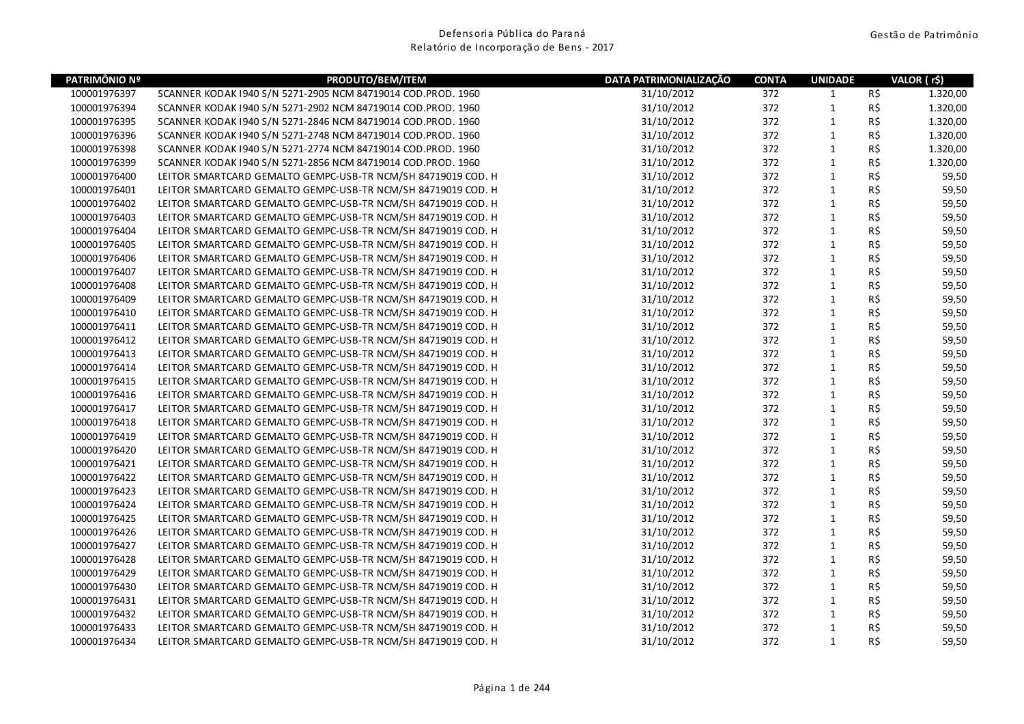| PATRIMÔNIO Nº | PRODUTO/BEM/ITEM                                             | DATA PATRIMONIALIZAÇÃO | <b>CONTA</b> | <b>UNIDADE</b> |     | VALOR (r\$) |
|---------------|--------------------------------------------------------------|------------------------|--------------|----------------|-----|-------------|
| 100001976397  | SCANNER KODAK 1940 S/N 5271-2905 NCM 84719014 COD.PROD. 1960 | 31/10/2012             | 372          | $\mathbf{1}$   | R\$ | 1.320,00    |
| 100001976394  | SCANNER KODAK 1940 S/N 5271-2902 NCM 84719014 COD.PROD. 1960 | 31/10/2012             | 372          | $\mathbf{1}$   | R\$ | 1.320,00    |
| 100001976395  | SCANNER KODAK 1940 S/N 5271-2846 NCM 84719014 COD.PROD. 1960 | 31/10/2012             | 372          | $\mathbf{1}$   | R\$ | 1.320,00    |
| 100001976396  | SCANNER KODAK 1940 S/N 5271-2748 NCM 84719014 COD.PROD. 1960 | 31/10/2012             | 372          | $\mathbf{1}$   | R\$ | 1.320,00    |
| 100001976398  | SCANNER KODAK 1940 S/N 5271-2774 NCM 84719014 COD.PROD. 1960 | 31/10/2012             | 372          | $\mathbf 1$    | R\$ | 1.320,00    |
| 100001976399  | SCANNER KODAK 1940 S/N 5271-2856 NCM 84719014 COD.PROD. 1960 | 31/10/2012             | 372          | $\mathbf{1}$   | R\$ | 1.320,00    |
| 100001976400  | LEITOR SMARTCARD GEMALTO GEMPC-USB-TR NCM/SH 84719019 COD. H | 31/10/2012             | 372          | $\mathbf{1}$   | R\$ | 59,50       |
| 100001976401  | LEITOR SMARTCARD GEMALTO GEMPC-USB-TR NCM/SH 84719019 COD. H | 31/10/2012             | 372          | $\mathbf 1$    | R\$ | 59,50       |
| 100001976402  | LEITOR SMARTCARD GEMALTO GEMPC-USB-TR NCM/SH 84719019 COD. H | 31/10/2012             | 372          | $\mathbf 1$    | R\$ | 59,50       |
| 100001976403  | LEITOR SMARTCARD GEMALTO GEMPC-USB-TR NCM/SH 84719019 COD. H | 31/10/2012             | 372          | $\mathbf{1}$   | R\$ | 59,50       |
| 100001976404  | LEITOR SMARTCARD GEMALTO GEMPC-USB-TR NCM/SH 84719019 COD. H | 31/10/2012             | 372          | $\mathbf{1}$   | R\$ | 59,50       |
| 100001976405  | LEITOR SMARTCARD GEMALTO GEMPC-USB-TR NCM/SH 84719019 COD. H | 31/10/2012             | 372          | $\mathbf{1}$   | R\$ | 59,50       |
| 100001976406  | LEITOR SMARTCARD GEMALTO GEMPC-USB-TR NCM/SH 84719019 COD. H | 31/10/2012             | 372          | $\mathbf{1}$   | R\$ | 59,50       |
| 100001976407  | LEITOR SMARTCARD GEMALTO GEMPC-USB-TR NCM/SH 84719019 COD. H | 31/10/2012             | 372          | $\mathbf 1$    | R\$ | 59,50       |
| 100001976408  | LEITOR SMARTCARD GEMALTO GEMPC-USB-TR NCM/SH 84719019 COD. H | 31/10/2012             | 372          | $\mathbf{1}$   | R\$ | 59,50       |
| 100001976409  | LEITOR SMARTCARD GEMALTO GEMPC-USB-TR NCM/SH 84719019 COD. H | 31/10/2012             | 372          | $\mathbf{1}$   | R\$ | 59,50       |
| 100001976410  | LEITOR SMARTCARD GEMALTO GEMPC-USB-TR NCM/SH 84719019 COD. H | 31/10/2012             | 372          | $\mathbf{1}$   | R\$ | 59,50       |
| 100001976411  | LEITOR SMARTCARD GEMALTO GEMPC-USB-TR NCM/SH 84719019 COD. H | 31/10/2012             | 372          | $\mathbf{1}$   | R\$ | 59,50       |
| 100001976412  | LEITOR SMARTCARD GEMALTO GEMPC-USB-TR NCM/SH 84719019 COD. H | 31/10/2012             | 372          | $\mathbf 1$    | R\$ | 59,50       |
| 100001976413  | LEITOR SMARTCARD GEMALTO GEMPC-USB-TR NCM/SH 84719019 COD. H | 31/10/2012             | 372          | $\mathbf{1}$   | R\$ | 59,50       |
| 100001976414  | LEITOR SMARTCARD GEMALTO GEMPC-USB-TR NCM/SH 84719019 COD. H | 31/10/2012             | 372          | $\mathbf{1}$   | R\$ | 59,50       |
| 100001976415  | LEITOR SMARTCARD GEMALTO GEMPC-USB-TR NCM/SH 84719019 COD. H | 31/10/2012             | 372          | $\mathbf 1$    | R\$ | 59,50       |
| 100001976416  | LEITOR SMARTCARD GEMALTO GEMPC-USB-TR NCM/SH 84719019 COD. H | 31/10/2012             | 372          | $\mathbf 1$    | R\$ | 59,50       |
| 100001976417  | LEITOR SMARTCARD GEMALTO GEMPC-USB-TR NCM/SH 84719019 COD. H | 31/10/2012             | 372          | $\mathbf{1}$   | R\$ | 59,50       |
| 100001976418  | LEITOR SMARTCARD GEMALTO GEMPC-USB-TR NCM/SH 84719019 COD. H | 31/10/2012             | 372          | $\mathbf{1}$   | R\$ | 59,50       |
| 100001976419  | LEITOR SMARTCARD GEMALTO GEMPC-USB-TR NCM/SH 84719019 COD. H | 31/10/2012             | 372          | $\mathbf{1}$   | R\$ | 59,50       |
| 100001976420  | LEITOR SMARTCARD GEMALTO GEMPC-USB-TR NCM/SH 84719019 COD. H | 31/10/2012             | 372          | $\mathbf{1}$   | R\$ | 59,50       |
| 100001976421  | LEITOR SMARTCARD GEMALTO GEMPC-USB-TR NCM/SH 84719019 COD. H | 31/10/2012             | 372          | $\mathbf{1}$   | R\$ | 59,50       |
| 100001976422  | LEITOR SMARTCARD GEMALTO GEMPC-USB-TR NCM/SH 84719019 COD. H | 31/10/2012             | 372          | $\mathbf 1$    | R\$ | 59,50       |
| 100001976423  | LEITOR SMARTCARD GEMALTO GEMPC-USB-TR NCM/SH 84719019 COD. H | 31/10/2012             | 372          | $\mathbf{1}$   | R\$ | 59,50       |
| 100001976424  | LEITOR SMARTCARD GEMALTO GEMPC-USB-TR NCM/SH 84719019 COD. H | 31/10/2012             | 372          | $\mathbf 1$    | R\$ | 59,50       |
| 100001976425  | LEITOR SMARTCARD GEMALTO GEMPC-USB-TR NCM/SH 84719019 COD. H | 31/10/2012             | 372          | $\mathbf 1$    | R\$ | 59,50       |
| 100001976426  | LEITOR SMARTCARD GEMALTO GEMPC-USB-TR NCM/SH 84719019 COD. H | 31/10/2012             | 372          | $\mathbf{1}$   | R\$ | 59,50       |
| 100001976427  | LEITOR SMARTCARD GEMALTO GEMPC-USB-TR NCM/SH 84719019 COD. H | 31/10/2012             | 372          | $\mathbf{1}$   | R\$ | 59,50       |
| 100001976428  | LEITOR SMARTCARD GEMALTO GEMPC-USB-TR NCM/SH 84719019 COD. H | 31/10/2012             | 372          | $\mathbf{1}$   | R\$ | 59,50       |
| 100001976429  | LEITOR SMARTCARD GEMALTO GEMPC-USB-TR NCM/SH 84719019 COD. H | 31/10/2012             | 372          | $\mathbf{1}$   | R\$ | 59,50       |
| 100001976430  | LEITOR SMARTCARD GEMALTO GEMPC-USB-TR NCM/SH 84719019 COD. H | 31/10/2012             | 372          | $\mathbf{1}$   | R\$ | 59,50       |
| 100001976431  | LEITOR SMARTCARD GEMALTO GEMPC-USB-TR NCM/SH 84719019 COD. H | 31/10/2012             | 372          | $\mathbf 1$    | R\$ | 59,50       |
| 100001976432  | LEITOR SMARTCARD GEMALTO GEMPC-USB-TR NCM/SH 84719019 COD. H | 31/10/2012             | 372          | $\mathbf{1}$   | R\$ | 59,50       |
| 100001976433  | LEITOR SMARTCARD GEMALTO GEMPC-USB-TR NCM/SH 84719019 COD. H | 31/10/2012             | 372          | $\mathbf{1}$   | R\$ | 59,50       |
| 100001976434  | LEITOR SMARTCARD GEMALTO GEMPC-USB-TR NCM/SH 84719019 COD. H | 31/10/2012             | 372          | $\mathbf{1}$   | R\$ | 59,50       |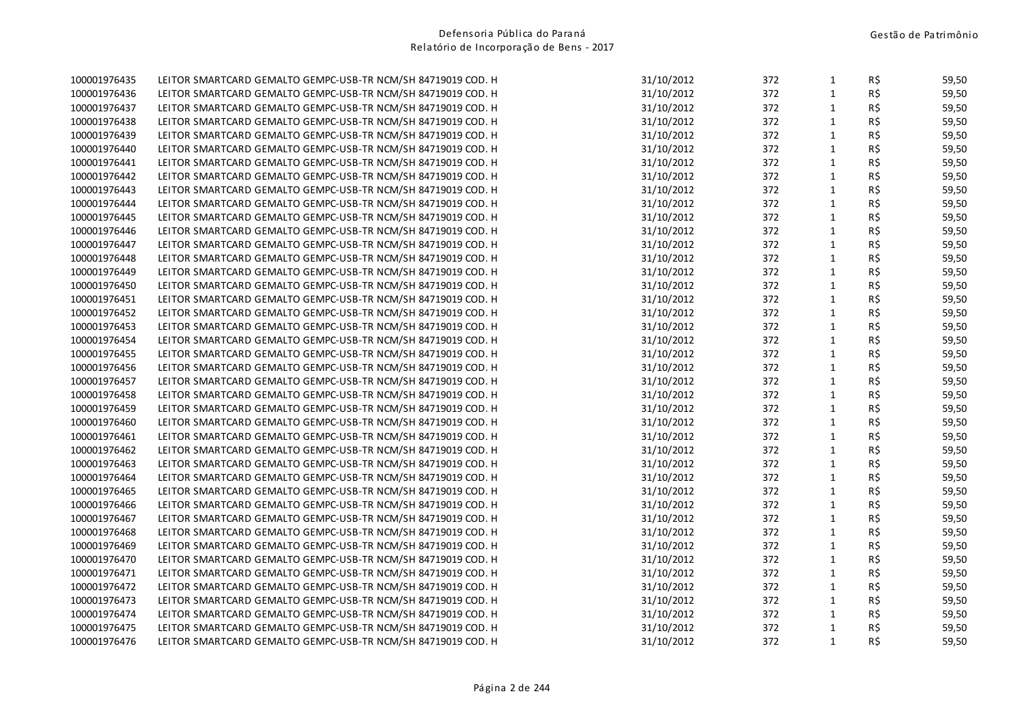| 100001976435 | LEITOR SMARTCARD GEMALTO GEMPC-USB-TR NCM/SH 84719019 COD. H | 31/10/2012 | 372 | $\mathbf{1}$ | R\$            | 59,50 |
|--------------|--------------------------------------------------------------|------------|-----|--------------|----------------|-------|
| 100001976436 | LEITOR SMARTCARD GEMALTO GEMPC-USB-TR NCM/SH 84719019 COD. H | 31/10/2012 | 372 | $\mathbf{1}$ | R\$            | 59,50 |
| 100001976437 | LEITOR SMARTCARD GEMALTO GEMPC-USB-TR NCM/SH 84719019 COD. H | 31/10/2012 | 372 | $\mathbf{1}$ | R\$            | 59,50 |
| 100001976438 | LEITOR SMARTCARD GEMALTO GEMPC-USB-TR NCM/SH 84719019 COD. H | 31/10/2012 | 372 | $\mathbf{1}$ | R\$            | 59,50 |
| 100001976439 | LEITOR SMARTCARD GEMALTO GEMPC-USB-TR NCM/SH 84719019 COD. H | 31/10/2012 | 372 | $\mathbf{1}$ | R\$            | 59,50 |
| 100001976440 | LEITOR SMARTCARD GEMALTO GEMPC-USB-TR NCM/SH 84719019 COD. H | 31/10/2012 | 372 | $\mathbf{1}$ | R\$            | 59,50 |
| 100001976441 | LEITOR SMARTCARD GEMALTO GEMPC-USB-TR NCM/SH 84719019 COD. H | 31/10/2012 | 372 | $\mathbf{1}$ | R\$            | 59,50 |
| 100001976442 | LEITOR SMARTCARD GEMALTO GEMPC-USB-TR NCM/SH 84719019 COD. H | 31/10/2012 | 372 | $\mathbf{1}$ | R\$            | 59,50 |
| 100001976443 | LEITOR SMARTCARD GEMALTO GEMPC-USB-TR NCM/SH 84719019 COD. H | 31/10/2012 | 372 | $\mathbf{1}$ | R\$            | 59,50 |
| 100001976444 | LEITOR SMARTCARD GEMALTO GEMPC-USB-TR NCM/SH 84719019 COD. H | 31/10/2012 | 372 | $\mathbf 1$  | R\$            | 59,50 |
| 100001976445 | LEITOR SMARTCARD GEMALTO GEMPC-USB-TR NCM/SH 84719019 COD. H | 31/10/2012 | 372 | $\mathbf{1}$ | R\$            | 59,50 |
| 100001976446 | LEITOR SMARTCARD GEMALTO GEMPC-USB-TR NCM/SH 84719019 COD. H | 31/10/2012 | 372 | $\mathbf{1}$ | R\$            | 59,50 |
| 100001976447 | LEITOR SMARTCARD GEMALTO GEMPC-USB-TR NCM/SH 84719019 COD. H | 31/10/2012 | 372 | $\mathbf{1}$ | R\$            | 59,50 |
| 100001976448 | LEITOR SMARTCARD GEMALTO GEMPC-USB-TR NCM/SH 84719019 COD. H | 31/10/2012 | 372 | $\mathbf{1}$ | R\$            | 59,50 |
| 100001976449 | LEITOR SMARTCARD GEMALTO GEMPC-USB-TR NCM/SH 84719019 COD. H | 31/10/2012 | 372 | $\mathbf{1}$ | R\$            | 59,50 |
| 100001976450 | LEITOR SMARTCARD GEMALTO GEMPC-USB-TR NCM/SH 84719019 COD. H | 31/10/2012 | 372 | $\mathbf{1}$ | R\$            | 59,50 |
| 100001976451 | LEITOR SMARTCARD GEMALTO GEMPC-USB-TR NCM/SH 84719019 COD. H | 31/10/2012 | 372 | $\mathbf{1}$ | R\$            | 59,50 |
| 100001976452 | LEITOR SMARTCARD GEMALTO GEMPC-USB-TR NCM/SH 84719019 COD. H | 31/10/2012 | 372 | $\mathbf{1}$ | R\$            | 59,50 |
| 100001976453 | LEITOR SMARTCARD GEMALTO GEMPC-USB-TR NCM/SH 84719019 COD. H | 31/10/2012 | 372 | $\mathbf{1}$ | R\$            | 59,50 |
| 100001976454 | LEITOR SMARTCARD GEMALTO GEMPC-USB-TR NCM/SH 84719019 COD. H | 31/10/2012 | 372 | $\mathbf{1}$ | R\$            | 59,50 |
| 100001976455 | LEITOR SMARTCARD GEMALTO GEMPC-USB-TR NCM/SH 84719019 COD. H | 31/10/2012 | 372 | $\mathbf{1}$ | R\$            | 59,50 |
| 100001976456 | LEITOR SMARTCARD GEMALTO GEMPC-USB-TR NCM/SH 84719019 COD. H | 31/10/2012 | 372 | $\mathbf{1}$ | R\$            | 59,50 |
| 100001976457 | LEITOR SMARTCARD GEMALTO GEMPC-USB-TR NCM/SH 84719019 COD. H | 31/10/2012 | 372 | $\mathbf{1}$ | R\$            | 59,50 |
| 100001976458 | LEITOR SMARTCARD GEMALTO GEMPC-USB-TR NCM/SH 84719019 COD. H | 31/10/2012 | 372 | $\mathbf{1}$ | R\$            | 59,50 |
| 100001976459 | LEITOR SMARTCARD GEMALTO GEMPC-USB-TR NCM/SH 84719019 COD. H | 31/10/2012 | 372 | $\mathbf{1}$ | R\$            | 59,50 |
| 100001976460 | LEITOR SMARTCARD GEMALTO GEMPC-USB-TR NCM/SH 84719019 COD. H | 31/10/2012 | 372 | $\mathbf{1}$ | R\$            | 59,50 |
| 100001976461 | LEITOR SMARTCARD GEMALTO GEMPC-USB-TR NCM/SH 84719019 COD. H | 31/10/2012 | 372 | $\mathbf{1}$ | R\$            | 59,50 |
| 100001976462 | LEITOR SMARTCARD GEMALTO GEMPC-USB-TR NCM/SH 84719019 COD. H | 31/10/2012 | 372 | $\mathbf{1}$ | R\$            | 59,50 |
| 100001976463 | LEITOR SMARTCARD GEMALTO GEMPC-USB-TR NCM/SH 84719019 COD. H | 31/10/2012 | 372 | $\mathbf{1}$ | R\$            | 59,50 |
| 100001976464 | LEITOR SMARTCARD GEMALTO GEMPC-USB-TR NCM/SH 84719019 COD. H | 31/10/2012 | 372 | $\mathbf{1}$ | R\$            | 59,50 |
| 100001976465 | LEITOR SMARTCARD GEMALTO GEMPC-USB-TR NCM/SH 84719019 COD. H | 31/10/2012 | 372 | $\mathbf{1}$ | R\$            | 59,50 |
| 100001976466 | LEITOR SMARTCARD GEMALTO GEMPC-USB-TR NCM/SH 84719019 COD. H | 31/10/2012 | 372 | $\mathbf{1}$ | R\$            | 59,50 |
| 100001976467 | LEITOR SMARTCARD GEMALTO GEMPC-USB-TR NCM/SH 84719019 COD. H | 31/10/2012 | 372 | $\mathbf{1}$ | R\$            | 59,50 |
| 100001976468 | LEITOR SMARTCARD GEMALTO GEMPC-USB-TR NCM/SH 84719019 COD. H | 31/10/2012 | 372 | $\mathbf{1}$ | R\$            | 59,50 |
| 100001976469 | LEITOR SMARTCARD GEMALTO GEMPC-USB-TR NCM/SH 84719019 COD. H | 31/10/2012 | 372 | $\mathbf{1}$ | R\$            | 59,50 |
| 100001976470 | LEITOR SMARTCARD GEMALTO GEMPC-USB-TR NCM/SH 84719019 COD. H | 31/10/2012 | 372 | $\mathbf{1}$ | R\$            | 59,50 |
| 100001976471 | LEITOR SMARTCARD GEMALTO GEMPC-USB-TR NCM/SH 84719019 COD. H | 31/10/2012 | 372 | $\mathbf{1}$ | R\$            | 59,50 |
| 100001976472 | LEITOR SMARTCARD GEMALTO GEMPC-USB-TR NCM/SH 84719019 COD. H | 31/10/2012 | 372 | $\mathbf{1}$ | R\$            | 59,50 |
| 100001976473 | LEITOR SMARTCARD GEMALTO GEMPC-USB-TR NCM/SH 84719019 COD. H | 31/10/2012 | 372 | $\mathbf{1}$ | R\$            | 59,50 |
| 100001976474 | LEITOR SMARTCARD GEMALTO GEMPC-USB-TR NCM/SH 84719019 COD. H | 31/10/2012 | 372 | $\mathbf{1}$ | $R\frac{2}{3}$ | 59,50 |
| 100001976475 | LEITOR SMARTCARD GEMALTO GEMPC-USB-TR NCM/SH 84719019 COD. H | 31/10/2012 | 372 | $\mathbf{1}$ | R\$            | 59,50 |
| 100001976476 | LEITOR SMARTCARD GEMALTO GEMPC-USB-TR NCM/SH 84719019 COD. H | 31/10/2012 | 372 | $\mathbf{1}$ | R\$            | 59,50 |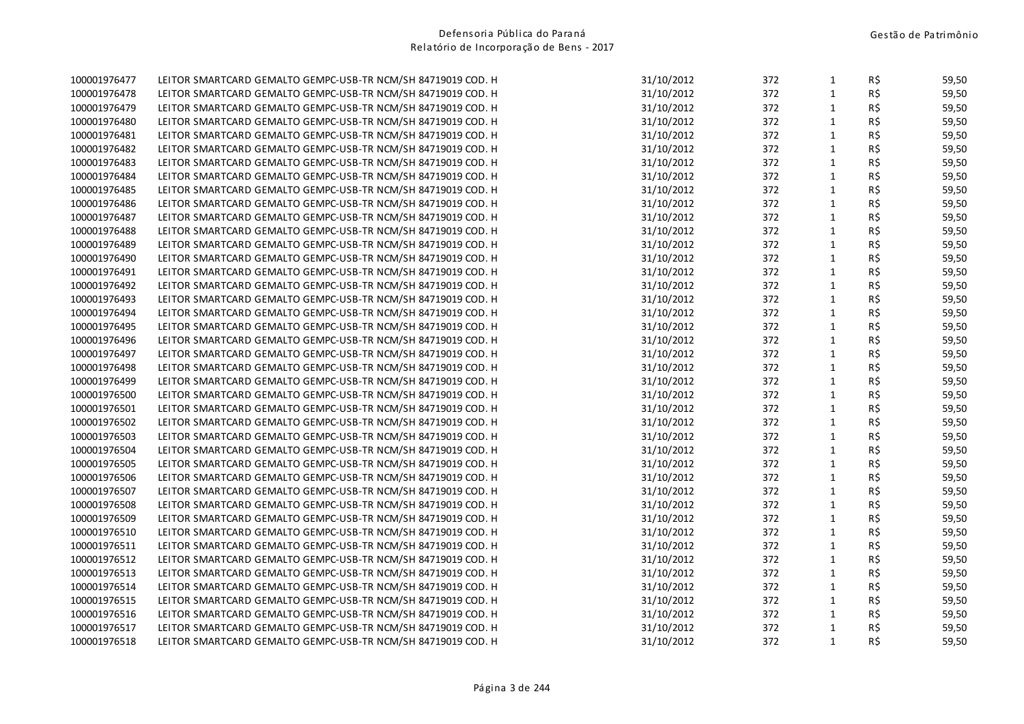| $\mathbf{1}$<br>R\$<br>31/10/2012<br>372<br>59,50<br>100001976478<br>LEITOR SMARTCARD GEMALTO GEMPC-USB-TR NCM/SH 84719019 COD. H<br>31/10/2012<br>372<br>1<br>R\$<br>59,50<br>100001976479<br>LEITOR SMARTCARD GEMALTO GEMPC-USB-TR NCM/SH 84719019 COD. H<br>R\$<br>$\mathbf{1}$<br>100001976480<br>LEITOR SMARTCARD GEMALTO GEMPC-USB-TR NCM/SH 84719019 COD. H<br>31/10/2012<br>372<br>59,50<br>$\mathbf{1}$<br>R\$<br>31/10/2012<br>372<br>59,50<br>100001976481<br>LEITOR SMARTCARD GEMALTO GEMPC-USB-TR NCM/SH 84719019 COD. H<br>$\mathbf{1}$<br>R\$<br>31/10/2012<br>372<br>59,50<br>100001976482<br>LEITOR SMARTCARD GEMALTO GEMPC-USB-TR NCM/SH 84719019 COD. H<br>$\mathbf{1}$<br>31/10/2012<br>372<br>R\$<br>59,50<br>100001976483<br>LEITOR SMARTCARD GEMALTO GEMPC-USB-TR NCM/SH 84719019 COD. H<br>$\mathbf{1}$<br>R\$<br>59,50<br>31/10/2012<br>372<br>LEITOR SMARTCARD GEMALTO GEMPC-USB-TR NCM/SH 84719019 COD. H<br>R\$<br>31/10/2012<br>372<br>$\mathbf{1}$<br>59,50<br>100001976485<br>LEITOR SMARTCARD GEMALTO GEMPC-USB-TR NCM/SH 84719019 COD. H<br>$\mathbf{1}$<br>R\$<br>31/10/2012<br>372<br>59,50<br>100001976486<br>LEITOR SMARTCARD GEMALTO GEMPC-USB-TR NCM/SH 84719019 COD. H<br>$\mathbf{1}$<br>R\$<br>31/10/2012<br>372<br>59,50<br>LEITOR SMARTCARD GEMALTO GEMPC-USB-TR NCM/SH 84719019 COD. H<br>$\mathbf{1}$<br>R\$<br>31/10/2012<br>372<br>59,50<br>100001976488<br>LEITOR SMARTCARD GEMALTO GEMPC-USB-TR NCM/SH 84719019 COD. H<br>R\$<br>$\mathbf{1}$<br>LEITOR SMARTCARD GEMALTO GEMPC-USB-TR NCM/SH 84719019 COD. H<br>31/10/2012<br>372<br>59,50<br>100001976489<br>R\$<br>$\mathbf{1}$<br>31/10/2012<br>372<br>59,50<br>100001976490<br>LEITOR SMARTCARD GEMALTO GEMPC-USB-TR NCM/SH 84719019 COD. H<br>$\mathbf 1$<br>R\$<br>31/10/2012<br>372<br>59,50<br>100001976491<br>LEITOR SMARTCARD GEMALTO GEMPC-USB-TR NCM/SH 84719019 COD. H<br>31/10/2012<br>372<br>$\mathbf{1}$<br>R\$<br>59,50<br>100001976492<br>LEITOR SMARTCARD GEMALTO GEMPC-USB-TR NCM/SH 84719019 COD. H<br>$\mathbf{1}$<br>R\$<br>100001976493<br>31/10/2012<br>372<br>59,50<br>LEITOR SMARTCARD GEMALTO GEMPC-USB-TR NCM/SH 84719019 COD. H<br>R\$<br>31/10/2012<br>372<br>1<br>59,50<br>100001976494<br>LEITOR SMARTCARD GEMALTO GEMPC-USB-TR NCM/SH 84719019 COD. H<br>$\mathbf{1}$<br>R\$<br>31/10/2012<br>372<br>59,50<br>100001976495<br>LEITOR SMARTCARD GEMALTO GEMPC-USB-TR NCM/SH 84719019 COD. H<br>$\mathbf{1}$<br>31/10/2012<br>R\$<br>372<br>59,50<br>LEITOR SMARTCARD GEMALTO GEMPC-USB-TR NCM/SH 84719019 COD. H<br>$\mathbf 1$<br>R\$<br>31/10/2012<br>372<br>59,50<br>LEITOR SMARTCARD GEMALTO GEMPC-USB-TR NCM/SH 84719019 COD. H<br>R\$<br>372<br>$\mathbf{1}$<br>59,50<br>LEITOR SMARTCARD GEMALTO GEMPC-USB-TR NCM/SH 84719019 COD. H<br>31/10/2012<br>R\$<br>372<br>$\mathbf{1}$<br>59,50<br>100001976499<br>31/10/2012<br>LEITOR SMARTCARD GEMALTO GEMPC-USB-TR NCM/SH 84719019 COD. H<br>$\mathbf{1}$<br>R\$<br>31/10/2012<br>372<br>59,50<br>100001976500<br>LEITOR SMARTCARD GEMALTO GEMPC-USB-TR NCM/SH 84719019 COD. H<br>31/10/2012<br>372<br>1<br>R\$<br>59,50<br>100001976501<br>LEITOR SMARTCARD GEMALTO GEMPC-USB-TR NCM/SH 84719019 COD. H<br>R\$<br>$\mathbf{1}$<br>31/10/2012<br>372<br>59,50<br>100001976502<br>LEITOR SMARTCARD GEMALTO GEMPC-USB-TR NCM/SH 84719019 COD. H<br>R\$<br>31/10/2012<br>372<br>$\mathbf{1}$<br>59,50<br>100001976503<br>LEITOR SMARTCARD GEMALTO GEMPC-USB-TR NCM/SH 84719019 COD. H<br>$\mathbf{1}$<br>R\$<br>31/10/2012<br>372<br>100001976504<br>LEITOR SMARTCARD GEMALTO GEMPC-USB-TR NCM/SH 84719019 COD. H<br>59,50<br>$\mathbf{1}$<br>31/10/2012<br>R\$<br>59,50<br>100001976505<br>LEITOR SMARTCARD GEMALTO GEMPC-USB-TR NCM/SH 84719019 COD. H<br>372<br>$\mathbf{1}$<br>R\$<br>31/10/2012<br>372<br>59,50<br>100001976506<br>LEITOR SMARTCARD GEMALTO GEMPC-USB-TR NCM/SH 84719019 COD. H<br>R\$<br>31/10/2012<br>372<br>$\mathbf{1}$<br>59,50<br>100001976507<br>LEITOR SMARTCARD GEMALTO GEMPC-USB-TR NCM/SH 84719019 COD. H<br>$\mathbf{1}$<br>R\$<br>31/10/2012<br>100001976508<br>372<br>59,50<br>LEITOR SMARTCARD GEMALTO GEMPC-USB-TR NCM/SH 84719019 COD. H<br>$\mathbf{1}$<br>R\$<br>31/10/2012<br>372<br>59,50<br>LEITOR SMARTCARD GEMALTO GEMPC-USB-TR NCM/SH 84719019 COD. H<br>$\mathbf{1}$<br>R\$<br>31/10/2012<br>372<br>59,50<br>LEITOR SMARTCARD GEMALTO GEMPC-USB-TR NCM/SH 84719019 COD. H<br>R\$<br>1<br>LEITOR SMARTCARD GEMALTO GEMPC-USB-TR NCM/SH 84719019 COD. H<br>31/10/2012<br>372<br>59,50<br>R\$<br>$\mathbf{1}$<br>31/10/2012<br>372<br>59,50<br>LEITOR SMARTCARD GEMALTO GEMPC-USB-TR NCM/SH 84719019 COD. H<br>$\mathbf{1}$<br>R\$<br>31/10/2012<br>372<br>59,50<br>100001976513<br>LEITOR SMARTCARD GEMALTO GEMPC-USB-TR NCM/SH 84719019 COD. H<br>31/10/2012<br>372<br>$\mathbf{1}$<br>R\$<br>59,50<br>100001976514<br>LEITOR SMARTCARD GEMALTO GEMPC-USB-TR NCM/SH 84719019 COD. H<br>R\$<br>$\mathbf{1}$<br>31/10/2012<br>372<br>59,50<br>100001976515<br>LEITOR SMARTCARD GEMALTO GEMPC-USB-TR NCM/SH 84719019 COD. H<br>R\$<br>372<br>1<br>59,50<br>100001976516<br>LEITOR SMARTCARD GEMALTO GEMPC-USB-TR NCM/SH 84719019 COD. H<br>31/10/2012<br>1<br>R\$<br>100001976517<br>LEITOR SMARTCARD GEMALTO GEMPC-USB-TR NCM/SH 84719019 COD. H<br>31/10/2012<br>372<br>59,50<br>$\mathbf{1}$<br>100001976518<br>LEITOR SMARTCARD GEMALTO GEMPC-USB-TR NCM/SH 84719019 COD. H<br>31/10/2012<br>372<br>R\$<br>59,50 | 100001976477 | LEITOR SMARTCARD GEMALTO GEMPC-USB-TR NCM/SH 84719019 COD. H | 31/10/2012 | 372 | $\mathbf{1}$ | R\$ | 59,50 |
|-------------------------------------------------------------------------------------------------------------------------------------------------------------------------------------------------------------------------------------------------------------------------------------------------------------------------------------------------------------------------------------------------------------------------------------------------------------------------------------------------------------------------------------------------------------------------------------------------------------------------------------------------------------------------------------------------------------------------------------------------------------------------------------------------------------------------------------------------------------------------------------------------------------------------------------------------------------------------------------------------------------------------------------------------------------------------------------------------------------------------------------------------------------------------------------------------------------------------------------------------------------------------------------------------------------------------------------------------------------------------------------------------------------------------------------------------------------------------------------------------------------------------------------------------------------------------------------------------------------------------------------------------------------------------------------------------------------------------------------------------------------------------------------------------------------------------------------------------------------------------------------------------------------------------------------------------------------------------------------------------------------------------------------------------------------------------------------------------------------------------------------------------------------------------------------------------------------------------------------------------------------------------------------------------------------------------------------------------------------------------------------------------------------------------------------------------------------------------------------------------------------------------------------------------------------------------------------------------------------------------------------------------------------------------------------------------------------------------------------------------------------------------------------------------------------------------------------------------------------------------------------------------------------------------------------------------------------------------------------------------------------------------------------------------------------------------------------------------------------------------------------------------------------------------------------------------------------------------------------------------------------------------------------------------------------------------------------------------------------------------------------------------------------------------------------------------------------------------------------------------------------------------------------------------------------------------------------------------------------------------------------------------------------------------------------------------------------------------------------------------------------------------------------------------------------------------------------------------------------------------------------------------------------------------------------------------------------------------------------------------------------------------------------------------------------------------------------------------------------------------------------------------------------------------------------------------------------------------------------------------------------------------------------------------------------------------------------------------------------------------------------------------------------------------------------------------------------------------------------------------------------------------------------------------------------------------------------------------------------------------------------------------------------------------------------------------------------------------------------------------------------------------------------------------------------------------------------------------------------------------------------------------------------------------------------------------------------------------------------------------------------------------------------------------------------------------------------------------------------------------------------------------------------------------------------------------------------------------------------------------------------------------------------------------------------------------------------------------------------------------------------------------------------------------------------------------------|--------------|--------------------------------------------------------------|------------|-----|--------------|-----|-------|
|                                                                                                                                                                                                                                                                                                                                                                                                                                                                                                                                                                                                                                                                                                                                                                                                                                                                                                                                                                                                                                                                                                                                                                                                                                                                                                                                                                                                                                                                                                                                                                                                                                                                                                                                                                                                                                                                                                                                                                                                                                                                                                                                                                                                                                                                                                                                                                                                                                                                                                                                                                                                                                                                                                                                                                                                                                                                                                                                                                                                                                                                                                                                                                                                                                                                                                                                                                                                                                                                                                                                                                                                                                                                                                                                                                                                                                                                                                                                                                                                                                                                                                                                                                                                                                                                                                                                                                                                                                                                                                                                                                                                                                                                                                                                                                                                                                                                                                                                                                                                                                                                                                                                                                                                                                                                                                                                                                                                                                                       |              |                                                              |            |     |              |     |       |
|                                                                                                                                                                                                                                                                                                                                                                                                                                                                                                                                                                                                                                                                                                                                                                                                                                                                                                                                                                                                                                                                                                                                                                                                                                                                                                                                                                                                                                                                                                                                                                                                                                                                                                                                                                                                                                                                                                                                                                                                                                                                                                                                                                                                                                                                                                                                                                                                                                                                                                                                                                                                                                                                                                                                                                                                                                                                                                                                                                                                                                                                                                                                                                                                                                                                                                                                                                                                                                                                                                                                                                                                                                                                                                                                                                                                                                                                                                                                                                                                                                                                                                                                                                                                                                                                                                                                                                                                                                                                                                                                                                                                                                                                                                                                                                                                                                                                                                                                                                                                                                                                                                                                                                                                                                                                                                                                                                                                                                                       |              |                                                              |            |     |              |     |       |
|                                                                                                                                                                                                                                                                                                                                                                                                                                                                                                                                                                                                                                                                                                                                                                                                                                                                                                                                                                                                                                                                                                                                                                                                                                                                                                                                                                                                                                                                                                                                                                                                                                                                                                                                                                                                                                                                                                                                                                                                                                                                                                                                                                                                                                                                                                                                                                                                                                                                                                                                                                                                                                                                                                                                                                                                                                                                                                                                                                                                                                                                                                                                                                                                                                                                                                                                                                                                                                                                                                                                                                                                                                                                                                                                                                                                                                                                                                                                                                                                                                                                                                                                                                                                                                                                                                                                                                                                                                                                                                                                                                                                                                                                                                                                                                                                                                                                                                                                                                                                                                                                                                                                                                                                                                                                                                                                                                                                                                                       |              |                                                              |            |     |              |     |       |
|                                                                                                                                                                                                                                                                                                                                                                                                                                                                                                                                                                                                                                                                                                                                                                                                                                                                                                                                                                                                                                                                                                                                                                                                                                                                                                                                                                                                                                                                                                                                                                                                                                                                                                                                                                                                                                                                                                                                                                                                                                                                                                                                                                                                                                                                                                                                                                                                                                                                                                                                                                                                                                                                                                                                                                                                                                                                                                                                                                                                                                                                                                                                                                                                                                                                                                                                                                                                                                                                                                                                                                                                                                                                                                                                                                                                                                                                                                                                                                                                                                                                                                                                                                                                                                                                                                                                                                                                                                                                                                                                                                                                                                                                                                                                                                                                                                                                                                                                                                                                                                                                                                                                                                                                                                                                                                                                                                                                                                                       |              |                                                              |            |     |              |     |       |
|                                                                                                                                                                                                                                                                                                                                                                                                                                                                                                                                                                                                                                                                                                                                                                                                                                                                                                                                                                                                                                                                                                                                                                                                                                                                                                                                                                                                                                                                                                                                                                                                                                                                                                                                                                                                                                                                                                                                                                                                                                                                                                                                                                                                                                                                                                                                                                                                                                                                                                                                                                                                                                                                                                                                                                                                                                                                                                                                                                                                                                                                                                                                                                                                                                                                                                                                                                                                                                                                                                                                                                                                                                                                                                                                                                                                                                                                                                                                                                                                                                                                                                                                                                                                                                                                                                                                                                                                                                                                                                                                                                                                                                                                                                                                                                                                                                                                                                                                                                                                                                                                                                                                                                                                                                                                                                                                                                                                                                                       |              |                                                              |            |     |              |     |       |
|                                                                                                                                                                                                                                                                                                                                                                                                                                                                                                                                                                                                                                                                                                                                                                                                                                                                                                                                                                                                                                                                                                                                                                                                                                                                                                                                                                                                                                                                                                                                                                                                                                                                                                                                                                                                                                                                                                                                                                                                                                                                                                                                                                                                                                                                                                                                                                                                                                                                                                                                                                                                                                                                                                                                                                                                                                                                                                                                                                                                                                                                                                                                                                                                                                                                                                                                                                                                                                                                                                                                                                                                                                                                                                                                                                                                                                                                                                                                                                                                                                                                                                                                                                                                                                                                                                                                                                                                                                                                                                                                                                                                                                                                                                                                                                                                                                                                                                                                                                                                                                                                                                                                                                                                                                                                                                                                                                                                                                                       |              |                                                              |            |     |              |     |       |
|                                                                                                                                                                                                                                                                                                                                                                                                                                                                                                                                                                                                                                                                                                                                                                                                                                                                                                                                                                                                                                                                                                                                                                                                                                                                                                                                                                                                                                                                                                                                                                                                                                                                                                                                                                                                                                                                                                                                                                                                                                                                                                                                                                                                                                                                                                                                                                                                                                                                                                                                                                                                                                                                                                                                                                                                                                                                                                                                                                                                                                                                                                                                                                                                                                                                                                                                                                                                                                                                                                                                                                                                                                                                                                                                                                                                                                                                                                                                                                                                                                                                                                                                                                                                                                                                                                                                                                                                                                                                                                                                                                                                                                                                                                                                                                                                                                                                                                                                                                                                                                                                                                                                                                                                                                                                                                                                                                                                                                                       | 100001976484 |                                                              |            |     |              |     |       |
|                                                                                                                                                                                                                                                                                                                                                                                                                                                                                                                                                                                                                                                                                                                                                                                                                                                                                                                                                                                                                                                                                                                                                                                                                                                                                                                                                                                                                                                                                                                                                                                                                                                                                                                                                                                                                                                                                                                                                                                                                                                                                                                                                                                                                                                                                                                                                                                                                                                                                                                                                                                                                                                                                                                                                                                                                                                                                                                                                                                                                                                                                                                                                                                                                                                                                                                                                                                                                                                                                                                                                                                                                                                                                                                                                                                                                                                                                                                                                                                                                                                                                                                                                                                                                                                                                                                                                                                                                                                                                                                                                                                                                                                                                                                                                                                                                                                                                                                                                                                                                                                                                                                                                                                                                                                                                                                                                                                                                                                       |              |                                                              |            |     |              |     |       |
|                                                                                                                                                                                                                                                                                                                                                                                                                                                                                                                                                                                                                                                                                                                                                                                                                                                                                                                                                                                                                                                                                                                                                                                                                                                                                                                                                                                                                                                                                                                                                                                                                                                                                                                                                                                                                                                                                                                                                                                                                                                                                                                                                                                                                                                                                                                                                                                                                                                                                                                                                                                                                                                                                                                                                                                                                                                                                                                                                                                                                                                                                                                                                                                                                                                                                                                                                                                                                                                                                                                                                                                                                                                                                                                                                                                                                                                                                                                                                                                                                                                                                                                                                                                                                                                                                                                                                                                                                                                                                                                                                                                                                                                                                                                                                                                                                                                                                                                                                                                                                                                                                                                                                                                                                                                                                                                                                                                                                                                       |              |                                                              |            |     |              |     |       |
|                                                                                                                                                                                                                                                                                                                                                                                                                                                                                                                                                                                                                                                                                                                                                                                                                                                                                                                                                                                                                                                                                                                                                                                                                                                                                                                                                                                                                                                                                                                                                                                                                                                                                                                                                                                                                                                                                                                                                                                                                                                                                                                                                                                                                                                                                                                                                                                                                                                                                                                                                                                                                                                                                                                                                                                                                                                                                                                                                                                                                                                                                                                                                                                                                                                                                                                                                                                                                                                                                                                                                                                                                                                                                                                                                                                                                                                                                                                                                                                                                                                                                                                                                                                                                                                                                                                                                                                                                                                                                                                                                                                                                                                                                                                                                                                                                                                                                                                                                                                                                                                                                                                                                                                                                                                                                                                                                                                                                                                       | 100001976487 |                                                              |            |     |              |     |       |
|                                                                                                                                                                                                                                                                                                                                                                                                                                                                                                                                                                                                                                                                                                                                                                                                                                                                                                                                                                                                                                                                                                                                                                                                                                                                                                                                                                                                                                                                                                                                                                                                                                                                                                                                                                                                                                                                                                                                                                                                                                                                                                                                                                                                                                                                                                                                                                                                                                                                                                                                                                                                                                                                                                                                                                                                                                                                                                                                                                                                                                                                                                                                                                                                                                                                                                                                                                                                                                                                                                                                                                                                                                                                                                                                                                                                                                                                                                                                                                                                                                                                                                                                                                                                                                                                                                                                                                                                                                                                                                                                                                                                                                                                                                                                                                                                                                                                                                                                                                                                                                                                                                                                                                                                                                                                                                                                                                                                                                                       |              |                                                              |            |     |              |     |       |
|                                                                                                                                                                                                                                                                                                                                                                                                                                                                                                                                                                                                                                                                                                                                                                                                                                                                                                                                                                                                                                                                                                                                                                                                                                                                                                                                                                                                                                                                                                                                                                                                                                                                                                                                                                                                                                                                                                                                                                                                                                                                                                                                                                                                                                                                                                                                                                                                                                                                                                                                                                                                                                                                                                                                                                                                                                                                                                                                                                                                                                                                                                                                                                                                                                                                                                                                                                                                                                                                                                                                                                                                                                                                                                                                                                                                                                                                                                                                                                                                                                                                                                                                                                                                                                                                                                                                                                                                                                                                                                                                                                                                                                                                                                                                                                                                                                                                                                                                                                                                                                                                                                                                                                                                                                                                                                                                                                                                                                                       |              |                                                              |            |     |              |     |       |
|                                                                                                                                                                                                                                                                                                                                                                                                                                                                                                                                                                                                                                                                                                                                                                                                                                                                                                                                                                                                                                                                                                                                                                                                                                                                                                                                                                                                                                                                                                                                                                                                                                                                                                                                                                                                                                                                                                                                                                                                                                                                                                                                                                                                                                                                                                                                                                                                                                                                                                                                                                                                                                                                                                                                                                                                                                                                                                                                                                                                                                                                                                                                                                                                                                                                                                                                                                                                                                                                                                                                                                                                                                                                                                                                                                                                                                                                                                                                                                                                                                                                                                                                                                                                                                                                                                                                                                                                                                                                                                                                                                                                                                                                                                                                                                                                                                                                                                                                                                                                                                                                                                                                                                                                                                                                                                                                                                                                                                                       |              |                                                              |            |     |              |     |       |
|                                                                                                                                                                                                                                                                                                                                                                                                                                                                                                                                                                                                                                                                                                                                                                                                                                                                                                                                                                                                                                                                                                                                                                                                                                                                                                                                                                                                                                                                                                                                                                                                                                                                                                                                                                                                                                                                                                                                                                                                                                                                                                                                                                                                                                                                                                                                                                                                                                                                                                                                                                                                                                                                                                                                                                                                                                                                                                                                                                                                                                                                                                                                                                                                                                                                                                                                                                                                                                                                                                                                                                                                                                                                                                                                                                                                                                                                                                                                                                                                                                                                                                                                                                                                                                                                                                                                                                                                                                                                                                                                                                                                                                                                                                                                                                                                                                                                                                                                                                                                                                                                                                                                                                                                                                                                                                                                                                                                                                                       |              |                                                              |            |     |              |     |       |
|                                                                                                                                                                                                                                                                                                                                                                                                                                                                                                                                                                                                                                                                                                                                                                                                                                                                                                                                                                                                                                                                                                                                                                                                                                                                                                                                                                                                                                                                                                                                                                                                                                                                                                                                                                                                                                                                                                                                                                                                                                                                                                                                                                                                                                                                                                                                                                                                                                                                                                                                                                                                                                                                                                                                                                                                                                                                                                                                                                                                                                                                                                                                                                                                                                                                                                                                                                                                                                                                                                                                                                                                                                                                                                                                                                                                                                                                                                                                                                                                                                                                                                                                                                                                                                                                                                                                                                                                                                                                                                                                                                                                                                                                                                                                                                                                                                                                                                                                                                                                                                                                                                                                                                                                                                                                                                                                                                                                                                                       |              |                                                              |            |     |              |     |       |
|                                                                                                                                                                                                                                                                                                                                                                                                                                                                                                                                                                                                                                                                                                                                                                                                                                                                                                                                                                                                                                                                                                                                                                                                                                                                                                                                                                                                                                                                                                                                                                                                                                                                                                                                                                                                                                                                                                                                                                                                                                                                                                                                                                                                                                                                                                                                                                                                                                                                                                                                                                                                                                                                                                                                                                                                                                                                                                                                                                                                                                                                                                                                                                                                                                                                                                                                                                                                                                                                                                                                                                                                                                                                                                                                                                                                                                                                                                                                                                                                                                                                                                                                                                                                                                                                                                                                                                                                                                                                                                                                                                                                                                                                                                                                                                                                                                                                                                                                                                                                                                                                                                                                                                                                                                                                                                                                                                                                                                                       |              |                                                              |            |     |              |     |       |
|                                                                                                                                                                                                                                                                                                                                                                                                                                                                                                                                                                                                                                                                                                                                                                                                                                                                                                                                                                                                                                                                                                                                                                                                                                                                                                                                                                                                                                                                                                                                                                                                                                                                                                                                                                                                                                                                                                                                                                                                                                                                                                                                                                                                                                                                                                                                                                                                                                                                                                                                                                                                                                                                                                                                                                                                                                                                                                                                                                                                                                                                                                                                                                                                                                                                                                                                                                                                                                                                                                                                                                                                                                                                                                                                                                                                                                                                                                                                                                                                                                                                                                                                                                                                                                                                                                                                                                                                                                                                                                                                                                                                                                                                                                                                                                                                                                                                                                                                                                                                                                                                                                                                                                                                                                                                                                                                                                                                                                                       |              |                                                              |            |     |              |     |       |
|                                                                                                                                                                                                                                                                                                                                                                                                                                                                                                                                                                                                                                                                                                                                                                                                                                                                                                                                                                                                                                                                                                                                                                                                                                                                                                                                                                                                                                                                                                                                                                                                                                                                                                                                                                                                                                                                                                                                                                                                                                                                                                                                                                                                                                                                                                                                                                                                                                                                                                                                                                                                                                                                                                                                                                                                                                                                                                                                                                                                                                                                                                                                                                                                                                                                                                                                                                                                                                                                                                                                                                                                                                                                                                                                                                                                                                                                                                                                                                                                                                                                                                                                                                                                                                                                                                                                                                                                                                                                                                                                                                                                                                                                                                                                                                                                                                                                                                                                                                                                                                                                                                                                                                                                                                                                                                                                                                                                                                                       |              |                                                              |            |     |              |     |       |
|                                                                                                                                                                                                                                                                                                                                                                                                                                                                                                                                                                                                                                                                                                                                                                                                                                                                                                                                                                                                                                                                                                                                                                                                                                                                                                                                                                                                                                                                                                                                                                                                                                                                                                                                                                                                                                                                                                                                                                                                                                                                                                                                                                                                                                                                                                                                                                                                                                                                                                                                                                                                                                                                                                                                                                                                                                                                                                                                                                                                                                                                                                                                                                                                                                                                                                                                                                                                                                                                                                                                                                                                                                                                                                                                                                                                                                                                                                                                                                                                                                                                                                                                                                                                                                                                                                                                                                                                                                                                                                                                                                                                                                                                                                                                                                                                                                                                                                                                                                                                                                                                                                                                                                                                                                                                                                                                                                                                                                                       | 100001976496 |                                                              |            |     |              |     |       |
|                                                                                                                                                                                                                                                                                                                                                                                                                                                                                                                                                                                                                                                                                                                                                                                                                                                                                                                                                                                                                                                                                                                                                                                                                                                                                                                                                                                                                                                                                                                                                                                                                                                                                                                                                                                                                                                                                                                                                                                                                                                                                                                                                                                                                                                                                                                                                                                                                                                                                                                                                                                                                                                                                                                                                                                                                                                                                                                                                                                                                                                                                                                                                                                                                                                                                                                                                                                                                                                                                                                                                                                                                                                                                                                                                                                                                                                                                                                                                                                                                                                                                                                                                                                                                                                                                                                                                                                                                                                                                                                                                                                                                                                                                                                                                                                                                                                                                                                                                                                                                                                                                                                                                                                                                                                                                                                                                                                                                                                       | 100001976497 |                                                              |            |     |              |     |       |
|                                                                                                                                                                                                                                                                                                                                                                                                                                                                                                                                                                                                                                                                                                                                                                                                                                                                                                                                                                                                                                                                                                                                                                                                                                                                                                                                                                                                                                                                                                                                                                                                                                                                                                                                                                                                                                                                                                                                                                                                                                                                                                                                                                                                                                                                                                                                                                                                                                                                                                                                                                                                                                                                                                                                                                                                                                                                                                                                                                                                                                                                                                                                                                                                                                                                                                                                                                                                                                                                                                                                                                                                                                                                                                                                                                                                                                                                                                                                                                                                                                                                                                                                                                                                                                                                                                                                                                                                                                                                                                                                                                                                                                                                                                                                                                                                                                                                                                                                                                                                                                                                                                                                                                                                                                                                                                                                                                                                                                                       | 100001976498 |                                                              |            |     |              |     |       |
|                                                                                                                                                                                                                                                                                                                                                                                                                                                                                                                                                                                                                                                                                                                                                                                                                                                                                                                                                                                                                                                                                                                                                                                                                                                                                                                                                                                                                                                                                                                                                                                                                                                                                                                                                                                                                                                                                                                                                                                                                                                                                                                                                                                                                                                                                                                                                                                                                                                                                                                                                                                                                                                                                                                                                                                                                                                                                                                                                                                                                                                                                                                                                                                                                                                                                                                                                                                                                                                                                                                                                                                                                                                                                                                                                                                                                                                                                                                                                                                                                                                                                                                                                                                                                                                                                                                                                                                                                                                                                                                                                                                                                                                                                                                                                                                                                                                                                                                                                                                                                                                                                                                                                                                                                                                                                                                                                                                                                                                       |              |                                                              |            |     |              |     |       |
|                                                                                                                                                                                                                                                                                                                                                                                                                                                                                                                                                                                                                                                                                                                                                                                                                                                                                                                                                                                                                                                                                                                                                                                                                                                                                                                                                                                                                                                                                                                                                                                                                                                                                                                                                                                                                                                                                                                                                                                                                                                                                                                                                                                                                                                                                                                                                                                                                                                                                                                                                                                                                                                                                                                                                                                                                                                                                                                                                                                                                                                                                                                                                                                                                                                                                                                                                                                                                                                                                                                                                                                                                                                                                                                                                                                                                                                                                                                                                                                                                                                                                                                                                                                                                                                                                                                                                                                                                                                                                                                                                                                                                                                                                                                                                                                                                                                                                                                                                                                                                                                                                                                                                                                                                                                                                                                                                                                                                                                       |              |                                                              |            |     |              |     |       |
|                                                                                                                                                                                                                                                                                                                                                                                                                                                                                                                                                                                                                                                                                                                                                                                                                                                                                                                                                                                                                                                                                                                                                                                                                                                                                                                                                                                                                                                                                                                                                                                                                                                                                                                                                                                                                                                                                                                                                                                                                                                                                                                                                                                                                                                                                                                                                                                                                                                                                                                                                                                                                                                                                                                                                                                                                                                                                                                                                                                                                                                                                                                                                                                                                                                                                                                                                                                                                                                                                                                                                                                                                                                                                                                                                                                                                                                                                                                                                                                                                                                                                                                                                                                                                                                                                                                                                                                                                                                                                                                                                                                                                                                                                                                                                                                                                                                                                                                                                                                                                                                                                                                                                                                                                                                                                                                                                                                                                                                       |              |                                                              |            |     |              |     |       |
|                                                                                                                                                                                                                                                                                                                                                                                                                                                                                                                                                                                                                                                                                                                                                                                                                                                                                                                                                                                                                                                                                                                                                                                                                                                                                                                                                                                                                                                                                                                                                                                                                                                                                                                                                                                                                                                                                                                                                                                                                                                                                                                                                                                                                                                                                                                                                                                                                                                                                                                                                                                                                                                                                                                                                                                                                                                                                                                                                                                                                                                                                                                                                                                                                                                                                                                                                                                                                                                                                                                                                                                                                                                                                                                                                                                                                                                                                                                                                                                                                                                                                                                                                                                                                                                                                                                                                                                                                                                                                                                                                                                                                                                                                                                                                                                                                                                                                                                                                                                                                                                                                                                                                                                                                                                                                                                                                                                                                                                       |              |                                                              |            |     |              |     |       |
|                                                                                                                                                                                                                                                                                                                                                                                                                                                                                                                                                                                                                                                                                                                                                                                                                                                                                                                                                                                                                                                                                                                                                                                                                                                                                                                                                                                                                                                                                                                                                                                                                                                                                                                                                                                                                                                                                                                                                                                                                                                                                                                                                                                                                                                                                                                                                                                                                                                                                                                                                                                                                                                                                                                                                                                                                                                                                                                                                                                                                                                                                                                                                                                                                                                                                                                                                                                                                                                                                                                                                                                                                                                                                                                                                                                                                                                                                                                                                                                                                                                                                                                                                                                                                                                                                                                                                                                                                                                                                                                                                                                                                                                                                                                                                                                                                                                                                                                                                                                                                                                                                                                                                                                                                                                                                                                                                                                                                                                       |              |                                                              |            |     |              |     |       |
|                                                                                                                                                                                                                                                                                                                                                                                                                                                                                                                                                                                                                                                                                                                                                                                                                                                                                                                                                                                                                                                                                                                                                                                                                                                                                                                                                                                                                                                                                                                                                                                                                                                                                                                                                                                                                                                                                                                                                                                                                                                                                                                                                                                                                                                                                                                                                                                                                                                                                                                                                                                                                                                                                                                                                                                                                                                                                                                                                                                                                                                                                                                                                                                                                                                                                                                                                                                                                                                                                                                                                                                                                                                                                                                                                                                                                                                                                                                                                                                                                                                                                                                                                                                                                                                                                                                                                                                                                                                                                                                                                                                                                                                                                                                                                                                                                                                                                                                                                                                                                                                                                                                                                                                                                                                                                                                                                                                                                                                       |              |                                                              |            |     |              |     |       |
|                                                                                                                                                                                                                                                                                                                                                                                                                                                                                                                                                                                                                                                                                                                                                                                                                                                                                                                                                                                                                                                                                                                                                                                                                                                                                                                                                                                                                                                                                                                                                                                                                                                                                                                                                                                                                                                                                                                                                                                                                                                                                                                                                                                                                                                                                                                                                                                                                                                                                                                                                                                                                                                                                                                                                                                                                                                                                                                                                                                                                                                                                                                                                                                                                                                                                                                                                                                                                                                                                                                                                                                                                                                                                                                                                                                                                                                                                                                                                                                                                                                                                                                                                                                                                                                                                                                                                                                                                                                                                                                                                                                                                                                                                                                                                                                                                                                                                                                                                                                                                                                                                                                                                                                                                                                                                                                                                                                                                                                       |              |                                                              |            |     |              |     |       |
|                                                                                                                                                                                                                                                                                                                                                                                                                                                                                                                                                                                                                                                                                                                                                                                                                                                                                                                                                                                                                                                                                                                                                                                                                                                                                                                                                                                                                                                                                                                                                                                                                                                                                                                                                                                                                                                                                                                                                                                                                                                                                                                                                                                                                                                                                                                                                                                                                                                                                                                                                                                                                                                                                                                                                                                                                                                                                                                                                                                                                                                                                                                                                                                                                                                                                                                                                                                                                                                                                                                                                                                                                                                                                                                                                                                                                                                                                                                                                                                                                                                                                                                                                                                                                                                                                                                                                                                                                                                                                                                                                                                                                                                                                                                                                                                                                                                                                                                                                                                                                                                                                                                                                                                                                                                                                                                                                                                                                                                       |              |                                                              |            |     |              |     |       |
|                                                                                                                                                                                                                                                                                                                                                                                                                                                                                                                                                                                                                                                                                                                                                                                                                                                                                                                                                                                                                                                                                                                                                                                                                                                                                                                                                                                                                                                                                                                                                                                                                                                                                                                                                                                                                                                                                                                                                                                                                                                                                                                                                                                                                                                                                                                                                                                                                                                                                                                                                                                                                                                                                                                                                                                                                                                                                                                                                                                                                                                                                                                                                                                                                                                                                                                                                                                                                                                                                                                                                                                                                                                                                                                                                                                                                                                                                                                                                                                                                                                                                                                                                                                                                                                                                                                                                                                                                                                                                                                                                                                                                                                                                                                                                                                                                                                                                                                                                                                                                                                                                                                                                                                                                                                                                                                                                                                                                                                       |              |                                                              |            |     |              |     |       |
|                                                                                                                                                                                                                                                                                                                                                                                                                                                                                                                                                                                                                                                                                                                                                                                                                                                                                                                                                                                                                                                                                                                                                                                                                                                                                                                                                                                                                                                                                                                                                                                                                                                                                                                                                                                                                                                                                                                                                                                                                                                                                                                                                                                                                                                                                                                                                                                                                                                                                                                                                                                                                                                                                                                                                                                                                                                                                                                                                                                                                                                                                                                                                                                                                                                                                                                                                                                                                                                                                                                                                                                                                                                                                                                                                                                                                                                                                                                                                                                                                                                                                                                                                                                                                                                                                                                                                                                                                                                                                                                                                                                                                                                                                                                                                                                                                                                                                                                                                                                                                                                                                                                                                                                                                                                                                                                                                                                                                                                       |              |                                                              |            |     |              |     |       |
|                                                                                                                                                                                                                                                                                                                                                                                                                                                                                                                                                                                                                                                                                                                                                                                                                                                                                                                                                                                                                                                                                                                                                                                                                                                                                                                                                                                                                                                                                                                                                                                                                                                                                                                                                                                                                                                                                                                                                                                                                                                                                                                                                                                                                                                                                                                                                                                                                                                                                                                                                                                                                                                                                                                                                                                                                                                                                                                                                                                                                                                                                                                                                                                                                                                                                                                                                                                                                                                                                                                                                                                                                                                                                                                                                                                                                                                                                                                                                                                                                                                                                                                                                                                                                                                                                                                                                                                                                                                                                                                                                                                                                                                                                                                                                                                                                                                                                                                                                                                                                                                                                                                                                                                                                                                                                                                                                                                                                                                       | 100001976509 |                                                              |            |     |              |     |       |
|                                                                                                                                                                                                                                                                                                                                                                                                                                                                                                                                                                                                                                                                                                                                                                                                                                                                                                                                                                                                                                                                                                                                                                                                                                                                                                                                                                                                                                                                                                                                                                                                                                                                                                                                                                                                                                                                                                                                                                                                                                                                                                                                                                                                                                                                                                                                                                                                                                                                                                                                                                                                                                                                                                                                                                                                                                                                                                                                                                                                                                                                                                                                                                                                                                                                                                                                                                                                                                                                                                                                                                                                                                                                                                                                                                                                                                                                                                                                                                                                                                                                                                                                                                                                                                                                                                                                                                                                                                                                                                                                                                                                                                                                                                                                                                                                                                                                                                                                                                                                                                                                                                                                                                                                                                                                                                                                                                                                                                                       | 100001976510 |                                                              |            |     |              |     |       |
|                                                                                                                                                                                                                                                                                                                                                                                                                                                                                                                                                                                                                                                                                                                                                                                                                                                                                                                                                                                                                                                                                                                                                                                                                                                                                                                                                                                                                                                                                                                                                                                                                                                                                                                                                                                                                                                                                                                                                                                                                                                                                                                                                                                                                                                                                                                                                                                                                                                                                                                                                                                                                                                                                                                                                                                                                                                                                                                                                                                                                                                                                                                                                                                                                                                                                                                                                                                                                                                                                                                                                                                                                                                                                                                                                                                                                                                                                                                                                                                                                                                                                                                                                                                                                                                                                                                                                                                                                                                                                                                                                                                                                                                                                                                                                                                                                                                                                                                                                                                                                                                                                                                                                                                                                                                                                                                                                                                                                                                       | 100001976511 |                                                              |            |     |              |     |       |
|                                                                                                                                                                                                                                                                                                                                                                                                                                                                                                                                                                                                                                                                                                                                                                                                                                                                                                                                                                                                                                                                                                                                                                                                                                                                                                                                                                                                                                                                                                                                                                                                                                                                                                                                                                                                                                                                                                                                                                                                                                                                                                                                                                                                                                                                                                                                                                                                                                                                                                                                                                                                                                                                                                                                                                                                                                                                                                                                                                                                                                                                                                                                                                                                                                                                                                                                                                                                                                                                                                                                                                                                                                                                                                                                                                                                                                                                                                                                                                                                                                                                                                                                                                                                                                                                                                                                                                                                                                                                                                                                                                                                                                                                                                                                                                                                                                                                                                                                                                                                                                                                                                                                                                                                                                                                                                                                                                                                                                                       | 100001976512 |                                                              |            |     |              |     |       |
|                                                                                                                                                                                                                                                                                                                                                                                                                                                                                                                                                                                                                                                                                                                                                                                                                                                                                                                                                                                                                                                                                                                                                                                                                                                                                                                                                                                                                                                                                                                                                                                                                                                                                                                                                                                                                                                                                                                                                                                                                                                                                                                                                                                                                                                                                                                                                                                                                                                                                                                                                                                                                                                                                                                                                                                                                                                                                                                                                                                                                                                                                                                                                                                                                                                                                                                                                                                                                                                                                                                                                                                                                                                                                                                                                                                                                                                                                                                                                                                                                                                                                                                                                                                                                                                                                                                                                                                                                                                                                                                                                                                                                                                                                                                                                                                                                                                                                                                                                                                                                                                                                                                                                                                                                                                                                                                                                                                                                                                       |              |                                                              |            |     |              |     |       |
|                                                                                                                                                                                                                                                                                                                                                                                                                                                                                                                                                                                                                                                                                                                                                                                                                                                                                                                                                                                                                                                                                                                                                                                                                                                                                                                                                                                                                                                                                                                                                                                                                                                                                                                                                                                                                                                                                                                                                                                                                                                                                                                                                                                                                                                                                                                                                                                                                                                                                                                                                                                                                                                                                                                                                                                                                                                                                                                                                                                                                                                                                                                                                                                                                                                                                                                                                                                                                                                                                                                                                                                                                                                                                                                                                                                                                                                                                                                                                                                                                                                                                                                                                                                                                                                                                                                                                                                                                                                                                                                                                                                                                                                                                                                                                                                                                                                                                                                                                                                                                                                                                                                                                                                                                                                                                                                                                                                                                                                       |              |                                                              |            |     |              |     |       |
|                                                                                                                                                                                                                                                                                                                                                                                                                                                                                                                                                                                                                                                                                                                                                                                                                                                                                                                                                                                                                                                                                                                                                                                                                                                                                                                                                                                                                                                                                                                                                                                                                                                                                                                                                                                                                                                                                                                                                                                                                                                                                                                                                                                                                                                                                                                                                                                                                                                                                                                                                                                                                                                                                                                                                                                                                                                                                                                                                                                                                                                                                                                                                                                                                                                                                                                                                                                                                                                                                                                                                                                                                                                                                                                                                                                                                                                                                                                                                                                                                                                                                                                                                                                                                                                                                                                                                                                                                                                                                                                                                                                                                                                                                                                                                                                                                                                                                                                                                                                                                                                                                                                                                                                                                                                                                                                                                                                                                                                       |              |                                                              |            |     |              |     |       |
|                                                                                                                                                                                                                                                                                                                                                                                                                                                                                                                                                                                                                                                                                                                                                                                                                                                                                                                                                                                                                                                                                                                                                                                                                                                                                                                                                                                                                                                                                                                                                                                                                                                                                                                                                                                                                                                                                                                                                                                                                                                                                                                                                                                                                                                                                                                                                                                                                                                                                                                                                                                                                                                                                                                                                                                                                                                                                                                                                                                                                                                                                                                                                                                                                                                                                                                                                                                                                                                                                                                                                                                                                                                                                                                                                                                                                                                                                                                                                                                                                                                                                                                                                                                                                                                                                                                                                                                                                                                                                                                                                                                                                                                                                                                                                                                                                                                                                                                                                                                                                                                                                                                                                                                                                                                                                                                                                                                                                                                       |              |                                                              |            |     |              |     |       |
|                                                                                                                                                                                                                                                                                                                                                                                                                                                                                                                                                                                                                                                                                                                                                                                                                                                                                                                                                                                                                                                                                                                                                                                                                                                                                                                                                                                                                                                                                                                                                                                                                                                                                                                                                                                                                                                                                                                                                                                                                                                                                                                                                                                                                                                                                                                                                                                                                                                                                                                                                                                                                                                                                                                                                                                                                                                                                                                                                                                                                                                                                                                                                                                                                                                                                                                                                                                                                                                                                                                                                                                                                                                                                                                                                                                                                                                                                                                                                                                                                                                                                                                                                                                                                                                                                                                                                                                                                                                                                                                                                                                                                                                                                                                                                                                                                                                                                                                                                                                                                                                                                                                                                                                                                                                                                                                                                                                                                                                       |              |                                                              |            |     |              |     |       |
|                                                                                                                                                                                                                                                                                                                                                                                                                                                                                                                                                                                                                                                                                                                                                                                                                                                                                                                                                                                                                                                                                                                                                                                                                                                                                                                                                                                                                                                                                                                                                                                                                                                                                                                                                                                                                                                                                                                                                                                                                                                                                                                                                                                                                                                                                                                                                                                                                                                                                                                                                                                                                                                                                                                                                                                                                                                                                                                                                                                                                                                                                                                                                                                                                                                                                                                                                                                                                                                                                                                                                                                                                                                                                                                                                                                                                                                                                                                                                                                                                                                                                                                                                                                                                                                                                                                                                                                                                                                                                                                                                                                                                                                                                                                                                                                                                                                                                                                                                                                                                                                                                                                                                                                                                                                                                                                                                                                                                                                       |              |                                                              |            |     |              |     |       |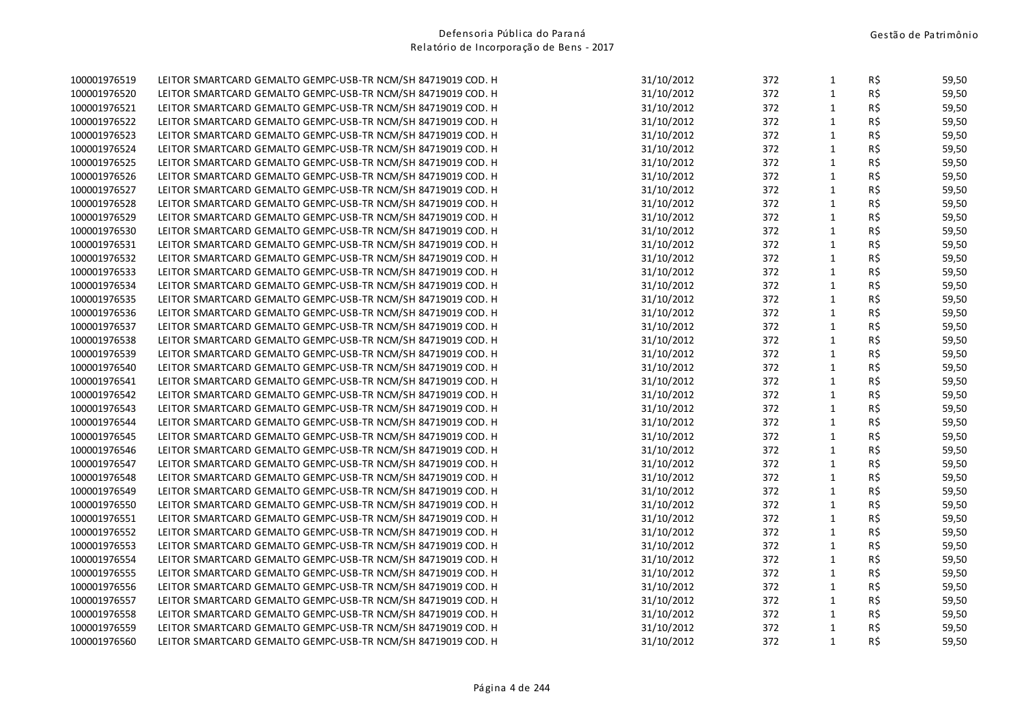| $\mathbf{1}$<br>R\$<br>31/10/2012<br>372<br>59,50<br>LEITOR SMARTCARD GEMALTO GEMPC-USB-TR NCM/SH 84719019 COD. H<br>31/10/2012<br>372<br>1<br>R\$<br>59,50<br>LEITOR SMARTCARD GEMALTO GEMPC-USB-TR NCM/SH 84719019 COD. H<br>R\$<br>$\mathbf{1}$<br>LEITOR SMARTCARD GEMALTO GEMPC-USB-TR NCM/SH 84719019 COD. H<br>31/10/2012<br>372<br>59,50<br>$\mathbf{1}$<br>R\$<br>31/10/2012<br>372<br>59,50<br>LEITOR SMARTCARD GEMALTO GEMPC-USB-TR NCM/SH 84719019 COD. H<br>$\mathbf{1}$<br>R\$<br>31/10/2012<br>372<br>59,50<br>LEITOR SMARTCARD GEMALTO GEMPC-USB-TR NCM/SH 84719019 COD. H<br>$\mathbf{1}$<br>31/10/2012<br>372<br>R\$<br>59,50<br>LEITOR SMARTCARD GEMALTO GEMPC-USB-TR NCM/SH 84719019 COD. H<br>$\mathbf{1}$<br>R\$<br>59,50<br>31/10/2012<br>372<br>LEITOR SMARTCARD GEMALTO GEMPC-USB-TR NCM/SH 84719019 COD. H<br>R\$<br>31/10/2012<br>372<br>$\mathbf{1}$<br>59,50<br>LEITOR SMARTCARD GEMALTO GEMPC-USB-TR NCM/SH 84719019 COD. H<br>$\mathbf{1}$<br>R\$<br>31/10/2012<br>372<br>59,50<br>LEITOR SMARTCARD GEMALTO GEMPC-USB-TR NCM/SH 84719019 COD. H<br>$\mathbf{1}$<br>R\$<br>31/10/2012<br>372<br>59,50<br>LEITOR SMARTCARD GEMALTO GEMPC-USB-TR NCM/SH 84719019 COD. H<br>$\mathbf{1}$<br>R\$<br>31/10/2012<br>372<br>59,50<br>LEITOR SMARTCARD GEMALTO GEMPC-USB-TR NCM/SH 84719019 COD. H<br>R\$<br>$\mathbf{1}$<br>LEITOR SMARTCARD GEMALTO GEMPC-USB-TR NCM/SH 84719019 COD. H<br>31/10/2012<br>372<br>59,50<br>R\$<br>$\mathbf{1}$<br>31/10/2012<br>372<br>59,50<br>LEITOR SMARTCARD GEMALTO GEMPC-USB-TR NCM/SH 84719019 COD. H<br>$\mathbf 1$<br>R\$<br>31/10/2012<br>372<br>59,50<br>LEITOR SMARTCARD GEMALTO GEMPC-USB-TR NCM/SH 84719019 COD. H<br>31/10/2012<br>372<br>$\mathbf{1}$<br>R\$<br>59,50<br>LEITOR SMARTCARD GEMALTO GEMPC-USB-TR NCM/SH 84719019 COD. H<br>$\mathbf{1}$<br>R\$<br>31/10/2012<br>372<br>59,50<br>LEITOR SMARTCARD GEMALTO GEMPC-USB-TR NCM/SH 84719019 COD. H<br>R\$<br>31/10/2012<br>372<br>1<br>59,50<br>LEITOR SMARTCARD GEMALTO GEMPC-USB-TR NCM/SH 84719019 COD. H<br>$\mathbf{1}$<br>R\$<br>31/10/2012<br>372<br>59,50<br>LEITOR SMARTCARD GEMALTO GEMPC-USB-TR NCM/SH 84719019 COD. H<br>$\mathbf{1}$<br>31/10/2012<br>R\$<br>372<br>59,50<br>LEITOR SMARTCARD GEMALTO GEMPC-USB-TR NCM/SH 84719019 COD. H<br>$\mathbf 1$<br>R\$<br>31/10/2012<br>372<br>59,50<br>LEITOR SMARTCARD GEMALTO GEMPC-USB-TR NCM/SH 84719019 COD. H<br>R\$<br>372<br>$\mathbf{1}$<br>59,50<br>LEITOR SMARTCARD GEMALTO GEMPC-USB-TR NCM/SH 84719019 COD. H<br>31/10/2012<br>R\$<br>372<br>$\mathbf{1}$<br>59,50<br>31/10/2012<br>LEITOR SMARTCARD GEMALTO GEMPC-USB-TR NCM/SH 84719019 COD. H<br>$\mathbf{1}$<br>R\$<br>31/10/2012<br>372<br>59,50<br>LEITOR SMARTCARD GEMALTO GEMPC-USB-TR NCM/SH 84719019 COD. H<br>31/10/2012<br>372<br>1<br>R\$<br>59,50<br>LEITOR SMARTCARD GEMALTO GEMPC-USB-TR NCM/SH 84719019 COD. H<br>R\$<br>$\mathbf{1}$<br>31/10/2012<br>372<br>59,50<br>LEITOR SMARTCARD GEMALTO GEMPC-USB-TR NCM/SH 84719019 COD. H<br>R\$<br>31/10/2012<br>372<br>$\mathbf{1}$<br>59,50<br>LEITOR SMARTCARD GEMALTO GEMPC-USB-TR NCM/SH 84719019 COD. H<br>$\mathbf{1}$<br>R\$<br>31/10/2012<br>372<br>LEITOR SMARTCARD GEMALTO GEMPC-USB-TR NCM/SH 84719019 COD. H<br>59,50<br>$\mathbf{1}$<br>31/10/2012<br>R\$<br>59,50<br>LEITOR SMARTCARD GEMALTO GEMPC-USB-TR NCM/SH 84719019 COD. H<br>372<br>$\mathbf{1}$<br>R\$<br>31/10/2012<br>372<br>59,50<br>LEITOR SMARTCARD GEMALTO GEMPC-USB-TR NCM/SH 84719019 COD. H<br>R\$<br>31/10/2012<br>372<br>$\mathbf{1}$<br>59,50<br>LEITOR SMARTCARD GEMALTO GEMPC-USB-TR NCM/SH 84719019 COD. H<br>$\mathbf{1}$<br>R\$<br>31/10/2012<br>372<br>59,50<br>LEITOR SMARTCARD GEMALTO GEMPC-USB-TR NCM/SH 84719019 COD. H<br>$\mathbf{1}$<br>R\$<br>31/10/2012<br>372<br>59,50<br>LEITOR SMARTCARD GEMALTO GEMPC-USB-TR NCM/SH 84719019 COD. H<br>$\mathbf{1}$<br>R\$<br>31/10/2012<br>372<br>59,50<br>LEITOR SMARTCARD GEMALTO GEMPC-USB-TR NCM/SH 84719019 COD. H<br>R\$<br>1<br>LEITOR SMARTCARD GEMALTO GEMPC-USB-TR NCM/SH 84719019 COD. H<br>31/10/2012<br>372<br>59,50<br>R\$<br>$\mathbf{1}$<br>31/10/2012<br>372<br>59,50<br>LEITOR SMARTCARD GEMALTO GEMPC-USB-TR NCM/SH 84719019 COD. H<br>$\mathbf{1}$<br>R\$<br>31/10/2012<br>372<br>59,50<br>LEITOR SMARTCARD GEMALTO GEMPC-USB-TR NCM/SH 84719019 COD. H<br>31/10/2012<br>372<br>$\mathbf{1}$<br>R\$<br>59,50<br>LEITOR SMARTCARD GEMALTO GEMPC-USB-TR NCM/SH 84719019 COD. H<br>$\mathbf{1}$<br>R\$<br>31/10/2012<br>372<br>59,50<br>LEITOR SMARTCARD GEMALTO GEMPC-USB-TR NCM/SH 84719019 COD. H<br>R\$<br>372<br>1<br>59,50<br>LEITOR SMARTCARD GEMALTO GEMPC-USB-TR NCM/SH 84719019 COD. H<br>31/10/2012<br>1<br>R\$<br>LEITOR SMARTCARD GEMALTO GEMPC-USB-TR NCM/SH 84719019 COD. H<br>31/10/2012<br>372<br>59,50<br>$\mathbf{1}$<br>LEITOR SMARTCARD GEMALTO GEMPC-USB-TR NCM/SH 84719019 COD. H<br>31/10/2012<br>372<br>R\$<br>59,50 | 100001976519 | LEITOR SMARTCARD GEMALTO GEMPC-USB-TR NCM/SH 84719019 COD. H | 31/10/2012 | 372 | $\mathbf{1}$ | R\$ | 59,50 |
|-----------------------------------------------------------------------------------------------------------------------------------------------------------------------------------------------------------------------------------------------------------------------------------------------------------------------------------------------------------------------------------------------------------------------------------------------------------------------------------------------------------------------------------------------------------------------------------------------------------------------------------------------------------------------------------------------------------------------------------------------------------------------------------------------------------------------------------------------------------------------------------------------------------------------------------------------------------------------------------------------------------------------------------------------------------------------------------------------------------------------------------------------------------------------------------------------------------------------------------------------------------------------------------------------------------------------------------------------------------------------------------------------------------------------------------------------------------------------------------------------------------------------------------------------------------------------------------------------------------------------------------------------------------------------------------------------------------------------------------------------------------------------------------------------------------------------------------------------------------------------------------------------------------------------------------------------------------------------------------------------------------------------------------------------------------------------------------------------------------------------------------------------------------------------------------------------------------------------------------------------------------------------------------------------------------------------------------------------------------------------------------------------------------------------------------------------------------------------------------------------------------------------------------------------------------------------------------------------------------------------------------------------------------------------------------------------------------------------------------------------------------------------------------------------------------------------------------------------------------------------------------------------------------------------------------------------------------------------------------------------------------------------------------------------------------------------------------------------------------------------------------------------------------------------------------------------------------------------------------------------------------------------------------------------------------------------------------------------------------------------------------------------------------------------------------------------------------------------------------------------------------------------------------------------------------------------------------------------------------------------------------------------------------------------------------------------------------------------------------------------------------------------------------------------------------------------------------------------------------------------------------------------------------------------------------------------------------------------------------------------------------------------------------------------------------------------------------------------------------------------------------------------------------------------------------------------------------------------------------------------------------------------------------------------------------------------------------------------------------------------------------------------------------------------------------------------------------------------------------------------------------------------------------------------------------------------------------------------------------------------------------------------------------------------------------------------------------------------------------------------------------------------------------------------------------------------------------------------------------------------------------------------------------------------|--------------|--------------------------------------------------------------|------------|-----|--------------|-----|-------|
|                                                                                                                                                                                                                                                                                                                                                                                                                                                                                                                                                                                                                                                                                                                                                                                                                                                                                                                                                                                                                                                                                                                                                                                                                                                                                                                                                                                                                                                                                                                                                                                                                                                                                                                                                                                                                                                                                                                                                                                                                                                                                                                                                                                                                                                                                                                                                                                                                                                                                                                                                                                                                                                                                                                                                                                                                                                                                                                                                                                                                                                                                                                                                                                                                                                                                                                                                                                                                                                                                                                                                                                                                                                                                                                                                                                                                                                                                                                                                                                                                                                                                                                                                                                                                                                                                                                                                                                                                                                                                                                                                                                                                                                                                                                                                                                                                                                                                                                       | 100001976520 |                                                              |            |     |              |     |       |
|                                                                                                                                                                                                                                                                                                                                                                                                                                                                                                                                                                                                                                                                                                                                                                                                                                                                                                                                                                                                                                                                                                                                                                                                                                                                                                                                                                                                                                                                                                                                                                                                                                                                                                                                                                                                                                                                                                                                                                                                                                                                                                                                                                                                                                                                                                                                                                                                                                                                                                                                                                                                                                                                                                                                                                                                                                                                                                                                                                                                                                                                                                                                                                                                                                                                                                                                                                                                                                                                                                                                                                                                                                                                                                                                                                                                                                                                                                                                                                                                                                                                                                                                                                                                                                                                                                                                                                                                                                                                                                                                                                                                                                                                                                                                                                                                                                                                                                                       | 100001976521 |                                                              |            |     |              |     |       |
|                                                                                                                                                                                                                                                                                                                                                                                                                                                                                                                                                                                                                                                                                                                                                                                                                                                                                                                                                                                                                                                                                                                                                                                                                                                                                                                                                                                                                                                                                                                                                                                                                                                                                                                                                                                                                                                                                                                                                                                                                                                                                                                                                                                                                                                                                                                                                                                                                                                                                                                                                                                                                                                                                                                                                                                                                                                                                                                                                                                                                                                                                                                                                                                                                                                                                                                                                                                                                                                                                                                                                                                                                                                                                                                                                                                                                                                                                                                                                                                                                                                                                                                                                                                                                                                                                                                                                                                                                                                                                                                                                                                                                                                                                                                                                                                                                                                                                                                       | 100001976522 |                                                              |            |     |              |     |       |
|                                                                                                                                                                                                                                                                                                                                                                                                                                                                                                                                                                                                                                                                                                                                                                                                                                                                                                                                                                                                                                                                                                                                                                                                                                                                                                                                                                                                                                                                                                                                                                                                                                                                                                                                                                                                                                                                                                                                                                                                                                                                                                                                                                                                                                                                                                                                                                                                                                                                                                                                                                                                                                                                                                                                                                                                                                                                                                                                                                                                                                                                                                                                                                                                                                                                                                                                                                                                                                                                                                                                                                                                                                                                                                                                                                                                                                                                                                                                                                                                                                                                                                                                                                                                                                                                                                                                                                                                                                                                                                                                                                                                                                                                                                                                                                                                                                                                                                                       | 100001976523 |                                                              |            |     |              |     |       |
|                                                                                                                                                                                                                                                                                                                                                                                                                                                                                                                                                                                                                                                                                                                                                                                                                                                                                                                                                                                                                                                                                                                                                                                                                                                                                                                                                                                                                                                                                                                                                                                                                                                                                                                                                                                                                                                                                                                                                                                                                                                                                                                                                                                                                                                                                                                                                                                                                                                                                                                                                                                                                                                                                                                                                                                                                                                                                                                                                                                                                                                                                                                                                                                                                                                                                                                                                                                                                                                                                                                                                                                                                                                                                                                                                                                                                                                                                                                                                                                                                                                                                                                                                                                                                                                                                                                                                                                                                                                                                                                                                                                                                                                                                                                                                                                                                                                                                                                       | 100001976524 |                                                              |            |     |              |     |       |
|                                                                                                                                                                                                                                                                                                                                                                                                                                                                                                                                                                                                                                                                                                                                                                                                                                                                                                                                                                                                                                                                                                                                                                                                                                                                                                                                                                                                                                                                                                                                                                                                                                                                                                                                                                                                                                                                                                                                                                                                                                                                                                                                                                                                                                                                                                                                                                                                                                                                                                                                                                                                                                                                                                                                                                                                                                                                                                                                                                                                                                                                                                                                                                                                                                                                                                                                                                                                                                                                                                                                                                                                                                                                                                                                                                                                                                                                                                                                                                                                                                                                                                                                                                                                                                                                                                                                                                                                                                                                                                                                                                                                                                                                                                                                                                                                                                                                                                                       | 100001976525 |                                                              |            |     |              |     |       |
|                                                                                                                                                                                                                                                                                                                                                                                                                                                                                                                                                                                                                                                                                                                                                                                                                                                                                                                                                                                                                                                                                                                                                                                                                                                                                                                                                                                                                                                                                                                                                                                                                                                                                                                                                                                                                                                                                                                                                                                                                                                                                                                                                                                                                                                                                                                                                                                                                                                                                                                                                                                                                                                                                                                                                                                                                                                                                                                                                                                                                                                                                                                                                                                                                                                                                                                                                                                                                                                                                                                                                                                                                                                                                                                                                                                                                                                                                                                                                                                                                                                                                                                                                                                                                                                                                                                                                                                                                                                                                                                                                                                                                                                                                                                                                                                                                                                                                                                       | 100001976526 |                                                              |            |     |              |     |       |
|                                                                                                                                                                                                                                                                                                                                                                                                                                                                                                                                                                                                                                                                                                                                                                                                                                                                                                                                                                                                                                                                                                                                                                                                                                                                                                                                                                                                                                                                                                                                                                                                                                                                                                                                                                                                                                                                                                                                                                                                                                                                                                                                                                                                                                                                                                                                                                                                                                                                                                                                                                                                                                                                                                                                                                                                                                                                                                                                                                                                                                                                                                                                                                                                                                                                                                                                                                                                                                                                                                                                                                                                                                                                                                                                                                                                                                                                                                                                                                                                                                                                                                                                                                                                                                                                                                                                                                                                                                                                                                                                                                                                                                                                                                                                                                                                                                                                                                                       | 100001976527 |                                                              |            |     |              |     |       |
|                                                                                                                                                                                                                                                                                                                                                                                                                                                                                                                                                                                                                                                                                                                                                                                                                                                                                                                                                                                                                                                                                                                                                                                                                                                                                                                                                                                                                                                                                                                                                                                                                                                                                                                                                                                                                                                                                                                                                                                                                                                                                                                                                                                                                                                                                                                                                                                                                                                                                                                                                                                                                                                                                                                                                                                                                                                                                                                                                                                                                                                                                                                                                                                                                                                                                                                                                                                                                                                                                                                                                                                                                                                                                                                                                                                                                                                                                                                                                                                                                                                                                                                                                                                                                                                                                                                                                                                                                                                                                                                                                                                                                                                                                                                                                                                                                                                                                                                       | 100001976528 |                                                              |            |     |              |     |       |
|                                                                                                                                                                                                                                                                                                                                                                                                                                                                                                                                                                                                                                                                                                                                                                                                                                                                                                                                                                                                                                                                                                                                                                                                                                                                                                                                                                                                                                                                                                                                                                                                                                                                                                                                                                                                                                                                                                                                                                                                                                                                                                                                                                                                                                                                                                                                                                                                                                                                                                                                                                                                                                                                                                                                                                                                                                                                                                                                                                                                                                                                                                                                                                                                                                                                                                                                                                                                                                                                                                                                                                                                                                                                                                                                                                                                                                                                                                                                                                                                                                                                                                                                                                                                                                                                                                                                                                                                                                                                                                                                                                                                                                                                                                                                                                                                                                                                                                                       | 100001976529 |                                                              |            |     |              |     |       |
|                                                                                                                                                                                                                                                                                                                                                                                                                                                                                                                                                                                                                                                                                                                                                                                                                                                                                                                                                                                                                                                                                                                                                                                                                                                                                                                                                                                                                                                                                                                                                                                                                                                                                                                                                                                                                                                                                                                                                                                                                                                                                                                                                                                                                                                                                                                                                                                                                                                                                                                                                                                                                                                                                                                                                                                                                                                                                                                                                                                                                                                                                                                                                                                                                                                                                                                                                                                                                                                                                                                                                                                                                                                                                                                                                                                                                                                                                                                                                                                                                                                                                                                                                                                                                                                                                                                                                                                                                                                                                                                                                                                                                                                                                                                                                                                                                                                                                                                       | 100001976530 |                                                              |            |     |              |     |       |
|                                                                                                                                                                                                                                                                                                                                                                                                                                                                                                                                                                                                                                                                                                                                                                                                                                                                                                                                                                                                                                                                                                                                                                                                                                                                                                                                                                                                                                                                                                                                                                                                                                                                                                                                                                                                                                                                                                                                                                                                                                                                                                                                                                                                                                                                                                                                                                                                                                                                                                                                                                                                                                                                                                                                                                                                                                                                                                                                                                                                                                                                                                                                                                                                                                                                                                                                                                                                                                                                                                                                                                                                                                                                                                                                                                                                                                                                                                                                                                                                                                                                                                                                                                                                                                                                                                                                                                                                                                                                                                                                                                                                                                                                                                                                                                                                                                                                                                                       | 100001976531 |                                                              |            |     |              |     |       |
|                                                                                                                                                                                                                                                                                                                                                                                                                                                                                                                                                                                                                                                                                                                                                                                                                                                                                                                                                                                                                                                                                                                                                                                                                                                                                                                                                                                                                                                                                                                                                                                                                                                                                                                                                                                                                                                                                                                                                                                                                                                                                                                                                                                                                                                                                                                                                                                                                                                                                                                                                                                                                                                                                                                                                                                                                                                                                                                                                                                                                                                                                                                                                                                                                                                                                                                                                                                                                                                                                                                                                                                                                                                                                                                                                                                                                                                                                                                                                                                                                                                                                                                                                                                                                                                                                                                                                                                                                                                                                                                                                                                                                                                                                                                                                                                                                                                                                                                       | 100001976532 |                                                              |            |     |              |     |       |
|                                                                                                                                                                                                                                                                                                                                                                                                                                                                                                                                                                                                                                                                                                                                                                                                                                                                                                                                                                                                                                                                                                                                                                                                                                                                                                                                                                                                                                                                                                                                                                                                                                                                                                                                                                                                                                                                                                                                                                                                                                                                                                                                                                                                                                                                                                                                                                                                                                                                                                                                                                                                                                                                                                                                                                                                                                                                                                                                                                                                                                                                                                                                                                                                                                                                                                                                                                                                                                                                                                                                                                                                                                                                                                                                                                                                                                                                                                                                                                                                                                                                                                                                                                                                                                                                                                                                                                                                                                                                                                                                                                                                                                                                                                                                                                                                                                                                                                                       | 100001976533 |                                                              |            |     |              |     |       |
|                                                                                                                                                                                                                                                                                                                                                                                                                                                                                                                                                                                                                                                                                                                                                                                                                                                                                                                                                                                                                                                                                                                                                                                                                                                                                                                                                                                                                                                                                                                                                                                                                                                                                                                                                                                                                                                                                                                                                                                                                                                                                                                                                                                                                                                                                                                                                                                                                                                                                                                                                                                                                                                                                                                                                                                                                                                                                                                                                                                                                                                                                                                                                                                                                                                                                                                                                                                                                                                                                                                                                                                                                                                                                                                                                                                                                                                                                                                                                                                                                                                                                                                                                                                                                                                                                                                                                                                                                                                                                                                                                                                                                                                                                                                                                                                                                                                                                                                       | 100001976534 |                                                              |            |     |              |     |       |
|                                                                                                                                                                                                                                                                                                                                                                                                                                                                                                                                                                                                                                                                                                                                                                                                                                                                                                                                                                                                                                                                                                                                                                                                                                                                                                                                                                                                                                                                                                                                                                                                                                                                                                                                                                                                                                                                                                                                                                                                                                                                                                                                                                                                                                                                                                                                                                                                                                                                                                                                                                                                                                                                                                                                                                                                                                                                                                                                                                                                                                                                                                                                                                                                                                                                                                                                                                                                                                                                                                                                                                                                                                                                                                                                                                                                                                                                                                                                                                                                                                                                                                                                                                                                                                                                                                                                                                                                                                                                                                                                                                                                                                                                                                                                                                                                                                                                                                                       | 100001976535 |                                                              |            |     |              |     |       |
|                                                                                                                                                                                                                                                                                                                                                                                                                                                                                                                                                                                                                                                                                                                                                                                                                                                                                                                                                                                                                                                                                                                                                                                                                                                                                                                                                                                                                                                                                                                                                                                                                                                                                                                                                                                                                                                                                                                                                                                                                                                                                                                                                                                                                                                                                                                                                                                                                                                                                                                                                                                                                                                                                                                                                                                                                                                                                                                                                                                                                                                                                                                                                                                                                                                                                                                                                                                                                                                                                                                                                                                                                                                                                                                                                                                                                                                                                                                                                                                                                                                                                                                                                                                                                                                                                                                                                                                                                                                                                                                                                                                                                                                                                                                                                                                                                                                                                                                       | 100001976536 |                                                              |            |     |              |     |       |
|                                                                                                                                                                                                                                                                                                                                                                                                                                                                                                                                                                                                                                                                                                                                                                                                                                                                                                                                                                                                                                                                                                                                                                                                                                                                                                                                                                                                                                                                                                                                                                                                                                                                                                                                                                                                                                                                                                                                                                                                                                                                                                                                                                                                                                                                                                                                                                                                                                                                                                                                                                                                                                                                                                                                                                                                                                                                                                                                                                                                                                                                                                                                                                                                                                                                                                                                                                                                                                                                                                                                                                                                                                                                                                                                                                                                                                                                                                                                                                                                                                                                                                                                                                                                                                                                                                                                                                                                                                                                                                                                                                                                                                                                                                                                                                                                                                                                                                                       | 100001976537 |                                                              |            |     |              |     |       |
|                                                                                                                                                                                                                                                                                                                                                                                                                                                                                                                                                                                                                                                                                                                                                                                                                                                                                                                                                                                                                                                                                                                                                                                                                                                                                                                                                                                                                                                                                                                                                                                                                                                                                                                                                                                                                                                                                                                                                                                                                                                                                                                                                                                                                                                                                                                                                                                                                                                                                                                                                                                                                                                                                                                                                                                                                                                                                                                                                                                                                                                                                                                                                                                                                                                                                                                                                                                                                                                                                                                                                                                                                                                                                                                                                                                                                                                                                                                                                                                                                                                                                                                                                                                                                                                                                                                                                                                                                                                                                                                                                                                                                                                                                                                                                                                                                                                                                                                       | 100001976538 |                                                              |            |     |              |     |       |
|                                                                                                                                                                                                                                                                                                                                                                                                                                                                                                                                                                                                                                                                                                                                                                                                                                                                                                                                                                                                                                                                                                                                                                                                                                                                                                                                                                                                                                                                                                                                                                                                                                                                                                                                                                                                                                                                                                                                                                                                                                                                                                                                                                                                                                                                                                                                                                                                                                                                                                                                                                                                                                                                                                                                                                                                                                                                                                                                                                                                                                                                                                                                                                                                                                                                                                                                                                                                                                                                                                                                                                                                                                                                                                                                                                                                                                                                                                                                                                                                                                                                                                                                                                                                                                                                                                                                                                                                                                                                                                                                                                                                                                                                                                                                                                                                                                                                                                                       | 100001976539 |                                                              |            |     |              |     |       |
|                                                                                                                                                                                                                                                                                                                                                                                                                                                                                                                                                                                                                                                                                                                                                                                                                                                                                                                                                                                                                                                                                                                                                                                                                                                                                                                                                                                                                                                                                                                                                                                                                                                                                                                                                                                                                                                                                                                                                                                                                                                                                                                                                                                                                                                                                                                                                                                                                                                                                                                                                                                                                                                                                                                                                                                                                                                                                                                                                                                                                                                                                                                                                                                                                                                                                                                                                                                                                                                                                                                                                                                                                                                                                                                                                                                                                                                                                                                                                                                                                                                                                                                                                                                                                                                                                                                                                                                                                                                                                                                                                                                                                                                                                                                                                                                                                                                                                                                       | 100001976540 |                                                              |            |     |              |     |       |
|                                                                                                                                                                                                                                                                                                                                                                                                                                                                                                                                                                                                                                                                                                                                                                                                                                                                                                                                                                                                                                                                                                                                                                                                                                                                                                                                                                                                                                                                                                                                                                                                                                                                                                                                                                                                                                                                                                                                                                                                                                                                                                                                                                                                                                                                                                                                                                                                                                                                                                                                                                                                                                                                                                                                                                                                                                                                                                                                                                                                                                                                                                                                                                                                                                                                                                                                                                                                                                                                                                                                                                                                                                                                                                                                                                                                                                                                                                                                                                                                                                                                                                                                                                                                                                                                                                                                                                                                                                                                                                                                                                                                                                                                                                                                                                                                                                                                                                                       | 100001976541 |                                                              |            |     |              |     |       |
|                                                                                                                                                                                                                                                                                                                                                                                                                                                                                                                                                                                                                                                                                                                                                                                                                                                                                                                                                                                                                                                                                                                                                                                                                                                                                                                                                                                                                                                                                                                                                                                                                                                                                                                                                                                                                                                                                                                                                                                                                                                                                                                                                                                                                                                                                                                                                                                                                                                                                                                                                                                                                                                                                                                                                                                                                                                                                                                                                                                                                                                                                                                                                                                                                                                                                                                                                                                                                                                                                                                                                                                                                                                                                                                                                                                                                                                                                                                                                                                                                                                                                                                                                                                                                                                                                                                                                                                                                                                                                                                                                                                                                                                                                                                                                                                                                                                                                                                       | 100001976542 |                                                              |            |     |              |     |       |
|                                                                                                                                                                                                                                                                                                                                                                                                                                                                                                                                                                                                                                                                                                                                                                                                                                                                                                                                                                                                                                                                                                                                                                                                                                                                                                                                                                                                                                                                                                                                                                                                                                                                                                                                                                                                                                                                                                                                                                                                                                                                                                                                                                                                                                                                                                                                                                                                                                                                                                                                                                                                                                                                                                                                                                                                                                                                                                                                                                                                                                                                                                                                                                                                                                                                                                                                                                                                                                                                                                                                                                                                                                                                                                                                                                                                                                                                                                                                                                                                                                                                                                                                                                                                                                                                                                                                                                                                                                                                                                                                                                                                                                                                                                                                                                                                                                                                                                                       | 100001976543 |                                                              |            |     |              |     |       |
|                                                                                                                                                                                                                                                                                                                                                                                                                                                                                                                                                                                                                                                                                                                                                                                                                                                                                                                                                                                                                                                                                                                                                                                                                                                                                                                                                                                                                                                                                                                                                                                                                                                                                                                                                                                                                                                                                                                                                                                                                                                                                                                                                                                                                                                                                                                                                                                                                                                                                                                                                                                                                                                                                                                                                                                                                                                                                                                                                                                                                                                                                                                                                                                                                                                                                                                                                                                                                                                                                                                                                                                                                                                                                                                                                                                                                                                                                                                                                                                                                                                                                                                                                                                                                                                                                                                                                                                                                                                                                                                                                                                                                                                                                                                                                                                                                                                                                                                       | 100001976544 |                                                              |            |     |              |     |       |
|                                                                                                                                                                                                                                                                                                                                                                                                                                                                                                                                                                                                                                                                                                                                                                                                                                                                                                                                                                                                                                                                                                                                                                                                                                                                                                                                                                                                                                                                                                                                                                                                                                                                                                                                                                                                                                                                                                                                                                                                                                                                                                                                                                                                                                                                                                                                                                                                                                                                                                                                                                                                                                                                                                                                                                                                                                                                                                                                                                                                                                                                                                                                                                                                                                                                                                                                                                                                                                                                                                                                                                                                                                                                                                                                                                                                                                                                                                                                                                                                                                                                                                                                                                                                                                                                                                                                                                                                                                                                                                                                                                                                                                                                                                                                                                                                                                                                                                                       | 100001976545 |                                                              |            |     |              |     |       |
|                                                                                                                                                                                                                                                                                                                                                                                                                                                                                                                                                                                                                                                                                                                                                                                                                                                                                                                                                                                                                                                                                                                                                                                                                                                                                                                                                                                                                                                                                                                                                                                                                                                                                                                                                                                                                                                                                                                                                                                                                                                                                                                                                                                                                                                                                                                                                                                                                                                                                                                                                                                                                                                                                                                                                                                                                                                                                                                                                                                                                                                                                                                                                                                                                                                                                                                                                                                                                                                                                                                                                                                                                                                                                                                                                                                                                                                                                                                                                                                                                                                                                                                                                                                                                                                                                                                                                                                                                                                                                                                                                                                                                                                                                                                                                                                                                                                                                                                       | 100001976546 |                                                              |            |     |              |     |       |
|                                                                                                                                                                                                                                                                                                                                                                                                                                                                                                                                                                                                                                                                                                                                                                                                                                                                                                                                                                                                                                                                                                                                                                                                                                                                                                                                                                                                                                                                                                                                                                                                                                                                                                                                                                                                                                                                                                                                                                                                                                                                                                                                                                                                                                                                                                                                                                                                                                                                                                                                                                                                                                                                                                                                                                                                                                                                                                                                                                                                                                                                                                                                                                                                                                                                                                                                                                                                                                                                                                                                                                                                                                                                                                                                                                                                                                                                                                                                                                                                                                                                                                                                                                                                                                                                                                                                                                                                                                                                                                                                                                                                                                                                                                                                                                                                                                                                                                                       | 100001976547 |                                                              |            |     |              |     |       |
|                                                                                                                                                                                                                                                                                                                                                                                                                                                                                                                                                                                                                                                                                                                                                                                                                                                                                                                                                                                                                                                                                                                                                                                                                                                                                                                                                                                                                                                                                                                                                                                                                                                                                                                                                                                                                                                                                                                                                                                                                                                                                                                                                                                                                                                                                                                                                                                                                                                                                                                                                                                                                                                                                                                                                                                                                                                                                                                                                                                                                                                                                                                                                                                                                                                                                                                                                                                                                                                                                                                                                                                                                                                                                                                                                                                                                                                                                                                                                                                                                                                                                                                                                                                                                                                                                                                                                                                                                                                                                                                                                                                                                                                                                                                                                                                                                                                                                                                       | 100001976548 |                                                              |            |     |              |     |       |
|                                                                                                                                                                                                                                                                                                                                                                                                                                                                                                                                                                                                                                                                                                                                                                                                                                                                                                                                                                                                                                                                                                                                                                                                                                                                                                                                                                                                                                                                                                                                                                                                                                                                                                                                                                                                                                                                                                                                                                                                                                                                                                                                                                                                                                                                                                                                                                                                                                                                                                                                                                                                                                                                                                                                                                                                                                                                                                                                                                                                                                                                                                                                                                                                                                                                                                                                                                                                                                                                                                                                                                                                                                                                                                                                                                                                                                                                                                                                                                                                                                                                                                                                                                                                                                                                                                                                                                                                                                                                                                                                                                                                                                                                                                                                                                                                                                                                                                                       | 100001976549 |                                                              |            |     |              |     |       |
|                                                                                                                                                                                                                                                                                                                                                                                                                                                                                                                                                                                                                                                                                                                                                                                                                                                                                                                                                                                                                                                                                                                                                                                                                                                                                                                                                                                                                                                                                                                                                                                                                                                                                                                                                                                                                                                                                                                                                                                                                                                                                                                                                                                                                                                                                                                                                                                                                                                                                                                                                                                                                                                                                                                                                                                                                                                                                                                                                                                                                                                                                                                                                                                                                                                                                                                                                                                                                                                                                                                                                                                                                                                                                                                                                                                                                                                                                                                                                                                                                                                                                                                                                                                                                                                                                                                                                                                                                                                                                                                                                                                                                                                                                                                                                                                                                                                                                                                       | 100001976550 |                                                              |            |     |              |     |       |
|                                                                                                                                                                                                                                                                                                                                                                                                                                                                                                                                                                                                                                                                                                                                                                                                                                                                                                                                                                                                                                                                                                                                                                                                                                                                                                                                                                                                                                                                                                                                                                                                                                                                                                                                                                                                                                                                                                                                                                                                                                                                                                                                                                                                                                                                                                                                                                                                                                                                                                                                                                                                                                                                                                                                                                                                                                                                                                                                                                                                                                                                                                                                                                                                                                                                                                                                                                                                                                                                                                                                                                                                                                                                                                                                                                                                                                                                                                                                                                                                                                                                                                                                                                                                                                                                                                                                                                                                                                                                                                                                                                                                                                                                                                                                                                                                                                                                                                                       | 100001976551 |                                                              |            |     |              |     |       |
|                                                                                                                                                                                                                                                                                                                                                                                                                                                                                                                                                                                                                                                                                                                                                                                                                                                                                                                                                                                                                                                                                                                                                                                                                                                                                                                                                                                                                                                                                                                                                                                                                                                                                                                                                                                                                                                                                                                                                                                                                                                                                                                                                                                                                                                                                                                                                                                                                                                                                                                                                                                                                                                                                                                                                                                                                                                                                                                                                                                                                                                                                                                                                                                                                                                                                                                                                                                                                                                                                                                                                                                                                                                                                                                                                                                                                                                                                                                                                                                                                                                                                                                                                                                                                                                                                                                                                                                                                                                                                                                                                                                                                                                                                                                                                                                                                                                                                                                       | 100001976552 |                                                              |            |     |              |     |       |
|                                                                                                                                                                                                                                                                                                                                                                                                                                                                                                                                                                                                                                                                                                                                                                                                                                                                                                                                                                                                                                                                                                                                                                                                                                                                                                                                                                                                                                                                                                                                                                                                                                                                                                                                                                                                                                                                                                                                                                                                                                                                                                                                                                                                                                                                                                                                                                                                                                                                                                                                                                                                                                                                                                                                                                                                                                                                                                                                                                                                                                                                                                                                                                                                                                                                                                                                                                                                                                                                                                                                                                                                                                                                                                                                                                                                                                                                                                                                                                                                                                                                                                                                                                                                                                                                                                                                                                                                                                                                                                                                                                                                                                                                                                                                                                                                                                                                                                                       | 100001976553 |                                                              |            |     |              |     |       |
|                                                                                                                                                                                                                                                                                                                                                                                                                                                                                                                                                                                                                                                                                                                                                                                                                                                                                                                                                                                                                                                                                                                                                                                                                                                                                                                                                                                                                                                                                                                                                                                                                                                                                                                                                                                                                                                                                                                                                                                                                                                                                                                                                                                                                                                                                                                                                                                                                                                                                                                                                                                                                                                                                                                                                                                                                                                                                                                                                                                                                                                                                                                                                                                                                                                                                                                                                                                                                                                                                                                                                                                                                                                                                                                                                                                                                                                                                                                                                                                                                                                                                                                                                                                                                                                                                                                                                                                                                                                                                                                                                                                                                                                                                                                                                                                                                                                                                                                       | 100001976554 |                                                              |            |     |              |     |       |
|                                                                                                                                                                                                                                                                                                                                                                                                                                                                                                                                                                                                                                                                                                                                                                                                                                                                                                                                                                                                                                                                                                                                                                                                                                                                                                                                                                                                                                                                                                                                                                                                                                                                                                                                                                                                                                                                                                                                                                                                                                                                                                                                                                                                                                                                                                                                                                                                                                                                                                                                                                                                                                                                                                                                                                                                                                                                                                                                                                                                                                                                                                                                                                                                                                                                                                                                                                                                                                                                                                                                                                                                                                                                                                                                                                                                                                                                                                                                                                                                                                                                                                                                                                                                                                                                                                                                                                                                                                                                                                                                                                                                                                                                                                                                                                                                                                                                                                                       | 100001976555 |                                                              |            |     |              |     |       |
|                                                                                                                                                                                                                                                                                                                                                                                                                                                                                                                                                                                                                                                                                                                                                                                                                                                                                                                                                                                                                                                                                                                                                                                                                                                                                                                                                                                                                                                                                                                                                                                                                                                                                                                                                                                                                                                                                                                                                                                                                                                                                                                                                                                                                                                                                                                                                                                                                                                                                                                                                                                                                                                                                                                                                                                                                                                                                                                                                                                                                                                                                                                                                                                                                                                                                                                                                                                                                                                                                                                                                                                                                                                                                                                                                                                                                                                                                                                                                                                                                                                                                                                                                                                                                                                                                                                                                                                                                                                                                                                                                                                                                                                                                                                                                                                                                                                                                                                       | 100001976556 |                                                              |            |     |              |     |       |
|                                                                                                                                                                                                                                                                                                                                                                                                                                                                                                                                                                                                                                                                                                                                                                                                                                                                                                                                                                                                                                                                                                                                                                                                                                                                                                                                                                                                                                                                                                                                                                                                                                                                                                                                                                                                                                                                                                                                                                                                                                                                                                                                                                                                                                                                                                                                                                                                                                                                                                                                                                                                                                                                                                                                                                                                                                                                                                                                                                                                                                                                                                                                                                                                                                                                                                                                                                                                                                                                                                                                                                                                                                                                                                                                                                                                                                                                                                                                                                                                                                                                                                                                                                                                                                                                                                                                                                                                                                                                                                                                                                                                                                                                                                                                                                                                                                                                                                                       | 100001976557 |                                                              |            |     |              |     |       |
|                                                                                                                                                                                                                                                                                                                                                                                                                                                                                                                                                                                                                                                                                                                                                                                                                                                                                                                                                                                                                                                                                                                                                                                                                                                                                                                                                                                                                                                                                                                                                                                                                                                                                                                                                                                                                                                                                                                                                                                                                                                                                                                                                                                                                                                                                                                                                                                                                                                                                                                                                                                                                                                                                                                                                                                                                                                                                                                                                                                                                                                                                                                                                                                                                                                                                                                                                                                                                                                                                                                                                                                                                                                                                                                                                                                                                                                                                                                                                                                                                                                                                                                                                                                                                                                                                                                                                                                                                                                                                                                                                                                                                                                                                                                                                                                                                                                                                                                       | 100001976558 |                                                              |            |     |              |     |       |
|                                                                                                                                                                                                                                                                                                                                                                                                                                                                                                                                                                                                                                                                                                                                                                                                                                                                                                                                                                                                                                                                                                                                                                                                                                                                                                                                                                                                                                                                                                                                                                                                                                                                                                                                                                                                                                                                                                                                                                                                                                                                                                                                                                                                                                                                                                                                                                                                                                                                                                                                                                                                                                                                                                                                                                                                                                                                                                                                                                                                                                                                                                                                                                                                                                                                                                                                                                                                                                                                                                                                                                                                                                                                                                                                                                                                                                                                                                                                                                                                                                                                                                                                                                                                                                                                                                                                                                                                                                                                                                                                                                                                                                                                                                                                                                                                                                                                                                                       | 100001976559 |                                                              |            |     |              |     |       |
|                                                                                                                                                                                                                                                                                                                                                                                                                                                                                                                                                                                                                                                                                                                                                                                                                                                                                                                                                                                                                                                                                                                                                                                                                                                                                                                                                                                                                                                                                                                                                                                                                                                                                                                                                                                                                                                                                                                                                                                                                                                                                                                                                                                                                                                                                                                                                                                                                                                                                                                                                                                                                                                                                                                                                                                                                                                                                                                                                                                                                                                                                                                                                                                                                                                                                                                                                                                                                                                                                                                                                                                                                                                                                                                                                                                                                                                                                                                                                                                                                                                                                                                                                                                                                                                                                                                                                                                                                                                                                                                                                                                                                                                                                                                                                                                                                                                                                                                       | 100001976560 |                                                              |            |     |              |     |       |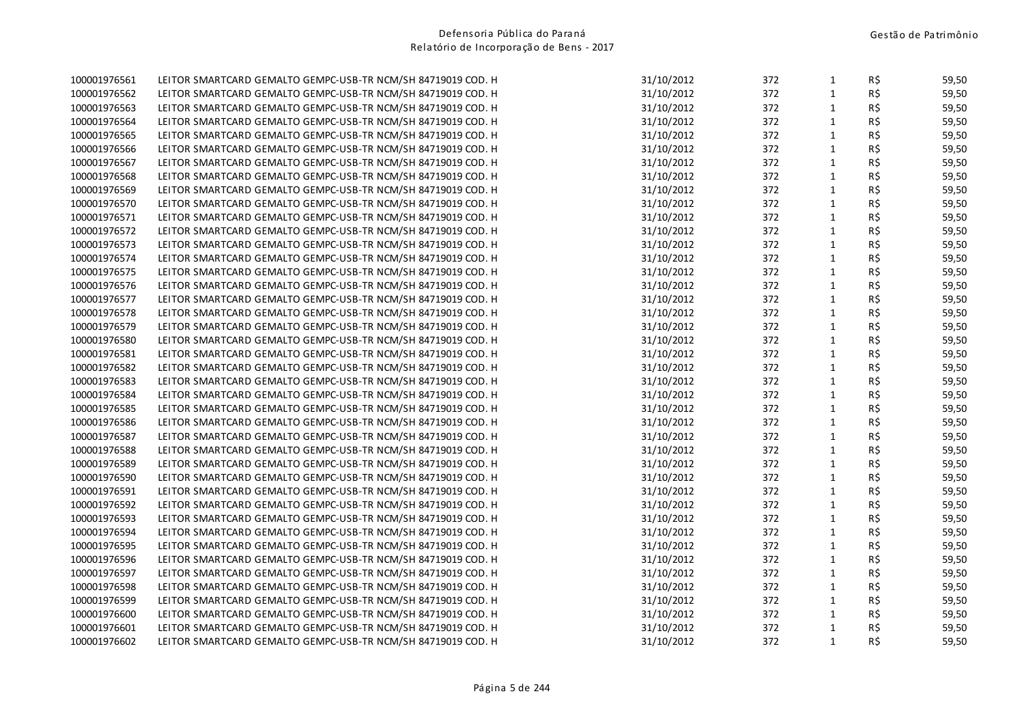| 100001976561 | LEITOR SMARTCARD GEMALTO GEMPC-USB-TR NCM/SH 84719019 COD. H | 31/10/2012 | 372 | $\mathbf{1}$ | R\$            | 59,50 |
|--------------|--------------------------------------------------------------|------------|-----|--------------|----------------|-------|
| 100001976562 | LEITOR SMARTCARD GEMALTO GEMPC-USB-TR NCM/SH 84719019 COD. H | 31/10/2012 | 372 | $\mathbf{1}$ | R\$            | 59,50 |
| 100001976563 | LEITOR SMARTCARD GEMALTO GEMPC-USB-TR NCM/SH 84719019 COD. H | 31/10/2012 | 372 | $\mathbf{1}$ | R\$            | 59,50 |
| 100001976564 | LEITOR SMARTCARD GEMALTO GEMPC-USB-TR NCM/SH 84719019 COD. H | 31/10/2012 | 372 | $\mathbf{1}$ | R\$            | 59,50 |
| 100001976565 | LEITOR SMARTCARD GEMALTO GEMPC-USB-TR NCM/SH 84719019 COD. H | 31/10/2012 | 372 | $\mathbf{1}$ | R\$            | 59,50 |
| 100001976566 | LEITOR SMARTCARD GEMALTO GEMPC-USB-TR NCM/SH 84719019 COD. H | 31/10/2012 | 372 | $\mathbf{1}$ | R\$            | 59,50 |
| 100001976567 | LEITOR SMARTCARD GEMALTO GEMPC-USB-TR NCM/SH 84719019 COD. H | 31/10/2012 | 372 | $\mathbf{1}$ | R\$            | 59,50 |
| 100001976568 | LEITOR SMARTCARD GEMALTO GEMPC-USB-TR NCM/SH 84719019 COD. H | 31/10/2012 | 372 | $\mathbf{1}$ | R\$            | 59,50 |
| 100001976569 | LEITOR SMARTCARD GEMALTO GEMPC-USB-TR NCM/SH 84719019 COD. H | 31/10/2012 | 372 | $\mathbf{1}$ | R\$            | 59,50 |
| 100001976570 | LEITOR SMARTCARD GEMALTO GEMPC-USB-TR NCM/SH 84719019 COD. H | 31/10/2012 | 372 | $\mathbf 1$  | R\$            | 59,50 |
| 100001976571 | LEITOR SMARTCARD GEMALTO GEMPC-USB-TR NCM/SH 84719019 COD. H | 31/10/2012 | 372 | $\mathbf{1}$ | R\$            | 59,50 |
| 100001976572 | LEITOR SMARTCARD GEMALTO GEMPC-USB-TR NCM/SH 84719019 COD. H | 31/10/2012 | 372 | $\mathbf{1}$ | R\$            | 59,50 |
| 100001976573 | LEITOR SMARTCARD GEMALTO GEMPC-USB-TR NCM/SH 84719019 COD. H | 31/10/2012 | 372 | $\mathbf{1}$ | R\$            | 59,50 |
| 100001976574 | LEITOR SMARTCARD GEMALTO GEMPC-USB-TR NCM/SH 84719019 COD. H | 31/10/2012 | 372 | $\mathbf{1}$ | R\$            | 59,50 |
| 100001976575 | LEITOR SMARTCARD GEMALTO GEMPC-USB-TR NCM/SH 84719019 COD. H | 31/10/2012 | 372 | $\mathbf{1}$ | R\$            | 59,50 |
| 100001976576 | LEITOR SMARTCARD GEMALTO GEMPC-USB-TR NCM/SH 84719019 COD. H | 31/10/2012 | 372 | $\mathbf{1}$ | R\$            | 59,50 |
| 100001976577 | LEITOR SMARTCARD GEMALTO GEMPC-USB-TR NCM/SH 84719019 COD. H | 31/10/2012 | 372 | $\mathbf{1}$ | R\$            | 59,50 |
| 100001976578 | LEITOR SMARTCARD GEMALTO GEMPC-USB-TR NCM/SH 84719019 COD. H | 31/10/2012 | 372 | $\mathbf{1}$ | R\$            | 59,50 |
| 100001976579 | LEITOR SMARTCARD GEMALTO GEMPC-USB-TR NCM/SH 84719019 COD. H | 31/10/2012 | 372 | $\mathbf{1}$ | R\$            | 59,50 |
| 100001976580 | LEITOR SMARTCARD GEMALTO GEMPC-USB-TR NCM/SH 84719019 COD. H | 31/10/2012 | 372 | $\mathbf{1}$ | R\$            | 59,50 |
| 100001976581 | LEITOR SMARTCARD GEMALTO GEMPC-USB-TR NCM/SH 84719019 COD. H | 31/10/2012 | 372 | $\mathbf{1}$ | R\$            | 59,50 |
| 100001976582 | LEITOR SMARTCARD GEMALTO GEMPC-USB-TR NCM/SH 84719019 COD. H | 31/10/2012 | 372 | $\mathbf{1}$ | R\$            | 59,50 |
| 100001976583 | LEITOR SMARTCARD GEMALTO GEMPC-USB-TR NCM/SH 84719019 COD. H | 31/10/2012 | 372 | $\mathbf{1}$ | R\$            | 59,50 |
| 100001976584 | LEITOR SMARTCARD GEMALTO GEMPC-USB-TR NCM/SH 84719019 COD. H | 31/10/2012 | 372 | $\mathbf{1}$ | R\$            | 59,50 |
| 100001976585 | LEITOR SMARTCARD GEMALTO GEMPC-USB-TR NCM/SH 84719019 COD. H | 31/10/2012 | 372 | $\mathbf{1}$ | R\$            | 59,50 |
| 100001976586 | LEITOR SMARTCARD GEMALTO GEMPC-USB-TR NCM/SH 84719019 COD. H | 31/10/2012 | 372 | $\mathbf{1}$ | R\$            | 59,50 |
| 100001976587 | LEITOR SMARTCARD GEMALTO GEMPC-USB-TR NCM/SH 84719019 COD. H | 31/10/2012 | 372 | $\mathbf{1}$ | R\$            | 59,50 |
| 100001976588 | LEITOR SMARTCARD GEMALTO GEMPC-USB-TR NCM/SH 84719019 COD. H | 31/10/2012 | 372 | $\mathbf{1}$ | R\$            | 59,50 |
| 100001976589 | LEITOR SMARTCARD GEMALTO GEMPC-USB-TR NCM/SH 84719019 COD. H | 31/10/2012 | 372 | $\mathbf{1}$ | R\$            | 59,50 |
| 100001976590 | LEITOR SMARTCARD GEMALTO GEMPC-USB-TR NCM/SH 84719019 COD. H | 31/10/2012 | 372 | $\mathbf{1}$ | R\$            | 59,50 |
| 100001976591 | LEITOR SMARTCARD GEMALTO GEMPC-USB-TR NCM/SH 84719019 COD. H | 31/10/2012 | 372 | $\mathbf{1}$ | R\$            | 59,50 |
| 100001976592 | LEITOR SMARTCARD GEMALTO GEMPC-USB-TR NCM/SH 84719019 COD. H | 31/10/2012 | 372 | $\mathbf{1}$ | R\$            | 59,50 |
| 100001976593 | LEITOR SMARTCARD GEMALTO GEMPC-USB-TR NCM/SH 84719019 COD. H | 31/10/2012 | 372 | $\mathbf{1}$ | R\$            | 59,50 |
| 100001976594 | LEITOR SMARTCARD GEMALTO GEMPC-USB-TR NCM/SH 84719019 COD. H | 31/10/2012 | 372 | $\mathbf{1}$ | R\$            | 59,50 |
| 100001976595 | LEITOR SMARTCARD GEMALTO GEMPC-USB-TR NCM/SH 84719019 COD. H | 31/10/2012 | 372 | $\mathbf{1}$ | R\$            | 59,50 |
| 100001976596 | LEITOR SMARTCARD GEMALTO GEMPC-USB-TR NCM/SH 84719019 COD. H | 31/10/2012 | 372 | $\mathbf{1}$ | R\$            | 59,50 |
| 100001976597 | LEITOR SMARTCARD GEMALTO GEMPC-USB-TR NCM/SH 84719019 COD. H | 31/10/2012 | 372 | $\mathbf{1}$ | R\$            | 59,50 |
| 100001976598 | LEITOR SMARTCARD GEMALTO GEMPC-USB-TR NCM/SH 84719019 COD. H | 31/10/2012 | 372 | $\mathbf{1}$ | R\$            | 59,50 |
| 100001976599 | LEITOR SMARTCARD GEMALTO GEMPC-USB-TR NCM/SH 84719019 COD. H | 31/10/2012 | 372 | $\mathbf{1}$ | R\$            | 59,50 |
| 100001976600 | LEITOR SMARTCARD GEMALTO GEMPC-USB-TR NCM/SH 84719019 COD. H | 31/10/2012 | 372 | $\mathbf{1}$ | $R\frac{2}{3}$ | 59,50 |
| 100001976601 | LEITOR SMARTCARD GEMALTO GEMPC-USB-TR NCM/SH 84719019 COD. H | 31/10/2012 | 372 | $\mathbf{1}$ | R\$            | 59,50 |
| 100001976602 | LEITOR SMARTCARD GEMALTO GEMPC-USB-TR NCM/SH 84719019 COD. H | 31/10/2012 | 372 | $\mathbf{1}$ | R\$            | 59,50 |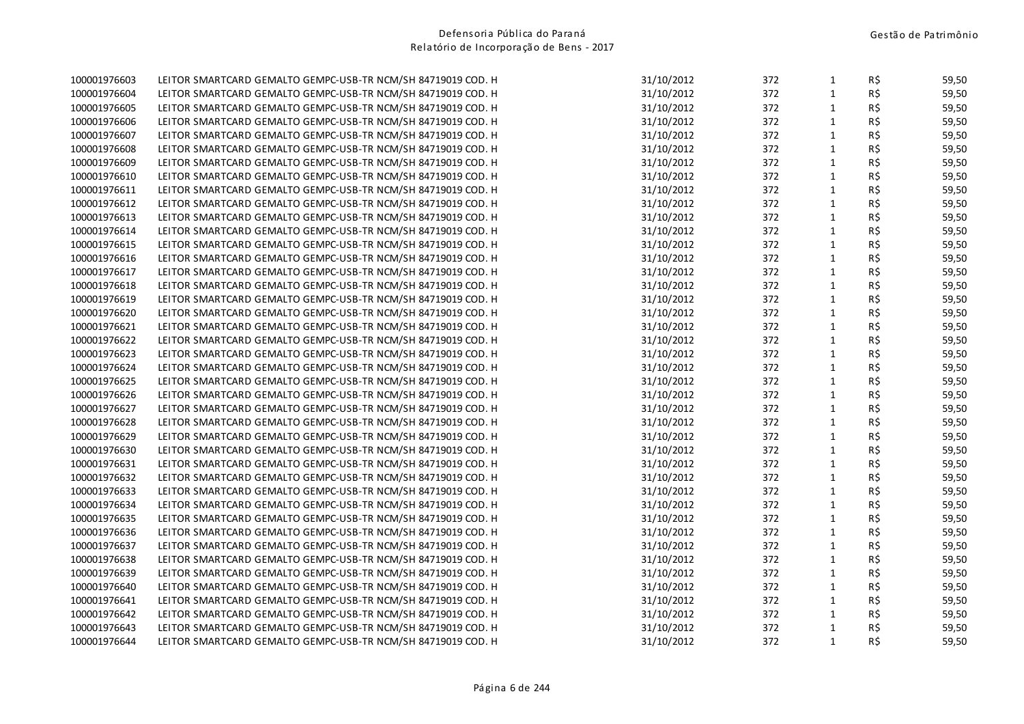| 100001976603 | LEITOR SMARTCARD GEMALTO GEMPC-USB-TR NCM/SH 84719019 COD. H | 31/10/2012 | 372 | $\mathbf{1}$ | R\$ | 59,50 |
|--------------|--------------------------------------------------------------|------------|-----|--------------|-----|-------|
| 100001976604 | LEITOR SMARTCARD GEMALTO GEMPC-USB-TR NCM/SH 84719019 COD. H | 31/10/2012 | 372 | $\mathbf{1}$ | R\$ | 59,50 |
| 100001976605 | LEITOR SMARTCARD GEMALTO GEMPC-USB-TR NCM/SH 84719019 COD. H | 31/10/2012 | 372 | 1            | R\$ | 59,50 |
| 100001976606 | LEITOR SMARTCARD GEMALTO GEMPC-USB-TR NCM/SH 84719019 COD. H | 31/10/2012 | 372 | $\mathbf{1}$ | R\$ | 59,50 |
| 100001976607 | LEITOR SMARTCARD GEMALTO GEMPC-USB-TR NCM/SH 84719019 COD. H | 31/10/2012 | 372 | $\mathbf{1}$ | R\$ | 59,50 |
| 100001976608 | LEITOR SMARTCARD GEMALTO GEMPC-USB-TR NCM/SH 84719019 COD. H | 31/10/2012 | 372 | $\mathbf{1}$ | R\$ | 59,50 |
| 100001976609 | LEITOR SMARTCARD GEMALTO GEMPC-USB-TR NCM/SH 84719019 COD. H | 31/10/2012 | 372 | $\mathbf{1}$ | R\$ | 59,50 |
| 100001976610 | LEITOR SMARTCARD GEMALTO GEMPC-USB-TR NCM/SH 84719019 COD. H | 31/10/2012 | 372 | $\mathbf{1}$ | R\$ | 59,50 |
| 100001976611 | LEITOR SMARTCARD GEMALTO GEMPC-USB-TR NCM/SH 84719019 COD. H | 31/10/2012 | 372 | $\mathbf{1}$ | R\$ | 59,50 |
| 100001976612 | LEITOR SMARTCARD GEMALTO GEMPC-USB-TR NCM/SH 84719019 COD. H | 31/10/2012 | 372 | $\mathbf{1}$ | R\$ | 59,50 |
| 100001976613 | LEITOR SMARTCARD GEMALTO GEMPC-USB-TR NCM/SH 84719019 COD. H | 31/10/2012 | 372 | $\mathbf{1}$ | R\$ | 59,50 |
| 100001976614 | LEITOR SMARTCARD GEMALTO GEMPC-USB-TR NCM/SH 84719019 COD. H | 31/10/2012 | 372 | $\mathbf{1}$ | R\$ | 59,50 |
| 100001976615 | LEITOR SMARTCARD GEMALTO GEMPC-USB-TR NCM/SH 84719019 COD. H | 31/10/2012 | 372 | $\mathbf{1}$ | R\$ | 59,50 |
| 100001976616 | LEITOR SMARTCARD GEMALTO GEMPC-USB-TR NCM/SH 84719019 COD. H | 31/10/2012 | 372 | $\mathbf{1}$ | R\$ | 59,50 |
| 100001976617 | LEITOR SMARTCARD GEMALTO GEMPC-USB-TR NCM/SH 84719019 COD. H | 31/10/2012 | 372 | $\mathbf 1$  | R\$ | 59,50 |
| 100001976618 | LEITOR SMARTCARD GEMALTO GEMPC-USB-TR NCM/SH 84719019 COD. H | 31/10/2012 | 372 | $\mathbf{1}$ | R\$ | 59,50 |
| 100001976619 | LEITOR SMARTCARD GEMALTO GEMPC-USB-TR NCM/SH 84719019 COD. H | 31/10/2012 | 372 | $\mathbf{1}$ | R\$ | 59,50 |
| 100001976620 | LEITOR SMARTCARD GEMALTO GEMPC-USB-TR NCM/SH 84719019 COD. H | 31/10/2012 | 372 | 1            | R\$ | 59,50 |
| 100001976621 | LEITOR SMARTCARD GEMALTO GEMPC-USB-TR NCM/SH 84719019 COD. H | 31/10/2012 | 372 | $\mathbf{1}$ | R\$ | 59,50 |
| 100001976622 | LEITOR SMARTCARD GEMALTO GEMPC-USB-TR NCM/SH 84719019 COD. H | 31/10/2012 | 372 | $\mathbf{1}$ | R\$ | 59,50 |
| 100001976623 | LEITOR SMARTCARD GEMALTO GEMPC-USB-TR NCM/SH 84719019 COD. H | 31/10/2012 | 372 | $\mathbf 1$  | R\$ | 59,50 |
| 100001976624 | LEITOR SMARTCARD GEMALTO GEMPC-USB-TR NCM/SH 84719019 COD. H | 31/10/2012 | 372 | $\mathbf{1}$ | R\$ | 59,50 |
| 100001976625 | LEITOR SMARTCARD GEMALTO GEMPC-USB-TR NCM/SH 84719019 COD. H | 31/10/2012 | 372 | $\mathbf{1}$ | R\$ | 59,50 |
| 100001976626 | LEITOR SMARTCARD GEMALTO GEMPC-USB-TR NCM/SH 84719019 COD. H | 31/10/2012 | 372 | $\mathbf{1}$ | R\$ | 59,50 |
| 100001976627 | LEITOR SMARTCARD GEMALTO GEMPC-USB-TR NCM/SH 84719019 COD. H | 31/10/2012 | 372 | 1            | R\$ | 59,50 |
| 100001976628 | LEITOR SMARTCARD GEMALTO GEMPC-USB-TR NCM/SH 84719019 COD. H | 31/10/2012 | 372 | $\mathbf{1}$ | R\$ | 59,50 |
| 100001976629 | LEITOR SMARTCARD GEMALTO GEMPC-USB-TR NCM/SH 84719019 COD. H | 31/10/2012 | 372 | $\mathbf{1}$ | R\$ | 59,50 |
| 100001976630 | LEITOR SMARTCARD GEMALTO GEMPC-USB-TR NCM/SH 84719019 COD. H | 31/10/2012 | 372 | $\mathbf{1}$ | R\$ | 59,50 |
| 100001976631 | LEITOR SMARTCARD GEMALTO GEMPC-USB-TR NCM/SH 84719019 COD. H | 31/10/2012 | 372 | $\mathbf{1}$ | R\$ | 59,50 |
| 100001976632 | LEITOR SMARTCARD GEMALTO GEMPC-USB-TR NCM/SH 84719019 COD. H | 31/10/2012 | 372 | $\mathbf{1}$ | R\$ | 59,50 |
| 100001976633 | LEITOR SMARTCARD GEMALTO GEMPC-USB-TR NCM/SH 84719019 COD. H | 31/10/2012 | 372 | $\mathbf{1}$ | R\$ | 59,50 |
| 100001976634 | LEITOR SMARTCARD GEMALTO GEMPC-USB-TR NCM/SH 84719019 COD. H | 31/10/2012 | 372 | $\mathbf{1}$ | R\$ | 59,50 |
| 100001976635 | LEITOR SMARTCARD GEMALTO GEMPC-USB-TR NCM/SH 84719019 COD. H | 31/10/2012 | 372 | $\mathbf{1}$ | R\$ | 59,50 |
| 100001976636 | LEITOR SMARTCARD GEMALTO GEMPC-USB-TR NCM/SH 84719019 COD. H | 31/10/2012 | 372 | $\mathbf{1}$ | R\$ | 59,50 |
| 100001976637 | LEITOR SMARTCARD GEMALTO GEMPC-USB-TR NCM/SH 84719019 COD. H | 31/10/2012 | 372 | 1            | R\$ | 59,50 |
| 100001976638 | LEITOR SMARTCARD GEMALTO GEMPC-USB-TR NCM/SH 84719019 COD. H | 31/10/2012 | 372 | $\mathbf{1}$ | R\$ | 59,50 |
| 100001976639 | LEITOR SMARTCARD GEMALTO GEMPC-USB-TR NCM/SH 84719019 COD. H | 31/10/2012 | 372 | $\mathbf{1}$ | R\$ | 59,50 |
| 100001976640 | LEITOR SMARTCARD GEMALTO GEMPC-USB-TR NCM/SH 84719019 COD. H | 31/10/2012 | 372 | $\mathbf{1}$ | R\$ | 59,50 |
| 100001976641 | LEITOR SMARTCARD GEMALTO GEMPC-USB-TR NCM/SH 84719019 COD. H | 31/10/2012 | 372 | $\mathbf{1}$ | R\$ | 59,50 |
| 100001976642 | LEITOR SMARTCARD GEMALTO GEMPC-USB-TR NCM/SH 84719019 COD. H | 31/10/2012 | 372 | 1            | R\$ | 59,50 |
| 100001976643 | LEITOR SMARTCARD GEMALTO GEMPC-USB-TR NCM/SH 84719019 COD. H | 31/10/2012 | 372 | 1            | R\$ | 59,50 |
| 100001976644 | LEITOR SMARTCARD GEMALTO GEMPC-USB-TR NCM/SH 84719019 COD. H | 31/10/2012 | 372 | $\mathbf{1}$ | R\$ | 59,50 |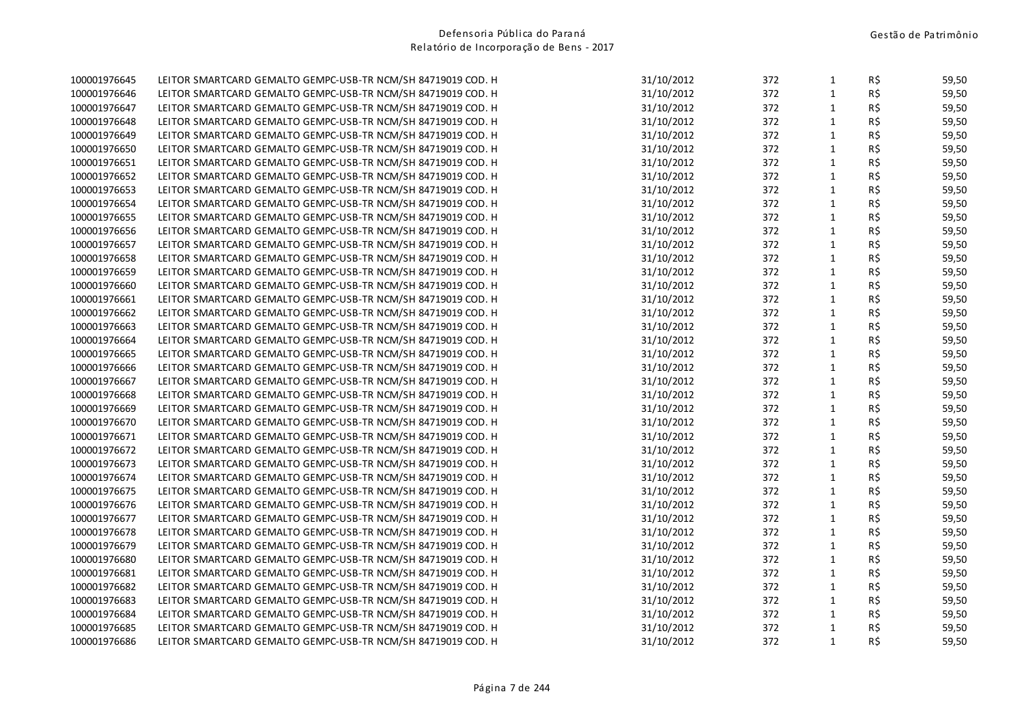| 100001976645 | LEITOR SMARTCARD GEMALTO GEMPC-USB-TR NCM/SH 84719019 COD. H | 31/10/2012 | 372 | $\mathbf{1}$ | R\$ | 59,50 |
|--------------|--------------------------------------------------------------|------------|-----|--------------|-----|-------|
| 100001976646 | LEITOR SMARTCARD GEMALTO GEMPC-USB-TR NCM/SH 84719019 COD. H | 31/10/2012 | 372 | $\mathbf{1}$ | R\$ | 59,50 |
| 100001976647 | LEITOR SMARTCARD GEMALTO GEMPC-USB-TR NCM/SH 84719019 COD. H | 31/10/2012 | 372 | 1            | R\$ | 59,50 |
| 100001976648 | LEITOR SMARTCARD GEMALTO GEMPC-USB-TR NCM/SH 84719019 COD. H | 31/10/2012 | 372 | $\mathbf{1}$ | R\$ | 59,50 |
| 100001976649 | LEITOR SMARTCARD GEMALTO GEMPC-USB-TR NCM/SH 84719019 COD. H | 31/10/2012 | 372 | $\mathbf{1}$ | R\$ | 59,50 |
| 100001976650 | LEITOR SMARTCARD GEMALTO GEMPC-USB-TR NCM/SH 84719019 COD. H | 31/10/2012 | 372 | $\mathbf{1}$ | R\$ | 59,50 |
| 100001976651 | LEITOR SMARTCARD GEMALTO GEMPC-USB-TR NCM/SH 84719019 COD. H | 31/10/2012 | 372 | $\mathbf{1}$ | R\$ | 59,50 |
| 100001976652 | LEITOR SMARTCARD GEMALTO GEMPC-USB-TR NCM/SH 84719019 COD. H | 31/10/2012 | 372 | $\mathbf{1}$ | R\$ | 59,50 |
| 100001976653 | LEITOR SMARTCARD GEMALTO GEMPC-USB-TR NCM/SH 84719019 COD. H | 31/10/2012 | 372 | $\mathbf{1}$ | R\$ | 59,50 |
| 100001976654 | LEITOR SMARTCARD GEMALTO GEMPC-USB-TR NCM/SH 84719019 COD. H | 31/10/2012 | 372 | $\mathbf{1}$ | R\$ | 59,50 |
| 100001976655 | LEITOR SMARTCARD GEMALTO GEMPC-USB-TR NCM/SH 84719019 COD. H | 31/10/2012 | 372 | $\mathbf{1}$ | R\$ | 59,50 |
| 100001976656 | LEITOR SMARTCARD GEMALTO GEMPC-USB-TR NCM/SH 84719019 COD. H | 31/10/2012 | 372 | $\mathbf{1}$ | R\$ | 59,50 |
| 100001976657 | LEITOR SMARTCARD GEMALTO GEMPC-USB-TR NCM/SH 84719019 COD. H | 31/10/2012 | 372 | $\mathbf{1}$ | R\$ | 59,50 |
| 100001976658 | LEITOR SMARTCARD GEMALTO GEMPC-USB-TR NCM/SH 84719019 COD. H | 31/10/2012 | 372 | $\mathbf{1}$ | R\$ | 59,50 |
| 100001976659 | LEITOR SMARTCARD GEMALTO GEMPC-USB-TR NCM/SH 84719019 COD. H | 31/10/2012 | 372 | $\mathbf 1$  | R\$ | 59,50 |
| 100001976660 | LEITOR SMARTCARD GEMALTO GEMPC-USB-TR NCM/SH 84719019 COD. H | 31/10/2012 | 372 | $\mathbf{1}$ | R\$ | 59,50 |
| 100001976661 | LEITOR SMARTCARD GEMALTO GEMPC-USB-TR NCM/SH 84719019 COD. H | 31/10/2012 | 372 | $\mathbf{1}$ | R\$ | 59,50 |
| 100001976662 | LEITOR SMARTCARD GEMALTO GEMPC-USB-TR NCM/SH 84719019 COD. H | 31/10/2012 | 372 | 1            | R\$ | 59,50 |
| 100001976663 | LEITOR SMARTCARD GEMALTO GEMPC-USB-TR NCM/SH 84719019 COD. H | 31/10/2012 | 372 | $\mathbf{1}$ | R\$ | 59,50 |
| 100001976664 | LEITOR SMARTCARD GEMALTO GEMPC-USB-TR NCM/SH 84719019 COD. H | 31/10/2012 | 372 | $\mathbf{1}$ | R\$ | 59,50 |
| 100001976665 | LEITOR SMARTCARD GEMALTO GEMPC-USB-TR NCM/SH 84719019 COD. H | 31/10/2012 | 372 | $\mathbf 1$  | R\$ | 59,50 |
| 100001976666 | LEITOR SMARTCARD GEMALTO GEMPC-USB-TR NCM/SH 84719019 COD. H | 31/10/2012 | 372 | $\mathbf{1}$ | R\$ | 59,50 |
| 100001976667 | LEITOR SMARTCARD GEMALTO GEMPC-USB-TR NCM/SH 84719019 COD. H | 31/10/2012 | 372 | $\mathbf{1}$ | R\$ | 59,50 |
| 100001976668 | LEITOR SMARTCARD GEMALTO GEMPC-USB-TR NCM/SH 84719019 COD. H | 31/10/2012 | 372 | $\mathbf{1}$ | R\$ | 59,50 |
| 100001976669 | LEITOR SMARTCARD GEMALTO GEMPC-USB-TR NCM/SH 84719019 COD. H | 31/10/2012 | 372 | 1            | R\$ | 59,50 |
| 100001976670 | LEITOR SMARTCARD GEMALTO GEMPC-USB-TR NCM/SH 84719019 COD. H | 31/10/2012 | 372 | $\mathbf{1}$ | R\$ | 59,50 |
| 100001976671 | LEITOR SMARTCARD GEMALTO GEMPC-USB-TR NCM/SH 84719019 COD. H | 31/10/2012 | 372 | $\mathbf{1}$ | R\$ | 59,50 |
| 100001976672 | LEITOR SMARTCARD GEMALTO GEMPC-USB-TR NCM/SH 84719019 COD. H | 31/10/2012 | 372 | $\mathbf{1}$ | R\$ | 59,50 |
| 100001976673 | LEITOR SMARTCARD GEMALTO GEMPC-USB-TR NCM/SH 84719019 COD. H | 31/10/2012 | 372 | $\mathbf{1}$ | R\$ | 59,50 |
| 100001976674 | LEITOR SMARTCARD GEMALTO GEMPC-USB-TR NCM/SH 84719019 COD. H | 31/10/2012 | 372 | $\mathbf{1}$ | R\$ | 59,50 |
| 100001976675 | LEITOR SMARTCARD GEMALTO GEMPC-USB-TR NCM/SH 84719019 COD. H | 31/10/2012 | 372 | $\mathbf{1}$ | R\$ | 59,50 |
| 100001976676 | LEITOR SMARTCARD GEMALTO GEMPC-USB-TR NCM/SH 84719019 COD. H | 31/10/2012 | 372 | $\mathbf{1}$ | R\$ | 59,50 |
| 100001976677 | LEITOR SMARTCARD GEMALTO GEMPC-USB-TR NCM/SH 84719019 COD. H | 31/10/2012 | 372 | $\mathbf{1}$ | R\$ | 59,50 |
| 100001976678 | LEITOR SMARTCARD GEMALTO GEMPC-USB-TR NCM/SH 84719019 COD. H | 31/10/2012 | 372 | $\mathbf{1}$ | R\$ | 59,50 |
| 100001976679 | LEITOR SMARTCARD GEMALTO GEMPC-USB-TR NCM/SH 84719019 COD. H | 31/10/2012 | 372 | 1            | R\$ | 59,50 |
| 100001976680 | LEITOR SMARTCARD GEMALTO GEMPC-USB-TR NCM/SH 84719019 COD. H | 31/10/2012 | 372 | $\mathbf{1}$ | R\$ | 59,50 |
| 100001976681 | LEITOR SMARTCARD GEMALTO GEMPC-USB-TR NCM/SH 84719019 COD. H | 31/10/2012 | 372 | $\mathbf{1}$ | R\$ | 59,50 |
| 100001976682 | LEITOR SMARTCARD GEMALTO GEMPC-USB-TR NCM/SH 84719019 COD. H | 31/10/2012 | 372 | $\mathbf{1}$ | R\$ | 59,50 |
| 100001976683 | LEITOR SMARTCARD GEMALTO GEMPC-USB-TR NCM/SH 84719019 COD. H | 31/10/2012 | 372 | $\mathbf{1}$ | R\$ | 59,50 |
| 100001976684 | LEITOR SMARTCARD GEMALTO GEMPC-USB-TR NCM/SH 84719019 COD. H | 31/10/2012 | 372 | 1            | R\$ | 59,50 |
| 100001976685 | LEITOR SMARTCARD GEMALTO GEMPC-USB-TR NCM/SH 84719019 COD. H | 31/10/2012 | 372 | 1            | R\$ | 59,50 |
| 100001976686 | LEITOR SMARTCARD GEMALTO GEMPC-USB-TR NCM/SH 84719019 COD. H | 31/10/2012 | 372 | $\mathbf{1}$ | R\$ | 59,50 |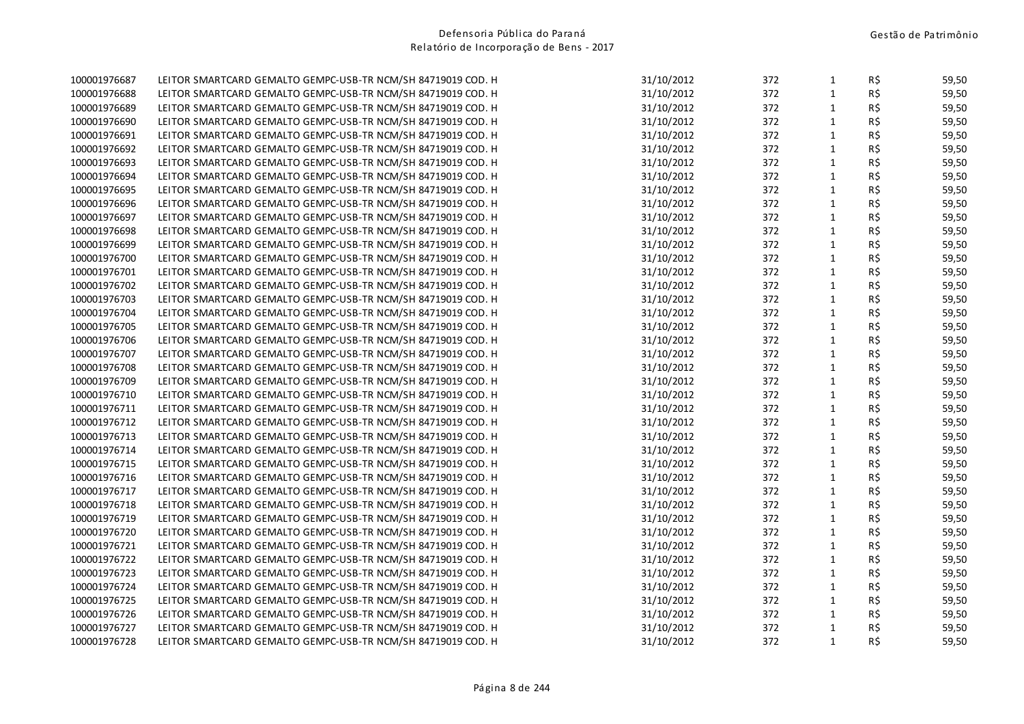| 100001976687 | LEITOR SMARTCARD GEMALTO GEMPC-USB-TR NCM/SH 84719019 COD. H | 31/10/2012 | 372 | $\mathbf{1}$ | R\$            | 59,50 |
|--------------|--------------------------------------------------------------|------------|-----|--------------|----------------|-------|
| 100001976688 | LEITOR SMARTCARD GEMALTO GEMPC-USB-TR NCM/SH 84719019 COD. H | 31/10/2012 | 372 | $\mathbf{1}$ | R\$            | 59,50 |
| 100001976689 | LEITOR SMARTCARD GEMALTO GEMPC-USB-TR NCM/SH 84719019 COD. H | 31/10/2012 | 372 | $\mathbf{1}$ | R\$            | 59,50 |
| 100001976690 | LEITOR SMARTCARD GEMALTO GEMPC-USB-TR NCM/SH 84719019 COD. H | 31/10/2012 | 372 | $\mathbf{1}$ | R\$            | 59,50 |
| 100001976691 | LEITOR SMARTCARD GEMALTO GEMPC-USB-TR NCM/SH 84719019 COD. H | 31/10/2012 | 372 | $\mathbf{1}$ | $R\frac{2}{3}$ | 59,50 |
| 100001976692 | LEITOR SMARTCARD GEMALTO GEMPC-USB-TR NCM/SH 84719019 COD. H | 31/10/2012 | 372 | $\mathbf{1}$ | R\$            | 59,50 |
| 100001976693 | LEITOR SMARTCARD GEMALTO GEMPC-USB-TR NCM/SH 84719019 COD. H | 31/10/2012 | 372 | $\mathbf{1}$ | R\$            | 59,50 |
| 100001976694 | LEITOR SMARTCARD GEMALTO GEMPC-USB-TR NCM/SH 84719019 COD. H | 31/10/2012 | 372 | $\mathbf{1}$ | R\$            | 59,50 |
| 100001976695 | LEITOR SMARTCARD GEMALTO GEMPC-USB-TR NCM/SH 84719019 COD. H | 31/10/2012 | 372 | $\mathbf{1}$ | R\$            | 59,50 |
| 100001976696 | LEITOR SMARTCARD GEMALTO GEMPC-USB-TR NCM/SH 84719019 COD. H | 31/10/2012 | 372 | $\mathbf{1}$ | R\$            | 59,50 |
| 100001976697 | LEITOR SMARTCARD GEMALTO GEMPC-USB-TR NCM/SH 84719019 COD. H | 31/10/2012 | 372 | $\mathbf{1}$ | R\$            | 59,50 |
| 100001976698 | LEITOR SMARTCARD GEMALTO GEMPC-USB-TR NCM/SH 84719019 COD. H | 31/10/2012 | 372 | $\mathbf{1}$ | R\$            | 59,50 |
| 100001976699 | LEITOR SMARTCARD GEMALTO GEMPC-USB-TR NCM/SH 84719019 COD. H | 31/10/2012 | 372 | $\mathbf{1}$ | R\$            | 59,50 |
| 100001976700 | LEITOR SMARTCARD GEMALTO GEMPC-USB-TR NCM/SH 84719019 COD. H | 31/10/2012 | 372 | $\mathbf{1}$ | R\$            | 59,50 |
| 100001976701 | LEITOR SMARTCARD GEMALTO GEMPC-USB-TR NCM/SH 84719019 COD. H | 31/10/2012 | 372 | $\mathbf{1}$ | R\$            | 59,50 |
| 100001976702 | LEITOR SMARTCARD GEMALTO GEMPC-USB-TR NCM/SH 84719019 COD. H | 31/10/2012 | 372 | $\mathbf{1}$ | R\$            | 59,50 |
| 100001976703 | LEITOR SMARTCARD GEMALTO GEMPC-USB-TR NCM/SH 84719019 COD. H | 31/10/2012 | 372 | $\mathbf{1}$ | R\$            | 59,50 |
| 100001976704 | LEITOR SMARTCARD GEMALTO GEMPC-USB-TR NCM/SH 84719019 COD. H | 31/10/2012 | 372 | $\mathbf{1}$ | R\$            | 59,50 |
| 100001976705 | LEITOR SMARTCARD GEMALTO GEMPC-USB-TR NCM/SH 84719019 COD. H | 31/10/2012 | 372 | $\mathbf{1}$ | R\$            | 59,50 |
| 100001976706 | LEITOR SMARTCARD GEMALTO GEMPC-USB-TR NCM/SH 84719019 COD. H | 31/10/2012 | 372 | $\mathbf{1}$ | R\$            | 59,50 |
| 100001976707 | LEITOR SMARTCARD GEMALTO GEMPC-USB-TR NCM/SH 84719019 COD. H | 31/10/2012 | 372 | $\mathbf{1}$ | R\$            | 59,50 |
| 100001976708 | LEITOR SMARTCARD GEMALTO GEMPC-USB-TR NCM/SH 84719019 COD. H | 31/10/2012 | 372 | $\mathbf{1}$ | R\$            | 59,50 |
| 100001976709 | LEITOR SMARTCARD GEMALTO GEMPC-USB-TR NCM/SH 84719019 COD. H | 31/10/2012 | 372 | $\mathbf{1}$ | R\$            | 59,50 |
| 100001976710 | LEITOR SMARTCARD GEMALTO GEMPC-USB-TR NCM/SH 84719019 COD. H | 31/10/2012 | 372 | $\mathbf{1}$ | R\$            | 59,50 |
| 100001976711 | LEITOR SMARTCARD GEMALTO GEMPC-USB-TR NCM/SH 84719019 COD. H | 31/10/2012 | 372 | $\mathbf{1}$ | R\$            | 59,50 |
| 100001976712 | LEITOR SMARTCARD GEMALTO GEMPC-USB-TR NCM/SH 84719019 COD. H | 31/10/2012 | 372 | $\mathbf{1}$ | R\$            | 59,50 |
| 100001976713 | LEITOR SMARTCARD GEMALTO GEMPC-USB-TR NCM/SH 84719019 COD. H | 31/10/2012 | 372 | $\mathbf{1}$ | $R\frac{2}{3}$ | 59,50 |
| 100001976714 | LEITOR SMARTCARD GEMALTO GEMPC-USB-TR NCM/SH 84719019 COD. H | 31/10/2012 | 372 | $\mathbf{1}$ | R\$            | 59,50 |
| 100001976715 | LEITOR SMARTCARD GEMALTO GEMPC-USB-TR NCM/SH 84719019 COD. H | 31/10/2012 | 372 | $\mathbf{1}$ | R\$            | 59,50 |
| 100001976716 | LEITOR SMARTCARD GEMALTO GEMPC-USB-TR NCM/SH 84719019 COD. H | 31/10/2012 | 372 | $\mathbf{1}$ | R\$            | 59,50 |
| 100001976717 | LEITOR SMARTCARD GEMALTO GEMPC-USB-TR NCM/SH 84719019 COD. H | 31/10/2012 | 372 | $\mathbf{1}$ | R\$            | 59,50 |
| 100001976718 | LEITOR SMARTCARD GEMALTO GEMPC-USB-TR NCM/SH 84719019 COD. H | 31/10/2012 | 372 | $\mathbf 1$  | R\$            | 59,50 |
| 100001976719 | LEITOR SMARTCARD GEMALTO GEMPC-USB-TR NCM/SH 84719019 COD. H | 31/10/2012 | 372 | $\mathbf{1}$ | R\$            | 59,50 |
| 100001976720 | LEITOR SMARTCARD GEMALTO GEMPC-USB-TR NCM/SH 84719019 COD. H | 31/10/2012 | 372 | $\mathbf{1}$ | R\$            | 59,50 |
| 100001976721 | LEITOR SMARTCARD GEMALTO GEMPC-USB-TR NCM/SH 84719019 COD. H | 31/10/2012 | 372 | $\mathbf{1}$ | R\$            | 59,50 |
| 100001976722 | LEITOR SMARTCARD GEMALTO GEMPC-USB-TR NCM/SH 84719019 COD. H | 31/10/2012 | 372 | $\mathbf{1}$ | R\$            | 59,50 |
| 100001976723 | LEITOR SMARTCARD GEMALTO GEMPC-USB-TR NCM/SH 84719019 COD. H | 31/10/2012 | 372 | $\mathbf{1}$ | R\$            | 59,50 |
| 100001976724 | LEITOR SMARTCARD GEMALTO GEMPC-USB-TR NCM/SH 84719019 COD. H | 31/10/2012 | 372 | $\mathbf{1}$ | R\$            | 59,50 |
| 100001976725 | LEITOR SMARTCARD GEMALTO GEMPC-USB-TR NCM/SH 84719019 COD. H | 31/10/2012 | 372 | $\mathbf{1}$ | R\$            | 59,50 |
| 100001976726 | LEITOR SMARTCARD GEMALTO GEMPC-USB-TR NCM/SH 84719019 COD. H | 31/10/2012 | 372 | $\mathbf{1}$ | R\$            | 59,50 |
| 100001976727 | LEITOR SMARTCARD GEMALTO GEMPC-USB-TR NCM/SH 84719019 COD. H | 31/10/2012 | 372 | $\mathbf 1$  | R\$            | 59,50 |
| 100001976728 | LEITOR SMARTCARD GEMALTO GEMPC-USB-TR NCM/SH 84719019 COD. H | 31/10/2012 | 372 | $\mathbf{1}$ | R\$            | 59,50 |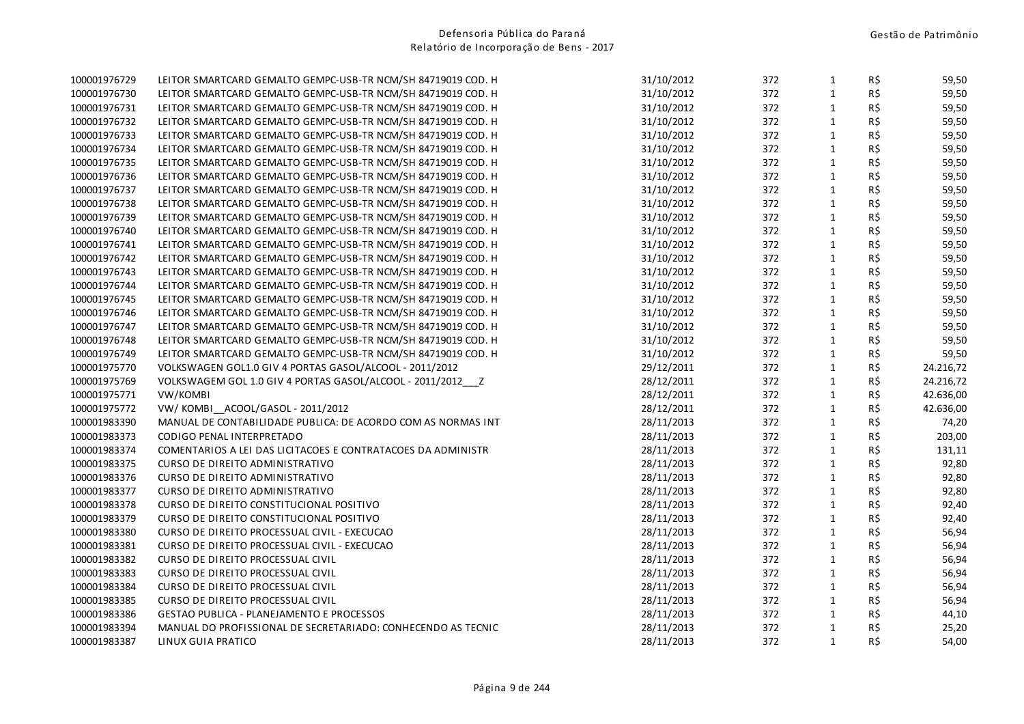| 100001976729 | LEITOR SMARTCARD GEMALTO GEMPC-USB-TR NCM/SH 84719019 COD. H | 31/10/2012 | 372 | $\mathbf{1}$ | R\$ | 59,50     |
|--------------|--------------------------------------------------------------|------------|-----|--------------|-----|-----------|
| 100001976730 | LEITOR SMARTCARD GEMALTO GEMPC-USB-TR NCM/SH 84719019 COD. H | 31/10/2012 | 372 | $\mathbf{1}$ | R\$ | 59,50     |
| 100001976731 | LEITOR SMARTCARD GEMALTO GEMPC-USB-TR NCM/SH 84719019 COD. H | 31/10/2012 | 372 | $\mathbf{1}$ | R\$ | 59,50     |
| 100001976732 | LEITOR SMARTCARD GEMALTO GEMPC-USB-TR NCM/SH 84719019 COD. H | 31/10/2012 | 372 | $\mathbf{1}$ | R\$ | 59,50     |
| 100001976733 | LEITOR SMARTCARD GEMALTO GEMPC-USB-TR NCM/SH 84719019 COD. H | 31/10/2012 | 372 | $\mathbf{1}$ | R\$ | 59,50     |
| 100001976734 | LEITOR SMARTCARD GEMALTO GEMPC-USB-TR NCM/SH 84719019 COD. H | 31/10/2012 | 372 | $\mathbf{1}$ | R\$ | 59,50     |
| 100001976735 | LEITOR SMARTCARD GEMALTO GEMPC-USB-TR NCM/SH 84719019 COD. H | 31/10/2012 | 372 | $\mathbf{1}$ | R\$ | 59,50     |
| 100001976736 | LEITOR SMARTCARD GEMALTO GEMPC-USB-TR NCM/SH 84719019 COD. H | 31/10/2012 | 372 | $\mathbf{1}$ | R\$ | 59,50     |
| 100001976737 | LEITOR SMARTCARD GEMALTO GEMPC-USB-TR NCM/SH 84719019 COD. H | 31/10/2012 | 372 | $\mathbf{1}$ | R\$ | 59,50     |
| 100001976738 | LEITOR SMARTCARD GEMALTO GEMPC-USB-TR NCM/SH 84719019 COD. H | 31/10/2012 | 372 | $\mathbf{1}$ | R\$ | 59,50     |
| 100001976739 | LEITOR SMARTCARD GEMALTO GEMPC-USB-TR NCM/SH 84719019 COD. H | 31/10/2012 | 372 | $\mathbf{1}$ | R\$ | 59,50     |
| 100001976740 | LEITOR SMARTCARD GEMALTO GEMPC-USB-TR NCM/SH 84719019 COD. H | 31/10/2012 | 372 | $\mathbf{1}$ | R\$ | 59,50     |
| 100001976741 | LEITOR SMARTCARD GEMALTO GEMPC-USB-TR NCM/SH 84719019 COD. H | 31/10/2012 | 372 | $\mathbf{1}$ | R\$ | 59,50     |
| 100001976742 | LEITOR SMARTCARD GEMALTO GEMPC-USB-TR NCM/SH 84719019 COD. H | 31/10/2012 | 372 | $\mathbf{1}$ | R\$ | 59,50     |
| 100001976743 | LEITOR SMARTCARD GEMALTO GEMPC-USB-TR NCM/SH 84719019 COD. H | 31/10/2012 | 372 | $\mathbf 1$  | R\$ | 59,50     |
| 100001976744 | LEITOR SMARTCARD GEMALTO GEMPC-USB-TR NCM/SH 84719019 COD. H | 31/10/2012 | 372 | $\mathbf{1}$ | R\$ | 59,50     |
| 100001976745 | LEITOR SMARTCARD GEMALTO GEMPC-USB-TR NCM/SH 84719019 COD. H | 31/10/2012 | 372 | $\mathbf{1}$ | R\$ | 59,50     |
| 100001976746 | LEITOR SMARTCARD GEMALTO GEMPC-USB-TR NCM/SH 84719019 COD. H | 31/10/2012 | 372 | $\mathbf{1}$ | R\$ | 59,50     |
| 100001976747 | LEITOR SMARTCARD GEMALTO GEMPC-USB-TR NCM/SH 84719019 COD. H | 31/10/2012 | 372 | $\mathbf{1}$ | R\$ | 59,50     |
| 100001976748 | LEITOR SMARTCARD GEMALTO GEMPC-USB-TR NCM/SH 84719019 COD. H | 31/10/2012 | 372 | $\mathbf{1}$ | R\$ | 59,50     |
| 100001976749 | LEITOR SMARTCARD GEMALTO GEMPC-USB-TR NCM/SH 84719019 COD. H | 31/10/2012 | 372 | $\mathbf{1}$ | R\$ | 59,50     |
| 100001975770 | VOLKSWAGEN GOL1.0 GIV 4 PORTAS GASOL/ALCOOL - 2011/2012      | 29/12/2011 | 372 | $\mathbf{1}$ | R\$ | 24.216,72 |
| 100001975769 | VOLKSWAGEM GOL 1.0 GIV 4 PORTAS GASOL/ALCOOL - 2011/2012  Z  | 28/12/2011 | 372 | $\mathbf{1}$ | R\$ | 24.216,72 |
| 100001975771 | VW/KOMBI                                                     | 28/12/2011 | 372 | $\mathbf{1}$ | R\$ | 42.636,00 |
| 100001975772 | VW/KOMBI ACOOL/GASOL - 2011/2012                             | 28/12/2011 | 372 | $\mathbf{1}$ | R\$ | 42.636,00 |
| 100001983390 | MANUAL DE CONTABILIDADE PUBLICA: DE ACORDO COM AS NORMAS INT | 28/11/2013 | 372 | $\mathbf{1}$ | R\$ | 74,20     |
| 100001983373 | CODIGO PENAL INTERPRETADO                                    | 28/11/2013 | 372 | $\mathbf{1}$ | R\$ | 203,00    |
| 100001983374 | COMENTARIOS A LEI DAS LICITACOES E CONTRATACOES DA ADMINISTR | 28/11/2013 | 372 | $\mathbf{1}$ | R\$ | 131,11    |
| 100001983375 | CURSO DE DIREITO ADMINISTRATIVO                              | 28/11/2013 | 372 | $\mathbf{1}$ | R\$ | 92,80     |
| 100001983376 | CURSO DE DIREITO ADMINISTRATIVO                              | 28/11/2013 | 372 | $\mathbf{1}$ | R\$ | 92,80     |
| 100001983377 | CURSO DE DIREITO ADMINISTRATIVO                              | 28/11/2013 | 372 | $\mathbf{1}$ | R\$ | 92,80     |
| 100001983378 | CURSO DE DIREITO CONSTITUCIONAL POSITIVO                     | 28/11/2013 | 372 | $\mathbf{1}$ | R\$ | 92,40     |
| 100001983379 | CURSO DE DIREITO CONSTITUCIONAL POSITIVO                     | 28/11/2013 | 372 | $\mathbf{1}$ | R\$ | 92,40     |
| 100001983380 | CURSO DE DIREITO PROCESSUAL CIVIL - EXECUCAO                 | 28/11/2013 | 372 | $\mathbf{1}$ | R\$ | 56,94     |
| 100001983381 | CURSO DE DIREITO PROCESSUAL CIVIL - EXECUCAO                 | 28/11/2013 | 372 | $\mathbf{1}$ | R\$ | 56,94     |
| 100001983382 | <b>CURSO DE DIREITO PROCESSUAL CIVIL</b>                     | 28/11/2013 | 372 | $\mathbf{1}$ | R\$ | 56,94     |
| 100001983383 | CURSO DE DIREITO PROCESSUAL CIVIL                            | 28/11/2013 | 372 | $\mathbf{1}$ | R\$ | 56,94     |
| 100001983384 | CURSO DE DIREITO PROCESSUAL CIVIL                            | 28/11/2013 | 372 | $\mathbf{1}$ | R\$ | 56,94     |
| 100001983385 | CURSO DE DIREITO PROCESSUAL CIVIL                            | 28/11/2013 | 372 | $\mathbf{1}$ | R\$ | 56,94     |
| 100001983386 | GESTAO PUBLICA - PLANEJAMENTO E PROCESSOS                    | 28/11/2013 | 372 | $\mathbf{1}$ | R\$ | 44,10     |
| 100001983394 | MANUAL DO PROFISSIONAL DE SECRETARIADO: CONHECENDO AS TECNIC | 28/11/2013 | 372 | $\mathbf{1}$ | R\$ | 25,20     |
| 100001983387 | LINUX GUIA PRATICO                                           | 28/11/2013 | 372 | $\mathbf{1}$ | R\$ | 54,00     |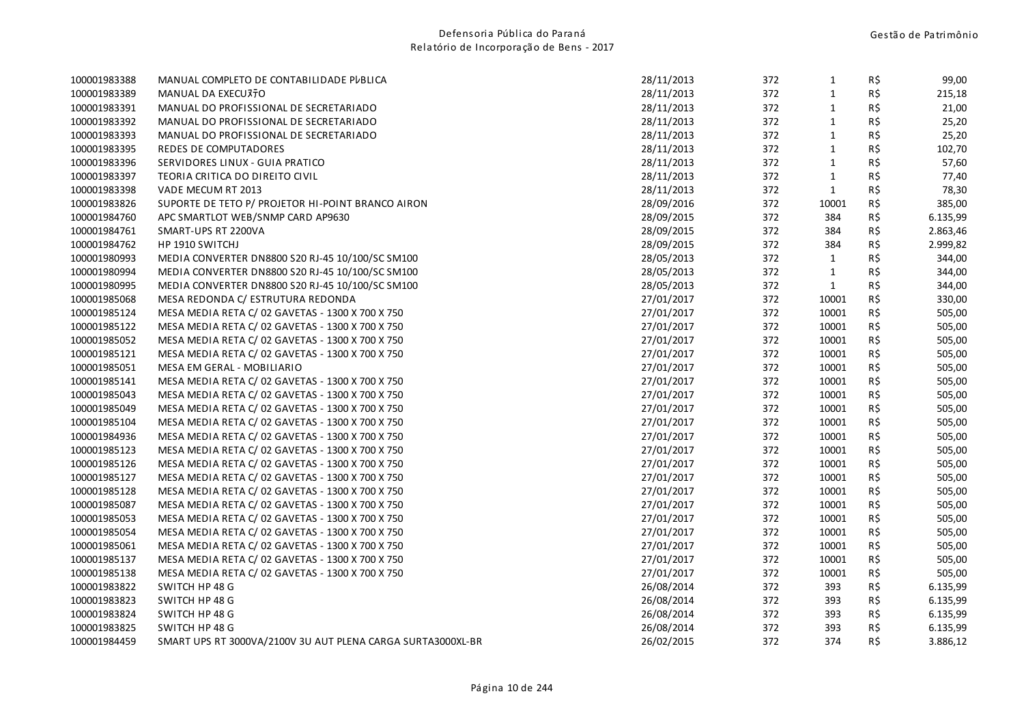| 100001983388 | MANUAL COMPLETO DE CONTABILIDADE PUBLICA                    | 28/11/2013 | 372 | $\mathbf{1}$ | R\$ | 99,00    |
|--------------|-------------------------------------------------------------|------------|-----|--------------|-----|----------|
| 100001983389 | MANUAL DA EXECUTTO                                          | 28/11/2013 | 372 | $\mathbf{1}$ | R\$ | 215,18   |
| 100001983391 | MANUAL DO PROFISSIONAL DE SECRETARIADO                      | 28/11/2013 | 372 | $\mathbf{1}$ | R\$ | 21,00    |
| 100001983392 | MANUAL DO PROFISSIONAL DE SECRETARIADO                      | 28/11/2013 | 372 | $\mathbf{1}$ | R\$ | 25,20    |
| 100001983393 | MANUAL DO PROFISSIONAL DE SECRETARIADO                      | 28/11/2013 | 372 | $\mathbf{1}$ | R\$ | 25,20    |
| 100001983395 | REDES DE COMPUTADORES                                       | 28/11/2013 | 372 | $\mathbf{1}$ | R\$ | 102,70   |
| 100001983396 | SERVIDORES LINUX - GUIA PRATICO                             | 28/11/2013 | 372 | $\mathbf{1}$ | R\$ | 57,60    |
| 100001983397 | TEORIA CRITICA DO DIREITO CIVIL                             | 28/11/2013 | 372 | $\mathbf{1}$ | R\$ | 77,40    |
| 100001983398 | VADE MECUM RT 2013                                          | 28/11/2013 | 372 | $\mathbf{1}$ | R\$ | 78,30    |
| 100001983826 | SUPORTE DE TETO P/ PROJETOR HI-POINT BRANCO AIRON           | 28/09/2016 | 372 | 10001        | R\$ | 385,00   |
| 100001984760 | APC SMARTLOT WEB/SNMP CARD AP9630                           | 28/09/2015 | 372 | 384          | R\$ | 6.135,99 |
| 100001984761 | SMART-UPS RT 2200VA                                         | 28/09/2015 | 372 | 384          | R\$ | 2.863,46 |
| 100001984762 | HP 1910 SWITCHJ                                             | 28/09/2015 | 372 | 384          | R\$ | 2.999,82 |
| 100001980993 | MEDIA CONVERTER DN8800 S20 RJ-45 10/100/SC SM100            | 28/05/2013 | 372 | $\mathbf{1}$ | R\$ | 344,00   |
| 100001980994 | MEDIA CONVERTER DN8800 S20 RJ-45 10/100/SC SM100            | 28/05/2013 | 372 | $\mathbf{1}$ | R\$ | 344,00   |
| 100001980995 | MEDIA CONVERTER DN8800 S20 RJ-45 10/100/SC SM100            | 28/05/2013 | 372 | $\mathbf{1}$ | R\$ | 344,00   |
| 100001985068 | MESA REDONDA C/ ESTRUTURA REDONDA                           | 27/01/2017 | 372 | 10001        | R\$ | 330,00   |
| 100001985124 | MESA MEDIA RETA C/ 02 GAVETAS - 1300 X 700 X 750            | 27/01/2017 | 372 | 10001        | R\$ | 505,00   |
| 100001985122 | MESA MEDIA RETA C/ 02 GAVETAS - 1300 X 700 X 750            | 27/01/2017 | 372 | 10001        | R\$ | 505,00   |
| 100001985052 | MESA MEDIA RETA C/ 02 GAVETAS - 1300 X 700 X 750            | 27/01/2017 | 372 | 10001        | R\$ | 505,00   |
| 100001985121 | MESA MEDIA RETA C/ 02 GAVETAS - 1300 X 700 X 750            | 27/01/2017 | 372 | 10001        | R\$ | 505,00   |
| 100001985051 | MESA EM GERAL - MOBILIARIO                                  | 27/01/2017 | 372 | 10001        | R\$ | 505,00   |
| 100001985141 | MESA MEDIA RETA C/ 02 GAVETAS - 1300 X 700 X 750            | 27/01/2017 | 372 | 10001        | R\$ | 505,00   |
| 100001985043 | MESA MEDIA RETA C/ 02 GAVETAS - 1300 X 700 X 750            | 27/01/2017 | 372 | 10001        | R\$ | 505,00   |
| 100001985049 | MESA MEDIA RETA C/ 02 GAVETAS - 1300 X 700 X 750            | 27/01/2017 | 372 | 10001        | R\$ | 505,00   |
| 100001985104 | MESA MEDIA RETA C/ 02 GAVETAS - 1300 X 700 X 750            | 27/01/2017 | 372 | 10001        | R\$ | 505,00   |
| 100001984936 | MESA MEDIA RETA C/ 02 GAVETAS - 1300 X 700 X 750            | 27/01/2017 | 372 | 10001        | R\$ | 505,00   |
| 100001985123 | MESA MEDIA RETA C/ 02 GAVETAS - 1300 X 700 X 750            | 27/01/2017 | 372 | 10001        | R\$ | 505,00   |
| 100001985126 | MESA MEDIA RETA C/ 02 GAVETAS - 1300 X 700 X 750            | 27/01/2017 | 372 | 10001        | R\$ | 505,00   |
| 100001985127 | MESA MEDIA RETA C/ 02 GAVETAS - 1300 X 700 X 750            | 27/01/2017 | 372 | 10001        | R\$ | 505,00   |
| 100001985128 | MESA MEDIA RETA C/ 02 GAVETAS - 1300 X 700 X 750            | 27/01/2017 | 372 | 10001        | R\$ | 505,00   |
| 100001985087 | MESA MEDIA RETA C/ 02 GAVETAS - 1300 X 700 X 750            | 27/01/2017 | 372 | 10001        | R\$ | 505,00   |
| 100001985053 | MESA MEDIA RETA C/ 02 GAVETAS - 1300 X 700 X 750            | 27/01/2017 | 372 | 10001        | R\$ | 505,00   |
| 100001985054 | MESA MEDIA RETA C/ 02 GAVETAS - 1300 X 700 X 750            | 27/01/2017 | 372 | 10001        | R\$ | 505,00   |
| 100001985061 | MESA MEDIA RETA C/ 02 GAVETAS - 1300 X 700 X 750            | 27/01/2017 | 372 | 10001        | R\$ | 505,00   |
| 100001985137 | MESA MEDIA RETA C/ 02 GAVETAS - 1300 X 700 X 750            | 27/01/2017 | 372 | 10001        | R\$ | 505,00   |
| 100001985138 | MESA MEDIA RETA C/ 02 GAVETAS - 1300 X 700 X 750            | 27/01/2017 | 372 | 10001        | R\$ | 505,00   |
| 100001983822 | SWITCH HP 48 G                                              | 26/08/2014 | 372 | 393          | R\$ | 6.135,99 |
| 100001983823 | SWITCH HP 48 G                                              | 26/08/2014 | 372 | 393          | R\$ | 6.135,99 |
| 100001983824 | SWITCH HP 48 G                                              | 26/08/2014 | 372 | 393          | R\$ | 6.135,99 |
| 100001983825 | SWITCH HP 48 G                                              | 26/08/2014 | 372 | 393          | R\$ | 6.135,99 |
| 100001984459 | SMART UPS RT 3000VA/2100V 3U AUT PLENA CARGA SURTA3000XL-BR | 26/02/2015 | 372 | 374          | R\$ | 3.886,12 |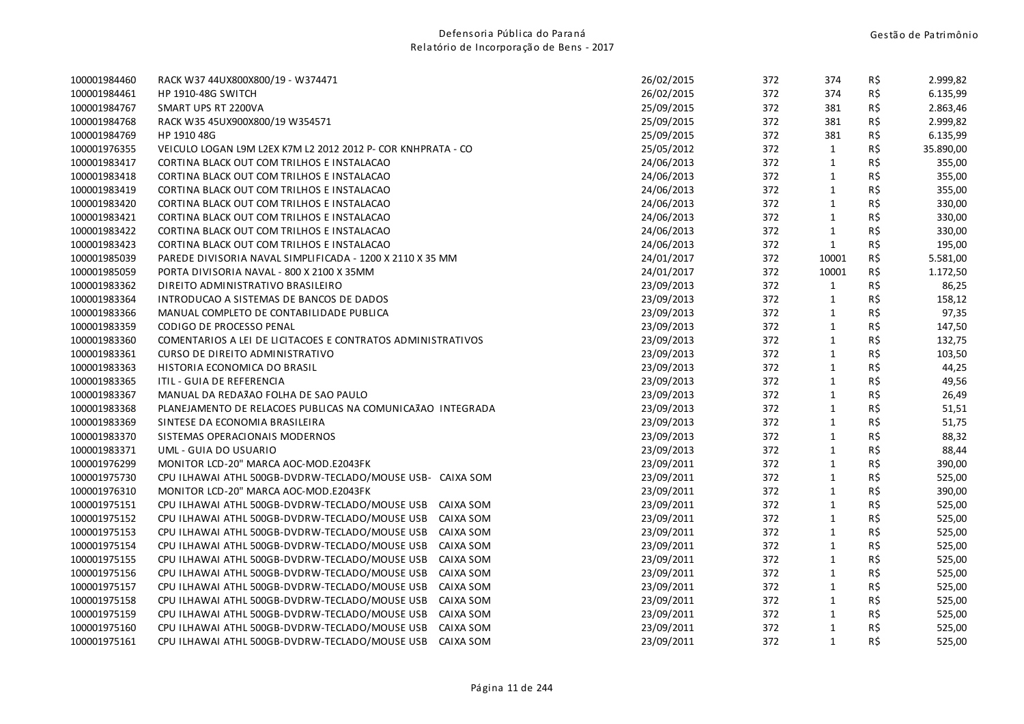| 100001984460 | RACK W37 44UX800X800/19 - W374471                            | 26/02/2015 | 372 | 374          | R\$ | 2.999,82  |
|--------------|--------------------------------------------------------------|------------|-----|--------------|-----|-----------|
| 100001984461 | <b>HP 1910-48G SWITCH</b>                                    | 26/02/2015 | 372 | 374          | R\$ | 6.135,99  |
| 100001984767 | SMART UPS RT 2200VA                                          | 25/09/2015 | 372 | 381          | R\$ | 2.863,46  |
| 100001984768 | RACK W35 45UX900X800/19 W354571                              | 25/09/2015 | 372 | 381          | R\$ | 2.999,82  |
| 100001984769 | HP 1910 48G                                                  | 25/09/2015 | 372 | 381          | R\$ | 6.135,99  |
| 100001976355 | VEICULO LOGAN L9M L2EX K7M L2 2012 2012 P- COR KNHPRATA - CO | 25/05/2012 | 372 | $\mathbf{1}$ | R\$ | 35.890,00 |
| 100001983417 | CORTINA BLACK OUT COM TRILHOS E INSTALACAO                   | 24/06/2013 | 372 | $\mathbf{1}$ | R\$ | 355,00    |
| 100001983418 | CORTINA BLACK OUT COM TRILHOS E INSTALACAO                   | 24/06/2013 | 372 | $\mathbf{1}$ | R\$ | 355,00    |
| 100001983419 | CORTINA BLACK OUT COM TRILHOS E INSTALACAO                   | 24/06/2013 | 372 | $\mathbf{1}$ | R\$ | 355,00    |
| 100001983420 | CORTINA BLACK OUT COM TRILHOS E INSTALACAO                   | 24/06/2013 | 372 | $\mathbf 1$  | R\$ | 330,00    |
| 100001983421 | CORTINA BLACK OUT COM TRILHOS E INSTALACAO                   | 24/06/2013 | 372 | $\mathbf{1}$ | R\$ | 330,00    |
| 100001983422 | CORTINA BLACK OUT COM TRILHOS E INSTALACAO                   | 24/06/2013 | 372 | $\mathbf{1}$ | R\$ | 330,00    |
| 100001983423 | CORTINA BLACK OUT COM TRILHOS E INSTALACAO                   | 24/06/2013 | 372 | $\mathbf{1}$ | R\$ | 195,00    |
| 100001985039 | PAREDE DIVISORIA NAVAL SIMPLIFICADA - 1200 X 2110 X 35 MM    | 24/01/2017 | 372 | 10001        | R\$ | 5.581,00  |
| 100001985059 | PORTA DIVISORIA NAVAL - 800 X 2100 X 35MM                    | 24/01/2017 | 372 | 10001        | R\$ | 1.172,50  |
| 100001983362 | DIREITO ADMINISTRATIVO BRASILEIRO                            | 23/09/2013 | 372 | $\mathbf{1}$ | R\$ | 86,25     |
| 100001983364 | INTRODUCAO A SISTEMAS DE BANCOS DE DADOS                     | 23/09/2013 | 372 | $\mathbf{1}$ | R\$ | 158,12    |
| 100001983366 | MANUAL COMPLETO DE CONTABILIDADE PUBLICA                     | 23/09/2013 | 372 | $\mathbf{1}$ | R\$ | 97,35     |
| 100001983359 | CODIGO DE PROCESSO PENAL                                     | 23/09/2013 | 372 | $\mathbf{1}$ | R\$ | 147,50    |
| 100001983360 | COMENTARIOS A LEI DE LICITACOES E CONTRATOS ADMINISTRATIVOS  | 23/09/2013 | 372 | $\mathbf{1}$ | R\$ | 132,75    |
| 100001983361 | CURSO DE DIREITO ADMINISTRATIVO                              | 23/09/2013 | 372 | $\mathbf{1}$ | R\$ | 103,50    |
| 100001983363 | HISTORIA ECONOMICA DO BRASIL                                 | 23/09/2013 | 372 | $\mathbf{1}$ | R\$ | 44,25     |
| 100001983365 | ITIL - GUIA DE REFERENCIA                                    | 23/09/2013 | 372 | $\mathbf{1}$ | R\$ | 49,56     |
| 100001983367 | MANUAL DA REDAJAO FOLHA DE SAO PAULO                         | 23/09/2013 | 372 | $\mathbf{1}$ | R\$ | 26,49     |
| 100001983368 | PLANEJAMENTO DE RELACOES PUBLICAS NA COMUNICA3AO INTEGRADA   | 23/09/2013 | 372 | $\mathbf{1}$ | R\$ | 51,51     |
| 100001983369 | SINTESE DA ECONOMIA BRASILEIRA                               | 23/09/2013 | 372 | $\mathbf{1}$ | R\$ | 51,75     |
| 100001983370 | SISTEMAS OPERACIONAIS MODERNOS                               | 23/09/2013 | 372 | $\mathbf{1}$ | R\$ | 88,32     |
| 100001983371 | UML - GUIA DO USUARIO                                        | 23/09/2013 | 372 | $\mathbf{1}$ | R\$ | 88,44     |
| 100001976299 | MONITOR LCD-20" MARCA AOC-MOD.E2043FK                        | 23/09/2011 | 372 | $\mathbf{1}$ | R\$ | 390,00    |
| 100001975730 | CPU ILHAWAI ATHL 500GB-DVDRW-TECLADO/MOUSE USB- CAIXA SOM    | 23/09/2011 | 372 | $\mathbf{1}$ | R\$ | 525,00    |
| 100001976310 | MONITOR LCD-20" MARCA AOC-MOD.E2043FK                        | 23/09/2011 | 372 | $\mathbf 1$  | R\$ | 390,00    |
| 100001975151 | CPU ILHAWAI ATHL 500GB-DVDRW-TECLADO/MOUSE USB<br>CAIXA SOM  | 23/09/2011 | 372 | $\mathbf{1}$ | R\$ | 525,00    |
| 100001975152 | CPU ILHAWAI ATHL 500GB-DVDRW-TECLADO/MOUSE USB<br>CAIXA SOM  | 23/09/2011 | 372 | $\mathbf{1}$ | R\$ | 525,00    |
| 100001975153 | CPU ILHAWAI ATHL 500GB-DVDRW-TECLADO/MOUSE USB<br>CAIXA SOM  | 23/09/2011 | 372 | $\mathbf{1}$ | R\$ | 525,00    |
| 100001975154 | CPU ILHAWAI ATHL 500GB-DVDRW-TECLADO/MOUSE USB<br>CAIXA SOM  | 23/09/2011 | 372 | $\mathbf{1}$ | R\$ | 525,00    |
| 100001975155 | CPU ILHAWAI ATHL 500GB-DVDRW-TECLADO/MOUSE USB<br>CAIXA SOM  | 23/09/2011 | 372 | $\mathbf{1}$ | R\$ | 525,00    |
| 100001975156 | CPU ILHAWAI ATHL 500GB-DVDRW-TECLADO/MOUSE USB<br>CAIXA SOM  | 23/09/2011 | 372 | $\mathbf{1}$ | R\$ | 525,00    |
| 100001975157 | CPU ILHAWAI ATHL 500GB-DVDRW-TECLADO/MOUSE USB<br>CAIXA SOM  | 23/09/2011 | 372 | $\mathbf{1}$ | R\$ | 525,00    |
| 100001975158 | CPU ILHAWAI ATHL 500GB-DVDRW-TECLADO/MOUSE USB<br>CAIXA SOM  | 23/09/2011 | 372 | $\mathbf{1}$ | R\$ | 525,00    |
| 100001975159 | CPU ILHAWAI ATHL 500GB-DVDRW-TECLADO/MOUSE USB<br>CAIXA SOM  | 23/09/2011 | 372 | $\mathbf{1}$ | R\$ | 525,00    |
| 100001975160 | CPU ILHAWAI ATHL 500GB-DVDRW-TECLADO/MOUSE USB<br>CAIXA SOM  | 23/09/2011 | 372 | $\mathbf{1}$ | R\$ | 525,00    |
| 100001975161 | CPU ILHAWAI ATHL 500GB-DVDRW-TECLADO/MOUSE USB<br>CAIXA SOM  | 23/09/2011 | 372 | $\mathbf{1}$ | R\$ | 525,00    |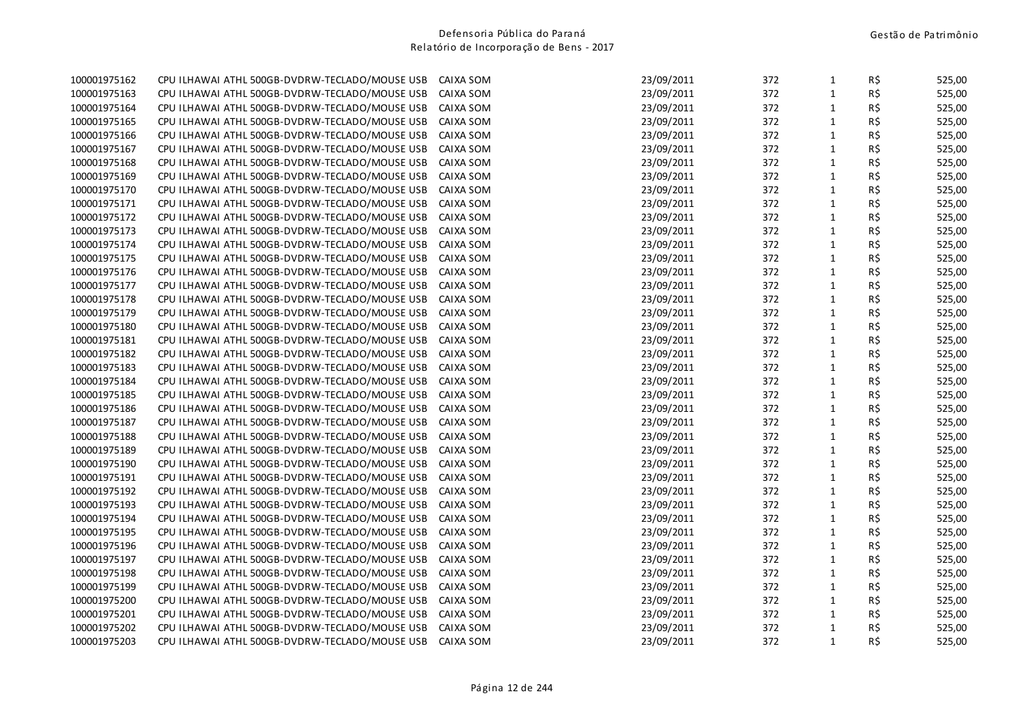| 100001975162 | CPU ILHAWAI ATHL 500GB-DVDRW-TECLADO/MOUSE USB | CAIXA SOM | 23/09/2011 | 372 | $\mathbf{1}$ | R\$ | 525,00 |
|--------------|------------------------------------------------|-----------|------------|-----|--------------|-----|--------|
| 100001975163 | CPU ILHAWAI ATHL 500GB-DVDRW-TECLADO/MOUSE USB | CAIXA SOM | 23/09/2011 | 372 | $\mathbf{1}$ | R\$ | 525,00 |
| 100001975164 | CPU ILHAWAI ATHL 500GB-DVDRW-TECLADO/MOUSE USB | CAIXA SOM | 23/09/2011 | 372 | $\mathbf 1$  | R\$ | 525,00 |
| 100001975165 | CPU ILHAWAI ATHL 500GB-DVDRW-TECLADO/MOUSE USB | CAIXA SOM | 23/09/2011 | 372 | $\mathbf{1}$ | R\$ | 525,00 |
| 100001975166 | CPU ILHAWAI ATHL 500GB-DVDRW-TECLADO/MOUSE USB | CAIXA SOM | 23/09/2011 | 372 | $\mathbf{1}$ | R\$ | 525,00 |
| 100001975167 | CPU ILHAWAI ATHL 500GB-DVDRW-TECLADO/MOUSE USB | CAIXA SOM | 23/09/2011 | 372 | $\mathbf 1$  | R\$ | 525,00 |
| 100001975168 | CPU ILHAWAI ATHL 500GB-DVDRW-TECLADO/MOUSE USB | CAIXA SOM | 23/09/2011 | 372 | $\mathbf{1}$ | R\$ | 525,00 |
| 100001975169 | CPU ILHAWAI ATHL 500GB-DVDRW-TECLADO/MOUSE USB | CAIXA SOM | 23/09/2011 | 372 | $\mathbf{1}$ | R\$ | 525,00 |
| 100001975170 | CPU ILHAWAI ATHL 500GB-DVDRW-TECLADO/MOUSE USB | CAIXA SOM | 23/09/2011 | 372 | $\mathbf{1}$ | R\$ | 525,00 |
| 100001975171 | CPU ILHAWAI ATHL 500GB-DVDRW-TECLADO/MOUSE USB | CAIXA SOM | 23/09/2011 | 372 | $\mathbf{1}$ | R\$ | 525,00 |
| 100001975172 | CPU ILHAWAI ATHL 500GB-DVDRW-TECLADO/MOUSE USB | CAIXA SOM | 23/09/2011 | 372 | $\mathbf 1$  | R\$ | 525,00 |
| 100001975173 | CPU ILHAWAI ATHL 500GB-DVDRW-TECLADO/MOUSE USB | CAIXA SOM | 23/09/2011 | 372 | $\mathbf{1}$ | R\$ | 525,00 |
| 100001975174 | CPU ILHAWAI ATHL 500GB-DVDRW-TECLADO/MOUSE USB | CAIXA SOM | 23/09/2011 | 372 | $\mathbf{1}$ | R\$ | 525,00 |
| 100001975175 | CPU ILHAWAI ATHL 500GB-DVDRW-TECLADO/MOUSE USB | CAIXA SOM | 23/09/2011 | 372 | $\mathbf 1$  | R\$ | 525,00 |
| 100001975176 | CPU ILHAWAI ATHL 500GB-DVDRW-TECLADO/MOUSE USB | CAIXA SOM | 23/09/2011 | 372 | $\mathbf 1$  | R\$ | 525,00 |
| 100001975177 | CPU ILHAWAI ATHL 500GB-DVDRW-TECLADO/MOUSE USB | CAIXA SOM | 23/09/2011 | 372 | $\mathbf 1$  | R\$ | 525,00 |
| 100001975178 | CPU ILHAWAI ATHL 500GB-DVDRW-TECLADO/MOUSE USB | CAIXA SOM | 23/09/2011 | 372 | $\mathbf{1}$ | R\$ | 525,00 |
| 100001975179 | CPU ILHAWAI ATHL 500GB-DVDRW-TECLADO/MOUSE USB | CAIXA SOM | 23/09/2011 | 372 | $\mathbf{1}$ | R\$ | 525,00 |
| 100001975180 | CPU ILHAWAI ATHL 500GB-DVDRW-TECLADO/MOUSE USB | CAIXA SOM | 23/09/2011 | 372 | $\mathbf{1}$ | R\$ | 525,00 |
| 100001975181 | CPU ILHAWAI ATHL 500GB-DVDRW-TECLADO/MOUSE USB | CAIXA SOM | 23/09/2011 | 372 | $\mathbf 1$  | R\$ | 525,00 |
| 100001975182 | CPU ILHAWAI ATHL 500GB-DVDRW-TECLADO/MOUSE USB | CAIXA SOM | 23/09/2011 | 372 | $\mathbf 1$  | R\$ | 525,00 |
| 100001975183 | CPU ILHAWAI ATHL 500GB-DVDRW-TECLADO/MOUSE USB | CAIXA SOM | 23/09/2011 | 372 | $\mathbf{1}$ | R\$ | 525,00 |
| 100001975184 | CPU ILHAWAI ATHL 500GB-DVDRW-TECLADO/MOUSE USB | CAIXA SOM | 23/09/2011 | 372 | $\mathbf{1}$ | R\$ | 525,00 |
| 100001975185 | CPU ILHAWAI ATHL 500GB-DVDRW-TECLADO/MOUSE USB | CAIXA SOM | 23/09/2011 | 372 | $\mathbf{1}$ | R\$ | 525,00 |
| 100001975186 | CPU ILHAWAI ATHL 500GB-DVDRW-TECLADO/MOUSE USB | CAIXA SOM | 23/09/2011 | 372 | $\mathbf 1$  | R\$ | 525,00 |
| 100001975187 | CPU ILHAWAI ATHL 500GB-DVDRW-TECLADO/MOUSE USB | CAIXA SOM | 23/09/2011 | 372 | $\mathbf 1$  | R\$ | 525,00 |
| 100001975188 | CPU ILHAWAI ATHL 500GB-DVDRW-TECLADO/MOUSE USB | CAIXA SOM | 23/09/2011 | 372 | $\mathbf{1}$ | R\$ | 525,00 |
| 100001975189 | CPU ILHAWAI ATHL 500GB-DVDRW-TECLADO/MOUSE USB | CAIXA SOM | 23/09/2011 | 372 | $\mathbf 1$  | R\$ | 525,00 |
| 100001975190 | CPU ILHAWAI ATHL 500GB-DVDRW-TECLADO/MOUSE USB | CAIXA SOM | 23/09/2011 | 372 | $\mathbf 1$  | R\$ | 525,00 |
| 100001975191 | CPU ILHAWAI ATHL 500GB-DVDRW-TECLADO/MOUSE USB | CAIXA SOM | 23/09/2011 | 372 | $\mathbf{1}$ | R\$ | 525,00 |
| 100001975192 | CPU ILHAWAI ATHL 500GB-DVDRW-TECLADO/MOUSE USB | CAIXA SOM | 23/09/2011 | 372 | $\mathbf 1$  | R\$ | 525,00 |
| 100001975193 | CPU ILHAWAI ATHL 500GB-DVDRW-TECLADO/MOUSE USB | CAIXA SOM | 23/09/2011 | 372 | $\mathbf{1}$ | R\$ | 525,00 |
| 100001975194 | CPU ILHAWAI ATHL 500GB-DVDRW-TECLADO/MOUSE USB | CAIXA SOM | 23/09/2011 | 372 | $\mathbf{1}$ | R\$ | 525,00 |
| 100001975195 | CPU ILHAWAI ATHL 500GB-DVDRW-TECLADO/MOUSE USB | CAIXA SOM | 23/09/2011 | 372 | $\mathbf 1$  | R\$ | 525,00 |
| 100001975196 | CPU ILHAWAI ATHL 500GB-DVDRW-TECLADO/MOUSE USB | CAIXA SOM | 23/09/2011 | 372 | $\mathbf{1}$ | R\$ | 525,00 |
| 100001975197 | CPU ILHAWAI ATHL 500GB-DVDRW-TECLADO/MOUSE USB | CAIXA SOM | 23/09/2011 | 372 | $\mathbf{1}$ | R\$ | 525,00 |
| 100001975198 | CPU ILHAWAI ATHL 500GB-DVDRW-TECLADO/MOUSE USB | CAIXA SOM | 23/09/2011 | 372 | $\mathbf 1$  | R\$ | 525,00 |
| 100001975199 | CPU ILHAWAI ATHL 500GB-DVDRW-TECLADO/MOUSE USB | CAIXA SOM | 23/09/2011 | 372 | $\mathbf{1}$ | R\$ | 525,00 |
| 100001975200 | CPU ILHAWAI ATHL 500GB-DVDRW-TECLADO/MOUSE USB | CAIXA SOM | 23/09/2011 | 372 | $\mathbf{1}$ | R\$ | 525,00 |
| 100001975201 | CPU ILHAWAI ATHL 500GB-DVDRW-TECLADO/MOUSE USB | CAIXA SOM | 23/09/2011 | 372 | $\mathbf{1}$ | R\$ | 525,00 |
| 100001975202 | CPU ILHAWAI ATHL 500GB-DVDRW-TECLADO/MOUSE USB | CAIXA SOM | 23/09/2011 | 372 | $\mathbf{1}$ | R\$ | 525,00 |
| 100001975203 | CPU ILHAWAI ATHL 500GB-DVDRW-TECLADO/MOUSE USB | CAIXA SOM | 23/09/2011 | 372 | $\mathbf{1}$ | R\$ | 525,00 |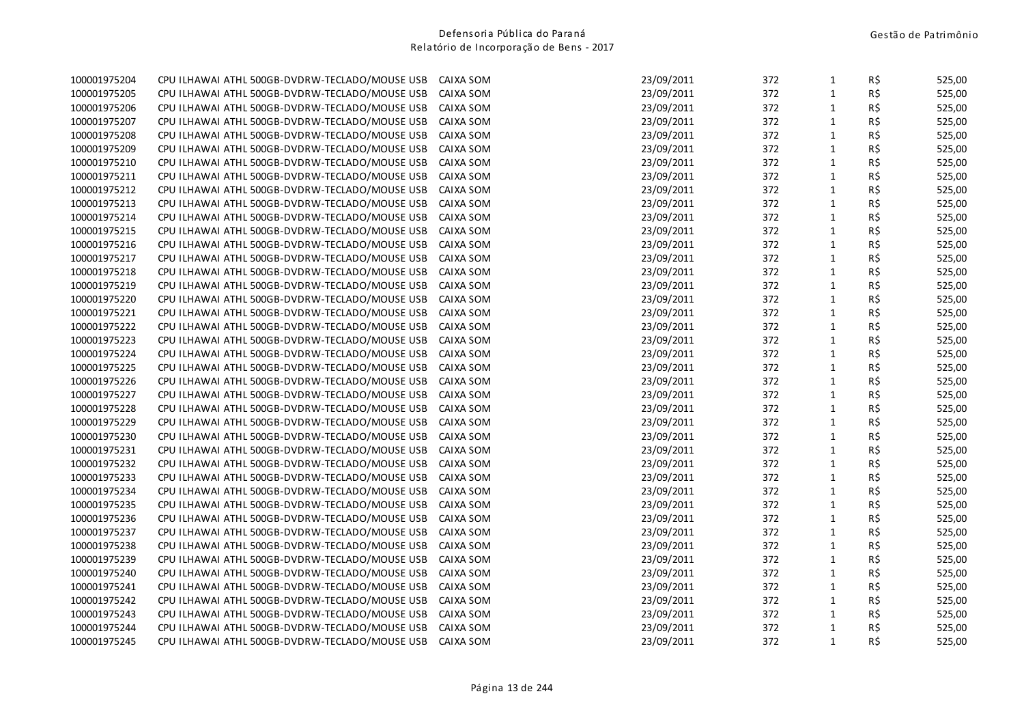| 100001975204 | CPU ILHAWAI ATHL 500GB-DVDRW-TECLADO/MOUSE USB | CAIXA SOM | 23/09/2011 | 372 | $\mathbf 1$  | R\$ | 525,00 |
|--------------|------------------------------------------------|-----------|------------|-----|--------------|-----|--------|
| 100001975205 | CPU ILHAWAI ATHL 500GB-DVDRW-TECLADO/MOUSE USB | CAIXA SOM | 23/09/2011 | 372 | $\mathbf 1$  | R\$ | 525,00 |
| 100001975206 | CPU ILHAWAI ATHL 500GB-DVDRW-TECLADO/MOUSE USB | CAIXA SOM | 23/09/2011 | 372 | $\mathbf{1}$ | R\$ | 525,00 |
| 100001975207 | CPU ILHAWAI ATHL 500GB-DVDRW-TECLADO/MOUSE USB | CAIXA SOM | 23/09/2011 | 372 | $\mathbf 1$  | R\$ | 525,00 |
| 100001975208 | CPU ILHAWAI ATHL 500GB-DVDRW-TECLADO/MOUSE USB | CAIXA SOM | 23/09/2011 | 372 | $\mathbf{1}$ | R\$ | 525,00 |
| 100001975209 | CPU ILHAWAI ATHL 500GB-DVDRW-TECLADO/MOUSE USB | CAIXA SOM | 23/09/2011 | 372 | $\mathbf 1$  | R\$ | 525,00 |
| 100001975210 | CPU ILHAWAI ATHL 500GB-DVDRW-TECLADO/MOUSE USB | CAIXA SOM | 23/09/2011 | 372 | $\mathbf 1$  | R\$ | 525,00 |
| 100001975211 | CPU ILHAWAI ATHL 500GB-DVDRW-TECLADO/MOUSE USB | CAIXA SOM | 23/09/2011 | 372 | $\mathbf 1$  | R\$ | 525,00 |
| 100001975212 | CPU ILHAWAI ATHL 500GB-DVDRW-TECLADO/MOUSE USB | CAIXA SOM | 23/09/2011 | 372 | $\mathbf{1}$ | R\$ | 525,00 |
| 100001975213 | CPU ILHAWAI ATHL 500GB-DVDRW-TECLADO/MOUSE USB | CAIXA SOM | 23/09/2011 | 372 | $\mathbf{1}$ | R\$ | 525,00 |
| 100001975214 | CPU ILHAWAI ATHL 500GB-DVDRW-TECLADO/MOUSE USB | CAIXA SOM | 23/09/2011 | 372 | $\mathbf{1}$ | R\$ | 525,00 |
| 100001975215 | CPU ILHAWAI ATHL 500GB-DVDRW-TECLADO/MOUSE USB | CAIXA SOM | 23/09/2011 | 372 | $\mathbf 1$  | R\$ | 525,00 |
| 100001975216 | CPU ILHAWAI ATHL 500GB-DVDRW-TECLADO/MOUSE USB | CAIXA SOM | 23/09/2011 | 372 | $\mathbf{1}$ | R\$ | 525,00 |
| 100001975217 | CPU ILHAWAI ATHL 500GB-DVDRW-TECLADO/MOUSE USB | CAIXA SOM | 23/09/2011 | 372 | $\mathbf{1}$ | R\$ | 525,00 |
| 100001975218 | CPU ILHAWAI ATHL 500GB-DVDRW-TECLADO/MOUSE USB | CAIXA SOM | 23/09/2011 | 372 | $\mathbf 1$  | R\$ | 525,00 |
| 100001975219 | CPU ILHAWAI ATHL 500GB-DVDRW-TECLADO/MOUSE USB | CAIXA SOM | 23/09/2011 | 372 | $\mathbf{1}$ | R\$ | 525,00 |
| 100001975220 | CPU ILHAWAI ATHL 500GB-DVDRW-TECLADO/MOUSE USB | CAIXA SOM | 23/09/2011 | 372 | $\mathbf 1$  | R\$ | 525,00 |
| 100001975221 | CPU ILHAWAI ATHL 500GB-DVDRW-TECLADO/MOUSE USB | CAIXA SOM | 23/09/2011 | 372 | $\mathbf 1$  | R\$ | 525,00 |
| 100001975222 | CPU ILHAWAI ATHL 500GB-DVDRW-TECLADO/MOUSE USB | CAIXA SOM | 23/09/2011 | 372 | $\mathbf 1$  | R\$ | 525,00 |
| 100001975223 | CPU ILHAWAI ATHL 500GB-DVDRW-TECLADO/MOUSE USB | CAIXA SOM | 23/09/2011 | 372 | $\mathbf 1$  | R\$ | 525,00 |
| 100001975224 | CPU ILHAWAI ATHL 500GB-DVDRW-TECLADO/MOUSE USB | CAIXA SOM | 23/09/2011 | 372 | $\mathbf{1}$ | R\$ | 525,00 |
| 100001975225 | CPU ILHAWAI ATHL 500GB-DVDRW-TECLADO/MOUSE USB | CAIXA SOM | 23/09/2011 | 372 | $\mathbf{1}$ | R\$ | 525,00 |
| 100001975226 | CPU ILHAWAI ATHL 500GB-DVDRW-TECLADO/MOUSE USB | CAIXA SOM | 23/09/2011 | 372 | $\mathbf{1}$ | R\$ | 525,00 |
| 100001975227 | CPU ILHAWAI ATHL 500GB-DVDRW-TECLADO/MOUSE USB | CAIXA SOM | 23/09/2011 | 372 | $\mathbf{1}$ | R\$ | 525,00 |
| 100001975228 | CPU ILHAWAI ATHL 500GB-DVDRW-TECLADO/MOUSE USB | CAIXA SOM | 23/09/2011 | 372 | $\mathbf 1$  | R\$ | 525,00 |
| 100001975229 | CPU ILHAWAI ATHL 500GB-DVDRW-TECLADO/MOUSE USB | CAIXA SOM | 23/09/2011 | 372 | $\mathbf{1}$ | R\$ | 525,00 |
| 100001975230 | CPU ILHAWAI ATHL 500GB-DVDRW-TECLADO/MOUSE USB | CAIXA SOM | 23/09/2011 | 372 | $\mathbf 1$  | R\$ | 525,00 |
| 100001975231 | CPU ILHAWAI ATHL 500GB-DVDRW-TECLADO/MOUSE USB | CAIXA SOM | 23/09/2011 | 372 | $\mathbf 1$  | R\$ | 525,00 |
| 100001975232 | CPU ILHAWAI ATHL 500GB-DVDRW-TECLADO/MOUSE USB | CAIXA SOM | 23/09/2011 | 372 | $\mathbf 1$  | R\$ | 525,00 |
| 100001975233 | CPU ILHAWAI ATHL 500GB-DVDRW-TECLADO/MOUSE USB | CAIXA SOM | 23/09/2011 | 372 | $\mathbf 1$  | R\$ | 525,00 |
| 100001975234 | CPU ILHAWAI ATHL 500GB-DVDRW-TECLADO/MOUSE USB | CAIXA SOM | 23/09/2011 | 372 | $\mathbf{1}$ | R\$ | 525,00 |
| 100001975235 | CPU ILHAWAI ATHL 500GB-DVDRW-TECLADO/MOUSE USB | CAIXA SOM | 23/09/2011 | 372 | $\mathbf 1$  | R\$ | 525,00 |
| 100001975236 | CPU ILHAWAI ATHL 500GB-DVDRW-TECLADO/MOUSE USB | CAIXA SOM | 23/09/2011 | 372 | $\mathbf{1}$ | R\$ | 525,00 |
| 100001975237 | CPU ILHAWAI ATHL 500GB-DVDRW-TECLADO/MOUSE USB | CAIXA SOM | 23/09/2011 | 372 | $\mathbf{1}$ | R\$ | 525,00 |
| 100001975238 | CPU ILHAWAI ATHL 500GB-DVDRW-TECLADO/MOUSE USB | CAIXA SOM | 23/09/2011 | 372 | $\mathbf{1}$ | R\$ | 525,00 |
| 100001975239 | CPU ILHAWAI ATHL 500GB-DVDRW-TECLADO/MOUSE USB | CAIXA SOM | 23/09/2011 | 372 | $\mathbf 1$  | R\$ | 525,00 |
| 100001975240 | CPU ILHAWAI ATHL 500GB-DVDRW-TECLADO/MOUSE USB | CAIXA SOM | 23/09/2011 | 372 | $\mathbf 1$  | R\$ | 525,00 |
| 100001975241 | CPU ILHAWAI ATHL 500GB-DVDRW-TECLADO/MOUSE USB | CAIXA SOM | 23/09/2011 | 372 | $\mathbf 1$  | R\$ | 525,00 |
| 100001975242 | CPU ILHAWAI ATHL 500GB-DVDRW-TECLADO/MOUSE USB | CAIXA SOM | 23/09/2011 | 372 | $\mathbf 1$  | R\$ | 525,00 |
| 100001975243 | CPU ILHAWAI ATHL 500GB-DVDRW-TECLADO/MOUSE USB | CAIXA SOM | 23/09/2011 | 372 | $\mathbf{1}$ | R\$ | 525,00 |
| 100001975244 | CPU ILHAWAI ATHL 500GB-DVDRW-TECLADO/MOUSE USB | CAIXA SOM | 23/09/2011 | 372 | $\mathbf 1$  | R\$ | 525,00 |
| 100001975245 | CPU ILHAWAI ATHL 500GB-DVDRW-TECLADO/MOUSE USB | CAIXA SOM | 23/09/2011 | 372 | $\mathbf{1}$ | R\$ | 525,00 |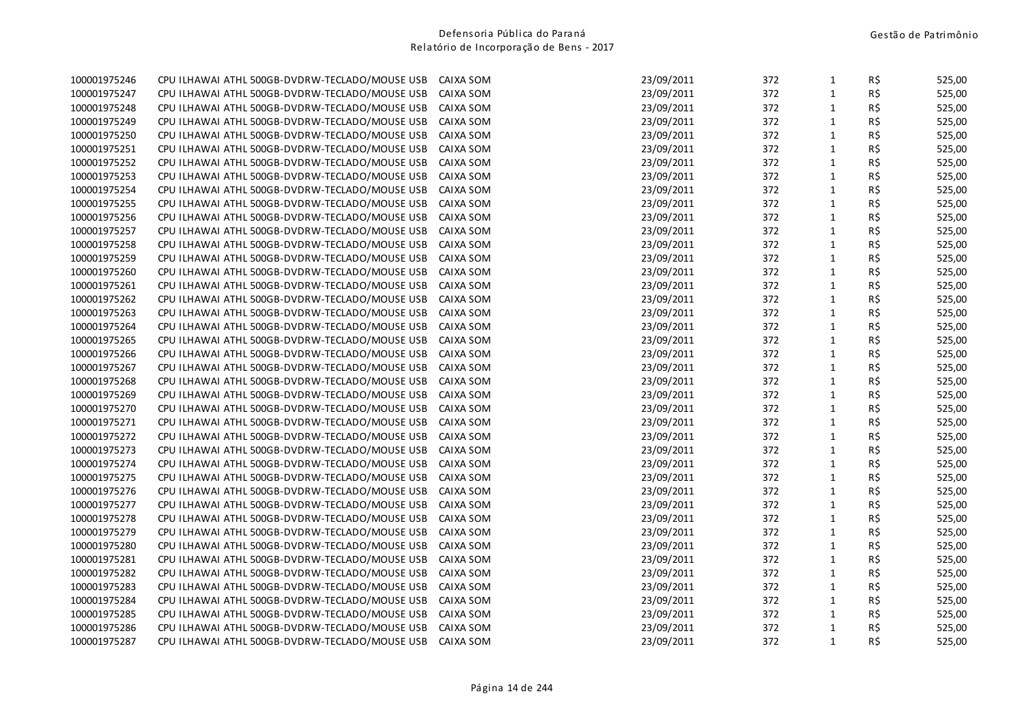| 100001975246 | CPU ILHAWAI ATHL 500GB-DVDRW-TECLADO/MOUSE USB | CAIXA SOM | 23/09/2011 | 372 | $\mathbf{1}$ | R\$ | 525,00 |
|--------------|------------------------------------------------|-----------|------------|-----|--------------|-----|--------|
| 100001975247 | CPU ILHAWAI ATHL 500GB-DVDRW-TECLADO/MOUSE USB | CAIXA SOM | 23/09/2011 | 372 | $\mathbf{1}$ | R\$ | 525,00 |
| 100001975248 | CPU ILHAWAI ATHL 500GB-DVDRW-TECLADO/MOUSE USB | CAIXA SOM | 23/09/2011 | 372 | $\mathbf 1$  | R\$ | 525,00 |
| 100001975249 | CPU ILHAWAI ATHL 500GB-DVDRW-TECLADO/MOUSE USB | CAIXA SOM | 23/09/2011 | 372 | $\mathbf{1}$ | R\$ | 525,00 |
| 100001975250 | CPU ILHAWAI ATHL 500GB-DVDRW-TECLADO/MOUSE USB | CAIXA SOM | 23/09/2011 | 372 | $\mathbf{1}$ | R\$ | 525,00 |
| 100001975251 | CPU ILHAWAI ATHL 500GB-DVDRW-TECLADO/MOUSE USB | CAIXA SOM | 23/09/2011 | 372 | $\mathbf 1$  | R\$ | 525,00 |
| 100001975252 | CPU ILHAWAI ATHL 500GB-DVDRW-TECLADO/MOUSE USB | CAIXA SOM | 23/09/2011 | 372 | $\mathbf{1}$ | R\$ | 525,00 |
| 100001975253 | CPU ILHAWAI ATHL 500GB-DVDRW-TECLADO/MOUSE USB | CAIXA SOM | 23/09/2011 | 372 | $\mathbf{1}$ | R\$ | 525,00 |
| 100001975254 | CPU ILHAWAI ATHL 500GB-DVDRW-TECLADO/MOUSE USB | CAIXA SOM | 23/09/2011 | 372 | $\mathbf{1}$ | R\$ | 525,00 |
| 100001975255 | CPU ILHAWAI ATHL 500GB-DVDRW-TECLADO/MOUSE USB | CAIXA SOM | 23/09/2011 | 372 | $\mathbf{1}$ | R\$ | 525,00 |
| 100001975256 | CPU ILHAWAI ATHL 500GB-DVDRW-TECLADO/MOUSE USB | CAIXA SOM | 23/09/2011 | 372 | $\mathbf 1$  | R\$ | 525,00 |
| 100001975257 | CPU ILHAWAI ATHL 500GB-DVDRW-TECLADO/MOUSE USB | CAIXA SOM | 23/09/2011 | 372 | $\mathbf{1}$ | R\$ | 525,00 |
| 100001975258 | CPU ILHAWAI ATHL 500GB-DVDRW-TECLADO/MOUSE USB | CAIXA SOM | 23/09/2011 | 372 | $\mathbf{1}$ | R\$ | 525,00 |
| 100001975259 | CPU ILHAWAI ATHL 500GB-DVDRW-TECLADO/MOUSE USB | CAIXA SOM | 23/09/2011 | 372 | $\mathbf 1$  | R\$ | 525,00 |
| 100001975260 | CPU ILHAWAI ATHL 500GB-DVDRW-TECLADO/MOUSE USB | CAIXA SOM | 23/09/2011 | 372 | $\mathbf 1$  | R\$ | 525,00 |
| 100001975261 | CPU ILHAWAI ATHL 500GB-DVDRW-TECLADO/MOUSE USB | CAIXA SOM | 23/09/2011 | 372 | $\mathbf 1$  | R\$ | 525,00 |
| 100001975262 | CPU ILHAWAI ATHL 500GB-DVDRW-TECLADO/MOUSE USB | CAIXA SOM | 23/09/2011 | 372 | $\mathbf{1}$ | R\$ | 525,00 |
| 100001975263 | CPU ILHAWAI ATHL 500GB-DVDRW-TECLADO/MOUSE USB | CAIXA SOM | 23/09/2011 | 372 | $\mathbf{1}$ | R\$ | 525,00 |
| 100001975264 | CPU ILHAWAI ATHL 500GB-DVDRW-TECLADO/MOUSE USB | CAIXA SOM | 23/09/2011 | 372 | $\mathbf{1}$ | R\$ | 525,00 |
| 100001975265 | CPU ILHAWAI ATHL 500GB-DVDRW-TECLADO/MOUSE USB | CAIXA SOM | 23/09/2011 | 372 | $\mathbf 1$  | R\$ | 525,00 |
| 100001975266 | CPU ILHAWAI ATHL 500GB-DVDRW-TECLADO/MOUSE USB | CAIXA SOM | 23/09/2011 | 372 | $\mathbf 1$  | R\$ | 525,00 |
| 100001975267 | CPU ILHAWAI ATHL 500GB-DVDRW-TECLADO/MOUSE USB | CAIXA SOM | 23/09/2011 | 372 | $\mathbf{1}$ | R\$ | 525,00 |
| 100001975268 | CPU ILHAWAI ATHL 500GB-DVDRW-TECLADO/MOUSE USB | CAIXA SOM | 23/09/2011 | 372 | $\mathbf{1}$ | R\$ | 525,00 |
| 100001975269 | CPU ILHAWAI ATHL 500GB-DVDRW-TECLADO/MOUSE USB | CAIXA SOM | 23/09/2011 | 372 | $\mathbf{1}$ | R\$ | 525,00 |
| 100001975270 | CPU ILHAWAI ATHL 500GB-DVDRW-TECLADO/MOUSE USB | CAIXA SOM | 23/09/2011 | 372 | $\mathbf 1$  | R\$ | 525,00 |
| 100001975271 | CPU ILHAWAI ATHL 500GB-DVDRW-TECLADO/MOUSE USB | CAIXA SOM | 23/09/2011 | 372 | $\mathbf 1$  | R\$ | 525,00 |
| 100001975272 | CPU ILHAWAI ATHL 500GB-DVDRW-TECLADO/MOUSE USB | CAIXA SOM | 23/09/2011 | 372 | $\mathbf{1}$ | R\$ | 525,00 |
| 100001975273 | CPU ILHAWAI ATHL 500GB-DVDRW-TECLADO/MOUSE USB | CAIXA SOM | 23/09/2011 | 372 | $\mathbf 1$  | R\$ | 525,00 |
| 100001975274 | CPU ILHAWAI ATHL 500GB-DVDRW-TECLADO/MOUSE USB | CAIXA SOM | 23/09/2011 | 372 | $\mathbf 1$  | R\$ | 525,00 |
| 100001975275 | CPU ILHAWAI ATHL 500GB-DVDRW-TECLADO/MOUSE USB | CAIXA SOM | 23/09/2011 | 372 | $\mathbf{1}$ | R\$ | 525,00 |
| 100001975276 | CPU ILHAWAI ATHL 500GB-DVDRW-TECLADO/MOUSE USB | CAIXA SOM | 23/09/2011 | 372 | $\mathbf 1$  | R\$ | 525,00 |
| 100001975277 | CPU ILHAWAI ATHL 500GB-DVDRW-TECLADO/MOUSE USB | CAIXA SOM | 23/09/2011 | 372 | $\mathbf{1}$ | R\$ | 525,00 |
| 100001975278 | CPU ILHAWAI ATHL 500GB-DVDRW-TECLADO/MOUSE USB | CAIXA SOM | 23/09/2011 | 372 | $\mathbf{1}$ | R\$ | 525,00 |
| 100001975279 | CPU ILHAWAI ATHL 500GB-DVDRW-TECLADO/MOUSE USB | CAIXA SOM | 23/09/2011 | 372 | $\mathbf 1$  | R\$ | 525,00 |
| 100001975280 | CPU ILHAWAI ATHL 500GB-DVDRW-TECLADO/MOUSE USB | CAIXA SOM | 23/09/2011 | 372 | $\mathbf{1}$ | R\$ | 525,00 |
| 100001975281 | CPU ILHAWAI ATHL 500GB-DVDRW-TECLADO/MOUSE USB | CAIXA SOM | 23/09/2011 | 372 | $\mathbf{1}$ | R\$ | 525,00 |
| 100001975282 | CPU ILHAWAI ATHL 500GB-DVDRW-TECLADO/MOUSE USB | CAIXA SOM | 23/09/2011 | 372 | $\mathbf 1$  | R\$ | 525,00 |
| 100001975283 | CPU ILHAWAI ATHL 500GB-DVDRW-TECLADO/MOUSE USB | CAIXA SOM | 23/09/2011 | 372 | $\mathbf{1}$ | R\$ | 525,00 |
| 100001975284 | CPU ILHAWAI ATHL 500GB-DVDRW-TECLADO/MOUSE USB | CAIXA SOM | 23/09/2011 | 372 | $\mathbf{1}$ | R\$ | 525,00 |
| 100001975285 | CPU ILHAWAI ATHL 500GB-DVDRW-TECLADO/MOUSE USB | CAIXA SOM | 23/09/2011 | 372 | $\mathbf{1}$ | R\$ | 525,00 |
| 100001975286 | CPU ILHAWAI ATHL 500GB-DVDRW-TECLADO/MOUSE USB | CAIXA SOM | 23/09/2011 | 372 | $\mathbf{1}$ | R\$ | 525,00 |
| 100001975287 | CPU ILHAWAI ATHL 500GB-DVDRW-TECLADO/MOUSE USB | CAIXA SOM | 23/09/2011 | 372 | $\mathbf{1}$ | R\$ | 525,00 |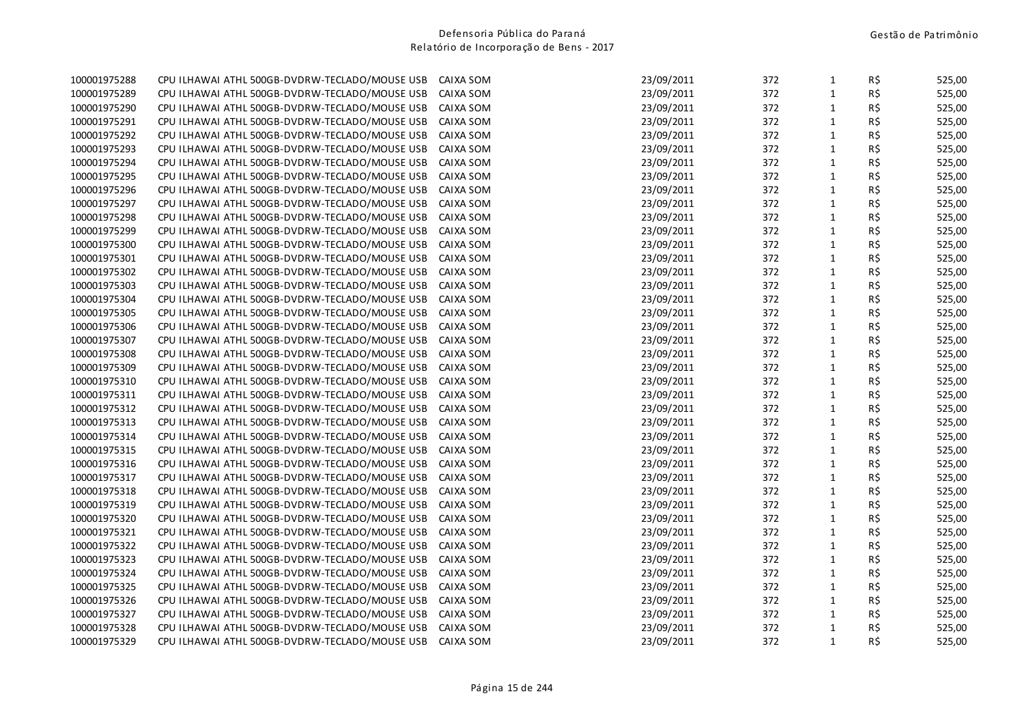| 100001975288 | CPU ILHAWAI ATHL 500GB-DVDRW-TECLADO/MOUSE USB | CAIXA SOM | 23/09/2011 | 372 | $\mathbf{1}$ | R\$ | 525,00 |
|--------------|------------------------------------------------|-----------|------------|-----|--------------|-----|--------|
| 100001975289 | CPU ILHAWAI ATHL 500GB-DVDRW-TECLADO/MOUSE USB | CAIXA SOM | 23/09/2011 | 372 | $\mathbf 1$  | R\$ | 525,00 |
| 100001975290 | CPU ILHAWAI ATHL 500GB-DVDRW-TECLADO/MOUSE USB | CAIXA SOM | 23/09/2011 | 372 | $\mathbf 1$  | R\$ | 525,00 |
| 100001975291 | CPU ILHAWAI ATHL 500GB-DVDRW-TECLADO/MOUSE USB | CAIXA SOM | 23/09/2011 | 372 | $\mathbf{1}$ | R\$ | 525,00 |
| 100001975292 | CPU ILHAWAI ATHL 500GB-DVDRW-TECLADO/MOUSE USB | CAIXA SOM | 23/09/2011 | 372 | $\mathbf{1}$ | R\$ | 525,00 |
| 100001975293 | CPU ILHAWAI ATHL 500GB-DVDRW-TECLADO/MOUSE USB | CAIXA SOM | 23/09/2011 | 372 | $\mathbf{1}$ | R\$ | 525,00 |
| 100001975294 | CPU ILHAWAI ATHL 500GB-DVDRW-TECLADO/MOUSE USB | CAIXA SOM | 23/09/2011 | 372 | $\mathbf{1}$ | R\$ | 525,00 |
| 100001975295 | CPU ILHAWAI ATHL 500GB-DVDRW-TECLADO/MOUSE USB | CAIXA SOM | 23/09/2011 | 372 | $\mathbf{1}$ | R\$ | 525,00 |
| 100001975296 | CPU ILHAWAI ATHL 500GB-DVDRW-TECLADO/MOUSE USB | CAIXA SOM | 23/09/2011 | 372 | $\mathbf{1}$ | R\$ | 525,00 |
| 100001975297 | CPU ILHAWAI ATHL 500GB-DVDRW-TECLADO/MOUSE USB | CAIXA SOM | 23/09/2011 | 372 | $\mathbf 1$  | R\$ | 525,00 |
| 100001975298 | CPU ILHAWAI ATHL 500GB-DVDRW-TECLADO/MOUSE USB | CAIXA SOM | 23/09/2011 | 372 | $\mathbf 1$  | R\$ | 525,00 |
| 100001975299 | CPU ILHAWAI ATHL 500GB-DVDRW-TECLADO/MOUSE USB | CAIXA SOM | 23/09/2011 | 372 | $\mathbf 1$  | R\$ | 525,00 |
| 100001975300 | CPU ILHAWAI ATHL 500GB-DVDRW-TECLADO/MOUSE USB | CAIXA SOM | 23/09/2011 | 372 | $\mathbf 1$  | R\$ | 525,00 |
| 100001975301 | CPU ILHAWAI ATHL 500GB-DVDRW-TECLADO/MOUSE USB | CAIXA SOM | 23/09/2011 | 372 | $\mathbf{1}$ | R\$ | 525,00 |
| 100001975302 | CPU ILHAWAI ATHL 500GB-DVDRW-TECLADO/MOUSE USB | CAIXA SOM | 23/09/2011 | 372 | $\mathbf 1$  | R\$ | 525,00 |
| 100001975303 | CPU ILHAWAI ATHL 500GB-DVDRW-TECLADO/MOUSE USB | CAIXA SOM | 23/09/2011 | 372 | $\mathbf{1}$ | R\$ | 525,00 |
| 100001975304 | CPU ILHAWAI ATHL 500GB-DVDRW-TECLADO/MOUSE USB | CAIXA SOM | 23/09/2011 | 372 | $\mathbf{1}$ | R\$ | 525,00 |
| 100001975305 | CPU ILHAWAI ATHL 500GB-DVDRW-TECLADO/MOUSE USB | CAIXA SOM | 23/09/2011 | 372 | $\mathbf{1}$ | R\$ | 525,00 |
| 100001975306 | CPU ILHAWAI ATHL 500GB-DVDRW-TECLADO/MOUSE USB | CAIXA SOM | 23/09/2011 | 372 | $\mathbf{1}$ | R\$ | 525,00 |
| 100001975307 | CPU ILHAWAI ATHL 500GB-DVDRW-TECLADO/MOUSE USB | CAIXA SOM | 23/09/2011 | 372 | $\mathbf 1$  | R\$ | 525,00 |
| 100001975308 | CPU ILHAWAI ATHL 500GB-DVDRW-TECLADO/MOUSE USB | CAIXA SOM | 23/09/2011 | 372 | $\mathbf{1}$ | R\$ | 525,00 |
| 100001975309 | CPU ILHAWAI ATHL 500GB-DVDRW-TECLADO/MOUSE USB | CAIXA SOM | 23/09/2011 | 372 | $\mathbf 1$  | R\$ | 525,00 |
| 100001975310 | CPU ILHAWAI ATHL 500GB-DVDRW-TECLADO/MOUSE USB | CAIXA SOM | 23/09/2011 | 372 | $\mathbf{1}$ | R\$ | 525,00 |
| 100001975311 | CPU ILHAWAI ATHL 500GB-DVDRW-TECLADO/MOUSE USB | CAIXA SOM | 23/09/2011 | 372 | $\mathbf{1}$ | R\$ | 525,00 |
| 100001975312 | CPU ILHAWAI ATHL 500GB-DVDRW-TECLADO/MOUSE USB | CAIXA SOM | 23/09/2011 | 372 | $\mathbf 1$  | R\$ | 525,00 |
| 100001975313 | CPU ILHAWAI ATHL 500GB-DVDRW-TECLADO/MOUSE USB | CAIXA SOM | 23/09/2011 | 372 | $\mathbf{1}$ | R\$ | 525,00 |
| 100001975314 | CPU ILHAWAI ATHL 500GB-DVDRW-TECLADO/MOUSE USB | CAIXA SOM | 23/09/2011 | 372 | $\mathbf{1}$ | R\$ | 525,00 |
| 100001975315 | CPU ILHAWAI ATHL 500GB-DVDRW-TECLADO/MOUSE USB | CAIXA SOM | 23/09/2011 | 372 | $\mathbf 1$  | R\$ | 525,00 |
| 100001975316 | CPU ILHAWAI ATHL 500GB-DVDRW-TECLADO/MOUSE USB | CAIXA SOM | 23/09/2011 | 372 | $\mathbf{1}$ | R\$ | 525,00 |
| 100001975317 | CPU ILHAWAI ATHL 500GB-DVDRW-TECLADO/MOUSE USB | CAIXA SOM | 23/09/2011 | 372 | $\mathbf{1}$ | R\$ | 525,00 |
| 100001975318 | CPU ILHAWAI ATHL 500GB-DVDRW-TECLADO/MOUSE USB | CAIXA SOM | 23/09/2011 | 372 | $\mathbf{1}$ | R\$ | 525,00 |
| 100001975319 | CPU ILHAWAI ATHL 500GB-DVDRW-TECLADO/MOUSE USB | CAIXA SOM | 23/09/2011 | 372 | $\mathbf{1}$ | R\$ | 525,00 |
| 100001975320 | CPU ILHAWAI ATHL 500GB-DVDRW-TECLADO/MOUSE USB | CAIXA SOM | 23/09/2011 | 372 | $\mathbf 1$  | R\$ | 525,00 |
| 100001975321 | CPU ILHAWAI ATHL 500GB-DVDRW-TECLADO/MOUSE USB | CAIXA SOM | 23/09/2011 | 372 | $\mathbf 1$  | R\$ | 525,00 |
| 100001975322 | CPU ILHAWAI ATHL 500GB-DVDRW-TECLADO/MOUSE USB | CAIXA SOM | 23/09/2011 | 372 | $\mathbf{1}$ | R\$ | 525,00 |
| 100001975323 | CPU ILHAWAI ATHL 500GB-DVDRW-TECLADO/MOUSE USB | CAIXA SOM | 23/09/2011 | 372 | $\mathbf{1}$ | R\$ | 525,00 |
| 100001975324 | CPU ILHAWAI ATHL 500GB-DVDRW-TECLADO/MOUSE USB | CAIXA SOM | 23/09/2011 | 372 | $\mathbf 1$  | R\$ | 525,00 |
| 100001975325 | CPU ILHAWAI ATHL 500GB-DVDRW-TECLADO/MOUSE USB | CAIXA SOM | 23/09/2011 | 372 | $\mathbf{1}$ | R\$ | 525,00 |
| 100001975326 | CPU ILHAWAI ATHL 500GB-DVDRW-TECLADO/MOUSE USB | CAIXA SOM | 23/09/2011 | 372 | $\mathbf{1}$ | R\$ | 525,00 |
| 100001975327 | CPU ILHAWAI ATHL 500GB-DVDRW-TECLADO/MOUSE USB | CAIXA SOM | 23/09/2011 | 372 | $\mathbf{1}$ | R\$ | 525,00 |
| 100001975328 | CPU ILHAWAI ATHL 500GB-DVDRW-TECLADO/MOUSE USB | CAIXA SOM | 23/09/2011 | 372 | $\mathbf{1}$ | R\$ | 525,00 |
| 100001975329 | CPU ILHAWAI ATHL 500GB-DVDRW-TECLADO/MOUSE USB | CAIXA SOM | 23/09/2011 | 372 | $\mathbf{1}$ | R\$ | 525,00 |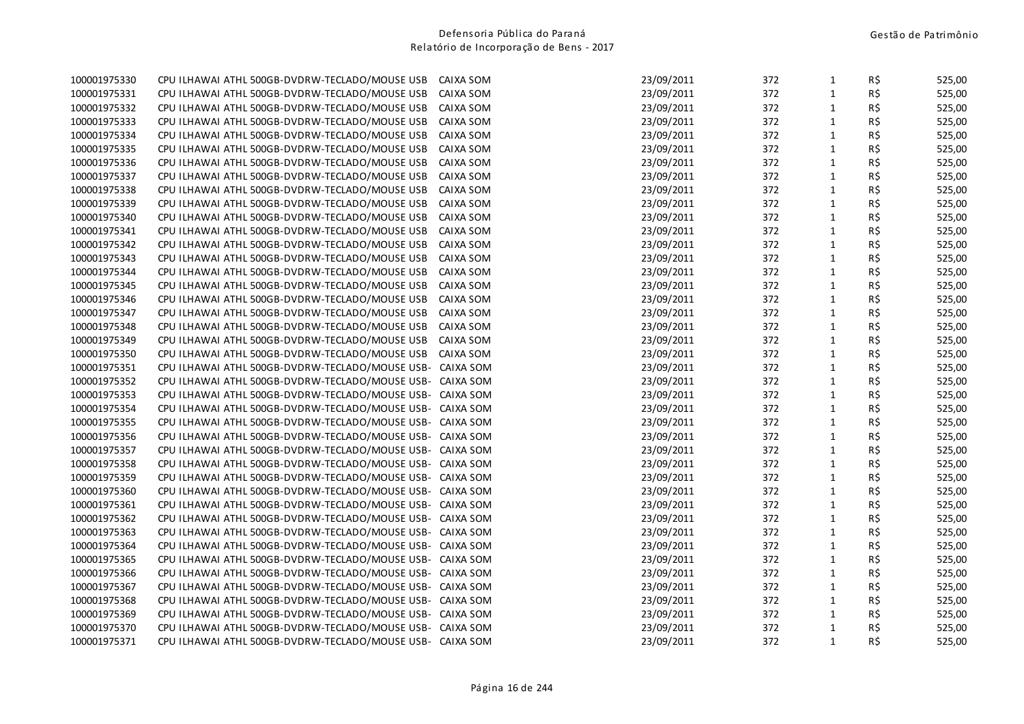| 100001975330 | CPU ILHAWAI ATHL 500GB-DVDRW-TECLADO/MOUSE USB            | CAIXA SOM | 23/09/2011 | 372 | $\mathbf{1}$ | R\$            | 525,00 |
|--------------|-----------------------------------------------------------|-----------|------------|-----|--------------|----------------|--------|
| 100001975331 | CPU ILHAWAI ATHL 500GB-DVDRW-TECLADO/MOUSE USB            | CAIXA SOM | 23/09/2011 | 372 | $\mathbf{1}$ | R\$            | 525,00 |
| 100001975332 | CPU ILHAWAI ATHL 500GB-DVDRW-TECLADO/MOUSE USB            | CAIXA SOM | 23/09/2011 | 372 | $\mathbf{1}$ | R\$            | 525,00 |
| 100001975333 | CPU ILHAWAI ATHL 500GB-DVDRW-TECLADO/MOUSE USB            | CAIXA SOM | 23/09/2011 | 372 | $\mathbf{1}$ | R\$            | 525,00 |
| 100001975334 | CPU ILHAWAI ATHL 500GB-DVDRW-TECLADO/MOUSE USB            | CAIXA SOM | 23/09/2011 | 372 | $\mathbf{1}$ | R\$            | 525,00 |
| 100001975335 | CPU ILHAWAI ATHL 500GB-DVDRW-TECLADO/MOUSE USB            | CAIXA SOM | 23/09/2011 | 372 | $\mathbf 1$  | R\$            | 525,00 |
| 100001975336 | CPU ILHAWAI ATHL 500GB-DVDRW-TECLADO/MOUSE USB            | CAIXA SOM | 23/09/2011 | 372 | $\mathbf 1$  | R\$            | 525,00 |
| 100001975337 | CPU ILHAWAI ATHL 500GB-DVDRW-TECLADO/MOUSE USB            | CAIXA SOM | 23/09/2011 | 372 | $\mathbf 1$  | R\$            | 525,00 |
| 100001975338 | CPU ILHAWAI ATHL 500GB-DVDRW-TECLADO/MOUSE USB            | CAIXA SOM | 23/09/2011 | 372 | $\mathbf{1}$ | R\$            | 525,00 |
| 100001975339 | CPU ILHAWAI ATHL 500GB-DVDRW-TECLADO/MOUSE USB            | CAIXA SOM | 23/09/2011 | 372 | $\mathbf 1$  | R\$            | 525,00 |
| 100001975340 | CPU ILHAWAI ATHL 500GB-DVDRW-TECLADO/MOUSE USB            | CAIXA SOM | 23/09/2011 | 372 | $\mathbf{1}$ | R\$            | 525,00 |
| 100001975341 | CPU ILHAWAI ATHL 500GB-DVDRW-TECLADO/MOUSE USB            | CAIXA SOM | 23/09/2011 | 372 | $\mathbf{1}$ | R\$            | 525,00 |
| 100001975342 | CPU ILHAWAI ATHL 500GB-DVDRW-TECLADO/MOUSE USB            | CAIXA SOM | 23/09/2011 | 372 | $\mathbf{1}$ | R\$            | 525,00 |
| 100001975343 | CPU ILHAWAI ATHL 500GB-DVDRW-TECLADO/MOUSE USB            | CAIXA SOM | 23/09/2011 | 372 | $\mathbf{1}$ | R\$            | 525,00 |
| 100001975344 | CPU ILHAWAI ATHL 500GB-DVDRW-TECLADO/MOUSE USB            | CAIXA SOM | 23/09/2011 | 372 | $\,1\,$      | R\$            | 525,00 |
| 100001975345 | CPU ILHAWAI ATHL 500GB-DVDRW-TECLADO/MOUSE USB            | CAIXA SOM | 23/09/2011 | 372 | $\mathbf 1$  | R\$            | 525,00 |
| 100001975346 | CPU ILHAWAI ATHL 500GB-DVDRW-TECLADO/MOUSE USB            | CAIXA SOM | 23/09/2011 | 372 | $\mathbf 1$  | R\$            | 525,00 |
| 100001975347 | CPU ILHAWAI ATHL 500GB-DVDRW-TECLADO/MOUSE USB            | CAIXA SOM | 23/09/2011 | 372 | $\mathbf 1$  | R\$            | 525,00 |
| 100001975348 | CPU ILHAWAI ATHL 500GB-DVDRW-TECLADO/MOUSE USB            | CAIXA SOM | 23/09/2011 | 372 | $\mathbf 1$  | R\$            | 525,00 |
| 100001975349 | CPU ILHAWAI ATHL 500GB-DVDRW-TECLADO/MOUSE USB            | CAIXA SOM | 23/09/2011 | 372 | $\mathbf 1$  | R\$            | 525,00 |
| 100001975350 | CPU ILHAWAI ATHL 500GB-DVDRW-TECLADO/MOUSE USB            | CAIXA SOM | 23/09/2011 | 372 | $\mathbf{1}$ | R\$            | 525,00 |
| 100001975351 | CPU ILHAWAI ATHL 500GB-DVDRW-TECLADO/MOUSE USB-           | CAIXA SOM | 23/09/2011 | 372 | $\mathbf{1}$ | R\$            | 525,00 |
| 100001975352 | CPU ILHAWAI ATHL 500GB-DVDRW-TECLADO/MOUSE USB-           | CAIXA SOM | 23/09/2011 | 372 | $\mathbf{1}$ | $R\frac{2}{3}$ | 525,00 |
| 100001975353 | CPU ILHAWAI ATHL 500GB-DVDRW-TECLADO/MOUSE USB- CAIXA SOM |           | 23/09/2011 | 372 | $\mathbf{1}$ | R\$            | 525,00 |
| 100001975354 | CPU ILHAWAI ATHL 500GB-DVDRW-TECLADO/MOUSE USB- CAIXA SOM |           | 23/09/2011 | 372 | $\,1\,$      | R\$            | 525,00 |
| 100001975355 | CPU ILHAWAI ATHL 500GB-DVDRW-TECLADO/MOUSE USB- CAIXA SOM |           | 23/09/2011 | 372 | $\mathbf{1}$ | R\$            | 525,00 |
| 100001975356 | CPU ILHAWAI ATHL 500GB-DVDRW-TECLADO/MOUSE USB- CAIXA SOM |           | 23/09/2011 | 372 | $\mathbf 1$  | R\$            | 525,00 |
| 100001975357 | CPU ILHAWAI ATHL 500GB-DVDRW-TECLADO/MOUSE USB- CAIXA SOM |           | 23/09/2011 | 372 | $\mathbf 1$  | R\$            | 525,00 |
| 100001975358 | CPU ILHAWAI ATHL 500GB-DVDRW-TECLADO/MOUSE USB- CAIXA SOM |           | 23/09/2011 | 372 | $\mathbf 1$  | R\$            | 525,00 |
| 100001975359 | CPU ILHAWAI ATHL 500GB-DVDRW-TECLADO/MOUSE USB- CAIXA SOM |           | 23/09/2011 | 372 | $\mathbf 1$  | R\$            | 525,00 |
| 100001975360 | CPU ILHAWAI ATHL 500GB-DVDRW-TECLADO/MOUSE USB- CAIXA SOM |           | 23/09/2011 | 372 | $\mathbf{1}$ | R\$            | 525,00 |
| 100001975361 | CPU ILHAWAI ATHL 500GB-DVDRW-TECLADO/MOUSE USB- CAIXA SOM |           | 23/09/2011 | 372 | $\mathbf{1}$ | R\$            | 525,00 |
| 100001975362 | CPU ILHAWAI ATHL 500GB-DVDRW-TECLADO/MOUSE USB- CAIXA SOM |           | 23/09/2011 | 372 | $\mathbf{1}$ | R\$            | 525,00 |
| 100001975363 | CPU ILHAWAI ATHL 500GB-DVDRW-TECLADO/MOUSE USB- CAIXA SOM |           | 23/09/2011 | 372 | $\mathbf{1}$ | R\$            | 525,00 |
| 100001975364 | CPU ILHAWAI ATHL 500GB-DVDRW-TECLADO/MOUSE USB- CAIXA SOM |           | 23/09/2011 | 372 | $\mathbf{1}$ | R\$            | 525,00 |
| 100001975365 | CPU ILHAWAI ATHL 500GB-DVDRW-TECLADO/MOUSE USB- CAIXA SOM |           | 23/09/2011 | 372 | $\mathbf 1$  | R\$            | 525,00 |
| 100001975366 | CPU ILHAWAI ATHL 500GB-DVDRW-TECLADO/MOUSE USB- CAIXA SOM |           | 23/09/2011 | 372 | $\mathbf 1$  | R\$            | 525,00 |
| 100001975367 | CPU ILHAWAI ATHL 500GB-DVDRW-TECLADO/MOUSE USB- CAIXA SOM |           | 23/09/2011 | 372 | $\mathbf 1$  | R\$            | 525,00 |
| 100001975368 | CPU ILHAWAI ATHL 500GB-DVDRW-TECLADO/MOUSE USB- CAIXA SOM |           | 23/09/2011 | 372 | $\mathbf 1$  | R\$            | 525,00 |
| 100001975369 | CPU ILHAWAI ATHL 500GB-DVDRW-TECLADO/MOUSE USB- CAIXA SOM |           | 23/09/2011 | 372 | $\mathbf{1}$ | R\$            | 525,00 |
| 100001975370 | CPU ILHAWAI ATHL 500GB-DVDRW-TECLADO/MOUSE USB- CAIXA SOM |           | 23/09/2011 | 372 | $\mathbf 1$  | R\$            | 525,00 |
| 100001975371 | CPU ILHAWAI ATHL 500GB-DVDRW-TECLADO/MOUSE USB- CAIXA SOM |           | 23/09/2011 | 372 | $\mathbf{1}$ | R\$            | 525,00 |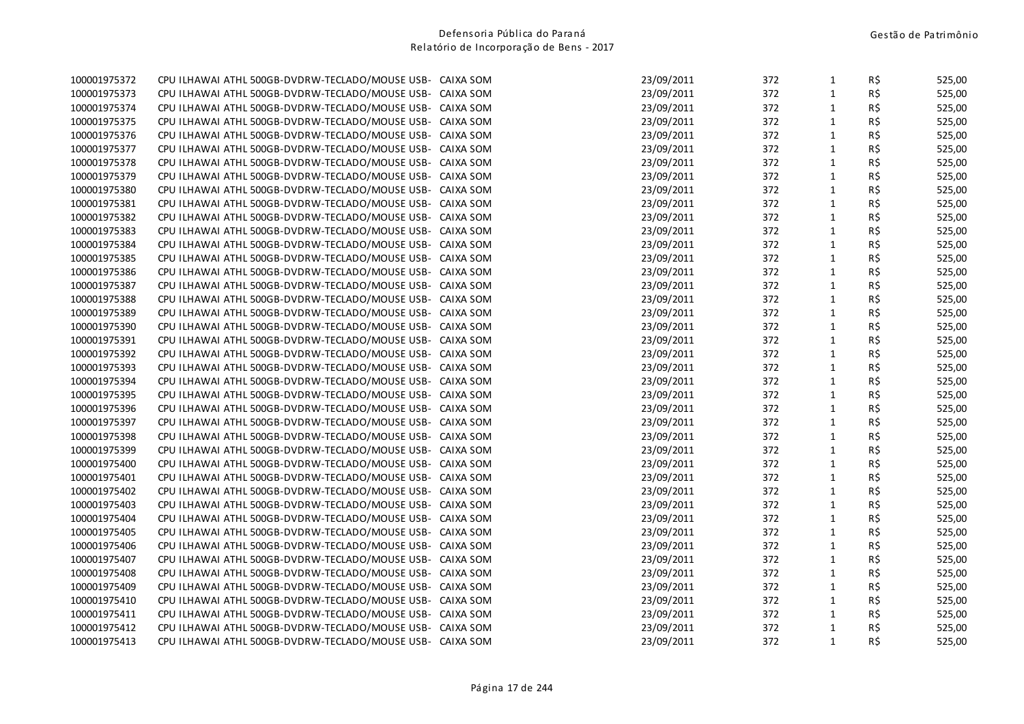| 23/09/2011<br>$\mathbf{1}$<br>R\$<br>100001975373<br>CPU ILHAWAI ATHL 500GB-DVDRW-TECLADO/MOUSE USB- CAIXA SOM<br>372<br>100001975374<br>CPU ILHAWAI ATHL 500GB-DVDRW-TECLADO/MOUSE USB-<br>23/09/2011<br>372<br>$\mathbf{1}$<br>R\$<br>CAIXA SOM<br>23/09/2011<br>372<br>$\mathbf{1}$<br>R\$<br>100001975375<br>CPU ILHAWAI ATHL 500GB-DVDRW-TECLADO/MOUSE USB-<br>CAIXA SOM<br>R\$<br>100001975376<br>CPU ILHAWAI ATHL 500GB-DVDRW-TECLADO/MOUSE USB- CAIXA SOM<br>23/09/2011<br>372<br>$\mathbf{1}$<br>$1\,$<br>R\$<br>100001975377<br>23/09/2011<br>372<br>CPU ILHAWAI ATHL 500GB-DVDRW-TECLADO/MOUSE USB- CAIXA SOM<br>23/09/2011<br>372<br>$\mathbf{1}$<br>R\$<br>100001975378<br>CPU ILHAWAI ATHL 500GB-DVDRW-TECLADO/MOUSE USB- CAIXA SOM<br>23/09/2011<br>372<br>$\mathbf{1}$<br>R\$<br>100001975379<br>CPU ILHAWAI ATHL 500GB-DVDRW-TECLADO/MOUSE USB- CAIXA SOM<br>R\$<br>372<br>$\mathbf{1}$<br>100001975380<br>CPU ILHAWAI ATHL 500GB-DVDRW-TECLADO/MOUSE USB- CAIXA SOM<br>23/09/2011<br>R\$<br>372<br>$\mathbf{1}$<br>100001975381<br>CPU ILHAWAI ATHL 500GB-DVDRW-TECLADO/MOUSE USB- CAIXA SOM<br>23/09/2011<br>$\mathbf{1}$<br>R\$<br>100001975382<br>23/09/2011<br>372<br>CPU ILHAWAI ATHL 500GB-DVDRW-TECLADO/MOUSE USB- CAIXA SOM<br>$\mathbf{1}$<br>R\$<br>100001975383<br>23/09/2011<br>372<br>CPU ILHAWAI ATHL 500GB-DVDRW-TECLADO/MOUSE USB-<br>CAIXA SOM<br>R\$<br>$\mathbf{1}$<br>100001975384<br>CPU ILHAWAI ATHL 500GB-DVDRW-TECLADO/MOUSE USB- CAIXA SOM<br>23/09/2011<br>372<br>$1\,$<br>R\$<br>100001975385<br>CPU ILHAWAI ATHL 500GB-DVDRW-TECLADO/MOUSE USB- CAIXA SOM<br>23/09/2011<br>372<br>$1\,$<br>R\$<br>23/09/2011<br>372<br>100001975386<br>CPU ILHAWAI ATHL 500GB-DVDRW-TECLADO/MOUSE USB- CAIXA SOM<br>23/09/2011<br>$\mathbf{1}$<br>R\$<br>100001975387<br>CPU ILHAWAI ATHL 500GB-DVDRW-TECLADO/MOUSE USB- CAIXA SOM<br>372<br>$1\,$<br>R\$<br>100001975388<br>CPU ILHAWAI ATHL 500GB-DVDRW-TECLADO/MOUSE USB- CAIXA SOM<br>23/09/2011<br>372<br>R\$<br>23/09/2011<br>372<br>$\mathbf{1}$<br>100001975389<br>CPU ILHAWAI ATHL 500GB-DVDRW-TECLADO/MOUSE USB- CAIXA SOM<br>$1\,$<br>R\$<br>372<br>100001975390<br>CPU ILHAWAI ATHL 500GB-DVDRW-TECLADO/MOUSE USB- CAIXA SOM<br>23/09/2011<br>$\mathbf{1}$<br>R\$<br>100001975391<br>23/09/2011<br>372<br>CPU ILHAWAI ATHL 500GB-DVDRW-TECLADO/MOUSE USB- CAIXA SOM<br>$1\,$<br>R\$<br>23/09/2011<br>372<br>100001975392<br>CPU ILHAWAI ATHL 500GB-DVDRW-TECLADO/MOUSE USB- CAIXA SOM<br>$\mathbf{1}$<br>R\$<br>100001975393<br>23/09/2011<br>372<br>CPU ILHAWAI ATHL 500GB-DVDRW-TECLADO/MOUSE USB- CAIXA SOM<br>$\mathbf{1}$<br>R\$<br>23/09/2011<br>372<br>100001975394<br>CPU ILHAWAI ATHL 500GB-DVDRW-TECLADO/MOUSE USB- CAIXA SOM<br>$\mathbf{1}$<br>R\$<br>23/09/2011<br>372<br>100001975395<br>CPU ILHAWAI ATHL 500GB-DVDRW-TECLADO/MOUSE USB- CAIXA SOM<br>23/09/2011<br>$\mathbf{1}$<br>R\$<br>100001975396<br>CPU ILHAWAI ATHL 500GB-DVDRW-TECLADO/MOUSE USB- CAIXA SOM<br>372<br>$1\,$<br>R\$<br>100001975397<br>23/09/2011<br>372<br>CPU ILHAWAI ATHL 500GB-DVDRW-TECLADO/MOUSE USB- CAIXA SOM<br>R\$<br>23/09/2011<br>372<br>$\mathbf{1}$<br>100001975398<br>CPU ILHAWAI ATHL 500GB-DVDRW-TECLADO/MOUSE USB- CAIXA SOM<br>23/09/2011<br>$\mathbf{1}$<br>R\$<br>100001975399<br>CPU ILHAWAI ATHL 500GB-DVDRW-TECLADO/MOUSE USB- CAIXA SOM<br>372<br>$\mathbf{1}$<br>R\$<br>100001975400<br>23/09/2011<br>372<br>CPU ILHAWAI ATHL 500GB-DVDRW-TECLADO/MOUSE USB- CAIXA SOM<br>$1\,$<br>R\$<br>23/09/2011<br>372<br>100001975401<br>CPU ILHAWAI ATHL 500GB-DVDRW-TECLADO/MOUSE USB- CAIXA SOM<br>$\mathbf{1}$<br>R\$<br>CPU ILHAWAI ATHL 500GB-DVDRW-TECLADO/MOUSE USB- CAIXA SOM<br>23/09/2011<br>372<br>100001975402<br>$1\,$<br>R\$<br>23/09/2011<br>372<br>100001975403<br>CPU ILHAWAI ATHL 500GB-DVDRW-TECLADO/MOUSE USB- CAIXA SOM<br>R\$<br>372<br>$\mathbf{1}$<br>100001975404<br>CPU ILHAWAI ATHL 500GB-DVDRW-TECLADO/MOUSE USB- CAIXA SOM<br>23/09/2011<br>$\mathbf{1}$<br>R\$<br>100001975405<br>23/09/2011<br>372<br>CPU ILHAWAI ATHL 500GB-DVDRW-TECLADO/MOUSE USB-<br>CAIXA SOM<br>R\$<br>23/09/2011<br>372<br>$\mathbf{1}$<br>100001975406<br>CPU ILHAWAI ATHL 500GB-DVDRW-TECLADO/MOUSE USB-<br>CAIXA SOM<br>R\$<br>372<br>$\mathbf{1}$<br>100001975407<br>CPU ILHAWAI ATHL 500GB-DVDRW-TECLADO/MOUSE USB-<br>CAIXA SOM<br>23/09/2011<br>$\mathbf 1$<br>R\$<br>100001975408<br>CPU ILHAWAI ATHL 500GB-DVDRW-TECLADO/MOUSE USB-<br>23/09/2011<br>372<br>CAIXA SOM<br>$\mathbf{1}$<br>100001975409<br>23/09/2011<br>372<br>R\$<br>CPU ILHAWAI ATHL 500GB-DVDRW-TECLADO/MOUSE USB-<br>CAIXA SOM<br>23/09/2011<br>$\mathbf{1}$<br>R\$<br>100001975410<br>CPU ILHAWAI ATHL 500GB-DVDRW-TECLADO/MOUSE USB- CAIXA SOM<br>372<br>R\$<br>100001975411<br>CPU ILHAWAI ATHL 500GB-DVDRW-TECLADO/MOUSE USB- CAIXA SOM<br>23/09/2011<br>372<br>$\mathbf{1}$<br>$\mathbf{1}$<br>R\$<br>100001975412<br>23/09/2011<br>372<br>CPU ILHAWAI ATHL 500GB-DVDRW-TECLADO/MOUSE USB- CAIXA SOM<br>$\mathbf{1}$<br>R\$<br>100001975413<br>CPU ILHAWAI ATHL 500GB-DVDRW-TECLADO/MOUSE USB- CAIXA SOM<br>23/09/2011<br>372 | 100001975372 | CPU ILHAWAI ATHL 500GB-DVDRW-TECLADO/MOUSE USB- CAIXA SOM | 23/09/2011 | 372 | $\mathbf{1}$ | R\$ | 525,00 |
|-----------------------------------------------------------------------------------------------------------------------------------------------------------------------------------------------------------------------------------------------------------------------------------------------------------------------------------------------------------------------------------------------------------------------------------------------------------------------------------------------------------------------------------------------------------------------------------------------------------------------------------------------------------------------------------------------------------------------------------------------------------------------------------------------------------------------------------------------------------------------------------------------------------------------------------------------------------------------------------------------------------------------------------------------------------------------------------------------------------------------------------------------------------------------------------------------------------------------------------------------------------------------------------------------------------------------------------------------------------------------------------------------------------------------------------------------------------------------------------------------------------------------------------------------------------------------------------------------------------------------------------------------------------------------------------------------------------------------------------------------------------------------------------------------------------------------------------------------------------------------------------------------------------------------------------------------------------------------------------------------------------------------------------------------------------------------------------------------------------------------------------------------------------------------------------------------------------------------------------------------------------------------------------------------------------------------------------------------------------------------------------------------------------------------------------------------------------------------------------------------------------------------------------------------------------------------------------------------------------------------------------------------------------------------------------------------------------------------------------------------------------------------------------------------------------------------------------------------------------------------------------------------------------------------------------------------------------------------------------------------------------------------------------------------------------------------------------------------------------------------------------------------------------------------------------------------------------------------------------------------------------------------------------------------------------------------------------------------------------------------------------------------------------------------------------------------------------------------------------------------------------------------------------------------------------------------------------------------------------------------------------------------------------------------------------------------------------------------------------------------------------------------------------------------------------------------------------------------------------------------------------------------------------------------------------------------------------------------------------------------------------------------------------------------------------------------------------------------------------------------------------------------------------------------------------------------------------------------------------------------------------------------------------------------------------------------------------------------------------------------------------------------------------------------------------------------------------------------------------------------------------------------------------------------------------------------------------------------------------------------------------------------------------------------------------------------------------------------------------------------------------------------------------------------------------------------------------------------------------------------------------------------------------------------------------------------------------------------------------------------------------------------------------------------------------------------------------------------------------------------|--------------|-----------------------------------------------------------|------------|-----|--------------|-----|--------|
|                                                                                                                                                                                                                                                                                                                                                                                                                                                                                                                                                                                                                                                                                                                                                                                                                                                                                                                                                                                                                                                                                                                                                                                                                                                                                                                                                                                                                                                                                                                                                                                                                                                                                                                                                                                                                                                                                                                                                                                                                                                                                                                                                                                                                                                                                                                                                                                                                                                                                                                                                                                                                                                                                                                                                                                                                                                                                                                                                                                                                                                                                                                                                                                                                                                                                                                                                                                                                                                                                                                                                                                                                                                                                                                                                                                                                                                                                                                                                                                                                                                                                                                                                                                                                                                                                                                                                                                                                                                                                                                                                                                                                                                                                                                                                                                                                                                                                                                                                                                                                                                                                                                       |              |                                                           |            |     |              |     | 525,00 |
|                                                                                                                                                                                                                                                                                                                                                                                                                                                                                                                                                                                                                                                                                                                                                                                                                                                                                                                                                                                                                                                                                                                                                                                                                                                                                                                                                                                                                                                                                                                                                                                                                                                                                                                                                                                                                                                                                                                                                                                                                                                                                                                                                                                                                                                                                                                                                                                                                                                                                                                                                                                                                                                                                                                                                                                                                                                                                                                                                                                                                                                                                                                                                                                                                                                                                                                                                                                                                                                                                                                                                                                                                                                                                                                                                                                                                                                                                                                                                                                                                                                                                                                                                                                                                                                                                                                                                                                                                                                                                                                                                                                                                                                                                                                                                                                                                                                                                                                                                                                                                                                                                                                       |              |                                                           |            |     |              |     | 525,00 |
|                                                                                                                                                                                                                                                                                                                                                                                                                                                                                                                                                                                                                                                                                                                                                                                                                                                                                                                                                                                                                                                                                                                                                                                                                                                                                                                                                                                                                                                                                                                                                                                                                                                                                                                                                                                                                                                                                                                                                                                                                                                                                                                                                                                                                                                                                                                                                                                                                                                                                                                                                                                                                                                                                                                                                                                                                                                                                                                                                                                                                                                                                                                                                                                                                                                                                                                                                                                                                                                                                                                                                                                                                                                                                                                                                                                                                                                                                                                                                                                                                                                                                                                                                                                                                                                                                                                                                                                                                                                                                                                                                                                                                                                                                                                                                                                                                                                                                                                                                                                                                                                                                                                       |              |                                                           |            |     |              |     | 525,00 |
|                                                                                                                                                                                                                                                                                                                                                                                                                                                                                                                                                                                                                                                                                                                                                                                                                                                                                                                                                                                                                                                                                                                                                                                                                                                                                                                                                                                                                                                                                                                                                                                                                                                                                                                                                                                                                                                                                                                                                                                                                                                                                                                                                                                                                                                                                                                                                                                                                                                                                                                                                                                                                                                                                                                                                                                                                                                                                                                                                                                                                                                                                                                                                                                                                                                                                                                                                                                                                                                                                                                                                                                                                                                                                                                                                                                                                                                                                                                                                                                                                                                                                                                                                                                                                                                                                                                                                                                                                                                                                                                                                                                                                                                                                                                                                                                                                                                                                                                                                                                                                                                                                                                       |              |                                                           |            |     |              |     | 525,00 |
|                                                                                                                                                                                                                                                                                                                                                                                                                                                                                                                                                                                                                                                                                                                                                                                                                                                                                                                                                                                                                                                                                                                                                                                                                                                                                                                                                                                                                                                                                                                                                                                                                                                                                                                                                                                                                                                                                                                                                                                                                                                                                                                                                                                                                                                                                                                                                                                                                                                                                                                                                                                                                                                                                                                                                                                                                                                                                                                                                                                                                                                                                                                                                                                                                                                                                                                                                                                                                                                                                                                                                                                                                                                                                                                                                                                                                                                                                                                                                                                                                                                                                                                                                                                                                                                                                                                                                                                                                                                                                                                                                                                                                                                                                                                                                                                                                                                                                                                                                                                                                                                                                                                       |              |                                                           |            |     |              |     | 525,00 |
|                                                                                                                                                                                                                                                                                                                                                                                                                                                                                                                                                                                                                                                                                                                                                                                                                                                                                                                                                                                                                                                                                                                                                                                                                                                                                                                                                                                                                                                                                                                                                                                                                                                                                                                                                                                                                                                                                                                                                                                                                                                                                                                                                                                                                                                                                                                                                                                                                                                                                                                                                                                                                                                                                                                                                                                                                                                                                                                                                                                                                                                                                                                                                                                                                                                                                                                                                                                                                                                                                                                                                                                                                                                                                                                                                                                                                                                                                                                                                                                                                                                                                                                                                                                                                                                                                                                                                                                                                                                                                                                                                                                                                                                                                                                                                                                                                                                                                                                                                                                                                                                                                                                       |              |                                                           |            |     |              |     | 525,00 |
|                                                                                                                                                                                                                                                                                                                                                                                                                                                                                                                                                                                                                                                                                                                                                                                                                                                                                                                                                                                                                                                                                                                                                                                                                                                                                                                                                                                                                                                                                                                                                                                                                                                                                                                                                                                                                                                                                                                                                                                                                                                                                                                                                                                                                                                                                                                                                                                                                                                                                                                                                                                                                                                                                                                                                                                                                                                                                                                                                                                                                                                                                                                                                                                                                                                                                                                                                                                                                                                                                                                                                                                                                                                                                                                                                                                                                                                                                                                                                                                                                                                                                                                                                                                                                                                                                                                                                                                                                                                                                                                                                                                                                                                                                                                                                                                                                                                                                                                                                                                                                                                                                                                       |              |                                                           |            |     |              |     | 525,00 |
|                                                                                                                                                                                                                                                                                                                                                                                                                                                                                                                                                                                                                                                                                                                                                                                                                                                                                                                                                                                                                                                                                                                                                                                                                                                                                                                                                                                                                                                                                                                                                                                                                                                                                                                                                                                                                                                                                                                                                                                                                                                                                                                                                                                                                                                                                                                                                                                                                                                                                                                                                                                                                                                                                                                                                                                                                                                                                                                                                                                                                                                                                                                                                                                                                                                                                                                                                                                                                                                                                                                                                                                                                                                                                                                                                                                                                                                                                                                                                                                                                                                                                                                                                                                                                                                                                                                                                                                                                                                                                                                                                                                                                                                                                                                                                                                                                                                                                                                                                                                                                                                                                                                       |              |                                                           |            |     |              |     | 525,00 |
|                                                                                                                                                                                                                                                                                                                                                                                                                                                                                                                                                                                                                                                                                                                                                                                                                                                                                                                                                                                                                                                                                                                                                                                                                                                                                                                                                                                                                                                                                                                                                                                                                                                                                                                                                                                                                                                                                                                                                                                                                                                                                                                                                                                                                                                                                                                                                                                                                                                                                                                                                                                                                                                                                                                                                                                                                                                                                                                                                                                                                                                                                                                                                                                                                                                                                                                                                                                                                                                                                                                                                                                                                                                                                                                                                                                                                                                                                                                                                                                                                                                                                                                                                                                                                                                                                                                                                                                                                                                                                                                                                                                                                                                                                                                                                                                                                                                                                                                                                                                                                                                                                                                       |              |                                                           |            |     |              |     | 525,00 |
|                                                                                                                                                                                                                                                                                                                                                                                                                                                                                                                                                                                                                                                                                                                                                                                                                                                                                                                                                                                                                                                                                                                                                                                                                                                                                                                                                                                                                                                                                                                                                                                                                                                                                                                                                                                                                                                                                                                                                                                                                                                                                                                                                                                                                                                                                                                                                                                                                                                                                                                                                                                                                                                                                                                                                                                                                                                                                                                                                                                                                                                                                                                                                                                                                                                                                                                                                                                                                                                                                                                                                                                                                                                                                                                                                                                                                                                                                                                                                                                                                                                                                                                                                                                                                                                                                                                                                                                                                                                                                                                                                                                                                                                                                                                                                                                                                                                                                                                                                                                                                                                                                                                       |              |                                                           |            |     |              |     | 525,00 |
|                                                                                                                                                                                                                                                                                                                                                                                                                                                                                                                                                                                                                                                                                                                                                                                                                                                                                                                                                                                                                                                                                                                                                                                                                                                                                                                                                                                                                                                                                                                                                                                                                                                                                                                                                                                                                                                                                                                                                                                                                                                                                                                                                                                                                                                                                                                                                                                                                                                                                                                                                                                                                                                                                                                                                                                                                                                                                                                                                                                                                                                                                                                                                                                                                                                                                                                                                                                                                                                                                                                                                                                                                                                                                                                                                                                                                                                                                                                                                                                                                                                                                                                                                                                                                                                                                                                                                                                                                                                                                                                                                                                                                                                                                                                                                                                                                                                                                                                                                                                                                                                                                                                       |              |                                                           |            |     |              |     | 525,00 |
|                                                                                                                                                                                                                                                                                                                                                                                                                                                                                                                                                                                                                                                                                                                                                                                                                                                                                                                                                                                                                                                                                                                                                                                                                                                                                                                                                                                                                                                                                                                                                                                                                                                                                                                                                                                                                                                                                                                                                                                                                                                                                                                                                                                                                                                                                                                                                                                                                                                                                                                                                                                                                                                                                                                                                                                                                                                                                                                                                                                                                                                                                                                                                                                                                                                                                                                                                                                                                                                                                                                                                                                                                                                                                                                                                                                                                                                                                                                                                                                                                                                                                                                                                                                                                                                                                                                                                                                                                                                                                                                                                                                                                                                                                                                                                                                                                                                                                                                                                                                                                                                                                                                       |              |                                                           |            |     |              |     | 525,00 |
|                                                                                                                                                                                                                                                                                                                                                                                                                                                                                                                                                                                                                                                                                                                                                                                                                                                                                                                                                                                                                                                                                                                                                                                                                                                                                                                                                                                                                                                                                                                                                                                                                                                                                                                                                                                                                                                                                                                                                                                                                                                                                                                                                                                                                                                                                                                                                                                                                                                                                                                                                                                                                                                                                                                                                                                                                                                                                                                                                                                                                                                                                                                                                                                                                                                                                                                                                                                                                                                                                                                                                                                                                                                                                                                                                                                                                                                                                                                                                                                                                                                                                                                                                                                                                                                                                                                                                                                                                                                                                                                                                                                                                                                                                                                                                                                                                                                                                                                                                                                                                                                                                                                       |              |                                                           |            |     |              |     | 525,00 |
|                                                                                                                                                                                                                                                                                                                                                                                                                                                                                                                                                                                                                                                                                                                                                                                                                                                                                                                                                                                                                                                                                                                                                                                                                                                                                                                                                                                                                                                                                                                                                                                                                                                                                                                                                                                                                                                                                                                                                                                                                                                                                                                                                                                                                                                                                                                                                                                                                                                                                                                                                                                                                                                                                                                                                                                                                                                                                                                                                                                                                                                                                                                                                                                                                                                                                                                                                                                                                                                                                                                                                                                                                                                                                                                                                                                                                                                                                                                                                                                                                                                                                                                                                                                                                                                                                                                                                                                                                                                                                                                                                                                                                                                                                                                                                                                                                                                                                                                                                                                                                                                                                                                       |              |                                                           |            |     |              |     | 525,00 |
|                                                                                                                                                                                                                                                                                                                                                                                                                                                                                                                                                                                                                                                                                                                                                                                                                                                                                                                                                                                                                                                                                                                                                                                                                                                                                                                                                                                                                                                                                                                                                                                                                                                                                                                                                                                                                                                                                                                                                                                                                                                                                                                                                                                                                                                                                                                                                                                                                                                                                                                                                                                                                                                                                                                                                                                                                                                                                                                                                                                                                                                                                                                                                                                                                                                                                                                                                                                                                                                                                                                                                                                                                                                                                                                                                                                                                                                                                                                                                                                                                                                                                                                                                                                                                                                                                                                                                                                                                                                                                                                                                                                                                                                                                                                                                                                                                                                                                                                                                                                                                                                                                                                       |              |                                                           |            |     |              |     | 525,00 |
|                                                                                                                                                                                                                                                                                                                                                                                                                                                                                                                                                                                                                                                                                                                                                                                                                                                                                                                                                                                                                                                                                                                                                                                                                                                                                                                                                                                                                                                                                                                                                                                                                                                                                                                                                                                                                                                                                                                                                                                                                                                                                                                                                                                                                                                                                                                                                                                                                                                                                                                                                                                                                                                                                                                                                                                                                                                                                                                                                                                                                                                                                                                                                                                                                                                                                                                                                                                                                                                                                                                                                                                                                                                                                                                                                                                                                                                                                                                                                                                                                                                                                                                                                                                                                                                                                                                                                                                                                                                                                                                                                                                                                                                                                                                                                                                                                                                                                                                                                                                                                                                                                                                       |              |                                                           |            |     |              |     | 525,00 |
|                                                                                                                                                                                                                                                                                                                                                                                                                                                                                                                                                                                                                                                                                                                                                                                                                                                                                                                                                                                                                                                                                                                                                                                                                                                                                                                                                                                                                                                                                                                                                                                                                                                                                                                                                                                                                                                                                                                                                                                                                                                                                                                                                                                                                                                                                                                                                                                                                                                                                                                                                                                                                                                                                                                                                                                                                                                                                                                                                                                                                                                                                                                                                                                                                                                                                                                                                                                                                                                                                                                                                                                                                                                                                                                                                                                                                                                                                                                                                                                                                                                                                                                                                                                                                                                                                                                                                                                                                                                                                                                                                                                                                                                                                                                                                                                                                                                                                                                                                                                                                                                                                                                       |              |                                                           |            |     |              |     | 525,00 |
|                                                                                                                                                                                                                                                                                                                                                                                                                                                                                                                                                                                                                                                                                                                                                                                                                                                                                                                                                                                                                                                                                                                                                                                                                                                                                                                                                                                                                                                                                                                                                                                                                                                                                                                                                                                                                                                                                                                                                                                                                                                                                                                                                                                                                                                                                                                                                                                                                                                                                                                                                                                                                                                                                                                                                                                                                                                                                                                                                                                                                                                                                                                                                                                                                                                                                                                                                                                                                                                                                                                                                                                                                                                                                                                                                                                                                                                                                                                                                                                                                                                                                                                                                                                                                                                                                                                                                                                                                                                                                                                                                                                                                                                                                                                                                                                                                                                                                                                                                                                                                                                                                                                       |              |                                                           |            |     |              |     | 525,00 |
|                                                                                                                                                                                                                                                                                                                                                                                                                                                                                                                                                                                                                                                                                                                                                                                                                                                                                                                                                                                                                                                                                                                                                                                                                                                                                                                                                                                                                                                                                                                                                                                                                                                                                                                                                                                                                                                                                                                                                                                                                                                                                                                                                                                                                                                                                                                                                                                                                                                                                                                                                                                                                                                                                                                                                                                                                                                                                                                                                                                                                                                                                                                                                                                                                                                                                                                                                                                                                                                                                                                                                                                                                                                                                                                                                                                                                                                                                                                                                                                                                                                                                                                                                                                                                                                                                                                                                                                                                                                                                                                                                                                                                                                                                                                                                                                                                                                                                                                                                                                                                                                                                                                       |              |                                                           |            |     |              |     | 525,00 |
|                                                                                                                                                                                                                                                                                                                                                                                                                                                                                                                                                                                                                                                                                                                                                                                                                                                                                                                                                                                                                                                                                                                                                                                                                                                                                                                                                                                                                                                                                                                                                                                                                                                                                                                                                                                                                                                                                                                                                                                                                                                                                                                                                                                                                                                                                                                                                                                                                                                                                                                                                                                                                                                                                                                                                                                                                                                                                                                                                                                                                                                                                                                                                                                                                                                                                                                                                                                                                                                                                                                                                                                                                                                                                                                                                                                                                                                                                                                                                                                                                                                                                                                                                                                                                                                                                                                                                                                                                                                                                                                                                                                                                                                                                                                                                                                                                                                                                                                                                                                                                                                                                                                       |              |                                                           |            |     |              |     | 525,00 |
|                                                                                                                                                                                                                                                                                                                                                                                                                                                                                                                                                                                                                                                                                                                                                                                                                                                                                                                                                                                                                                                                                                                                                                                                                                                                                                                                                                                                                                                                                                                                                                                                                                                                                                                                                                                                                                                                                                                                                                                                                                                                                                                                                                                                                                                                                                                                                                                                                                                                                                                                                                                                                                                                                                                                                                                                                                                                                                                                                                                                                                                                                                                                                                                                                                                                                                                                                                                                                                                                                                                                                                                                                                                                                                                                                                                                                                                                                                                                                                                                                                                                                                                                                                                                                                                                                                                                                                                                                                                                                                                                                                                                                                                                                                                                                                                                                                                                                                                                                                                                                                                                                                                       |              |                                                           |            |     |              |     | 525,00 |
|                                                                                                                                                                                                                                                                                                                                                                                                                                                                                                                                                                                                                                                                                                                                                                                                                                                                                                                                                                                                                                                                                                                                                                                                                                                                                                                                                                                                                                                                                                                                                                                                                                                                                                                                                                                                                                                                                                                                                                                                                                                                                                                                                                                                                                                                                                                                                                                                                                                                                                                                                                                                                                                                                                                                                                                                                                                                                                                                                                                                                                                                                                                                                                                                                                                                                                                                                                                                                                                                                                                                                                                                                                                                                                                                                                                                                                                                                                                                                                                                                                                                                                                                                                                                                                                                                                                                                                                                                                                                                                                                                                                                                                                                                                                                                                                                                                                                                                                                                                                                                                                                                                                       |              |                                                           |            |     |              |     | 525,00 |
|                                                                                                                                                                                                                                                                                                                                                                                                                                                                                                                                                                                                                                                                                                                                                                                                                                                                                                                                                                                                                                                                                                                                                                                                                                                                                                                                                                                                                                                                                                                                                                                                                                                                                                                                                                                                                                                                                                                                                                                                                                                                                                                                                                                                                                                                                                                                                                                                                                                                                                                                                                                                                                                                                                                                                                                                                                                                                                                                                                                                                                                                                                                                                                                                                                                                                                                                                                                                                                                                                                                                                                                                                                                                                                                                                                                                                                                                                                                                                                                                                                                                                                                                                                                                                                                                                                                                                                                                                                                                                                                                                                                                                                                                                                                                                                                                                                                                                                                                                                                                                                                                                                                       |              |                                                           |            |     |              |     | 525,00 |
|                                                                                                                                                                                                                                                                                                                                                                                                                                                                                                                                                                                                                                                                                                                                                                                                                                                                                                                                                                                                                                                                                                                                                                                                                                                                                                                                                                                                                                                                                                                                                                                                                                                                                                                                                                                                                                                                                                                                                                                                                                                                                                                                                                                                                                                                                                                                                                                                                                                                                                                                                                                                                                                                                                                                                                                                                                                                                                                                                                                                                                                                                                                                                                                                                                                                                                                                                                                                                                                                                                                                                                                                                                                                                                                                                                                                                                                                                                                                                                                                                                                                                                                                                                                                                                                                                                                                                                                                                                                                                                                                                                                                                                                                                                                                                                                                                                                                                                                                                                                                                                                                                                                       |              |                                                           |            |     |              |     | 525,00 |
|                                                                                                                                                                                                                                                                                                                                                                                                                                                                                                                                                                                                                                                                                                                                                                                                                                                                                                                                                                                                                                                                                                                                                                                                                                                                                                                                                                                                                                                                                                                                                                                                                                                                                                                                                                                                                                                                                                                                                                                                                                                                                                                                                                                                                                                                                                                                                                                                                                                                                                                                                                                                                                                                                                                                                                                                                                                                                                                                                                                                                                                                                                                                                                                                                                                                                                                                                                                                                                                                                                                                                                                                                                                                                                                                                                                                                                                                                                                                                                                                                                                                                                                                                                                                                                                                                                                                                                                                                                                                                                                                                                                                                                                                                                                                                                                                                                                                                                                                                                                                                                                                                                                       |              |                                                           |            |     |              |     | 525,00 |
|                                                                                                                                                                                                                                                                                                                                                                                                                                                                                                                                                                                                                                                                                                                                                                                                                                                                                                                                                                                                                                                                                                                                                                                                                                                                                                                                                                                                                                                                                                                                                                                                                                                                                                                                                                                                                                                                                                                                                                                                                                                                                                                                                                                                                                                                                                                                                                                                                                                                                                                                                                                                                                                                                                                                                                                                                                                                                                                                                                                                                                                                                                                                                                                                                                                                                                                                                                                                                                                                                                                                                                                                                                                                                                                                                                                                                                                                                                                                                                                                                                                                                                                                                                                                                                                                                                                                                                                                                                                                                                                                                                                                                                                                                                                                                                                                                                                                                                                                                                                                                                                                                                                       |              |                                                           |            |     |              |     | 525,00 |
|                                                                                                                                                                                                                                                                                                                                                                                                                                                                                                                                                                                                                                                                                                                                                                                                                                                                                                                                                                                                                                                                                                                                                                                                                                                                                                                                                                                                                                                                                                                                                                                                                                                                                                                                                                                                                                                                                                                                                                                                                                                                                                                                                                                                                                                                                                                                                                                                                                                                                                                                                                                                                                                                                                                                                                                                                                                                                                                                                                                                                                                                                                                                                                                                                                                                                                                                                                                                                                                                                                                                                                                                                                                                                                                                                                                                                                                                                                                                                                                                                                                                                                                                                                                                                                                                                                                                                                                                                                                                                                                                                                                                                                                                                                                                                                                                                                                                                                                                                                                                                                                                                                                       |              |                                                           |            |     |              |     | 525,00 |
|                                                                                                                                                                                                                                                                                                                                                                                                                                                                                                                                                                                                                                                                                                                                                                                                                                                                                                                                                                                                                                                                                                                                                                                                                                                                                                                                                                                                                                                                                                                                                                                                                                                                                                                                                                                                                                                                                                                                                                                                                                                                                                                                                                                                                                                                                                                                                                                                                                                                                                                                                                                                                                                                                                                                                                                                                                                                                                                                                                                                                                                                                                                                                                                                                                                                                                                                                                                                                                                                                                                                                                                                                                                                                                                                                                                                                                                                                                                                                                                                                                                                                                                                                                                                                                                                                                                                                                                                                                                                                                                                                                                                                                                                                                                                                                                                                                                                                                                                                                                                                                                                                                                       |              |                                                           |            |     |              |     | 525,00 |
|                                                                                                                                                                                                                                                                                                                                                                                                                                                                                                                                                                                                                                                                                                                                                                                                                                                                                                                                                                                                                                                                                                                                                                                                                                                                                                                                                                                                                                                                                                                                                                                                                                                                                                                                                                                                                                                                                                                                                                                                                                                                                                                                                                                                                                                                                                                                                                                                                                                                                                                                                                                                                                                                                                                                                                                                                                                                                                                                                                                                                                                                                                                                                                                                                                                                                                                                                                                                                                                                                                                                                                                                                                                                                                                                                                                                                                                                                                                                                                                                                                                                                                                                                                                                                                                                                                                                                                                                                                                                                                                                                                                                                                                                                                                                                                                                                                                                                                                                                                                                                                                                                                                       |              |                                                           |            |     |              |     | 525,00 |
|                                                                                                                                                                                                                                                                                                                                                                                                                                                                                                                                                                                                                                                                                                                                                                                                                                                                                                                                                                                                                                                                                                                                                                                                                                                                                                                                                                                                                                                                                                                                                                                                                                                                                                                                                                                                                                                                                                                                                                                                                                                                                                                                                                                                                                                                                                                                                                                                                                                                                                                                                                                                                                                                                                                                                                                                                                                                                                                                                                                                                                                                                                                                                                                                                                                                                                                                                                                                                                                                                                                                                                                                                                                                                                                                                                                                                                                                                                                                                                                                                                                                                                                                                                                                                                                                                                                                                                                                                                                                                                                                                                                                                                                                                                                                                                                                                                                                                                                                                                                                                                                                                                                       |              |                                                           |            |     |              |     | 525,00 |
|                                                                                                                                                                                                                                                                                                                                                                                                                                                                                                                                                                                                                                                                                                                                                                                                                                                                                                                                                                                                                                                                                                                                                                                                                                                                                                                                                                                                                                                                                                                                                                                                                                                                                                                                                                                                                                                                                                                                                                                                                                                                                                                                                                                                                                                                                                                                                                                                                                                                                                                                                                                                                                                                                                                                                                                                                                                                                                                                                                                                                                                                                                                                                                                                                                                                                                                                                                                                                                                                                                                                                                                                                                                                                                                                                                                                                                                                                                                                                                                                                                                                                                                                                                                                                                                                                                                                                                                                                                                                                                                                                                                                                                                                                                                                                                                                                                                                                                                                                                                                                                                                                                                       |              |                                                           |            |     |              |     | 525,00 |
|                                                                                                                                                                                                                                                                                                                                                                                                                                                                                                                                                                                                                                                                                                                                                                                                                                                                                                                                                                                                                                                                                                                                                                                                                                                                                                                                                                                                                                                                                                                                                                                                                                                                                                                                                                                                                                                                                                                                                                                                                                                                                                                                                                                                                                                                                                                                                                                                                                                                                                                                                                                                                                                                                                                                                                                                                                                                                                                                                                                                                                                                                                                                                                                                                                                                                                                                                                                                                                                                                                                                                                                                                                                                                                                                                                                                                                                                                                                                                                                                                                                                                                                                                                                                                                                                                                                                                                                                                                                                                                                                                                                                                                                                                                                                                                                                                                                                                                                                                                                                                                                                                                                       |              |                                                           |            |     |              |     | 525,00 |
|                                                                                                                                                                                                                                                                                                                                                                                                                                                                                                                                                                                                                                                                                                                                                                                                                                                                                                                                                                                                                                                                                                                                                                                                                                                                                                                                                                                                                                                                                                                                                                                                                                                                                                                                                                                                                                                                                                                                                                                                                                                                                                                                                                                                                                                                                                                                                                                                                                                                                                                                                                                                                                                                                                                                                                                                                                                                                                                                                                                                                                                                                                                                                                                                                                                                                                                                                                                                                                                                                                                                                                                                                                                                                                                                                                                                                                                                                                                                                                                                                                                                                                                                                                                                                                                                                                                                                                                                                                                                                                                                                                                                                                                                                                                                                                                                                                                                                                                                                                                                                                                                                                                       |              |                                                           |            |     |              |     | 525,00 |
|                                                                                                                                                                                                                                                                                                                                                                                                                                                                                                                                                                                                                                                                                                                                                                                                                                                                                                                                                                                                                                                                                                                                                                                                                                                                                                                                                                                                                                                                                                                                                                                                                                                                                                                                                                                                                                                                                                                                                                                                                                                                                                                                                                                                                                                                                                                                                                                                                                                                                                                                                                                                                                                                                                                                                                                                                                                                                                                                                                                                                                                                                                                                                                                                                                                                                                                                                                                                                                                                                                                                                                                                                                                                                                                                                                                                                                                                                                                                                                                                                                                                                                                                                                                                                                                                                                                                                                                                                                                                                                                                                                                                                                                                                                                                                                                                                                                                                                                                                                                                                                                                                                                       |              |                                                           |            |     |              |     | 525,00 |
|                                                                                                                                                                                                                                                                                                                                                                                                                                                                                                                                                                                                                                                                                                                                                                                                                                                                                                                                                                                                                                                                                                                                                                                                                                                                                                                                                                                                                                                                                                                                                                                                                                                                                                                                                                                                                                                                                                                                                                                                                                                                                                                                                                                                                                                                                                                                                                                                                                                                                                                                                                                                                                                                                                                                                                                                                                                                                                                                                                                                                                                                                                                                                                                                                                                                                                                                                                                                                                                                                                                                                                                                                                                                                                                                                                                                                                                                                                                                                                                                                                                                                                                                                                                                                                                                                                                                                                                                                                                                                                                                                                                                                                                                                                                                                                                                                                                                                                                                                                                                                                                                                                                       |              |                                                           |            |     |              |     | 525,00 |
|                                                                                                                                                                                                                                                                                                                                                                                                                                                                                                                                                                                                                                                                                                                                                                                                                                                                                                                                                                                                                                                                                                                                                                                                                                                                                                                                                                                                                                                                                                                                                                                                                                                                                                                                                                                                                                                                                                                                                                                                                                                                                                                                                                                                                                                                                                                                                                                                                                                                                                                                                                                                                                                                                                                                                                                                                                                                                                                                                                                                                                                                                                                                                                                                                                                                                                                                                                                                                                                                                                                                                                                                                                                                                                                                                                                                                                                                                                                                                                                                                                                                                                                                                                                                                                                                                                                                                                                                                                                                                                                                                                                                                                                                                                                                                                                                                                                                                                                                                                                                                                                                                                                       |              |                                                           |            |     |              |     | 525,00 |
|                                                                                                                                                                                                                                                                                                                                                                                                                                                                                                                                                                                                                                                                                                                                                                                                                                                                                                                                                                                                                                                                                                                                                                                                                                                                                                                                                                                                                                                                                                                                                                                                                                                                                                                                                                                                                                                                                                                                                                                                                                                                                                                                                                                                                                                                                                                                                                                                                                                                                                                                                                                                                                                                                                                                                                                                                                                                                                                                                                                                                                                                                                                                                                                                                                                                                                                                                                                                                                                                                                                                                                                                                                                                                                                                                                                                                                                                                                                                                                                                                                                                                                                                                                                                                                                                                                                                                                                                                                                                                                                                                                                                                                                                                                                                                                                                                                                                                                                                                                                                                                                                                                                       |              |                                                           |            |     |              |     | 525,00 |
|                                                                                                                                                                                                                                                                                                                                                                                                                                                                                                                                                                                                                                                                                                                                                                                                                                                                                                                                                                                                                                                                                                                                                                                                                                                                                                                                                                                                                                                                                                                                                                                                                                                                                                                                                                                                                                                                                                                                                                                                                                                                                                                                                                                                                                                                                                                                                                                                                                                                                                                                                                                                                                                                                                                                                                                                                                                                                                                                                                                                                                                                                                                                                                                                                                                                                                                                                                                                                                                                                                                                                                                                                                                                                                                                                                                                                                                                                                                                                                                                                                                                                                                                                                                                                                                                                                                                                                                                                                                                                                                                                                                                                                                                                                                                                                                                                                                                                                                                                                                                                                                                                                                       |              |                                                           |            |     |              |     | 525,00 |
|                                                                                                                                                                                                                                                                                                                                                                                                                                                                                                                                                                                                                                                                                                                                                                                                                                                                                                                                                                                                                                                                                                                                                                                                                                                                                                                                                                                                                                                                                                                                                                                                                                                                                                                                                                                                                                                                                                                                                                                                                                                                                                                                                                                                                                                                                                                                                                                                                                                                                                                                                                                                                                                                                                                                                                                                                                                                                                                                                                                                                                                                                                                                                                                                                                                                                                                                                                                                                                                                                                                                                                                                                                                                                                                                                                                                                                                                                                                                                                                                                                                                                                                                                                                                                                                                                                                                                                                                                                                                                                                                                                                                                                                                                                                                                                                                                                                                                                                                                                                                                                                                                                                       |              |                                                           |            |     |              |     | 525,00 |
|                                                                                                                                                                                                                                                                                                                                                                                                                                                                                                                                                                                                                                                                                                                                                                                                                                                                                                                                                                                                                                                                                                                                                                                                                                                                                                                                                                                                                                                                                                                                                                                                                                                                                                                                                                                                                                                                                                                                                                                                                                                                                                                                                                                                                                                                                                                                                                                                                                                                                                                                                                                                                                                                                                                                                                                                                                                                                                                                                                                                                                                                                                                                                                                                                                                                                                                                                                                                                                                                                                                                                                                                                                                                                                                                                                                                                                                                                                                                                                                                                                                                                                                                                                                                                                                                                                                                                                                                                                                                                                                                                                                                                                                                                                                                                                                                                                                                                                                                                                                                                                                                                                                       |              |                                                           |            |     |              |     | 525,00 |
|                                                                                                                                                                                                                                                                                                                                                                                                                                                                                                                                                                                                                                                                                                                                                                                                                                                                                                                                                                                                                                                                                                                                                                                                                                                                                                                                                                                                                                                                                                                                                                                                                                                                                                                                                                                                                                                                                                                                                                                                                                                                                                                                                                                                                                                                                                                                                                                                                                                                                                                                                                                                                                                                                                                                                                                                                                                                                                                                                                                                                                                                                                                                                                                                                                                                                                                                                                                                                                                                                                                                                                                                                                                                                                                                                                                                                                                                                                                                                                                                                                                                                                                                                                                                                                                                                                                                                                                                                                                                                                                                                                                                                                                                                                                                                                                                                                                                                                                                                                                                                                                                                                                       |              |                                                           |            |     |              |     | 525,00 |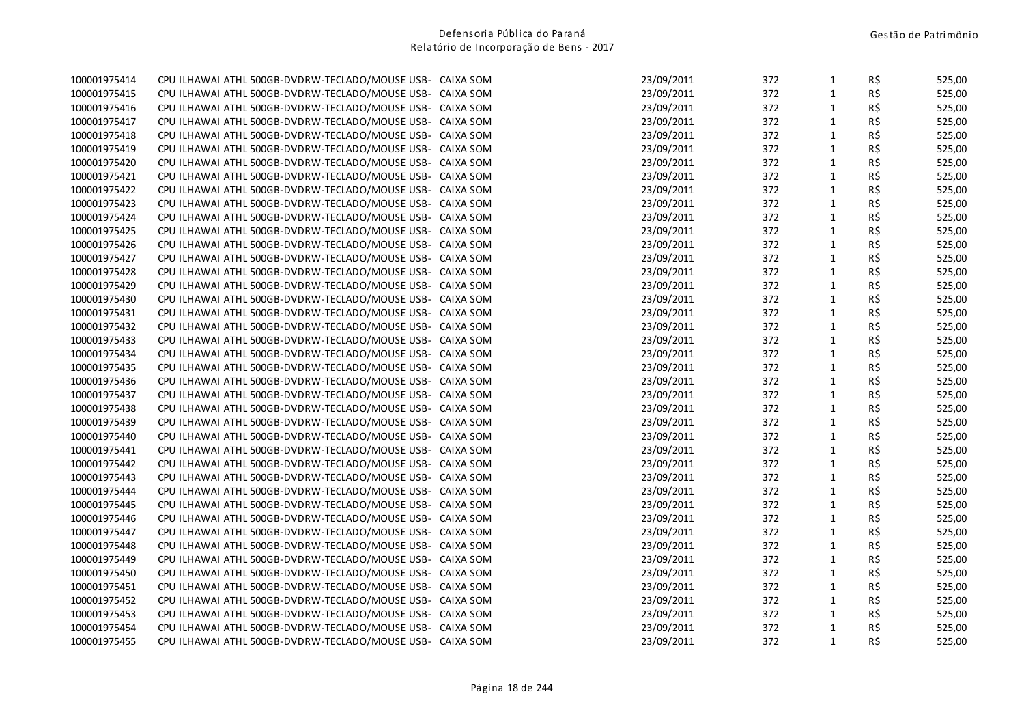| 100001975414 | CPU ILHAWAI ATHL 500GB-DVDRW-TECLADO/MOUSE USB- CAIXA SOM |           | 23/09/2011 | 372 | $\mathbf{1}$ | R\$ | 525,00 |
|--------------|-----------------------------------------------------------|-----------|------------|-----|--------------|-----|--------|
| 100001975415 | CPU ILHAWAI ATHL 500GB-DVDRW-TECLADO/MOUSE USB- CAIXA SOM |           | 23/09/2011 | 372 | $\mathbf{1}$ | R\$ | 525,00 |
| 100001975416 | CPU ILHAWAI ATHL 500GB-DVDRW-TECLADO/MOUSE USB-           | CAIXA SOM | 23/09/2011 | 372 | $\mathbf{1}$ | R\$ | 525,00 |
| 100001975417 | CPU ILHAWAI ATHL 500GB-DVDRW-TECLADO/MOUSE USB-           | CAIXA SOM | 23/09/2011 | 372 | $\mathbf{1}$ | R\$ | 525,00 |
| 100001975418 | CPU ILHAWAI ATHL 500GB-DVDRW-TECLADO/MOUSE USB- CAIXA SOM |           | 23/09/2011 | 372 | $\mathbf{1}$ | R\$ | 525,00 |
| 100001975419 | CPU ILHAWAI ATHL 500GB-DVDRW-TECLADO/MOUSE USB- CAIXA SOM |           | 23/09/2011 | 372 | $1\,$        | R\$ | 525,00 |
| 100001975420 | CPU ILHAWAI ATHL 500GB-DVDRW-TECLADO/MOUSE USB- CAIXA SOM |           | 23/09/2011 | 372 | $\mathbf{1}$ | R\$ | 525,00 |
| 100001975421 | CPU ILHAWAI ATHL 500GB-DVDRW-TECLADO/MOUSE USB- CAIXA SOM |           | 23/09/2011 | 372 | $\mathbf{1}$ | R\$ | 525,00 |
| 100001975422 | CPU ILHAWAI ATHL 500GB-DVDRW-TECLADO/MOUSE USB- CAIXA SOM |           | 23/09/2011 | 372 | $\mathbf{1}$ | R\$ | 525,00 |
| 100001975423 | CPU ILHAWAI ATHL 500GB-DVDRW-TECLADO/MOUSE USB- CAIXA SOM |           | 23/09/2011 | 372 | $\mathbf{1}$ | R\$ | 525,00 |
| 100001975424 | CPU ILHAWAI ATHL 500GB-DVDRW-TECLADO/MOUSE USB- CAIXA SOM |           | 23/09/2011 | 372 | $\mathbf{1}$ | R\$ | 525,00 |
| 100001975425 | CPU ILHAWAI ATHL 500GB-DVDRW-TECLADO/MOUSE USB-           | CAIXA SOM | 23/09/2011 | 372 | $1\,$        | R\$ | 525,00 |
| 100001975426 | CPU ILHAWAI ATHL 500GB-DVDRW-TECLADO/MOUSE USB- CAIXA SOM |           | 23/09/2011 | 372 | $\mathbf{1}$ | R\$ | 525,00 |
| 100001975427 | CPU ILHAWAI ATHL 500GB-DVDRW-TECLADO/MOUSE USB- CAIXA SOM |           | 23/09/2011 | 372 | $1\,$        | R\$ | 525,00 |
| 100001975428 | CPU ILHAWAI ATHL 500GB-DVDRW-TECLADO/MOUSE USB- CAIXA SOM |           | 23/09/2011 | 372 | $1\,$        | R\$ | 525,00 |
| 100001975429 | CPU ILHAWAI ATHL 500GB-DVDRW-TECLADO/MOUSE USB- CAIXA SOM |           | 23/09/2011 | 372 | $\mathbf{1}$ | R\$ | 525,00 |
| 100001975430 | CPU ILHAWAI ATHL 500GB-DVDRW-TECLADO/MOUSE USB- CAIXA SOM |           | 23/09/2011 | 372 | $1\,$        | R\$ | 525,00 |
| 100001975431 | CPU ILHAWAI ATHL 500GB-DVDRW-TECLADO/MOUSE USB- CAIXA SOM |           | 23/09/2011 | 372 | $\mathbf{1}$ | R\$ | 525,00 |
| 100001975432 | CPU ILHAWAI ATHL 500GB-DVDRW-TECLADO/MOUSE USB- CAIXA SOM |           | 23/09/2011 | 372 | $\mathbf{1}$ | R\$ | 525,00 |
| 100001975433 | CPU ILHAWAI ATHL 500GB-DVDRW-TECLADO/MOUSE USB- CAIXA SOM |           | 23/09/2011 | 372 | $\mathbf{1}$ | R\$ | 525,00 |
| 100001975434 | CPU ILHAWAI ATHL 500GB-DVDRW-TECLADO/MOUSE USB- CAIXA SOM |           | 23/09/2011 | 372 | $\mathbf{1}$ | R\$ | 525,00 |
| 100001975435 | CPU ILHAWAI ATHL 500GB-DVDRW-TECLADO/MOUSE USB- CAIXA SOM |           | 23/09/2011 | 372 | $\mathbf{1}$ | R\$ | 525,00 |
| 100001975436 | CPU ILHAWAI ATHL 500GB-DVDRW-TECLADO/MOUSE USB- CAIXA SOM |           | 23/09/2011 | 372 | $\mathbf{1}$ | R\$ | 525,00 |
| 100001975437 | CPU ILHAWAI ATHL 500GB-DVDRW-TECLADO/MOUSE USB- CAIXA SOM |           | 23/09/2011 | 372 | $\mathbf{1}$ | R\$ | 525,00 |
| 100001975438 | CPU ILHAWAI ATHL 500GB-DVDRW-TECLADO/MOUSE USB- CAIXA SOM |           | 23/09/2011 | 372 | $\mathbf{1}$ | R\$ | 525,00 |
| 100001975439 | CPU ILHAWAI ATHL 500GB-DVDRW-TECLADO/MOUSE USB- CAIXA SOM |           | 23/09/2011 | 372 | $\mathbf{1}$ | R\$ | 525,00 |
| 100001975440 | CPU ILHAWAI ATHL 500GB-DVDRW-TECLADO/MOUSE USB- CAIXA SOM |           | 23/09/2011 | 372 | $\mathbf{1}$ | R\$ | 525,00 |
| 100001975441 | CPU ILHAWAI ATHL 500GB-DVDRW-TECLADO/MOUSE USB- CAIXA SOM |           | 23/09/2011 | 372 | $\mathbf{1}$ | R\$ | 525,00 |
| 100001975442 | CPU ILHAWAI ATHL 500GB-DVDRW-TECLADO/MOUSE USB- CAIXA SOM |           | 23/09/2011 | 372 | $\mathbf{1}$ | R\$ | 525,00 |
| 100001975443 | CPU ILHAWAI ATHL 500GB-DVDRW-TECLADO/MOUSE USB- CAIXA SOM |           | 23/09/2011 | 372 | $\mathbf{1}$ | R\$ | 525,00 |
| 100001975444 | CPU ILHAWAI ATHL 500GB-DVDRW-TECLADO/MOUSE USB- CAIXA SOM |           | 23/09/2011 | 372 | $\mathbf{1}$ | R\$ | 525,00 |
| 100001975445 | CPU ILHAWAI ATHL 500GB-DVDRW-TECLADO/MOUSE USB- CAIXA SOM |           | 23/09/2011 | 372 | $1\,$        | R\$ | 525,00 |
| 100001975446 | CPU ILHAWAI ATHL 500GB-DVDRW-TECLADO/MOUSE USB- CAIXA SOM |           | 23/09/2011 | 372 | $\mathbf{1}$ | R\$ | 525,00 |
| 100001975447 | CPU ILHAWAI ATHL 500GB-DVDRW-TECLADO/MOUSE USB-           | CAIXA SOM | 23/09/2011 | 372 | $\mathbf{1}$ | R\$ | 525,00 |
| 100001975448 | CPU ILHAWAI ATHL 500GB-DVDRW-TECLADO/MOUSE USB-           | CAIXA SOM | 23/09/2011 | 372 | $\mathbf{1}$ | R\$ | 525,00 |
| 100001975449 | CPU ILHAWAI ATHL 500GB-DVDRW-TECLADO/MOUSE USB-           | CAIXA SOM | 23/09/2011 | 372 | $\mathbf{1}$ | R\$ | 525,00 |
| 100001975450 | CPU ILHAWAI ATHL 500GB-DVDRW-TECLADO/MOUSE USB-           | CAIXA SOM | 23/09/2011 | 372 | $\mathbf 1$  | R\$ | 525,00 |
| 100001975451 | CPU ILHAWAI ATHL 500GB-DVDRW-TECLADO/MOUSE USB-           | CAIXA SOM | 23/09/2011 | 372 | $1\,$        | R\$ | 525,00 |
| 100001975452 | CPU ILHAWAI ATHL 500GB-DVDRW-TECLADO/MOUSE USB- CAIXA SOM |           | 23/09/2011 | 372 | $\mathbf{1}$ | R\$ | 525,00 |
| 100001975453 | CPU ILHAWAI ATHL 500GB-DVDRW-TECLADO/MOUSE USB- CAIXA SOM |           | 23/09/2011 | 372 | $\mathbf{1}$ | R\$ | 525,00 |
| 100001975454 | CPU ILHAWAI ATHL 500GB-DVDRW-TECLADO/MOUSE USB- CAIXA SOM |           | 23/09/2011 | 372 | $\mathbf{1}$ | R\$ | 525,00 |
| 100001975455 | CPU ILHAWAI ATHL 500GB-DVDRW-TECLADO/MOUSE USB- CAIXA SOM |           | 23/09/2011 | 372 | $\mathbf{1}$ | R\$ | 525,00 |
|              |                                                           |           |            |     |              |     |        |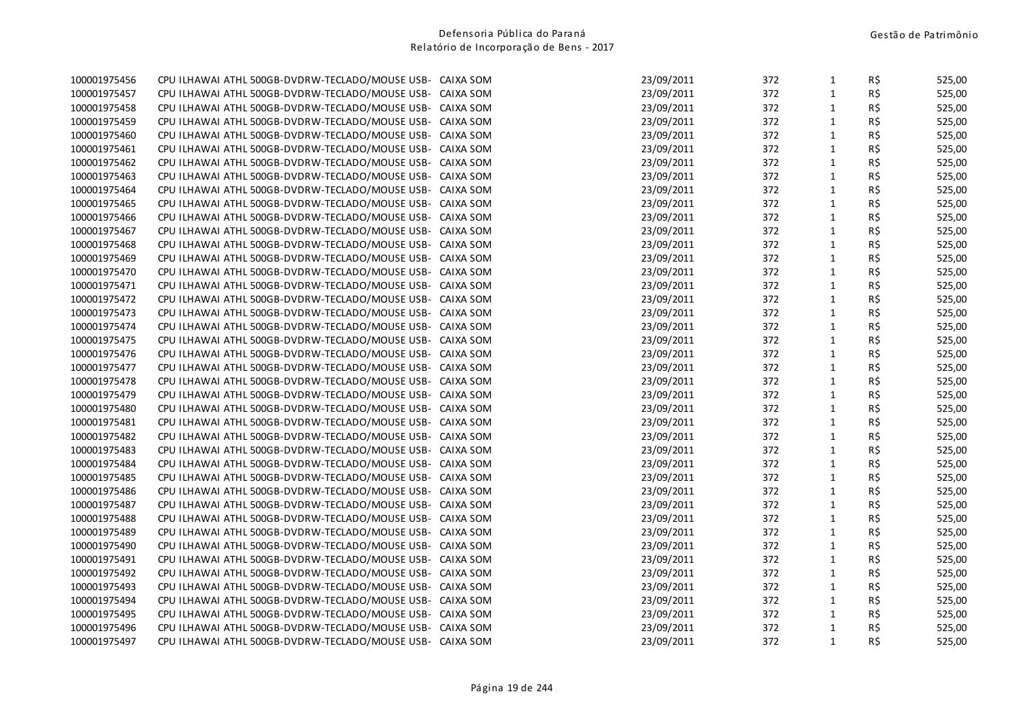| 100001975456 | CPU ILHAWAI ATHL 500GB-DVDRW-TECLADO/MOUSE USB- CAIXA SOM | 23/09/2011 | 372 | $\mathbf{1}$ | R\$            | 525,00 |
|--------------|-----------------------------------------------------------|------------|-----|--------------|----------------|--------|
| 100001975457 | CPU ILHAWAI ATHL 500GB-DVDRW-TECLADO/MOUSE USB- CAIXA SOM | 23/09/2011 | 372 | $\mathbf{1}$ | R\$            | 525,00 |
| 100001975458 | CPU ILHAWAI ATHL 500GB-DVDRW-TECLADO/MOUSE USB- CAIXA SOM | 23/09/2011 | 372 | $\mathbf{1}$ | R\$            | 525,00 |
| 100001975459 | CPU ILHAWAI ATHL 500GB-DVDRW-TECLADO/MOUSE USB- CAIXA SOM | 23/09/2011 | 372 | $\mathbf{1}$ | R\$            | 525,00 |
| 100001975460 | CPU ILHAWAI ATHL 500GB-DVDRW-TECLADO/MOUSE USB- CAIXA SOM | 23/09/2011 | 372 | $\mathbf{1}$ | R\$            | 525,00 |
| 100001975461 | CPU ILHAWAI ATHL 500GB-DVDRW-TECLADO/MOUSE USB- CAIXA SOM | 23/09/2011 | 372 | $\mathbf{1}$ | R\$            | 525,00 |
| 100001975462 | CPU ILHAWAI ATHL 500GB-DVDRW-TECLADO/MOUSE USB- CAIXA SOM | 23/09/2011 | 372 | $\mathbf{1}$ | R\$            | 525,00 |
| 100001975463 | CPU ILHAWAI ATHL 500GB-DVDRW-TECLADO/MOUSE USB- CAIXA SOM | 23/09/2011 | 372 | $\mathbf{1}$ | R\$            | 525,00 |
| 100001975464 | CPU ILHAWAI ATHL 500GB-DVDRW-TECLADO/MOUSE USB- CAIXA SOM | 23/09/2011 | 372 | $\mathbf{1}$ | $R\frac{2}{3}$ | 525,00 |
| 100001975465 | CPU ILHAWAI ATHL 500GB-DVDRW-TECLADO/MOUSE USB- CAIXA SOM | 23/09/2011 | 372 | $\mathbf{1}$ | R\$            | 525,00 |
| 100001975466 | CPU ILHAWAI ATHL 500GB-DVDRW-TECLADO/MOUSE USB- CAIXA SOM | 23/09/2011 | 372 | $\mathbf{1}$ | R\$            | 525,00 |
| 100001975467 | CPU ILHAWAI ATHL 500GB-DVDRW-TECLADO/MOUSE USB- CAIXA SOM | 23/09/2011 | 372 | $\mathbf{1}$ | R\$            | 525,00 |
| 100001975468 | CPU ILHAWAI ATHL 500GB-DVDRW-TECLADO/MOUSE USB- CAIXA SOM | 23/09/2011 | 372 | $\mathbf{1}$ | R\$            | 525,00 |
| 100001975469 | CPU ILHAWAI ATHL 500GB-DVDRW-TECLADO/MOUSE USB- CAIXA SOM | 23/09/2011 | 372 | $\mathbf 1$  | R\$            | 525,00 |
| 100001975470 | CPU ILHAWAI ATHL 500GB-DVDRW-TECLADO/MOUSE USB- CAIXA SOM | 23/09/2011 | 372 | $\mathbf{1}$ | R\$            | 525,00 |
| 100001975471 | CPU ILHAWAI ATHL 500GB-DVDRW-TECLADO/MOUSE USB- CAIXA SOM | 23/09/2011 | 372 | $\mathbf{1}$ | R\$            | 525,00 |
| 100001975472 | CPU ILHAWAI ATHL 500GB-DVDRW-TECLADO/MOUSE USB- CAIXA SOM | 23/09/2011 | 372 | $\mathbf{1}$ | R\$            | 525,00 |
| 100001975473 | CPU ILHAWAI ATHL 500GB-DVDRW-TECLADO/MOUSE USB- CAIXA SOM | 23/09/2011 | 372 | $\mathbf{1}$ | R\$            | 525,00 |
| 100001975474 | CPU ILHAWAI ATHL 500GB-DVDRW-TECLADO/MOUSE USB- CAIXA SOM | 23/09/2011 | 372 | $\mathbf{1}$ | R\$            | 525,00 |
| 100001975475 | CPU ILHAWAI ATHL 500GB-DVDRW-TECLADO/MOUSE USB- CAIXA SOM | 23/09/2011 | 372 | $\mathbf{1}$ | R\$            | 525,00 |
| 100001975476 | CPU ILHAWAI ATHL 500GB-DVDRW-TECLADO/MOUSE USB- CAIXA SOM | 23/09/2011 | 372 | $\mathbf{1}$ | R\$            | 525,00 |
| 100001975477 | CPU ILHAWAI ATHL 500GB-DVDRW-TECLADO/MOUSE USB- CAIXA SOM | 23/09/2011 | 372 | $\mathbf{1}$ | R\$            | 525,00 |
| 100001975478 | CPU ILHAWAI ATHL 500GB-DVDRW-TECLADO/MOUSE USB- CAIXA SOM | 23/09/2011 | 372 | $\mathbf{1}$ | $R\frac{2}{3}$ | 525,00 |
| 100001975479 | CPU ILHAWAI ATHL 500GB-DVDRW-TECLADO/MOUSE USB- CAIXA SOM | 23/09/2011 | 372 | $\mathbf{1}$ | R\$            | 525,00 |
| 100001975480 | CPU ILHAWAI ATHL 500GB-DVDRW-TECLADO/MOUSE USB- CAIXA SOM | 23/09/2011 | 372 | $\mathbf{1}$ | R\$            | 525,00 |
| 100001975481 | CPU ILHAWAI ATHL 500GB-DVDRW-TECLADO/MOUSE USB- CAIXA SOM | 23/09/2011 | 372 | $\mathbf{1}$ | R\$            | 525,00 |
| 100001975482 | CPU ILHAWAI ATHL 500GB-DVDRW-TECLADO/MOUSE USB- CAIXA SOM | 23/09/2011 | 372 | $\mathbf{1}$ | R\$            | 525,00 |
| 100001975483 | CPU ILHAWAI ATHL 500GB-DVDRW-TECLADO/MOUSE USB- CAIXA SOM | 23/09/2011 | 372 | $\mathbf{1}$ | R\$            | 525,00 |
| 100001975484 | CPU ILHAWAI ATHL 500GB-DVDRW-TECLADO/MOUSE USB- CAIXA SOM | 23/09/2011 | 372 | $\mathbf{1}$ | R\$            | 525,00 |
| 100001975485 | CPU ILHAWAI ATHL 500GB-DVDRW-TECLADO/MOUSE USB- CAIXA SOM | 23/09/2011 | 372 | $\mathbf{1}$ | R\$            | 525,00 |
| 100001975486 | CPU ILHAWAI ATHL 500GB-DVDRW-TECLADO/MOUSE USB- CAIXA SOM | 23/09/2011 | 372 | $\mathbf{1}$ | R\$            | 525,00 |
| 100001975487 | CPU ILHAWAI ATHL 500GB-DVDRW-TECLADO/MOUSE USB- CAIXA SOM | 23/09/2011 | 372 | $\mathbf{1}$ | R\$            | 525,00 |
| 100001975488 | CPU ILHAWAI ATHL 500GB-DVDRW-TECLADO/MOUSE USB- CAIXA SOM | 23/09/2011 | 372 | $\mathbf{1}$ | R\$            | 525,00 |
| 100001975489 | CPU ILHAWAI ATHL 500GB-DVDRW-TECLADO/MOUSE USB- CAIXA SOM | 23/09/2011 | 372 | $\mathbf{1}$ | R\$            | 525,00 |
| 100001975490 | CPU ILHAWAI ATHL 500GB-DVDRW-TECLADO/MOUSE USB- CAIXA SOM | 23/09/2011 | 372 | $\mathbf{1}$ | R\$            | 525,00 |
| 100001975491 | CPU ILHAWAI ATHL 500GB-DVDRW-TECLADO/MOUSE USB- CAIXA SOM | 23/09/2011 | 372 | $\mathbf{1}$ | $R\frac{2}{3}$ | 525,00 |
| 100001975492 | CPU ILHAWAI ATHL 500GB-DVDRW-TECLADO/MOUSE USB- CAIXA SOM | 23/09/2011 | 372 | $\mathbf{1}$ | R\$            | 525,00 |
| 100001975493 | CPU ILHAWAI ATHL 500GB-DVDRW-TECLADO/MOUSE USB- CAIXA SOM | 23/09/2011 | 372 | $\mathbf{1}$ | R\$            | 525,00 |
| 100001975494 | CPU ILHAWAI ATHL 500GB-DVDRW-TECLADO/MOUSE USB- CAIXA SOM | 23/09/2011 | 372 | $\mathbf{1}$ | R\$            | 525,00 |
| 100001975495 | CPU ILHAWAI ATHL 500GB-DVDRW-TECLADO/MOUSE USB- CAIXA SOM | 23/09/2011 | 372 | $\mathbf{1}$ | R\$            | 525,00 |
| 100001975496 | CPU ILHAWAI ATHL 500GB-DVDRW-TECLADO/MOUSE USB- CAIXA SOM | 23/09/2011 | 372 | $\mathbf{1}$ | $R\frac{2}{3}$ | 525,00 |
| 100001975497 | CPU ILHAWAI ATHL 500GB-DVDRW-TECLADO/MOUSE USB- CAIXA SOM | 23/09/2011 | 372 | $\mathbf{1}$ | R\$            | 525,00 |
|              |                                                           |            |     |              |                |        |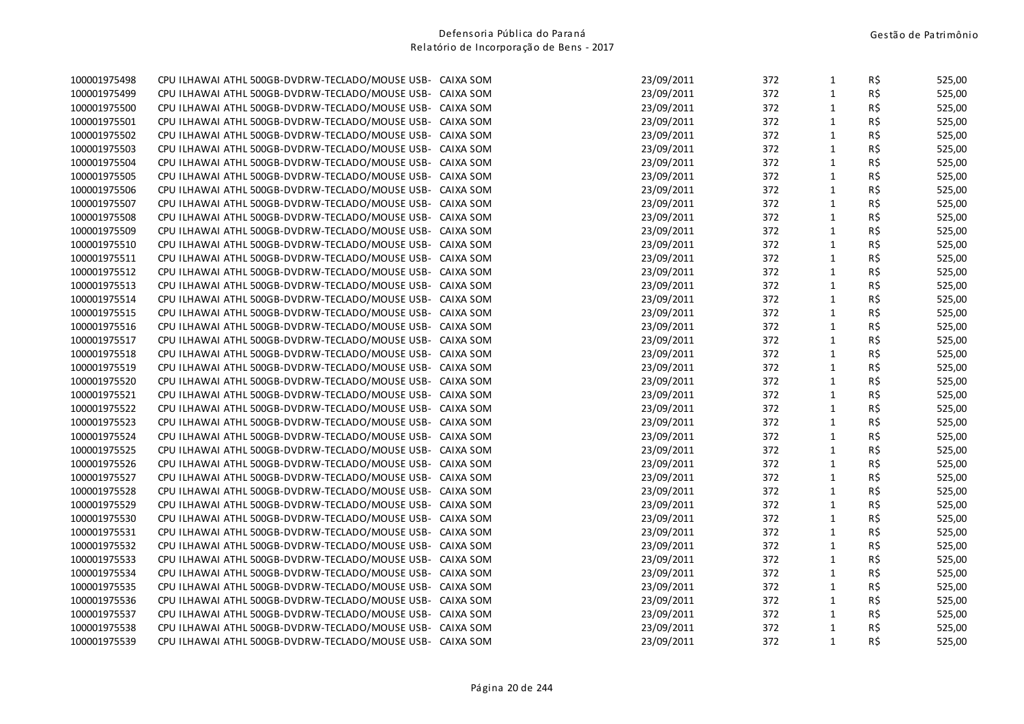|              |                                                           |           |            |     |              | R\$ | 525,00 |
|--------------|-----------------------------------------------------------|-----------|------------|-----|--------------|-----|--------|
| 100001975499 | CPU ILHAWAI ATHL 500GB-DVDRW-TECLADO/MOUSE USB- CAIXA SOM |           | 23/09/2011 | 372 | $\mathbf{1}$ | R\$ | 525,00 |
| 100001975500 | CPU ILHAWAI ATHL 500GB-DVDRW-TECLADO/MOUSE USB-           | CAIXA SOM | 23/09/2011 | 372 | $\mathbf{1}$ | R\$ | 525,00 |
| 100001975501 | CPU ILHAWAI ATHL 500GB-DVDRW-TECLADO/MOUSE USB-           | CAIXA SOM | 23/09/2011 | 372 | $\mathbf{1}$ | R\$ | 525,00 |
| 100001975502 | CPU ILHAWAI ATHL 500GB-DVDRW-TECLADO/MOUSE USB- CAIXA SOM |           | 23/09/2011 | 372 | $\mathbf{1}$ | R\$ | 525,00 |
| 100001975503 | CPU ILHAWAI ATHL 500GB-DVDRW-TECLADO/MOUSE USB- CAIXA SOM |           | 23/09/2011 | 372 | $1\,$        | R\$ | 525,00 |
| 100001975504 | CPU ILHAWAI ATHL 500GB-DVDRW-TECLADO/MOUSE USB- CAIXA SOM |           | 23/09/2011 | 372 | $\mathbf{1}$ | R\$ | 525,00 |
| 100001975505 | CPU ILHAWAI ATHL 500GB-DVDRW-TECLADO/MOUSE USB- CAIXA SOM |           | 23/09/2011 | 372 | $\mathbf{1}$ | R\$ | 525,00 |
| 100001975506 | CPU ILHAWAI ATHL 500GB-DVDRW-TECLADO/MOUSE USB- CAIXA SOM |           | 23/09/2011 | 372 | $\mathbf{1}$ | R\$ | 525,00 |
| 100001975507 | CPU ILHAWAI ATHL 500GB-DVDRW-TECLADO/MOUSE USB- CAIXA SOM |           | 23/09/2011 | 372 | $\mathbf{1}$ | R\$ | 525,00 |
| 100001975508 | CPU ILHAWAI ATHL 500GB-DVDRW-TECLADO/MOUSE USB- CAIXA SOM |           | 23/09/2011 | 372 | $\mathbf{1}$ | R\$ | 525,00 |
| 100001975509 | CPU ILHAWAI ATHL 500GB-DVDRW-TECLADO/MOUSE USB-           | CAIXA SOM | 23/09/2011 | 372 | $1\,$        | R\$ | 525,00 |
| 100001975510 | CPU ILHAWAI ATHL 500GB-DVDRW-TECLADO/MOUSE USB- CAIXA SOM |           | 23/09/2011 | 372 | $\mathbf{1}$ | R\$ | 525,00 |
| 100001975511 | CPU ILHAWAI ATHL 500GB-DVDRW-TECLADO/MOUSE USB- CAIXA SOM |           | 23/09/2011 | 372 | $1\,$        | R\$ | 525,00 |
| 100001975512 | CPU ILHAWAI ATHL 500GB-DVDRW-TECLADO/MOUSE USB- CAIXA SOM |           | 23/09/2011 | 372 | $1\,$        | R\$ | 525,00 |
| 100001975513 | CPU ILHAWAI ATHL 500GB-DVDRW-TECLADO/MOUSE USB- CAIXA SOM |           | 23/09/2011 | 372 | $\mathbf{1}$ | R\$ | 525,00 |
| 100001975514 | CPU ILHAWAI ATHL 500GB-DVDRW-TECLADO/MOUSE USB- CAIXA SOM |           | 23/09/2011 | 372 | $1\,$        | R\$ | 525,00 |
| 100001975515 | CPU ILHAWAI ATHL 500GB-DVDRW-TECLADO/MOUSE USB- CAIXA SOM |           | 23/09/2011 | 372 | $\mathbf{1}$ | R\$ | 525,00 |
| 100001975516 | CPU ILHAWAI ATHL 500GB-DVDRW-TECLADO/MOUSE USB- CAIXA SOM |           | 23/09/2011 | 372 | $1\,$        | R\$ | 525,00 |
| 100001975517 | CPU ILHAWAI ATHL 500GB-DVDRW-TECLADO/MOUSE USB- CAIXA SOM |           | 23/09/2011 | 372 | $\mathbf{1}$ | R\$ | 525,00 |
| 100001975518 | CPU ILHAWAI ATHL 500GB-DVDRW-TECLADO/MOUSE USB- CAIXA SOM |           | 23/09/2011 | 372 | $1\,$        | R\$ | 525,00 |
| 100001975519 | CPU ILHAWAI ATHL 500GB-DVDRW-TECLADO/MOUSE USB- CAIXA SOM |           | 23/09/2011 | 372 | $\mathbf{1}$ | R\$ | 525,00 |
| 100001975520 | CPU ILHAWAI ATHL 500GB-DVDRW-TECLADO/MOUSE USB- CAIXA SOM |           | 23/09/2011 | 372 | $\mathbf{1}$ | R\$ | 525,00 |
| 100001975521 | CPU ILHAWAI ATHL 500GB-DVDRW-TECLADO/MOUSE USB- CAIXA SOM |           | 23/09/2011 | 372 | $\mathbf{1}$ | R\$ | 525,00 |
| 100001975522 | CPU ILHAWAI ATHL 500GB-DVDRW-TECLADO/MOUSE USB- CAIXA SOM |           | 23/09/2011 | 372 | $\mathbf{1}$ | R\$ | 525,00 |
| 100001975523 | CPU ILHAWAI ATHL 500GB-DVDRW-TECLADO/MOUSE USB- CAIXA SOM |           | 23/09/2011 | 372 | $1\,$        | R\$ | 525,00 |
| 100001975524 | CPU ILHAWAI ATHL 500GB-DVDRW-TECLADO/MOUSE USB- CAIXA SOM |           | 23/09/2011 | 372 | $\mathbf{1}$ | R\$ | 525,00 |
| 100001975525 | CPU ILHAWAI ATHL 500GB-DVDRW-TECLADO/MOUSE USB- CAIXA SOM |           | 23/09/2011 | 372 | $\mathbf{1}$ | R\$ | 525,00 |
| 100001975526 | CPU ILHAWAI ATHL 500GB-DVDRW-TECLADO/MOUSE USB- CAIXA SOM |           | 23/09/2011 | 372 | $\mathbf{1}$ | R\$ | 525,00 |
| 100001975527 | CPU ILHAWAI ATHL 500GB-DVDRW-TECLADO/MOUSE USB- CAIXA SOM |           | 23/09/2011 | 372 | $1\,$        | R\$ | 525,00 |
| 100001975528 | CPU ILHAWAI ATHL 500GB-DVDRW-TECLADO/MOUSE USB- CAIXA SOM |           | 23/09/2011 | 372 | $\mathbf{1}$ | R\$ | 525,00 |
| 100001975529 | CPU ILHAWAI ATHL 500GB-DVDRW-TECLADO/MOUSE USB- CAIXA SOM |           | 23/09/2011 | 372 | $1\,$        | R\$ | 525,00 |
| 100001975530 | CPU ILHAWAI ATHL 500GB-DVDRW-TECLADO/MOUSE USB- CAIXA SOM |           | 23/09/2011 | 372 | $\mathbf{1}$ | R\$ | 525,00 |
| 100001975531 | CPU ILHAWAI ATHL 500GB-DVDRW-TECLADO/MOUSE USB-           | CAIXA SOM | 23/09/2011 | 372 | $\mathbf{1}$ | R\$ | 525,00 |
| 100001975532 | CPU ILHAWAI ATHL 500GB-DVDRW-TECLADO/MOUSE USB-           | CAIXA SOM | 23/09/2011 | 372 | $\mathbf{1}$ | R\$ | 525,00 |
| 100001975533 | CPU ILHAWAI ATHL 500GB-DVDRW-TECLADO/MOUSE USB-           | CAIXA SOM | 23/09/2011 | 372 | $\mathbf{1}$ | R\$ | 525,00 |
| 100001975534 | CPU ILHAWAI ATHL 500GB-DVDRW-TECLADO/MOUSE USB-           | CAIXA SOM | 23/09/2011 | 372 | $\mathbf 1$  | R\$ | 525,00 |
| 100001975535 | CPU ILHAWAI ATHL 500GB-DVDRW-TECLADO/MOUSE USB-           | CAIXA SOM | 23/09/2011 | 372 | $\mathbf{1}$ | R\$ | 525,00 |
| 100001975536 | CPU ILHAWAI ATHL 500GB-DVDRW-TECLADO/MOUSE USB- CAIXA SOM |           | 23/09/2011 | 372 | $\mathbf{1}$ | R\$ | 525,00 |
| 100001975537 | CPU ILHAWAI ATHL 500GB-DVDRW-TECLADO/MOUSE USB- CAIXA SOM |           | 23/09/2011 | 372 | $\mathbf{1}$ | R\$ | 525,00 |
| 100001975538 | CPU ILHAWAI ATHL 500GB-DVDRW-TECLADO/MOUSE USB- CAIXA SOM |           | 23/09/2011 | 372 | $\mathbf{1}$ | R\$ | 525,00 |
| 100001975539 | CPU ILHAWAI ATHL 500GB-DVDRW-TECLADO/MOUSE USB- CAIXA SOM |           | 23/09/2011 | 372 | $\mathbf{1}$ | R\$ | 525,00 |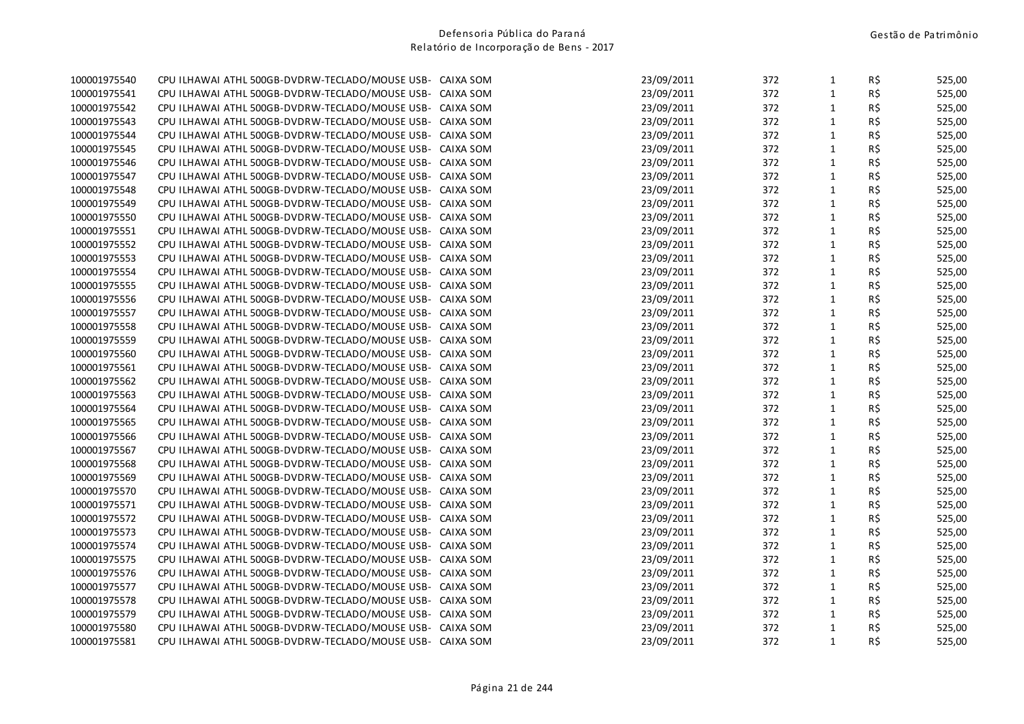| 23/09/2011<br>$\mathbf{1}$<br>R\$<br>100001975541<br>CPU ILHAWAI ATHL 500GB-DVDRW-TECLADO/MOUSE USB- CAIXA SOM<br>372<br>100001975542<br>CPU ILHAWAI ATHL 500GB-DVDRW-TECLADO/MOUSE USB-<br>23/09/2011<br>372<br>$\mathbf{1}$<br>R\$<br>CAIXA SOM<br>23/09/2011<br>372<br>$\mathbf{1}$<br>R\$<br>100001975543<br>CPU ILHAWAI ATHL 500GB-DVDRW-TECLADO/MOUSE USB-<br>CAIXA SOM<br>R\$<br>100001975544<br>CPU ILHAWAI ATHL 500GB-DVDRW-TECLADO/MOUSE USB- CAIXA SOM<br>23/09/2011<br>372<br>$\mathbf{1}$<br>$\mathbf{1}$<br>R\$<br>100001975545<br>23/09/2011<br>372<br>CPU ILHAWAI ATHL 500GB-DVDRW-TECLADO/MOUSE USB-<br>CAIXA SOM<br>23/09/2011<br>372<br>$\mathbf{1}$<br>R\$<br>100001975546<br>CPU ILHAWAI ATHL 500GB-DVDRW-TECLADO/MOUSE USB- CAIXA SOM<br>23/09/2011<br>372<br>$\mathbf{1}$<br>R\$<br>100001975547<br>CPU ILHAWAI ATHL 500GB-DVDRW-TECLADO/MOUSE USB- CAIXA SOM<br>R\$<br>372<br>$\mathbf{1}$<br>100001975548<br>CPU ILHAWAI ATHL 500GB-DVDRW-TECLADO/MOUSE USB- CAIXA SOM<br>23/09/2011<br>R\$<br>372<br>$\mathbf{1}$<br>100001975549<br>CPU ILHAWAI ATHL 500GB-DVDRW-TECLADO/MOUSE USB- CAIXA SOM<br>23/09/2011<br>$\mathbf{1}$<br>R\$<br>23/09/2011<br>372<br>100001975550<br>CPU ILHAWAI ATHL 500GB-DVDRW-TECLADO/MOUSE USB- CAIXA SOM<br>$\mathbf{1}$<br>R\$<br>100001975551<br>23/09/2011<br>372<br>CPU ILHAWAI ATHL 500GB-DVDRW-TECLADO/MOUSE USB-<br>CAIXA SOM<br>R\$<br>$\mathbf{1}$<br>100001975552<br>CPU ILHAWAI ATHL 500GB-DVDRW-TECLADO/MOUSE USB- CAIXA SOM<br>23/09/2011<br>372<br>$1\,$<br>R\$<br>100001975553<br>CPU ILHAWAI ATHL 500GB-DVDRW-TECLADO/MOUSE USB- CAIXA SOM<br>23/09/2011<br>372<br>$1\,$<br>R\$<br>23/09/2011<br>372<br>100001975554<br>CPU ILHAWAI ATHL 500GB-DVDRW-TECLADO/MOUSE USB- CAIXA SOM<br>23/09/2011<br>$\mathbf{1}$<br>R\$<br>100001975555<br>CPU ILHAWAI ATHL 500GB-DVDRW-TECLADO/MOUSE USB- CAIXA SOM<br>372<br>$1\,$<br>R\$<br>100001975556<br>CPU ILHAWAI ATHL 500GB-DVDRW-TECLADO/MOUSE USB- CAIXA SOM<br>23/09/2011<br>372<br>R\$<br>23/09/2011<br>372<br>$\mathbf{1}$<br>100001975557<br>CPU ILHAWAI ATHL 500GB-DVDRW-TECLADO/MOUSE USB- CAIXA SOM<br>$1\,$<br>R\$<br>372<br>100001975558<br>CPU ILHAWAI ATHL 500GB-DVDRW-TECLADO/MOUSE USB- CAIXA SOM<br>23/09/2011<br>$\mathbf{1}$<br>R\$<br>100001975559<br>23/09/2011<br>372<br>CPU ILHAWAI ATHL 500GB-DVDRW-TECLADO/MOUSE USB- CAIXA SOM<br>$1\,$<br>R\$<br>23/09/2011<br>372<br>100001975560<br>CPU ILHAWAI ATHL 500GB-DVDRW-TECLADO/MOUSE USB- CAIXA SOM<br>$\mathbf{1}$<br>R\$<br>100001975561<br>23/09/2011<br>372<br>CPU ILHAWAI ATHL 500GB-DVDRW-TECLADO/MOUSE USB- CAIXA SOM<br>$\mathbf{1}$<br>R\$<br>23/09/2011<br>372<br>100001975562<br>CPU ILHAWAI ATHL 500GB-DVDRW-TECLADO/MOUSE USB- CAIXA SOM<br>$1\,$<br>R\$<br>23/09/2011<br>372<br>100001975563<br>CPU ILHAWAI ATHL 500GB-DVDRW-TECLADO/MOUSE USB- CAIXA SOM<br>23/09/2011<br>$\mathbf{1}$<br>R\$<br>100001975564<br>CPU ILHAWAI ATHL 500GB-DVDRW-TECLADO/MOUSE USB- CAIXA SOM<br>372<br>$1\,$<br>R\$<br>100001975565<br>23/09/2011<br>372<br>CPU ILHAWAI ATHL 500GB-DVDRW-TECLADO/MOUSE USB- CAIXA SOM<br>23/09/2011<br>372<br>$\mathbf{1}$<br>R\$<br>100001975566<br>CPU ILHAWAI ATHL 500GB-DVDRW-TECLADO/MOUSE USB- CAIXA SOM<br>23/09/2011<br>$\mathbf{1}$<br>R\$<br>100001975567<br>CPU ILHAWAI ATHL 500GB-DVDRW-TECLADO/MOUSE USB- CAIXA SOM<br>372<br>$\mathbf{1}$<br>R\$<br>100001975568<br>23/09/2011<br>372<br>CPU ILHAWAI ATHL 500GB-DVDRW-TECLADO/MOUSE USB- CAIXA SOM<br>$1\,$<br>R\$<br>23/09/2011<br>372<br>100001975569<br>CPU ILHAWAI ATHL 500GB-DVDRW-TECLADO/MOUSE USB- CAIXA SOM<br>$\mathbf{1}$<br>R\$<br>100001975570<br>CPU ILHAWAI ATHL 500GB-DVDRW-TECLADO/MOUSE USB- CAIXA SOM<br>23/09/2011<br>372<br>$1\,$<br>R\$<br>23/09/2011<br>372<br>100001975571<br>CPU ILHAWAI ATHL 500GB-DVDRW-TECLADO/MOUSE USB- CAIXA SOM<br>372<br>$\mathbf{1}$<br>R\$<br>100001975572<br>CPU ILHAWAI ATHL 500GB-DVDRW-TECLADO/MOUSE USB- CAIXA SOM<br>23/09/2011<br>$\mathbf{1}$<br>R\$<br>100001975573<br>23/09/2011<br>372<br>CPU ILHAWAI ATHL 500GB-DVDRW-TECLADO/MOUSE USB-<br>CAIXA SOM<br>R\$<br>23/09/2011<br>372<br>$\mathbf{1}$<br>100001975574<br>CPU ILHAWAI ATHL 500GB-DVDRW-TECLADO/MOUSE USB-<br>CAIXA SOM<br>R\$<br>372<br>$\mathbf{1}$<br>100001975575<br>CPU ILHAWAI ATHL 500GB-DVDRW-TECLADO/MOUSE USB-<br>CAIXA SOM<br>23/09/2011<br>$\mathbf 1$<br>R\$<br>100001975576<br>CPU ILHAWAI ATHL 500GB-DVDRW-TECLADO/MOUSE USB-<br>23/09/2011<br>372<br>CAIXA SOM<br>$1\,$<br>100001975577<br>23/09/2011<br>372<br>R\$<br>CPU ILHAWAI ATHL 500GB-DVDRW-TECLADO/MOUSE USB-<br>CAIXA SOM<br>23/09/2011<br>$\mathbf{1}$<br>R\$<br>100001975578<br>CPU ILHAWAI ATHL 500GB-DVDRW-TECLADO/MOUSE USB- CAIXA SOM<br>372<br>R\$<br>100001975579<br>CPU ILHAWAI ATHL 500GB-DVDRW-TECLADO/MOUSE USB- CAIXA SOM<br>23/09/2011<br>372<br>$\mathbf{1}$<br>$\mathbf{1}$<br>R\$<br>100001975580<br>23/09/2011<br>372<br>CPU ILHAWAI ATHL 500GB-DVDRW-TECLADO/MOUSE USB- CAIXA SOM<br>$\mathbf{1}$<br>R\$<br>100001975581<br>CPU ILHAWAI ATHL 500GB-DVDRW-TECLADO/MOUSE USB- CAIXA SOM<br>23/09/2011<br>372 | 100001975540 | CPU ILHAWAI ATHL 500GB-DVDRW-TECLADO/MOUSE USB- CAIXA SOM | 23/09/2011 | 372 | $\mathbf{1}$ | R\$ | 525,00 |
|-------------------------------------------------------------------------------------------------------------------------------------------------------------------------------------------------------------------------------------------------------------------------------------------------------------------------------------------------------------------------------------------------------------------------------------------------------------------------------------------------------------------------------------------------------------------------------------------------------------------------------------------------------------------------------------------------------------------------------------------------------------------------------------------------------------------------------------------------------------------------------------------------------------------------------------------------------------------------------------------------------------------------------------------------------------------------------------------------------------------------------------------------------------------------------------------------------------------------------------------------------------------------------------------------------------------------------------------------------------------------------------------------------------------------------------------------------------------------------------------------------------------------------------------------------------------------------------------------------------------------------------------------------------------------------------------------------------------------------------------------------------------------------------------------------------------------------------------------------------------------------------------------------------------------------------------------------------------------------------------------------------------------------------------------------------------------------------------------------------------------------------------------------------------------------------------------------------------------------------------------------------------------------------------------------------------------------------------------------------------------------------------------------------------------------------------------------------------------------------------------------------------------------------------------------------------------------------------------------------------------------------------------------------------------------------------------------------------------------------------------------------------------------------------------------------------------------------------------------------------------------------------------------------------------------------------------------------------------------------------------------------------------------------------------------------------------------------------------------------------------------------------------------------------------------------------------------------------------------------------------------------------------------------------------------------------------------------------------------------------------------------------------------------------------------------------------------------------------------------------------------------------------------------------------------------------------------------------------------------------------------------------------------------------------------------------------------------------------------------------------------------------------------------------------------------------------------------------------------------------------------------------------------------------------------------------------------------------------------------------------------------------------------------------------------------------------------------------------------------------------------------------------------------------------------------------------------------------------------------------------------------------------------------------------------------------------------------------------------------------------------------------------------------------------------------------------------------------------------------------------------------------------------------------------------------------------------------------------------------------------------------------------------------------------------------------------------------------------------------------------------------------------------------------------------------------------------------------------------------------------------------------------------------------------------------------------------------------------------------------------------------------------------------------------------------------------------------------------------------------|--------------|-----------------------------------------------------------|------------|-----|--------------|-----|--------|
|                                                                                                                                                                                                                                                                                                                                                                                                                                                                                                                                                                                                                                                                                                                                                                                                                                                                                                                                                                                                                                                                                                                                                                                                                                                                                                                                                                                                                                                                                                                                                                                                                                                                                                                                                                                                                                                                                                                                                                                                                                                                                                                                                                                                                                                                                                                                                                                                                                                                                                                                                                                                                                                                                                                                                                                                                                                                                                                                                                                                                                                                                                                                                                                                                                                                                                                                                                                                                                                                                                                                                                                                                                                                                                                                                                                                                                                                                                                                                                                                                                                                                                                                                                                                                                                                                                                                                                                                                                                                                                                                                                                                                                                                                                                                                                                                                                                                                                                                                                                                                                                                                                                   |              |                                                           |            |     |              |     | 525,00 |
|                                                                                                                                                                                                                                                                                                                                                                                                                                                                                                                                                                                                                                                                                                                                                                                                                                                                                                                                                                                                                                                                                                                                                                                                                                                                                                                                                                                                                                                                                                                                                                                                                                                                                                                                                                                                                                                                                                                                                                                                                                                                                                                                                                                                                                                                                                                                                                                                                                                                                                                                                                                                                                                                                                                                                                                                                                                                                                                                                                                                                                                                                                                                                                                                                                                                                                                                                                                                                                                                                                                                                                                                                                                                                                                                                                                                                                                                                                                                                                                                                                                                                                                                                                                                                                                                                                                                                                                                                                                                                                                                                                                                                                                                                                                                                                                                                                                                                                                                                                                                                                                                                                                   |              |                                                           |            |     |              |     | 525,00 |
|                                                                                                                                                                                                                                                                                                                                                                                                                                                                                                                                                                                                                                                                                                                                                                                                                                                                                                                                                                                                                                                                                                                                                                                                                                                                                                                                                                                                                                                                                                                                                                                                                                                                                                                                                                                                                                                                                                                                                                                                                                                                                                                                                                                                                                                                                                                                                                                                                                                                                                                                                                                                                                                                                                                                                                                                                                                                                                                                                                                                                                                                                                                                                                                                                                                                                                                                                                                                                                                                                                                                                                                                                                                                                                                                                                                                                                                                                                                                                                                                                                                                                                                                                                                                                                                                                                                                                                                                                                                                                                                                                                                                                                                                                                                                                                                                                                                                                                                                                                                                                                                                                                                   |              |                                                           |            |     |              |     | 525,00 |
|                                                                                                                                                                                                                                                                                                                                                                                                                                                                                                                                                                                                                                                                                                                                                                                                                                                                                                                                                                                                                                                                                                                                                                                                                                                                                                                                                                                                                                                                                                                                                                                                                                                                                                                                                                                                                                                                                                                                                                                                                                                                                                                                                                                                                                                                                                                                                                                                                                                                                                                                                                                                                                                                                                                                                                                                                                                                                                                                                                                                                                                                                                                                                                                                                                                                                                                                                                                                                                                                                                                                                                                                                                                                                                                                                                                                                                                                                                                                                                                                                                                                                                                                                                                                                                                                                                                                                                                                                                                                                                                                                                                                                                                                                                                                                                                                                                                                                                                                                                                                                                                                                                                   |              |                                                           |            |     |              |     | 525,00 |
|                                                                                                                                                                                                                                                                                                                                                                                                                                                                                                                                                                                                                                                                                                                                                                                                                                                                                                                                                                                                                                                                                                                                                                                                                                                                                                                                                                                                                                                                                                                                                                                                                                                                                                                                                                                                                                                                                                                                                                                                                                                                                                                                                                                                                                                                                                                                                                                                                                                                                                                                                                                                                                                                                                                                                                                                                                                                                                                                                                                                                                                                                                                                                                                                                                                                                                                                                                                                                                                                                                                                                                                                                                                                                                                                                                                                                                                                                                                                                                                                                                                                                                                                                                                                                                                                                                                                                                                                                                                                                                                                                                                                                                                                                                                                                                                                                                                                                                                                                                                                                                                                                                                   |              |                                                           |            |     |              |     | 525,00 |
|                                                                                                                                                                                                                                                                                                                                                                                                                                                                                                                                                                                                                                                                                                                                                                                                                                                                                                                                                                                                                                                                                                                                                                                                                                                                                                                                                                                                                                                                                                                                                                                                                                                                                                                                                                                                                                                                                                                                                                                                                                                                                                                                                                                                                                                                                                                                                                                                                                                                                                                                                                                                                                                                                                                                                                                                                                                                                                                                                                                                                                                                                                                                                                                                                                                                                                                                                                                                                                                                                                                                                                                                                                                                                                                                                                                                                                                                                                                                                                                                                                                                                                                                                                                                                                                                                                                                                                                                                                                                                                                                                                                                                                                                                                                                                                                                                                                                                                                                                                                                                                                                                                                   |              |                                                           |            |     |              |     | 525,00 |
|                                                                                                                                                                                                                                                                                                                                                                                                                                                                                                                                                                                                                                                                                                                                                                                                                                                                                                                                                                                                                                                                                                                                                                                                                                                                                                                                                                                                                                                                                                                                                                                                                                                                                                                                                                                                                                                                                                                                                                                                                                                                                                                                                                                                                                                                                                                                                                                                                                                                                                                                                                                                                                                                                                                                                                                                                                                                                                                                                                                                                                                                                                                                                                                                                                                                                                                                                                                                                                                                                                                                                                                                                                                                                                                                                                                                                                                                                                                                                                                                                                                                                                                                                                                                                                                                                                                                                                                                                                                                                                                                                                                                                                                                                                                                                                                                                                                                                                                                                                                                                                                                                                                   |              |                                                           |            |     |              |     | 525,00 |
|                                                                                                                                                                                                                                                                                                                                                                                                                                                                                                                                                                                                                                                                                                                                                                                                                                                                                                                                                                                                                                                                                                                                                                                                                                                                                                                                                                                                                                                                                                                                                                                                                                                                                                                                                                                                                                                                                                                                                                                                                                                                                                                                                                                                                                                                                                                                                                                                                                                                                                                                                                                                                                                                                                                                                                                                                                                                                                                                                                                                                                                                                                                                                                                                                                                                                                                                                                                                                                                                                                                                                                                                                                                                                                                                                                                                                                                                                                                                                                                                                                                                                                                                                                                                                                                                                                                                                                                                                                                                                                                                                                                                                                                                                                                                                                                                                                                                                                                                                                                                                                                                                                                   |              |                                                           |            |     |              |     | 525,00 |
|                                                                                                                                                                                                                                                                                                                                                                                                                                                                                                                                                                                                                                                                                                                                                                                                                                                                                                                                                                                                                                                                                                                                                                                                                                                                                                                                                                                                                                                                                                                                                                                                                                                                                                                                                                                                                                                                                                                                                                                                                                                                                                                                                                                                                                                                                                                                                                                                                                                                                                                                                                                                                                                                                                                                                                                                                                                                                                                                                                                                                                                                                                                                                                                                                                                                                                                                                                                                                                                                                                                                                                                                                                                                                                                                                                                                                                                                                                                                                                                                                                                                                                                                                                                                                                                                                                                                                                                                                                                                                                                                                                                                                                                                                                                                                                                                                                                                                                                                                                                                                                                                                                                   |              |                                                           |            |     |              |     | 525,00 |
|                                                                                                                                                                                                                                                                                                                                                                                                                                                                                                                                                                                                                                                                                                                                                                                                                                                                                                                                                                                                                                                                                                                                                                                                                                                                                                                                                                                                                                                                                                                                                                                                                                                                                                                                                                                                                                                                                                                                                                                                                                                                                                                                                                                                                                                                                                                                                                                                                                                                                                                                                                                                                                                                                                                                                                                                                                                                                                                                                                                                                                                                                                                                                                                                                                                                                                                                                                                                                                                                                                                                                                                                                                                                                                                                                                                                                                                                                                                                                                                                                                                                                                                                                                                                                                                                                                                                                                                                                                                                                                                                                                                                                                                                                                                                                                                                                                                                                                                                                                                                                                                                                                                   |              |                                                           |            |     |              |     | 525,00 |
|                                                                                                                                                                                                                                                                                                                                                                                                                                                                                                                                                                                                                                                                                                                                                                                                                                                                                                                                                                                                                                                                                                                                                                                                                                                                                                                                                                                                                                                                                                                                                                                                                                                                                                                                                                                                                                                                                                                                                                                                                                                                                                                                                                                                                                                                                                                                                                                                                                                                                                                                                                                                                                                                                                                                                                                                                                                                                                                                                                                                                                                                                                                                                                                                                                                                                                                                                                                                                                                                                                                                                                                                                                                                                                                                                                                                                                                                                                                                                                                                                                                                                                                                                                                                                                                                                                                                                                                                                                                                                                                                                                                                                                                                                                                                                                                                                                                                                                                                                                                                                                                                                                                   |              |                                                           |            |     |              |     | 525,00 |
|                                                                                                                                                                                                                                                                                                                                                                                                                                                                                                                                                                                                                                                                                                                                                                                                                                                                                                                                                                                                                                                                                                                                                                                                                                                                                                                                                                                                                                                                                                                                                                                                                                                                                                                                                                                                                                                                                                                                                                                                                                                                                                                                                                                                                                                                                                                                                                                                                                                                                                                                                                                                                                                                                                                                                                                                                                                                                                                                                                                                                                                                                                                                                                                                                                                                                                                                                                                                                                                                                                                                                                                                                                                                                                                                                                                                                                                                                                                                                                                                                                                                                                                                                                                                                                                                                                                                                                                                                                                                                                                                                                                                                                                                                                                                                                                                                                                                                                                                                                                                                                                                                                                   |              |                                                           |            |     |              |     | 525,00 |
|                                                                                                                                                                                                                                                                                                                                                                                                                                                                                                                                                                                                                                                                                                                                                                                                                                                                                                                                                                                                                                                                                                                                                                                                                                                                                                                                                                                                                                                                                                                                                                                                                                                                                                                                                                                                                                                                                                                                                                                                                                                                                                                                                                                                                                                                                                                                                                                                                                                                                                                                                                                                                                                                                                                                                                                                                                                                                                                                                                                                                                                                                                                                                                                                                                                                                                                                                                                                                                                                                                                                                                                                                                                                                                                                                                                                                                                                                                                                                                                                                                                                                                                                                                                                                                                                                                                                                                                                                                                                                                                                                                                                                                                                                                                                                                                                                                                                                                                                                                                                                                                                                                                   |              |                                                           |            |     |              |     | 525,00 |
|                                                                                                                                                                                                                                                                                                                                                                                                                                                                                                                                                                                                                                                                                                                                                                                                                                                                                                                                                                                                                                                                                                                                                                                                                                                                                                                                                                                                                                                                                                                                                                                                                                                                                                                                                                                                                                                                                                                                                                                                                                                                                                                                                                                                                                                                                                                                                                                                                                                                                                                                                                                                                                                                                                                                                                                                                                                                                                                                                                                                                                                                                                                                                                                                                                                                                                                                                                                                                                                                                                                                                                                                                                                                                                                                                                                                                                                                                                                                                                                                                                                                                                                                                                                                                                                                                                                                                                                                                                                                                                                                                                                                                                                                                                                                                                                                                                                                                                                                                                                                                                                                                                                   |              |                                                           |            |     |              |     | 525,00 |
|                                                                                                                                                                                                                                                                                                                                                                                                                                                                                                                                                                                                                                                                                                                                                                                                                                                                                                                                                                                                                                                                                                                                                                                                                                                                                                                                                                                                                                                                                                                                                                                                                                                                                                                                                                                                                                                                                                                                                                                                                                                                                                                                                                                                                                                                                                                                                                                                                                                                                                                                                                                                                                                                                                                                                                                                                                                                                                                                                                                                                                                                                                                                                                                                                                                                                                                                                                                                                                                                                                                                                                                                                                                                                                                                                                                                                                                                                                                                                                                                                                                                                                                                                                                                                                                                                                                                                                                                                                                                                                                                                                                                                                                                                                                                                                                                                                                                                                                                                                                                                                                                                                                   |              |                                                           |            |     |              |     | 525,00 |
|                                                                                                                                                                                                                                                                                                                                                                                                                                                                                                                                                                                                                                                                                                                                                                                                                                                                                                                                                                                                                                                                                                                                                                                                                                                                                                                                                                                                                                                                                                                                                                                                                                                                                                                                                                                                                                                                                                                                                                                                                                                                                                                                                                                                                                                                                                                                                                                                                                                                                                                                                                                                                                                                                                                                                                                                                                                                                                                                                                                                                                                                                                                                                                                                                                                                                                                                                                                                                                                                                                                                                                                                                                                                                                                                                                                                                                                                                                                                                                                                                                                                                                                                                                                                                                                                                                                                                                                                                                                                                                                                                                                                                                                                                                                                                                                                                                                                                                                                                                                                                                                                                                                   |              |                                                           |            |     |              |     | 525,00 |
|                                                                                                                                                                                                                                                                                                                                                                                                                                                                                                                                                                                                                                                                                                                                                                                                                                                                                                                                                                                                                                                                                                                                                                                                                                                                                                                                                                                                                                                                                                                                                                                                                                                                                                                                                                                                                                                                                                                                                                                                                                                                                                                                                                                                                                                                                                                                                                                                                                                                                                                                                                                                                                                                                                                                                                                                                                                                                                                                                                                                                                                                                                                                                                                                                                                                                                                                                                                                                                                                                                                                                                                                                                                                                                                                                                                                                                                                                                                                                                                                                                                                                                                                                                                                                                                                                                                                                                                                                                                                                                                                                                                                                                                                                                                                                                                                                                                                                                                                                                                                                                                                                                                   |              |                                                           |            |     |              |     | 525,00 |
|                                                                                                                                                                                                                                                                                                                                                                                                                                                                                                                                                                                                                                                                                                                                                                                                                                                                                                                                                                                                                                                                                                                                                                                                                                                                                                                                                                                                                                                                                                                                                                                                                                                                                                                                                                                                                                                                                                                                                                                                                                                                                                                                                                                                                                                                                                                                                                                                                                                                                                                                                                                                                                                                                                                                                                                                                                                                                                                                                                                                                                                                                                                                                                                                                                                                                                                                                                                                                                                                                                                                                                                                                                                                                                                                                                                                                                                                                                                                                                                                                                                                                                                                                                                                                                                                                                                                                                                                                                                                                                                                                                                                                                                                                                                                                                                                                                                                                                                                                                                                                                                                                                                   |              |                                                           |            |     |              |     | 525,00 |
|                                                                                                                                                                                                                                                                                                                                                                                                                                                                                                                                                                                                                                                                                                                                                                                                                                                                                                                                                                                                                                                                                                                                                                                                                                                                                                                                                                                                                                                                                                                                                                                                                                                                                                                                                                                                                                                                                                                                                                                                                                                                                                                                                                                                                                                                                                                                                                                                                                                                                                                                                                                                                                                                                                                                                                                                                                                                                                                                                                                                                                                                                                                                                                                                                                                                                                                                                                                                                                                                                                                                                                                                                                                                                                                                                                                                                                                                                                                                                                                                                                                                                                                                                                                                                                                                                                                                                                                                                                                                                                                                                                                                                                                                                                                                                                                                                                                                                                                                                                                                                                                                                                                   |              |                                                           |            |     |              |     | 525,00 |
|                                                                                                                                                                                                                                                                                                                                                                                                                                                                                                                                                                                                                                                                                                                                                                                                                                                                                                                                                                                                                                                                                                                                                                                                                                                                                                                                                                                                                                                                                                                                                                                                                                                                                                                                                                                                                                                                                                                                                                                                                                                                                                                                                                                                                                                                                                                                                                                                                                                                                                                                                                                                                                                                                                                                                                                                                                                                                                                                                                                                                                                                                                                                                                                                                                                                                                                                                                                                                                                                                                                                                                                                                                                                                                                                                                                                                                                                                                                                                                                                                                                                                                                                                                                                                                                                                                                                                                                                                                                                                                                                                                                                                                                                                                                                                                                                                                                                                                                                                                                                                                                                                                                   |              |                                                           |            |     |              |     | 525,00 |
|                                                                                                                                                                                                                                                                                                                                                                                                                                                                                                                                                                                                                                                                                                                                                                                                                                                                                                                                                                                                                                                                                                                                                                                                                                                                                                                                                                                                                                                                                                                                                                                                                                                                                                                                                                                                                                                                                                                                                                                                                                                                                                                                                                                                                                                                                                                                                                                                                                                                                                                                                                                                                                                                                                                                                                                                                                                                                                                                                                                                                                                                                                                                                                                                                                                                                                                                                                                                                                                                                                                                                                                                                                                                                                                                                                                                                                                                                                                                                                                                                                                                                                                                                                                                                                                                                                                                                                                                                                                                                                                                                                                                                                                                                                                                                                                                                                                                                                                                                                                                                                                                                                                   |              |                                                           |            |     |              |     | 525,00 |
|                                                                                                                                                                                                                                                                                                                                                                                                                                                                                                                                                                                                                                                                                                                                                                                                                                                                                                                                                                                                                                                                                                                                                                                                                                                                                                                                                                                                                                                                                                                                                                                                                                                                                                                                                                                                                                                                                                                                                                                                                                                                                                                                                                                                                                                                                                                                                                                                                                                                                                                                                                                                                                                                                                                                                                                                                                                                                                                                                                                                                                                                                                                                                                                                                                                                                                                                                                                                                                                                                                                                                                                                                                                                                                                                                                                                                                                                                                                                                                                                                                                                                                                                                                                                                                                                                                                                                                                                                                                                                                                                                                                                                                                                                                                                                                                                                                                                                                                                                                                                                                                                                                                   |              |                                                           |            |     |              |     | 525,00 |
|                                                                                                                                                                                                                                                                                                                                                                                                                                                                                                                                                                                                                                                                                                                                                                                                                                                                                                                                                                                                                                                                                                                                                                                                                                                                                                                                                                                                                                                                                                                                                                                                                                                                                                                                                                                                                                                                                                                                                                                                                                                                                                                                                                                                                                                                                                                                                                                                                                                                                                                                                                                                                                                                                                                                                                                                                                                                                                                                                                                                                                                                                                                                                                                                                                                                                                                                                                                                                                                                                                                                                                                                                                                                                                                                                                                                                                                                                                                                                                                                                                                                                                                                                                                                                                                                                                                                                                                                                                                                                                                                                                                                                                                                                                                                                                                                                                                                                                                                                                                                                                                                                                                   |              |                                                           |            |     |              |     | 525,00 |
|                                                                                                                                                                                                                                                                                                                                                                                                                                                                                                                                                                                                                                                                                                                                                                                                                                                                                                                                                                                                                                                                                                                                                                                                                                                                                                                                                                                                                                                                                                                                                                                                                                                                                                                                                                                                                                                                                                                                                                                                                                                                                                                                                                                                                                                                                                                                                                                                                                                                                                                                                                                                                                                                                                                                                                                                                                                                                                                                                                                                                                                                                                                                                                                                                                                                                                                                                                                                                                                                                                                                                                                                                                                                                                                                                                                                                                                                                                                                                                                                                                                                                                                                                                                                                                                                                                                                                                                                                                                                                                                                                                                                                                                                                                                                                                                                                                                                                                                                                                                                                                                                                                                   |              |                                                           |            |     |              |     | 525,00 |
|                                                                                                                                                                                                                                                                                                                                                                                                                                                                                                                                                                                                                                                                                                                                                                                                                                                                                                                                                                                                                                                                                                                                                                                                                                                                                                                                                                                                                                                                                                                                                                                                                                                                                                                                                                                                                                                                                                                                                                                                                                                                                                                                                                                                                                                                                                                                                                                                                                                                                                                                                                                                                                                                                                                                                                                                                                                                                                                                                                                                                                                                                                                                                                                                                                                                                                                                                                                                                                                                                                                                                                                                                                                                                                                                                                                                                                                                                                                                                                                                                                                                                                                                                                                                                                                                                                                                                                                                                                                                                                                                                                                                                                                                                                                                                                                                                                                                                                                                                                                                                                                                                                                   |              |                                                           |            |     |              |     | 525,00 |
|                                                                                                                                                                                                                                                                                                                                                                                                                                                                                                                                                                                                                                                                                                                                                                                                                                                                                                                                                                                                                                                                                                                                                                                                                                                                                                                                                                                                                                                                                                                                                                                                                                                                                                                                                                                                                                                                                                                                                                                                                                                                                                                                                                                                                                                                                                                                                                                                                                                                                                                                                                                                                                                                                                                                                                                                                                                                                                                                                                                                                                                                                                                                                                                                                                                                                                                                                                                                                                                                                                                                                                                                                                                                                                                                                                                                                                                                                                                                                                                                                                                                                                                                                                                                                                                                                                                                                                                                                                                                                                                                                                                                                                                                                                                                                                                                                                                                                                                                                                                                                                                                                                                   |              |                                                           |            |     |              |     | 525,00 |
|                                                                                                                                                                                                                                                                                                                                                                                                                                                                                                                                                                                                                                                                                                                                                                                                                                                                                                                                                                                                                                                                                                                                                                                                                                                                                                                                                                                                                                                                                                                                                                                                                                                                                                                                                                                                                                                                                                                                                                                                                                                                                                                                                                                                                                                                                                                                                                                                                                                                                                                                                                                                                                                                                                                                                                                                                                                                                                                                                                                                                                                                                                                                                                                                                                                                                                                                                                                                                                                                                                                                                                                                                                                                                                                                                                                                                                                                                                                                                                                                                                                                                                                                                                                                                                                                                                                                                                                                                                                                                                                                                                                                                                                                                                                                                                                                                                                                                                                                                                                                                                                                                                                   |              |                                                           |            |     |              |     | 525,00 |
|                                                                                                                                                                                                                                                                                                                                                                                                                                                                                                                                                                                                                                                                                                                                                                                                                                                                                                                                                                                                                                                                                                                                                                                                                                                                                                                                                                                                                                                                                                                                                                                                                                                                                                                                                                                                                                                                                                                                                                                                                                                                                                                                                                                                                                                                                                                                                                                                                                                                                                                                                                                                                                                                                                                                                                                                                                                                                                                                                                                                                                                                                                                                                                                                                                                                                                                                                                                                                                                                                                                                                                                                                                                                                                                                                                                                                                                                                                                                                                                                                                                                                                                                                                                                                                                                                                                                                                                                                                                                                                                                                                                                                                                                                                                                                                                                                                                                                                                                                                                                                                                                                                                   |              |                                                           |            |     |              |     | 525,00 |
|                                                                                                                                                                                                                                                                                                                                                                                                                                                                                                                                                                                                                                                                                                                                                                                                                                                                                                                                                                                                                                                                                                                                                                                                                                                                                                                                                                                                                                                                                                                                                                                                                                                                                                                                                                                                                                                                                                                                                                                                                                                                                                                                                                                                                                                                                                                                                                                                                                                                                                                                                                                                                                                                                                                                                                                                                                                                                                                                                                                                                                                                                                                                                                                                                                                                                                                                                                                                                                                                                                                                                                                                                                                                                                                                                                                                                                                                                                                                                                                                                                                                                                                                                                                                                                                                                                                                                                                                                                                                                                                                                                                                                                                                                                                                                                                                                                                                                                                                                                                                                                                                                                                   |              |                                                           |            |     |              |     | 525,00 |
|                                                                                                                                                                                                                                                                                                                                                                                                                                                                                                                                                                                                                                                                                                                                                                                                                                                                                                                                                                                                                                                                                                                                                                                                                                                                                                                                                                                                                                                                                                                                                                                                                                                                                                                                                                                                                                                                                                                                                                                                                                                                                                                                                                                                                                                                                                                                                                                                                                                                                                                                                                                                                                                                                                                                                                                                                                                                                                                                                                                                                                                                                                                                                                                                                                                                                                                                                                                                                                                                                                                                                                                                                                                                                                                                                                                                                                                                                                                                                                                                                                                                                                                                                                                                                                                                                                                                                                                                                                                                                                                                                                                                                                                                                                                                                                                                                                                                                                                                                                                                                                                                                                                   |              |                                                           |            |     |              |     | 525,00 |
|                                                                                                                                                                                                                                                                                                                                                                                                                                                                                                                                                                                                                                                                                                                                                                                                                                                                                                                                                                                                                                                                                                                                                                                                                                                                                                                                                                                                                                                                                                                                                                                                                                                                                                                                                                                                                                                                                                                                                                                                                                                                                                                                                                                                                                                                                                                                                                                                                                                                                                                                                                                                                                                                                                                                                                                                                                                                                                                                                                                                                                                                                                                                                                                                                                                                                                                                                                                                                                                                                                                                                                                                                                                                                                                                                                                                                                                                                                                                                                                                                                                                                                                                                                                                                                                                                                                                                                                                                                                                                                                                                                                                                                                                                                                                                                                                                                                                                                                                                                                                                                                                                                                   |              |                                                           |            |     |              |     | 525,00 |
|                                                                                                                                                                                                                                                                                                                                                                                                                                                                                                                                                                                                                                                                                                                                                                                                                                                                                                                                                                                                                                                                                                                                                                                                                                                                                                                                                                                                                                                                                                                                                                                                                                                                                                                                                                                                                                                                                                                                                                                                                                                                                                                                                                                                                                                                                                                                                                                                                                                                                                                                                                                                                                                                                                                                                                                                                                                                                                                                                                                                                                                                                                                                                                                                                                                                                                                                                                                                                                                                                                                                                                                                                                                                                                                                                                                                                                                                                                                                                                                                                                                                                                                                                                                                                                                                                                                                                                                                                                                                                                                                                                                                                                                                                                                                                                                                                                                                                                                                                                                                                                                                                                                   |              |                                                           |            |     |              |     | 525,00 |
|                                                                                                                                                                                                                                                                                                                                                                                                                                                                                                                                                                                                                                                                                                                                                                                                                                                                                                                                                                                                                                                                                                                                                                                                                                                                                                                                                                                                                                                                                                                                                                                                                                                                                                                                                                                                                                                                                                                                                                                                                                                                                                                                                                                                                                                                                                                                                                                                                                                                                                                                                                                                                                                                                                                                                                                                                                                                                                                                                                                                                                                                                                                                                                                                                                                                                                                                                                                                                                                                                                                                                                                                                                                                                                                                                                                                                                                                                                                                                                                                                                                                                                                                                                                                                                                                                                                                                                                                                                                                                                                                                                                                                                                                                                                                                                                                                                                                                                                                                                                                                                                                                                                   |              |                                                           |            |     |              |     | 525,00 |
|                                                                                                                                                                                                                                                                                                                                                                                                                                                                                                                                                                                                                                                                                                                                                                                                                                                                                                                                                                                                                                                                                                                                                                                                                                                                                                                                                                                                                                                                                                                                                                                                                                                                                                                                                                                                                                                                                                                                                                                                                                                                                                                                                                                                                                                                                                                                                                                                                                                                                                                                                                                                                                                                                                                                                                                                                                                                                                                                                                                                                                                                                                                                                                                                                                                                                                                                                                                                                                                                                                                                                                                                                                                                                                                                                                                                                                                                                                                                                                                                                                                                                                                                                                                                                                                                                                                                                                                                                                                                                                                                                                                                                                                                                                                                                                                                                                                                                                                                                                                                                                                                                                                   |              |                                                           |            |     |              |     | 525,00 |
|                                                                                                                                                                                                                                                                                                                                                                                                                                                                                                                                                                                                                                                                                                                                                                                                                                                                                                                                                                                                                                                                                                                                                                                                                                                                                                                                                                                                                                                                                                                                                                                                                                                                                                                                                                                                                                                                                                                                                                                                                                                                                                                                                                                                                                                                                                                                                                                                                                                                                                                                                                                                                                                                                                                                                                                                                                                                                                                                                                                                                                                                                                                                                                                                                                                                                                                                                                                                                                                                                                                                                                                                                                                                                                                                                                                                                                                                                                                                                                                                                                                                                                                                                                                                                                                                                                                                                                                                                                                                                                                                                                                                                                                                                                                                                                                                                                                                                                                                                                                                                                                                                                                   |              |                                                           |            |     |              |     | 525,00 |
|                                                                                                                                                                                                                                                                                                                                                                                                                                                                                                                                                                                                                                                                                                                                                                                                                                                                                                                                                                                                                                                                                                                                                                                                                                                                                                                                                                                                                                                                                                                                                                                                                                                                                                                                                                                                                                                                                                                                                                                                                                                                                                                                                                                                                                                                                                                                                                                                                                                                                                                                                                                                                                                                                                                                                                                                                                                                                                                                                                                                                                                                                                                                                                                                                                                                                                                                                                                                                                                                                                                                                                                                                                                                                                                                                                                                                                                                                                                                                                                                                                                                                                                                                                                                                                                                                                                                                                                                                                                                                                                                                                                                                                                                                                                                                                                                                                                                                                                                                                                                                                                                                                                   |              |                                                           |            |     |              |     | 525,00 |
|                                                                                                                                                                                                                                                                                                                                                                                                                                                                                                                                                                                                                                                                                                                                                                                                                                                                                                                                                                                                                                                                                                                                                                                                                                                                                                                                                                                                                                                                                                                                                                                                                                                                                                                                                                                                                                                                                                                                                                                                                                                                                                                                                                                                                                                                                                                                                                                                                                                                                                                                                                                                                                                                                                                                                                                                                                                                                                                                                                                                                                                                                                                                                                                                                                                                                                                                                                                                                                                                                                                                                                                                                                                                                                                                                                                                                                                                                                                                                                                                                                                                                                                                                                                                                                                                                                                                                                                                                                                                                                                                                                                                                                                                                                                                                                                                                                                                                                                                                                                                                                                                                                                   |              |                                                           |            |     |              |     | 525,00 |
|                                                                                                                                                                                                                                                                                                                                                                                                                                                                                                                                                                                                                                                                                                                                                                                                                                                                                                                                                                                                                                                                                                                                                                                                                                                                                                                                                                                                                                                                                                                                                                                                                                                                                                                                                                                                                                                                                                                                                                                                                                                                                                                                                                                                                                                                                                                                                                                                                                                                                                                                                                                                                                                                                                                                                                                                                                                                                                                                                                                                                                                                                                                                                                                                                                                                                                                                                                                                                                                                                                                                                                                                                                                                                                                                                                                                                                                                                                                                                                                                                                                                                                                                                                                                                                                                                                                                                                                                                                                                                                                                                                                                                                                                                                                                                                                                                                                                                                                                                                                                                                                                                                                   |              |                                                           |            |     |              |     | 525,00 |
|                                                                                                                                                                                                                                                                                                                                                                                                                                                                                                                                                                                                                                                                                                                                                                                                                                                                                                                                                                                                                                                                                                                                                                                                                                                                                                                                                                                                                                                                                                                                                                                                                                                                                                                                                                                                                                                                                                                                                                                                                                                                                                                                                                                                                                                                                                                                                                                                                                                                                                                                                                                                                                                                                                                                                                                                                                                                                                                                                                                                                                                                                                                                                                                                                                                                                                                                                                                                                                                                                                                                                                                                                                                                                                                                                                                                                                                                                                                                                                                                                                                                                                                                                                                                                                                                                                                                                                                                                                                                                                                                                                                                                                                                                                                                                                                                                                                                                                                                                                                                                                                                                                                   |              |                                                           |            |     |              |     | 525,00 |
|                                                                                                                                                                                                                                                                                                                                                                                                                                                                                                                                                                                                                                                                                                                                                                                                                                                                                                                                                                                                                                                                                                                                                                                                                                                                                                                                                                                                                                                                                                                                                                                                                                                                                                                                                                                                                                                                                                                                                                                                                                                                                                                                                                                                                                                                                                                                                                                                                                                                                                                                                                                                                                                                                                                                                                                                                                                                                                                                                                                                                                                                                                                                                                                                                                                                                                                                                                                                                                                                                                                                                                                                                                                                                                                                                                                                                                                                                                                                                                                                                                                                                                                                                                                                                                                                                                                                                                                                                                                                                                                                                                                                                                                                                                                                                                                                                                                                                                                                                                                                                                                                                                                   |              |                                                           |            |     |              |     | 525,00 |
|                                                                                                                                                                                                                                                                                                                                                                                                                                                                                                                                                                                                                                                                                                                                                                                                                                                                                                                                                                                                                                                                                                                                                                                                                                                                                                                                                                                                                                                                                                                                                                                                                                                                                                                                                                                                                                                                                                                                                                                                                                                                                                                                                                                                                                                                                                                                                                                                                                                                                                                                                                                                                                                                                                                                                                                                                                                                                                                                                                                                                                                                                                                                                                                                                                                                                                                                                                                                                                                                                                                                                                                                                                                                                                                                                                                                                                                                                                                                                                                                                                                                                                                                                                                                                                                                                                                                                                                                                                                                                                                                                                                                                                                                                                                                                                                                                                                                                                                                                                                                                                                                                                                   |              |                                                           |            |     |              |     | 525,00 |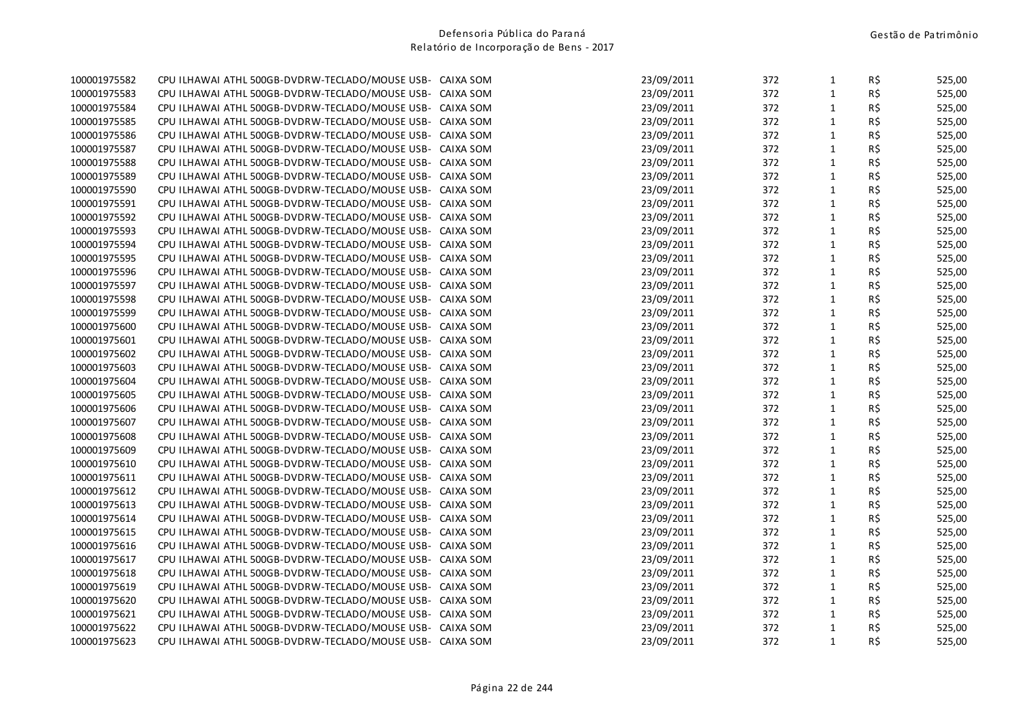| 100001975583<br>CPU ILHAWAI ATHL 500GB-DVDRW-TECLADO/MOUSE USB- CAIXA SOM<br>100001975584<br>CPU ILHAWAI ATHL 500GB-DVDRW-TECLADO/MOUSE USB-<br>100001975585<br>CPU ILHAWAI ATHL 500GB-DVDRW-TECLADO/MOUSE USB- | CAIXA SOM<br>CAIXA SOM | 23/09/2011<br>23/09/2011<br>23/09/2011 | 372<br>372<br>372 | $\mathbf{1}$<br>$\mathbf{1}$<br>$\mathbf{1}$ | R\$<br>R\$<br>R\$ | 525,00<br>525,00<br>525,00 |
|-----------------------------------------------------------------------------------------------------------------------------------------------------------------------------------------------------------------|------------------------|----------------------------------------|-------------------|----------------------------------------------|-------------------|----------------------------|
|                                                                                                                                                                                                                 |                        |                                        |                   |                                              |                   |                            |
|                                                                                                                                                                                                                 |                        |                                        |                   |                                              |                   |                            |
|                                                                                                                                                                                                                 |                        |                                        |                   |                                              |                   | 525,00                     |
| 100001975586<br>CPU ILHAWAI ATHL 500GB-DVDRW-TECLADO/MOUSE USB- CAIXA SOM                                                                                                                                       |                        | 23/09/2011                             | 372               | $\mathbf{1}$                                 | R\$               | 525,00                     |
| 100001975587<br>CPU ILHAWAI ATHL 500GB-DVDRW-TECLADO/MOUSE USB-                                                                                                                                                 | CAIXA SOM              | 23/09/2011                             | 372               | $1\,$                                        | R\$               | 525,00                     |
| 100001975588<br>CPU ILHAWAI ATHL 500GB-DVDRW-TECLADO/MOUSE USB- CAIXA SOM                                                                                                                                       |                        | 23/09/2011                             | 372               | $\mathbf{1}$                                 | R\$               | 525,00                     |
| 100001975589<br>CPU ILHAWAI ATHL 500GB-DVDRW-TECLADO/MOUSE USB- CAIXA SOM                                                                                                                                       |                        | 23/09/2011                             | 372               | $\mathbf{1}$                                 | R\$               | 525,00                     |
| 100001975590<br>CPU ILHAWAI ATHL 500GB-DVDRW-TECLADO/MOUSE USB- CAIXA SOM                                                                                                                                       |                        | 23/09/2011                             | 372               | $\mathbf{1}$                                 | R\$               | 525,00                     |
| 100001975591<br>CPU ILHAWAI ATHL 500GB-DVDRW-TECLADO/MOUSE USB- CAIXA SOM                                                                                                                                       |                        | 23/09/2011                             | 372               | $\mathbf{1}$                                 | R\$               | 525,00                     |
| 100001975592<br>CPU ILHAWAI ATHL 500GB-DVDRW-TECLADO/MOUSE USB- CAIXA SOM                                                                                                                                       |                        | 23/09/2011                             | 372               | $\mathbf{1}$                                 | R\$               | 525,00                     |
| 100001975593<br>CPU ILHAWAI ATHL 500GB-DVDRW-TECLADO/MOUSE USB-                                                                                                                                                 | CAIXA SOM              | 23/09/2011                             | 372               | $1\,$                                        | R\$               | 525,00                     |
| 100001975594<br>CPU ILHAWAI ATHL 500GB-DVDRW-TECLADO/MOUSE USB- CAIXA SOM                                                                                                                                       |                        | 23/09/2011                             | 372               | $\mathbf{1}$                                 | R\$               | 525,00                     |
| 100001975595<br>CPU ILHAWAI ATHL 500GB-DVDRW-TECLADO/MOUSE USB- CAIXA SOM                                                                                                                                       |                        | 23/09/2011                             | 372               | $1\,$                                        | R\$               | 525,00                     |
| 100001975596<br>CPU ILHAWAI ATHL 500GB-DVDRW-TECLADO/MOUSE USB- CAIXA SOM                                                                                                                                       |                        | 23/09/2011                             | 372               | $1\,$                                        | R\$               | 525,00                     |
| 100001975597<br>CPU ILHAWAI ATHL 500GB-DVDRW-TECLADO/MOUSE USB- CAIXA SOM                                                                                                                                       |                        | 23/09/2011                             | 372               | $\mathbf{1}$                                 | R\$               | 525,00                     |
| 100001975598<br>CPU ILHAWAI ATHL 500GB-DVDRW-TECLADO/MOUSE USB- CAIXA SOM                                                                                                                                       |                        | 23/09/2011                             | 372               | $1\,$                                        | R\$               | 525,00                     |
| 100001975599<br>CPU ILHAWAI ATHL 500GB-DVDRW-TECLADO/MOUSE USB- CAIXA SOM                                                                                                                                       |                        | 23/09/2011                             | 372               | $\mathbf{1}$                                 | R\$               | 525,00                     |
| 100001975600<br>CPU ILHAWAI ATHL 500GB-DVDRW-TECLADO/MOUSE USB- CAIXA SOM                                                                                                                                       |                        | 23/09/2011                             | 372               | $1\,$                                        | R\$               | 525,00                     |
| 100001975601<br>CPU ILHAWAI ATHL 500GB-DVDRW-TECLADO/MOUSE USB- CAIXA SOM                                                                                                                                       |                        | 23/09/2011                             | 372               | $\mathbf{1}$                                 | R\$               | 525,00                     |
| 100001975602<br>CPU ILHAWAI ATHL 500GB-DVDRW-TECLADO/MOUSE USB- CAIXA SOM                                                                                                                                       |                        | 23/09/2011                             | 372               | $1\,$                                        | R\$               | 525,00                     |
| 100001975603<br>CPU ILHAWAI ATHL 500GB-DVDRW-TECLADO/MOUSE USB- CAIXA SOM                                                                                                                                       |                        | 23/09/2011                             | 372               | $\mathbf{1}$                                 | R\$               | 525,00                     |
| 100001975604<br>CPU ILHAWAI ATHL 500GB-DVDRW-TECLADO/MOUSE USB- CAIXA SOM                                                                                                                                       |                        | 23/09/2011                             | 372               | $\mathbf{1}$                                 | R\$               | 525,00                     |
| 100001975605<br>CPU ILHAWAI ATHL 500GB-DVDRW-TECLADO/MOUSE USB- CAIXA SOM                                                                                                                                       |                        | 23/09/2011                             | 372               | $\mathbf{1}$                                 | R\$               | 525,00                     |
| 100001975606<br>CPU ILHAWAI ATHL 500GB-DVDRW-TECLADO/MOUSE USB- CAIXA SOM                                                                                                                                       |                        | 23/09/2011                             | 372               | $\mathbf{1}$                                 | R\$               | 525,00                     |
| 100001975607<br>CPU ILHAWAI ATHL 500GB-DVDRW-TECLADO/MOUSE USB- CAIXA SOM                                                                                                                                       |                        | 23/09/2011                             | 372               | $\mathbf{1}$                                 | R\$               | 525,00                     |
| 100001975608<br>CPU ILHAWAI ATHL 500GB-DVDRW-TECLADO/MOUSE USB- CAIXA SOM                                                                                                                                       |                        | 23/09/2011                             | 372               | $\mathbf{1}$                                 | R\$               | 525,00                     |
| 100001975609<br>CPU ILHAWAI ATHL 500GB-DVDRW-TECLADO/MOUSE USB- CAIXA SOM                                                                                                                                       |                        | 23/09/2011                             | 372               | $\mathbf{1}$                                 | R\$               | 525,00                     |
| 100001975610<br>CPU ILHAWAI ATHL 500GB-DVDRW-TECLADO/MOUSE USB- CAIXA SOM                                                                                                                                       |                        | 23/09/2011                             | 372               | $\mathbf{1}$                                 | R\$               | 525,00                     |
| 100001975611<br>CPU ILHAWAI ATHL 500GB-DVDRW-TECLADO/MOUSE USB- CAIXA SOM                                                                                                                                       |                        | 23/09/2011                             | 372               | $\mathbf{1}$                                 | R\$               | 525,00                     |
| 100001975612<br>CPU ILHAWAI ATHL 500GB-DVDRW-TECLADO/MOUSE USB- CAIXA SOM                                                                                                                                       |                        | 23/09/2011                             | 372               | $\mathbf{1}$                                 | R\$               | 525,00                     |
| 100001975613<br>CPU ILHAWAI ATHL 500GB-DVDRW-TECLADO/MOUSE USB- CAIXA SOM                                                                                                                                       |                        | 23/09/2011                             | 372               | $\mathbf{1}$                                 | R\$               | 525,00                     |
| 100001975614<br>CPU ILHAWAI ATHL 500GB-DVDRW-TECLADO/MOUSE USB- CAIXA SOM                                                                                                                                       |                        | 23/09/2011                             | 372               | $\mathbf{1}$                                 | R\$               | 525,00                     |
| 100001975615<br>CPU ILHAWAI ATHL 500GB-DVDRW-TECLADO/MOUSE USB-                                                                                                                                                 | CAIXA SOM              | 23/09/2011                             | 372               | $\mathbf{1}$                                 | R\$               | 525,00                     |
| 100001975616<br>CPU ILHAWAI ATHL 500GB-DVDRW-TECLADO/MOUSE USB-                                                                                                                                                 | CAIXA SOM              | 23/09/2011                             | 372               | $\mathbf{1}$                                 | R\$               | 525,00                     |
| 100001975617<br>CPU ILHAWAI ATHL 500GB-DVDRW-TECLADO/MOUSE USB-                                                                                                                                                 | CAIXA SOM              | 23/09/2011                             | 372               | $\mathbf{1}$                                 | R\$               | 525,00                     |
| 100001975618<br>CPU ILHAWAI ATHL 500GB-DVDRW-TECLADO/MOUSE USB-                                                                                                                                                 | CAIXA SOM              | 23/09/2011                             | 372               | $\mathbf 1$                                  | R\$               | 525,00                     |
| 100001975619<br>CPU ILHAWAI ATHL 500GB-DVDRW-TECLADO/MOUSE USB-                                                                                                                                                 | CAIXA SOM              | 23/09/2011                             | 372               | $\mathbf{1}$                                 | R\$               | 525,00                     |
| 100001975620<br>CPU ILHAWAI ATHL 500GB-DVDRW-TECLADO/MOUSE USB- CAIXA SOM                                                                                                                                       |                        | 23/09/2011                             | 372               | $\mathbf{1}$                                 | R\$               | 525,00                     |
| 100001975621<br>CPU ILHAWAI ATHL 500GB-DVDRW-TECLADO/MOUSE USB- CAIXA SOM                                                                                                                                       |                        | 23/09/2011                             | 372               | $\mathbf{1}$                                 | R\$               | 525,00                     |
| 100001975622<br>CPU ILHAWAI ATHL 500GB-DVDRW-TECLADO/MOUSE USB- CAIXA SOM                                                                                                                                       |                        | 23/09/2011                             | 372               | $\mathbf{1}$                                 | R\$               | 525,00                     |
| 100001975623<br>CPU ILHAWAI ATHL 500GB-DVDRW-TECLADO/MOUSE USB- CAIXA SOM                                                                                                                                       |                        | 23/09/2011                             | 372               | $\mathbf{1}$                                 | R\$               | 525,00                     |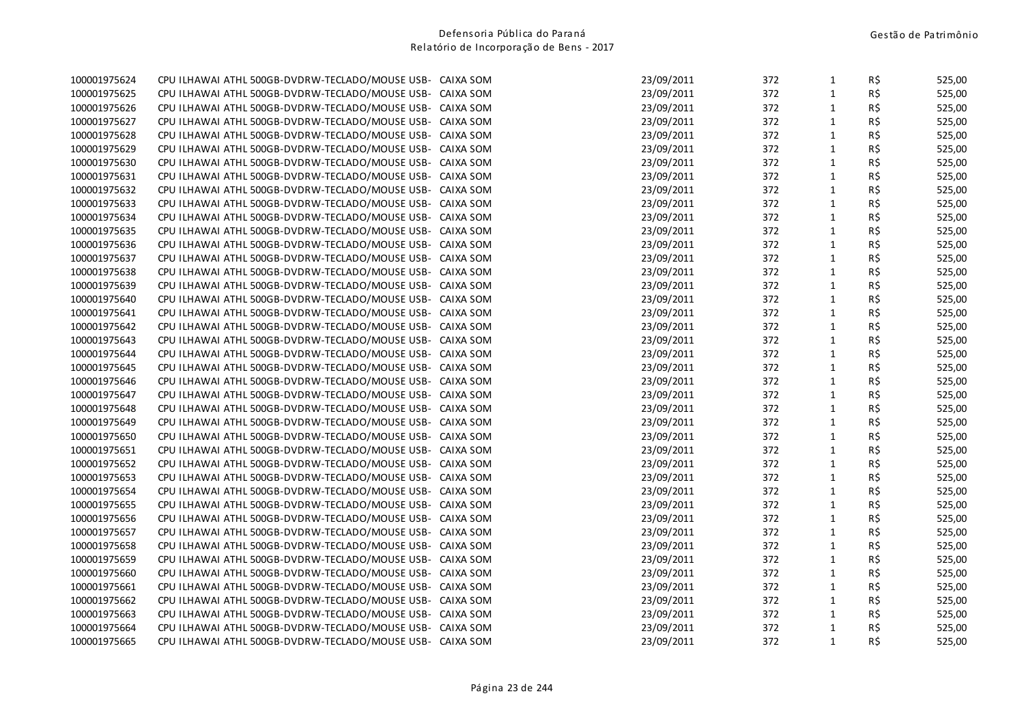| 23/09/2011<br>$\mathbf{1}$<br>R\$<br>100001975625<br>CPU ILHAWAI ATHL 500GB-DVDRW-TECLADO/MOUSE USB- CAIXA SOM<br>372<br>100001975626<br>CPU ILHAWAI ATHL 500GB-DVDRW-TECLADO/MOUSE USB-<br>23/09/2011<br>372<br>$\mathbf{1}$<br>R\$<br>CAIXA SOM<br>23/09/2011<br>372<br>$\mathbf{1}$<br>R\$<br>100001975627<br>CPU ILHAWAI ATHL 500GB-DVDRW-TECLADO/MOUSE USB-<br>CAIXA SOM<br>R\$<br>100001975628<br>CPU ILHAWAI ATHL 500GB-DVDRW-TECLADO/MOUSE USB- CAIXA SOM<br>23/09/2011<br>372<br>$\mathbf{1}$<br>$1\,$<br>R\$<br>100001975629<br>23/09/2011<br>372<br>CPU ILHAWAI ATHL 500GB-DVDRW-TECLADO/MOUSE USB-<br>CAIXA SOM<br>23/09/2011<br>372<br>$\mathbf{1}$<br>R\$<br>100001975630<br>CPU ILHAWAI ATHL 500GB-DVDRW-TECLADO/MOUSE USB- CAIXA SOM<br>23/09/2011<br>372<br>$\mathbf{1}$<br>R\$<br>100001975631<br>CPU ILHAWAI ATHL 500GB-DVDRW-TECLADO/MOUSE USB- CAIXA SOM<br>R\$<br>372<br>$\mathbf{1}$<br>100001975632<br>CPU ILHAWAI ATHL 500GB-DVDRW-TECLADO/MOUSE USB- CAIXA SOM<br>23/09/2011<br>R\$<br>372<br>$\mathbf{1}$<br>100001975633<br>CPU ILHAWAI ATHL 500GB-DVDRW-TECLADO/MOUSE USB- CAIXA SOM<br>23/09/2011<br>$\mathbf{1}$<br>R\$<br>100001975634<br>23/09/2011<br>372<br>CPU ILHAWAI ATHL 500GB-DVDRW-TECLADO/MOUSE USB- CAIXA SOM<br>$1\,$<br>R\$<br>100001975635<br>23/09/2011<br>372<br>CPU ILHAWAI ATHL 500GB-DVDRW-TECLADO/MOUSE USB-<br>CAIXA SOM<br>R\$<br>$\mathbf{1}$<br>100001975636<br>CPU ILHAWAI ATHL 500GB-DVDRW-TECLADO/MOUSE USB- CAIXA SOM<br>23/09/2011<br>372<br>$1\,$<br>R\$<br>100001975637<br>CPU ILHAWAI ATHL 500GB-DVDRW-TECLADO/MOUSE USB- CAIXA SOM<br>23/09/2011<br>372<br>$1\,$<br>R\$<br>23/09/2011<br>372<br>100001975638<br>CPU ILHAWAI ATHL 500GB-DVDRW-TECLADO/MOUSE USB- CAIXA SOM<br>23/09/2011<br>$\mathbf{1}$<br>R\$<br>100001975639<br>CPU ILHAWAI ATHL 500GB-DVDRW-TECLADO/MOUSE USB- CAIXA SOM<br>372 |        |
|---------------------------------------------------------------------------------------------------------------------------------------------------------------------------------------------------------------------------------------------------------------------------------------------------------------------------------------------------------------------------------------------------------------------------------------------------------------------------------------------------------------------------------------------------------------------------------------------------------------------------------------------------------------------------------------------------------------------------------------------------------------------------------------------------------------------------------------------------------------------------------------------------------------------------------------------------------------------------------------------------------------------------------------------------------------------------------------------------------------------------------------------------------------------------------------------------------------------------------------------------------------------------------------------------------------------------------------------------------------------------------------------------------------------------------------------------------------------------------------------------------------------------------------------------------------------------------------------------------------------------------------------------------------------------------------------------------------------------------------------------------------------------------------------------------------------------------------------------------------------|--------|
|                                                                                                                                                                                                                                                                                                                                                                                                                                                                                                                                                                                                                                                                                                                                                                                                                                                                                                                                                                                                                                                                                                                                                                                                                                                                                                                                                                                                                                                                                                                                                                                                                                                                                                                                                                                                                                                                     | 525,00 |
|                                                                                                                                                                                                                                                                                                                                                                                                                                                                                                                                                                                                                                                                                                                                                                                                                                                                                                                                                                                                                                                                                                                                                                                                                                                                                                                                                                                                                                                                                                                                                                                                                                                                                                                                                                                                                                                                     | 525,00 |
|                                                                                                                                                                                                                                                                                                                                                                                                                                                                                                                                                                                                                                                                                                                                                                                                                                                                                                                                                                                                                                                                                                                                                                                                                                                                                                                                                                                                                                                                                                                                                                                                                                                                                                                                                                                                                                                                     | 525,00 |
|                                                                                                                                                                                                                                                                                                                                                                                                                                                                                                                                                                                                                                                                                                                                                                                                                                                                                                                                                                                                                                                                                                                                                                                                                                                                                                                                                                                                                                                                                                                                                                                                                                                                                                                                                                                                                                                                     | 525,00 |
|                                                                                                                                                                                                                                                                                                                                                                                                                                                                                                                                                                                                                                                                                                                                                                                                                                                                                                                                                                                                                                                                                                                                                                                                                                                                                                                                                                                                                                                                                                                                                                                                                                                                                                                                                                                                                                                                     | 525,00 |
|                                                                                                                                                                                                                                                                                                                                                                                                                                                                                                                                                                                                                                                                                                                                                                                                                                                                                                                                                                                                                                                                                                                                                                                                                                                                                                                                                                                                                                                                                                                                                                                                                                                                                                                                                                                                                                                                     | 525,00 |
|                                                                                                                                                                                                                                                                                                                                                                                                                                                                                                                                                                                                                                                                                                                                                                                                                                                                                                                                                                                                                                                                                                                                                                                                                                                                                                                                                                                                                                                                                                                                                                                                                                                                                                                                                                                                                                                                     | 525,00 |
|                                                                                                                                                                                                                                                                                                                                                                                                                                                                                                                                                                                                                                                                                                                                                                                                                                                                                                                                                                                                                                                                                                                                                                                                                                                                                                                                                                                                                                                                                                                                                                                                                                                                                                                                                                                                                                                                     | 525,00 |
|                                                                                                                                                                                                                                                                                                                                                                                                                                                                                                                                                                                                                                                                                                                                                                                                                                                                                                                                                                                                                                                                                                                                                                                                                                                                                                                                                                                                                                                                                                                                                                                                                                                                                                                                                                                                                                                                     | 525,00 |
|                                                                                                                                                                                                                                                                                                                                                                                                                                                                                                                                                                                                                                                                                                                                                                                                                                                                                                                                                                                                                                                                                                                                                                                                                                                                                                                                                                                                                                                                                                                                                                                                                                                                                                                                                                                                                                                                     | 525,00 |
|                                                                                                                                                                                                                                                                                                                                                                                                                                                                                                                                                                                                                                                                                                                                                                                                                                                                                                                                                                                                                                                                                                                                                                                                                                                                                                                                                                                                                                                                                                                                                                                                                                                                                                                                                                                                                                                                     | 525,00 |
|                                                                                                                                                                                                                                                                                                                                                                                                                                                                                                                                                                                                                                                                                                                                                                                                                                                                                                                                                                                                                                                                                                                                                                                                                                                                                                                                                                                                                                                                                                                                                                                                                                                                                                                                                                                                                                                                     | 525,00 |
|                                                                                                                                                                                                                                                                                                                                                                                                                                                                                                                                                                                                                                                                                                                                                                                                                                                                                                                                                                                                                                                                                                                                                                                                                                                                                                                                                                                                                                                                                                                                                                                                                                                                                                                                                                                                                                                                     | 525,00 |
|                                                                                                                                                                                                                                                                                                                                                                                                                                                                                                                                                                                                                                                                                                                                                                                                                                                                                                                                                                                                                                                                                                                                                                                                                                                                                                                                                                                                                                                                                                                                                                                                                                                                                                                                                                                                                                                                     | 525,00 |
|                                                                                                                                                                                                                                                                                                                                                                                                                                                                                                                                                                                                                                                                                                                                                                                                                                                                                                                                                                                                                                                                                                                                                                                                                                                                                                                                                                                                                                                                                                                                                                                                                                                                                                                                                                                                                                                                     | 525,00 |
| $1\,$<br>R\$<br>100001975640<br>CPU ILHAWAI ATHL 500GB-DVDRW-TECLADO/MOUSE USB- CAIXA SOM<br>23/09/2011<br>372                                                                                                                                                                                                                                                                                                                                                                                                                                                                                                                                                                                                                                                                                                                                                                                                                                                                                                                                                                                                                                                                                                                                                                                                                                                                                                                                                                                                                                                                                                                                                                                                                                                                                                                                                      | 525,00 |
| R\$<br>372<br>$\mathbf{1}$<br>100001975641<br>CPU ILHAWAI ATHL 500GB-DVDRW-TECLADO/MOUSE USB- CAIXA SOM<br>23/09/2011                                                                                                                                                                                                                                                                                                                                                                                                                                                                                                                                                                                                                                                                                                                                                                                                                                                                                                                                                                                                                                                                                                                                                                                                                                                                                                                                                                                                                                                                                                                                                                                                                                                                                                                                               | 525,00 |
| $1\,$<br>R\$<br>372<br>100001975642<br>CPU ILHAWAI ATHL 500GB-DVDRW-TECLADO/MOUSE USB- CAIXA SOM<br>23/09/2011                                                                                                                                                                                                                                                                                                                                                                                                                                                                                                                                                                                                                                                                                                                                                                                                                                                                                                                                                                                                                                                                                                                                                                                                                                                                                                                                                                                                                                                                                                                                                                                                                                                                                                                                                      | 525,00 |
| $\mathbf{1}$<br>R\$<br>100001975643<br>23/09/2011<br>372<br>CPU ILHAWAI ATHL 500GB-DVDRW-TECLADO/MOUSE USB- CAIXA SOM                                                                                                                                                                                                                                                                                                                                                                                                                                                                                                                                                                                                                                                                                                                                                                                                                                                                                                                                                                                                                                                                                                                                                                                                                                                                                                                                                                                                                                                                                                                                                                                                                                                                                                                                               | 525,00 |
| $1\,$<br>23/09/2011<br>372<br>R\$<br>100001975644<br>CPU ILHAWAI ATHL 500GB-DVDRW-TECLADO/MOUSE USB- CAIXA SOM                                                                                                                                                                                                                                                                                                                                                                                                                                                                                                                                                                                                                                                                                                                                                                                                                                                                                                                                                                                                                                                                                                                                                                                                                                                                                                                                                                                                                                                                                                                                                                                                                                                                                                                                                      | 525,00 |
| $\mathbf{1}$<br>R\$<br>100001975645<br>23/09/2011<br>372<br>CPU ILHAWAI ATHL 500GB-DVDRW-TECLADO/MOUSE USB- CAIXA SOM                                                                                                                                                                                                                                                                                                                                                                                                                                                                                                                                                                                                                                                                                                                                                                                                                                                                                                                                                                                                                                                                                                                                                                                                                                                                                                                                                                                                                                                                                                                                                                                                                                                                                                                                               | 525,00 |
| $\mathbf{1}$<br>R\$<br>23/09/2011<br>372<br>100001975646<br>CPU ILHAWAI ATHL 500GB-DVDRW-TECLADO/MOUSE USB- CAIXA SOM                                                                                                                                                                                                                                                                                                                                                                                                                                                                                                                                                                                                                                                                                                                                                                                                                                                                                                                                                                                                                                                                                                                                                                                                                                                                                                                                                                                                                                                                                                                                                                                                                                                                                                                                               | 525,00 |
| $1\,$<br>R\$<br>23/09/2011<br>372<br>100001975647<br>CPU ILHAWAI ATHL 500GB-DVDRW-TECLADO/MOUSE USB- CAIXA SOM                                                                                                                                                                                                                                                                                                                                                                                                                                                                                                                                                                                                                                                                                                                                                                                                                                                                                                                                                                                                                                                                                                                                                                                                                                                                                                                                                                                                                                                                                                                                                                                                                                                                                                                                                      | 525,00 |
| 23/09/2011<br>$\mathbf{1}$<br>R\$<br>100001975648<br>CPU ILHAWAI ATHL 500GB-DVDRW-TECLADO/MOUSE USB- CAIXA SOM<br>372                                                                                                                                                                                                                                                                                                                                                                                                                                                                                                                                                                                                                                                                                                                                                                                                                                                                                                                                                                                                                                                                                                                                                                                                                                                                                                                                                                                                                                                                                                                                                                                                                                                                                                                                               | 525,00 |
| $1\,$<br>R\$<br>100001975649<br>23/09/2011<br>372<br>CPU ILHAWAI ATHL 500GB-DVDRW-TECLADO/MOUSE USB- CAIXA SOM                                                                                                                                                                                                                                                                                                                                                                                                                                                                                                                                                                                                                                                                                                                                                                                                                                                                                                                                                                                                                                                                                                                                                                                                                                                                                                                                                                                                                                                                                                                                                                                                                                                                                                                                                      | 525,00 |
| 23/09/2011<br>372<br>$\mathbf{1}$<br>R\$<br>100001975650<br>CPU ILHAWAI ATHL 500GB-DVDRW-TECLADO/MOUSE USB- CAIXA SOM                                                                                                                                                                                                                                                                                                                                                                                                                                                                                                                                                                                                                                                                                                                                                                                                                                                                                                                                                                                                                                                                                                                                                                                                                                                                                                                                                                                                                                                                                                                                                                                                                                                                                                                                               | 525,00 |
| 23/09/2011<br>$\mathbf{1}$<br>R\$<br>100001975651<br>CPU ILHAWAI ATHL 500GB-DVDRW-TECLADO/MOUSE USB- CAIXA SOM<br>372                                                                                                                                                                                                                                                                                                                                                                                                                                                                                                                                                                                                                                                                                                                                                                                                                                                                                                                                                                                                                                                                                                                                                                                                                                                                                                                                                                                                                                                                                                                                                                                                                                                                                                                                               | 525,00 |
| $\mathbf{1}$<br>R\$<br>100001975652<br>23/09/2011<br>372<br>CPU ILHAWAI ATHL 500GB-DVDRW-TECLADO/MOUSE USB- CAIXA SOM                                                                                                                                                                                                                                                                                                                                                                                                                                                                                                                                                                                                                                                                                                                                                                                                                                                                                                                                                                                                                                                                                                                                                                                                                                                                                                                                                                                                                                                                                                                                                                                                                                                                                                                                               | 525,00 |
| $1\,$<br>R\$<br>23/09/2011<br>372<br>100001975653<br>CPU ILHAWAI ATHL 500GB-DVDRW-TECLADO/MOUSE USB- CAIXA SOM                                                                                                                                                                                                                                                                                                                                                                                                                                                                                                                                                                                                                                                                                                                                                                                                                                                                                                                                                                                                                                                                                                                                                                                                                                                                                                                                                                                                                                                                                                                                                                                                                                                                                                                                                      | 525,00 |
| $\mathbf{1}$<br>R\$<br>CPU ILHAWAI ATHL 500GB-DVDRW-TECLADO/MOUSE USB- CAIXA SOM<br>23/09/2011<br>372<br>100001975654                                                                                                                                                                                                                                                                                                                                                                                                                                                                                                                                                                                                                                                                                                                                                                                                                                                                                                                                                                                                                                                                                                                                                                                                                                                                                                                                                                                                                                                                                                                                                                                                                                                                                                                                               | 525,00 |
| $1\,$<br>R\$<br>23/09/2011<br>372<br>100001975655<br>CPU ILHAWAI ATHL 500GB-DVDRW-TECLADO/MOUSE USB- CAIXA SOM                                                                                                                                                                                                                                                                                                                                                                                                                                                                                                                                                                                                                                                                                                                                                                                                                                                                                                                                                                                                                                                                                                                                                                                                                                                                                                                                                                                                                                                                                                                                                                                                                                                                                                                                                      | 525,00 |
| 372<br>$\mathbf{1}$<br>R\$<br>100001975656<br>CPU ILHAWAI ATHL 500GB-DVDRW-TECLADO/MOUSE USB- CAIXA SOM<br>23/09/2011                                                                                                                                                                                                                                                                                                                                                                                                                                                                                                                                                                                                                                                                                                                                                                                                                                                                                                                                                                                                                                                                                                                                                                                                                                                                                                                                                                                                                                                                                                                                                                                                                                                                                                                                               | 525,00 |
| $\mathbf{1}$<br>R\$<br>100001975657<br>23/09/2011<br>372<br>CPU ILHAWAI ATHL 500GB-DVDRW-TECLADO/MOUSE USB-<br>CAIXA SOM                                                                                                                                                                                                                                                                                                                                                                                                                                                                                                                                                                                                                                                                                                                                                                                                                                                                                                                                                                                                                                                                                                                                                                                                                                                                                                                                                                                                                                                                                                                                                                                                                                                                                                                                            | 525,00 |
| R\$<br>23/09/2011<br>372<br>$\mathbf{1}$<br>100001975658<br>CPU ILHAWAI ATHL 500GB-DVDRW-TECLADO/MOUSE USB-<br>CAIXA SOM                                                                                                                                                                                                                                                                                                                                                                                                                                                                                                                                                                                                                                                                                                                                                                                                                                                                                                                                                                                                                                                                                                                                                                                                                                                                                                                                                                                                                                                                                                                                                                                                                                                                                                                                            | 525,00 |
| R\$<br>372<br>$\mathbf{1}$<br>100001975659<br>CPU ILHAWAI ATHL 500GB-DVDRW-TECLADO/MOUSE USB-<br>CAIXA SOM<br>23/09/2011                                                                                                                                                                                                                                                                                                                                                                                                                                                                                                                                                                                                                                                                                                                                                                                                                                                                                                                                                                                                                                                                                                                                                                                                                                                                                                                                                                                                                                                                                                                                                                                                                                                                                                                                            | 525,00 |
| $\mathbf 1$<br>R\$<br>100001975660<br>CPU ILHAWAI ATHL 500GB-DVDRW-TECLADO/MOUSE USB-<br>23/09/2011<br>372<br>CAIXA SOM                                                                                                                                                                                                                                                                                                                                                                                                                                                                                                                                                                                                                                                                                                                                                                                                                                                                                                                                                                                                                                                                                                                                                                                                                                                                                                                                                                                                                                                                                                                                                                                                                                                                                                                                             | 525,00 |
| 100001975661<br>23/09/2011<br>372<br>$\mathbf{1}$<br>R\$<br>CPU ILHAWAI ATHL 500GB-DVDRW-TECLADO/MOUSE USB-<br>CAIXA SOM                                                                                                                                                                                                                                                                                                                                                                                                                                                                                                                                                                                                                                                                                                                                                                                                                                                                                                                                                                                                                                                                                                                                                                                                                                                                                                                                                                                                                                                                                                                                                                                                                                                                                                                                            | 525,00 |
| 23/09/2011<br>$\mathbf{1}$<br>R\$<br>100001975662<br>CPU ILHAWAI ATHL 500GB-DVDRW-TECLADO/MOUSE USB- CAIXA SOM<br>372                                                                                                                                                                                                                                                                                                                                                                                                                                                                                                                                                                                                                                                                                                                                                                                                                                                                                                                                                                                                                                                                                                                                                                                                                                                                                                                                                                                                                                                                                                                                                                                                                                                                                                                                               | 525,00 |
| R\$<br>100001975663<br>CPU ILHAWAI ATHL 500GB-DVDRW-TECLADO/MOUSE USB- CAIXA SOM<br>23/09/2011<br>372<br>$\mathbf{1}$                                                                                                                                                                                                                                                                                                                                                                                                                                                                                                                                                                                                                                                                                                                                                                                                                                                                                                                                                                                                                                                                                                                                                                                                                                                                                                                                                                                                                                                                                                                                                                                                                                                                                                                                               | 525,00 |
| $\mathbf{1}$<br>R\$<br>23/09/2011<br>372<br>100001975664<br>CPU ILHAWAI ATHL 500GB-DVDRW-TECLADO/MOUSE USB- CAIXA SOM                                                                                                                                                                                                                                                                                                                                                                                                                                                                                                                                                                                                                                                                                                                                                                                                                                                                                                                                                                                                                                                                                                                                                                                                                                                                                                                                                                                                                                                                                                                                                                                                                                                                                                                                               | 525,00 |
| $\mathbf{1}$<br>R\$<br>100001975665<br>CPU ILHAWAI ATHL 500GB-DVDRW-TECLADO/MOUSE USB- CAIXA SOM<br>23/09/2011<br>372                                                                                                                                                                                                                                                                                                                                                                                                                                                                                                                                                                                                                                                                                                                                                                                                                                                                                                                                                                                                                                                                                                                                                                                                                                                                                                                                                                                                                                                                                                                                                                                                                                                                                                                                               | 525,00 |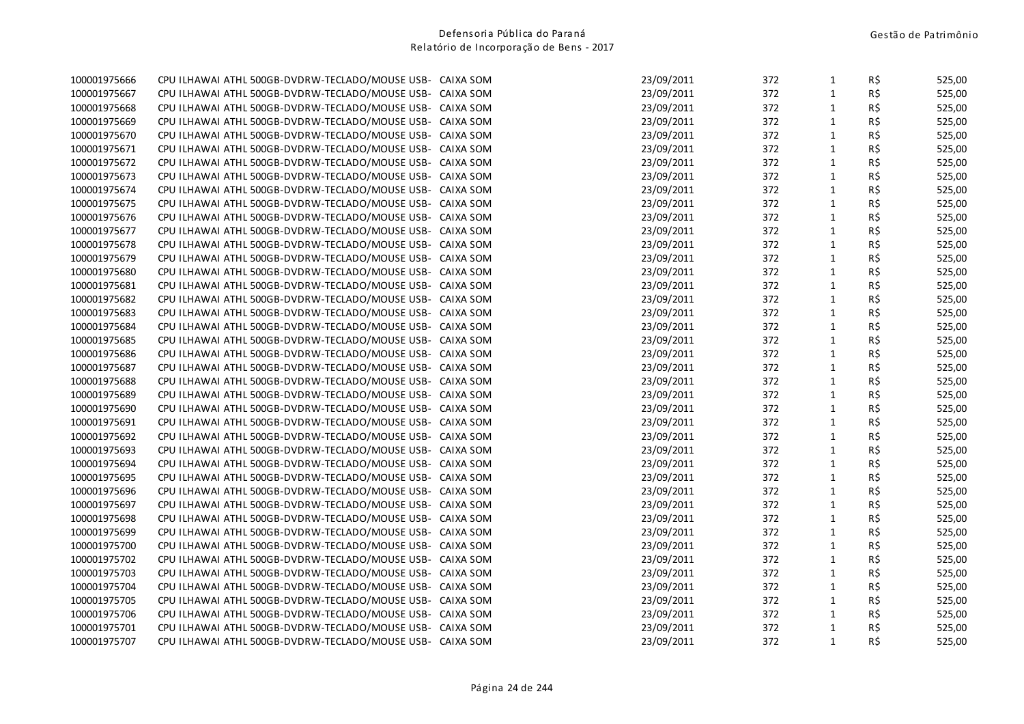| 100001975666 | CPU ILHAWAI ATHL 500GB-DVDRW-TECLADO/MOUSE USB-           | CAIXA SOM | 23/09/2011 | 372 | $\mathbf{1}$ | R\$ | 525,00 |
|--------------|-----------------------------------------------------------|-----------|------------|-----|--------------|-----|--------|
| 100001975667 | CPU ILHAWAI ATHL 500GB-DVDRW-TECLADO/MOUSE USB-           | CAIXA SOM | 23/09/2011 | 372 | $\mathbf{1}$ | R\$ | 525,00 |
| 100001975668 | CPU ILHAWAI ATHL 500GB-DVDRW-TECLADO/MOUSE USB-           | CAIXA SOM | 23/09/2011 | 372 | $\mathbf{1}$ | R\$ | 525,00 |
| 100001975669 | CPU ILHAWAI ATHL 500GB-DVDRW-TECLADO/MOUSE USB-           | CAIXA SOM | 23/09/2011 | 372 | $\mathbf{1}$ | R\$ | 525,00 |
| 100001975670 | CPU ILHAWAI ATHL 500GB-DVDRW-TECLADO/MOUSE USB-           | CAIXA SOM | 23/09/2011 | 372 | $\mathbf{1}$ | R\$ | 525,00 |
| 100001975671 | CPU ILHAWAI ATHL 500GB-DVDRW-TECLADO/MOUSE USB-           | CAIXA SOM | 23/09/2011 | 372 | $\mathbf{1}$ | R\$ | 525,00 |
| 100001975672 | CPU ILHAWAI ATHL 500GB-DVDRW-TECLADO/MOUSE USB-           | CAIXA SOM | 23/09/2011 | 372 | $\mathbf{1}$ | R\$ | 525,00 |
| 100001975673 | CPU ILHAWAI ATHL 500GB-DVDRW-TECLADO/MOUSE USB-           | CAIXA SOM | 23/09/2011 | 372 | $\mathbf{1}$ | R\$ | 525,00 |
| 100001975674 | CPU ILHAWAI ATHL 500GB-DVDRW-TECLADO/MOUSE USB-           | CAIXA SOM | 23/09/2011 | 372 | $\mathbf{1}$ | R\$ | 525,00 |
| 100001975675 | CPU ILHAWAI ATHL 500GB-DVDRW-TECLADO/MOUSE USB-           | CAIXA SOM | 23/09/2011 | 372 | $\mathbf{1}$ | R\$ | 525,00 |
| 100001975676 | CPU ILHAWAI ATHL 500GB-DVDRW-TECLADO/MOUSE USB-           | CAIXA SOM | 23/09/2011 | 372 | $\mathbf{1}$ | R\$ | 525,00 |
| 100001975677 | CPU ILHAWAI ATHL 500GB-DVDRW-TECLADO/MOUSE USB-           | CAIXA SOM | 23/09/2011 | 372 | $\mathbf{1}$ | R\$ | 525,00 |
| 100001975678 | CPU ILHAWAI ATHL 500GB-DVDRW-TECLADO/MOUSE USB-           | CAIXA SOM | 23/09/2011 | 372 | $\mathbf{1}$ | R\$ | 525,00 |
| 100001975679 | CPU ILHAWAI ATHL 500GB-DVDRW-TECLADO/MOUSE USB-           | CAIXA SOM | 23/09/2011 | 372 | $\mathbf 1$  | R\$ | 525,00 |
| 100001975680 | CPU ILHAWAI ATHL 500GB-DVDRW-TECLADO/MOUSE USB-           | CAIXA SOM | 23/09/2011 | 372 | $\mathbf{1}$ | R\$ | 525,00 |
| 100001975681 | CPU ILHAWAI ATHL 500GB-DVDRW-TECLADO/MOUSE USB-           | CAIXA SOM | 23/09/2011 | 372 | $\mathbf{1}$ | R\$ | 525,00 |
| 100001975682 | CPU ILHAWAI ATHL 500GB-DVDRW-TECLADO/MOUSE USB-           | CAIXA SOM | 23/09/2011 | 372 | $\mathbf{1}$ | R\$ | 525,00 |
| 100001975683 | CPU ILHAWAI ATHL 500GB-DVDRW-TECLADO/MOUSE USB-           | CAIXA SOM | 23/09/2011 | 372 | $\mathbf{1}$ | R\$ | 525,00 |
| 100001975684 | CPU ILHAWAI ATHL 500GB-DVDRW-TECLADO/MOUSE USB-           | CAIXA SOM | 23/09/2011 | 372 | $\mathbf 1$  | R\$ | 525,00 |
| 100001975685 | CPU ILHAWAI ATHL 500GB-DVDRW-TECLADO/MOUSE USB-           | CAIXA SOM | 23/09/2011 | 372 | $\mathbf 1$  | R\$ | 525,00 |
| 100001975686 | CPU ILHAWAI ATHL 500GB-DVDRW-TECLADO/MOUSE USB-           | CAIXA SOM | 23/09/2011 | 372 | $\mathbf 1$  | R\$ | 525,00 |
| 100001975687 | CPU ILHAWAI ATHL 500GB-DVDRW-TECLADO/MOUSE USB-           | CAIXA SOM | 23/09/2011 | 372 | $\mathbf{1}$ | R\$ | 525,00 |
| 100001975688 | CPU ILHAWAI ATHL 500GB-DVDRW-TECLADO/MOUSE USB-           | CAIXA SOM | 23/09/2011 | 372 | $\mathbf{1}$ | R\$ | 525,00 |
| 100001975689 | CPU ILHAWAI ATHL 500GB-DVDRW-TECLADO/MOUSE USB-           | CAIXA SOM | 23/09/2011 | 372 | $\mathbf{1}$ | R\$ | 525,00 |
| 100001975690 | CPU ILHAWAI ATHL 500GB-DVDRW-TECLADO/MOUSE USB-           | CAIXA SOM | 23/09/2011 | 372 | $\mathbf{1}$ | R\$ | 525,00 |
| 100001975691 | CPU ILHAWAI ATHL 500GB-DVDRW-TECLADO/MOUSE USB-           | CAIXA SOM | 23/09/2011 | 372 | $\mathbf{1}$ | R\$ | 525,00 |
| 100001975692 | CPU ILHAWAI ATHL 500GB-DVDRW-TECLADO/MOUSE USB-           | CAIXA SOM | 23/09/2011 | 372 | $\mathbf{1}$ | R\$ | 525,00 |
| 100001975693 | CPU ILHAWAI ATHL 500GB-DVDRW-TECLADO/MOUSE USB-           | CAIXA SOM | 23/09/2011 | 372 | $\mathbf 1$  | R\$ | 525,00 |
| 100001975694 | CPU ILHAWAI ATHL 500GB-DVDRW-TECLADO/MOUSE USB-           | CAIXA SOM | 23/09/2011 | 372 | $\mathbf{1}$ | R\$ | 525,00 |
| 100001975695 | CPU ILHAWAI ATHL 500GB-DVDRW-TECLADO/MOUSE USB-           | CAIXA SOM | 23/09/2011 | 372 | $\mathbf{1}$ | R\$ | 525,00 |
| 100001975696 | CPU ILHAWAI ATHL 500GB-DVDRW-TECLADO/MOUSE USB-           | CAIXA SOM | 23/09/2011 | 372 | $\mathbf{1}$ | R\$ | 525,00 |
| 100001975697 | CPU ILHAWAI ATHL 500GB-DVDRW-TECLADO/MOUSE USB-           | CAIXA SOM | 23/09/2011 | 372 | $\mathbf 1$  | R\$ | 525,00 |
| 100001975698 | CPU ILHAWAI ATHL 500GB-DVDRW-TECLADO/MOUSE USB-           | CAIXA SOM | 23/09/2011 | 372 | $\mathbf{1}$ | R\$ | 525,00 |
| 100001975699 | CPU ILHAWAI ATHL 500GB-DVDRW-TECLADO/MOUSE USB-           | CAIXA SOM | 23/09/2011 | 372 | $\mathbf{1}$ | R\$ | 525,00 |
| 100001975700 | CPU ILHAWAI ATHL 500GB-DVDRW-TECLADO/MOUSE USB-           | CAIXA SOM | 23/09/2011 | 372 | $\mathbf{1}$ | R\$ | 525,00 |
| 100001975702 | CPU ILHAWAI ATHL 500GB-DVDRW-TECLADO/MOUSE USB-           | CAIXA SOM | 23/09/2011 | 372 | $\mathbf{1}$ | R\$ | 525,00 |
| 100001975703 | CPU ILHAWAI ATHL 500GB-DVDRW-TECLADO/MOUSE USB-           | CAIXA SOM | 23/09/2011 | 372 | $\mathbf 1$  | R\$ | 525,00 |
| 100001975704 | CPU ILHAWAI ATHL 500GB-DVDRW-TECLADO/MOUSE USB-           | CAIXA SOM | 23/09/2011 | 372 | $\mathbf{1}$ | R\$ | 525,00 |
| 100001975705 | CPU ILHAWAI ATHL 500GB-DVDRW-TECLADO/MOUSE USB-           | CAIXA SOM | 23/09/2011 | 372 | $\mathbf{1}$ | R\$ | 525,00 |
| 100001975706 | CPU ILHAWAI ATHL 500GB-DVDRW-TECLADO/MOUSE USB-           | CAIXA SOM | 23/09/2011 | 372 | $\mathbf{1}$ | R\$ | 525,00 |
| 100001975701 | CPU ILHAWAI ATHL 500GB-DVDRW-TECLADO/MOUSE USB-           | CAIXA SOM | 23/09/2011 | 372 | $\mathbf 1$  | R\$ | 525,00 |
| 100001975707 | CPU ILHAWAI ATHL 500GB-DVDRW-TECLADO/MOUSE USB- CAIXA SOM |           | 23/09/2011 | 372 | $\mathbf{1}$ | R\$ | 525,00 |
|              |                                                           |           |            |     |              |     |        |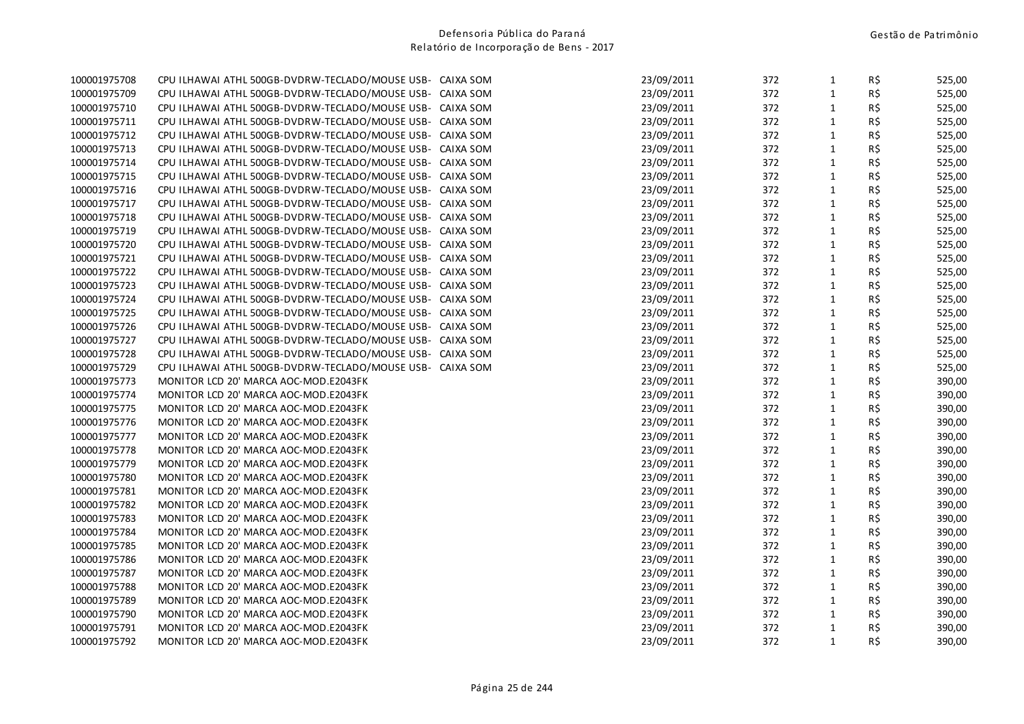| 100001975708 | CPU ILHAWAI ATHL 500GB-DVDRW-TECLADO/MOUSE USB- CAIXA SOM |           | 23/09/2011 | 372 | $\mathbf{1}$ | R\$ | 525,00 |
|--------------|-----------------------------------------------------------|-----------|------------|-----|--------------|-----|--------|
| 100001975709 | CPU ILHAWAI ATHL 500GB-DVDRW-TECLADO/MOUSE USB- CAIXA SOM |           | 23/09/2011 | 372 | $\mathbf{1}$ | R\$ | 525,00 |
| 100001975710 | CPU ILHAWAI ATHL 500GB-DVDRW-TECLADO/MOUSE USB- CAIXA SOM |           | 23/09/2011 | 372 | $\mathbf{1}$ | R\$ | 525,00 |
| 100001975711 | CPU ILHAWAI ATHL 500GB-DVDRW-TECLADO/MOUSE USB- CAIXA SOM |           | 23/09/2011 | 372 | $\mathbf 1$  | R\$ | 525,00 |
| 100001975712 | CPU ILHAWAI ATHL 500GB-DVDRW-TECLADO/MOUSE USB- CAIXA SOM |           | 23/09/2011 | 372 | $\mathbf{1}$ | R\$ | 525,00 |
| 100001975713 | CPU ILHAWAI ATHL 500GB-DVDRW-TECLADO/MOUSE USB- CAIXA SOM |           | 23/09/2011 | 372 | $\mathbf{1}$ | R\$ | 525,00 |
| 100001975714 | CPU ILHAWAI ATHL 500GB-DVDRW-TECLADO/MOUSE USB-           | CAIXA SOM | 23/09/2011 | 372 | $\mathbf{1}$ | R\$ | 525,00 |
| 100001975715 | CPU ILHAWAI ATHL 500GB-DVDRW-TECLADO/MOUSE USB-           | CAIXA SOM | 23/09/2011 | 372 | $\mathbf{1}$ | R\$ | 525,00 |
| 100001975716 | CPU ILHAWAI ATHL 500GB-DVDRW-TECLADO/MOUSE USB- CAIXA SOM |           | 23/09/2011 | 372 | $\mathbf{1}$ | R\$ | 525,00 |
| 100001975717 | CPU ILHAWAI ATHL 500GB-DVDRW-TECLADO/MOUSE USB- CAIXA SOM |           | 23/09/2011 | 372 | $\mathbf{1}$ | R\$ | 525,00 |
| 100001975718 | CPU ILHAWAI ATHL 500GB-DVDRW-TECLADO/MOUSE USB- CAIXA SOM |           | 23/09/2011 | 372 | $\mathbf{1}$ | R\$ | 525,00 |
| 100001975719 | CPU ILHAWAI ATHL 500GB-DVDRW-TECLADO/MOUSE USB- CAIXA SOM |           | 23/09/2011 | 372 | $\mathbf{1}$ | R\$ | 525,00 |
| 100001975720 | CPU ILHAWAI ATHL 500GB-DVDRW-TECLADO/MOUSE USB- CAIXA SOM |           | 23/09/2011 | 372 | $\mathbf{1}$ | R\$ | 525,00 |
| 100001975721 | CPU ILHAWAI ATHL 500GB-DVDRW-TECLADO/MOUSE USB- CAIXA SOM |           | 23/09/2011 | 372 | $\mathbf{1}$ | R\$ | 525,00 |
| 100001975722 | CPU ILHAWAI ATHL 500GB-DVDRW-TECLADO/MOUSE USB- CAIXA SOM |           | 23/09/2011 | 372 | $\mathbf{1}$ | R\$ | 525,00 |
| 100001975723 | CPU ILHAWAI ATHL 500GB-DVDRW-TECLADO/MOUSE USB- CAIXA SOM |           | 23/09/2011 | 372 | $\mathbf{1}$ | R\$ | 525,00 |
| 100001975724 | CPU ILHAWAI ATHL 500GB-DVDRW-TECLADO/MOUSE USB- CAIXA SOM |           | 23/09/2011 | 372 | $\mathbf{1}$ | R\$ | 525,00 |
| 100001975725 | CPU ILHAWAI ATHL 500GB-DVDRW-TECLADO/MOUSE USB- CAIXA SOM |           | 23/09/2011 | 372 | $\mathbf{1}$ | R\$ | 525,00 |
| 100001975726 | CPU ILHAWAI ATHL 500GB-DVDRW-TECLADO/MOUSE USB- CAIXA SOM |           | 23/09/2011 | 372 | $\mathbf{1}$ | R\$ | 525,00 |
| 100001975727 | CPU ILHAWAI ATHL 500GB-DVDRW-TECLADO/MOUSE USB- CAIXA SOM |           | 23/09/2011 | 372 | $\mathbf{1}$ | R\$ | 525,00 |
| 100001975728 | CPU ILHAWAI ATHL 500GB-DVDRW-TECLADO/MOUSE USB- CAIXA SOM |           | 23/09/2011 | 372 | $\mathbf{1}$ | R\$ | 525,00 |
| 100001975729 | CPU ILHAWAI ATHL 500GB-DVDRW-TECLADO/MOUSE USB- CAIXA SOM |           | 23/09/2011 | 372 | $\mathbf{1}$ | R\$ | 525,00 |
| 100001975773 | MONITOR LCD 20' MARCA AOC-MOD.E2043FK                     |           | 23/09/2011 | 372 | $\mathbf{1}$ | R\$ | 390,00 |
| 100001975774 | MONITOR LCD 20' MARCA AOC-MOD.E2043FK                     |           | 23/09/2011 | 372 | $\mathbf{1}$ | R\$ | 390,00 |
| 100001975775 | MONITOR LCD 20' MARCA AOC-MOD.E2043FK                     |           | 23/09/2011 | 372 | $\mathbf{1}$ | R\$ | 390,00 |
| 100001975776 | MONITOR LCD 20' MARCA AOC-MOD.E2043FK                     |           | 23/09/2011 | 372 | $\mathbf{1}$ | R\$ | 390,00 |
| 100001975777 | MONITOR LCD 20' MARCA AOC-MOD.E2043FK                     |           | 23/09/2011 | 372 | $\mathbf{1}$ | R\$ | 390,00 |
| 100001975778 | MONITOR LCD 20' MARCA AOC-MOD.E2043FK                     |           | 23/09/2011 | 372 | $\mathbf{1}$ | R\$ | 390,00 |
| 100001975779 | MONITOR LCD 20' MARCA AOC-MOD.E2043FK                     |           | 23/09/2011 | 372 | $\mathbf{1}$ | R\$ | 390,00 |
| 100001975780 | MONITOR LCD 20' MARCA AOC-MOD.E2043FK                     |           | 23/09/2011 | 372 | $\mathbf{1}$ | R\$ | 390,00 |
| 100001975781 | MONITOR LCD 20' MARCA AOC-MOD.E2043FK                     |           | 23/09/2011 | 372 | $\mathbf{1}$ | R\$ | 390,00 |
| 100001975782 | MONITOR LCD 20' MARCA AOC-MOD.E2043FK                     |           | 23/09/2011 | 372 | $\mathbf{1}$ | R\$ | 390,00 |
| 100001975783 | MONITOR LCD 20' MARCA AOC-MOD.E2043FK                     |           | 23/09/2011 | 372 | $\mathbf{1}$ | R\$ | 390,00 |
| 100001975784 | MONITOR LCD 20' MARCA AOC-MOD.E2043FK                     |           | 23/09/2011 | 372 | $\mathbf{1}$ | R\$ | 390,00 |
| 100001975785 | MONITOR LCD 20' MARCA AOC-MOD.E2043FK                     |           | 23/09/2011 | 372 | $\mathbf{1}$ | R\$ | 390,00 |
| 100001975786 | MONITOR LCD 20' MARCA AOC-MOD.E2043FK                     |           | 23/09/2011 | 372 | $\mathbf{1}$ | R\$ | 390,00 |
| 100001975787 | MONITOR LCD 20' MARCA AOC-MOD.E2043FK                     |           | 23/09/2011 | 372 | $\mathbf{1}$ | R\$ | 390,00 |
| 100001975788 | MONITOR LCD 20' MARCA AOC-MOD.E2043FK                     |           | 23/09/2011 | 372 | $\mathbf{1}$ | R\$ | 390,00 |
| 100001975789 | MONITOR LCD 20' MARCA AOC-MOD.E2043FK                     |           | 23/09/2011 | 372 | $\mathbf{1}$ | R\$ | 390,00 |
| 100001975790 | MONITOR LCD 20' MARCA AOC-MOD.E2043FK                     |           | 23/09/2011 | 372 | $\mathbf{1}$ | R\$ | 390,00 |
| 100001975791 | MONITOR LCD 20' MARCA AOC-MOD.E2043FK                     |           | 23/09/2011 | 372 | $\mathbf{1}$ | R\$ | 390,00 |
| 100001975792 | MONITOR LCD 20' MARCA AOC-MOD.E2043FK                     |           | 23/09/2011 | 372 | $\mathbf{1}$ | R\$ | 390,00 |
|              |                                                           |           |            |     |              |     |        |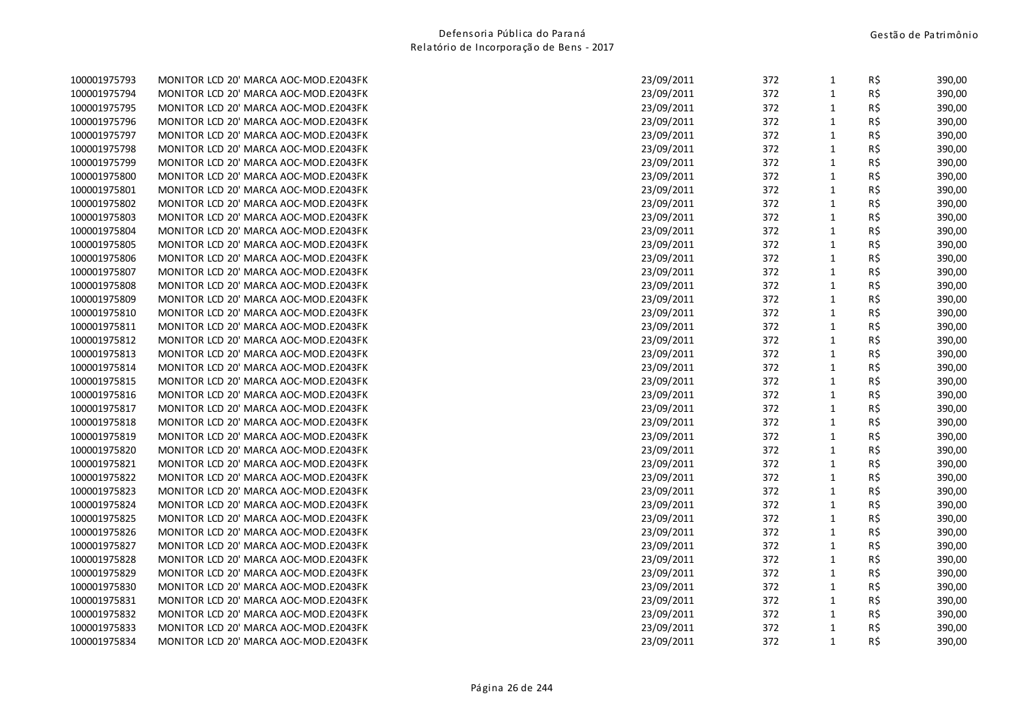| 100001975793 |  | MONITOR LCD 20' MARCA AOC-MOD.E2043FK |  |
|--------------|--|---------------------------------------|--|
| 100001975794 |  | MONITOR LCD 20' MARCA AOC-MOD.E2043FK |  |
| 100001975795 |  | MONITOR LCD 20' MARCA AOC-MOD.E2043FK |  |
| 100001975796 |  | MONITOR LCD 20' MARCA AOC-MOD.E2043FK |  |
| 100001975797 |  | MONITOR LCD 20' MARCA AOC-MOD.E2043FK |  |
| 100001975798 |  | MONITOR LCD 20' MARCA AOC-MOD.E2043FK |  |
| 100001975799 |  | MONITOR LCD 20' MARCA AOC-MOD.E2043FK |  |
| 100001975800 |  | MONITOR LCD 20' MARCA AOC-MOD.E2043FK |  |
| 100001975801 |  | MONITOR LCD 20' MARCA AOC-MOD.E2043FK |  |
| 100001975802 |  | MONITOR LCD 20' MARCA AOC-MOD.E2043FK |  |
| 100001975803 |  | MONITOR LCD 20' MARCA AOC-MOD.E2043FK |  |
| 100001975804 |  | MONITOR LCD 20' MARCA AOC-MOD.E2043FK |  |
| 100001975805 |  | MONITOR LCD 20' MARCA AOC-MOD.E2043FK |  |
| 100001975806 |  | MONITOR LCD 20' MARCA AOC-MOD.E2043FK |  |
| 100001975807 |  | MONITOR LCD 20' MARCA AOC-MOD.E2043FK |  |
| 100001975808 |  | MONITOR LCD 20' MARCA AOC-MOD.E2043FK |  |
| 100001975809 |  | MONITOR LCD 20' MARCA AOC-MOD.E2043FK |  |
| 100001975810 |  | MONITOR LCD 20' MARCA AOC-MOD.E2043FK |  |
| 100001975811 |  | MONITOR LCD 20' MARCA AOC-MOD.E2043FK |  |
| 100001975812 |  | MONITOR LCD 20' MARCA AOC-MOD.E2043FK |  |
| 100001975813 |  | MONITOR LCD 20' MARCA AOC-MOD.E2043FK |  |
| 100001975814 |  | MONITOR LCD 20' MARCA AOC-MOD.E2043FK |  |
| 100001975815 |  | MONITOR LCD 20' MARCA AOC-MOD.E2043FK |  |
| 100001975816 |  | MONITOR LCD 20' MARCA AOC-MOD.E2043FK |  |
| 100001975817 |  | MONITOR LCD 20' MARCA AOC-MOD.E2043FK |  |
| 100001975818 |  | MONITOR LCD 20' MARCA AOC-MOD.E2043FK |  |
| 100001975819 |  | MONITOR LCD 20' MARCA AOC-MOD.E2043FK |  |
| 100001975820 |  | MONITOR LCD 20' MARCA AOC-MOD.E2043FK |  |
| 100001975821 |  | MONITOR LCD 20' MARCA AOC-MOD.E2043FK |  |
| 100001975822 |  | MONITOR LCD 20' MARCA AOC-MOD.E2043FK |  |
| 100001975823 |  | MONITOR LCD 20' MARCA AOC-MOD.E2043FK |  |
| 100001975824 |  | MONITOR LCD 20' MARCA AOC-MOD.E2043FK |  |
| 100001975825 |  | MONITOR LCD 20' MARCA AOC-MOD.E2043FK |  |
| 100001975826 |  | MONITOR LCD 20' MARCA AOC-MOD.E2043FK |  |
| 100001975827 |  | MONITOR LCD 20' MARCA AOC-MOD.E2043FK |  |
| 100001975828 |  | MONITOR LCD 20' MARCA AOC-MOD.E2043FK |  |
| 100001975829 |  | MONITOR LCD 20' MARCA AOC-MOD.E2043FK |  |
| 100001975830 |  | MONITOR LCD 20' MARCA AOC-MOD.E2043FK |  |
| 100001975831 |  | MONITOR LCD 20' MARCA AOC-MOD.E2043FK |  |
| 100001975832 |  | MONITOR LCD 20' MARCA AOC-MOD.E2043FK |  |
| 100001975833 |  | MONITOR LCD 20' MARCA AOC-MOD.E2043FK |  |
| 100001975834 |  | MONITOR LCD 20' MARCA AOC-MOD.E2043FK |  |

| 100001975793 | MONITOR LCD 20' MARCA AOC-MOD.E2043FK | 23/09/2011 | 372 | 1            | R\$            | 390,00 |
|--------------|---------------------------------------|------------|-----|--------------|----------------|--------|
| 100001975794 | MONITOR LCD 20' MARCA AOC-MOD.E2043FK | 23/09/2011 | 372 | $\mathbf{1}$ | R\$            | 390,00 |
| 100001975795 | MONITOR LCD 20' MARCA AOC-MOD.E2043FK | 23/09/2011 | 372 | $\mathbf{1}$ | $R\frac{2}{3}$ | 390,00 |
| 100001975796 | MONITOR LCD 20' MARCA AOC-MOD.E2043FK | 23/09/2011 | 372 | $\mathbf{1}$ | R\$            | 390,00 |
| 100001975797 | MONITOR LCD 20' MARCA AOC-MOD.E2043FK | 23/09/2011 | 372 | $\mathbf{1}$ | R\$            | 390,00 |
| 100001975798 | MONITOR LCD 20' MARCA AOC-MOD.E2043FK | 23/09/2011 | 372 | $\mathbf{1}$ | R\$            | 390,00 |
| 100001975799 | MONITOR LCD 20' MARCA AOC-MOD.E2043FK | 23/09/2011 | 372 | $\mathbf{1}$ | $R\frac{2}{3}$ | 390,00 |
| 100001975800 | MONITOR LCD 20' MARCA AOC-MOD.E2043FK | 23/09/2011 | 372 | $\mathbf{1}$ | $R\,$ \$       | 390,00 |
| 100001975801 | MONITOR LCD 20' MARCA AOC-MOD.E2043FK | 23/09/2011 | 372 | $\mathbf{1}$ | R\$            | 390,00 |
| 100001975802 | MONITOR LCD 20' MARCA AOC-MOD.E2043FK | 23/09/2011 | 372 | $\mathbf{1}$ | R\$            | 390,00 |
| 100001975803 | MONITOR LCD 20' MARCA AOC-MOD.E2043FK | 23/09/2011 | 372 | $\mathbf{1}$ | R\$            | 390,00 |
| 100001975804 | MONITOR LCD 20' MARCA AOC-MOD.E2043FK | 23/09/2011 | 372 | $\mathbf{1}$ | $R\,$ \$       | 390,00 |
| 100001975805 | MONITOR LCD 20' MARCA AOC-MOD.E2043FK | 23/09/2011 | 372 | $\mathbf{1}$ | R\$            | 390,00 |
| 100001975806 | MONITOR LCD 20' MARCA AOC-MOD.E2043FK | 23/09/2011 | 372 | $\mathbf{1}$ | R\$            | 390,00 |
| 100001975807 | MONITOR LCD 20' MARCA AOC-MOD.E2043FK | 23/09/2011 | 372 | $\mathbf{1}$ | R\$            | 390,00 |
| 100001975808 | MONITOR LCD 20' MARCA AOC-MOD.E2043FK | 23/09/2011 | 372 | $\mathbf{1}$ | R\$            | 390,00 |
| 100001975809 | MONITOR LCD 20' MARCA AOC-MOD.E2043FK | 23/09/2011 | 372 | $\mathbf{1}$ | $R\frac{2}{3}$ | 390,00 |
| 100001975810 | MONITOR LCD 20' MARCA AOC-MOD.E2043FK | 23/09/2011 | 372 | $\mathbf{1}$ | R\$            | 390,00 |
| 100001975811 | MONITOR LCD 20' MARCA AOC-MOD.E2043FK | 23/09/2011 | 372 | $\mathbf{1}$ | R\$            | 390,00 |
| 100001975812 | MONITOR LCD 20' MARCA AOC-MOD.E2043FK | 23/09/2011 | 372 | $\mathbf{1}$ | R\$            | 390,00 |
| 100001975813 | MONITOR LCD 20' MARCA AOC-MOD.E2043FK | 23/09/2011 | 372 | $\mathbf{1}$ | $R\frac{2}{3}$ | 390,00 |
| 100001975814 | MONITOR LCD 20' MARCA AOC-MOD.E2043FK | 23/09/2011 | 372 | $\mathbf{1}$ | $R\,$ \$       | 390,00 |
| 100001975815 | MONITOR LCD 20' MARCA AOC-MOD.E2043FK | 23/09/2011 | 372 | $\mathbf{1}$ | R\$            | 390,00 |
| 100001975816 | MONITOR LCD 20' MARCA AOC-MOD.E2043FK | 23/09/2011 | 372 | $\mathbf{1}$ | R\$            | 390,00 |
| 100001975817 | MONITOR LCD 20' MARCA AOC-MOD.E2043FK | 23/09/2011 | 372 | $\mathbf{1}$ | R\$            | 390,00 |
| 100001975818 | MONITOR LCD 20' MARCA AOC-MOD.E2043FK | 23/09/2011 | 372 | $\mathbf{1}$ | $R\,$ \$       | 390,00 |
| 100001975819 | MONITOR LCD 20' MARCA AOC-MOD.E2043FK | 23/09/2011 | 372 | $\mathbf{1}$ | R\$            | 390,00 |
| 100001975820 | MONITOR LCD 20' MARCA AOC-MOD.E2043FK | 23/09/2011 | 372 | $\mathbf{1}$ | R\$            | 390,00 |
| 100001975821 | MONITOR LCD 20' MARCA AOC-MOD.E2043FK | 23/09/2011 | 372 | $\mathbf{1}$ | R\$            | 390,00 |
| 100001975822 | MONITOR LCD 20' MARCA AOC-MOD.E2043FK | 23/09/2011 | 372 | $\mathbf{1}$ | R\$            | 390,00 |
| 100001975823 | MONITOR LCD 20' MARCA AOC-MOD.E2043FK | 23/09/2011 | 372 | $\mathbf{1}$ | $R\frac{2}{3}$ | 390,00 |
| 100001975824 | MONITOR LCD 20' MARCA AOC-MOD.E2043FK | 23/09/2011 | 372 | $\mathbf{1}$ | R\$            | 390,00 |
| 100001975825 | MONITOR LCD 20' MARCA AOC-MOD.E2043FK | 23/09/2011 | 372 | $\mathbf{1}$ | R\$            | 390,00 |
| 100001975826 | MONITOR LCD 20' MARCA AOC-MOD.E2043FK | 23/09/2011 | 372 | $\mathbf{1}$ | R\$            | 390,00 |
| 100001975827 | MONITOR LCD 20' MARCA AOC-MOD.E2043FK | 23/09/2011 | 372 | $\mathbf{1}$ | $R\frac{2}{3}$ | 390,00 |
| 100001975828 | MONITOR LCD 20' MARCA AOC-MOD.E2043FK | 23/09/2011 | 372 | $\mathbf{1}$ | $R\,$ \$       | 390,00 |
| 100001975829 | MONITOR LCD 20' MARCA AOC-MOD.E2043FK | 23/09/2011 | 372 | $\mathbf{1}$ | R\$            | 390,00 |
| 100001975830 | MONITOR LCD 20' MARCA AOC-MOD.E2043FK | 23/09/2011 | 372 | $\mathbf{1}$ | R\$            | 390,00 |
| 100001975831 | MONITOR LCD 20' MARCA AOC-MOD.E2043FK | 23/09/2011 | 372 | $\mathbf{1}$ | R\$            | 390,00 |
| 100001975832 | MONITOR LCD 20' MARCA AOC-MOD.E2043FK | 23/09/2011 | 372 | $\mathbf{1}$ | $R\,$ \$       | 390,00 |
| 100001975833 | MONITOR LCD 20' MARCA AOC-MOD.E2043FK | 23/09/2011 | 372 | $\mathbf{1}$ | R\$            | 390,00 |
| 100001975834 | MONITOR LCD 20' MARCA AOC-MOD.E2043FK | 23/09/2011 | 372 | $\mathbf{1}$ | R\$            | 390,00 |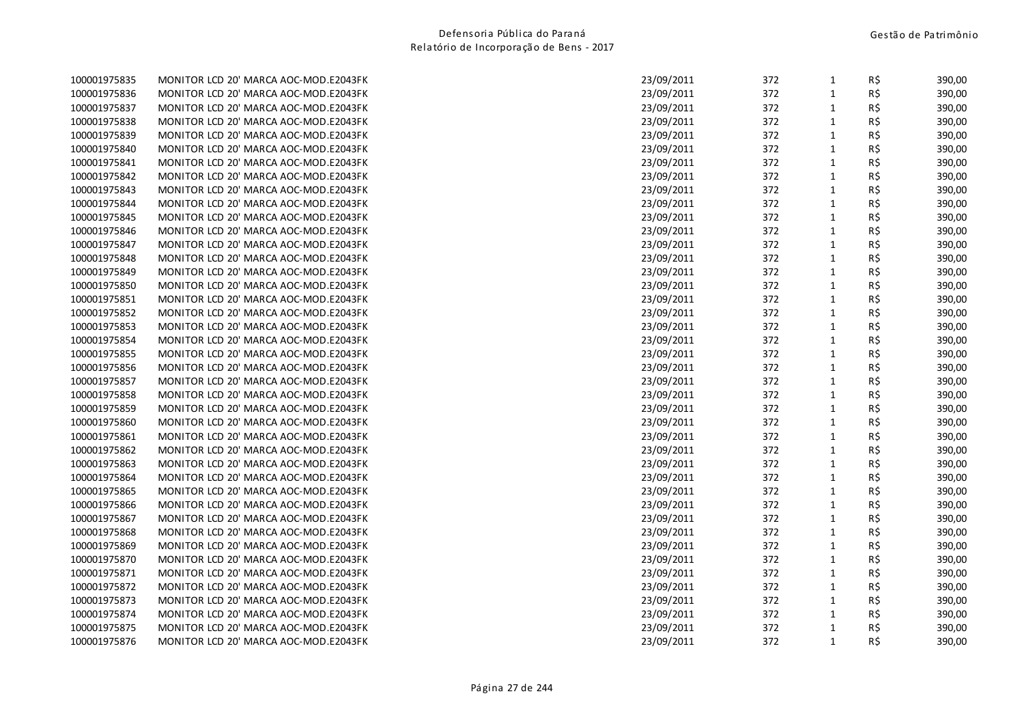| 100001975835 |  | MUNTTUR LCD ZU MARCA AUC-MUD.EZ043FK  |  |
|--------------|--|---------------------------------------|--|
| 100001975836 |  | MONITOR LCD 20' MARCA AOC-MOD.E2043FK |  |
| 100001975837 |  | MONITOR LCD 20' MARCA AOC-MOD.E2043FK |  |
| 100001975838 |  | MONITOR LCD 20' MARCA AOC-MOD.E2043FK |  |
| 100001975839 |  | MONITOR LCD 20' MARCA AOC-MOD.E2043FK |  |
| 100001975840 |  | MONITOR LCD 20' MARCA AOC-MOD.E2043FK |  |
| 100001975841 |  | MONITOR LCD 20' MARCA AOC-MOD.E2043FK |  |
| 100001975842 |  | MONITOR LCD 20' MARCA AOC-MOD.E2043FK |  |
| 100001975843 |  | MONITOR LCD 20' MARCA AOC-MOD.E2043FK |  |
| 100001975844 |  | MONITOR LCD 20' MARCA AOC-MOD.E2043FK |  |
| 100001975845 |  | MONITOR LCD 20' MARCA AOC-MOD.E2043FK |  |
| 100001975846 |  | MONITOR LCD 20' MARCA AOC-MOD.E2043FK |  |
| 100001975847 |  | MONITOR LCD 20' MARCA AOC-MOD.E2043FK |  |
| 100001975848 |  | MONITOR LCD 20' MARCA AOC-MOD.E2043FK |  |
| 100001975849 |  | MONITOR LCD 20' MARCA AOC-MOD.E2043FK |  |
| 100001975850 |  | MONITOR LCD 20' MARCA AOC-MOD.E2043FK |  |
| 100001975851 |  | MONITOR LCD 20' MARCA AOC-MOD.E2043FK |  |
| 100001975852 |  | MONITOR LCD 20' MARCA AOC-MOD.E2043FK |  |
| 100001975853 |  | MONITOR LCD 20' MARCA AOC-MOD.E2043FK |  |
| 100001975854 |  | MONITOR LCD 20' MARCA AOC-MOD.E2043FK |  |
| 100001975855 |  | MONITOR LCD 20' MARCA AOC-MOD.E2043FK |  |
| 100001975856 |  | MONITOR LCD 20' MARCA AOC-MOD.E2043FK |  |
| 100001975857 |  | MONITOR LCD 20' MARCA AOC-MOD.E2043FK |  |
| 100001975858 |  | MONITOR LCD 20' MARCA AOC-MOD.E2043FK |  |
| 100001975859 |  | MONITOR LCD 20' MARCA AOC-MOD.E2043FK |  |
| 100001975860 |  | MONITOR LCD 20' MARCA AOC-MOD.E2043FK |  |
| 100001975861 |  | MONITOR LCD 20' MARCA AOC-MOD.E2043FK |  |
| 100001975862 |  | MONITOR LCD 20' MARCA AOC-MOD.E2043FK |  |
| 100001975863 |  | MONITOR LCD 20' MARCA AOC-MOD.E2043FK |  |
| 100001975864 |  | MONITOR LCD 20' MARCA AOC-MOD.E2043FK |  |
| 100001975865 |  | MONITOR LCD 20' MARCA AOC-MOD.E2043FK |  |
| 100001975866 |  | MONITOR LCD 20' MARCA AOC-MOD.E2043FK |  |
| 100001975867 |  | MONITOR LCD 20' MARCA AOC-MOD.E2043FK |  |
| 100001975868 |  | MONITOR LCD 20' MARCA AOC-MOD.E2043FK |  |
| 100001975869 |  | MONITOR LCD 20' MARCA AOC-MOD.E2043FK |  |
| 100001975870 |  | MONITOR LCD 20' MARCA AOC-MOD.E2043FK |  |
| 100001975871 |  | MONITOR LCD 20' MARCA AOC-MOD.E2043FK |  |
| 100001975872 |  | MONITOR LCD 20' MARCA AOC-MOD.E2043FK |  |
| 100001975873 |  | MONITOR LCD 20' MARCA AOC-MOD.E2043FK |  |
| 100001975874 |  | MONITOR LCD 20' MARCA AOC-MOD.E2043FK |  |
| 100001975875 |  | MONITOR LCD 20' MARCA AOC-MOD.E2043FK |  |
| 100001975876 |  | MONITOR LCD 20' MARCA AOC-MOD.E2043FK |  |

| 100001975835 | MONITOR LCD 20' MARCA AOC-MOD.E2043FK | 23/09/2011 | 372 | $\mathbf{1}$ | R\$ | 390,00 |
|--------------|---------------------------------------|------------|-----|--------------|-----|--------|
| 100001975836 | MONITOR LCD 20' MARCA AOC-MOD.E2043FK | 23/09/2011 | 372 | $\mathbf{1}$ | R\$ | 390,00 |
| 100001975837 | MONITOR LCD 20' MARCA AOC-MOD.E2043FK | 23/09/2011 | 372 | $\mathbf{1}$ | R\$ | 390,00 |
| 100001975838 | MONITOR LCD 20' MARCA AOC-MOD.E2043FK | 23/09/2011 | 372 | $\mathbf{1}$ | R\$ | 390,00 |
| 100001975839 | MONITOR LCD 20' MARCA AOC-MOD.E2043FK | 23/09/2011 | 372 | $\mathbf{1}$ | R\$ | 390,00 |
| 100001975840 | MONITOR LCD 20' MARCA AOC-MOD.E2043FK | 23/09/2011 | 372 | $\mathbf{1}$ | R\$ | 390,00 |
| 100001975841 | MONITOR LCD 20' MARCA AOC-MOD.E2043FK | 23/09/2011 | 372 | $\mathbf{1}$ | R\$ | 390,00 |
| 100001975842 | MONITOR LCD 20' MARCA AOC-MOD.E2043FK | 23/09/2011 | 372 | $\mathbf{1}$ | R\$ | 390,00 |
| 100001975843 | MONITOR LCD 20' MARCA AOC-MOD.E2043FK | 23/09/2011 | 372 | $\mathbf{1}$ | R\$ | 390,00 |
| 100001975844 | MONITOR LCD 20' MARCA AOC-MOD.E2043FK | 23/09/2011 | 372 | $1\,$        | R\$ | 390,00 |
| 100001975845 | MONITOR LCD 20' MARCA AOC-MOD.E2043FK | 23/09/2011 | 372 | $\mathbf{1}$ | R\$ | 390,00 |
| 100001975846 | MONITOR LCD 20' MARCA AOC-MOD.E2043FK | 23/09/2011 | 372 | $\mathbf{1}$ | R\$ | 390,00 |
| 100001975847 | MONITOR LCD 20' MARCA AOC-MOD.E2043FK | 23/09/2011 | 372 | $\mathbf{1}$ | R\$ | 390,00 |
| 100001975848 | MONITOR LCD 20' MARCA AOC-MOD.E2043FK | 23/09/2011 | 372 | $1\,$        | R\$ | 390,00 |
| 100001975849 | MONITOR LCD 20' MARCA AOC-MOD.E2043FK | 23/09/2011 | 372 | $\mathbf{1}$ | R\$ | 390,00 |
| 100001975850 | MONITOR LCD 20' MARCA AOC-MOD.E2043FK | 23/09/2011 | 372 | $\mathbf{1}$ | R\$ | 390,00 |
| 100001975851 | MONITOR LCD 20' MARCA AOC-MOD.E2043FK | 23/09/2011 | 372 | $\mathbf{1}$ | R\$ | 390,00 |
| 100001975852 | MONITOR LCD 20' MARCA AOC-MOD.E2043FK | 23/09/2011 | 372 | $\mathbf{1}$ | R\$ | 390,00 |
| 100001975853 | MONITOR LCD 20' MARCA AOC-MOD.E2043FK | 23/09/2011 | 372 | $\mathbf{1}$ | R\$ | 390,00 |
| 100001975854 | MONITOR LCD 20' MARCA AOC-MOD.E2043FK | 23/09/2011 | 372 | $\mathbf{1}$ | R\$ | 390,00 |
| 100001975855 | MONITOR LCD 20' MARCA AOC-MOD.E2043FK | 23/09/2011 | 372 | $\mathbf{1}$ | R\$ | 390,00 |
| 100001975856 | MONITOR LCD 20' MARCA AOC-MOD.E2043FK | 23/09/2011 | 372 | $\mathbf{1}$ | R\$ | 390,00 |
| 100001975857 | MONITOR LCD 20' MARCA AOC-MOD.E2043FK | 23/09/2011 | 372 | $\mathbf{1}$ | R\$ | 390,00 |
| 100001975858 | MONITOR LCD 20' MARCA AOC-MOD.E2043FK | 23/09/2011 | 372 | $\mathbf{1}$ | R\$ | 390,00 |
| 100001975859 | MONITOR LCD 20' MARCA AOC-MOD.E2043FK | 23/09/2011 | 372 | $\mathbf{1}$ | R\$ | 390,00 |
| 100001975860 | MONITOR LCD 20' MARCA AOC-MOD.E2043FK | 23/09/2011 | 372 | $\mathbf{1}$ | R\$ | 390,00 |
| 100001975861 | MONITOR LCD 20' MARCA AOC-MOD.E2043FK | 23/09/2011 | 372 | $\mathbf{1}$ | R\$ | 390,00 |
| 100001975862 | MONITOR LCD 20' MARCA AOC-MOD.E2043FK | 23/09/2011 | 372 | $1\,$        | R\$ | 390,00 |
| 100001975863 | MONITOR LCD 20' MARCA AOC-MOD.E2043FK | 23/09/2011 | 372 | $\mathbf{1}$ | R\$ | 390,00 |
| 100001975864 | MONITOR LCD 20' MARCA AOC-MOD.E2043FK | 23/09/2011 | 372 | $\mathbf{1}$ | R\$ | 390,00 |
| 100001975865 | MONITOR LCD 20' MARCA AOC-MOD.E2043FK | 23/09/2011 | 372 | $\mathbf{1}$ | R\$ | 390,00 |
| 100001975866 | MONITOR LCD 20' MARCA AOC-MOD.E2043FK | 23/09/2011 | 372 | $\mathbf{1}$ | R\$ | 390,00 |
| 100001975867 | MONITOR LCD 20' MARCA AOC-MOD.E2043FK | 23/09/2011 | 372 | $\mathbf{1}$ | R\$ | 390,00 |
| 100001975868 | MONITOR LCD 20' MARCA AOC-MOD.E2043FK | 23/09/2011 | 372 | $\mathbf{1}$ | R\$ | 390,00 |
| 100001975869 | MONITOR LCD 20' MARCA AOC-MOD.E2043FK | 23/09/2011 | 372 | $\mathbf{1}$ | R\$ | 390,00 |
| 100001975870 | MONITOR LCD 20' MARCA AOC-MOD.E2043FK | 23/09/2011 | 372 | $\mathbf{1}$ | R\$ | 390,00 |
| 100001975871 | MONITOR LCD 20' MARCA AOC-MOD.E2043FK | 23/09/2011 | 372 | $\mathbf 1$  | R\$ | 390,00 |
| 100001975872 | MONITOR LCD 20' MARCA AOC-MOD.E2043FK | 23/09/2011 | 372 | $\mathbf{1}$ | R\$ | 390,00 |
| 100001975873 | MONITOR LCD 20' MARCA AOC-MOD.E2043FK | 23/09/2011 | 372 | 1            | R\$ | 390,00 |
| 100001975874 | MONITOR LCD 20' MARCA AOC-MOD.E2043FK | 23/09/2011 | 372 | $\mathbf{1}$ | R\$ | 390,00 |
| 100001975875 | MONITOR LCD 20' MARCA AOC-MOD.E2043FK | 23/09/2011 | 372 | $\mathbf{1}$ | R\$ | 390,00 |
| 100001975876 | MONITOR LCD 20' MARCA AOC-MOD.E2043FK | 23/09/2011 | 372 | $\mathbf{1}$ | R\$ | 390,00 |
|              |                                       |            |     |              |     |        |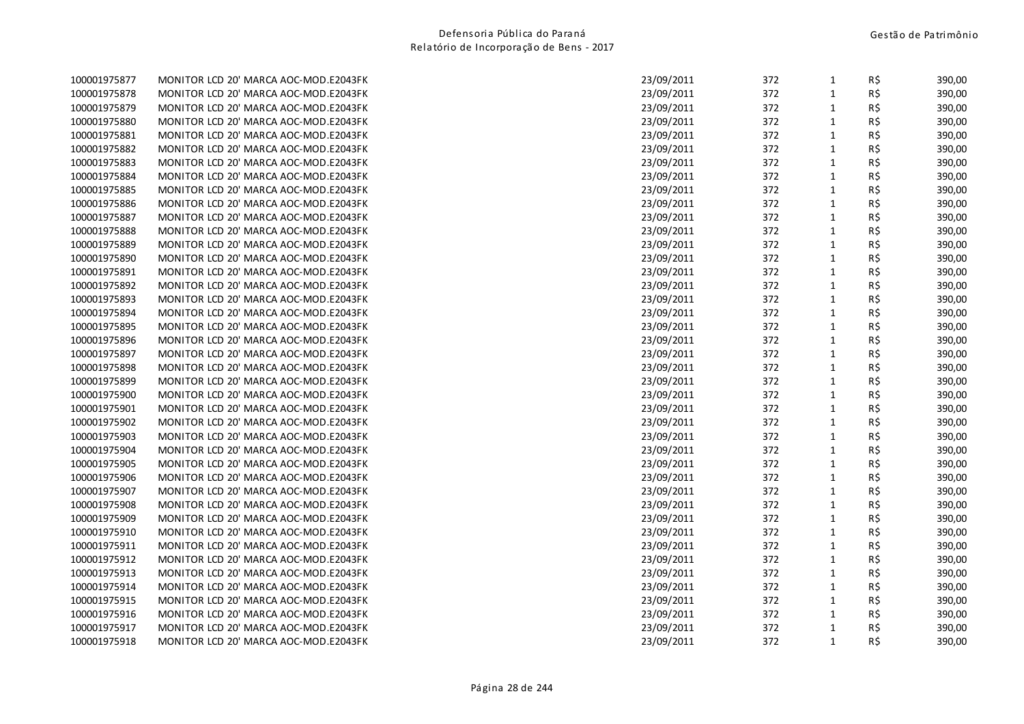| 100001975877 |  | MUNTTUR LCD ZU MARCA AUC-MUD.EZ043FK  |  |
|--------------|--|---------------------------------------|--|
| 100001975878 |  | MONITOR LCD 20' MARCA AOC-MOD.E2043FK |  |
| 100001975879 |  | MONITOR LCD 20' MARCA AOC-MOD.E2043FK |  |
| 100001975880 |  | MONITOR LCD 20' MARCA AOC-MOD.E2043FK |  |
| 100001975881 |  | MONITOR LCD 20' MARCA AOC-MOD.E2043FK |  |
| 100001975882 |  | MONITOR LCD 20' MARCA AOC-MOD.E2043FK |  |
| 100001975883 |  | MONITOR LCD 20' MARCA AOC-MOD.E2043FK |  |
| 100001975884 |  | MONITOR LCD 20' MARCA AOC-MOD.E2043FK |  |
| 100001975885 |  | MONITOR LCD 20' MARCA AOC-MOD.E2043FK |  |
| 100001975886 |  | MONITOR LCD 20' MARCA AOC-MOD.E2043FK |  |
| 100001975887 |  | MONITOR LCD 20' MARCA AOC-MOD.E2043FK |  |
| 100001975888 |  | MONITOR LCD 20' MARCA AOC-MOD.E2043FK |  |
| 100001975889 |  | MONITOR LCD 20' MARCA AOC-MOD.E2043FK |  |
| 100001975890 |  | MONITOR LCD 20' MARCA AOC-MOD.E2043FK |  |
| 100001975891 |  | MONITOR LCD 20' MARCA AOC-MOD.E2043FK |  |
| 100001975892 |  | MONITOR LCD 20' MARCA AOC-MOD.E2043FK |  |
| 100001975893 |  | MONITOR LCD 20' MARCA AOC-MOD.E2043FK |  |
| 100001975894 |  | MONITOR LCD 20' MARCA AOC-MOD.E2043FK |  |
| 100001975895 |  | MONITOR LCD 20' MARCA AOC-MOD.E2043FK |  |
| 100001975896 |  | MONITOR LCD 20' MARCA AOC-MOD.E2043FK |  |
| 100001975897 |  | MONITOR LCD 20' MARCA AOC-MOD.E2043FK |  |
| 100001975898 |  | MONITOR LCD 20' MARCA AOC-MOD.E2043FK |  |
| 100001975899 |  | MONITOR LCD 20' MARCA AOC-MOD.E2043FK |  |
| 100001975900 |  | MONITOR LCD 20' MARCA AOC-MOD.E2043FK |  |
| 100001975901 |  | MONITOR LCD 20' MARCA AOC-MOD.E2043FK |  |
| 100001975902 |  | MONITOR LCD 20' MARCA AOC-MOD.E2043FK |  |
| 100001975903 |  | MONITOR LCD 20' MARCA AOC-MOD.E2043FK |  |
| 100001975904 |  | MONITOR LCD 20' MARCA AOC-MOD.E2043FK |  |
| 100001975905 |  | MONITOR LCD 20' MARCA AOC-MOD.E2043FK |  |
| 100001975906 |  | MONITOR LCD 20' MARCA AOC-MOD.E2043FK |  |
| 100001975907 |  | MONITOR LCD 20' MARCA AOC-MOD.E2043FK |  |
| 100001975908 |  | MONITOR LCD 20' MARCA AOC-MOD.E2043FK |  |
| 100001975909 |  | MONITOR LCD 20' MARCA AOC-MOD.E2043FK |  |
| 100001975910 |  | MONITOR LCD 20' MARCA AOC-MOD.E2043FK |  |
| 100001975911 |  | MONITOR LCD 20' MARCA AOC-MOD.E2043FK |  |
| 100001975912 |  | MONITOR LCD 20' MARCA AOC-MOD.E2043FK |  |
| 100001975913 |  | MONITOR LCD 20' MARCA AOC-MOD.E2043FK |  |
| 100001975914 |  | MONITOR LCD 20' MARCA AOC-MOD.E2043FK |  |
| 100001975915 |  | MONITOR LCD 20' MARCA AOC-MOD.E2043FK |  |
| 100001975916 |  | MONITOR LCD 20' MARCA AOC-MOD.E2043FK |  |
| 100001975917 |  | MONITOR LCD 20' MARCA AOC-MOD.E2043FK |  |
| 100001975918 |  | MONITOR LCD 20' MARCA AOC-MOD.E2043FK |  |

| 100001975877 | MONITOR LCD 20' MARCA AOC-MOD.E2043FK | 23/09/2011 | 372 | $\mathbf{1}$ | R\$ | 390,00 |
|--------------|---------------------------------------|------------|-----|--------------|-----|--------|
| 100001975878 | MONITOR LCD 20' MARCA AOC-MOD.E2043FK | 23/09/2011 | 372 | $\mathbf{1}$ | R\$ | 390,00 |
| 100001975879 | MONITOR LCD 20' MARCA AOC-MOD.E2043FK | 23/09/2011 | 372 | $\mathbf{1}$ | R\$ | 390,00 |
| 100001975880 | MONITOR LCD 20' MARCA AOC-MOD.E2043FK | 23/09/2011 | 372 | $\mathbf{1}$ | R\$ | 390,00 |
| 100001975881 | MONITOR LCD 20' MARCA AOC-MOD.E2043FK | 23/09/2011 | 372 | $\mathbf{1}$ | R\$ | 390,00 |
| 100001975882 | MONITOR LCD 20' MARCA AOC-MOD.E2043FK | 23/09/2011 | 372 | $\mathbf{1}$ | R\$ | 390,00 |
| 100001975883 | MONITOR LCD 20' MARCA AOC-MOD.E2043FK | 23/09/2011 | 372 | $\mathbf{1}$ | R\$ | 390,00 |
| 100001975884 | MONITOR LCD 20' MARCA AOC-MOD.E2043FK | 23/09/2011 | 372 | $\mathbf{1}$ | R\$ | 390,00 |
| 100001975885 | MONITOR LCD 20' MARCA AOC-MOD.E2043FK | 23/09/2011 | 372 | $\mathbf{1}$ | R\$ | 390,00 |
| 100001975886 | MONITOR LCD 20' MARCA AOC-MOD.E2043FK | 23/09/2011 | 372 | $1\,$        | R\$ | 390,00 |
| 100001975887 | MONITOR LCD 20' MARCA AOC-MOD.E2043FK | 23/09/2011 | 372 | $\mathbf{1}$ | R\$ | 390,00 |
| 100001975888 | MONITOR LCD 20' MARCA AOC-MOD.E2043FK | 23/09/2011 | 372 | $\mathbf{1}$ | R\$ | 390,00 |
| 100001975889 | MONITOR LCD 20' MARCA AOC-MOD.E2043FK | 23/09/2011 | 372 | $\mathbf{1}$ | R\$ | 390,00 |
| 100001975890 | MONITOR LCD 20' MARCA AOC-MOD.E2043FK | 23/09/2011 | 372 | $1\,$        | R\$ | 390,00 |
| 100001975891 | MONITOR LCD 20' MARCA AOC-MOD.E2043FK | 23/09/2011 | 372 | $\mathbf{1}$ | R\$ | 390,00 |
| 100001975892 | MONITOR LCD 20' MARCA AOC-MOD.E2043FK | 23/09/2011 | 372 | $\mathbf{1}$ | R\$ | 390,00 |
| 100001975893 | MONITOR LCD 20' MARCA AOC-MOD.E2043FK | 23/09/2011 | 372 | $\mathbf{1}$ | R\$ | 390,00 |
| 100001975894 | MONITOR LCD 20' MARCA AOC-MOD.E2043FK | 23/09/2011 | 372 | $\mathbf{1}$ | R\$ | 390,00 |
| 100001975895 | MONITOR LCD 20' MARCA AOC-MOD.E2043FK | 23/09/2011 | 372 | $\mathbf{1}$ | R\$ | 390,00 |
| 100001975896 | MONITOR LCD 20' MARCA AOC-MOD.E2043FK | 23/09/2011 | 372 | $\mathbf{1}$ | R\$ | 390,00 |
| 100001975897 | MONITOR LCD 20' MARCA AOC-MOD.E2043FK | 23/09/2011 | 372 | $\mathbf{1}$ | R\$ | 390,00 |
| 100001975898 | MONITOR LCD 20' MARCA AOC-MOD.E2043FK | 23/09/2011 | 372 | $\mathbf{1}$ | R\$ | 390,00 |
| 100001975899 | MONITOR LCD 20' MARCA AOC-MOD.E2043FK | 23/09/2011 | 372 | $\mathbf{1}$ | R\$ | 390,00 |
| 100001975900 | MONITOR LCD 20' MARCA AOC-MOD.E2043FK | 23/09/2011 | 372 | $\mathbf{1}$ | R\$ | 390,00 |
| 100001975901 | MONITOR LCD 20' MARCA AOC-MOD.E2043FK | 23/09/2011 | 372 | $\mathbf{1}$ | R\$ | 390,00 |
| 100001975902 | MONITOR LCD 20' MARCA AOC-MOD.E2043FK | 23/09/2011 | 372 | $\mathbf{1}$ | R\$ | 390,00 |
| 100001975903 | MONITOR LCD 20' MARCA AOC-MOD.E2043FK | 23/09/2011 | 372 | $\mathbf{1}$ | R\$ | 390,00 |
| 100001975904 | MONITOR LCD 20' MARCA AOC-MOD.E2043FK | 23/09/2011 | 372 | $1\,$        | R\$ | 390,00 |
| 100001975905 | MONITOR LCD 20' MARCA AOC-MOD.E2043FK | 23/09/2011 | 372 | $\mathbf{1}$ | R\$ | 390,00 |
| 100001975906 | MONITOR LCD 20' MARCA AOC-MOD.E2043FK | 23/09/2011 | 372 | $\mathbf{1}$ | R\$ | 390,00 |
| 100001975907 | MONITOR LCD 20' MARCA AOC-MOD.E2043FK | 23/09/2011 | 372 | $\mathbf{1}$ | R\$ | 390,00 |
| 100001975908 | MONITOR LCD 20' MARCA AOC-MOD.E2043FK | 23/09/2011 | 372 | $\mathbf{1}$ | R\$ | 390,00 |
| 100001975909 | MONITOR LCD 20' MARCA AOC-MOD.E2043FK | 23/09/2011 | 372 | $\mathbf{1}$ | R\$ | 390,00 |
| 100001975910 | MONITOR LCD 20' MARCA AOC-MOD.E2043FK | 23/09/2011 | 372 | $\mathbf{1}$ | R\$ | 390,00 |
| 100001975911 | MONITOR LCD 20' MARCA AOC-MOD.E2043FK | 23/09/2011 | 372 | $\mathbf{1}$ | R\$ | 390,00 |
| 100001975912 | MONITOR LCD 20' MARCA AOC-MOD.E2043FK | 23/09/2011 | 372 | $\mathbf{1}$ | R\$ | 390,00 |
| 100001975913 | MONITOR LCD 20' MARCA AOC-MOD.E2043FK | 23/09/2011 | 372 | $\mathbf 1$  | R\$ | 390,00 |
| 100001975914 | MONITOR LCD 20' MARCA AOC-MOD.E2043FK | 23/09/2011 | 372 | $\mathbf{1}$ | R\$ | 390,00 |
| 100001975915 | MONITOR LCD 20' MARCA AOC-MOD.E2043FK | 23/09/2011 | 372 | 1            | R\$ | 390,00 |
| 100001975916 | MONITOR LCD 20' MARCA AOC-MOD.E2043FK | 23/09/2011 | 372 | $\mathbf{1}$ | R\$ | 390,00 |
| 100001975917 | MONITOR LCD 20' MARCA AOC-MOD.E2043FK | 23/09/2011 | 372 | $\mathbf{1}$ | R\$ | 390,00 |
| 100001975918 | MONITOR LCD 20' MARCA AOC-MOD.E2043FK | 23/09/2011 | 372 | $\mathbf{1}$ | R\$ | 390,00 |
|              |                                       |            |     |              |     |        |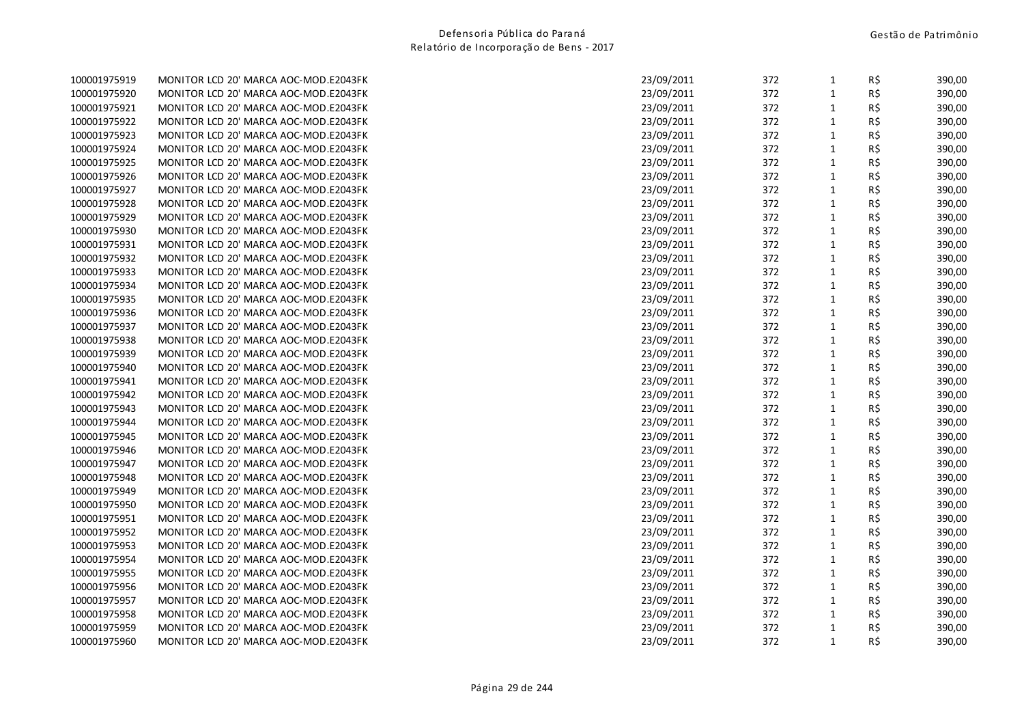| 100001975919 |  | MONITOR LCD 20' MARCA AOC-MOD.EZ043FK |  |
|--------------|--|---------------------------------------|--|
| 100001975920 |  | MONITOR LCD 20' MARCA AOC-MOD.E2043FK |  |
| 100001975921 |  | MONITOR LCD 20' MARCA AOC-MOD.E2043FK |  |
| 100001975922 |  | MONITOR LCD 20' MARCA AOC-MOD.E2043FK |  |
| 100001975923 |  | MONITOR LCD 20' MARCA AOC-MOD.E2043FK |  |
| 100001975924 |  | MONITOR LCD 20' MARCA AOC-MOD.E2043FK |  |
| 100001975925 |  | MONITOR LCD 20' MARCA AOC-MOD.E2043FK |  |
| 100001975926 |  | MONITOR LCD 20' MARCA AOC-MOD.E2043FK |  |
| 100001975927 |  | MONITOR LCD 20' MARCA AOC-MOD.E2043FK |  |
| 100001975928 |  | MONITOR LCD 20' MARCA AOC-MOD.E2043FK |  |
| 100001975929 |  | MONITOR LCD 20' MARCA AOC-MOD.E2043FK |  |
| 100001975930 |  | MONITOR LCD 20' MARCA AOC-MOD.E2043FK |  |
| 100001975931 |  | MONITOR LCD 20' MARCA AOC-MOD.E2043FK |  |
| 100001975932 |  | MONITOR LCD 20' MARCA AOC-MOD.E2043FK |  |
| 100001975933 |  | MONITOR LCD 20' MARCA AOC-MOD.E2043FK |  |
| 100001975934 |  | MONITOR LCD 20' MARCA AOC-MOD.E2043FK |  |
| 100001975935 |  | MONITOR LCD 20' MARCA AOC-MOD.E2043FK |  |
| 100001975936 |  | MONITOR LCD 20' MARCA AOC-MOD.E2043FK |  |
| 100001975937 |  | MONITOR LCD 20' MARCA AOC-MOD.E2043FK |  |
| 100001975938 |  | MONITOR LCD 20' MARCA AOC-MOD.E2043FK |  |
| 100001975939 |  | MONITOR LCD 20' MARCA AOC-MOD.E2043FK |  |
| 100001975940 |  | MONITOR LCD 20' MARCA AOC-MOD.E2043FK |  |
| 100001975941 |  | MONITOR LCD 20' MARCA AOC-MOD.E2043FK |  |
| 100001975942 |  | MONITOR LCD 20' MARCA AOC-MOD.E2043FK |  |
| 100001975943 |  | MONITOR LCD 20' MARCA AOC-MOD.E2043FK |  |
| 100001975944 |  | MONITOR LCD 20' MARCA AOC-MOD.E2043FK |  |
| 100001975945 |  | MONITOR LCD 20' MARCA AOC-MOD.E2043FK |  |
| 100001975946 |  | MONITOR LCD 20' MARCA AOC-MOD.E2043FK |  |
| 100001975947 |  | MONITOR LCD 20' MARCA AOC-MOD.E2043FK |  |
| 100001975948 |  | MONITOR LCD 20' MARCA AOC-MOD.E2043FK |  |
| 100001975949 |  | MONITOR LCD 20' MARCA AOC-MOD.E2043FK |  |
| 100001975950 |  | MONITOR LCD 20' MARCA AOC-MOD.E2043FK |  |
| 100001975951 |  | MONITOR LCD 20' MARCA AOC-MOD.E2043FK |  |
| 100001975952 |  | MONITOR LCD 20' MARCA AOC-MOD.E2043FK |  |
| 100001975953 |  | MONITOR LCD 20' MARCA AOC-MOD.E2043FK |  |
| 100001975954 |  | MONITOR LCD 20' MARCA AOC-MOD.E2043FK |  |
| 100001975955 |  | MONITOR LCD 20' MARCA AOC-MOD.E2043FK |  |
| 100001975956 |  | MONITOR LCD 20' MARCA AOC-MOD.E2043FK |  |
| 100001975957 |  | MONITOR LCD 20' MARCA AOC-MOD.E2043FK |  |
| 100001975958 |  | MONITOR LCD 20' MARCA AOC-MOD.E2043FK |  |
| 100001975959 |  | MONITOR LCD 20' MARCA AOC-MOD.E2043FK |  |
| 100001975960 |  | MONITOR LCD 20' MARCA AOC-MOD.E2043FK |  |

| 100001975919 | MONITOR LCD 20' MARCA AOC-MOD.E2043FK | 23/09/2011 | 372 | $\mathbf{1}$ | R\$ | 390,00 |
|--------------|---------------------------------------|------------|-----|--------------|-----|--------|
| 100001975920 | MONITOR LCD 20' MARCA AOC-MOD.E2043FK | 23/09/2011 | 372 | $\mathbf{1}$ | R\$ | 390,00 |
| 100001975921 | MONITOR LCD 20' MARCA AOC-MOD.E2043FK | 23/09/2011 | 372 | $\mathbf{1}$ | R\$ | 390,00 |
| 100001975922 | MONITOR LCD 20' MARCA AOC-MOD.E2043FK | 23/09/2011 | 372 | $\mathbf{1}$ | R\$ | 390,00 |
| 100001975923 | MONITOR LCD 20' MARCA AOC-MOD.E2043FK | 23/09/2011 | 372 | $1\,$        | R\$ | 390,00 |
| 100001975924 | MONITOR LCD 20' MARCA AOC-MOD.E2043FK | 23/09/2011 | 372 | $\mathbf{1}$ | R\$ | 390,00 |
| 100001975925 | MONITOR LCD 20' MARCA AOC-MOD.E2043FK | 23/09/2011 | 372 | $\mathbf{1}$ | R\$ | 390,00 |
| 100001975926 | MONITOR LCD 20' MARCA AOC-MOD.E2043FK | 23/09/2011 | 372 | $\mathbf{1}$ | R\$ | 390,00 |
| 100001975927 | MONITOR LCD 20' MARCA AOC-MOD.E2043FK | 23/09/2011 | 372 | $\mathbf{1}$ | R\$ | 390,00 |
| 100001975928 | MONITOR LCD 20' MARCA AOC-MOD.E2043FK | 23/09/2011 | 372 | $\mathbf{1}$ | R\$ | 390,00 |
| 100001975929 | MONITOR LCD 20' MARCA AOC-MOD.E2043FK | 23/09/2011 | 372 | $\mathbf{1}$ | R\$ | 390,00 |
| 100001975930 | MONITOR LCD 20' MARCA AOC-MOD.E2043FK | 23/09/2011 | 372 | $\mathbf{1}$ | R\$ | 390,00 |
| 100001975931 | MONITOR LCD 20' MARCA AOC-MOD.E2043FK | 23/09/2011 | 372 | $\mathbf{1}$ | R\$ | 390,00 |
| 100001975932 | MONITOR LCD 20' MARCA AOC-MOD.E2043FK | 23/09/2011 | 372 | $\mathbf{1}$ | R\$ | 390,00 |
| 100001975933 | MONITOR LCD 20' MARCA AOC-MOD.E2043FK | 23/09/2011 | 372 | $\mathbf{1}$ | R\$ | 390,00 |
| 100001975934 | MONITOR LCD 20' MARCA AOC-MOD.E2043FK | 23/09/2011 | 372 | $\mathbf{1}$ | R\$ | 390,00 |
| 100001975935 | MONITOR LCD 20' MARCA AOC-MOD.E2043FK | 23/09/2011 | 372 | $\mathbf{1}$ | R\$ | 390,00 |
| 100001975936 | MONITOR LCD 20' MARCA AOC-MOD.E2043FK | 23/09/2011 | 372 | $\mathbf{1}$ | R\$ | 390,00 |
| 100001975937 | MONITOR LCD 20' MARCA AOC-MOD.E2043FK | 23/09/2011 | 372 | $1\,$        | R\$ | 390,00 |
| 100001975938 | MONITOR LCD 20' MARCA AOC-MOD.E2043FK | 23/09/2011 | 372 | $\mathbf{1}$ | R\$ | 390,00 |
| 100001975939 | MONITOR LCD 20' MARCA AOC-MOD.E2043FK | 23/09/2011 | 372 | $\mathbf{1}$ | R\$ | 390,00 |
| 100001975940 | MONITOR LCD 20' MARCA AOC-MOD.E2043FK | 23/09/2011 | 372 | $\mathbf{1}$ | R\$ | 390,00 |
| 100001975941 | MONITOR LCD 20' MARCA AOC-MOD.E2043FK | 23/09/2011 | 372 | $\mathbf{1}$ | R\$ | 390,00 |
| 100001975942 | MONITOR LCD 20' MARCA AOC-MOD.E2043FK | 23/09/2011 | 372 | $\mathbf{1}$ | R\$ | 390,00 |
| 100001975943 | MONITOR LCD 20' MARCA AOC-MOD.E2043FK | 23/09/2011 | 372 | $\mathbf{1}$ | R\$ | 390,00 |
| 100001975944 | MONITOR LCD 20' MARCA AOC-MOD.E2043FK | 23/09/2011 | 372 | $\mathbf{1}$ | R\$ | 390,00 |
| 100001975945 | MONITOR LCD 20' MARCA AOC-MOD.E2043FK | 23/09/2011 | 372 | $\mathbf{1}$ | R\$ | 390,00 |
| 100001975946 | MONITOR LCD 20' MARCA AOC-MOD.E2043FK | 23/09/2011 | 372 | $1\,$        | R\$ | 390,00 |
| 100001975947 | MONITOR LCD 20' MARCA AOC-MOD.E2043FK | 23/09/2011 | 372 | $\mathbf{1}$ | R\$ | 390,00 |
| 100001975948 | MONITOR LCD 20' MARCA AOC-MOD.E2043FK | 23/09/2011 | 372 | $\mathbf{1}$ | R\$ | 390,00 |
| 100001975949 | MONITOR LCD 20' MARCA AOC-MOD.E2043FK | 23/09/2011 | 372 | $\mathbf{1}$ | R\$ | 390,00 |
| 100001975950 | MONITOR LCD 20' MARCA AOC-MOD.E2043FK | 23/09/2011 | 372 | $\mathbf{1}$ | R\$ | 390,00 |
| 100001975951 | MONITOR LCD 20' MARCA AOC-MOD.E2043FK | 23/09/2011 | 372 | $\mathbf{1}$ | R\$ | 390,00 |
| 100001975952 | MONITOR LCD 20' MARCA AOC-MOD.E2043FK | 23/09/2011 | 372 | $\mathbf{1}$ | R\$ | 390,00 |
| 100001975953 | MONITOR LCD 20' MARCA AOC-MOD.E2043FK | 23/09/2011 | 372 | $\mathbf{1}$ | R\$ | 390,00 |
| 100001975954 | MONITOR LCD 20' MARCA AOC-MOD.E2043FK | 23/09/2011 | 372 | $\mathbf{1}$ | R\$ | 390,00 |
| 100001975955 | MONITOR LCD 20' MARCA AOC-MOD.E2043FK | 23/09/2011 | 372 | $\mathbf 1$  | R\$ | 390,00 |
| 100001975956 | MONITOR LCD 20' MARCA AOC-MOD.E2043FK | 23/09/2011 | 372 | $\mathbf{1}$ | R\$ | 390,00 |
| 100001975957 | MONITOR LCD 20' MARCA AOC-MOD.E2043FK | 23/09/2011 | 372 | $\mathbf{1}$ | R\$ | 390,00 |
| 100001975958 | MONITOR LCD 20' MARCA AOC-MOD.E2043FK | 23/09/2011 | 372 | $\mathbf{1}$ | R\$ | 390,00 |
| 100001975959 | MONITOR LCD 20' MARCA AOC-MOD.E2043FK | 23/09/2011 | 372 | $\mathbf{1}$ | R\$ | 390,00 |
| 100001975960 | MONITOR LCD 20' MARCA AOC-MOD.E2043FK | 23/09/2011 | 372 | $\mathbf{1}$ | R\$ | 390,00 |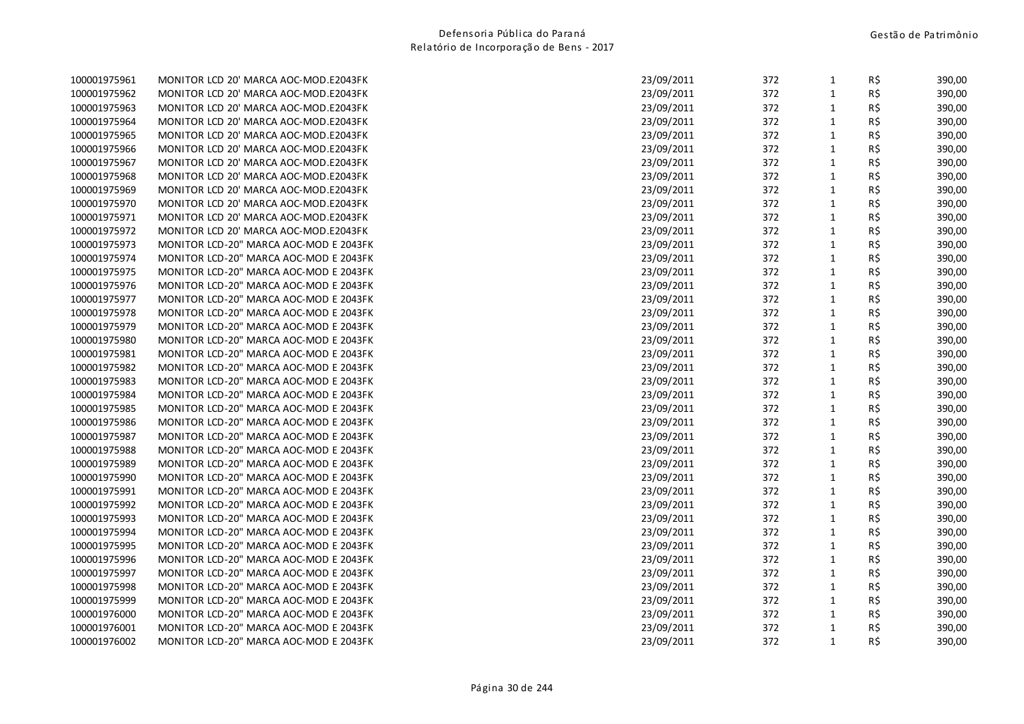| 100001975961 | MONITOR LCD 20' MARCA AOC-MOD.E2043FK  | 23/09/2011 | 372 | 1            | КŞ  | 390,00 |
|--------------|----------------------------------------|------------|-----|--------------|-----|--------|
| 100001975962 | MONITOR LCD 20' MARCA AOC-MOD.E2043FK  | 23/09/2011 | 372 | $\mathbf{1}$ | R\$ | 390,00 |
| 100001975963 | MONITOR LCD 20' MARCA AOC-MOD.E2043FK  | 23/09/2011 | 372 | $\mathbf{1}$ | R\$ | 390,00 |
| 100001975964 | MONITOR LCD 20' MARCA AOC-MOD.E2043FK  | 23/09/2011 | 372 | $\mathbf{1}$ | R\$ | 390,00 |
| 100001975965 | MONITOR LCD 20' MARCA AOC-MOD.E2043FK  | 23/09/2011 | 372 | 1            | R\$ | 390,00 |
| 100001975966 | MONITOR LCD 20' MARCA AOC-MOD.E2043FK  | 23/09/2011 | 372 | $\mathbf{1}$ | R\$ | 390,00 |
| 100001975967 | MONITOR LCD 20' MARCA AOC-MOD.E2043FK  | 23/09/2011 | 372 | $\mathbf{1}$ | R\$ | 390,00 |
| 100001975968 | MONITOR LCD 20' MARCA AOC-MOD.E2043FK  | 23/09/2011 | 372 | $\mathbf{1}$ | R\$ | 390,00 |
| 100001975969 | MONITOR LCD 20' MARCA AOC-MOD.E2043FK  | 23/09/2011 | 372 | $\mathbf{1}$ | R\$ | 390,00 |
| 100001975970 | MONITOR LCD 20' MARCA AOC-MOD.E2043FK  | 23/09/2011 | 372 | $\mathbf{1}$ | R\$ | 390,00 |
| 100001975971 | MONITOR LCD 20' MARCA AOC-MOD.E2043FK  | 23/09/2011 | 372 | $\mathbf{1}$ | R\$ | 390,00 |
| 100001975972 | MONITOR LCD 20' MARCA AOC-MOD.E2043FK  | 23/09/2011 | 372 | $\mathbf{1}$ | R\$ | 390,00 |
| 100001975973 | MONITOR LCD-20" MARCA AOC-MOD E 2043FK | 23/09/2011 | 372 | $\mathbf{1}$ | R\$ | 390,00 |
| 100001975974 | MONITOR LCD-20" MARCA AOC-MOD E 2043FK | 23/09/2011 | 372 | $\mathbf{1}$ | R\$ | 390,00 |
| 100001975975 | MONITOR LCD-20" MARCA AOC-MOD E 2043FK | 23/09/2011 | 372 | $\mathbf{1}$ | R\$ | 390,00 |
| 100001975976 | MONITOR LCD-20" MARCA AOC-MOD E 2043FK | 23/09/2011 | 372 | $\mathbf{1}$ | R\$ | 390,00 |
| 100001975977 | MONITOR LCD-20" MARCA AOC-MOD E 2043FK | 23/09/2011 | 372 | $1\,$        | R\$ | 390,00 |
| 100001975978 | MONITOR LCD-20" MARCA AOC-MOD E 2043FK | 23/09/2011 | 372 | $\mathbf{1}$ | R\$ | 390,00 |
| 100001975979 | MONITOR LCD-20" MARCA AOC-MOD E 2043FK | 23/09/2011 | 372 | $\mathbf{1}$ | R\$ | 390,00 |
| 100001975980 | MONITOR LCD-20" MARCA AOC-MOD E 2043FK | 23/09/2011 | 372 | $\mathbf{1}$ | R\$ | 390,00 |
| 100001975981 | MONITOR LCD-20" MARCA AOC-MOD E 2043FK | 23/09/2011 | 372 | $\mathbf{1}$ | R\$ | 390,00 |
| 100001975982 | MONITOR LCD-20" MARCA AOC-MOD E 2043FK | 23/09/2011 | 372 | $\mathbf 1$  | R\$ | 390,00 |
| 100001975983 | MONITOR LCD-20" MARCA AOC-MOD E 2043FK | 23/09/2011 | 372 | $\mathbf{1}$ | R\$ | 390,00 |
| 100001975984 | MONITOR LCD-20" MARCA AOC-MOD E 2043FK | 23/09/2011 | 372 | $\mathbf{1}$ | R\$ | 390,00 |
| 100001975985 | MONITOR LCD-20" MARCA AOC-MOD E 2043FK | 23/09/2011 | 372 | $\mathbf{1}$ | R\$ | 390,00 |
| 100001975986 | MONITOR LCD-20" MARCA AOC-MOD E 2043FK | 23/09/2011 | 372 | $\mathbf{1}$ | R\$ | 390,00 |
| 100001975987 | MONITOR LCD-20" MARCA AOC-MOD E 2043FK | 23/09/2011 | 372 | $\mathbf{1}$ | R\$ | 390,00 |
| 100001975988 | MONITOR LCD-20" MARCA AOC-MOD E 2043FK | 23/09/2011 | 372 | $\mathbf{1}$ | R\$ | 390,00 |
| 100001975989 | MONITOR LCD-20" MARCA AOC-MOD E 2043FK | 23/09/2011 | 372 | $\mathbf{1}$ | R\$ | 390,00 |
| 100001975990 | MONITOR LCD-20" MARCA AOC-MOD E 2043FK | 23/09/2011 | 372 | $\mathbf{1}$ | R\$ | 390,00 |
| 100001975991 | MONITOR LCD-20" MARCA AOC-MOD E 2043FK | 23/09/2011 | 372 | $\mathbf{1}$ | R\$ | 390,00 |
| 100001975992 | MONITOR LCD-20" MARCA AOC-MOD E 2043FK | 23/09/2011 | 372 | $\mathbf{1}$ | R\$ | 390,00 |
| 100001975993 | MONITOR LCD-20" MARCA AOC-MOD E 2043FK | 23/09/2011 | 372 | $\mathbf{1}$ | R\$ | 390,00 |
| 100001975994 | MONITOR LCD-20" MARCA AOC-MOD E 2043FK | 23/09/2011 | 372 | $\mathbf{1}$ | R\$ | 390,00 |
| 100001975995 | MONITOR LCD-20" MARCA AOC-MOD E 2043FK | 23/09/2011 | 372 | $\mathbf{1}$ | R\$ | 390,00 |
| 100001975996 | MONITOR LCD-20" MARCA AOC-MOD E 2043FK | 23/09/2011 | 372 | $\mathbf{1}$ | R\$ | 390,00 |
| 100001975997 | MONITOR LCD-20" MARCA AOC-MOD E 2043FK | 23/09/2011 | 372 | $\mathbf{1}$ | R\$ | 390,00 |
| 100001975998 | MONITOR LCD-20" MARCA AOC-MOD E 2043FK | 23/09/2011 | 372 | $\mathbf{1}$ | R\$ | 390,00 |
| 100001975999 | MONITOR LCD-20" MARCA AOC-MOD E 2043FK | 23/09/2011 | 372 | $\mathbf{1}$ | R\$ | 390,00 |
| 100001976000 | MONITOR LCD-20" MARCA AOC-MOD E 2043FK | 23/09/2011 | 372 | $\mathbf{1}$ | R\$ | 390,00 |
| 100001976001 | MONITOR LCD-20" MARCA AOC-MOD E 2043FK | 23/09/2011 | 372 | $\mathbf{1}$ | R\$ | 390,00 |
| 100001976002 | MONITOR LCD-20" MARCA AOC-MOD E 2043FK | 23/09/2011 | 372 | $\mathbf{1}$ | R\$ | 390,00 |
|              |                                        |            |     |              |     |        |

| 100001975961 | MONITOR LCD 20' MARCA AOC-MOD.E2043FK  | 23/09/2011 | 372 | $\mathbf{1}$ | R\$ | 390,00 |
|--------------|----------------------------------------|------------|-----|--------------|-----|--------|
| 100001975962 | MONITOR LCD 20' MARCA AOC-MOD.E2043FK  | 23/09/2011 | 372 | $\mathbf{1}$ | R\$ | 390,00 |
| 100001975963 | MONITOR LCD 20' MARCA AOC-MOD.E2043FK  | 23/09/2011 | 372 | $\mathbf{1}$ | R\$ | 390,00 |
| 100001975964 | MONITOR LCD 20' MARCA AOC-MOD.E2043FK  | 23/09/2011 | 372 | $\mathbf{1}$ | R\$ | 390,00 |
| 100001975965 | MONITOR LCD 20' MARCA AOC-MOD.E2043FK  | 23/09/2011 | 372 | $\mathbf{1}$ | R\$ | 390,00 |
| 100001975966 | MONITOR LCD 20' MARCA AOC-MOD.E2043FK  | 23/09/2011 | 372 | $\mathbf{1}$ | R\$ | 390,00 |
| 100001975967 | MONITOR LCD 20' MARCA AOC-MOD.E2043FK  | 23/09/2011 | 372 | 1            | R\$ | 390,00 |
| 100001975968 | MONITOR LCD 20' MARCA AOC-MOD.E2043FK  | 23/09/2011 | 372 | $\mathbf{1}$ | R\$ | 390,00 |
| 100001975969 | MONITOR LCD 20' MARCA AOC-MOD.E2043FK  | 23/09/2011 | 372 | $\mathbf{1}$ | R\$ | 390,00 |
| 100001975970 | MONITOR LCD 20' MARCA AOC-MOD.E2043FK  | 23/09/2011 | 372 | $\mathbf{1}$ | R\$ | 390,00 |
| 100001975971 | MONITOR LCD 20' MARCA AOC-MOD.E2043FK  | 23/09/2011 | 372 | $\mathbf{1}$ | R\$ | 390,00 |
| 100001975972 | MONITOR LCD 20' MARCA AOC-MOD.E2043FK  | 23/09/2011 | 372 | $\mathbf{1}$ | R\$ | 390,00 |
| 100001975973 | MONITOR LCD-20" MARCA AOC-MOD E 2043FK | 23/09/2011 | 372 | $\mathbf{1}$ | R\$ | 390,00 |
| 100001975974 | MONITOR LCD-20" MARCA AOC-MOD E 2043FK | 23/09/2011 | 372 | $1\,$        | R\$ | 390,00 |
| 100001975975 | MONITOR LCD-20" MARCA AOC-MOD E 2043FK | 23/09/2011 | 372 | $\mathbf{1}$ | R\$ | 390,00 |
| 100001975976 | MONITOR LCD-20" MARCA AOC-MOD E 2043FK | 23/09/2011 | 372 | $\mathbf{1}$ | R\$ | 390,00 |
| 100001975977 | MONITOR LCD-20" MARCA AOC-MOD E 2043FK | 23/09/2011 | 372 | $\mathbf{1}$ | R\$ | 390,00 |
| 100001975978 | MONITOR LCD-20" MARCA AOC-MOD E 2043FK | 23/09/2011 | 372 | $\mathbf{1}$ | R\$ | 390,00 |
| 100001975979 | MONITOR LCD-20" MARCA AOC-MOD E 2043FK | 23/09/2011 | 372 | $\mathbf{1}$ | R\$ | 390,00 |
| 100001975980 | MONITOR LCD-20" MARCA AOC-MOD E 2043FK | 23/09/2011 | 372 | $\mathbf{1}$ | R\$ | 390,00 |
| 100001975981 | MONITOR LCD-20" MARCA AOC-MOD E 2043FK | 23/09/2011 | 372 | $\mathbf{1}$ | R\$ | 390,00 |
| 100001975982 | MONITOR LCD-20" MARCA AOC-MOD E 2043FK | 23/09/2011 | 372 | $\mathbf{1}$ | R\$ | 390,00 |
| 100001975983 | MONITOR LCD-20" MARCA AOC-MOD E 2043FK | 23/09/2011 | 372 | $1\,$        | R\$ | 390,00 |
| 100001975984 | MONITOR LCD-20" MARCA AOC-MOD E 2043FK | 23/09/2011 | 372 | $\mathbf{1}$ | R\$ | 390,00 |
| 100001975985 | MONITOR LCD-20" MARCA AOC-MOD E 2043FK | 23/09/2011 | 372 | $\mathbf{1}$ | R\$ | 390,00 |
| 100001975986 | MONITOR LCD-20" MARCA AOC-MOD E 2043FK | 23/09/2011 | 372 | $\mathbf{1}$ | R\$ | 390,00 |
| 100001975987 | MONITOR LCD-20" MARCA AOC-MOD E 2043FK | 23/09/2011 | 372 | $1\,$        | R\$ | 390,00 |
| 100001975988 | MONITOR LCD-20" MARCA AOC-MOD E 2043FK | 23/09/2011 | 372 | $\mathbf{1}$ | R\$ | 390,00 |
| 100001975989 | MONITOR LCD-20" MARCA AOC-MOD E 2043FK | 23/09/2011 | 372 | $\mathbf{1}$ | R\$ | 390,00 |
| 100001975990 | MONITOR LCD-20" MARCA AOC-MOD E 2043FK | 23/09/2011 | 372 | $\mathbf{1}$ | R\$ | 390,00 |
| 100001975991 | MONITOR LCD-20" MARCA AOC-MOD E 2043FK | 23/09/2011 | 372 | $\mathbf{1}$ | R\$ | 390,00 |
| 100001975992 | MONITOR LCD-20" MARCA AOC-MOD E 2043FK | 23/09/2011 | 372 | $\mathbf{1}$ | R\$ | 390,00 |
| 100001975993 | MONITOR LCD-20" MARCA AOC-MOD E 2043FK | 23/09/2011 | 372 | $\mathbf{1}$ | R\$ | 390,00 |
| 100001975994 | MONITOR LCD-20" MARCA AOC-MOD E 2043FK | 23/09/2011 | 372 | $\mathbf{1}$ | R\$ | 390,00 |
| 100001975995 | MONITOR LCD-20" MARCA AOC-MOD E 2043FK | 23/09/2011 | 372 | $\mathbf{1}$ | R\$ | 390,00 |
| 100001975996 | MONITOR LCD-20" MARCA AOC-MOD E 2043FK | 23/09/2011 | 372 | $\mathbf{1}$ | R\$ | 390,00 |
| 100001975997 | MONITOR LCD-20" MARCA AOC-MOD E 2043FK | 23/09/2011 | 372 | $1\,$        | R\$ | 390,00 |
| 100001975998 | MONITOR LCD-20" MARCA AOC-MOD E 2043FK | 23/09/2011 | 372 | $\mathbf{1}$ | R\$ | 390,00 |
| 100001975999 | MONITOR LCD-20" MARCA AOC-MOD E 2043FK | 23/09/2011 | 372 | $\mathbf{1}$ | R\$ | 390,00 |
| 100001976000 | MONITOR LCD-20" MARCA AOC-MOD E 2043FK | 23/09/2011 | 372 | $\mathbf{1}$ | R\$ | 390,00 |
| 100001976001 | MONITOR LCD-20" MARCA AOC-MOD E 2043FK | 23/09/2011 | 372 | $\mathbf{1}$ | R\$ | 390,00 |
| 100001976002 | MONITOR LCD-20" MARCA AOC-MOD E 2043FK | 23/09/2011 | 372 | $\mathbf{1}$ | R\$ | 390,00 |
|              |                                        |            |     |              |     |        |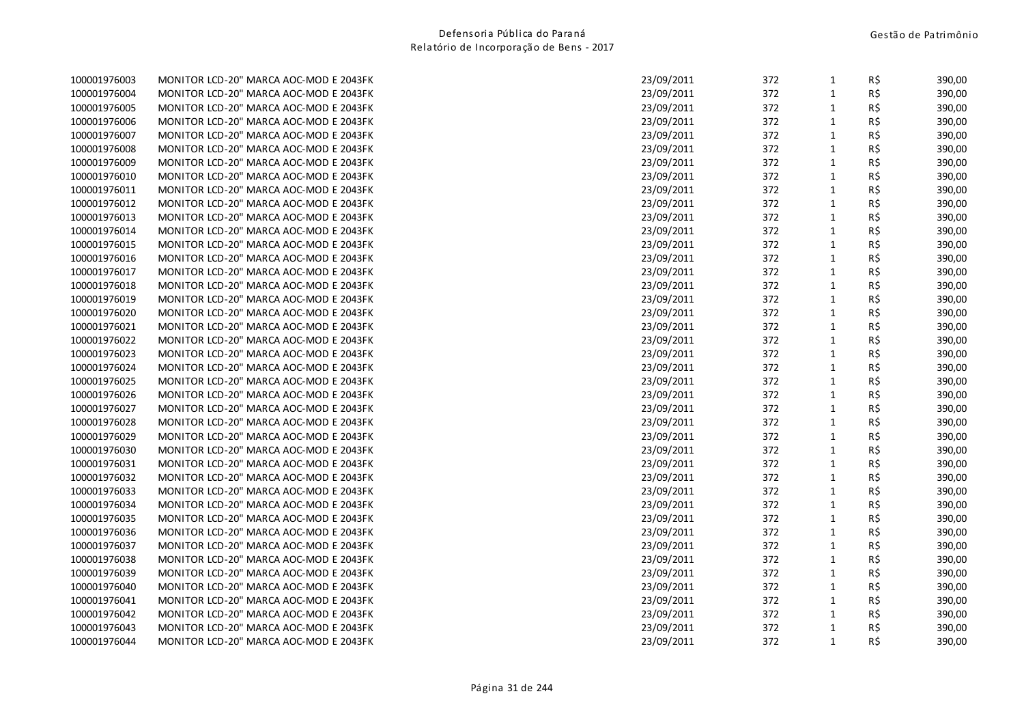| 100001976003 | MONITOR LCD-20" MARCA AOC-MOD E 2043FK | 23/09/2011 | 372 | 1            | RŞ. | 390,00 |
|--------------|----------------------------------------|------------|-----|--------------|-----|--------|
| 100001976004 | MONITOR LCD-20" MARCA AOC-MOD E 2043FK | 23/09/2011 | 372 | $\mathbf{1}$ | R\$ | 390,00 |
| 100001976005 | MONITOR LCD-20" MARCA AOC-MOD E 2043FK | 23/09/2011 | 372 | $\mathbf{1}$ | R\$ | 390,00 |
| 100001976006 | MONITOR LCD-20" MARCA AOC-MOD E 2043FK | 23/09/2011 | 372 | $\mathbf{1}$ | R\$ | 390,00 |
| 100001976007 | MONITOR LCD-20" MARCA AOC-MOD E 2043FK | 23/09/2011 | 372 | $\mathbf{1}$ | R\$ | 390,00 |
| 100001976008 | MONITOR LCD-20" MARCA AOC-MOD E 2043FK | 23/09/2011 | 372 | $\mathbf{1}$ | R\$ | 390,00 |
| 100001976009 | MONITOR LCD-20" MARCA AOC-MOD E 2043FK | 23/09/2011 | 372 | $\mathbf{1}$ | R\$ | 390,00 |
| 100001976010 | MONITOR LCD-20" MARCA AOC-MOD E 2043FK | 23/09/2011 | 372 | $\mathbf{1}$ | R\$ | 390,00 |
| 100001976011 | MONITOR LCD-20" MARCA AOC-MOD E 2043FK | 23/09/2011 | 372 | $\mathbf{1}$ | R\$ | 390,00 |
| 100001976012 | MONITOR LCD-20" MARCA AOC-MOD E 2043FK | 23/09/2011 | 372 | $\mathbf{1}$ | R\$ | 390,00 |
| 100001976013 | MONITOR LCD-20" MARCA AOC-MOD E 2043FK | 23/09/2011 | 372 | $\mathbf{1}$ | R\$ | 390,00 |
| 100001976014 | MONITOR LCD-20" MARCA AOC-MOD E 2043FK | 23/09/2011 | 372 | $\mathbf{1}$ | R\$ | 390,00 |
| 100001976015 | MONITOR LCD-20" MARCA AOC-MOD E 2043FK | 23/09/2011 | 372 | $\mathbf{1}$ | R\$ | 390,00 |
| 100001976016 | MONITOR LCD-20" MARCA AOC-MOD E 2043FK | 23/09/2011 | 372 | $\mathbf{1}$ | R\$ | 390,00 |
| 100001976017 | MONITOR LCD-20" MARCA AOC-MOD E 2043FK | 23/09/2011 | 372 | $\mathbf{1}$ | R\$ | 390,00 |
| 100001976018 | MONITOR LCD-20" MARCA AOC-MOD E 2043FK | 23/09/2011 | 372 | $\mathbf{1}$ | R\$ | 390,00 |
| 100001976019 | MONITOR LCD-20" MARCA AOC-MOD E 2043FK | 23/09/2011 | 372 | $\mathbf{1}$ | R\$ | 390,00 |
| 100001976020 | MONITOR LCD-20" MARCA AOC-MOD E 2043FK | 23/09/2011 | 372 | $\mathbf{1}$ | R\$ | 390,00 |
| 100001976021 | MONITOR LCD-20" MARCA AOC-MOD E 2043FK | 23/09/2011 | 372 | $\mathbf{1}$ | R\$ | 390,00 |
| 100001976022 | MONITOR LCD-20" MARCA AOC-MOD E 2043FK | 23/09/2011 | 372 | $\mathbf{1}$ | R\$ | 390,00 |
| 100001976023 | MONITOR LCD-20" MARCA AOC-MOD E 2043FK | 23/09/2011 | 372 | $\mathbf{1}$ | R\$ | 390,00 |
| 100001976024 | MONITOR LCD-20" MARCA AOC-MOD E 2043FK | 23/09/2011 | 372 | $\mathbf{1}$ | R\$ | 390,00 |
| 100001976025 | MONITOR LCD-20" MARCA AOC-MOD E 2043FK | 23/09/2011 | 372 | $\mathbf{1}$ | R\$ | 390,00 |
| 100001976026 | MONITOR LCD-20" MARCA AOC-MOD E 2043FK | 23/09/2011 | 372 | $\mathbf{1}$ | R\$ | 390,00 |
| 100001976027 | MONITOR LCD-20" MARCA AOC-MOD E 2043FK | 23/09/2011 | 372 | $\mathbf{1}$ | R\$ | 390,00 |
| 100001976028 | MONITOR LCD-20" MARCA AOC-MOD E 2043FK | 23/09/2011 | 372 | $\mathbf{1}$ | R\$ | 390,00 |
| 100001976029 | MONITOR LCD-20" MARCA AOC-MOD E 2043FK | 23/09/2011 | 372 | $\mathbf{1}$ | R\$ | 390,00 |
| 100001976030 | MONITOR LCD-20" MARCA AOC-MOD E 2043FK | 23/09/2011 | 372 | $\mathbf{1}$ | R\$ | 390,00 |
| 100001976031 | MONITOR LCD-20" MARCA AOC-MOD E 2043FK | 23/09/2011 | 372 | $\mathbf{1}$ | R\$ | 390,00 |
| 100001976032 | MONITOR LCD-20" MARCA AOC-MOD E 2043FK | 23/09/2011 | 372 | $\mathbf{1}$ | R\$ | 390,00 |
| 100001976033 | MONITOR LCD-20" MARCA AOC-MOD E 2043FK | 23/09/2011 | 372 | $\mathbf{1}$ | R\$ | 390,00 |
| 100001976034 | MONITOR LCD-20" MARCA AOC-MOD E 2043FK | 23/09/2011 | 372 | $\mathbf{1}$ | R\$ | 390,00 |
| 100001976035 | MONITOR LCD-20" MARCA AOC-MOD E 2043FK | 23/09/2011 | 372 | $\mathbf{1}$ | R\$ | 390,00 |
| 100001976036 | MONITOR LCD-20" MARCA AOC-MOD E 2043FK | 23/09/2011 | 372 | $\mathbf{1}$ | R\$ | 390,00 |
| 100001976037 | MONITOR LCD-20" MARCA AOC-MOD E 2043FK | 23/09/2011 | 372 | $\mathbf{1}$ | R\$ | 390,00 |
| 100001976038 | MONITOR LCD-20" MARCA AOC-MOD E 2043FK | 23/09/2011 | 372 | $\mathbf{1}$ | R\$ | 390,00 |
| 100001976039 | MONITOR LCD-20" MARCA AOC-MOD E 2043FK | 23/09/2011 | 372 | $\mathbf{1}$ | R\$ | 390,00 |
| 100001976040 | MONITOR LCD-20" MARCA AOC-MOD E 2043FK | 23/09/2011 | 372 | 1            | R\$ | 390,00 |
| 100001976041 | MONITOR LCD-20" MARCA AOC-MOD E 2043FK | 23/09/2011 | 372 | $\mathbf{1}$ | R\$ | 390,00 |
| 100001976042 | MONITOR LCD-20" MARCA AOC-MOD E 2043FK | 23/09/2011 | 372 | $\mathbf{1}$ | R\$ | 390,00 |
| 100001976043 | MONITOR LCD-20" MARCA AOC-MOD E 2043FK | 23/09/2011 | 372 | $\mathbf 1$  | R\$ | 390,00 |
| 100001976044 | MONITOR LCD-20" MARCA AOC-MOD E 2043FK | 23/09/2011 | 372 | $\mathbf{1}$ | R\$ | 390,00 |
|              |                                        |            |     |              |     |        |

| 100001976003 | MONITOR LCD-20" MARCA AOC-MOD E 2043FK | 23/09/2011 | 372 | $\mathbf{1}$ | R\$      | 390,00 |
|--------------|----------------------------------------|------------|-----|--------------|----------|--------|
| 100001976004 | MONITOR LCD-20" MARCA AOC-MOD E 2043FK | 23/09/2011 | 372 | $\mathbf{1}$ | R\$      | 390,00 |
| 100001976005 | MONITOR LCD-20" MARCA AOC-MOD E 2043FK | 23/09/2011 | 372 | $\mathbf{1}$ | R\$      | 390,00 |
| 100001976006 | MONITOR LCD-20" MARCA AOC-MOD E 2043FK | 23/09/2011 | 372 | $\mathbf{1}$ | R\$      | 390,00 |
| 100001976007 | MONITOR LCD-20" MARCA AOC-MOD E 2043FK | 23/09/2011 | 372 | $\mathbf{1}$ | R\$      | 390,00 |
| 100001976008 | MONITOR LCD-20" MARCA AOC-MOD E 2043FK | 23/09/2011 | 372 | $\mathbf{1}$ | R\$      | 390,00 |
| 100001976009 | MONITOR LCD-20" MARCA AOC-MOD E 2043FK | 23/09/2011 | 372 | $\mathbf{1}$ | R\$      | 390,00 |
| 100001976010 | MONITOR LCD-20" MARCA AOC-MOD E 2043FK | 23/09/2011 | 372 | 1            | R\$      | 390,00 |
| 100001976011 | MONITOR LCD-20" MARCA AOC-MOD E 2043FK | 23/09/2011 | 372 | $\mathbf{1}$ | R\$      | 390,00 |
| 100001976012 | MONITOR LCD-20" MARCA AOC-MOD E 2043FK | 23/09/2011 | 372 | $1\,$        | R\$      | 390,00 |
| 100001976013 | MONITOR LCD-20" MARCA AOC-MOD E 2043FK | 23/09/2011 | 372 | $\mathbf{1}$ | R\$      | 390,00 |
| 100001976014 | MONITOR LCD-20" MARCA AOC-MOD E 2043FK | 23/09/2011 | 372 | $\mathbf{1}$ | R\$      | 390,00 |
| 100001976015 | MONITOR LCD-20" MARCA AOC-MOD E 2043FK | 23/09/2011 | 372 | $\mathbf{1}$ | R\$      | 390,00 |
| 100001976016 | MONITOR LCD-20" MARCA AOC-MOD E 2043FK | 23/09/2011 | 372 | $\mathbf{1}$ | R\$      | 390,00 |
| 100001976017 | MONITOR LCD-20" MARCA AOC-MOD E 2043FK | 23/09/2011 | 372 | $\mathbf{1}$ | R\$      | 390,00 |
| 100001976018 | MONITOR LCD-20" MARCA AOC-MOD E 2043FK | 23/09/2011 | 372 | $\mathbf{1}$ | R\$      | 390,00 |
| 100001976019 | MONITOR LCD-20" MARCA AOC-MOD E 2043FK | 23/09/2011 | 372 | 1            | $R\,$ \$ | 390,00 |
| 100001976020 | MONITOR LCD-20" MARCA AOC-MOD E 2043FK | 23/09/2011 | 372 | $\mathbf{1}$ | R\$      | 390,00 |
| 100001976021 | MONITOR LCD-20" MARCA AOC-MOD E 2043FK | 23/09/2011 | 372 | $\mathbf{1}$ | R\$      | 390,00 |
| 100001976022 | MONITOR LCD-20" MARCA AOC-MOD E 2043FK | 23/09/2011 | 372 | $\mathbf{1}$ | R\$      | 390,00 |
| 100001976023 | MONITOR LCD-20" MARCA AOC-MOD E 2043FK | 23/09/2011 | 372 | $\mathbf{1}$ | R\$      | 390,00 |
| 100001976024 | MONITOR LCD-20" MARCA AOC-MOD E 2043FK | 23/09/2011 | 372 | $\mathbf{1}$ | R\$      | 390,00 |
| 100001976025 | MONITOR LCD-20" MARCA AOC-MOD E 2043FK | 23/09/2011 | 372 | $\mathbf{1}$ | R\$      | 390,00 |
| 100001976026 | MONITOR LCD-20" MARCA AOC-MOD E 2043FK | 23/09/2011 | 372 | $\mathbf{1}$ | R\$      | 390,00 |
| 100001976027 | MONITOR LCD-20" MARCA AOC-MOD E 2043FK | 23/09/2011 | 372 | $\mathbf{1}$ | R\$      | 390,00 |
| 100001976028 | MONITOR LCD-20" MARCA AOC-MOD E 2043FK | 23/09/2011 | 372 | $\mathbf{1}$ | R\$      | 390,00 |
| 100001976029 | MONITOR LCD-20" MARCA AOC-MOD E 2043FK | 23/09/2011 | 372 | $\mathbf{1}$ | R\$      | 390,00 |
| 100001976030 | MONITOR LCD-20" MARCA AOC-MOD E 2043FK | 23/09/2011 | 372 | $1\,$        | R\$      | 390,00 |
| 100001976031 | MONITOR LCD-20" MARCA AOC-MOD E 2043FK | 23/09/2011 | 372 | $\mathbf{1}$ | R\$      | 390,00 |
| 100001976032 | MONITOR LCD-20" MARCA AOC-MOD E 2043FK | 23/09/2011 | 372 | $\mathbf{1}$ | R\$      | 390,00 |
| 100001976033 | MONITOR LCD-20" MARCA AOC-MOD E 2043FK | 23/09/2011 | 372 | $\mathbf{1}$ | R\$      | 390,00 |
| 100001976034 | MONITOR LCD-20" MARCA AOC-MOD E 2043FK | 23/09/2011 | 372 | $\mathbf{1}$ | R\$      | 390,00 |
| 100001976035 | MONITOR LCD-20" MARCA AOC-MOD E 2043FK | 23/09/2011 | 372 | $\mathbf{1}$ | R\$      | 390,00 |
| 100001976036 | MONITOR LCD-20" MARCA AOC-MOD E 2043FK | 23/09/2011 | 372 | $\mathbf{1}$ | R\$      | 390,00 |
| 100001976037 | MONITOR LCD-20" MARCA AOC-MOD E 2043FK | 23/09/2011 | 372 | $\mathbf{1}$ | R\$      | 390,00 |
| 100001976038 | MONITOR LCD-20" MARCA AOC-MOD E 2043FK | 23/09/2011 | 372 | $\mathbf{1}$ | R\$      | 390,00 |
| 100001976039 | MONITOR LCD-20" MARCA AOC-MOD E 2043FK | 23/09/2011 | 372 | $1\,$        | R\$      | 390,00 |
| 100001976040 | MONITOR LCD-20" MARCA AOC-MOD E 2043FK | 23/09/2011 | 372 | $\mathbf{1}$ | R\$      | 390,00 |
| 100001976041 | MONITOR LCD-20" MARCA AOC-MOD E 2043FK | 23/09/2011 | 372 | $\mathbf{1}$ | R\$      | 390,00 |
| 100001976042 | MONITOR LCD-20" MARCA AOC-MOD E 2043FK | 23/09/2011 | 372 | $\mathbf{1}$ | R\$      | 390,00 |
| 100001976043 | MONITOR LCD-20" MARCA AOC-MOD E 2043FK | 23/09/2011 | 372 | $\mathbf{1}$ | R\$      | 390,00 |
| 100001976044 | MONITOR LCD-20" MARCA AOC-MOD E 2043FK | 23/09/2011 | 372 | $\mathbf{1}$ | R\$      | 390,00 |
|              |                                        |            |     |              |          |        |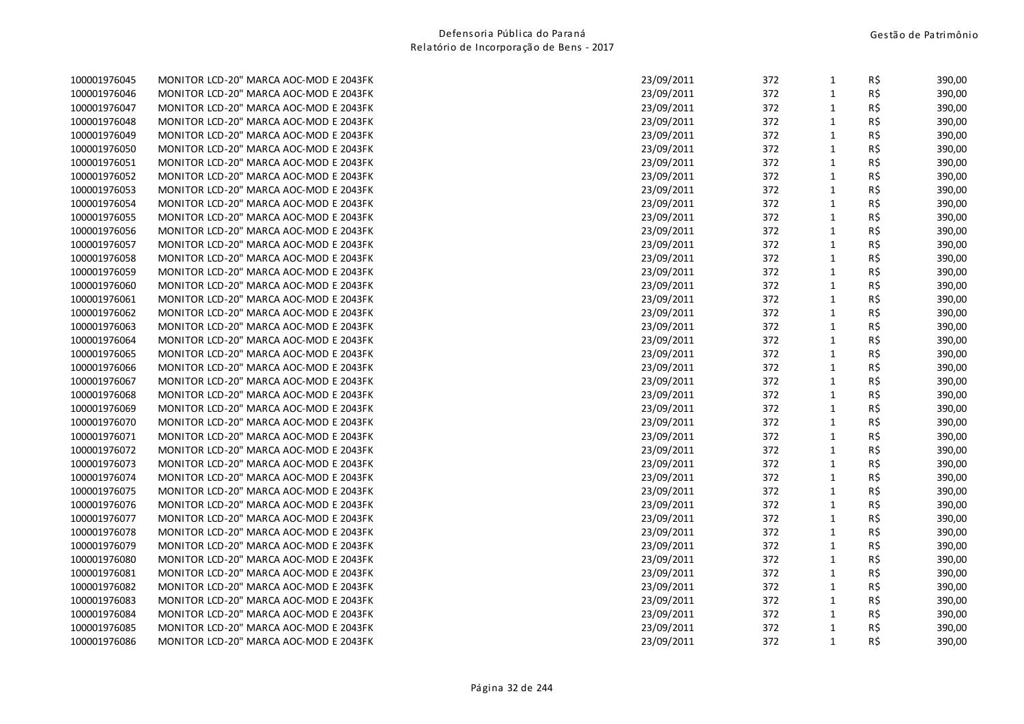| 100001976045 | MONITOR LCD-20" MARCA AOC-MOD E 2043FK | 23/09/2011 | 372 | 1            | RŞ. | 390,00 |
|--------------|----------------------------------------|------------|-----|--------------|-----|--------|
| 100001976046 | MONITOR LCD-20" MARCA AOC-MOD E 2043FK | 23/09/2011 | 372 | $\mathbf{1}$ | R\$ | 390,00 |
| 100001976047 | MONITOR LCD-20" MARCA AOC-MOD E 2043FK | 23/09/2011 | 372 | $\mathbf{1}$ | R\$ | 390,00 |
| 100001976048 | MONITOR LCD-20" MARCA AOC-MOD E 2043FK | 23/09/2011 | 372 | $\mathbf{1}$ | R\$ | 390,00 |
| 100001976049 | MONITOR LCD-20" MARCA AOC-MOD E 2043FK | 23/09/2011 | 372 | $\mathbf{1}$ | R\$ | 390,00 |
| 100001976050 | MONITOR LCD-20" MARCA AOC-MOD E 2043FK | 23/09/2011 | 372 | $\mathbf{1}$ | R\$ | 390,00 |
| 100001976051 | MONITOR LCD-20" MARCA AOC-MOD E 2043FK | 23/09/2011 | 372 | $\mathbf{1}$ | R\$ | 390,00 |
| 100001976052 | MONITOR LCD-20" MARCA AOC-MOD E 2043FK | 23/09/2011 | 372 | $\mathbf{1}$ | R\$ | 390,00 |
| 100001976053 | MONITOR LCD-20" MARCA AOC-MOD E 2043FK | 23/09/2011 | 372 | $\mathbf{1}$ | R\$ | 390,00 |
| 100001976054 | MONITOR LCD-20" MARCA AOC-MOD E 2043FK | 23/09/2011 | 372 | $\mathbf{1}$ | R\$ | 390,00 |
| 100001976055 | MONITOR LCD-20" MARCA AOC-MOD E 2043FK | 23/09/2011 | 372 | $\mathbf{1}$ | R\$ | 390,00 |
| 100001976056 | MONITOR LCD-20" MARCA AOC-MOD E 2043FK | 23/09/2011 | 372 | $\mathbf{1}$ | R\$ | 390,00 |
| 100001976057 | MONITOR LCD-20" MARCA AOC-MOD E 2043FK | 23/09/2011 | 372 | $\mathbf{1}$ | R\$ | 390,00 |
| 100001976058 | MONITOR LCD-20" MARCA AOC-MOD E 2043FK | 23/09/2011 | 372 | $\mathbf{1}$ | R\$ | 390,00 |
| 100001976059 | MONITOR LCD-20" MARCA AOC-MOD E 2043FK | 23/09/2011 | 372 | $\mathbf{1}$ | R\$ | 390,00 |
| 100001976060 | MONITOR LCD-20" MARCA AOC-MOD E 2043FK | 23/09/2011 | 372 | $\mathbf{1}$ | R\$ | 390,00 |
| 100001976061 | MONITOR LCD-20" MARCA AOC-MOD E 2043FK | 23/09/2011 | 372 | $\mathbf{1}$ | R\$ | 390,00 |
| 100001976062 | MONITOR LCD-20" MARCA AOC-MOD E 2043FK | 23/09/2011 | 372 | $\mathbf{1}$ | R\$ | 390,00 |
| 100001976063 | MONITOR LCD-20" MARCA AOC-MOD E 2043FK | 23/09/2011 | 372 | $\mathbf{1}$ | R\$ | 390,00 |
| 100001976064 | MONITOR LCD-20" MARCA AOC-MOD E 2043FK | 23/09/2011 | 372 | $\mathbf{1}$ | R\$ | 390,00 |
| 100001976065 | MONITOR LCD-20" MARCA AOC-MOD E 2043FK | 23/09/2011 | 372 | $\mathbf{1}$ | R\$ | 390,00 |
| 100001976066 | MONITOR LCD-20" MARCA AOC-MOD E 2043FK | 23/09/2011 | 372 | $\mathbf{1}$ | R\$ | 390,00 |
| 100001976067 | MONITOR LCD-20" MARCA AOC-MOD E 2043FK | 23/09/2011 | 372 | $\mathbf{1}$ | R\$ | 390,00 |
| 100001976068 | MONITOR LCD-20" MARCA AOC-MOD E 2043FK | 23/09/2011 | 372 | $\mathbf{1}$ | R\$ | 390,00 |
| 100001976069 | MONITOR LCD-20" MARCA AOC-MOD E 2043FK | 23/09/2011 | 372 | $\mathbf{1}$ | R\$ | 390,00 |
| 100001976070 | MONITOR LCD-20" MARCA AOC-MOD E 2043FK | 23/09/2011 | 372 | $\mathbf{1}$ | R\$ | 390,00 |
| 100001976071 | MONITOR LCD-20" MARCA AOC-MOD E 2043FK | 23/09/2011 | 372 | $\mathbf{1}$ | R\$ | 390,00 |
| 100001976072 | MONITOR LCD-20" MARCA AOC-MOD E 2043FK | 23/09/2011 | 372 | $\mathbf{1}$ | R\$ | 390,00 |
| 100001976073 | MONITOR LCD-20" MARCA AOC-MOD E 2043FK | 23/09/2011 | 372 | $\mathbf{1}$ | R\$ | 390,00 |
| 100001976074 | MONITOR LCD-20" MARCA AOC-MOD E 2043FK | 23/09/2011 | 372 | $\mathbf{1}$ | R\$ | 390,00 |
| 100001976075 | MONITOR LCD-20" MARCA AOC-MOD E 2043FK | 23/09/2011 | 372 | $\mathbf{1}$ | R\$ | 390,00 |
| 100001976076 | MONITOR LCD-20" MARCA AOC-MOD E 2043FK | 23/09/2011 | 372 | $\mathbf{1}$ | R\$ | 390,00 |
| 100001976077 | MONITOR LCD-20" MARCA AOC-MOD E 2043FK | 23/09/2011 | 372 | $\mathbf{1}$ | R\$ | 390,00 |
| 100001976078 | MONITOR LCD-20" MARCA AOC-MOD E 2043FK | 23/09/2011 | 372 | $\mathbf{1}$ | R\$ | 390,00 |
| 100001976079 | MONITOR LCD-20" MARCA AOC-MOD E 2043FK | 23/09/2011 | 372 | $\mathbf{1}$ | R\$ | 390,00 |
| 100001976080 | MONITOR LCD-20" MARCA AOC-MOD E 2043FK | 23/09/2011 | 372 | $\mathbf{1}$ | R\$ | 390,00 |
| 100001976081 | MONITOR LCD-20" MARCA AOC-MOD E 2043FK | 23/09/2011 | 372 | $\mathbf{1}$ | R\$ | 390,00 |
| 100001976082 | MONITOR LCD-20" MARCA AOC-MOD E 2043FK | 23/09/2011 | 372 | 1            | R\$ | 390,00 |
| 100001976083 | MONITOR LCD-20" MARCA AOC-MOD E 2043FK | 23/09/2011 | 372 | $\mathbf{1}$ | R\$ | 390,00 |
| 100001976084 | MONITOR LCD-20" MARCA AOC-MOD E 2043FK | 23/09/2011 | 372 | $\mathbf{1}$ | R\$ | 390,00 |
| 100001976085 | MONITOR LCD-20" MARCA AOC-MOD E 2043FK | 23/09/2011 | 372 | $\mathbf 1$  | R\$ | 390,00 |
| 100001976086 | MONITOR LCD-20" MARCA AOC-MOD E 2043FK | 23/09/2011 | 372 | $\mathbf{1}$ | R\$ | 390,00 |
|              |                                        |            |     |              |     |        |

| 100001976045 | MONITOR LCD-20" MARCA AOC-MOD E 2043FK | 23/09/2011 | 372 | $\mathbf{1}$ | R\$ | 390,00 |
|--------------|----------------------------------------|------------|-----|--------------|-----|--------|
| 100001976046 | MONITOR LCD-20" MARCA AOC-MOD E 2043FK | 23/09/2011 | 372 | $\mathbf{1}$ | R\$ | 390,00 |
| 100001976047 | MONITOR LCD-20" MARCA AOC-MOD E 2043FK | 23/09/2011 | 372 | $\mathbf{1}$ | R\$ | 390,00 |
| 100001976048 | MONITOR LCD-20" MARCA AOC-MOD E 2043FK | 23/09/2011 | 372 | $\mathbf{1}$ | R\$ | 390,00 |
| 100001976049 | MONITOR LCD-20" MARCA AOC-MOD E 2043FK | 23/09/2011 | 372 | $\mathbf{1}$ | R\$ | 390,00 |
| 100001976050 | MONITOR LCD-20" MARCA AOC-MOD E 2043FK | 23/09/2011 | 372 | $\mathbf{1}$ | R\$ | 390,00 |
| 100001976051 | MONITOR LCD-20" MARCA AOC-MOD E 2043FK | 23/09/2011 | 372 | $\mathbf{1}$ | R\$ | 390,00 |
| 100001976052 | MONITOR LCD-20" MARCA AOC-MOD E 2043FK | 23/09/2011 | 372 | $\mathbf{1}$ | R\$ | 390,00 |
| 100001976053 | MONITOR LCD-20" MARCA AOC-MOD E 2043FK | 23/09/2011 | 372 | $\mathbf{1}$ | R\$ | 390,00 |
| 100001976054 | MONITOR LCD-20" MARCA AOC-MOD E 2043FK | 23/09/2011 | 372 | $\mathbf{1}$ | R\$ | 390,00 |
| 100001976055 | MONITOR LCD-20" MARCA AOC-MOD E 2043FK | 23/09/2011 | 372 | $\mathbf{1}$ | R\$ | 390,00 |
| 100001976056 | MONITOR LCD-20" MARCA AOC-MOD E 2043FK | 23/09/2011 | 372 | $\mathbf{1}$ | R\$ | 390,00 |
| 100001976057 | MONITOR LCD-20" MARCA AOC-MOD E 2043FK | 23/09/2011 | 372 | $\mathbf{1}$ | R\$ | 390,00 |
| 100001976058 | MONITOR LCD-20" MARCA AOC-MOD E 2043FK | 23/09/2011 | 372 | $\mathbf{1}$ | R\$ | 390,00 |
| 100001976059 | MONITOR LCD-20" MARCA AOC-MOD E 2043FK | 23/09/2011 | 372 | $\mathbf{1}$ | R\$ | 390,00 |
| 100001976060 | MONITOR LCD-20" MARCA AOC-MOD E 2043FK | 23/09/2011 | 372 | $\mathbf{1}$ | R\$ | 390,00 |
| 100001976061 | MONITOR LCD-20" MARCA AOC-MOD E 2043FK | 23/09/2011 | 372 | $\mathbf{1}$ | R\$ | 390,00 |
| 100001976062 | MONITOR LCD-20" MARCA AOC-MOD E 2043FK | 23/09/2011 | 372 | $\mathbf{1}$ | R\$ | 390,00 |
| 100001976063 | MONITOR LCD-20" MARCA AOC-MOD E 2043FK | 23/09/2011 | 372 | $\mathbf{1}$ | R\$ | 390,00 |
| 100001976064 | MONITOR LCD-20" MARCA AOC-MOD E 2043FK | 23/09/2011 | 372 | $\mathbf{1}$ | R\$ | 390,00 |
| 100001976065 | MONITOR LCD-20" MARCA AOC-MOD E 2043FK | 23/09/2011 | 372 | $\mathbf{1}$ | R\$ | 390,00 |
| 100001976066 | MONITOR LCD-20" MARCA AOC-MOD E 2043FK | 23/09/2011 | 372 | $\mathbf{1}$ | R\$ | 390,00 |
| 100001976067 | MONITOR LCD-20" MARCA AOC-MOD E 2043FK | 23/09/2011 | 372 | $\mathbf{1}$ | R\$ | 390,00 |
| 100001976068 | MONITOR LCD-20" MARCA AOC-MOD E 2043FK | 23/09/2011 | 372 | $\mathbf{1}$ | R\$ | 390,00 |
| 100001976069 | MONITOR LCD-20" MARCA AOC-MOD E 2043FK | 23/09/2011 | 372 | $\mathbf{1}$ | R\$ | 390,00 |
| 100001976070 | MONITOR LCD-20" MARCA AOC-MOD E 2043FK | 23/09/2011 | 372 | $\mathbf{1}$ | R\$ | 390,00 |
| 100001976071 | MONITOR LCD-20" MARCA AOC-MOD E 2043FK | 23/09/2011 | 372 | $\mathbf{1}$ | R\$ | 390,00 |
| 100001976072 | MONITOR LCD-20" MARCA AOC-MOD E 2043FK | 23/09/2011 | 372 | $\mathbf{1}$ | R\$ | 390,00 |
| 100001976073 | MONITOR LCD-20" MARCA AOC-MOD E 2043FK | 23/09/2011 | 372 | $\mathbf{1}$ | R\$ | 390,00 |
| 100001976074 | MONITOR LCD-20" MARCA AOC-MOD E 2043FK | 23/09/2011 | 372 | $\mathbf{1}$ | R\$ | 390,00 |
| 100001976075 | MONITOR LCD-20" MARCA AOC-MOD E 2043FK | 23/09/2011 | 372 | $\mathbf{1}$ | R\$ | 390,00 |
| 100001976076 | MONITOR LCD-20" MARCA AOC-MOD E 2043FK | 23/09/2011 | 372 | $\mathbf{1}$ | R\$ | 390,00 |
| 100001976077 | MONITOR LCD-20" MARCA AOC-MOD E 2043FK | 23/09/2011 | 372 | $\mathbf{1}$ | R\$ | 390,00 |
| 100001976078 | MONITOR LCD-20" MARCA AOC-MOD E 2043FK | 23/09/2011 | 372 | $\mathbf{1}$ | R\$ | 390,00 |
| 100001976079 | MONITOR LCD-20" MARCA AOC-MOD E 2043FK | 23/09/2011 | 372 | $\mathbf{1}$ | R\$ | 390,00 |
| 100001976080 | MONITOR LCD-20" MARCA AOC-MOD E 2043FK | 23/09/2011 | 372 | $\mathbf{1}$ | R\$ | 390,00 |
| 100001976081 | MONITOR LCD-20" MARCA AOC-MOD E 2043FK | 23/09/2011 | 372 | $\mathbf{1}$ | R\$ | 390,00 |
| 100001976082 | MONITOR LCD-20" MARCA AOC-MOD E 2043FK | 23/09/2011 | 372 | $\mathbf{1}$ | R\$ | 390,00 |
| 100001976083 | MONITOR LCD-20" MARCA AOC-MOD E 2043FK | 23/09/2011 | 372 | $\mathbf{1}$ | R\$ | 390,00 |
| 100001976084 | MONITOR LCD-20" MARCA AOC-MOD E 2043FK | 23/09/2011 | 372 | $\mathbf{1}$ | R\$ | 390,00 |
| 100001976085 | MONITOR LCD-20" MARCA AOC-MOD E 2043FK | 23/09/2011 | 372 | $\mathbf{1}$ | R\$ | 390,00 |
| 100001976086 | MONITOR LCD-20" MARCA AOC-MOD E 2043FK | 23/09/2011 | 372 | $\mathbf{1}$ | R\$ | 390,00 |
|              |                                        |            |     |              |     |        |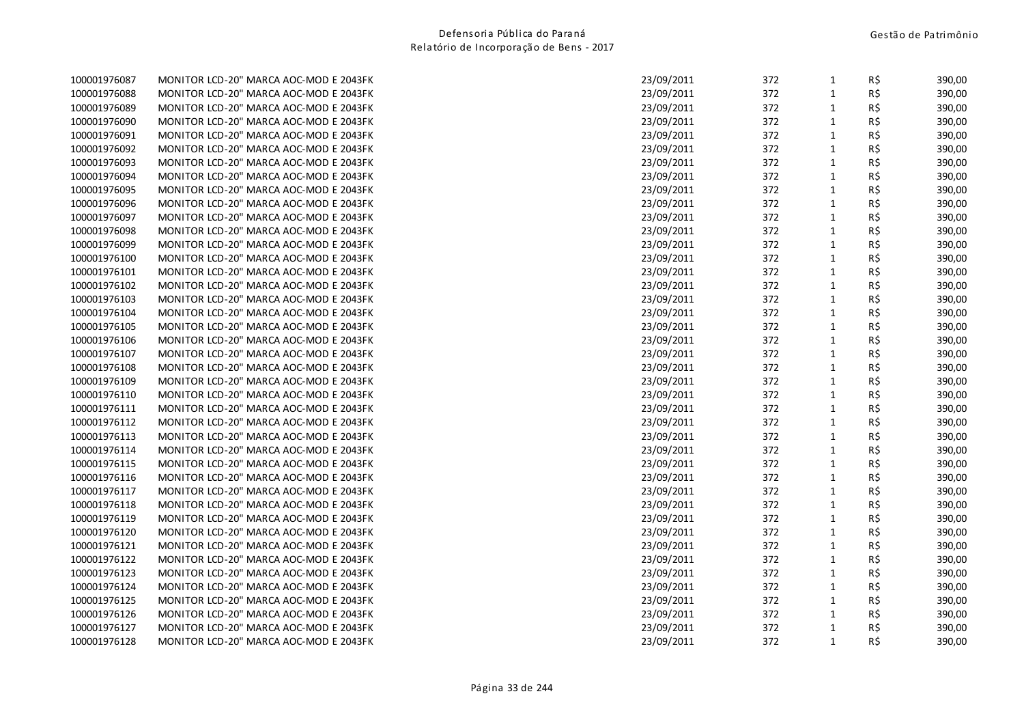| 100001976087 | MONITOR LCD-20" MARCA AOC-MOD E 2043FK | 23/09/2011 | 372 | 1            | RŞ. | 390,00 |
|--------------|----------------------------------------|------------|-----|--------------|-----|--------|
| 100001976088 | MONITOR LCD-20" MARCA AOC-MOD E 2043FK | 23/09/2011 | 372 | $\mathbf{1}$ | R\$ | 390,00 |
| 100001976089 | MONITOR LCD-20" MARCA AOC-MOD E 2043FK | 23/09/2011 | 372 | $\mathbf{1}$ | R\$ | 390,00 |
| 100001976090 | MONITOR LCD-20" MARCA AOC-MOD E 2043FK | 23/09/2011 | 372 | $\mathbf{1}$ | R\$ | 390,00 |
| 100001976091 | MONITOR LCD-20" MARCA AOC-MOD E 2043FK | 23/09/2011 | 372 | $\mathbf{1}$ | R\$ | 390,00 |
| 100001976092 | MONITOR LCD-20" MARCA AOC-MOD E 2043FK | 23/09/2011 | 372 | $\mathbf{1}$ | R\$ | 390,00 |
| 100001976093 | MONITOR LCD-20" MARCA AOC-MOD E 2043FK | 23/09/2011 | 372 | $\mathbf{1}$ | R\$ | 390,00 |
| 100001976094 | MONITOR LCD-20" MARCA AOC-MOD E 2043FK | 23/09/2011 | 372 | $\mathbf{1}$ | R\$ | 390,00 |
| 100001976095 | MONITOR LCD-20" MARCA AOC-MOD E 2043FK | 23/09/2011 | 372 | $\mathbf{1}$ | R\$ | 390,00 |
| 100001976096 | MONITOR LCD-20" MARCA AOC-MOD E 2043FK | 23/09/2011 | 372 | $\mathbf{1}$ | R\$ | 390,00 |
| 100001976097 | MONITOR LCD-20" MARCA AOC-MOD E 2043FK | 23/09/2011 | 372 | $\mathbf{1}$ | R\$ | 390,00 |
| 100001976098 | MONITOR LCD-20" MARCA AOC-MOD E 2043FK | 23/09/2011 | 372 | $\mathbf{1}$ | R\$ | 390,00 |
| 100001976099 | MONITOR LCD-20" MARCA AOC-MOD E 2043FK | 23/09/2011 | 372 | $\mathbf{1}$ | R\$ | 390,00 |
| 100001976100 | MONITOR LCD-20" MARCA AOC-MOD E 2043FK | 23/09/2011 | 372 | $\mathbf{1}$ | R\$ | 390,00 |
| 100001976101 | MONITOR LCD-20" MARCA AOC-MOD E 2043FK | 23/09/2011 | 372 | $\mathbf{1}$ | R\$ | 390,00 |
| 100001976102 | MONITOR LCD-20" MARCA AOC-MOD E 2043FK | 23/09/2011 | 372 | $\mathbf{1}$ | R\$ | 390,00 |
| 100001976103 | MONITOR LCD-20" MARCA AOC-MOD E 2043FK | 23/09/2011 | 372 | $\mathbf{1}$ | R\$ | 390,00 |
| 100001976104 | MONITOR LCD-20" MARCA AOC-MOD E 2043FK | 23/09/2011 | 372 | $\mathbf{1}$ | R\$ | 390,00 |
| 100001976105 | MONITOR LCD-20" MARCA AOC-MOD E 2043FK | 23/09/2011 | 372 | $\mathbf{1}$ | R\$ | 390,00 |
| 100001976106 | MONITOR LCD-20" MARCA AOC-MOD E 2043FK | 23/09/2011 | 372 | $\mathbf{1}$ | R\$ | 390,00 |
| 100001976107 | MONITOR LCD-20" MARCA AOC-MOD E 2043FK | 23/09/2011 | 372 | $\mathbf{1}$ | R\$ | 390,00 |
| 100001976108 | MONITOR LCD-20" MARCA AOC-MOD E 2043FK | 23/09/2011 | 372 | $\mathbf{1}$ | R\$ | 390,00 |
| 100001976109 | MONITOR LCD-20" MARCA AOC-MOD E 2043FK | 23/09/2011 | 372 | $\mathbf{1}$ | R\$ | 390,00 |
| 100001976110 | MONITOR LCD-20" MARCA AOC-MOD E 2043FK | 23/09/2011 | 372 | $\mathbf{1}$ | R\$ | 390,00 |
| 100001976111 | MONITOR LCD-20" MARCA AOC-MOD E 2043FK | 23/09/2011 | 372 | 1            | R\$ | 390,00 |
| 100001976112 | MONITOR LCD-20" MARCA AOC-MOD E 2043FK | 23/09/2011 | 372 | $\mathbf{1}$ | R\$ | 390,00 |
| 100001976113 | MONITOR LCD-20" MARCA AOC-MOD E 2043FK | 23/09/2011 | 372 | $\mathbf{1}$ | R\$ | 390,00 |
| 100001976114 | MONITOR LCD-20" MARCA AOC-MOD E 2043FK | 23/09/2011 | 372 | $\mathbf{1}$ | R\$ | 390,00 |
| 100001976115 | MONITOR LCD-20" MARCA AOC-MOD E 2043FK | 23/09/2011 | 372 | $\mathbf{1}$ | R\$ | 390,00 |
| 100001976116 | MONITOR LCD-20" MARCA AOC-MOD E 2043FK | 23/09/2011 | 372 | $\mathbf{1}$ | R\$ | 390,00 |
| 100001976117 | MONITOR LCD-20" MARCA AOC-MOD E 2043FK | 23/09/2011 | 372 | $\mathbf{1}$ | R\$ | 390,00 |
| 100001976118 | MONITOR LCD-20" MARCA AOC-MOD E 2043FK | 23/09/2011 | 372 | $\mathbf{1}$ | R\$ | 390,00 |
| 100001976119 | MONITOR LCD-20" MARCA AOC-MOD E 2043FK | 23/09/2011 | 372 | $\mathbf{1}$ | R\$ | 390,00 |
| 100001976120 | MONITOR LCD-20" MARCA AOC-MOD E 2043FK | 23/09/2011 | 372 | $\mathbf{1}$ | R\$ | 390,00 |
| 100001976121 | MONITOR LCD-20" MARCA AOC-MOD E 2043FK | 23/09/2011 | 372 | $\mathbf{1}$ | R\$ | 390,00 |
| 100001976122 | MONITOR LCD-20" MARCA AOC-MOD E 2043FK | 23/09/2011 | 372 | $1\,$        | R\$ | 390,00 |
| 100001976123 | MONITOR LCD-20" MARCA AOC-MOD E 2043FK | 23/09/2011 | 372 | $\mathbf{1}$ | R\$ | 390,00 |
| 100001976124 | MONITOR LCD-20" MARCA AOC-MOD E 2043FK | 23/09/2011 | 372 | 1            | R\$ | 390,00 |
| 100001976125 | MONITOR LCD-20" MARCA AOC-MOD E 2043FK | 23/09/2011 | 372 | $\mathbf{1}$ | R\$ | 390,00 |
| 100001976126 | MONITOR LCD-20" MARCA AOC-MOD E 2043FK | 23/09/2011 | 372 | $\mathbf{1}$ | R\$ | 390,00 |
| 100001976127 | MONITOR LCD-20" MARCA AOC-MOD E 2043FK | 23/09/2011 | 372 | $\mathbf 1$  | R\$ | 390,00 |
| 100001976128 | MONITOR LCD-20" MARCA AOC-MOD E 2043FK | 23/09/2011 | 372 | $\mathbf{1}$ | R\$ | 390,00 |
|              |                                        |            |     |              |     |        |

| 100001976087 | MONITOR LCD-20" MARCA AOC-MOD E 2043FK | 23/09/2011 | 372 | $\mathbf{1}$ | R\$ | 390,00 |
|--------------|----------------------------------------|------------|-----|--------------|-----|--------|
| 100001976088 | MONITOR LCD-20" MARCA AOC-MOD E 2043FK | 23/09/2011 | 372 | $\mathbf{1}$ | R\$ | 390,00 |
| 100001976089 | MONITOR LCD-20" MARCA AOC-MOD E 2043FK | 23/09/2011 | 372 | $\mathbf{1}$ | R\$ | 390,00 |
| 100001976090 | MONITOR LCD-20" MARCA AOC-MOD E 2043FK | 23/09/2011 | 372 | $\mathbf{1}$ | R\$ | 390,00 |
| 100001976091 | MONITOR LCD-20" MARCA AOC-MOD E 2043FK | 23/09/2011 | 372 | $\mathbf{1}$ | R\$ | 390,00 |
| 100001976092 | MONITOR LCD-20" MARCA AOC-MOD E 2043FK | 23/09/2011 | 372 | $\mathbf{1}$ | R\$ | 390,00 |
| 100001976093 | MONITOR LCD-20" MARCA AOC-MOD E 2043FK | 23/09/2011 | 372 | $\mathbf{1}$ | R\$ | 390,00 |
| 100001976094 | MONITOR LCD-20" MARCA AOC-MOD E 2043FK | 23/09/2011 | 372 | $\mathbf{1}$ | R\$ | 390,00 |
| 100001976095 | MONITOR LCD-20" MARCA AOC-MOD E 2043FK | 23/09/2011 | 372 | $\mathbf{1}$ | R\$ | 390,00 |
| 100001976096 | MONITOR LCD-20" MARCA AOC-MOD E 2043FK | 23/09/2011 | 372 | $1\,$        | R\$ | 390,00 |
| 100001976097 | MONITOR LCD-20" MARCA AOC-MOD E 2043FK | 23/09/2011 | 372 | $\mathbf{1}$ | R\$ | 390,00 |
| 100001976098 | MONITOR LCD-20" MARCA AOC-MOD E 2043FK | 23/09/2011 | 372 | $\mathbf{1}$ | R\$ | 390,00 |
| 100001976099 | MONITOR LCD-20" MARCA AOC-MOD E 2043FK | 23/09/2011 | 372 | $\mathbf{1}$ | R\$ | 390,00 |
| 100001976100 | MONITOR LCD-20" MARCA AOC-MOD E 2043FK | 23/09/2011 | 372 | $\mathbf{1}$ | R\$ | 390,00 |
| 100001976101 | MONITOR LCD-20" MARCA AOC-MOD E 2043FK | 23/09/2011 | 372 | $\mathbf{1}$ | R\$ | 390,00 |
| 100001976102 | MONITOR LCD-20" MARCA AOC-MOD E 2043FK | 23/09/2011 | 372 | $\mathbf{1}$ | R\$ | 390,00 |
| 100001976103 | MONITOR LCD-20" MARCA AOC-MOD E 2043FK | 23/09/2011 | 372 | $\mathbf{1}$ | R\$ | 390,00 |
| 100001976104 | MONITOR LCD-20" MARCA AOC-MOD E 2043FK | 23/09/2011 | 372 | 1            | R\$ | 390,00 |
| 100001976105 | MONITOR LCD-20" MARCA AOC-MOD E 2043FK | 23/09/2011 | 372 | $1\,$        | R\$ | 390,00 |
| 100001976106 | MONITOR LCD-20" MARCA AOC-MOD E 2043FK | 23/09/2011 | 372 | $\mathbf{1}$ | R\$ | 390,00 |
| 100001976107 | MONITOR LCD-20" MARCA AOC-MOD E 2043FK | 23/09/2011 | 372 | $\mathbf{1}$ | R\$ | 390,00 |
| 100001976108 | MONITOR LCD-20" MARCA AOC-MOD E 2043FK | 23/09/2011 | 372 | $\mathbf{1}$ | R\$ | 390,00 |
| 100001976109 | MONITOR LCD-20" MARCA AOC-MOD E 2043FK | 23/09/2011 | 372 | $\mathbf{1}$ | R\$ | 390,00 |
| 100001976110 | MONITOR LCD-20" MARCA AOC-MOD E 2043FK | 23/09/2011 | 372 | $1\,$        | R\$ | 390,00 |
| 100001976111 | MONITOR LCD-20" MARCA AOC-MOD E 2043FK | 23/09/2011 | 372 | $\mathbf{1}$ | R\$ | 390,00 |
| 100001976112 | MONITOR LCD-20" MARCA AOC-MOD E 2043FK | 23/09/2011 | 372 | $\mathbf{1}$ | R\$ | 390,00 |
| 100001976113 | MONITOR LCD-20" MARCA AOC-MOD E 2043FK | 23/09/2011 | 372 | $\mathbf{1}$ | R\$ | 390,00 |
| 100001976114 | MONITOR LCD-20" MARCA AOC-MOD E 2043FK | 23/09/2011 | 372 | $1\,$        | R\$ | 390,00 |
| 100001976115 | MONITOR LCD-20" MARCA AOC-MOD E 2043FK | 23/09/2011 | 372 | $\mathbf{1}$ | R\$ | 390,00 |
| 100001976116 | MONITOR LCD-20" MARCA AOC-MOD E 2043FK | 23/09/2011 | 372 | $\mathbf{1}$ | R\$ | 390,00 |
| 100001976117 | MONITOR LCD-20" MARCA AOC-MOD E 2043FK | 23/09/2011 | 372 | $\mathbf{1}$ | R\$ | 390,00 |
| 100001976118 | MONITOR LCD-20" MARCA AOC-MOD E 2043FK | 23/09/2011 | 372 | $\mathbf{1}$ | R\$ | 390,00 |
| 100001976119 | MONITOR LCD-20" MARCA AOC-MOD E 2043FK | 23/09/2011 | 372 | $\mathbf{1}$ | R\$ | 390,00 |
| 100001976120 | MONITOR LCD-20" MARCA AOC-MOD E 2043FK | 23/09/2011 | 372 | 1            | R\$ | 390,00 |
| 100001976121 | MONITOR LCD-20" MARCA AOC-MOD E 2043FK | 23/09/2011 | 372 | $\mathbf{1}$ | R\$ | 390,00 |
| 100001976122 | MONITOR LCD-20" MARCA AOC-MOD E 2043FK | 23/09/2011 | 372 | $\mathbf{1}$ | R\$ | 390,00 |
| 100001976123 | MONITOR LCD-20" MARCA AOC-MOD E 2043FK | 23/09/2011 | 372 | $1\,$        | R\$ | 390,00 |
| 100001976124 | MONITOR LCD-20" MARCA AOC-MOD E 2043FK | 23/09/2011 | 372 | $\mathbf{1}$ | R\$ | 390,00 |
| 100001976125 | MONITOR LCD-20" MARCA AOC-MOD E 2043FK | 23/09/2011 | 372 | $\mathbf{1}$ | R\$ | 390,00 |
| 100001976126 | MONITOR LCD-20" MARCA AOC-MOD E 2043FK | 23/09/2011 | 372 | $\mathbf{1}$ | R\$ | 390,00 |
| 100001976127 | MONITOR LCD-20" MARCA AOC-MOD E 2043FK | 23/09/2011 | 372 | $\mathbf{1}$ | R\$ | 390,00 |
| 100001976128 | MONITOR LCD-20" MARCA AOC-MOD E 2043FK | 23/09/2011 | 372 | $\mathbf{1}$ | R\$ | 390,00 |
|              |                                        |            |     |              |     |        |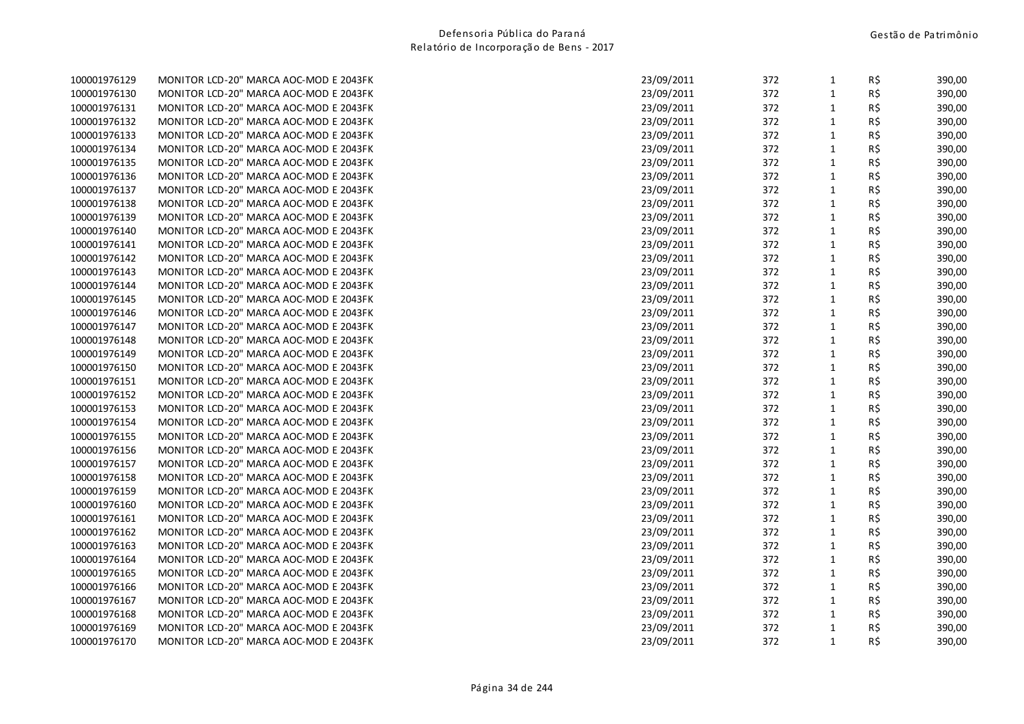| 100001976129 | MONITOR LCD-20" MARCA AOC-MOD E 2043FK | 23/09/2011 | 372 | 1            | RŞ. | 390,00 |
|--------------|----------------------------------------|------------|-----|--------------|-----|--------|
| 100001976130 | MONITOR LCD-20" MARCA AOC-MOD E 2043FK | 23/09/2011 | 372 | $\mathbf{1}$ | R\$ | 390,00 |
| 100001976131 | MONITOR LCD-20" MARCA AOC-MOD E 2043FK | 23/09/2011 | 372 | $\mathbf{1}$ | R\$ | 390,00 |
| 100001976132 | MONITOR LCD-20" MARCA AOC-MOD E 2043FK | 23/09/2011 | 372 | $\mathbf{1}$ | R\$ | 390,00 |
| 100001976133 | MONITOR LCD-20" MARCA AOC-MOD E 2043FK | 23/09/2011 | 372 | $\mathbf{1}$ | R\$ | 390,00 |
| 100001976134 | MONITOR LCD-20" MARCA AOC-MOD E 2043FK | 23/09/2011 | 372 | $\mathbf{1}$ | R\$ | 390,00 |
| 100001976135 | MONITOR LCD-20" MARCA AOC-MOD E 2043FK | 23/09/2011 | 372 | $\mathbf{1}$ | R\$ | 390,00 |
| 100001976136 | MONITOR LCD-20" MARCA AOC-MOD E 2043FK | 23/09/2011 | 372 | $\mathbf{1}$ | R\$ | 390,00 |
| 100001976137 | MONITOR LCD-20" MARCA AOC-MOD E 2043FK | 23/09/2011 | 372 | $\mathbf{1}$ | R\$ | 390,00 |
| 100001976138 | MONITOR LCD-20" MARCA AOC-MOD E 2043FK | 23/09/2011 | 372 | $\mathbf{1}$ | R\$ | 390,00 |
| 100001976139 | MONITOR LCD-20" MARCA AOC-MOD E 2043FK | 23/09/2011 | 372 | $\mathbf{1}$ | R\$ | 390,00 |
| 100001976140 | MONITOR LCD-20" MARCA AOC-MOD E 2043FK | 23/09/2011 | 372 | $\mathbf{1}$ | R\$ | 390,00 |
| 100001976141 | MONITOR LCD-20" MARCA AOC-MOD E 2043FK | 23/09/2011 | 372 | $\mathbf{1}$ | R\$ | 390,00 |
| 100001976142 | MONITOR LCD-20" MARCA AOC-MOD E 2043FK | 23/09/2011 | 372 | $\mathbf{1}$ | R\$ | 390,00 |
| 100001976143 | MONITOR LCD-20" MARCA AOC-MOD E 2043FK | 23/09/2011 | 372 | $\mathbf{1}$ | R\$ | 390,00 |
| 100001976144 | MONITOR LCD-20" MARCA AOC-MOD E 2043FK | 23/09/2011 | 372 | $\mathbf{1}$ | R\$ | 390,00 |
| 100001976145 | MONITOR LCD-20" MARCA AOC-MOD E 2043FK | 23/09/2011 | 372 | $\mathbf{1}$ | R\$ | 390,00 |
| 100001976146 | MONITOR LCD-20" MARCA AOC-MOD E 2043FK | 23/09/2011 | 372 | $\mathbf{1}$ | R\$ | 390,00 |
| 100001976147 | MONITOR LCD-20" MARCA AOC-MOD E 2043FK | 23/09/2011 | 372 | $\mathbf{1}$ | R\$ | 390,00 |
| 100001976148 | MONITOR LCD-20" MARCA AOC-MOD E 2043FK | 23/09/2011 | 372 | $\mathbf{1}$ | R\$ | 390,00 |
| 100001976149 | MONITOR LCD-20" MARCA AOC-MOD E 2043FK | 23/09/2011 | 372 | $\mathbf{1}$ | R\$ | 390,00 |
| 100001976150 | MONITOR LCD-20" MARCA AOC-MOD E 2043FK | 23/09/2011 | 372 | $\mathbf{1}$ | R\$ | 390,00 |
| 100001976151 | MONITOR LCD-20" MARCA AOC-MOD E 2043FK | 23/09/2011 | 372 | $\mathbf{1}$ | R\$ | 390,00 |
| 100001976152 | MONITOR LCD-20" MARCA AOC-MOD E 2043FK | 23/09/2011 | 372 | $\mathbf{1}$ | R\$ | 390,00 |
| 100001976153 | MONITOR LCD-20" MARCA AOC-MOD E 2043FK | 23/09/2011 | 372 | 1            | R\$ | 390,00 |
| 100001976154 | MONITOR LCD-20" MARCA AOC-MOD E 2043FK | 23/09/2011 | 372 | $\mathbf{1}$ | R\$ | 390,00 |
| 100001976155 | MONITOR LCD-20" MARCA AOC-MOD E 2043FK | 23/09/2011 | 372 | $\mathbf{1}$ | R\$ | 390,00 |
| 100001976156 | MONITOR LCD-20" MARCA AOC-MOD E 2043FK | 23/09/2011 | 372 | $\mathbf{1}$ | R\$ | 390,00 |
| 100001976157 | MONITOR LCD-20" MARCA AOC-MOD E 2043FK | 23/09/2011 | 372 | $\mathbf{1}$ | R\$ | 390,00 |
| 100001976158 | MONITOR LCD-20" MARCA AOC-MOD E 2043FK | 23/09/2011 | 372 | $\mathbf{1}$ | R\$ | 390,00 |
| 100001976159 | MONITOR LCD-20" MARCA AOC-MOD E 2043FK | 23/09/2011 | 372 | $\mathbf{1}$ | R\$ | 390,00 |
| 100001976160 | MONITOR LCD-20" MARCA AOC-MOD E 2043FK | 23/09/2011 | 372 | $\mathbf{1}$ | R\$ | 390,00 |
| 100001976161 | MONITOR LCD-20" MARCA AOC-MOD E 2043FK | 23/09/2011 | 372 | $\mathbf{1}$ | R\$ | 390,00 |
| 100001976162 | MONITOR LCD-20" MARCA AOC-MOD E 2043FK | 23/09/2011 | 372 | $\mathbf{1}$ | R\$ | 390,00 |
| 100001976163 | MONITOR LCD-20" MARCA AOC-MOD E 2043FK | 23/09/2011 | 372 | $\mathbf{1}$ | R\$ | 390,00 |
| 100001976164 | MONITOR LCD-20" MARCA AOC-MOD E 2043FK | 23/09/2011 | 372 | $1\,$        | R\$ | 390,00 |
| 100001976165 | MONITOR LCD-20" MARCA AOC-MOD E 2043FK | 23/09/2011 | 372 | $\mathbf{1}$ | R\$ | 390,00 |
| 100001976166 | MONITOR LCD-20" MARCA AOC-MOD E 2043FK | 23/09/2011 | 372 | 1            | R\$ | 390,00 |
| 100001976167 | MONITOR LCD-20" MARCA AOC-MOD E 2043FK | 23/09/2011 | 372 | $\mathbf{1}$ | R\$ | 390,00 |
| 100001976168 | MONITOR LCD-20" MARCA AOC-MOD E 2043FK | 23/09/2011 | 372 | $\mathbf{1}$ | R\$ | 390,00 |
| 100001976169 | MONITOR LCD-20" MARCA AOC-MOD E 2043FK | 23/09/2011 | 372 | $\mathbf 1$  | R\$ | 390,00 |
| 100001976170 | MONITOR LCD-20" MARCA AOC-MOD E 2043FK | 23/09/2011 | 372 | $\mathbf{1}$ | R\$ | 390,00 |
|              |                                        |            |     |              |     |        |

| 100001976129 | MONITOR LCD-20" MARCA AOC-MOD E 2043FK | 23/09/2011 | 372 | $\mathbf{1}$ | R\$      | 390,00 |
|--------------|----------------------------------------|------------|-----|--------------|----------|--------|
| 100001976130 | MONITOR LCD-20" MARCA AOC-MOD E 2043FK | 23/09/2011 | 372 | $\mathbf{1}$ | R\$      | 390,00 |
| 100001976131 | MONITOR LCD-20" MARCA AOC-MOD E 2043FK | 23/09/2011 | 372 | $\mathbf{1}$ | R\$      | 390,00 |
| 100001976132 | MONITOR LCD-20" MARCA AOC-MOD E 2043FK | 23/09/2011 | 372 | $\mathbf{1}$ | R\$      | 390,00 |
| 100001976133 | MONITOR LCD-20" MARCA AOC-MOD E 2043FK | 23/09/2011 | 372 | $\mathbf{1}$ | R\$      | 390,00 |
| 100001976134 | MONITOR LCD-20" MARCA AOC-MOD E 2043FK | 23/09/2011 | 372 | $\mathbf{1}$ | R\$      | 390,00 |
| 100001976135 | MONITOR LCD-20" MARCA AOC-MOD E 2043FK | 23/09/2011 | 372 | $\mathbf{1}$ | R\$      | 390,00 |
| 100001976136 | MONITOR LCD-20" MARCA AOC-MOD E 2043FK | 23/09/2011 | 372 | $\mathbf{1}$ | R\$      | 390,00 |
| 100001976137 | MONITOR LCD-20" MARCA AOC-MOD E 2043FK | 23/09/2011 | 372 | $\mathbf{1}$ | R\$      | 390,00 |
| 100001976138 | MONITOR LCD-20" MARCA AOC-MOD E 2043FK | 23/09/2011 | 372 | $1\,$        | R\$      | 390,00 |
| 100001976139 | MONITOR LCD-20" MARCA AOC-MOD E 2043FK | 23/09/2011 | 372 | $\mathbf{1}$ | R\$      | 390,00 |
| 100001976140 | MONITOR LCD-20" MARCA AOC-MOD E 2043FK | 23/09/2011 | 372 | $\mathbf{1}$ | R\$      | 390,00 |
| 100001976141 | MONITOR LCD-20" MARCA AOC-MOD E 2043FK | 23/09/2011 | 372 | $\mathbf{1}$ | R\$      | 390,00 |
| 100001976142 | MONITOR LCD-20" MARCA AOC-MOD E 2043FK | 23/09/2011 | 372 | $\mathbf{1}$ | R\$      | 390,00 |
| 100001976143 | MONITOR LCD-20" MARCA AOC-MOD E 2043FK | 23/09/2011 | 372 | $\mathbf{1}$ | R\$      | 390,00 |
| 100001976144 | MONITOR LCD-20" MARCA AOC-MOD E 2043FK | 23/09/2011 | 372 | $\mathbf{1}$ | R\$      | 390,00 |
| 100001976145 | MONITOR LCD-20" MARCA AOC-MOD E 2043FK | 23/09/2011 | 372 | 1            | $R\,$ \$ | 390,00 |
| 100001976146 | MONITOR LCD-20" MARCA AOC-MOD E 2043FK | 23/09/2011 | 372 | $\mathbf{1}$ | R\$      | 390,00 |
| 100001976147 | MONITOR LCD-20" MARCA AOC-MOD E 2043FK | 23/09/2011 | 372 | $\mathbf{1}$ | R\$      | 390,00 |
| 100001976148 | MONITOR LCD-20" MARCA AOC-MOD E 2043FK | 23/09/2011 | 372 | $\mathbf{1}$ | R\$      | 390,00 |
| 100001976149 | MONITOR LCD-20" MARCA AOC-MOD E 2043FK | 23/09/2011 | 372 | $\mathbf{1}$ | R\$      | 390,00 |
| 100001976150 | MONITOR LCD-20" MARCA AOC-MOD E 2043FK | 23/09/2011 | 372 | $\mathbf{1}$ | R\$      | 390,00 |
| 100001976151 | MONITOR LCD-20" MARCA AOC-MOD E 2043FK | 23/09/2011 | 372 | $\mathbf{1}$ | R\$      | 390,00 |
| 100001976152 | MONITOR LCD-20" MARCA AOC-MOD E 2043FK | 23/09/2011 | 372 | $\mathbf{1}$ | R\$      | 390,00 |
| 100001976153 | MONITOR LCD-20" MARCA AOC-MOD E 2043FK | 23/09/2011 | 372 | $\mathbf{1}$ | R\$      | 390,00 |
| 100001976154 | MONITOR LCD-20" MARCA AOC-MOD E 2043FK | 23/09/2011 | 372 | $\mathbf{1}$ | R\$      | 390,00 |
| 100001976155 | MONITOR LCD-20" MARCA AOC-MOD E 2043FK | 23/09/2011 | 372 | $\mathbf{1}$ | R\$      | 390,00 |
| 100001976156 | MONITOR LCD-20" MARCA AOC-MOD E 2043FK | 23/09/2011 | 372 | $1\,$        | R\$      | 390,00 |
| 100001976157 | MONITOR LCD-20" MARCA AOC-MOD E 2043FK | 23/09/2011 | 372 | $\mathbf{1}$ | R\$      | 390,00 |
| 100001976158 | MONITOR LCD-20" MARCA AOC-MOD E 2043FK | 23/09/2011 | 372 | $\mathbf{1}$ | R\$      | 390,00 |
| 100001976159 | MONITOR LCD-20" MARCA AOC-MOD E 2043FK | 23/09/2011 | 372 | $\mathbf{1}$ | R\$      | 390,00 |
| 100001976160 | MONITOR LCD-20" MARCA AOC-MOD E 2043FK | 23/09/2011 | 372 | $\mathbf{1}$ | R\$      | 390,00 |
| 100001976161 | MONITOR LCD-20" MARCA AOC-MOD E 2043FK | 23/09/2011 | 372 | $\mathbf{1}$ | R\$      | 390,00 |
| 100001976162 | MONITOR LCD-20" MARCA AOC-MOD E 2043FK | 23/09/2011 | 372 | $\mathbf{1}$ | R\$      | 390,00 |
| 100001976163 | MONITOR LCD-20" MARCA AOC-MOD E 2043FK | 23/09/2011 | 372 | $\mathbf{1}$ | R\$      | 390,00 |
| 100001976164 | MONITOR LCD-20" MARCA AOC-MOD E 2043FK | 23/09/2011 | 372 | $\mathbf{1}$ | R\$      | 390,00 |
| 100001976165 | MONITOR LCD-20" MARCA AOC-MOD E 2043FK | 23/09/2011 | 372 | $1\,$        | R\$      | 390,00 |
| 100001976166 | MONITOR LCD-20" MARCA AOC-MOD E 2043FK | 23/09/2011 | 372 | $\mathbf{1}$ | R\$      | 390,00 |
| 100001976167 | MONITOR LCD-20" MARCA AOC-MOD E 2043FK | 23/09/2011 | 372 | $\mathbf{1}$ | R\$      | 390,00 |
| 100001976168 | MONITOR LCD-20" MARCA AOC-MOD E 2043FK | 23/09/2011 | 372 | $\mathbf{1}$ | R\$      | 390,00 |
| 100001976169 | MONITOR LCD-20" MARCA AOC-MOD E 2043FK | 23/09/2011 | 372 | $\mathbf{1}$ | R\$      | 390,00 |
| 100001976170 | MONITOR LCD-20" MARCA AOC-MOD E 2043FK | 23/09/2011 | 372 | $\mathbf{1}$ | R\$      | 390,00 |
|              |                                        |            |     |              |          |        |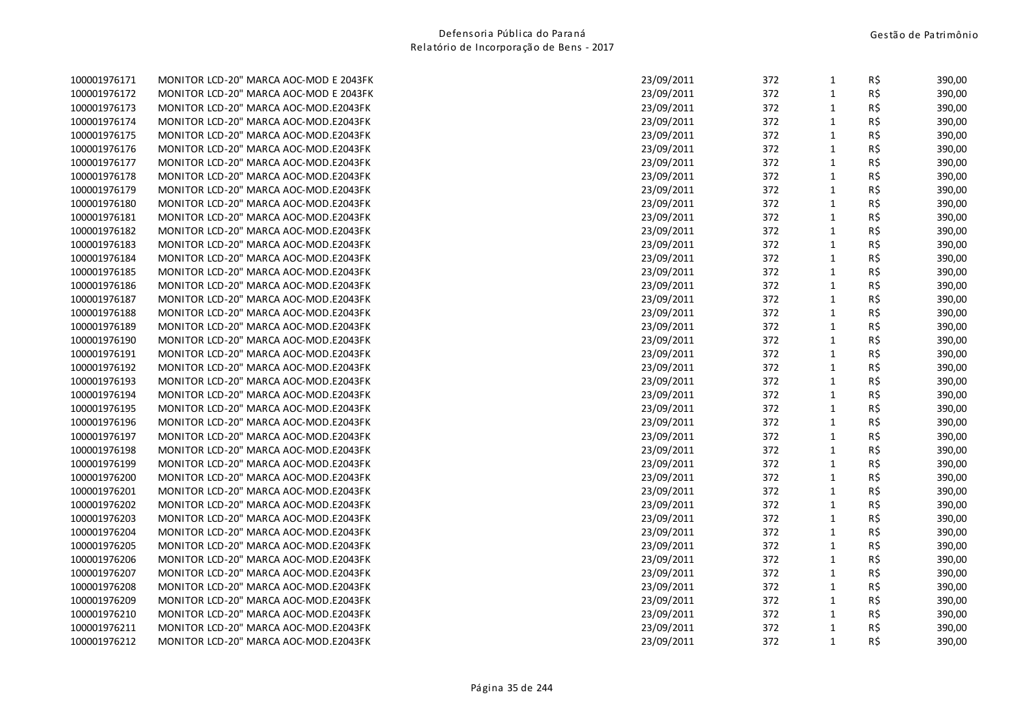| 100001976171 | MONITOR LCD-20" MARCA AOC-MOD E 2043FK | 23/09/2011 | 372 | 1            | RŞ. | 390,00 |
|--------------|----------------------------------------|------------|-----|--------------|-----|--------|
| 100001976172 | MONITOR LCD-20" MARCA AOC-MOD E 2043FK | 23/09/2011 | 372 | $\mathbf{1}$ | R\$ | 390,00 |
| 100001976173 | MONITOR LCD-20" MARCA AOC-MOD.E2043FK  | 23/09/2011 | 372 | $1\,$        | R\$ | 390,00 |
| 100001976174 | MONITOR LCD-20" MARCA AOC-MOD.E2043FK  | 23/09/2011 | 372 | 1            | R\$ | 390,00 |
| 100001976175 | MONITOR LCD-20" MARCA AOC-MOD.E2043FK  | 23/09/2011 | 372 | $\mathbf{1}$ | R\$ | 390,00 |
| 100001976176 | MONITOR LCD-20" MARCA AOC-MOD.E2043FK  | 23/09/2011 | 372 | $\mathbf{1}$ | R\$ | 390,00 |
| 100001976177 | MONITOR LCD-20" MARCA AOC-MOD.E2043FK  | 23/09/2011 | 372 | $\mathbf{1}$ | R\$ | 390,00 |
| 100001976178 | MONITOR LCD-20" MARCA AOC-MOD.E2043FK  | 23/09/2011 | 372 | $\mathbf{1}$ | R\$ | 390,00 |
| 100001976179 | MONITOR LCD-20" MARCA AOC-MOD.E2043FK  | 23/09/2011 | 372 | $\mathbf{1}$ | R\$ | 390,00 |
| 100001976180 | MONITOR LCD-20" MARCA AOC-MOD.E2043FK  | 23/09/2011 | 372 | $\mathbf{1}$ | R\$ | 390,00 |
| 100001976181 | MONITOR LCD-20" MARCA AOC-MOD.E2043FK  | 23/09/2011 | 372 | $\mathbf{1}$ | R\$ | 390,00 |
| 100001976182 | MONITOR LCD-20" MARCA AOC-MOD.E2043FK  | 23/09/2011 | 372 | $\mathbf{1}$ | R\$ | 390,00 |
| 100001976183 | MONITOR LCD-20" MARCA AOC-MOD.E2043FK  | 23/09/2011 | 372 | $1\,$        | R\$ | 390,00 |
| 100001976184 | MONITOR LCD-20" MARCA AOC-MOD.E2043FK  | 23/09/2011 | 372 | $\mathbf{1}$ | R\$ | 390,00 |
| 100001976185 | MONITOR LCD-20" MARCA AOC-MOD.E2043FK  | 23/09/2011 | 372 | 1            | R\$ | 390,00 |
| 100001976186 | MONITOR LCD-20" MARCA AOC-MOD.E2043FK  | 23/09/2011 | 372 | $\mathbf{1}$ | R\$ | 390,00 |
| 100001976187 | MONITOR LCD-20" MARCA AOC-MOD.E2043FK  | 23/09/2011 | 372 | $\mathbf{1}$ | R\$ | 390,00 |
| 100001976188 | MONITOR LCD-20" MARCA AOC-MOD.E2043FK  | 23/09/2011 | 372 | $\mathbf{1}$ | R\$ | 390,00 |
| 100001976189 | MONITOR LCD-20" MARCA AOC-MOD.E2043FK  | 23/09/2011 | 372 | $\mathbf{1}$ | R\$ | 390,00 |
| 100001976190 | MONITOR LCD-20" MARCA AOC-MOD.E2043FK  | 23/09/2011 | 372 | $\mathbf{1}$ | R\$ | 390,00 |
| 100001976191 | MONITOR LCD-20" MARCA AOC-MOD.E2043FK  | 23/09/2011 | 372 | $\mathbf{1}$ | R\$ | 390,00 |
| 100001976192 | MONITOR LCD-20" MARCA AOC-MOD.E2043FK  | 23/09/2011 | 372 | $\mathbf{1}$ | R\$ | 390,00 |
| 100001976193 | MONITOR LCD-20" MARCA AOC-MOD.E2043FK  | 23/09/2011 | 372 | $\mathbf{1}$ | R\$ | 390,00 |
| 100001976194 | MONITOR LCD-20" MARCA AOC-MOD.E2043FK  | 23/09/2011 | 372 | $\mathbf{1}$ | R\$ | 390,00 |
| 100001976195 | MONITOR LCD-20" MARCA AOC-MOD.E2043FK  | 23/09/2011 | 372 | $\mathbf{1}$ | R\$ | 390,00 |
| 100001976196 | MONITOR LCD-20" MARCA AOC-MOD.E2043FK  | 23/09/2011 | 372 | $\mathbf{1}$ | R\$ | 390,00 |
| 100001976197 | MONITOR LCD-20" MARCA AOC-MOD.E2043FK  | 23/09/2011 | 372 | $\mathbf 1$  | R\$ | 390,00 |
| 100001976198 | MONITOR LCD-20" MARCA AOC-MOD.E2043FK  | 23/09/2011 | 372 | $\mathbf{1}$ | R\$ | 390,00 |
| 100001976199 | MONITOR LCD-20" MARCA AOC-MOD.E2043FK  | 23/09/2011 | 372 | 1            | R\$ | 390,00 |
| 100001976200 | MONITOR LCD-20" MARCA AOC-MOD.E2043FK  | 23/09/2011 | 372 | $\mathbf{1}$ | R\$ | 390,00 |
| 100001976201 | MONITOR LCD-20" MARCA AOC-MOD.E2043FK  | 23/09/2011 | 372 | $\mathbf{1}$ | R\$ | 390,00 |
| 100001976202 | MONITOR LCD-20" MARCA AOC-MOD.E2043FK  | 23/09/2011 | 372 | $\mathbf{1}$ | R\$ | 390,00 |
| 100001976203 | MONITOR LCD-20" MARCA AOC-MOD.E2043FK  | 23/09/2011 | 372 | $\mathbf{1}$ | R\$ | 390,00 |
| 100001976204 | MONITOR LCD-20" MARCA AOC-MOD.E2043FK  | 23/09/2011 | 372 | $\mathbf{1}$ | R\$ | 390,00 |
| 100001976205 | MONITOR LCD-20" MARCA AOC-MOD.E2043FK  | 23/09/2011 | 372 | $\mathbf{1}$ | R\$ | 390,00 |
| 100001976206 | MONITOR LCD-20" MARCA AOC-MOD.E2043FK  | 23/09/2011 | 372 | $\mathbf{1}$ | R\$ | 390,00 |
| 100001976207 | MONITOR LCD-20" MARCA AOC-MOD.E2043FK  | 23/09/2011 | 372 | $\mathbf{1}$ | R\$ | 390,00 |
| 100001976208 | MONITOR LCD-20" MARCA AOC-MOD.E2043FK  | 23/09/2011 | 372 | $\mathbf{1}$ | R\$ | 390,00 |
| 100001976209 | MONITOR LCD-20" MARCA AOC-MOD.E2043FK  | 23/09/2011 | 372 | $\mathbf{1}$ | R\$ | 390,00 |
| 100001976210 | MONITOR LCD-20" MARCA AOC-MOD.E2043FK  | 23/09/2011 | 372 | $\mathbf{1}$ | R\$ | 390,00 |
| 100001976211 | MONITOR LCD-20" MARCA AOC-MOD.E2043FK  | 23/09/2011 | 372 | $\mathbf{1}$ | R\$ | 390,00 |
| 100001976212 | MONITOR LCD-20" MARCA AOC-MOD.E2043FK  | 23/09/2011 | 372 | $\mathbf{1}$ | R\$ | 390,00 |
|              |                                        |            |     |              |     |        |

| 100001976171 | MONITOR LCD-20" MARCA AOC-MOD E 2043FK | 23/09/2011 | 372 | $\mathbf{1}$ | R\$ | 390,00 |
|--------------|----------------------------------------|------------|-----|--------------|-----|--------|
| 100001976172 | MONITOR LCD-20" MARCA AOC-MOD E 2043FK | 23/09/2011 | 372 | $\mathbf{1}$ | R\$ | 390,00 |
| 100001976173 | MONITOR LCD-20" MARCA AOC-MOD.E2043FK  | 23/09/2011 | 372 | 1            | R\$ | 390,00 |
| 100001976174 | MONITOR LCD-20" MARCA AOC-MOD.E2043FK  | 23/09/2011 | 372 | $1\,$        | R\$ | 390,00 |
| 100001976175 | MONITOR LCD-20" MARCA AOC-MOD.E2043FK  | 23/09/2011 | 372 | $\mathbf{1}$ | R\$ | 390,00 |
| 100001976176 | MONITOR LCD-20" MARCA AOC-MOD.E2043FK  | 23/09/2011 | 372 | 1            | R\$ | 390,00 |
| 100001976177 | MONITOR LCD-20" MARCA AOC-MOD.E2043FK  | 23/09/2011 | 372 | $\mathbf{1}$ | R\$ | 390,00 |
| 100001976178 | MONITOR LCD-20" MARCA AOC-MOD.E2043FK  | 23/09/2011 | 372 | $\mathbf{1}$ | R\$ | 390,00 |
| 100001976179 | MONITOR LCD-20" MARCA AOC-MOD.E2043FK  | 23/09/2011 | 372 | $\mathbf{1}$ | R\$ | 390,00 |
| 100001976180 | MONITOR LCD-20" MARCA AOC-MOD.E2043FK  | 23/09/2011 | 372 | $\mathbf{1}$ | R\$ | 390,00 |
| 100001976181 | MONITOR LCD-20" MARCA AOC-MOD.E2043FK  | 23/09/2011 | 372 | $\mathbf{1}$ | R\$ | 390,00 |
| 100001976182 | MONITOR LCD-20" MARCA AOC-MOD.E2043FK  | 23/09/2011 | 372 | $\mathbf{1}$ | R\$ | 390,00 |
| 100001976183 | MONITOR LCD-20" MARCA AOC-MOD.E2043FK  | 23/09/2011 | 372 | $\mathbf{1}$ | R\$ | 390,00 |
| 100001976184 | MONITOR LCD-20" MARCA AOC-MOD.E2043FK  | 23/09/2011 | 372 | $\mathbf{1}$ | R\$ | 390,00 |
| 100001976185 | MONITOR LCD-20" MARCA AOC-MOD.E2043FK  | 23/09/2011 | 372 | $\mathbf{1}$ | R\$ | 390,00 |
| 100001976186 | MONITOR LCD-20" MARCA AOC-MOD.E2043FK  | 23/09/2011 | 372 | $\mathbf{1}$ | R\$ | 390,00 |
| 100001976187 | MONITOR LCD-20" MARCA AOC-MOD.E2043FK  | 23/09/2011 | 372 | $\mathbf{1}$ | R\$ | 390,00 |
| 100001976188 | MONITOR LCD-20" MARCA AOC-MOD.E2043FK  | 23/09/2011 | 372 | $\mathbf{1}$ | R\$ | 390,00 |
| 100001976189 | MONITOR LCD-20" MARCA AOC-MOD.E2043FK  | 23/09/2011 | 372 | $\mathbf{1}$ | R\$ | 390,00 |
| 100001976190 | MONITOR LCD-20" MARCA AOC-MOD.E2043FK  | 23/09/2011 | 372 | $\mathbf{1}$ | R\$ | 390,00 |
| 100001976191 | MONITOR LCD-20" MARCA AOC-MOD.E2043FK  | 23/09/2011 | 372 | $\mathbf{1}$ | R\$ | 390,00 |
| 100001976192 | MONITOR LCD-20" MARCA AOC-MOD.E2043FK  | 23/09/2011 | 372 | $\mathbf{1}$ | R\$ | 390,00 |
| 100001976193 | MONITOR LCD-20" MARCA AOC-MOD.E2043FK  | 23/09/2011 | 372 | $\mathbf 1$  | R\$ | 390,00 |
| 100001976194 | MONITOR LCD-20" MARCA AOC-MOD.E2043FK  | 23/09/2011 | 372 | $\mathbf{1}$ | R\$ | 390,00 |
| 100001976195 | MONITOR LCD-20" MARCA AOC-MOD.E2043FK  | 23/09/2011 | 372 | $\mathbf{1}$ | R\$ | 390,00 |
| 100001976196 | MONITOR LCD-20" MARCA AOC-MOD.E2043FK  | 23/09/2011 | 372 | $\mathbf{1}$ | R\$ | 390,00 |
| 100001976197 | MONITOR LCD-20" MARCA AOC-MOD.E2043FK  | 23/09/2011 | 372 | $\mathbf{1}$ | R\$ | 390,00 |
| 100001976198 | MONITOR LCD-20" MARCA AOC-MOD.E2043FK  | 23/09/2011 | 372 | $1\,$        | R\$ | 390,00 |
| 100001976199 | MONITOR LCD-20" MARCA AOC-MOD.E2043FK  | 23/09/2011 | 372 | $\mathbf{1}$ | R\$ | 390,00 |
| 100001976200 | MONITOR LCD-20" MARCA AOC-MOD.E2043FK  | 23/09/2011 | 372 | $\mathbf{1}$ | R\$ | 390,00 |
| 100001976201 | MONITOR LCD-20" MARCA AOC-MOD.E2043FK  | 23/09/2011 | 372 | $\mathbf{1}$ | R\$ | 390,00 |
| 100001976202 | MONITOR LCD-20" MARCA AOC-MOD.E2043FK  | 23/09/2011 | 372 | $1\,$        | R\$ | 390,00 |
| 100001976203 | MONITOR LCD-20" MARCA AOC-MOD.E2043FK  | 23/09/2011 | 372 | $\mathbf{1}$ | R\$ | 390,00 |
| 100001976204 | MONITOR LCD-20" MARCA AOC-MOD.E2043FK  | 23/09/2011 | 372 | 1            | R\$ | 390,00 |
| 100001976205 | MONITOR LCD-20" MARCA AOC-MOD.E2043FK  | 23/09/2011 | 372 | $\mathbf{1}$ | R\$ | 390,00 |
| 100001976206 | MONITOR LCD-20" MARCA AOC-MOD.E2043FK  | 23/09/2011 | 372 | $\mathbf{1}$ | R\$ | 390,00 |
| 100001976207 | MONITOR LCD-20" MARCA AOC-MOD.E2043FK  | 23/09/2011 | 372 | $\mathbf{1}$ | R\$ | 390,00 |
| 100001976208 | MONITOR LCD-20" MARCA AOC-MOD.E2043FK  | 23/09/2011 | 372 | $\mathbf{1}$ | R\$ | 390,00 |
| 100001976209 | MONITOR LCD-20" MARCA AOC-MOD.E2043FK  | 23/09/2011 | 372 | $\mathbf{1}$ | R\$ | 390,00 |
| 100001976210 | MONITOR LCD-20" MARCA AOC-MOD.E2043FK  | 23/09/2011 | 372 | $\mathbf{1}$ | R\$ | 390,00 |
| 100001976211 | MONITOR LCD-20" MARCA AOC-MOD.E2043FK  | 23/09/2011 | 372 | $\mathbf{1}$ | R\$ | 390,00 |
| 100001976212 | MONITOR LCD-20" MARCA AOC-MOD.E2043FK  | 23/09/2011 | 372 | $\mathbf{1}$ | R\$ | 390,00 |
|              |                                        |            |     |              |     |        |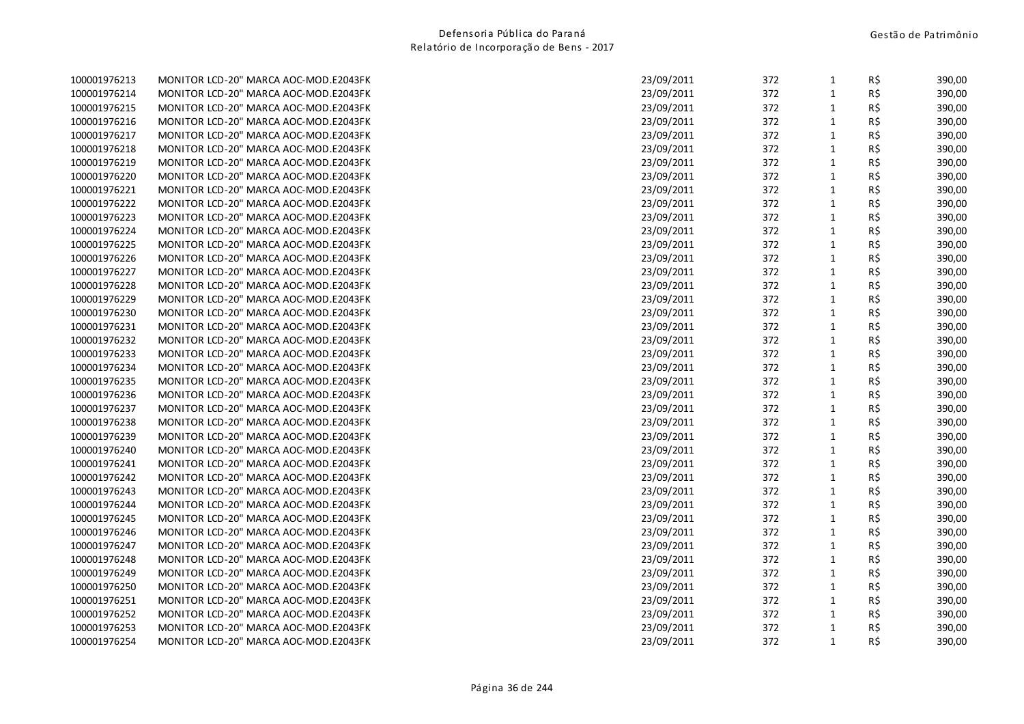| 100001976213 | MONITOR LCD-20" MARCA AOC-MOD.E2043FK |
|--------------|---------------------------------------|
| 100001976214 | MONITOR LCD-20" MARCA AOC-MOD.E2043FK |
| 100001976215 | MONITOR LCD-20" MARCA AOC-MOD.E2043FK |
| 100001976216 | MONITOR LCD-20" MARCA AOC-MOD.E2043FK |
| 100001976217 | MONITOR LCD-20" MARCA AOC-MOD.E2043FK |
| 100001976218 | MONITOR LCD-20" MARCA AOC-MOD.E2043FK |
| 100001976219 | MONITOR LCD-20" MARCA AOC-MOD.E2043FK |
| 100001976220 | MONITOR LCD-20" MARCA AOC-MOD.E2043FK |
| 100001976221 | MONITOR LCD-20" MARCA AOC-MOD.E2043FK |
| 100001976222 | MONITOR LCD-20" MARCA AOC-MOD.E2043FK |
| 100001976223 | MONITOR LCD-20" MARCA AOC-MOD.E2043FK |
| 100001976224 | MONITOR LCD-20" MARCA AOC-MOD.E2043FK |
| 100001976225 | MONITOR LCD-20" MARCA AOC-MOD.E2043FK |
| 100001976226 | MONITOR LCD-20" MARCA AOC-MOD.E2043FK |
| 100001976227 | MONITOR LCD-20" MARCA AOC-MOD.E2043FK |
| 100001976228 | MONITOR LCD-20" MARCA AOC-MOD.E2043FK |
| 100001976229 | MONITOR LCD-20" MARCA AOC-MOD.E2043FK |
| 100001976230 | MONITOR LCD-20" MARCA AOC-MOD.E2043FK |
| 100001976231 | MONITOR LCD-20" MARCA AOC-MOD.E2043FK |
| 100001976232 | MONITOR LCD-20" MARCA AOC-MOD.E2043FK |
| 100001976233 | MONITOR LCD-20" MARCA AOC-MOD.E2043FK |
| 100001976234 | MONITOR LCD-20" MARCA AOC-MOD.E2043FK |
| 100001976235 | MONITOR LCD-20" MARCA AOC-MOD.E2043FK |
| 100001976236 | MONITOR LCD-20" MARCA AOC-MOD.E2043FK |
| 100001976237 | MONITOR LCD-20" MARCA AOC-MOD.E2043FK |
| 100001976238 | MONITOR LCD-20" MARCA AOC-MOD.E2043FK |
| 100001976239 | MONITOR LCD-20" MARCA AOC-MOD.E2043FK |
| 100001976240 | MONITOR LCD-20" MARCA AOC-MOD.E2043FK |
| 100001976241 | MONITOR LCD-20" MARCA AOC-MOD.E2043FK |
| 100001976242 | MONITOR LCD-20" MARCA AOC-MOD.E2043FK |
| 100001976243 | MONITOR LCD-20" MARCA AOC-MOD.E2043FK |
| 100001976244 | MONITOR LCD-20" MARCA AOC-MOD.E2043FK |
| 100001976245 | MONITOR LCD-20" MARCA AOC-MOD.E2043FK |
| 100001976246 | MONITOR LCD-20" MARCA AOC-MOD.E2043FK |
| 100001976247 | MONITOR LCD-20" MARCA AOC-MOD.E2043FK |
| 100001976248 | MONITOR LCD-20" MARCA AOC-MOD.E2043FK |
| 100001976249 | MONITOR LCD-20" MARCA AOC-MOD.E2043FK |
| 100001976250 | MONITOR LCD-20" MARCA AOC-MOD.E2043FK |
| 100001976251 | MONITOR LCD-20" MARCA AOC-MOD.E2043FK |
| 100001976252 | MONITOR LCD-20" MARCA AOC-MOD.E2043FK |
| 100001976253 | MONITOR LCD-20" MARCA AOC-MOD.E2043FK |
| 100001976254 | MONITOR LCD-20" MARCA AOC-MOD.E2043FK |

| 100001976213 | MONITOR LCD-20" MARCA AOC-MOD.E2043FK | 23/09/2011 | 372 | $\mathbf{1}$ | R\$ | 390,00 |
|--------------|---------------------------------------|------------|-----|--------------|-----|--------|
| 100001976214 | MONITOR LCD-20" MARCA AOC-MOD.E2043FK | 23/09/2011 | 372 | $\mathbf{1}$ | R\$ | 390,00 |
| 100001976215 | MONITOR LCD-20" MARCA AOC-MOD.E2043FK | 23/09/2011 | 372 | $\mathbf{1}$ | R\$ | 390,00 |
| 100001976216 | MONITOR LCD-20" MARCA AOC-MOD.E2043FK | 23/09/2011 | 372 | $\mathbf{1}$ | R\$ | 390,00 |
| 100001976217 | MONITOR LCD-20" MARCA AOC-MOD.E2043FK | 23/09/2011 | 372 | $\mathbf{1}$ | R\$ | 390,00 |
| 100001976218 | MONITOR LCD-20" MARCA AOC-MOD.E2043FK | 23/09/2011 | 372 | $\mathbf{1}$ | R\$ | 390,00 |
| 100001976219 | MONITOR LCD-20" MARCA AOC-MOD.E2043FK | 23/09/2011 | 372 | $\mathbf{1}$ | R\$ | 390,00 |
| 100001976220 | MONITOR LCD-20" MARCA AOC-MOD.E2043FK | 23/09/2011 | 372 | $\mathbf{1}$ | R\$ | 390,00 |
| 100001976221 | MONITOR LCD-20" MARCA AOC-MOD.E2043FK | 23/09/2011 | 372 | $\mathbf{1}$ | R\$ | 390,00 |
| 100001976222 | MONITOR LCD-20" MARCA AOC-MOD.E2043FK | 23/09/2011 | 372 | $1\,$        | R\$ | 390,00 |
| 100001976223 | MONITOR LCD-20" MARCA AOC-MOD.E2043FK | 23/09/2011 | 372 | $\mathbf{1}$ | R\$ | 390,00 |
| 100001976224 | MONITOR LCD-20" MARCA AOC-MOD.E2043FK | 23/09/2011 | 372 | $\mathbf{1}$ | R\$ | 390,00 |
| 100001976225 | MONITOR LCD-20" MARCA AOC-MOD.E2043FK | 23/09/2011 | 372 | $\mathbf{1}$ | R\$ | 390,00 |
| 100001976226 | MONITOR LCD-20" MARCA AOC-MOD.E2043FK | 23/09/2011 | 372 | $1\,$        | R\$ | 390,00 |
| 100001976227 | MONITOR LCD-20" MARCA AOC-MOD.E2043FK | 23/09/2011 | 372 | $\mathbf{1}$ | R\$ | 390,00 |
| 100001976228 | MONITOR LCD-20" MARCA AOC-MOD.E2043FK | 23/09/2011 | 372 | $\mathbf{1}$ | R\$ | 390,00 |
| 100001976229 | MONITOR LCD-20" MARCA AOC-MOD.E2043FK | 23/09/2011 | 372 | $\mathbf{1}$ | R\$ | 390,00 |
| 100001976230 | MONITOR LCD-20" MARCA AOC-MOD.E2043FK | 23/09/2011 | 372 | $\mathbf{1}$ | R\$ | 390,00 |
| 100001976231 | MONITOR LCD-20" MARCA AOC-MOD.E2043FK | 23/09/2011 | 372 | $\mathbf{1}$ | R\$ | 390,00 |
| 100001976232 | MONITOR LCD-20" MARCA AOC-MOD.E2043FK | 23/09/2011 | 372 | $\mathbf{1}$ | R\$ | 390,00 |
| 100001976233 | MONITOR LCD-20" MARCA AOC-MOD.E2043FK | 23/09/2011 | 372 | $\mathbf{1}$ | R\$ | 390,00 |
| 100001976234 | MONITOR LCD-20" MARCA AOC-MOD.E2043FK | 23/09/2011 | 372 | $\mathbf{1}$ | R\$ | 390,00 |
| 100001976235 | MONITOR LCD-20" MARCA AOC-MOD.E2043FK | 23/09/2011 | 372 | $\mathbf{1}$ | R\$ | 390,00 |
| 100001976236 | MONITOR LCD-20" MARCA AOC-MOD.E2043FK | 23/09/2011 | 372 | $\mathbf{1}$ | R\$ | 390,00 |
| 100001976237 | MONITOR LCD-20" MARCA AOC-MOD.E2043FK | 23/09/2011 | 372 | $\mathbf{1}$ | R\$ | 390,00 |
| 100001976238 | MONITOR LCD-20" MARCA AOC-MOD.E2043FK | 23/09/2011 | 372 | $\mathbf{1}$ | R\$ | 390,00 |
| 100001976239 | MONITOR LCD-20" MARCA AOC-MOD.E2043FK | 23/09/2011 | 372 | $\mathbf{1}$ | R\$ | 390,00 |
| 100001976240 | MONITOR LCD-20" MARCA AOC-MOD.E2043FK | 23/09/2011 | 372 | $1\,$        | R\$ | 390,00 |
| 100001976241 | MONITOR LCD-20" MARCA AOC-MOD.E2043FK | 23/09/2011 | 372 | $\mathbf{1}$ | R\$ | 390,00 |
| 100001976242 | MONITOR LCD-20" MARCA AOC-MOD.E2043FK | 23/09/2011 | 372 | $\mathbf{1}$ | R\$ | 390,00 |
| 100001976243 | MONITOR LCD-20" MARCA AOC-MOD.E2043FK | 23/09/2011 | 372 | $\mathbf{1}$ | R\$ | 390,00 |
| 100001976244 | MONITOR LCD-20" MARCA AOC-MOD.E2043FK | 23/09/2011 | 372 | $\mathbf{1}$ | R\$ | 390,00 |
| 100001976245 | MONITOR LCD-20" MARCA AOC-MOD.E2043FK | 23/09/2011 | 372 | $\mathbf{1}$ | R\$ | 390,00 |
| 100001976246 | MONITOR LCD-20" MARCA AOC-MOD.E2043FK | 23/09/2011 | 372 | $\mathbf{1}$ | R\$ | 390,00 |
| 100001976247 | MONITOR LCD-20" MARCA AOC-MOD.E2043FK | 23/09/2011 | 372 | $\mathbf{1}$ | R\$ | 390,00 |
| 100001976248 | MONITOR LCD-20" MARCA AOC-MOD.E2043FK | 23/09/2011 | 372 | $\mathbf{1}$ | R\$ | 390,00 |
| 100001976249 | MONITOR LCD-20" MARCA AOC-MOD.E2043FK | 23/09/2011 | 372 | $\mathbf{1}$ | R\$ | 390,00 |
| 100001976250 | MONITOR LCD-20" MARCA AOC-MOD.E2043FK | 23/09/2011 | 372 | $\mathbf{1}$ | R\$ | 390,00 |
| 100001976251 | MONITOR LCD-20" MARCA AOC-MOD.E2043FK | 23/09/2011 | 372 | 1            | R\$ | 390,00 |
| 100001976252 | MONITOR LCD-20" MARCA AOC-MOD.E2043FK | 23/09/2011 | 372 | $\mathbf{1}$ | R\$ | 390,00 |
| 100001976253 | MONITOR LCD-20" MARCA AOC-MOD.E2043FK | 23/09/2011 | 372 | $\mathbf{1}$ | R\$ | 390,00 |
| 100001976254 | MONITOR LCD-20" MARCA AOC-MOD.E2043FK | 23/09/2011 | 372 | $\mathbf{1}$ | R\$ | 390,00 |
|              |                                       |            |     |              |     |        |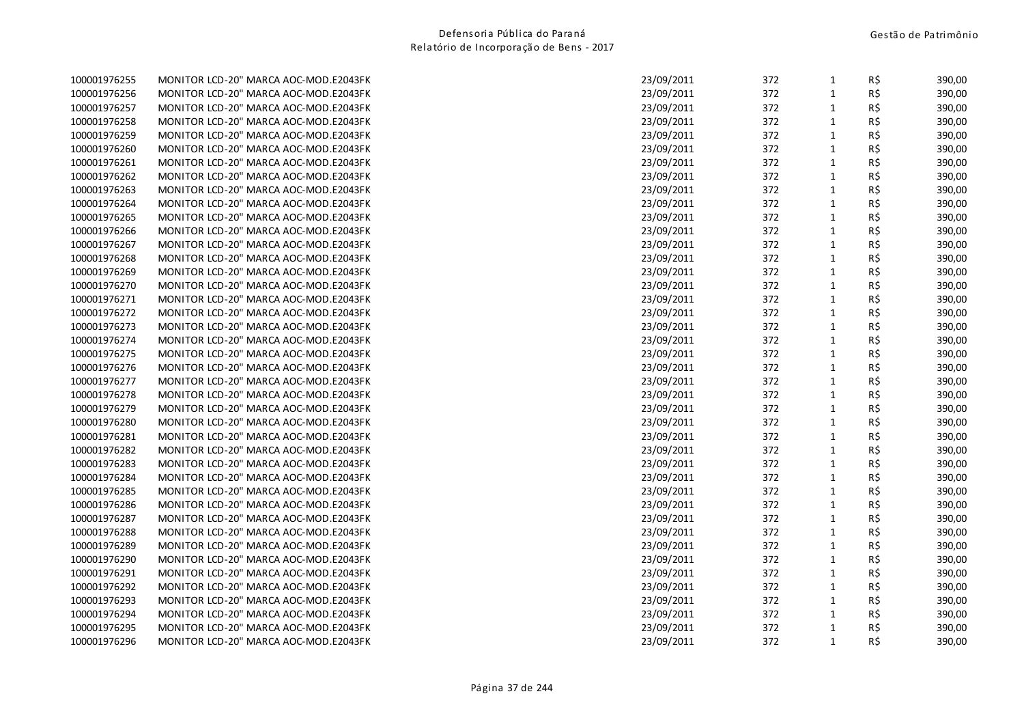| 100001976255 | MONITOR LCD-20" MARCA AOC-MOD.E2043FK | 23/09/2011 | 372 | 1            | R\$ | 390,00 |
|--------------|---------------------------------------|------------|-----|--------------|-----|--------|
| 100001976256 | MONITOR LCD-20" MARCA AOC-MOD.E2043FK | 23/09/2011 | 372 | $\mathbf{1}$ | R\$ | 390,00 |
| 100001976257 | MONITOR LCD-20" MARCA AOC-MOD.E2043FK | 23/09/2011 | 372 | $\mathbf{1}$ | R\$ | 390,00 |
| 100001976258 | MONITOR LCD-20" MARCA AOC-MOD.E2043FK | 23/09/2011 | 372 | $\mathbf{1}$ | R\$ | 390,00 |
| 100001976259 | MONITOR LCD-20" MARCA AOC-MOD.E2043FK | 23/09/2011 | 372 | $\mathbf{1}$ | R\$ | 390,00 |
| 100001976260 | MONITOR LCD-20" MARCA AOC-MOD.E2043FK | 23/09/2011 | 372 | 1            | R\$ | 390,00 |
| 100001976261 | MONITOR LCD-20" MARCA AOC-MOD.E2043FK | 23/09/2011 | 372 | $\mathbf{1}$ | R\$ | 390,00 |
| 100001976262 | MONITOR LCD-20" MARCA AOC-MOD.E2043FK | 23/09/2011 | 372 | $\mathbf{1}$ | R\$ | 390,00 |
| 100001976263 | MONITOR LCD-20" MARCA AOC-MOD.E2043FK | 23/09/2011 | 372 | $\mathbf{1}$ | R\$ | 390,00 |
| 100001976264 | MONITOR LCD-20" MARCA AOC-MOD.E2043FK | 23/09/2011 | 372 | $\mathbf{1}$ | R\$ | 390,00 |
| 100001976265 | MONITOR LCD-20" MARCA AOC-MOD.E2043FK | 23/09/2011 | 372 | $\mathbf{1}$ | R\$ | 390,00 |
| 100001976266 | MONITOR LCD-20" MARCA AOC-MOD.E2043FK | 23/09/2011 | 372 | $\mathbf{1}$ | R\$ | 390,00 |
| 100001976267 | MONITOR LCD-20" MARCA AOC-MOD.E2043FK | 23/09/2011 | 372 | $\mathbf{1}$ | R\$ | 390,00 |
| 100001976268 | MONITOR LCD-20" MARCA AOC-MOD.E2043FK | 23/09/2011 | 372 | $\mathbf{1}$ | R\$ | 390,00 |
| 100001976269 | MONITOR LCD-20" MARCA AOC-MOD.E2043FK | 23/09/2011 | 372 | $\mathbf{1}$ | R\$ | 390,00 |
| 100001976270 | MONITOR LCD-20" MARCA AOC-MOD.E2043FK | 23/09/2011 | 372 | 1            | R\$ | 390,00 |
| 100001976271 | MONITOR LCD-20" MARCA AOC-MOD.E2043FK | 23/09/2011 | 372 | $\mathbf{1}$ | R\$ | 390,00 |
| 100001976272 | MONITOR LCD-20" MARCA AOC-MOD.E2043FK | 23/09/2011 | 372 | $\mathbf{1}$ | R\$ | 390,00 |
| 100001976273 | MONITOR LCD-20" MARCA AOC-MOD.E2043FK | 23/09/2011 | 372 | $\mathbf{1}$ | R\$ | 390,00 |
| 100001976274 | MONITOR LCD-20" MARCA AOC-MOD.E2043FK | 23/09/2011 | 372 | $\mathbf{1}$ | R\$ | 390,00 |
| 100001976275 | MONITOR LCD-20" MARCA AOC-MOD.E2043FK | 23/09/2011 | 372 | $\mathbf{1}$ | R\$ | 390,00 |
| 100001976276 | MONITOR LCD-20" MARCA AOC-MOD.E2043FK | 23/09/2011 | 372 | $\mathbf{1}$ | R\$ | 390,00 |
| 100001976277 | MONITOR LCD-20" MARCA AOC-MOD.E2043FK | 23/09/2011 | 372 | $\mathbf{1}$ | R\$ | 390,00 |
| 100001976278 | MONITOR LCD-20" MARCA AOC-MOD.E2043FK | 23/09/2011 | 372 | 1            | R\$ | 390,00 |
| 100001976279 | MONITOR LCD-20" MARCA AOC-MOD.E2043FK | 23/09/2011 | 372 | $\mathbf{1}$ | R\$ | 390,00 |
| 100001976280 | MONITOR LCD-20" MARCA AOC-MOD.E2043FK | 23/09/2011 | 372 | $\mathbf{1}$ | R\$ | 390,00 |
| 100001976281 | MONITOR LCD-20" MARCA AOC-MOD.E2043FK | 23/09/2011 | 372 | $1\,$        | R\$ | 390,00 |
| 100001976282 | MONITOR LCD-20" MARCA AOC-MOD.E2043FK | 23/09/2011 | 372 | $\mathbf{1}$ | R\$ | 390,00 |
| 100001976283 | MONITOR LCD-20" MARCA AOC-MOD.E2043FK | 23/09/2011 | 372 | $\mathbf{1}$ | R\$ | 390,00 |
| 100001976284 | MONITOR LCD-20" MARCA AOC-MOD.E2043FK | 23/09/2011 | 372 | $\mathbf{1}$ | R\$ | 390,00 |
| 100001976285 | MONITOR LCD-20" MARCA AOC-MOD.E2043FK | 23/09/2011 | 372 | $\mathbf{1}$ | R\$ | 390,00 |
| 100001976286 | MONITOR LCD-20" MARCA AOC-MOD.E2043FK | 23/09/2011 | 372 | $\mathbf{1}$ | R\$ | 390,00 |
| 100001976287 | MONITOR LCD-20" MARCA AOC-MOD.E2043FK | 23/09/2011 | 372 | $\mathbf{1}$ | R\$ | 390,00 |
| 100001976288 | MONITOR LCD-20" MARCA AOC-MOD.E2043FK | 23/09/2011 | 372 | $\mathbf{1}$ | R\$ | 390,00 |
| 100001976289 | MONITOR LCD-20" MARCA AOC-MOD.E2043FK | 23/09/2011 | 372 | $\mathbf{1}$ | R\$ | 390,00 |
| 100001976290 | MONITOR LCD-20" MARCA AOC-MOD.E2043FK | 23/09/2011 | 372 | $\mathbf{1}$ | R\$ | 390,00 |
| 100001976291 | MONITOR LCD-20" MARCA AOC-MOD.E2043FK | 23/09/2011 | 372 | $\mathbf{1}$ | R\$ | 390,00 |
| 100001976292 | MONITOR LCD-20" MARCA AOC-MOD.E2043FK | 23/09/2011 | 372 | 1            | R\$ | 390,00 |
| 100001976293 | MONITOR LCD-20" MARCA AOC-MOD.E2043FK | 23/09/2011 | 372 | $\mathbf{1}$ | R\$ | 390,00 |
| 100001976294 | MONITOR LCD-20" MARCA AOC-MOD.E2043FK | 23/09/2011 | 372 | $\mathbf{1}$ | R\$ | 390,00 |
| 100001976295 | MONITOR LCD-20" MARCA AOC-MOD.E2043FK | 23/09/2011 | 372 | $\mathbf{1}$ | R\$ | 390,00 |
| 100001976296 | MONITOR LCD-20" MARCA AOC-MOD.E2043FK | 23/09/2011 | 372 | $\mathbf{1}$ | R\$ | 390,00 |
|              |                                       |            |     |              |     |        |

| 100001976255 | MONITOR LCD-20" MARCA AOC-MOD.E2043FK | 23/09/2011 | 372 | $\mathbf{1}$ | R\$            | 390,00 |
|--------------|---------------------------------------|------------|-----|--------------|----------------|--------|
| 100001976256 | MONITOR LCD-20" MARCA AOC-MOD.E2043FK | 23/09/2011 | 372 | $\mathbf{1}$ | R\$            | 390,00 |
| 100001976257 | MONITOR LCD-20" MARCA AOC-MOD.E2043FK | 23/09/2011 | 372 | $\mathbf{1}$ | $R\,$ \$       | 390,00 |
| 100001976258 | MONITOR LCD-20" MARCA AOC-MOD.E2043FK | 23/09/2011 | 372 | $\mathbf{1}$ | R\$            | 390,00 |
| 100001976259 | MONITOR LCD-20" MARCA AOC-MOD.E2043FK | 23/09/2011 | 372 | $\mathbf{1}$ | $R\frac{2}{3}$ | 390,00 |
| 100001976260 | MONITOR LCD-20" MARCA AOC-MOD.E2043FK | 23/09/2011 | 372 | $\mathbf{1}$ | R\$            | 390,00 |
| 100001976261 | MONITOR LCD-20" MARCA AOC-MOD.E2043FK | 23/09/2011 | 372 | $\mathbf{1}$ | R\$            | 390,00 |
| 100001976262 | MONITOR LCD-20" MARCA AOC-MOD.E2043FK | 23/09/2011 | 372 | $\mathbf{1}$ | R\$            | 390,00 |
| 100001976263 | MONITOR LCD-20" MARCA AOC-MOD.E2043FK | 23/09/2011 | 372 | $\mathbf{1}$ | R\$            | 390,00 |
| 100001976264 | MONITOR LCD-20" MARCA AOC-MOD.E2043FK | 23/09/2011 | 372 | $\mathbf{1}$ | R\$            | 390,00 |
| 100001976265 | MONITOR LCD-20" MARCA AOC-MOD.E2043FK | 23/09/2011 | 372 | $\mathbf{1}$ | R\$            | 390,00 |
| 100001976266 | MONITOR LCD-20" MARCA AOC-MOD.E2043FK | 23/09/2011 | 372 | $\mathbf{1}$ | $R\,$ \$       | 390,00 |
| 100001976267 | MONITOR LCD-20" MARCA AOC-MOD.E2043FK | 23/09/2011 | 372 | $\mathbf{1}$ | R\$            | 390,00 |
| 100001976268 | MONITOR LCD-20" MARCA AOC-MOD.E2043FK | 23/09/2011 | 372 | $\mathbf{1}$ | R\$            | 390,00 |
| 100001976269 | MONITOR LCD-20" MARCA AOC-MOD.E2043FK | 23/09/2011 | 372 | $\mathbf{1}$ | R\$            | 390,00 |
| 100001976270 | MONITOR LCD-20" MARCA AOC-MOD.E2043FK | 23/09/2011 | 372 | $\mathbf{1}$ | R\$            | 390,00 |
| 100001976271 | MONITOR LCD-20" MARCA AOC-MOD.E2043FK | 23/09/2011 | 372 | $\mathbf{1}$ | R\$            | 390,00 |
| 100001976272 | MONITOR LCD-20" MARCA AOC-MOD.E2043FK | 23/09/2011 | 372 | $\mathbf{1}$ | $R\frac{2}{3}$ | 390,00 |
| 100001976273 | MONITOR LCD-20" MARCA AOC-MOD.E2043FK | 23/09/2011 | 372 | $\mathbf{1}$ | R\$            | 390,00 |
| 100001976274 | MONITOR LCD-20" MARCA AOC-MOD.E2043FK | 23/09/2011 | 372 | $\mathbf{1}$ | R\$            | 390,00 |
| 100001976275 | MONITOR LCD-20" MARCA AOC-MOD.E2043FK | 23/09/2011 | 372 | $\mathbf{1}$ | R\$            | 390,00 |
| 100001976276 | MONITOR LCD-20" MARCA AOC-MOD.E2043FK | 23/09/2011 | 372 | $\mathbf{1}$ | R\$            | 390,00 |
| 100001976277 | MONITOR LCD-20" MARCA AOC-MOD.E2043FK | 23/09/2011 | 372 | $\mathbf 1$  | $R\frac{2}{3}$ | 390,00 |
| 100001976278 | MONITOR LCD-20" MARCA AOC-MOD.E2043FK | 23/09/2011 | 372 | $\mathbf{1}$ | R\$            | 390,00 |
| 100001976279 | MONITOR LCD-20" MARCA AOC-MOD.E2043FK | 23/09/2011 | 372 | $\mathbf{1}$ | R\$            | 390,00 |
| 100001976280 | MONITOR LCD-20" MARCA AOC-MOD.E2043FK | 23/09/2011 | 372 | $\mathbf{1}$ | R\$            | 390,00 |
| 100001976281 | MONITOR LCD-20" MARCA AOC-MOD.E2043FK | 23/09/2011 | 372 | $\mathbf{1}$ | $R\frac{2}{3}$ | 390,00 |
| 100001976282 | MONITOR LCD-20" MARCA AOC-MOD.E2043FK | 23/09/2011 | 372 | $\mathbf{1}$ | R\$            | 390,00 |
| 100001976283 | MONITOR LCD-20" MARCA AOC-MOD.E2043FK | 23/09/2011 | 372 | $\mathbf{1}$ | R\$            | 390,00 |
| 100001976284 | MONITOR LCD-20" MARCA AOC-MOD.E2043FK | 23/09/2011 | 372 | $\mathbf{1}$ | R\$            | 390,00 |
| 100001976285 | MONITOR LCD-20" MARCA AOC-MOD.E2043FK | 23/09/2011 | 372 | $\mathbf{1}$ | $R\frac{2}{3}$ | 390,00 |
| 100001976286 | MONITOR LCD-20" MARCA AOC-MOD.E2043FK | 23/09/2011 | 372 | $\mathbf{1}$ | R\$            | 390,00 |
| 100001976287 | MONITOR LCD-20" MARCA AOC-MOD.E2043FK | 23/09/2011 | 372 | $\mathbf{1}$ | R\$            | 390,00 |
| 100001976288 | MONITOR LCD-20" MARCA AOC-MOD.E2043FK | 23/09/2011 | 372 | $\mathbf{1}$ | R\$            | 390,00 |
| 100001976289 | MONITOR LCD-20" MARCA AOC-MOD.E2043FK | 23/09/2011 | 372 | $\mathbf{1}$ | R\$            | 390,00 |
| 100001976290 | MONITOR LCD-20" MARCA AOC-MOD.E2043FK | 23/09/2011 | 372 | $\mathbf{1}$ | $R\,$ \$       | 390,00 |
| 100001976291 | MONITOR LCD-20" MARCA AOC-MOD.E2043FK | 23/09/2011 | 372 | $\mathbf{1}$ | R\$            | 390,00 |
| 100001976292 | MONITOR LCD-20" MARCA AOC-MOD.E2043FK | 23/09/2011 | 372 | $\mathbf{1}$ | R\$            | 390,00 |
| 100001976293 | MONITOR LCD-20" MARCA AOC-MOD.E2043FK | 23/09/2011 | 372 | $\mathbf{1}$ | R\$            | 390,00 |
| 100001976294 | MONITOR LCD-20" MARCA AOC-MOD.E2043FK | 23/09/2011 | 372 | $\mathbf{1}$ | $R\,$ \$       | 390,00 |
| 100001976295 | MONITOR LCD-20" MARCA AOC-MOD.E2043FK | 23/09/2011 | 372 | $\mathbf{1}$ | R\$            | 390,00 |
| 100001976296 | MONITOR LCD-20" MARCA AOC-MOD.E2043FK | 23/09/2011 | 372 | $\mathbf{1}$ | R\$            | 390,00 |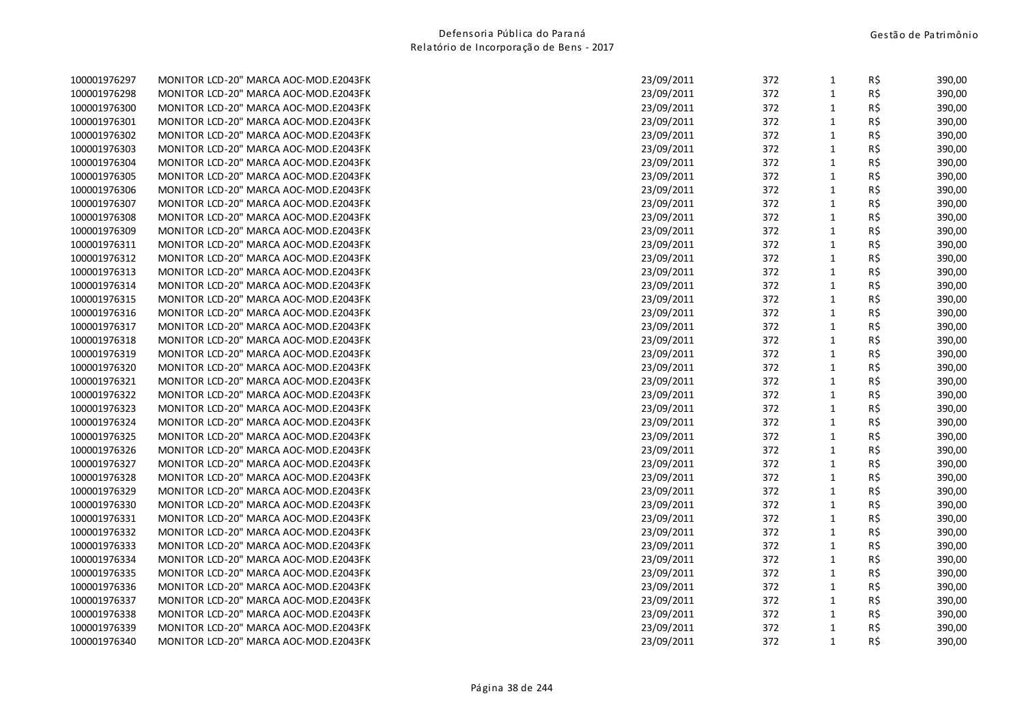| 100001976297 | MONITOR LCD-20" MARCA AOC-MOD.E2043FK |
|--------------|---------------------------------------|
| 100001976298 | MONITOR LCD-20" MARCA AOC-MOD.E2043FK |
| 100001976300 | MONITOR LCD-20" MARCA AOC-MOD.E2043FK |
| 100001976301 | MONITOR LCD-20" MARCA AOC-MOD.E2043FK |
| 100001976302 | MONITOR LCD-20" MARCA AOC-MOD.E2043FK |
| 100001976303 | MONITOR LCD-20" MARCA AOC-MOD.E2043FK |
| 100001976304 | MONITOR LCD-20" MARCA AOC-MOD.E2043FK |
| 100001976305 | MONITOR LCD-20" MARCA AOC-MOD.E2043FK |
| 100001976306 | MONITOR LCD-20" MARCA AOC-MOD.E2043FK |
| 100001976307 | MONITOR LCD-20" MARCA AOC-MOD.E2043FK |
| 100001976308 | MONITOR LCD-20" MARCA AOC-MOD.E2043FK |
| 100001976309 | MONITOR LCD-20" MARCA AOC-MOD.E2043FK |
| 100001976311 | MONITOR LCD-20" MARCA AOC-MOD.E2043FK |
| 100001976312 | MONITOR LCD-20" MARCA AOC-MOD.E2043FK |
| 100001976313 | MONITOR LCD-20" MARCA AOC-MOD.E2043FK |
| 100001976314 | MONITOR LCD-20" MARCA AOC-MOD.E2043FK |
| 100001976315 | MONITOR LCD-20" MARCA AOC-MOD.E2043FK |
| 100001976316 | MONITOR LCD-20" MARCA AOC-MOD.E2043FK |
| 100001976317 | MONITOR LCD-20" MARCA AOC-MOD.E2043FK |
| 100001976318 | MONITOR LCD-20" MARCA AOC-MOD.E2043FK |
| 100001976319 | MONITOR LCD-20" MARCA AOC-MOD.E2043FK |
| 100001976320 | MONITOR LCD-20" MARCA AOC-MOD.E2043FK |
| 100001976321 | MONITOR LCD-20" MARCA AOC-MOD.E2043FK |
| 100001976322 | MONITOR LCD-20" MARCA AOC-MOD.E2043FK |
| 100001976323 | MONITOR LCD-20" MARCA AOC-MOD.E2043FK |
| 100001976324 | MONITOR LCD-20" MARCA AOC-MOD.E2043FK |
| 100001976325 | MONITOR LCD-20" MARCA AOC-MOD.E2043FK |
| 100001976326 | MONITOR LCD-20" MARCA AOC-MOD.E2043FK |
| 100001976327 | MONITOR LCD-20" MARCA AOC-MOD.E2043FK |
| 100001976328 | MONITOR LCD-20" MARCA AOC-MOD.E2043FK |
| 100001976329 | MONITOR LCD-20" MARCA AOC-MOD.E2043FK |
| 100001976330 | MONITOR LCD-20" MARCA AOC-MOD.E2043FK |
| 100001976331 | MONITOR LCD-20" MARCA AOC-MOD.E2043FK |
| 100001976332 | MONITOR LCD-20" MARCA AOC-MOD.E2043FK |
| 100001976333 | MONITOR LCD-20" MARCA AOC-MOD.E2043FK |
| 100001976334 | MONITOR LCD-20" MARCA AOC-MOD.E2043FK |
| 100001976335 | MONITOR LCD-20" MARCA AOC-MOD.E2043FK |
| 100001976336 | MONITOR LCD-20" MARCA AOC-MOD.E2043FK |
| 100001976337 | MONITOR LCD-20" MARCA AOC-MOD.E2043FK |
| 100001976338 | MONITOR LCD-20" MARCA AOC-MOD.E2043FK |
| 100001976339 | MONITOR LCD-20" MARCA AOC-MOD.E2043FK |
| 100001976340 | MONITOR LCD-20" MARCA AOC-MOD.E2043FK |

| 100001976297 | MONITOR LCD-20" MARCA AOC-MOD.E2043FK | 23/09/2011 | 372 | 1            | R\$ | 390,00 |
|--------------|---------------------------------------|------------|-----|--------------|-----|--------|
| 100001976298 | MONITOR LCD-20" MARCA AOC-MOD.E2043FK | 23/09/2011 | 372 | $\mathbf{1}$ | R\$ | 390,00 |
| 100001976300 | MONITOR LCD-20" MARCA AOC-MOD.E2043FK | 23/09/2011 | 372 | $\mathbf{1}$ | R\$ | 390,00 |
| 100001976301 | MONITOR LCD-20" MARCA AOC-MOD.E2043FK | 23/09/2011 | 372 | $\mathbf{1}$ | R\$ | 390,00 |
| 100001976302 | MONITOR LCD-20" MARCA AOC-MOD.E2043FK | 23/09/2011 | 372 | $\mathbf{1}$ | R\$ | 390,00 |
| 100001976303 | MONITOR LCD-20" MARCA AOC-MOD.E2043FK | 23/09/2011 | 372 | 1            | R\$ | 390,00 |
| 100001976304 | MONITOR LCD-20" MARCA AOC-MOD.E2043FK | 23/09/2011 | 372 | $\mathbf{1}$ | R\$ | 390,00 |
| 100001976305 | MONITOR LCD-20" MARCA AOC-MOD.E2043FK | 23/09/2011 | 372 | $\mathbf{1}$ | R\$ | 390,00 |
| 100001976306 | MONITOR LCD-20" MARCA AOC-MOD.E2043FK | 23/09/2011 | 372 | $\mathbf{1}$ | R\$ | 390,00 |
| 100001976307 | MONITOR LCD-20" MARCA AOC-MOD.E2043FK | 23/09/2011 | 372 | $\mathbf{1}$ | R\$ | 390,00 |
| 100001976308 | MONITOR LCD-20" MARCA AOC-MOD.E2043FK | 23/09/2011 | 372 | $\mathbf{1}$ | R\$ | 390,00 |
| 100001976309 | MONITOR LCD-20" MARCA AOC-MOD.E2043FK | 23/09/2011 | 372 | $\mathbf{1}$ | R\$ | 390,00 |
| 100001976311 | MONITOR LCD-20" MARCA AOC-MOD.E2043FK | 23/09/2011 | 372 | $\mathbf{1}$ | R\$ | 390,00 |
| 100001976312 | MONITOR LCD-20" MARCA AOC-MOD.E2043FK | 23/09/2011 | 372 | $\mathbf{1}$ | R\$ | 390,00 |
| 100001976313 | MONITOR LCD-20" MARCA AOC-MOD.E2043FK | 23/09/2011 | 372 | 1            | R\$ | 390,00 |
| 100001976314 | MONITOR LCD-20" MARCA AOC-MOD.E2043FK | 23/09/2011 | 372 | $\mathbf{1}$ | R\$ | 390,00 |
| 100001976315 | MONITOR LCD-20" MARCA AOC-MOD.E2043FK | 23/09/2011 | 372 | $\mathbf{1}$ | R\$ | 390,00 |
| 100001976316 | MONITOR LCD-20" MARCA AOC-MOD.E2043FK | 23/09/2011 | 372 | $1\,$        | R\$ | 390,00 |
| 100001976317 | MONITOR LCD-20" MARCA AOC-MOD.E2043FK | 23/09/2011 | 372 | $\mathbf{1}$ | R\$ | 390,00 |
| 100001976318 | MONITOR LCD-20" MARCA AOC-MOD.E2043FK | 23/09/2011 | 372 | $\mathbf{1}$ | R\$ | 390,00 |
| 100001976319 | MONITOR LCD-20" MARCA AOC-MOD.E2043FK | 23/09/2011 | 372 | $\mathbf{1}$ | R\$ | 390,00 |
| 100001976320 | MONITOR LCD-20" MARCA AOC-MOD.E2043FK | 23/09/2011 | 372 | $\mathbf{1}$ | R\$ | 390,00 |
| 100001976321 | MONITOR LCD-20" MARCA AOC-MOD.E2043FK | 23/09/2011 | 372 | $\mathbf{1}$ | R\$ | 390,00 |
| 100001976322 | MONITOR LCD-20" MARCA AOC-MOD.E2043FK | 23/09/2011 | 372 | $\mathbf{1}$ | R\$ | 390,00 |
| 100001976323 | MONITOR LCD-20" MARCA AOC-MOD.E2043FK | 23/09/2011 | 372 | $\mathbf{1}$ | R\$ | 390,00 |
| 100001976324 | MONITOR LCD-20" MARCA AOC-MOD.E2043FK | 23/09/2011 | 372 | $\mathbf{1}$ | R\$ | 390,00 |
| 100001976325 | MONITOR LCD-20" MARCA AOC-MOD.E2043FK | 23/09/2011 | 372 | $1\,$        | R\$ | 390,00 |
| 100001976326 | MONITOR LCD-20" MARCA AOC-MOD.E2043FK | 23/09/2011 | 372 | $\mathbf{1}$ | R\$ | 390,00 |
| 100001976327 | MONITOR LCD-20" MARCA AOC-MOD.E2043FK | 23/09/2011 | 372 | $\mathbf{1}$ | R\$ | 390,00 |
| 100001976328 | MONITOR LCD-20" MARCA AOC-MOD.E2043FK | 23/09/2011 | 372 | $\mathbf{1}$ | R\$ | 390,00 |
| 100001976329 | MONITOR LCD-20" MARCA AOC-MOD.E2043FK | 23/09/2011 | 372 | $\mathbf{1}$ | R\$ | 390,00 |
| 100001976330 | MONITOR LCD-20" MARCA AOC-MOD.E2043FK | 23/09/2011 | 372 | $1\,$        | R\$ | 390,00 |
| 100001976331 | MONITOR LCD-20" MARCA AOC-MOD.E2043FK | 23/09/2011 | 372 | $\mathbf{1}$ | R\$ | 390,00 |
| 100001976332 | MONITOR LCD-20" MARCA AOC-MOD.E2043FK | 23/09/2011 | 372 | 1            | R\$ | 390,00 |
| 100001976333 | MONITOR LCD-20" MARCA AOC-MOD.E2043FK | 23/09/2011 | 372 | $\mathbf{1}$ | R\$ | 390,00 |
| 100001976334 | MONITOR LCD-20" MARCA AOC-MOD.E2043FK | 23/09/2011 | 372 | $\mathbf{1}$ | R\$ | 390,00 |
| 100001976335 | MONITOR LCD-20" MARCA AOC-MOD.E2043FK | 23/09/2011 | 372 | $\mathbf{1}$ | R\$ | 390,00 |
| 100001976336 | MONITOR LCD-20" MARCA AOC-MOD.E2043FK | 23/09/2011 | 372 | $\mathbf{1}$ | R\$ | 390,00 |
| 100001976337 | MONITOR LCD-20" MARCA AOC-MOD.E2043FK | 23/09/2011 | 372 | $\mathbf{1}$ | R\$ | 390,00 |
| 100001976338 | MONITOR LCD-20" MARCA AOC-MOD.E2043FK | 23/09/2011 | 372 | $\mathbf{1}$ | R\$ | 390,00 |
| 100001976339 | MONITOR LCD-20" MARCA AOC-MOD.E2043FK | 23/09/2011 | 372 | $\mathbf{1}$ | R\$ | 390,00 |
| 100001976340 | MONITOR LCD-20" MARCA AOC-MOD.E2043FK | 23/09/2011 | 372 | $\mathbf{1}$ | R\$ | 390,00 |
|              |                                       |            |     |              |     |        |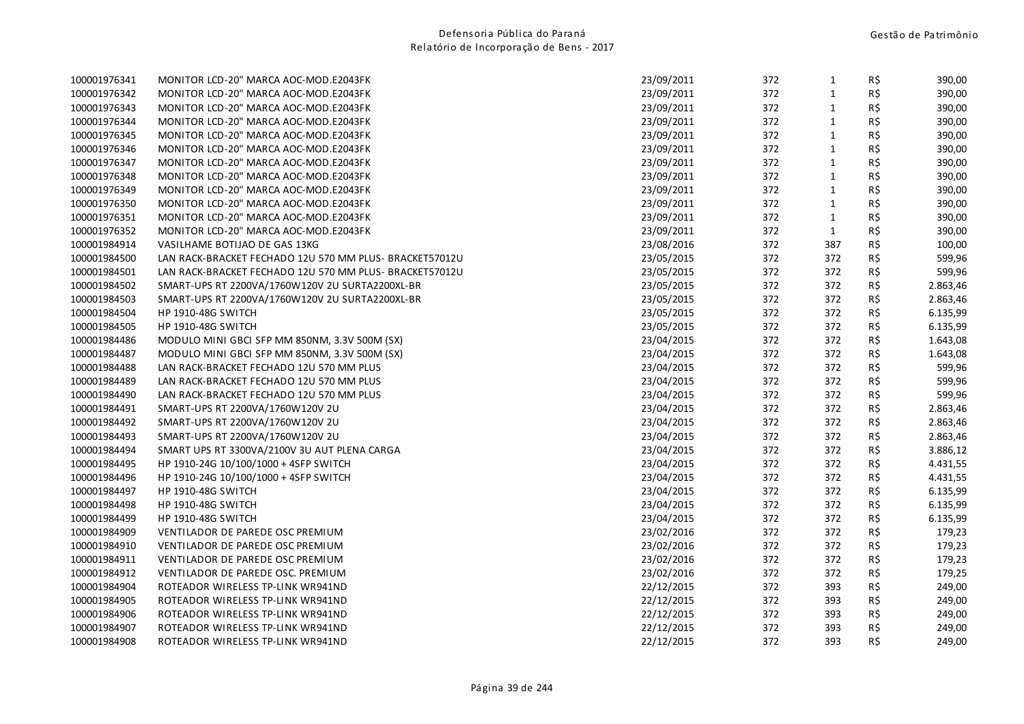| 100001976341 | MONITOR LCD-20" MARCA AOC-MOD.E2043FK                   | 23/09/2011 | 372 | $\mathbf{1}$ | R\$            | 390,00   |
|--------------|---------------------------------------------------------|------------|-----|--------------|----------------|----------|
| 100001976342 | MONITOR LCD-20" MARCA AOC-MOD.E2043FK                   | 23/09/2011 | 372 | $\mathbf 1$  | $R\frac{2}{3}$ | 390,00   |
| 100001976343 | MONITOR LCD-20" MARCA AOC-MOD.E2043FK                   | 23/09/2011 | 372 | $\mathbf 1$  | R\$            | 390,00   |
| 100001976344 | MONITOR LCD-20" MARCA AOC-MOD.E2043FK                   | 23/09/2011 | 372 | $\mathbf 1$  | R\$            | 390,00   |
| 100001976345 | MONITOR LCD-20" MARCA AOC-MOD.E2043FK                   | 23/09/2011 | 372 | $\mathbf 1$  | R\$            | 390,00   |
| 100001976346 | MONITOR LCD-20" MARCA AOC-MOD.E2043FK                   | 23/09/2011 | 372 | $\mathbf{1}$ | R\$            | 390,00   |
| 100001976347 | MONITOR LCD-20" MARCA AOC-MOD.E2043FK                   | 23/09/2011 | 372 | $\mathbf 1$  | R\$            | 390,00   |
| 100001976348 | MONITOR LCD-20" MARCA AOC-MOD.E2043FK                   | 23/09/2011 | 372 | $\mathbf 1$  | R\$            | 390,00   |
| 100001976349 | MONITOR LCD-20" MARCA AOC-MOD.E2043FK                   | 23/09/2011 | 372 | $\mathbf{1}$ | R\$            | 390,00   |
| 100001976350 | MONITOR LCD-20" MARCA AOC-MOD.E2043FK                   | 23/09/2011 | 372 | $\mathbf{1}$ | R\$            | 390,00   |
| 100001976351 | MONITOR LCD-20" MARCA AOC-MOD.E2043FK                   | 23/09/2011 | 372 | $\mathbf{1}$ | R\$            | 390,00   |
| 100001976352 | MONITOR LCD-20" MARCA AOC-MOD.E2043FK                   | 23/09/2011 | 372 | $\mathbf 1$  | R\$            | 390,00   |
| 100001984914 | VASILHAME BOTIJAO DE GAS 13KG                           | 23/08/2016 | 372 | 387          | R\$            | 100,00   |
| 100001984500 | LAN RACK-BRACKET FECHADO 12U 570 MM PLUS- BRACKET57012U | 23/05/2015 | 372 | 372          | R\$            | 599,96   |
| 100001984501 | LAN RACK-BRACKET FECHADO 12U 570 MM PLUS- BRACKET57012U | 23/05/2015 | 372 | 372          | $R\frac{2}{3}$ | 599,96   |
| 100001984502 | SMART-UPS RT 2200VA/1760W120V 2U SURTA2200XL-BR         | 23/05/2015 | 372 | 372          | R\$            | 2.863,46 |
| 100001984503 | SMART-UPS RT 2200VA/1760W120V 2U SURTA2200XL-BR         | 23/05/2015 | 372 | 372          | R\$            | 2.863,46 |
| 100001984504 | <b>HP 1910-48G SWITCH</b>                               | 23/05/2015 | 372 | 372          | R\$            | 6.135,99 |
| 100001984505 | <b>HP 1910-48G SWITCH</b>                               | 23/05/2015 | 372 | 372          | $R\frac{2}{3}$ | 6.135,99 |
| 100001984486 | MODULO MINI GBCI SFP MM 850NM, 3.3V 500M (SX)           | 23/04/2015 | 372 | 372          | R\$            | 1.643,08 |
| 100001984487 | MODULO MINI GBCI SFP MM 850NM, 3.3V 500M (SX)           | 23/04/2015 | 372 | 372          | R\$            | 1.643,08 |
| 100001984488 | LAN RACK-BRACKET FECHADO 12U 570 MM PLUS                | 23/04/2015 | 372 | 372          | R\$            | 599,96   |
| 100001984489 | LAN RACK-BRACKET FECHADO 12U 570 MM PLUS                | 23/04/2015 | 372 | 372          | $R\frac{2}{3}$ | 599,96   |
| 100001984490 | LAN RACK-BRACKET FECHADO 12U 570 MM PLUS                | 23/04/2015 | 372 | 372          | R\$            | 599,96   |
| 100001984491 | SMART-UPS RT 2200VA/1760W120V 2U                        | 23/04/2015 | 372 | 372          | R\$            | 2.863,46 |
| 100001984492 | SMART-UPS RT 2200VA/1760W120V 2U                        | 23/04/2015 | 372 | 372          | R\$            | 2.863,46 |
| 100001984493 | SMART-UPS RT 2200VA/1760W120V 2U                        | 23/04/2015 | 372 | 372          | R\$            | 2.863,46 |
| 100001984494 | SMART UPS RT 3300VA/2100V 3U AUT PLENA CARGA            | 23/04/2015 | 372 | 372          | $R\frac{2}{3}$ | 3.886,12 |
| 100001984495 | HP 1910-24G 10/100/1000 + 4SFP SWITCH                   | 23/04/2015 | 372 | 372          | R\$            | 4.431,55 |
| 100001984496 | HP 1910-24G 10/100/1000 + 4SFP SWITCH                   | 23/04/2015 | 372 | 372          | R\$            | 4.431,55 |
| 100001984497 | HP 1910-48G SWITCH                                      | 23/04/2015 | 372 | 372          | R\$            | 6.135,99 |
| 100001984498 | <b>HP 1910-48G SWITCH</b>                               | 23/04/2015 | 372 | 372          | $R\hat{S}$     | 6.135,99 |
| 100001984499 | <b>HP 1910-48G SWITCH</b>                               | 23/04/2015 | 372 | 372          | R\$            | 6.135,99 |
| 100001984909 | VENTILADOR DE PAREDE OSC PREMIUM                        | 23/02/2016 | 372 | 372          | R\$            | 179,23   |
| 100001984910 | VENTILADOR DE PAREDE OSC PREMIUM                        | 23/02/2016 | 372 | 372          | R\$            | 179,23   |
| 100001984911 | VENTILADOR DE PAREDE OSC PREMIUM                        | 23/02/2016 | 372 | 372          | $R\hat{S}$     | 179,23   |
| 100001984912 | VENTILADOR DE PAREDE OSC. PREMIUM                       | 23/02/2016 | 372 | 372          | R\$            | 179,25   |
| 100001984904 | ROTEADOR WIRELESS TP-LINK WR941ND                       | 22/12/2015 | 372 | 393          | R\$            | 249,00   |
| 100001984905 | ROTEADOR WIRELESS TP-LINK WR941ND                       | 22/12/2015 | 372 | 393          | R\$            | 249,00   |
| 100001984906 | ROTEADOR WIRELESS TP-LINK WR941ND                       | 22/12/2015 | 372 | 393          | $R\,$ \$       | 249,00   |
| 100001984907 | ROTEADOR WIRELESS TP-LINK WR941ND                       | 22/12/2015 | 372 | 393          | R\$            | 249,00   |
| 100001984908 | ROTEADOR WIRELESS TP-LINK WR941ND                       | 22/12/2015 | 372 | 393          | R\$            | 249,00   |
|              |                                                         |            |     |              |                |          |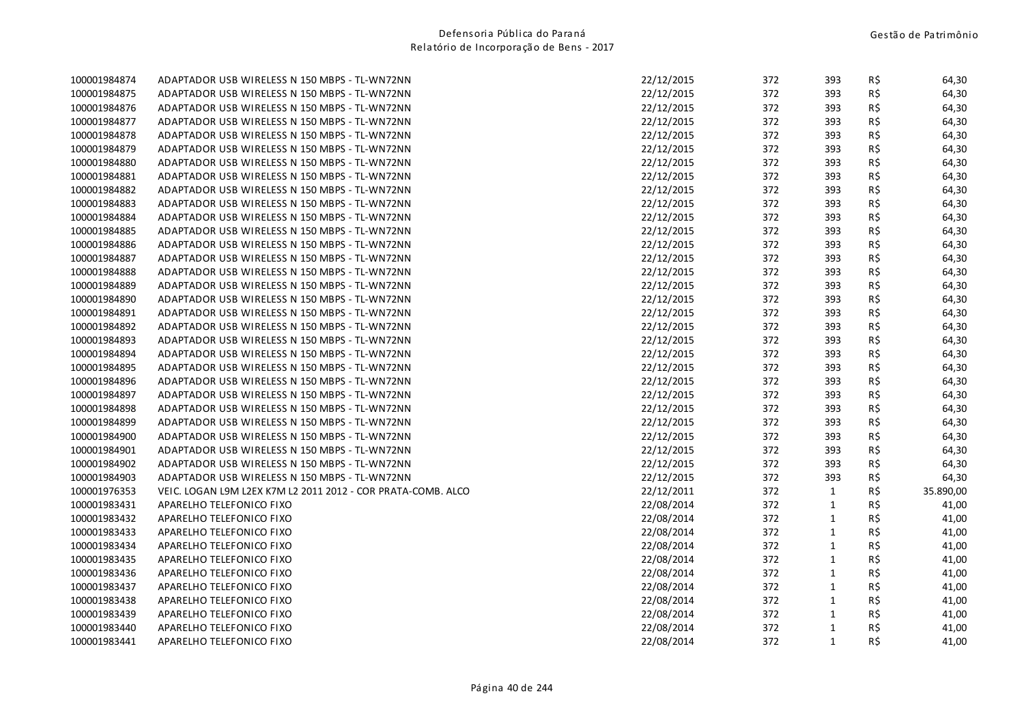| 100001984874 | ADAPTADOR USB WIRELESS N 150 MBPS - TL-WN72NN                | 22/12/2015 | 372 | 393          | R\$ | 64,30     |
|--------------|--------------------------------------------------------------|------------|-----|--------------|-----|-----------|
| 100001984875 | ADAPTADOR USB WIRELESS N 150 MBPS - TL-WN72NN                | 22/12/2015 | 372 | 393          | R\$ | 64,30     |
| 100001984876 | ADAPTADOR USB WIRELESS N 150 MBPS - TL-WN72NN                | 22/12/2015 | 372 | 393          | R\$ | 64,30     |
| 100001984877 | ADAPTADOR USB WIRELESS N 150 MBPS - TL-WN72NN                | 22/12/2015 | 372 | 393          | R\$ | 64,30     |
| 100001984878 | ADAPTADOR USB WIRELESS N 150 MBPS - TL-WN72NN                | 22/12/2015 | 372 | 393          | R\$ | 64,30     |
| 100001984879 | ADAPTADOR USB WIRELESS N 150 MBPS - TL-WN72NN                | 22/12/2015 | 372 | 393          | R\$ | 64,30     |
| 100001984880 | ADAPTADOR USB WIRELESS N 150 MBPS - TL-WN72NN                | 22/12/2015 | 372 | 393          | R\$ | 64,30     |
| 100001984881 | ADAPTADOR USB WIRELESS N 150 MBPS - TL-WN72NN                | 22/12/2015 | 372 | 393          | R\$ | 64,30     |
| 100001984882 | ADAPTADOR USB WIRELESS N 150 MBPS - TL-WN72NN                | 22/12/2015 | 372 | 393          | R\$ | 64,30     |
| 100001984883 | ADAPTADOR USB WIRELESS N 150 MBPS - TL-WN72NN                | 22/12/2015 | 372 | 393          | R\$ | 64,30     |
| 100001984884 | ADAPTADOR USB WIRELESS N 150 MBPS - TL-WN72NN                | 22/12/2015 | 372 | 393          | R\$ | 64,30     |
| 100001984885 | ADAPTADOR USB WIRELESS N 150 MBPS - TL-WN72NN                | 22/12/2015 | 372 | 393          | R\$ | 64,30     |
| 100001984886 | ADAPTADOR USB WIRELESS N 150 MBPS - TL-WN72NN                | 22/12/2015 | 372 | 393          | R\$ | 64,30     |
| 100001984887 | ADAPTADOR USB WIRELESS N 150 MBPS - TL-WN72NN                | 22/12/2015 | 372 | 393          | R\$ | 64,30     |
| 100001984888 | ADAPTADOR USB WIRELESS N 150 MBPS - TL-WN72NN                | 22/12/2015 | 372 | 393          | R\$ | 64,30     |
| 100001984889 | ADAPTADOR USB WIRELESS N 150 MBPS - TL-WN72NN                | 22/12/2015 | 372 | 393          | R\$ | 64,30     |
| 100001984890 | ADAPTADOR USB WIRELESS N 150 MBPS - TL-WN72NN                | 22/12/2015 | 372 | 393          | R\$ | 64,30     |
| 100001984891 | ADAPTADOR USB WIRELESS N 150 MBPS - TL-WN72NN                | 22/12/2015 | 372 | 393          | R\$ | 64,30     |
| 100001984892 | ADAPTADOR USB WIRELESS N 150 MBPS - TL-WN72NN                | 22/12/2015 | 372 | 393          | R\$ | 64,30     |
| 100001984893 | ADAPTADOR USB WIRELESS N 150 MBPS - TL-WN72NN                | 22/12/2015 | 372 | 393          | R\$ | 64,30     |
| 100001984894 | ADAPTADOR USB WIRELESS N 150 MBPS - TL-WN72NN                | 22/12/2015 | 372 | 393          | R\$ | 64,30     |
| 100001984895 | ADAPTADOR USB WIRELESS N 150 MBPS - TL-WN72NN                | 22/12/2015 | 372 | 393          | R\$ | 64,30     |
| 100001984896 | ADAPTADOR USB WIRELESS N 150 MBPS - TL-WN72NN                | 22/12/2015 | 372 | 393          | R\$ | 64,30     |
| 100001984897 | ADAPTADOR USB WIRELESS N 150 MBPS - TL-WN72NN                | 22/12/2015 | 372 | 393          | R\$ | 64,30     |
| 100001984898 | ADAPTADOR USB WIRELESS N 150 MBPS - TL-WN72NN                | 22/12/2015 | 372 | 393          | R\$ | 64,30     |
| 100001984899 | ADAPTADOR USB WIRELESS N 150 MBPS - TL-WN72NN                | 22/12/2015 | 372 | 393          | R\$ | 64,30     |
| 100001984900 | ADAPTADOR USB WIRELESS N 150 MBPS - TL-WN72NN                | 22/12/2015 | 372 | 393          | R\$ | 64,30     |
| 100001984901 | ADAPTADOR USB WIRELESS N 150 MBPS - TL-WN72NN                | 22/12/2015 | 372 | 393          | R\$ | 64,30     |
| 100001984902 | ADAPTADOR USB WIRELESS N 150 MBPS - TL-WN72NN                | 22/12/2015 | 372 | 393          | R\$ | 64,30     |
| 100001984903 | ADAPTADOR USB WIRELESS N 150 MBPS - TL-WN72NN                | 22/12/2015 | 372 | 393          | R\$ | 64,30     |
| 100001976353 | VEIC. LOGAN L9M L2EX K7M L2 2011 2012 - COR PRATA-COMB. ALCO | 22/12/2011 | 372 | $\mathbf{1}$ | R\$ | 35.890,00 |
| 100001983431 | APARELHO TELEFONICO FIXO                                     | 22/08/2014 | 372 | $\mathbf{1}$ | R\$ | 41,00     |
| 100001983432 | APARELHO TELEFONICO FIXO                                     | 22/08/2014 | 372 | $\mathbf{1}$ | R\$ | 41,00     |
| 100001983433 | APARELHO TELEFONICO FIXO                                     | 22/08/2014 | 372 | $\mathbf{1}$ | R\$ | 41,00     |
| 100001983434 | APARELHO TELEFONICO FIXO                                     | 22/08/2014 | 372 | $\mathbf{1}$ | R\$ | 41,00     |
| 100001983435 | APARELHO TELEFONICO FIXO                                     | 22/08/2014 | 372 | $\mathbf{1}$ | R\$ | 41,00     |
| 100001983436 | APARELHO TELEFONICO FIXO                                     | 22/08/2014 | 372 | $\mathbf{1}$ | R\$ | 41,00     |
| 100001983437 | APARELHO TELEFONICO FIXO                                     | 22/08/2014 | 372 | $\mathbf{1}$ | R\$ | 41,00     |
| 100001983438 | APARELHO TELEFONICO FIXO                                     | 22/08/2014 | 372 | $\mathbf{1}$ | R\$ | 41,00     |
| 100001983439 | APARELHO TELEFONICO FIXO                                     | 22/08/2014 | 372 | $\mathbf{1}$ | R\$ | 41,00     |
| 100001983440 | APARELHO TELEFONICO FIXO                                     | 22/08/2014 | 372 | $\mathbf{1}$ | R\$ | 41,00     |
| 100001983441 | APARELHO TELEFONICO FIXO                                     | 22/08/2014 | 372 | $\mathbf{1}$ | R\$ | 41,00     |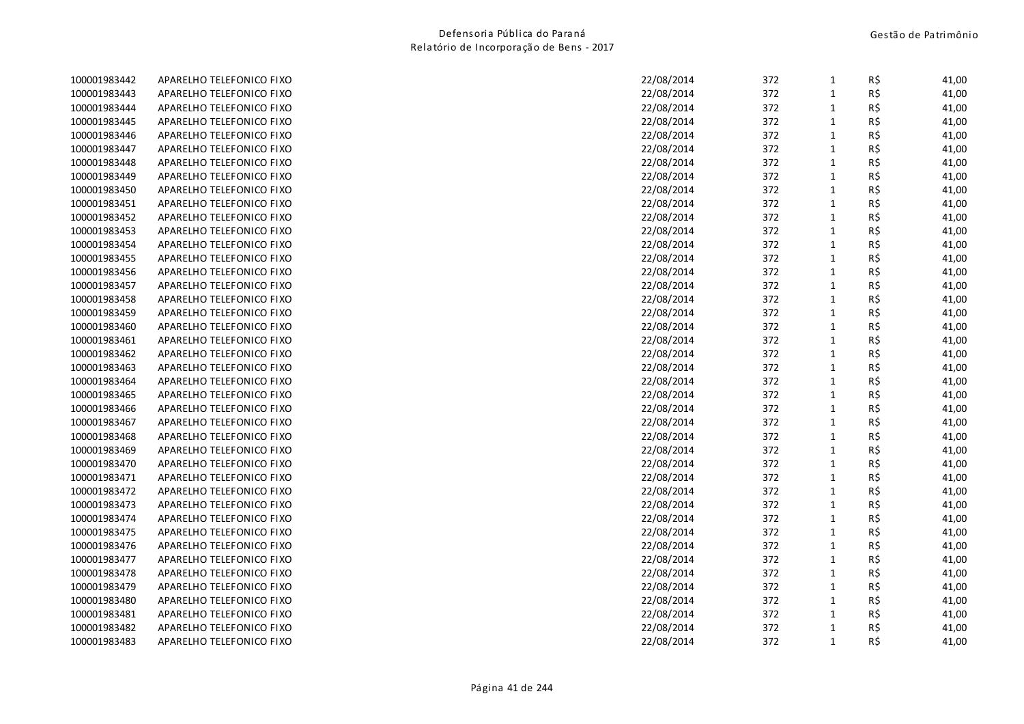| 100001983442 | APARELHO TELEFONICO FIXO | 22/08/2014 | 372 | 1            | R\$ | 41,00 |
|--------------|--------------------------|------------|-----|--------------|-----|-------|
| 100001983443 | APARELHO TELEFONICO FIXO | 22/08/2014 | 372 | $\mathbf{1}$ | R\$ | 41,00 |
| 100001983444 | APARELHO TELEFONICO FIXO | 22/08/2014 | 372 | $\mathbf{1}$ | R\$ | 41,00 |
| 100001983445 | APARELHO TELEFONICO FIXO | 22/08/2014 | 372 | $\mathbf{1}$ | R\$ | 41,00 |
| 100001983446 | APARELHO TELEFONICO FIXO | 22/08/2014 | 372 | $\mathbf{1}$ | R\$ | 41,00 |
| 100001983447 | APARELHO TELEFONICO FIXO | 22/08/2014 | 372 | $\mathbf{1}$ | R\$ | 41,00 |
| 100001983448 | APARELHO TELEFONICO FIXO | 22/08/2014 | 372 | $\mathbf 1$  | R\$ | 41,00 |
| 100001983449 | APARELHO TELEFONICO FIXO | 22/08/2014 | 372 | $\mathbf{1}$ | R\$ | 41,00 |
| 100001983450 | APARELHO TELEFONICO FIXO | 22/08/2014 | 372 | $\mathbf{1}$ | R\$ | 41,00 |
| 100001983451 | APARELHO TELEFONICO FIXO | 22/08/2014 | 372 | $\mathbf{1}$ | R\$ | 41,00 |
| 100001983452 | APARELHO TELEFONICO FIXO | 22/08/2014 | 372 | $\mathbf 1$  | R\$ | 41,00 |
| 100001983453 | APARELHO TELEFONICO FIXO | 22/08/2014 | 372 | $\mathbf 1$  | R\$ | 41,00 |
| 100001983454 | APARELHO TELEFONICO FIXO | 22/08/2014 | 372 | $\mathbf 1$  | R\$ | 41,00 |
| 100001983455 | APARELHO TELEFONICO FIXO | 22/08/2014 | 372 | $\mathbf{1}$ | R\$ | 41,00 |
| 100001983456 | APARELHO TELEFONICO FIXO | 22/08/2014 | 372 | $\mathbf{1}$ | R\$ | 41,00 |
| 100001983457 | APARELHO TELEFONICO FIXO | 22/08/2014 | 372 | $\mathbf{1}$ | R\$ | 41,00 |
| 100001983458 | APARELHO TELEFONICO FIXO | 22/08/2014 | 372 | $\mathbf{1}$ | R\$ | 41,00 |
| 100001983459 | APARELHO TELEFONICO FIXO | 22/08/2014 | 372 | $\mathbf{1}$ | R\$ | 41,00 |
| 100001983460 | APARELHO TELEFONICO FIXO | 22/08/2014 | 372 | $\mathbf{1}$ | R\$ | 41,00 |
| 100001983461 | APARELHO TELEFONICO FIXO | 22/08/2014 | 372 | $\mathbf 1$  | R\$ | 41,00 |
| 100001983462 | APARELHO TELEFONICO FIXO | 22/08/2014 | 372 | $\mathbf{1}$ | R\$ | 41,00 |
| 100001983463 | APARELHO TELEFONICO FIXO | 22/08/2014 | 372 | $\mathbf{1}$ | R\$ | 41,00 |
| 100001983464 | APARELHO TELEFONICO FIXO | 22/08/2014 | 372 | $\mathbf{1}$ | R\$ | 41,00 |
| 100001983465 | APARELHO TELEFONICO FIXO | 22/08/2014 | 372 | $\mathbf{1}$ | R\$ | 41,00 |
| 100001983466 | APARELHO TELEFONICO FIXO | 22/08/2014 | 372 | $\mathbf{1}$ | R\$ | 41,00 |
| 100001983467 | APARELHO TELEFONICO FIXO | 22/08/2014 | 372 | $\mathbf{1}$ | R\$ | 41,00 |
| 100001983468 | APARELHO TELEFONICO FIXO | 22/08/2014 | 372 | $\mathbf{1}$ | R\$ | 41,00 |
| 100001983469 | APARELHO TELEFONICO FIXO | 22/08/2014 | 372 | $\mathbf{1}$ | R\$ | 41,00 |
| 100001983470 | APARELHO TELEFONICO FIXO | 22/08/2014 | 372 | $\mathbf{1}$ | R\$ | 41,00 |
| 100001983471 | APARELHO TELEFONICO FIXO | 22/08/2014 | 372 | $\mathbf 1$  | R\$ | 41,00 |
| 100001983472 | APARELHO TELEFONICO FIXO | 22/08/2014 | 372 | $\mathbf{1}$ | R\$ | 41,00 |
| 100001983473 | APARELHO TELEFONICO FIXO | 22/08/2014 | 372 | $\mathbf{1}$ | R\$ | 41,00 |
| 100001983474 | APARELHO TELEFONICO FIXO | 22/08/2014 | 372 | $\mathbf{1}$ | R\$ | 41,00 |
| 100001983475 | APARELHO TELEFONICO FIXO | 22/08/2014 | 372 | $\mathbf{1}$ | R\$ | 41,00 |
| 100001983476 | APARELHO TELEFONICO FIXO | 22/08/2014 | 372 | $\mathbf{1}$ | R\$ | 41,00 |
| 100001983477 | APARELHO TELEFONICO FIXO | 22/08/2014 | 372 | $\mathbf{1}$ | R\$ | 41,00 |
| 100001983478 | APARELHO TELEFONICO FIXO | 22/08/2014 | 372 | $\mathbf 1$  | R\$ | 41,00 |
| 100001983479 | APARELHO TELEFONICO FIXO | 22/08/2014 | 372 | $\mathbf{1}$ | R\$ | 41,00 |
| 100001983480 | APARELHO TELEFONICO FIXO | 22/08/2014 | 372 | $\mathbf 1$  | R\$ | 41,00 |
| 100001983481 | APARELHO TELEFONICO FIXO | 22/08/2014 | 372 | $\mathbf{1}$ | R\$ | 41,00 |
| 100001983482 | APARELHO TELEFONICO FIXO | 22/08/2014 | 372 | $\mathbf{1}$ | R\$ | 41,00 |
| 100001983483 | APARELHO TELEFONICO FIXO | 22/08/2014 | 372 | $\mathbf{1}$ | R\$ | 41,00 |
|              |                          |            |     |              |     |       |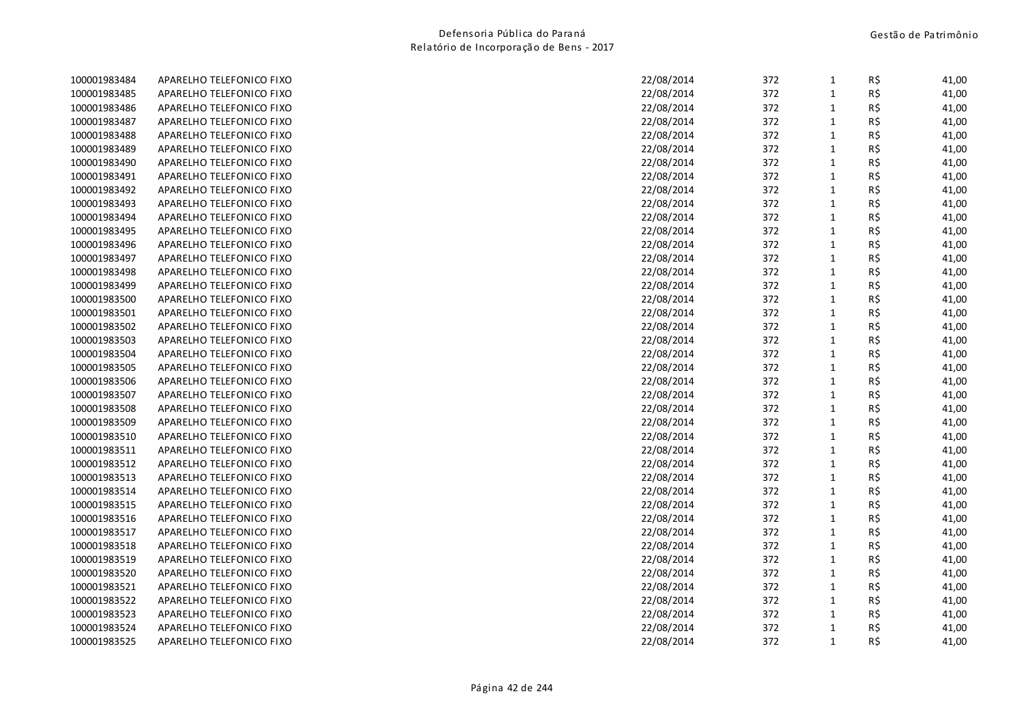| 100001983484 | APARELHO TELEFONICO FIXO | 22/08/2014 | 372 | 1            | R\$ | 41,00 |
|--------------|--------------------------|------------|-----|--------------|-----|-------|
| 100001983485 | APARELHO TELEFONICO FIXO | 22/08/2014 | 372 | $\mathbf{1}$ | R\$ | 41,00 |
| 100001983486 | APARELHO TELEFONICO FIXO | 22/08/2014 | 372 | $\mathbf{1}$ | R\$ | 41,00 |
| 100001983487 | APARELHO TELEFONICO FIXO | 22/08/2014 | 372 | $\mathbf{1}$ | R\$ | 41,00 |
| 100001983488 | APARELHO TELEFONICO FIXO | 22/08/2014 | 372 | $\mathbf{1}$ | R\$ | 41,00 |
| 100001983489 | APARELHO TELEFONICO FIXO | 22/08/2014 | 372 | $\mathbf{1}$ | R\$ | 41,00 |
| 100001983490 | APARELHO TELEFONICO FIXO | 22/08/2014 | 372 | $\mathbf 1$  | R\$ | 41,00 |
| 100001983491 | APARELHO TELEFONICO FIXO | 22/08/2014 | 372 | $\mathbf{1}$ | R\$ | 41,00 |
| 100001983492 | APARELHO TELEFONICO FIXO | 22/08/2014 | 372 | $\mathbf{1}$ | R\$ | 41,00 |
| 100001983493 | APARELHO TELEFONICO FIXO | 22/08/2014 | 372 | $\mathbf{1}$ | R\$ | 41,00 |
| 100001983494 | APARELHO TELEFONICO FIXO | 22/08/2014 | 372 | $\mathbf 1$  | R\$ | 41,00 |
| 100001983495 | APARELHO TELEFONICO FIXO | 22/08/2014 | 372 | $\mathbf 1$  | R\$ | 41,00 |
| 100001983496 | APARELHO TELEFONICO FIXO | 22/08/2014 | 372 | $\mathbf 1$  | R\$ | 41,00 |
| 100001983497 | APARELHO TELEFONICO FIXO | 22/08/2014 | 372 | $\mathbf{1}$ | R\$ | 41,00 |
| 100001983498 | APARELHO TELEFONICO FIXO | 22/08/2014 | 372 | $\mathbf{1}$ | R\$ | 41,00 |
| 100001983499 | APARELHO TELEFONICO FIXO | 22/08/2014 | 372 | $\mathbf{1}$ | R\$ | 41,00 |
| 100001983500 | APARELHO TELEFONICO FIXO | 22/08/2014 | 372 | $\mathbf{1}$ | R\$ | 41,00 |
| 100001983501 | APARELHO TELEFONICO FIXO | 22/08/2014 | 372 | $\mathbf{1}$ | R\$ | 41,00 |
| 100001983502 | APARELHO TELEFONICO FIXO | 22/08/2014 | 372 | $\mathbf{1}$ | R\$ | 41,00 |
| 100001983503 | APARELHO TELEFONICO FIXO | 22/08/2014 | 372 | $\mathbf 1$  | R\$ | 41,00 |
| 100001983504 | APARELHO TELEFONICO FIXO | 22/08/2014 | 372 | $\mathbf{1}$ | R\$ | 41,00 |
| 100001983505 | APARELHO TELEFONICO FIXO | 22/08/2014 | 372 | $\mathbf{1}$ | R\$ | 41,00 |
| 100001983506 | APARELHO TELEFONICO FIXO | 22/08/2014 | 372 | $\mathbf{1}$ | R\$ | 41,00 |
| 100001983507 | APARELHO TELEFONICO FIXO | 22/08/2014 | 372 | $\mathbf{1}$ | R\$ | 41,00 |
| 100001983508 | APARELHO TELEFONICO FIXO | 22/08/2014 | 372 | $\mathbf{1}$ | R\$ | 41,00 |
| 100001983509 | APARELHO TELEFONICO FIXO | 22/08/2014 | 372 | $\mathbf{1}$ | R\$ | 41,00 |
| 100001983510 | APARELHO TELEFONICO FIXO | 22/08/2014 | 372 | $\mathbf{1}$ | R\$ | 41,00 |
| 100001983511 | APARELHO TELEFONICO FIXO | 22/08/2014 | 372 | $\mathbf{1}$ | R\$ | 41,00 |
| 100001983512 | APARELHO TELEFONICO FIXO | 22/08/2014 | 372 | $\mathbf{1}$ | R\$ | 41,00 |
| 100001983513 | APARELHO TELEFONICO FIXO | 22/08/2014 | 372 | $\mathbf 1$  | R\$ | 41,00 |
| 100001983514 | APARELHO TELEFONICO FIXO | 22/08/2014 | 372 | $\mathbf{1}$ | R\$ | 41,00 |
| 100001983515 | APARELHO TELEFONICO FIXO | 22/08/2014 | 372 | $\mathbf{1}$ | R\$ | 41,00 |
| 100001983516 | APARELHO TELEFONICO FIXO | 22/08/2014 | 372 | $\mathbf{1}$ | R\$ | 41,00 |
| 100001983517 | APARELHO TELEFONICO FIXO | 22/08/2014 | 372 | $\mathbf{1}$ | R\$ | 41,00 |
| 100001983518 | APARELHO TELEFONICO FIXO | 22/08/2014 | 372 | $\mathbf{1}$ | R\$ | 41,00 |
| 100001983519 | APARELHO TELEFONICO FIXO | 22/08/2014 | 372 | $\mathbf{1}$ | R\$ | 41,00 |
| 100001983520 | APARELHO TELEFONICO FIXO | 22/08/2014 | 372 | $\mathbf 1$  | R\$ | 41,00 |
| 100001983521 | APARELHO TELEFONICO FIXO | 22/08/2014 | 372 | $\mathbf{1}$ | R\$ | 41,00 |
| 100001983522 | APARELHO TELEFONICO FIXO | 22/08/2014 | 372 | $\mathbf 1$  | R\$ | 41,00 |
| 100001983523 | APARELHO TELEFONICO FIXO | 22/08/2014 | 372 | $\mathbf{1}$ | R\$ | 41,00 |
| 100001983524 | APARELHO TELEFONICO FIXO | 22/08/2014 | 372 | $\mathbf{1}$ | R\$ | 41,00 |
| 100001983525 | APARELHO TELEFONICO FIXO | 22/08/2014 | 372 | $\mathbf{1}$ | R\$ | 41,00 |
|              |                          |            |     |              |     |       |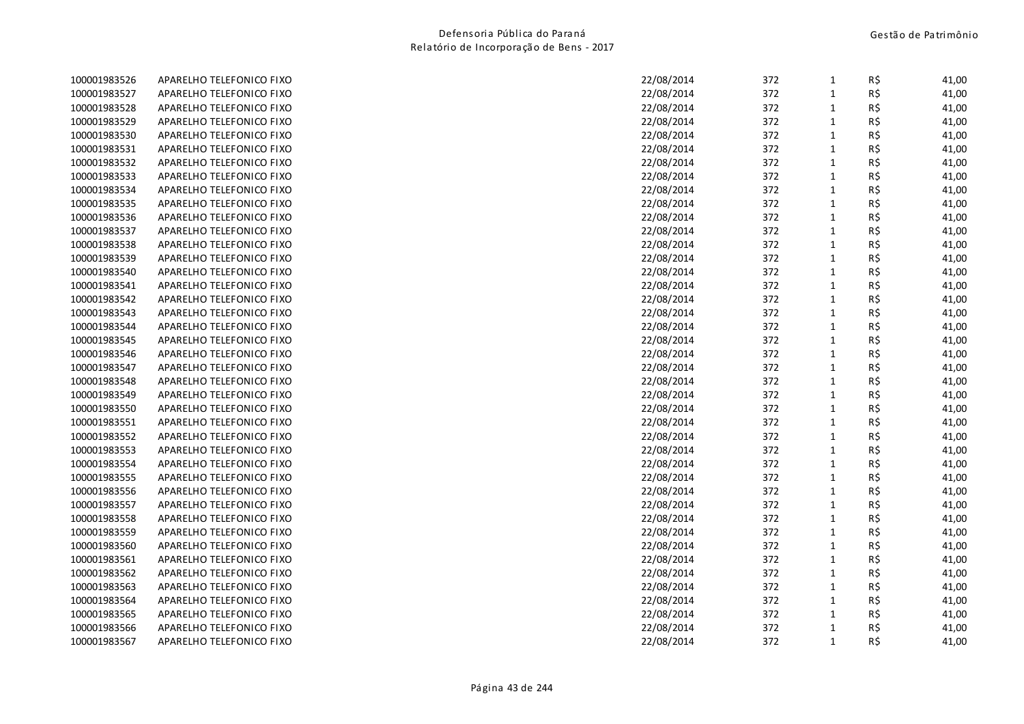| 100001983526 | APARELHO TELEFONICO FIXO | 22/08/2014 | 372 | 1            | R\$ | 41,00 |
|--------------|--------------------------|------------|-----|--------------|-----|-------|
| 100001983527 | APARELHO TELEFONICO FIXO | 22/08/2014 | 372 | $\mathbf{1}$ | R\$ | 41,00 |
| 100001983528 | APARELHO TELEFONICO FIXO | 22/08/2014 | 372 | $\mathbf{1}$ | R\$ | 41,00 |
| 100001983529 | APARELHO TELEFONICO FIXO | 22/08/2014 | 372 | $\mathbf{1}$ | R\$ | 41,00 |
| 100001983530 | APARELHO TELEFONICO FIXO | 22/08/2014 | 372 | $\mathbf{1}$ | R\$ | 41,00 |
| 100001983531 | APARELHO TELEFONICO FIXO | 22/08/2014 | 372 | $\mathbf{1}$ | R\$ | 41,00 |
| 100001983532 | APARELHO TELEFONICO FIXO | 22/08/2014 | 372 | $\mathbf 1$  | R\$ | 41,00 |
| 100001983533 | APARELHO TELEFONICO FIXO | 22/08/2014 | 372 | $\mathbf{1}$ | R\$ | 41,00 |
| 100001983534 | APARELHO TELEFONICO FIXO | 22/08/2014 | 372 | $\mathbf{1}$ | R\$ | 41,00 |
| 100001983535 | APARELHO TELEFONICO FIXO | 22/08/2014 | 372 | $\mathbf{1}$ | R\$ | 41,00 |
| 100001983536 | APARELHO TELEFONICO FIXO | 22/08/2014 | 372 | $\mathbf 1$  | R\$ | 41,00 |
| 100001983537 | APARELHO TELEFONICO FIXO | 22/08/2014 | 372 | $\mathbf 1$  | R\$ | 41,00 |
| 100001983538 | APARELHO TELEFONICO FIXO | 22/08/2014 | 372 | $\mathbf 1$  | R\$ | 41,00 |
| 100001983539 | APARELHO TELEFONICO FIXO | 22/08/2014 | 372 | $\mathbf{1}$ | R\$ | 41,00 |
| 100001983540 | APARELHO TELEFONICO FIXO | 22/08/2014 | 372 | $\mathbf{1}$ | R\$ | 41,00 |
| 100001983541 | APARELHO TELEFONICO FIXO | 22/08/2014 | 372 | $\mathbf{1}$ | R\$ | 41,00 |
| 100001983542 | APARELHO TELEFONICO FIXO | 22/08/2014 | 372 | $\mathbf{1}$ | R\$ | 41,00 |
| 100001983543 | APARELHO TELEFONICO FIXO | 22/08/2014 | 372 | $\mathbf{1}$ | R\$ | 41,00 |
| 100001983544 | APARELHO TELEFONICO FIXO | 22/08/2014 | 372 | $\mathbf{1}$ | R\$ | 41,00 |
| 100001983545 | APARELHO TELEFONICO FIXO | 22/08/2014 | 372 | $\mathbf 1$  | R\$ | 41,00 |
| 100001983546 | APARELHO TELEFONICO FIXO | 22/08/2014 | 372 | $\mathbf{1}$ | R\$ | 41,00 |
| 100001983547 | APARELHO TELEFONICO FIXO | 22/08/2014 | 372 | $\mathbf{1}$ | R\$ | 41,00 |
| 100001983548 | APARELHO TELEFONICO FIXO | 22/08/2014 | 372 | $\mathbf{1}$ | R\$ | 41,00 |
| 100001983549 | APARELHO TELEFONICO FIXO | 22/08/2014 | 372 | $\mathbf{1}$ | R\$ | 41,00 |
| 100001983550 | APARELHO TELEFONICO FIXO | 22/08/2014 | 372 | $\mathbf{1}$ | R\$ | 41,00 |
| 100001983551 | APARELHO TELEFONICO FIXO | 22/08/2014 | 372 | $\mathbf{1}$ | R\$ | 41,00 |
| 100001983552 | APARELHO TELEFONICO FIXO | 22/08/2014 | 372 | $\mathbf{1}$ | R\$ | 41,00 |
| 100001983553 | APARELHO TELEFONICO FIXO | 22/08/2014 | 372 | $\mathbf{1}$ | R\$ | 41,00 |
| 100001983554 | APARELHO TELEFONICO FIXO | 22/08/2014 | 372 | $\mathbf{1}$ | R\$ | 41,00 |
| 100001983555 | APARELHO TELEFONICO FIXO | 22/08/2014 | 372 | $\mathbf{1}$ | R\$ | 41,00 |
| 100001983556 | APARELHO TELEFONICO FIXO | 22/08/2014 | 372 | $\mathbf{1}$ | R\$ | 41,00 |
| 100001983557 | APARELHO TELEFONICO FIXO | 22/08/2014 | 372 | $\mathbf{1}$ | R\$ | 41,00 |
| 100001983558 | APARELHO TELEFONICO FIXO | 22/08/2014 | 372 | $\mathbf{1}$ | R\$ | 41,00 |
| 100001983559 | APARELHO TELEFONICO FIXO | 22/08/2014 | 372 | $\mathbf{1}$ | R\$ | 41,00 |
| 100001983560 | APARELHO TELEFONICO FIXO | 22/08/2014 | 372 | $\mathbf{1}$ | R\$ | 41,00 |
| 100001983561 | APARELHO TELEFONICO FIXO | 22/08/2014 | 372 | $\mathbf{1}$ | R\$ | 41,00 |
| 100001983562 | APARELHO TELEFONICO FIXO | 22/08/2014 | 372 | $\mathbf 1$  | R\$ | 41,00 |
| 100001983563 | APARELHO TELEFONICO FIXO | 22/08/2014 | 372 | $\mathbf{1}$ | R\$ | 41,00 |
| 100001983564 | APARELHO TELEFONICO FIXO | 22/08/2014 | 372 | $\mathbf 1$  | R\$ | 41,00 |
| 100001983565 | APARELHO TELEFONICO FIXO | 22/08/2014 | 372 | $\mathbf{1}$ | R\$ | 41,00 |
| 100001983566 | APARELHO TELEFONICO FIXO | 22/08/2014 | 372 | $\mathbf{1}$ | R\$ | 41,00 |
| 100001983567 | APARELHO TELEFONICO FIXO | 22/08/2014 | 372 | $\mathbf{1}$ | R\$ | 41,00 |
|              |                          |            |     |              |     |       |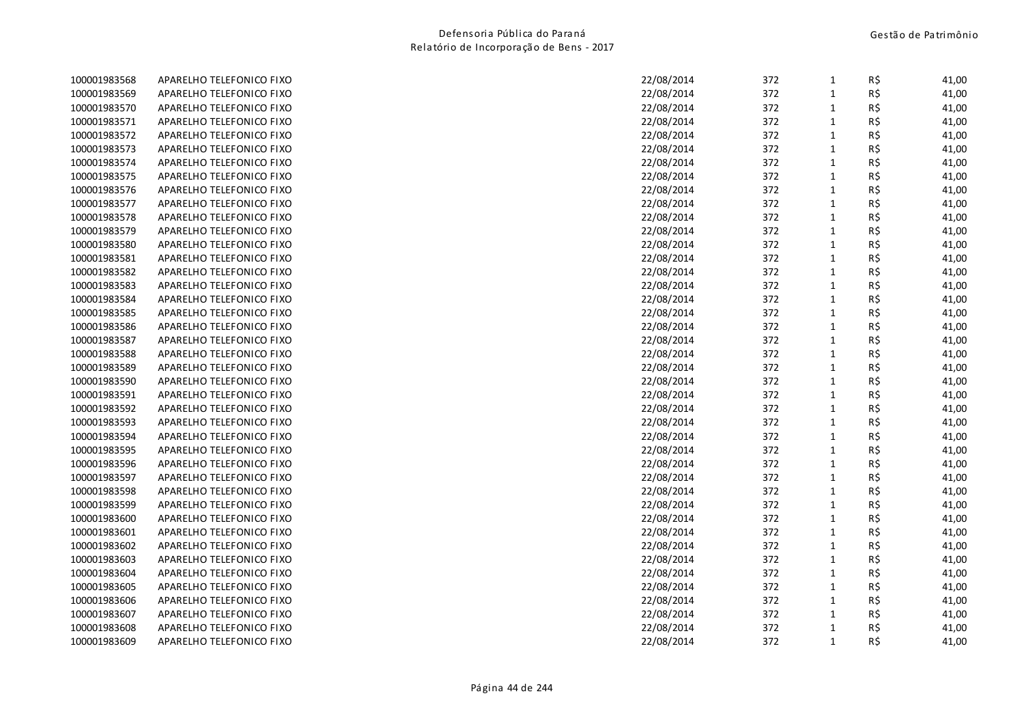| 100001983568 | APARELHO TELEFONICO FIXO | 22/08/2014 | 372 | 1            | R\$ | 41,00 |
|--------------|--------------------------|------------|-----|--------------|-----|-------|
| 100001983569 | APARELHO TELEFONICO FIXO | 22/08/2014 | 372 | $\mathbf{1}$ | R\$ | 41,00 |
| 100001983570 | APARELHO TELEFONICO FIXO | 22/08/2014 | 372 | $\mathbf{1}$ | R\$ | 41,00 |
| 100001983571 | APARELHO TELEFONICO FIXO | 22/08/2014 | 372 | $\mathbf{1}$ | R\$ | 41,00 |
| 100001983572 | APARELHO TELEFONICO FIXO | 22/08/2014 | 372 | $\mathbf{1}$ | R\$ | 41,00 |
| 100001983573 | APARELHO TELEFONICO FIXO | 22/08/2014 | 372 | $\mathbf{1}$ | R\$ | 41,00 |
| 100001983574 | APARELHO TELEFONICO FIXO | 22/08/2014 | 372 | $\mathbf 1$  | R\$ | 41,00 |
| 100001983575 | APARELHO TELEFONICO FIXO | 22/08/2014 | 372 | $\mathbf{1}$ | R\$ | 41,00 |
| 100001983576 | APARELHO TELEFONICO FIXO | 22/08/2014 | 372 | $\mathbf{1}$ | R\$ | 41,00 |
| 100001983577 | APARELHO TELEFONICO FIXO | 22/08/2014 | 372 | $\mathbf{1}$ | R\$ | 41,00 |
| 100001983578 | APARELHO TELEFONICO FIXO | 22/08/2014 | 372 | $\mathbf 1$  | R\$ | 41,00 |
| 100001983579 | APARELHO TELEFONICO FIXO | 22/08/2014 | 372 | $\mathbf 1$  | R\$ | 41,00 |
| 100001983580 | APARELHO TELEFONICO FIXO | 22/08/2014 | 372 | $\mathbf 1$  | R\$ | 41,00 |
| 100001983581 | APARELHO TELEFONICO FIXO | 22/08/2014 | 372 | $\mathbf{1}$ | R\$ | 41,00 |
| 100001983582 | APARELHO TELEFONICO FIXO | 22/08/2014 | 372 | $\mathbf{1}$ | R\$ | 41,00 |
| 100001983583 | APARELHO TELEFONICO FIXO | 22/08/2014 | 372 | $\mathbf{1}$ | R\$ | 41,00 |
| 100001983584 | APARELHO TELEFONICO FIXO | 22/08/2014 | 372 | $\mathbf{1}$ | R\$ | 41,00 |
| 100001983585 | APARELHO TELEFONICO FIXO | 22/08/2014 | 372 | $\mathbf{1}$ | R\$ | 41,00 |
| 100001983586 | APARELHO TELEFONICO FIXO | 22/08/2014 | 372 | $\mathbf{1}$ | R\$ | 41,00 |
| 100001983587 | APARELHO TELEFONICO FIXO | 22/08/2014 | 372 | $\mathbf 1$  | R\$ | 41,00 |
| 100001983588 | APARELHO TELEFONICO FIXO | 22/08/2014 | 372 | $\mathbf{1}$ | R\$ | 41,00 |
| 100001983589 | APARELHO TELEFONICO FIXO | 22/08/2014 | 372 | $\mathbf{1}$ | R\$ | 41,00 |
| 100001983590 | APARELHO TELEFONICO FIXO | 22/08/2014 | 372 | $\mathbf{1}$ | R\$ | 41,00 |
| 100001983591 | APARELHO TELEFONICO FIXO | 22/08/2014 | 372 | $\mathbf{1}$ | R\$ | 41,00 |
| 100001983592 | APARELHO TELEFONICO FIXO | 22/08/2014 | 372 | $\mathbf{1}$ | R\$ | 41,00 |
| 100001983593 | APARELHO TELEFONICO FIXO | 22/08/2014 | 372 | $\mathbf{1}$ | R\$ | 41,00 |
| 100001983594 | APARELHO TELEFONICO FIXO | 22/08/2014 | 372 | $\mathbf{1}$ | R\$ | 41,00 |
| 100001983595 | APARELHO TELEFONICO FIXO | 22/08/2014 | 372 | $\mathbf{1}$ | R\$ | 41,00 |
| 100001983596 | APARELHO TELEFONICO FIXO | 22/08/2014 | 372 | $\mathbf{1}$ | R\$ | 41,00 |
| 100001983597 | APARELHO TELEFONICO FIXO | 22/08/2014 | 372 | $\mathbf 1$  | R\$ | 41,00 |
| 100001983598 | APARELHO TELEFONICO FIXO | 22/08/2014 | 372 | $\mathbf{1}$ | R\$ | 41,00 |
| 100001983599 | APARELHO TELEFONICO FIXO | 22/08/2014 | 372 | $\mathbf{1}$ | R\$ | 41,00 |
| 100001983600 | APARELHO TELEFONICO FIXO | 22/08/2014 | 372 | $\mathbf{1}$ | R\$ | 41,00 |
| 100001983601 | APARELHO TELEFONICO FIXO | 22/08/2014 | 372 | $\mathbf{1}$ | R\$ | 41,00 |
| 100001983602 | APARELHO TELEFONICO FIXO | 22/08/2014 | 372 | $\mathbf{1}$ | R\$ | 41,00 |
| 100001983603 | APARELHO TELEFONICO FIXO | 22/08/2014 | 372 | $\mathbf{1}$ | R\$ | 41,00 |
| 100001983604 | APARELHO TELEFONICO FIXO | 22/08/2014 | 372 | $\mathbf 1$  | R\$ | 41,00 |
| 100001983605 | APARELHO TELEFONICO FIXO | 22/08/2014 | 372 | $\mathbf{1}$ | R\$ | 41,00 |
| 100001983606 | APARELHO TELEFONICO FIXO | 22/08/2014 | 372 | $\mathbf 1$  | R\$ | 41,00 |
| 100001983607 | APARELHO TELEFONICO FIXO | 22/08/2014 | 372 | $\mathbf{1}$ | R\$ | 41,00 |
| 100001983608 | APARELHO TELEFONICO FIXO | 22/08/2014 | 372 | $\mathbf{1}$ | R\$ | 41,00 |
| 100001983609 | APARELHO TELEFONICO FIXO | 22/08/2014 | 372 | $\mathbf{1}$ | R\$ | 41,00 |
|              |                          |            |     |              |     |       |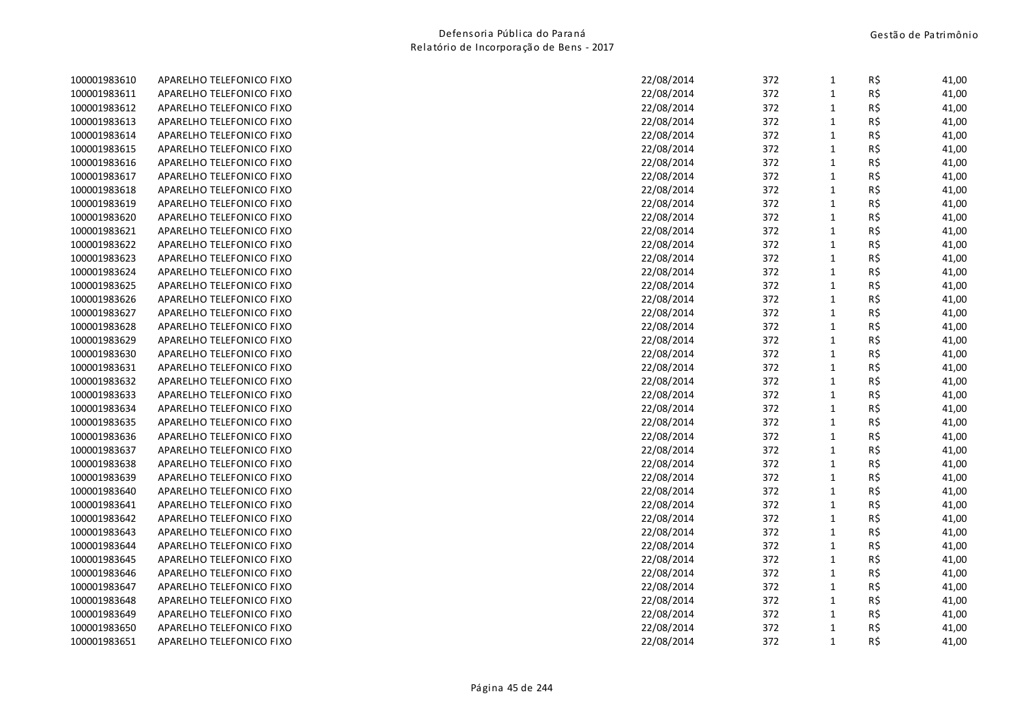| 100001983610 | APARELHO TELEFONICO FIXO | 22/08/2014<br>372 | $\mathbf{1}$ | R\$<br>41,00 |
|--------------|--------------------------|-------------------|--------------|--------------|
| 100001983611 | APARELHO TELEFONICO FIXO | 22/08/2014<br>372 | $\mathbf{1}$ | R\$<br>41,00 |
| 100001983612 | APARELHO TELEFONICO FIXO | 22/08/2014<br>372 | $\mathbf{1}$ | R\$<br>41,00 |
| 100001983613 | APARELHO TELEFONICO FIXO | 22/08/2014<br>372 | $\mathbf{1}$ | R\$<br>41,00 |
| 100001983614 | APARELHO TELEFONICO FIXO | 22/08/2014<br>372 | $\mathbf{1}$ | R\$<br>41,00 |
| 100001983615 | APARELHO TELEFONICO FIXO | 22/08/2014<br>372 | $\mathbf{1}$ | R\$<br>41,00 |
| 100001983616 | APARELHO TELEFONICO FIXO | 22/08/2014<br>372 | $\mathbf{1}$ | R\$<br>41,00 |
| 100001983617 | APARELHO TELEFONICO FIXO | 22/08/2014<br>372 | $\mathbf{1}$ | R\$<br>41,00 |
| 100001983618 | APARELHO TELEFONICO FIXO | 22/08/2014<br>372 | $\mathbf{1}$ | R\$<br>41,00 |
| 100001983619 | APARELHO TELEFONICO FIXO | 22/08/2014<br>372 | $\mathbf{1}$ | R\$<br>41,00 |
| 100001983620 | APARELHO TELEFONICO FIXO | 22/08/2014<br>372 | $\mathbf 1$  | R\$<br>41,00 |
| 100001983621 | APARELHO TELEFONICO FIXO | 372<br>22/08/2014 | $\mathbf{1}$ | R\$<br>41,00 |
| 100001983622 | APARELHO TELEFONICO FIXO | 372<br>22/08/2014 | $\mathbf{1}$ | R\$<br>41,00 |
| 100001983623 | APARELHO TELEFONICO FIXO | 372<br>22/08/2014 | $\mathbf{1}$ | R\$<br>41,00 |
| 100001983624 | APARELHO TELEFONICO FIXO | 22/08/2014<br>372 | $\mathbf{1}$ | R\$<br>41,00 |
| 100001983625 | APARELHO TELEFONICO FIXO | 22/08/2014<br>372 | $\mathbf 1$  | R\$<br>41,00 |
| 100001983626 | APARELHO TELEFONICO FIXO | 22/08/2014<br>372 | $\mathbf{1}$ | R\$<br>41,00 |
| 100001983627 | APARELHO TELEFONICO FIXO | 22/08/2014<br>372 | $\mathbf{1}$ | R\$<br>41,00 |
| 100001983628 | APARELHO TELEFONICO FIXO | 22/08/2014<br>372 | $\mathbf{1}$ | R\$<br>41,00 |
| 100001983629 | APARELHO TELEFONICO FIXO | 22/08/2014<br>372 | $\mathbf{1}$ | R\$<br>41,00 |
| 100001983630 | APARELHO TELEFONICO FIXO | 22/08/2014<br>372 | $\mathbf{1}$ | R\$<br>41,00 |
| 100001983631 | APARELHO TELEFONICO FIXO | 372<br>22/08/2014 | $\mathbf{1}$ | R\$<br>41,00 |
| 100001983632 | APARELHO TELEFONICO FIXO | 22/08/2014<br>372 | $\mathbf{1}$ | R\$<br>41,00 |
| 100001983633 | APARELHO TELEFONICO FIXO | 22/08/2014<br>372 | $\mathbf{1}$ | R\$<br>41,00 |
| 100001983634 | APARELHO TELEFONICO FIXO | 372<br>22/08/2014 | $\mathbf{1}$ | R\$<br>41,00 |
| 100001983635 | APARELHO TELEFONICO FIXO | 372<br>22/08/2014 | $\mathbf{1}$ | R\$<br>41,00 |
| 100001983636 | APARELHO TELEFONICO FIXO | 372<br>22/08/2014 | $\mathbf{1}$ | R\$<br>41,00 |
| 100001983637 | APARELHO TELEFONICO FIXO | 372<br>22/08/2014 | $\mathbf{1}$ | R\$<br>41,00 |
| 100001983638 | APARELHO TELEFONICO FIXO | 22/08/2014<br>372 | $\mathbf{1}$ | R\$<br>41,00 |
| 100001983639 | APARELHO TELEFONICO FIXO | 22/08/2014<br>372 | $\mathbf 1$  | R\$<br>41,00 |
| 100001983640 | APARELHO TELEFONICO FIXO | 372<br>22/08/2014 | $\mathbf{1}$ | R\$<br>41,00 |
| 100001983641 | APARELHO TELEFONICO FIXO | 22/08/2014<br>372 | $\mathbf{1}$ | R\$<br>41,00 |
| 100001983642 | APARELHO TELEFONICO FIXO | 22/08/2014<br>372 | $\mathbf{1}$ | R\$<br>41,00 |
| 100001983643 | APARELHO TELEFONICO FIXO | 22/08/2014<br>372 | $\mathbf{1}$ | R\$<br>41,00 |
| 100001983644 | APARELHO TELEFONICO FIXO | 22/08/2014<br>372 | $\mathbf{1}$ | R\$<br>41,00 |
| 100001983645 | APARELHO TELEFONICO FIXO | 22/08/2014<br>372 | $\mathbf{1}$ | R\$<br>41,00 |
| 100001983646 | APARELHO TELEFONICO FIXO | 22/08/2014<br>372 | $\mathbf{1}$ | R\$<br>41,00 |
| 100001983647 | APARELHO TELEFONICO FIXO | 372<br>22/08/2014 | $\mathbf{1}$ | R\$<br>41,00 |
| 100001983648 | APARELHO TELEFONICO FIXO | 372<br>22/08/2014 | $\mathbf{1}$ | R\$<br>41,00 |
| 100001983649 | APARELHO TELEFONICO FIXO | 372<br>22/08/2014 | $\mathbf{1}$ | R\$<br>41,00 |
| 100001983650 | APARELHO TELEFONICO FIXO | 372<br>22/08/2014 | $\mathbf{1}$ | R\$<br>41,00 |
| 100001983651 | APARELHO TELEFONICO FIXO | 22/08/2014<br>372 | $\mathbf{1}$ | R\$<br>41,00 |
|              |                          |                   |              |              |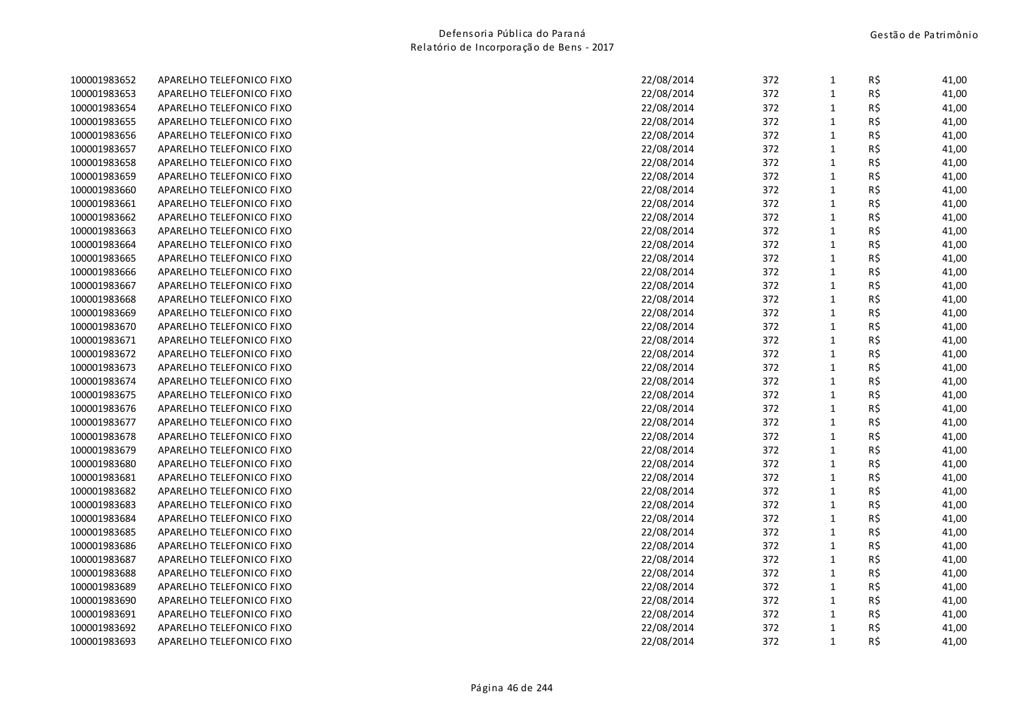| 100001983652 | APARELHO TELEFONICO FIXO | 22/08/2014<br>372 | $\mathbf{1}$ | R\$<br>41,00 |
|--------------|--------------------------|-------------------|--------------|--------------|
| 100001983653 | APARELHO TELEFONICO FIXO | 22/08/2014<br>372 | $\mathbf{1}$ | R\$<br>41,00 |
| 100001983654 | APARELHO TELEFONICO FIXO | 22/08/2014<br>372 | $\mathbf{1}$ | R\$<br>41,00 |
| 100001983655 | APARELHO TELEFONICO FIXO | 22/08/2014<br>372 | $\mathbf{1}$ | R\$<br>41,00 |
| 100001983656 | APARELHO TELEFONICO FIXO | 22/08/2014<br>372 | $\mathbf{1}$ | R\$<br>41,00 |
| 100001983657 | APARELHO TELEFONICO FIXO | 22/08/2014<br>372 | $\mathbf{1}$ | R\$<br>41,00 |
| 100001983658 | APARELHO TELEFONICO FIXO | 22/08/2014<br>372 | $\mathbf{1}$ | R\$<br>41,00 |
| 100001983659 | APARELHO TELEFONICO FIXO | 22/08/2014<br>372 | $\mathbf{1}$ | R\$<br>41,00 |
| 100001983660 | APARELHO TELEFONICO FIXO | 22/08/2014<br>372 | $\mathbf{1}$ | R\$<br>41,00 |
| 100001983661 | APARELHO TELEFONICO FIXO | 22/08/2014<br>372 | $\mathbf{1}$ | R\$<br>41,00 |
| 100001983662 | APARELHO TELEFONICO FIXO | 22/08/2014<br>372 | $\mathbf 1$  | R\$<br>41,00 |
| 100001983663 | APARELHO TELEFONICO FIXO | 372<br>22/08/2014 | $\mathbf{1}$ | R\$<br>41,00 |
| 100001983664 | APARELHO TELEFONICO FIXO | 372<br>22/08/2014 | $\mathbf{1}$ | R\$<br>41,00 |
| 100001983665 | APARELHO TELEFONICO FIXO | 372<br>22/08/2014 | $\mathbf{1}$ | R\$<br>41,00 |
| 100001983666 | APARELHO TELEFONICO FIXO | 22/08/2014<br>372 | $\mathbf{1}$ | R\$<br>41,00 |
| 100001983667 | APARELHO TELEFONICO FIXO | 22/08/2014<br>372 | $\mathbf{1}$ | R\$<br>41,00 |
| 100001983668 | APARELHO TELEFONICO FIXO | 22/08/2014<br>372 | $\mathbf{1}$ | R\$<br>41,00 |
| 100001983669 | APARELHO TELEFONICO FIXO | 22/08/2014<br>372 | $\mathbf{1}$ | R\$<br>41,00 |
| 100001983670 | APARELHO TELEFONICO FIXO | 22/08/2014<br>372 | $\mathbf{1}$ | R\$<br>41,00 |
| 100001983671 | APARELHO TELEFONICO FIXO | 22/08/2014<br>372 | $\mathbf{1}$ | R\$<br>41,00 |
| 100001983672 | APARELHO TELEFONICO FIXO | 22/08/2014<br>372 | $\mathbf{1}$ | 41,00<br>R\$ |
| 100001983673 | APARELHO TELEFONICO FIXO | 372<br>22/08/2014 | $\mathbf{1}$ | R\$<br>41,00 |
| 100001983674 | APARELHO TELEFONICO FIXO | 22/08/2014<br>372 | $\mathbf{1}$ | R\$<br>41,00 |
| 100001983675 | APARELHO TELEFONICO FIXO | 22/08/2014<br>372 | $\mathbf{1}$ | R\$<br>41,00 |
| 100001983676 | APARELHO TELEFONICO FIXO | 372<br>22/08/2014 | $\mathbf{1}$ | R\$<br>41,00 |
| 100001983677 | APARELHO TELEFONICO FIXO | 372<br>22/08/2014 | $\mathbf{1}$ | R\$<br>41,00 |
| 100001983678 | APARELHO TELEFONICO FIXO | 372<br>22/08/2014 | $\mathbf{1}$ | R\$<br>41,00 |
| 100001983679 | APARELHO TELEFONICO FIXO | 372<br>22/08/2014 | $\mathbf{1}$ | R\$<br>41,00 |
| 100001983680 | APARELHO TELEFONICO FIXO | 22/08/2014<br>372 | $\mathbf{1}$ | R\$<br>41,00 |
| 100001983681 | APARELHO TELEFONICO FIXO | 22/08/2014<br>372 | $\mathbf 1$  | R\$<br>41,00 |
| 100001983682 | APARELHO TELEFONICO FIXO | 372<br>22/08/2014 | $\mathbf{1}$ | R\$<br>41,00 |
| 100001983683 | APARELHO TELEFONICO FIXO | 22/08/2014<br>372 | $\mathbf{1}$ | R\$<br>41,00 |
| 100001983684 | APARELHO TELEFONICO FIXO | 22/08/2014<br>372 | $\mathbf{1}$ | R\$<br>41,00 |
| 100001983685 | APARELHO TELEFONICO FIXO | 22/08/2014<br>372 | $\mathbf{1}$ | R\$<br>41,00 |
| 100001983686 | APARELHO TELEFONICO FIXO | 22/08/2014<br>372 | $\mathbf{1}$ | R\$<br>41,00 |
| 100001983687 | APARELHO TELEFONICO FIXO | 22/08/2014<br>372 | $\mathbf{1}$ | R\$<br>41,00 |
| 100001983688 | APARELHO TELEFONICO FIXO | 22/08/2014<br>372 | $\mathbf{1}$ | R\$<br>41,00 |
| 100001983689 | APARELHO TELEFONICO FIXO | 372<br>22/08/2014 | $\mathbf{1}$ | R\$<br>41,00 |
| 100001983690 | APARELHO TELEFONICO FIXO | 372<br>22/08/2014 | $\mathbf{1}$ | R\$<br>41,00 |
| 100001983691 | APARELHO TELEFONICO FIXO | 372<br>22/08/2014 | $\mathbf{1}$ | R\$<br>41,00 |
| 100001983692 | APARELHO TELEFONICO FIXO | 372<br>22/08/2014 | $\mathbf{1}$ | R\$<br>41,00 |
| 100001983693 | APARELHO TELEFONICO FIXO | 22/08/2014<br>372 | $\mathbf{1}$ | R\$<br>41,00 |
|              |                          |                   |              |              |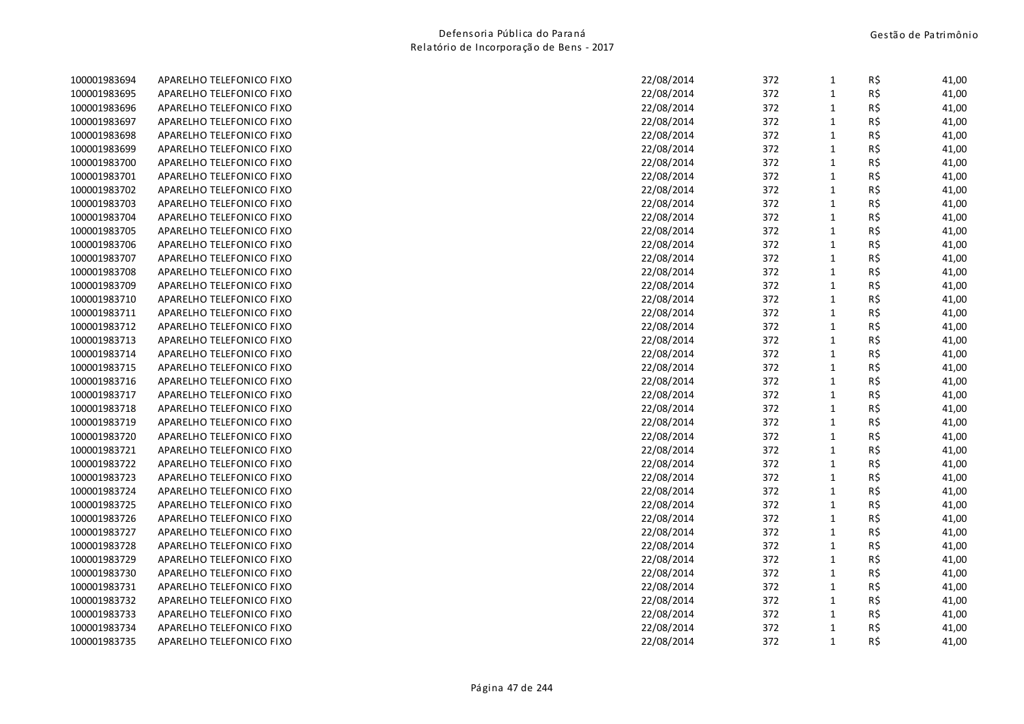| 100001983694 | APARELHO TELEFONICO FIXO | 22/08/2014 | 372 | $\mathbf{1}$ | R\$ | 41,00 |
|--------------|--------------------------|------------|-----|--------------|-----|-------|
| 100001983695 | APARELHO TELEFONICO FIXO | 22/08/2014 | 372 | $\mathbf{1}$ | R\$ | 41,00 |
| 100001983696 | APARELHO TELEFONICO FIXO | 22/08/2014 | 372 | 1            | R\$ | 41,00 |
| 100001983697 | APARELHO TELEFONICO FIXO | 22/08/2014 | 372 | $\mathbf{1}$ | R\$ | 41,00 |
| 100001983698 | APARELHO TELEFONICO FIXO | 22/08/2014 | 372 | $\mathbf{1}$ | R\$ | 41,00 |
| 100001983699 | APARELHO TELEFONICO FIXO | 22/08/2014 | 372 | $\mathbf{1}$ | R\$ | 41,00 |
| 100001983700 | APARELHO TELEFONICO FIXO | 22/08/2014 | 372 | $\mathbf 1$  | R\$ | 41,00 |
| 100001983701 | APARELHO TELEFONICO FIXO | 22/08/2014 | 372 | $\mathbf{1}$ | R\$ | 41,00 |
| 100001983702 | APARELHO TELEFONICO FIXO | 22/08/2014 | 372 | $\mathbf{1}$ | R\$ | 41,00 |
| 100001983703 | APARELHO TELEFONICO FIXO | 22/08/2014 | 372 | 1            | R\$ | 41,00 |
| 100001983704 | APARELHO TELEFONICO FIXO | 22/08/2014 | 372 | $\mathbf 1$  | R\$ | 41,00 |
| 100001983705 | APARELHO TELEFONICO FIXO | 22/08/2014 | 372 | $\mathbf{1}$ | R\$ | 41,00 |
| 100001983706 | APARELHO TELEFONICO FIXO | 22/08/2014 | 372 | $\mathbf{1}$ | R\$ | 41,00 |
| 100001983707 | APARELHO TELEFONICO FIXO | 22/08/2014 | 372 | $\mathbf{1}$ | R\$ | 41,00 |
| 100001983708 | APARELHO TELEFONICO FIXO | 22/08/2014 | 372 | $\mathbf{1}$ | R\$ | 41,00 |
| 100001983709 | APARELHO TELEFONICO FIXO | 22/08/2014 | 372 | $\mathbf{1}$ | R\$ | 41,00 |
| 100001983710 | APARELHO TELEFONICO FIXO | 22/08/2014 | 372 | $\mathbf{1}$ | R\$ | 41,00 |
| 100001983711 | APARELHO TELEFONICO FIXO | 22/08/2014 | 372 | $\mathbf{1}$ | R\$ | 41,00 |
| 100001983712 | APARELHO TELEFONICO FIXO | 22/08/2014 | 372 | $\mathbf{1}$ | R\$ | 41,00 |
| 100001983713 | APARELHO TELEFONICO FIXO | 22/08/2014 | 372 | $1\,$        | R\$ | 41,00 |
| 100001983714 | APARELHO TELEFONICO FIXO | 22/08/2014 | 372 | $\mathbf 1$  | R\$ | 41,00 |
| 100001983715 | APARELHO TELEFONICO FIXO | 22/08/2014 | 372 | $\mathbf{1}$ | R\$ | 41,00 |
| 100001983716 | APARELHO TELEFONICO FIXO | 22/08/2014 | 372 | 1            | R\$ | 41,00 |
| 100001983717 | APARELHO TELEFONICO FIXO | 22/08/2014 | 372 | $\mathbf 1$  | R\$ | 41,00 |
| 100001983718 | APARELHO TELEFONICO FIXO | 22/08/2014 | 372 | $\mathbf{1}$ | R\$ | 41,00 |
| 100001983719 | APARELHO TELEFONICO FIXO | 22/08/2014 | 372 | $\mathbf{1}$ | R\$ | 41,00 |
| 100001983720 | APARELHO TELEFONICO FIXO | 22/08/2014 | 372 | $\mathbf{1}$ | R\$ | 41,00 |
| 100001983721 | APARELHO TELEFONICO FIXO | 22/08/2014 | 372 | $\mathbf 1$  | R\$ | 41,00 |
| 100001983722 | APARELHO TELEFONICO FIXO | 22/08/2014 | 372 | $\mathbf{1}$ | R\$ | 41,00 |
| 100001983723 | APARELHO TELEFONICO FIXO | 22/08/2014 | 372 | $\mathbf 1$  | R\$ | 41,00 |
| 100001983724 | APARELHO TELEFONICO FIXO | 22/08/2014 | 372 | $\mathbf{1}$ | R\$ | 41,00 |
| 100001983725 | APARELHO TELEFONICO FIXO | 22/08/2014 | 372 | $\mathbf{1}$ | R\$ | 41,00 |
| 100001983726 | APARELHO TELEFONICO FIXO | 22/08/2014 | 372 | $\mathbf{1}$ | R\$ | 41,00 |
| 100001983727 | APARELHO TELEFONICO FIXO | 22/08/2014 | 372 | $\mathbf{1}$ | R\$ | 41,00 |
| 100001983728 | APARELHO TELEFONICO FIXO | 22/08/2014 | 372 | $\mathbf{1}$ | R\$ | 41,00 |
| 100001983729 | APARELHO TELEFONICO FIXO | 22/08/2014 | 372 | $\mathbf{1}$ | R\$ | 41,00 |
| 100001983730 | APARELHO TELEFONICO FIXO | 22/08/2014 | 372 | $\mathbf 1$  | R\$ | 41,00 |
| 100001983731 | APARELHO TELEFONICO FIXO | 22/08/2014 | 372 | $\mathbf{1}$ | R\$ | 41,00 |
| 100001983732 | APARELHO TELEFONICO FIXO | 22/08/2014 | 372 | $\mathbf{1}$ | R\$ | 41,00 |
| 100001983733 | APARELHO TELEFONICO FIXO | 22/08/2014 | 372 | 1            | R\$ | 41,00 |
| 100001983734 | APARELHO TELEFONICO FIXO | 22/08/2014 | 372 | $\mathbf{1}$ | R\$ | 41,00 |
| 100001983735 | APARELHO TELEFONICO FIXO | 22/08/2014 | 372 | $\mathbf{1}$ | R\$ | 41,00 |
|              |                          |            |     |              |     |       |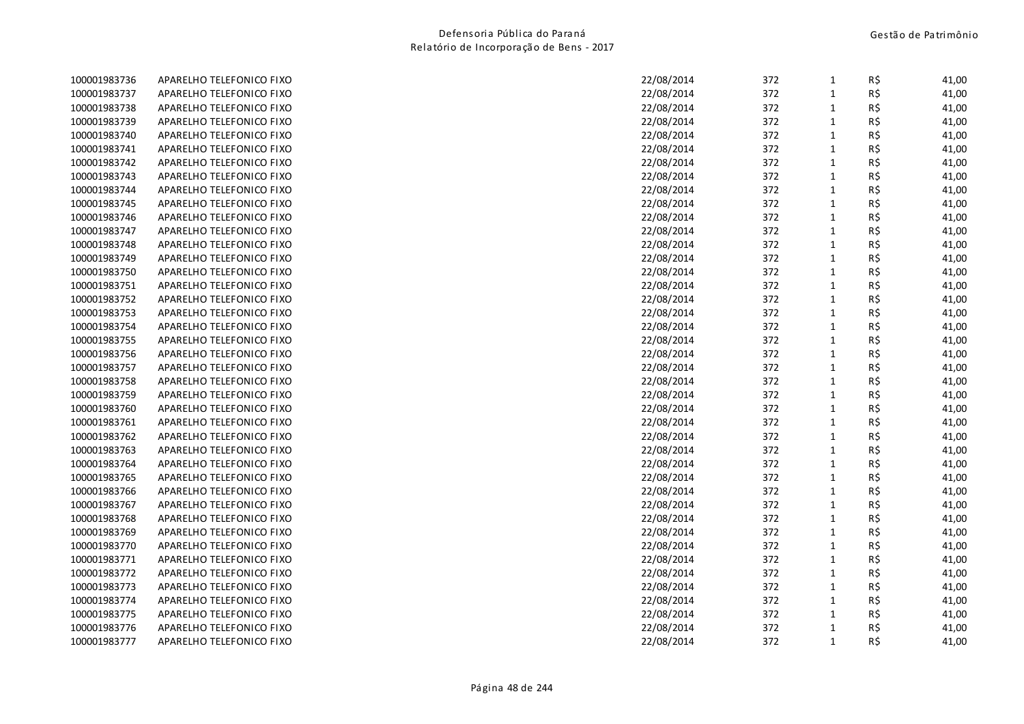| 100001983736 | APARELHO TELEFONICO FIXO | 22/08/2014<br>372 | R\$<br>$\mathbf{1}$ | 41,00 |
|--------------|--------------------------|-------------------|---------------------|-------|
| 100001983737 | APARELHO TELEFONICO FIXO | 22/08/2014<br>372 | R\$<br>$\mathbf{1}$ | 41,00 |
| 100001983738 | APARELHO TELEFONICO FIXO | 22/08/2014<br>372 | R\$<br>$\mathbf{1}$ | 41,00 |
| 100001983739 | APARELHO TELEFONICO FIXO | 22/08/2014<br>372 | R\$<br>$\mathbf{1}$ | 41,00 |
| 100001983740 | APARELHO TELEFONICO FIXO | 22/08/2014<br>372 | R\$<br>$\mathbf{1}$ | 41,00 |
| 100001983741 | APARELHO TELEFONICO FIXO | 22/08/2014<br>372 | R\$<br>$\mathbf{1}$ | 41,00 |
| 100001983742 | APARELHO TELEFONICO FIXO | 22/08/2014<br>372 | $\mathbf{1}$<br>R\$ | 41,00 |
| 100001983743 | APARELHO TELEFONICO FIXO | 22/08/2014<br>372 | R\$<br>$\mathbf{1}$ | 41,00 |
| 100001983744 | APARELHO TELEFONICO FIXO | 22/08/2014<br>372 | R\$<br>$\mathbf{1}$ | 41,00 |
| 100001983745 | APARELHO TELEFONICO FIXO | 22/08/2014<br>372 | R\$<br>$\mathbf{1}$ | 41,00 |
| 100001983746 | APARELHO TELEFONICO FIXO | 22/08/2014<br>372 | $\mathbf 1$<br>R\$  | 41,00 |
| 100001983747 | APARELHO TELEFONICO FIXO | 372<br>22/08/2014 | R\$<br>$\mathbf{1}$ | 41,00 |
| 100001983748 | APARELHO TELEFONICO FIXO | 372<br>22/08/2014 | $\mathbf{1}$<br>R\$ | 41,00 |
| 100001983749 | APARELHO TELEFONICO FIXO | 372<br>22/08/2014 | $\mathbf{1}$<br>R\$ | 41,00 |
| 100001983750 | APARELHO TELEFONICO FIXO | 22/08/2014<br>372 | $\mathbf{1}$<br>R\$ | 41,00 |
| 100001983751 | APARELHO TELEFONICO FIXO | 22/08/2014<br>372 | $\mathbf 1$<br>R\$  | 41,00 |
| 100001983752 | APARELHO TELEFONICO FIXO | 22/08/2014<br>372 | $\mathbf{1}$<br>R\$ | 41,00 |
| 100001983753 | APARELHO TELEFONICO FIXO | 22/08/2014<br>372 | R\$<br>$\mathbf{1}$ | 41,00 |
| 100001983754 | APARELHO TELEFONICO FIXO | 22/08/2014<br>372 | R\$<br>$\mathbf{1}$ | 41,00 |
| 100001983755 | APARELHO TELEFONICO FIXO | 22/08/2014<br>372 | $\mathbf{1}$<br>R\$ | 41,00 |
| 100001983756 | APARELHO TELEFONICO FIXO | 22/08/2014<br>372 | $\mathbf{1}$<br>R\$ | 41,00 |
| 100001983757 | APARELHO TELEFONICO FIXO | 372<br>22/08/2014 | R\$<br>$\mathbf{1}$ | 41,00 |
| 100001983758 | APARELHO TELEFONICO FIXO | 22/08/2014<br>372 | R\$<br>$\mathbf{1}$ | 41,00 |
| 100001983759 | APARELHO TELEFONICO FIXO | 22/08/2014<br>372 | $\mathbf{1}$<br>R\$ | 41,00 |
| 100001983760 | APARELHO TELEFONICO FIXO | 372<br>22/08/2014 | R\$<br>$\mathbf{1}$ | 41,00 |
| 100001983761 | APARELHO TELEFONICO FIXO | 372<br>22/08/2014 | $\mathbf{1}$<br>R\$ | 41,00 |
| 100001983762 | APARELHO TELEFONICO FIXO | 372<br>22/08/2014 | $\mathbf{1}$<br>R\$ | 41,00 |
| 100001983763 | APARELHO TELEFONICO FIXO | 372<br>22/08/2014 | $\mathbf{1}$<br>R\$ | 41,00 |
| 100001983764 | APARELHO TELEFONICO FIXO | 22/08/2014<br>372 | $\mathbf{1}$<br>R\$ | 41,00 |
| 100001983765 | APARELHO TELEFONICO FIXO | 22/08/2014<br>372 | $\mathbf 1$<br>R\$  | 41,00 |
| 100001983766 | APARELHO TELEFONICO FIXO | 372<br>22/08/2014 | $\mathbf{1}$<br>R\$ | 41,00 |
| 100001983767 | APARELHO TELEFONICO FIXO | 22/08/2014<br>372 | R\$<br>$\mathbf{1}$ | 41,00 |
| 100001983768 | APARELHO TELEFONICO FIXO | 22/08/2014<br>372 | $\mathbf{1}$<br>R\$ | 41,00 |
| 100001983769 | APARELHO TELEFONICO FIXO | 22/08/2014<br>372 | R\$<br>$\mathbf{1}$ | 41,00 |
| 100001983770 | APARELHO TELEFONICO FIXO | 22/08/2014<br>372 | $\mathbf{1}$<br>R\$ | 41,00 |
| 100001983771 | APARELHO TELEFONICO FIXO | 22/08/2014<br>372 | R\$<br>$\mathbf{1}$ | 41,00 |
| 100001983772 | APARELHO TELEFONICO FIXO | 22/08/2014<br>372 | $\mathbf{1}$<br>R\$ | 41,00 |
| 100001983773 | APARELHO TELEFONICO FIXO | 372<br>22/08/2014 | $\mathbf{1}$<br>R\$ | 41,00 |
| 100001983774 | APARELHO TELEFONICO FIXO | 372<br>22/08/2014 | $\mathbf{1}$<br>R\$ | 41,00 |
| 100001983775 | APARELHO TELEFONICO FIXO | 372<br>22/08/2014 | $\mathbf{1}$<br>R\$ | 41,00 |
| 100001983776 | APARELHO TELEFONICO FIXO | 372<br>22/08/2014 | R\$<br>$\mathbf{1}$ | 41,00 |
| 100001983777 | APARELHO TELEFONICO FIXO | 22/08/2014<br>372 | $\mathbf{1}$<br>R\$ | 41,00 |
|              |                          |                   |                     |       |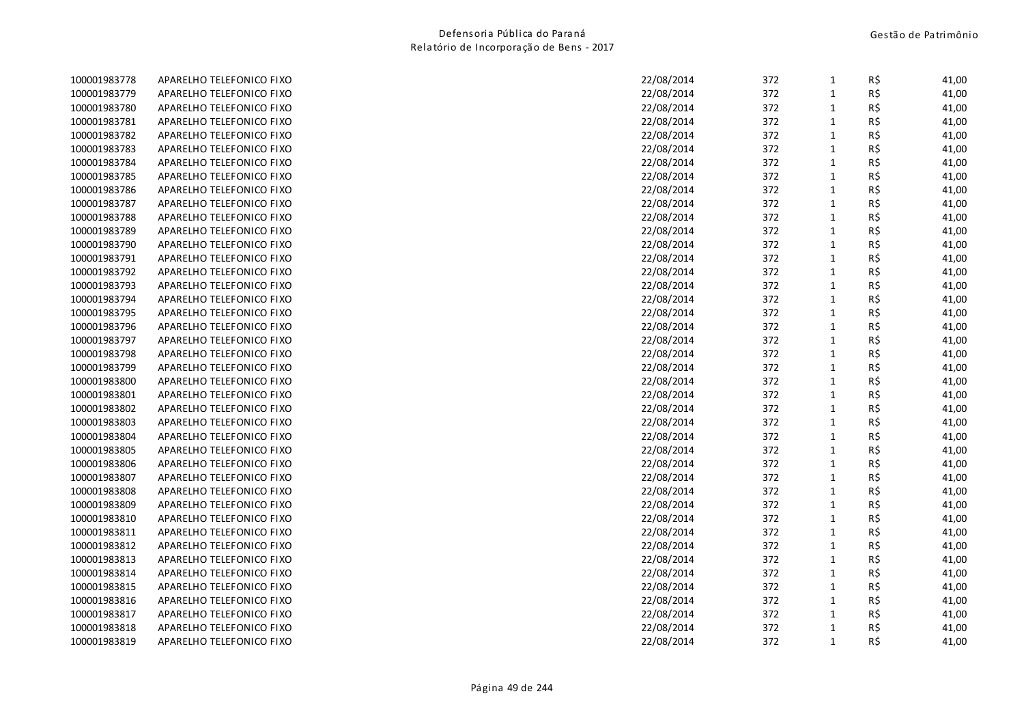| 100001983778 | APARELHO TELEFONICO FIXO | 22/08/2014<br>372<br>$\mathbf{1}$ | R\$ | 41,00 |
|--------------|--------------------------|-----------------------------------|-----|-------|
| 100001983779 | APARELHO TELEFONICO FIXO | 22/08/2014<br>372<br>$\mathbf{1}$ | R\$ | 41,00 |
| 100001983780 | APARELHO TELEFONICO FIXO | 22/08/2014<br>372<br>$\mathbf{1}$ | R\$ | 41,00 |
| 100001983781 | APARELHO TELEFONICO FIXO | 22/08/2014<br>372<br>$\mathbf{1}$ | R\$ | 41,00 |
| 100001983782 | APARELHO TELEFONICO FIXO | 22/08/2014<br>372<br>$\mathbf{1}$ | R\$ | 41,00 |
| 100001983783 | APARELHO TELEFONICO FIXO | 22/08/2014<br>372<br>$\mathbf{1}$ | R\$ | 41,00 |
| 100001983784 | APARELHO TELEFONICO FIXO | 22/08/2014<br>372<br>$\mathbf{1}$ | R\$ | 41,00 |
| 100001983785 | APARELHO TELEFONICO FIXO | 22/08/2014<br>372<br>$\mathbf{1}$ | R\$ | 41,00 |
| 100001983786 | APARELHO TELEFONICO FIXO | 22/08/2014<br>372<br>$\mathbf{1}$ | R\$ | 41,00 |
| 100001983787 | APARELHO TELEFONICO FIXO | 22/08/2014<br>372<br>$\mathbf{1}$ | R\$ | 41,00 |
| 100001983788 | APARELHO TELEFONICO FIXO | 22/08/2014<br>372<br>$\mathbf 1$  | R\$ | 41,00 |
| 100001983789 | APARELHO TELEFONICO FIXO | 372<br>22/08/2014<br>$\mathbf{1}$ | R\$ | 41,00 |
| 100001983790 | APARELHO TELEFONICO FIXO | 372<br>22/08/2014<br>$\mathbf{1}$ | R\$ | 41,00 |
| 100001983791 | APARELHO TELEFONICO FIXO | 372<br>$\mathbf{1}$<br>22/08/2014 | R\$ | 41,00 |
| 100001983792 | APARELHO TELEFONICO FIXO | $\mathbf{1}$<br>22/08/2014<br>372 | R\$ | 41,00 |
| 100001983793 | APARELHO TELEFONICO FIXO | $\mathbf 1$<br>22/08/2014<br>372  | R\$ | 41,00 |
| 100001983794 | APARELHO TELEFONICO FIXO | 22/08/2014<br>372<br>$\mathbf{1}$ | R\$ | 41,00 |
| 100001983795 | APARELHO TELEFONICO FIXO | 22/08/2014<br>372<br>$\mathbf{1}$ | R\$ | 41,00 |
| 100001983796 | APARELHO TELEFONICO FIXO | 22/08/2014<br>372<br>$\mathbf{1}$ | R\$ | 41,00 |
| 100001983797 | APARELHO TELEFONICO FIXO | 22/08/2014<br>372<br>$\mathbf{1}$ | R\$ | 41,00 |
| 100001983798 | APARELHO TELEFONICO FIXO | 22/08/2014<br>372<br>$\mathbf{1}$ | R\$ | 41,00 |
| 100001983799 | APARELHO TELEFONICO FIXO | 372<br>22/08/2014<br>$\mathbf{1}$ | R\$ | 41,00 |
| 100001983800 | APARELHO TELEFONICO FIXO | 22/08/2014<br>372<br>$\mathbf{1}$ | R\$ | 41,00 |
| 100001983801 | APARELHO TELEFONICO FIXO | 22/08/2014<br>372<br>$\mathbf{1}$ | R\$ | 41,00 |
| 100001983802 | APARELHO TELEFONICO FIXO | 372<br>22/08/2014<br>$\mathbf{1}$ | R\$ | 41,00 |
| 100001983803 | APARELHO TELEFONICO FIXO | 372<br>22/08/2014<br>$\mathbf{1}$ | R\$ | 41,00 |
| 100001983804 | APARELHO TELEFONICO FIXO | 372<br>$\mathbf{1}$<br>22/08/2014 | R\$ | 41,00 |
| 100001983805 | APARELHO TELEFONICO FIXO | 372<br>$\mathbf{1}$<br>22/08/2014 | R\$ | 41,00 |
| 100001983806 | APARELHO TELEFONICO FIXO | $\mathbf{1}$<br>22/08/2014<br>372 | R\$ | 41,00 |
| 100001983807 | APARELHO TELEFONICO FIXO | 22/08/2014<br>372<br>$\mathbf 1$  | R\$ | 41,00 |
| 100001983808 | APARELHO TELEFONICO FIXO | 372<br>$\mathbf{1}$<br>22/08/2014 | R\$ | 41,00 |
| 100001983809 | APARELHO TELEFONICO FIXO | 22/08/2014<br>372<br>$\mathbf{1}$ | R\$ | 41,00 |
| 100001983810 | APARELHO TELEFONICO FIXO | 22/08/2014<br>372<br>$\mathbf{1}$ | R\$ | 41,00 |
| 100001983811 | APARELHO TELEFONICO FIXO | 22/08/2014<br>372<br>$\mathbf{1}$ | R\$ | 41,00 |
| 100001983812 | APARELHO TELEFONICO FIXO | 22/08/2014<br>372<br>$\mathbf{1}$ | R\$ | 41,00 |
| 100001983813 | APARELHO TELEFONICO FIXO | 22/08/2014<br>372<br>$\mathbf{1}$ | R\$ | 41,00 |
| 100001983814 | APARELHO TELEFONICO FIXO | 22/08/2014<br>372<br>$\mathbf{1}$ | R\$ | 41,00 |
| 100001983815 | APARELHO TELEFONICO FIXO | 372<br>$\mathbf{1}$<br>22/08/2014 | R\$ | 41,00 |
| 100001983816 | APARELHO TELEFONICO FIXO | 372<br>22/08/2014<br>$\mathbf{1}$ | R\$ | 41,00 |
| 100001983817 | APARELHO TELEFONICO FIXO | 372<br>$\mathbf{1}$<br>22/08/2014 | R\$ | 41,00 |
| 100001983818 | APARELHO TELEFONICO FIXO | 372<br>22/08/2014<br>$\mathbf{1}$ | R\$ | 41,00 |
| 100001983819 | APARELHO TELEFONICO FIXO | $\mathbf{1}$<br>22/08/2014<br>372 | R\$ | 41,00 |
|              |                          |                                   |     |       |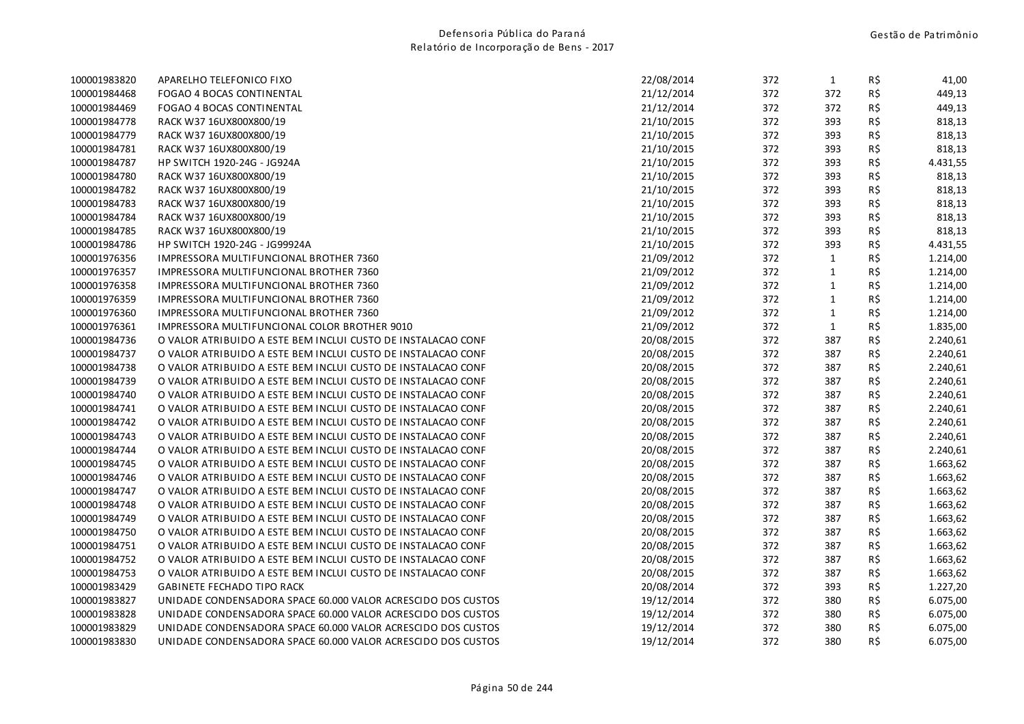| 100001984468 | FOGAO 4 BOCAS CONTINENTAL                                    | 21/12/2014 | 372 | 372          | R\$ | 449,13   |
|--------------|--------------------------------------------------------------|------------|-----|--------------|-----|----------|
| 100001984469 | FOGAO 4 BOCAS CONTINENTAL                                    | 21/12/2014 | 372 | 372          | R\$ | 449,13   |
| 100001984778 | RACK W37 16UX800X800/19                                      | 21/10/2015 | 372 | 393          | R\$ | 818,13   |
| 100001984779 | RACK W37 16UX800X800/19                                      | 21/10/2015 | 372 | 393          | R\$ | 818,13   |
| 100001984781 | RACK W37 16UX800X800/19                                      | 21/10/2015 | 372 | 393          | R\$ | 818,13   |
| 100001984787 | HP SWITCH 1920-24G - JG924A                                  | 21/10/2015 | 372 | 393          | R\$ | 4.431,55 |
| 100001984780 | RACK W37 16UX800X800/19                                      | 21/10/2015 | 372 | 393          | R\$ | 818,13   |
| 100001984782 | RACK W37 16UX800X800/19                                      | 21/10/2015 | 372 | 393          | R\$ | 818,13   |
| 100001984783 | RACK W37 16UX800X800/19                                      | 21/10/2015 | 372 | 393          | R\$ | 818,13   |
| 100001984784 | RACK W37 16UX800X800/19                                      | 21/10/2015 | 372 | 393          | R\$ | 818,13   |
| 100001984785 | RACK W37 16UX800X800/19                                      | 21/10/2015 | 372 | 393          | R\$ | 818,13   |
| 100001984786 | HP SWITCH 1920-24G - JG99924A                                | 21/10/2015 | 372 | 393          | R\$ | 4.431,55 |
| 100001976356 | IMPRESSORA MULTIFUNCIONAL BROTHER 7360                       | 21/09/2012 | 372 | $\mathbf{1}$ | R\$ | 1.214,00 |
| 100001976357 | IMPRESSORA MULTIFUNCIONAL BROTHER 7360                       | 21/09/2012 | 372 | $\mathbf{1}$ | R\$ | 1.214,00 |
| 100001976358 | IMPRESSORA MULTIFUNCIONAL BROTHER 7360                       | 21/09/2012 | 372 | $\mathbf{1}$ | R\$ | 1.214,00 |
| 100001976359 | IMPRESSORA MULTIFUNCIONAL BROTHER 7360                       | 21/09/2012 | 372 | $\mathbf{1}$ | R\$ | 1.214,00 |
| 100001976360 | IMPRESSORA MULTIFUNCIONAL BROTHER 7360                       | 21/09/2012 | 372 | $\mathbf{1}$ | R\$ | 1.214,00 |
| 100001976361 | IMPRESSORA MULTIFUNCIONAL COLOR BROTHER 9010                 | 21/09/2012 | 372 | $\mathbf{1}$ | R\$ | 1.835,00 |
| 100001984736 | O VALOR ATRIBUIDO A ESTE BEM INCLUI CUSTO DE INSTALACAO CONF | 20/08/2015 | 372 | 387          | R\$ | 2.240,61 |
| 100001984737 | O VALOR ATRIBUIDO A ESTE BEM INCLUI CUSTO DE INSTALACAO CONF | 20/08/2015 | 372 | 387          | R\$ | 2.240,61 |
| 100001984738 | O VALOR ATRIBUIDO A ESTE BEM INCLUI CUSTO DE INSTALACAO CONF | 20/08/2015 | 372 | 387          | R\$ | 2.240,61 |
| 100001984739 | O VALOR ATRIBUIDO A ESTE BEM INCLUI CUSTO DE INSTALACAO CONF | 20/08/2015 | 372 | 387          | R\$ | 2.240,61 |
| 100001984740 | O VALOR ATRIBUIDO A ESTE BEM INCLUI CUSTO DE INSTALACAO CONF | 20/08/2015 | 372 | 387          | R\$ | 2.240,61 |
| 100001984741 | O VALOR ATRIBUIDO A ESTE BEM INCLUI CUSTO DE INSTALACAO CONF | 20/08/2015 | 372 | 387          | R\$ | 2.240,61 |
| 100001984742 | O VALOR ATRIBUIDO A ESTE BEM INCLUI CUSTO DE INSTALACAO CONF | 20/08/2015 | 372 | 387          | R\$ | 2.240,61 |
| 100001984743 | O VALOR ATRIBUIDO A ESTE BEM INCLUI CUSTO DE INSTALACAO CONF | 20/08/2015 | 372 | 387          | R\$ | 2.240,61 |
| 100001984744 | O VALOR ATRIBUIDO A ESTE BEM INCLUI CUSTO DE INSTALACAO CONF | 20/08/2015 | 372 | 387          | R\$ | 2.240,61 |
| 100001984745 | O VALOR ATRIBUIDO A ESTE BEM INCLUI CUSTO DE INSTALACAO CONF | 20/08/2015 | 372 | 387          | R\$ | 1.663,62 |
| 100001984746 | O VALOR ATRIBUIDO A ESTE BEM INCLUI CUSTO DE INSTALACAO CONF | 20/08/2015 | 372 | 387          | R\$ | 1.663,62 |
| 100001984747 | O VALOR ATRIBUIDO A ESTE BEM INCLUI CUSTO DE INSTALACAO CONF | 20/08/2015 | 372 | 387          | R\$ | 1.663,62 |
| 100001984748 | O VALOR ATRIBUIDO A ESTE BEM INCLUI CUSTO DE INSTALACAO CONF | 20/08/2015 | 372 | 387          | R\$ | 1.663,62 |
| 100001984749 | O VALOR ATRIBUIDO A ESTE BEM INCLUI CUSTO DE INSTALACAO CONF | 20/08/2015 | 372 | 387          | R\$ | 1.663,62 |
| 100001984750 | O VALOR ATRIBUIDO A ESTE BEM INCLUI CUSTO DE INSTALACAO CONF | 20/08/2015 | 372 | 387          | R\$ | 1.663,62 |
| 100001984751 | O VALOR ATRIBUIDO A ESTE BEM INCLUI CUSTO DE INSTALACAO CONF | 20/08/2015 | 372 | 387          | R\$ | 1.663,62 |
| 100001984752 | O VALOR ATRIBUIDO A ESTE BEM INCLUI CUSTO DE INSTALACAO CONF | 20/08/2015 | 372 | 387          | R\$ | 1.663,62 |
| 100001984753 | O VALOR ATRIBUIDO A ESTE BEM INCLUI CUSTO DE INSTALACAO CONF | 20/08/2015 | 372 | 387          | R\$ | 1.663,62 |
| 100001983429 | <b>GABINETE FECHADO TIPO RACK</b>                            | 20/08/2014 | 372 | 393          | R\$ | 1.227,20 |
| 100001983827 | UNIDADE CONDENSADORA SPACE 60.000 VALOR ACRESCIDO DOS CUSTOS | 19/12/2014 | 372 | 380          | R\$ | 6.075,00 |
| 100001983828 | UNIDADE CONDENSADORA SPACE 60.000 VALOR ACRESCIDO DOS CUSTOS | 19/12/2014 | 372 | 380          | R\$ | 6.075,00 |
| 100001983829 | UNIDADE CONDENSADORA SPACE 60.000 VALOR ACRESCIDO DOS CUSTOS | 19/12/2014 | 372 | 380          | R\$ | 6.075,00 |
| 100001983830 | UNIDADE CONDENSADORA SPACE 60.000 VALOR ACRESCIDO DOS CUSTOS | 19/12/2014 | 372 | 380          | R\$ | 6.075,00 |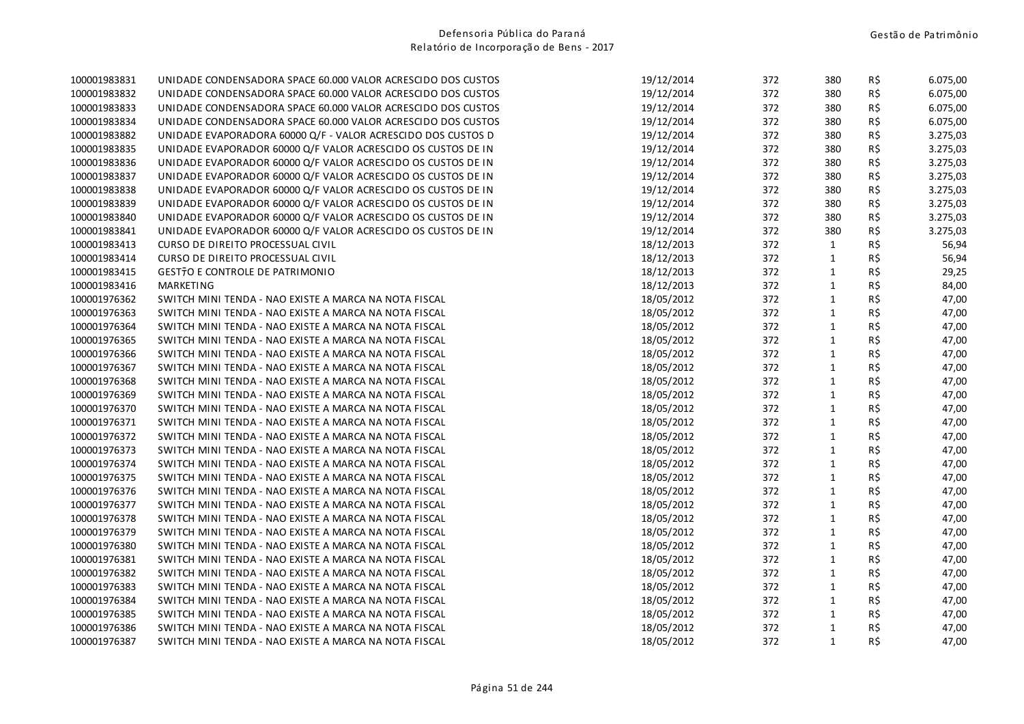| 100001983831 | UNIDADE CONDENSADORA SPACE 60.000 VALOR ACRESCIDO DOS CUSTOS | 19/12/2014 | 372 | 380          | R\$ | 6.075,00 |
|--------------|--------------------------------------------------------------|------------|-----|--------------|-----|----------|
| 100001983832 | UNIDADE CONDENSADORA SPACE 60.000 VALOR ACRESCIDO DOS CUSTOS | 19/12/2014 | 372 | 380          | R\$ | 6.075,00 |
| 100001983833 | UNIDADE CONDENSADORA SPACE 60.000 VALOR ACRESCIDO DOS CUSTOS | 19/12/2014 | 372 | 380          | R\$ | 6.075,00 |
| 100001983834 | UNIDADE CONDENSADORA SPACE 60.000 VALOR ACRESCIDO DOS CUSTOS | 19/12/2014 | 372 | 380          | R\$ | 6.075,00 |
| 100001983882 | UNIDADE EVAPORADORA 60000 Q/F - VALOR ACRESCIDO DOS CUSTOS D | 19/12/2014 | 372 | 380          | R\$ | 3.275,03 |
| 100001983835 | UNIDADE EVAPORADOR 60000 Q/F VALOR ACRESCIDO OS CUSTOS DE IN | 19/12/2014 | 372 | 380          | R\$ | 3.275,03 |
| 100001983836 | UNIDADE EVAPORADOR 60000 Q/F VALOR ACRESCIDO OS CUSTOS DE IN | 19/12/2014 | 372 | 380          | R\$ | 3.275,03 |
| 100001983837 | UNIDADE EVAPORADOR 60000 Q/F VALOR ACRESCIDO OS CUSTOS DE IN | 19/12/2014 | 372 | 380          | R\$ | 3.275,03 |
| 100001983838 | UNIDADE EVAPORADOR 60000 Q/F VALOR ACRESCIDO OS CUSTOS DE IN | 19/12/2014 | 372 | 380          | R\$ | 3.275,03 |
| 100001983839 | UNIDADE EVAPORADOR 60000 Q/F VALOR ACRESCIDO OS CUSTOS DE IN | 19/12/2014 | 372 | 380          | R\$ | 3.275,03 |
| 100001983840 | UNIDADE EVAPORADOR 60000 Q/F VALOR ACRESCIDO OS CUSTOS DE IN | 19/12/2014 | 372 | 380          | R\$ | 3.275,03 |
| 100001983841 | UNIDADE EVAPORADOR 60000 Q/F VALOR ACRESCIDO OS CUSTOS DE IN | 19/12/2014 | 372 | 380          | R\$ | 3.275,03 |
| 100001983413 | CURSO DE DIREITO PROCESSUAL CIVIL                            | 18/12/2013 | 372 | $\mathbf{1}$ | R\$ | 56,94    |
| 100001983414 | CURSO DE DIREITO PROCESSUAL CIVIL                            | 18/12/2013 | 372 | $\mathbf{1}$ | R\$ | 56,94    |
| 100001983415 | GEST70 E CONTROLE DE PATRIMONIO                              | 18/12/2013 | 372 | $\mathbf{1}$ | R\$ | 29,25    |
| 100001983416 | MARKETING                                                    | 18/12/2013 | 372 | $\mathbf{1}$ | R\$ | 84,00    |
| 100001976362 | SWITCH MINI TENDA - NAO EXISTE A MARCA NA NOTA FISCAL        | 18/05/2012 | 372 | $\mathbf{1}$ | R\$ | 47,00    |
| 100001976363 | SWITCH MINI TENDA - NAO EXISTE A MARCA NA NOTA FISCAL        | 18/05/2012 | 372 | $\mathbf{1}$ | R\$ | 47,00    |
| 100001976364 | SWITCH MINI TENDA - NAO EXISTE A MARCA NA NOTA FISCAL        | 18/05/2012 | 372 | $\mathbf 1$  | R\$ | 47,00    |
| 100001976365 | SWITCH MINI TENDA - NAO EXISTE A MARCA NA NOTA FISCAL        | 18/05/2012 | 372 | $\mathbf{1}$ | R\$ | 47,00    |
| 100001976366 | SWITCH MINI TENDA - NAO EXISTE A MARCA NA NOTA FISCAL        | 18/05/2012 | 372 | $\mathbf{1}$ | R\$ | 47,00    |
| 100001976367 | SWITCH MINI TENDA - NAO EXISTE A MARCA NA NOTA FISCAL        | 18/05/2012 | 372 | $\mathbf{1}$ | R\$ | 47,00    |
| 100001976368 | SWITCH MINI TENDA - NAO EXISTE A MARCA NA NOTA FISCAL        | 18/05/2012 | 372 | $\mathbf 1$  | R\$ | 47,00    |
| 100001976369 | SWITCH MINI TENDA - NAO EXISTE A MARCA NA NOTA FISCAL        | 18/05/2012 | 372 | $\mathbf{1}$ | R\$ | 47,00    |
| 100001976370 | SWITCH MINI TENDA - NAO EXISTE A MARCA NA NOTA FISCAL        | 18/05/2012 | 372 | $\mathbf{1}$ | R\$ | 47,00    |
| 100001976371 | SWITCH MINI TENDA - NAO EXISTE A MARCA NA NOTA FISCAL        | 18/05/2012 | 372 | $\mathbf{1}$ | R\$ | 47,00    |
| 100001976372 | SWITCH MINI TENDA - NAO EXISTE A MARCA NA NOTA FISCAL        | 18/05/2012 | 372 | $\mathbf{1}$ | R\$ | 47,00    |
| 100001976373 | SWITCH MINI TENDA - NAO EXISTE A MARCA NA NOTA FISCAL        | 18/05/2012 | 372 | $\mathbf{1}$ | R\$ | 47,00    |
| 100001976374 | SWITCH MINI TENDA - NAO EXISTE A MARCA NA NOTA FISCAL        | 18/05/2012 | 372 | $\mathbf{1}$ | R\$ | 47,00    |
| 100001976375 | SWITCH MINI TENDA - NAO EXISTE A MARCA NA NOTA FISCAL        | 18/05/2012 | 372 | $\mathbf{1}$ | R\$ | 47,00    |
| 100001976376 | SWITCH MINI TENDA - NAO EXISTE A MARCA NA NOTA FISCAL        | 18/05/2012 | 372 | $\mathbf{1}$ | R\$ | 47,00    |
| 100001976377 | SWITCH MINI TENDA - NAO EXISTE A MARCA NA NOTA FISCAL        | 18/05/2012 | 372 | $\mathbf{1}$ | R\$ | 47,00    |
| 100001976378 | SWITCH MINI TENDA - NAO EXISTE A MARCA NA NOTA FISCAL        | 18/05/2012 | 372 | $\mathbf{1}$ | R\$ | 47,00    |
| 100001976379 | SWITCH MINI TENDA - NAO EXISTE A MARCA NA NOTA FISCAL        | 18/05/2012 | 372 | $\mathbf{1}$ | R\$ | 47,00    |
| 100001976380 | SWITCH MINI TENDA - NAO EXISTE A MARCA NA NOTA FISCAL        | 18/05/2012 | 372 | $\mathbf{1}$ | R\$ | 47,00    |
| 100001976381 | SWITCH MINI TENDA - NAO EXISTE A MARCA NA NOTA FISCAL        | 18/05/2012 | 372 | $\mathbf 1$  | R\$ | 47,00    |
| 100001976382 | SWITCH MINI TENDA - NAO EXISTE A MARCA NA NOTA FISCAL        | 18/05/2012 | 372 | $\mathbf{1}$ | R\$ | 47,00    |
| 100001976383 | SWITCH MINI TENDA - NAO EXISTE A MARCA NA NOTA FISCAL        | 18/05/2012 | 372 | $\mathbf{1}$ | R\$ | 47,00    |
| 100001976384 | SWITCH MINI TENDA - NAO EXISTE A MARCA NA NOTA FISCAL        | 18/05/2012 | 372 | $\mathbf{1}$ | R\$ | 47,00    |
| 100001976385 | SWITCH MINI TENDA - NAO EXISTE A MARCA NA NOTA FISCAL        | 18/05/2012 | 372 | $\mathbf{1}$ | R\$ | 47,00    |
| 100001976386 | SWITCH MINI TENDA - NAO EXISTE A MARCA NA NOTA FISCAL        | 18/05/2012 | 372 | $\mathbf{1}$ | R\$ | 47,00    |
| 100001976387 | SWITCH MINI TENDA - NAO EXISTE A MARCA NA NOTA FISCAL        | 18/05/2012 | 372 | $\mathbf{1}$ | R\$ | 47,00    |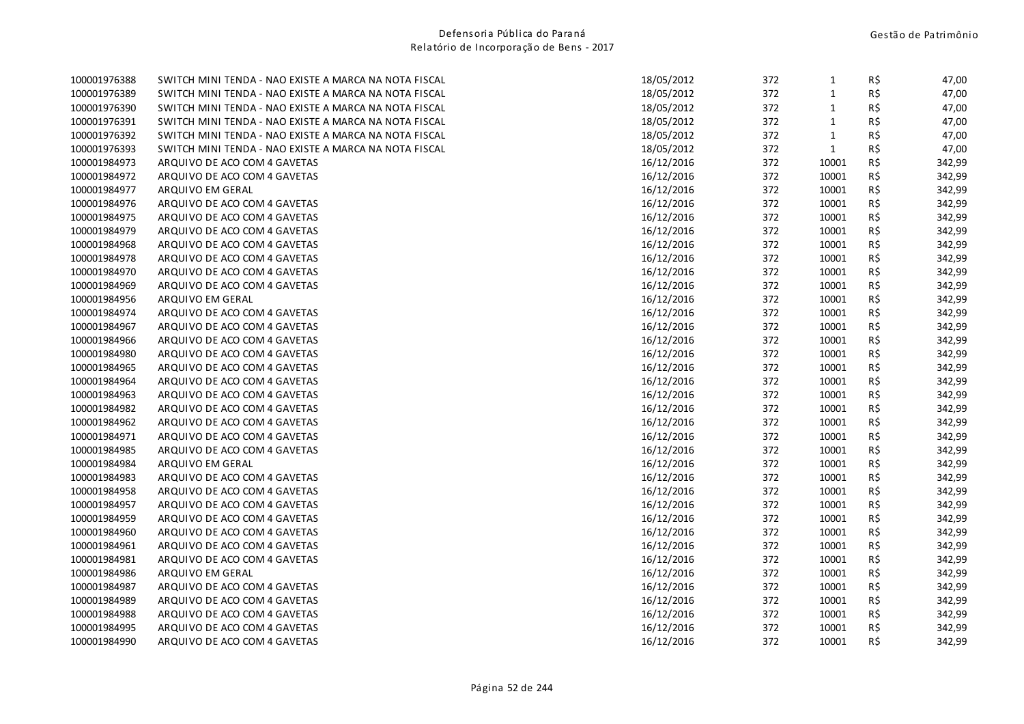| 100001976388 | SWITCH MINI TENDA - NAO EXISTE A MARCA NA NOTA FISCAL | 18/05/2012 | 372 | 1            | R\$ | 47,00  |
|--------------|-------------------------------------------------------|------------|-----|--------------|-----|--------|
| 100001976389 | SWITCH MINI TENDA - NAO EXISTE A MARCA NA NOTA FISCAL | 18/05/2012 | 372 | $\mathbf{1}$ | R\$ | 47,00  |
| 100001976390 | SWITCH MINI TENDA - NAO EXISTE A MARCA NA NOTA FISCAL | 18/05/2012 | 372 | $\mathbf{1}$ | R\$ | 47,00  |
| 100001976391 | SWITCH MINI TENDA - NAO EXISTE A MARCA NA NOTA FISCAL | 18/05/2012 | 372 | $\mathbf{1}$ | R\$ | 47,00  |
| 100001976392 | SWITCH MINI TENDA - NAO EXISTE A MARCA NA NOTA FISCAL | 18/05/2012 | 372 | $\mathbf{1}$ | R\$ | 47,00  |
| 100001976393 | SWITCH MINI TENDA - NAO EXISTE A MARCA NA NOTA FISCAL | 18/05/2012 | 372 | $\mathbf{1}$ | R\$ | 47,00  |
| 100001984973 | ARQUIVO DE ACO COM 4 GAVETAS                          | 16/12/2016 | 372 | 10001        | R\$ | 342,99 |
| 100001984972 | ARQUIVO DE ACO COM 4 GAVETAS                          | 16/12/2016 | 372 | 10001        | R\$ | 342,99 |
| 100001984977 | ARQUIVO EM GERAL                                      | 16/12/2016 | 372 | 10001        | R\$ | 342,99 |
| 100001984976 | ARQUIVO DE ACO COM 4 GAVETAS                          | 16/12/2016 | 372 | 10001        | R\$ | 342,99 |
| 100001984975 | ARQUIVO DE ACO COM 4 GAVETAS                          | 16/12/2016 | 372 | 10001        | R\$ | 342,99 |
| 100001984979 | ARQUIVO DE ACO COM 4 GAVETAS                          | 16/12/2016 | 372 | 10001        | R\$ | 342,99 |
| 100001984968 | ARQUIVO DE ACO COM 4 GAVETAS                          | 16/12/2016 | 372 | 10001        | R\$ | 342,99 |
| 100001984978 | ARQUIVO DE ACO COM 4 GAVETAS                          | 16/12/2016 | 372 | 10001        | R\$ | 342,99 |
| 100001984970 | ARQUIVO DE ACO COM 4 GAVETAS                          | 16/12/2016 | 372 | 10001        | R\$ | 342,99 |
| 100001984969 | ARQUIVO DE ACO COM 4 GAVETAS                          | 16/12/2016 | 372 | 10001        | R\$ | 342,99 |
| 100001984956 | ARQUIVO EM GERAL                                      | 16/12/2016 | 372 | 10001        | R\$ | 342,99 |
| 100001984974 | ARQUIVO DE ACO COM 4 GAVETAS                          | 16/12/2016 | 372 | 10001        | R\$ | 342,99 |
| 100001984967 | ARQUIVO DE ACO COM 4 GAVETAS                          | 16/12/2016 | 372 | 10001        | R\$ | 342,99 |
| 100001984966 | ARQUIVO DE ACO COM 4 GAVETAS                          | 16/12/2016 | 372 | 10001        | R\$ | 342,99 |
| 100001984980 | ARQUIVO DE ACO COM 4 GAVETAS                          | 16/12/2016 | 372 | 10001        | R\$ | 342,99 |
| 100001984965 | ARQUIVO DE ACO COM 4 GAVETAS                          | 16/12/2016 | 372 | 10001        | R\$ | 342,99 |
| 100001984964 | ARQUIVO DE ACO COM 4 GAVETAS                          | 16/12/2016 | 372 | 10001        | R\$ | 342,99 |
| 100001984963 | ARQUIVO DE ACO COM 4 GAVETAS                          | 16/12/2016 | 372 | 10001        | R\$ | 342,99 |
| 100001984982 | ARQUIVO DE ACO COM 4 GAVETAS                          | 16/12/2016 | 372 | 10001        | R\$ | 342,99 |
| 100001984962 | ARQUIVO DE ACO COM 4 GAVETAS                          | 16/12/2016 | 372 | 10001        | R\$ | 342,99 |
| 100001984971 | ARQUIVO DE ACO COM 4 GAVETAS                          | 16/12/2016 | 372 | 10001        | R\$ | 342,99 |
| 100001984985 | ARQUIVO DE ACO COM 4 GAVETAS                          | 16/12/2016 | 372 | 10001        | R\$ | 342,99 |
| 100001984984 | ARQUIVO EM GERAL                                      | 16/12/2016 | 372 | 10001        | R\$ | 342,99 |
| 100001984983 | ARQUIVO DE ACO COM 4 GAVETAS                          | 16/12/2016 | 372 | 10001        | R\$ | 342,99 |
| 100001984958 | ARQUIVO DE ACO COM 4 GAVETAS                          | 16/12/2016 | 372 | 10001        | R\$ | 342,99 |
| 100001984957 | ARQUIVO DE ACO COM 4 GAVETAS                          | 16/12/2016 | 372 | 10001        | R\$ | 342,99 |
| 100001984959 | ARQUIVO DE ACO COM 4 GAVETAS                          | 16/12/2016 | 372 | 10001        | R\$ | 342,99 |
| 100001984960 | ARQUIVO DE ACO COM 4 GAVETAS                          | 16/12/2016 | 372 | 10001        | R\$ | 342,99 |
| 100001984961 | ARQUIVO DE ACO COM 4 GAVETAS                          | 16/12/2016 | 372 | 10001        | R\$ | 342,99 |
| 100001984981 | ARQUIVO DE ACO COM 4 GAVETAS                          | 16/12/2016 | 372 | 10001        | R\$ | 342,99 |
| 100001984986 | ARQUIVO EM GERAL                                      | 16/12/2016 | 372 | 10001        | R\$ | 342,99 |
| 100001984987 | ARQUIVO DE ACO COM 4 GAVETAS                          | 16/12/2016 | 372 | 10001        | R\$ | 342,99 |
| 100001984989 | ARQUIVO DE ACO COM 4 GAVETAS                          | 16/12/2016 | 372 | 10001        | R\$ | 342,99 |
| 100001984988 | ARQUIVO DE ACO COM 4 GAVETAS                          | 16/12/2016 | 372 | 10001        | R\$ | 342,99 |
| 100001984995 | ARQUIVO DE ACO COM 4 GAVETAS                          | 16/12/2016 | 372 | 10001        | R\$ | 342,99 |
| 100001984990 | ARQUIVO DE ACO COM 4 GAVETAS                          | 16/12/2016 | 372 | 10001        | R\$ | 342,99 |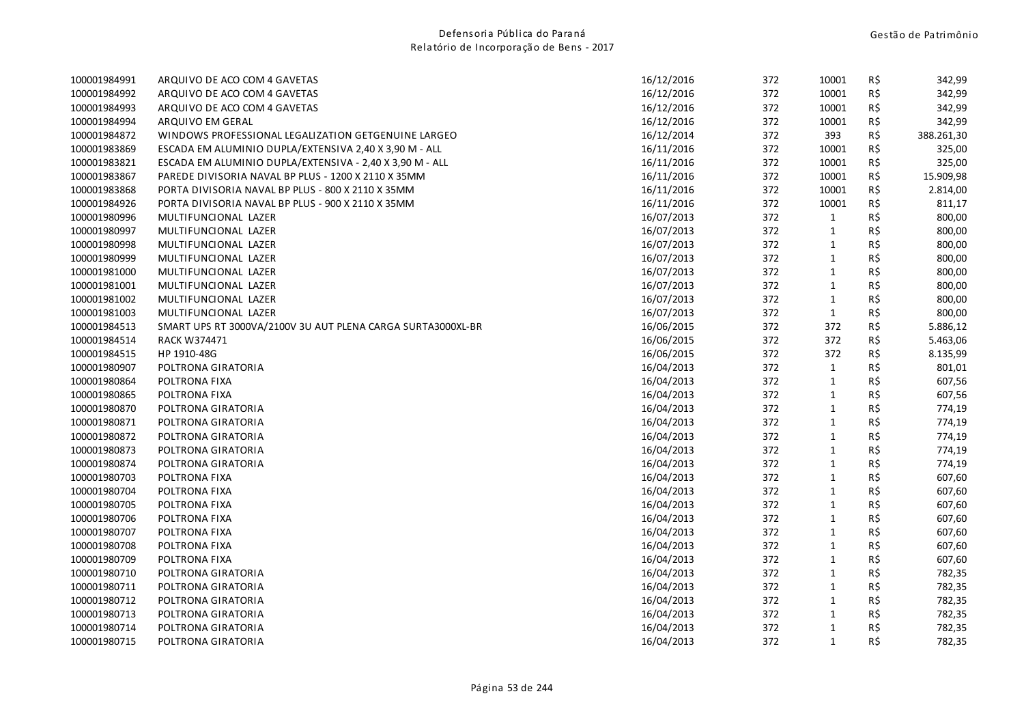| 100001984991 | ARQUIVO DE ACO COM 4 GAVETAS                                | 16/12/2016 | 372 | 10001        | R\$ | 342,99     |
|--------------|-------------------------------------------------------------|------------|-----|--------------|-----|------------|
| 100001984992 | ARQUIVO DE ACO COM 4 GAVETAS                                | 16/12/2016 | 372 | 10001        | R\$ | 342,99     |
| 100001984993 | ARQUIVO DE ACO COM 4 GAVETAS                                | 16/12/2016 | 372 | 10001        | R\$ | 342,99     |
| 100001984994 | ARQUIVO EM GERAL                                            | 16/12/2016 | 372 | 10001        | R\$ | 342,99     |
| 100001984872 | WINDOWS PROFESSIONAL LEGALIZATION GETGENUINE LARGEO         | 16/12/2014 | 372 | 393          | R\$ | 388.261,30 |
| 100001983869 | ESCADA EM ALUMINIO DUPLA/EXTENSIVA 2,40 X 3,90 M - ALL      | 16/11/2016 | 372 | 10001        | R\$ | 325,00     |
| 100001983821 | ESCADA EM ALUMINIO DUPLA/EXTENSIVA - 2,40 X 3,90 M - ALL    | 16/11/2016 | 372 | 10001        | R\$ | 325,00     |
| 100001983867 | PAREDE DIVISORIA NAVAL BP PLUS - 1200 X 2110 X 35MM         | 16/11/2016 | 372 | 10001        | R\$ | 15.909,98  |
| 100001983868 | PORTA DIVISORIA NAVAL BP PLUS - 800 X 2110 X 35MM           | 16/11/2016 | 372 | 10001        | R\$ | 2.814,00   |
| 100001984926 | PORTA DIVISORIA NAVAL BP PLUS - 900 X 2110 X 35MM           | 16/11/2016 | 372 | 10001        | R\$ | 811,17     |
| 100001980996 | MULTIFUNCIONAL LAZER                                        | 16/07/2013 | 372 | $\mathbf{1}$ | R\$ | 800,00     |
| 100001980997 | MULTIFUNCIONAL LAZER                                        | 16/07/2013 | 372 | $\mathbf{1}$ | R\$ | 800,00     |
| 100001980998 | MULTIFUNCIONAL LAZER                                        | 16/07/2013 | 372 | $\mathbf{1}$ | R\$ | 800,00     |
| 100001980999 | MULTIFUNCIONAL LAZER                                        | 16/07/2013 | 372 | $\mathbf{1}$ | R\$ | 800,00     |
| 100001981000 | MULTIFUNCIONAL LAZER                                        | 16/07/2013 | 372 | $\mathbf{1}$ | R\$ | 800,00     |
| 100001981001 | MULTIFUNCIONAL LAZER                                        | 16/07/2013 | 372 | $\mathbf{1}$ | R\$ | 800,00     |
| 100001981002 | MULTIFUNCIONAL LAZER                                        | 16/07/2013 | 372 | $\mathbf{1}$ | R\$ | 800,00     |
| 100001981003 | MULTIFUNCIONAL LAZER                                        | 16/07/2013 | 372 | $\mathbf{1}$ | R\$ | 800,00     |
| 100001984513 | SMART UPS RT 3000VA/2100V 3U AUT PLENA CARGA SURTA3000XL-BR | 16/06/2015 | 372 | 372          | R\$ | 5.886,12   |
| 100001984514 | <b>RACK W374471</b>                                         | 16/06/2015 | 372 | 372          | R\$ | 5.463,06   |
| 100001984515 | HP 1910-48G                                                 | 16/06/2015 | 372 | 372          | R\$ | 8.135,99   |
| 100001980907 | POLTRONA GIRATORIA                                          | 16/04/2013 | 372 | $\mathbf{1}$ | R\$ | 801,01     |
| 100001980864 | POLTRONA FIXA                                               | 16/04/2013 | 372 | $\mathbf{1}$ | R\$ | 607,56     |
| 100001980865 | POLTRONA FIXA                                               | 16/04/2013 | 372 | $\mathbf{1}$ | R\$ | 607,56     |
| 100001980870 | POLTRONA GIRATORIA                                          | 16/04/2013 | 372 | $\mathbf{1}$ | R\$ | 774,19     |
| 100001980871 | POLTRONA GIRATORIA                                          | 16/04/2013 | 372 | $\mathbf{1}$ | R\$ | 774,19     |
| 100001980872 | POLTRONA GIRATORIA                                          | 16/04/2013 | 372 | $\mathbf{1}$ | R\$ | 774,19     |
| 100001980873 | POLTRONA GIRATORIA                                          | 16/04/2013 | 372 | $\mathbf{1}$ | R\$ | 774,19     |
| 100001980874 | POLTRONA GIRATORIA                                          | 16/04/2013 | 372 | $\mathbf{1}$ | R\$ | 774,19     |
| 100001980703 | POLTRONA FIXA                                               | 16/04/2013 | 372 | $\mathbf{1}$ | R\$ | 607,60     |
| 100001980704 | POLTRONA FIXA                                               | 16/04/2013 | 372 | $\mathbf{1}$ | R\$ | 607,60     |
| 100001980705 | POLTRONA FIXA                                               | 16/04/2013 | 372 | $\mathbf{1}$ | R\$ | 607,60     |
| 100001980706 | POLTRONA FIXA                                               | 16/04/2013 | 372 | $\mathbf{1}$ | R\$ | 607,60     |
| 100001980707 | POLTRONA FIXA                                               | 16/04/2013 | 372 | $\mathbf{1}$ | R\$ | 607,60     |
| 100001980708 | POLTRONA FIXA                                               | 16/04/2013 | 372 | $\mathbf{1}$ | R\$ | 607,60     |
| 100001980709 | POLTRONA FIXA                                               | 16/04/2013 | 372 | $\mathbf{1}$ | R\$ | 607,60     |
| 100001980710 | POLTRONA GIRATORIA                                          | 16/04/2013 | 372 | $\mathbf{1}$ | R\$ | 782,35     |
| 100001980711 | POLTRONA GIRATORIA                                          | 16/04/2013 | 372 | $\mathbf{1}$ | R\$ | 782,35     |
| 100001980712 | POLTRONA GIRATORIA                                          | 16/04/2013 | 372 | $\mathbf{1}$ | R\$ | 782,35     |
| 100001980713 | POLTRONA GIRATORIA                                          | 16/04/2013 | 372 | $\mathbf{1}$ | R\$ | 782,35     |
| 100001980714 | POLTRONA GIRATORIA                                          | 16/04/2013 | 372 | $\mathbf{1}$ | R\$ | 782,35     |
| 100001980715 | POLTRONA GIRATORIA                                          | 16/04/2013 | 372 | $\mathbf{1}$ | R\$ | 782,35     |
|              |                                                             |            |     |              |     |            |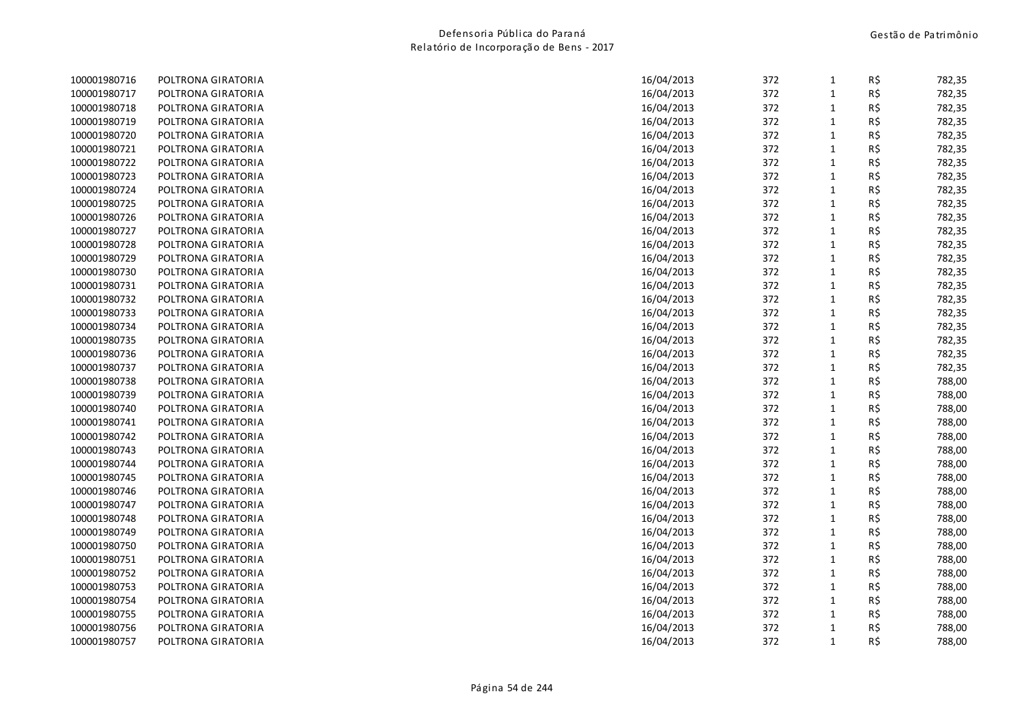| 372<br>R\$<br>100001980717<br>16/04/2013<br>$\mathbf{1}$<br>POLTRONA GIRATORIA<br>372<br>R\$<br>100001980718<br>POLTRONA GIRATORIA<br>16/04/2013<br>$\mathbf{1}$<br>372<br>R\$<br>100001980719<br>16/04/2013<br>$\mathbf{1}$<br>POLTRONA GIRATORIA<br>372<br>$\mathbf{1}$<br>R\$<br>100001980720<br>POLTRONA GIRATORIA<br>16/04/2013<br>372<br>100001980721<br>16/04/2013<br>$\mathbf{1}$<br>R\$<br>POLTRONA GIRATORIA<br>372<br>R\$<br>100001980722<br>POLTRONA GIRATORIA<br>16/04/2013<br>1<br>R\$<br>100001980723<br>372<br>$\mathbf{1}$<br>POLTRONA GIRATORIA<br>16/04/2013<br>100001980724<br>372<br>$1\,$<br>R\$<br>POLTRONA GIRATORIA<br>16/04/2013<br>372<br>R\$<br>100001980725<br>16/04/2013<br>$\mathbf{1}$<br>POLTRONA GIRATORIA<br>372<br>$\mathbf{1}$<br>R\$<br>100001980726<br>POLTRONA GIRATORIA<br>16/04/2013<br>372<br>R\$<br>100001980727<br>POLTRONA GIRATORIA<br>16/04/2013<br>$\mathbf{1}$<br>372<br>R\$<br>100001980728<br>POLTRONA GIRATORIA<br>16/04/2013<br>$\mathbf{1}$<br>100001980729<br>16/04/2013<br>372<br>$\mathbf{1}$<br>R\$<br>POLTRONA GIRATORIA<br>372<br>$\mathbf{1}$<br>100001980730<br>POLTRONA GIRATORIA<br>16/04/2013<br>R\$<br>100001980731<br>16/04/2013<br>372<br>$\mathbf{1}$<br>R\$<br>POLTRONA GIRATORIA<br>372<br>R\$<br>100001980732<br>POLTRONA GIRATORIA<br>16/04/2013<br>$\mathbf{1}$<br>R\$<br>100001980733<br>16/04/2013<br>372<br>$\mathbf{1}$<br>POLTRONA GIRATORIA<br>372<br>$\mathbf{1}$<br>R\$<br>100001980734<br>16/04/2013<br>POLTRONA GIRATORIA<br>372<br>$\mathbf{1}$<br>R\$<br>100001980735<br>POLTRONA GIRATORIA<br>16/04/2013<br>372<br>R\$<br>100001980736<br>16/04/2013<br>$\mathbf{1}$<br>POLTRONA GIRATORIA<br>372<br>$\mathbf{1}$<br>R\$<br>100001980737<br>POLTRONA GIRATORIA<br>16/04/2013<br>R\$<br>100001980738<br>16/04/2013<br>372<br>$\mathbf{1}$<br>POLTRONA GIRATORIA<br>100001980739<br>372<br>$\mathbf{1}$<br>R\$<br>POLTRONA GIRATORIA<br>16/04/2013<br>372<br>100001980740<br>16/04/2013<br>$\mathbf{1}$<br>R\$<br>POLTRONA GIRATORIA<br>372<br>R\$<br>100001980741<br>POLTRONA GIRATORIA<br>16/04/2013<br>1<br>372<br>R\$<br>100001980742<br>16/04/2013<br>$\mathbf{1}$<br>POLTRONA GIRATORIA<br>372<br>$\mathbf{1}$<br>R\$<br>100001980743<br>POLTRONA GIRATORIA<br>16/04/2013<br>372<br>100001980744<br>16/04/2013<br>$\mathbf{1}$<br>R\$<br>POLTRONA GIRATORIA<br>372<br>$\mathbf{1}$<br>R\$<br>100001980745<br>POLTRONA GIRATORIA<br>16/04/2013<br>R\$<br>372<br>$\mathbf{1}$<br>100001980746<br>POLTRONA GIRATORIA<br>16/04/2013<br>372<br>$\mathbf{1}$<br>R\$<br>100001980747<br>POLTRONA GIRATORIA<br>16/04/2013<br>R\$<br>372<br>$\mathbf{1}$<br>100001980748<br>POLTRONA GIRATORIA<br>16/04/2013<br>372<br>100001980749<br>POLTRONA GIRATORIA<br>16/04/2013<br>$\mathbf{1}$<br>R\$<br>372<br>R\$<br>100001980750<br>POLTRONA GIRATORIA<br>16/04/2013<br>$\mathbf{1}$<br>372<br>R\$<br>100001980751<br>POLTRONA GIRATORIA<br>16/04/2013<br>$\mathbf{1}$<br>R\$<br>100001980752<br>16/04/2013<br>372<br>$\mathbf{1}$<br>POLTRONA GIRATORIA<br>372<br>R\$<br>100001980753<br>16/04/2013<br>$\mathbf{1}$<br>POLTRONA GIRATORIA<br>372<br>$\mathbf{1}$<br>R\$<br>100001980754<br>POLTRONA GIRATORIA<br>16/04/2013<br>R\$<br>100001980755<br>372<br>$\mathbf{1}$<br>POLTRONA GIRATORIA<br>16/04/2013<br>100001980756<br>372<br>R\$<br>POLTRONA GIRATORIA<br>16/04/2013<br>1<br>$\mathbf{1}$<br>R\$<br>372<br>100001980757<br>POLTRONA GIRATORIA<br>16/04/2013 | 100001980716 | POLTRONA GIRATORIA | 16/04/2013 | 372 | $\mathbf{1}$ | R\$ | 782,35 |
|--------------------------------------------------------------------------------------------------------------------------------------------------------------------------------------------------------------------------------------------------------------------------------------------------------------------------------------------------------------------------------------------------------------------------------------------------------------------------------------------------------------------------------------------------------------------------------------------------------------------------------------------------------------------------------------------------------------------------------------------------------------------------------------------------------------------------------------------------------------------------------------------------------------------------------------------------------------------------------------------------------------------------------------------------------------------------------------------------------------------------------------------------------------------------------------------------------------------------------------------------------------------------------------------------------------------------------------------------------------------------------------------------------------------------------------------------------------------------------------------------------------------------------------------------------------------------------------------------------------------------------------------------------------------------------------------------------------------------------------------------------------------------------------------------------------------------------------------------------------------------------------------------------------------------------------------------------------------------------------------------------------------------------------------------------------------------------------------------------------------------------------------------------------------------------------------------------------------------------------------------------------------------------------------------------------------------------------------------------------------------------------------------------------------------------------------------------------------------------------------------------------------------------------------------------------------------------------------------------------------------------------------------------------------------------------------------------------------------------------------------------------------------------------------------------------------------------------------------------------------------------------------------------------------------------------------------------------------------------------------------------------------------------------------------------------------------------------------------------------------------------------------------------------------------------------------------------------------------------------------------------------------------------------------------------------------------------------------------------------------------------------------------------------------------------------------------------|--------------|--------------------|------------|-----|--------------|-----|--------|
|                                                                                                                                                                                                                                                                                                                                                                                                                                                                                                                                                                                                                                                                                                                                                                                                                                                                                                                                                                                                                                                                                                                                                                                                                                                                                                                                                                                                                                                                                                                                                                                                                                                                                                                                                                                                                                                                                                                                                                                                                                                                                                                                                                                                                                                                                                                                                                                                                                                                                                                                                                                                                                                                                                                                                                                                                                                                                                                                                                                                                                                                                                                                                                                                                                                                                                                                                                                                                                                        |              |                    |            |     |              |     | 782,35 |
|                                                                                                                                                                                                                                                                                                                                                                                                                                                                                                                                                                                                                                                                                                                                                                                                                                                                                                                                                                                                                                                                                                                                                                                                                                                                                                                                                                                                                                                                                                                                                                                                                                                                                                                                                                                                                                                                                                                                                                                                                                                                                                                                                                                                                                                                                                                                                                                                                                                                                                                                                                                                                                                                                                                                                                                                                                                                                                                                                                                                                                                                                                                                                                                                                                                                                                                                                                                                                                                        |              |                    |            |     |              |     | 782,35 |
|                                                                                                                                                                                                                                                                                                                                                                                                                                                                                                                                                                                                                                                                                                                                                                                                                                                                                                                                                                                                                                                                                                                                                                                                                                                                                                                                                                                                                                                                                                                                                                                                                                                                                                                                                                                                                                                                                                                                                                                                                                                                                                                                                                                                                                                                                                                                                                                                                                                                                                                                                                                                                                                                                                                                                                                                                                                                                                                                                                                                                                                                                                                                                                                                                                                                                                                                                                                                                                                        |              |                    |            |     |              |     | 782,35 |
|                                                                                                                                                                                                                                                                                                                                                                                                                                                                                                                                                                                                                                                                                                                                                                                                                                                                                                                                                                                                                                                                                                                                                                                                                                                                                                                                                                                                                                                                                                                                                                                                                                                                                                                                                                                                                                                                                                                                                                                                                                                                                                                                                                                                                                                                                                                                                                                                                                                                                                                                                                                                                                                                                                                                                                                                                                                                                                                                                                                                                                                                                                                                                                                                                                                                                                                                                                                                                                                        |              |                    |            |     |              |     | 782,35 |
|                                                                                                                                                                                                                                                                                                                                                                                                                                                                                                                                                                                                                                                                                                                                                                                                                                                                                                                                                                                                                                                                                                                                                                                                                                                                                                                                                                                                                                                                                                                                                                                                                                                                                                                                                                                                                                                                                                                                                                                                                                                                                                                                                                                                                                                                                                                                                                                                                                                                                                                                                                                                                                                                                                                                                                                                                                                                                                                                                                                                                                                                                                                                                                                                                                                                                                                                                                                                                                                        |              |                    |            |     |              |     | 782,35 |
|                                                                                                                                                                                                                                                                                                                                                                                                                                                                                                                                                                                                                                                                                                                                                                                                                                                                                                                                                                                                                                                                                                                                                                                                                                                                                                                                                                                                                                                                                                                                                                                                                                                                                                                                                                                                                                                                                                                                                                                                                                                                                                                                                                                                                                                                                                                                                                                                                                                                                                                                                                                                                                                                                                                                                                                                                                                                                                                                                                                                                                                                                                                                                                                                                                                                                                                                                                                                                                                        |              |                    |            |     |              |     | 782,35 |
|                                                                                                                                                                                                                                                                                                                                                                                                                                                                                                                                                                                                                                                                                                                                                                                                                                                                                                                                                                                                                                                                                                                                                                                                                                                                                                                                                                                                                                                                                                                                                                                                                                                                                                                                                                                                                                                                                                                                                                                                                                                                                                                                                                                                                                                                                                                                                                                                                                                                                                                                                                                                                                                                                                                                                                                                                                                                                                                                                                                                                                                                                                                                                                                                                                                                                                                                                                                                                                                        |              |                    |            |     |              |     | 782,35 |
|                                                                                                                                                                                                                                                                                                                                                                                                                                                                                                                                                                                                                                                                                                                                                                                                                                                                                                                                                                                                                                                                                                                                                                                                                                                                                                                                                                                                                                                                                                                                                                                                                                                                                                                                                                                                                                                                                                                                                                                                                                                                                                                                                                                                                                                                                                                                                                                                                                                                                                                                                                                                                                                                                                                                                                                                                                                                                                                                                                                                                                                                                                                                                                                                                                                                                                                                                                                                                                                        |              |                    |            |     |              |     | 782,35 |
|                                                                                                                                                                                                                                                                                                                                                                                                                                                                                                                                                                                                                                                                                                                                                                                                                                                                                                                                                                                                                                                                                                                                                                                                                                                                                                                                                                                                                                                                                                                                                                                                                                                                                                                                                                                                                                                                                                                                                                                                                                                                                                                                                                                                                                                                                                                                                                                                                                                                                                                                                                                                                                                                                                                                                                                                                                                                                                                                                                                                                                                                                                                                                                                                                                                                                                                                                                                                                                                        |              |                    |            |     |              |     | 782,35 |
|                                                                                                                                                                                                                                                                                                                                                                                                                                                                                                                                                                                                                                                                                                                                                                                                                                                                                                                                                                                                                                                                                                                                                                                                                                                                                                                                                                                                                                                                                                                                                                                                                                                                                                                                                                                                                                                                                                                                                                                                                                                                                                                                                                                                                                                                                                                                                                                                                                                                                                                                                                                                                                                                                                                                                                                                                                                                                                                                                                                                                                                                                                                                                                                                                                                                                                                                                                                                                                                        |              |                    |            |     |              |     | 782,35 |
|                                                                                                                                                                                                                                                                                                                                                                                                                                                                                                                                                                                                                                                                                                                                                                                                                                                                                                                                                                                                                                                                                                                                                                                                                                                                                                                                                                                                                                                                                                                                                                                                                                                                                                                                                                                                                                                                                                                                                                                                                                                                                                                                                                                                                                                                                                                                                                                                                                                                                                                                                                                                                                                                                                                                                                                                                                                                                                                                                                                                                                                                                                                                                                                                                                                                                                                                                                                                                                                        |              |                    |            |     |              |     | 782,35 |
|                                                                                                                                                                                                                                                                                                                                                                                                                                                                                                                                                                                                                                                                                                                                                                                                                                                                                                                                                                                                                                                                                                                                                                                                                                                                                                                                                                                                                                                                                                                                                                                                                                                                                                                                                                                                                                                                                                                                                                                                                                                                                                                                                                                                                                                                                                                                                                                                                                                                                                                                                                                                                                                                                                                                                                                                                                                                                                                                                                                                                                                                                                                                                                                                                                                                                                                                                                                                                                                        |              |                    |            |     |              |     | 782,35 |
|                                                                                                                                                                                                                                                                                                                                                                                                                                                                                                                                                                                                                                                                                                                                                                                                                                                                                                                                                                                                                                                                                                                                                                                                                                                                                                                                                                                                                                                                                                                                                                                                                                                                                                                                                                                                                                                                                                                                                                                                                                                                                                                                                                                                                                                                                                                                                                                                                                                                                                                                                                                                                                                                                                                                                                                                                                                                                                                                                                                                                                                                                                                                                                                                                                                                                                                                                                                                                                                        |              |                    |            |     |              |     | 782,35 |
|                                                                                                                                                                                                                                                                                                                                                                                                                                                                                                                                                                                                                                                                                                                                                                                                                                                                                                                                                                                                                                                                                                                                                                                                                                                                                                                                                                                                                                                                                                                                                                                                                                                                                                                                                                                                                                                                                                                                                                                                                                                                                                                                                                                                                                                                                                                                                                                                                                                                                                                                                                                                                                                                                                                                                                                                                                                                                                                                                                                                                                                                                                                                                                                                                                                                                                                                                                                                                                                        |              |                    |            |     |              |     | 782,35 |
|                                                                                                                                                                                                                                                                                                                                                                                                                                                                                                                                                                                                                                                                                                                                                                                                                                                                                                                                                                                                                                                                                                                                                                                                                                                                                                                                                                                                                                                                                                                                                                                                                                                                                                                                                                                                                                                                                                                                                                                                                                                                                                                                                                                                                                                                                                                                                                                                                                                                                                                                                                                                                                                                                                                                                                                                                                                                                                                                                                                                                                                                                                                                                                                                                                                                                                                                                                                                                                                        |              |                    |            |     |              |     | 782,35 |
|                                                                                                                                                                                                                                                                                                                                                                                                                                                                                                                                                                                                                                                                                                                                                                                                                                                                                                                                                                                                                                                                                                                                                                                                                                                                                                                                                                                                                                                                                                                                                                                                                                                                                                                                                                                                                                                                                                                                                                                                                                                                                                                                                                                                                                                                                                                                                                                                                                                                                                                                                                                                                                                                                                                                                                                                                                                                                                                                                                                                                                                                                                                                                                                                                                                                                                                                                                                                                                                        |              |                    |            |     |              |     | 782,35 |
|                                                                                                                                                                                                                                                                                                                                                                                                                                                                                                                                                                                                                                                                                                                                                                                                                                                                                                                                                                                                                                                                                                                                                                                                                                                                                                                                                                                                                                                                                                                                                                                                                                                                                                                                                                                                                                                                                                                                                                                                                                                                                                                                                                                                                                                                                                                                                                                                                                                                                                                                                                                                                                                                                                                                                                                                                                                                                                                                                                                                                                                                                                                                                                                                                                                                                                                                                                                                                                                        |              |                    |            |     |              |     | 782,35 |
|                                                                                                                                                                                                                                                                                                                                                                                                                                                                                                                                                                                                                                                                                                                                                                                                                                                                                                                                                                                                                                                                                                                                                                                                                                                                                                                                                                                                                                                                                                                                                                                                                                                                                                                                                                                                                                                                                                                                                                                                                                                                                                                                                                                                                                                                                                                                                                                                                                                                                                                                                                                                                                                                                                                                                                                                                                                                                                                                                                                                                                                                                                                                                                                                                                                                                                                                                                                                                                                        |              |                    |            |     |              |     | 782,35 |
|                                                                                                                                                                                                                                                                                                                                                                                                                                                                                                                                                                                                                                                                                                                                                                                                                                                                                                                                                                                                                                                                                                                                                                                                                                                                                                                                                                                                                                                                                                                                                                                                                                                                                                                                                                                                                                                                                                                                                                                                                                                                                                                                                                                                                                                                                                                                                                                                                                                                                                                                                                                                                                                                                                                                                                                                                                                                                                                                                                                                                                                                                                                                                                                                                                                                                                                                                                                                                                                        |              |                    |            |     |              |     | 782,35 |
|                                                                                                                                                                                                                                                                                                                                                                                                                                                                                                                                                                                                                                                                                                                                                                                                                                                                                                                                                                                                                                                                                                                                                                                                                                                                                                                                                                                                                                                                                                                                                                                                                                                                                                                                                                                                                                                                                                                                                                                                                                                                                                                                                                                                                                                                                                                                                                                                                                                                                                                                                                                                                                                                                                                                                                                                                                                                                                                                                                                                                                                                                                                                                                                                                                                                                                                                                                                                                                                        |              |                    |            |     |              |     | 782,35 |
|                                                                                                                                                                                                                                                                                                                                                                                                                                                                                                                                                                                                                                                                                                                                                                                                                                                                                                                                                                                                                                                                                                                                                                                                                                                                                                                                                                                                                                                                                                                                                                                                                                                                                                                                                                                                                                                                                                                                                                                                                                                                                                                                                                                                                                                                                                                                                                                                                                                                                                                                                                                                                                                                                                                                                                                                                                                                                                                                                                                                                                                                                                                                                                                                                                                                                                                                                                                                                                                        |              |                    |            |     |              |     | 782,35 |
|                                                                                                                                                                                                                                                                                                                                                                                                                                                                                                                                                                                                                                                                                                                                                                                                                                                                                                                                                                                                                                                                                                                                                                                                                                                                                                                                                                                                                                                                                                                                                                                                                                                                                                                                                                                                                                                                                                                                                                                                                                                                                                                                                                                                                                                                                                                                                                                                                                                                                                                                                                                                                                                                                                                                                                                                                                                                                                                                                                                                                                                                                                                                                                                                                                                                                                                                                                                                                                                        |              |                    |            |     |              |     | 788,00 |
|                                                                                                                                                                                                                                                                                                                                                                                                                                                                                                                                                                                                                                                                                                                                                                                                                                                                                                                                                                                                                                                                                                                                                                                                                                                                                                                                                                                                                                                                                                                                                                                                                                                                                                                                                                                                                                                                                                                                                                                                                                                                                                                                                                                                                                                                                                                                                                                                                                                                                                                                                                                                                                                                                                                                                                                                                                                                                                                                                                                                                                                                                                                                                                                                                                                                                                                                                                                                                                                        |              |                    |            |     |              |     | 788,00 |
|                                                                                                                                                                                                                                                                                                                                                                                                                                                                                                                                                                                                                                                                                                                                                                                                                                                                                                                                                                                                                                                                                                                                                                                                                                                                                                                                                                                                                                                                                                                                                                                                                                                                                                                                                                                                                                                                                                                                                                                                                                                                                                                                                                                                                                                                                                                                                                                                                                                                                                                                                                                                                                                                                                                                                                                                                                                                                                                                                                                                                                                                                                                                                                                                                                                                                                                                                                                                                                                        |              |                    |            |     |              |     | 788,00 |
|                                                                                                                                                                                                                                                                                                                                                                                                                                                                                                                                                                                                                                                                                                                                                                                                                                                                                                                                                                                                                                                                                                                                                                                                                                                                                                                                                                                                                                                                                                                                                                                                                                                                                                                                                                                                                                                                                                                                                                                                                                                                                                                                                                                                                                                                                                                                                                                                                                                                                                                                                                                                                                                                                                                                                                                                                                                                                                                                                                                                                                                                                                                                                                                                                                                                                                                                                                                                                                                        |              |                    |            |     |              |     | 788,00 |
|                                                                                                                                                                                                                                                                                                                                                                                                                                                                                                                                                                                                                                                                                                                                                                                                                                                                                                                                                                                                                                                                                                                                                                                                                                                                                                                                                                                                                                                                                                                                                                                                                                                                                                                                                                                                                                                                                                                                                                                                                                                                                                                                                                                                                                                                                                                                                                                                                                                                                                                                                                                                                                                                                                                                                                                                                                                                                                                                                                                                                                                                                                                                                                                                                                                                                                                                                                                                                                                        |              |                    |            |     |              |     | 788,00 |
|                                                                                                                                                                                                                                                                                                                                                                                                                                                                                                                                                                                                                                                                                                                                                                                                                                                                                                                                                                                                                                                                                                                                                                                                                                                                                                                                                                                                                                                                                                                                                                                                                                                                                                                                                                                                                                                                                                                                                                                                                                                                                                                                                                                                                                                                                                                                                                                                                                                                                                                                                                                                                                                                                                                                                                                                                                                                                                                                                                                                                                                                                                                                                                                                                                                                                                                                                                                                                                                        |              |                    |            |     |              |     | 788,00 |
|                                                                                                                                                                                                                                                                                                                                                                                                                                                                                                                                                                                                                                                                                                                                                                                                                                                                                                                                                                                                                                                                                                                                                                                                                                                                                                                                                                                                                                                                                                                                                                                                                                                                                                                                                                                                                                                                                                                                                                                                                                                                                                                                                                                                                                                                                                                                                                                                                                                                                                                                                                                                                                                                                                                                                                                                                                                                                                                                                                                                                                                                                                                                                                                                                                                                                                                                                                                                                                                        |              |                    |            |     |              |     | 788,00 |
|                                                                                                                                                                                                                                                                                                                                                                                                                                                                                                                                                                                                                                                                                                                                                                                                                                                                                                                                                                                                                                                                                                                                                                                                                                                                                                                                                                                                                                                                                                                                                                                                                                                                                                                                                                                                                                                                                                                                                                                                                                                                                                                                                                                                                                                                                                                                                                                                                                                                                                                                                                                                                                                                                                                                                                                                                                                                                                                                                                                                                                                                                                                                                                                                                                                                                                                                                                                                                                                        |              |                    |            |     |              |     | 788,00 |
|                                                                                                                                                                                                                                                                                                                                                                                                                                                                                                                                                                                                                                                                                                                                                                                                                                                                                                                                                                                                                                                                                                                                                                                                                                                                                                                                                                                                                                                                                                                                                                                                                                                                                                                                                                                                                                                                                                                                                                                                                                                                                                                                                                                                                                                                                                                                                                                                                                                                                                                                                                                                                                                                                                                                                                                                                                                                                                                                                                                                                                                                                                                                                                                                                                                                                                                                                                                                                                                        |              |                    |            |     |              |     | 788,00 |
|                                                                                                                                                                                                                                                                                                                                                                                                                                                                                                                                                                                                                                                                                                                                                                                                                                                                                                                                                                                                                                                                                                                                                                                                                                                                                                                                                                                                                                                                                                                                                                                                                                                                                                                                                                                                                                                                                                                                                                                                                                                                                                                                                                                                                                                                                                                                                                                                                                                                                                                                                                                                                                                                                                                                                                                                                                                                                                                                                                                                                                                                                                                                                                                                                                                                                                                                                                                                                                                        |              |                    |            |     |              |     | 788,00 |
|                                                                                                                                                                                                                                                                                                                                                                                                                                                                                                                                                                                                                                                                                                                                                                                                                                                                                                                                                                                                                                                                                                                                                                                                                                                                                                                                                                                                                                                                                                                                                                                                                                                                                                                                                                                                                                                                                                                                                                                                                                                                                                                                                                                                                                                                                                                                                                                                                                                                                                                                                                                                                                                                                                                                                                                                                                                                                                                                                                                                                                                                                                                                                                                                                                                                                                                                                                                                                                                        |              |                    |            |     |              |     | 788,00 |
|                                                                                                                                                                                                                                                                                                                                                                                                                                                                                                                                                                                                                                                                                                                                                                                                                                                                                                                                                                                                                                                                                                                                                                                                                                                                                                                                                                                                                                                                                                                                                                                                                                                                                                                                                                                                                                                                                                                                                                                                                                                                                                                                                                                                                                                                                                                                                                                                                                                                                                                                                                                                                                                                                                                                                                                                                                                                                                                                                                                                                                                                                                                                                                                                                                                                                                                                                                                                                                                        |              |                    |            |     |              |     | 788,00 |
|                                                                                                                                                                                                                                                                                                                                                                                                                                                                                                                                                                                                                                                                                                                                                                                                                                                                                                                                                                                                                                                                                                                                                                                                                                                                                                                                                                                                                                                                                                                                                                                                                                                                                                                                                                                                                                                                                                                                                                                                                                                                                                                                                                                                                                                                                                                                                                                                                                                                                                                                                                                                                                                                                                                                                                                                                                                                                                                                                                                                                                                                                                                                                                                                                                                                                                                                                                                                                                                        |              |                    |            |     |              |     | 788,00 |
|                                                                                                                                                                                                                                                                                                                                                                                                                                                                                                                                                                                                                                                                                                                                                                                                                                                                                                                                                                                                                                                                                                                                                                                                                                                                                                                                                                                                                                                                                                                                                                                                                                                                                                                                                                                                                                                                                                                                                                                                                                                                                                                                                                                                                                                                                                                                                                                                                                                                                                                                                                                                                                                                                                                                                                                                                                                                                                                                                                                                                                                                                                                                                                                                                                                                                                                                                                                                                                                        |              |                    |            |     |              |     | 788,00 |
|                                                                                                                                                                                                                                                                                                                                                                                                                                                                                                                                                                                                                                                                                                                                                                                                                                                                                                                                                                                                                                                                                                                                                                                                                                                                                                                                                                                                                                                                                                                                                                                                                                                                                                                                                                                                                                                                                                                                                                                                                                                                                                                                                                                                                                                                                                                                                                                                                                                                                                                                                                                                                                                                                                                                                                                                                                                                                                                                                                                                                                                                                                                                                                                                                                                                                                                                                                                                                                                        |              |                    |            |     |              |     | 788,00 |
|                                                                                                                                                                                                                                                                                                                                                                                                                                                                                                                                                                                                                                                                                                                                                                                                                                                                                                                                                                                                                                                                                                                                                                                                                                                                                                                                                                                                                                                                                                                                                                                                                                                                                                                                                                                                                                                                                                                                                                                                                                                                                                                                                                                                                                                                                                                                                                                                                                                                                                                                                                                                                                                                                                                                                                                                                                                                                                                                                                                                                                                                                                                                                                                                                                                                                                                                                                                                                                                        |              |                    |            |     |              |     | 788,00 |
|                                                                                                                                                                                                                                                                                                                                                                                                                                                                                                                                                                                                                                                                                                                                                                                                                                                                                                                                                                                                                                                                                                                                                                                                                                                                                                                                                                                                                                                                                                                                                                                                                                                                                                                                                                                                                                                                                                                                                                                                                                                                                                                                                                                                                                                                                                                                                                                                                                                                                                                                                                                                                                                                                                                                                                                                                                                                                                                                                                                                                                                                                                                                                                                                                                                                                                                                                                                                                                                        |              |                    |            |     |              |     | 788,00 |
|                                                                                                                                                                                                                                                                                                                                                                                                                                                                                                                                                                                                                                                                                                                                                                                                                                                                                                                                                                                                                                                                                                                                                                                                                                                                                                                                                                                                                                                                                                                                                                                                                                                                                                                                                                                                                                                                                                                                                                                                                                                                                                                                                                                                                                                                                                                                                                                                                                                                                                                                                                                                                                                                                                                                                                                                                                                                                                                                                                                                                                                                                                                                                                                                                                                                                                                                                                                                                                                        |              |                    |            |     |              |     | 788,00 |
|                                                                                                                                                                                                                                                                                                                                                                                                                                                                                                                                                                                                                                                                                                                                                                                                                                                                                                                                                                                                                                                                                                                                                                                                                                                                                                                                                                                                                                                                                                                                                                                                                                                                                                                                                                                                                                                                                                                                                                                                                                                                                                                                                                                                                                                                                                                                                                                                                                                                                                                                                                                                                                                                                                                                                                                                                                                                                                                                                                                                                                                                                                                                                                                                                                                                                                                                                                                                                                                        |              |                    |            |     |              |     | 788,00 |
|                                                                                                                                                                                                                                                                                                                                                                                                                                                                                                                                                                                                                                                                                                                                                                                                                                                                                                                                                                                                                                                                                                                                                                                                                                                                                                                                                                                                                                                                                                                                                                                                                                                                                                                                                                                                                                                                                                                                                                                                                                                                                                                                                                                                                                                                                                                                                                                                                                                                                                                                                                                                                                                                                                                                                                                                                                                                                                                                                                                                                                                                                                                                                                                                                                                                                                                                                                                                                                                        |              |                    |            |     |              |     | 788,00 |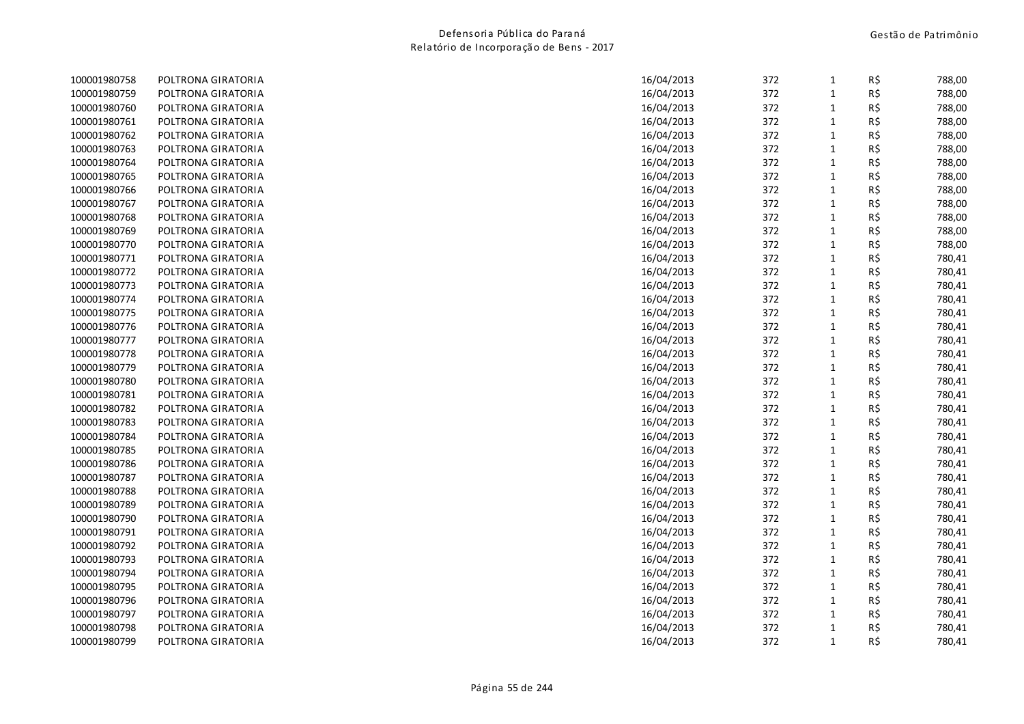| 372<br>R\$<br>100001980759<br>16/04/2013<br>POLTRONA GIRATORIA<br>1<br>372<br>R\$<br>100001980760<br>POLTRONA GIRATORIA<br>16/04/2013<br>1<br>372<br>R\$<br>100001980761<br>16/04/2013<br>POLTRONA GIRATORIA<br>1<br>372<br>R\$<br>100001980762<br>POLTRONA GIRATORIA<br>16/04/2013<br>1<br>372<br>100001980763<br>POLTRONA GIRATORIA<br>16/04/2013<br>R\$<br>1<br>372<br>R\$<br>100001980764<br>POLTRONA GIRATORIA<br>16/04/2013<br>1<br>R\$<br>100001980765<br>16/04/2013<br>372<br>POLTRONA GIRATORIA<br>1<br>R\$<br>100001980766<br>16/04/2013<br>372<br>POLTRONA GIRATORIA<br>$\mathbf{1}$<br>372<br>R\$<br>100001980767<br>16/04/2013<br>POLTRONA GIRATORIA<br>1<br>16/04/2013<br>372<br>R\$<br>100001980768<br>POLTRONA GIRATORIA<br>$\mathbf{1}$<br>R\$<br>372<br>100001980769<br>POLTRONA GIRATORIA<br>16/04/2013<br>$\mathbf{1}$<br>372<br>R\$<br>100001980770<br>POLTRONA GIRATORIA<br>16/04/2013<br>$\mathbf{1}$<br>100001980771<br>POLTRONA GIRATORIA<br>16/04/2013<br>372<br>$\mathbf{1}$<br>R\$<br>372<br>R\$<br>100001980772<br>POLTRONA GIRATORIA<br>16/04/2013<br>$\mathbf{1}$<br>100001980773<br>16/04/2013<br>372<br>R\$<br>POLTRONA GIRATORIA<br>$\mathbf{1}$<br>372<br>R\$<br>100001980774<br>POLTRONA GIRATORIA<br>16/04/2013<br>1<br>R\$<br>100001980775<br>16/04/2013<br>372<br>POLTRONA GIRATORIA<br>1<br>372<br>R\$<br>100001980776<br>16/04/2013<br>$\mathbf{1}$<br>POLTRONA GIRATORIA<br>16/04/2013<br>372<br>R\$<br>100001980777<br>POLTRONA GIRATORIA<br>1<br>R\$<br>100001980778<br>POLTRONA GIRATORIA<br>16/04/2013<br>372<br>1<br>372<br>R\$<br>100001980779<br>POLTRONA GIRATORIA<br>16/04/2013<br>1<br>R\$<br>100001980780<br>POLTRONA GIRATORIA<br>16/04/2013<br>372<br>$\mathbf{1}$<br>100001980781<br>16/04/2013<br>372<br>R\$<br>POLTRONA GIRATORIA<br>1<br>372<br>R\$<br>100001980782<br>16/04/2013<br>POLTRONA GIRATORIA<br>1<br>372<br>R\$<br>100001980783<br>POLTRONA GIRATORIA<br>16/04/2013<br>1<br>R\$<br>100001980784<br>16/04/2013<br>372<br>POLTRONA GIRATORIA<br>1<br>372<br>R\$<br>100001980785<br>POLTRONA GIRATORIA<br>16/04/2013<br>$\mathbf{1}$<br>100001980786<br>POLTRONA GIRATORIA<br>16/04/2013<br>372<br>$\mathbf{1}$<br>R\$<br>372<br>R\$<br>100001980787<br>POLTRONA GIRATORIA<br>16/04/2013<br>$\mathbf{1}$<br>R\$<br>100001980788<br>16/04/2013<br>372<br>POLTRONA GIRATORIA<br>1<br>372<br>R\$<br>100001980789<br>POLTRONA GIRATORIA<br>16/04/2013<br>$\mathbf{1}$<br>372<br>R\$<br>100001980790<br>POLTRONA GIRATORIA<br>16/04/2013<br>$\mathbf{1}$<br>372<br>R\$<br>100001980791<br>POLTRONA GIRATORIA<br>16/04/2013<br>1<br>R\$<br>372<br>100001980792<br>POLTRONA GIRATORIA<br>16/04/2013<br>1<br>372<br>R\$<br>100001980793<br>POLTRONA GIRATORIA<br>16/04/2013<br>1<br>R\$<br>100001980794<br>16/04/2013<br>372<br>$\mathbf{1}$<br>POLTRONA GIRATORIA<br>372<br>R\$<br>100001980795<br>POLTRONA GIRATORIA<br>16/04/2013<br>$\mathbf{1}$<br>100001980796<br>16/04/2013<br>372<br>R\$<br>POLTRONA GIRATORIA<br>1<br>R\$<br>100001980797<br>372<br>POLTRONA GIRATORIA<br>16/04/2013<br>1<br>100001980798<br>372<br>R\$<br>POLTRONA GIRATORIA<br>16/04/2013<br>1<br>R\$<br>100001980799<br>372<br>$\mathbf{1}$<br>POLTRONA GIRATORIA<br>16/04/2013 | 100001980758 | POLTRONA GIRATORIA | 16/04/2013 | 372 | $\mathbf{1}$ | R\$ | 788,00 |
|------------------------------------------------------------------------------------------------------------------------------------------------------------------------------------------------------------------------------------------------------------------------------------------------------------------------------------------------------------------------------------------------------------------------------------------------------------------------------------------------------------------------------------------------------------------------------------------------------------------------------------------------------------------------------------------------------------------------------------------------------------------------------------------------------------------------------------------------------------------------------------------------------------------------------------------------------------------------------------------------------------------------------------------------------------------------------------------------------------------------------------------------------------------------------------------------------------------------------------------------------------------------------------------------------------------------------------------------------------------------------------------------------------------------------------------------------------------------------------------------------------------------------------------------------------------------------------------------------------------------------------------------------------------------------------------------------------------------------------------------------------------------------------------------------------------------------------------------------------------------------------------------------------------------------------------------------------------------------------------------------------------------------------------------------------------------------------------------------------------------------------------------------------------------------------------------------------------------------------------------------------------------------------------------------------------------------------------------------------------------------------------------------------------------------------------------------------------------------------------------------------------------------------------------------------------------------------------------------------------------------------------------------------------------------------------------------------------------------------------------------------------------------------------------------------------------------------------------------------------------------------------------------------------------------------------------------------------------------------------------------------------------------------------------------------------------------------------------------------------------------------------------------------------------------------------------------------------------|--------------|--------------------|------------|-----|--------------|-----|--------|
|                                                                                                                                                                                                                                                                                                                                                                                                                                                                                                                                                                                                                                                                                                                                                                                                                                                                                                                                                                                                                                                                                                                                                                                                                                                                                                                                                                                                                                                                                                                                                                                                                                                                                                                                                                                                                                                                                                                                                                                                                                                                                                                                                                                                                                                                                                                                                                                                                                                                                                                                                                                                                                                                                                                                                                                                                                                                                                                                                                                                                                                                                                                                                                                                                        |              |                    |            |     |              |     | 788,00 |
|                                                                                                                                                                                                                                                                                                                                                                                                                                                                                                                                                                                                                                                                                                                                                                                                                                                                                                                                                                                                                                                                                                                                                                                                                                                                                                                                                                                                                                                                                                                                                                                                                                                                                                                                                                                                                                                                                                                                                                                                                                                                                                                                                                                                                                                                                                                                                                                                                                                                                                                                                                                                                                                                                                                                                                                                                                                                                                                                                                                                                                                                                                                                                                                                                        |              |                    |            |     |              |     | 788,00 |
|                                                                                                                                                                                                                                                                                                                                                                                                                                                                                                                                                                                                                                                                                                                                                                                                                                                                                                                                                                                                                                                                                                                                                                                                                                                                                                                                                                                                                                                                                                                                                                                                                                                                                                                                                                                                                                                                                                                                                                                                                                                                                                                                                                                                                                                                                                                                                                                                                                                                                                                                                                                                                                                                                                                                                                                                                                                                                                                                                                                                                                                                                                                                                                                                                        |              |                    |            |     |              |     | 788,00 |
|                                                                                                                                                                                                                                                                                                                                                                                                                                                                                                                                                                                                                                                                                                                                                                                                                                                                                                                                                                                                                                                                                                                                                                                                                                                                                                                                                                                                                                                                                                                                                                                                                                                                                                                                                                                                                                                                                                                                                                                                                                                                                                                                                                                                                                                                                                                                                                                                                                                                                                                                                                                                                                                                                                                                                                                                                                                                                                                                                                                                                                                                                                                                                                                                                        |              |                    |            |     |              |     | 788,00 |
|                                                                                                                                                                                                                                                                                                                                                                                                                                                                                                                                                                                                                                                                                                                                                                                                                                                                                                                                                                                                                                                                                                                                                                                                                                                                                                                                                                                                                                                                                                                                                                                                                                                                                                                                                                                                                                                                                                                                                                                                                                                                                                                                                                                                                                                                                                                                                                                                                                                                                                                                                                                                                                                                                                                                                                                                                                                                                                                                                                                                                                                                                                                                                                                                                        |              |                    |            |     |              |     | 788,00 |
|                                                                                                                                                                                                                                                                                                                                                                                                                                                                                                                                                                                                                                                                                                                                                                                                                                                                                                                                                                                                                                                                                                                                                                                                                                                                                                                                                                                                                                                                                                                                                                                                                                                                                                                                                                                                                                                                                                                                                                                                                                                                                                                                                                                                                                                                                                                                                                                                                                                                                                                                                                                                                                                                                                                                                                                                                                                                                                                                                                                                                                                                                                                                                                                                                        |              |                    |            |     |              |     | 788,00 |
|                                                                                                                                                                                                                                                                                                                                                                                                                                                                                                                                                                                                                                                                                                                                                                                                                                                                                                                                                                                                                                                                                                                                                                                                                                                                                                                                                                                                                                                                                                                                                                                                                                                                                                                                                                                                                                                                                                                                                                                                                                                                                                                                                                                                                                                                                                                                                                                                                                                                                                                                                                                                                                                                                                                                                                                                                                                                                                                                                                                                                                                                                                                                                                                                                        |              |                    |            |     |              |     | 788,00 |
|                                                                                                                                                                                                                                                                                                                                                                                                                                                                                                                                                                                                                                                                                                                                                                                                                                                                                                                                                                                                                                                                                                                                                                                                                                                                                                                                                                                                                                                                                                                                                                                                                                                                                                                                                                                                                                                                                                                                                                                                                                                                                                                                                                                                                                                                                                                                                                                                                                                                                                                                                                                                                                                                                                                                                                                                                                                                                                                                                                                                                                                                                                                                                                                                                        |              |                    |            |     |              |     | 788,00 |
|                                                                                                                                                                                                                                                                                                                                                                                                                                                                                                                                                                                                                                                                                                                                                                                                                                                                                                                                                                                                                                                                                                                                                                                                                                                                                                                                                                                                                                                                                                                                                                                                                                                                                                                                                                                                                                                                                                                                                                                                                                                                                                                                                                                                                                                                                                                                                                                                                                                                                                                                                                                                                                                                                                                                                                                                                                                                                                                                                                                                                                                                                                                                                                                                                        |              |                    |            |     |              |     | 788,00 |
|                                                                                                                                                                                                                                                                                                                                                                                                                                                                                                                                                                                                                                                                                                                                                                                                                                                                                                                                                                                                                                                                                                                                                                                                                                                                                                                                                                                                                                                                                                                                                                                                                                                                                                                                                                                                                                                                                                                                                                                                                                                                                                                                                                                                                                                                                                                                                                                                                                                                                                                                                                                                                                                                                                                                                                                                                                                                                                                                                                                                                                                                                                                                                                                                                        |              |                    |            |     |              |     | 788,00 |
|                                                                                                                                                                                                                                                                                                                                                                                                                                                                                                                                                                                                                                                                                                                                                                                                                                                                                                                                                                                                                                                                                                                                                                                                                                                                                                                                                                                                                                                                                                                                                                                                                                                                                                                                                                                                                                                                                                                                                                                                                                                                                                                                                                                                                                                                                                                                                                                                                                                                                                                                                                                                                                                                                                                                                                                                                                                                                                                                                                                                                                                                                                                                                                                                                        |              |                    |            |     |              |     | 788,00 |
|                                                                                                                                                                                                                                                                                                                                                                                                                                                                                                                                                                                                                                                                                                                                                                                                                                                                                                                                                                                                                                                                                                                                                                                                                                                                                                                                                                                                                                                                                                                                                                                                                                                                                                                                                                                                                                                                                                                                                                                                                                                                                                                                                                                                                                                                                                                                                                                                                                                                                                                                                                                                                                                                                                                                                                                                                                                                                                                                                                                                                                                                                                                                                                                                                        |              |                    |            |     |              |     | 788,00 |
|                                                                                                                                                                                                                                                                                                                                                                                                                                                                                                                                                                                                                                                                                                                                                                                                                                                                                                                                                                                                                                                                                                                                                                                                                                                                                                                                                                                                                                                                                                                                                                                                                                                                                                                                                                                                                                                                                                                                                                                                                                                                                                                                                                                                                                                                                                                                                                                                                                                                                                                                                                                                                                                                                                                                                                                                                                                                                                                                                                                                                                                                                                                                                                                                                        |              |                    |            |     |              |     | 780,41 |
|                                                                                                                                                                                                                                                                                                                                                                                                                                                                                                                                                                                                                                                                                                                                                                                                                                                                                                                                                                                                                                                                                                                                                                                                                                                                                                                                                                                                                                                                                                                                                                                                                                                                                                                                                                                                                                                                                                                                                                                                                                                                                                                                                                                                                                                                                                                                                                                                                                                                                                                                                                                                                                                                                                                                                                                                                                                                                                                                                                                                                                                                                                                                                                                                                        |              |                    |            |     |              |     | 780,41 |
|                                                                                                                                                                                                                                                                                                                                                                                                                                                                                                                                                                                                                                                                                                                                                                                                                                                                                                                                                                                                                                                                                                                                                                                                                                                                                                                                                                                                                                                                                                                                                                                                                                                                                                                                                                                                                                                                                                                                                                                                                                                                                                                                                                                                                                                                                                                                                                                                                                                                                                                                                                                                                                                                                                                                                                                                                                                                                                                                                                                                                                                                                                                                                                                                                        |              |                    |            |     |              |     | 780,41 |
|                                                                                                                                                                                                                                                                                                                                                                                                                                                                                                                                                                                                                                                                                                                                                                                                                                                                                                                                                                                                                                                                                                                                                                                                                                                                                                                                                                                                                                                                                                                                                                                                                                                                                                                                                                                                                                                                                                                                                                                                                                                                                                                                                                                                                                                                                                                                                                                                                                                                                                                                                                                                                                                                                                                                                                                                                                                                                                                                                                                                                                                                                                                                                                                                                        |              |                    |            |     |              |     | 780,41 |
|                                                                                                                                                                                                                                                                                                                                                                                                                                                                                                                                                                                                                                                                                                                                                                                                                                                                                                                                                                                                                                                                                                                                                                                                                                                                                                                                                                                                                                                                                                                                                                                                                                                                                                                                                                                                                                                                                                                                                                                                                                                                                                                                                                                                                                                                                                                                                                                                                                                                                                                                                                                                                                                                                                                                                                                                                                                                                                                                                                                                                                                                                                                                                                                                                        |              |                    |            |     |              |     | 780,41 |
|                                                                                                                                                                                                                                                                                                                                                                                                                                                                                                                                                                                                                                                                                                                                                                                                                                                                                                                                                                                                                                                                                                                                                                                                                                                                                                                                                                                                                                                                                                                                                                                                                                                                                                                                                                                                                                                                                                                                                                                                                                                                                                                                                                                                                                                                                                                                                                                                                                                                                                                                                                                                                                                                                                                                                                                                                                                                                                                                                                                                                                                                                                                                                                                                                        |              |                    |            |     |              |     | 780,41 |
|                                                                                                                                                                                                                                                                                                                                                                                                                                                                                                                                                                                                                                                                                                                                                                                                                                                                                                                                                                                                                                                                                                                                                                                                                                                                                                                                                                                                                                                                                                                                                                                                                                                                                                                                                                                                                                                                                                                                                                                                                                                                                                                                                                                                                                                                                                                                                                                                                                                                                                                                                                                                                                                                                                                                                                                                                                                                                                                                                                                                                                                                                                                                                                                                                        |              |                    |            |     |              |     | 780,41 |
|                                                                                                                                                                                                                                                                                                                                                                                                                                                                                                                                                                                                                                                                                                                                                                                                                                                                                                                                                                                                                                                                                                                                                                                                                                                                                                                                                                                                                                                                                                                                                                                                                                                                                                                                                                                                                                                                                                                                                                                                                                                                                                                                                                                                                                                                                                                                                                                                                                                                                                                                                                                                                                                                                                                                                                                                                                                                                                                                                                                                                                                                                                                                                                                                                        |              |                    |            |     |              |     | 780,41 |
|                                                                                                                                                                                                                                                                                                                                                                                                                                                                                                                                                                                                                                                                                                                                                                                                                                                                                                                                                                                                                                                                                                                                                                                                                                                                                                                                                                                                                                                                                                                                                                                                                                                                                                                                                                                                                                                                                                                                                                                                                                                                                                                                                                                                                                                                                                                                                                                                                                                                                                                                                                                                                                                                                                                                                                                                                                                                                                                                                                                                                                                                                                                                                                                                                        |              |                    |            |     |              |     | 780,41 |
|                                                                                                                                                                                                                                                                                                                                                                                                                                                                                                                                                                                                                                                                                                                                                                                                                                                                                                                                                                                                                                                                                                                                                                                                                                                                                                                                                                                                                                                                                                                                                                                                                                                                                                                                                                                                                                                                                                                                                                                                                                                                                                                                                                                                                                                                                                                                                                                                                                                                                                                                                                                                                                                                                                                                                                                                                                                                                                                                                                                                                                                                                                                                                                                                                        |              |                    |            |     |              |     | 780,41 |
|                                                                                                                                                                                                                                                                                                                                                                                                                                                                                                                                                                                                                                                                                                                                                                                                                                                                                                                                                                                                                                                                                                                                                                                                                                                                                                                                                                                                                                                                                                                                                                                                                                                                                                                                                                                                                                                                                                                                                                                                                                                                                                                                                                                                                                                                                                                                                                                                                                                                                                                                                                                                                                                                                                                                                                                                                                                                                                                                                                                                                                                                                                                                                                                                                        |              |                    |            |     |              |     | 780,41 |
|                                                                                                                                                                                                                                                                                                                                                                                                                                                                                                                                                                                                                                                                                                                                                                                                                                                                                                                                                                                                                                                                                                                                                                                                                                                                                                                                                                                                                                                                                                                                                                                                                                                                                                                                                                                                                                                                                                                                                                                                                                                                                                                                                                                                                                                                                                                                                                                                                                                                                                                                                                                                                                                                                                                                                                                                                                                                                                                                                                                                                                                                                                                                                                                                                        |              |                    |            |     |              |     | 780,41 |
|                                                                                                                                                                                                                                                                                                                                                                                                                                                                                                                                                                                                                                                                                                                                                                                                                                                                                                                                                                                                                                                                                                                                                                                                                                                                                                                                                                                                                                                                                                                                                                                                                                                                                                                                                                                                                                                                                                                                                                                                                                                                                                                                                                                                                                                                                                                                                                                                                                                                                                                                                                                                                                                                                                                                                                                                                                                                                                                                                                                                                                                                                                                                                                                                                        |              |                    |            |     |              |     | 780,41 |
|                                                                                                                                                                                                                                                                                                                                                                                                                                                                                                                                                                                                                                                                                                                                                                                                                                                                                                                                                                                                                                                                                                                                                                                                                                                                                                                                                                                                                                                                                                                                                                                                                                                                                                                                                                                                                                                                                                                                                                                                                                                                                                                                                                                                                                                                                                                                                                                                                                                                                                                                                                                                                                                                                                                                                                                                                                                                                                                                                                                                                                                                                                                                                                                                                        |              |                    |            |     |              |     | 780,41 |
|                                                                                                                                                                                                                                                                                                                                                                                                                                                                                                                                                                                                                                                                                                                                                                                                                                                                                                                                                                                                                                                                                                                                                                                                                                                                                                                                                                                                                                                                                                                                                                                                                                                                                                                                                                                                                                                                                                                                                                                                                                                                                                                                                                                                                                                                                                                                                                                                                                                                                                                                                                                                                                                                                                                                                                                                                                                                                                                                                                                                                                                                                                                                                                                                                        |              |                    |            |     |              |     | 780,41 |
|                                                                                                                                                                                                                                                                                                                                                                                                                                                                                                                                                                                                                                                                                                                                                                                                                                                                                                                                                                                                                                                                                                                                                                                                                                                                                                                                                                                                                                                                                                                                                                                                                                                                                                                                                                                                                                                                                                                                                                                                                                                                                                                                                                                                                                                                                                                                                                                                                                                                                                                                                                                                                                                                                                                                                                                                                                                                                                                                                                                                                                                                                                                                                                                                                        |              |                    |            |     |              |     | 780,41 |
|                                                                                                                                                                                                                                                                                                                                                                                                                                                                                                                                                                                                                                                                                                                                                                                                                                                                                                                                                                                                                                                                                                                                                                                                                                                                                                                                                                                                                                                                                                                                                                                                                                                                                                                                                                                                                                                                                                                                                                                                                                                                                                                                                                                                                                                                                                                                                                                                                                                                                                                                                                                                                                                                                                                                                                                                                                                                                                                                                                                                                                                                                                                                                                                                                        |              |                    |            |     |              |     | 780,41 |
|                                                                                                                                                                                                                                                                                                                                                                                                                                                                                                                                                                                                                                                                                                                                                                                                                                                                                                                                                                                                                                                                                                                                                                                                                                                                                                                                                                                                                                                                                                                                                                                                                                                                                                                                                                                                                                                                                                                                                                                                                                                                                                                                                                                                                                                                                                                                                                                                                                                                                                                                                                                                                                                                                                                                                                                                                                                                                                                                                                                                                                                                                                                                                                                                                        |              |                    |            |     |              |     | 780,41 |
|                                                                                                                                                                                                                                                                                                                                                                                                                                                                                                                                                                                                                                                                                                                                                                                                                                                                                                                                                                                                                                                                                                                                                                                                                                                                                                                                                                                                                                                                                                                                                                                                                                                                                                                                                                                                                                                                                                                                                                                                                                                                                                                                                                                                                                                                                                                                                                                                                                                                                                                                                                                                                                                                                                                                                                                                                                                                                                                                                                                                                                                                                                                                                                                                                        |              |                    |            |     |              |     | 780,41 |
|                                                                                                                                                                                                                                                                                                                                                                                                                                                                                                                                                                                                                                                                                                                                                                                                                                                                                                                                                                                                                                                                                                                                                                                                                                                                                                                                                                                                                                                                                                                                                                                                                                                                                                                                                                                                                                                                                                                                                                                                                                                                                                                                                                                                                                                                                                                                                                                                                                                                                                                                                                                                                                                                                                                                                                                                                                                                                                                                                                                                                                                                                                                                                                                                                        |              |                    |            |     |              |     | 780,41 |
|                                                                                                                                                                                                                                                                                                                                                                                                                                                                                                                                                                                                                                                                                                                                                                                                                                                                                                                                                                                                                                                                                                                                                                                                                                                                                                                                                                                                                                                                                                                                                                                                                                                                                                                                                                                                                                                                                                                                                                                                                                                                                                                                                                                                                                                                                                                                                                                                                                                                                                                                                                                                                                                                                                                                                                                                                                                                                                                                                                                                                                                                                                                                                                                                                        |              |                    |            |     |              |     | 780,41 |
|                                                                                                                                                                                                                                                                                                                                                                                                                                                                                                                                                                                                                                                                                                                                                                                                                                                                                                                                                                                                                                                                                                                                                                                                                                                                                                                                                                                                                                                                                                                                                                                                                                                                                                                                                                                                                                                                                                                                                                                                                                                                                                                                                                                                                                                                                                                                                                                                                                                                                                                                                                                                                                                                                                                                                                                                                                                                                                                                                                                                                                                                                                                                                                                                                        |              |                    |            |     |              |     | 780,41 |
|                                                                                                                                                                                                                                                                                                                                                                                                                                                                                                                                                                                                                                                                                                                                                                                                                                                                                                                                                                                                                                                                                                                                                                                                                                                                                                                                                                                                                                                                                                                                                                                                                                                                                                                                                                                                                                                                                                                                                                                                                                                                                                                                                                                                                                                                                                                                                                                                                                                                                                                                                                                                                                                                                                                                                                                                                                                                                                                                                                                                                                                                                                                                                                                                                        |              |                    |            |     |              |     | 780,41 |
|                                                                                                                                                                                                                                                                                                                                                                                                                                                                                                                                                                                                                                                                                                                                                                                                                                                                                                                                                                                                                                                                                                                                                                                                                                                                                                                                                                                                                                                                                                                                                                                                                                                                                                                                                                                                                                                                                                                                                                                                                                                                                                                                                                                                                                                                                                                                                                                                                                                                                                                                                                                                                                                                                                                                                                                                                                                                                                                                                                                                                                                                                                                                                                                                                        |              |                    |            |     |              |     | 780,41 |
|                                                                                                                                                                                                                                                                                                                                                                                                                                                                                                                                                                                                                                                                                                                                                                                                                                                                                                                                                                                                                                                                                                                                                                                                                                                                                                                                                                                                                                                                                                                                                                                                                                                                                                                                                                                                                                                                                                                                                                                                                                                                                                                                                                                                                                                                                                                                                                                                                                                                                                                                                                                                                                                                                                                                                                                                                                                                                                                                                                                                                                                                                                                                                                                                                        |              |                    |            |     |              |     | 780,41 |
|                                                                                                                                                                                                                                                                                                                                                                                                                                                                                                                                                                                                                                                                                                                                                                                                                                                                                                                                                                                                                                                                                                                                                                                                                                                                                                                                                                                                                                                                                                                                                                                                                                                                                                                                                                                                                                                                                                                                                                                                                                                                                                                                                                                                                                                                                                                                                                                                                                                                                                                                                                                                                                                                                                                                                                                                                                                                                                                                                                                                                                                                                                                                                                                                                        |              |                    |            |     |              |     | 780,41 |
|                                                                                                                                                                                                                                                                                                                                                                                                                                                                                                                                                                                                                                                                                                                                                                                                                                                                                                                                                                                                                                                                                                                                                                                                                                                                                                                                                                                                                                                                                                                                                                                                                                                                                                                                                                                                                                                                                                                                                                                                                                                                                                                                                                                                                                                                                                                                                                                                                                                                                                                                                                                                                                                                                                                                                                                                                                                                                                                                                                                                                                                                                                                                                                                                                        |              |                    |            |     |              |     | 780,41 |
|                                                                                                                                                                                                                                                                                                                                                                                                                                                                                                                                                                                                                                                                                                                                                                                                                                                                                                                                                                                                                                                                                                                                                                                                                                                                                                                                                                                                                                                                                                                                                                                                                                                                                                                                                                                                                                                                                                                                                                                                                                                                                                                                                                                                                                                                                                                                                                                                                                                                                                                                                                                                                                                                                                                                                                                                                                                                                                                                                                                                                                                                                                                                                                                                                        |              |                    |            |     |              |     | 780,41 |
|                                                                                                                                                                                                                                                                                                                                                                                                                                                                                                                                                                                                                                                                                                                                                                                                                                                                                                                                                                                                                                                                                                                                                                                                                                                                                                                                                                                                                                                                                                                                                                                                                                                                                                                                                                                                                                                                                                                                                                                                                                                                                                                                                                                                                                                                                                                                                                                                                                                                                                                                                                                                                                                                                                                                                                                                                                                                                                                                                                                                                                                                                                                                                                                                                        |              |                    |            |     |              |     | 780,41 |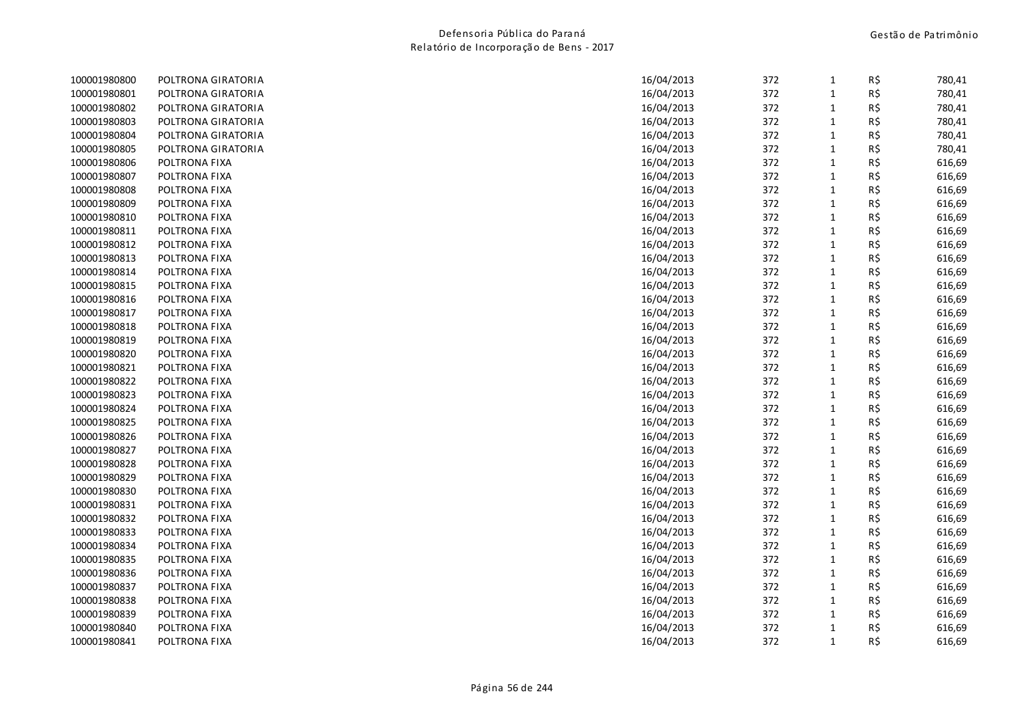| 100001980800 | POLTRONA GIRATORIA | 16/04/2013 | 372 | 1            | R\$ | 780,41 |
|--------------|--------------------|------------|-----|--------------|-----|--------|
| 100001980801 | POLTRONA GIRATORIA | 16/04/2013 | 372 | $\mathbf{1}$ | R\$ | 780,41 |
| 100001980802 | POLTRONA GIRATORIA | 16/04/2013 | 372 | 1            | R\$ | 780,41 |
| 100001980803 | POLTRONA GIRATORIA | 16/04/2013 | 372 | $\mathbf{1}$ | R\$ | 780,41 |
| 100001980804 | POLTRONA GIRATORIA | 16/04/2013 | 372 | $\mathbf{1}$ | R\$ | 780,41 |
| 100001980805 | POLTRONA GIRATORIA | 16/04/2013 | 372 | 1            | R\$ | 780,41 |
| 100001980806 | POLTRONA FIXA      | 16/04/2013 | 372 | $\mathbf{1}$ | R\$ | 616,69 |
| 100001980807 | POLTRONA FIXA      | 16/04/2013 | 372 | 1            | R\$ | 616,69 |
| 100001980808 | POLTRONA FIXA      | 16/04/2013 | 372 | $\mathbf{1}$ | R\$ | 616,69 |
| 100001980809 | POLTRONA FIXA      | 16/04/2013 | 372 | $\mathbf{1}$ | R\$ | 616,69 |
| 100001980810 | POLTRONA FIXA      | 16/04/2013 | 372 | $\mathbf{1}$ | R\$ | 616,69 |
| 100001980811 | POLTRONA FIXA      | 16/04/2013 | 372 | 1            | R\$ | 616,69 |
| 100001980812 | POLTRONA FIXA      | 16/04/2013 | 372 | $\mathbf{1}$ | R\$ | 616,69 |
| 100001980813 | POLTRONA FIXA      | 16/04/2013 | 372 | $\mathbf{1}$ | R\$ | 616,69 |
| 100001980814 | POLTRONA FIXA      | 16/04/2013 | 372 | $\mathbf{1}$ | R\$ | 616,69 |
| 100001980815 | POLTRONA FIXA      | 16/04/2013 | 372 | 1            | R\$ | 616,69 |
| 100001980816 | POLTRONA FIXA      | 16/04/2013 | 372 | 1            | R\$ | 616,69 |
| 100001980817 | POLTRONA FIXA      | 16/04/2013 | 372 | $\mathbf{1}$ | R\$ | 616,69 |
| 100001980818 | POLTRONA FIXA      | 16/04/2013 | 372 | 1            | R\$ | 616,69 |
| 100001980819 | POLTRONA FIXA      | 16/04/2013 | 372 | $\mathbf{1}$ | R\$ | 616,69 |
| 100001980820 | POLTRONA FIXA      | 16/04/2013 | 372 | 1            | R\$ | 616,69 |
| 100001980821 | POLTRONA FIXA      | 16/04/2013 | 372 | $\mathbf{1}$ | R\$ | 616,69 |
| 100001980822 | POLTRONA FIXA      | 16/04/2013 | 372 | $\mathbf{1}$ | R\$ | 616,69 |
| 100001980823 | POLTRONA FIXA      | 16/04/2013 | 372 | $\mathbf{1}$ | R\$ | 616,69 |
| 100001980824 | POLTRONA FIXA      | 16/04/2013 | 372 | 1            | R\$ | 616,69 |
| 100001980825 | POLTRONA FIXA      | 16/04/2013 | 372 | 1            | R\$ | 616,69 |
| 100001980826 | POLTRONA FIXA      | 16/04/2013 | 372 | 1            | R\$ | 616,69 |
| 100001980827 | POLTRONA FIXA      | 16/04/2013 | 372 | $\mathbf{1}$ | R\$ | 616,69 |
| 100001980828 | POLTRONA FIXA      | 16/04/2013 | 372 | $\mathbf{1}$ | R\$ | 616,69 |
| 100001980829 | POLTRONA FIXA      | 16/04/2013 | 372 | 1            | R\$ | 616,69 |
| 100001980830 | POLTRONA FIXA      | 16/04/2013 | 372 | $\mathbf{1}$ | R\$ | 616,69 |
| 100001980831 | POLTRONA FIXA      | 16/04/2013 | 372 | $\mathbf{1}$ | R\$ | 616,69 |
| 100001980832 | POLTRONA FIXA      | 16/04/2013 | 372 | $\mathbf{1}$ | R\$ | 616,69 |
| 100001980833 | POLTRONA FIXA      | 16/04/2013 | 372 | 1            | R\$ | 616,69 |
| 100001980834 | POLTRONA FIXA      | 16/04/2013 | 372 | 1            | R\$ | 616,69 |
| 100001980835 | POLTRONA FIXA      | 16/04/2013 | 372 | 1            | R\$ | 616,69 |
| 100001980836 | POLTRONA FIXA      | 16/04/2013 | 372 | $\mathbf{1}$ | R\$ | 616,69 |
| 100001980837 | POLTRONA FIXA      | 16/04/2013 | 372 | $\mathbf{1}$ | R\$ | 616,69 |
| 100001980838 | POLTRONA FIXA      | 16/04/2013 | 372 | $\mathbf{1}$ | R\$ | 616,69 |
| 100001980839 | POLTRONA FIXA      | 16/04/2013 | 372 | 1            | R\$ | 616,69 |
| 100001980840 | POLTRONA FIXA      | 16/04/2013 | 372 | $\mathbf{1}$ | R\$ | 616,69 |
| 100001980841 | POLTRONA FIXA      | 16/04/2013 | 372 | $\mathbf{1}$ | R\$ | 616,69 |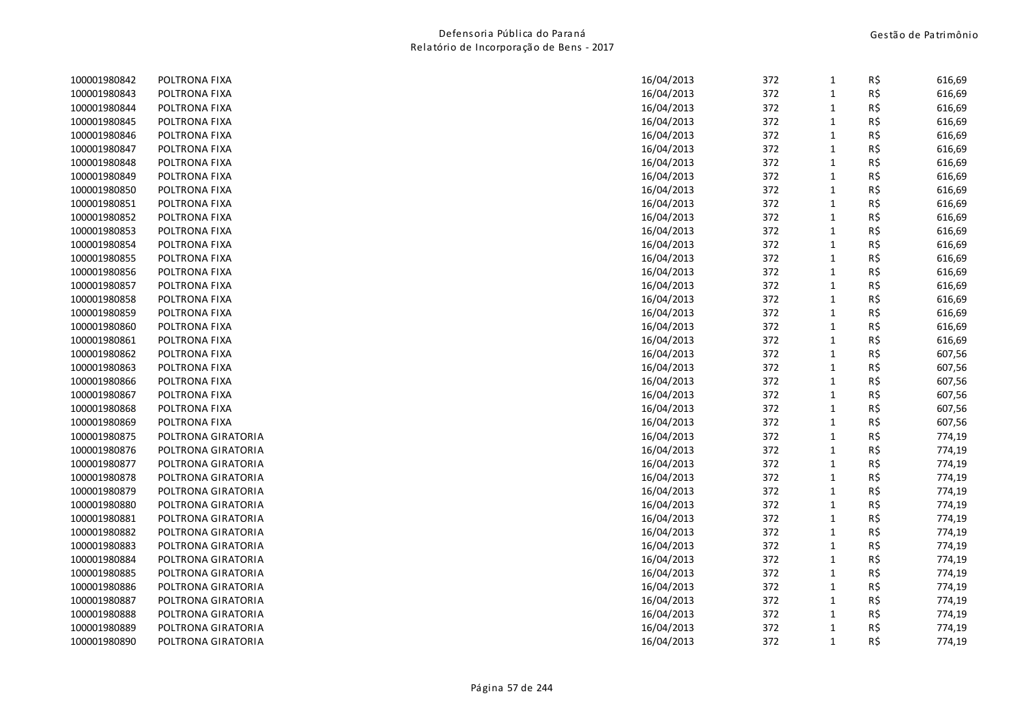| POLTRONA FIXA      |            | 372                                                                                            | 1                                      | R\$ | 616,69                                                                                  |
|--------------------|------------|------------------------------------------------------------------------------------------------|----------------------------------------|-----|-----------------------------------------------------------------------------------------|
| POLTRONA FIXA      | 16/04/2013 | 372                                                                                            | $\mathbf{1}$                           | R\$ | 616,69                                                                                  |
| POLTRONA FIXA      | 16/04/2013 | 372                                                                                            | 1                                      | R\$ | 616,69                                                                                  |
| POLTRONA FIXA      | 16/04/2013 | 372                                                                                            | $\mathbf{1}$                           | R\$ | 616,69                                                                                  |
| POLTRONA FIXA      | 16/04/2013 | 372                                                                                            | $\mathbf{1}$                           | R\$ | 616,69                                                                                  |
| POLTRONA FIXA      | 16/04/2013 | 372                                                                                            | $\mathbf{1}$                           | R\$ | 616,69                                                                                  |
| POLTRONA FIXA      | 16/04/2013 | 372                                                                                            | $\mathbf{1}$                           | R\$ | 616,69                                                                                  |
| POLTRONA FIXA      | 16/04/2013 | 372                                                                                            | $\mathbf{1}$                           | R\$ | 616,69                                                                                  |
| POLTRONA FIXA      | 16/04/2013 | 372                                                                                            | $\mathbf{1}$                           | R\$ | 616,69                                                                                  |
| POLTRONA FIXA      | 16/04/2013 | 372                                                                                            | $\mathbf{1}$                           | R\$ | 616,69                                                                                  |
| POLTRONA FIXA      | 16/04/2013 | 372                                                                                            | $\mathbf{1}$                           | R\$ | 616,69                                                                                  |
| POLTRONA FIXA      | 16/04/2013 | 372                                                                                            | $\mathbf{1}$                           |     | 616,69                                                                                  |
| POLTRONA FIXA      | 16/04/2013 | 372                                                                                            | $\mathbf{1}$                           | R\$ | 616,69                                                                                  |
| POLTRONA FIXA      | 16/04/2013 | 372                                                                                            | $\mathbf{1}$                           | R\$ | 616,69                                                                                  |
| POLTRONA FIXA      | 16/04/2013 | 372                                                                                            | $\mathbf{1}$                           | R\$ | 616,69                                                                                  |
| POLTRONA FIXA      | 16/04/2013 | 372                                                                                            | $\mathbf{1}$                           | R\$ | 616,69                                                                                  |
| POLTRONA FIXA      | 16/04/2013 | 372                                                                                            | $\mathbf{1}$                           | R\$ | 616,69                                                                                  |
| POLTRONA FIXA      | 16/04/2013 | 372                                                                                            | $\mathbf{1}$                           | R\$ | 616,69                                                                                  |
| POLTRONA FIXA      | 16/04/2013 | 372                                                                                            | $\mathbf{1}$                           | R\$ | 616,69                                                                                  |
| POLTRONA FIXA      | 16/04/2013 | 372                                                                                            | $\mathbf{1}$                           | R\$ | 616,69                                                                                  |
| POLTRONA FIXA      | 16/04/2013 | 372                                                                                            | $\mathbf{1}$                           | R\$ | 607,56                                                                                  |
| POLTRONA FIXA      | 16/04/2013 | 372                                                                                            | $\mathbf{1}$                           | R\$ | 607,56                                                                                  |
| POLTRONA FIXA      | 16/04/2013 | 372                                                                                            | $\mathbf{1}$                           | R\$ | 607,56                                                                                  |
| POLTRONA FIXA      | 16/04/2013 | 372                                                                                            | $\mathbf{1}$                           | R\$ | 607,56                                                                                  |
| POLTRONA FIXA      |            | 372                                                                                            | $\mathbf{1}$                           |     | 607,56                                                                                  |
| POLTRONA FIXA      | 16/04/2013 | 372                                                                                            | $\mathbf{1}$                           |     | 607,56                                                                                  |
| POLTRONA GIRATORIA | 16/04/2013 |                                                                                                | $\mathbf{1}$                           |     | 774,19                                                                                  |
| POLTRONA GIRATORIA | 16/04/2013 | 372                                                                                            | $\mathbf{1}$                           | R\$ | 774,19                                                                                  |
| POLTRONA GIRATORIA |            | 372                                                                                            | $\mathbf{1}$                           |     | 774,19                                                                                  |
| POLTRONA GIRATORIA | 16/04/2013 | 372                                                                                            | $\mathbf{1}$                           |     | 774,19                                                                                  |
| POLTRONA GIRATORIA |            |                                                                                                | $\mathbf{1}$                           |     | 774,19                                                                                  |
| POLTRONA GIRATORIA | 16/04/2013 | 372                                                                                            | $\mathbf{1}$                           | R\$ | 774,19                                                                                  |
| POLTRONA GIRATORIA | 16/04/2013 | 372                                                                                            | $\mathbf{1}$                           |     | 774,19                                                                                  |
| POLTRONA GIRATORIA |            |                                                                                                | $\mathbf{1}$                           |     | 774,19                                                                                  |
| POLTRONA GIRATORIA | 16/04/2013 | 372                                                                                            | $\mathbf{1}$                           |     | 774,19                                                                                  |
| POLTRONA GIRATORIA | 16/04/2013 |                                                                                                | $\mathbf{1}$                           |     | 774,19                                                                                  |
| POLTRONA GIRATORIA |            | 372                                                                                            | $\mathbf{1}$                           |     | 774,19                                                                                  |
| POLTRONA GIRATORIA |            |                                                                                                | $\mathbf{1}$                           |     | 774,19                                                                                  |
| POLTRONA GIRATORIA | 16/04/2013 | 372                                                                                            | $\mathbf{1}$                           | R\$ | 774,19                                                                                  |
| POLTRONA GIRATORIA | 16/04/2013 | 372                                                                                            | $\mathbf{1}$                           | R\$ | 774,19                                                                                  |
| POLTRONA GIRATORIA | 16/04/2013 |                                                                                                | $\mathbf{1}$                           | R\$ | 774,19                                                                                  |
| POLTRONA GIRATORIA | 16/04/2013 | 372                                                                                            | $\mathbf{1}$                           | R\$ | 774,19                                                                                  |
|                    |            | 16/04/2013<br>16/04/2013<br>16/04/2013<br>16/04/2013<br>16/04/2013<br>16/04/2013<br>16/04/2013 | 372<br>372<br>372<br>372<br>372<br>372 |     | R\$<br>R\$<br>R\$<br>R\$<br>R\$<br>R\$<br>R\$<br>R\$<br>R\$<br>R\$<br>R\$<br>R\$<br>R\$ |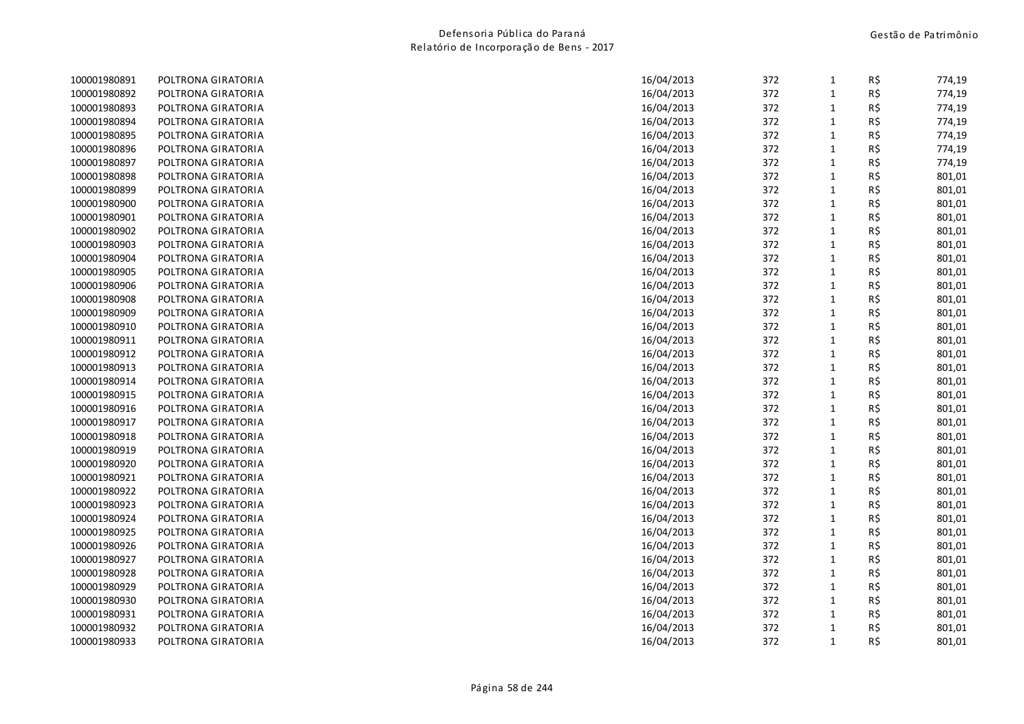| 100001980891 | POLTRONA GIRATORIA | 16/04/2013 | 372 | $\mathbf{1}$ | R\$ | 774,19 |
|--------------|--------------------|------------|-----|--------------|-----|--------|
| 100001980892 | POLTRONA GIRATORIA | 16/04/2013 | 372 | $\mathbf{1}$ | R\$ | 774,19 |
| 100001980893 | POLTRONA GIRATORIA | 16/04/2013 | 372 | $\mathbf{1}$ | R\$ | 774,19 |
| 100001980894 | POLTRONA GIRATORIA | 16/04/2013 | 372 | $\mathbf{1}$ | R\$ | 774,19 |
| 100001980895 | POLTRONA GIRATORIA | 16/04/2013 | 372 | $\mathbf{1}$ | R\$ | 774,19 |
| 100001980896 | POLTRONA GIRATORIA | 16/04/2013 | 372 | $\mathbf{1}$ | R\$ | 774,19 |
| 100001980897 | POLTRONA GIRATORIA | 16/04/2013 | 372 | $\mathbf{1}$ | R\$ | 774,19 |
| 100001980898 | POLTRONA GIRATORIA | 16/04/2013 | 372 | $\mathbf{1}$ | R\$ | 801,01 |
| 100001980899 | POLTRONA GIRATORIA | 16/04/2013 | 372 | $\mathbf{1}$ | R\$ | 801,01 |
| 100001980900 | POLTRONA GIRATORIA | 16/04/2013 | 372 | $\mathbf{1}$ | R\$ | 801,01 |
| 100001980901 | POLTRONA GIRATORIA | 16/04/2013 | 372 | $\mathbf{1}$ | R\$ | 801,01 |
| 100001980902 | POLTRONA GIRATORIA | 16/04/2013 | 372 | $\mathbf{1}$ | R\$ | 801,01 |
| 100001980903 | POLTRONA GIRATORIA | 16/04/2013 | 372 | $\mathbf{1}$ | R\$ | 801,01 |
| 100001980904 | POLTRONA GIRATORIA | 16/04/2013 | 372 | $\mathbf 1$  | R\$ | 801,01 |
| 100001980905 | POLTRONA GIRATORIA | 16/04/2013 | 372 | $\mathbf{1}$ | R\$ | 801,01 |
| 100001980906 | POLTRONA GIRATORIA | 16/04/2013 | 372 | $\mathbf{1}$ | R\$ | 801,01 |
| 100001980908 | POLTRONA GIRATORIA | 16/04/2013 | 372 | $\mathbf{1}$ | R\$ | 801,01 |
| 100001980909 | POLTRONA GIRATORIA | 16/04/2013 | 372 | $\mathbf{1}$ | R\$ | 801,01 |
| 100001980910 | POLTRONA GIRATORIA | 16/04/2013 | 372 | $\mathbf{1}$ | R\$ | 801,01 |
| 100001980911 | POLTRONA GIRATORIA | 16/04/2013 | 372 | $\mathbf{1}$ | R\$ | 801,01 |
| 100001980912 | POLTRONA GIRATORIA | 16/04/2013 | 372 | $\mathbf{1}$ | R\$ | 801,01 |
| 100001980913 | POLTRONA GIRATORIA | 16/04/2013 | 372 | $\mathbf{1}$ | R\$ | 801,01 |
| 100001980914 | POLTRONA GIRATORIA | 16/04/2013 | 372 | $\mathbf{1}$ | R\$ | 801,01 |
| 100001980915 | POLTRONA GIRATORIA | 16/04/2013 | 372 | $\mathbf{1}$ | R\$ | 801,01 |
| 100001980916 | POLTRONA GIRATORIA | 16/04/2013 | 372 | $\mathbf{1}$ | R\$ | 801,01 |
| 100001980917 | POLTRONA GIRATORIA | 16/04/2013 | 372 | $\mathbf{1}$ | R\$ | 801,01 |
| 100001980918 | POLTRONA GIRATORIA | 16/04/2013 | 372 | $\mathbf{1}$ | R\$ | 801,01 |
| 100001980919 | POLTRONA GIRATORIA | 16/04/2013 | 372 | $\mathbf{1}$ | R\$ | 801,01 |
| 100001980920 | POLTRONA GIRATORIA | 16/04/2013 | 372 | $\mathbf{1}$ | R\$ | 801,01 |
| 100001980921 | POLTRONA GIRATORIA | 16/04/2013 | 372 | $\mathbf{1}$ | R\$ | 801,01 |
| 100001980922 | POLTRONA GIRATORIA | 16/04/2013 | 372 | $\mathbf{1}$ | R\$ | 801,01 |
| 100001980923 | POLTRONA GIRATORIA | 16/04/2013 | 372 | $\mathbf{1}$ | R\$ | 801,01 |
| 100001980924 | POLTRONA GIRATORIA | 16/04/2013 | 372 | $\mathbf{1}$ | R\$ | 801,01 |
| 100001980925 | POLTRONA GIRATORIA | 16/04/2013 | 372 | $\mathbf{1}$ | R\$ | 801,01 |
| 100001980926 | POLTRONA GIRATORIA | 16/04/2013 | 372 | 1            | R\$ | 801,01 |
| 100001980927 | POLTRONA GIRATORIA | 16/04/2013 | 372 | $\mathbf{1}$ | R\$ | 801,01 |
| 100001980928 | POLTRONA GIRATORIA | 16/04/2013 | 372 | $\mathbf{1}$ | R\$ | 801,01 |
| 100001980929 | POLTRONA GIRATORIA | 16/04/2013 | 372 | $\mathbf{1}$ | R\$ | 801,01 |
| 100001980930 | POLTRONA GIRATORIA | 16/04/2013 | 372 | $\mathbf{1}$ | R\$ | 801,01 |
| 100001980931 | POLTRONA GIRATORIA | 16/04/2013 | 372 | $\mathbf{1}$ | R\$ | 801,01 |
| 100001980932 | POLTRONA GIRATORIA | 16/04/2013 | 372 | 1            | R\$ | 801,01 |
| 100001980933 | POLTRONA GIRATORIA | 16/04/2013 | 372 | $\mathbf{1}$ | R\$ | 801,01 |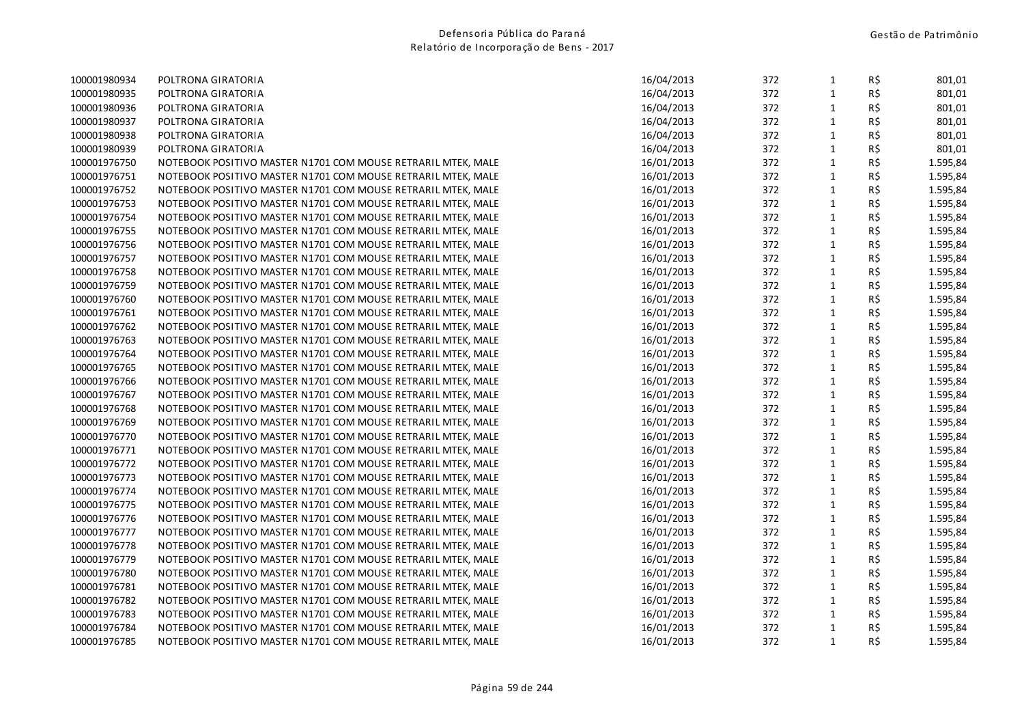| 100001980934 | POLTRONA GIRATORIA                                           | 16/04/2013 | 372 | 1            | R\$ | 801,01   |
|--------------|--------------------------------------------------------------|------------|-----|--------------|-----|----------|
| 100001980935 | POLTRONA GIRATORIA                                           | 16/04/2013 | 372 | $\mathbf{1}$ | R\$ | 801,01   |
| 100001980936 | POLTRONA GIRATORIA                                           | 16/04/2013 | 372 | $\mathbf{1}$ | R\$ | 801,01   |
| 100001980937 | POLTRONA GIRATORIA                                           | 16/04/2013 | 372 | $\mathbf{1}$ | R\$ | 801,01   |
| 100001980938 | POLTRONA GIRATORIA                                           | 16/04/2013 | 372 | $\mathbf{1}$ | R\$ | 801,01   |
| 100001980939 | POLTRONA GIRATORIA                                           | 16/04/2013 | 372 | $\mathbf{1}$ | R\$ | 801,01   |
| 100001976750 | NOTEBOOK POSITIVO MASTER N1701 COM MOUSE RETRARIL MTEK, MALE | 16/01/2013 | 372 | $\mathbf 1$  | R\$ | 1.595,84 |
| 100001976751 | NOTEBOOK POSITIVO MASTER N1701 COM MOUSE RETRARIL MTEK, MALE | 16/01/2013 | 372 | $\mathbf{1}$ | R\$ | 1.595,84 |
| 100001976752 | NOTEBOOK POSITIVO MASTER N1701 COM MOUSE RETRARIL MTEK, MALE | 16/01/2013 | 372 | $\mathbf{1}$ | R\$ | 1.595,84 |
| 100001976753 | NOTEBOOK POSITIVO MASTER N1701 COM MOUSE RETRARIL MTEK, MALE | 16/01/2013 | 372 | $\mathbf{1}$ | R\$ | 1.595,84 |
| 100001976754 | NOTEBOOK POSITIVO MASTER N1701 COM MOUSE RETRARIL MTEK, MALE | 16/01/2013 | 372 | $\mathbf{1}$ | R\$ | 1.595,84 |
| 100001976755 | NOTEBOOK POSITIVO MASTER N1701 COM MOUSE RETRARIL MTEK, MALE | 16/01/2013 | 372 | $\mathbf 1$  | R\$ | 1.595,84 |
| 100001976756 | NOTEBOOK POSITIVO MASTER N1701 COM MOUSE RETRARIL MTEK, MALE | 16/01/2013 | 372 | $\mathbf{1}$ | R\$ | 1.595,84 |
| 100001976757 | NOTEBOOK POSITIVO MASTER N1701 COM MOUSE RETRARIL MTEK, MALE | 16/01/2013 | 372 | $\mathbf{1}$ | R\$ | 1.595,84 |
| 100001976758 | NOTEBOOK POSITIVO MASTER N1701 COM MOUSE RETRARIL MTEK, MALE | 16/01/2013 | 372 | $\mathbf{1}$ | R\$ | 1.595,84 |
| 100001976759 | NOTEBOOK POSITIVO MASTER N1701 COM MOUSE RETRARIL MTEK, MALE | 16/01/2013 | 372 | $\mathbf{1}$ | R\$ | 1.595,84 |
| 100001976760 | NOTEBOOK POSITIVO MASTER N1701 COM MOUSE RETRARIL MTEK, MALE | 16/01/2013 | 372 | $\mathbf 1$  | R\$ | 1.595,84 |
| 100001976761 | NOTEBOOK POSITIVO MASTER N1701 COM MOUSE RETRARIL MTEK, MALE | 16/01/2013 | 372 | $\mathbf{1}$ | R\$ | 1.595,84 |
| 100001976762 | NOTEBOOK POSITIVO MASTER N1701 COM MOUSE RETRARIL MTEK, MALE | 16/01/2013 | 372 | $\mathbf{1}$ | R\$ | 1.595,84 |
| 100001976763 | NOTEBOOK POSITIVO MASTER N1701 COM MOUSE RETRARIL MTEK, MALE | 16/01/2013 | 372 | $\mathbf{1}$ | R\$ | 1.595,84 |
| 100001976764 | NOTEBOOK POSITIVO MASTER N1701 COM MOUSE RETRARIL MTEK, MALE | 16/01/2013 | 372 | $\mathbf{1}$ | R\$ | 1.595,84 |
| 100001976765 | NOTEBOOK POSITIVO MASTER N1701 COM MOUSE RETRARIL MTEK, MALE | 16/01/2013 | 372 | $\mathbf{1}$ | R\$ | 1.595,84 |
| 100001976766 | NOTEBOOK POSITIVO MASTER N1701 COM MOUSE RETRARIL MTEK, MALE | 16/01/2013 | 372 | $\mathbf{1}$ | R\$ | 1.595,84 |
| 100001976767 | NOTEBOOK POSITIVO MASTER N1701 COM MOUSE RETRARIL MTEK, MALE | 16/01/2013 | 372 | $\mathbf 1$  | R\$ | 1.595,84 |
| 100001976768 | NOTEBOOK POSITIVO MASTER N1701 COM MOUSE RETRARIL MTEK, MALE | 16/01/2013 | 372 | $\mathbf{1}$ | R\$ | 1.595,84 |
| 100001976769 | NOTEBOOK POSITIVO MASTER N1701 COM MOUSE RETRARIL MTEK, MALE | 16/01/2013 | 372 | $\mathbf{1}$ | R\$ | 1.595,84 |
| 100001976770 | NOTEBOOK POSITIVO MASTER N1701 COM MOUSE RETRARIL MTEK, MALE | 16/01/2013 | 372 | $\mathbf{1}$ | R\$ | 1.595,84 |
| 100001976771 | NOTEBOOK POSITIVO MASTER N1701 COM MOUSE RETRARIL MTEK, MALE | 16/01/2013 | 372 | $\mathbf 1$  | R\$ | 1.595,84 |
| 100001976772 | NOTEBOOK POSITIVO MASTER N1701 COM MOUSE RETRARIL MTEK, MALE | 16/01/2013 | 372 | $\mathbf{1}$ | R\$ | 1.595,84 |
| 100001976773 | NOTEBOOK POSITIVO MASTER N1701 COM MOUSE RETRARIL MTEK, MALE | 16/01/2013 | 372 | $\mathbf{1}$ | R\$ | 1.595,84 |
| 100001976774 | NOTEBOOK POSITIVO MASTER N1701 COM MOUSE RETRARIL MTEK, MALE | 16/01/2013 | 372 | $\mathbf{1}$ | R\$ | 1.595,84 |
| 100001976775 | NOTEBOOK POSITIVO MASTER N1701 COM MOUSE RETRARIL MTEK, MALE | 16/01/2013 | 372 | $\mathbf{1}$ | R\$ | 1.595,84 |
| 100001976776 | NOTEBOOK POSITIVO MASTER N1701 COM MOUSE RETRARIL MTEK, MALE | 16/01/2013 | 372 | $\mathbf 1$  | R\$ | 1.595,84 |
| 100001976777 | NOTEBOOK POSITIVO MASTER N1701 COM MOUSE RETRARIL MTEK, MALE | 16/01/2013 | 372 | $\mathbf{1}$ | R\$ | 1.595,84 |
| 100001976778 | NOTEBOOK POSITIVO MASTER N1701 COM MOUSE RETRARIL MTEK, MALE | 16/01/2013 | 372 | $\mathbf{1}$ | R\$ | 1.595,84 |
| 100001976779 | NOTEBOOK POSITIVO MASTER N1701 COM MOUSE RETRARIL MTEK, MALE | 16/01/2013 | 372 | $\mathbf{1}$ | R\$ | 1.595,84 |
| 100001976780 | NOTEBOOK POSITIVO MASTER N1701 COM MOUSE RETRARIL MTEK, MALE | 16/01/2013 | 372 | $\mathbf{1}$ | R\$ | 1.595,84 |
| 100001976781 | NOTEBOOK POSITIVO MASTER N1701 COM MOUSE RETRARIL MTEK, MALE | 16/01/2013 | 372 | $\mathbf 1$  | R\$ | 1.595,84 |
| 100001976782 | NOTEBOOK POSITIVO MASTER N1701 COM MOUSE RETRARIL MTEK, MALE | 16/01/2013 | 372 | $\mathbf{1}$ | R\$ | 1.595,84 |
| 100001976783 | NOTEBOOK POSITIVO MASTER N1701 COM MOUSE RETRARIL MTEK, MALE | 16/01/2013 | 372 | $\mathbf{1}$ | R\$ | 1.595,84 |
| 100001976784 | NOTEBOOK POSITIVO MASTER N1701 COM MOUSE RETRARIL MTEK, MALE | 16/01/2013 | 372 | $\mathbf{1}$ | R\$ | 1.595,84 |
| 100001976785 | NOTEBOOK POSITIVO MASTER N1701 COM MOUSE RETRARIL MTEK, MALE | 16/01/2013 | 372 | $\mathbf{1}$ | R\$ | 1.595,84 |
|              |                                                              |            |     |              |     |          |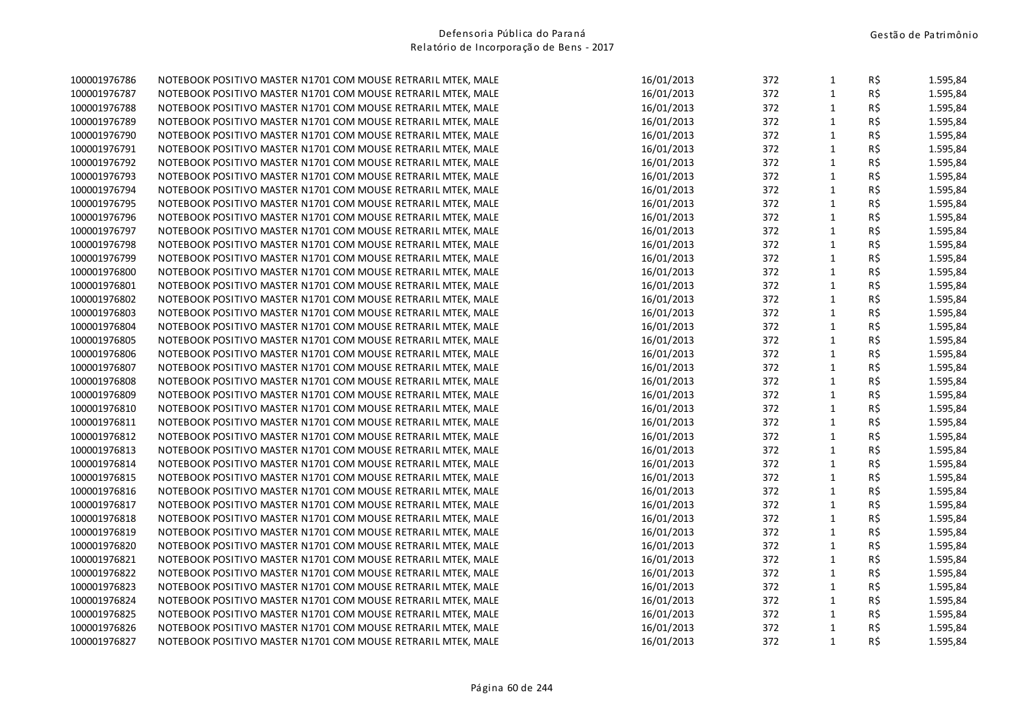| 100001976786 | NOTEBOOK POSITIVO MASTER N1701 COM MOUSE RETRARIL MTEK, MALE | 16/01/2013 | 372 | $\mathbf{1}$ | R\$        | 1.595,84 |
|--------------|--------------------------------------------------------------|------------|-----|--------------|------------|----------|
| 100001976787 | NOTEBOOK POSITIVO MASTER N1701 COM MOUSE RETRARIL MTEK, MALE | 16/01/2013 | 372 | $\mathbf 1$  | R\$        | 1.595,84 |
| 100001976788 | NOTEBOOK POSITIVO MASTER N1701 COM MOUSE RETRARIL MTEK, MALE | 16/01/2013 | 372 | $\mathbf{1}$ | R\$        | 1.595,84 |
| 100001976789 | NOTEBOOK POSITIVO MASTER N1701 COM MOUSE RETRARIL MTEK, MALE | 16/01/2013 | 372 | $\mathbf{1}$ | R\$        | 1.595,84 |
| 100001976790 | NOTEBOOK POSITIVO MASTER N1701 COM MOUSE RETRARIL MTEK, MALE | 16/01/2013 | 372 | $\mathbf{1}$ | R\$        | 1.595,84 |
| 100001976791 | NOTEBOOK POSITIVO MASTER N1701 COM MOUSE RETRARIL MTEK, MALE | 16/01/2013 | 372 | $\mathbf 1$  | R\$        | 1.595,84 |
| 100001976792 | NOTEBOOK POSITIVO MASTER N1701 COM MOUSE RETRARIL MTEK, MALE | 16/01/2013 | 372 | $\mathbf 1$  | R\$        | 1.595,84 |
| 100001976793 | NOTEBOOK POSITIVO MASTER N1701 COM MOUSE RETRARIL MTEK, MALE | 16/01/2013 | 372 | $\mathbf{1}$ | R\$        | 1.595,84 |
| 100001976794 | NOTEBOOK POSITIVO MASTER N1701 COM MOUSE RETRARIL MTEK, MALE | 16/01/2013 | 372 | $\mathbf{1}$ | R\$        | 1.595,84 |
| 100001976795 | NOTEBOOK POSITIVO MASTER N1701 COM MOUSE RETRARIL MTEK, MALE | 16/01/2013 | 372 | $\mathbf 1$  | R\$        | 1.595,84 |
| 100001976796 | NOTEBOOK POSITIVO MASTER N1701 COM MOUSE RETRARIL MTEK, MALE | 16/01/2013 | 372 | $\mathbf 1$  | R\$        | 1.595,84 |
| 100001976797 | NOTEBOOK POSITIVO MASTER N1701 COM MOUSE RETRARIL MTEK, MALE | 16/01/2013 | 372 | $\mathbf{1}$ | R\$        | 1.595,84 |
| 100001976798 | NOTEBOOK POSITIVO MASTER N1701 COM MOUSE RETRARIL MTEK, MALE | 16/01/2013 | 372 | $\mathbf{1}$ | R\$        | 1.595,84 |
| 100001976799 | NOTEBOOK POSITIVO MASTER N1701 COM MOUSE RETRARIL MTEK, MALE | 16/01/2013 | 372 | $\mathbf 1$  | R\$        | 1.595,84 |
| 100001976800 | NOTEBOOK POSITIVO MASTER N1701 COM MOUSE RETRARIL MTEK, MALE | 16/01/2013 | 372 | $\mathbf 1$  | R\$        | 1.595,84 |
| 100001976801 | NOTEBOOK POSITIVO MASTER N1701 COM MOUSE RETRARIL MTEK, MALE | 16/01/2013 | 372 | $\mathbf{1}$ | R\$        | 1.595,84 |
| 100001976802 | NOTEBOOK POSITIVO MASTER N1701 COM MOUSE RETRARIL MTEK, MALE | 16/01/2013 | 372 | $\mathbf{1}$ | R\$        | 1.595,84 |
| 100001976803 | NOTEBOOK POSITIVO MASTER N1701 COM MOUSE RETRARIL MTEK, MALE | 16/01/2013 | 372 | $\mathbf{1}$ | R\$        | 1.595,84 |
| 100001976804 | NOTEBOOK POSITIVO MASTER N1701 COM MOUSE RETRARIL MTEK, MALE | 16/01/2013 | 372 | $1\,$        | R\$        | 1.595,84 |
| 100001976805 | NOTEBOOK POSITIVO MASTER N1701 COM MOUSE RETRARIL MTEK, MALE | 16/01/2013 | 372 | $\mathbf 1$  | R\$        | 1.595,84 |
| 100001976806 | NOTEBOOK POSITIVO MASTER N1701 COM MOUSE RETRARIL MTEK, MALE | 16/01/2013 | 372 | $\mathbf 1$  | R\$        | 1.595,84 |
| 100001976807 | NOTEBOOK POSITIVO MASTER N1701 COM MOUSE RETRARIL MTEK, MALE | 16/01/2013 | 372 | $\mathbf{1}$ | R\$        | 1.595,84 |
| 100001976808 | NOTEBOOK POSITIVO MASTER N1701 COM MOUSE RETRARIL MTEK, MALE | 16/01/2013 | 372 | $1\,$        | R\$        | 1.595,84 |
| 100001976809 | NOTEBOOK POSITIVO MASTER N1701 COM MOUSE RETRARIL MTEK, MALE | 16/01/2013 | 372 | $\mathbf{1}$ | $R\hat{S}$ | 1.595,84 |
| 100001976810 | NOTEBOOK POSITIVO MASTER N1701 COM MOUSE RETRARIL MTEK, MALE | 16/01/2013 | 372 | $\mathbf{1}$ | R\$        | 1.595,84 |
| 100001976811 | NOTEBOOK POSITIVO MASTER N1701 COM MOUSE RETRARIL MTEK, MALE | 16/01/2013 | 372 | $\mathbf{1}$ | R\$        | 1.595,84 |
| 100001976812 | NOTEBOOK POSITIVO MASTER N1701 COM MOUSE RETRARIL MTEK, MALE | 16/01/2013 | 372 | $\mathbf 1$  | R\$        | 1.595,84 |
| 100001976813 | NOTEBOOK POSITIVO MASTER N1701 COM MOUSE RETRARIL MTEK, MALE | 16/01/2013 | 372 | $\mathbf 1$  | $R\hat{S}$ | 1.595,84 |
| 100001976814 | NOTEBOOK POSITIVO MASTER N1701 COM MOUSE RETRARIL MTEK, MALE | 16/01/2013 | 372 | $\mathbf{1}$ | R\$        | 1.595,84 |
| 100001976815 | NOTEBOOK POSITIVO MASTER N1701 COM MOUSE RETRARIL MTEK, MALE | 16/01/2013 | 372 | $\mathbf{1}$ | R\$        | 1.595,84 |
| 100001976816 | NOTEBOOK POSITIVO MASTER N1701 COM MOUSE RETRARIL MTEK, MALE | 16/01/2013 | 372 | $\mathbf{1}$ | R\$        | 1.595,84 |
| 100001976817 | NOTEBOOK POSITIVO MASTER N1701 COM MOUSE RETRARIL MTEK, MALE | 16/01/2013 | 372 | $\mathbf{1}$ | R\$        | 1.595,84 |
| 100001976818 | NOTEBOOK POSITIVO MASTER N1701 COM MOUSE RETRARIL MTEK, MALE | 16/01/2013 | 372 | $\mathbf{1}$ | R\$        | 1.595,84 |
| 100001976819 | NOTEBOOK POSITIVO MASTER N1701 COM MOUSE RETRARIL MTEK, MALE | 16/01/2013 | 372 | $\mathbf{1}$ | R\$        | 1.595,84 |
| 100001976820 | NOTEBOOK POSITIVO MASTER N1701 COM MOUSE RETRARIL MTEK, MALE | 16/01/2013 | 372 | $\mathbf{1}$ | R\$        | 1.595,84 |
| 100001976821 | NOTEBOOK POSITIVO MASTER N1701 COM MOUSE RETRARIL MTEK, MALE | 16/01/2013 | 372 | $1\,$        | R\$        | 1.595,84 |
| 100001976822 | NOTEBOOK POSITIVO MASTER N1701 COM MOUSE RETRARIL MTEK, MALE | 16/01/2013 | 372 | $\mathbf{1}$ | R\$        | 1.595,84 |
| 100001976823 | NOTEBOOK POSITIVO MASTER N1701 COM MOUSE RETRARIL MTEK, MALE | 16/01/2013 | 372 | $\mathbf 1$  | R\$        | 1.595,84 |
| 100001976824 | NOTEBOOK POSITIVO MASTER N1701 COM MOUSE RETRARIL MTEK, MALE | 16/01/2013 | 372 | $\mathbf 1$  | R\$        | 1.595,84 |
| 100001976825 | NOTEBOOK POSITIVO MASTER N1701 COM MOUSE RETRARIL MTEK, MALE | 16/01/2013 | 372 | $\mathbf 1$  | R\$        | 1.595,84 |
| 100001976826 | NOTEBOOK POSITIVO MASTER N1701 COM MOUSE RETRARIL MTEK, MALE | 16/01/2013 | 372 | $\mathbf{1}$ | R\$        | 1.595,84 |
| 100001976827 | NOTEBOOK POSITIVO MASTER N1701 COM MOUSE RETRARIL MTEK, MALE | 16/01/2013 | 372 | $\mathbf 1$  | $R\hat{S}$ | 1.595,84 |
|              |                                                              |            |     |              |            |          |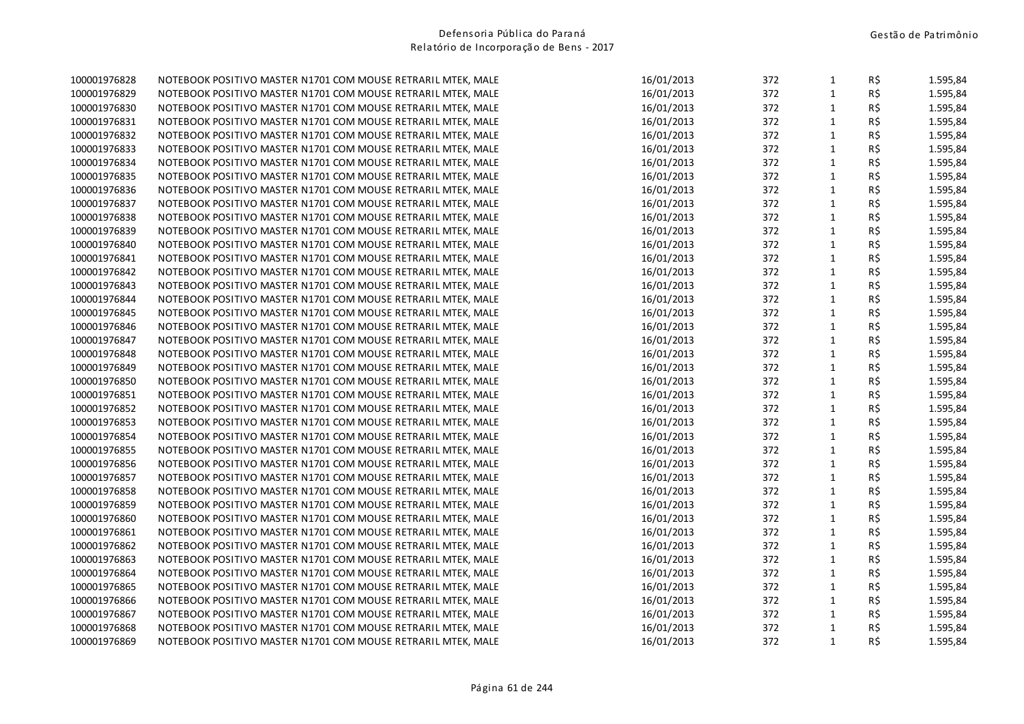| 100001976828 | NOTEBOOK POSITIVO MASTER N1701 COM MOUSE RETRARIL MTEK, MALE | 16/01/2013 | 372 | $\mathbf{1}$ | R\$            | 1.595,84 |
|--------------|--------------------------------------------------------------|------------|-----|--------------|----------------|----------|
| 100001976829 | NOTEBOOK POSITIVO MASTER N1701 COM MOUSE RETRARIL MTEK, MALE | 16/01/2013 | 372 | $\mathbf{1}$ | R\$            | 1.595,84 |
| 100001976830 | NOTEBOOK POSITIVO MASTER N1701 COM MOUSE RETRARIL MTEK, MALE | 16/01/2013 | 372 | $\mathbf{1}$ | R\$            | 1.595,84 |
| 100001976831 | NOTEBOOK POSITIVO MASTER N1701 COM MOUSE RETRARIL MTEK, MALE | 16/01/2013 | 372 | $\mathbf{1}$ | R\$            | 1.595,84 |
| 100001976832 | NOTEBOOK POSITIVO MASTER N1701 COM MOUSE RETRARIL MTEK, MALE | 16/01/2013 | 372 | $\mathbf 1$  | R\$            | 1.595,84 |
| 100001976833 | NOTEBOOK POSITIVO MASTER N1701 COM MOUSE RETRARIL MTEK, MALE | 16/01/2013 | 372 | $\mathbf 1$  | R\$            | 1.595,84 |
| 100001976834 | NOTEBOOK POSITIVO MASTER N1701 COM MOUSE RETRARIL MTEK, MALE | 16/01/2013 | 372 | $\mathbf 1$  | R\$            | 1.595,84 |
| 100001976835 | NOTEBOOK POSITIVO MASTER N1701 COM MOUSE RETRARIL MTEK, MALE | 16/01/2013 | 372 | $\mathbf{1}$ | R\$            | 1.595,84 |
| 100001976836 | NOTEBOOK POSITIVO MASTER N1701 COM MOUSE RETRARIL MTEK, MALE | 16/01/2013 | 372 | $\mathbf{1}$ | R\$            | 1.595,84 |
| 100001976837 | NOTEBOOK POSITIVO MASTER N1701 COM MOUSE RETRARIL MTEK, MALE | 16/01/2013 | 372 | $\mathbf 1$  | R\$            | 1.595,84 |
| 100001976838 | NOTEBOOK POSITIVO MASTER N1701 COM MOUSE RETRARIL MTEK, MALE | 16/01/2013 | 372 | $\mathbf{1}$ | R\$            | 1.595,84 |
| 100001976839 | NOTEBOOK POSITIVO MASTER N1701 COM MOUSE RETRARIL MTEK, MALE | 16/01/2013 | 372 | $\mathbf 1$  | R\$            | 1.595,84 |
| 100001976840 | NOTEBOOK POSITIVO MASTER N1701 COM MOUSE RETRARIL MTEK, MALE | 16/01/2013 | 372 | $\mathbf{1}$ | R\$            | 1.595,84 |
| 100001976841 | NOTEBOOK POSITIVO MASTER N1701 COM MOUSE RETRARIL MTEK, MALE | 16/01/2013 | 372 | $\mathbf 1$  | R\$            | 1.595,84 |
| 100001976842 | NOTEBOOK POSITIVO MASTER N1701 COM MOUSE RETRARIL MTEK, MALE | 16/01/2013 | 372 | $\mathbf{1}$ | R\$            | 1.595,84 |
| 100001976843 | NOTEBOOK POSITIVO MASTER N1701 COM MOUSE RETRARIL MTEK, MALE | 16/01/2013 | 372 | $\mathbf{1}$ | R\$            | 1.595,84 |
| 100001976844 | NOTEBOOK POSITIVO MASTER N1701 COM MOUSE RETRARIL MTEK, MALE | 16/01/2013 | 372 | $\mathbf{1}$ | R\$            | 1.595,84 |
| 100001976845 | NOTEBOOK POSITIVO MASTER N1701 COM MOUSE RETRARIL MTEK, MALE | 16/01/2013 | 372 | $\mathbf{1}$ | R\$            | 1.595,84 |
| 100001976846 | NOTEBOOK POSITIVO MASTER N1701 COM MOUSE RETRARIL MTEK, MALE | 16/01/2013 | 372 | $\mathbf{1}$ | R\$            | 1.595,84 |
| 100001976847 | NOTEBOOK POSITIVO MASTER N1701 COM MOUSE RETRARIL MTEK, MALE | 16/01/2013 | 372 | $\mathbf 1$  | R\$            | 1.595,84 |
| 100001976848 | NOTEBOOK POSITIVO MASTER N1701 COM MOUSE RETRARIL MTEK, MALE | 16/01/2013 | 372 | $\mathbf{1}$ | R\$            | 1.595,84 |
| 100001976849 | NOTEBOOK POSITIVO MASTER N1701 COM MOUSE RETRARIL MTEK, MALE | 16/01/2013 | 372 | $\mathbf{1}$ | R\$            | 1.595,84 |
| 100001976850 | NOTEBOOK POSITIVO MASTER N1701 COM MOUSE RETRARIL MTEK, MALE | 16/01/2013 | 372 | $1\,$        | R\$            | 1.595,84 |
| 100001976851 | NOTEBOOK POSITIVO MASTER N1701 COM MOUSE RETRARIL MTEK, MALE | 16/01/2013 | 372 | $\mathbf{1}$ | R\$            | 1.595,84 |
| 100001976852 | NOTEBOOK POSITIVO MASTER N1701 COM MOUSE RETRARIL MTEK, MALE | 16/01/2013 | 372 | $\mathbf 1$  | R\$            | 1.595,84 |
| 100001976853 | NOTEBOOK POSITIVO MASTER N1701 COM MOUSE RETRARIL MTEK, MALE | 16/01/2013 | 372 | $\mathbf{1}$ | R\$            | 1.595,84 |
| 100001976854 | NOTEBOOK POSITIVO MASTER N1701 COM MOUSE RETRARIL MTEK, MALE | 16/01/2013 | 372 | $1\,$        | R\$            | 1.595,84 |
| 100001976855 | NOTEBOOK POSITIVO MASTER N1701 COM MOUSE RETRARIL MTEK, MALE | 16/01/2013 | 372 | $\mathbf{1}$ | R\$            | 1.595,84 |
| 100001976856 | NOTEBOOK POSITIVO MASTER N1701 COM MOUSE RETRARIL MTEK, MALE | 16/01/2013 | 372 | $\mathbf 1$  | R\$            | 1.595,84 |
| 100001976857 | NOTEBOOK POSITIVO MASTER N1701 COM MOUSE RETRARIL MTEK, MALE | 16/01/2013 | 372 | $\mathbf 1$  | R\$            | 1.595,84 |
| 100001976858 | NOTEBOOK POSITIVO MASTER N1701 COM MOUSE RETRARIL MTEK, MALE | 16/01/2013 | 372 | $\mathbf 1$  | R\$            | 1.595,84 |
| 100001976859 | NOTEBOOK POSITIVO MASTER N1701 COM MOUSE RETRARIL MTEK, MALE | 16/01/2013 | 372 | $\mathbf 1$  | R\$            | 1.595,84 |
| 100001976860 | NOTEBOOK POSITIVO MASTER N1701 COM MOUSE RETRARIL MTEK, MALE | 16/01/2013 | 372 | $\mathbf{1}$ | R\$            | 1.595,84 |
| 100001976861 | NOTEBOOK POSITIVO MASTER N1701 COM MOUSE RETRARIL MTEK, MALE | 16/01/2013 | 372 | $\mathbf 1$  | R\$            | 1.595,84 |
| 100001976862 | NOTEBOOK POSITIVO MASTER N1701 COM MOUSE RETRARIL MTEK, MALE | 16/01/2013 | 372 | $\mathbf{1}$ | R\$            | 1.595,84 |
| 100001976863 | NOTEBOOK POSITIVO MASTER N1701 COM MOUSE RETRARIL MTEK, MALE | 16/01/2013 | 372 | $\mathbf{1}$ | R\$            | 1.595,84 |
| 100001976864 | NOTEBOOK POSITIVO MASTER N1701 COM MOUSE RETRARIL MTEK, MALE | 16/01/2013 | 372 | $\mathbf{1}$ | R\$            | 1.595,84 |
| 100001976865 | NOTEBOOK POSITIVO MASTER N1701 COM MOUSE RETRARIL MTEK, MALE | 16/01/2013 | 372 | $\mathbf{1}$ | R\$            | 1.595,84 |
| 100001976866 | NOTEBOOK POSITIVO MASTER N1701 COM MOUSE RETRARIL MTEK, MALE | 16/01/2013 | 372 | $\mathbf 1$  | R\$            | 1.595,84 |
| 100001976867 | NOTEBOOK POSITIVO MASTER N1701 COM MOUSE RETRARIL MTEK, MALE | 16/01/2013 | 372 | $\mathbf 1$  | R\$            | 1.595,84 |
| 100001976868 | NOTEBOOK POSITIVO MASTER N1701 COM MOUSE RETRARIL MTEK, MALE | 16/01/2013 | 372 | $\mathbf{1}$ | R\$            | 1.595,84 |
| 100001976869 | NOTEBOOK POSITIVO MASTER N1701 COM MOUSE RETRARIL MTEK, MALE | 16/01/2013 | 372 | $\mathbf{1}$ | $R\frac{2}{3}$ | 1.595,84 |
|              |                                                              |            |     |              |                |          |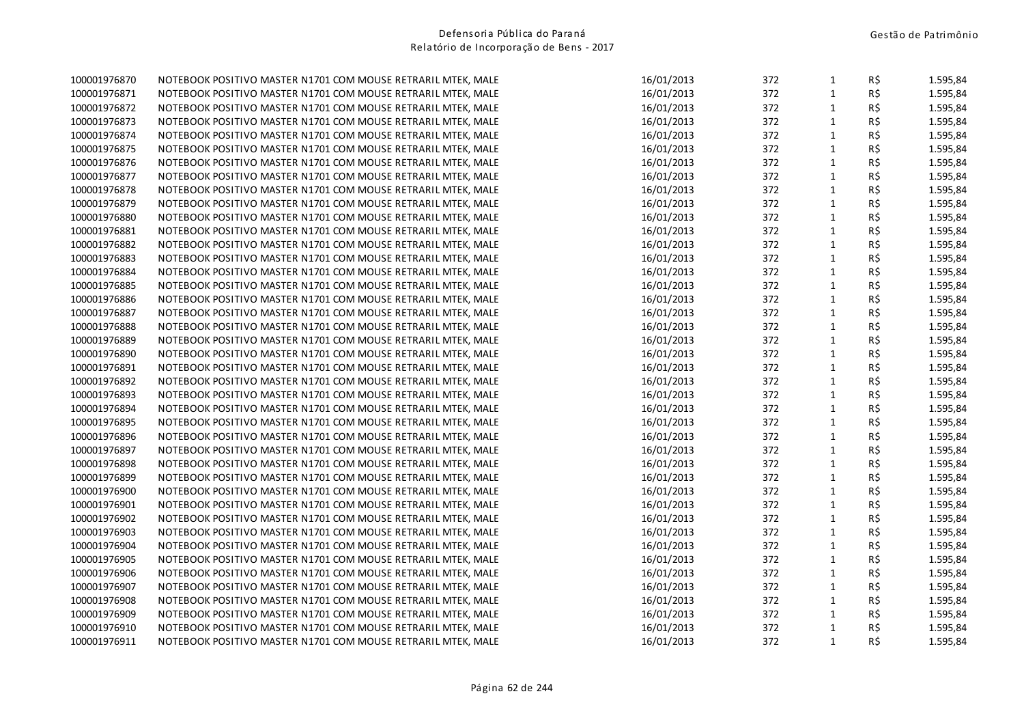| 100001976870 | NOTEBOOK POSITIVO MASTER N1701 COM MOUSE RETRARIL MTEK, MALE | 16/01/2013 | 372 | $\mathbf{1}$ | R\$            | 1.595,84 |
|--------------|--------------------------------------------------------------|------------|-----|--------------|----------------|----------|
| 100001976871 | NOTEBOOK POSITIVO MASTER N1701 COM MOUSE RETRARIL MTEK, MALE | 16/01/2013 | 372 | $\mathbf{1}$ | R\$            | 1.595,84 |
| 100001976872 | NOTEBOOK POSITIVO MASTER N1701 COM MOUSE RETRARIL MTEK, MALE | 16/01/2013 | 372 | $\mathbf{1}$ | R\$            | 1.595,84 |
| 100001976873 | NOTEBOOK POSITIVO MASTER N1701 COM MOUSE RETRARIL MTEK, MALE | 16/01/2013 | 372 | $\mathbf{1}$ | R\$            | 1.595,84 |
| 100001976874 | NOTEBOOK POSITIVO MASTER N1701 COM MOUSE RETRARIL MTEK, MALE | 16/01/2013 | 372 | $\mathbf 1$  | R\$            | 1.595,84 |
| 100001976875 | NOTEBOOK POSITIVO MASTER N1701 COM MOUSE RETRARIL MTEK, MALE | 16/01/2013 | 372 | $\mathbf 1$  | R\$            | 1.595,84 |
| 100001976876 | NOTEBOOK POSITIVO MASTER N1701 COM MOUSE RETRARIL MTEK, MALE | 16/01/2013 | 372 | $\mathbf 1$  | R\$            | 1.595,84 |
| 100001976877 | NOTEBOOK POSITIVO MASTER N1701 COM MOUSE RETRARIL MTEK, MALE | 16/01/2013 | 372 | $\mathbf{1}$ | R\$            | 1.595,84 |
| 100001976878 | NOTEBOOK POSITIVO MASTER N1701 COM MOUSE RETRARIL MTEK, MALE | 16/01/2013 | 372 | $\mathbf{1}$ | R\$            | 1.595,84 |
| 100001976879 | NOTEBOOK POSITIVO MASTER N1701 COM MOUSE RETRARIL MTEK, MALE | 16/01/2013 | 372 | $\mathbf 1$  | R\$            | 1.595,84 |
| 100001976880 | NOTEBOOK POSITIVO MASTER N1701 COM MOUSE RETRARIL MTEK, MALE | 16/01/2013 | 372 | $\mathbf{1}$ | R\$            | 1.595,84 |
| 100001976881 | NOTEBOOK POSITIVO MASTER N1701 COM MOUSE RETRARIL MTEK, MALE | 16/01/2013 | 372 | $\mathbf 1$  | R\$            | 1.595,84 |
| 100001976882 | NOTEBOOK POSITIVO MASTER N1701 COM MOUSE RETRARIL MTEK, MALE | 16/01/2013 | 372 | $\mathbf{1}$ | R\$            | 1.595,84 |
| 100001976883 | NOTEBOOK POSITIVO MASTER N1701 COM MOUSE RETRARIL MTEK, MALE | 16/01/2013 | 372 | $\mathbf 1$  | R\$            | 1.595,84 |
| 100001976884 | NOTEBOOK POSITIVO MASTER N1701 COM MOUSE RETRARIL MTEK, MALE | 16/01/2013 | 372 | $\mathbf{1}$ | R\$            | 1.595,84 |
| 100001976885 | NOTEBOOK POSITIVO MASTER N1701 COM MOUSE RETRARIL MTEK, MALE | 16/01/2013 | 372 | $\mathbf{1}$ | R\$            | 1.595,84 |
| 100001976886 | NOTEBOOK POSITIVO MASTER N1701 COM MOUSE RETRARIL MTEK, MALE | 16/01/2013 | 372 | $\mathbf{1}$ | R\$            | 1.595,84 |
| 100001976887 | NOTEBOOK POSITIVO MASTER N1701 COM MOUSE RETRARIL MTEK, MALE | 16/01/2013 | 372 | $\mathbf{1}$ | R\$            | 1.595,84 |
| 100001976888 | NOTEBOOK POSITIVO MASTER N1701 COM MOUSE RETRARIL MTEK, MALE | 16/01/2013 | 372 | $\mathbf{1}$ | R\$            | 1.595,84 |
| 100001976889 | NOTEBOOK POSITIVO MASTER N1701 COM MOUSE RETRARIL MTEK, MALE | 16/01/2013 | 372 | $\mathbf 1$  | R\$            | 1.595,84 |
| 100001976890 | NOTEBOOK POSITIVO MASTER N1701 COM MOUSE RETRARIL MTEK, MALE | 16/01/2013 | 372 | $\mathbf{1}$ | R\$            | 1.595,84 |
| 100001976891 | NOTEBOOK POSITIVO MASTER N1701 COM MOUSE RETRARIL MTEK, MALE | 16/01/2013 | 372 | $\mathbf{1}$ | R\$            | 1.595,84 |
| 100001976892 | NOTEBOOK POSITIVO MASTER N1701 COM MOUSE RETRARIL MTEK, MALE | 16/01/2013 | 372 | $1\,$        | R\$            | 1.595,84 |
| 100001976893 | NOTEBOOK POSITIVO MASTER N1701 COM MOUSE RETRARIL MTEK, MALE | 16/01/2013 | 372 | $\mathbf{1}$ | R\$            | 1.595,84 |
| 100001976894 | NOTEBOOK POSITIVO MASTER N1701 COM MOUSE RETRARIL MTEK, MALE | 16/01/2013 | 372 | $\mathbf 1$  | R\$            | 1.595,84 |
| 100001976895 | NOTEBOOK POSITIVO MASTER N1701 COM MOUSE RETRARIL MTEK, MALE | 16/01/2013 | 372 | $\mathbf{1}$ | R\$            | 1.595,84 |
| 100001976896 | NOTEBOOK POSITIVO MASTER N1701 COM MOUSE RETRARIL MTEK, MALE | 16/01/2013 | 372 | $1\,$        | R\$            | 1.595,84 |
| 100001976897 | NOTEBOOK POSITIVO MASTER N1701 COM MOUSE RETRARIL MTEK, MALE | 16/01/2013 | 372 | $\mathbf{1}$ | R\$            | 1.595,84 |
| 100001976898 | NOTEBOOK POSITIVO MASTER N1701 COM MOUSE RETRARIL MTEK, MALE | 16/01/2013 | 372 | $\mathbf 1$  | R\$            | 1.595,84 |
| 100001976899 | NOTEBOOK POSITIVO MASTER N1701 COM MOUSE RETRARIL MTEK, MALE | 16/01/2013 | 372 | $\mathbf 1$  | R\$            | 1.595,84 |
| 100001976900 | NOTEBOOK POSITIVO MASTER N1701 COM MOUSE RETRARIL MTEK, MALE | 16/01/2013 | 372 | $\mathbf 1$  | R\$            | 1.595,84 |
| 100001976901 | NOTEBOOK POSITIVO MASTER N1701 COM MOUSE RETRARIL MTEK, MALE | 16/01/2013 | 372 | $\mathbf 1$  | R\$            | 1.595,84 |
| 100001976902 | NOTEBOOK POSITIVO MASTER N1701 COM MOUSE RETRARIL MTEK, MALE | 16/01/2013 | 372 | $\mathbf{1}$ | R\$            | 1.595,84 |
| 100001976903 | NOTEBOOK POSITIVO MASTER N1701 COM MOUSE RETRARIL MTEK, MALE | 16/01/2013 | 372 | $\mathbf 1$  | R\$            | 1.595,84 |
| 100001976904 | NOTEBOOK POSITIVO MASTER N1701 COM MOUSE RETRARIL MTEK, MALE | 16/01/2013 | 372 | $\mathbf{1}$ | R\$            | 1.595,84 |
| 100001976905 | NOTEBOOK POSITIVO MASTER N1701 COM MOUSE RETRARIL MTEK, MALE | 16/01/2013 | 372 | $\mathbf{1}$ | R\$            | 1.595,84 |
| 100001976906 | NOTEBOOK POSITIVO MASTER N1701 COM MOUSE RETRARIL MTEK, MALE | 16/01/2013 | 372 | $\mathbf{1}$ | R\$            | 1.595,84 |
| 100001976907 | NOTEBOOK POSITIVO MASTER N1701 COM MOUSE RETRARIL MTEK, MALE | 16/01/2013 | 372 | $\mathbf{1}$ | R\$            | 1.595,84 |
| 100001976908 | NOTEBOOK POSITIVO MASTER N1701 COM MOUSE RETRARIL MTEK, MALE | 16/01/2013 | 372 | $\mathbf 1$  | R\$            | 1.595,84 |
| 100001976909 | NOTEBOOK POSITIVO MASTER N1701 COM MOUSE RETRARIL MTEK, MALE | 16/01/2013 | 372 | $\mathbf 1$  | R\$            | 1.595,84 |
| 100001976910 | NOTEBOOK POSITIVO MASTER N1701 COM MOUSE RETRARIL MTEK, MALE | 16/01/2013 | 372 | $\mathbf{1}$ | R\$            | 1.595,84 |
| 100001976911 | NOTEBOOK POSITIVO MASTER N1701 COM MOUSE RETRARIL MTEK, MALE | 16/01/2013 | 372 | $\mathbf{1}$ | $R\frac{2}{3}$ | 1.595,84 |
|              |                                                              |            |     |              |                |          |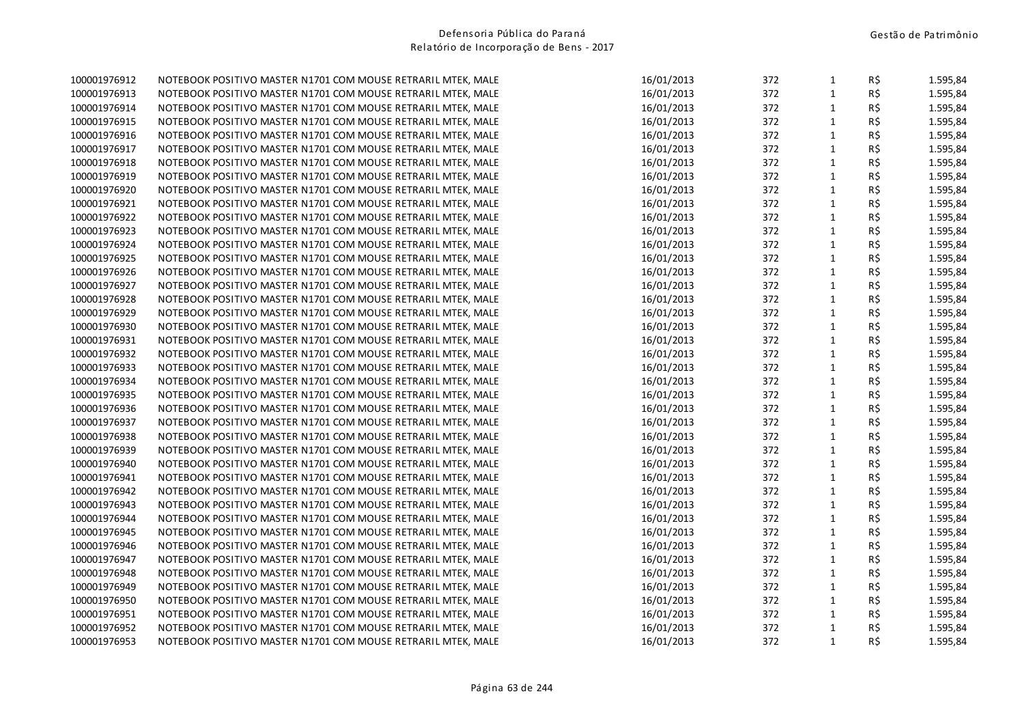| 100001976912 | NOTEBOOK POSITIVO MASTER N1701 COM MOUSE RETRARIL MTEK, MALE | 16/01/2013 | 372 | $\mathbf{1}$ | R\$ | 1.595,84 |
|--------------|--------------------------------------------------------------|------------|-----|--------------|-----|----------|
| 100001976913 | NOTEBOOK POSITIVO MASTER N1701 COM MOUSE RETRARIL MTEK, MALE | 16/01/2013 | 372 | $\mathbf{1}$ | R\$ | 1.595,84 |
| 100001976914 | NOTEBOOK POSITIVO MASTER N1701 COM MOUSE RETRARIL MTEK, MALE | 16/01/2013 | 372 | $\mathbf{1}$ | R\$ | 1.595,84 |
| 100001976915 | NOTEBOOK POSITIVO MASTER N1701 COM MOUSE RETRARIL MTEK, MALE | 16/01/2013 | 372 | $\mathbf 1$  | R\$ | 1.595,84 |
| 100001976916 | NOTEBOOK POSITIVO MASTER N1701 COM MOUSE RETRARIL MTEK, MALE | 16/01/2013 | 372 | $\mathbf 1$  | R\$ | 1.595,84 |
| 100001976917 | NOTEBOOK POSITIVO MASTER N1701 COM MOUSE RETRARIL MTEK, MALE | 16/01/2013 | 372 | $\mathbf{1}$ | R\$ | 1.595,84 |
| 100001976918 | NOTEBOOK POSITIVO MASTER N1701 COM MOUSE RETRARIL MTEK, MALE | 16/01/2013 | 372 | $\mathbf{1}$ | R\$ | 1.595,84 |
| 100001976919 | NOTEBOOK POSITIVO MASTER N1701 COM MOUSE RETRARIL MTEK, MALE | 16/01/2013 | 372 | $\mathbf{1}$ | R\$ | 1.595,84 |
| 100001976920 | NOTEBOOK POSITIVO MASTER N1701 COM MOUSE RETRARIL MTEK, MALE | 16/01/2013 | 372 | $\mathbf{1}$ | R\$ | 1.595,84 |
| 100001976921 | NOTEBOOK POSITIVO MASTER N1701 COM MOUSE RETRARIL MTEK, MALE | 16/01/2013 | 372 | $\mathbf{1}$ | R\$ | 1.595,84 |
| 100001976922 | NOTEBOOK POSITIVO MASTER N1701 COM MOUSE RETRARIL MTEK, MALE | 16/01/2013 | 372 | $\mathbf{1}$ | R\$ | 1.595,84 |
| 100001976923 | NOTEBOOK POSITIVO MASTER N1701 COM MOUSE RETRARIL MTEK, MALE | 16/01/2013 | 372 | $\mathbf{1}$ | R\$ | 1.595,84 |
| 100001976924 | NOTEBOOK POSITIVO MASTER N1701 COM MOUSE RETRARIL MTEK, MALE | 16/01/2013 | 372 | $\mathbf{1}$ | R\$ | 1.595,84 |
| 100001976925 | NOTEBOOK POSITIVO MASTER N1701 COM MOUSE RETRARIL MTEK, MALE | 16/01/2013 | 372 | $\mathbf{1}$ | R\$ | 1.595,84 |
| 100001976926 | NOTEBOOK POSITIVO MASTER N1701 COM MOUSE RETRARIL MTEK, MALE | 16/01/2013 | 372 | $\mathbf{1}$ | R\$ | 1.595,84 |
| 100001976927 | NOTEBOOK POSITIVO MASTER N1701 COM MOUSE RETRARIL MTEK, MALE | 16/01/2013 | 372 | $\mathbf{1}$ | R\$ | 1.595,84 |
| 100001976928 | NOTEBOOK POSITIVO MASTER N1701 COM MOUSE RETRARIL MTEK, MALE | 16/01/2013 | 372 | $\mathbf{1}$ | R\$ | 1.595,84 |
| 100001976929 | NOTEBOOK POSITIVO MASTER N1701 COM MOUSE RETRARIL MTEK, MALE | 16/01/2013 | 372 | $\mathbf 1$  | R\$ | 1.595,84 |
| 100001976930 | NOTEBOOK POSITIVO MASTER N1701 COM MOUSE RETRARIL MTEK, MALE | 16/01/2013 | 372 | $\mathbf{1}$ | R\$ | 1.595,84 |
| 100001976931 | NOTEBOOK POSITIVO MASTER N1701 COM MOUSE RETRARIL MTEK, MALE | 16/01/2013 | 372 | $\mathbf{1}$ | R\$ | 1.595,84 |
| 100001976932 | NOTEBOOK POSITIVO MASTER N1701 COM MOUSE RETRARIL MTEK, MALE | 16/01/2013 | 372 | $\mathbf{1}$ | R\$ | 1.595,84 |
| 100001976933 | NOTEBOOK POSITIVO MASTER N1701 COM MOUSE RETRARIL MTEK, MALE | 16/01/2013 | 372 | $\mathbf{1}$ | R\$ | 1.595,84 |
| 100001976934 | NOTEBOOK POSITIVO MASTER N1701 COM MOUSE RETRARIL MTEK, MALE | 16/01/2013 | 372 | $\mathbf{1}$ | R\$ | 1.595,84 |
| 100001976935 | NOTEBOOK POSITIVO MASTER N1701 COM MOUSE RETRARIL MTEK, MALE | 16/01/2013 | 372 | $\mathbf{1}$ | R\$ | 1.595,84 |
| 100001976936 | NOTEBOOK POSITIVO MASTER N1701 COM MOUSE RETRARIL MTEK, MALE | 16/01/2013 | 372 | $\mathbf{1}$ | R\$ | 1.595,84 |
| 100001976937 | NOTEBOOK POSITIVO MASTER N1701 COM MOUSE RETRARIL MTEK, MALE | 16/01/2013 | 372 | $\mathbf{1}$ | R\$ | 1.595,84 |
| 100001976938 | NOTEBOOK POSITIVO MASTER N1701 COM MOUSE RETRARIL MTEK, MALE | 16/01/2013 | 372 | $\mathbf{1}$ | R\$ | 1.595,84 |
| 100001976939 | NOTEBOOK POSITIVO MASTER N1701 COM MOUSE RETRARIL MTEK, MALE | 16/01/2013 | 372 | $\mathbf 1$  | R\$ | 1.595,84 |
| 100001976940 | NOTEBOOK POSITIVO MASTER N1701 COM MOUSE RETRARIL MTEK, MALE | 16/01/2013 | 372 | $\mathbf{1}$ | R\$ | 1.595,84 |
| 100001976941 | NOTEBOOK POSITIVO MASTER N1701 COM MOUSE RETRARIL MTEK, MALE | 16/01/2013 | 372 | $\mathbf 1$  | R\$ | 1.595,84 |
| 100001976942 | NOTEBOOK POSITIVO MASTER N1701 COM MOUSE RETRARIL MTEK, MALE | 16/01/2013 | 372 | $\mathbf 1$  | R\$ | 1.595,84 |
| 100001976943 | NOTEBOOK POSITIVO MASTER N1701 COM MOUSE RETRARIL MTEK, MALE | 16/01/2013 | 372 | $\mathbf 1$  | R\$ | 1.595,84 |
| 100001976944 | NOTEBOOK POSITIVO MASTER N1701 COM MOUSE RETRARIL MTEK, MALE | 16/01/2013 | 372 | $\mathbf{1}$ | R\$ | 1.595,84 |
| 100001976945 | NOTEBOOK POSITIVO MASTER N1701 COM MOUSE RETRARIL MTEK, MALE | 16/01/2013 | 372 | $\mathbf{1}$ | R\$ | 1.595,84 |
| 100001976946 | NOTEBOOK POSITIVO MASTER N1701 COM MOUSE RETRARIL MTEK, MALE | 16/01/2013 | 372 | $\mathbf{1}$ | R\$ | 1.595,84 |
| 100001976947 | NOTEBOOK POSITIVO MASTER N1701 COM MOUSE RETRARIL MTEK, MALE | 16/01/2013 | 372 | $\mathbf 1$  | R\$ | 1.595,84 |
| 100001976948 | NOTEBOOK POSITIVO MASTER N1701 COM MOUSE RETRARIL MTEK, MALE | 16/01/2013 | 372 | $\mathbf{1}$ | R\$ | 1.595,84 |
| 100001976949 | NOTEBOOK POSITIVO MASTER N1701 COM MOUSE RETRARIL MTEK, MALE | 16/01/2013 | 372 | $\mathbf 1$  | R\$ | 1.595,84 |
| 100001976950 | NOTEBOOK POSITIVO MASTER N1701 COM MOUSE RETRARIL MTEK, MALE | 16/01/2013 | 372 | $\mathbf 1$  | R\$ | 1.595,84 |
| 100001976951 | NOTEBOOK POSITIVO MASTER N1701 COM MOUSE RETRARIL MTEK, MALE | 16/01/2013 | 372 | $\mathbf{1}$ | R\$ | 1.595,84 |
| 100001976952 | NOTEBOOK POSITIVO MASTER N1701 COM MOUSE RETRARIL MTEK, MALE | 16/01/2013 | 372 | $\mathbf{1}$ | R\$ | 1.595,84 |
| 100001976953 | NOTEBOOK POSITIVO MASTER N1701 COM MOUSE RETRARIL MTEK, MALE | 16/01/2013 | 372 | $\mathbf{1}$ | R\$ | 1.595,84 |
|              |                                                              |            |     |              |     |          |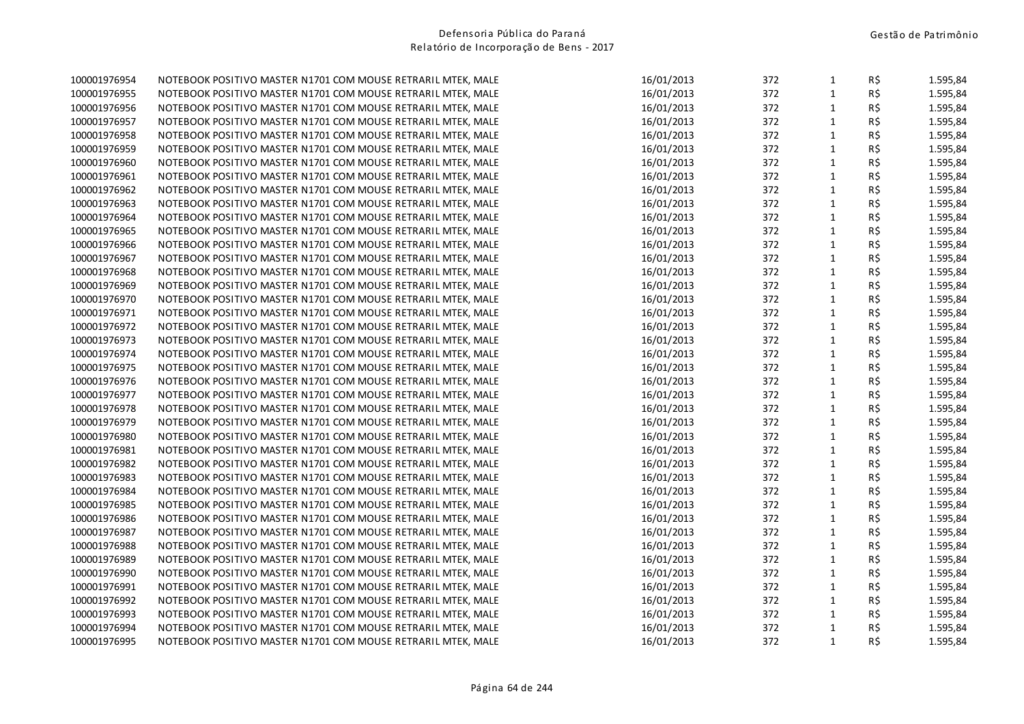| 100001976954 | NOTEBOOK POSITIVO MASTER N1701 COM MOUSE RETRARIL MTEK, MALE | 16/01/2013 | 372 | $\mathbf{1}$ | R\$ | 1.595,84 |
|--------------|--------------------------------------------------------------|------------|-----|--------------|-----|----------|
| 100001976955 | NOTEBOOK POSITIVO MASTER N1701 COM MOUSE RETRARIL MTEK, MALE | 16/01/2013 | 372 | $\mathbf{1}$ | R\$ | 1.595,84 |
| 100001976956 | NOTEBOOK POSITIVO MASTER N1701 COM MOUSE RETRARIL MTEK, MALE | 16/01/2013 | 372 | $\mathbf{1}$ | R\$ | 1.595,84 |
| 100001976957 | NOTEBOOK POSITIVO MASTER N1701 COM MOUSE RETRARIL MTEK, MALE | 16/01/2013 | 372 | $\mathbf 1$  | R\$ | 1.595,84 |
| 100001976958 | NOTEBOOK POSITIVO MASTER N1701 COM MOUSE RETRARIL MTEK, MALE | 16/01/2013 | 372 | $\mathbf 1$  | R\$ | 1.595,84 |
| 100001976959 | NOTEBOOK POSITIVO MASTER N1701 COM MOUSE RETRARIL MTEK, MALE | 16/01/2013 | 372 | $\mathbf{1}$ | R\$ | 1.595,84 |
| 100001976960 | NOTEBOOK POSITIVO MASTER N1701 COM MOUSE RETRARIL MTEK, MALE | 16/01/2013 | 372 | $\mathbf{1}$ | R\$ | 1.595,84 |
| 100001976961 | NOTEBOOK POSITIVO MASTER N1701 COM MOUSE RETRARIL MTEK, MALE | 16/01/2013 | 372 | $\mathbf{1}$ | R\$ | 1.595,84 |
| 100001976962 | NOTEBOOK POSITIVO MASTER N1701 COM MOUSE RETRARIL MTEK, MALE | 16/01/2013 | 372 | $\mathbf{1}$ | R\$ | 1.595,84 |
| 100001976963 | NOTEBOOK POSITIVO MASTER N1701 COM MOUSE RETRARIL MTEK, MALE | 16/01/2013 | 372 | $\mathbf{1}$ | R\$ | 1.595,84 |
| 100001976964 | NOTEBOOK POSITIVO MASTER N1701 COM MOUSE RETRARIL MTEK, MALE | 16/01/2013 | 372 | $\mathbf{1}$ | R\$ | 1.595,84 |
| 100001976965 | NOTEBOOK POSITIVO MASTER N1701 COM MOUSE RETRARIL MTEK, MALE | 16/01/2013 | 372 | $\mathbf{1}$ | R\$ | 1.595,84 |
| 100001976966 | NOTEBOOK POSITIVO MASTER N1701 COM MOUSE RETRARIL MTEK, MALE | 16/01/2013 | 372 | $\mathbf{1}$ | R\$ | 1.595,84 |
| 100001976967 | NOTEBOOK POSITIVO MASTER N1701 COM MOUSE RETRARIL MTEK, MALE | 16/01/2013 | 372 | $\mathbf 1$  | R\$ | 1.595,84 |
| 100001976968 | NOTEBOOK POSITIVO MASTER N1701 COM MOUSE RETRARIL MTEK, MALE | 16/01/2013 | 372 | $\mathbf{1}$ | R\$ | 1.595,84 |
| 100001976969 | NOTEBOOK POSITIVO MASTER N1701 COM MOUSE RETRARIL MTEK, MALE | 16/01/2013 | 372 | $\mathbf{1}$ | R\$ | 1.595,84 |
| 100001976970 | NOTEBOOK POSITIVO MASTER N1701 COM MOUSE RETRARIL MTEK, MALE | 16/01/2013 | 372 | $\mathbf{1}$ | R\$ | 1.595,84 |
| 100001976971 | NOTEBOOK POSITIVO MASTER N1701 COM MOUSE RETRARIL MTEK, MALE | 16/01/2013 | 372 | $\mathbf 1$  | R\$ | 1.595,84 |
| 100001976972 | NOTEBOOK POSITIVO MASTER N1701 COM MOUSE RETRARIL MTEK, MALE | 16/01/2013 | 372 | $\mathbf{1}$ | R\$ | 1.595,84 |
| 100001976973 | NOTEBOOK POSITIVO MASTER N1701 COM MOUSE RETRARIL MTEK, MALE | 16/01/2013 | 372 | $\mathbf{1}$ | R\$ | 1.595,84 |
| 100001976974 | NOTEBOOK POSITIVO MASTER N1701 COM MOUSE RETRARIL MTEK, MALE | 16/01/2013 | 372 | $\mathbf{1}$ | R\$ | 1.595,84 |
| 100001976975 | NOTEBOOK POSITIVO MASTER N1701 COM MOUSE RETRARIL MTEK, MALE | 16/01/2013 | 372 | $\mathbf{1}$ | R\$ | 1.595,84 |
| 100001976976 | NOTEBOOK POSITIVO MASTER N1701 COM MOUSE RETRARIL MTEK, MALE | 16/01/2013 | 372 | $\mathbf{1}$ | R\$ | 1.595,84 |
| 100001976977 | NOTEBOOK POSITIVO MASTER N1701 COM MOUSE RETRARIL MTEK, MALE | 16/01/2013 | 372 | $\mathbf{1}$ | R\$ | 1.595,84 |
| 100001976978 | NOTEBOOK POSITIVO MASTER N1701 COM MOUSE RETRARIL MTEK, MALE | 16/01/2013 | 372 | $\mathbf{1}$ | R\$ | 1.595,84 |
| 100001976979 | NOTEBOOK POSITIVO MASTER N1701 COM MOUSE RETRARIL MTEK, MALE | 16/01/2013 | 372 | $\mathbf{1}$ | R\$ | 1.595,84 |
| 100001976980 | NOTEBOOK POSITIVO MASTER N1701 COM MOUSE RETRARIL MTEK, MALE | 16/01/2013 | 372 | $\mathbf{1}$ | R\$ | 1.595,84 |
| 100001976981 | NOTEBOOK POSITIVO MASTER N1701 COM MOUSE RETRARIL MTEK, MALE | 16/01/2013 | 372 | $\mathbf 1$  | R\$ | 1.595,84 |
| 100001976982 | NOTEBOOK POSITIVO MASTER N1701 COM MOUSE RETRARIL MTEK, MALE | 16/01/2013 | 372 | $\mathbf{1}$ | R\$ | 1.595,84 |
| 100001976983 | NOTEBOOK POSITIVO MASTER N1701 COM MOUSE RETRARIL MTEK, MALE | 16/01/2013 | 372 | $\mathbf 1$  | R\$ | 1.595,84 |
| 100001976984 | NOTEBOOK POSITIVO MASTER N1701 COM MOUSE RETRARIL MTEK, MALE | 16/01/2013 | 372 | $\mathbf 1$  | R\$ | 1.595,84 |
| 100001976985 | NOTEBOOK POSITIVO MASTER N1701 COM MOUSE RETRARIL MTEK, MALE | 16/01/2013 | 372 | $\mathbf 1$  | R\$ | 1.595,84 |
| 100001976986 | NOTEBOOK POSITIVO MASTER N1701 COM MOUSE RETRARIL MTEK, MALE | 16/01/2013 | 372 | $\mathbf{1}$ | R\$ | 1.595,84 |
| 100001976987 | NOTEBOOK POSITIVO MASTER N1701 COM MOUSE RETRARIL MTEK, MALE | 16/01/2013 | 372 | $\mathbf{1}$ | R\$ | 1.595,84 |
| 100001976988 | NOTEBOOK POSITIVO MASTER N1701 COM MOUSE RETRARIL MTEK, MALE | 16/01/2013 | 372 | $\mathbf{1}$ | R\$ | 1.595,84 |
| 100001976989 | NOTEBOOK POSITIVO MASTER N1701 COM MOUSE RETRARIL MTEK, MALE | 16/01/2013 | 372 | $\mathbf 1$  | R\$ | 1.595,84 |
| 100001976990 | NOTEBOOK POSITIVO MASTER N1701 COM MOUSE RETRARIL MTEK, MALE | 16/01/2013 | 372 | $\mathbf{1}$ | R\$ | 1.595,84 |
| 100001976991 | NOTEBOOK POSITIVO MASTER N1701 COM MOUSE RETRARIL MTEK, MALE | 16/01/2013 | 372 | $\mathbf 1$  | R\$ | 1.595,84 |
| 100001976992 | NOTEBOOK POSITIVO MASTER N1701 COM MOUSE RETRARIL MTEK, MALE | 16/01/2013 | 372 | $\mathbf 1$  | R\$ | 1.595,84 |
| 100001976993 | NOTEBOOK POSITIVO MASTER N1701 COM MOUSE RETRARIL MTEK, MALE | 16/01/2013 | 372 | $\mathbf 1$  | R\$ | 1.595,84 |
| 100001976994 | NOTEBOOK POSITIVO MASTER N1701 COM MOUSE RETRARIL MTEK, MALE | 16/01/2013 | 372 | $\mathbf{1}$ | R\$ | 1.595,84 |
| 100001976995 | NOTEBOOK POSITIVO MASTER N1701 COM MOUSE RETRARIL MTEK, MALE | 16/01/2013 | 372 | $\mathbf{1}$ | R\$ | 1.595,84 |
|              |                                                              |            |     |              |     |          |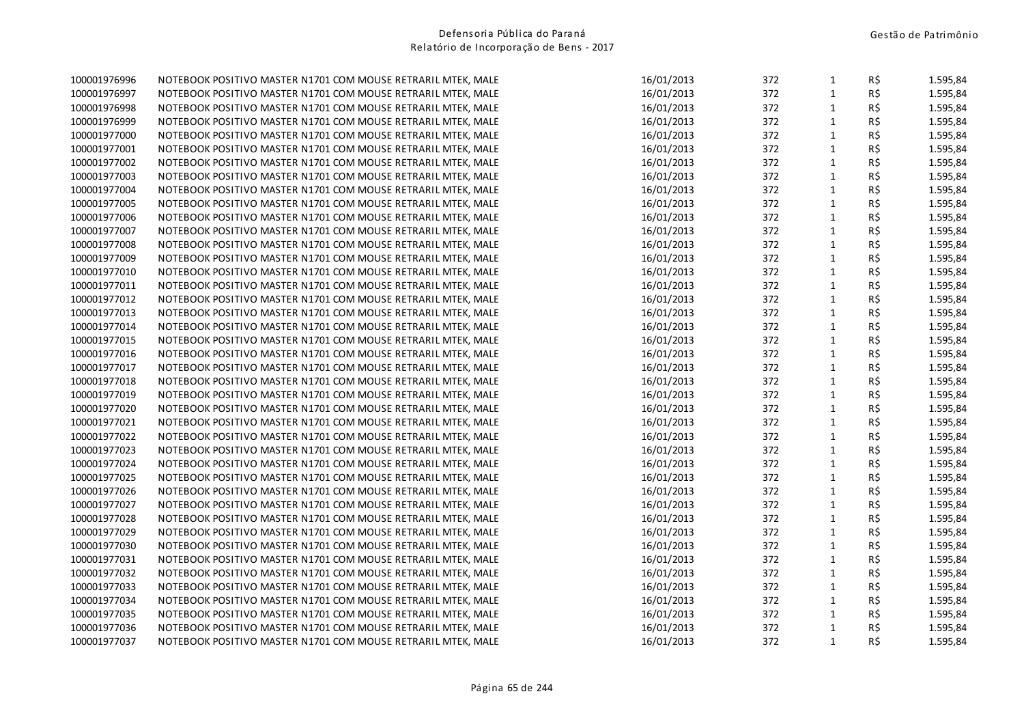| 100001976996 | NOTEBOOK POSITIVO MASTER N1701 COM MOUSE RETRARIL MTEK, MALE | 16/01/2013 | 372 | $\mathbf{1}$ | R\$ | 1.595,84 |
|--------------|--------------------------------------------------------------|------------|-----|--------------|-----|----------|
| 100001976997 | NOTEBOOK POSITIVO MASTER N1701 COM MOUSE RETRARIL MTEK, MALE | 16/01/2013 | 372 | $\mathbf{1}$ | R\$ | 1.595,84 |
| 100001976998 | NOTEBOOK POSITIVO MASTER N1701 COM MOUSE RETRARIL MTEK, MALE | 16/01/2013 | 372 | $\mathbf{1}$ | R\$ | 1.595,84 |
| 100001976999 | NOTEBOOK POSITIVO MASTER N1701 COM MOUSE RETRARIL MTEK, MALE | 16/01/2013 | 372 | $\mathbf 1$  | R\$ | 1.595,84 |
| 100001977000 | NOTEBOOK POSITIVO MASTER N1701 COM MOUSE RETRARIL MTEK, MALE | 16/01/2013 | 372 | $\mathbf 1$  | R\$ | 1.595,84 |
| 100001977001 | NOTEBOOK POSITIVO MASTER N1701 COM MOUSE RETRARIL MTEK, MALE | 16/01/2013 | 372 | $\mathbf{1}$ | R\$ | 1.595,84 |
| 100001977002 | NOTEBOOK POSITIVO MASTER N1701 COM MOUSE RETRARIL MTEK, MALE | 16/01/2013 | 372 | $\mathbf{1}$ | R\$ | 1.595,84 |
| 100001977003 | NOTEBOOK POSITIVO MASTER N1701 COM MOUSE RETRARIL MTEK, MALE | 16/01/2013 | 372 | $\mathbf{1}$ | R\$ | 1.595,84 |
| 100001977004 | NOTEBOOK POSITIVO MASTER N1701 COM MOUSE RETRARIL MTEK, MALE | 16/01/2013 | 372 | $\mathbf{1}$ | R\$ | 1.595,84 |
| 100001977005 | NOTEBOOK POSITIVO MASTER N1701 COM MOUSE RETRARIL MTEK, MALE | 16/01/2013 | 372 | $\mathbf{1}$ | R\$ | 1.595,84 |
| 100001977006 | NOTEBOOK POSITIVO MASTER N1701 COM MOUSE RETRARIL MTEK, MALE | 16/01/2013 | 372 | $\mathbf{1}$ | R\$ | 1.595,84 |
| 100001977007 | NOTEBOOK POSITIVO MASTER N1701 COM MOUSE RETRARIL MTEK, MALE | 16/01/2013 | 372 | $\mathbf{1}$ | R\$ | 1.595,84 |
| 100001977008 | NOTEBOOK POSITIVO MASTER N1701 COM MOUSE RETRARIL MTEK, MALE | 16/01/2013 | 372 | $\mathbf{1}$ | R\$ | 1.595,84 |
| 100001977009 | NOTEBOOK POSITIVO MASTER N1701 COM MOUSE RETRARIL MTEK, MALE | 16/01/2013 | 372 | $\mathbf{1}$ | R\$ | 1.595,84 |
| 100001977010 | NOTEBOOK POSITIVO MASTER N1701 COM MOUSE RETRARIL MTEK, MALE | 16/01/2013 | 372 | $\mathbf{1}$ | R\$ | 1.595,84 |
| 100001977011 | NOTEBOOK POSITIVO MASTER N1701 COM MOUSE RETRARIL MTEK, MALE | 16/01/2013 | 372 | $\mathbf{1}$ | R\$ | 1.595,84 |
| 100001977012 | NOTEBOOK POSITIVO MASTER N1701 COM MOUSE RETRARIL MTEK, MALE | 16/01/2013 | 372 | $\mathbf{1}$ | R\$ | 1.595,84 |
| 100001977013 | NOTEBOOK POSITIVO MASTER N1701 COM MOUSE RETRARIL MTEK, MALE | 16/01/2013 | 372 | $\mathbf 1$  | R\$ | 1.595,84 |
| 100001977014 | NOTEBOOK POSITIVO MASTER N1701 COM MOUSE RETRARIL MTEK, MALE | 16/01/2013 | 372 | $\mathbf{1}$ | R\$ | 1.595,84 |
| 100001977015 | NOTEBOOK POSITIVO MASTER N1701 COM MOUSE RETRARIL MTEK, MALE | 16/01/2013 | 372 | $\mathbf{1}$ | R\$ | 1.595,84 |
| 100001977016 | NOTEBOOK POSITIVO MASTER N1701 COM MOUSE RETRARIL MTEK, MALE | 16/01/2013 | 372 | $\mathbf{1}$ | R\$ | 1.595,84 |
| 100001977017 | NOTEBOOK POSITIVO MASTER N1701 COM MOUSE RETRARIL MTEK, MALE | 16/01/2013 | 372 | $\mathbf{1}$ | R\$ | 1.595,84 |
| 100001977018 | NOTEBOOK POSITIVO MASTER N1701 COM MOUSE RETRARIL MTEK, MALE | 16/01/2013 | 372 | $\mathbf{1}$ | R\$ | 1.595,84 |
| 100001977019 | NOTEBOOK POSITIVO MASTER N1701 COM MOUSE RETRARIL MTEK, MALE | 16/01/2013 | 372 | $\mathbf{1}$ | R\$ | 1.595,84 |
| 100001977020 | NOTEBOOK POSITIVO MASTER N1701 COM MOUSE RETRARIL MTEK, MALE | 16/01/2013 | 372 | $\mathbf{1}$ | R\$ | 1.595,84 |
| 100001977021 | NOTEBOOK POSITIVO MASTER N1701 COM MOUSE RETRARIL MTEK, MALE | 16/01/2013 | 372 | $\mathbf{1}$ | R\$ | 1.595,84 |
| 100001977022 | NOTEBOOK POSITIVO MASTER N1701 COM MOUSE RETRARIL MTEK, MALE | 16/01/2013 | 372 | $\mathbf{1}$ | R\$ | 1.595,84 |
| 100001977023 | NOTEBOOK POSITIVO MASTER N1701 COM MOUSE RETRARIL MTEK, MALE | 16/01/2013 | 372 | $\mathbf 1$  | R\$ | 1.595,84 |
| 100001977024 | NOTEBOOK POSITIVO MASTER N1701 COM MOUSE RETRARIL MTEK, MALE | 16/01/2013 | 372 | $\mathbf{1}$ | R\$ | 1.595,84 |
| 100001977025 | NOTEBOOK POSITIVO MASTER N1701 COM MOUSE RETRARIL MTEK, MALE | 16/01/2013 | 372 | $\mathbf 1$  | R\$ | 1.595,84 |
| 100001977026 | NOTEBOOK POSITIVO MASTER N1701 COM MOUSE RETRARIL MTEK, MALE | 16/01/2013 | 372 | $\mathbf 1$  | R\$ | 1.595,84 |
| 100001977027 | NOTEBOOK POSITIVO MASTER N1701 COM MOUSE RETRARIL MTEK, MALE | 16/01/2013 | 372 | $\mathbf 1$  | R\$ | 1.595,84 |
| 100001977028 | NOTEBOOK POSITIVO MASTER N1701 COM MOUSE RETRARIL MTEK, MALE | 16/01/2013 | 372 | $\mathbf{1}$ | R\$ | 1.595,84 |
| 100001977029 | NOTEBOOK POSITIVO MASTER N1701 COM MOUSE RETRARIL MTEK, MALE | 16/01/2013 | 372 | $\mathbf{1}$ | R\$ | 1.595,84 |
| 100001977030 | NOTEBOOK POSITIVO MASTER N1701 COM MOUSE RETRARIL MTEK, MALE | 16/01/2013 | 372 | $\mathbf{1}$ | R\$ | 1.595,84 |
| 100001977031 | NOTEBOOK POSITIVO MASTER N1701 COM MOUSE RETRARIL MTEK, MALE | 16/01/2013 | 372 | $\mathbf 1$  | R\$ | 1.595,84 |
| 100001977032 | NOTEBOOK POSITIVO MASTER N1701 COM MOUSE RETRARIL MTEK, MALE | 16/01/2013 | 372 | $\mathbf{1}$ | R\$ | 1.595,84 |
| 100001977033 | NOTEBOOK POSITIVO MASTER N1701 COM MOUSE RETRARIL MTEK, MALE | 16/01/2013 | 372 | $\mathbf 1$  | R\$ | 1.595,84 |
| 100001977034 | NOTEBOOK POSITIVO MASTER N1701 COM MOUSE RETRARIL MTEK, MALE | 16/01/2013 | 372 | $\mathbf 1$  | R\$ | 1.595,84 |
| 100001977035 | NOTEBOOK POSITIVO MASTER N1701 COM MOUSE RETRARIL MTEK, MALE | 16/01/2013 | 372 | $\mathbf{1}$ | R\$ | 1.595,84 |
| 100001977036 | NOTEBOOK POSITIVO MASTER N1701 COM MOUSE RETRARIL MTEK, MALE | 16/01/2013 | 372 | $\mathbf 1$  | R\$ | 1.595,84 |
| 100001977037 | NOTEBOOK POSITIVO MASTER N1701 COM MOUSE RETRARIL MTEK, MALE | 16/01/2013 | 372 | $\mathbf{1}$ | R\$ | 1.595,84 |
|              |                                                              |            |     |              |     |          |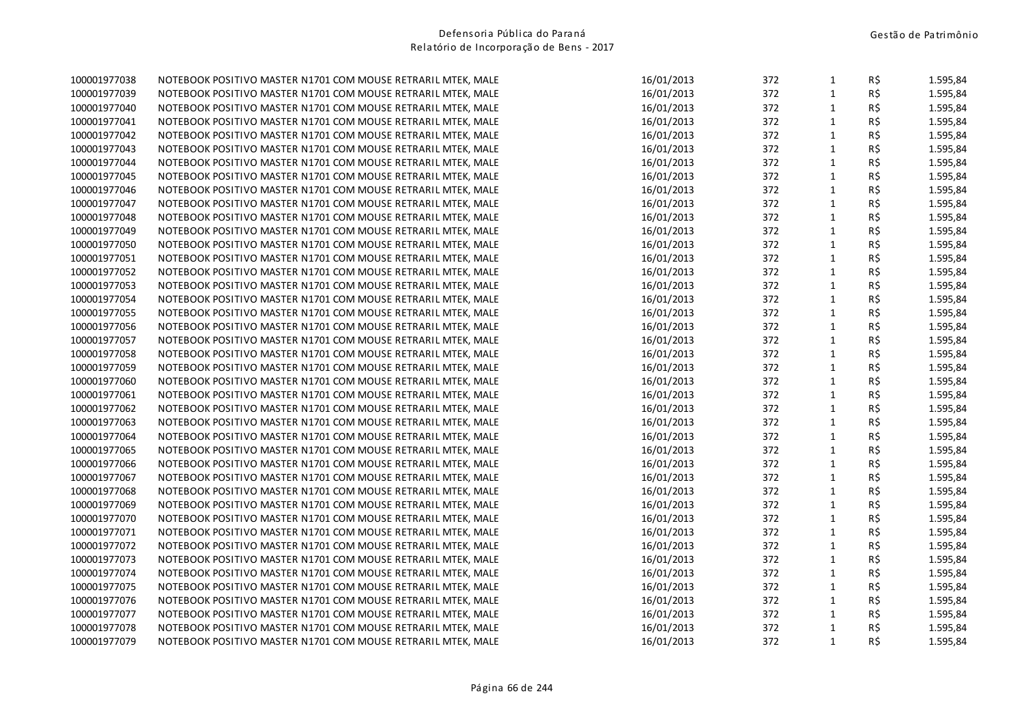| 100001977038 | NOTEBOOK POSITIVO MASTER N1701 COM MOUSE RETRARIL MTEK, MALE | 16/01/2013 | 372 | $\mathbf{1}$ | R\$        | 1.595,84 |
|--------------|--------------------------------------------------------------|------------|-----|--------------|------------|----------|
| 100001977039 | NOTEBOOK POSITIVO MASTER N1701 COM MOUSE RETRARIL MTEK, MALE | 16/01/2013 | 372 | $\mathbf{1}$ | R\$        | 1.595,84 |
| 100001977040 | NOTEBOOK POSITIVO MASTER N1701 COM MOUSE RETRARIL MTEK, MALE | 16/01/2013 | 372 | $\mathbf{1}$ | R\$        | 1.595,84 |
| 100001977041 | NOTEBOOK POSITIVO MASTER N1701 COM MOUSE RETRARIL MTEK, MALE | 16/01/2013 | 372 | $\mathbf{1}$ | R\$        | 1.595,84 |
| 100001977042 | NOTEBOOK POSITIVO MASTER N1701 COM MOUSE RETRARIL MTEK, MALE | 16/01/2013 | 372 | $\mathbf 1$  | R\$        | 1.595,84 |
| 100001977043 | NOTEBOOK POSITIVO MASTER N1701 COM MOUSE RETRARIL MTEK, MALE | 16/01/2013 | 372 | $\mathbf 1$  | R\$        | 1.595,84 |
| 100001977044 | NOTEBOOK POSITIVO MASTER N1701 COM MOUSE RETRARIL MTEK, MALE | 16/01/2013 | 372 | $\mathbf 1$  | R\$        | 1.595,84 |
| 100001977045 | NOTEBOOK POSITIVO MASTER N1701 COM MOUSE RETRARIL MTEK, MALE | 16/01/2013 | 372 | $\mathbf{1}$ | R\$        | 1.595,84 |
| 100001977046 | NOTEBOOK POSITIVO MASTER N1701 COM MOUSE RETRARIL MTEK, MALE | 16/01/2013 | 372 | $\mathbf{1}$ | R\$        | 1.595,84 |
| 100001977047 | NOTEBOOK POSITIVO MASTER N1701 COM MOUSE RETRARIL MTEK, MALE | 16/01/2013 | 372 | $\mathbf 1$  | R\$        | 1.595,84 |
| 100001977048 | NOTEBOOK POSITIVO MASTER N1701 COM MOUSE RETRARIL MTEK, MALE | 16/01/2013 | 372 | $\mathbf{1}$ | R\$        | 1.595,84 |
| 100001977049 | NOTEBOOK POSITIVO MASTER N1701 COM MOUSE RETRARIL MTEK, MALE | 16/01/2013 | 372 | $\mathbf 1$  | R\$        | 1.595,84 |
| 100001977050 | NOTEBOOK POSITIVO MASTER N1701 COM MOUSE RETRARIL MTEK, MALE | 16/01/2013 | 372 | $\mathbf{1}$ | R\$        | 1.595,84 |
| 100001977051 | NOTEBOOK POSITIVO MASTER N1701 COM MOUSE RETRARIL MTEK, MALE | 16/01/2013 | 372 | $\mathbf 1$  | R\$        | 1.595,84 |
| 100001977052 | NOTEBOOK POSITIVO MASTER N1701 COM MOUSE RETRARIL MTEK, MALE | 16/01/2013 | 372 | $\mathbf{1}$ | R\$        | 1.595,84 |
| 100001977053 | NOTEBOOK POSITIVO MASTER N1701 COM MOUSE RETRARIL MTEK, MALE | 16/01/2013 | 372 | $\mathbf{1}$ | R\$        | 1.595,84 |
| 100001977054 | NOTEBOOK POSITIVO MASTER N1701 COM MOUSE RETRARIL MTEK, MALE | 16/01/2013 | 372 | $\mathbf{1}$ | R\$        | 1.595,84 |
| 100001977055 | NOTEBOOK POSITIVO MASTER N1701 COM MOUSE RETRARIL MTEK, MALE | 16/01/2013 | 372 | $\mathbf{1}$ | R\$        | 1.595,84 |
| 100001977056 | NOTEBOOK POSITIVO MASTER N1701 COM MOUSE RETRARIL MTEK, MALE | 16/01/2013 | 372 | $\mathbf{1}$ | R\$        | 1.595,84 |
| 100001977057 | NOTEBOOK POSITIVO MASTER N1701 COM MOUSE RETRARIL MTEK, MALE | 16/01/2013 | 372 | $\mathbf 1$  | R\$        | 1.595,84 |
| 100001977058 | NOTEBOOK POSITIVO MASTER N1701 COM MOUSE RETRARIL MTEK, MALE | 16/01/2013 | 372 | $\mathbf{1}$ | R\$        | 1.595,84 |
| 100001977059 | NOTEBOOK POSITIVO MASTER N1701 COM MOUSE RETRARIL MTEK, MALE | 16/01/2013 | 372 | $\mathbf{1}$ | R\$        | 1.595,84 |
| 100001977060 | NOTEBOOK POSITIVO MASTER N1701 COM MOUSE RETRARIL MTEK, MALE | 16/01/2013 | 372 | $1\,$        | R\$        | 1.595,84 |
| 100001977061 | NOTEBOOK POSITIVO MASTER N1701 COM MOUSE RETRARIL MTEK, MALE | 16/01/2013 | 372 | $\mathbf{1}$ | R\$        | 1.595,84 |
| 100001977062 | NOTEBOOK POSITIVO MASTER N1701 COM MOUSE RETRARIL MTEK, MALE | 16/01/2013 | 372 | $\mathbf 1$  | R\$        | 1.595,84 |
| 100001977063 | NOTEBOOK POSITIVO MASTER N1701 COM MOUSE RETRARIL MTEK, MALE | 16/01/2013 | 372 | $\mathbf{1}$ | R\$        | 1.595,84 |
| 100001977064 | NOTEBOOK POSITIVO MASTER N1701 COM MOUSE RETRARIL MTEK, MALE | 16/01/2013 | 372 | $1\,$        | R\$        | 1.595,84 |
| 100001977065 | NOTEBOOK POSITIVO MASTER N1701 COM MOUSE RETRARIL MTEK, MALE | 16/01/2013 | 372 | $\mathbf{1}$ | R\$        | 1.595,84 |
| 100001977066 | NOTEBOOK POSITIVO MASTER N1701 COM MOUSE RETRARIL MTEK, MALE | 16/01/2013 | 372 | $\mathbf 1$  | R\$        | 1.595,84 |
| 100001977067 | NOTEBOOK POSITIVO MASTER N1701 COM MOUSE RETRARIL MTEK, MALE | 16/01/2013 | 372 | $\mathbf 1$  | R\$        | 1.595,84 |
| 100001977068 | NOTEBOOK POSITIVO MASTER N1701 COM MOUSE RETRARIL MTEK, MALE | 16/01/2013 | 372 | $\mathbf 1$  | R\$        | 1.595,84 |
| 100001977069 | NOTEBOOK POSITIVO MASTER N1701 COM MOUSE RETRARIL MTEK, MALE | 16/01/2013 | 372 | $\mathbf 1$  | R\$        | 1.595,84 |
| 100001977070 | NOTEBOOK POSITIVO MASTER N1701 COM MOUSE RETRARIL MTEK, MALE | 16/01/2013 | 372 | $\mathbf{1}$ | R\$        | 1.595,84 |
| 100001977071 | NOTEBOOK POSITIVO MASTER N1701 COM MOUSE RETRARIL MTEK, MALE | 16/01/2013 | 372 | $\mathbf 1$  | R\$        | 1.595,84 |
| 100001977072 | NOTEBOOK POSITIVO MASTER N1701 COM MOUSE RETRARIL MTEK, MALE | 16/01/2013 | 372 | $\mathbf{1}$ | R\$        | 1.595,84 |
| 100001977073 | NOTEBOOK POSITIVO MASTER N1701 COM MOUSE RETRARIL MTEK, MALE | 16/01/2013 | 372 | $\mathbf{1}$ | R\$        | 1.595,84 |
| 100001977074 | NOTEBOOK POSITIVO MASTER N1701 COM MOUSE RETRARIL MTEK, MALE | 16/01/2013 | 372 | $\mathbf{1}$ | R\$        | 1.595,84 |
| 100001977075 | NOTEBOOK POSITIVO MASTER N1701 COM MOUSE RETRARIL MTEK, MALE | 16/01/2013 | 372 | $\mathbf{1}$ | R\$        | 1.595,84 |
| 100001977076 | NOTEBOOK POSITIVO MASTER N1701 COM MOUSE RETRARIL MTEK, MALE | 16/01/2013 | 372 | $\mathbf 1$  | R\$        | 1.595,84 |
| 100001977077 | NOTEBOOK POSITIVO MASTER N1701 COM MOUSE RETRARIL MTEK, MALE | 16/01/2013 | 372 | $\mathbf 1$  | R\$        | 1.595,84 |
| 100001977078 | NOTEBOOK POSITIVO MASTER N1701 COM MOUSE RETRARIL MTEK, MALE | 16/01/2013 | 372 | $\mathbf{1}$ | R\$        | 1.595,84 |
| 100001977079 | NOTEBOOK POSITIVO MASTER N1701 COM MOUSE RETRARIL MTEK, MALE | 16/01/2013 | 372 | $\mathbf{1}$ | $R\hat{S}$ | 1.595,84 |
|              |                                                              |            |     |              |            |          |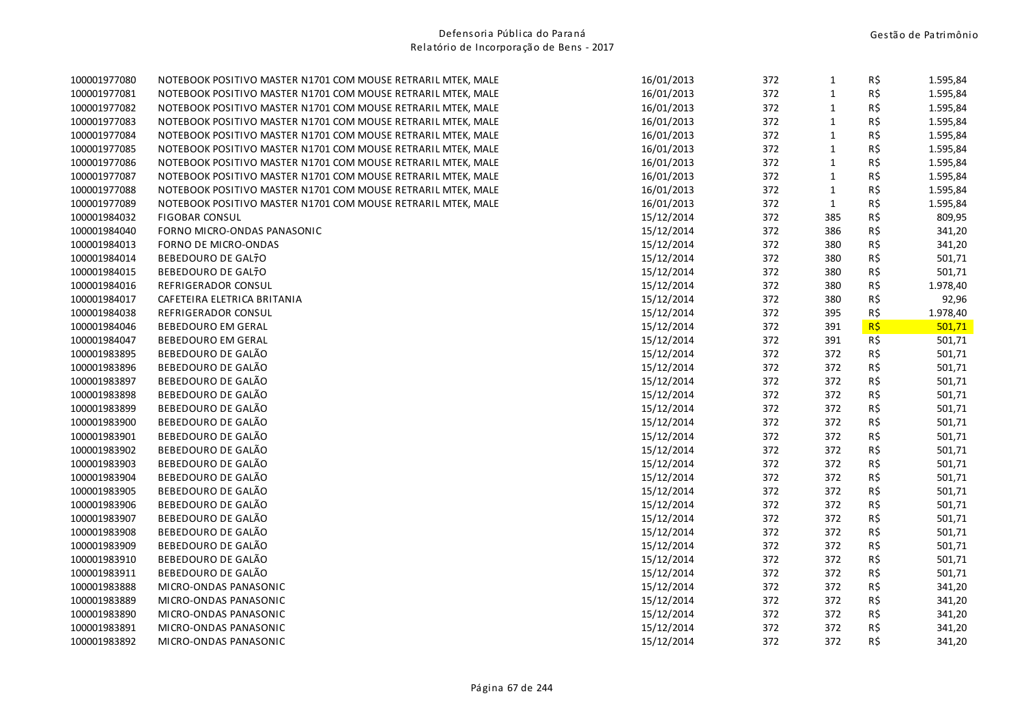| 100001977080 | NOTEBOOK POSITIVO MASTER N1701 COM MOUSE RETRARIL MTEK, MALE | 16/01/2013 | 372 | $\mathbf{1}$ | R\$            | 1.595,84 |
|--------------|--------------------------------------------------------------|------------|-----|--------------|----------------|----------|
| 100001977081 | NOTEBOOK POSITIVO MASTER N1701 COM MOUSE RETRARIL MTEK, MALE | 16/01/2013 | 372 | $\mathbf 1$  | R\$            | 1.595,84 |
| 100001977082 | NOTEBOOK POSITIVO MASTER N1701 COM MOUSE RETRARIL MTEK, MALE | 16/01/2013 | 372 | $\mathbf{1}$ | R\$            | 1.595,84 |
| 100001977083 | NOTEBOOK POSITIVO MASTER N1701 COM MOUSE RETRARIL MTEK, MALE | 16/01/2013 | 372 | $\mathbf{1}$ | R\$            | 1.595,84 |
| 100001977084 | NOTEBOOK POSITIVO MASTER N1701 COM MOUSE RETRARIL MTEK, MALE | 16/01/2013 | 372 | $\mathbf{1}$ | R\$            | 1.595,84 |
| 100001977085 | NOTEBOOK POSITIVO MASTER N1701 COM MOUSE RETRARIL MTEK, MALE | 16/01/2013 | 372 | $\mathbf 1$  | R\$            | 1.595,84 |
| 100001977086 | NOTEBOOK POSITIVO MASTER N1701 COM MOUSE RETRARIL MTEK, MALE | 16/01/2013 | 372 | $\mathbf 1$  | R\$            | 1.595,84 |
| 100001977087 | NOTEBOOK POSITIVO MASTER N1701 COM MOUSE RETRARIL MTEK, MALE | 16/01/2013 | 372 | $\mathbf{1}$ | R\$            | 1.595,84 |
| 100001977088 | NOTEBOOK POSITIVO MASTER N1701 COM MOUSE RETRARIL MTEK, MALE | 16/01/2013 | 372 | $\mathbf{1}$ | R\$            | 1.595,84 |
| 100001977089 | NOTEBOOK POSITIVO MASTER N1701 COM MOUSE RETRARIL MTEK, MALE | 16/01/2013 | 372 | $\mathbf{1}$ | R\$            | 1.595,84 |
| 100001984032 | <b>FIGOBAR CONSUL</b>                                        | 15/12/2014 | 372 | 385          | R\$            | 809,95   |
| 100001984040 | FORNO MICRO-ONDAS PANASONIC                                  | 15/12/2014 | 372 | 386          | R\$            | 341,20   |
| 100001984013 | <b>FORNO DE MICRO-ONDAS</b>                                  | 15/12/2014 | 372 | 380          | R\$            | 341,20   |
| 100001984014 | BEBEDOURO DE GALTO                                           | 15/12/2014 | 372 | 380          | R\$            | 501,71   |
| 100001984015 | BEBEDOURO DE GALTO                                           | 15/12/2014 | 372 | 380          | R\$            | 501,71   |
| 100001984016 | REFRIGERADOR CONSUL                                          | 15/12/2014 | 372 | 380          | R\$            | 1.978,40 |
| 100001984017 | CAFETEIRA ELETRICA BRITANIA                                  | 15/12/2014 | 372 | 380          | R\$            | 92,96    |
| 100001984038 | REFRIGERADOR CONSUL                                          | 15/12/2014 | 372 | 395          | R\$            | 1.978,40 |
| 100001984046 | <b>BEBEDOURO EM GERAL</b>                                    | 15/12/2014 | 372 | 391          | $R\frac{1}{2}$ | 501,71   |
| 100001984047 | <b>BEBEDOURO EM GERAL</b>                                    | 15/12/2014 | 372 | 391          | $R\zeta$       | 501,71   |
| 100001983895 | BEBEDOURO DE GALÃO                                           | 15/12/2014 | 372 | 372          | R\$            | 501,71   |
| 100001983896 | BEBEDOURO DE GALÃO                                           | 15/12/2014 | 372 | 372          | R\$            | 501,71   |
| 100001983897 | BEBEDOURO DE GALÃO                                           | 15/12/2014 | 372 | 372          | R\$            | 501,71   |
| 100001983898 | BEBEDOURO DE GALÃO                                           | 15/12/2014 | 372 | 372          | R\$            | 501,71   |
| 100001983899 | BEBEDOURO DE GALÃO                                           | 15/12/2014 | 372 | 372          | R\$            | 501,71   |
| 100001983900 | BEBEDOURO DE GALÃO                                           | 15/12/2014 | 372 | 372          | R\$            | 501,71   |
| 100001983901 | BEBEDOURO DE GALÃO                                           | 15/12/2014 | 372 | 372          | R\$            | 501,71   |
| 100001983902 | BEBEDOURO DE GALÃO                                           | 15/12/2014 | 372 | 372          | R\$            | 501,71   |
| 100001983903 | BEBEDOURO DE GALÃO                                           | 15/12/2014 | 372 | 372          | R\$            | 501,71   |
| 100001983904 | BEBEDOURO DE GALÃO                                           | 15/12/2014 | 372 | 372          | R\$            | 501,71   |
| 100001983905 | BEBEDOURO DE GALÃO                                           | 15/12/2014 | 372 | 372          | R\$            | 501,71   |
| 100001983906 | BEBEDOURO DE GALÃO                                           | 15/12/2014 | 372 | 372          | R\$            | 501,71   |
| 100001983907 | BEBEDOURO DE GALÃO                                           | 15/12/2014 | 372 | 372          | R\$            | 501,71   |
| 100001983908 | BEBEDOURO DE GALÃO                                           | 15/12/2014 | 372 | 372          | R\$            | 501,71   |
| 100001983909 | BEBEDOURO DE GALÃO                                           | 15/12/2014 | 372 | 372          | R\$            | 501,71   |
| 100001983910 | BEBEDOURO DE GALÃO                                           | 15/12/2014 | 372 | 372          | R\$            | 501,71   |
| 100001983911 | BEBEDOURO DE GALÃO                                           | 15/12/2014 | 372 | 372          | R\$            | 501,71   |
| 100001983888 | MICRO-ONDAS PANASONIC                                        | 15/12/2014 | 372 | 372          | R\$            | 341,20   |
| 100001983889 | MICRO-ONDAS PANASONIC                                        | 15/12/2014 | 372 | 372          | R\$            | 341,20   |
| 100001983890 | MICRO-ONDAS PANASONIC                                        | 15/12/2014 | 372 | 372          | R\$            | 341,20   |
| 100001983891 | MICRO-ONDAS PANASONIC                                        | 15/12/2014 | 372 | 372          | R\$            | 341,20   |
| 100001983892 | MICRO-ONDAS PANASONIC                                        | 15/12/2014 | 372 | 372          | R\$            | 341,20   |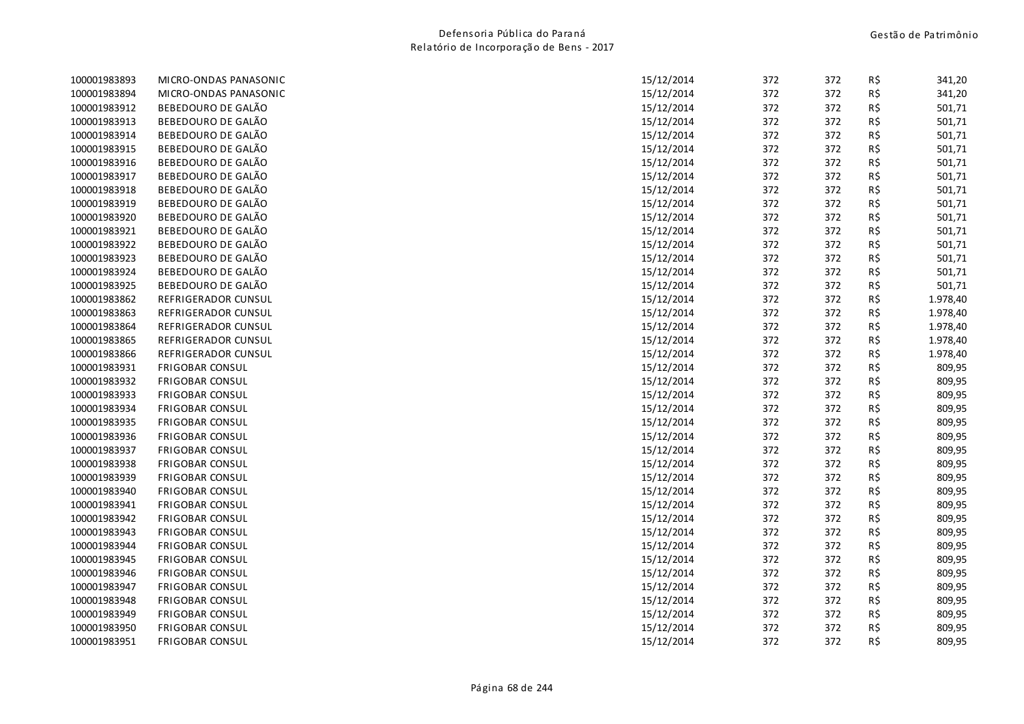| 100001983893 | MICRO-ONDAS PANASONIC  | 15/12/2014 | 372 | 372 | R\$ | 341,20   |
|--------------|------------------------|------------|-----|-----|-----|----------|
| 100001983894 | MICRO-ONDAS PANASONIC  | 15/12/2014 | 372 | 372 | R\$ | 341,20   |
| 100001983912 | BEBEDOURO DE GALÃO     | 15/12/2014 | 372 | 372 | R\$ | 501,71   |
| 100001983913 | BEBEDOURO DE GALÃO     | 15/12/2014 | 372 | 372 | R\$ | 501,71   |
| 100001983914 | BEBEDOURO DE GALÃO     | 15/12/2014 | 372 | 372 | R\$ | 501,71   |
| 100001983915 | BEBEDOURO DE GALÃO     | 15/12/2014 | 372 | 372 | R\$ | 501,71   |
| 100001983916 | BEBEDOURO DE GALÃO     | 15/12/2014 | 372 | 372 | R\$ | 501,71   |
| 100001983917 | BEBEDOURO DE GALÃO     | 15/12/2014 | 372 | 372 | R\$ | 501,71   |
| 100001983918 | BEBEDOURO DE GALÃO     | 15/12/2014 | 372 | 372 | R\$ | 501,71   |
| 100001983919 | BEBEDOURO DE GALÃO     | 15/12/2014 | 372 | 372 | R\$ | 501,71   |
| 100001983920 | BEBEDOURO DE GALÃO     | 15/12/2014 | 372 | 372 | R\$ | 501,71   |
| 100001983921 | BEBEDOURO DE GALÃO     | 15/12/2014 | 372 | 372 | R\$ | 501,71   |
| 100001983922 | BEBEDOURO DE GALÃO     | 15/12/2014 | 372 | 372 | R\$ | 501,71   |
| 100001983923 | BEBEDOURO DE GALÃO     | 15/12/2014 | 372 | 372 | R\$ | 501,71   |
| 100001983924 | BEBEDOURO DE GALÃO     | 15/12/2014 | 372 | 372 | R\$ | 501,71   |
| 100001983925 | BEBEDOURO DE GALÃO     | 15/12/2014 | 372 | 372 | R\$ | 501,71   |
| 100001983862 | REFRIGERADOR CUNSUL    | 15/12/2014 | 372 | 372 | R\$ | 1.978,40 |
| 100001983863 | REFRIGERADOR CUNSUL    | 15/12/2014 | 372 | 372 | R\$ | 1.978,40 |
| 100001983864 | REFRIGERADOR CUNSUL    | 15/12/2014 | 372 | 372 | R\$ | 1.978,40 |
| 100001983865 | REFRIGERADOR CUNSUL    | 15/12/2014 | 372 | 372 | R\$ | 1.978,40 |
| 100001983866 | REFRIGERADOR CUNSUL    | 15/12/2014 | 372 | 372 | R\$ | 1.978,40 |
| 100001983931 | <b>FRIGOBAR CONSUL</b> | 15/12/2014 | 372 | 372 | R\$ | 809,95   |
| 100001983932 | <b>FRIGOBAR CONSUL</b> | 15/12/2014 | 372 | 372 | R\$ | 809,95   |
| 100001983933 | <b>FRIGOBAR CONSUL</b> | 15/12/2014 | 372 | 372 | R\$ | 809,95   |
| 100001983934 | <b>FRIGOBAR CONSUL</b> | 15/12/2014 | 372 | 372 | R\$ | 809,95   |
| 100001983935 | <b>FRIGOBAR CONSUL</b> | 15/12/2014 | 372 | 372 | R\$ | 809,95   |
| 100001983936 | <b>FRIGOBAR CONSUL</b> | 15/12/2014 | 372 | 372 | R\$ | 809,95   |
| 100001983937 | <b>FRIGOBAR CONSUL</b> | 15/12/2014 | 372 | 372 | R\$ | 809,95   |
| 100001983938 | <b>FRIGOBAR CONSUL</b> | 15/12/2014 | 372 | 372 | R\$ | 809,95   |
| 100001983939 | <b>FRIGOBAR CONSUL</b> | 15/12/2014 | 372 | 372 | R\$ | 809,95   |
| 100001983940 | <b>FRIGOBAR CONSUL</b> | 15/12/2014 | 372 | 372 | R\$ | 809,95   |
| 100001983941 | <b>FRIGOBAR CONSUL</b> | 15/12/2014 | 372 | 372 | R\$ | 809,95   |
| 100001983942 | <b>FRIGOBAR CONSUL</b> | 15/12/2014 | 372 | 372 | R\$ | 809,95   |
| 100001983943 | <b>FRIGOBAR CONSUL</b> | 15/12/2014 | 372 | 372 | R\$ | 809,95   |
| 100001983944 | <b>FRIGOBAR CONSUL</b> | 15/12/2014 | 372 | 372 | R\$ | 809,95   |
| 100001983945 | <b>FRIGOBAR CONSUL</b> | 15/12/2014 | 372 | 372 | R\$ | 809,95   |
| 100001983946 | <b>FRIGOBAR CONSUL</b> | 15/12/2014 | 372 | 372 | R\$ | 809,95   |
| 100001983947 | <b>FRIGOBAR CONSUL</b> | 15/12/2014 | 372 | 372 | R\$ | 809,95   |
| 100001983948 | <b>FRIGOBAR CONSUL</b> | 15/12/2014 | 372 | 372 | R\$ | 809,95   |
| 100001983949 | <b>FRIGOBAR CONSUL</b> | 15/12/2014 | 372 | 372 | R\$ | 809,95   |
| 100001983950 | <b>FRIGOBAR CONSUL</b> | 15/12/2014 | 372 | 372 | R\$ | 809,95   |
| 100001983951 | <b>FRIGOBAR CONSUL</b> | 15/12/2014 | 372 | 372 | R\$ | 809,95   |
|              |                        |            |     |     |     |          |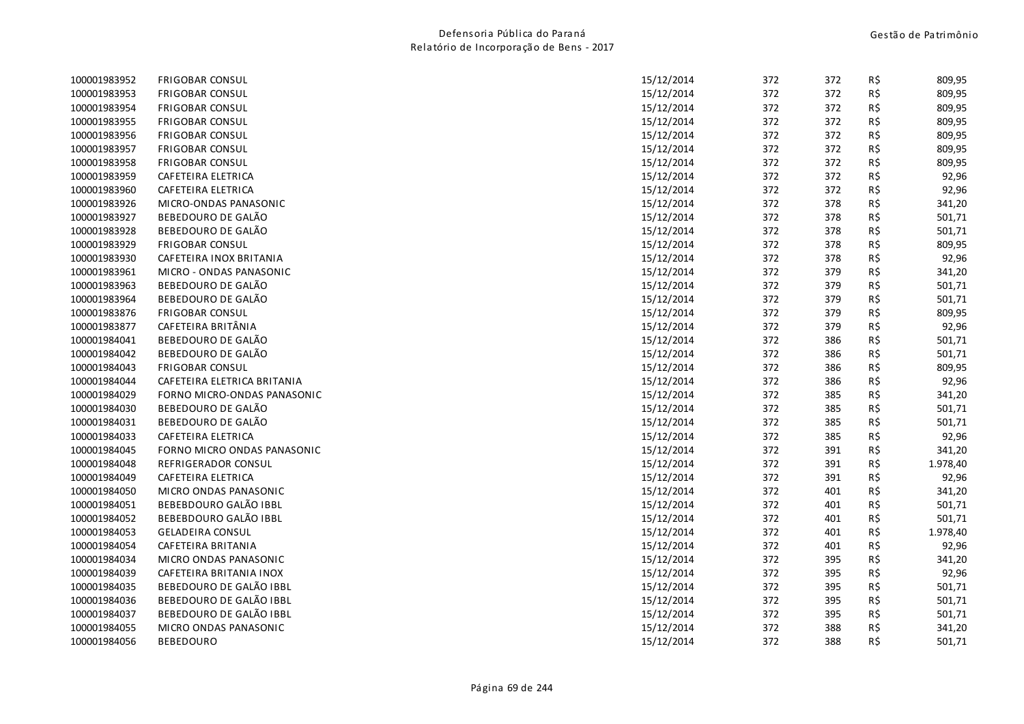| 100001983952 | <b>FRIGOBAR CONSUL</b>      | 15/12/2014 | 372 | 372 | R\$ | 809,95   |
|--------------|-----------------------------|------------|-----|-----|-----|----------|
| 100001983953 | <b>FRIGOBAR CONSUL</b>      | 15/12/2014 | 372 | 372 | R\$ | 809,95   |
| 100001983954 | <b>FRIGOBAR CONSUL</b>      | 15/12/2014 | 372 | 372 | R\$ | 809,95   |
| 100001983955 | <b>FRIGOBAR CONSUL</b>      | 15/12/2014 | 372 | 372 | R\$ | 809,95   |
| 100001983956 | <b>FRIGOBAR CONSUL</b>      | 15/12/2014 | 372 | 372 | R\$ | 809,95   |
| 100001983957 | <b>FRIGOBAR CONSUL</b>      | 15/12/2014 | 372 | 372 | R\$ | 809,95   |
| 100001983958 | <b>FRIGOBAR CONSUL</b>      | 15/12/2014 | 372 | 372 | R\$ | 809,95   |
| 100001983959 | CAFETEIRA ELETRICA          | 15/12/2014 | 372 | 372 | R\$ | 92,96    |
| 100001983960 | CAFETEIRA ELETRICA          | 15/12/2014 | 372 | 372 | R\$ | 92,96    |
| 100001983926 | MICRO-ONDAS PANASONIC       | 15/12/2014 | 372 | 378 | R\$ | 341,20   |
| 100001983927 | BEBEDOURO DE GALÃO          | 15/12/2014 | 372 | 378 | R\$ | 501,71   |
| 100001983928 | BEBEDOURO DE GALÃO          | 15/12/2014 | 372 | 378 | R\$ | 501,71   |
| 100001983929 | <b>FRIGOBAR CONSUL</b>      | 15/12/2014 | 372 | 378 | R\$ | 809,95   |
| 100001983930 | CAFETEIRA INOX BRITANIA     | 15/12/2014 | 372 | 378 | R\$ | 92,96    |
| 100001983961 | MICRO - ONDAS PANASONIC     | 15/12/2014 | 372 | 379 | R\$ | 341,20   |
| 100001983963 | <b>BEBEDOURO DE GALÃO</b>   | 15/12/2014 | 372 | 379 | R\$ | 501,71   |
| 100001983964 | BEBEDOURO DE GALÃO          | 15/12/2014 | 372 | 379 | R\$ | 501,71   |
| 100001983876 | <b>FRIGOBAR CONSUL</b>      | 15/12/2014 | 372 | 379 | R\$ | 809,95   |
| 100001983877 | CAFETEIRA BRITÂNIA          | 15/12/2014 | 372 | 379 | R\$ | 92,96    |
| 100001984041 | BEBEDOURO DE GALÃO          | 15/12/2014 | 372 | 386 | R\$ | 501,71   |
| 100001984042 | BEBEDOURO DE GALÃO          | 15/12/2014 | 372 | 386 | R\$ | 501,71   |
| 100001984043 | <b>FRIGOBAR CONSUL</b>      | 15/12/2014 | 372 | 386 | R\$ | 809,95   |
| 100001984044 | CAFETEIRA ELETRICA BRITANIA | 15/12/2014 | 372 | 386 | R\$ | 92,96    |
| 100001984029 | FORNO MICRO-ONDAS PANASONIC | 15/12/2014 | 372 | 385 | R\$ | 341,20   |
| 100001984030 | BEBEDOURO DE GALÃO          | 15/12/2014 | 372 | 385 | R\$ | 501,71   |
| 100001984031 | BEBEDOURO DE GALÃO          | 15/12/2014 | 372 | 385 | R\$ | 501,71   |
| 100001984033 | CAFETEIRA ELETRICA          | 15/12/2014 | 372 | 385 | R\$ | 92,96    |
| 100001984045 | FORNO MICRO ONDAS PANASONIC | 15/12/2014 | 372 | 391 | R\$ | 341,20   |
| 100001984048 | REFRIGERADOR CONSUL         | 15/12/2014 | 372 | 391 | R\$ | 1.978,40 |
| 100001984049 | CAFETEIRA ELETRICA          | 15/12/2014 | 372 | 391 | R\$ | 92,96    |
| 100001984050 | MICRO ONDAS PANASONIC       | 15/12/2014 | 372 | 401 | R\$ | 341,20   |
| 100001984051 | BEBEBDOURO GALÃO IBBL       | 15/12/2014 | 372 | 401 | R\$ | 501,71   |
| 100001984052 | BEBEBDOURO GALÃO IBBL       | 15/12/2014 | 372 | 401 | R\$ | 501,71   |
| 100001984053 | <b>GELADEIRA CONSUL</b>     | 15/12/2014 | 372 | 401 | R\$ | 1.978,40 |
| 100001984054 | CAFETEIRA BRITANIA          | 15/12/2014 | 372 | 401 | R\$ | 92,96    |
| 100001984034 | MICRO ONDAS PANASONIC       | 15/12/2014 | 372 | 395 | R\$ | 341,20   |
| 100001984039 | CAFETEIRA BRITANIA INOX     | 15/12/2014 | 372 | 395 | R\$ | 92,96    |
| 100001984035 | BEBEDOURO DE GALÃO IBBL     | 15/12/2014 | 372 | 395 | R\$ | 501,71   |
| 100001984036 | BEBEDOURO DE GALÃO IBBL     | 15/12/2014 | 372 | 395 | R\$ | 501,71   |
| 100001984037 | BEBEDOURO DE GALÃO IBBL     | 15/12/2014 | 372 | 395 | R\$ | 501,71   |
| 100001984055 | MICRO ONDAS PANASONIC       | 15/12/2014 | 372 | 388 | R\$ | 341,20   |
| 100001984056 | <b>BEBEDOURO</b>            | 15/12/2014 | 372 | 388 | R\$ | 501,71   |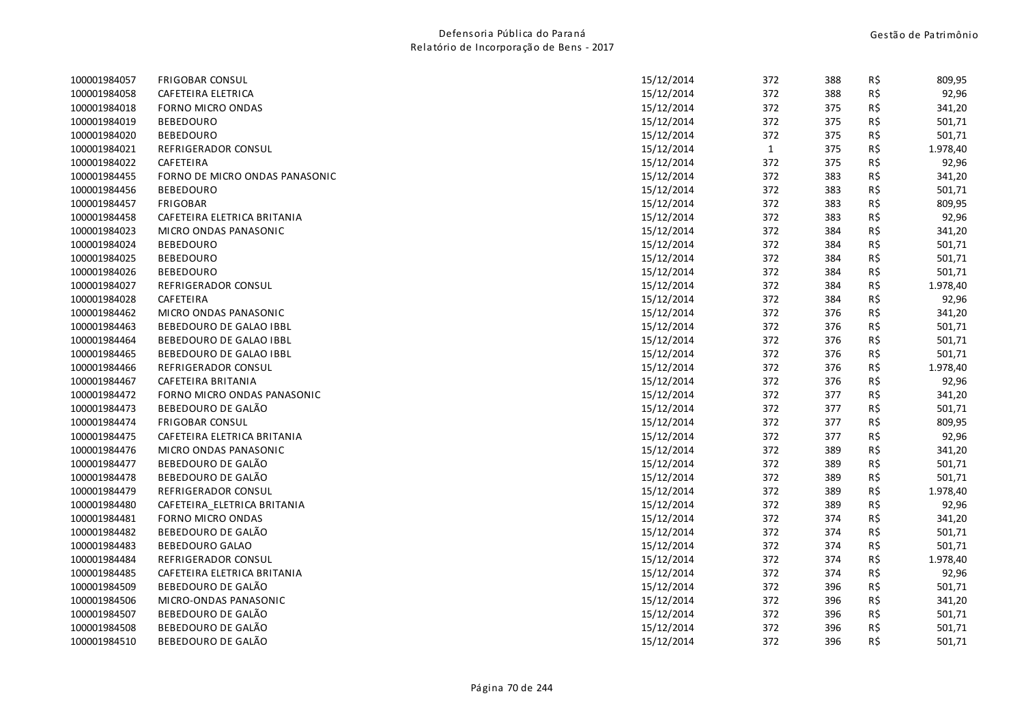| 100001984057 | <b>FRIGOBAR CONSUL</b>         | 15/12/2014 | 372          | 388 | R\$ | 809,95   |
|--------------|--------------------------------|------------|--------------|-----|-----|----------|
| 100001984058 | CAFETEIRA ELETRICA             | 15/12/2014 | 372          | 388 | R\$ | 92,96    |
| 100001984018 | <b>FORNO MICRO ONDAS</b>       | 15/12/2014 | 372          | 375 | R\$ | 341,20   |
| 100001984019 | <b>BEBEDOURO</b>               | 15/12/2014 | 372          | 375 | R\$ | 501,71   |
| 100001984020 | <b>BEBEDOURO</b>               | 15/12/2014 | 372          | 375 | R\$ | 501,71   |
| 100001984021 | REFRIGERADOR CONSUL            | 15/12/2014 | $\mathbf{1}$ | 375 | R\$ | 1.978,40 |
| 100001984022 | CAFETEIRA                      | 15/12/2014 | 372          | 375 | R\$ | 92,96    |
| 100001984455 | FORNO DE MICRO ONDAS PANASONIC | 15/12/2014 | 372          | 383 | R\$ | 341,20   |
| 100001984456 | <b>BEBEDOURO</b>               | 15/12/2014 | 372          | 383 | R\$ | 501,71   |
| 100001984457 | <b>FRIGOBAR</b>                | 15/12/2014 | 372          | 383 | R\$ | 809,95   |
| 100001984458 | CAFETEIRA ELETRICA BRITANIA    | 15/12/2014 | 372          | 383 | R\$ | 92,96    |
| 100001984023 | MICRO ONDAS PANASONIC          | 15/12/2014 | 372          | 384 | R\$ | 341,20   |
| 100001984024 | <b>BEBEDOURO</b>               | 15/12/2014 | 372          | 384 | R\$ | 501,71   |
| 100001984025 | <b>BEBEDOURO</b>               | 15/12/2014 | 372          | 384 | R\$ | 501,71   |
| 100001984026 | <b>BEBEDOURO</b>               | 15/12/2014 | 372          | 384 | R\$ | 501,71   |
| 100001984027 | REFRIGERADOR CONSUL            | 15/12/2014 | 372          | 384 | R\$ | 1.978,40 |
| 100001984028 | CAFETEIRA                      | 15/12/2014 | 372          | 384 | R\$ | 92,96    |
| 100001984462 | MICRO ONDAS PANASONIC          | 15/12/2014 | 372          | 376 | R\$ | 341,20   |
| 100001984463 | BEBEDOURO DE GALAO IBBL        | 15/12/2014 | 372          | 376 | R\$ | 501,71   |
| 100001984464 | BEBEDOURO DE GALAO IBBL        | 15/12/2014 | 372          | 376 | R\$ | 501,71   |
| 100001984465 | BEBEDOURO DE GALAO IBBL        | 15/12/2014 | 372          | 376 | R\$ | 501,71   |
| 100001984466 | REFRIGERADOR CONSUL            | 15/12/2014 | 372          | 376 | R\$ | 1.978,40 |
| 100001984467 | CAFETEIRA BRITANIA             | 15/12/2014 | 372          | 376 | R\$ | 92,96    |
| 100001984472 | FORNO MICRO ONDAS PANASONIC    | 15/12/2014 | 372          | 377 | R\$ | 341,20   |
| 100001984473 | BEBEDOURO DE GALÃO             | 15/12/2014 | 372          | 377 | R\$ | 501,71   |
| 100001984474 | <b>FRIGOBAR CONSUL</b>         | 15/12/2014 | 372          | 377 | R\$ | 809,95   |
| 100001984475 | CAFETEIRA ELETRICA BRITANIA    | 15/12/2014 | 372          | 377 | R\$ | 92,96    |
| 100001984476 | MICRO ONDAS PANASONIC          | 15/12/2014 | 372          | 389 | R\$ | 341,20   |
| 100001984477 | BEBEDOURO DE GALÃO             | 15/12/2014 | 372          | 389 | R\$ | 501,71   |
| 100001984478 | BEBEDOURO DE GALÃO             | 15/12/2014 | 372          | 389 | R\$ | 501,71   |
| 100001984479 | REFRIGERADOR CONSUL            | 15/12/2014 | 372          | 389 | R\$ | 1.978,40 |
| 100001984480 | CAFETEIRA_ELETRICA BRITANIA    | 15/12/2014 | 372          | 389 | R\$ | 92,96    |
| 100001984481 | FORNO MICRO ONDAS              | 15/12/2014 | 372          | 374 | R\$ | 341,20   |
| 100001984482 | BEBEDOURO DE GALÃO             | 15/12/2014 | 372          | 374 | R\$ | 501,71   |
| 100001984483 | <b>BEBEDOURO GALAO</b>         | 15/12/2014 | 372          | 374 | R\$ | 501,71   |
| 100001984484 | REFRIGERADOR CONSUL            | 15/12/2014 | 372          | 374 | R\$ | 1.978,40 |
| 100001984485 | CAFETEIRA ELETRICA BRITANIA    | 15/12/2014 | 372          | 374 | R\$ | 92,96    |
| 100001984509 | BEBEDOURO DE GALÃO             | 15/12/2014 | 372          | 396 | R\$ | 501,71   |
| 100001984506 | MICRO-ONDAS PANASONIC          | 15/12/2014 | 372          | 396 | R\$ | 341,20   |
| 100001984507 | BEBEDOURO DE GALÃO             | 15/12/2014 | 372          | 396 | R\$ | 501,71   |
| 100001984508 | BEBEDOURO DE GALÃO             | 15/12/2014 | 372          | 396 | R\$ | 501,71   |
| 100001984510 | BEBEDOURO DE GALÃO             | 15/12/2014 | 372          | 396 | R\$ | 501,71   |
|              |                                |            |              |     |     |          |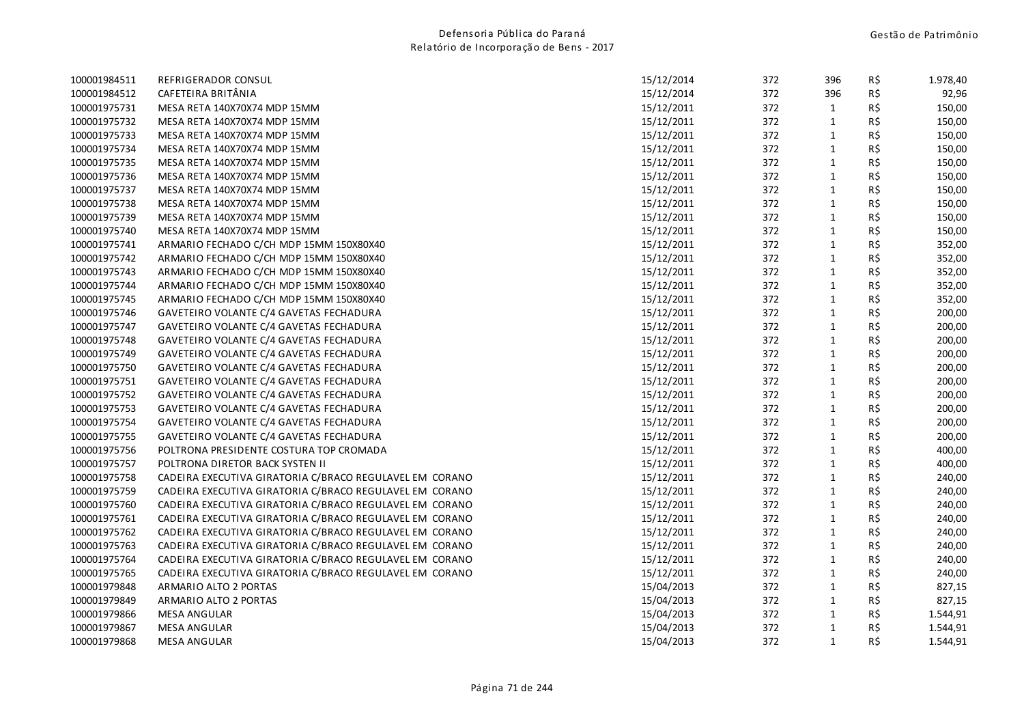| 100001984511 | REFRIGERADOR CONSUL                                     | 15/12/2014 | 372 | 396          | R\$ | 1.978,40 |
|--------------|---------------------------------------------------------|------------|-----|--------------|-----|----------|
| 100001984512 | CAFETEIRA BRITÂNIA                                      | 15/12/2014 | 372 | 396          | R\$ | 92,96    |
| 100001975731 | MESA RETA 140X70X74 MDP 15MM                            | 15/12/2011 | 372 | $\mathbf{1}$ | R\$ | 150,00   |
| 100001975732 | MESA RETA 140X70X74 MDP 15MM                            | 15/12/2011 | 372 | $\mathbf{1}$ | R\$ | 150,00   |
| 100001975733 | MESA RETA 140X70X74 MDP 15MM                            | 15/12/2011 | 372 | $\mathbf{1}$ | R\$ | 150,00   |
| 100001975734 | MESA RETA 140X70X74 MDP 15MM                            | 15/12/2011 | 372 | $\mathbf{1}$ | R\$ | 150,00   |
| 100001975735 | MESA RETA 140X70X74 MDP 15MM                            | 15/12/2011 | 372 | $\mathbf{1}$ | R\$ | 150,00   |
| 100001975736 | MESA RETA 140X70X74 MDP 15MM                            | 15/12/2011 | 372 | $\mathbf{1}$ | R\$ | 150,00   |
| 100001975737 | MESA RETA 140X70X74 MDP 15MM                            | 15/12/2011 | 372 | $\mathbf 1$  | R\$ | 150,00   |
| 100001975738 | MESA RETA 140X70X74 MDP 15MM                            | 15/12/2011 | 372 | $\mathbf{1}$ | R\$ | 150,00   |
| 100001975739 | MESA RETA 140X70X74 MDP 15MM                            | 15/12/2011 | 372 | $\mathbf{1}$ | R\$ | 150,00   |
| 100001975740 | MESA RETA 140X70X74 MDP 15MM                            | 15/12/2011 | 372 | $\mathbf{1}$ | R\$ | 150,00   |
| 100001975741 | ARMARIO FECHADO C/CH MDP 15MM 150X80X40                 | 15/12/2011 | 372 | $\mathbf{1}$ | R\$ | 352,00   |
| 100001975742 | ARMARIO FECHADO C/CH MDP 15MM 150X80X40                 | 15/12/2011 | 372 | $\mathbf{1}$ | R\$ | 352,00   |
| 100001975743 | ARMARIO FECHADO C/CH MDP 15MM 150X80X40                 | 15/12/2011 | 372 | $\mathbf{1}$ | R\$ | 352,00   |
| 100001975744 | ARMARIO FECHADO C/CH MDP 15MM 150X80X40                 | 15/12/2011 | 372 | $\mathbf{1}$ | R\$ | 352,00   |
| 100001975745 | ARMARIO FECHADO C/CH MDP 15MM 150X80X40                 | 15/12/2011 | 372 | $\mathbf{1}$ | R\$ | 352,00   |
| 100001975746 | GAVETEIRO VOLANTE C/4 GAVETAS FECHADURA                 | 15/12/2011 | 372 | $\mathbf{1}$ | R\$ | 200,00   |
| 100001975747 | GAVETEIRO VOLANTE C/4 GAVETAS FECHADURA                 | 15/12/2011 | 372 | $\mathbf{1}$ | R\$ | 200,00   |
| 100001975748 | GAVETEIRO VOLANTE C/4 GAVETAS FECHADURA                 | 15/12/2011 | 372 | $\mathbf{1}$ | R\$ | 200,00   |
| 100001975749 | GAVETEIRO VOLANTE C/4 GAVETAS FECHADURA                 | 15/12/2011 | 372 | $\mathbf{1}$ | R\$ | 200,00   |
| 100001975750 | GAVETEIRO VOLANTE C/4 GAVETAS FECHADURA                 | 15/12/2011 | 372 | $\mathbf{1}$ | R\$ | 200,00   |
| 100001975751 | GAVETEIRO VOLANTE C/4 GAVETAS FECHADURA                 | 15/12/2011 | 372 | $\mathbf{1}$ | R\$ | 200,00   |
| 100001975752 | GAVETEIRO VOLANTE C/4 GAVETAS FECHADURA                 | 15/12/2011 | 372 | $\mathbf{1}$ | R\$ | 200,00   |
| 100001975753 | GAVETEIRO VOLANTE C/4 GAVETAS FECHADURA                 | 15/12/2011 | 372 | $\mathbf{1}$ | R\$ | 200,00   |
| 100001975754 | GAVETEIRO VOLANTE C/4 GAVETAS FECHADURA                 | 15/12/2011 | 372 | $\mathbf{1}$ | R\$ | 200,00   |
| 100001975755 | GAVETEIRO VOLANTE C/4 GAVETAS FECHADURA                 | 15/12/2011 | 372 | $\mathbf{1}$ | R\$ | 200,00   |
| 100001975756 | POLTRONA PRESIDENTE COSTURA TOP CROMADA                 | 15/12/2011 | 372 | $\mathbf{1}$ | R\$ | 400,00   |
| 100001975757 | POLTRONA DIRETOR BACK SYSTEN II                         | 15/12/2011 | 372 | $\mathbf{1}$ | R\$ | 400,00   |
| 100001975758 | CADEIRA EXECUTIVA GIRATORIA C/BRACO REGULAVEL EM CORANO | 15/12/2011 | 372 | $\mathbf{1}$ | R\$ | 240,00   |
| 100001975759 | CADEIRA EXECUTIVA GIRATORIA C/BRACO REGULAVEL EM CORANO | 15/12/2011 | 372 | $\mathbf{1}$ | R\$ | 240,00   |
| 100001975760 | CADEIRA EXECUTIVA GIRATORIA C/BRACO REGULAVEL EM CORANO | 15/12/2011 | 372 | $\mathbf{1}$ | R\$ | 240,00   |
| 100001975761 | CADEIRA EXECUTIVA GIRATORIA C/BRACO REGULAVEL EM CORANO | 15/12/2011 | 372 | $\mathbf{1}$ | R\$ | 240,00   |
| 100001975762 | CADEIRA EXECUTIVA GIRATORIA C/BRACO REGULAVEL EM CORANO | 15/12/2011 | 372 | $\mathbf{1}$ | R\$ | 240,00   |
| 100001975763 | CADEIRA EXECUTIVA GIRATORIA C/BRACO REGULAVEL EM CORANO | 15/12/2011 | 372 | $\mathbf{1}$ | R\$ | 240,00   |
| 100001975764 | CADEIRA EXECUTIVA GIRATORIA C/BRACO REGULAVEL EM CORANO | 15/12/2011 | 372 | $\mathbf{1}$ | R\$ | 240,00   |
| 100001975765 | CADEIRA EXECUTIVA GIRATORIA C/BRACO REGULAVEL EM CORANO | 15/12/2011 | 372 | $\mathbf{1}$ | R\$ | 240,00   |
| 100001979848 | ARMARIO ALTO 2 PORTAS                                   | 15/04/2013 | 372 | $\mathbf{1}$ | R\$ | 827,15   |
| 100001979849 | ARMARIO ALTO 2 PORTAS                                   | 15/04/2013 | 372 | $\mathbf{1}$ | R\$ | 827,15   |
| 100001979866 | <b>MESA ANGULAR</b>                                     | 15/04/2013 | 372 | $\mathbf{1}$ | R\$ | 1.544,91 |
| 100001979867 | <b>MESA ANGULAR</b>                                     | 15/04/2013 | 372 | $\mathbf{1}$ | R\$ | 1.544,91 |
| 100001979868 | <b>MESA ANGULAR</b>                                     | 15/04/2013 | 372 | $\mathbf{1}$ | R\$ | 1.544,91 |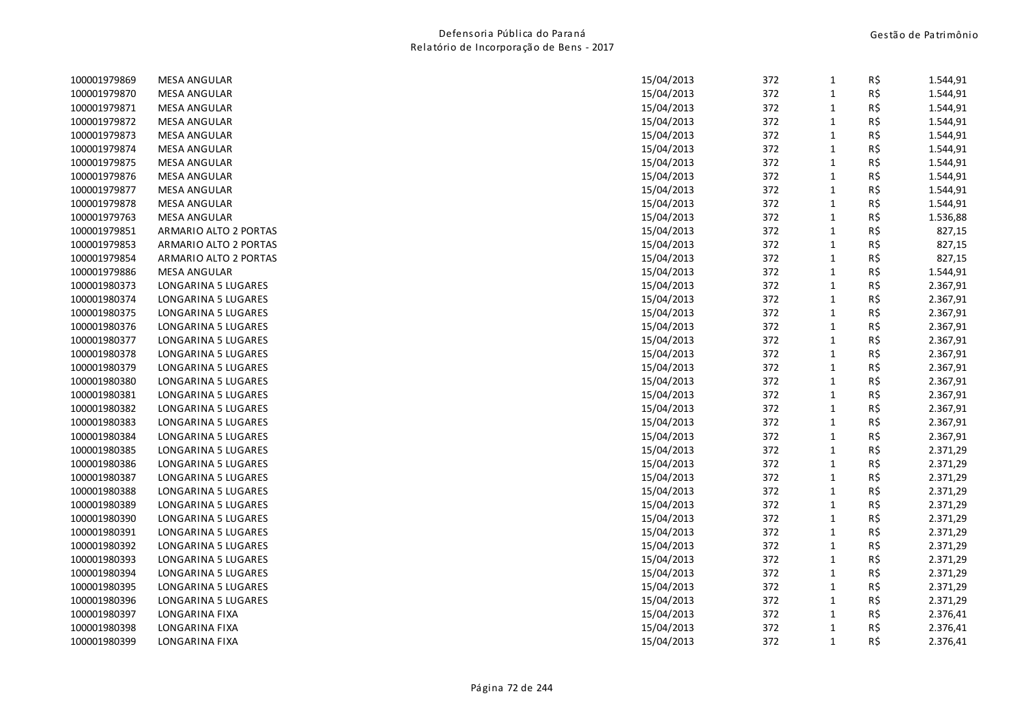| 100001979869 | <b>MESA ANGULAR</b>   | 15/04/2013 | 372 | $\mathbf{1}$ | R\$ | 1.544,91 |
|--------------|-----------------------|------------|-----|--------------|-----|----------|
| 100001979870 | <b>MESA ANGULAR</b>   | 15/04/2013 | 372 | $\mathbf{1}$ | R\$ | 1.544,91 |
| 100001979871 | <b>MESA ANGULAR</b>   | 15/04/2013 | 372 | 1            | R\$ | 1.544,91 |
| 100001979872 | <b>MESA ANGULAR</b>   | 15/04/2013 | 372 | $\mathbf{1}$ | R\$ | 1.544,91 |
| 100001979873 | <b>MESA ANGULAR</b>   | 15/04/2013 | 372 | $\mathbf{1}$ | R\$ | 1.544,91 |
| 100001979874 | <b>MESA ANGULAR</b>   | 15/04/2013 | 372 | 1            | R\$ | 1.544,91 |
| 100001979875 | <b>MESA ANGULAR</b>   | 15/04/2013 | 372 | $\mathbf{1}$ | R\$ | 1.544,91 |
| 100001979876 | <b>MESA ANGULAR</b>   | 15/04/2013 | 372 | 1            | R\$ | 1.544,91 |
| 100001979877 | <b>MESA ANGULAR</b>   | 15/04/2013 | 372 | $\mathbf{1}$ | R\$ | 1.544,91 |
| 100001979878 | <b>MESA ANGULAR</b>   | 15/04/2013 | 372 | $\mathbf{1}$ | R\$ | 1.544,91 |
| 100001979763 | <b>MESA ANGULAR</b>   | 15/04/2013 | 372 | $\mathbf{1}$ | R\$ | 1.536,88 |
| 100001979851 | ARMARIO ALTO 2 PORTAS | 15/04/2013 | 372 | 1            | R\$ | 827,15   |
| 100001979853 | ARMARIO ALTO 2 PORTAS | 15/04/2013 | 372 | 1            | R\$ | 827,15   |
| 100001979854 | ARMARIO ALTO 2 PORTAS | 15/04/2013 | 372 | 1            | R\$ | 827,15   |
| 100001979886 | <b>MESA ANGULAR</b>   | 15/04/2013 | 372 | $\mathbf{1}$ | R\$ | 1.544,91 |
| 100001980373 | LONGARINA 5 LUGARES   | 15/04/2013 | 372 | $\mathbf{1}$ | R\$ | 2.367,91 |
| 100001980374 | LONGARINA 5 LUGARES   | 15/04/2013 | 372 | 1            | R\$ | 2.367,91 |
| 100001980375 | LONGARINA 5 LUGARES   | 15/04/2013 | 372 | $\mathbf{1}$ | R\$ | 2.367,91 |
| 100001980376 | LONGARINA 5 LUGARES   | 15/04/2013 | 372 | $\mathbf{1}$ | R\$ | 2.367,91 |
| 100001980377 | LONGARINA 5 LUGARES   | 15/04/2013 | 372 | $\mathbf{1}$ | R\$ | 2.367,91 |
| 100001980378 | LONGARINA 5 LUGARES   | 15/04/2013 | 372 | $\mathbf{1}$ | R\$ | 2.367,91 |
| 100001980379 | LONGARINA 5 LUGARES   | 15/04/2013 | 372 | $\mathbf{1}$ | R\$ | 2.367,91 |
| 100001980380 | LONGARINA 5 LUGARES   | 15/04/2013 | 372 | $\mathbf{1}$ | R\$ | 2.367,91 |
| 100001980381 | LONGARINA 5 LUGARES   | 15/04/2013 | 372 | $\mathbf{1}$ | R\$ | 2.367,91 |
| 100001980382 | LONGARINA 5 LUGARES   | 15/04/2013 | 372 | $\mathbf{1}$ | R\$ | 2.367,91 |
| 100001980383 | LONGARINA 5 LUGARES   | 15/04/2013 | 372 | 1            | R\$ | 2.367,91 |
| 100001980384 | LONGARINA 5 LUGARES   | 15/04/2013 | 372 | $\mathbf{1}$ | R\$ | 2.367,91 |
| 100001980385 | LONGARINA 5 LUGARES   | 15/04/2013 | 372 | 1            | R\$ | 2.371,29 |
| 100001980386 | LONGARINA 5 LUGARES   | 15/04/2013 | 372 | $\mathbf{1}$ | R\$ | 2.371,29 |
| 100001980387 | LONGARINA 5 LUGARES   | 15/04/2013 | 372 | $\mathbf{1}$ | R\$ | 2.371,29 |
| 100001980388 | LONGARINA 5 LUGARES   | 15/04/2013 | 372 | $\mathbf{1}$ | R\$ | 2.371,29 |
| 100001980389 | LONGARINA 5 LUGARES   | 15/04/2013 | 372 | $\mathbf{1}$ | R\$ | 2.371,29 |
| 100001980390 | LONGARINA 5 LUGARES   | 15/04/2013 | 372 | $\mathbf{1}$ | R\$ | 2.371,29 |
| 100001980391 | LONGARINA 5 LUGARES   | 15/04/2013 | 372 | 1            | R\$ | 2.371,29 |
| 100001980392 | LONGARINA 5 LUGARES   | 15/04/2013 | 372 | 1            | R\$ | 2.371,29 |
| 100001980393 | LONGARINA 5 LUGARES   | 15/04/2013 | 372 | $\mathbf{1}$ | R\$ | 2.371,29 |
| 100001980394 | LONGARINA 5 LUGARES   | 15/04/2013 | 372 | $\mathbf{1}$ | R\$ | 2.371,29 |
| 100001980395 | LONGARINA 5 LUGARES   | 15/04/2013 | 372 | $\mathbf{1}$ | R\$ | 2.371,29 |
| 100001980396 | LONGARINA 5 LUGARES   | 15/04/2013 | 372 | 1            | R\$ | 2.371,29 |
| 100001980397 | LONGARINA FIXA        | 15/04/2013 | 372 | 1            | R\$ | 2.376,41 |
| 100001980398 | LONGARINA FIXA        | 15/04/2013 | 372 | $\mathbf{1}$ | R\$ | 2.376,41 |
| 100001980399 | LONGARINA FIXA        | 15/04/2013 | 372 | $\mathbf{1}$ | R\$ | 2.376,41 |
|              |                       |            |     |              |     |          |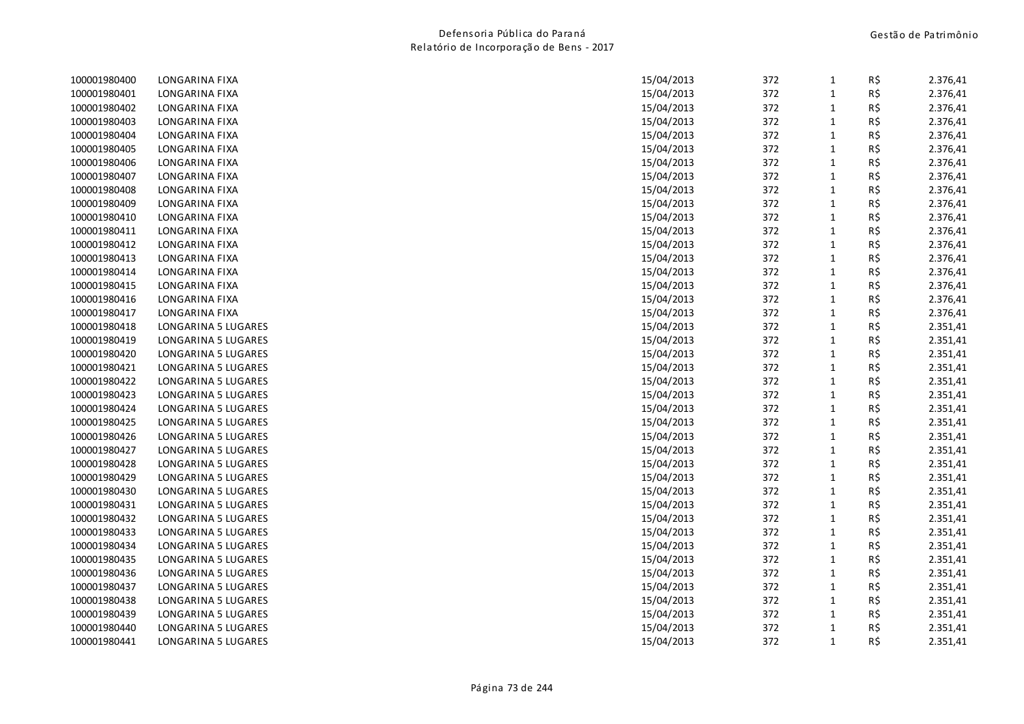| 100001980400 | LONGARINA FIXA      | 15/04/2013 | 372 | $\mathbf{1}$ | R\$ | 2.376,41 |
|--------------|---------------------|------------|-----|--------------|-----|----------|
| 100001980401 | LONGARINA FIXA      | 15/04/2013 | 372 | $\mathbf{1}$ | R\$ | 2.376,41 |
| 100001980402 | LONGARINA FIXA      | 15/04/2013 | 372 | $\mathbf{1}$ | R\$ | 2.376,41 |
| 100001980403 | LONGARINA FIXA      | 15/04/2013 | 372 | $\mathbf{1}$ | R\$ | 2.376,41 |
| 100001980404 | LONGARINA FIXA      | 15/04/2013 | 372 | $\mathbf{1}$ | R\$ | 2.376,41 |
| 100001980405 | LONGARINA FIXA      | 15/04/2013 | 372 | $\mathbf{1}$ | R\$ | 2.376,41 |
| 100001980406 | LONGARINA FIXA      | 15/04/2013 | 372 | 1            | R\$ | 2.376,41 |
| 100001980407 | LONGARINA FIXA      | 15/04/2013 | 372 | $\mathbf{1}$ | R\$ | 2.376,41 |
| 100001980408 | LONGARINA FIXA      | 15/04/2013 | 372 | $\mathbf{1}$ | R\$ | 2.376,41 |
| 100001980409 | LONGARINA FIXA      | 15/04/2013 | 372 | $\mathbf{1}$ | R\$ | 2.376,41 |
| 100001980410 | LONGARINA FIXA      | 15/04/2013 | 372 | $\mathbf{1}$ | R\$ | 2.376,41 |
| 100001980411 | LONGARINA FIXA      | 15/04/2013 | 372 | $\mathbf{1}$ | R\$ | 2.376,41 |
| 100001980412 | LONGARINA FIXA      | 15/04/2013 | 372 | $\mathbf{1}$ | R\$ | 2.376,41 |
| 100001980413 | LONGARINA FIXA      | 15/04/2013 | 372 | $\mathbf{1}$ | R\$ | 2.376,41 |
| 100001980414 | LONGARINA FIXA      | 15/04/2013 | 372 | $\mathbf{1}$ | R\$ | 2.376,41 |
| 100001980415 | LONGARINA FIXA      | 15/04/2013 | 372 | $\mathbf{1}$ | R\$ | 2.376,41 |
| 100001980416 | LONGARINA FIXA      | 15/04/2013 | 372 | $\mathbf{1}$ | R\$ | 2.376,41 |
| 100001980417 | LONGARINA FIXA      | 15/04/2013 | 372 | $\mathbf{1}$ | R\$ | 2.376,41 |
| 100001980418 | LONGARINA 5 LUGARES | 15/04/2013 | 372 | $\mathbf{1}$ | R\$ | 2.351,41 |
| 100001980419 | LONGARINA 5 LUGARES | 15/04/2013 | 372 | $\mathbf{1}$ | R\$ | 2.351,41 |
| 100001980420 | LONGARINA 5 LUGARES | 15/04/2013 | 372 | $\mathbf{1}$ | R\$ | 2.351,41 |
| 100001980421 | LONGARINA 5 LUGARES | 15/04/2013 | 372 | $\mathbf{1}$ | R\$ | 2.351,41 |
| 100001980422 | LONGARINA 5 LUGARES | 15/04/2013 | 372 | $\mathbf{1}$ | R\$ | 2.351,41 |
| 100001980423 | LONGARINA 5 LUGARES | 15/04/2013 | 372 | $\mathbf{1}$ | R\$ | 2.351,41 |
| 100001980424 | LONGARINA 5 LUGARES | 15/04/2013 | 372 | $\mathbf{1}$ | R\$ | 2.351,41 |
| 100001980425 | LONGARINA 5 LUGARES | 15/04/2013 | 372 | $\mathbf{1}$ | R\$ | 2.351,41 |
| 100001980426 | LONGARINA 5 LUGARES | 15/04/2013 | 372 | $\mathbf{1}$ | R\$ | 2.351,41 |
| 100001980427 | LONGARINA 5 LUGARES | 15/04/2013 | 372 | $\mathbf{1}$ | R\$ | 2.351,41 |
| 100001980428 | LONGARINA 5 LUGARES | 15/04/2013 | 372 | $\mathbf{1}$ | R\$ | 2.351,41 |
| 100001980429 | LONGARINA 5 LUGARES | 15/04/2013 | 372 | $\mathbf{1}$ | R\$ | 2.351,41 |
| 100001980430 | LONGARINA 5 LUGARES | 15/04/2013 | 372 | $\mathbf{1}$ | R\$ | 2.351,41 |
| 100001980431 | LONGARINA 5 LUGARES | 15/04/2013 | 372 | $\mathbf{1}$ | R\$ | 2.351,41 |
| 100001980432 | LONGARINA 5 LUGARES | 15/04/2013 | 372 | $\mathbf{1}$ | R\$ | 2.351,41 |
| 100001980433 | LONGARINA 5 LUGARES | 15/04/2013 | 372 | $\mathbf{1}$ | R\$ | 2.351,41 |
| 100001980434 | LONGARINA 5 LUGARES | 15/04/2013 | 372 | $\mathbf{1}$ | R\$ | 2.351,41 |
| 100001980435 | LONGARINA 5 LUGARES | 15/04/2013 | 372 | $\mathbf{1}$ | R\$ | 2.351,41 |
| 100001980436 | LONGARINA 5 LUGARES | 15/04/2013 | 372 | $\mathbf{1}$ | R\$ | 2.351,41 |
| 100001980437 | LONGARINA 5 LUGARES | 15/04/2013 | 372 | $\mathbf{1}$ | R\$ | 2.351,41 |
| 100001980438 | LONGARINA 5 LUGARES | 15/04/2013 | 372 | $\mathbf{1}$ | R\$ | 2.351,41 |
| 100001980439 | LONGARINA 5 LUGARES | 15/04/2013 | 372 | $\mathbf{1}$ | R\$ | 2.351,41 |
| 100001980440 | LONGARINA 5 LUGARES | 15/04/2013 | 372 | $\mathbf{1}$ | R\$ | 2.351,41 |
| 100001980441 | LONGARINA 5 LUGARES | 15/04/2013 | 372 | $\mathbf{1}$ | R\$ | 2.351,41 |
|              |                     |            |     |              |     |          |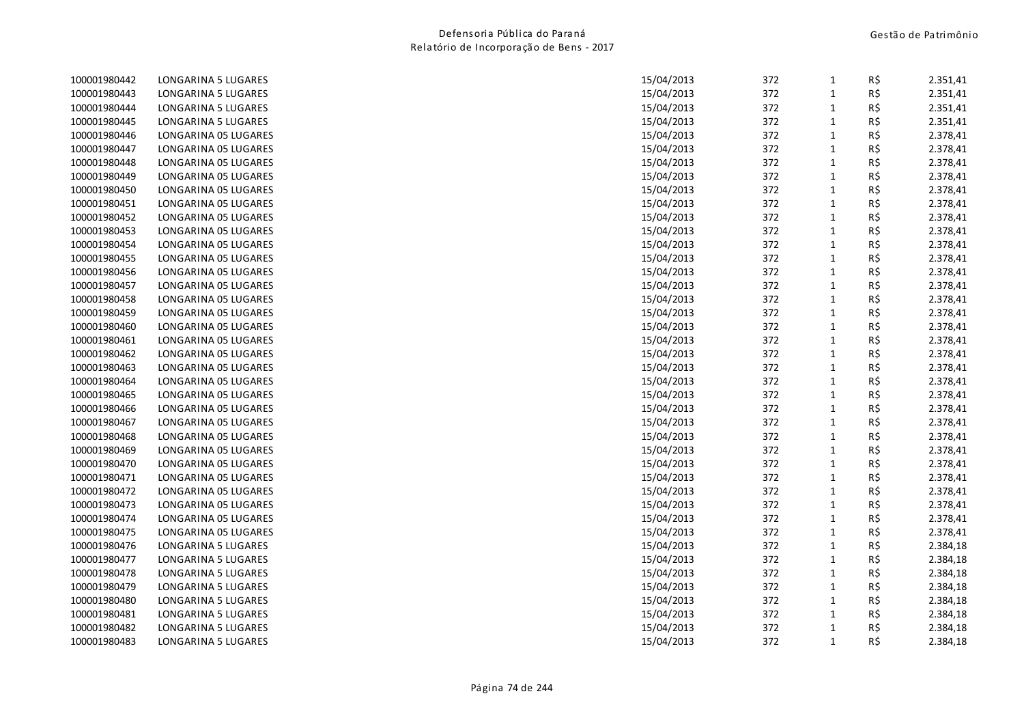| 100001980442 | LONGARINA 5 LUGARES  | 15/04/2013 | 372 | 1            | R\$ | 2.351,41 |
|--------------|----------------------|------------|-----|--------------|-----|----------|
| 100001980443 | LONGARINA 5 LUGARES  | 15/04/2013 | 372 | $\mathbf{1}$ | R\$ | 2.351,41 |
| 100001980444 | LONGARINA 5 LUGARES  | 15/04/2013 | 372 | $\mathbf{1}$ | R\$ | 2.351,41 |
| 100001980445 | LONGARINA 5 LUGARES  | 15/04/2013 | 372 | $\mathbf 1$  | R\$ | 2.351,41 |
| 100001980446 | LONGARINA 05 LUGARES | 15/04/2013 | 372 | $\mathbf 1$  | R\$ | 2.378,41 |
| 100001980447 | LONGARINA 05 LUGARES | 15/04/2013 | 372 | $\mathbf 1$  | R\$ | 2.378,41 |
| 100001980448 | LONGARINA 05 LUGARES | 15/04/2013 | 372 | $\mathbf{1}$ | R\$ | 2.378,41 |
| 100001980449 | LONGARINA 05 LUGARES | 15/04/2013 | 372 | $\mathbf{1}$ | R\$ | 2.378,41 |
| 100001980450 | LONGARINA 05 LUGARES | 15/04/2013 | 372 | $\mathbf 1$  | R\$ | 2.378,41 |
| 100001980451 | LONGARINA 05 LUGARES | 15/04/2013 | 372 | $\mathbf 1$  | R\$ | 2.378,41 |
| 100001980452 | LONGARINA 05 LUGARES | 15/04/2013 | 372 | $\mathbf 1$  | R\$ | 2.378,41 |
| 100001980453 | LONGARINA 05 LUGARES | 15/04/2013 | 372 | $\mathbf{1}$ | R\$ | 2.378,41 |
| 100001980454 | LONGARINA 05 LUGARES | 15/04/2013 | 372 | $\mathbf 1$  | R\$ | 2.378,41 |
| 100001980455 | LONGARINA 05 LUGARES | 15/04/2013 | 372 | $\mathbf 1$  | R\$ | 2.378,41 |
| 100001980456 | LONGARINA 05 LUGARES | 15/04/2013 | 372 | $\mathbf{1}$ | R\$ | 2.378,41 |
| 100001980457 | LONGARINA 05 LUGARES | 15/04/2013 | 372 | $\mathbf{1}$ | R\$ | 2.378,41 |
| 100001980458 | LONGARINA 05 LUGARES | 15/04/2013 | 372 | $\mathbf{1}$ | R\$ | 2.378,41 |
| 100001980459 | LONGARINA 05 LUGARES | 15/04/2013 | 372 | $\mathbf 1$  | R\$ | 2.378,41 |
| 100001980460 | LONGARINA 05 LUGARES | 15/04/2013 | 372 | $\mathbf{1}$ | R\$ | 2.378,41 |
| 100001980461 | LONGARINA 05 LUGARES | 15/04/2013 | 372 | $\mathbf 1$  | R\$ | 2.378,41 |
| 100001980462 | LONGARINA 05 LUGARES | 15/04/2013 | 372 | $\mathbf{1}$ | R\$ | 2.378,41 |
| 100001980463 | LONGARINA 05 LUGARES | 15/04/2013 | 372 | $\mathbf{1}$ | R\$ | 2.378,41 |
| 100001980464 | LONGARINA 05 LUGARES | 15/04/2013 | 372 | $\mathbf{1}$ | R\$ | 2.378,41 |
| 100001980465 | LONGARINA 05 LUGARES | 15/04/2013 | 372 | $\mathbf{1}$ | R\$ | 2.378,41 |
| 100001980466 | LONGARINA 05 LUGARES | 15/04/2013 | 372 | $\mathbf 1$  | R\$ | 2.378,41 |
| 100001980467 | LONGARINA 05 LUGARES | 15/04/2013 | 372 | $\mathbf{1}$ | R\$ | 2.378,41 |
| 100001980468 | LONGARINA 05 LUGARES | 15/04/2013 | 372 | $\mathbf 1$  | R\$ | 2.378,41 |
| 100001980469 | LONGARINA 05 LUGARES | 15/04/2013 | 372 | $\mathbf 1$  | R\$ | 2.378,41 |
| 100001980470 | LONGARINA 05 LUGARES | 15/04/2013 | 372 | $\mathbf{1}$ | R\$ | 2.378,41 |
| 100001980471 | LONGARINA 05 LUGARES | 15/04/2013 | 372 | $\mathbf 1$  | R\$ | 2.378,41 |
| 100001980472 | LONGARINA 05 LUGARES | 15/04/2013 | 372 | $\mathbf{1}$ | R\$ | 2.378,41 |
| 100001980473 | LONGARINA 05 LUGARES | 15/04/2013 | 372 | $\mathbf 1$  | R\$ | 2.378,41 |
| 100001980474 | LONGARINA 05 LUGARES | 15/04/2013 | 372 | $\mathbf{1}$ | R\$ | 2.378,41 |
| 100001980475 | LONGARINA 05 LUGARES | 15/04/2013 | 372 | $\mathbf 1$  | R\$ | 2.378,41 |
| 100001980476 | LONGARINA 5 LUGARES  | 15/04/2013 | 372 | $\mathbf{1}$ | R\$ | 2.384,18 |
| 100001980477 | LONGARINA 5 LUGARES  | 15/04/2013 | 372 | $\mathbf{1}$ | R\$ | 2.384,18 |
| 100001980478 | LONGARINA 5 LUGARES  | 15/04/2013 | 372 | $\mathbf 1$  | R\$ | 2.384,18 |
| 100001980479 | LONGARINA 5 LUGARES  | 15/04/2013 | 372 | $\mathbf{1}$ | R\$ | 2.384,18 |
| 100001980480 | LONGARINA 5 LUGARES  | 15/04/2013 | 372 | $\mathbf 1$  | R\$ | 2.384,18 |
| 100001980481 | LONGARINA 5 LUGARES  | 15/04/2013 | 372 | $\mathbf{1}$ | R\$ | 2.384,18 |
| 100001980482 | LONGARINA 5 LUGARES  | 15/04/2013 | 372 | $\mathbf{1}$ | R\$ | 2.384,18 |
| 100001980483 | LONGARINA 5 LUGARES  | 15/04/2013 | 372 | $\mathbf{1}$ | R\$ | 2.384,18 |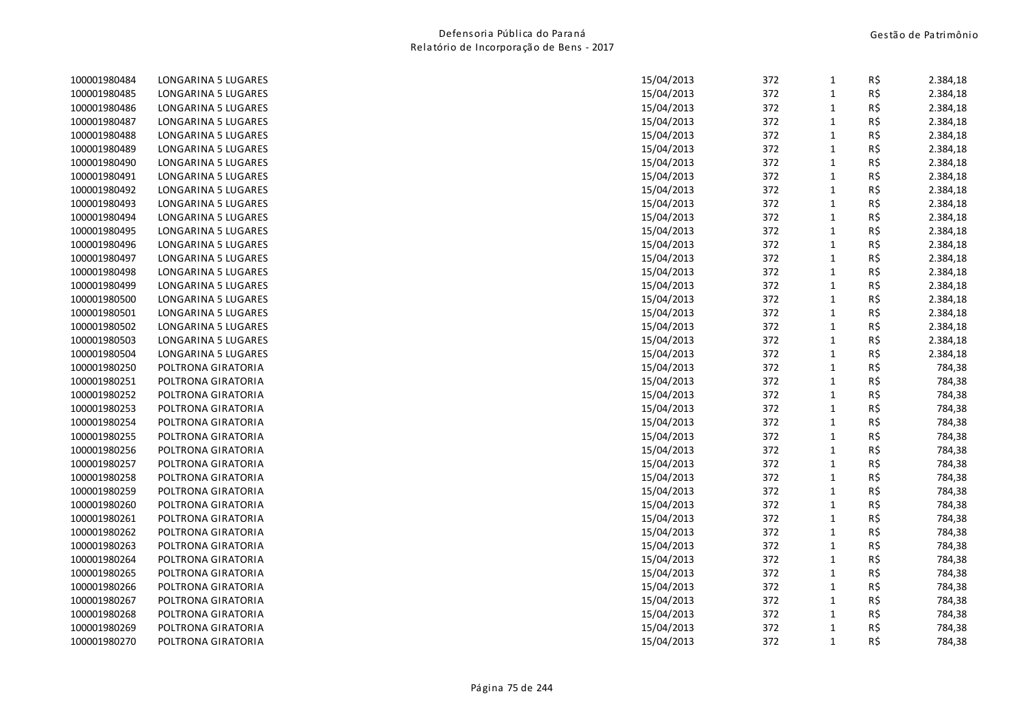| 100001980484 | LONGARINA 5 LUGARES | 15/04/2013 | 372 | $\mathbf{1}$ | R\$ | 2.384,18 |
|--------------|---------------------|------------|-----|--------------|-----|----------|
| 100001980485 | LONGARINA 5 LUGARES | 15/04/2013 | 372 | $\mathbf 1$  | R\$ | 2.384,18 |
| 100001980486 | LONGARINA 5 LUGARES | 15/04/2013 | 372 | $\mathbf{1}$ | R\$ | 2.384,18 |
| 100001980487 | LONGARINA 5 LUGARES | 15/04/2013 | 372 | $\mathbf 1$  | R\$ | 2.384,18 |
| 100001980488 | LONGARINA 5 LUGARES | 15/04/2013 | 372 | $\mathbf{1}$ | R\$ | 2.384,18 |
| 100001980489 | LONGARINA 5 LUGARES | 15/04/2013 | 372 | $\mathbf{1}$ | R\$ | 2.384,18 |
| 100001980490 | LONGARINA 5 LUGARES | 15/04/2013 | 372 | $\mathbf{1}$ | R\$ | 2.384,18 |
| 100001980491 | LONGARINA 5 LUGARES | 15/04/2013 | 372 | $\mathbf 1$  | R\$ | 2.384,18 |
| 100001980492 | LONGARINA 5 LUGARES | 15/04/2013 | 372 | $\mathbf 1$  | R\$ | 2.384,18 |
| 100001980493 | LONGARINA 5 LUGARES | 15/04/2013 | 372 | $\mathbf 1$  | R\$ | 2.384,18 |
| 100001980494 | LONGARINA 5 LUGARES | 15/04/2013 | 372 | $\mathbf 1$  | R\$ | 2.384,18 |
| 100001980495 | LONGARINA 5 LUGARES | 15/04/2013 | 372 | $\mathbf{1}$ | R\$ | 2.384,18 |
| 100001980496 | LONGARINA 5 LUGARES | 15/04/2013 | 372 | $\mathbf 1$  | R\$ | 2.384,18 |
| 100001980497 | LONGARINA 5 LUGARES | 15/04/2013 | 372 | $\mathbf 1$  | R\$ | 2.384,18 |
| 100001980498 | LONGARINA 5 LUGARES | 15/04/2013 | 372 | $\mathbf 1$  | R\$ | 2.384,18 |
| 100001980499 | LONGARINA 5 LUGARES | 15/04/2013 | 372 | $\mathbf{1}$ | R\$ | 2.384,18 |
| 100001980500 | LONGARINA 5 LUGARES | 15/04/2013 | 372 | $\mathbf{1}$ | R\$ | 2.384,18 |
| 100001980501 | LONGARINA 5 LUGARES | 15/04/2013 | 372 | $\mathbf 1$  | R\$ | 2.384,18 |
| 100001980502 | LONGARINA 5 LUGARES | 15/04/2013 | 372 | $\mathbf 1$  | R\$ | 2.384,18 |
| 100001980503 | LONGARINA 5 LUGARES | 15/04/2013 | 372 | $\mathbf{1}$ | R\$ | 2.384,18 |
| 100001980504 | LONGARINA 5 LUGARES | 15/04/2013 | 372 | $\mathbf{1}$ | R\$ | 2.384,18 |
| 100001980250 | POLTRONA GIRATORIA  | 15/04/2013 | 372 | $\mathbf 1$  | R\$ | 784,38   |
| 100001980251 | POLTRONA GIRATORIA  | 15/04/2013 | 372 | $\mathbf 1$  | R\$ | 784,38   |
| 100001980252 | POLTRONA GIRATORIA  | 15/04/2013 | 372 | $\mathbf 1$  | R\$ | 784,38   |
| 100001980253 | POLTRONA GIRATORIA  | 15/04/2013 | 372 | $\mathbf{1}$ | R\$ | 784,38   |
| 100001980254 | POLTRONA GIRATORIA  | 15/04/2013 | 372 | $\mathbf{1}$ | R\$ | 784,38   |
| 100001980255 | POLTRONA GIRATORIA  | 15/04/2013 | 372 | $\mathbf 1$  | R\$ | 784,38   |
| 100001980256 | POLTRONA GIRATORIA  | 15/04/2013 | 372 | $\mathbf 1$  | R\$ | 784,38   |
| 100001980257 | POLTRONA GIRATORIA  | 15/04/2013 | 372 | $\mathbf 1$  | R\$ | 784,38   |
| 100001980258 | POLTRONA GIRATORIA  | 15/04/2013 | 372 | $\mathbf{1}$ | R\$ | 784,38   |
| 100001980259 | POLTRONA GIRATORIA  | 15/04/2013 | 372 | $\mathbf 1$  | R\$ | 784,38   |
| 100001980260 | POLTRONA GIRATORIA  | 15/04/2013 | 372 | $\mathbf 1$  | R\$ | 784,38   |
| 100001980261 | POLTRONA GIRATORIA  | 15/04/2013 | 372 | $\mathbf{1}$ | R\$ | 784,38   |
| 100001980262 | POLTRONA GIRATORIA  | 15/04/2013 | 372 | $\mathbf{1}$ | R\$ | 784,38   |
| 100001980263 | POLTRONA GIRATORIA  | 15/04/2013 | 372 | $\mathbf{1}$ | R\$ | 784,38   |
| 100001980264 | POLTRONA GIRATORIA  | 15/04/2013 | 372 | $\mathbf 1$  | R\$ | 784,38   |
| 100001980265 | POLTRONA GIRATORIA  | 15/04/2013 | 372 | $\mathbf 1$  | R\$ | 784,38   |
| 100001980266 | POLTRONA GIRATORIA  | 15/04/2013 | 372 | $\mathbf{1}$ | R\$ | 784,38   |
| 100001980267 | POLTRONA GIRATORIA  | 15/04/2013 | 372 | $\mathbf{1}$ | R\$ | 784,38   |
| 100001980268 | POLTRONA GIRATORIA  | 15/04/2013 | 372 | $\mathbf{1}$ | R\$ | 784,38   |
| 100001980269 | POLTRONA GIRATORIA  | 15/04/2013 | 372 | $\mathbf{1}$ | R\$ | 784,38   |
| 100001980270 | POLTRONA GIRATORIA  | 15/04/2013 | 372 | $\mathbf{1}$ | R\$ | 784,38   |
|              |                     |            |     |              |     |          |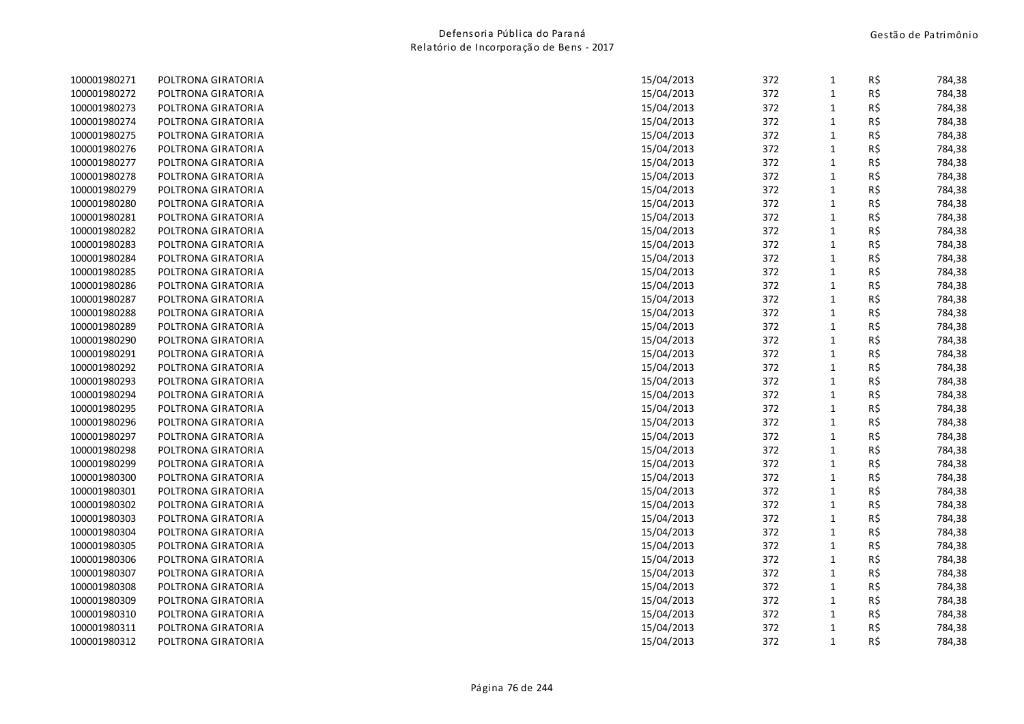| 100001980271 | POLTRONA GIRATORIA | 15/04/2013 | 372 | $\mathbf{1}$ | R\$ | 784,38 |
|--------------|--------------------|------------|-----|--------------|-----|--------|
| 100001980272 | POLTRONA GIRATORIA | 15/04/2013 | 372 | $\mathbf{1}$ | R\$ | 784,38 |
| 100001980273 | POLTRONA GIRATORIA | 15/04/2013 | 372 | 1            | R\$ | 784,38 |
| 100001980274 | POLTRONA GIRATORIA | 15/04/2013 | 372 | 1            | R\$ | 784,38 |
| 100001980275 | POLTRONA GIRATORIA | 15/04/2013 | 372 | $\mathbf{1}$ | R\$ | 784,38 |
| 100001980276 | POLTRONA GIRATORIA | 15/04/2013 | 372 | 1            | R\$ | 784,38 |
| 100001980277 | POLTRONA GIRATORIA | 15/04/2013 | 372 | 1            | R\$ | 784,38 |
| 100001980278 | POLTRONA GIRATORIA | 15/04/2013 | 372 | 1            | R\$ | 784,38 |
| 100001980279 | POLTRONA GIRATORIA | 15/04/2013 | 372 | 1            | R\$ | 784,38 |
| 100001980280 | POLTRONA GIRATORIA | 15/04/2013 | 372 | $\mathbf{1}$ | R\$ | 784,38 |
| 100001980281 | POLTRONA GIRATORIA | 15/04/2013 | 372 | 1            | R\$ | 784,38 |
| 100001980282 | POLTRONA GIRATORIA | 15/04/2013 | 372 | $\mathbf{1}$ | R\$ | 784,38 |
| 100001980283 | POLTRONA GIRATORIA | 15/04/2013 | 372 | $\mathbf{1}$ | R\$ | 784,38 |
| 100001980284 | POLTRONA GIRATORIA | 15/04/2013 | 372 | $\mathbf{1}$ | R\$ | 784,38 |
| 100001980285 | POLTRONA GIRATORIA | 15/04/2013 | 372 | $\mathbf{1}$ | R\$ | 784,38 |
| 100001980286 | POLTRONA GIRATORIA | 15/04/2013 | 372 | $\mathbf{1}$ | R\$ | 784,38 |
| 100001980287 | POLTRONA GIRATORIA | 15/04/2013 | 372 | $\mathbf{1}$ | R\$ | 784,38 |
| 100001980288 | POLTRONA GIRATORIA | 15/04/2013 | 372 | 1            | R\$ | 784,38 |
| 100001980289 | POLTRONA GIRATORIA | 15/04/2013 | 372 | $\mathbf{1}$ | R\$ | 784,38 |
| 100001980290 | POLTRONA GIRATORIA | 15/04/2013 | 372 | 1            | R\$ | 784,38 |
| 100001980291 | POLTRONA GIRATORIA | 15/04/2013 | 372 | $\mathbf{1}$ | R\$ | 784,38 |
| 100001980292 | POLTRONA GIRATORIA | 15/04/2013 | 372 | 1            | R\$ | 784,38 |
| 100001980293 | POLTRONA GIRATORIA | 15/04/2013 | 372 | $\mathbf{1}$ | R\$ | 784,38 |
| 100001980294 | POLTRONA GIRATORIA | 15/04/2013 | 372 | $\mathbf{1}$ | R\$ | 784,38 |
| 100001980295 | POLTRONA GIRATORIA | 15/04/2013 | 372 | 1            | R\$ | 784,38 |
| 100001980296 | POLTRONA GIRATORIA | 15/04/2013 | 372 | $\mathbf{1}$ | R\$ | 784,38 |
| 100001980297 | POLTRONA GIRATORIA | 15/04/2013 | 372 | 1            | R\$ | 784,38 |
| 100001980298 | POLTRONA GIRATORIA | 15/04/2013 | 372 | $\mathbf{1}$ | R\$ | 784,38 |
| 100001980299 | POLTRONA GIRATORIA | 15/04/2013 | 372 | $\mathbf{1}$ | R\$ | 784,38 |
| 100001980300 | POLTRONA GIRATORIA | 15/04/2013 | 372 | $\mathbf{1}$ | R\$ | 784,38 |
| 100001980301 | POLTRONA GIRATORIA | 15/04/2013 | 372 | 1            | R\$ | 784,38 |
| 100001980302 | POLTRONA GIRATORIA | 15/04/2013 | 372 | $\mathbf{1}$ | R\$ | 784,38 |
| 100001980303 | POLTRONA GIRATORIA | 15/04/2013 | 372 | 1            | R\$ | 784,38 |
| 100001980304 | POLTRONA GIRATORIA | 15/04/2013 | 372 | 1            | R\$ | 784,38 |
| 100001980305 | POLTRONA GIRATORIA | 15/04/2013 | 372 | 1            | R\$ | 784,38 |
| 100001980306 | POLTRONA GIRATORIA | 15/04/2013 | 372 | 1            | R\$ | 784,38 |
| 100001980307 | POLTRONA GIRATORIA | 15/04/2013 | 372 | $\mathbf{1}$ | R\$ | 784,38 |
| 100001980308 | POLTRONA GIRATORIA | 15/04/2013 | 372 | $\mathbf{1}$ | R\$ | 784,38 |
| 100001980309 | POLTRONA GIRATORIA | 15/04/2013 | 372 | $\mathbf{1}$ | R\$ | 784,38 |
| 100001980310 | POLTRONA GIRATORIA | 15/04/2013 | 372 | 1            | R\$ | 784,38 |
| 100001980311 | POLTRONA GIRATORIA | 15/04/2013 | 372 | $\mathbf{1}$ | R\$ | 784,38 |
| 100001980312 | POLTRONA GIRATORIA | 15/04/2013 | 372 | $\mathbf{1}$ | R\$ | 784,38 |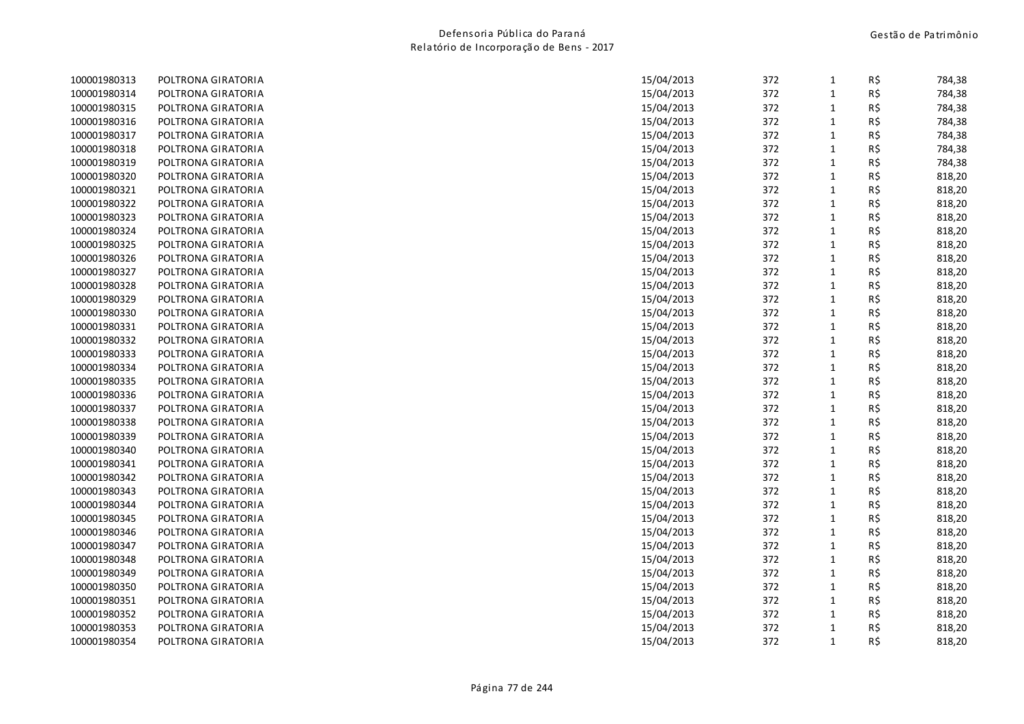| 100001980313 | POLTRONA GIRATORIA |            | 372<br>15/04/2013 | $\mathbf{1}$ | R\$ | 784,38 |
|--------------|--------------------|------------|-------------------|--------------|-----|--------|
| 100001980314 | POLTRONA GIRATORIA |            | 372<br>15/04/2013 | 1            | R\$ | 784,38 |
| 100001980315 | POLTRONA GIRATORIA |            | 372<br>15/04/2013 | 1            | R\$ | 784,38 |
| 100001980316 | POLTRONA GIRATORIA | 15/04/2013 | 372               | 1            | R\$ | 784,38 |
| 100001980317 | POLTRONA GIRATORIA | 15/04/2013 | 372               | $\mathbf{1}$ | R\$ | 784,38 |
| 100001980318 | POLTRONA GIRATORIA |            | 372<br>15/04/2013 | $\mathbf{1}$ | R\$ | 784,38 |
| 100001980319 | POLTRONA GIRATORIA |            | 15/04/2013<br>372 | 1            | R\$ | 784,38 |
| 100001980320 | POLTRONA GIRATORIA | 15/04/2013 | 372               | 1            | R\$ | 818,20 |
| 100001980321 | POLTRONA GIRATORIA | 15/04/2013 | 372               | 1            | R\$ | 818,20 |
| 100001980322 | POLTRONA GIRATORIA |            | 372<br>15/04/2013 | 1            | R\$ | 818,20 |
| 100001980323 | POLTRONA GIRATORIA |            | 15/04/2013<br>372 | 1            | R\$ | 818,20 |
| 100001980324 | POLTRONA GIRATORIA |            | 15/04/2013<br>372 | 1            | R\$ | 818,20 |
| 100001980325 | POLTRONA GIRATORIA |            | 372<br>15/04/2013 | 1            | R\$ | 818,20 |
| 100001980326 | POLTRONA GIRATORIA |            | 15/04/2013<br>372 | $\mathbf{1}$ | R\$ | 818,20 |
| 100001980327 | POLTRONA GIRATORIA |            | 15/04/2013<br>372 | 1            | R\$ | 818,20 |
| 100001980328 | POLTRONA GIRATORIA |            | 372<br>15/04/2013 | 1            | R\$ | 818,20 |
| 100001980329 | POLTRONA GIRATORIA | 15/04/2013 | 372               | $\mathbf{1}$ | R\$ | 818,20 |
| 100001980330 | POLTRONA GIRATORIA | 15/04/2013 | 372               | 1            | R\$ | 818,20 |
| 100001980331 | POLTRONA GIRATORIA |            | 15/04/2013<br>372 | $\mathbf{1}$ | R\$ | 818,20 |
| 100001980332 | POLTRONA GIRATORIA |            | 372<br>15/04/2013 | $\mathbf{1}$ | R\$ | 818,20 |
| 100001980333 | POLTRONA GIRATORIA |            | 372<br>15/04/2013 | $\mathbf{1}$ | R\$ | 818,20 |
| 100001980334 | POLTRONA GIRATORIA |            | 372<br>15/04/2013 | 1            | R\$ | 818,20 |
| 100001980335 | POLTRONA GIRATORIA |            | 15/04/2013<br>372 | 1            | R\$ | 818,20 |
| 100001980336 | POLTRONA GIRATORIA |            | 372<br>15/04/2013 | 1            | R\$ | 818,20 |
| 100001980337 | POLTRONA GIRATORIA |            | 15/04/2013<br>372 | 1            | R\$ | 818,20 |
| 100001980338 | POLTRONA GIRATORIA |            | 372<br>15/04/2013 | 1            | R\$ | 818,20 |
| 100001980339 | POLTRONA GIRATORIA | 15/04/2013 | 372               | 1            | R\$ | 818,20 |
| 100001980340 | POLTRONA GIRATORIA | 15/04/2013 | 372               | $\mathbf{1}$ | R\$ | 818,20 |
| 100001980341 | POLTRONA GIRATORIA |            | 15/04/2013<br>372 | 1            | R\$ | 818,20 |
| 100001980342 | POLTRONA GIRATORIA |            | 15/04/2013<br>372 | $\mathbf{1}$ | R\$ | 818,20 |
| 100001980343 | POLTRONA GIRATORIA |            | 372<br>15/04/2013 | 1            | R\$ | 818,20 |
| 100001980344 | POLTRONA GIRATORIA | 15/04/2013 | 372               | $\mathbf{1}$ | R\$ | 818,20 |
| 100001980345 | POLTRONA GIRATORIA | 15/04/2013 | 372               | $\mathbf{1}$ | R\$ | 818,20 |
| 100001980346 | POLTRONA GIRATORIA |            | 372<br>15/04/2013 | 1            | R\$ | 818,20 |
| 100001980347 | POLTRONA GIRATORIA |            | 372<br>15/04/2013 | 1            | R\$ | 818,20 |
| 100001980348 | POLTRONA GIRATORIA | 15/04/2013 | 372               | 1            | R\$ | 818,20 |
| 100001980349 | POLTRONA GIRATORIA |            | 15/04/2013<br>372 | 1            | R\$ | 818,20 |
| 100001980350 | POLTRONA GIRATORIA |            | 372<br>15/04/2013 | 1            | R\$ | 818,20 |
| 100001980351 | POLTRONA GIRATORIA |            | 15/04/2013<br>372 | 1            | R\$ | 818,20 |
| 100001980352 | POLTRONA GIRATORIA |            | 372<br>15/04/2013 | 1            | R\$ | 818,20 |
| 100001980353 | POLTRONA GIRATORIA |            | 372<br>15/04/2013 | 1            | R\$ | 818,20 |
| 100001980354 | POLTRONA GIRATORIA |            | 372<br>15/04/2013 | $\mathbf{1}$ | R\$ | 818,20 |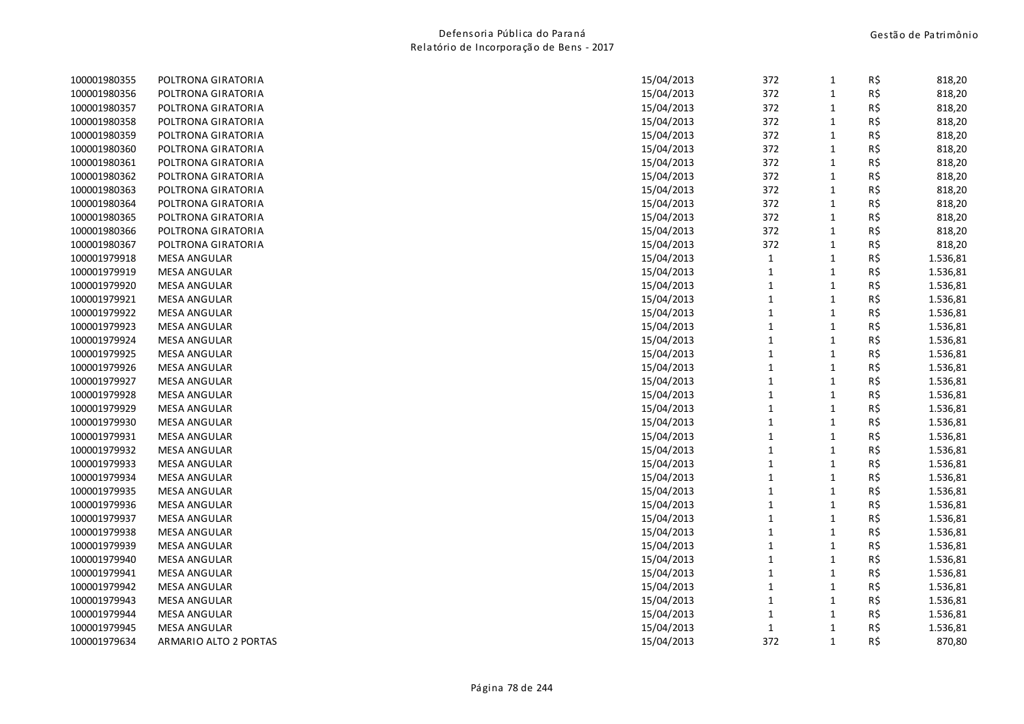| 100001980355 | POLTRONA GIRATORIA    | 15/04/2013 | 372          | 1            | R\$ | 818,20   |
|--------------|-----------------------|------------|--------------|--------------|-----|----------|
| 100001980356 | POLTRONA GIRATORIA    | 15/04/2013 | 372          | 1            | R\$ | 818,20   |
| 100001980357 | POLTRONA GIRATORIA    | 15/04/2013 | 372          | 1            | R\$ | 818,20   |
| 100001980358 | POLTRONA GIRATORIA    | 15/04/2013 | 372          | $\mathbf{1}$ | R\$ | 818,20   |
| 100001980359 | POLTRONA GIRATORIA    | 15/04/2013 | 372          | $\mathbf{1}$ | R\$ | 818,20   |
| 100001980360 | POLTRONA GIRATORIA    | 15/04/2013 | 372          | 1            | R\$ | 818,20   |
| 100001980361 | POLTRONA GIRATORIA    | 15/04/2013 | 372          | $\mathbf{1}$ | R\$ | 818,20   |
| 100001980362 | POLTRONA GIRATORIA    | 15/04/2013 | 372          | $\mathbf{1}$ | R\$ | 818,20   |
| 100001980363 | POLTRONA GIRATORIA    | 15/04/2013 | 372          | $\mathbf{1}$ | R\$ | 818,20   |
| 100001980364 | POLTRONA GIRATORIA    | 15/04/2013 | 372          | 1            | R\$ | 818,20   |
| 100001980365 | POLTRONA GIRATORIA    | 15/04/2013 | 372          | $\mathbf{1}$ | R\$ | 818,20   |
| 100001980366 | POLTRONA GIRATORIA    | 15/04/2013 | 372          | $\mathbf{1}$ | R\$ | 818,20   |
| 100001980367 | POLTRONA GIRATORIA    | 15/04/2013 | 372          | $\mathbf{1}$ | R\$ | 818,20   |
| 100001979918 | <b>MESA ANGULAR</b>   | 15/04/2013 | $\mathbf{1}$ | $\mathbf{1}$ | R\$ | 1.536,81 |
| 100001979919 | <b>MESA ANGULAR</b>   | 15/04/2013 | $\mathbf{1}$ | 1            | R\$ | 1.536,81 |
| 100001979920 | <b>MESA ANGULAR</b>   | 15/04/2013 | $\mathbf{1}$ | 1            | R\$ | 1.536,81 |
| 100001979921 | <b>MESA ANGULAR</b>   | 15/04/2013 | $\mathbf{1}$ | $\mathbf{1}$ | R\$ | 1.536,81 |
| 100001979922 | <b>MESA ANGULAR</b>   | 15/04/2013 | $\mathbf{1}$ | $\mathbf{1}$ | R\$ | 1.536,81 |
| 100001979923 | <b>MESA ANGULAR</b>   | 15/04/2013 | $\mathbf{1}$ | 1            | R\$ | 1.536,81 |
| 100001979924 | <b>MESA ANGULAR</b>   | 15/04/2013 | $\mathbf{1}$ | $\mathbf{1}$ | R\$ | 1.536,81 |
| 100001979925 | <b>MESA ANGULAR</b>   | 15/04/2013 | $\mathbf{1}$ | $\mathbf{1}$ | R\$ | 1.536,81 |
| 100001979926 | <b>MESA ANGULAR</b>   | 15/04/2013 | $\mathbf{1}$ | $\mathbf{1}$ | R\$ | 1.536,81 |
| 100001979927 | <b>MESA ANGULAR</b>   | 15/04/2013 | $\mathbf{1}$ | 1            | R\$ | 1.536,81 |
| 100001979928 | <b>MESA ANGULAR</b>   | 15/04/2013 | $\mathbf{1}$ | $\mathbf{1}$ | R\$ | 1.536,81 |
| 100001979929 | MESA ANGULAR          | 15/04/2013 | $\mathbf{1}$ | $\mathbf{1}$ | R\$ | 1.536,81 |
| 100001979930 | MESA ANGULAR          | 15/04/2013 | $\mathbf{1}$ | 1            | R\$ | 1.536,81 |
| 100001979931 | <b>MESA ANGULAR</b>   | 15/04/2013 | $\mathbf{1}$ | 1            | R\$ | 1.536,81 |
| 100001979932 | <b>MESA ANGULAR</b>   | 15/04/2013 | $\mathbf{1}$ | 1            | R\$ | 1.536,81 |
| 100001979933 | <b>MESA ANGULAR</b>   | 15/04/2013 | $\mathbf 1$  | 1            | R\$ | 1.536,81 |
| 100001979934 | <b>MESA ANGULAR</b>   | 15/04/2013 | $\mathbf 1$  | 1            | R\$ | 1.536,81 |
| 100001979935 | <b>MESA ANGULAR</b>   | 15/04/2013 | $\mathbf{1}$ | $\mathbf{1}$ | R\$ | 1.536,81 |
| 100001979936 | <b>MESA ANGULAR</b>   | 15/04/2013 | $\mathbf 1$  | $\mathbf{1}$ | R\$ | 1.536,81 |
| 100001979937 | <b>MESA ANGULAR</b>   | 15/04/2013 | $\mathbf{1}$ | $\mathbf{1}$ | R\$ | 1.536,81 |
| 100001979938 | <b>MESA ANGULAR</b>   | 15/04/2013 | $\mathbf{1}$ | $\mathbf{1}$ | R\$ | 1.536,81 |
| 100001979939 | <b>MESA ANGULAR</b>   | 15/04/2013 | $\mathbf{1}$ | $\mathbf{1}$ | R\$ | 1.536,81 |
| 100001979940 | <b>MESA ANGULAR</b>   | 15/04/2013 | $\mathbf{1}$ | 1            | R\$ | 1.536,81 |
| 100001979941 | <b>MESA ANGULAR</b>   | 15/04/2013 | $\mathbf{1}$ | $\mathbf{1}$ | R\$ | 1.536,81 |
| 100001979942 | <b>MESA ANGULAR</b>   | 15/04/2013 | $\mathbf{1}$ | 1            | R\$ | 1.536,81 |
| 100001979943 | <b>MESA ANGULAR</b>   | 15/04/2013 | $\mathbf{1}$ | 1            | R\$ | 1.536,81 |
| 100001979944 | <b>MESA ANGULAR</b>   | 15/04/2013 | $\mathbf{1}$ | 1            | R\$ | 1.536,81 |
| 100001979945 | <b>MESA ANGULAR</b>   | 15/04/2013 | $\mathbf{1}$ | 1            | R\$ | 1.536,81 |
| 100001979634 | ARMARIO ALTO 2 PORTAS | 15/04/2013 | 372          | $\mathbf{1}$ | R\$ | 870,80   |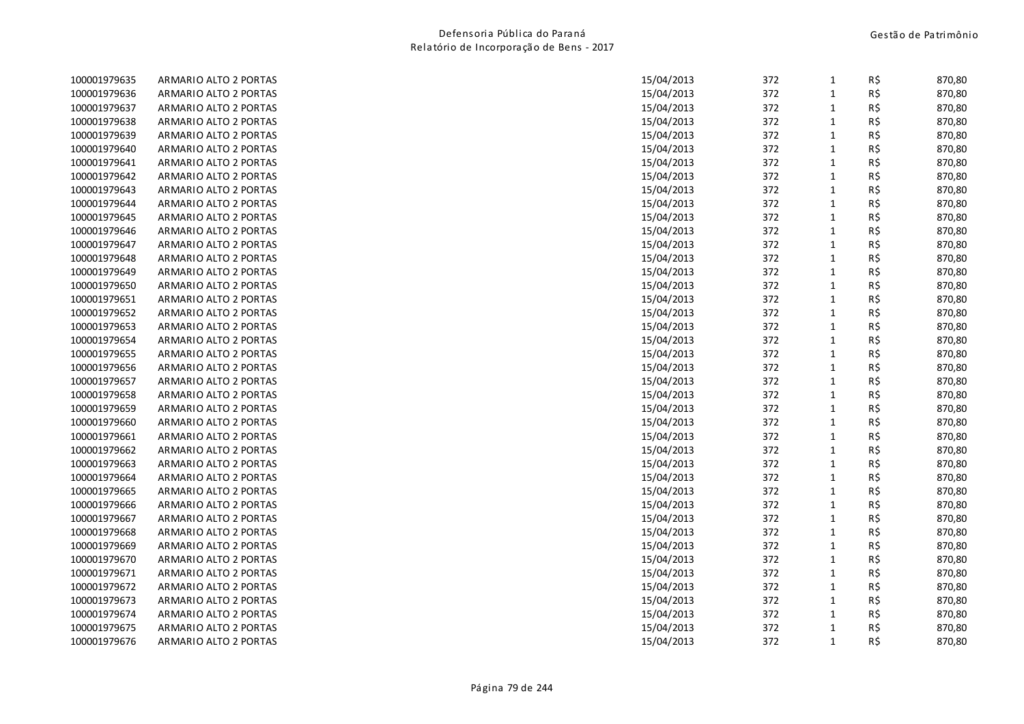|                              |                       |            | 372        | $\mathbf{1}$                 | R\$ |        |
|------------------------------|-----------------------|------------|------------|------------------------------|-----|--------|
| 100001979635<br>100001979636 | ARMARIO ALTO 2 PORTAS | 15/04/2013 | 372        |                              | R\$ | 870,80 |
|                              | ARMARIO ALTO 2 PORTAS | 15/04/2013 |            | $\mathbf{1}$<br>$\mathbf{1}$ |     | 870,80 |
| 100001979637                 | ARMARIO ALTO 2 PORTAS | 15/04/2013 | 372<br>372 |                              | R\$ | 870,80 |
| 100001979638                 | ARMARIO ALTO 2 PORTAS | 15/04/2013 |            | $\mathbf{1}$                 | R\$ | 870,80 |
| 100001979639                 | ARMARIO ALTO 2 PORTAS | 15/04/2013 | 372        | $\mathbf{1}$                 | R\$ | 870,80 |
| 100001979640                 | ARMARIO ALTO 2 PORTAS | 15/04/2013 | 372        | $\mathbf{1}$                 | R\$ | 870,80 |
| 100001979641                 | ARMARIO ALTO 2 PORTAS | 15/04/2013 | 372        | $\mathbf 1$                  | R\$ | 870,80 |
| 100001979642                 | ARMARIO ALTO 2 PORTAS | 15/04/2013 | 372        | $\mathbf{1}$                 | R\$ | 870,80 |
| 100001979643                 | ARMARIO ALTO 2 PORTAS | 15/04/2013 | 372        | $\mathbf{1}$                 | R\$ | 870,80 |
| 100001979644                 | ARMARIO ALTO 2 PORTAS | 15/04/2013 | 372        | $\mathbf{1}$                 | R\$ | 870,80 |
| 100001979645                 | ARMARIO ALTO 2 PORTAS | 15/04/2013 | 372        | $\mathbf 1$                  | R\$ | 870,80 |
| 100001979646                 | ARMARIO ALTO 2 PORTAS | 15/04/2013 | 372        | $\mathbf{1}$                 | R\$ | 870,80 |
| 100001979647                 | ARMARIO ALTO 2 PORTAS | 15/04/2013 | 372        | $\mathbf{1}$                 | R\$ | 870,80 |
| 100001979648                 | ARMARIO ALTO 2 PORTAS | 15/04/2013 | 372        | $\mathbf{1}$                 | R\$ | 870,80 |
| 100001979649                 | ARMARIO ALTO 2 PORTAS | 15/04/2013 | 372        | $\mathbf 1$                  | R\$ | 870,80 |
| 100001979650                 | ARMARIO ALTO 2 PORTAS | 15/04/2013 | 372        | $\mathbf{1}$                 | R\$ | 870,80 |
| 100001979651                 | ARMARIO ALTO 2 PORTAS | 15/04/2013 | 372        | $\mathbf{1}$                 | R\$ | 870,80 |
| 100001979652                 | ARMARIO ALTO 2 PORTAS | 15/04/2013 | 372        | $\mathbf{1}$                 | R\$ | 870,80 |
| 100001979653                 | ARMARIO ALTO 2 PORTAS | 15/04/2013 | 372        | $\mathbf 1$                  | R\$ | 870,80 |
| 100001979654                 | ARMARIO ALTO 2 PORTAS | 15/04/2013 | 372        | $\mathbf 1$                  | R\$ | 870,80 |
| 100001979655                 | ARMARIO ALTO 2 PORTAS | 15/04/2013 | 372        | $\mathbf 1$                  | R\$ | 870,80 |
| 100001979656                 | ARMARIO ALTO 2 PORTAS | 15/04/2013 | 372        | $\mathbf{1}$                 | R\$ | 870,80 |
| 100001979657                 | ARMARIO ALTO 2 PORTAS | 15/04/2013 | 372        | $\mathbf 1$                  | R\$ | 870,80 |
| 100001979658                 | ARMARIO ALTO 2 PORTAS | 15/04/2013 | 372        | $\mathbf 1$                  | R\$ | 870,80 |
| 100001979659                 | ARMARIO ALTO 2 PORTAS | 15/04/2013 | 372        | $\mathbf{1}$                 | R\$ | 870,80 |
| 100001979660                 | ARMARIO ALTO 2 PORTAS | 15/04/2013 | 372        | $\mathbf{1}$                 | R\$ | 870,80 |
| 100001979661                 | ARMARIO ALTO 2 PORTAS | 15/04/2013 | 372        | $\mathbf{1}$                 | R\$ | 870,80 |
| 100001979662                 | ARMARIO ALTO 2 PORTAS | 15/04/2013 | 372        | $\mathbf{1}$                 | R\$ | 870,80 |
| 100001979663                 | ARMARIO ALTO 2 PORTAS | 15/04/2013 | 372        | $\mathbf{1}$                 | R\$ | 870,80 |
| 100001979664                 | ARMARIO ALTO 2 PORTAS | 15/04/2013 | 372        | $\mathbf 1$                  | R\$ | 870,80 |
| 100001979665                 | ARMARIO ALTO 2 PORTAS | 15/04/2013 | 372        | $\mathbf{1}$                 | R\$ | 870,80 |
| 100001979666                 | ARMARIO ALTO 2 PORTAS | 15/04/2013 | 372        | $\mathbf{1}$                 | R\$ | 870,80 |
| 100001979667                 | ARMARIO ALTO 2 PORTAS | 15/04/2013 | 372        | $\mathbf{1}$                 | R\$ | 870,80 |
| 100001979668                 | ARMARIO ALTO 2 PORTAS | 15/04/2013 | 372        | $\mathbf 1$                  |     | 870,80 |
|                              |                       |            |            |                              | R\$ |        |
| 100001979669                 | ARMARIO ALTO 2 PORTAS | 15/04/2013 | 372        | $\mathbf{1}$                 | R\$ | 870,80 |
| 100001979670                 | ARMARIO ALTO 2 PORTAS | 15/04/2013 | 372        | $\mathbf 1$                  | R\$ | 870,80 |
| 100001979671                 | ARMARIO ALTO 2 PORTAS | 15/04/2013 | 372        | $\mathbf 1$                  | R\$ | 870,80 |
| 100001979672                 | ARMARIO ALTO 2 PORTAS | 15/04/2013 | 372        | $\mathbf{1}$                 | R\$ | 870,80 |
| 100001979673                 | ARMARIO ALTO 2 PORTAS | 15/04/2013 | 372        | $\mathbf{1}$                 | R\$ | 870,80 |
| 100001979674                 | ARMARIO ALTO 2 PORTAS | 15/04/2013 | 372        | $\mathbf{1}$                 | R\$ | 870,80 |
| 100001979675                 | ARMARIO ALTO 2 PORTAS | 15/04/2013 | 372        | $\mathbf{1}$                 | R\$ | 870,80 |
| 100001979676                 | ARMARIO ALTO 2 PORTAS | 15/04/2013 | 372        | $\mathbf{1}$                 | R\$ | 870,80 |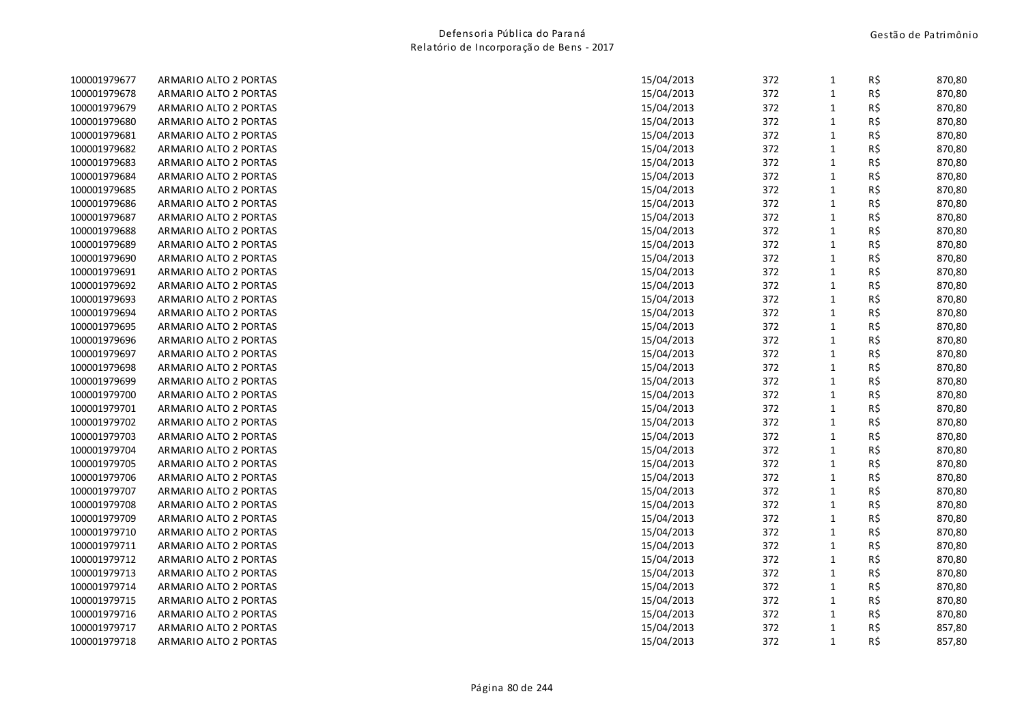| 100001979677 | ARMARIO ALTO 2 PORTAS | 15/04/2013 | 372 | $\mathbf{1}$ | R\$ | 870,80 |
|--------------|-----------------------|------------|-----|--------------|-----|--------|
| 100001979678 | ARMARIO ALTO 2 PORTAS | 15/04/2013 | 372 | $\mathbf{1}$ | R\$ | 870,80 |
| 100001979679 | ARMARIO ALTO 2 PORTAS | 15/04/2013 | 372 | $\mathbf{1}$ | R\$ | 870,80 |
| 100001979680 | ARMARIO ALTO 2 PORTAS | 15/04/2013 | 372 | $\mathbf{1}$ | R\$ | 870,80 |
| 100001979681 | ARMARIO ALTO 2 PORTAS | 15/04/2013 | 372 | $\mathbf{1}$ | R\$ | 870,80 |
| 100001979682 | ARMARIO ALTO 2 PORTAS | 15/04/2013 | 372 | $\mathbf{1}$ | R\$ | 870,80 |
| 100001979683 | ARMARIO ALTO 2 PORTAS | 15/04/2013 | 372 | $\mathbf{1}$ | R\$ | 870,80 |
| 100001979684 | ARMARIO ALTO 2 PORTAS | 15/04/2013 | 372 | $\mathbf{1}$ | R\$ | 870,80 |
| 100001979685 | ARMARIO ALTO 2 PORTAS | 15/04/2013 | 372 | $\mathbf{1}$ | R\$ | 870,80 |
| 100001979686 | ARMARIO ALTO 2 PORTAS | 15/04/2013 | 372 | $\mathbf{1}$ | R\$ | 870,80 |
| 100001979687 | ARMARIO ALTO 2 PORTAS | 15/04/2013 | 372 | $\mathbf{1}$ | R\$ | 870,80 |
| 100001979688 | ARMARIO ALTO 2 PORTAS | 15/04/2013 | 372 | $\mathbf{1}$ | R\$ | 870,80 |
| 100001979689 | ARMARIO ALTO 2 PORTAS | 15/04/2013 | 372 | $\mathbf{1}$ | R\$ | 870,80 |
| 100001979690 | ARMARIO ALTO 2 PORTAS | 15/04/2013 | 372 | $\mathbf{1}$ | R\$ | 870,80 |
| 100001979691 | ARMARIO ALTO 2 PORTAS | 15/04/2013 | 372 | $\mathbf{1}$ | R\$ | 870,80 |
| 100001979692 | ARMARIO ALTO 2 PORTAS | 15/04/2013 | 372 | $\mathbf{1}$ | R\$ | 870,80 |
| 100001979693 | ARMARIO ALTO 2 PORTAS | 15/04/2013 | 372 | $\mathbf{1}$ | R\$ | 870,80 |
| 100001979694 | ARMARIO ALTO 2 PORTAS | 15/04/2013 | 372 | $\mathbf{1}$ | R\$ | 870,80 |
| 100001979695 | ARMARIO ALTO 2 PORTAS | 15/04/2013 | 372 | $\mathbf{1}$ | R\$ | 870,80 |
| 100001979696 | ARMARIO ALTO 2 PORTAS | 15/04/2013 | 372 | $\mathbf 1$  | R\$ | 870,80 |
| 100001979697 | ARMARIO ALTO 2 PORTAS | 15/04/2013 | 372 | $\mathbf{1}$ | R\$ | 870,80 |
| 100001979698 | ARMARIO ALTO 2 PORTAS | 15/04/2013 | 372 | $\mathbf{1}$ | R\$ | 870,80 |
| 100001979699 | ARMARIO ALTO 2 PORTAS | 15/04/2013 | 372 | $\mathbf{1}$ | R\$ | 870,80 |
| 100001979700 | ARMARIO ALTO 2 PORTAS | 15/04/2013 | 372 | $\mathbf 1$  | R\$ | 870,80 |
| 100001979701 | ARMARIO ALTO 2 PORTAS | 15/04/2013 | 372 | $\mathbf{1}$ | R\$ | 870,80 |
| 100001979702 | ARMARIO ALTO 2 PORTAS | 15/04/2013 | 372 | $\mathbf{1}$ | R\$ | 870,80 |
| 100001979703 | ARMARIO ALTO 2 PORTAS | 15/04/2013 | 372 | $\mathbf{1}$ | R\$ | 870,80 |
| 100001979704 | ARMARIO ALTO 2 PORTAS | 15/04/2013 | 372 | $\mathbf{1}$ | R\$ | 870,80 |
| 100001979705 | ARMARIO ALTO 2 PORTAS | 15/04/2013 | 372 | $\mathbf{1}$ | R\$ | 870,80 |
| 100001979706 | ARMARIO ALTO 2 PORTAS | 15/04/2013 | 372 | $\mathbf{1}$ | R\$ | 870,80 |
| 100001979707 | ARMARIO ALTO 2 PORTAS | 15/04/2013 | 372 | $\mathbf{1}$ | R\$ | 870,80 |
| 100001979708 | ARMARIO ALTO 2 PORTAS | 15/04/2013 | 372 | $\mathbf{1}$ | R\$ | 870,80 |
| 100001979709 | ARMARIO ALTO 2 PORTAS | 15/04/2013 | 372 | $\mathbf{1}$ | R\$ | 870,80 |
| 100001979710 | ARMARIO ALTO 2 PORTAS | 15/04/2013 | 372 | $\mathbf{1}$ | R\$ | 870,80 |
| 100001979711 | ARMARIO ALTO 2 PORTAS | 15/04/2013 | 372 | $\mathbf{1}$ | R\$ | 870,80 |
| 100001979712 | ARMARIO ALTO 2 PORTAS | 15/04/2013 | 372 | $\mathbf{1}$ | R\$ | 870,80 |
| 100001979713 | ARMARIO ALTO 2 PORTAS | 15/04/2013 | 372 | $\mathbf 1$  | R\$ | 870,80 |
| 100001979714 | ARMARIO ALTO 2 PORTAS | 15/04/2013 | 372 | $\mathbf{1}$ | R\$ | 870,80 |
| 100001979715 | ARMARIO ALTO 2 PORTAS | 15/04/2013 | 372 | $\mathbf{1}$ | R\$ | 870,80 |
| 100001979716 | ARMARIO ALTO 2 PORTAS | 15/04/2013 | 372 | $\mathbf{1}$ | R\$ | 870,80 |
| 100001979717 | ARMARIO ALTO 2 PORTAS | 15/04/2013 | 372 | $\mathbf{1}$ | R\$ | 857,80 |
| 100001979718 | ARMARIO ALTO 2 PORTAS | 15/04/2013 | 372 | $\mathbf{1}$ | R\$ | 857,80 |
|              |                       |            |     |              |     |        |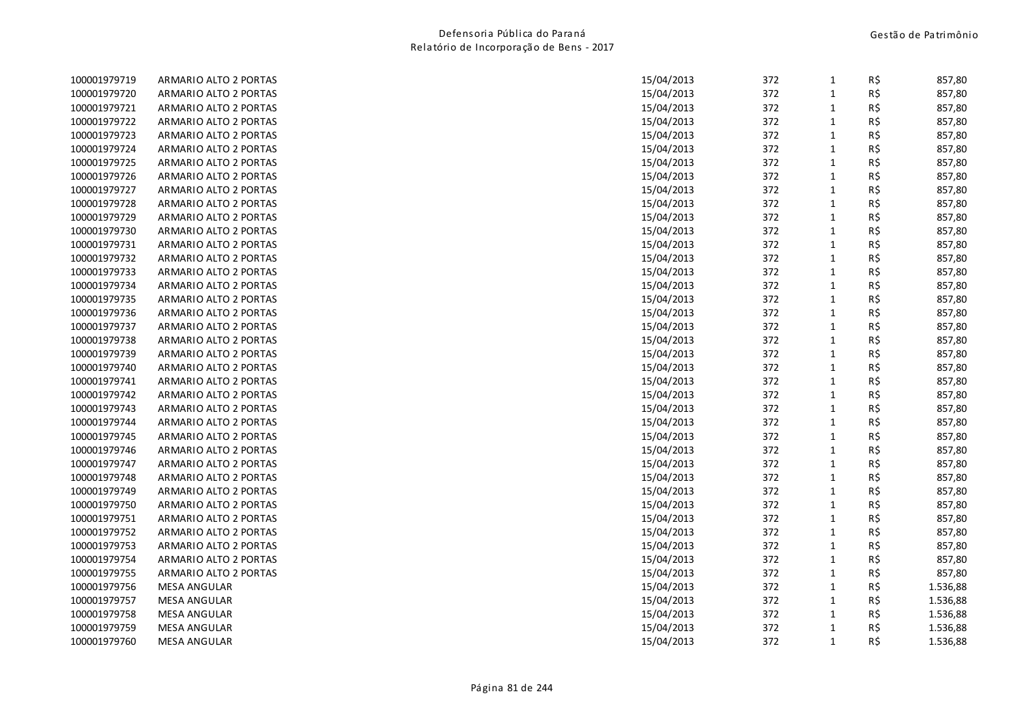| 100001979719 | ARMARIO ALTO 2 PORTAS | 15/04/2013 | 372 | 1            | R\$ | 857,80   |
|--------------|-----------------------|------------|-----|--------------|-----|----------|
| 100001979720 | ARMARIO ALTO 2 PORTAS | 15/04/2013 | 372 | $\mathbf{1}$ | R\$ | 857,80   |
| 100001979721 | ARMARIO ALTO 2 PORTAS | 15/04/2013 | 372 | $\mathbf{1}$ | R\$ | 857,80   |
| 100001979722 | ARMARIO ALTO 2 PORTAS | 15/04/2013 | 372 | $\mathbf 1$  | R\$ | 857,80   |
| 100001979723 | ARMARIO ALTO 2 PORTAS | 15/04/2013 | 372 | $\mathbf 1$  | R\$ | 857,80   |
| 100001979724 | ARMARIO ALTO 2 PORTAS | 15/04/2013 | 372 | $\mathbf{1}$ | R\$ | 857,80   |
| 100001979725 | ARMARIO ALTO 2 PORTAS | 15/04/2013 | 372 | $\mathbf{1}$ | R\$ | 857,80   |
| 100001979726 | ARMARIO ALTO 2 PORTAS | 15/04/2013 | 372 | $\mathbf{1}$ | R\$ | 857,80   |
| 100001979727 | ARMARIO ALTO 2 PORTAS | 15/04/2013 | 372 | $\mathbf 1$  | R\$ | 857,80   |
| 100001979728 | ARMARIO ALTO 2 PORTAS | 15/04/2013 | 372 | $\mathbf 1$  | R\$ | 857,80   |
| 100001979729 | ARMARIO ALTO 2 PORTAS | 15/04/2013 | 372 | $\mathbf{1}$ | R\$ | 857,80   |
| 100001979730 | ARMARIO ALTO 2 PORTAS | 15/04/2013 | 372 | $\mathbf 1$  | R\$ | 857,80   |
| 100001979731 | ARMARIO ALTO 2 PORTAS | 15/04/2013 | 372 | $\mathbf 1$  | R\$ | 857,80   |
| 100001979732 | ARMARIO ALTO 2 PORTAS | 15/04/2013 | 372 | $\mathbf{1}$ | R\$ | 857,80   |
| 100001979733 | ARMARIO ALTO 2 PORTAS | 15/04/2013 | 372 | $\mathbf{1}$ | R\$ | 857,80   |
| 100001979734 | ARMARIO ALTO 2 PORTAS | 15/04/2013 | 372 | $\mathbf{1}$ | R\$ | 857,80   |
| 100001979735 | ARMARIO ALTO 2 PORTAS | 15/04/2013 | 372 | $\mathbf 1$  | R\$ | 857,80   |
| 100001979736 | ARMARIO ALTO 2 PORTAS | 15/04/2013 | 372 | $\mathbf 1$  | R\$ | 857,80   |
| 100001979737 | ARMARIO ALTO 2 PORTAS | 15/04/2013 | 372 | $\mathbf 1$  | R\$ | 857,80   |
| 100001979738 | ARMARIO ALTO 2 PORTAS | 15/04/2013 | 372 | $\mathbf{1}$ | R\$ | 857,80   |
| 100001979739 | ARMARIO ALTO 2 PORTAS | 15/04/2013 | 372 | $\mathbf{1}$ | R\$ | 857,80   |
| 100001979740 | ARMARIO ALTO 2 PORTAS | 15/04/2013 | 372 | $\mathbf{1}$ | R\$ | 857,80   |
| 100001979741 | ARMARIO ALTO 2 PORTAS | 15/04/2013 | 372 | $\mathbf{1}$ | R\$ | 857,80   |
| 100001979742 | ARMARIO ALTO 2 PORTAS | 15/04/2013 | 372 | $\mathbf 1$  | R\$ | 857,80   |
| 100001979743 | ARMARIO ALTO 2 PORTAS | 15/04/2013 | 372 | $\mathbf{1}$ | R\$ | 857,80   |
| 100001979744 | ARMARIO ALTO 2 PORTAS | 15/04/2013 | 372 | $\mathbf{1}$ | R\$ | 857,80   |
| 100001979745 | ARMARIO ALTO 2 PORTAS | 15/04/2013 | 372 | $\mathbf 1$  | R\$ | 857,80   |
| 100001979746 | ARMARIO ALTO 2 PORTAS | 15/04/2013 | 372 | $\mathbf 1$  | R\$ | 857,80   |
| 100001979747 | ARMARIO ALTO 2 PORTAS | 15/04/2013 | 372 | $\mathbf{1}$ | R\$ | 857,80   |
| 100001979748 | ARMARIO ALTO 2 PORTAS | 15/04/2013 | 372 | $\mathbf{1}$ | R\$ | 857,80   |
| 100001979749 | ARMARIO ALTO 2 PORTAS | 15/04/2013 | 372 | $\mathbf 1$  | R\$ | 857,80   |
| 100001979750 | ARMARIO ALTO 2 PORTAS | 15/04/2013 | 372 | $\mathbf 1$  | R\$ | 857,80   |
| 100001979751 | ARMARIO ALTO 2 PORTAS | 15/04/2013 | 372 | $\mathbf 1$  | R\$ | 857,80   |
| 100001979752 | ARMARIO ALTO 2 PORTAS | 15/04/2013 | 372 | $\mathbf 1$  | R\$ | 857,80   |
| 100001979753 | ARMARIO ALTO 2 PORTAS | 15/04/2013 | 372 | $\mathbf{1}$ | R\$ | 857,80   |
| 100001979754 | ARMARIO ALTO 2 PORTAS | 15/04/2013 | 372 | $\mathbf{1}$ | R\$ | 857,80   |
| 100001979755 | ARMARIO ALTO 2 PORTAS | 15/04/2013 | 372 | $\mathbf 1$  | R\$ | 857,80   |
| 100001979756 | <b>MESA ANGULAR</b>   | 15/04/2013 | 372 | $\mathbf 1$  | R\$ | 1.536,88 |
| 100001979757 | <b>MESA ANGULAR</b>   | 15/04/2013 | 372 | $\mathbf{1}$ | R\$ | 1.536,88 |
| 100001979758 | <b>MESA ANGULAR</b>   | 15/04/2013 | 372 | $\mathbf{1}$ | R\$ | 1.536,88 |
| 100001979759 | <b>MESA ANGULAR</b>   | 15/04/2013 | 372 | $\mathbf 1$  | R\$ | 1.536,88 |
| 100001979760 | <b>MESA ANGULAR</b>   | 15/04/2013 | 372 | $\mathbf{1}$ | R\$ | 1.536,88 |
|              |                       |            |     |              |     |          |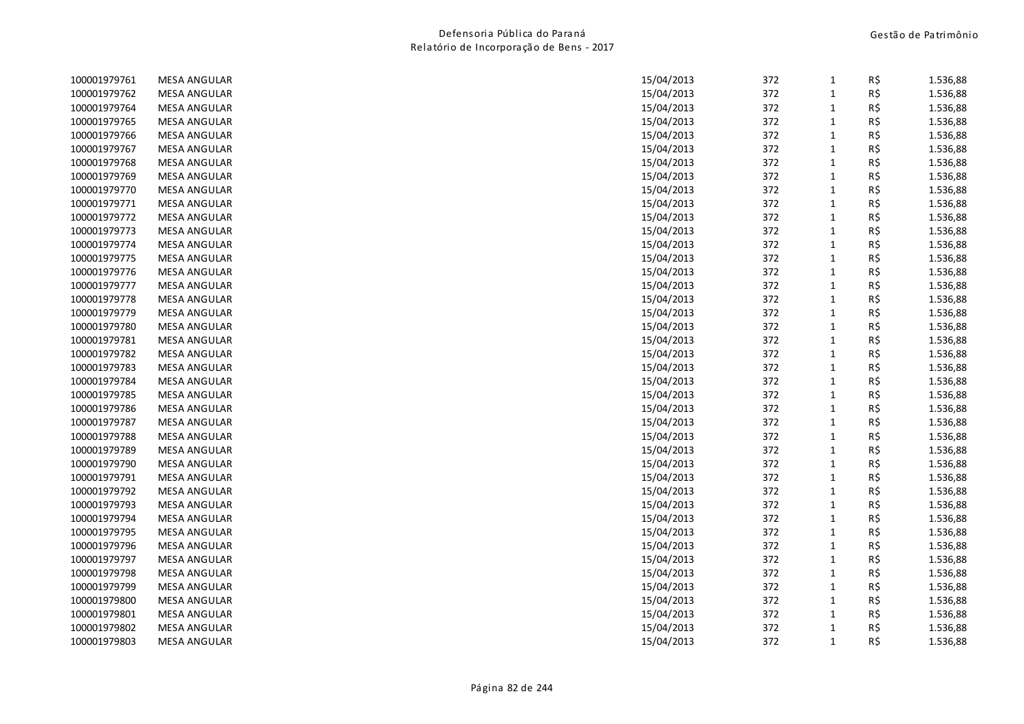| 100001979761 | <b>MESA ANGULAR</b> | 15/04/2013 | 372 | $\mathbf{1}$ | R\$ | 1.536,88 |
|--------------|---------------------|------------|-----|--------------|-----|----------|
| 100001979762 | <b>MESA ANGULAR</b> | 15/04/2013 | 372 | $\mathbf{1}$ | R\$ | 1.536,88 |
| 100001979764 | <b>MESA ANGULAR</b> | 15/04/2013 | 372 | $\mathbf{1}$ | R\$ | 1.536,88 |
| 100001979765 | <b>MESA ANGULAR</b> | 15/04/2013 | 372 | $\mathbf 1$  | R\$ | 1.536,88 |
| 100001979766 | <b>MESA ANGULAR</b> | 15/04/2013 | 372 | $\mathbf{1}$ | R\$ | 1.536,88 |
| 100001979767 | <b>MESA ANGULAR</b> | 15/04/2013 | 372 | $\mathbf{1}$ | R\$ | 1.536,88 |
| 100001979768 | <b>MESA ANGULAR</b> | 15/04/2013 | 372 | $\mathbf{1}$ | R\$ | 1.536,88 |
| 100001979769 | <b>MESA ANGULAR</b> | 15/04/2013 | 372 | $\mathbf{1}$ | R\$ | 1.536,88 |
| 100001979770 | <b>MESA ANGULAR</b> | 15/04/2013 | 372 | $\mathbf{1}$ | R\$ | 1.536,88 |
| 100001979771 | <b>MESA ANGULAR</b> | 15/04/2013 | 372 | $\mathbf{1}$ | R\$ | 1.536,88 |
| 100001979772 | <b>MESA ANGULAR</b> | 15/04/2013 | 372 | $\mathbf 1$  | R\$ | 1.536,88 |
| 100001979773 | <b>MESA ANGULAR</b> | 15/04/2013 | 372 | $\mathbf{1}$ | R\$ | 1.536,88 |
| 100001979774 | <b>MESA ANGULAR</b> | 15/04/2013 | 372 | $\mathbf 1$  | R\$ | 1.536,88 |
| 100001979775 | <b>MESA ANGULAR</b> | 15/04/2013 | 372 | $\mathbf{1}$ | R\$ | 1.536,88 |
| 100001979776 | <b>MESA ANGULAR</b> | 15/04/2013 | 372 | $\mathbf{1}$ | R\$ | 1.536,88 |
| 100001979777 | <b>MESA ANGULAR</b> | 15/04/2013 | 372 | $\mathbf{1}$ | R\$ | 1.536,88 |
| 100001979778 | <b>MESA ANGULAR</b> | 15/04/2013 | 372 | $\mathbf{1}$ | R\$ | 1.536,88 |
| 100001979779 | <b>MESA ANGULAR</b> | 15/04/2013 | 372 | $\mathbf 1$  | R\$ | 1.536,88 |
| 100001979780 | <b>MESA ANGULAR</b> | 15/04/2013 | 372 | $\mathbf{1}$ | R\$ | 1.536,88 |
| 100001979781 | <b>MESA ANGULAR</b> | 15/04/2013 | 372 | $\mathbf{1}$ | R\$ | 1.536,88 |
| 100001979782 | <b>MESA ANGULAR</b> | 15/04/2013 | 372 | $\mathbf{1}$ | R\$ | 1.536,88 |
| 100001979783 | <b>MESA ANGULAR</b> | 15/04/2013 | 372 | $\mathbf{1}$ | R\$ | 1.536,88 |
| 100001979784 | <b>MESA ANGULAR</b> | 15/04/2013 | 372 | $\mathbf 1$  | R\$ | 1.536,88 |
| 100001979785 | <b>MESA ANGULAR</b> | 15/04/2013 | 372 | $\mathbf 1$  | R\$ | 1.536,88 |
| 100001979786 | <b>MESA ANGULAR</b> | 15/04/2013 | 372 | $\mathbf 1$  | R\$ | 1.536,88 |
| 100001979787 | <b>MESA ANGULAR</b> | 15/04/2013 | 372 | $\mathbf{1}$ | R\$ | 1.536,88 |
| 100001979788 | <b>MESA ANGULAR</b> | 15/04/2013 | 372 | $\mathbf 1$  | R\$ | 1.536,88 |
| 100001979789 | <b>MESA ANGULAR</b> | 15/04/2013 | 372 | $\mathbf{1}$ | R\$ | 1.536,88 |
| 100001979790 | <b>MESA ANGULAR</b> | 15/04/2013 | 372 | $\mathbf{1}$ | R\$ | 1.536,88 |
| 100001979791 | <b>MESA ANGULAR</b> | 15/04/2013 | 372 | $\mathbf{1}$ | R\$ | 1.536,88 |
| 100001979792 | <b>MESA ANGULAR</b> | 15/04/2013 | 372 | $\mathbf 1$  | R\$ | 1.536,88 |
| 100001979793 | <b>MESA ANGULAR</b> | 15/04/2013 | 372 | $\mathbf 1$  | R\$ | 1.536,88 |
| 100001979794 | <b>MESA ANGULAR</b> | 15/04/2013 | 372 | $\mathbf{1}$ | R\$ | 1.536,88 |
| 100001979795 | <b>MESA ANGULAR</b> | 15/04/2013 | 372 | $\mathbf{1}$ | R\$ | 1.536,88 |
| 100001979796 | <b>MESA ANGULAR</b> | 15/04/2013 | 372 | $\mathbf{1}$ | R\$ | 1.536,88 |
| 100001979797 | <b>MESA ANGULAR</b> | 15/04/2013 | 372 | $\mathbf{1}$ | R\$ | 1.536,88 |
| 100001979798 | <b>MESA ANGULAR</b> | 15/04/2013 | 372 | $\mathbf 1$  | R\$ | 1.536,88 |
| 100001979799 | <b>MESA ANGULAR</b> | 15/04/2013 | 372 | $\mathbf{1}$ | R\$ | 1.536,88 |
| 100001979800 | <b>MESA ANGULAR</b> | 15/04/2013 | 372 | $\mathbf{1}$ | R\$ | 1.536,88 |
| 100001979801 | <b>MESA ANGULAR</b> | 15/04/2013 | 372 | $\mathbf{1}$ | R\$ | 1.536,88 |
| 100001979802 | <b>MESA ANGULAR</b> | 15/04/2013 | 372 | $\mathbf{1}$ | R\$ | 1.536,88 |
| 100001979803 | <b>MESA ANGULAR</b> | 15/04/2013 | 372 | $\mathbf{1}$ | R\$ | 1.536,88 |
|              |                     |            |     |              |     |          |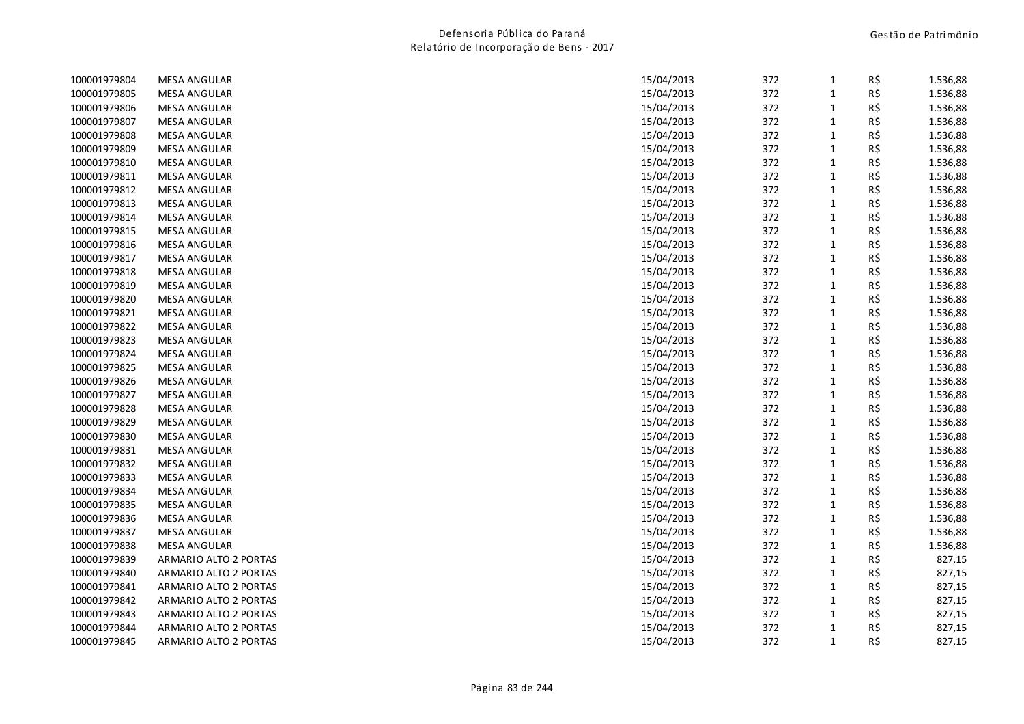| 100001979804 | <b>MESA ANGULAR</b>   | 15/04/2013 | 372 | 1            | R\$ | 1.536,88 |
|--------------|-----------------------|------------|-----|--------------|-----|----------|
| 100001979805 | <b>MESA ANGULAR</b>   | 15/04/2013 | 372 | $\mathbf{1}$ | R\$ | 1.536,88 |
| 100001979806 | <b>MESA ANGULAR</b>   | 15/04/2013 | 372 | $\mathbf{1}$ | R\$ | 1.536,88 |
| 100001979807 | <b>MESA ANGULAR</b>   | 15/04/2013 | 372 | $\mathbf 1$  | R\$ | 1.536,88 |
| 100001979808 | <b>MESA ANGULAR</b>   | 15/04/2013 | 372 | $\mathbf{1}$ | R\$ | 1.536,88 |
| 100001979809 | <b>MESA ANGULAR</b>   | 15/04/2013 | 372 | $\mathbf{1}$ | R\$ | 1.536,88 |
| 100001979810 | <b>MESA ANGULAR</b>   | 15/04/2013 | 372 | $\mathbf{1}$ | R\$ | 1.536,88 |
| 100001979811 | <b>MESA ANGULAR</b>   | 15/04/2013 | 372 | $\mathbf{1}$ | R\$ | 1.536,88 |
| 100001979812 | <b>MESA ANGULAR</b>   | 15/04/2013 | 372 | $\mathbf 1$  | R\$ | 1.536,88 |
| 100001979813 | <b>MESA ANGULAR</b>   | 15/04/2013 | 372 | $\mathbf{1}$ | R\$ | 1.536,88 |
| 100001979814 | <b>MESA ANGULAR</b>   | 15/04/2013 | 372 | $\mathbf 1$  | R\$ | 1.536,88 |
| 100001979815 | <b>MESA ANGULAR</b>   | 15/04/2013 | 372 | $\mathbf{1}$ | R\$ | 1.536,88 |
| 100001979816 | <b>MESA ANGULAR</b>   | 15/04/2013 | 372 | $\mathbf{1}$ | R\$ | 1.536,88 |
| 100001979817 | <b>MESA ANGULAR</b>   | 15/04/2013 | 372 | $\mathbf{1}$ | R\$ | 1.536,88 |
| 100001979818 | <b>MESA ANGULAR</b>   | 15/04/2013 | 372 | $\mathbf{1}$ | R\$ | 1.536,88 |
| 100001979819 | <b>MESA ANGULAR</b>   | 15/04/2013 | 372 | $\mathbf{1}$ | R\$ | 1.536,88 |
| 100001979820 | <b>MESA ANGULAR</b>   | 15/04/2013 | 372 | $\mathbf{1}$ | R\$ | 1.536,88 |
| 100001979821 | <b>MESA ANGULAR</b>   | 15/04/2013 | 372 | $\mathbf 1$  | R\$ | 1.536,88 |
| 100001979822 | <b>MESA ANGULAR</b>   | 15/04/2013 | 372 | $\mathbf{1}$ | R\$ | 1.536,88 |
| 100001979823 | <b>MESA ANGULAR</b>   | 15/04/2013 | 372 | $\mathbf{1}$ | R\$ | 1.536,88 |
| 100001979824 | <b>MESA ANGULAR</b>   | 15/04/2013 | 372 | $\mathbf{1}$ | R\$ | 1.536,88 |
| 100001979825 | <b>MESA ANGULAR</b>   | 15/04/2013 | 372 | $\mathbf{1}$ | R\$ | 1.536,88 |
| 100001979826 | <b>MESA ANGULAR</b>   | 15/04/2013 | 372 | $\mathbf 1$  | R\$ | 1.536,88 |
| 100001979827 | <b>MESA ANGULAR</b>   | 15/04/2013 | 372 | $\mathbf 1$  | R\$ | 1.536,88 |
| 100001979828 | <b>MESA ANGULAR</b>   | 15/04/2013 | 372 | $\mathbf{1}$ | R\$ | 1.536,88 |
| 100001979829 | <b>MESA ANGULAR</b>   | 15/04/2013 | 372 | $\mathbf{1}$ | R\$ | 1.536,88 |
| 100001979830 | <b>MESA ANGULAR</b>   | 15/04/2013 | 372 | $\mathbf{1}$ | R\$ | 1.536,88 |
| 100001979831 | <b>MESA ANGULAR</b>   | 15/04/2013 | 372 | $\mathbf{1}$ | R\$ | 1.536,88 |
| 100001979832 | <b>MESA ANGULAR</b>   | 15/04/2013 | 372 | $\mathbf{1}$ | R\$ | 1.536,88 |
| 100001979833 | <b>MESA ANGULAR</b>   | 15/04/2013 | 372 | $\mathbf{1}$ | R\$ | 1.536,88 |
| 100001979834 | <b>MESA ANGULAR</b>   | 15/04/2013 | 372 | $\mathbf{1}$ | R\$ | 1.536,88 |
| 100001979835 | <b>MESA ANGULAR</b>   | 15/04/2013 | 372 | $\mathbf 1$  | R\$ | 1.536,88 |
| 100001979836 | <b>MESA ANGULAR</b>   | 15/04/2013 | 372 | $\mathbf{1}$ | R\$ | 1.536,88 |
| 100001979837 | <b>MESA ANGULAR</b>   | 15/04/2013 | 372 | $\mathbf{1}$ | R\$ | 1.536,88 |
| 100001979838 | <b>MESA ANGULAR</b>   | 15/04/2013 | 372 | $\mathbf{1}$ | R\$ | 1.536,88 |
| 100001979839 | ARMARIO ALTO 2 PORTAS | 15/04/2013 | 372 | $\mathbf{1}$ | R\$ | 827,15   |
| 100001979840 | ARMARIO ALTO 2 PORTAS | 15/04/2013 | 372 | $\mathbf 1$  | R\$ | 827,15   |
| 100001979841 | ARMARIO ALTO 2 PORTAS | 15/04/2013 | 372 | $\mathbf{1}$ | R\$ | 827,15   |
| 100001979842 | ARMARIO ALTO 2 PORTAS | 15/04/2013 | 372 | $\mathbf{1}$ | R\$ | 827,15   |
| 100001979843 | ARMARIO ALTO 2 PORTAS | 15/04/2013 | 372 | $\mathbf{1}$ | R\$ | 827,15   |
| 100001979844 | ARMARIO ALTO 2 PORTAS | 15/04/2013 | 372 | $\mathbf{1}$ | R\$ | 827,15   |
| 100001979845 | ARMARIO ALTO 2 PORTAS | 15/04/2013 | 372 | $\mathbf{1}$ | R\$ | 827,15   |
|              |                       |            |     |              |     |          |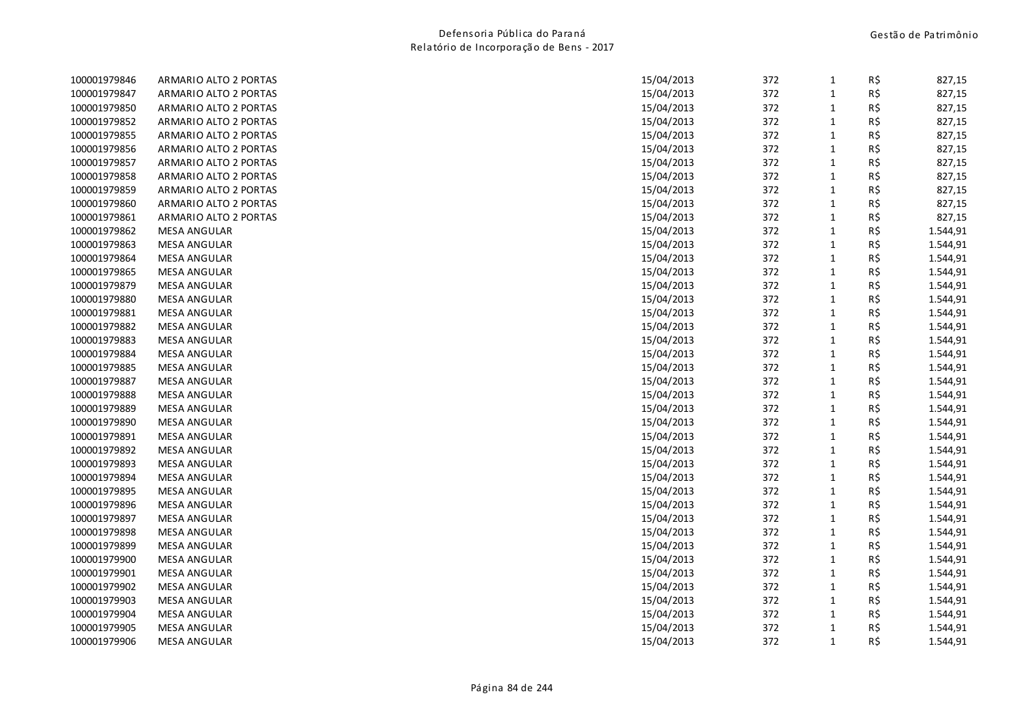| 100001979846 | ARMARIO ALTO 2 PORTAS | 15/04/2013 | 372 | 1            | R\$ | 827,15   |
|--------------|-----------------------|------------|-----|--------------|-----|----------|
| 100001979847 | ARMARIO ALTO 2 PORTAS | 15/04/2013 | 372 | $\mathbf{1}$ | R\$ | 827,15   |
| 100001979850 | ARMARIO ALTO 2 PORTAS | 15/04/2013 | 372 | $\mathbf{1}$ | R\$ | 827,15   |
| 100001979852 | ARMARIO ALTO 2 PORTAS | 15/04/2013 | 372 | $\mathbf 1$  | R\$ | 827,15   |
| 100001979855 | ARMARIO ALTO 2 PORTAS | 15/04/2013 | 372 | $\mathbf 1$  | R\$ | 827,15   |
| 100001979856 | ARMARIO ALTO 2 PORTAS | 15/04/2013 | 372 | $\mathbf 1$  | R\$ | 827,15   |
| 100001979857 | ARMARIO ALTO 2 PORTAS | 15/04/2013 | 372 | $\mathbf{1}$ | R\$ | 827,15   |
| 100001979858 | ARMARIO ALTO 2 PORTAS | 15/04/2013 | 372 | $\mathbf{1}$ | R\$ | 827,15   |
| 100001979859 | ARMARIO ALTO 2 PORTAS | 15/04/2013 | 372 | $\mathbf 1$  | R\$ | 827,15   |
| 100001979860 | ARMARIO ALTO 2 PORTAS | 15/04/2013 | 372 | $\mathbf 1$  | R\$ | 827,15   |
| 100001979861 | ARMARIO ALTO 2 PORTAS | 15/04/2013 | 372 | $\mathbf 1$  | R\$ | 827,15   |
| 100001979862 | <b>MESA ANGULAR</b>   | 15/04/2013 | 372 | $\mathbf{1}$ | R\$ | 1.544,91 |
| 100001979863 | <b>MESA ANGULAR</b>   | 15/04/2013 | 372 | $\mathbf 1$  | R\$ | 1.544,91 |
| 100001979864 | <b>MESA ANGULAR</b>   | 15/04/2013 | 372 | $\mathbf{1}$ | R\$ | 1.544,91 |
| 100001979865 | <b>MESA ANGULAR</b>   | 15/04/2013 | 372 | $\mathbf{1}$ | R\$ | 1.544,91 |
| 100001979879 | <b>MESA ANGULAR</b>   | 15/04/2013 | 372 | $\mathbf{1}$ | R\$ | 1.544,91 |
| 100001979880 | <b>MESA ANGULAR</b>   | 15/04/2013 | 372 | $\mathbf 1$  | R\$ | 1.544,91 |
| 100001979881 | <b>MESA ANGULAR</b>   | 15/04/2013 | 372 | $\mathbf 1$  | R\$ | 1.544,91 |
| 100001979882 | <b>MESA ANGULAR</b>   | 15/04/2013 | 372 | $\mathbf 1$  | R\$ | 1.544,91 |
| 100001979883 | <b>MESA ANGULAR</b>   | 15/04/2013 | 372 | $\mathbf 1$  | R\$ | 1.544,91 |
| 100001979884 | <b>MESA ANGULAR</b>   | 15/04/2013 | 372 | $\mathbf{1}$ | R\$ | 1.544,91 |
| 100001979885 | <b>MESA ANGULAR</b>   | 15/04/2013 | 372 | $\mathbf{1}$ | R\$ | 1.544,91 |
| 100001979887 | <b>MESA ANGULAR</b>   | 15/04/2013 | 372 | $\mathbf 1$  | R\$ | 1.544,91 |
| 100001979888 | <b>MESA ANGULAR</b>   | 15/04/2013 | 372 | $\mathbf 1$  | R\$ | 1.544,91 |
| 100001979889 | <b>MESA ANGULAR</b>   | 15/04/2013 | 372 | $\mathbf 1$  | R\$ | 1.544,91 |
| 100001979890 | <b>MESA ANGULAR</b>   | 15/04/2013 | 372 | $\mathbf{1}$ | R\$ | 1.544,91 |
| 100001979891 | <b>MESA ANGULAR</b>   | 15/04/2013 | 372 | $\mathbf 1$  | R\$ | 1.544,91 |
| 100001979892 | <b>MESA ANGULAR</b>   | 15/04/2013 | 372 | $\mathbf 1$  | R\$ | 1.544,91 |
| 100001979893 | <b>MESA ANGULAR</b>   | 15/04/2013 | 372 | $\mathbf{1}$ | R\$ | 1.544,91 |
| 100001979894 | <b>MESA ANGULAR</b>   | 15/04/2013 | 372 | $\mathbf{1}$ | R\$ | 1.544,91 |
| 100001979895 | <b>MESA ANGULAR</b>   | 15/04/2013 | 372 | $\mathbf 1$  | R\$ | 1.544,91 |
| 100001979896 | <b>MESA ANGULAR</b>   | 15/04/2013 | 372 | $\mathbf 1$  | R\$ | 1.544,91 |
| 100001979897 | <b>MESA ANGULAR</b>   | 15/04/2013 | 372 | $\mathbf 1$  | R\$ | 1.544,91 |
| 100001979898 | <b>MESA ANGULAR</b>   | 15/04/2013 | 372 | $\mathbf 1$  | R\$ | 1.544,91 |
| 100001979899 | <b>MESA ANGULAR</b>   | 15/04/2013 | 372 | $\mathbf{1}$ | R\$ | 1.544,91 |
| 100001979900 | <b>MESA ANGULAR</b>   | 15/04/2013 | 372 | $\mathbf{1}$ | R\$ | 1.544,91 |
| 100001979901 | <b>MESA ANGULAR</b>   | 15/04/2013 | 372 | $\mathbf 1$  | R\$ | 1.544,91 |
| 100001979902 | <b>MESA ANGULAR</b>   | 15/04/2013 | 372 | $\mathbf 1$  | R\$ | 1.544,91 |
| 100001979903 | <b>MESA ANGULAR</b>   | 15/04/2013 | 372 | $\mathbf 1$  | R\$ | 1.544,91 |
| 100001979904 | <b>MESA ANGULAR</b>   | 15/04/2013 | 372 | $\mathbf{1}$ | R\$ | 1.544,91 |
| 100001979905 | <b>MESA ANGULAR</b>   | 15/04/2013 | 372 | $\mathbf{1}$ | R\$ | 1.544,91 |
| 100001979906 | <b>MESA ANGULAR</b>   | 15/04/2013 | 372 | $\mathbf{1}$ | R\$ | 1.544,91 |
|              |                       |            |     |              |     |          |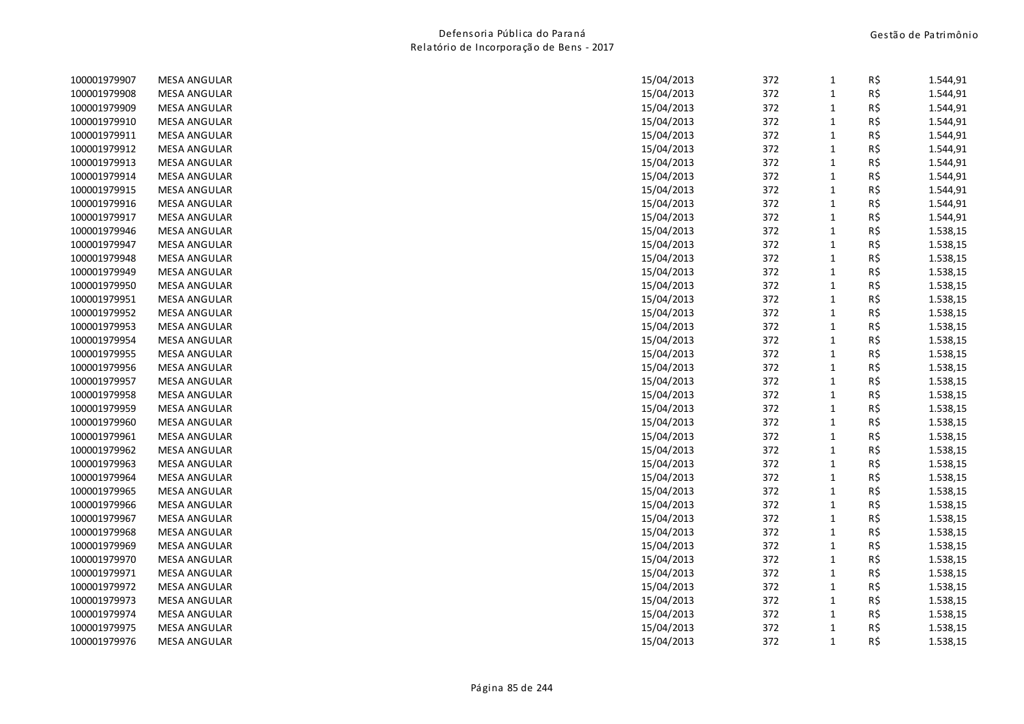| 100001979907 | <b>MESA ANGULAR</b> | 15/04/2013 | 372 | $\mathbf{1}$ | R\$ | 1.544,91 |
|--------------|---------------------|------------|-----|--------------|-----|----------|
| 100001979908 | <b>MESA ANGULAR</b> | 15/04/2013 | 372 | $\mathbf{1}$ | R\$ | 1.544,91 |
| 100001979909 | <b>MESA ANGULAR</b> | 15/04/2013 | 372 | $\mathbf{1}$ | R\$ | 1.544,91 |
| 100001979910 | <b>MESA ANGULAR</b> | 15/04/2013 | 372 | $\mathbf 1$  | R\$ | 1.544,91 |
| 100001979911 | <b>MESA ANGULAR</b> | 15/04/2013 | 372 | $\mathbf 1$  | R\$ | 1.544,91 |
| 100001979912 | <b>MESA ANGULAR</b> | 15/04/2013 | 372 | $\mathbf{1}$ | R\$ | 1.544,91 |
| 100001979913 | <b>MESA ANGULAR</b> | 15/04/2013 | 372 | $\mathbf 1$  | R\$ | 1.544,91 |
| 100001979914 | <b>MESA ANGULAR</b> | 15/04/2013 | 372 | $\mathbf{1}$ | R\$ | 1.544,91 |
| 100001979915 | <b>MESA ANGULAR</b> | 15/04/2013 | 372 | $\mathbf 1$  | R\$ | 1.544,91 |
| 100001979916 | <b>MESA ANGULAR</b> | 15/04/2013 | 372 | $\mathbf{1}$ | R\$ | 1.544,91 |
| 100001979917 | <b>MESA ANGULAR</b> | 15/04/2013 | 372 | $\mathbf 1$  | R\$ | 1.544,91 |
| 100001979946 | <b>MESA ANGULAR</b> | 15/04/2013 | 372 | $\mathbf{1}$ | R\$ | 1.538,15 |
| 100001979947 | <b>MESA ANGULAR</b> | 15/04/2013 | 372 | $\mathbf 1$  | R\$ | 1.538,15 |
| 100001979948 | <b>MESA ANGULAR</b> | 15/04/2013 | 372 | $\mathbf 1$  | R\$ | 1.538,15 |
| 100001979949 | <b>MESA ANGULAR</b> | 15/04/2013 | 372 | $\mathbf{1}$ | R\$ | 1.538,15 |
| 100001979950 | <b>MESA ANGULAR</b> | 15/04/2013 | 372 | $\mathbf{1}$ | R\$ | 1.538,15 |
| 100001979951 | <b>MESA ANGULAR</b> | 15/04/2013 | 372 | $\mathbf{1}$ | R\$ | 1.538,15 |
| 100001979952 | <b>MESA ANGULAR</b> | 15/04/2013 | 372 | $\mathbf 1$  | R\$ | 1.538,15 |
| 100001979953 | <b>MESA ANGULAR</b> | 15/04/2013 | 372 | $\mathbf{1}$ | R\$ | 1.538,15 |
| 100001979954 | <b>MESA ANGULAR</b> | 15/04/2013 | 372 | $\mathbf 1$  | R\$ | 1.538,15 |
| 100001979955 | <b>MESA ANGULAR</b> | 15/04/2013 | 372 | $\mathbf 1$  | R\$ | 1.538,15 |
| 100001979956 | <b>MESA ANGULAR</b> | 15/04/2013 | 372 | $\mathbf{1}$ | R\$ | 1.538,15 |
| 100001979957 | <b>MESA ANGULAR</b> | 15/04/2013 | 372 | $\mathbf 1$  | R\$ | 1.538,15 |
| 100001979958 | <b>MESA ANGULAR</b> | 15/04/2013 | 372 | $\mathbf 1$  | R\$ | 1.538,15 |
| 100001979959 | <b>MESA ANGULAR</b> | 15/04/2013 | 372 | $\mathbf 1$  | R\$ | 1.538,15 |
| 100001979960 | <b>MESA ANGULAR</b> | 15/04/2013 | 372 | $\mathbf{1}$ | R\$ | 1.538,15 |
| 100001979961 | <b>MESA ANGULAR</b> | 15/04/2013 | 372 | $\mathbf 1$  | R\$ | 1.538,15 |
| 100001979962 | <b>MESA ANGULAR</b> | 15/04/2013 | 372 | $\mathbf 1$  | R\$ | 1.538,15 |
| 100001979963 | <b>MESA ANGULAR</b> | 15/04/2013 | 372 | $\mathbf{1}$ | R\$ | 1.538,15 |
| 100001979964 | <b>MESA ANGULAR</b> | 15/04/2013 | 372 | $\mathbf 1$  | R\$ | 1.538,15 |
| 100001979965 | <b>MESA ANGULAR</b> | 15/04/2013 | 372 | $\mathbf{1}$ | R\$ | 1.538,15 |
| 100001979966 | <b>MESA ANGULAR</b> | 15/04/2013 | 372 | $\mathbf 1$  | R\$ | 1.538,15 |
| 100001979967 | <b>MESA ANGULAR</b> | 15/04/2013 | 372 | $\mathbf 1$  | R\$ | 1.538,15 |
| 100001979968 | <b>MESA ANGULAR</b> | 15/04/2013 | 372 | $\mathbf{1}$ | R\$ | 1.538,15 |
| 100001979969 | <b>MESA ANGULAR</b> | 15/04/2013 | 372 | $\mathbf 1$  | R\$ | 1.538,15 |
| 100001979970 | <b>MESA ANGULAR</b> | 15/04/2013 | 372 | $\mathbf{1}$ | R\$ | 1.538,15 |
| 100001979971 | <b>MESA ANGULAR</b> | 15/04/2013 | 372 | $\mathbf 1$  | R\$ | 1.538,15 |
| 100001979972 | <b>MESA ANGULAR</b> | 15/04/2013 | 372 | $\mathbf{1}$ | R\$ | 1.538,15 |
| 100001979973 | <b>MESA ANGULAR</b> | 15/04/2013 | 372 | $\mathbf 1$  | R\$ | 1.538,15 |
| 100001979974 | <b>MESA ANGULAR</b> | 15/04/2013 | 372 | $\mathbf{1}$ | R\$ | 1.538,15 |
| 100001979975 | <b>MESA ANGULAR</b> | 15/04/2013 | 372 | $\mathbf 1$  | R\$ | 1.538,15 |
| 100001979976 | <b>MESA ANGULAR</b> | 15/04/2013 | 372 | $\mathbf{1}$ | R\$ | 1.538,15 |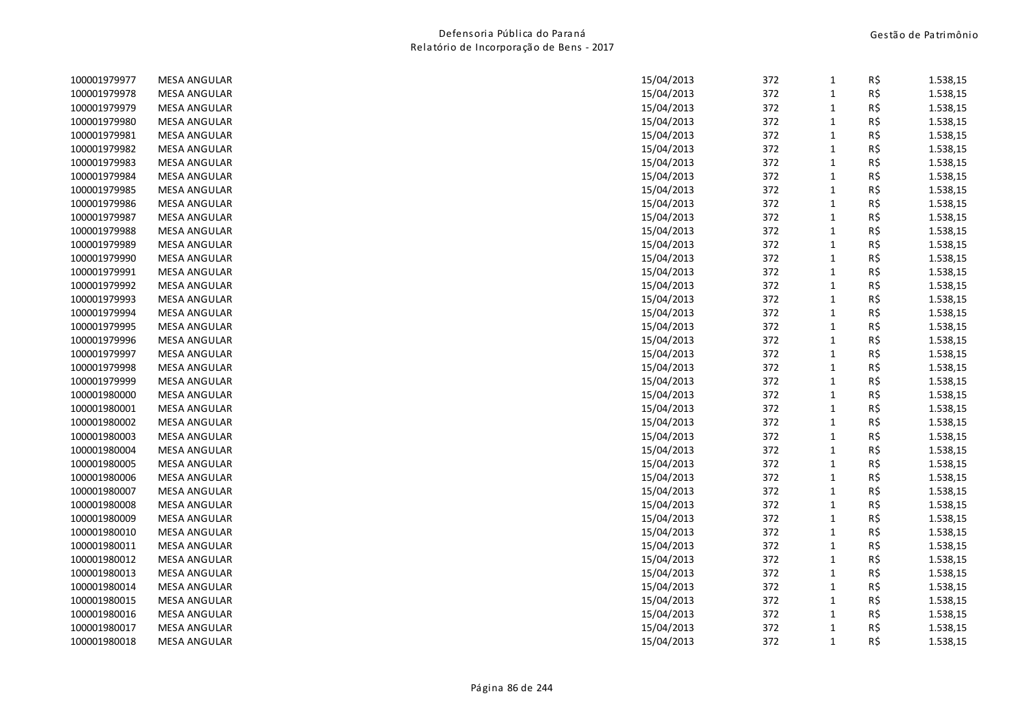| 100001979977 | <b>MESA ANGULAR</b> | 15/04/2013 | 372 | $\mathbf{1}$ | R\$ | 1.538,15 |
|--------------|---------------------|------------|-----|--------------|-----|----------|
| 100001979978 | <b>MESA ANGULAR</b> | 15/04/2013 | 372 | $\mathbf{1}$ | R\$ | 1.538,15 |
| 100001979979 | <b>MESA ANGULAR</b> | 15/04/2013 | 372 | $\mathbf{1}$ | R\$ | 1.538,15 |
| 100001979980 | <b>MESA ANGULAR</b> | 15/04/2013 | 372 | $\mathbf 1$  | R\$ | 1.538,15 |
| 100001979981 | <b>MESA ANGULAR</b> | 15/04/2013 | 372 | $\mathbf{1}$ | R\$ | 1.538,15 |
| 100001979982 | <b>MESA ANGULAR</b> | 15/04/2013 | 372 | $\mathbf{1}$ | R\$ | 1.538,15 |
| 100001979983 | <b>MESA ANGULAR</b> | 15/04/2013 | 372 | $\mathbf{1}$ | R\$ | 1.538,15 |
| 100001979984 | <b>MESA ANGULAR</b> | 15/04/2013 | 372 | $\mathbf{1}$ | R\$ | 1.538,15 |
| 100001979985 | <b>MESA ANGULAR</b> | 15/04/2013 | 372 | $\mathbf{1}$ | R\$ | 1.538,15 |
| 100001979986 | <b>MESA ANGULAR</b> | 15/04/2013 | 372 | $\mathbf{1}$ | R\$ | 1.538,15 |
| 100001979987 | <b>MESA ANGULAR</b> | 15/04/2013 | 372 | $\mathbf 1$  | R\$ | 1.538,15 |
| 100001979988 | <b>MESA ANGULAR</b> | 15/04/2013 | 372 | $\mathbf{1}$ | R\$ | 1.538,15 |
| 100001979989 | <b>MESA ANGULAR</b> | 15/04/2013 | 372 | $\mathbf 1$  | R\$ | 1.538,15 |
| 100001979990 | <b>MESA ANGULAR</b> | 15/04/2013 | 372 | $\mathbf{1}$ | R\$ | 1.538,15 |
| 100001979991 | <b>MESA ANGULAR</b> | 15/04/2013 | 372 | $\mathbf{1}$ | R\$ | 1.538,15 |
| 100001979992 | <b>MESA ANGULAR</b> | 15/04/2013 | 372 | $\mathbf{1}$ | R\$ | 1.538,15 |
| 100001979993 | <b>MESA ANGULAR</b> | 15/04/2013 | 372 | $\mathbf{1}$ | R\$ | 1.538,15 |
| 100001979994 | <b>MESA ANGULAR</b> | 15/04/2013 | 372 | $\mathbf 1$  | R\$ | 1.538,15 |
| 100001979995 | <b>MESA ANGULAR</b> | 15/04/2013 | 372 | $\mathbf{1}$ | R\$ | 1.538,15 |
| 100001979996 | <b>MESA ANGULAR</b> | 15/04/2013 | 372 | $\mathbf{1}$ | R\$ | 1.538,15 |
| 100001979997 | <b>MESA ANGULAR</b> | 15/04/2013 | 372 | $\mathbf{1}$ | R\$ | 1.538,15 |
| 100001979998 | <b>MESA ANGULAR</b> | 15/04/2013 | 372 | $\mathbf{1}$ | R\$ | 1.538,15 |
| 100001979999 | <b>MESA ANGULAR</b> | 15/04/2013 | 372 | $\mathbf 1$  | R\$ | 1.538,15 |
| 100001980000 | <b>MESA ANGULAR</b> | 15/04/2013 | 372 | $\mathbf 1$  | R\$ | 1.538,15 |
| 100001980001 | <b>MESA ANGULAR</b> | 15/04/2013 | 372 | $\mathbf 1$  | R\$ | 1.538,15 |
| 100001980002 | <b>MESA ANGULAR</b> | 15/04/2013 | 372 | $\mathbf{1}$ | R\$ | 1.538,15 |
| 100001980003 | <b>MESA ANGULAR</b> | 15/04/2013 | 372 | $\mathbf 1$  | R\$ | 1.538,15 |
| 100001980004 | <b>MESA ANGULAR</b> | 15/04/2013 | 372 | $\mathbf{1}$ | R\$ | 1.538,15 |
| 100001980005 | <b>MESA ANGULAR</b> | 15/04/2013 | 372 | $\mathbf{1}$ | R\$ | 1.538,15 |
| 100001980006 | <b>MESA ANGULAR</b> | 15/04/2013 | 372 | $\mathbf{1}$ | R\$ | 1.538,15 |
| 100001980007 | <b>MESA ANGULAR</b> | 15/04/2013 | 372 | $\mathbf 1$  | R\$ | 1.538,15 |
| 100001980008 | <b>MESA ANGULAR</b> | 15/04/2013 | 372 | $\mathbf 1$  | R\$ | 1.538,15 |
| 100001980009 | <b>MESA ANGULAR</b> | 15/04/2013 | 372 | $\mathbf{1}$ | R\$ | 1.538,15 |
| 100001980010 | <b>MESA ANGULAR</b> | 15/04/2013 | 372 | $\mathbf{1}$ | R\$ | 1.538,15 |
| 100001980011 | <b>MESA ANGULAR</b> | 15/04/2013 | 372 | $\mathbf{1}$ | R\$ | 1.538,15 |
| 100001980012 | <b>MESA ANGULAR</b> | 15/04/2013 | 372 | $\mathbf{1}$ | R\$ | 1.538,15 |
| 100001980013 | <b>MESA ANGULAR</b> | 15/04/2013 | 372 | $\mathbf 1$  | R\$ | 1.538,15 |
| 100001980014 | <b>MESA ANGULAR</b> | 15/04/2013 | 372 | $\mathbf{1}$ | R\$ | 1.538,15 |
| 100001980015 | <b>MESA ANGULAR</b> | 15/04/2013 | 372 | $\mathbf{1}$ | R\$ | 1.538,15 |
| 100001980016 | <b>MESA ANGULAR</b> | 15/04/2013 | 372 | $\mathbf{1}$ | R\$ | 1.538,15 |
| 100001980017 | <b>MESA ANGULAR</b> | 15/04/2013 | 372 | $\mathbf{1}$ | R\$ | 1.538,15 |
| 100001980018 | <b>MESA ANGULAR</b> | 15/04/2013 | 372 | $\mathbf{1}$ | R\$ | 1.538,15 |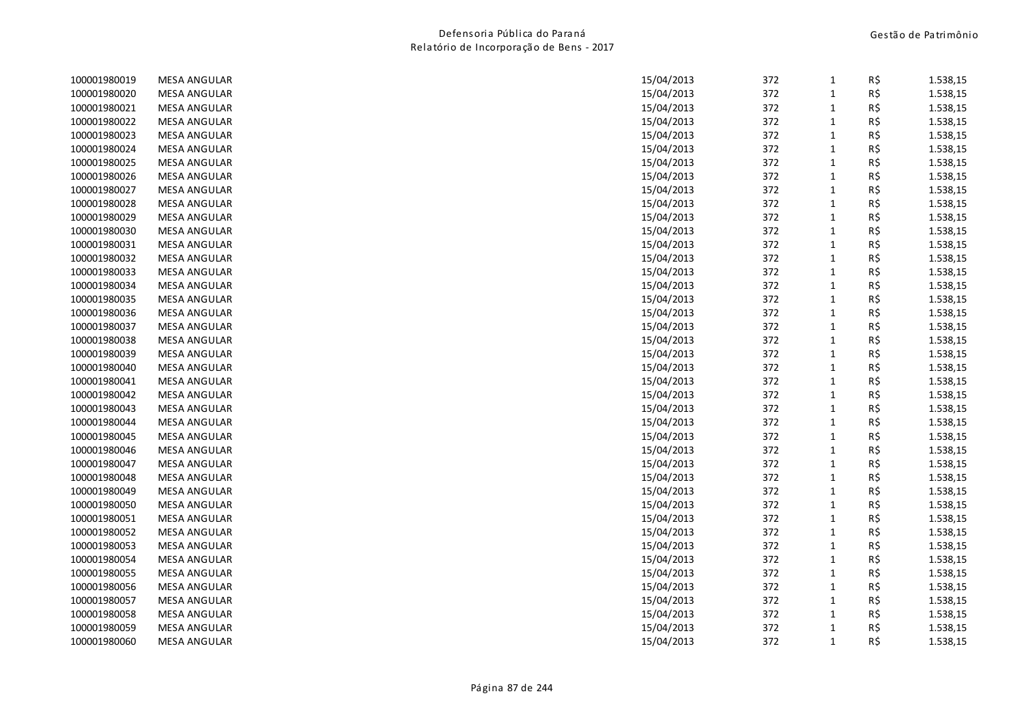| 100001980019 | <b>MESA ANGULAR</b> | 15/04/2013 | 372 | $\mathbf{1}$ | R\$ | 1.538,15 |
|--------------|---------------------|------------|-----|--------------|-----|----------|
| 100001980020 | <b>MESA ANGULAR</b> | 15/04/2013 | 372 | $\mathbf 1$  | R\$ | 1.538,15 |
| 100001980021 | <b>MESA ANGULAR</b> | 15/04/2013 | 372 | $\mathbf{1}$ | R\$ | 1.538,15 |
| 100001980022 | <b>MESA ANGULAR</b> | 15/04/2013 | 372 | $\mathbf 1$  | R\$ | 1.538,15 |
| 100001980023 | <b>MESA ANGULAR</b> | 15/04/2013 | 372 | $1\,$        | R\$ | 1.538,15 |
| 100001980024 | <b>MESA ANGULAR</b> | 15/04/2013 | 372 | $\mathbf 1$  | R\$ | 1.538,15 |
| 100001980025 | <b>MESA ANGULAR</b> | 15/04/2013 | 372 | $\mathbf 1$  | R\$ | 1.538,15 |
| 100001980026 | <b>MESA ANGULAR</b> | 15/04/2013 | 372 | $\mathbf{1}$ | R\$ | 1.538,15 |
| 100001980027 | <b>MESA ANGULAR</b> | 15/04/2013 | 372 | $1\,$        | R\$ | 1.538,15 |
| 100001980028 | <b>MESA ANGULAR</b> | 15/04/2013 | 372 | $\mathbf 1$  | R\$ | 1.538,15 |
| 100001980029 | <b>MESA ANGULAR</b> | 15/04/2013 | 372 | $\mathbf 1$  | R\$ | 1.538,15 |
| 100001980030 | <b>MESA ANGULAR</b> | 15/04/2013 | 372 | $\mathbf{1}$ | R\$ | 1.538,15 |
| 100001980031 | <b>MESA ANGULAR</b> | 15/04/2013 | 372 | $1\,$        | R\$ | 1.538,15 |
| 100001980032 | <b>MESA ANGULAR</b> | 15/04/2013 | 372 | $1\,$        | R\$ | 1.538,15 |
| 100001980033 | <b>MESA ANGULAR</b> | 15/04/2013 | 372 | $\mathbf{1}$ | R\$ | 1.538,15 |
| 100001980034 | <b>MESA ANGULAR</b> | 15/04/2013 | 372 | $\mathbf 1$  | R\$ | 1.538,15 |
| 100001980035 | <b>MESA ANGULAR</b> | 15/04/2013 | 372 | $\mathbf 1$  | R\$ | 1.538,15 |
| 100001980036 | <b>MESA ANGULAR</b> | 15/04/2013 | 372 | $\mathbf 1$  | R\$ | 1.538,15 |
| 100001980037 | <b>MESA ANGULAR</b> | 15/04/2013 | 372 | $\mathbf 1$  | R\$ | 1.538,15 |
| 100001980038 | <b>MESA ANGULAR</b> | 15/04/2013 | 372 | $\mathbf 1$  | R\$ | 1.538,15 |
| 100001980039 | <b>MESA ANGULAR</b> | 15/04/2013 | 372 | $\mathbf 1$  | R\$ | 1.538,15 |
| 100001980040 | <b>MESA ANGULAR</b> | 15/04/2013 | 372 | $\mathbf 1$  | R\$ | 1.538,15 |
| 100001980041 | <b>MESA ANGULAR</b> | 15/04/2013 | 372 | $\mathbf 1$  | R\$ | 1.538,15 |
| 100001980042 | <b>MESA ANGULAR</b> | 15/04/2013 | 372 | $\mathbf 1$  | R\$ | 1.538,15 |
| 100001980043 | <b>MESA ANGULAR</b> | 15/04/2013 | 372 | $\mathbf 1$  | R\$ | 1.538,15 |
| 100001980044 | <b>MESA ANGULAR</b> | 15/04/2013 | 372 | $\mathbf 1$  | R\$ | 1.538,15 |
| 100001980045 | <b>MESA ANGULAR</b> | 15/04/2013 | 372 | $\mathbf 1$  | R\$ | 1.538,15 |
| 100001980046 | <b>MESA ANGULAR</b> | 15/04/2013 | 372 | $\mathbf 1$  | R\$ | 1.538,15 |
| 100001980047 | <b>MESA ANGULAR</b> | 15/04/2013 | 372 | $\mathbf{1}$ | R\$ | 1.538,15 |
| 100001980048 | <b>MESA ANGULAR</b> | 15/04/2013 | 372 | $\mathbf 1$  | R\$ | 1.538,15 |
| 100001980049 | <b>MESA ANGULAR</b> | 15/04/2013 | 372 | $\mathbf 1$  | R\$ | 1.538,15 |
| 100001980050 | <b>MESA ANGULAR</b> | 15/04/2013 | 372 | $\mathbf 1$  | R\$ | 1.538,15 |
| 100001980051 | <b>MESA ANGULAR</b> | 15/04/2013 | 372 | $\mathbf 1$  | R\$ | 1.538,15 |
| 100001980052 | <b>MESA ANGULAR</b> | 15/04/2013 | 372 | $\mathbf 1$  | R\$ | 1.538,15 |
| 100001980053 | <b>MESA ANGULAR</b> | 15/04/2013 | 372 | $\mathbf 1$  | R\$ | 1.538,15 |
| 100001980054 | <b>MESA ANGULAR</b> | 15/04/2013 | 372 | $\mathbf{1}$ | R\$ | 1.538,15 |
| 100001980055 | <b>MESA ANGULAR</b> | 15/04/2013 | 372 | $1\,$        | R\$ | 1.538,15 |
| 100001980056 | <b>MESA ANGULAR</b> | 15/04/2013 | 372 | $\mathbf 1$  | R\$ | 1.538,15 |
| 100001980057 | <b>MESA ANGULAR</b> | 15/04/2013 | 372 | $\mathbf 1$  | R\$ | 1.538,15 |
| 100001980058 | <b>MESA ANGULAR</b> | 15/04/2013 | 372 | $\mathbf{1}$ | R\$ | 1.538,15 |
| 100001980059 | <b>MESA ANGULAR</b> | 15/04/2013 | 372 | $\mathbf 1$  | R\$ | 1.538,15 |
| 100001980060 | <b>MESA ANGULAR</b> | 15/04/2013 | 372 | $\mathbf{1}$ | R\$ | 1.538,15 |
|              |                     |            |     |              |     |          |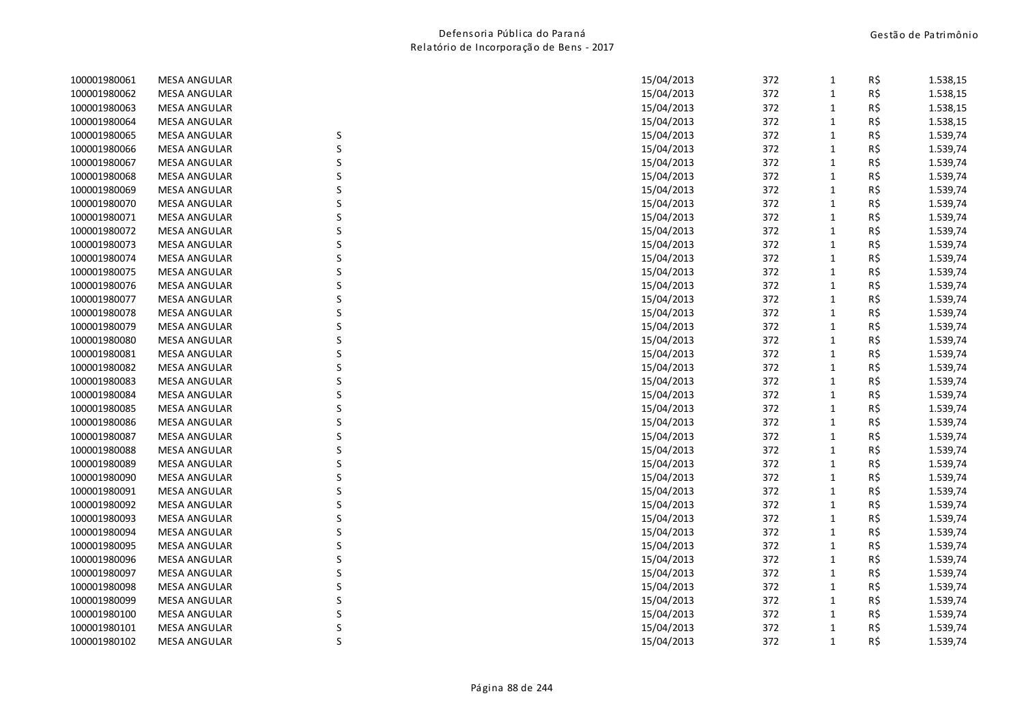| 100001980061 | <b>MESA ANGULAR</b> |   | 15/04/2013 | 372 | $\mathbf{1}$ | R\$ | 1.538,15 |
|--------------|---------------------|---|------------|-----|--------------|-----|----------|
| 100001980062 | <b>MESA ANGULAR</b> |   | 15/04/2013 | 372 | $\mathbf{1}$ | R\$ | 1.538,15 |
| 100001980063 | <b>MESA ANGULAR</b> |   | 15/04/2013 | 372 | $\mathbf 1$  | R\$ | 1.538,15 |
| 100001980064 | <b>MESA ANGULAR</b> |   | 15/04/2013 | 372 | $\mathbf{1}$ | R\$ | 1.538,15 |
| 100001980065 | <b>MESA ANGULAR</b> | S | 15/04/2013 | 372 | $\mathbf{1}$ | R\$ | 1.539,74 |
| 100001980066 | <b>MESA ANGULAR</b> | S | 15/04/2013 | 372 | $\mathbf{1}$ | R\$ | 1.539,74 |
| 100001980067 | <b>MESA ANGULAR</b> | S | 15/04/2013 | 372 | $\mathbf{1}$ | R\$ | 1.539,74 |
| 100001980068 | <b>MESA ANGULAR</b> |   | 15/04/2013 | 372 | $\mathbf{1}$ | R\$ | 1.539,74 |
| 100001980069 | <b>MESA ANGULAR</b> |   | 15/04/2013 | 372 | $\mathbf{1}$ | R\$ | 1.539,74 |
| 100001980070 | <b>MESA ANGULAR</b> |   | 15/04/2013 | 372 | $\mathbf{1}$ | R\$ | 1.539,74 |
| 100001980071 | <b>MESA ANGULAR</b> |   | 15/04/2013 | 372 | $\mathbf{1}$ | R\$ | 1.539,74 |
| 100001980072 | <b>MESA ANGULAR</b> |   | 15/04/2013 | 372 | $\mathbf{1}$ | R\$ | 1.539,74 |
| 100001980073 | <b>MESA ANGULAR</b> |   | 15/04/2013 | 372 | $\mathbf{1}$ | R\$ | 1.539,74 |
| 100001980074 | <b>MESA ANGULAR</b> |   | 15/04/2013 | 372 | $\mathbf{1}$ | R\$ | 1.539,74 |
| 100001980075 | <b>MESA ANGULAR</b> |   | 15/04/2013 | 372 | $\mathbf{1}$ | R\$ | 1.539,74 |
| 100001980076 | <b>MESA ANGULAR</b> |   | 15/04/2013 | 372 | $\mathbf{1}$ | R\$ | 1.539,74 |
| 100001980077 | <b>MESA ANGULAR</b> |   | 15/04/2013 | 372 | $\mathbf{1}$ | R\$ | 1.539,74 |
| 100001980078 | <b>MESA ANGULAR</b> |   | 15/04/2013 | 372 | $\mathbf{1}$ | R\$ | 1.539,74 |
| 100001980079 | <b>MESA ANGULAR</b> |   | 15/04/2013 | 372 | $\mathbf{1}$ | R\$ | 1.539,74 |
| 100001980080 | <b>MESA ANGULAR</b> |   | 15/04/2013 | 372 | $\mathbf{1}$ | R\$ | 1.539,74 |
| 100001980081 | <b>MESA ANGULAR</b> | S | 15/04/2013 | 372 | $\mathbf{1}$ | R\$ | 1.539,74 |
| 100001980082 | <b>MESA ANGULAR</b> |   | 15/04/2013 | 372 | $\mathbf{1}$ | R\$ | 1.539,74 |
| 100001980083 | <b>MESA ANGULAR</b> |   | 15/04/2013 | 372 | $\mathbf{1}$ | R\$ | 1.539,74 |
| 100001980084 | <b>MESA ANGULAR</b> |   | 15/04/2013 | 372 | $\mathbf{1}$ | R\$ | 1.539,74 |
| 100001980085 | <b>MESA ANGULAR</b> |   | 15/04/2013 | 372 | $\mathbf{1}$ | R\$ | 1.539,74 |
| 100001980086 | <b>MESA ANGULAR</b> | S | 15/04/2013 | 372 | $\mathbf{1}$ | R\$ | 1.539,74 |
| 100001980087 | <b>MESA ANGULAR</b> |   | 15/04/2013 | 372 | $\mathbf{1}$ | R\$ | 1.539,74 |
| 100001980088 | <b>MESA ANGULAR</b> |   | 15/04/2013 | 372 | $\mathbf{1}$ | R\$ | 1.539,74 |
| 100001980089 | <b>MESA ANGULAR</b> | S | 15/04/2013 | 372 | $\mathbf{1}$ | R\$ | 1.539,74 |
| 100001980090 | <b>MESA ANGULAR</b> | S | 15/04/2013 | 372 | $\mathbf{1}$ | R\$ | 1.539,74 |
| 100001980091 | <b>MESA ANGULAR</b> |   | 15/04/2013 | 372 | $\mathbf 1$  | R\$ | 1.539,74 |
| 100001980092 | <b>MESA ANGULAR</b> |   | 15/04/2013 | 372 | $\mathbf{1}$ | R\$ | 1.539,74 |
| 100001980093 | <b>MESA ANGULAR</b> |   | 15/04/2013 | 372 | $\mathbf{1}$ | R\$ | 1.539,74 |
| 100001980094 | <b>MESA ANGULAR</b> |   | 15/04/2013 | 372 | $\mathbf{1}$ | R\$ | 1.539,74 |
| 100001980095 | <b>MESA ANGULAR</b> | S | 15/04/2013 | 372 | $\mathbf{1}$ | R\$ | 1.539,74 |
| 100001980096 | <b>MESA ANGULAR</b> |   | 15/04/2013 | 372 | $\mathbf{1}$ | R\$ | 1.539,74 |
| 100001980097 | <b>MESA ANGULAR</b> |   | 15/04/2013 | 372 | $\mathbf{1}$ | R\$ | 1.539,74 |
| 100001980098 | <b>MESA ANGULAR</b> |   | 15/04/2013 | 372 | $\mathbf{1}$ | R\$ | 1.539,74 |
| 100001980099 | <b>MESA ANGULAR</b> |   | 15/04/2013 | 372 | $\mathbf{1}$ | R\$ | 1.539,74 |
| 100001980100 | <b>MESA ANGULAR</b> |   | 15/04/2013 | 372 | $\mathbf{1}$ | R\$ | 1.539,74 |
| 100001980101 | <b>MESA ANGULAR</b> |   | 15/04/2013 | 372 | $\mathbf{1}$ | R\$ | 1.539,74 |
| 100001980102 | <b>MESA ANGULAR</b> | S | 15/04/2013 | 372 | $\mathbf{1}$ | R\$ | 1.539,74 |
|              |                     |   |            |     |              |     |          |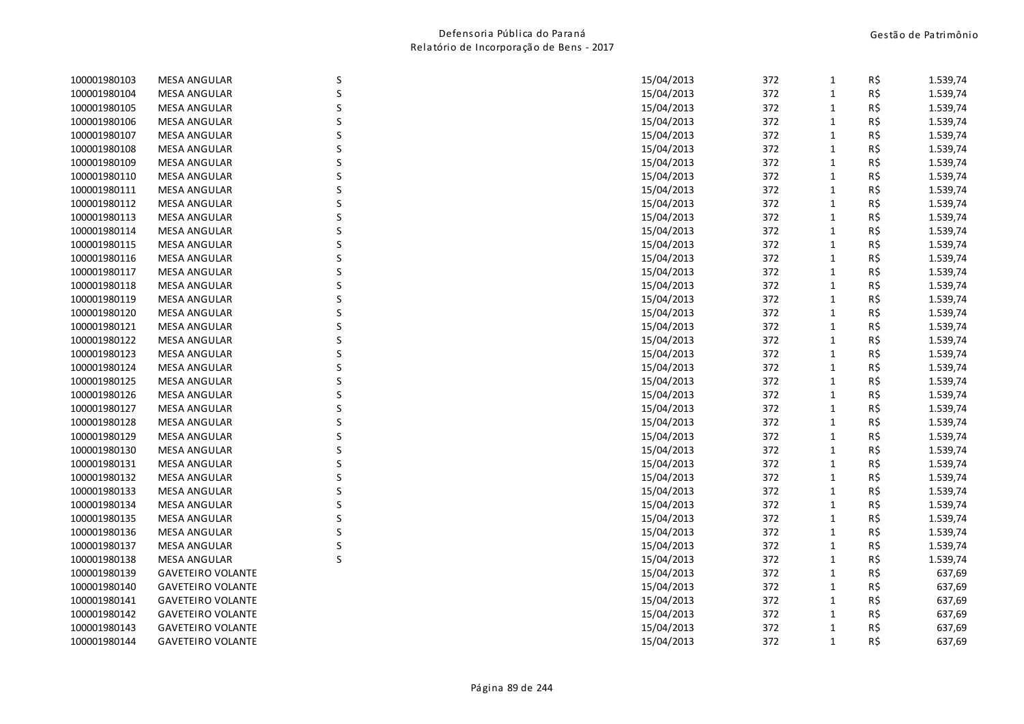| 100001980103 | <b>MESA ANGULAR</b>      | S | 15/04/2013 | 372 | $\mathbf{1}$ | R\$ | 1.539,74 |
|--------------|--------------------------|---|------------|-----|--------------|-----|----------|
| 100001980104 | <b>MESA ANGULAR</b>      | S | 15/04/2013 | 372 | $\mathbf{1}$ | R\$ | 1.539,74 |
| 100001980105 | <b>MESA ANGULAR</b>      | S | 15/04/2013 | 372 | $\mathbf{1}$ | R\$ | 1.539,74 |
| 100001980106 | <b>MESA ANGULAR</b>      |   | 15/04/2013 | 372 | $\mathbf{1}$ | R\$ | 1.539,74 |
| 100001980107 | <b>MESA ANGULAR</b>      |   | 15/04/2013 | 372 | $\mathbf{1}$ | R\$ | 1.539,74 |
| 100001980108 | <b>MESA ANGULAR</b>      |   | 15/04/2013 | 372 | $\mathbf{1}$ | R\$ | 1.539,74 |
| 100001980109 | <b>MESA ANGULAR</b>      | S | 15/04/2013 | 372 | 1            | R\$ | 1.539,74 |
| 100001980110 | <b>MESA ANGULAR</b>      |   | 15/04/2013 | 372 | $\mathbf{1}$ | R\$ | 1.539,74 |
| 100001980111 | <b>MESA ANGULAR</b>      |   | 15/04/2013 | 372 | $\mathbf{1}$ | R\$ | 1.539,74 |
| 100001980112 | <b>MESA ANGULAR</b>      |   | 15/04/2013 | 372 | $\mathbf{1}$ | R\$ | 1.539,74 |
| 100001980113 | <b>MESA ANGULAR</b>      | S | 15/04/2013 | 372 | $\mathbf{1}$ | R\$ | 1.539,74 |
| 100001980114 | <b>MESA ANGULAR</b>      | S | 15/04/2013 | 372 | $\mathbf{1}$ | R\$ | 1.539,74 |
| 100001980115 | <b>MESA ANGULAR</b>      |   | 15/04/2013 | 372 | $\mathbf{1}$ | R\$ | 1.539,74 |
| 100001980116 | <b>MESA ANGULAR</b>      |   | 15/04/2013 | 372 | $\mathbf{1}$ | R\$ | 1.539,74 |
| 100001980117 | <b>MESA ANGULAR</b>      |   | 15/04/2013 | 372 | $\mathbf{1}$ | R\$ | 1.539,74 |
| 100001980118 | <b>MESA ANGULAR</b>      |   | 15/04/2013 | 372 | $\mathbf{1}$ | R\$ | 1.539,74 |
| 100001980119 | <b>MESA ANGULAR</b>      |   | 15/04/2013 | 372 | $\mathbf{1}$ | R\$ | 1.539,74 |
| 100001980120 | <b>MESA ANGULAR</b>      |   | 15/04/2013 | 372 | $\mathbf{1}$ | R\$ | 1.539,74 |
| 100001980121 | <b>MESA ANGULAR</b>      |   | 15/04/2013 | 372 | $\mathbf{1}$ | R\$ | 1.539,74 |
| 100001980122 | <b>MESA ANGULAR</b>      | S | 15/04/2013 | 372 | $\mathbf{1}$ | R\$ | 1.539,74 |
| 100001980123 | <b>MESA ANGULAR</b>      | S | 15/04/2013 | 372 | $\mathbf{1}$ | R\$ | 1.539,74 |
| 100001980124 | <b>MESA ANGULAR</b>      |   | 15/04/2013 | 372 | $\mathbf{1}$ | R\$ | 1.539,74 |
| 100001980125 | <b>MESA ANGULAR</b>      |   | 15/04/2013 | 372 | $\mathbf{1}$ | R\$ | 1.539,74 |
| 100001980126 | <b>MESA ANGULAR</b>      |   | 15/04/2013 | 372 | $\mathbf{1}$ | R\$ | 1.539,74 |
| 100001980127 | <b>MESA ANGULAR</b>      |   | 15/04/2013 | 372 | $\mathbf{1}$ | R\$ | 1.539,74 |
| 100001980128 | <b>MESA ANGULAR</b>      | S | 15/04/2013 | 372 | $\mathbf{1}$ | R\$ | 1.539,74 |
| 100001980129 | <b>MESA ANGULAR</b>      |   | 15/04/2013 | 372 | $\mathbf{1}$ | R\$ | 1.539,74 |
| 100001980130 | <b>MESA ANGULAR</b>      |   | 15/04/2013 | 372 | $\mathbf{1}$ | R\$ | 1.539,74 |
| 100001980131 | <b>MESA ANGULAR</b>      |   | 15/04/2013 | 372 | $\mathbf{1}$ | R\$ | 1.539,74 |
| 100001980132 | <b>MESA ANGULAR</b>      | S | 15/04/2013 | 372 | $\mathbf{1}$ | R\$ | 1.539,74 |
| 100001980133 | <b>MESA ANGULAR</b>      |   | 15/04/2013 | 372 | $\mathbf{1}$ | R\$ | 1.539,74 |
| 100001980134 | <b>MESA ANGULAR</b>      |   | 15/04/2013 | 372 | $\mathbf{1}$ | R\$ | 1.539,74 |
| 100001980135 | <b>MESA ANGULAR</b>      |   | 15/04/2013 | 372 | $\mathbf{1}$ | R\$ | 1.539,74 |
| 100001980136 | <b>MESA ANGULAR</b>      | S | 15/04/2013 | 372 | $\mathbf{1}$ | R\$ | 1.539,74 |
| 100001980137 | <b>MESA ANGULAR</b>      | S | 15/04/2013 | 372 | $\mathbf{1}$ | R\$ | 1.539,74 |
| 100001980138 | <b>MESA ANGULAR</b>      | S | 15/04/2013 | 372 | $\mathbf{1}$ | R\$ | 1.539,74 |
| 100001980139 | <b>GAVETEIRO VOLANTE</b> |   | 15/04/2013 | 372 | $\mathbf{1}$ | R\$ | 637,69   |
| 100001980140 | <b>GAVETEIRO VOLANTE</b> |   | 15/04/2013 | 372 | $\mathbf{1}$ | R\$ | 637,69   |
| 100001980141 | <b>GAVETEIRO VOLANTE</b> |   | 15/04/2013 | 372 | $\mathbf{1}$ | R\$ | 637,69   |
| 100001980142 | <b>GAVETEIRO VOLANTE</b> |   | 15/04/2013 | 372 | $\mathbf{1}$ | R\$ | 637,69   |
| 100001980143 | <b>GAVETEIRO VOLANTE</b> |   | 15/04/2013 | 372 | 1            | R\$ | 637,69   |
| 100001980144 | <b>GAVETEIRO VOLANTE</b> |   | 15/04/2013 | 372 | $\mathbf{1}$ | R\$ | 637,69   |
|              |                          |   |            |     |              |     |          |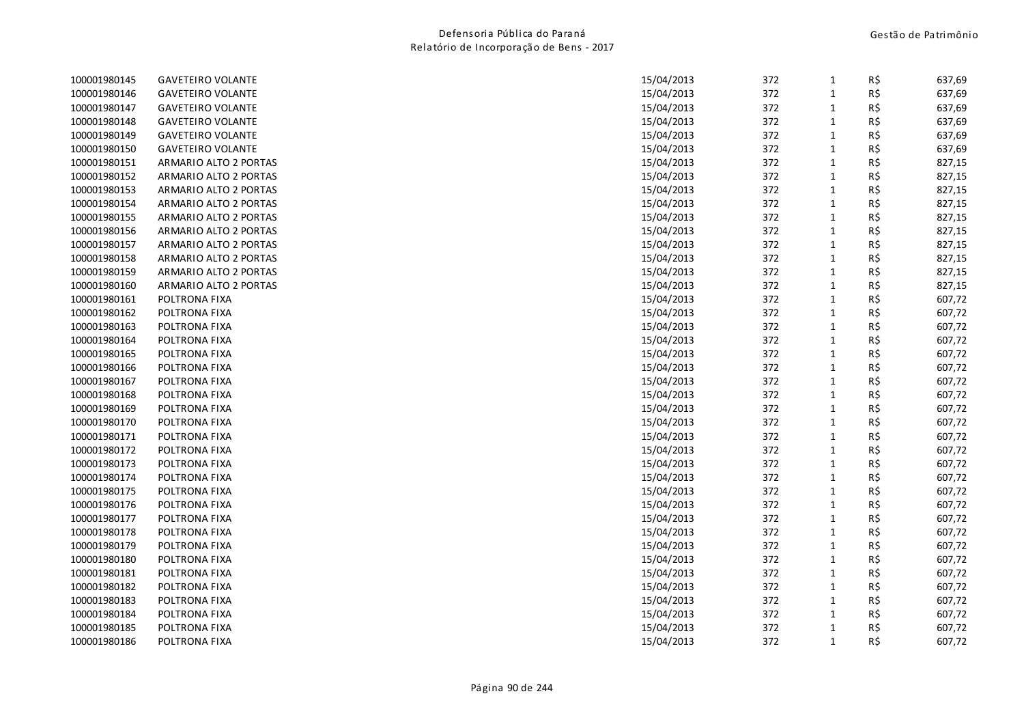| 100001980145 | <b>GAVETEIRO VOLANTE</b> | 15/04/2013 | 372 | $\mathbf{1}$ | R\$ | 637,69 |
|--------------|--------------------------|------------|-----|--------------|-----|--------|
| 100001980146 | <b>GAVETEIRO VOLANTE</b> | 15/04/2013 | 372 | $\mathbf{1}$ | R\$ | 637,69 |
| 100001980147 | <b>GAVETEIRO VOLANTE</b> | 15/04/2013 | 372 | $\mathbf{1}$ | R\$ | 637,69 |
| 100001980148 | <b>GAVETEIRO VOLANTE</b> | 15/04/2013 | 372 | $\mathbf 1$  | R\$ | 637,69 |
| 100001980149 | <b>GAVETEIRO VOLANTE</b> | 15/04/2013 | 372 | $\mathbf{1}$ | R\$ | 637,69 |
| 100001980150 | <b>GAVETEIRO VOLANTE</b> | 15/04/2013 | 372 | $\mathbf 1$  | R\$ | 637,69 |
| 100001980151 | ARMARIO ALTO 2 PORTAS    | 15/04/2013 | 372 | $\mathbf{1}$ | R\$ | 827,15 |
| 100001980152 | ARMARIO ALTO 2 PORTAS    | 15/04/2013 | 372 | $\mathbf{1}$ | R\$ | 827,15 |
| 100001980153 | ARMARIO ALTO 2 PORTAS    | 15/04/2013 | 372 | $\mathbf 1$  | R\$ | 827,15 |
| 100001980154 | ARMARIO ALTO 2 PORTAS    | 15/04/2013 | 372 | $\mathbf{1}$ | R\$ | 827,15 |
| 100001980155 | ARMARIO ALTO 2 PORTAS    | 15/04/2013 | 372 | $\mathbf 1$  | R\$ | 827,15 |
| 100001980156 | ARMARIO ALTO 2 PORTAS    | 15/04/2013 | 372 | $\mathbf{1}$ | R\$ | 827,15 |
| 100001980157 | ARMARIO ALTO 2 PORTAS    | 15/04/2013 | 372 | $\mathbf 1$  | R\$ | 827,15 |
| 100001980158 | ARMARIO ALTO 2 PORTAS    | 15/04/2013 | 372 | $\mathbf{1}$ | R\$ | 827,15 |
| 100001980159 | ARMARIO ALTO 2 PORTAS    | 15/04/2013 | 372 | $\mathbf{1}$ | R\$ | 827,15 |
| 100001980160 | ARMARIO ALTO 2 PORTAS    | 15/04/2013 | 372 | $\mathbf{1}$ | R\$ | 827,15 |
| 100001980161 | POLTRONA FIXA            | 15/04/2013 | 372 | $\mathbf{1}$ | R\$ | 607,72 |
| 100001980162 | POLTRONA FIXA            | 15/04/2013 | 372 | $\mathbf 1$  | R\$ | 607,72 |
| 100001980163 | POLTRONA FIXA            | 15/04/2013 | 372 | $\mathbf{1}$ | R\$ | 607,72 |
| 100001980164 | POLTRONA FIXA            | 15/04/2013 | 372 | $\mathbf 1$  | R\$ | 607,72 |
| 100001980165 | POLTRONA FIXA            | 15/04/2013 | 372 | $\mathbf{1}$ | R\$ | 607,72 |
| 100001980166 | POLTRONA FIXA            | 15/04/2013 | 372 | $\mathbf{1}$ | R\$ | 607,72 |
| 100001980167 | POLTRONA FIXA            | 15/04/2013 | 372 | $\mathbf 1$  | R\$ | 607,72 |
| 100001980168 | POLTRONA FIXA            | 15/04/2013 | 372 | $\mathbf 1$  | R\$ | 607,72 |
| 100001980169 | POLTRONA FIXA            | 15/04/2013 | 372 | $\mathbf 1$  | R\$ | 607,72 |
| 100001980170 | POLTRONA FIXA            | 15/04/2013 | 372 | $\mathbf{1}$ | R\$ | 607,72 |
| 100001980171 | POLTRONA FIXA            | 15/04/2013 | 372 | $\mathbf 1$  | R\$ | 607,72 |
| 100001980172 | POLTRONA FIXA            | 15/04/2013 | 372 | $\mathbf{1}$ | R\$ | 607,72 |
| 100001980173 | POLTRONA FIXA            | 15/04/2013 | 372 | $\mathbf{1}$ | R\$ | 607,72 |
| 100001980174 | POLTRONA FIXA            | 15/04/2013 | 372 | $\mathbf{1}$ | R\$ | 607,72 |
| 100001980175 | POLTRONA FIXA            | 15/04/2013 | 372 | $\mathbf{1}$ | R\$ | 607,72 |
| 100001980176 | POLTRONA FIXA            | 15/04/2013 | 372 | $\mathbf 1$  | R\$ | 607,72 |
| 100001980177 | POLTRONA FIXA            | 15/04/2013 | 372 | $\mathbf{1}$ | R\$ | 607,72 |
| 100001980178 | POLTRONA FIXA            | 15/04/2013 | 372 | $\mathbf 1$  | R\$ | 607,72 |
| 100001980179 | POLTRONA FIXA            | 15/04/2013 | 372 | $\mathbf{1}$ | R\$ | 607,72 |
| 100001980180 | POLTRONA FIXA            | 15/04/2013 | 372 | $\mathbf{1}$ | R\$ | 607,72 |
| 100001980181 | POLTRONA FIXA            | 15/04/2013 | 372 | $\mathbf 1$  | R\$ | 607,72 |
| 100001980182 | POLTRONA FIXA            | 15/04/2013 | 372 | $\mathbf{1}$ | R\$ | 607,72 |
| 100001980183 | POLTRONA FIXA            | 15/04/2013 | 372 | $\mathbf 1$  | R\$ | 607,72 |
| 100001980184 | POLTRONA FIXA            | 15/04/2013 | 372 | $\mathbf{1}$ | R\$ | 607,72 |
| 100001980185 | POLTRONA FIXA            | 15/04/2013 | 372 | $\mathbf{1}$ | R\$ | 607,72 |
| 100001980186 | POLTRONA FIXA            | 15/04/2013 | 372 | $\mathbf{1}$ | R\$ | 607,72 |
|              |                          |            |     |              |     |        |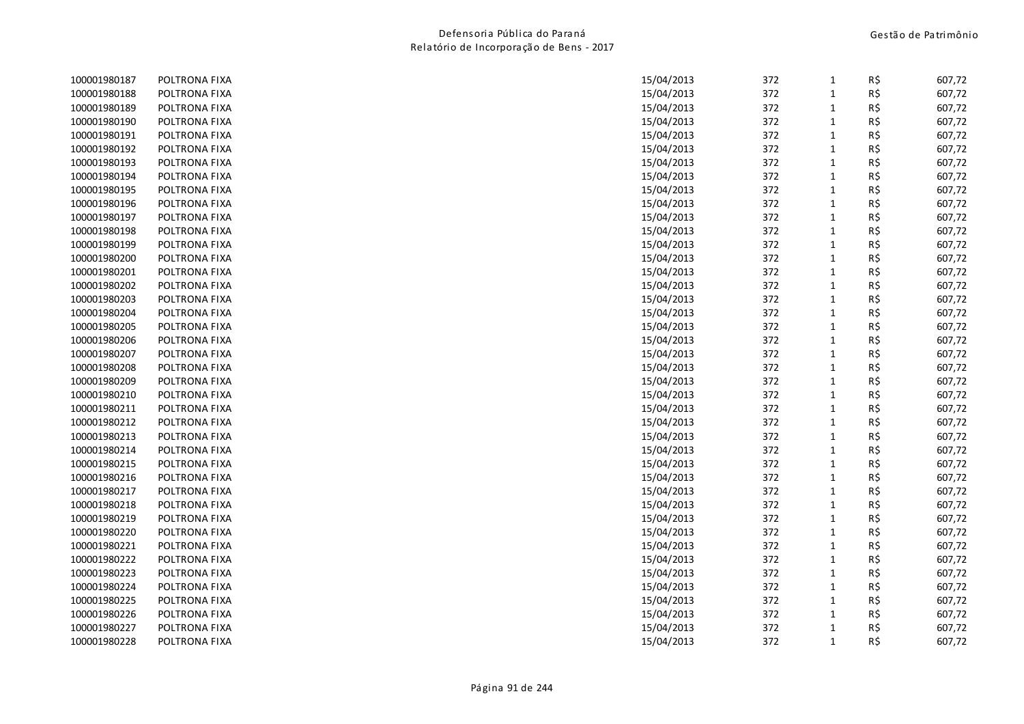| 100001980187 | POLTRONA FIXA | 15/04/2013 | 372 | $\mathbf{1}$ | R\$ | 607,72 |
|--------------|---------------|------------|-----|--------------|-----|--------|
| 100001980188 | POLTRONA FIXA | 15/04/2013 | 372 | $\mathbf 1$  | R\$ | 607,72 |
| 100001980189 | POLTRONA FIXA | 15/04/2013 | 372 | $\mathbf{1}$ | R\$ | 607,72 |
| 100001980190 | POLTRONA FIXA | 15/04/2013 | 372 | $\mathbf{1}$ | R\$ | 607,72 |
| 100001980191 | POLTRONA FIXA | 15/04/2013 | 372 | $\mathbf{1}$ | R\$ | 607,72 |
| 100001980192 | POLTRONA FIXA | 15/04/2013 | 372 | $\mathbf{1}$ | R\$ | 607,72 |
| 100001980193 | POLTRONA FIXA | 15/04/2013 | 372 | $\mathbf{1}$ | R\$ | 607,72 |
| 100001980194 | POLTRONA FIXA | 15/04/2013 | 372 | 1            | R\$ | 607,72 |
| 100001980195 | POLTRONA FIXA | 15/04/2013 | 372 | $\mathbf 1$  | R\$ | 607,72 |
| 100001980196 | POLTRONA FIXA | 15/04/2013 | 372 | $\mathbf{1}$ | R\$ | 607,72 |
| 100001980197 | POLTRONA FIXA | 15/04/2013 | 372 | $\mathbf{1}$ | R\$ | 607,72 |
| 100001980198 | POLTRONA FIXA | 15/04/2013 | 372 | $\mathbf{1}$ | R\$ | 607,72 |
| 100001980199 | POLTRONA FIXA | 15/04/2013 | 372 | $\mathbf{1}$ | R\$ | 607,72 |
| 100001980200 | POLTRONA FIXA | 15/04/2013 | 372 | $\mathbf{1}$ | R\$ | 607,72 |
| 100001980201 | POLTRONA FIXA | 15/04/2013 | 372 | $\mathbf{1}$ | R\$ | 607,72 |
| 100001980202 | POLTRONA FIXA | 15/04/2013 | 372 | $\mathbf{1}$ | R\$ | 607,72 |
| 100001980203 | POLTRONA FIXA | 15/04/2013 | 372 | 1            | R\$ | 607,72 |
| 100001980204 | POLTRONA FIXA | 15/04/2013 | 372 | $\mathbf{1}$ | R\$ | 607,72 |
| 100001980205 | POLTRONA FIXA | 15/04/2013 | 372 | $\mathbf{1}$ | R\$ | 607,72 |
| 100001980206 | POLTRONA FIXA | 15/04/2013 | 372 | $\mathbf{1}$ | R\$ | 607,72 |
| 100001980207 | POLTRONA FIXA | 15/04/2013 | 372 | $\mathbf{1}$ | R\$ | 607,72 |
| 100001980208 | POLTRONA FIXA | 15/04/2013 | 372 | $\mathbf{1}$ | R\$ | 607,72 |
| 100001980209 | POLTRONA FIXA | 15/04/2013 | 372 | $\mathbf{1}$ | R\$ | 607,72 |
| 100001980210 | POLTRONA FIXA | 15/04/2013 | 372 | $\mathbf{1}$ | R\$ | 607,72 |
| 100001980211 | POLTRONA FIXA | 15/04/2013 | 372 | $\mathbf{1}$ | R\$ | 607,72 |
| 100001980212 | POLTRONA FIXA | 15/04/2013 | 372 | $\mathbf{1}$ | R\$ | 607,72 |
| 100001980213 | POLTRONA FIXA | 15/04/2013 | 372 | $\mathbf{1}$ | R\$ | 607,72 |
| 100001980214 | POLTRONA FIXA | 15/04/2013 | 372 | $\mathbf{1}$ | R\$ | 607,72 |
| 100001980215 | POLTRONA FIXA | 15/04/2013 | 372 | $\mathbf{1}$ | R\$ | 607,72 |
| 100001980216 | POLTRONA FIXA | 15/04/2013 | 372 | $\mathbf{1}$ | R\$ | 607,72 |
| 100001980217 | POLTRONA FIXA | 15/04/2013 | 372 | $\mathbf{1}$ | R\$ | 607,72 |
| 100001980218 | POLTRONA FIXA | 15/04/2013 | 372 | $\mathbf{1}$ | R\$ | 607,72 |
| 100001980219 | POLTRONA FIXA | 15/04/2013 | 372 | $\mathbf{1}$ | R\$ | 607,72 |
| 100001980220 | POLTRONA FIXA | 15/04/2013 | 372 | $\mathbf{1}$ | R\$ | 607,72 |
| 100001980221 | POLTRONA FIXA | 15/04/2013 | 372 | $\mathbf{1}$ | R\$ | 607,72 |
| 100001980222 | POLTRONA FIXA | 15/04/2013 | 372 | $\mathbf{1}$ | R\$ | 607,72 |
| 100001980223 | POLTRONA FIXA | 15/04/2013 | 372 | $\mathbf{1}$ | R\$ | 607,72 |
| 100001980224 | POLTRONA FIXA | 15/04/2013 | 372 | $\mathbf{1}$ | R\$ | 607,72 |
| 100001980225 | POLTRONA FIXA | 15/04/2013 | 372 | $\mathbf{1}$ | R\$ | 607,72 |
| 100001980226 | POLTRONA FIXA | 15/04/2013 | 372 | 1            | R\$ | 607,72 |
| 100001980227 | POLTRONA FIXA | 15/04/2013 | 372 | 1            | R\$ | 607,72 |
| 100001980228 | POLTRONA FIXA | 15/04/2013 | 372 | $\mathbf{1}$ | R\$ | 607,72 |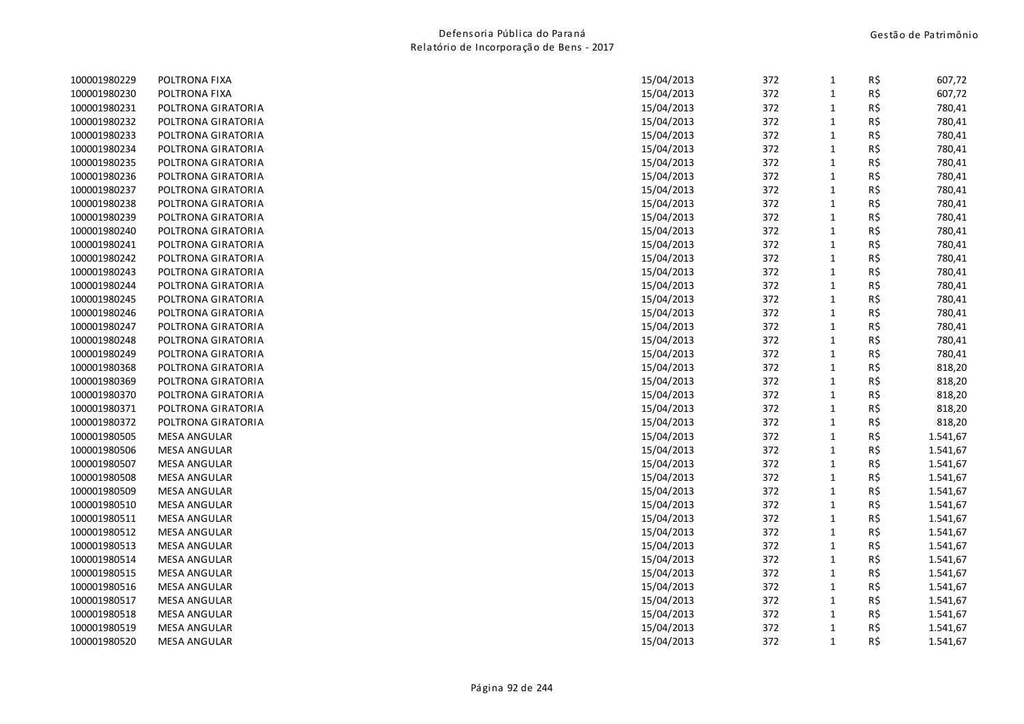| 100001980229 | POLTRONA FIXA       | 15/04/2013 | 372 | $\mathbf{1}$ | R\$ | 607,72   |
|--------------|---------------------|------------|-----|--------------|-----|----------|
| 100001980230 | POLTRONA FIXA       | 15/04/2013 | 372 | $\mathbf 1$  | R\$ | 607,72   |
| 100001980231 | POLTRONA GIRATORIA  | 15/04/2013 | 372 | $\mathbf{1}$ | R\$ | 780,41   |
| 100001980232 | POLTRONA GIRATORIA  | 15/04/2013 | 372 | $\mathbf{1}$ | R\$ | 780,41   |
| 100001980233 | POLTRONA GIRATORIA  | 15/04/2013 | 372 | $\mathbf 1$  | R\$ | 780,41   |
| 100001980234 | POLTRONA GIRATORIA  | 15/04/2013 | 372 | $\mathbf{1}$ | R\$ | 780,41   |
| 100001980235 | POLTRONA GIRATORIA  | 15/04/2013 | 372 | $\mathbf{1}$ | R\$ | 780,41   |
| 100001980236 | POLTRONA GIRATORIA  | 15/04/2013 | 372 | $\mathbf{1}$ | R\$ | 780,41   |
| 100001980237 | POLTRONA GIRATORIA  | 15/04/2013 | 372 | $1\,$        | R\$ | 780,41   |
| 100001980238 | POLTRONA GIRATORIA  | 15/04/2013 | 372 | $\mathbf{1}$ | R\$ | 780,41   |
| 100001980239 | POLTRONA GIRATORIA  | 15/04/2013 | 372 | $\mathbf{1}$ | R\$ | 780,41   |
| 100001980240 | POLTRONA GIRATORIA  | 15/04/2013 | 372 | $\mathbf{1}$ | R\$ | 780,41   |
| 100001980241 | POLTRONA GIRATORIA  | 15/04/2013 | 372 | $\mathbf{1}$ | R\$ | 780,41   |
| 100001980242 | POLTRONA GIRATORIA  | 15/04/2013 | 372 | $\mathbf{1}$ | R\$ | 780,41   |
| 100001980243 | POLTRONA GIRATORIA  | 15/04/2013 | 372 | $\mathbf{1}$ | R\$ | 780,41   |
| 100001980244 | POLTRONA GIRATORIA  | 15/04/2013 | 372 | $\mathbf{1}$ | R\$ | 780,41   |
| 100001980245 | POLTRONA GIRATORIA  | 15/04/2013 | 372 | $\mathbf{1}$ | R\$ | 780,41   |
| 100001980246 | POLTRONA GIRATORIA  | 15/04/2013 | 372 | $\mathbf 1$  | R\$ | 780,41   |
| 100001980247 | POLTRONA GIRATORIA  | 15/04/2013 | 372 | $\mathbf{1}$ | R\$ | 780,41   |
| 100001980248 | POLTRONA GIRATORIA  | 15/04/2013 | 372 | $\mathbf{1}$ | R\$ | 780,41   |
| 100001980249 | POLTRONA GIRATORIA  | 15/04/2013 | 372 | $\mathbf{1}$ | R\$ | 780,41   |
| 100001980368 | POLTRONA GIRATORIA  | 15/04/2013 | 372 | $\mathbf{1}$ | R\$ | 818,20   |
| 100001980369 | POLTRONA GIRATORIA  | 15/04/2013 | 372 | $\mathbf 1$  | R\$ | 818,20   |
| 100001980370 | POLTRONA GIRATORIA  | 15/04/2013 | 372 | $\mathbf{1}$ | R\$ | 818,20   |
| 100001980371 | POLTRONA GIRATORIA  | 15/04/2013 | 372 | $\mathbf{1}$ | R\$ | 818,20   |
| 100001980372 | POLTRONA GIRATORIA  | 15/04/2013 | 372 | $\mathbf{1}$ | R\$ | 818,20   |
| 100001980505 | <b>MESA ANGULAR</b> | 15/04/2013 | 372 | $\mathbf{1}$ | R\$ | 1.541,67 |
| 100001980506 | <b>MESA ANGULAR</b> | 15/04/2013 | 372 | $\mathbf{1}$ | R\$ | 1.541,67 |
| 100001980507 | MESA ANGULAR        | 15/04/2013 | 372 | $\mathbf{1}$ | R\$ | 1.541,67 |
| 100001980508 | <b>MESA ANGULAR</b> | 15/04/2013 | 372 | $\mathbf{1}$ | R\$ | 1.541,67 |
| 100001980509 | <b>MESA ANGULAR</b> | 15/04/2013 | 372 | $\mathbf{1}$ | R\$ | 1.541,67 |
| 100001980510 | <b>MESA ANGULAR</b> | 15/04/2013 | 372 | $\mathbf 1$  | R\$ | 1.541,67 |
| 100001980511 | MESA ANGULAR        | 15/04/2013 | 372 | $\mathbf{1}$ | R\$ | 1.541,67 |
| 100001980512 | <b>MESA ANGULAR</b> | 15/04/2013 | 372 | $\mathbf{1}$ | R\$ | 1.541,67 |
| 100001980513 | <b>MESA ANGULAR</b> | 15/04/2013 | 372 | $\mathbf{1}$ | R\$ | 1.541,67 |
| 100001980514 | <b>MESA ANGULAR</b> | 15/04/2013 | 372 | $\mathbf{1}$ | R\$ | 1.541,67 |
| 100001980515 | <b>MESA ANGULAR</b> | 15/04/2013 | 372 | $\mathbf{1}$ | R\$ | 1.541,67 |
| 100001980516 | MESA ANGULAR        | 15/04/2013 | 372 | $\mathbf{1}$ | R\$ | 1.541,67 |
| 100001980517 | <b>MESA ANGULAR</b> | 15/04/2013 | 372 | $\mathbf{1}$ | R\$ | 1.541,67 |
| 100001980518 | <b>MESA ANGULAR</b> | 15/04/2013 | 372 | $\mathbf{1}$ | R\$ | 1.541,67 |
| 100001980519 | <b>MESA ANGULAR</b> | 15/04/2013 | 372 | $\mathbf 1$  | R\$ | 1.541,67 |
| 100001980520 | MESA ANGULAR        | 15/04/2013 | 372 | $\mathbf{1}$ | R\$ | 1.541,67 |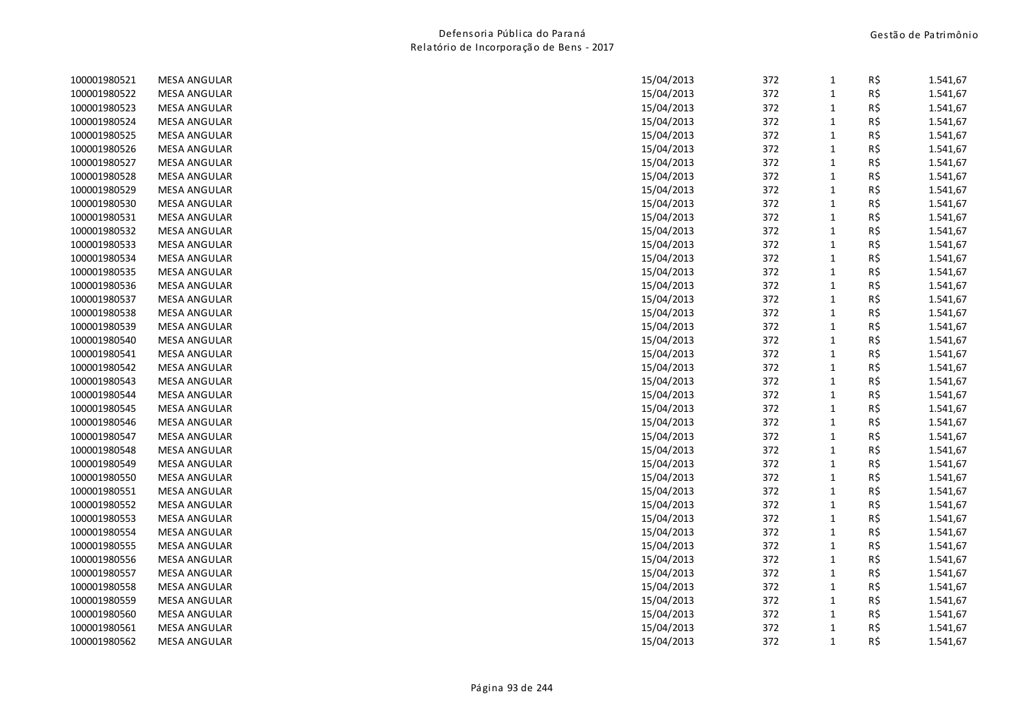| 100001980521 | <b>MESA ANGULAR</b> | 15/04/2013 | 372 | $\mathbf{1}$ | R\$ | 1.541,67 |
|--------------|---------------------|------------|-----|--------------|-----|----------|
| 100001980522 | <b>MESA ANGULAR</b> | 15/04/2013 | 372 | $\mathbf{1}$ | R\$ | 1.541,67 |
| 100001980523 | <b>MESA ANGULAR</b> | 15/04/2013 | 372 | $\mathbf{1}$ | R\$ | 1.541,67 |
| 100001980524 | <b>MESA ANGULAR</b> | 15/04/2013 | 372 | $\mathbf 1$  | R\$ | 1.541,67 |
| 100001980525 | <b>MESA ANGULAR</b> | 15/04/2013 | 372 | $\mathbf{1}$ | R\$ | 1.541,67 |
| 100001980526 | <b>MESA ANGULAR</b> | 15/04/2013 | 372 | $\mathbf{1}$ | R\$ | 1.541,67 |
| 100001980527 | <b>MESA ANGULAR</b> | 15/04/2013 | 372 | $\mathbf{1}$ | R\$ | 1.541,67 |
| 100001980528 | <b>MESA ANGULAR</b> | 15/04/2013 | 372 | $\mathbf{1}$ | R\$ | 1.541,67 |
| 100001980529 | <b>MESA ANGULAR</b> | 15/04/2013 | 372 | $\mathbf 1$  | R\$ | 1.541,67 |
| 100001980530 | <b>MESA ANGULAR</b> | 15/04/2013 | 372 | $\mathbf 1$  | R\$ | 1.541,67 |
| 100001980531 | <b>MESA ANGULAR</b> | 15/04/2013 | 372 | $\mathbf 1$  | R\$ | 1.541,67 |
| 100001980532 | <b>MESA ANGULAR</b> | 15/04/2013 | 372 | $\mathbf{1}$ | R\$ | 1.541,67 |
| 100001980533 | <b>MESA ANGULAR</b> | 15/04/2013 | 372 | $\mathbf{1}$ | R\$ | 1.541,67 |
| 100001980534 | <b>MESA ANGULAR</b> | 15/04/2013 | 372 | $\mathbf{1}$ | R\$ | 1.541,67 |
| 100001980535 | <b>MESA ANGULAR</b> | 15/04/2013 | 372 | $\mathbf{1}$ | R\$ | 1.541,67 |
| 100001980536 | <b>MESA ANGULAR</b> | 15/04/2013 | 372 | $\mathbf{1}$ | R\$ | 1.541,67 |
| 100001980537 | <b>MESA ANGULAR</b> | 15/04/2013 | 372 | $\mathbf 1$  | R\$ | 1.541,67 |
| 100001980538 | <b>MESA ANGULAR</b> | 15/04/2013 | 372 | $\mathbf 1$  | R\$ | 1.541,67 |
| 100001980539 | <b>MESA ANGULAR</b> | 15/04/2013 | 372 | $\mathbf{1}$ | R\$ | 1.541,67 |
| 100001980540 | <b>MESA ANGULAR</b> | 15/04/2013 | 372 | $\mathbf{1}$ | R\$ | 1.541,67 |
| 100001980541 | <b>MESA ANGULAR</b> | 15/04/2013 | 372 | $\mathbf{1}$ | R\$ | 1.541,67 |
| 100001980542 | <b>MESA ANGULAR</b> | 15/04/2013 | 372 | $\mathbf{1}$ | R\$ | 1.541,67 |
| 100001980543 | <b>MESA ANGULAR</b> | 15/04/2013 | 372 | $\mathbf 1$  | R\$ | 1.541,67 |
| 100001980544 | <b>MESA ANGULAR</b> | 15/04/2013 | 372 | $\mathbf 1$  | R\$ | 1.541,67 |
| 100001980545 | <b>MESA ANGULAR</b> | 15/04/2013 | 372 | $\mathbf{1}$ | R\$ | 1.541,67 |
| 100001980546 | <b>MESA ANGULAR</b> | 15/04/2013 | 372 | $\mathbf{1}$ | R\$ | 1.541,67 |
| 100001980547 | <b>MESA ANGULAR</b> | 15/04/2013 | 372 | $\mathbf{1}$ | R\$ | 1.541,67 |
| 100001980548 | <b>MESA ANGULAR</b> | 15/04/2013 | 372 | $\mathbf{1}$ | R\$ | 1.541,67 |
| 100001980549 | <b>MESA ANGULAR</b> | 15/04/2013 | 372 | $\mathbf{1}$ | R\$ | 1.541,67 |
| 100001980550 | <b>MESA ANGULAR</b> | 15/04/2013 | 372 | $\mathbf{1}$ | R\$ | 1.541,67 |
| 100001980551 | <b>MESA ANGULAR</b> | 15/04/2013 | 372 | $\mathbf{1}$ | R\$ | 1.541,67 |
| 100001980552 | <b>MESA ANGULAR</b> | 15/04/2013 | 372 | $\mathbf 1$  | R\$ | 1.541,67 |
| 100001980553 | <b>MESA ANGULAR</b> | 15/04/2013 | 372 | $\mathbf 1$  | R\$ | 1.541,67 |
| 100001980554 | <b>MESA ANGULAR</b> | 15/04/2013 | 372 | $\mathbf{1}$ | R\$ | 1.541,67 |
| 100001980555 | <b>MESA ANGULAR</b> | 15/04/2013 | 372 | $\mathbf{1}$ | R\$ | 1.541,67 |
| 100001980556 | <b>MESA ANGULAR</b> | 15/04/2013 | 372 | $\mathbf{1}$ | R\$ | 1.541,67 |
| 100001980557 | <b>MESA ANGULAR</b> | 15/04/2013 | 372 | $\mathbf 1$  | R\$ | 1.541,67 |
| 100001980558 | <b>MESA ANGULAR</b> | 15/04/2013 | 372 | $\mathbf 1$  | R\$ | 1.541,67 |
| 100001980559 | <b>MESA ANGULAR</b> | 15/04/2013 | 372 | $\mathbf{1}$ | R\$ | 1.541,67 |
| 100001980560 | <b>MESA ANGULAR</b> | 15/04/2013 | 372 | $\mathbf{1}$ | R\$ | 1.541,67 |
| 100001980561 | <b>MESA ANGULAR</b> | 15/04/2013 | 372 | $\mathbf{1}$ | R\$ | 1.541,67 |
| 100001980562 | <b>MESA ANGULAR</b> | 15/04/2013 | 372 | $\mathbf{1}$ | R\$ | 1.541,67 |
|              |                     |            |     |              |     |          |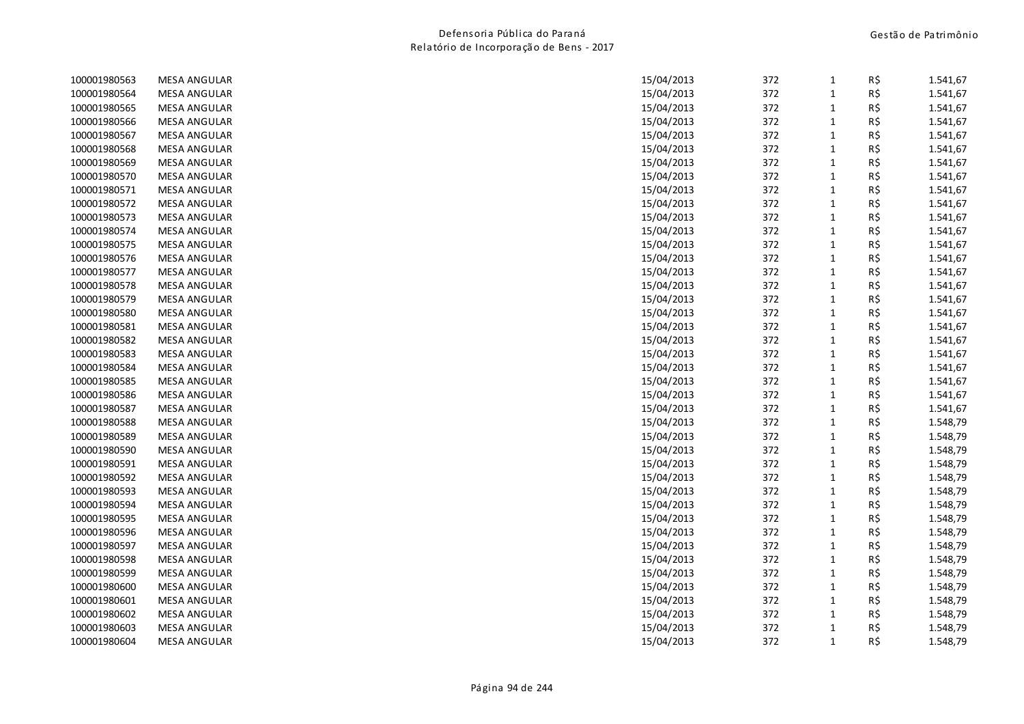| 100001980563 | <b>MESA ANGULAR</b> | 15/04/2013 | 372 | 1            | R\$ | 1.541,67 |
|--------------|---------------------|------------|-----|--------------|-----|----------|
| 100001980564 | <b>MESA ANGULAR</b> | 15/04/2013 | 372 | $\mathbf{1}$ | R\$ | 1.541,67 |
| 100001980565 | <b>MESA ANGULAR</b> | 15/04/2013 | 372 | $\mathbf{1}$ | R\$ | 1.541,67 |
| 100001980566 | <b>MESA ANGULAR</b> | 15/04/2013 | 372 | $\mathbf 1$  | R\$ | 1.541,67 |
| 100001980567 | <b>MESA ANGULAR</b> | 15/04/2013 | 372 | $\mathbf{1}$ | R\$ | 1.541,67 |
| 100001980568 | <b>MESA ANGULAR</b> | 15/04/2013 | 372 | $\mathbf{1}$ | R\$ | 1.541,67 |
| 100001980569 | <b>MESA ANGULAR</b> | 15/04/2013 | 372 | $\mathbf{1}$ | R\$ | 1.541,67 |
| 100001980570 | <b>MESA ANGULAR</b> | 15/04/2013 | 372 | $\mathbf{1}$ | R\$ | 1.541,67 |
| 100001980571 | <b>MESA ANGULAR</b> | 15/04/2013 | 372 | $\mathbf 1$  | R\$ | 1.541,67 |
| 100001980572 | <b>MESA ANGULAR</b> | 15/04/2013 | 372 | $\mathbf 1$  | R\$ | 1.541,67 |
| 100001980573 | <b>MESA ANGULAR</b> | 15/04/2013 | 372 | $\mathbf 1$  | R\$ | 1.541,67 |
| 100001980574 | <b>MESA ANGULAR</b> | 15/04/2013 | 372 | $\mathbf{1}$ | R\$ | 1.541,67 |
| 100001980575 | <b>MESA ANGULAR</b> | 15/04/2013 | 372 | $\mathbf{1}$ | R\$ | 1.541,67 |
| 100001980576 | <b>MESA ANGULAR</b> | 15/04/2013 | 372 | $\mathbf{1}$ | R\$ | 1.541,67 |
| 100001980577 | <b>MESA ANGULAR</b> | 15/04/2013 | 372 | $\mathbf{1}$ | R\$ | 1.541,67 |
| 100001980578 | <b>MESA ANGULAR</b> | 15/04/2013 | 372 | $\mathbf{1}$ | R\$ | 1.541,67 |
| 100001980579 | <b>MESA ANGULAR</b> | 15/04/2013 | 372 | $\mathbf{1}$ | R\$ | 1.541,67 |
| 100001980580 | <b>MESA ANGULAR</b> | 15/04/2013 | 372 | $\mathbf 1$  | R\$ | 1.541,67 |
| 100001980581 | <b>MESA ANGULAR</b> | 15/04/2013 | 372 | $\mathbf{1}$ | R\$ | 1.541,67 |
| 100001980582 | <b>MESA ANGULAR</b> | 15/04/2013 | 372 | $\mathbf{1}$ | R\$ | 1.541,67 |
| 100001980583 | <b>MESA ANGULAR</b> | 15/04/2013 | 372 | $\mathbf{1}$ | R\$ | 1.541,67 |
| 100001980584 | <b>MESA ANGULAR</b> | 15/04/2013 | 372 | $\mathbf{1}$ | R\$ | 1.541,67 |
| 100001980585 | <b>MESA ANGULAR</b> | 15/04/2013 | 372 | $\mathbf 1$  | R\$ | 1.541,67 |
| 100001980586 | <b>MESA ANGULAR</b> | 15/04/2013 | 372 | $\mathbf 1$  | R\$ | 1.541,67 |
| 100001980587 | <b>MESA ANGULAR</b> | 15/04/2013 | 372 | $\mathbf{1}$ | R\$ | 1.541,67 |
| 100001980588 | <b>MESA ANGULAR</b> | 15/04/2013 | 372 | $\mathbf{1}$ | R\$ | 1.548,79 |
| 100001980589 | <b>MESA ANGULAR</b> | 15/04/2013 | 372 | $\mathbf{1}$ | R\$ | 1.548,79 |
| 100001980590 | <b>MESA ANGULAR</b> | 15/04/2013 | 372 | $\mathbf{1}$ | R\$ | 1.548,79 |
| 100001980591 | <b>MESA ANGULAR</b> | 15/04/2013 | 372 | $\mathbf{1}$ | R\$ | 1.548,79 |
| 100001980592 | <b>MESA ANGULAR</b> | 15/04/2013 | 372 | $\mathbf{1}$ | R\$ | 1.548,79 |
| 100001980593 | <b>MESA ANGULAR</b> | 15/04/2013 | 372 | $\mathbf{1}$ | R\$ | 1.548,79 |
| 100001980594 | <b>MESA ANGULAR</b> | 15/04/2013 | 372 | $\mathbf 1$  | R\$ | 1.548,79 |
| 100001980595 | <b>MESA ANGULAR</b> | 15/04/2013 | 372 | $\mathbf{1}$ | R\$ | 1.548,79 |
| 100001980596 | <b>MESA ANGULAR</b> | 15/04/2013 | 372 | $\mathbf{1}$ | R\$ | 1.548,79 |
| 100001980597 | <b>MESA ANGULAR</b> | 15/04/2013 | 372 | $\mathbf{1}$ | R\$ | 1.548,79 |
| 100001980598 | <b>MESA ANGULAR</b> | 15/04/2013 | 372 | $\mathbf{1}$ | R\$ | 1.548,79 |
| 100001980599 | <b>MESA ANGULAR</b> | 15/04/2013 | 372 | $\mathbf 1$  | R\$ | 1.548,79 |
| 100001980600 | <b>MESA ANGULAR</b> | 15/04/2013 | 372 | $\mathbf 1$  | R\$ | 1.548,79 |
| 100001980601 | <b>MESA ANGULAR</b> | 15/04/2013 | 372 | $\mathbf{1}$ | R\$ | 1.548,79 |
| 100001980602 | <b>MESA ANGULAR</b> | 15/04/2013 | 372 | $\mathbf{1}$ | R\$ | 1.548,79 |
| 100001980603 | <b>MESA ANGULAR</b> | 15/04/2013 | 372 | $\mathbf{1}$ | R\$ | 1.548,79 |
| 100001980604 | <b>MESA ANGULAR</b> | 15/04/2013 | 372 | $\mathbf{1}$ | R\$ | 1.548,79 |
|              |                     |            |     |              |     |          |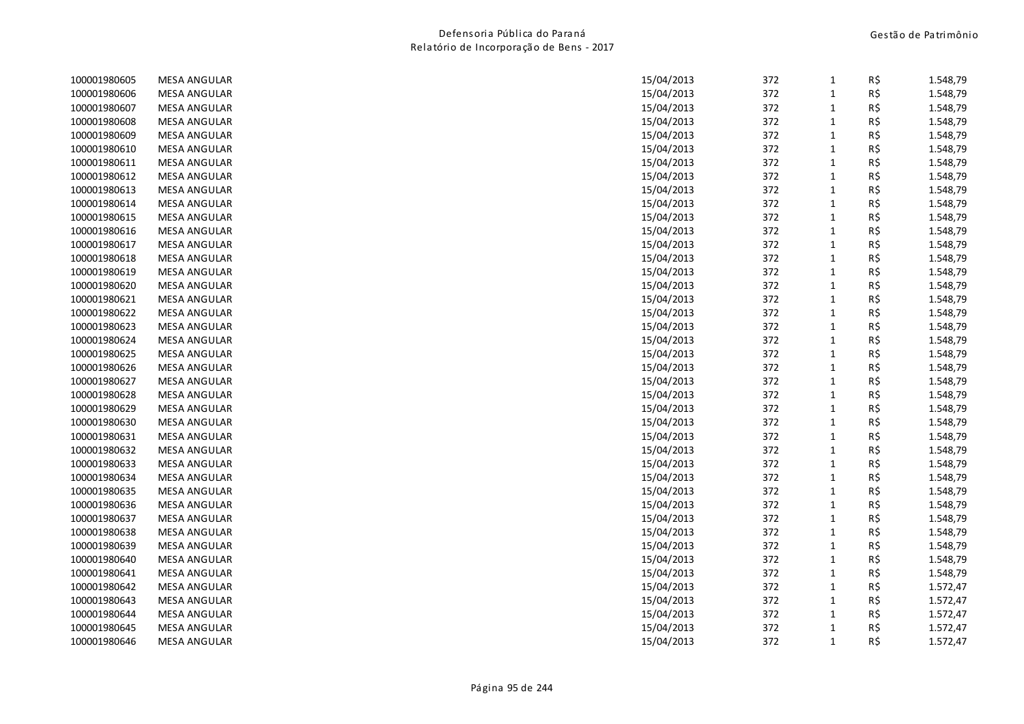| 100001980605 | <b>MESA ANGULAR</b> | 15/04/2013 | 372 | $\mathbf{1}$ | R\$ | 1.548,79 |
|--------------|---------------------|------------|-----|--------------|-----|----------|
| 100001980606 | <b>MESA ANGULAR</b> | 15/04/2013 | 372 | $\mathbf{1}$ | R\$ | 1.548,79 |
| 100001980607 | <b>MESA ANGULAR</b> | 15/04/2013 | 372 | $\mathbf{1}$ | R\$ | 1.548,79 |
| 100001980608 | <b>MESA ANGULAR</b> | 15/04/2013 | 372 | $\mathbf 1$  | R\$ | 1.548,79 |
| 100001980609 | <b>MESA ANGULAR</b> | 15/04/2013 | 372 | $\mathbf{1}$ | R\$ | 1.548,79 |
| 100001980610 | <b>MESA ANGULAR</b> | 15/04/2013 | 372 | $\mathbf{1}$ | R\$ | 1.548,79 |
| 100001980611 | <b>MESA ANGULAR</b> | 15/04/2013 | 372 | $\mathbf{1}$ | R\$ | 1.548,79 |
| 100001980612 | <b>MESA ANGULAR</b> | 15/04/2013 | 372 | $\mathbf{1}$ | R\$ | 1.548,79 |
| 100001980613 | <b>MESA ANGULAR</b> | 15/04/2013 | 372 | $\mathbf 1$  | R\$ | 1.548,79 |
| 100001980614 | <b>MESA ANGULAR</b> | 15/04/2013 | 372 | $\mathbf 1$  | R\$ | 1.548,79 |
| 100001980615 | <b>MESA ANGULAR</b> | 15/04/2013 | 372 | $\mathbf 1$  | R\$ | 1.548,79 |
| 100001980616 | <b>MESA ANGULAR</b> | 15/04/2013 | 372 | $\mathbf 1$  | R\$ | 1.548,79 |
| 100001980617 | <b>MESA ANGULAR</b> | 15/04/2013 | 372 | $\mathbf{1}$ | R\$ | 1.548,79 |
| 100001980618 | <b>MESA ANGULAR</b> | 15/04/2013 | 372 | $\mathbf 1$  | R\$ | 1.548,79 |
| 100001980619 | <b>MESA ANGULAR</b> | 15/04/2013 | 372 | $\mathbf{1}$ | R\$ | 1.548,79 |
| 100001980620 | <b>MESA ANGULAR</b> | 15/04/2013 | 372 | $\mathbf{1}$ | R\$ | 1.548,79 |
| 100001980621 | <b>MESA ANGULAR</b> | 15/04/2013 | 372 | $\mathbf{1}$ | R\$ | 1.548,79 |
| 100001980622 | <b>MESA ANGULAR</b> | 15/04/2013 | 372 | $\mathbf 1$  | R\$ | 1.548,79 |
| 100001980623 | <b>MESA ANGULAR</b> | 15/04/2013 | 372 | $\mathbf{1}$ | R\$ | 1.548,79 |
| 100001980624 | <b>MESA ANGULAR</b> | 15/04/2013 | 372 | $\mathbf{1}$ | R\$ | 1.548,79 |
| 100001980625 | <b>MESA ANGULAR</b> | 15/04/2013 | 372 | $\mathbf 1$  | R\$ | 1.548,79 |
| 100001980626 | <b>MESA ANGULAR</b> | 15/04/2013 | 372 | $\mathbf{1}$ | R\$ | 1.548,79 |
| 100001980627 | <b>MESA ANGULAR</b> | 15/04/2013 | 372 | $\mathbf 1$  | R\$ | 1.548,79 |
| 100001980628 | <b>MESA ANGULAR</b> | 15/04/2013 | 372 | $\mathbf 1$  | R\$ | 1.548,79 |
| 100001980629 | <b>MESA ANGULAR</b> | 15/04/2013 | 372 | $\mathbf{1}$ | R\$ | 1.548,79 |
| 100001980630 | <b>MESA ANGULAR</b> | 15/04/2013 | 372 | $\mathbf{1}$ | R\$ | 1.548,79 |
| 100001980631 | <b>MESA ANGULAR</b> | 15/04/2013 | 372 | $\mathbf 1$  | R\$ | 1.548,79 |
| 100001980632 | <b>MESA ANGULAR</b> | 15/04/2013 | 372 | $\mathbf 1$  | R\$ | 1.548,79 |
| 100001980633 | <b>MESA ANGULAR</b> | 15/04/2013 | 372 | $\mathbf{1}$ | R\$ | 1.548,79 |
| 100001980634 | <b>MESA ANGULAR</b> | 15/04/2013 | 372 | $\mathbf{1}$ | R\$ | 1.548,79 |
| 100001980635 | <b>MESA ANGULAR</b> | 15/04/2013 | 372 | $\mathbf{1}$ | R\$ | 1.548,79 |
| 100001980636 | <b>MESA ANGULAR</b> | 15/04/2013 | 372 | $\mathbf 1$  | R\$ | 1.548,79 |
| 100001980637 | <b>MESA ANGULAR</b> | 15/04/2013 | 372 | $\mathbf 1$  | R\$ | 1.548,79 |
| 100001980638 | <b>MESA ANGULAR</b> | 15/04/2013 | 372 | $\mathbf{1}$ | R\$ | 1.548,79 |
| 100001980639 | <b>MESA ANGULAR</b> | 15/04/2013 | 372 | $\mathbf 1$  | R\$ | 1.548,79 |
| 100001980640 | <b>MESA ANGULAR</b> | 15/04/2013 | 372 | $\mathbf{1}$ | R\$ | 1.548,79 |
| 100001980641 | <b>MESA ANGULAR</b> | 15/04/2013 | 372 | $\mathbf 1$  | R\$ | 1.548,79 |
| 100001980642 | <b>MESA ANGULAR</b> | 15/04/2013 | 372 | $\mathbf 1$  | R\$ | 1.572,47 |
| 100001980643 | <b>MESA ANGULAR</b> | 15/04/2013 | 372 | $\mathbf{1}$ | R\$ | 1.572,47 |
| 100001980644 | <b>MESA ANGULAR</b> | 15/04/2013 | 372 | $\mathbf{1}$ | R\$ | 1.572,47 |
| 100001980645 | <b>MESA ANGULAR</b> | 15/04/2013 | 372 | $\mathbf{1}$ | R\$ | 1.572,47 |
| 100001980646 | <b>MESA ANGULAR</b> | 15/04/2013 | 372 | $\mathbf{1}$ | R\$ | 1.572,47 |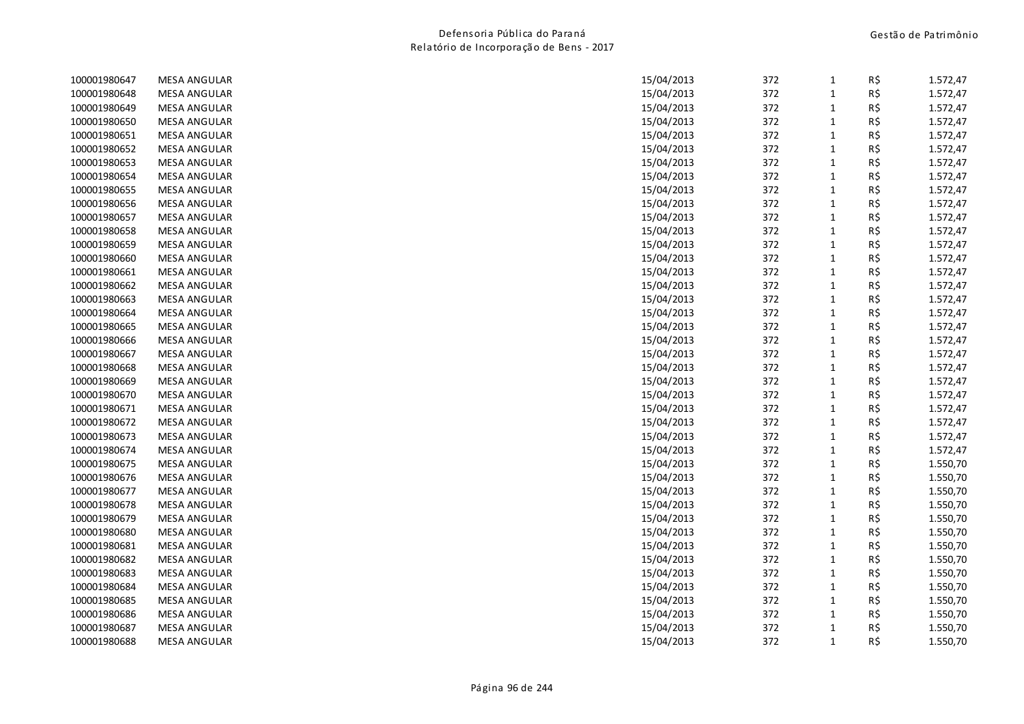| 100001980647 | <b>MESA ANGULAR</b> | 15/04/2013 | 372 | $\mathbf{1}$ | R\$ | 1.572,47 |
|--------------|---------------------|------------|-----|--------------|-----|----------|
| 100001980648 | <b>MESA ANGULAR</b> | 15/04/2013 | 372 | $\mathbf{1}$ | R\$ | 1.572,47 |
| 100001980649 | <b>MESA ANGULAR</b> | 15/04/2013 | 372 | $\mathbf{1}$ | R\$ | 1.572,47 |
| 100001980650 | <b>MESA ANGULAR</b> | 15/04/2013 | 372 | $\mathbf 1$  | R\$ | 1.572,47 |
| 100001980651 | <b>MESA ANGULAR</b> | 15/04/2013 | 372 | $\mathbf{1}$ | R\$ | 1.572,47 |
| 100001980652 | <b>MESA ANGULAR</b> | 15/04/2013 | 372 | $\mathbf{1}$ | R\$ | 1.572,47 |
| 100001980653 | <b>MESA ANGULAR</b> | 15/04/2013 | 372 | $\mathbf{1}$ | R\$ | 1.572,47 |
| 100001980654 | <b>MESA ANGULAR</b> | 15/04/2013 | 372 | $\mathbf{1}$ | R\$ | 1.572,47 |
| 100001980655 | <b>MESA ANGULAR</b> | 15/04/2013 | 372 | $\mathbf 1$  | R\$ | 1.572,47 |
| 100001980656 | <b>MESA ANGULAR</b> | 15/04/2013 | 372 | $\mathbf{1}$ | R\$ | 1.572,47 |
| 100001980657 | <b>MESA ANGULAR</b> | 15/04/2013 | 372 | $\mathbf 1$  | R\$ | 1.572,47 |
| 100001980658 | <b>MESA ANGULAR</b> | 15/04/2013 | 372 | $\mathbf{1}$ | R\$ | 1.572,47 |
| 100001980659 | <b>MESA ANGULAR</b> | 15/04/2013 | 372 | $\mathbf{1}$ | R\$ | 1.572,47 |
| 100001980660 | <b>MESA ANGULAR</b> | 15/04/2013 | 372 | $\mathbf{1}$ | R\$ | 1.572,47 |
| 100001980661 | <b>MESA ANGULAR</b> | 15/04/2013 | 372 | $\mathbf{1}$ | R\$ | 1.572,47 |
| 100001980662 | <b>MESA ANGULAR</b> | 15/04/2013 | 372 | $\mathbf{1}$ | R\$ | 1.572,47 |
| 100001980663 | <b>MESA ANGULAR</b> | 15/04/2013 | 372 | $\mathbf{1}$ | R\$ | 1.572,47 |
| 100001980664 | <b>MESA ANGULAR</b> | 15/04/2013 | 372 | $\mathbf 1$  | R\$ | 1.572,47 |
| 100001980665 | <b>MESA ANGULAR</b> | 15/04/2013 | 372 | $\mathbf{1}$ | R\$ | 1.572,47 |
| 100001980666 | <b>MESA ANGULAR</b> | 15/04/2013 | 372 | $\mathbf{1}$ | R\$ | 1.572,47 |
| 100001980667 | <b>MESA ANGULAR</b> | 15/04/2013 | 372 | $\mathbf{1}$ | R\$ | 1.572,47 |
| 100001980668 | <b>MESA ANGULAR</b> | 15/04/2013 | 372 | $\mathbf{1}$ | R\$ | 1.572,47 |
| 100001980669 | <b>MESA ANGULAR</b> | 15/04/2013 | 372 | $\mathbf 1$  | R\$ | 1.572,47 |
| 100001980670 | <b>MESA ANGULAR</b> | 15/04/2013 | 372 | $\mathbf 1$  | R\$ | 1.572,47 |
| 100001980671 | <b>MESA ANGULAR</b> | 15/04/2013 | 372 | $\mathbf{1}$ | R\$ | 1.572,47 |
| 100001980672 | <b>MESA ANGULAR</b> | 15/04/2013 | 372 | $\mathbf{1}$ | R\$ | 1.572,47 |
| 100001980673 | <b>MESA ANGULAR</b> | 15/04/2013 | 372 | $\mathbf{1}$ | R\$ | 1.572,47 |
| 100001980674 | <b>MESA ANGULAR</b> | 15/04/2013 | 372 | $\mathbf{1}$ | R\$ | 1.572,47 |
| 100001980675 | <b>MESA ANGULAR</b> | 15/04/2013 | 372 | $\mathbf{1}$ | R\$ | 1.550,70 |
| 100001980676 | <b>MESA ANGULAR</b> | 15/04/2013 | 372 | $\mathbf{1}$ | R\$ | 1.550,70 |
| 100001980677 | <b>MESA ANGULAR</b> | 15/04/2013 | 372 | $\mathbf{1}$ | R\$ | 1.550,70 |
| 100001980678 | <b>MESA ANGULAR</b> | 15/04/2013 | 372 | $\mathbf 1$  | R\$ | 1.550,70 |
| 100001980679 | <b>MESA ANGULAR</b> | 15/04/2013 | 372 | $\mathbf{1}$ | R\$ | 1.550,70 |
| 100001980680 | <b>MESA ANGULAR</b> | 15/04/2013 | 372 | $\mathbf{1}$ | R\$ | 1.550,70 |
| 100001980681 | <b>MESA ANGULAR</b> | 15/04/2013 | 372 | $\mathbf{1}$ | R\$ | 1.550,70 |
| 100001980682 | <b>MESA ANGULAR</b> | 15/04/2013 | 372 | $\mathbf{1}$ | R\$ | 1.550,70 |
| 100001980683 | <b>MESA ANGULAR</b> | 15/04/2013 | 372 | $\mathbf{1}$ | R\$ | 1.550,70 |
| 100001980684 | <b>MESA ANGULAR</b> | 15/04/2013 | 372 | $\mathbf 1$  | R\$ | 1.550,70 |
| 100001980685 | <b>MESA ANGULAR</b> | 15/04/2013 | 372 | $\mathbf{1}$ | R\$ | 1.550,70 |
| 100001980686 | <b>MESA ANGULAR</b> | 15/04/2013 | 372 | $\mathbf{1}$ | R\$ | 1.550,70 |
| 100001980687 | <b>MESA ANGULAR</b> | 15/04/2013 | 372 | $\mathbf{1}$ | R\$ | 1.550,70 |
| 100001980688 | <b>MESA ANGULAR</b> | 15/04/2013 | 372 | $\mathbf{1}$ | R\$ | 1.550,70 |
|              |                     |            |     |              |     |          |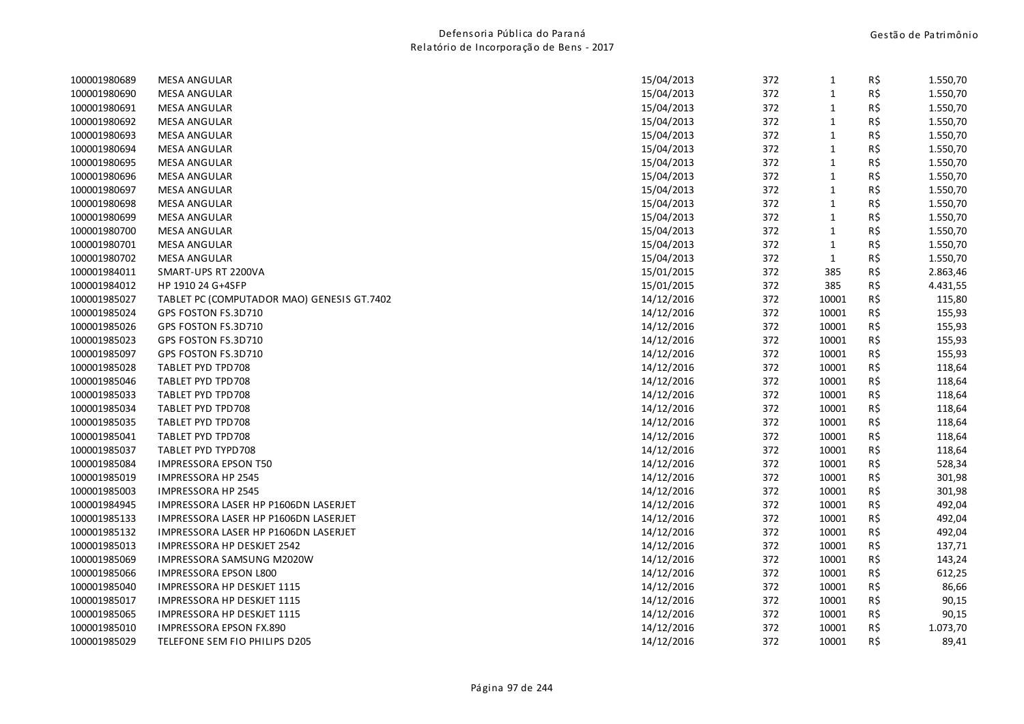| <b>MESA ANGULAR</b>                        | 15/04/2013 | 372 | $\mathbf{1}$ | R\$ | 1.550,70 |
|--------------------------------------------|------------|-----|--------------|-----|----------|
| <b>MESA ANGULAR</b>                        | 15/04/2013 | 372 | $\mathbf 1$  | R\$ | 1.550,70 |
| <b>MESA ANGULAR</b>                        | 15/04/2013 | 372 | $\mathbf 1$  | R\$ | 1.550,70 |
| <b>MESA ANGULAR</b>                        | 15/04/2013 | 372 | $\mathbf{1}$ | R\$ | 1.550,70 |
| <b>MESA ANGULAR</b>                        | 15/04/2013 | 372 | $\mathbf 1$  | R\$ | 1.550,70 |
| <b>MESA ANGULAR</b>                        | 15/04/2013 | 372 | $\mathbf 1$  | R\$ | 1.550,70 |
| <b>MESA ANGULAR</b>                        | 15/04/2013 | 372 | $\mathbf 1$  | R\$ | 1.550,70 |
| <b>MESA ANGULAR</b>                        | 15/04/2013 | 372 | $1\,$        | R\$ | 1.550,70 |
| <b>MESA ANGULAR</b>                        | 15/04/2013 | 372 | $\mathbf{1}$ | R\$ | 1.550,70 |
| <b>MESA ANGULAR</b>                        | 15/04/2013 | 372 | $\mathbf 1$  | R\$ | 1.550,70 |
| <b>MESA ANGULAR</b>                        | 15/04/2013 | 372 | $\mathbf{1}$ | R\$ | 1.550,70 |
| <b>MESA ANGULAR</b>                        | 15/04/2013 | 372 | $\mathbf{1}$ | R\$ | 1.550,70 |
| MESA ANGULAR                               | 15/04/2013 | 372 | $\mathbf{1}$ | R\$ | 1.550,70 |
| <b>MESA ANGULAR</b>                        | 15/04/2013 | 372 | $\mathbf{1}$ | R\$ | 1.550,70 |
| SMART-UPS RT 2200VA                        | 15/01/2015 | 372 | 385          | R\$ | 2.863,46 |
| HP 1910 24 G+4SFP                          | 15/01/2015 | 372 | 385          | R\$ | 4.431,55 |
| TABLET PC (COMPUTADOR MAO) GENESIS GT.7402 | 14/12/2016 | 372 | 10001        | R\$ | 115,80   |
| GPS FOSTON FS.3D710                        | 14/12/2016 | 372 | 10001        | R\$ | 155,93   |
| GPS FOSTON FS.3D710                        | 14/12/2016 | 372 | 10001        | R\$ | 155,93   |
| GPS FOSTON FS.3D710                        | 14/12/2016 | 372 | 10001        | R\$ | 155,93   |
| GPS FOSTON FS.3D710                        | 14/12/2016 | 372 | 10001        | R\$ | 155,93   |
| TABLET PYD TPD708                          | 14/12/2016 | 372 | 10001        | R\$ | 118,64   |
| TABLET PYD TPD708                          | 14/12/2016 | 372 | 10001        | R\$ | 118,64   |
| TABLET PYD TPD708                          | 14/12/2016 | 372 | 10001        | R\$ | 118,64   |
| TABLET PYD TPD708                          | 14/12/2016 | 372 | 10001        | R\$ | 118,64   |
| TABLET PYD TPD708                          | 14/12/2016 | 372 | 10001        | R\$ | 118,64   |
| TABLET PYD TPD708                          | 14/12/2016 | 372 | 10001        | R\$ | 118,64   |
| TABLET PYD TYPD708                         | 14/12/2016 | 372 | 10001        | R\$ | 118,64   |
| <b>IMPRESSORA EPSON T50</b>                | 14/12/2016 | 372 | 10001        | R\$ | 528,34   |
| IMPRESSORA HP 2545                         | 14/12/2016 | 372 | 10001        | R\$ | 301,98   |
| IMPRESSORA HP 2545                         | 14/12/2016 | 372 | 10001        | R\$ | 301,98   |
| IMPRESSORA LASER HP P1606DN LASERJET       | 14/12/2016 | 372 | 10001        | R\$ | 492,04   |
| IMPRESSORA LASER HP P1606DN LASERJET       | 14/12/2016 | 372 | 10001        | R\$ | 492,04   |
| IMPRESSORA LASER HP P1606DN LASERJET       | 14/12/2016 | 372 | 10001        | R\$ | 492,04   |
| IMPRESSORA HP DESKJET 2542                 | 14/12/2016 | 372 | 10001        | R\$ | 137,71   |
| IMPRESSORA SAMSUNG M2020W                  | 14/12/2016 | 372 | 10001        | R\$ | 143,24   |
| IMPRESSORA EPSON L800                      | 14/12/2016 | 372 | 10001        | R\$ | 612,25   |
| IMPRESSORA HP DESKJET 1115                 | 14/12/2016 | 372 | 10001        | R\$ | 86,66    |
| IMPRESSORA HP DESKJET 1115                 | 14/12/2016 | 372 | 10001        | R\$ | 90,15    |
| IMPRESSORA HP DESKJET 1115                 | 14/12/2016 | 372 | 10001        | R\$ | 90,15    |
| <b>IMPRESSORA EPSON FX.890</b>             | 14/12/2016 | 372 | 10001        | R\$ | 1.073,70 |
| TELEFONE SEM FIO PHILIPS D205              | 14/12/2016 | 372 | 10001        | R\$ | 89,41    |
|                                            |            |     |              |     |          |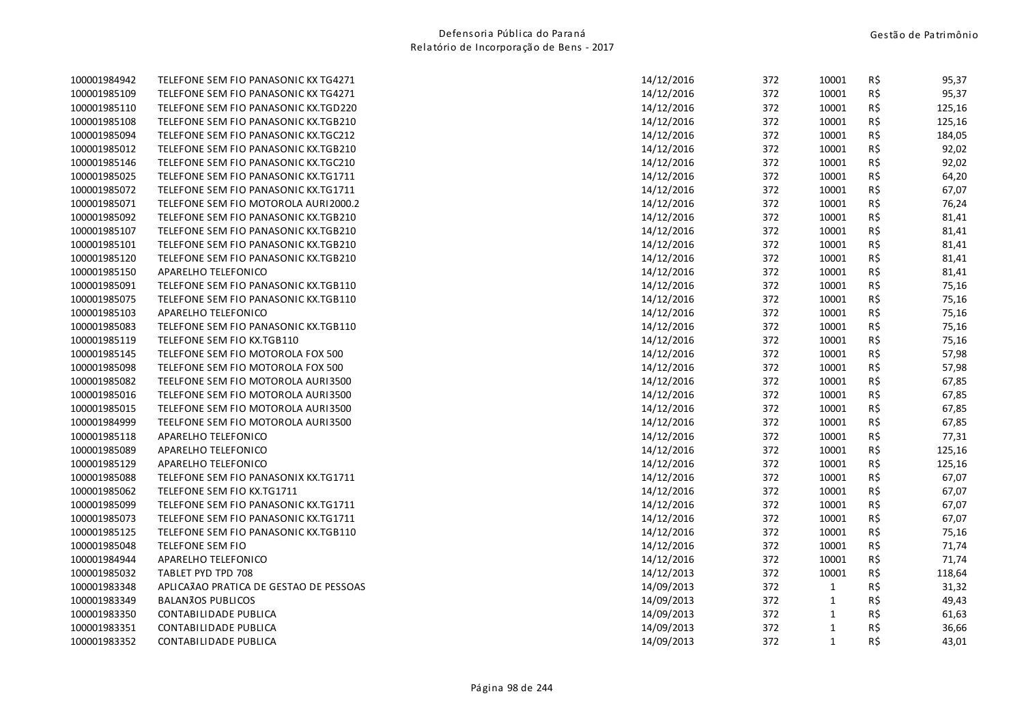| 100001984942 | TELEFONE SEM FIO PANASONIC KX TG4271   | 14/12/2016 | 372 | 10001        | R\$ | 95,37  |
|--------------|----------------------------------------|------------|-----|--------------|-----|--------|
| 100001985109 | TELEFONE SEM FIO PANASONIC KX TG4271   | 14/12/2016 | 372 | 10001        | R\$ | 95,37  |
| 100001985110 | TELEFONE SEM FIO PANASONIC KX.TGD220   | 14/12/2016 | 372 | 10001        | R\$ | 125,16 |
| 100001985108 | TELEFONE SEM FIO PANASONIC KX.TGB210   | 14/12/2016 | 372 | 10001        | R\$ | 125,16 |
| 100001985094 | TELEFONE SEM FIO PANASONIC KX.TGC212   | 14/12/2016 | 372 | 10001        | R\$ | 184,05 |
| 100001985012 | TELEFONE SEM FIO PANASONIC KX.TGB210   | 14/12/2016 | 372 | 10001        | R\$ | 92,02  |
| 100001985146 | TELEFONE SEM FIO PANASONIC KX.TGC210   | 14/12/2016 | 372 | 10001        | R\$ | 92,02  |
| 100001985025 | TELEFONE SEM FIO PANASONIC KX.TG1711   | 14/12/2016 | 372 | 10001        | R\$ | 64,20  |
| 100001985072 | TELEFONE SEM FIO PANASONIC KX.TG1711   | 14/12/2016 | 372 | 10001        | R\$ | 67,07  |
| 100001985071 | TELEFONE SEM FIO MOTOROLA AURI2000.2   | 14/12/2016 | 372 | 10001        | R\$ | 76,24  |
| 100001985092 | TELEFONE SEM FIO PANASONIC KX.TGB210   | 14/12/2016 | 372 | 10001        | R\$ | 81,41  |
| 100001985107 | TELEFONE SEM FIO PANASONIC KX.TGB210   | 14/12/2016 | 372 | 10001        | R\$ | 81,41  |
| 100001985101 | TELEFONE SEM FIO PANASONIC KX.TGB210   | 14/12/2016 | 372 | 10001        | R\$ | 81,41  |
| 100001985120 | TELEFONE SEM FIO PANASONIC KX.TGB210   | 14/12/2016 | 372 | 10001        | R\$ | 81,41  |
| 100001985150 | APARELHO TELEFONICO                    | 14/12/2016 | 372 | 10001        | R\$ | 81,41  |
| 100001985091 | TELEFONE SEM FIO PANASONIC KX.TGB110   | 14/12/2016 | 372 | 10001        | R\$ | 75,16  |
| 100001985075 | TELEFONE SEM FIO PANASONIC KX.TGB110   | 14/12/2016 | 372 | 10001        | R\$ | 75,16  |
| 100001985103 | APARELHO TELEFONICO                    | 14/12/2016 | 372 | 10001        | R\$ | 75,16  |
| 100001985083 | TELEFONE SEM FIO PANASONIC KX.TGB110   | 14/12/2016 | 372 | 10001        | R\$ | 75,16  |
| 100001985119 | TELEFONE SEM FIO KX.TGB110             | 14/12/2016 | 372 | 10001        | R\$ | 75,16  |
| 100001985145 | TELEFONE SEM FIO MOTOROLA FOX 500      | 14/12/2016 | 372 | 10001        | R\$ | 57,98  |
| 100001985098 | TELEFONE SEM FIO MOTOROLA FOX 500      | 14/12/2016 | 372 | 10001        | R\$ | 57,98  |
| 100001985082 | TEELFONE SEM FIO MOTOROLA AURI3500     | 14/12/2016 | 372 | 10001        | R\$ | 67,85  |
| 100001985016 | TELEFONE SEM FIO MOTOROLA AURI3500     | 14/12/2016 | 372 | 10001        | R\$ | 67,85  |
| 100001985015 | TELEFONE SEM FIO MOTOROLA AURI3500     | 14/12/2016 | 372 | 10001        | R\$ | 67,85  |
| 100001984999 | TEELFONE SEM FIO MOTOROLA AURI3500     | 14/12/2016 | 372 | 10001        | R\$ | 67,85  |
| 100001985118 | APARELHO TELEFONICO                    | 14/12/2016 | 372 | 10001        | R\$ | 77,31  |
| 100001985089 | APARELHO TELEFONICO                    | 14/12/2016 | 372 | 10001        | R\$ | 125,16 |
| 100001985129 | APARELHO TELEFONICO                    | 14/12/2016 | 372 | 10001        | R\$ | 125,16 |
| 100001985088 | TELEFONE SEM FIO PANASONIX KX.TG1711   | 14/12/2016 | 372 | 10001        | R\$ | 67,07  |
| 100001985062 | TELEFONE SEM FIO KX.TG1711             | 14/12/2016 | 372 | 10001        | R\$ | 67,07  |
| 100001985099 | TELEFONE SEM FIO PANASONIC KX.TG1711   | 14/12/2016 | 372 | 10001        | R\$ | 67,07  |
| 100001985073 | TELEFONE SEM FIO PANASONIC KX.TG1711   | 14/12/2016 | 372 | 10001        | R\$ | 67,07  |
| 100001985125 | TELEFONE SEM FIO PANASONIC KX.TGB110   | 14/12/2016 | 372 | 10001        | R\$ | 75,16  |
| 100001985048 | TELEFONE SEM FIO                       | 14/12/2016 | 372 | 10001        | R\$ | 71,74  |
| 100001984944 | APARELHO TELEFONICO                    | 14/12/2016 | 372 | 10001        | R\$ | 71,74  |
| 100001985032 | TABLET PYD TPD 708                     | 14/12/2013 | 372 | 10001        | R\$ | 118,64 |
| 100001983348 | APLICARAO PRATICA DE GESTAO DE PESSOAS | 14/09/2013 | 372 | $\mathbf{1}$ | R\$ | 31,32  |
| 100001983349 | <b>BALAN7OS PUBLICOS</b>               | 14/09/2013 | 372 | $\mathbf{1}$ | R\$ | 49,43  |
| 100001983350 | CONTABILIDADE PUBLICA                  | 14/09/2013 | 372 | $\mathbf{1}$ | R\$ | 61,63  |
| 100001983351 | CONTABILIDADE PUBLICA                  | 14/09/2013 | 372 | $\mathbf{1}$ | R\$ | 36,66  |
| 100001983352 | CONTABILIDADE PUBLICA                  | 14/09/2013 | 372 | $\mathbf{1}$ | R\$ | 43,01  |
|              |                                        |            |     |              |     |        |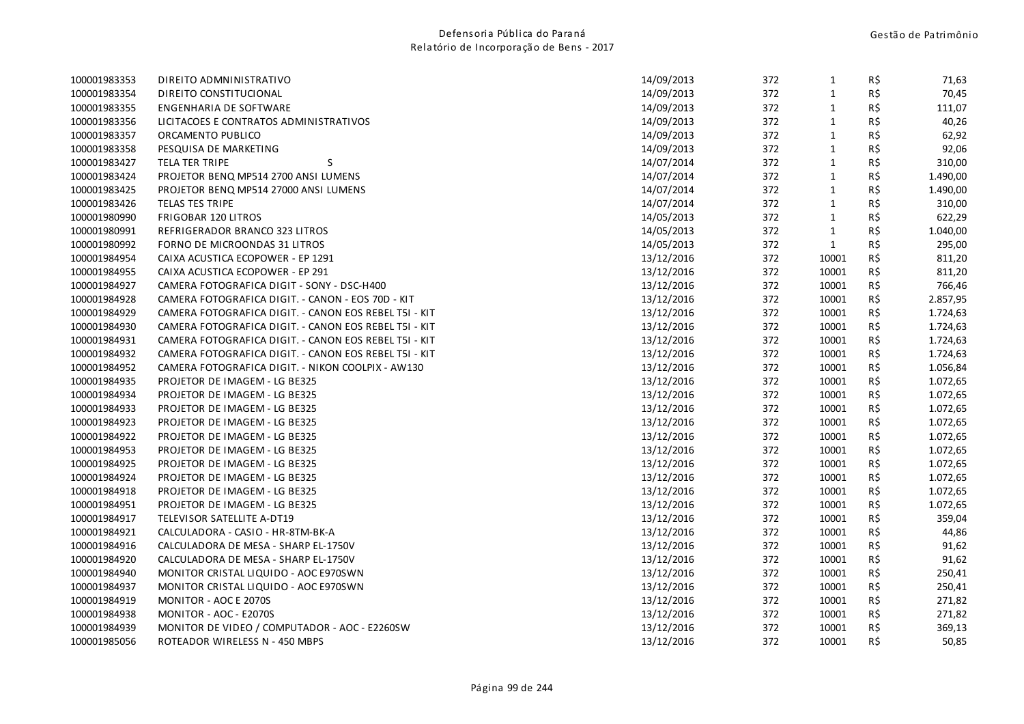| 100001983353 | DIREITO ADMNINISTRATIVO                               | 14/09/2013 | 372 | $\mathbf{1}$ | R\$      | 71,63    |
|--------------|-------------------------------------------------------|------------|-----|--------------|----------|----------|
| 100001983354 | DIREITO CONSTITUCIONAL                                | 14/09/2013 | 372 | $\mathbf{1}$ | R\$      | 70,45    |
| 100001983355 | ENGENHARIA DE SOFTWARE                                | 14/09/2013 | 372 | $\mathbf{1}$ | R\$      | 111,07   |
| 100001983356 | LICITACOES E CONTRATOS ADMINISTRATIVOS                | 14/09/2013 | 372 | $\mathbf 1$  | R\$      | 40,26    |
| 100001983357 | ORCAMENTO PUBLICO                                     | 14/09/2013 | 372 | $\mathbf 1$  | $R\,$ \$ | 62,92    |
| 100001983358 | PESQUISA DE MARKETING                                 | 14/09/2013 | 372 | $\mathbf{1}$ | R\$      | 92,06    |
| 100001983427 | S<br><b>TELA TER TRIPE</b>                            | 14/07/2014 | 372 | $\mathbf 1$  | R\$      | 310,00   |
| 100001983424 | PROJETOR BENQ MP514 2700 ANSI LUMENS                  | 14/07/2014 | 372 | $\mathbf{1}$ | R\$      | 1.490,00 |
| 100001983425 | PROJETOR BENQ MP514 27000 ANSI LUMENS                 | 14/07/2014 | 372 | $\mathbf{1}$ | R\$      | 1.490,00 |
| 100001983426 | TELAS TES TRIPE                                       | 14/07/2014 | 372 | $\mathbf{1}$ | R\$      | 310,00   |
| 100001980990 | <b>FRIGOBAR 120 LITROS</b>                            | 14/05/2013 | 372 | $\mathbf 1$  | R\$      | 622,29   |
| 100001980991 | REFRIGERADOR BRANCO 323 LITROS                        | 14/05/2013 | 372 | $\mathbf{1}$ | R\$      | 1.040,00 |
| 100001980992 | FORNO DE MICROONDAS 31 LITROS                         | 14/05/2013 | 372 | $\mathbf{1}$ | R\$      | 295,00   |
| 100001984954 | CAIXA ACUSTICA ECOPOWER - EP 1291                     | 13/12/2016 | 372 | 10001        | R\$      | 811,20   |
| 100001984955 | CAIXA ACUSTICA ECOPOWER - EP 291                      | 13/12/2016 | 372 | 10001        | R\$      | 811,20   |
| 100001984927 | CAMERA FOTOGRAFICA DIGIT - SONY - DSC-H400            | 13/12/2016 | 372 | 10001        | R\$      | 766,46   |
| 100001984928 | CAMERA FOTOGRAFICA DIGIT. - CANON - EOS 70D - KIT     | 13/12/2016 | 372 | 10001        | R\$      | 2.857,95 |
| 100001984929 | CAMERA FOTOGRAFICA DIGIT. - CANON EOS REBEL T5I - KIT | 13/12/2016 | 372 | 10001        | R\$      | 1.724,63 |
| 100001984930 | CAMERA FOTOGRAFICA DIGIT. - CANON EOS REBEL T5I - KIT | 13/12/2016 | 372 | 10001        | R\$      | 1.724,63 |
| 100001984931 | CAMERA FOTOGRAFICA DIGIT. - CANON EOS REBEL T5I - KIT | 13/12/2016 | 372 | 10001        | R\$      | 1.724,63 |
| 100001984932 | CAMERA FOTOGRAFICA DIGIT. - CANON EOS REBEL T5I - KIT | 13/12/2016 | 372 | 10001        | R\$      | 1.724,63 |
| 100001984952 | CAMERA FOTOGRAFICA DIGIT. - NIKON COOLPIX - AW130     | 13/12/2016 | 372 | 10001        | R\$      | 1.056,84 |
| 100001984935 | PROJETOR DE IMAGEM - LG BE325                         | 13/12/2016 | 372 | 10001        | R\$      | 1.072,65 |
| 100001984934 | PROJETOR DE IMAGEM - LG BE325                         | 13/12/2016 | 372 | 10001        | R\$      | 1.072,65 |
| 100001984933 | PROJETOR DE IMAGEM - LG BE325                         | 13/12/2016 | 372 | 10001        | R\$      | 1.072,65 |
| 100001984923 | PROJETOR DE IMAGEM - LG BE325                         | 13/12/2016 | 372 | 10001        | R\$      | 1.072,65 |
| 100001984922 | PROJETOR DE IMAGEM - LG BE325                         | 13/12/2016 | 372 | 10001        | R\$      | 1.072,65 |
| 100001984953 | PROJETOR DE IMAGEM - LG BE325                         | 13/12/2016 | 372 | 10001        | R\$      | 1.072,65 |
| 100001984925 | PROJETOR DE IMAGEM - LG BE325                         | 13/12/2016 | 372 | 10001        | R\$      | 1.072,65 |
| 100001984924 | PROJETOR DE IMAGEM - LG BE325                         | 13/12/2016 | 372 | 10001        | R\$      | 1.072,65 |
| 100001984918 | PROJETOR DE IMAGEM - LG BE325                         | 13/12/2016 | 372 | 10001        | R\$      | 1.072,65 |
| 100001984951 | PROJETOR DE IMAGEM - LG BE325                         | 13/12/2016 | 372 | 10001        | R\$      | 1.072,65 |
| 100001984917 | TELEVISOR SATELLITE A-DT19                            | 13/12/2016 | 372 | 10001        | R\$      | 359,04   |
| 100001984921 | CALCULADORA - CASIO - HR-8TM-BK-A                     | 13/12/2016 | 372 | 10001        | R\$      | 44,86    |
| 100001984916 | CALCULADORA DE MESA - SHARP EL-1750V                  | 13/12/2016 | 372 | 10001        | R\$      | 91,62    |
| 100001984920 | CALCULADORA DE MESA - SHARP EL-1750V                  | 13/12/2016 | 372 | 10001        | R\$      | 91,62    |
| 100001984940 | MONITOR CRISTAL LIQUIDO - AOC E970SWN                 | 13/12/2016 | 372 | 10001        | R\$      | 250,41   |
| 100001984937 | MONITOR CRISTAL LIQUIDO - AOC E970SWN                 | 13/12/2016 | 372 | 10001        | R\$      | 250,41   |
| 100001984919 | MONITOR - AOC E 2070S                                 | 13/12/2016 | 372 | 10001        | R\$      | 271,82   |
| 100001984938 | MONITOR - AOC - E2070S                                | 13/12/2016 | 372 | 10001        | R\$      | 271,82   |
| 100001984939 | MONITOR DE VIDEO / COMPUTADOR - AOC - E2260SW         | 13/12/2016 | 372 | 10001        | R\$      | 369,13   |
| 100001985056 | ROTEADOR WIRELESS N - 450 MBPS                        | 13/12/2016 | 372 | 10001        | R\$      | 50,85    |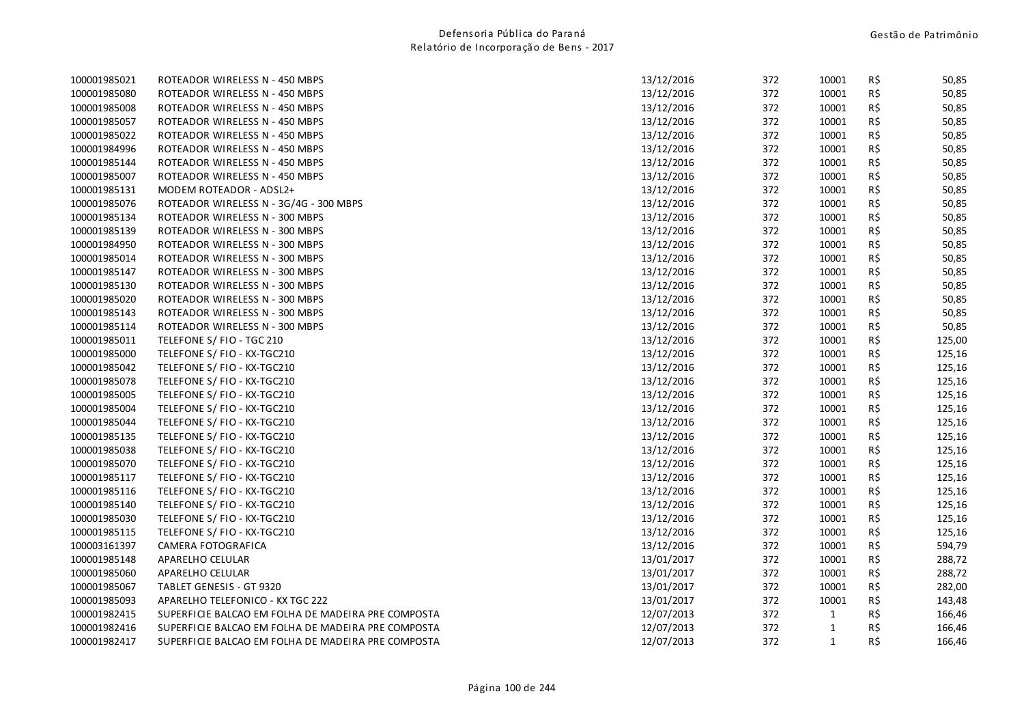| 100001985021 | ROTEADOR WIRELESS N - 450 MBPS                     | 13/12/2016 | 372 | 10001        | R\$ | 50,85  |
|--------------|----------------------------------------------------|------------|-----|--------------|-----|--------|
| 100001985080 | ROTEADOR WIRELESS N - 450 MBPS                     | 13/12/2016 | 372 | 10001        | R\$ | 50,85  |
| 100001985008 | ROTEADOR WIRELESS N - 450 MBPS                     | 13/12/2016 | 372 | 10001        | R\$ | 50,85  |
| 100001985057 | ROTEADOR WIRELESS N - 450 MBPS                     | 13/12/2016 | 372 | 10001        | R\$ | 50,85  |
| 100001985022 | ROTEADOR WIRELESS N - 450 MBPS                     | 13/12/2016 | 372 | 10001        | R\$ | 50,85  |
| 100001984996 | ROTEADOR WIRELESS N - 450 MBPS                     | 13/12/2016 | 372 | 10001        | R\$ | 50,85  |
| 100001985144 | ROTEADOR WIRELESS N - 450 MBPS                     | 13/12/2016 | 372 | 10001        | R\$ | 50,85  |
| 100001985007 | ROTEADOR WIRELESS N - 450 MBPS                     | 13/12/2016 | 372 | 10001        | R\$ | 50,85  |
| 100001985131 | MODEM ROTEADOR - ADSL2+                            | 13/12/2016 | 372 | 10001        | R\$ | 50,85  |
| 100001985076 | ROTEADOR WIRELESS N - 3G/4G - 300 MBPS             | 13/12/2016 | 372 | 10001        | R\$ | 50,85  |
| 100001985134 | ROTEADOR WIRELESS N - 300 MBPS                     | 13/12/2016 | 372 | 10001        | R\$ | 50,85  |
| 100001985139 | ROTEADOR WIRELESS N - 300 MBPS                     | 13/12/2016 | 372 | 10001        | R\$ | 50,85  |
| 100001984950 | ROTEADOR WIRELESS N - 300 MBPS                     | 13/12/2016 | 372 | 10001        | R\$ | 50,85  |
| 100001985014 | ROTEADOR WIRELESS N - 300 MBPS                     | 13/12/2016 | 372 | 10001        | R\$ | 50,85  |
| 100001985147 | ROTEADOR WIRELESS N - 300 MBPS                     | 13/12/2016 | 372 | 10001        | R\$ | 50,85  |
| 100001985130 | ROTEADOR WIRELESS N - 300 MBPS                     | 13/12/2016 | 372 | 10001        | R\$ | 50,85  |
| 100001985020 | ROTEADOR WIRELESS N - 300 MBPS                     | 13/12/2016 | 372 | 10001        | R\$ | 50,85  |
| 100001985143 | ROTEADOR WIRELESS N - 300 MBPS                     | 13/12/2016 | 372 | 10001        | R\$ | 50,85  |
| 100001985114 | ROTEADOR WIRELESS N - 300 MBPS                     | 13/12/2016 | 372 | 10001        | R\$ | 50,85  |
| 100001985011 | TELEFONE S/ FIO - TGC 210                          | 13/12/2016 | 372 | 10001        | R\$ | 125,00 |
| 100001985000 | TELEFONE S/ FIO - KX-TGC210                        | 13/12/2016 | 372 | 10001        | R\$ | 125,16 |
| 100001985042 | TELEFONE S/ FIO - KX-TGC210                        | 13/12/2016 | 372 | 10001        | R\$ | 125,16 |
| 100001985078 | TELEFONE S/ FIO - KX-TGC210                        | 13/12/2016 | 372 | 10001        | R\$ | 125,16 |
| 100001985005 | TELEFONE S/ FIO - KX-TGC210                        | 13/12/2016 | 372 | 10001        | R\$ | 125,16 |
| 100001985004 | TELEFONE S/ FIO - KX-TGC210                        | 13/12/2016 | 372 | 10001        | R\$ | 125,16 |
| 100001985044 | TELEFONE S/ FIO - KX-TGC210                        | 13/12/2016 | 372 | 10001        | R\$ | 125,16 |
| 100001985135 | TELEFONE S/ FIO - KX-TGC210                        | 13/12/2016 | 372 | 10001        | R\$ | 125,16 |
| 100001985038 | TELEFONE S/ FIO - KX-TGC210                        | 13/12/2016 | 372 | 10001        | R\$ | 125,16 |
| 100001985070 | TELEFONE S/ FIO - KX-TGC210                        | 13/12/2016 | 372 | 10001        | R\$ | 125,16 |
| 100001985117 | TELEFONE S/ FIO - KX-TGC210                        | 13/12/2016 | 372 | 10001        | R\$ | 125,16 |
| 100001985116 | TELEFONE S/ FIO - KX-TGC210                        | 13/12/2016 | 372 | 10001        | R\$ | 125,16 |
| 100001985140 | TELEFONE S/ FIO - KX-TGC210                        | 13/12/2016 | 372 | 10001        | R\$ | 125,16 |
| 100001985030 | TELEFONE S/ FIO - KX-TGC210                        | 13/12/2016 | 372 | 10001        | R\$ | 125,16 |
| 100001985115 | TELEFONE S/ FIO - KX-TGC210                        | 13/12/2016 | 372 | 10001        | R\$ | 125,16 |
| 100003161397 | CAMERA FOTOGRAFICA                                 | 13/12/2016 | 372 | 10001        | R\$ | 594,79 |
| 100001985148 | APARELHO CELULAR                                   | 13/01/2017 | 372 | 10001        | R\$ | 288,72 |
| 100001985060 | APARELHO CELULAR                                   | 13/01/2017 | 372 | 10001        | R\$ | 288,72 |
| 100001985067 | TABLET GENESIS - GT 9320                           | 13/01/2017 | 372 | 10001        | R\$ | 282,00 |
| 100001985093 | APARELHO TELEFONICO - KX TGC 222                   | 13/01/2017 | 372 | 10001        | R\$ | 143,48 |
| 100001982415 | SUPERFICIE BALCAO EM FOLHA DE MADEIRA PRE COMPOSTA | 12/07/2013 | 372 | $\mathbf{1}$ | R\$ | 166,46 |
| 100001982416 | SUPERFICIE BALCAO EM FOLHA DE MADEIRA PRE COMPOSTA | 12/07/2013 | 372 | $\mathbf{1}$ | R\$ | 166,46 |
| 100001982417 | SUPERFICIE BALCAO EM FOLHA DE MADEIRA PRE COMPOSTA | 12/07/2013 | 372 | $\mathbf{1}$ | R\$ | 166,46 |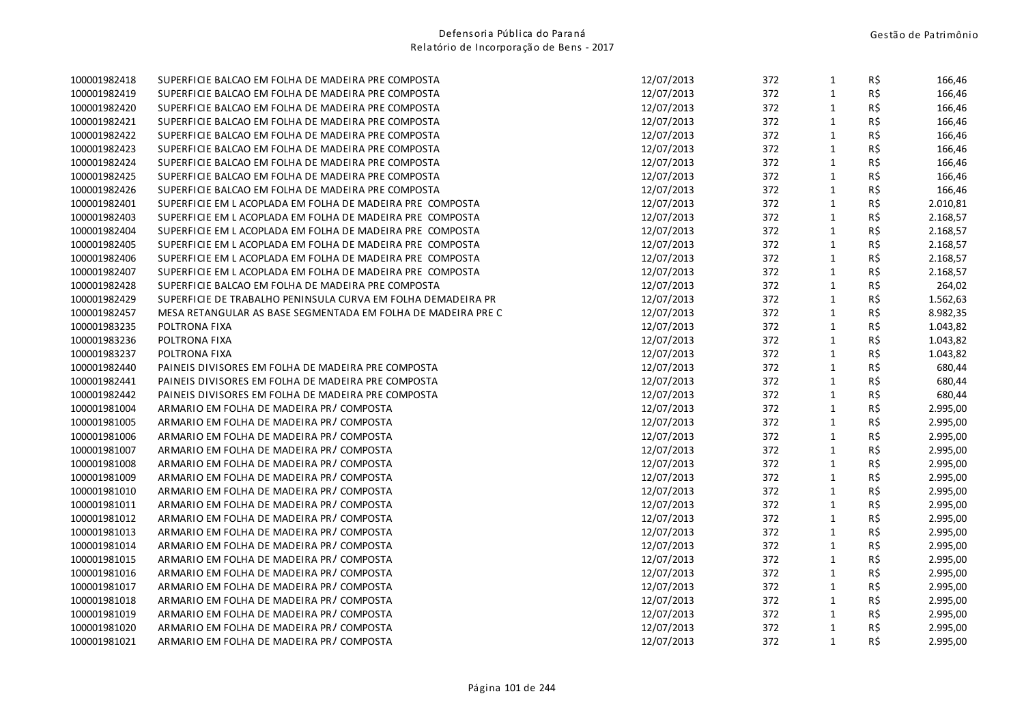| 100001982418 | SUPERFICIE BALCAO EM FOLHA DE MADEIRA PRE COMPOSTA           | 12/07/2013 | 372 | $\mathbf{1}$ | R\$ | 166,46   |
|--------------|--------------------------------------------------------------|------------|-----|--------------|-----|----------|
| 100001982419 | SUPERFICIE BALCAO EM FOLHA DE MADEIRA PRE COMPOSTA           | 12/07/2013 | 372 | $\mathbf{1}$ | R\$ | 166,46   |
| 100001982420 | SUPERFICIE BALCAO EM FOLHA DE MADEIRA PRE COMPOSTA           | 12/07/2013 | 372 | $\mathbf{1}$ | R\$ | 166,46   |
| 100001982421 | SUPERFICIE BALCAO EM FOLHA DE MADEIRA PRE COMPOSTA           | 12/07/2013 | 372 | $\mathbf{1}$ | R\$ | 166,46   |
| 100001982422 | SUPERFICIE BALCAO EM FOLHA DE MADEIRA PRE COMPOSTA           | 12/07/2013 | 372 | $\mathbf{1}$ | R\$ | 166,46   |
| 100001982423 | SUPERFICIE BALCAO EM FOLHA DE MADEIRA PRE COMPOSTA           | 12/07/2013 | 372 | $\mathbf{1}$ | R\$ | 166,46   |
| 100001982424 | SUPERFICIE BALCAO EM FOLHA DE MADEIRA PRE COMPOSTA           | 12/07/2013 | 372 | $\mathbf{1}$ | R\$ | 166,46   |
| 100001982425 | SUPERFICIE BALCAO EM FOLHA DE MADEIRA PRE COMPOSTA           | 12/07/2013 | 372 | $\mathbf{1}$ | R\$ | 166,46   |
| 100001982426 | SUPERFICIE BALCAO EM FOLHA DE MADEIRA PRE COMPOSTA           | 12/07/2013 | 372 | $\mathbf{1}$ | R\$ | 166,46   |
| 100001982401 | SUPERFICIE EM LACOPLADA EM FOLHA DE MADEIRA PRE COMPOSTA     | 12/07/2013 | 372 | $\mathbf{1}$ | R\$ | 2.010,81 |
| 100001982403 | SUPERFICIE EM LACOPLADA EM FOLHA DE MADEIRA PRE COMPOSTA     | 12/07/2013 | 372 | $\mathbf{1}$ | R\$ | 2.168,57 |
| 100001982404 | SUPERFICIE EM LACOPLADA EM FOLHA DE MADEIRA PRE COMPOSTA     | 12/07/2013 | 372 | $\mathbf{1}$ | R\$ | 2.168,57 |
| 100001982405 | SUPERFICIE EM LACOPLADA EM FOLHA DE MADEIRA PRE COMPOSTA     | 12/07/2013 | 372 | $\mathbf{1}$ | R\$ | 2.168,57 |
| 100001982406 | SUPERFICIE EM LACOPLADA EM FOLHA DE MADEIRA PRE COMPOSTA     | 12/07/2013 | 372 | $\mathbf{1}$ | R\$ | 2.168,57 |
| 100001982407 | SUPERFICIE EM LACOPLADA EM FOLHA DE MADEIRA PRE COMPOSTA     | 12/07/2013 | 372 | $\mathbf 1$  | R\$ | 2.168,57 |
| 100001982428 | SUPERFICIE BALCAO EM FOLHA DE MADEIRA PRE COMPOSTA           | 12/07/2013 | 372 | $\mathbf{1}$ | R\$ | 264,02   |
| 100001982429 | SUPERFICIE DE TRABALHO PENINSULA CURVA EM FOLHA DEMADEIRA PR | 12/07/2013 | 372 | $\mathbf{1}$ | R\$ | 1.562,63 |
| 100001982457 | MESA RETANGULAR AS BASE SEGMENTADA EM FOLHA DE MADEIRA PRE C | 12/07/2013 | 372 | $\mathbf{1}$ | R\$ | 8.982,35 |
| 100001983235 | POLTRONA FIXA                                                | 12/07/2013 | 372 | $\mathbf{1}$ | R\$ | 1.043,82 |
| 100001983236 | POLTRONA FIXA                                                | 12/07/2013 | 372 | $\mathbf{1}$ | R\$ | 1.043,82 |
| 100001983237 | POLTRONA FIXA                                                | 12/07/2013 | 372 | $\mathbf{1}$ | R\$ | 1.043,82 |
| 100001982440 | PAINEIS DIVISORES EM FOLHA DE MADEIRA PRE COMPOSTA           | 12/07/2013 | 372 | $\mathbf{1}$ | R\$ | 680,44   |
| 100001982441 | PAINEIS DIVISORES EM FOLHA DE MADEIRA PRE COMPOSTA           | 12/07/2013 | 372 | $\mathbf{1}$ | R\$ | 680,44   |
| 100001982442 | PAINEIS DIVISORES EM FOLHA DE MADEIRA PRE COMPOSTA           | 12/07/2013 | 372 | $\mathbf{1}$ | R\$ | 680,44   |
| 100001981004 | ARMARIO EM FOLHA DE MADEIRA PR/COMPOSTA                      | 12/07/2013 | 372 | $\mathbf{1}$ | R\$ | 2.995,00 |
| 100001981005 | ARMARIO EM FOLHA DE MADEIRA PR/COMPOSTA                      | 12/07/2013 | 372 | $\mathbf{1}$ | R\$ | 2.995,00 |
| 100001981006 | ARMARIO EM FOLHA DE MADEIRA PR/COMPOSTA                      | 12/07/2013 | 372 | $\mathbf{1}$ | R\$ | 2.995,00 |
| 100001981007 | ARMARIO EM FOLHA DE MADEIRA PR/COMPOSTA                      | 12/07/2013 | 372 | $\mathbf{1}$ | R\$ | 2.995,00 |
| 100001981008 | ARMARIO EM FOLHA DE MADEIRA PR/COMPOSTA                      | 12/07/2013 | 372 | $\mathbf{1}$ | R\$ | 2.995,00 |
| 100001981009 | ARMARIO EM FOLHA DE MADEIRA PR/COMPOSTA                      | 12/07/2013 | 372 | $\mathbf{1}$ | R\$ | 2.995,00 |
| 100001981010 | ARMARIO EM FOLHA DE MADEIRA PR/COMPOSTA                      | 12/07/2013 | 372 | $\mathbf{1}$ | R\$ | 2.995,00 |
| 100001981011 | ARMARIO EM FOLHA DE MADEIRA PR/COMPOSTA                      | 12/07/2013 | 372 | $\mathbf{1}$ | R\$ | 2.995,00 |
| 100001981012 | ARMARIO EM FOLHA DE MADEIRA PR/COMPOSTA                      | 12/07/2013 | 372 | $\mathbf{1}$ | R\$ | 2.995,00 |
| 100001981013 | ARMARIO EM FOLHA DE MADEIRA PR/COMPOSTA                      | 12/07/2013 | 372 | $\mathbf{1}$ | R\$ | 2.995,00 |
| 100001981014 | ARMARIO EM FOLHA DE MADEIRA PR/COMPOSTA                      | 12/07/2013 | 372 | $\mathbf{1}$ | R\$ | 2.995,00 |
| 100001981015 | ARMARIO EM FOLHA DE MADEIRA PR/COMPOSTA                      | 12/07/2013 | 372 | $\mathbf{1}$ | R\$ | 2.995,00 |
| 100001981016 | ARMARIO EM FOLHA DE MADEIRA PR/COMPOSTA                      | 12/07/2013 | 372 | $\mathbf{1}$ | R\$ | 2.995,00 |
| 100001981017 | ARMARIO EM FOLHA DE MADEIRA PR/COMPOSTA                      | 12/07/2013 | 372 | $\mathbf{1}$ | R\$ | 2.995,00 |
| 100001981018 | ARMARIO EM FOLHA DE MADEIRA PR/COMPOSTA                      | 12/07/2013 | 372 | $\mathbf{1}$ | R\$ | 2.995,00 |
| 100001981019 | ARMARIO EM FOLHA DE MADEIRA PR/COMPOSTA                      | 12/07/2013 | 372 | $\mathbf{1}$ | R\$ | 2.995,00 |
| 100001981020 | ARMARIO EM FOLHA DE MADEIRA PR/COMPOSTA                      | 12/07/2013 | 372 | $\mathbf{1}$ | R\$ | 2.995,00 |
| 100001981021 | ARMARIO EM FOLHA DE MADEIRA PR/COMPOSTA                      | 12/07/2013 | 372 | $\mathbf{1}$ | R\$ | 2.995,00 |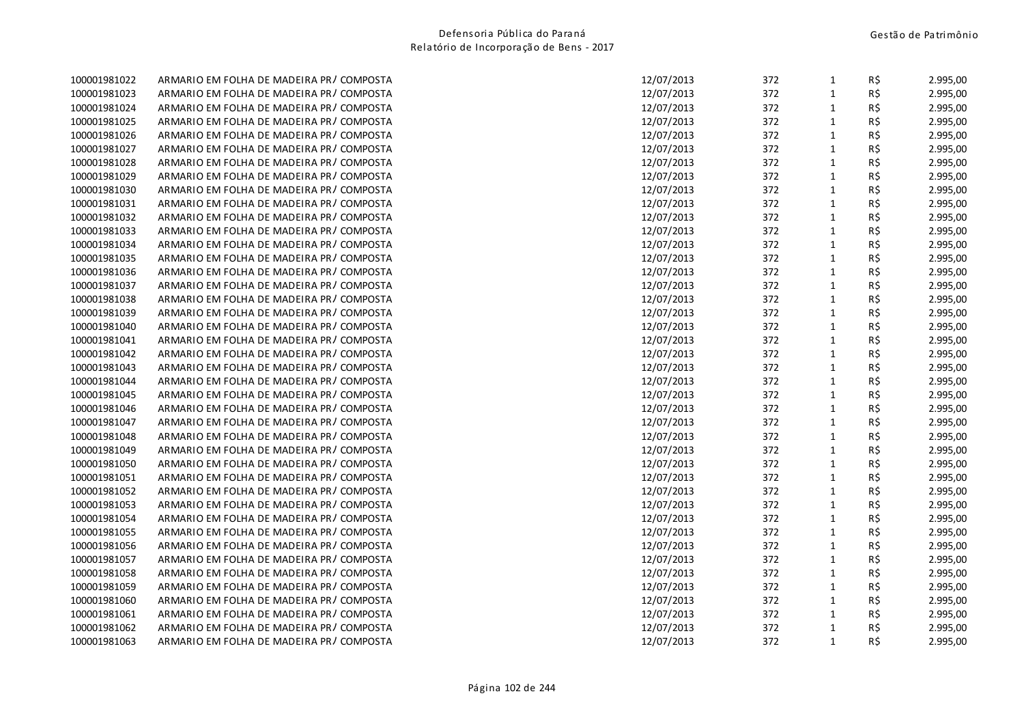| 100001981022 | ARMARIO EM FOLHA DE MADEIRA PR/COMPOSTA  | 12/07/2013 | 372 | $\mathbf{1}$ | R\$            | 2.995,00 |
|--------------|------------------------------------------|------------|-----|--------------|----------------|----------|
| 100001981023 | ARMARIO EM FOLHA DE MADEIRA PR/COMPOSTA  | 12/07/2013 | 372 | $\mathbf{1}$ | R\$            | 2.995,00 |
| 100001981024 | ARMARIO EM FOLHA DE MADEIRA PR/COMPOSTA  | 12/07/2013 | 372 | $\mathbf{1}$ | R\$            | 2.995,00 |
| 100001981025 | ARMARIO EM FOLHA DE MADEIRA PR/COMPOSTA  | 12/07/2013 | 372 | $\mathbf{1}$ | R\$            | 2.995,00 |
| 100001981026 | ARMARIO EM FOLHA DE MADEIRA PR/COMPOSTA  | 12/07/2013 | 372 | $\mathbf{1}$ | R\$            | 2.995,00 |
| 100001981027 | ARMARIO EM FOLHA DE MADEIRA PR/COMPOSTA  | 12/07/2013 | 372 | $\mathbf{1}$ | R\$            | 2.995,00 |
| 100001981028 | ARMARIO EM FOLHA DE MADEIRA PR/COMPOSTA  | 12/07/2013 | 372 | $\mathbf{1}$ | R\$            | 2.995,00 |
| 100001981029 | ARMARIO EM FOLHA DE MADEIRA PR/COMPOSTA  | 12/07/2013 | 372 | $\mathbf{1}$ | R\$            | 2.995,00 |
| 100001981030 | ARMARIO EM FOLHA DE MADEIRA PR/COMPOSTA  | 12/07/2013 | 372 | $\mathbf 1$  | R\$            | 2.995,00 |
| 100001981031 | ARMARIO EM FOLHA DE MADEIRA PR/COMPOSTA  | 12/07/2013 | 372 | $\mathbf{1}$ | R\$            | 2.995,00 |
| 100001981032 | ARMARIO EM FOLHA DE MADEIRA PR/COMPOSTA  | 12/07/2013 | 372 | $\mathbf{1}$ | R\$            | 2.995,00 |
| 100001981033 | ARMARIO EM FOLHA DE MADEIRA PR/COMPOSTA  | 12/07/2013 | 372 | $\mathbf{1}$ | R\$            | 2.995,00 |
| 100001981034 | ARMARIO EM FOLHA DE MADEIRA PR/COMPOSTA  | 12/07/2013 | 372 | $\mathbf{1}$ | $R\,$ \$       | 2.995,00 |
| 100001981035 | ARMARIO EM FOLHA DE MADEIRA PR/COMPOSTA  | 12/07/2013 | 372 | $\mathbf 1$  | R\$            | 2.995,00 |
| 100001981036 | ARMARIO EM FOLHA DE MADEIRA PR/COMPOSTA  | 12/07/2013 | 372 | $\mathbf{1}$ | R\$            | 2.995,00 |
| 100001981037 | ARMARIO EM FOLHA DE MADEIRA PR/COMPOSTA  | 12/07/2013 | 372 | $\mathbf{1}$ | R\$            | 2.995,00 |
| 100001981038 | ARMARIO EM FOLHA DE MADEIRA PR/COMPOSTA  | 12/07/2013 | 372 | $\mathbf{1}$ | R\$            | 2.995,00 |
| 100001981039 | ARMARIO EM FOLHA DE MADEIRA PR/COMPOSTA  | 12/07/2013 | 372 | $\mathbf{1}$ | R\$            | 2.995,00 |
| 100001981040 | ARMARIO EM FOLHA DE MADEIRA PR/COMPOSTA  | 12/07/2013 | 372 | $\mathbf{1}$ | R\$            | 2.995,00 |
| 100001981041 | ARMARIO EM FOLHA DE MADEIRA PR/COMPOSTA  | 12/07/2013 | 372 | $\mathbf{1}$ | R\$            | 2.995,00 |
| 100001981042 | ARMARIO EM FOLHA DE MADEIRA PR/COMPOSTA  | 12/07/2013 | 372 | $\mathbf{1}$ | R\$            | 2.995,00 |
| 100001981043 | ARMARIO EM FOLHA DE MADEIRA PR/COMPOSTA  | 12/07/2013 | 372 | $\mathbf{1}$ | R\$            | 2.995,00 |
| 100001981044 | ARMARIO EM FOLHA DE MADEIRA PR/COMPOSTA  | 12/07/2013 | 372 | $\mathbf{1}$ | R\$            | 2.995,00 |
| 100001981045 | ARMARIO EM FOLHA DE MADEIRA PR/COMPOSTA  | 12/07/2013 | 372 | $\mathbf{1}$ | R\$            | 2.995,00 |
| 100001981046 | ARMARIO EM FOLHA DE MADEIRA PR/COMPOSTA  | 12/07/2013 | 372 | $\mathbf{1}$ | R\$            | 2.995,00 |
| 100001981047 | ARMARIO EM FOLHA DE MADEIRA PR/COMPOSTA  | 12/07/2013 | 372 | $\mathbf 1$  | $R\,$ \$       | 2.995,00 |
| 100001981048 | ARMARIO EM FOLHA DE MADEIRA PR/COMPOSTA  | 12/07/2013 | 372 | $\mathbf 1$  | R\$            | 2.995,00 |
| 100001981049 | ARMARIO EM FOLHA DE MADEIRA PR/ COMPOSTA | 12/07/2013 | 372 | $\mathbf{1}$ | R\$            | 2.995,00 |
| 100001981050 | ARMARIO EM FOLHA DE MADEIRA PR/COMPOSTA  | 12/07/2013 | 372 | $\mathbf 1$  | R\$            | 2.995,00 |
| 100001981051 | ARMARIO EM FOLHA DE MADEIRA PR/COMPOSTA  | 12/07/2013 | 372 | $\mathbf{1}$ | R\$            | 2.995,00 |
| 100001981052 | ARMARIO EM FOLHA DE MADEIRA PR/COMPOSTA  | 12/07/2013 | 372 | $\mathbf 1$  | R\$            | 2.995,00 |
| 100001981053 | ARMARIO EM FOLHA DE MADEIRA PR/COMPOSTA  | 12/07/2013 | 372 | $\mathbf{1}$ | R\$            | 2.995,00 |
| 100001981054 | ARMARIO EM FOLHA DE MADEIRA PR/COMPOSTA  | 12/07/2013 | 372 | $\mathbf{1}$ | R\$            | 2.995,00 |
| 100001981055 | ARMARIO EM FOLHA DE MADEIRA PR/COMPOSTA  | 12/07/2013 | 372 | $\mathbf{1}$ | R\$            | 2.995,00 |
| 100001981056 | ARMARIO EM FOLHA DE MADEIRA PR/COMPOSTA  | 12/07/2013 | 372 | $\mathbf{1}$ | R\$            | 2.995,00 |
| 100001981057 | ARMARIO EM FOLHA DE MADEIRA PR/COMPOSTA  | 12/07/2013 | 372 | $\mathbf{1}$ | $R\,$ \$       | 2.995,00 |
| 100001981058 | ARMARIO EM FOLHA DE MADEIRA PR/COMPOSTA  | 12/07/2013 | 372 | $\mathbf{1}$ | R\$            | 2.995,00 |
| 100001981059 | ARMARIO EM FOLHA DE MADEIRA PR/COMPOSTA  | 12/07/2013 | 372 | $\mathbf{1}$ | R\$            | 2.995,00 |
| 100001981060 | ARMARIO EM FOLHA DE MADEIRA PR/COMPOSTA  | 12/07/2013 | 372 | $\mathbf 1$  | R\$            | 2.995,00 |
| 100001981061 | ARMARIO EM FOLHA DE MADEIRA PR/COMPOSTA  | 12/07/2013 | 372 | $\mathbf{1}$ | R\$            | 2.995,00 |
| 100001981062 | ARMARIO EM FOLHA DE MADEIRA PR/COMPOSTA  | 12/07/2013 | 372 | $\mathbf{1}$ | R\$            | 2.995,00 |
| 100001981063 | ARMARIO EM FOLHA DE MADEIRA PR/COMPOSTA  | 12/07/2013 | 372 | $\mathbf{1}$ | $R\frac{2}{3}$ | 2.995,00 |
|              |                                          |            |     |              |                |          |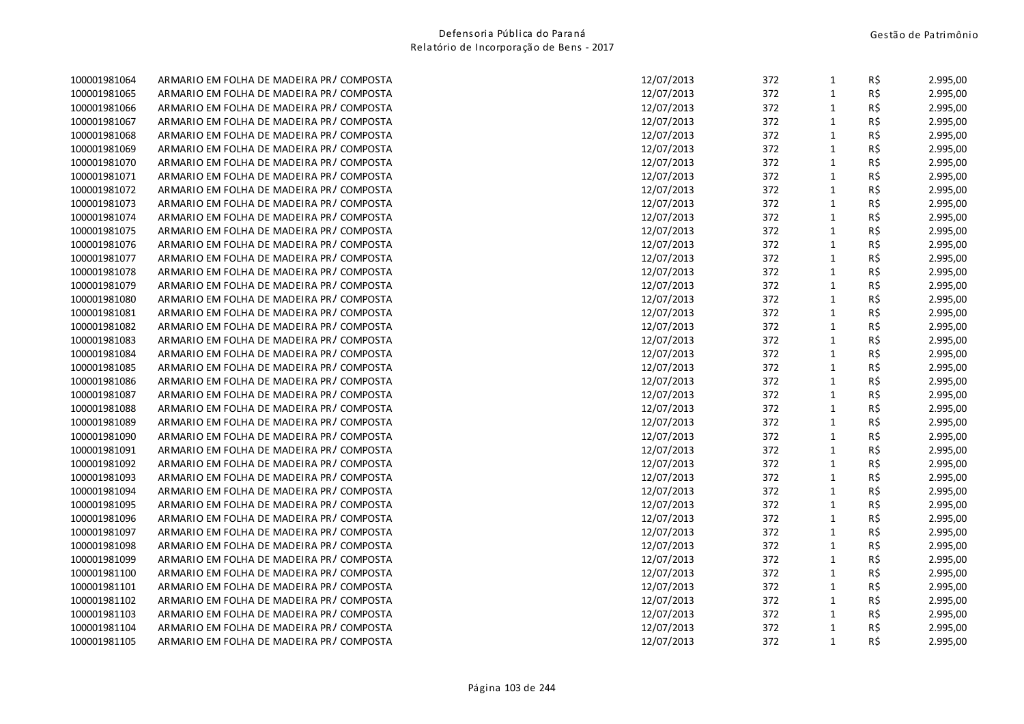| 100001981064 | ARMARIO EM FOLHA DE MADEIRA PR/COMPOSTA | 12/07/2013 | 372 | $\mathbf{1}$ | R\$      | 2.995,00 |
|--------------|-----------------------------------------|------------|-----|--------------|----------|----------|
| 100001981065 | ARMARIO EM FOLHA DE MADEIRA PR/COMPOSTA | 12/07/2013 | 372 | $\mathbf{1}$ | R\$      | 2.995,00 |
| 100001981066 | ARMARIO EM FOLHA DE MADEIRA PR/COMPOSTA | 12/07/2013 | 372 | $\mathbf{1}$ | R\$      | 2.995,00 |
| 100001981067 | ARMARIO EM FOLHA DE MADEIRA PR/COMPOSTA | 12/07/2013 | 372 | $\mathbf{1}$ | R\$      | 2.995,00 |
| 100001981068 | ARMARIO EM FOLHA DE MADEIRA PR/COMPOSTA | 12/07/2013 | 372 | $\mathbf{1}$ | R\$      | 2.995,00 |
| 100001981069 | ARMARIO EM FOLHA DE MADEIRA PR/COMPOSTA | 12/07/2013 | 372 | $\mathbf{1}$ | R\$      | 2.995,00 |
| 100001981070 | ARMARIO EM FOLHA DE MADEIRA PR/COMPOSTA | 12/07/2013 | 372 | $\mathbf{1}$ | R\$      | 2.995,00 |
| 100001981071 | ARMARIO EM FOLHA DE MADEIRA PR/COMPOSTA | 12/07/2013 | 372 | $\mathbf{1}$ | R\$      | 2.995,00 |
| 100001981072 | ARMARIO EM FOLHA DE MADEIRA PR/COMPOSTA | 12/07/2013 | 372 | $\mathbf{1}$ | R\$      | 2.995,00 |
| 100001981073 | ARMARIO EM FOLHA DE MADEIRA PR/COMPOSTA | 12/07/2013 | 372 | $\mathbf{1}$ | R\$      | 2.995,00 |
| 100001981074 | ARMARIO EM FOLHA DE MADEIRA PR/COMPOSTA | 12/07/2013 | 372 | $\mathbf{1}$ | R\$      | 2.995,00 |
| 100001981075 | ARMARIO EM FOLHA DE MADEIRA PR/COMPOSTA | 12/07/2013 | 372 | $\mathbf{1}$ | R\$      | 2.995,00 |
| 100001981076 | ARMARIO EM FOLHA DE MADEIRA PR/COMPOSTA | 12/07/2013 | 372 | $\mathbf{1}$ | R\$      | 2.995,00 |
| 100001981077 | ARMARIO EM FOLHA DE MADEIRA PR/COMPOSTA | 12/07/2013 | 372 | $\mathbf{1}$ | R\$      | 2.995,00 |
| 100001981078 | ARMARIO EM FOLHA DE MADEIRA PR/COMPOSTA | 12/07/2013 | 372 | $\mathbf{1}$ | R\$      | 2.995,00 |
| 100001981079 | ARMARIO EM FOLHA DE MADEIRA PR/COMPOSTA | 12/07/2013 | 372 | $\mathbf{1}$ | R\$      | 2.995,00 |
| 100001981080 | ARMARIO EM FOLHA DE MADEIRA PR/COMPOSTA | 12/07/2013 | 372 | $\mathbf{1}$ | R\$      | 2.995,00 |
| 100001981081 | ARMARIO EM FOLHA DE MADEIRA PR/COMPOSTA | 12/07/2013 | 372 | $\mathbf{1}$ | $R\zeta$ | 2.995,00 |
| 100001981082 | ARMARIO EM FOLHA DE MADEIRA PR/COMPOSTA | 12/07/2013 | 372 | $\mathbf{1}$ | R\$      | 2.995,00 |
| 100001981083 | ARMARIO EM FOLHA DE MADEIRA PR/COMPOSTA | 12/07/2013 | 372 | $\mathbf{1}$ | R\$      | 2.995,00 |
| 100001981084 | ARMARIO EM FOLHA DE MADEIRA PR/COMPOSTA | 12/07/2013 | 372 | $\mathbf{1}$ | $R\,$ \$ | 2.995,00 |
| 100001981085 | ARMARIO EM FOLHA DE MADEIRA PR/COMPOSTA | 12/07/2013 | 372 | $\mathbf{1}$ | R\$      | 2.995,00 |
| 100001981086 | ARMARIO EM FOLHA DE MADEIRA PR/COMPOSTA | 12/07/2013 | 372 | $\mathbf{1}$ | R\$      | 2.995,00 |
| 100001981087 | ARMARIO EM FOLHA DE MADEIRA PR/COMPOSTA | 12/07/2013 | 372 | $\mathbf{1}$ | R\$      | 2.995,00 |
| 100001981088 | ARMARIO EM FOLHA DE MADEIRA PR/COMPOSTA | 12/07/2013 | 372 | $\mathbf{1}$ | R\$      | 2.995,00 |
| 100001981089 | ARMARIO EM FOLHA DE MADEIRA PR/COMPOSTA | 12/07/2013 | 372 | $\mathbf{1}$ | R\$      | 2.995,00 |
| 100001981090 | ARMARIO EM FOLHA DE MADEIRA PR/COMPOSTA | 12/07/2013 | 372 | $\mathbf 1$  | R\$      | 2.995,00 |
| 100001981091 | ARMARIO EM FOLHA DE MADEIRA PR/COMPOSTA | 12/07/2013 | 372 | $\mathbf{1}$ | R\$      | 2.995,00 |
| 100001981092 | ARMARIO EM FOLHA DE MADEIRA PR/COMPOSTA | 12/07/2013 | 372 | $\mathbf{1}$ | R\$      | 2.995,00 |
| 100001981093 | ARMARIO EM FOLHA DE MADEIRA PR/COMPOSTA | 12/07/2013 | 372 | $\mathbf{1}$ | R\$      | 2.995,00 |
| 100001981094 | ARMARIO EM FOLHA DE MADEIRA PR/COMPOSTA | 12/07/2013 | 372 | $\mathbf{1}$ | R\$      | 2.995,00 |
| 100001981095 | ARMARIO EM FOLHA DE MADEIRA PR/COMPOSTA | 12/07/2013 | 372 | $\mathbf{1}$ | R\$      | 2.995,00 |
| 100001981096 | ARMARIO EM FOLHA DE MADEIRA PR/COMPOSTA | 12/07/2013 | 372 | $\mathbf{1}$ | R\$      | 2.995,00 |
| 100001981097 | ARMARIO EM FOLHA DE MADEIRA PR/COMPOSTA | 12/07/2013 | 372 | $\mathbf{1}$ | R\$      | 2.995,00 |
| 100001981098 | ARMARIO EM FOLHA DE MADEIRA PR/COMPOSTA | 12/07/2013 | 372 | $\mathbf{1}$ | R\$      | 2.995,00 |
| 100001981099 | ARMARIO EM FOLHA DE MADEIRA PR/COMPOSTA | 12/07/2013 | 372 | $\mathbf 1$  | R\$      | 2.995,00 |
| 100001981100 | ARMARIO EM FOLHA DE MADEIRA PR/COMPOSTA | 12/07/2013 | 372 | $\mathbf{1}$ | R\$      | 2.995,00 |
| 100001981101 | ARMARIO EM FOLHA DE MADEIRA PR/COMPOSTA | 12/07/2013 | 372 | $\mathbf{1}$ | R\$      | 2.995,00 |
| 100001981102 | ARMARIO EM FOLHA DE MADEIRA PR/COMPOSTA | 12/07/2013 | 372 | $\mathbf{1}$ | R\$      | 2.995,00 |
| 100001981103 | ARMARIO EM FOLHA DE MADEIRA PR/COMPOSTA | 12/07/2013 | 372 | $\mathbf{1}$ | R\$      | 2.995,00 |
| 100001981104 | ARMARIO EM FOLHA DE MADEIRA PR/COMPOSTA | 12/07/2013 | 372 | $\mathbf{1}$ | R\$      | 2.995,00 |
| 100001981105 | ARMARIO EM FOLHA DE MADEIRA PR/COMPOSTA | 12/07/2013 | 372 | $\mathbf{1}$ | R\$      | 2.995,00 |
|              |                                         |            |     |              |          |          |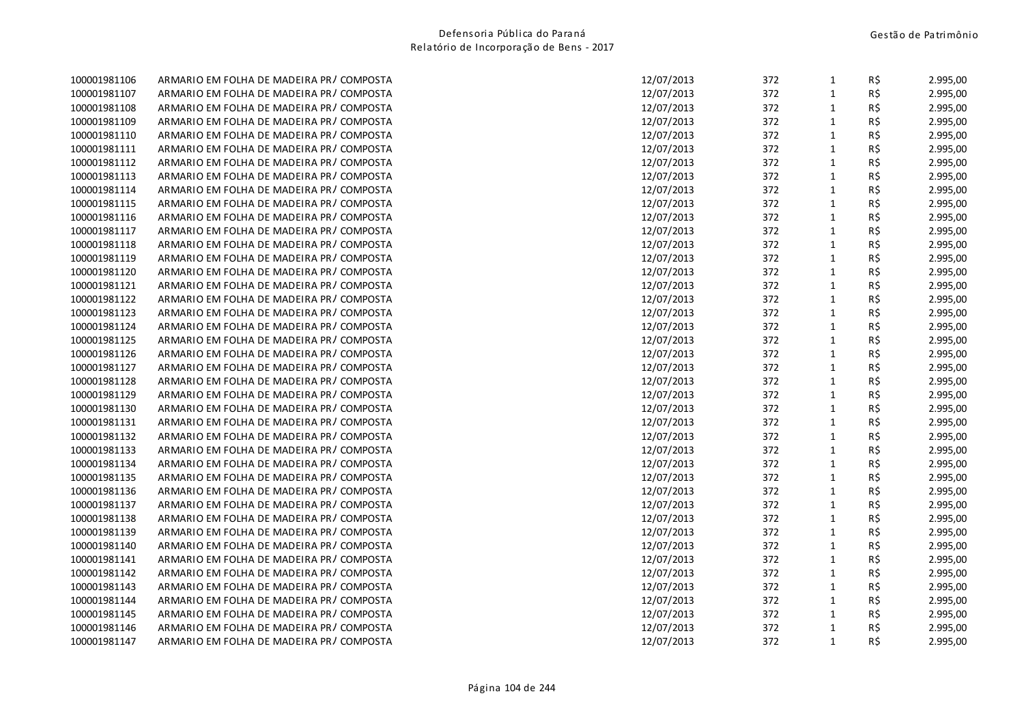| 100001981106 | ARMARIO EM FOLHA DE MADEIRA PR/COMPOSTA   | 12/07/2013 | 372 | $\mathbf{1}$ | R\$ | 2.995,00 |
|--------------|-------------------------------------------|------------|-----|--------------|-----|----------|
| 100001981107 | ARMARIO EM FOLHA DE MADEIRA PR/COMPOSTA   | 12/07/2013 | 372 | $\mathbf{1}$ | R\$ | 2.995,00 |
| 100001981108 | ARMARIO EM FOLHA DE MADEIRA PR/COMPOSTA   | 12/07/2013 | 372 | $\mathbf{1}$ | R\$ | 2.995,00 |
| 100001981109 | ARMARIO EM FOLHA DE MADEIRA PR/COMPOSTA   | 12/07/2013 | 372 | $\mathbf{1}$ | R\$ | 2.995,00 |
| 100001981110 | ARMARIO EM FOLHA DE MADEIRA PR/COMPOSTA   | 12/07/2013 | 372 | $\mathbf 1$  | R\$ | 2.995,00 |
| 100001981111 | ARMARIO EM FOLHA DE MADEIRA PR/COMPOSTA   | 12/07/2013 | 372 | $\mathbf{1}$ | R\$ | 2.995,00 |
| 100001981112 | ARMARIO EM FOLHA DE MADEIRA PR/COMPOSTA   | 12/07/2013 | 372 | $\mathbf{1}$ | R\$ | 2.995,00 |
| 100001981113 | ARMARIO EM FOLHA DE MADEIRA PR/COMPOSTA   | 12/07/2013 | 372 | $\mathbf{1}$ | R\$ | 2.995,00 |
| 100001981114 | ARMARIO EM FOLHA DE MADEIRA PR/COMPOSTA   | 12/07/2013 | 372 | $\mathbf 1$  | R\$ | 2.995,00 |
| 100001981115 | ARMARIO EM FOLHA DE MADEIRA PR/COMPOSTA   | 12/07/2013 | 372 | $\mathbf{1}$ | R\$ | 2.995,00 |
| 100001981116 | ARMARIO EM FOLHA DE MADEIRA PR/COMPOSTA   | 12/07/2013 | 372 | $\mathbf{1}$ | R\$ | 2.995,00 |
| 100001981117 | ARMARIO EM FOLHA DE MADEIRA PR/COMPOSTA   | 12/07/2013 | 372 | $\mathbf{1}$ | R\$ | 2.995,00 |
| 100001981118 | ARMARIO EM FOLHA DE MADEIRA PR/COMPOSTA   | 12/07/2013 | 372 | $\mathbf 1$  | R\$ | 2.995,00 |
| 100001981119 | ARMARIO EM FOLHA DE MADEIRA PR/COMPOSTA   | 12/07/2013 | 372 | $\mathbf 1$  | R\$ | 2.995,00 |
| 100001981120 | ARMARIO EM FOLHA DE MADEIRA PR/COMPOSTA   | 12/07/2013 | 372 | $\mathbf{1}$ | R\$ | 2.995,00 |
| 100001981121 | ARMARIO EM FOLHA DE MADEIRA PR/COMPOSTA   | 12/07/2013 | 372 | $\mathbf{1}$ | R\$ | 2.995,00 |
| 100001981122 | ARMARIO EM FOLHA DE MADEIRA PR/COMPOSTA   | 12/07/2013 | 372 | $\mathbf{1}$ | R\$ | 2.995,00 |
| 100001981123 | ARMARIO EM FOLHA DE MADEIRA PR/COMPOSTA   | 12/07/2013 | 372 | $\mathbf 1$  | R\$ | 2.995,00 |
| 100001981124 | ARMARIO EM FOLHA DE MADEIRA PR/COMPOSTA   | 12/07/2013 | 372 | $\mathbf{1}$ | R\$ | 2.995,00 |
| 100001981125 | ARMARIO EM FOLHA DE MADEIRA PR/COMPOSTA   | 12/07/2013 | 372 | $\mathbf{1}$ | R\$ | 2.995,00 |
| 100001981126 | ARMARIO EM FOLHA DE MADEIRA PR/COMPOSTA   | 12/07/2013 | 372 | $\mathbf 1$  | R\$ | 2.995,00 |
| 100001981127 | ARMARIO EM FOLHA DE MADEIRA PR/COMPOSTA   | 12/07/2013 | 372 | $\mathbf 1$  | R\$ | 2.995,00 |
| 100001981128 | ARMARIO EM FOLHA DE MADEIRA PR/COMPOSTA   | 12/07/2013 | 372 | $\mathbf{1}$ | R\$ | 2.995,00 |
| 100001981129 | ARMARIO EM FOLHA DE MADEIRA PR / COMPOSTA | 12/07/2013 | 372 | $\mathbf{1}$ | R\$ | 2.995,00 |
| 100001981130 | ARMARIO EM FOLHA DE MADEIRA PR/COMPOSTA   | 12/07/2013 | 372 | $\mathbf{1}$ | R\$ | 2.995,00 |
| 100001981131 | ARMARIO EM FOLHA DE MADEIRA PR/COMPOSTA   | 12/07/2013 | 372 | $\mathbf{1}$ | R\$ | 2.995,00 |
| 100001981132 | ARMARIO EM FOLHA DE MADEIRA PR/COMPOSTA   | 12/07/2013 | 372 | $\mathbf 1$  | R\$ | 2.995,00 |
| 100001981133 | ARMARIO EM FOLHA DE MADEIRA PR/COMPOSTA   | 12/07/2013 | 372 | $\mathbf{1}$ | R\$ | 2.995,00 |
| 100001981134 | ARMARIO EM FOLHA DE MADEIRA PR/COMPOSTA   | 12/07/2013 | 372 | $\mathbf{1}$ | R\$ | 2.995,00 |
| 100001981135 | ARMARIO EM FOLHA DE MADEIRA PR/COMPOSTA   | 12/07/2013 | 372 | $\mathbf 1$  | R\$ | 2.995,00 |
| 100001981136 | ARMARIO EM FOLHA DE MADEIRA PR/COMPOSTA   | 12/07/2013 | 372 | $\mathbf 1$  | R\$ | 2.995,00 |
| 100001981137 | ARMARIO EM FOLHA DE MADEIRA PR/COMPOSTA   | 12/07/2013 | 372 | $\mathbf{1}$ | R\$ | 2.995,00 |
| 100001981138 | ARMARIO EM FOLHA DE MADEIRA PR/COMPOSTA   | 12/07/2013 | 372 | $\mathbf{1}$ | R\$ | 2.995,00 |
| 100001981139 | ARMARIO EM FOLHA DE MADEIRA PR/COMPOSTA   | 12/07/2013 | 372 | $\mathbf{1}$ | R\$ | 2.995,00 |
| 100001981140 | ARMARIO EM FOLHA DE MADEIRA PR/COMPOSTA   | 12/07/2013 | 372 | $\mathbf 1$  | R\$ | 2.995,00 |
| 100001981141 | ARMARIO EM FOLHA DE MADEIRA PR/COMPOSTA   | 12/07/2013 | 372 | $\mathbf{1}$ | R\$ | 2.995,00 |
| 100001981142 | ARMARIO EM FOLHA DE MADEIRA PR/COMPOSTA   | 12/07/2013 | 372 | $\mathbf{1}$ | R\$ | 2.995,00 |
| 100001981143 | ARMARIO EM FOLHA DE MADEIRA PR/COMPOSTA   | 12/07/2013 | 372 | $\mathbf{1}$ | R\$ | 2.995,00 |
| 100001981144 | ARMARIO EM FOLHA DE MADEIRA PR/COMPOSTA   | 12/07/2013 | 372 | $\mathbf 1$  | R\$ | 2.995,00 |
| 100001981145 | ARMARIO EM FOLHA DE MADEIRA PR/COMPOSTA   | 12/07/2013 | 372 | $\mathbf{1}$ | R\$ | 2.995,00 |
| 100001981146 | ARMARIO EM FOLHA DE MADEIRA PR/COMPOSTA   | 12/07/2013 | 372 | $\mathbf{1}$ | R\$ | 2.995,00 |
| 100001981147 | ARMARIO EM FOLHA DE MADEIRA PR/COMPOSTA   | 12/07/2013 | 372 | $\mathbf{1}$ | R\$ | 2.995,00 |
|              |                                           |            |     |              |     |          |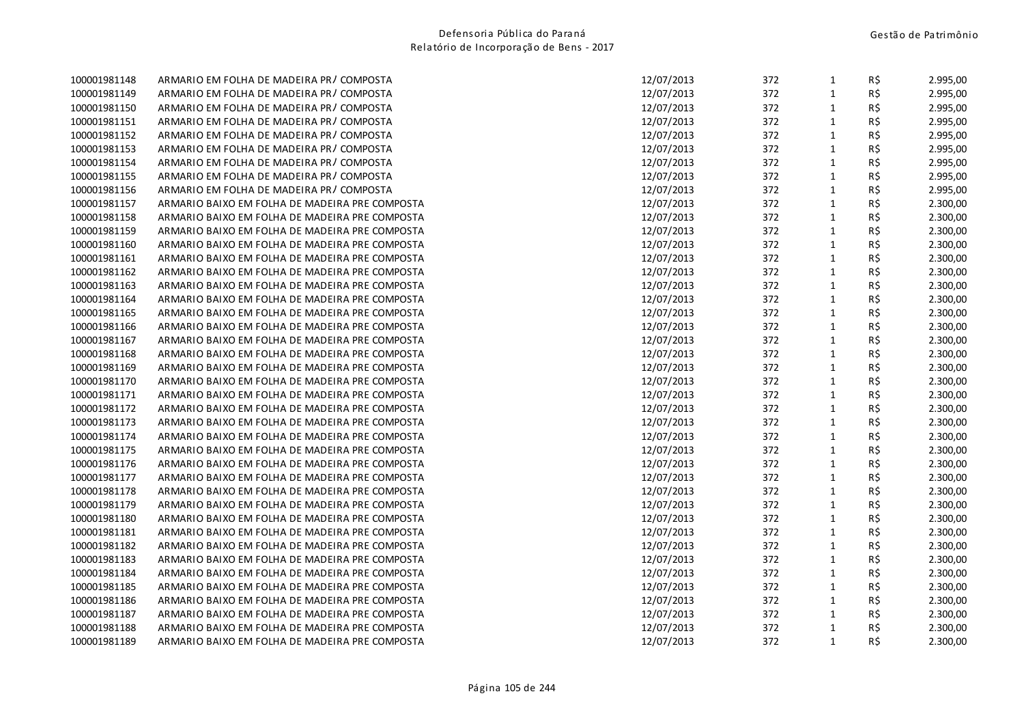| 100001981148 | ARMARIO EM FOLHA DE MADEIRA PR/COMPOSTA        | 12/07/2013 | 372 | $\mathbf{1}$ | R\$ | 2.995,00 |
|--------------|------------------------------------------------|------------|-----|--------------|-----|----------|
| 100001981149 | ARMARIO EM FOLHA DE MADEIRA PR/COMPOSTA        | 12/07/2013 | 372 | $\mathbf 1$  | R\$ | 2.995,00 |
| 100001981150 | ARMARIO EM FOLHA DE MADEIRA PR/COMPOSTA        | 12/07/2013 | 372 | $\mathbf 1$  | R\$ | 2.995,00 |
| 100001981151 | ARMARIO EM FOLHA DE MADEIRA PR/COMPOSTA        | 12/07/2013 | 372 | $\mathbf{1}$ | R\$ | 2.995,00 |
| 100001981152 | ARMARIO EM FOLHA DE MADEIRA PR/COMPOSTA        | 12/07/2013 | 372 | $\mathbf 1$  | R\$ | 2.995,00 |
| 100001981153 | ARMARIO EM FOLHA DE MADEIRA PR/COMPOSTA        | 12/07/2013 | 372 | $\mathbf 1$  | R\$ | 2.995,00 |
| 100001981154 | ARMARIO EM FOLHA DE MADEIRA PR / COMPOSTA      | 12/07/2013 | 372 | $\mathbf 1$  | R\$ | 2.995,00 |
| 100001981155 | ARMARIO EM FOLHA DE MADEIRA PR/COMPOSTA        | 12/07/2013 | 372 | $\mathbf 1$  | R\$ | 2.995,00 |
| 100001981156 | ARMARIO EM FOLHA DE MADEIRA PR/COMPOSTA        | 12/07/2013 | 372 | $\mathbf 1$  | R\$ | 2.995,00 |
| 100001981157 | ARMARIO BAIXO EM FOLHA DE MADEIRA PRE COMPOSTA | 12/07/2013 | 372 | $\mathbf 1$  | R\$ | 2.300,00 |
| 100001981158 | ARMARIO BAIXO EM FOLHA DE MADEIRA PRE COMPOSTA | 12/07/2013 | 372 | $\mathbf{1}$ | R\$ | 2.300,00 |
| 100001981159 | ARMARIO BAIXO EM FOLHA DE MADEIRA PRE COMPOSTA | 12/07/2013 | 372 | $\mathbf 1$  | R\$ | 2.300,00 |
| 100001981160 | ARMARIO BAIXO EM FOLHA DE MADEIRA PRE COMPOSTA | 12/07/2013 | 372 | $\mathbf{1}$ | R\$ | 2.300,00 |
| 100001981161 | ARMARIO BAIXO EM FOLHA DE MADEIRA PRE COMPOSTA | 12/07/2013 | 372 | $\mathbf 1$  | R\$ | 2.300,00 |
| 100001981162 | ARMARIO BAIXO EM FOLHA DE MADEIRA PRE COMPOSTA | 12/07/2013 | 372 | $\mathbf 1$  | R\$ | 2.300,00 |
| 100001981163 | ARMARIO BAIXO EM FOLHA DE MADEIRA PRE COMPOSTA | 12/07/2013 | 372 | $\mathbf 1$  | R\$ | 2.300,00 |
| 100001981164 | ARMARIO BAIXO EM FOLHA DE MADEIRA PRE COMPOSTA | 12/07/2013 | 372 | $\mathbf 1$  | R\$ | 2.300,00 |
| 100001981165 | ARMARIO BAIXO EM FOLHA DE MADEIRA PRE COMPOSTA | 12/07/2013 | 372 | $\mathbf{1}$ | R\$ | 2.300,00 |
| 100001981166 | ARMARIO BAIXO EM FOLHA DE MADEIRA PRE COMPOSTA | 12/07/2013 | 372 | $\mathbf{1}$ | R\$ | 2.300,00 |
| 100001981167 | ARMARIO BAIXO EM FOLHA DE MADEIRA PRE COMPOSTA | 12/07/2013 | 372 | $\mathbf{1}$ | R\$ | 2.300,00 |
| 100001981168 | ARMARIO BAIXO EM FOLHA DE MADEIRA PRE COMPOSTA | 12/07/2013 | 372 | $\mathbf 1$  | R\$ | 2.300,00 |
| 100001981169 | ARMARIO BAIXO EM FOLHA DE MADEIRA PRE COMPOSTA | 12/07/2013 | 372 | $\mathbf 1$  | R\$ | 2.300,00 |
| 100001981170 | ARMARIO BAIXO EM FOLHA DE MADEIRA PRE COMPOSTA | 12/07/2013 | 372 | $\mathbf 1$  | R\$ | 2.300,00 |
| 100001981171 | ARMARIO BAIXO EM FOLHA DE MADEIRA PRE COMPOSTA | 12/07/2013 | 372 | $\mathbf 1$  | R\$ | 2.300,00 |
| 100001981172 | ARMARIO BAIXO EM FOLHA DE MADEIRA PRE COMPOSTA | 12/07/2013 | 372 | $\mathbf{1}$ | R\$ | 2.300,00 |
| 100001981173 | ARMARIO BAIXO EM FOLHA DE MADEIRA PRE COMPOSTA | 12/07/2013 | 372 | $\mathbf{1}$ | R\$ | 2.300,00 |
| 100001981174 | ARMARIO BAIXO EM FOLHA DE MADEIRA PRE COMPOSTA | 12/07/2013 | 372 | $\mathbf 1$  | R\$ | 2.300,00 |
| 100001981175 | ARMARIO BAIXO EM FOLHA DE MADEIRA PRE COMPOSTA | 12/07/2013 | 372 | $\mathbf 1$  | R\$ | 2.300,00 |
| 100001981176 | ARMARIO BAIXO EM FOLHA DE MADEIRA PRE COMPOSTA | 12/07/2013 | 372 | $\mathbf 1$  | R\$ | 2.300,00 |
| 100001981177 | ARMARIO BAIXO EM FOLHA DE MADEIRA PRE COMPOSTA | 12/07/2013 | 372 | $\mathbf 1$  | R\$ | 2.300,00 |
| 100001981178 | ARMARIO BAIXO EM FOLHA DE MADEIRA PRE COMPOSTA | 12/07/2013 | 372 | $\mathbf 1$  | R\$ | 2.300,00 |
| 100001981179 | ARMARIO BAIXO EM FOLHA DE MADEIRA PRE COMPOSTA | 12/07/2013 | 372 | $\mathbf 1$  | R\$ | 2.300,00 |
| 100001981180 | ARMARIO BAIXO EM FOLHA DE MADEIRA PRE COMPOSTA | 12/07/2013 | 372 | $\mathbf 1$  | R\$ | 2.300,00 |
| 100001981181 | ARMARIO BAIXO EM FOLHA DE MADEIRA PRE COMPOSTA | 12/07/2013 | 372 | $\mathbf 1$  | R\$ | 2.300,00 |
| 100001981182 | ARMARIO BAIXO EM FOLHA DE MADEIRA PRE COMPOSTA | 12/07/2013 | 372 | $\mathbf{1}$ | R\$ | 2.300,00 |
| 100001981183 | ARMARIO BAIXO EM FOLHA DE MADEIRA PRE COMPOSTA | 12/07/2013 | 372 | $\mathbf 1$  | R\$ | 2.300,00 |
| 100001981184 | ARMARIO BAIXO EM FOLHA DE MADEIRA PRE COMPOSTA | 12/07/2013 | 372 | $\mathbf 1$  | R\$ | 2.300,00 |
| 100001981185 | ARMARIO BAIXO EM FOLHA DE MADEIRA PRE COMPOSTA | 12/07/2013 | 372 | $\mathbf{1}$ | R\$ | 2.300,00 |
| 100001981186 | ARMARIO BAIXO EM FOLHA DE MADEIRA PRE COMPOSTA | 12/07/2013 | 372 | $\mathbf 1$  | R\$ | 2.300,00 |
| 100001981187 | ARMARIO BAIXO EM FOLHA DE MADEIRA PRE COMPOSTA | 12/07/2013 | 372 | $\mathbf{1}$ | R\$ | 2.300,00 |
| 100001981188 | ARMARIO BAIXO EM FOLHA DE MADEIRA PRE COMPOSTA | 12/07/2013 | 372 | $\mathbf 1$  | R\$ | 2.300,00 |
| 100001981189 | ARMARIO BAIXO EM FOLHA DE MADEIRA PRE COMPOSTA | 12/07/2013 | 372 | $\mathbf 1$  | R\$ | 2.300,00 |
|              |                                                |            |     |              |     |          |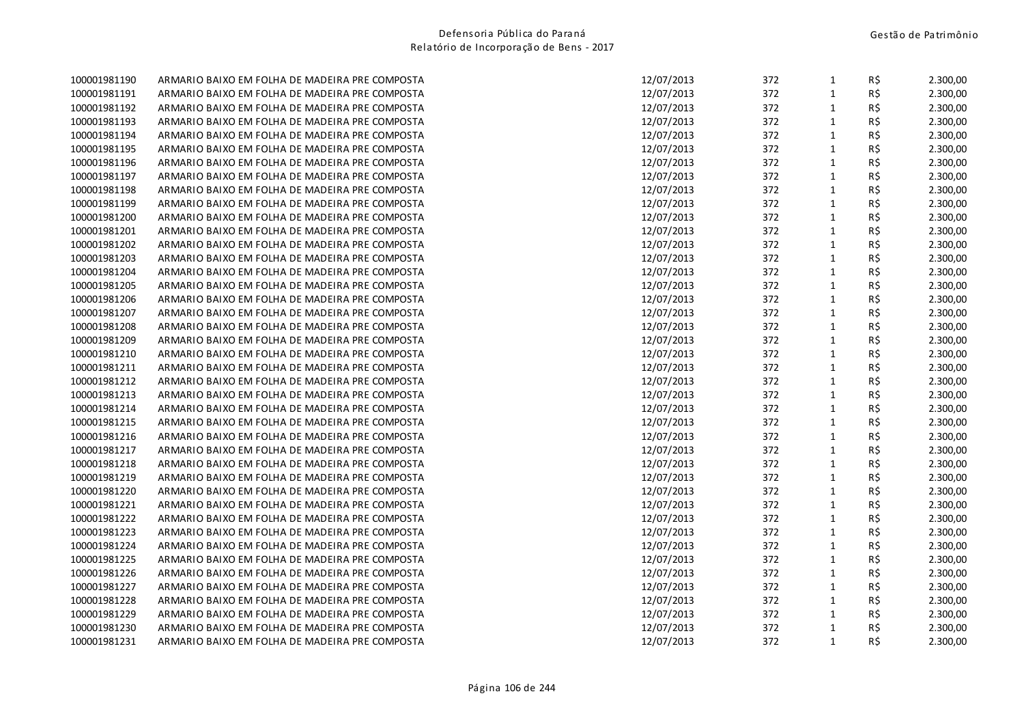| 100001981190 | ARMARIO BAIXO EM FOLHA DE MADEIRA PRE COMPOSTA | 12/07/2013 | 372 | $\mathbf{1}$ | R\$ | 2.300,00 |
|--------------|------------------------------------------------|------------|-----|--------------|-----|----------|
| 100001981191 | ARMARIO BAIXO EM FOLHA DE MADEIRA PRE COMPOSTA | 12/07/2013 | 372 | $\mathbf 1$  | R\$ | 2.300,00 |
| 100001981192 | ARMARIO BAIXO EM FOLHA DE MADEIRA PRE COMPOSTA | 12/07/2013 | 372 | $\mathbf{1}$ | R\$ | 2.300,00 |
| 100001981193 | ARMARIO BAIXO EM FOLHA DE MADEIRA PRE COMPOSTA | 12/07/2013 | 372 | $\mathbf 1$  | R\$ | 2.300,00 |
| 100001981194 | ARMARIO BAIXO EM FOLHA DE MADEIRA PRE COMPOSTA | 12/07/2013 | 372 | $\mathbf{1}$ | R\$ | 2.300,00 |
| 100001981195 | ARMARIO BAIXO EM FOLHA DE MADEIRA PRE COMPOSTA | 12/07/2013 | 372 | $\mathbf{1}$ | R\$ | 2.300,00 |
| 100001981196 | ARMARIO BAIXO EM FOLHA DE MADEIRA PRE COMPOSTA | 12/07/2013 | 372 | $\mathbf{1}$ | R\$ | 2.300,00 |
| 100001981197 | ARMARIO BAIXO EM FOLHA DE MADEIRA PRE COMPOSTA | 12/07/2013 | 372 | $\mathbf{1}$ | R\$ | 2.300,00 |
| 100001981198 | ARMARIO BAIXO EM FOLHA DE MADEIRA PRE COMPOSTA | 12/07/2013 | 372 | $\mathbf 1$  | R\$ | 2.300,00 |
| 100001981199 | ARMARIO BAIXO EM FOLHA DE MADEIRA PRE COMPOSTA | 12/07/2013 | 372 | $\mathbf{1}$ | R\$ | 2.300,00 |
| 100001981200 | ARMARIO BAIXO EM FOLHA DE MADEIRA PRE COMPOSTA | 12/07/2013 | 372 | $\mathbf 1$  | R\$ | 2.300,00 |
| 100001981201 | ARMARIO BAIXO EM FOLHA DE MADEIRA PRE COMPOSTA | 12/07/2013 | 372 | $\mathbf{1}$ | R\$ | 2.300,00 |
| 100001981202 | ARMARIO BAIXO EM FOLHA DE MADEIRA PRE COMPOSTA | 12/07/2013 | 372 | $\mathbf 1$  | R\$ | 2.300,00 |
| 100001981203 | ARMARIO BAIXO EM FOLHA DE MADEIRA PRE COMPOSTA | 12/07/2013 | 372 | $\mathbf{1}$ | R\$ | 2.300,00 |
| 100001981204 | ARMARIO BAIXO EM FOLHA DE MADEIRA PRE COMPOSTA | 12/07/2013 | 372 | $\mathbf{1}$ | R\$ | 2.300,00 |
| 100001981205 | ARMARIO BAIXO EM FOLHA DE MADEIRA PRE COMPOSTA | 12/07/2013 | 372 | $\mathbf{1}$ | R\$ | 2.300,00 |
| 100001981206 | ARMARIO BAIXO EM FOLHA DE MADEIRA PRE COMPOSTA | 12/07/2013 | 372 | $\mathbf{1}$ | R\$ | 2.300,00 |
| 100001981207 | ARMARIO BAIXO EM FOLHA DE MADEIRA PRE COMPOSTA | 12/07/2013 | 372 | $\mathbf 1$  | R\$ | 2.300,00 |
| 100001981208 | ARMARIO BAIXO EM FOLHA DE MADEIRA PRE COMPOSTA | 12/07/2013 | 372 | $\mathbf{1}$ | R\$ | 2.300,00 |
| 100001981209 | ARMARIO BAIXO EM FOLHA DE MADEIRA PRE COMPOSTA | 12/07/2013 | 372 | $\mathbf 1$  | R\$ | 2.300,00 |
| 100001981210 | ARMARIO BAIXO EM FOLHA DE MADEIRA PRE COMPOSTA | 12/07/2013 | 372 | $\mathbf{1}$ | R\$ | 2.300,00 |
| 100001981211 | ARMARIO BAIXO EM FOLHA DE MADEIRA PRE COMPOSTA | 12/07/2013 | 372 | $\mathbf{1}$ | R\$ | 2.300,00 |
| 100001981212 | ARMARIO BAIXO EM FOLHA DE MADEIRA PRE COMPOSTA | 12/07/2013 | 372 | $\mathbf{1}$ | R\$ | 2.300,00 |
| 100001981213 | ARMARIO BAIXO EM FOLHA DE MADEIRA PRE COMPOSTA | 12/07/2013 | 372 | $\mathbf{1}$ | R\$ | 2.300,00 |
| 100001981214 | ARMARIO BAIXO EM FOLHA DE MADEIRA PRE COMPOSTA | 12/07/2013 | 372 | $\mathbf{1}$ | R\$ | 2.300,00 |
| 100001981215 | ARMARIO BAIXO EM FOLHA DE MADEIRA PRE COMPOSTA | 12/07/2013 | 372 | $\mathbf{1}$ | R\$ | 2.300,00 |
| 100001981216 | ARMARIO BAIXO EM FOLHA DE MADEIRA PRE COMPOSTA | 12/07/2013 | 372 | $\mathbf 1$  | R\$ | 2.300,00 |
| 100001981217 | ARMARIO BAIXO EM FOLHA DE MADEIRA PRE COMPOSTA | 12/07/2013 | 372 | $\mathbf{1}$ | R\$ | 2.300,00 |
| 100001981218 | ARMARIO BAIXO EM FOLHA DE MADEIRA PRE COMPOSTA | 12/07/2013 | 372 | $\mathbf{1}$ | R\$ | 2.300,00 |
| 100001981219 | ARMARIO BAIXO EM FOLHA DE MADEIRA PRE COMPOSTA | 12/07/2013 | 372 | $\mathbf{1}$ | R\$ | 2.300,00 |
| 100001981220 | ARMARIO BAIXO EM FOLHA DE MADEIRA PRE COMPOSTA | 12/07/2013 | 372 | $\mathbf{1}$ | R\$ | 2.300,00 |
| 100001981221 | ARMARIO BAIXO EM FOLHA DE MADEIRA PRE COMPOSTA | 12/07/2013 | 372 | $\mathbf{1}$ | R\$ | 2.300,00 |
| 100001981222 | ARMARIO BAIXO EM FOLHA DE MADEIRA PRE COMPOSTA | 12/07/2013 | 372 | $\mathbf{1}$ | R\$ | 2.300,00 |
| 100001981223 | ARMARIO BAIXO EM FOLHA DE MADEIRA PRE COMPOSTA | 12/07/2013 | 372 | $\mathbf{1}$ | R\$ | 2.300,00 |
| 100001981224 | ARMARIO BAIXO EM FOLHA DE MADEIRA PRE COMPOSTA | 12/07/2013 | 372 | $\mathbf{1}$ | R\$ | 2.300,00 |
| 100001981225 | ARMARIO BAIXO EM FOLHA DE MADEIRA PRE COMPOSTA | 12/07/2013 | 372 | $\mathbf{1}$ | R\$ | 2.300,00 |
| 100001981226 | ARMARIO BAIXO EM FOLHA DE MADEIRA PRE COMPOSTA | 12/07/2013 | 372 | $\mathbf{1}$ | R\$ | 2.300,00 |
| 100001981227 | ARMARIO BAIXO EM FOLHA DE MADEIRA PRE COMPOSTA | 12/07/2013 | 372 | $\mathbf{1}$ | R\$ | 2.300,00 |
| 100001981228 | ARMARIO BAIXO EM FOLHA DE MADEIRA PRE COMPOSTA | 12/07/2013 | 372 | $\mathbf{1}$ | R\$ | 2.300,00 |
| 100001981229 | ARMARIO BAIXO EM FOLHA DE MADEIRA PRE COMPOSTA | 12/07/2013 | 372 | $\mathbf{1}$ | R\$ | 2.300,00 |
| 100001981230 | ARMARIO BAIXO EM FOLHA DE MADEIRA PRE COMPOSTA | 12/07/2013 | 372 | $\mathbf 1$  | R\$ | 2.300,00 |
| 100001981231 | ARMARIO BAIXO EM FOLHA DE MADEIRA PRE COMPOSTA | 12/07/2013 | 372 | $\mathbf{1}$ | R\$ | 2.300,00 |
|              |                                                |            |     |              |     |          |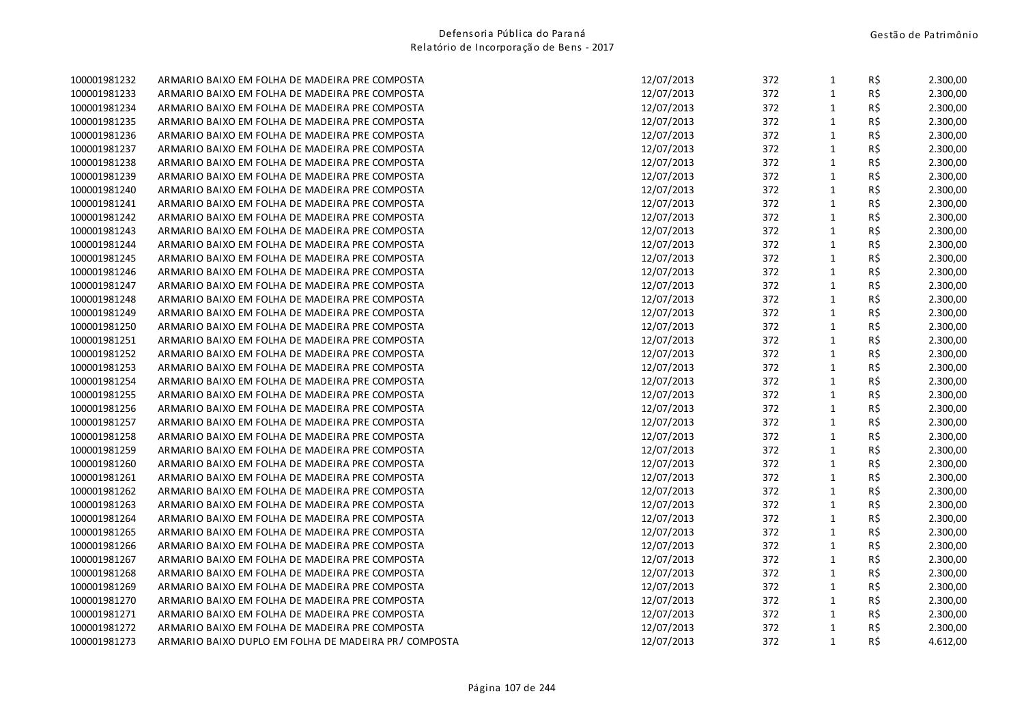| 100001981232 | ARMARIO BAIXO EM FOLHA DE MADEIRA PRE COMPOSTA        | 12/07/2013 | 372 | $\mathbf{1}$ | R\$ | 2.300,00 |
|--------------|-------------------------------------------------------|------------|-----|--------------|-----|----------|
| 100001981233 | ARMARIO BAIXO EM FOLHA DE MADEIRA PRE COMPOSTA        | 12/07/2013 | 372 | $\mathbf{1}$ | R\$ | 2.300,00 |
| 100001981234 | ARMARIO BAIXO EM FOLHA DE MADEIRA PRE COMPOSTA        | 12/07/2013 | 372 | $\mathbf{1}$ | R\$ | 2.300,00 |
| 100001981235 | ARMARIO BAIXO EM FOLHA DE MADEIRA PRE COMPOSTA        | 12/07/2013 | 372 | $\mathbf 1$  | R\$ | 2.300,00 |
| 100001981236 | ARMARIO BAIXO EM FOLHA DE MADEIRA PRE COMPOSTA        | 12/07/2013 | 372 | $\mathbf{1}$ | R\$ | 2.300,00 |
| 100001981237 | ARMARIO BAIXO EM FOLHA DE MADEIRA PRE COMPOSTA        | 12/07/2013 | 372 | $\mathbf{1}$ | R\$ | 2.300,00 |
| 100001981238 | ARMARIO BAIXO EM FOLHA DE MADEIRA PRE COMPOSTA        | 12/07/2013 | 372 | $\mathbf{1}$ | R\$ | 2.300,00 |
| 100001981239 | ARMARIO BAIXO EM FOLHA DE MADEIRA PRE COMPOSTA        | 12/07/2013 | 372 | $\mathbf{1}$ | R\$ | 2.300,00 |
| 100001981240 | ARMARIO BAIXO EM FOLHA DE MADEIRA PRE COMPOSTA        | 12/07/2013 | 372 | $\mathbf{1}$ | R\$ | 2.300,00 |
| 100001981241 | ARMARIO BAIXO EM FOLHA DE MADEIRA PRE COMPOSTA        | 12/07/2013 | 372 | $\mathbf 1$  | R\$ | 2.300,00 |
| 100001981242 | ARMARIO BAIXO EM FOLHA DE MADEIRA PRE COMPOSTA        | 12/07/2013 | 372 | $\mathbf{1}$ | R\$ | 2.300,00 |
| 100001981243 | ARMARIO BAIXO EM FOLHA DE MADEIRA PRE COMPOSTA        | 12/07/2013 | 372 | $\mathbf{1}$ | R\$ | 2.300,00 |
| 100001981244 | ARMARIO BAIXO EM FOLHA DE MADEIRA PRE COMPOSTA        | 12/07/2013 | 372 | $\mathbf 1$  | R\$ | 2.300,00 |
| 100001981245 | ARMARIO BAIXO EM FOLHA DE MADEIRA PRE COMPOSTA        | 12/07/2013 | 372 | $\mathbf{1}$ | R\$ | 2.300,00 |
| 100001981246 | ARMARIO BAIXO EM FOLHA DE MADEIRA PRE COMPOSTA        | 12/07/2013 | 372 | $\mathbf{1}$ | R\$ | 2.300,00 |
| 100001981247 | ARMARIO BAIXO EM FOLHA DE MADEIRA PRE COMPOSTA        | 12/07/2013 | 372 | $\mathbf{1}$ | R\$ | 2.300,00 |
| 100001981248 | ARMARIO BAIXO EM FOLHA DE MADEIRA PRE COMPOSTA        | 12/07/2013 | 372 | $\mathbf{1}$ | R\$ | 2.300,00 |
| 100001981249 | ARMARIO BAIXO EM FOLHA DE MADEIRA PRE COMPOSTA        | 12/07/2013 | 372 | $\mathbf{1}$ | R\$ | 2.300,00 |
| 100001981250 | ARMARIO BAIXO EM FOLHA DE MADEIRA PRE COMPOSTA        | 12/07/2013 | 372 | $\mathbf{1}$ | R\$ | 2.300,00 |
| 100001981251 | ARMARIO BAIXO EM FOLHA DE MADEIRA PRE COMPOSTA        | 12/07/2013 | 372 | $\mathbf{1}$ | R\$ | 2.300,00 |
| 100001981252 | ARMARIO BAIXO EM FOLHA DE MADEIRA PRE COMPOSTA        | 12/07/2013 | 372 | $\mathbf{1}$ | R\$ | 2.300,00 |
| 100001981253 | ARMARIO BAIXO EM FOLHA DE MADEIRA PRE COMPOSTA        | 12/07/2013 | 372 | $\mathbf{1}$ | R\$ | 2.300,00 |
| 100001981254 | ARMARIO BAIXO EM FOLHA DE MADEIRA PRE COMPOSTA        | 12/07/2013 | 372 | $\mathbf 1$  | R\$ | 2.300,00 |
| 100001981255 | ARMARIO BAIXO EM FOLHA DE MADEIRA PRE COMPOSTA        | 12/07/2013 | 372 | $\mathbf{1}$ | R\$ | 2.300,00 |
| 100001981256 | ARMARIO BAIXO EM FOLHA DE MADEIRA PRE COMPOSTA        | 12/07/2013 | 372 | $\mathbf{1}$ | R\$ | 2.300,00 |
| 100001981257 | ARMARIO BAIXO EM FOLHA DE MADEIRA PRE COMPOSTA        | 12/07/2013 | 372 | $\mathbf{1}$ | R\$ | 2.300,00 |
| 100001981258 | ARMARIO BAIXO EM FOLHA DE MADEIRA PRE COMPOSTA        | 12/07/2013 | 372 | $\mathbf 1$  | R\$ | 2.300,00 |
| 100001981259 | ARMARIO BAIXO EM FOLHA DE MADEIRA PRE COMPOSTA        | 12/07/2013 | 372 | $\mathbf{1}$ | R\$ | 2.300,00 |
| 100001981260 | ARMARIO BAIXO EM FOLHA DE MADEIRA PRE COMPOSTA        | 12/07/2013 | 372 | $\mathbf{1}$ | R\$ | 2.300,00 |
| 100001981261 | ARMARIO BAIXO EM FOLHA DE MADEIRA PRE COMPOSTA        | 12/07/2013 | 372 | $\mathbf{1}$ | R\$ | 2.300,00 |
| 100001981262 | ARMARIO BAIXO EM FOLHA DE MADEIRA PRE COMPOSTA        | 12/07/2013 | 372 | $\mathbf{1}$ | R\$ | 2.300,00 |
| 100001981263 | ARMARIO BAIXO EM FOLHA DE MADEIRA PRE COMPOSTA        | 12/07/2013 | 372 | $\mathbf 1$  | R\$ | 2.300,00 |
| 100001981264 | ARMARIO BAIXO EM FOLHA DE MADEIRA PRE COMPOSTA        | 12/07/2013 | 372 | $\mathbf{1}$ | R\$ | 2.300,00 |
| 100001981265 | ARMARIO BAIXO EM FOLHA DE MADEIRA PRE COMPOSTA        | 12/07/2013 | 372 | $\mathbf{1}$ | R\$ | 2.300,00 |
| 100001981266 | ARMARIO BAIXO EM FOLHA DE MADEIRA PRE COMPOSTA        | 12/07/2013 | 372 | $\mathbf{1}$ | R\$ | 2.300,00 |
| 100001981267 | ARMARIO BAIXO EM FOLHA DE MADEIRA PRE COMPOSTA        | 12/07/2013 | 372 | $\mathbf{1}$ | R\$ | 2.300,00 |
| 100001981268 | ARMARIO BAIXO EM FOLHA DE MADEIRA PRE COMPOSTA        | 12/07/2013 | 372 | $\mathbf 1$  | R\$ | 2.300,00 |
| 100001981269 | ARMARIO BAIXO EM FOLHA DE MADEIRA PRE COMPOSTA        | 12/07/2013 | 372 | $\mathbf 1$  | R\$ | 2.300,00 |
| 100001981270 | ARMARIO BAIXO EM FOLHA DE MADEIRA PRE COMPOSTA        | 12/07/2013 | 372 | $\mathbf{1}$ | R\$ | 2.300,00 |
| 100001981271 | ARMARIO BAIXO EM FOLHA DE MADEIRA PRE COMPOSTA        | 12/07/2013 | 372 | $\mathbf{1}$ | R\$ | 2.300,00 |
| 100001981272 | ARMARIO BAIXO EM FOLHA DE MADEIRA PRE COMPOSTA        | 12/07/2013 | 372 | $\mathbf 1$  | R\$ | 2.300,00 |
| 100001981273 | ARMARIO BAIXO DUPLO EM FOLHA DE MADEIRA PR / COMPOSTA | 12/07/2013 | 372 | $\mathbf{1}$ | R\$ | 4.612,00 |
|              |                                                       |            |     |              |     |          |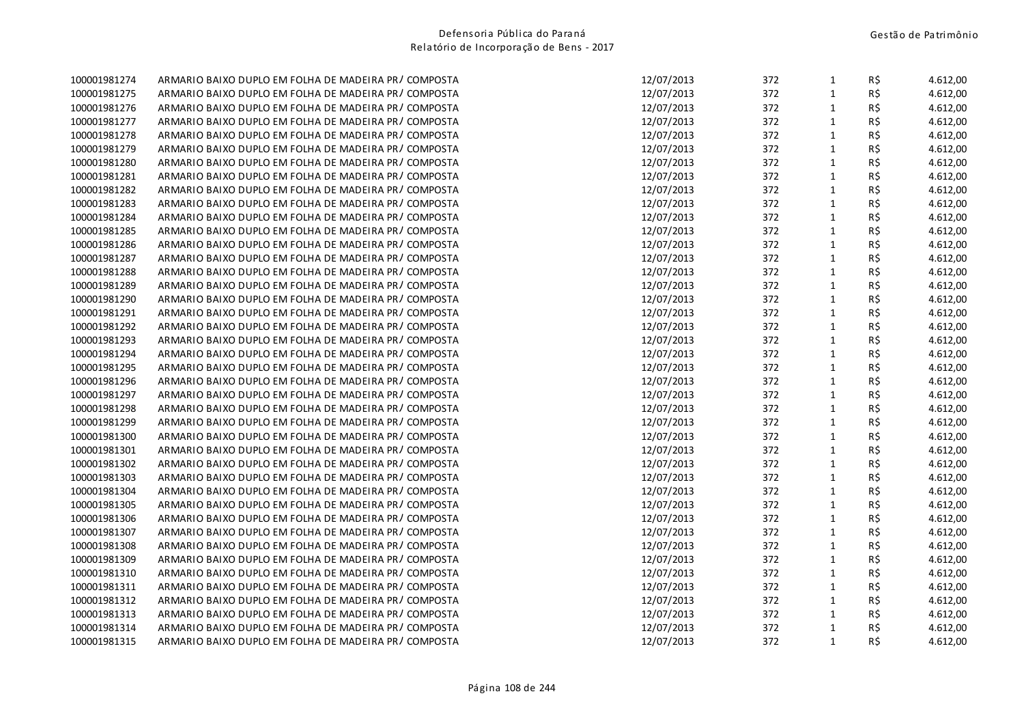| $\mathbf 1$<br>12/07/2013<br>372<br>R\$<br>ARMARIO BAIXO DUPLO EM FOLHA DE MADEIRA PR/COMPOSTA<br>4.612,00<br>$\mathbf{1}$<br>R\$<br>ARMARIO BAIXO DUPLO EM FOLHA DE MADEIRA PR/COMPOSTA<br>12/07/2013<br>372<br>4.612,00<br>R\$<br>12/07/2013<br>372<br>$\mathbf{1}$<br>4.612,00<br>ARMARIO BAIXO DUPLO EM FOLHA DE MADEIRA PR/COMPOSTA<br>R\$<br>12/07/2013<br>372<br>$\mathbf{1}$<br>ARMARIO BAIXO DUPLO EM FOLHA DE MADEIRA PR/COMPOSTA<br>4.612,00<br>R\$<br>12/07/2013<br>372<br>$\mathbf{1}$<br>4.612,00<br>ARMARIO BAIXO DUPLO EM FOLHA DE MADEIRA PR / COMPOSTA<br>12/07/2013<br>372<br>$\mathbf{1}$<br>R\$<br>ARMARIO BAIXO DUPLO EM FOLHA DE MADEIRA PR/COMPOSTA<br>4.612,00<br>R\$<br>12/07/2013<br>372<br>$\mathbf{1}$<br>ARMARIO BAIXO DUPLO EM FOLHA DE MADEIRA PR/COMPOSTA<br>4.612,00<br>R\$<br>12/07/2013<br>372<br>ARMARIO BAIXO DUPLO EM FOLHA DE MADEIRA PR/COMPOSTA<br>$\mathbf{1}$<br>4.612,00<br>$\mathbf{1}$<br>R\$<br>12/07/2013<br>372<br>4.612,00<br>ARMARIO BAIXO DUPLO EM FOLHA DE MADEIRA PR / COMPOSTA<br>$\mathbf{1}$<br>12/07/2013<br>372<br>R\$<br>4.612,00<br>ARMARIO BAIXO DUPLO EM FOLHA DE MADEIRA PR/COMPOSTA<br>$\mathbf{1}$<br>R\$<br>ARMARIO BAIXO DUPLO EM FOLHA DE MADEIRA PR/COMPOSTA<br>12/07/2013<br>372<br>4.612,00<br>R\$<br>12/07/2013<br>372<br>$\mathbf{1}$<br>ARMARIO BAIXO DUPLO EM FOLHA DE MADEIRA PR/COMPOSTA<br>4.612,00<br>R\$<br>372<br>$\mathbf{1}$<br>ARMARIO BAIXO DUPLO EM FOLHA DE MADEIRA PR/COMPOSTA<br>12/07/2013<br>4.612,00<br>R\$<br>12/07/2013<br>372<br>$\mathbf{1}$<br>ARMARIO BAIXO DUPLO EM FOLHA DE MADEIRA PR/COMPOSTA<br>4.612,00<br>12/07/2013<br>372<br>$\mathbf{1}$<br>R\$<br>ARMARIO BAIXO DUPLO EM FOLHA DE MADEIRA PR/COMPOSTA<br>4.612,00<br>R\$<br>372<br>$\mathbf{1}$<br>ARMARIO BAIXO DUPLO EM FOLHA DE MADEIRA PR / COMPOSTA<br>12/07/2013<br>4.612,00<br>R\$<br>372<br>ARMARIO BAIXO DUPLO EM FOLHA DE MADEIRA PR/COMPOSTA<br>12/07/2013<br>$\mathbf{1}$<br>4.612,00<br>$\mathbf 1$<br>R\$<br>12/07/2013<br>372<br>4.612,00<br>ARMARIO BAIXO DUPLO EM FOLHA DE MADEIRA PR/COMPOSTA<br>12/07/2013<br>372<br>$\mathbf{1}$<br>R\$<br>4.612,00<br>ARMARIO BAIXO DUPLO EM FOLHA DE MADEIRA PR/COMPOSTA<br>$\mathbf{1}$<br>R\$<br>ARMARIO BAIXO DUPLO EM FOLHA DE MADEIRA PR/COMPOSTA<br>12/07/2013<br>372<br>4.612,00<br>R\$<br>372<br>$\mathbf{1}$<br>ARMARIO BAIXO DUPLO EM FOLHA DE MADEIRA PR/COMPOSTA<br>12/07/2013<br>4.612,00<br>372<br>$\mathbf{1}$<br>R\$<br>ARMARIO BAIXO DUPLO EM FOLHA DE MADEIRA PR/COMPOSTA<br>12/07/2013<br>4.612,00<br>R\$<br>372<br>$\mathbf{1}$<br>ARMARIO BAIXO DUPLO EM FOLHA DE MADEIRA PR/COMPOSTA<br>12/07/2013<br>4.612,00<br>12/07/2013<br>372<br>$\mathbf{1}$<br>R\$<br>ARMARIO BAIXO DUPLO EM FOLHA DE MADEIRA PR/COMPOSTA<br>4.612,00<br>R\$<br>372<br>$\mathbf{1}$<br>ARMARIO BAIXO DUPLO EM FOLHA DE MADEIRA PR/COMPOSTA<br>12/07/2013<br>4.612,00<br>R\$<br>372<br>ARMARIO BAIXO DUPLO EM FOLHA DE MADEIRA PR/COMPOSTA<br>12/07/2013<br>$\mathbf{1}$<br>4.612,00<br>$\mathbf 1$<br>R\$<br>12/07/2013<br>372<br>ARMARIO BAIXO DUPLO EM FOLHA DE MADEIRA PR / COMPOSTA<br>4.612,00<br>12/07/2013<br>372<br>$\mathbf{1}$<br>R\$<br>4.612,00<br>ARMARIO BAIXO DUPLO EM FOLHA DE MADEIRA PR/COMPOSTA<br>R\$<br>ARMARIO BAIXO DUPLO EM FOLHA DE MADEIRA PR/COMPOSTA<br>12/07/2013<br>372<br>$\mathbf{1}$<br>4.612,00<br>R\$<br>372<br>$\mathbf{1}$<br>ARMARIO BAIXO DUPLO EM FOLHA DE MADEIRA PR/COMPOSTA<br>12/07/2013<br>4.612,00<br>372<br>$\mathbf{1}$<br>R\$<br>12/07/2013<br>4.612,00<br>ARMARIO BAIXO DUPLO EM FOLHA DE MADEIRA PR/COMPOSTA<br>R\$<br>372<br>$\mathbf{1}$<br>ARMARIO BAIXO DUPLO EM FOLHA DE MADEIRA PR/COMPOSTA<br>12/07/2013<br>4.612,00<br>R\$<br>ARMARIO BAIXO DUPLO EM FOLHA DE MADEIRA PR/COMPOSTA<br>12/07/2013<br>372<br>$\mathbf{1}$<br>4.612,00<br>R\$<br>372<br>$\mathbf{1}$<br>ARMARIO BAIXO DUPLO EM FOLHA DE MADEIRA PR/COMPOSTA<br>12/07/2013<br>4.612,00<br>R\$<br>$\mathbf{1}$<br>ARMARIO BAIXO DUPLO EM FOLHA DE MADEIRA PR/COMPOSTA<br>12/07/2013<br>372<br>4.612,00<br>$\mathbf 1$<br>R\$<br>12/07/2013<br>372<br>ARMARIO BAIXO DUPLO EM FOLHA DE MADEIRA PR/COMPOSTA<br>4.612,00<br>12/07/2013<br>$\mathbf{1}$<br>R\$<br>ARMARIO BAIXO DUPLO EM FOLHA DE MADEIRA PR/COMPOSTA<br>372<br>4.612,00<br>R\$<br>ARMARIO BAIXO DUPLO EM FOLHA DE MADEIRA PR/COMPOSTA<br>12/07/2013<br>372<br>$\mathbf{1}$<br>4.612,00<br>372<br>R\$<br>ARMARIO BAIXO DUPLO EM FOLHA DE MADEIRA PR/COMPOSTA<br>12/07/2013<br>$\mathbf{1}$<br>4.612,00<br>R\$<br>12/07/2013<br>372<br>$\mathbf{1}$<br>4.612,00<br>ARMARIO BAIXO DUPLO EM FOLHA DE MADEIRA PR / COMPOSTA | 100001981274 | ARMARIO BAIXO DUPLO EM FOLHA DE MADEIRA PR/COMPOSTA | 12/07/2013 | 372 | $\mathbf{1}$ | R\$ | 4.612,00 |
|----------------------------------------------------------------------------------------------------------------------------------------------------------------------------------------------------------------------------------------------------------------------------------------------------------------------------------------------------------------------------------------------------------------------------------------------------------------------------------------------------------------------------------------------------------------------------------------------------------------------------------------------------------------------------------------------------------------------------------------------------------------------------------------------------------------------------------------------------------------------------------------------------------------------------------------------------------------------------------------------------------------------------------------------------------------------------------------------------------------------------------------------------------------------------------------------------------------------------------------------------------------------------------------------------------------------------------------------------------------------------------------------------------------------------------------------------------------------------------------------------------------------------------------------------------------------------------------------------------------------------------------------------------------------------------------------------------------------------------------------------------------------------------------------------------------------------------------------------------------------------------------------------------------------------------------------------------------------------------------------------------------------------------------------------------------------------------------------------------------------------------------------------------------------------------------------------------------------------------------------------------------------------------------------------------------------------------------------------------------------------------------------------------------------------------------------------------------------------------------------------------------------------------------------------------------------------------------------------------------------------------------------------------------------------------------------------------------------------------------------------------------------------------------------------------------------------------------------------------------------------------------------------------------------------------------------------------------------------------------------------------------------------------------------------------------------------------------------------------------------------------------------------------------------------------------------------------------------------------------------------------------------------------------------------------------------------------------------------------------------------------------------------------------------------------------------------------------------------------------------------------------------------------------------------------------------------------------------------------------------------------------------------------------------------------------------------------------------------------------------------------------------------------------------------------------------------------------------------------------------------------------------------------------------------------------------------------------------------------------------------------------------------------------------------------------------------------------------------------------------------------------------------------------------------------------------------------------------------------------------------------------------------------------------------------------------------------------------------------------------------------------------------------------------------------------------------------------------------------------------------------------------------------------------------------------------------------------------------------------------------|--------------|-----------------------------------------------------|------------|-----|--------------|-----|----------|
|                                                                                                                                                                                                                                                                                                                                                                                                                                                                                                                                                                                                                                                                                                                                                                                                                                                                                                                                                                                                                                                                                                                                                                                                                                                                                                                                                                                                                                                                                                                                                                                                                                                                                                                                                                                                                                                                                                                                                                                                                                                                                                                                                                                                                                                                                                                                                                                                                                                                                                                                                                                                                                                                                                                                                                                                                                                                                                                                                                                                                                                                                                                                                                                                                                                                                                                                                                                                                                                                                                                                                                                                                                                                                                                                                                                                                                                                                                                                                                                                                                                                                                                                                                                                                                                                                                                                                                                                                                                                                                                                                                                                                            | 100001981275 |                                                     |            |     |              |     |          |
|                                                                                                                                                                                                                                                                                                                                                                                                                                                                                                                                                                                                                                                                                                                                                                                                                                                                                                                                                                                                                                                                                                                                                                                                                                                                                                                                                                                                                                                                                                                                                                                                                                                                                                                                                                                                                                                                                                                                                                                                                                                                                                                                                                                                                                                                                                                                                                                                                                                                                                                                                                                                                                                                                                                                                                                                                                                                                                                                                                                                                                                                                                                                                                                                                                                                                                                                                                                                                                                                                                                                                                                                                                                                                                                                                                                                                                                                                                                                                                                                                                                                                                                                                                                                                                                                                                                                                                                                                                                                                                                                                                                                                            | 100001981276 |                                                     |            |     |              |     |          |
|                                                                                                                                                                                                                                                                                                                                                                                                                                                                                                                                                                                                                                                                                                                                                                                                                                                                                                                                                                                                                                                                                                                                                                                                                                                                                                                                                                                                                                                                                                                                                                                                                                                                                                                                                                                                                                                                                                                                                                                                                                                                                                                                                                                                                                                                                                                                                                                                                                                                                                                                                                                                                                                                                                                                                                                                                                                                                                                                                                                                                                                                                                                                                                                                                                                                                                                                                                                                                                                                                                                                                                                                                                                                                                                                                                                                                                                                                                                                                                                                                                                                                                                                                                                                                                                                                                                                                                                                                                                                                                                                                                                                                            | 100001981277 |                                                     |            |     |              |     |          |
|                                                                                                                                                                                                                                                                                                                                                                                                                                                                                                                                                                                                                                                                                                                                                                                                                                                                                                                                                                                                                                                                                                                                                                                                                                                                                                                                                                                                                                                                                                                                                                                                                                                                                                                                                                                                                                                                                                                                                                                                                                                                                                                                                                                                                                                                                                                                                                                                                                                                                                                                                                                                                                                                                                                                                                                                                                                                                                                                                                                                                                                                                                                                                                                                                                                                                                                                                                                                                                                                                                                                                                                                                                                                                                                                                                                                                                                                                                                                                                                                                                                                                                                                                                                                                                                                                                                                                                                                                                                                                                                                                                                                                            | 100001981278 |                                                     |            |     |              |     |          |
|                                                                                                                                                                                                                                                                                                                                                                                                                                                                                                                                                                                                                                                                                                                                                                                                                                                                                                                                                                                                                                                                                                                                                                                                                                                                                                                                                                                                                                                                                                                                                                                                                                                                                                                                                                                                                                                                                                                                                                                                                                                                                                                                                                                                                                                                                                                                                                                                                                                                                                                                                                                                                                                                                                                                                                                                                                                                                                                                                                                                                                                                                                                                                                                                                                                                                                                                                                                                                                                                                                                                                                                                                                                                                                                                                                                                                                                                                                                                                                                                                                                                                                                                                                                                                                                                                                                                                                                                                                                                                                                                                                                                                            | 100001981279 |                                                     |            |     |              |     |          |
|                                                                                                                                                                                                                                                                                                                                                                                                                                                                                                                                                                                                                                                                                                                                                                                                                                                                                                                                                                                                                                                                                                                                                                                                                                                                                                                                                                                                                                                                                                                                                                                                                                                                                                                                                                                                                                                                                                                                                                                                                                                                                                                                                                                                                                                                                                                                                                                                                                                                                                                                                                                                                                                                                                                                                                                                                                                                                                                                                                                                                                                                                                                                                                                                                                                                                                                                                                                                                                                                                                                                                                                                                                                                                                                                                                                                                                                                                                                                                                                                                                                                                                                                                                                                                                                                                                                                                                                                                                                                                                                                                                                                                            | 100001981280 |                                                     |            |     |              |     |          |
|                                                                                                                                                                                                                                                                                                                                                                                                                                                                                                                                                                                                                                                                                                                                                                                                                                                                                                                                                                                                                                                                                                                                                                                                                                                                                                                                                                                                                                                                                                                                                                                                                                                                                                                                                                                                                                                                                                                                                                                                                                                                                                                                                                                                                                                                                                                                                                                                                                                                                                                                                                                                                                                                                                                                                                                                                                                                                                                                                                                                                                                                                                                                                                                                                                                                                                                                                                                                                                                                                                                                                                                                                                                                                                                                                                                                                                                                                                                                                                                                                                                                                                                                                                                                                                                                                                                                                                                                                                                                                                                                                                                                                            | 100001981281 |                                                     |            |     |              |     |          |
|                                                                                                                                                                                                                                                                                                                                                                                                                                                                                                                                                                                                                                                                                                                                                                                                                                                                                                                                                                                                                                                                                                                                                                                                                                                                                                                                                                                                                                                                                                                                                                                                                                                                                                                                                                                                                                                                                                                                                                                                                                                                                                                                                                                                                                                                                                                                                                                                                                                                                                                                                                                                                                                                                                                                                                                                                                                                                                                                                                                                                                                                                                                                                                                                                                                                                                                                                                                                                                                                                                                                                                                                                                                                                                                                                                                                                                                                                                                                                                                                                                                                                                                                                                                                                                                                                                                                                                                                                                                                                                                                                                                                                            | 100001981282 |                                                     |            |     |              |     |          |
|                                                                                                                                                                                                                                                                                                                                                                                                                                                                                                                                                                                                                                                                                                                                                                                                                                                                                                                                                                                                                                                                                                                                                                                                                                                                                                                                                                                                                                                                                                                                                                                                                                                                                                                                                                                                                                                                                                                                                                                                                                                                                                                                                                                                                                                                                                                                                                                                                                                                                                                                                                                                                                                                                                                                                                                                                                                                                                                                                                                                                                                                                                                                                                                                                                                                                                                                                                                                                                                                                                                                                                                                                                                                                                                                                                                                                                                                                                                                                                                                                                                                                                                                                                                                                                                                                                                                                                                                                                                                                                                                                                                                                            | 100001981283 |                                                     |            |     |              |     |          |
|                                                                                                                                                                                                                                                                                                                                                                                                                                                                                                                                                                                                                                                                                                                                                                                                                                                                                                                                                                                                                                                                                                                                                                                                                                                                                                                                                                                                                                                                                                                                                                                                                                                                                                                                                                                                                                                                                                                                                                                                                                                                                                                                                                                                                                                                                                                                                                                                                                                                                                                                                                                                                                                                                                                                                                                                                                                                                                                                                                                                                                                                                                                                                                                                                                                                                                                                                                                                                                                                                                                                                                                                                                                                                                                                                                                                                                                                                                                                                                                                                                                                                                                                                                                                                                                                                                                                                                                                                                                                                                                                                                                                                            | 100001981284 |                                                     |            |     |              |     |          |
|                                                                                                                                                                                                                                                                                                                                                                                                                                                                                                                                                                                                                                                                                                                                                                                                                                                                                                                                                                                                                                                                                                                                                                                                                                                                                                                                                                                                                                                                                                                                                                                                                                                                                                                                                                                                                                                                                                                                                                                                                                                                                                                                                                                                                                                                                                                                                                                                                                                                                                                                                                                                                                                                                                                                                                                                                                                                                                                                                                                                                                                                                                                                                                                                                                                                                                                                                                                                                                                                                                                                                                                                                                                                                                                                                                                                                                                                                                                                                                                                                                                                                                                                                                                                                                                                                                                                                                                                                                                                                                                                                                                                                            | 100001981285 |                                                     |            |     |              |     |          |
|                                                                                                                                                                                                                                                                                                                                                                                                                                                                                                                                                                                                                                                                                                                                                                                                                                                                                                                                                                                                                                                                                                                                                                                                                                                                                                                                                                                                                                                                                                                                                                                                                                                                                                                                                                                                                                                                                                                                                                                                                                                                                                                                                                                                                                                                                                                                                                                                                                                                                                                                                                                                                                                                                                                                                                                                                                                                                                                                                                                                                                                                                                                                                                                                                                                                                                                                                                                                                                                                                                                                                                                                                                                                                                                                                                                                                                                                                                                                                                                                                                                                                                                                                                                                                                                                                                                                                                                                                                                                                                                                                                                                                            | 100001981286 |                                                     |            |     |              |     |          |
|                                                                                                                                                                                                                                                                                                                                                                                                                                                                                                                                                                                                                                                                                                                                                                                                                                                                                                                                                                                                                                                                                                                                                                                                                                                                                                                                                                                                                                                                                                                                                                                                                                                                                                                                                                                                                                                                                                                                                                                                                                                                                                                                                                                                                                                                                                                                                                                                                                                                                                                                                                                                                                                                                                                                                                                                                                                                                                                                                                                                                                                                                                                                                                                                                                                                                                                                                                                                                                                                                                                                                                                                                                                                                                                                                                                                                                                                                                                                                                                                                                                                                                                                                                                                                                                                                                                                                                                                                                                                                                                                                                                                                            | 100001981287 |                                                     |            |     |              |     |          |
|                                                                                                                                                                                                                                                                                                                                                                                                                                                                                                                                                                                                                                                                                                                                                                                                                                                                                                                                                                                                                                                                                                                                                                                                                                                                                                                                                                                                                                                                                                                                                                                                                                                                                                                                                                                                                                                                                                                                                                                                                                                                                                                                                                                                                                                                                                                                                                                                                                                                                                                                                                                                                                                                                                                                                                                                                                                                                                                                                                                                                                                                                                                                                                                                                                                                                                                                                                                                                                                                                                                                                                                                                                                                                                                                                                                                                                                                                                                                                                                                                                                                                                                                                                                                                                                                                                                                                                                                                                                                                                                                                                                                                            | 100001981288 |                                                     |            |     |              |     |          |
|                                                                                                                                                                                                                                                                                                                                                                                                                                                                                                                                                                                                                                                                                                                                                                                                                                                                                                                                                                                                                                                                                                                                                                                                                                                                                                                                                                                                                                                                                                                                                                                                                                                                                                                                                                                                                                                                                                                                                                                                                                                                                                                                                                                                                                                                                                                                                                                                                                                                                                                                                                                                                                                                                                                                                                                                                                                                                                                                                                                                                                                                                                                                                                                                                                                                                                                                                                                                                                                                                                                                                                                                                                                                                                                                                                                                                                                                                                                                                                                                                                                                                                                                                                                                                                                                                                                                                                                                                                                                                                                                                                                                                            | 100001981289 |                                                     |            |     |              |     |          |
|                                                                                                                                                                                                                                                                                                                                                                                                                                                                                                                                                                                                                                                                                                                                                                                                                                                                                                                                                                                                                                                                                                                                                                                                                                                                                                                                                                                                                                                                                                                                                                                                                                                                                                                                                                                                                                                                                                                                                                                                                                                                                                                                                                                                                                                                                                                                                                                                                                                                                                                                                                                                                                                                                                                                                                                                                                                                                                                                                                                                                                                                                                                                                                                                                                                                                                                                                                                                                                                                                                                                                                                                                                                                                                                                                                                                                                                                                                                                                                                                                                                                                                                                                                                                                                                                                                                                                                                                                                                                                                                                                                                                                            | 100001981290 |                                                     |            |     |              |     |          |
|                                                                                                                                                                                                                                                                                                                                                                                                                                                                                                                                                                                                                                                                                                                                                                                                                                                                                                                                                                                                                                                                                                                                                                                                                                                                                                                                                                                                                                                                                                                                                                                                                                                                                                                                                                                                                                                                                                                                                                                                                                                                                                                                                                                                                                                                                                                                                                                                                                                                                                                                                                                                                                                                                                                                                                                                                                                                                                                                                                                                                                                                                                                                                                                                                                                                                                                                                                                                                                                                                                                                                                                                                                                                                                                                                                                                                                                                                                                                                                                                                                                                                                                                                                                                                                                                                                                                                                                                                                                                                                                                                                                                                            | 100001981291 |                                                     |            |     |              |     |          |
|                                                                                                                                                                                                                                                                                                                                                                                                                                                                                                                                                                                                                                                                                                                                                                                                                                                                                                                                                                                                                                                                                                                                                                                                                                                                                                                                                                                                                                                                                                                                                                                                                                                                                                                                                                                                                                                                                                                                                                                                                                                                                                                                                                                                                                                                                                                                                                                                                                                                                                                                                                                                                                                                                                                                                                                                                                                                                                                                                                                                                                                                                                                                                                                                                                                                                                                                                                                                                                                                                                                                                                                                                                                                                                                                                                                                                                                                                                                                                                                                                                                                                                                                                                                                                                                                                                                                                                                                                                                                                                                                                                                                                            | 100001981292 |                                                     |            |     |              |     |          |
|                                                                                                                                                                                                                                                                                                                                                                                                                                                                                                                                                                                                                                                                                                                                                                                                                                                                                                                                                                                                                                                                                                                                                                                                                                                                                                                                                                                                                                                                                                                                                                                                                                                                                                                                                                                                                                                                                                                                                                                                                                                                                                                                                                                                                                                                                                                                                                                                                                                                                                                                                                                                                                                                                                                                                                                                                                                                                                                                                                                                                                                                                                                                                                                                                                                                                                                                                                                                                                                                                                                                                                                                                                                                                                                                                                                                                                                                                                                                                                                                                                                                                                                                                                                                                                                                                                                                                                                                                                                                                                                                                                                                                            | 100001981293 |                                                     |            |     |              |     |          |
|                                                                                                                                                                                                                                                                                                                                                                                                                                                                                                                                                                                                                                                                                                                                                                                                                                                                                                                                                                                                                                                                                                                                                                                                                                                                                                                                                                                                                                                                                                                                                                                                                                                                                                                                                                                                                                                                                                                                                                                                                                                                                                                                                                                                                                                                                                                                                                                                                                                                                                                                                                                                                                                                                                                                                                                                                                                                                                                                                                                                                                                                                                                                                                                                                                                                                                                                                                                                                                                                                                                                                                                                                                                                                                                                                                                                                                                                                                                                                                                                                                                                                                                                                                                                                                                                                                                                                                                                                                                                                                                                                                                                                            | 100001981294 |                                                     |            |     |              |     |          |
|                                                                                                                                                                                                                                                                                                                                                                                                                                                                                                                                                                                                                                                                                                                                                                                                                                                                                                                                                                                                                                                                                                                                                                                                                                                                                                                                                                                                                                                                                                                                                                                                                                                                                                                                                                                                                                                                                                                                                                                                                                                                                                                                                                                                                                                                                                                                                                                                                                                                                                                                                                                                                                                                                                                                                                                                                                                                                                                                                                                                                                                                                                                                                                                                                                                                                                                                                                                                                                                                                                                                                                                                                                                                                                                                                                                                                                                                                                                                                                                                                                                                                                                                                                                                                                                                                                                                                                                                                                                                                                                                                                                                                            | 100001981295 |                                                     |            |     |              |     |          |
|                                                                                                                                                                                                                                                                                                                                                                                                                                                                                                                                                                                                                                                                                                                                                                                                                                                                                                                                                                                                                                                                                                                                                                                                                                                                                                                                                                                                                                                                                                                                                                                                                                                                                                                                                                                                                                                                                                                                                                                                                                                                                                                                                                                                                                                                                                                                                                                                                                                                                                                                                                                                                                                                                                                                                                                                                                                                                                                                                                                                                                                                                                                                                                                                                                                                                                                                                                                                                                                                                                                                                                                                                                                                                                                                                                                                                                                                                                                                                                                                                                                                                                                                                                                                                                                                                                                                                                                                                                                                                                                                                                                                                            | 100001981296 |                                                     |            |     |              |     |          |
|                                                                                                                                                                                                                                                                                                                                                                                                                                                                                                                                                                                                                                                                                                                                                                                                                                                                                                                                                                                                                                                                                                                                                                                                                                                                                                                                                                                                                                                                                                                                                                                                                                                                                                                                                                                                                                                                                                                                                                                                                                                                                                                                                                                                                                                                                                                                                                                                                                                                                                                                                                                                                                                                                                                                                                                                                                                                                                                                                                                                                                                                                                                                                                                                                                                                                                                                                                                                                                                                                                                                                                                                                                                                                                                                                                                                                                                                                                                                                                                                                                                                                                                                                                                                                                                                                                                                                                                                                                                                                                                                                                                                                            | 100001981297 |                                                     |            |     |              |     |          |
|                                                                                                                                                                                                                                                                                                                                                                                                                                                                                                                                                                                                                                                                                                                                                                                                                                                                                                                                                                                                                                                                                                                                                                                                                                                                                                                                                                                                                                                                                                                                                                                                                                                                                                                                                                                                                                                                                                                                                                                                                                                                                                                                                                                                                                                                                                                                                                                                                                                                                                                                                                                                                                                                                                                                                                                                                                                                                                                                                                                                                                                                                                                                                                                                                                                                                                                                                                                                                                                                                                                                                                                                                                                                                                                                                                                                                                                                                                                                                                                                                                                                                                                                                                                                                                                                                                                                                                                                                                                                                                                                                                                                                            | 100001981298 |                                                     |            |     |              |     |          |
|                                                                                                                                                                                                                                                                                                                                                                                                                                                                                                                                                                                                                                                                                                                                                                                                                                                                                                                                                                                                                                                                                                                                                                                                                                                                                                                                                                                                                                                                                                                                                                                                                                                                                                                                                                                                                                                                                                                                                                                                                                                                                                                                                                                                                                                                                                                                                                                                                                                                                                                                                                                                                                                                                                                                                                                                                                                                                                                                                                                                                                                                                                                                                                                                                                                                                                                                                                                                                                                                                                                                                                                                                                                                                                                                                                                                                                                                                                                                                                                                                                                                                                                                                                                                                                                                                                                                                                                                                                                                                                                                                                                                                            | 100001981299 |                                                     |            |     |              |     |          |
|                                                                                                                                                                                                                                                                                                                                                                                                                                                                                                                                                                                                                                                                                                                                                                                                                                                                                                                                                                                                                                                                                                                                                                                                                                                                                                                                                                                                                                                                                                                                                                                                                                                                                                                                                                                                                                                                                                                                                                                                                                                                                                                                                                                                                                                                                                                                                                                                                                                                                                                                                                                                                                                                                                                                                                                                                                                                                                                                                                                                                                                                                                                                                                                                                                                                                                                                                                                                                                                                                                                                                                                                                                                                                                                                                                                                                                                                                                                                                                                                                                                                                                                                                                                                                                                                                                                                                                                                                                                                                                                                                                                                                            | 100001981300 |                                                     |            |     |              |     |          |
|                                                                                                                                                                                                                                                                                                                                                                                                                                                                                                                                                                                                                                                                                                                                                                                                                                                                                                                                                                                                                                                                                                                                                                                                                                                                                                                                                                                                                                                                                                                                                                                                                                                                                                                                                                                                                                                                                                                                                                                                                                                                                                                                                                                                                                                                                                                                                                                                                                                                                                                                                                                                                                                                                                                                                                                                                                                                                                                                                                                                                                                                                                                                                                                                                                                                                                                                                                                                                                                                                                                                                                                                                                                                                                                                                                                                                                                                                                                                                                                                                                                                                                                                                                                                                                                                                                                                                                                                                                                                                                                                                                                                                            | 100001981301 |                                                     |            |     |              |     |          |
|                                                                                                                                                                                                                                                                                                                                                                                                                                                                                                                                                                                                                                                                                                                                                                                                                                                                                                                                                                                                                                                                                                                                                                                                                                                                                                                                                                                                                                                                                                                                                                                                                                                                                                                                                                                                                                                                                                                                                                                                                                                                                                                                                                                                                                                                                                                                                                                                                                                                                                                                                                                                                                                                                                                                                                                                                                                                                                                                                                                                                                                                                                                                                                                                                                                                                                                                                                                                                                                                                                                                                                                                                                                                                                                                                                                                                                                                                                                                                                                                                                                                                                                                                                                                                                                                                                                                                                                                                                                                                                                                                                                                                            | 100001981302 |                                                     |            |     |              |     |          |
|                                                                                                                                                                                                                                                                                                                                                                                                                                                                                                                                                                                                                                                                                                                                                                                                                                                                                                                                                                                                                                                                                                                                                                                                                                                                                                                                                                                                                                                                                                                                                                                                                                                                                                                                                                                                                                                                                                                                                                                                                                                                                                                                                                                                                                                                                                                                                                                                                                                                                                                                                                                                                                                                                                                                                                                                                                                                                                                                                                                                                                                                                                                                                                                                                                                                                                                                                                                                                                                                                                                                                                                                                                                                                                                                                                                                                                                                                                                                                                                                                                                                                                                                                                                                                                                                                                                                                                                                                                                                                                                                                                                                                            | 100001981303 |                                                     |            |     |              |     |          |
|                                                                                                                                                                                                                                                                                                                                                                                                                                                                                                                                                                                                                                                                                                                                                                                                                                                                                                                                                                                                                                                                                                                                                                                                                                                                                                                                                                                                                                                                                                                                                                                                                                                                                                                                                                                                                                                                                                                                                                                                                                                                                                                                                                                                                                                                                                                                                                                                                                                                                                                                                                                                                                                                                                                                                                                                                                                                                                                                                                                                                                                                                                                                                                                                                                                                                                                                                                                                                                                                                                                                                                                                                                                                                                                                                                                                                                                                                                                                                                                                                                                                                                                                                                                                                                                                                                                                                                                                                                                                                                                                                                                                                            | 100001981304 |                                                     |            |     |              |     |          |
|                                                                                                                                                                                                                                                                                                                                                                                                                                                                                                                                                                                                                                                                                                                                                                                                                                                                                                                                                                                                                                                                                                                                                                                                                                                                                                                                                                                                                                                                                                                                                                                                                                                                                                                                                                                                                                                                                                                                                                                                                                                                                                                                                                                                                                                                                                                                                                                                                                                                                                                                                                                                                                                                                                                                                                                                                                                                                                                                                                                                                                                                                                                                                                                                                                                                                                                                                                                                                                                                                                                                                                                                                                                                                                                                                                                                                                                                                                                                                                                                                                                                                                                                                                                                                                                                                                                                                                                                                                                                                                                                                                                                                            | 100001981305 |                                                     |            |     |              |     |          |
|                                                                                                                                                                                                                                                                                                                                                                                                                                                                                                                                                                                                                                                                                                                                                                                                                                                                                                                                                                                                                                                                                                                                                                                                                                                                                                                                                                                                                                                                                                                                                                                                                                                                                                                                                                                                                                                                                                                                                                                                                                                                                                                                                                                                                                                                                                                                                                                                                                                                                                                                                                                                                                                                                                                                                                                                                                                                                                                                                                                                                                                                                                                                                                                                                                                                                                                                                                                                                                                                                                                                                                                                                                                                                                                                                                                                                                                                                                                                                                                                                                                                                                                                                                                                                                                                                                                                                                                                                                                                                                                                                                                                                            | 100001981306 |                                                     |            |     |              |     |          |
|                                                                                                                                                                                                                                                                                                                                                                                                                                                                                                                                                                                                                                                                                                                                                                                                                                                                                                                                                                                                                                                                                                                                                                                                                                                                                                                                                                                                                                                                                                                                                                                                                                                                                                                                                                                                                                                                                                                                                                                                                                                                                                                                                                                                                                                                                                                                                                                                                                                                                                                                                                                                                                                                                                                                                                                                                                                                                                                                                                                                                                                                                                                                                                                                                                                                                                                                                                                                                                                                                                                                                                                                                                                                                                                                                                                                                                                                                                                                                                                                                                                                                                                                                                                                                                                                                                                                                                                                                                                                                                                                                                                                                            | 100001981307 |                                                     |            |     |              |     |          |
|                                                                                                                                                                                                                                                                                                                                                                                                                                                                                                                                                                                                                                                                                                                                                                                                                                                                                                                                                                                                                                                                                                                                                                                                                                                                                                                                                                                                                                                                                                                                                                                                                                                                                                                                                                                                                                                                                                                                                                                                                                                                                                                                                                                                                                                                                                                                                                                                                                                                                                                                                                                                                                                                                                                                                                                                                                                                                                                                                                                                                                                                                                                                                                                                                                                                                                                                                                                                                                                                                                                                                                                                                                                                                                                                                                                                                                                                                                                                                                                                                                                                                                                                                                                                                                                                                                                                                                                                                                                                                                                                                                                                                            | 100001981308 |                                                     |            |     |              |     |          |
|                                                                                                                                                                                                                                                                                                                                                                                                                                                                                                                                                                                                                                                                                                                                                                                                                                                                                                                                                                                                                                                                                                                                                                                                                                                                                                                                                                                                                                                                                                                                                                                                                                                                                                                                                                                                                                                                                                                                                                                                                                                                                                                                                                                                                                                                                                                                                                                                                                                                                                                                                                                                                                                                                                                                                                                                                                                                                                                                                                                                                                                                                                                                                                                                                                                                                                                                                                                                                                                                                                                                                                                                                                                                                                                                                                                                                                                                                                                                                                                                                                                                                                                                                                                                                                                                                                                                                                                                                                                                                                                                                                                                                            | 100001981309 |                                                     |            |     |              |     |          |
|                                                                                                                                                                                                                                                                                                                                                                                                                                                                                                                                                                                                                                                                                                                                                                                                                                                                                                                                                                                                                                                                                                                                                                                                                                                                                                                                                                                                                                                                                                                                                                                                                                                                                                                                                                                                                                                                                                                                                                                                                                                                                                                                                                                                                                                                                                                                                                                                                                                                                                                                                                                                                                                                                                                                                                                                                                                                                                                                                                                                                                                                                                                                                                                                                                                                                                                                                                                                                                                                                                                                                                                                                                                                                                                                                                                                                                                                                                                                                                                                                                                                                                                                                                                                                                                                                                                                                                                                                                                                                                                                                                                                                            | 100001981310 |                                                     |            |     |              |     |          |
|                                                                                                                                                                                                                                                                                                                                                                                                                                                                                                                                                                                                                                                                                                                                                                                                                                                                                                                                                                                                                                                                                                                                                                                                                                                                                                                                                                                                                                                                                                                                                                                                                                                                                                                                                                                                                                                                                                                                                                                                                                                                                                                                                                                                                                                                                                                                                                                                                                                                                                                                                                                                                                                                                                                                                                                                                                                                                                                                                                                                                                                                                                                                                                                                                                                                                                                                                                                                                                                                                                                                                                                                                                                                                                                                                                                                                                                                                                                                                                                                                                                                                                                                                                                                                                                                                                                                                                                                                                                                                                                                                                                                                            | 100001981311 |                                                     |            |     |              |     |          |
|                                                                                                                                                                                                                                                                                                                                                                                                                                                                                                                                                                                                                                                                                                                                                                                                                                                                                                                                                                                                                                                                                                                                                                                                                                                                                                                                                                                                                                                                                                                                                                                                                                                                                                                                                                                                                                                                                                                                                                                                                                                                                                                                                                                                                                                                                                                                                                                                                                                                                                                                                                                                                                                                                                                                                                                                                                                                                                                                                                                                                                                                                                                                                                                                                                                                                                                                                                                                                                                                                                                                                                                                                                                                                                                                                                                                                                                                                                                                                                                                                                                                                                                                                                                                                                                                                                                                                                                                                                                                                                                                                                                                                            | 100001981312 |                                                     |            |     |              |     |          |
|                                                                                                                                                                                                                                                                                                                                                                                                                                                                                                                                                                                                                                                                                                                                                                                                                                                                                                                                                                                                                                                                                                                                                                                                                                                                                                                                                                                                                                                                                                                                                                                                                                                                                                                                                                                                                                                                                                                                                                                                                                                                                                                                                                                                                                                                                                                                                                                                                                                                                                                                                                                                                                                                                                                                                                                                                                                                                                                                                                                                                                                                                                                                                                                                                                                                                                                                                                                                                                                                                                                                                                                                                                                                                                                                                                                                                                                                                                                                                                                                                                                                                                                                                                                                                                                                                                                                                                                                                                                                                                                                                                                                                            | 100001981313 |                                                     |            |     |              |     |          |
|                                                                                                                                                                                                                                                                                                                                                                                                                                                                                                                                                                                                                                                                                                                                                                                                                                                                                                                                                                                                                                                                                                                                                                                                                                                                                                                                                                                                                                                                                                                                                                                                                                                                                                                                                                                                                                                                                                                                                                                                                                                                                                                                                                                                                                                                                                                                                                                                                                                                                                                                                                                                                                                                                                                                                                                                                                                                                                                                                                                                                                                                                                                                                                                                                                                                                                                                                                                                                                                                                                                                                                                                                                                                                                                                                                                                                                                                                                                                                                                                                                                                                                                                                                                                                                                                                                                                                                                                                                                                                                                                                                                                                            | 100001981314 |                                                     |            |     |              |     |          |
| 372<br>$\mathbf{1}$<br>R\$<br>ARMARIO BAIXO DUPLO EM FOLHA DE MADEIRA PR/COMPOSTA<br>12/07/2013<br>4.612,00                                                                                                                                                                                                                                                                                                                                                                                                                                                                                                                                                                                                                                                                                                                                                                                                                                                                                                                                                                                                                                                                                                                                                                                                                                                                                                                                                                                                                                                                                                                                                                                                                                                                                                                                                                                                                                                                                                                                                                                                                                                                                                                                                                                                                                                                                                                                                                                                                                                                                                                                                                                                                                                                                                                                                                                                                                                                                                                                                                                                                                                                                                                                                                                                                                                                                                                                                                                                                                                                                                                                                                                                                                                                                                                                                                                                                                                                                                                                                                                                                                                                                                                                                                                                                                                                                                                                                                                                                                                                                                                | 100001981315 |                                                     |            |     |              |     |          |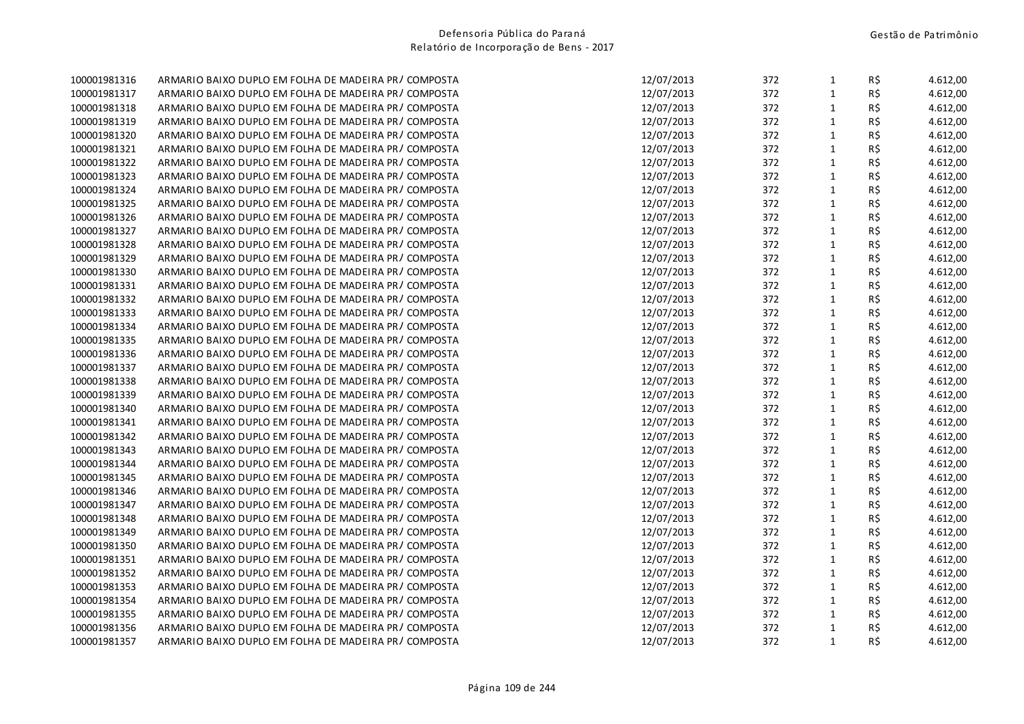| 100001981316 | ARMARIO BAIXO DUPLO EM FOLHA DE MADEIRA PR/COMPOSTA   | 12/07/2013 | 372 | $\mathbf{1}$ | R\$ | 4.612,00 |
|--------------|-------------------------------------------------------|------------|-----|--------------|-----|----------|
| 100001981317 | ARMARIO BAIXO DUPLO EM FOLHA DE MADEIRA PR / COMPOSTA | 12/07/2013 | 372 | $\mathbf{1}$ | R\$ | 4.612,00 |
| 100001981318 | ARMARIO BAIXO DUPLO EM FOLHA DE MADEIRA PR/COMPOSTA   | 12/07/2013 | 372 | $\mathbf{1}$ | R\$ | 4.612,00 |
| 100001981319 | ARMARIO BAIXO DUPLO EM FOLHA DE MADEIRA PR/COMPOSTA   | 12/07/2013 | 372 | $\mathbf{1}$ | R\$ | 4.612,00 |
| 100001981320 | ARMARIO BAIXO DUPLO EM FOLHA DE MADEIRA PR/COMPOSTA   | 12/07/2013 | 372 | $\mathbf{1}$ | R\$ | 4.612,00 |
| 100001981321 | ARMARIO BAIXO DUPLO EM FOLHA DE MADEIRA PR/COMPOSTA   | 12/07/2013 | 372 | $\mathbf{1}$ | R\$ | 4.612,00 |
| 100001981322 | ARMARIO BAIXO DUPLO EM FOLHA DE MADEIRA PR/COMPOSTA   | 12/07/2013 | 372 | $\mathbf{1}$ | R\$ | 4.612,00 |
| 100001981323 | ARMARIO BAIXO DUPLO EM FOLHA DE MADEIRA PR/COMPOSTA   | 12/07/2013 | 372 | $\mathbf{1}$ | R\$ | 4.612,00 |
| 100001981324 | ARMARIO BAIXO DUPLO EM FOLHA DE MADEIRA PR/COMPOSTA   | 12/07/2013 | 372 | $\mathbf{1}$ | R\$ | 4.612,00 |
| 100001981325 | ARMARIO BAIXO DUPLO EM FOLHA DE MADEIRA PR / COMPOSTA | 12/07/2013 | 372 | $\mathbf{1}$ | R\$ | 4.612,00 |
| 100001981326 | ARMARIO BAIXO DUPLO EM FOLHA DE MADEIRA PR/COMPOSTA   | 12/07/2013 | 372 | $\mathbf{1}$ | R\$ | 4.612,00 |
| 100001981327 | ARMARIO BAIXO DUPLO EM FOLHA DE MADEIRA PR/COMPOSTA   | 12/07/2013 | 372 | $\mathbf 1$  | R\$ | 4.612,00 |
| 100001981328 | ARMARIO BAIXO DUPLO EM FOLHA DE MADEIRA PR/COMPOSTA   | 12/07/2013 | 372 | $\mathbf{1}$ | R\$ | 4.612,00 |
| 100001981329 | ARMARIO BAIXO DUPLO EM FOLHA DE MADEIRA PR / COMPOSTA | 12/07/2013 | 372 | $\mathbf{1}$ | R\$ | 4.612,00 |
| 100001981330 | ARMARIO BAIXO DUPLO EM FOLHA DE MADEIRA PR/COMPOSTA   | 12/07/2013 | 372 | $\mathbf{1}$ | R\$ | 4.612,00 |
| 100001981331 | ARMARIO BAIXO DUPLO EM FOLHA DE MADEIRA PR / COMPOSTA | 12/07/2013 | 372 | $\mathbf{1}$ | R\$ | 4.612,00 |
| 100001981332 | ARMARIO BAIXO DUPLO EM FOLHA DE MADEIRA PR/COMPOSTA   | 12/07/2013 | 372 | $\mathbf{1}$ | R\$ | 4.612,00 |
| 100001981333 | ARMARIO BAIXO DUPLO EM FOLHA DE MADEIRA PR/COMPOSTA   | 12/07/2013 | 372 | $\mathbf{1}$ | R\$ | 4.612,00 |
| 100001981334 | ARMARIO BAIXO DUPLO EM FOLHA DE MADEIRA PR/COMPOSTA   | 12/07/2013 | 372 | $\mathbf{1}$ | R\$ | 4.612,00 |
| 100001981335 | ARMARIO BAIXO DUPLO EM FOLHA DE MADEIRA PR/COMPOSTA   | 12/07/2013 | 372 | $\mathbf{1}$ | R\$ | 4.612,00 |
| 100001981336 | ARMARIO BAIXO DUPLO EM FOLHA DE MADEIRA PR/COMPOSTA   | 12/07/2013 | 372 | $\mathbf{1}$ | R\$ | 4.612,00 |
| 100001981337 | ARMARIO BAIXO DUPLO EM FOLHA DE MADEIRA PR/COMPOSTA   | 12/07/2013 | 372 | $\mathbf{1}$ | R\$ | 4.612,00 |
| 100001981338 | ARMARIO BAIXO DUPLO EM FOLHA DE MADEIRA PR/COMPOSTA   | 12/07/2013 | 372 | $\mathbf{1}$ | R\$ | 4.612,00 |
| 100001981339 | ARMARIO BAIXO DUPLO EM FOLHA DE MADEIRA PR/COMPOSTA   | 12/07/2013 | 372 | $\mathbf{1}$ | R\$ | 4.612,00 |
| 100001981340 | ARMARIO BAIXO DUPLO EM FOLHA DE MADEIRA PR/COMPOSTA   | 12/07/2013 | 372 | $\mathbf{1}$ | R\$ | 4.612,00 |
| 100001981341 | ARMARIO BAIXO DUPLO EM FOLHA DE MADEIRA PR/COMPOSTA   | 12/07/2013 | 372 | $\mathbf{1}$ | R\$ | 4.612,00 |
| 100001981342 | ARMARIO BAIXO DUPLO EM FOLHA DE MADEIRA PR/COMPOSTA   | 12/07/2013 | 372 | $\mathbf{1}$ | R\$ | 4.612,00 |
| 100001981343 | ARMARIO BAIXO DUPLO EM FOLHA DE MADEIRA PR/COMPOSTA   | 12/07/2013 | 372 | $\mathbf{1}$ | R\$ | 4.612,00 |
| 100001981344 | ARMARIO BAIXO DUPLO EM FOLHA DE MADEIRA PR/COMPOSTA   | 12/07/2013 | 372 | $\mathbf{1}$ | R\$ | 4.612,00 |
| 100001981345 | ARMARIO BAIXO DUPLO EM FOLHA DE MADEIRA PR/COMPOSTA   | 12/07/2013 | 372 | $\mathbf{1}$ | R\$ | 4.612,00 |
| 100001981346 | ARMARIO BAIXO DUPLO EM FOLHA DE MADEIRA PR/COMPOSTA   | 12/07/2013 | 372 | $\mathbf{1}$ | R\$ | 4.612,00 |
| 100001981347 | ARMARIO BAIXO DUPLO EM FOLHA DE MADEIRA PR/COMPOSTA   | 12/07/2013 | 372 | $\mathbf{1}$ | R\$ | 4.612,00 |
| 100001981348 | ARMARIO BAIXO DUPLO EM FOLHA DE MADEIRA PR/COMPOSTA   | 12/07/2013 | 372 | $\mathbf{1}$ | R\$ | 4.612,00 |
| 100001981349 | ARMARIO BAIXO DUPLO EM FOLHA DE MADEIRA PR/COMPOSTA   | 12/07/2013 | 372 | $\mathbf{1}$ | R\$ | 4.612,00 |
| 100001981350 | ARMARIO BAIXO DUPLO EM FOLHA DE MADEIRA PR / COMPOSTA | 12/07/2013 | 372 | $\mathbf{1}$ | R\$ | 4.612,00 |
| 100001981351 | ARMARIO BAIXO DUPLO EM FOLHA DE MADEIRA PR/COMPOSTA   | 12/07/2013 | 372 | $\mathbf{1}$ | R\$ | 4.612,00 |
| 100001981352 | ARMARIO BAIXO DUPLO EM FOLHA DE MADEIRA PR / COMPOSTA | 12/07/2013 | 372 | $\mathbf{1}$ | R\$ | 4.612,00 |
| 100001981353 | ARMARIO BAIXO DUPLO EM FOLHA DE MADEIRA PR/COMPOSTA   | 12/07/2013 | 372 | $\mathbf{1}$ | R\$ | 4.612,00 |
| 100001981354 | ARMARIO BAIXO DUPLO EM FOLHA DE MADEIRA PR/COMPOSTA   | 12/07/2013 | 372 | $\mathbf{1}$ | R\$ | 4.612,00 |
| 100001981355 | ARMARIO BAIXO DUPLO EM FOLHA DE MADEIRA PR/COMPOSTA   | 12/07/2013 | 372 | $\mathbf{1}$ | R\$ | 4.612,00 |
| 100001981356 | ARMARIO BAIXO DUPLO EM FOLHA DE MADEIRA PR / COMPOSTA | 12/07/2013 | 372 | $\mathbf{1}$ | R\$ | 4.612,00 |
| 100001981357 | ARMARIO BAIXO DUPLO EM FOLHA DE MADEIRA PR/COMPOSTA   | 12/07/2013 | 372 | $\mathbf{1}$ | R\$ | 4.612,00 |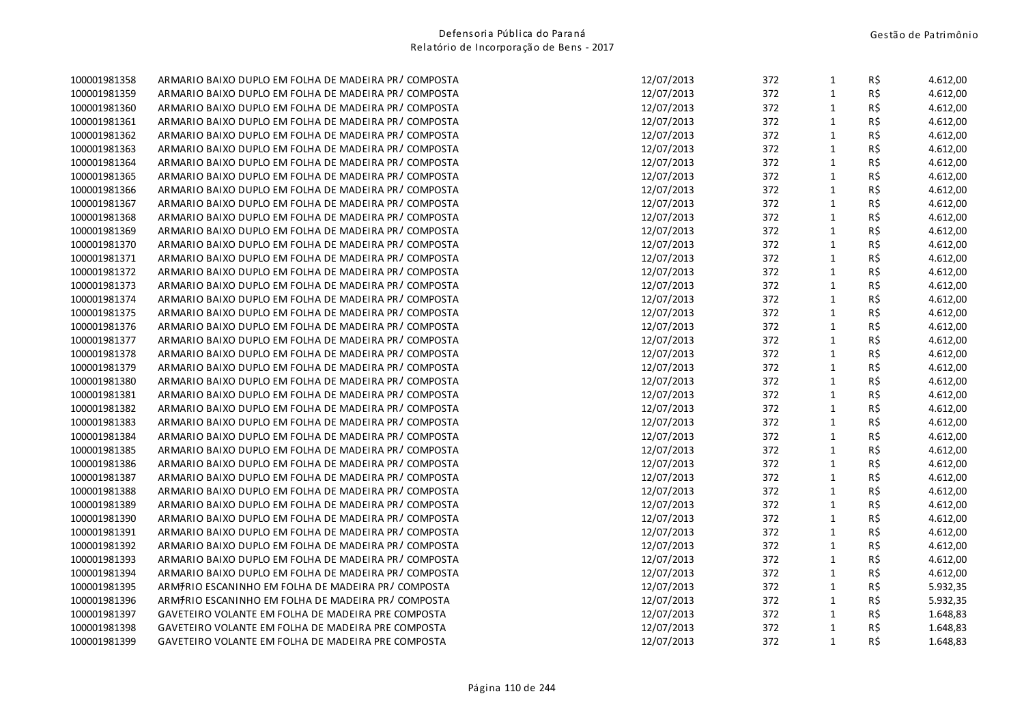| 100001981358 | ARMARIO BAIXO DUPLO EM FOLHA DE MADEIRA PR/COMPOSTA   | 12/07/2013 | 372 | $\mathbf{1}$ | R\$ | 4.612,00 |
|--------------|-------------------------------------------------------|------------|-----|--------------|-----|----------|
| 100001981359 | ARMARIO BAIXO DUPLO EM FOLHA DE MADEIRA PR / COMPOSTA | 12/07/2013 | 372 | $\mathbf{1}$ | R\$ | 4.612,00 |
| 100001981360 | ARMARIO BAIXO DUPLO EM FOLHA DE MADEIRA PR/COMPOSTA   | 12/07/2013 | 372 | $\mathbf{1}$ | R\$ | 4.612,00 |
| 100001981361 | ARMARIO BAIXO DUPLO EM FOLHA DE MADEIRA PR/COMPOSTA   | 12/07/2013 | 372 | $\mathbf{1}$ | R\$ | 4.612,00 |
| 100001981362 | ARMARIO BAIXO DUPLO EM FOLHA DE MADEIRA PR/COMPOSTA   | 12/07/2013 | 372 | $\mathbf{1}$ | R\$ | 4.612,00 |
| 100001981363 | ARMARIO BAIXO DUPLO EM FOLHA DE MADEIRA PR/ COMPOSTA  | 12/07/2013 | 372 | $\mathbf{1}$ | R\$ | 4.612,00 |
| 100001981364 | ARMARIO BAIXO DUPLO EM FOLHA DE MADEIRA PR/COMPOSTA   | 12/07/2013 | 372 | $\mathbf{1}$ | R\$ | 4.612,00 |
| 100001981365 | ARMARIO BAIXO DUPLO EM FOLHA DE MADEIRA PR/COMPOSTA   | 12/07/2013 | 372 | $\mathbf{1}$ | R\$ | 4.612,00 |
| 100001981366 | ARMARIO BAIXO DUPLO EM FOLHA DE MADEIRA PR/COMPOSTA   | 12/07/2013 | 372 | $\mathbf{1}$ | R\$ | 4.612,00 |
| 100001981367 | ARMARIO BAIXO DUPLO EM FOLHA DE MADEIRA PR/COMPOSTA   | 12/07/2013 | 372 | $\mathbf{1}$ | R\$ | 4.612,00 |
| 100001981368 | ARMARIO BAIXO DUPLO EM FOLHA DE MADEIRA PR/COMPOSTA   | 12/07/2013 | 372 | $\mathbf{1}$ | R\$ | 4.612,00 |
| 100001981369 | ARMARIO BAIXO DUPLO EM FOLHA DE MADEIRA PR/COMPOSTA   | 12/07/2013 | 372 | $\mathbf{1}$ | R\$ | 4.612,00 |
| 100001981370 | ARMARIO BAIXO DUPLO EM FOLHA DE MADEIRA PR/COMPOSTA   | 12/07/2013 | 372 | $\mathbf{1}$ | R\$ | 4.612,00 |
| 100001981371 | ARMARIO BAIXO DUPLO EM FOLHA DE MADEIRA PR / COMPOSTA | 12/07/2013 | 372 | $\mathbf 1$  | R\$ | 4.612,00 |
| 100001981372 | ARMARIO BAIXO DUPLO EM FOLHA DE MADEIRA PR/COMPOSTA   | 12/07/2013 | 372 | $\mathbf{1}$ | R\$ | 4.612,00 |
| 100001981373 | ARMARIO BAIXO DUPLO EM FOLHA DE MADEIRA PR/COMPOSTA   | 12/07/2013 | 372 | $\mathbf{1}$ | R\$ | 4.612,00 |
| 100001981374 | ARMARIO BAIXO DUPLO EM FOLHA DE MADEIRA PR/COMPOSTA   | 12/07/2013 | 372 | $\mathbf{1}$ | R\$ | 4.612,00 |
| 100001981375 | ARMARIO BAIXO DUPLO EM FOLHA DE MADEIRA PR/COMPOSTA   | 12/07/2013 | 372 | $\mathbf{1}$ | R\$ | 4.612,00 |
| 100001981376 | ARMARIO BAIXO DUPLO EM FOLHA DE MADEIRA PR/COMPOSTA   | 12/07/2013 | 372 | $\mathbf{1}$ | R\$ | 4.612,00 |
| 100001981377 | ARMARIO BAIXO DUPLO EM FOLHA DE MADEIRA PR/COMPOSTA   | 12/07/2013 | 372 | $\mathbf{1}$ | R\$ | 4.612,00 |
| 100001981378 | ARMARIO BAIXO DUPLO EM FOLHA DE MADEIRA PR/COMPOSTA   | 12/07/2013 | 372 | $\mathbf{1}$ | R\$ | 4.612,00 |
| 100001981379 | ARMARIO BAIXO DUPLO EM FOLHA DE MADEIRA PR/COMPOSTA   | 12/07/2013 | 372 | $\mathbf{1}$ | R\$ | 4.612,00 |
| 100001981380 | ARMARIO BAIXO DUPLO EM FOLHA DE MADEIRA PR/COMPOSTA   | 12/07/2013 | 372 | $\mathbf{1}$ | R\$ | 4.612,00 |
| 100001981381 | ARMARIO BAIXO DUPLO EM FOLHA DE MADEIRA PR/COMPOSTA   | 12/07/2013 | 372 | $\mathbf{1}$ | R\$ | 4.612,00 |
| 100001981382 | ARMARIO BAIXO DUPLO EM FOLHA DE MADEIRA PR/COMPOSTA   | 12/07/2013 | 372 | $\mathbf{1}$ | R\$ | 4.612,00 |
| 100001981383 | ARMARIO BAIXO DUPLO EM FOLHA DE MADEIRA PR/COMPOSTA   | 12/07/2013 | 372 | $\mathbf{1}$ | R\$ | 4.612,00 |
| 100001981384 | ARMARIO BAIXO DUPLO EM FOLHA DE MADEIRA PR/COMPOSTA   | 12/07/2013 | 372 | $\mathbf{1}$ | R\$ | 4.612,00 |
| 100001981385 | ARMARIO BAIXO DUPLO EM FOLHA DE MADEIRA PR/COMPOSTA   | 12/07/2013 | 372 | $\mathbf{1}$ | R\$ | 4.612,00 |
| 100001981386 | ARMARIO BAIXO DUPLO EM FOLHA DE MADEIRA PR/COMPOSTA   | 12/07/2013 | 372 | $\mathbf{1}$ | R\$ | 4.612,00 |
| 100001981387 | ARMARIO BAIXO DUPLO EM FOLHA DE MADEIRA PR/COMPOSTA   | 12/07/2013 | 372 | $\mathbf{1}$ | R\$ | 4.612,00 |
| 100001981388 | ARMARIO BAIXO DUPLO EM FOLHA DE MADEIRA PR/COMPOSTA   | 12/07/2013 | 372 | $\mathbf{1}$ | R\$ | 4.612,00 |
| 100001981389 | ARMARIO BAIXO DUPLO EM FOLHA DE MADEIRA PR/COMPOSTA   | 12/07/2013 | 372 | $\mathbf{1}$ | R\$ | 4.612,00 |
| 100001981390 | ARMARIO BAIXO DUPLO EM FOLHA DE MADEIRA PR/COMPOSTA   | 12/07/2013 | 372 | $\mathbf{1}$ | R\$ | 4.612,00 |
| 100001981391 | ARMARIO BAIXO DUPLO EM FOLHA DE MADEIRA PR/COMPOSTA   | 12/07/2013 | 372 | $\mathbf{1}$ | R\$ | 4.612,00 |
| 100001981392 | ARMARIO BAIXO DUPLO EM FOLHA DE MADEIRA PR/COMPOSTA   | 12/07/2013 | 372 | $\mathbf{1}$ | R\$ | 4.612,00 |
| 100001981393 | ARMARIO BAIXO DUPLO EM FOLHA DE MADEIRA PR/COMPOSTA   | 12/07/2013 | 372 | $\mathbf{1}$ | R\$ | 4.612,00 |
| 100001981394 | ARMARIO BAIXO DUPLO EM FOLHA DE MADEIRA PR/COMPOSTA   | 12/07/2013 | 372 | $\mathbf{1}$ | R\$ | 4.612,00 |
| 100001981395 | ARMIRIO ESCANINHO EM FOLHA DE MADEIRA PR/COMPOSTA     | 12/07/2013 | 372 | $\mathbf{1}$ | R\$ | 5.932,35 |
| 100001981396 | ARMIRIO ESCANINHO EM FOLHA DE MADEIRA PR/COMPOSTA     | 12/07/2013 | 372 | $\mathbf{1}$ | R\$ | 5.932,35 |
| 100001981397 | GAVETEIRO VOLANTE EM FOLHA DE MADEIRA PRE COMPOSTA    | 12/07/2013 | 372 | $\mathbf{1}$ | R\$ | 1.648,83 |
| 100001981398 | GAVETEIRO VOLANTE EM FOLHA DE MADEIRA PRE COMPOSTA    | 12/07/2013 | 372 | $\mathbf{1}$ | R\$ | 1.648,83 |
| 100001981399 | GAVETEIRO VOLANTE EM FOLHA DE MADEIRA PRE COMPOSTA    | 12/07/2013 | 372 | $\mathbf{1}$ | R\$ | 1.648,83 |
|              |                                                       |            |     |              |     |          |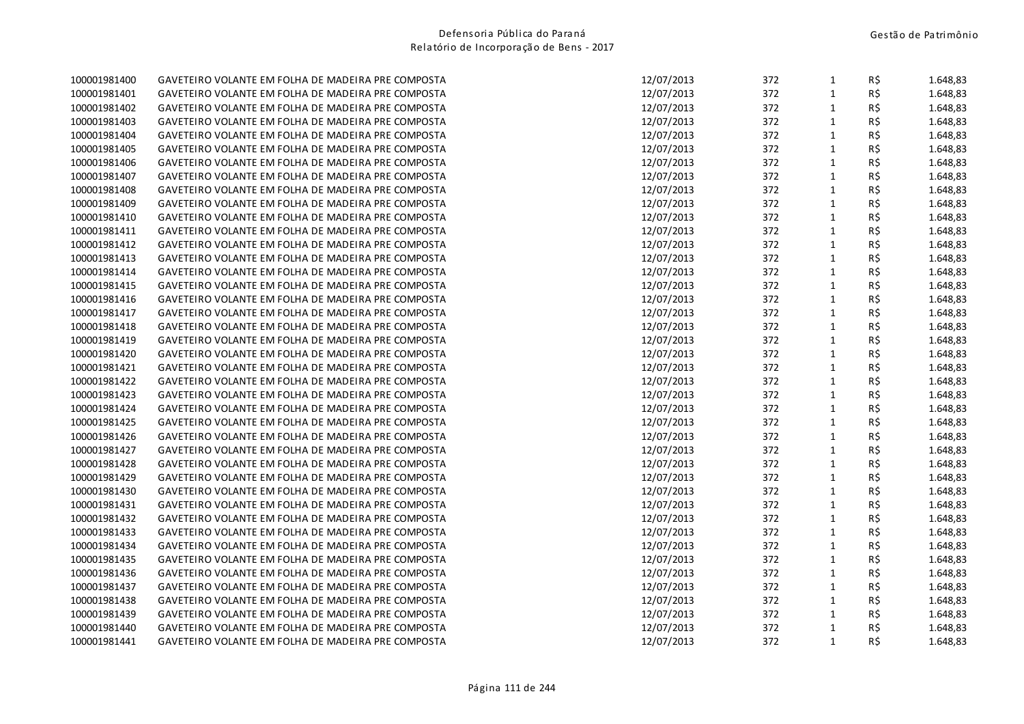| 100001981400 | GAVETEIRO VOLANTE EM FOLHA DE MADEIRA PRE COMPOSTA | 12/07/2013 | 372 | $\mathbf{1}$ | R\$ | 1.648,83 |
|--------------|----------------------------------------------------|------------|-----|--------------|-----|----------|
| 100001981401 | GAVETEIRO VOLANTE EM FOLHA DE MADEIRA PRE COMPOSTA | 12/07/2013 | 372 | $\mathbf{1}$ | R\$ | 1.648,83 |
| 100001981402 | GAVETEIRO VOLANTE EM FOLHA DE MADEIRA PRE COMPOSTA | 12/07/2013 | 372 | $\mathbf{1}$ | R\$ | 1.648,83 |
| 100001981403 | GAVETEIRO VOLANTE EM FOLHA DE MADEIRA PRE COMPOSTA | 12/07/2013 | 372 | $\mathbf{1}$ | R\$ | 1.648,83 |
| 100001981404 | GAVETEIRO VOLANTE EM FOLHA DE MADEIRA PRE COMPOSTA | 12/07/2013 | 372 | $\mathbf 1$  | R\$ | 1.648,83 |
| 100001981405 | GAVETEIRO VOLANTE EM FOLHA DE MADEIRA PRE COMPOSTA | 12/07/2013 | 372 | $\mathbf{1}$ | R\$ | 1.648,83 |
| 100001981406 | GAVETEIRO VOLANTE EM FOLHA DE MADEIRA PRE COMPOSTA | 12/07/2013 | 372 | $\mathbf{1}$ | R\$ | 1.648,83 |
| 100001981407 | GAVETEIRO VOLANTE EM FOLHA DE MADEIRA PRE COMPOSTA | 12/07/2013 | 372 | $\mathbf{1}$ | R\$ | 1.648,83 |
| 100001981408 | GAVETEIRO VOLANTE EM FOLHA DE MADEIRA PRE COMPOSTA | 12/07/2013 | 372 | $\mathbf{1}$ | R\$ | 1.648,83 |
| 100001981409 | GAVETEIRO VOLANTE EM FOLHA DE MADEIRA PRE COMPOSTA | 12/07/2013 | 372 | $\mathbf{1}$ | R\$ | 1.648,83 |
| 100001981410 | GAVETEIRO VOLANTE EM FOLHA DE MADEIRA PRE COMPOSTA | 12/07/2013 | 372 | $\mathbf{1}$ | R\$ | 1.648,83 |
| 100001981411 | GAVETEIRO VOLANTE EM FOLHA DE MADEIRA PRE COMPOSTA | 12/07/2013 | 372 | $\mathbf{1}$ | R\$ | 1.648,83 |
| 100001981412 | GAVETEIRO VOLANTE EM FOLHA DE MADEIRA PRE COMPOSTA | 12/07/2013 | 372 | $\mathbf{1}$ | R\$ | 1.648,83 |
| 100001981413 | GAVETEIRO VOLANTE EM FOLHA DE MADEIRA PRE COMPOSTA | 12/07/2013 | 372 | $\mathbf 1$  | R\$ | 1.648,83 |
| 100001981414 | GAVETEIRO VOLANTE EM FOLHA DE MADEIRA PRE COMPOSTA | 12/07/2013 | 372 | $\mathbf{1}$ | R\$ | 1.648,83 |
| 100001981415 | GAVETEIRO VOLANTE EM FOLHA DE MADEIRA PRE COMPOSTA | 12/07/2013 | 372 | $\mathbf{1}$ | R\$ | 1.648,83 |
| 100001981416 | GAVETEIRO VOLANTE EM FOLHA DE MADEIRA PRE COMPOSTA | 12/07/2013 | 372 | $\mathbf{1}$ | R\$ | 1.648,83 |
| 100001981417 | GAVETEIRO VOLANTE EM FOLHA DE MADEIRA PRE COMPOSTA | 12/07/2013 | 372 | $\mathbf{1}$ | R\$ | 1.648,83 |
| 100001981418 | GAVETEIRO VOLANTE EM FOLHA DE MADEIRA PRE COMPOSTA | 12/07/2013 | 372 | $\mathbf{1}$ | R\$ | 1.648,83 |
| 100001981419 | GAVETEIRO VOLANTE EM FOLHA DE MADEIRA PRE COMPOSTA | 12/07/2013 | 372 | $\mathbf{1}$ | R\$ | 1.648,83 |
| 100001981420 | GAVETEIRO VOLANTE EM FOLHA DE MADEIRA PRE COMPOSTA | 12/07/2013 | 372 | $\mathbf{1}$ | R\$ | 1.648,83 |
| 100001981421 | GAVETEIRO VOLANTE EM FOLHA DE MADEIRA PRE COMPOSTA | 12/07/2013 | 372 | $\mathbf{1}$ | R\$ | 1.648,83 |
| 100001981422 | GAVETEIRO VOLANTE EM FOLHA DE MADEIRA PRE COMPOSTA | 12/07/2013 | 372 | $\mathbf 1$  | R\$ | 1.648,83 |
| 100001981423 | GAVETEIRO VOLANTE EM FOLHA DE MADEIRA PRE COMPOSTA | 12/07/2013 | 372 | $\mathbf{1}$ | R\$ | 1.648,83 |
| 100001981424 | GAVETEIRO VOLANTE EM FOLHA DE MADEIRA PRE COMPOSTA | 12/07/2013 | 372 | $\mathbf{1}$ | R\$ | 1.648,83 |
| 100001981425 | GAVETEIRO VOLANTE EM FOLHA DE MADEIRA PRE COMPOSTA | 12/07/2013 | 372 | $\mathbf{1}$ | R\$ | 1.648,83 |
| 100001981426 | GAVETEIRO VOLANTE EM FOLHA DE MADEIRA PRE COMPOSTA | 12/07/2013 | 372 | $\mathbf{1}$ | R\$ | 1.648,83 |
| 100001981427 | GAVETEIRO VOLANTE EM FOLHA DE MADEIRA PRE COMPOSTA | 12/07/2013 | 372 | $\mathbf{1}$ | R\$ | 1.648,83 |
| 100001981428 | GAVETEIRO VOLANTE EM FOLHA DE MADEIRA PRE COMPOSTA | 12/07/2013 | 372 | $\mathbf{1}$ | R\$ | 1.648,83 |
| 100001981429 | GAVETEIRO VOLANTE EM FOLHA DE MADEIRA PRE COMPOSTA | 12/07/2013 | 372 | $\mathbf 1$  | R\$ | 1.648,83 |
| 100001981430 | GAVETEIRO VOLANTE EM FOLHA DE MADEIRA PRE COMPOSTA | 12/07/2013 | 372 | $\mathbf{1}$ | R\$ | 1.648,83 |
| 100001981431 | GAVETEIRO VOLANTE EM FOLHA DE MADEIRA PRE COMPOSTA | 12/07/2013 | 372 | $\mathbf 1$  | R\$ | 1.648,83 |
| 100001981432 | GAVETEIRO VOLANTE EM FOLHA DE MADEIRA PRE COMPOSTA | 12/07/2013 | 372 | $\mathbf{1}$ | R\$ | 1.648,83 |
| 100001981433 | GAVETEIRO VOLANTE EM FOLHA DE MADEIRA PRE COMPOSTA | 12/07/2013 | 372 | $\mathbf{1}$ | R\$ | 1.648,83 |
| 100001981434 | GAVETEIRO VOLANTE EM FOLHA DE MADEIRA PRE COMPOSTA | 12/07/2013 | 372 | $\mathbf{1}$ | R\$ | 1.648,83 |
| 100001981435 | GAVETEIRO VOLANTE EM FOLHA DE MADEIRA PRE COMPOSTA | 12/07/2013 | 372 | $\mathbf{1}$ | R\$ | 1.648,83 |
| 100001981436 | GAVETEIRO VOLANTE EM FOLHA DE MADEIRA PRE COMPOSTA | 12/07/2013 | 372 | $\mathbf 1$  | R\$ | 1.648,83 |
| 100001981437 | GAVETEIRO VOLANTE EM FOLHA DE MADEIRA PRE COMPOSTA | 12/07/2013 | 372 | $\mathbf{1}$ | R\$ | 1.648,83 |
| 100001981438 | GAVETEIRO VOLANTE EM FOLHA DE MADEIRA PRE COMPOSTA | 12/07/2013 | 372 | $\mathbf{1}$ | R\$ | 1.648,83 |
| 100001981439 | GAVETEIRO VOLANTE EM FOLHA DE MADEIRA PRE COMPOSTA | 12/07/2013 | 372 | $\mathbf{1}$ | R\$ | 1.648,83 |
| 100001981440 | GAVETEIRO VOLANTE EM FOLHA DE MADEIRA PRE COMPOSTA | 12/07/2013 | 372 | $\mathbf{1}$ | R\$ | 1.648,83 |
| 100001981441 | GAVETEIRO VOLANTE EM FOLHA DE MADEIRA PRE COMPOSTA | 12/07/2013 | 372 | $\mathbf{1}$ | R\$ | 1.648,83 |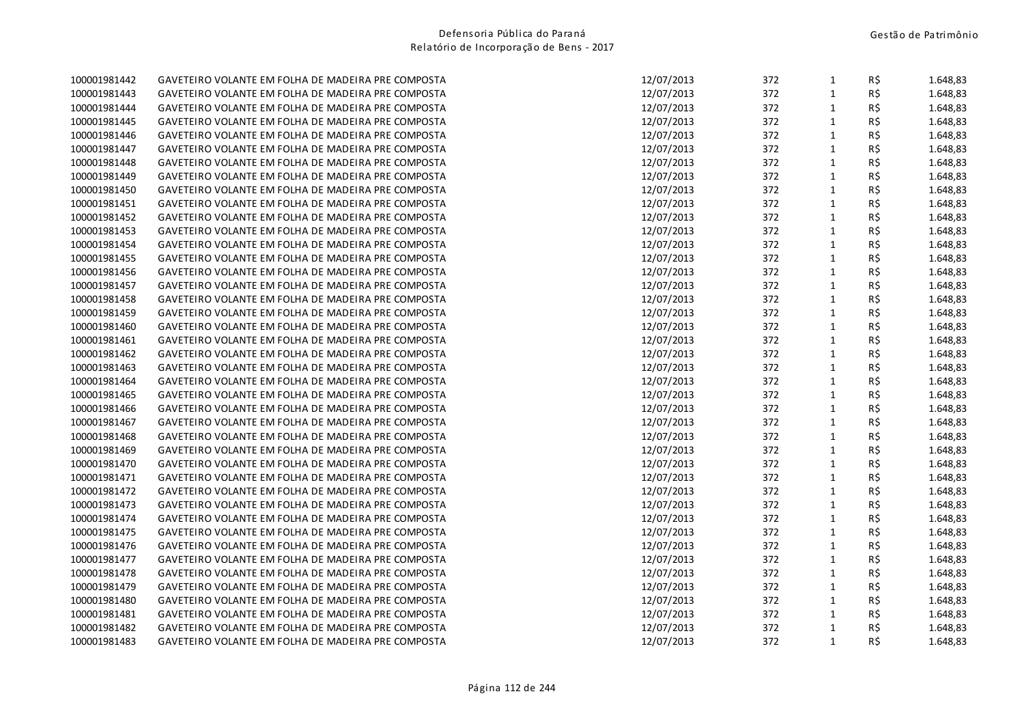| 100001981442 | GAVETEIRO VOLANTE EM FOLHA DE MADEIRA PRE COMPOSTA | 12/07/2013 | 372 | $\mathbf{1}$ | R\$      | 1.648,83 |
|--------------|----------------------------------------------------|------------|-----|--------------|----------|----------|
| 100001981443 | GAVETEIRO VOLANTE EM FOLHA DE MADEIRA PRE COMPOSTA | 12/07/2013 | 372 | $\mathbf{1}$ | R\$      | 1.648,83 |
| 100001981444 | GAVETEIRO VOLANTE EM FOLHA DE MADEIRA PRE COMPOSTA | 12/07/2013 | 372 | $\mathbf{1}$ | R\$      | 1.648,83 |
| 100001981445 | GAVETEIRO VOLANTE EM FOLHA DE MADEIRA PRE COMPOSTA | 12/07/2013 | 372 | $\mathbf{1}$ | R\$      | 1.648,83 |
| 100001981446 | GAVETEIRO VOLANTE EM FOLHA DE MADEIRA PRE COMPOSTA | 12/07/2013 | 372 | $\mathbf 1$  | R\$      | 1.648,83 |
| 100001981447 | GAVETEIRO VOLANTE EM FOLHA DE MADEIRA PRE COMPOSTA | 12/07/2013 | 372 | $\mathbf{1}$ | R\$      | 1.648,83 |
| 100001981448 | GAVETEIRO VOLANTE EM FOLHA DE MADEIRA PRE COMPOSTA | 12/07/2013 | 372 | $\mathbf{1}$ | R\$      | 1.648,83 |
| 100001981449 | GAVETEIRO VOLANTE EM FOLHA DE MADEIRA PRE COMPOSTA | 12/07/2013 | 372 | $\mathbf{1}$ | $R\,$ \$ | 1.648,83 |
| 100001981450 | GAVETEIRO VOLANTE EM FOLHA DE MADEIRA PRE COMPOSTA | 12/07/2013 | 372 | $\mathbf{1}$ | R\$      | 1.648,83 |
| 100001981451 | GAVETEIRO VOLANTE EM FOLHA DE MADEIRA PRE COMPOSTA | 12/07/2013 | 372 | $\mathbf 1$  | R\$      | 1.648,83 |
| 100001981452 | GAVETEIRO VOLANTE EM FOLHA DE MADEIRA PRE COMPOSTA | 12/07/2013 | 372 | $\mathbf{1}$ | R\$      | 1.648,83 |
| 100001981453 | GAVETEIRO VOLANTE EM FOLHA DE MADEIRA PRE COMPOSTA | 12/07/2013 | 372 | $\mathbf{1}$ | R\$      | 1.648,83 |
| 100001981454 | GAVETEIRO VOLANTE EM FOLHA DE MADEIRA PRE COMPOSTA | 12/07/2013 | 372 | $\mathbf{1}$ | R\$      | 1.648,83 |
| 100001981455 | GAVETEIRO VOLANTE EM FOLHA DE MADEIRA PRE COMPOSTA | 12/07/2013 | 372 | $\mathbf{1}$ | R\$      | 1.648,83 |
| 100001981456 | GAVETEIRO VOLANTE EM FOLHA DE MADEIRA PRE COMPOSTA | 12/07/2013 | 372 | $\mathbf{1}$ | R\$      | 1.648,83 |
| 100001981457 | GAVETEIRO VOLANTE EM FOLHA DE MADEIRA PRE COMPOSTA | 12/07/2013 | 372 | $\mathbf{1}$ | R\$      | 1.648,83 |
| 100001981458 | GAVETEIRO VOLANTE EM FOLHA DE MADEIRA PRE COMPOSTA | 12/07/2013 | 372 | $\mathbf{1}$ | R\$      | 1.648,83 |
| 100001981459 | GAVETEIRO VOLANTE EM FOLHA DE MADEIRA PRE COMPOSTA | 12/07/2013 | 372 | $\mathbf{1}$ | R\$      | 1.648,83 |
| 100001981460 | GAVETEIRO VOLANTE EM FOLHA DE MADEIRA PRE COMPOSTA | 12/07/2013 | 372 | $\mathbf 1$  | R\$      | 1.648,83 |
| 100001981461 | GAVETEIRO VOLANTE EM FOLHA DE MADEIRA PRE COMPOSTA | 12/07/2013 | 372 | $\mathbf{1}$ | R\$      | 1.648,83 |
| 100001981462 | GAVETEIRO VOLANTE EM FOLHA DE MADEIRA PRE COMPOSTA | 12/07/2013 | 372 | $\mathbf{1}$ | R\$      | 1.648,83 |
| 100001981463 | GAVETEIRO VOLANTE EM FOLHA DE MADEIRA PRE COMPOSTA | 12/07/2013 | 372 | $\mathbf{1}$ | R\$      | 1.648,83 |
| 100001981464 | GAVETEIRO VOLANTE EM FOLHA DE MADEIRA PRE COMPOSTA | 12/07/2013 | 372 | $\mathbf{1}$ | R\$      | 1.648,83 |
| 100001981465 | GAVETEIRO VOLANTE EM FOLHA DE MADEIRA PRE COMPOSTA | 12/07/2013 | 372 | $\mathbf{1}$ | R\$      | 1.648,83 |
| 100001981466 | GAVETEIRO VOLANTE EM FOLHA DE MADEIRA PRE COMPOSTA | 12/07/2013 | 372 | $\mathbf{1}$ | R\$      | 1.648,83 |
| 100001981467 | GAVETEIRO VOLANTE EM FOLHA DE MADEIRA PRE COMPOSTA | 12/07/2013 | 372 | $\mathbf{1}$ | R\$      | 1.648,83 |
| 100001981468 | GAVETEIRO VOLANTE EM FOLHA DE MADEIRA PRE COMPOSTA | 12/07/2013 | 372 | $\mathbf{1}$ | R\$      | 1.648,83 |
| 100001981469 | GAVETEIRO VOLANTE EM FOLHA DE MADEIRA PRE COMPOSTA | 12/07/2013 | 372 | $\mathbf 1$  | R\$      | 1.648,83 |
| 100001981470 | GAVETEIRO VOLANTE EM FOLHA DE MADEIRA PRE COMPOSTA | 12/07/2013 | 372 | $\mathbf{1}$ | R\$      | 1.648,83 |
| 100001981471 | GAVETEIRO VOLANTE EM FOLHA DE MADEIRA PRE COMPOSTA | 12/07/2013 | 372 | $\mathbf{1}$ | R\$      | 1.648,83 |
| 100001981472 | GAVETEIRO VOLANTE EM FOLHA DE MADEIRA PRE COMPOSTA | 12/07/2013 | 372 | $\mathbf{1}$ | R\$      | 1.648,83 |
| 100001981473 | GAVETEIRO VOLANTE EM FOLHA DE MADEIRA PRE COMPOSTA | 12/07/2013 | 372 | $\mathbf 1$  | R\$      | 1.648,83 |
| 100001981474 | GAVETEIRO VOLANTE EM FOLHA DE MADEIRA PRE COMPOSTA | 12/07/2013 | 372 | $\mathbf{1}$ | R\$      | 1.648,83 |
| 100001981475 | GAVETEIRO VOLANTE EM FOLHA DE MADEIRA PRE COMPOSTA | 12/07/2013 | 372 | $\mathbf{1}$ | R\$      | 1.648,83 |
| 100001981476 | GAVETEIRO VOLANTE EM FOLHA DE MADEIRA PRE COMPOSTA | 12/07/2013 | 372 | $\mathbf{1}$ | R\$      | 1.648,83 |
| 100001981477 | GAVETEIRO VOLANTE EM FOLHA DE MADEIRA PRE COMPOSTA | 12/07/2013 | 372 | $\mathbf{1}$ | R\$      | 1.648,83 |
| 100001981478 | GAVETEIRO VOLANTE EM FOLHA DE MADEIRA PRE COMPOSTA | 12/07/2013 | 372 | $\mathbf{1}$ | R\$      | 1.648,83 |
| 100001981479 | GAVETEIRO VOLANTE EM FOLHA DE MADEIRA PRE COMPOSTA | 12/07/2013 | 372 | $\mathbf{1}$ | R\$      | 1.648,83 |
| 100001981480 | GAVETEIRO VOLANTE EM FOLHA DE MADEIRA PRE COMPOSTA | 12/07/2013 | 372 | $\mathbf{1}$ | R\$      | 1.648,83 |
| 100001981481 | GAVETEIRO VOLANTE EM FOLHA DE MADEIRA PRE COMPOSTA | 12/07/2013 | 372 | $\mathbf{1}$ | R\$      | 1.648,83 |
| 100001981482 | GAVETEIRO VOLANTE EM FOLHA DE MADEIRA PRE COMPOSTA | 12/07/2013 | 372 | $\mathbf{1}$ | R\$      | 1.648,83 |
| 100001981483 | GAVETEIRO VOLANTE EM FOLHA DE MADEIRA PRE COMPOSTA | 12/07/2013 | 372 | $\mathbf{1}$ | R\$      | 1.648,83 |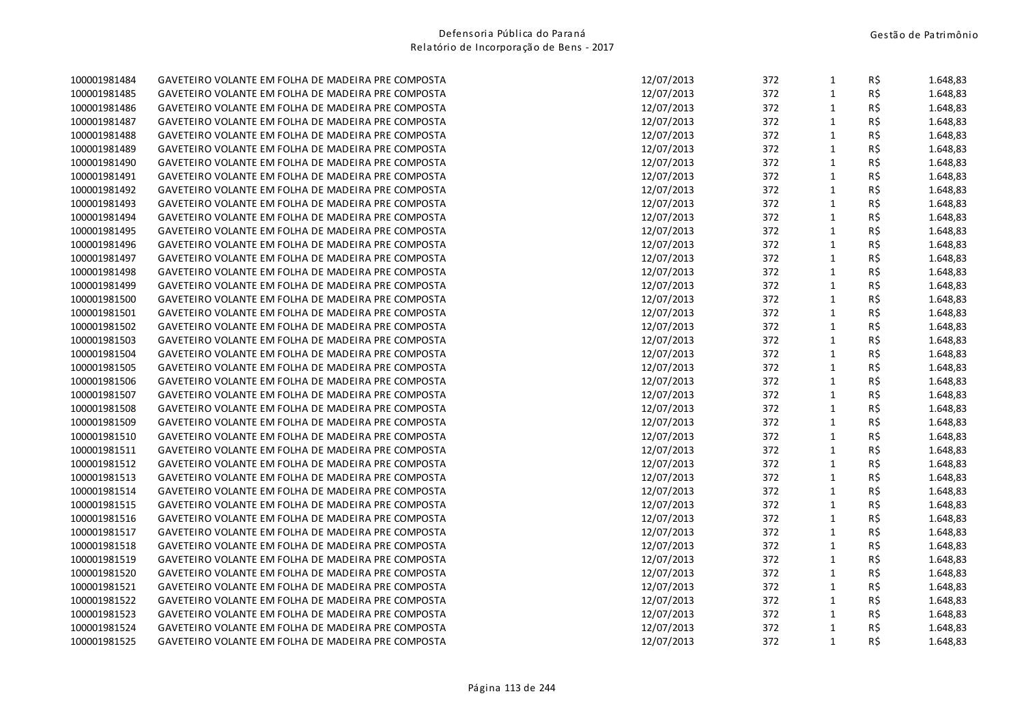| 100001981484 | GAVETEIRO VOLANTE EM FOLHA DE MADEIRA PRE COMPOSTA | 12/07/2013 | 372 | $\mathbf{1}$ | R\$ | 1.648,83 |
|--------------|----------------------------------------------------|------------|-----|--------------|-----|----------|
| 100001981485 | GAVETEIRO VOLANTE EM FOLHA DE MADEIRA PRE COMPOSTA | 12/07/2013 | 372 | $\mathbf{1}$ | R\$ | 1.648,83 |
| 100001981486 | GAVETEIRO VOLANTE EM FOLHA DE MADEIRA PRE COMPOSTA | 12/07/2013 | 372 | $\mathbf{1}$ | R\$ | 1.648,83 |
| 100001981487 | GAVETEIRO VOLANTE EM FOLHA DE MADEIRA PRE COMPOSTA | 12/07/2013 | 372 | $\mathbf{1}$ | R\$ | 1.648,83 |
| 100001981488 | GAVETEIRO VOLANTE EM FOLHA DE MADEIRA PRE COMPOSTA | 12/07/2013 | 372 | $\mathbf 1$  | R\$ | 1.648,83 |
| 100001981489 | GAVETEIRO VOLANTE EM FOLHA DE MADEIRA PRE COMPOSTA | 12/07/2013 | 372 | $\mathbf{1}$ | R\$ | 1.648,83 |
| 100001981490 | GAVETEIRO VOLANTE EM FOLHA DE MADEIRA PRE COMPOSTA | 12/07/2013 | 372 | $\mathbf{1}$ | R\$ | 1.648,83 |
| 100001981491 | GAVETEIRO VOLANTE EM FOLHA DE MADEIRA PRE COMPOSTA | 12/07/2013 | 372 | $\mathbf{1}$ | R\$ | 1.648,83 |
| 100001981492 | GAVETEIRO VOLANTE EM FOLHA DE MADEIRA PRE COMPOSTA | 12/07/2013 | 372 | $\mathbf{1}$ | R\$ | 1.648,83 |
| 100001981493 | GAVETEIRO VOLANTE EM FOLHA DE MADEIRA PRE COMPOSTA | 12/07/2013 | 372 | $\mathbf{1}$ | R\$ | 1.648,83 |
| 100001981494 | GAVETEIRO VOLANTE EM FOLHA DE MADEIRA PRE COMPOSTA | 12/07/2013 | 372 | $\mathbf{1}$ | R\$ | 1.648,83 |
| 100001981495 | GAVETEIRO VOLANTE EM FOLHA DE MADEIRA PRE COMPOSTA | 12/07/2013 | 372 | $\mathbf{1}$ | R\$ | 1.648,83 |
| 100001981496 | GAVETEIRO VOLANTE EM FOLHA DE MADEIRA PRE COMPOSTA | 12/07/2013 | 372 | $\mathbf{1}$ | R\$ | 1.648,83 |
| 100001981497 | GAVETEIRO VOLANTE EM FOLHA DE MADEIRA PRE COMPOSTA | 12/07/2013 | 372 | $\mathbf 1$  | R\$ | 1.648,83 |
| 100001981498 | GAVETEIRO VOLANTE EM FOLHA DE MADEIRA PRE COMPOSTA | 12/07/2013 | 372 | $\mathbf{1}$ | R\$ | 1.648,83 |
| 100001981499 | GAVETEIRO VOLANTE EM FOLHA DE MADEIRA PRE COMPOSTA | 12/07/2013 | 372 | $\mathbf{1}$ | R\$ | 1.648,83 |
| 100001981500 | GAVETEIRO VOLANTE EM FOLHA DE MADEIRA PRE COMPOSTA | 12/07/2013 | 372 | $\mathbf{1}$ | R\$ | 1.648,83 |
| 100001981501 | GAVETEIRO VOLANTE EM FOLHA DE MADEIRA PRE COMPOSTA | 12/07/2013 | 372 | $\mathbf{1}$ | R\$ | 1.648,83 |
| 100001981502 | GAVETEIRO VOLANTE EM FOLHA DE MADEIRA PRE COMPOSTA | 12/07/2013 | 372 | $\mathbf{1}$ | R\$ | 1.648,83 |
| 100001981503 | GAVETEIRO VOLANTE EM FOLHA DE MADEIRA PRE COMPOSTA | 12/07/2013 | 372 | $\mathbf{1}$ | R\$ | 1.648,83 |
| 100001981504 | GAVETEIRO VOLANTE EM FOLHA DE MADEIRA PRE COMPOSTA | 12/07/2013 | 372 | $\mathbf{1}$ | R\$ | 1.648,83 |
| 100001981505 | GAVETEIRO VOLANTE EM FOLHA DE MADEIRA PRE COMPOSTA | 12/07/2013 | 372 | $\mathbf{1}$ | R\$ | 1.648,83 |
| 100001981506 | GAVETEIRO VOLANTE EM FOLHA DE MADEIRA PRE COMPOSTA | 12/07/2013 | 372 | $\mathbf 1$  | R\$ | 1.648,83 |
| 100001981507 | GAVETEIRO VOLANTE EM FOLHA DE MADEIRA PRE COMPOSTA | 12/07/2013 | 372 | $\mathbf{1}$ | R\$ | 1.648,83 |
| 100001981508 | GAVETEIRO VOLANTE EM FOLHA DE MADEIRA PRE COMPOSTA | 12/07/2013 | 372 | $\mathbf{1}$ | R\$ | 1.648,83 |
| 100001981509 | GAVETEIRO VOLANTE EM FOLHA DE MADEIRA PRE COMPOSTA | 12/07/2013 | 372 | $\mathbf{1}$ | R\$ | 1.648,83 |
| 100001981510 | GAVETEIRO VOLANTE EM FOLHA DE MADEIRA PRE COMPOSTA | 12/07/2013 | 372 | $\mathbf{1}$ | R\$ | 1.648,83 |
| 100001981511 | GAVETEIRO VOLANTE EM FOLHA DE MADEIRA PRE COMPOSTA | 12/07/2013 | 372 | $\mathbf{1}$ | R\$ | 1.648,83 |
| 100001981512 | GAVETEIRO VOLANTE EM FOLHA DE MADEIRA PRE COMPOSTA | 12/07/2013 | 372 | $\mathbf{1}$ | R\$ | 1.648,83 |
| 100001981513 | GAVETEIRO VOLANTE EM FOLHA DE MADEIRA PRE COMPOSTA | 12/07/2013 | 372 | $\mathbf 1$  | R\$ | 1.648,83 |
| 100001981514 | GAVETEIRO VOLANTE EM FOLHA DE MADEIRA PRE COMPOSTA | 12/07/2013 | 372 | $\mathbf{1}$ | R\$ | 1.648,83 |
| 100001981515 | GAVETEIRO VOLANTE EM FOLHA DE MADEIRA PRE COMPOSTA | 12/07/2013 | 372 | $\mathbf 1$  | R\$ | 1.648,83 |
| 100001981516 | GAVETEIRO VOLANTE EM FOLHA DE MADEIRA PRE COMPOSTA | 12/07/2013 | 372 | $\mathbf{1}$ | R\$ | 1.648,83 |
| 100001981517 | GAVETEIRO VOLANTE EM FOLHA DE MADEIRA PRE COMPOSTA | 12/07/2013 | 372 | $\mathbf{1}$ | R\$ | 1.648,83 |
| 100001981518 | GAVETEIRO VOLANTE EM FOLHA DE MADEIRA PRE COMPOSTA | 12/07/2013 | 372 | $\mathbf{1}$ | R\$ | 1.648,83 |
| 100001981519 | GAVETEIRO VOLANTE EM FOLHA DE MADEIRA PRE COMPOSTA | 12/07/2013 | 372 | $\mathbf{1}$ | R\$ | 1.648,83 |
| 100001981520 | GAVETEIRO VOLANTE EM FOLHA DE MADEIRA PRE COMPOSTA | 12/07/2013 | 372 | $\mathbf 1$  | R\$ | 1.648,83 |
| 100001981521 | GAVETEIRO VOLANTE EM FOLHA DE MADEIRA PRE COMPOSTA | 12/07/2013 | 372 | $\mathbf{1}$ | R\$ | 1.648,83 |
| 100001981522 | GAVETEIRO VOLANTE EM FOLHA DE MADEIRA PRE COMPOSTA | 12/07/2013 | 372 | $\mathbf{1}$ | R\$ | 1.648,83 |
| 100001981523 | GAVETEIRO VOLANTE EM FOLHA DE MADEIRA PRE COMPOSTA | 12/07/2013 | 372 | $\mathbf{1}$ | R\$ | 1.648,83 |
| 100001981524 | GAVETEIRO VOLANTE EM FOLHA DE MADEIRA PRE COMPOSTA | 12/07/2013 | 372 | $\mathbf{1}$ | R\$ | 1.648,83 |
| 100001981525 | GAVETEIRO VOLANTE EM FOLHA DE MADEIRA PRE COMPOSTA | 12/07/2013 | 372 | $\mathbf{1}$ | R\$ | 1.648,83 |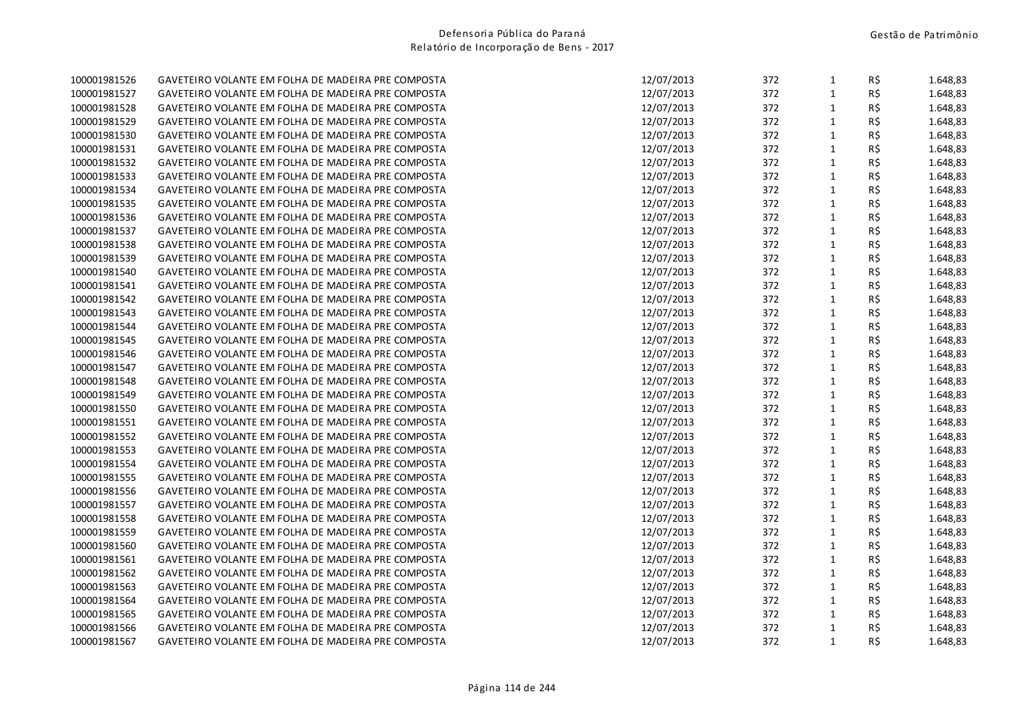| 100001981526 | GAVETEIRO VOLANTE EM FOLHA DE MADEIRA PRE COMPOSTA | 12/07/2013 | 372 | $\mathbf{1}$ | R\$ | 1.648,83 |
|--------------|----------------------------------------------------|------------|-----|--------------|-----|----------|
| 100001981527 | GAVETEIRO VOLANTE EM FOLHA DE MADEIRA PRE COMPOSTA | 12/07/2013 | 372 | $\mathbf{1}$ | R\$ | 1.648,83 |
| 100001981528 | GAVETEIRO VOLANTE EM FOLHA DE MADEIRA PRE COMPOSTA | 12/07/2013 | 372 | $\mathbf{1}$ | R\$ | 1.648,83 |
| 100001981529 | GAVETEIRO VOLANTE EM FOLHA DE MADEIRA PRE COMPOSTA | 12/07/2013 | 372 | $\mathbf{1}$ | R\$ | 1.648,83 |
| 100001981530 | GAVETEIRO VOLANTE EM FOLHA DE MADEIRA PRE COMPOSTA | 12/07/2013 | 372 | $\mathbf 1$  | R\$ | 1.648,83 |
| 100001981531 | GAVETEIRO VOLANTE EM FOLHA DE MADEIRA PRE COMPOSTA | 12/07/2013 | 372 | $\mathbf{1}$ | R\$ | 1.648,83 |
| 100001981532 | GAVETEIRO VOLANTE EM FOLHA DE MADEIRA PRE COMPOSTA | 12/07/2013 | 372 | $\mathbf{1}$ | R\$ | 1.648,83 |
| 100001981533 | GAVETEIRO VOLANTE EM FOLHA DE MADEIRA PRE COMPOSTA | 12/07/2013 | 372 | $\mathbf{1}$ | R\$ | 1.648,83 |
| 100001981534 | GAVETEIRO VOLANTE EM FOLHA DE MADEIRA PRE COMPOSTA | 12/07/2013 | 372 | $\mathbf{1}$ | R\$ | 1.648,83 |
| 100001981535 | GAVETEIRO VOLANTE EM FOLHA DE MADEIRA PRE COMPOSTA | 12/07/2013 | 372 | $\mathbf{1}$ | R\$ | 1.648,83 |
| 100001981536 | GAVETEIRO VOLANTE EM FOLHA DE MADEIRA PRE COMPOSTA | 12/07/2013 | 372 | $\mathbf{1}$ | R\$ | 1.648,83 |
| 100001981537 | GAVETEIRO VOLANTE EM FOLHA DE MADEIRA PRE COMPOSTA | 12/07/2013 | 372 | $\mathbf{1}$ | R\$ | 1.648,83 |
| 100001981538 | GAVETEIRO VOLANTE EM FOLHA DE MADEIRA PRE COMPOSTA | 12/07/2013 | 372 | $\mathbf{1}$ | R\$ | 1.648,83 |
| 100001981539 | GAVETEIRO VOLANTE EM FOLHA DE MADEIRA PRE COMPOSTA | 12/07/2013 | 372 | $\mathbf 1$  | R\$ | 1.648,83 |
| 100001981540 | GAVETEIRO VOLANTE EM FOLHA DE MADEIRA PRE COMPOSTA | 12/07/2013 | 372 | $\mathbf{1}$ | R\$ | 1.648,83 |
| 100001981541 | GAVETEIRO VOLANTE EM FOLHA DE MADEIRA PRE COMPOSTA | 12/07/2013 | 372 | $\mathbf{1}$ | R\$ | 1.648,83 |
| 100001981542 | GAVETEIRO VOLANTE EM FOLHA DE MADEIRA PRE COMPOSTA | 12/07/2013 | 372 | $\mathbf{1}$ | R\$ | 1.648,83 |
| 100001981543 | GAVETEIRO VOLANTE EM FOLHA DE MADEIRA PRE COMPOSTA | 12/07/2013 | 372 | $\mathbf{1}$ | R\$ | 1.648,83 |
| 100001981544 | GAVETEIRO VOLANTE EM FOLHA DE MADEIRA PRE COMPOSTA | 12/07/2013 | 372 | $\mathbf{1}$ | R\$ | 1.648,83 |
| 100001981545 | GAVETEIRO VOLANTE EM FOLHA DE MADEIRA PRE COMPOSTA | 12/07/2013 | 372 | $\mathbf{1}$ | R\$ | 1.648,83 |
| 100001981546 | GAVETEIRO VOLANTE EM FOLHA DE MADEIRA PRE COMPOSTA | 12/07/2013 | 372 | $\mathbf{1}$ | R\$ | 1.648,83 |
| 100001981547 | GAVETEIRO VOLANTE EM FOLHA DE MADEIRA PRE COMPOSTA | 12/07/2013 | 372 | $\mathbf{1}$ | R\$ | 1.648,83 |
| 100001981548 | GAVETEIRO VOLANTE EM FOLHA DE MADEIRA PRE COMPOSTA | 12/07/2013 | 372 | $\mathbf 1$  | R\$ | 1.648,83 |
| 100001981549 | GAVETEIRO VOLANTE EM FOLHA DE MADEIRA PRE COMPOSTA | 12/07/2013 | 372 | $\mathbf{1}$ | R\$ | 1.648,83 |
| 100001981550 | GAVETEIRO VOLANTE EM FOLHA DE MADEIRA PRE COMPOSTA | 12/07/2013 | 372 | $\mathbf{1}$ | R\$ | 1.648,83 |
| 100001981551 | GAVETEIRO VOLANTE EM FOLHA DE MADEIRA PRE COMPOSTA | 12/07/2013 | 372 | $\mathbf{1}$ | R\$ | 1.648,83 |
| 100001981552 | GAVETEIRO VOLANTE EM FOLHA DE MADEIRA PRE COMPOSTA | 12/07/2013 | 372 | $\mathbf{1}$ | R\$ | 1.648,83 |
| 100001981553 | GAVETEIRO VOLANTE EM FOLHA DE MADEIRA PRE COMPOSTA | 12/07/2013 | 372 | $\mathbf{1}$ | R\$ | 1.648,83 |
| 100001981554 | GAVETEIRO VOLANTE EM FOLHA DE MADEIRA PRE COMPOSTA | 12/07/2013 | 372 | $\mathbf{1}$ | R\$ | 1.648,83 |
| 100001981555 | GAVETEIRO VOLANTE EM FOLHA DE MADEIRA PRE COMPOSTA | 12/07/2013 | 372 | $\mathbf 1$  | R\$ | 1.648,83 |
| 100001981556 | GAVETEIRO VOLANTE EM FOLHA DE MADEIRA PRE COMPOSTA | 12/07/2013 | 372 | $\mathbf{1}$ | R\$ | 1.648,83 |
| 100001981557 | GAVETEIRO VOLANTE EM FOLHA DE MADEIRA PRE COMPOSTA | 12/07/2013 | 372 | $\mathbf 1$  | R\$ | 1.648,83 |
| 100001981558 | GAVETEIRO VOLANTE EM FOLHA DE MADEIRA PRE COMPOSTA | 12/07/2013 | 372 | $\mathbf{1}$ | R\$ | 1.648,83 |
| 100001981559 | GAVETEIRO VOLANTE EM FOLHA DE MADEIRA PRE COMPOSTA | 12/07/2013 | 372 | $\mathbf{1}$ | R\$ | 1.648,83 |
| 100001981560 | GAVETEIRO VOLANTE EM FOLHA DE MADEIRA PRE COMPOSTA | 12/07/2013 | 372 | $\mathbf{1}$ | R\$ | 1.648,83 |
| 100001981561 | GAVETEIRO VOLANTE EM FOLHA DE MADEIRA PRE COMPOSTA | 12/07/2013 | 372 | $\mathbf{1}$ | R\$ | 1.648,83 |
| 100001981562 | GAVETEIRO VOLANTE EM FOLHA DE MADEIRA PRE COMPOSTA | 12/07/2013 | 372 | $\mathbf 1$  | R\$ | 1.648,83 |
| 100001981563 | GAVETEIRO VOLANTE EM FOLHA DE MADEIRA PRE COMPOSTA | 12/07/2013 | 372 | $\mathbf{1}$ | R\$ | 1.648,83 |
| 100001981564 | GAVETEIRO VOLANTE EM FOLHA DE MADEIRA PRE COMPOSTA | 12/07/2013 | 372 | $\mathbf{1}$ | R\$ | 1.648,83 |
| 100001981565 | GAVETEIRO VOLANTE EM FOLHA DE MADEIRA PRE COMPOSTA | 12/07/2013 | 372 | $\mathbf{1}$ | R\$ | 1.648,83 |
| 100001981566 | GAVETEIRO VOLANTE EM FOLHA DE MADEIRA PRE COMPOSTA | 12/07/2013 | 372 | $\mathbf{1}$ | R\$ | 1.648,83 |
| 100001981567 | GAVETEIRO VOLANTE EM FOLHA DE MADEIRA PRE COMPOSTA | 12/07/2013 | 372 | $\mathbf{1}$ | R\$ | 1.648,83 |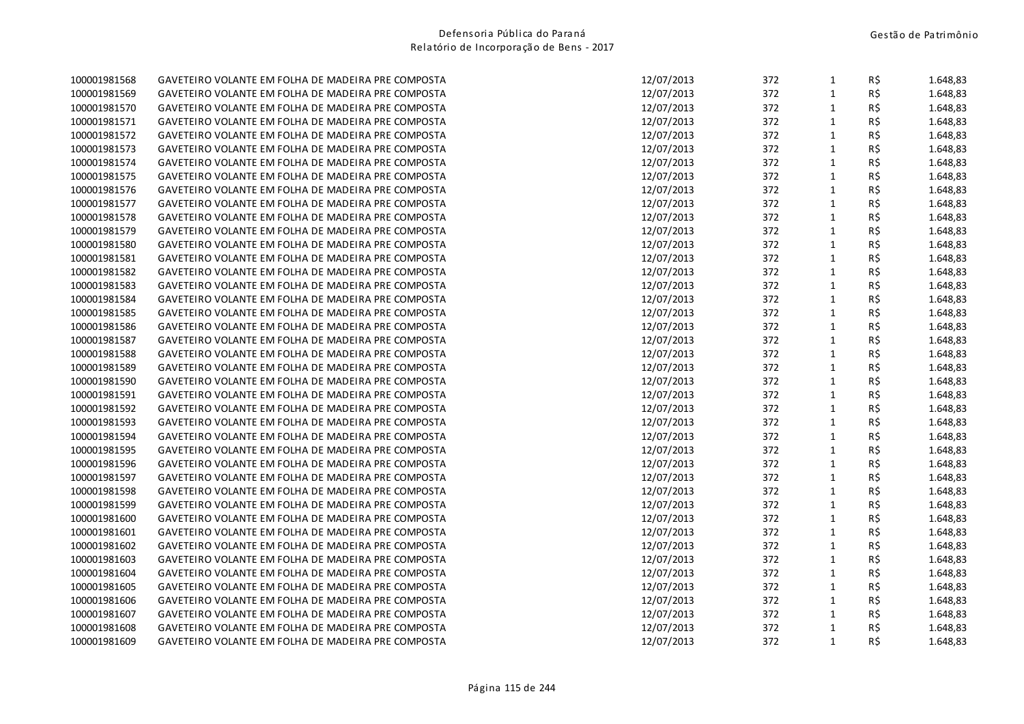| 100001981568 | GAVETEIRO VOLANTE EM FOLHA DE MADEIRA PRE COMPOSTA | 12/07/2013 | 372 | $\mathbf{1}$ | R\$      | 1.648,83 |
|--------------|----------------------------------------------------|------------|-----|--------------|----------|----------|
| 100001981569 | GAVETEIRO VOLANTE EM FOLHA DE MADEIRA PRE COMPOSTA | 12/07/2013 | 372 | $\mathbf{1}$ | R\$      | 1.648,83 |
| 100001981570 | GAVETEIRO VOLANTE EM FOLHA DE MADEIRA PRE COMPOSTA | 12/07/2013 | 372 | $\mathbf{1}$ | R\$      | 1.648,83 |
| 100001981571 | GAVETEIRO VOLANTE EM FOLHA DE MADEIRA PRE COMPOSTA | 12/07/2013 | 372 | $\mathbf{1}$ | R\$      | 1.648,83 |
| 100001981572 | GAVETEIRO VOLANTE EM FOLHA DE MADEIRA PRE COMPOSTA | 12/07/2013 | 372 | $\mathbf 1$  | R\$      | 1.648,83 |
| 100001981573 | GAVETEIRO VOLANTE EM FOLHA DE MADEIRA PRE COMPOSTA | 12/07/2013 | 372 | $\mathbf{1}$ | R\$      | 1.648,83 |
| 100001981574 | GAVETEIRO VOLANTE EM FOLHA DE MADEIRA PRE COMPOSTA | 12/07/2013 | 372 | $\mathbf{1}$ | R\$      | 1.648,83 |
| 100001981575 | GAVETEIRO VOLANTE EM FOLHA DE MADEIRA PRE COMPOSTA | 12/07/2013 | 372 | $\mathbf{1}$ | $R\,$ \$ | 1.648,83 |
| 100001981576 | GAVETEIRO VOLANTE EM FOLHA DE MADEIRA PRE COMPOSTA | 12/07/2013 | 372 | $\mathbf{1}$ | R\$      | 1.648,83 |
| 100001981577 | GAVETEIRO VOLANTE EM FOLHA DE MADEIRA PRE COMPOSTA | 12/07/2013 | 372 | $\mathbf 1$  | R\$      | 1.648,83 |
| 100001981578 | GAVETEIRO VOLANTE EM FOLHA DE MADEIRA PRE COMPOSTA | 12/07/2013 | 372 | $\mathbf{1}$ | R\$      | 1.648,83 |
| 100001981579 | GAVETEIRO VOLANTE EM FOLHA DE MADEIRA PRE COMPOSTA | 12/07/2013 | 372 | $\mathbf{1}$ | R\$      | 1.648,83 |
| 100001981580 | GAVETEIRO VOLANTE EM FOLHA DE MADEIRA PRE COMPOSTA | 12/07/2013 | 372 | $\mathbf{1}$ | R\$      | 1.648,83 |
| 100001981581 | GAVETEIRO VOLANTE EM FOLHA DE MADEIRA PRE COMPOSTA | 12/07/2013 | 372 | $\mathbf{1}$ | R\$      | 1.648,83 |
| 100001981582 | GAVETEIRO VOLANTE EM FOLHA DE MADEIRA PRE COMPOSTA | 12/07/2013 | 372 | $\mathbf{1}$ | R\$      | 1.648,83 |
| 100001981583 | GAVETEIRO VOLANTE EM FOLHA DE MADEIRA PRE COMPOSTA | 12/07/2013 | 372 | $\mathbf{1}$ | R\$      | 1.648,83 |
| 100001981584 | GAVETEIRO VOLANTE EM FOLHA DE MADEIRA PRE COMPOSTA | 12/07/2013 | 372 | $\mathbf{1}$ | R\$      | 1.648,83 |
| 100001981585 | GAVETEIRO VOLANTE EM FOLHA DE MADEIRA PRE COMPOSTA | 12/07/2013 | 372 | $\mathbf{1}$ | R\$      | 1.648,83 |
| 100001981586 | GAVETEIRO VOLANTE EM FOLHA DE MADEIRA PRE COMPOSTA | 12/07/2013 | 372 | $\mathbf 1$  | R\$      | 1.648,83 |
| 100001981587 | GAVETEIRO VOLANTE EM FOLHA DE MADEIRA PRE COMPOSTA | 12/07/2013 | 372 | $\mathbf{1}$ | R\$      | 1.648,83 |
| 100001981588 | GAVETEIRO VOLANTE EM FOLHA DE MADEIRA PRE COMPOSTA | 12/07/2013 | 372 | $\mathbf{1}$ | R\$      | 1.648,83 |
| 100001981589 | GAVETEIRO VOLANTE EM FOLHA DE MADEIRA PRE COMPOSTA | 12/07/2013 | 372 | $\mathbf{1}$ | R\$      | 1.648,83 |
| 100001981590 | GAVETEIRO VOLANTE EM FOLHA DE MADEIRA PRE COMPOSTA | 12/07/2013 | 372 | $\mathbf{1}$ | R\$      | 1.648,83 |
| 100001981591 | GAVETEIRO VOLANTE EM FOLHA DE MADEIRA PRE COMPOSTA | 12/07/2013 | 372 | $\mathbf{1}$ | R\$      | 1.648,83 |
| 100001981592 | GAVETEIRO VOLANTE EM FOLHA DE MADEIRA PRE COMPOSTA | 12/07/2013 | 372 | $\mathbf{1}$ | R\$      | 1.648,83 |
| 100001981593 | GAVETEIRO VOLANTE EM FOLHA DE MADEIRA PRE COMPOSTA | 12/07/2013 | 372 | $\mathbf{1}$ | R\$      | 1.648,83 |
| 100001981594 | GAVETEIRO VOLANTE EM FOLHA DE MADEIRA PRE COMPOSTA | 12/07/2013 | 372 | $\mathbf{1}$ | R\$      | 1.648,83 |
| 100001981595 | GAVETEIRO VOLANTE EM FOLHA DE MADEIRA PRE COMPOSTA | 12/07/2013 | 372 | $\mathbf 1$  | R\$      | 1.648,83 |
| 100001981596 | GAVETEIRO VOLANTE EM FOLHA DE MADEIRA PRE COMPOSTA | 12/07/2013 | 372 | $\mathbf{1}$ | R\$      | 1.648,83 |
| 100001981597 | GAVETEIRO VOLANTE EM FOLHA DE MADEIRA PRE COMPOSTA | 12/07/2013 | 372 | $\mathbf{1}$ | R\$      | 1.648,83 |
| 100001981598 | GAVETEIRO VOLANTE EM FOLHA DE MADEIRA PRE COMPOSTA | 12/07/2013 | 372 | $\mathbf{1}$ | R\$      | 1.648,83 |
| 100001981599 | GAVETEIRO VOLANTE EM FOLHA DE MADEIRA PRE COMPOSTA | 12/07/2013 | 372 | $\mathbf 1$  | R\$      | 1.648,83 |
| 100001981600 | GAVETEIRO VOLANTE EM FOLHA DE MADEIRA PRE COMPOSTA | 12/07/2013 | 372 | $\mathbf{1}$ | R\$      | 1.648,83 |
| 100001981601 | GAVETEIRO VOLANTE EM FOLHA DE MADEIRA PRE COMPOSTA | 12/07/2013 | 372 | $\mathbf{1}$ | R\$      | 1.648,83 |
| 100001981602 | GAVETEIRO VOLANTE EM FOLHA DE MADEIRA PRE COMPOSTA | 12/07/2013 | 372 | $\mathbf{1}$ | R\$      | 1.648,83 |
| 100001981603 | GAVETEIRO VOLANTE EM FOLHA DE MADEIRA PRE COMPOSTA | 12/07/2013 | 372 | $\mathbf{1}$ | R\$      | 1.648,83 |
| 100001981604 | GAVETEIRO VOLANTE EM FOLHA DE MADEIRA PRE COMPOSTA | 12/07/2013 | 372 | $\mathbf{1}$ | R\$      | 1.648,83 |
| 100001981605 | GAVETEIRO VOLANTE EM FOLHA DE MADEIRA PRE COMPOSTA | 12/07/2013 | 372 | $\mathbf{1}$ | R\$      | 1.648,83 |
| 100001981606 | GAVETEIRO VOLANTE EM FOLHA DE MADEIRA PRE COMPOSTA | 12/07/2013 | 372 | $\mathbf{1}$ | R\$      | 1.648,83 |
| 100001981607 | GAVETEIRO VOLANTE EM FOLHA DE MADEIRA PRE COMPOSTA | 12/07/2013 | 372 | $\mathbf{1}$ | R\$      | 1.648,83 |
| 100001981608 | GAVETEIRO VOLANTE EM FOLHA DE MADEIRA PRE COMPOSTA | 12/07/2013 | 372 | $\mathbf{1}$ | R\$      | 1.648,83 |
| 100001981609 | GAVETEIRO VOLANTE EM FOLHA DE MADEIRA PRE COMPOSTA | 12/07/2013 | 372 | $\mathbf{1}$ | R\$      | 1.648,83 |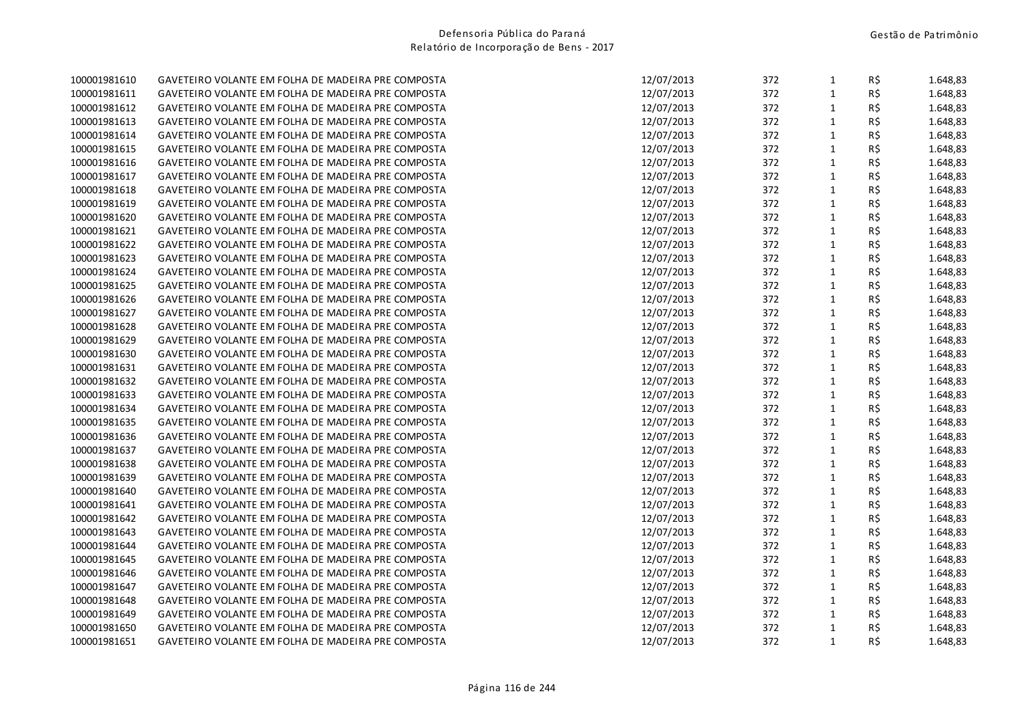| 100001981610 | GAVETEIRO VOLANTE EM FOLHA DE MADEIRA PRE COMPOSTA | 12/07/2013 | 372 | $\mathbf{1}$ | R\$      | 1.648,83 |
|--------------|----------------------------------------------------|------------|-----|--------------|----------|----------|
| 100001981611 | GAVETEIRO VOLANTE EM FOLHA DE MADEIRA PRE COMPOSTA | 12/07/2013 | 372 | $\mathbf{1}$ | R\$      | 1.648,83 |
| 100001981612 | GAVETEIRO VOLANTE EM FOLHA DE MADEIRA PRE COMPOSTA | 12/07/2013 | 372 | $\mathbf{1}$ | R\$      | 1.648,83 |
| 100001981613 | GAVETEIRO VOLANTE EM FOLHA DE MADEIRA PRE COMPOSTA | 12/07/2013 | 372 | $\mathbf{1}$ | R\$      | 1.648,83 |
| 100001981614 | GAVETEIRO VOLANTE EM FOLHA DE MADEIRA PRE COMPOSTA | 12/07/2013 | 372 | $\mathbf 1$  | R\$      | 1.648,83 |
| 100001981615 | GAVETEIRO VOLANTE EM FOLHA DE MADEIRA PRE COMPOSTA | 12/07/2013 | 372 | $\mathbf{1}$ | R\$      | 1.648,83 |
| 100001981616 | GAVETEIRO VOLANTE EM FOLHA DE MADEIRA PRE COMPOSTA | 12/07/2013 | 372 | $\mathbf{1}$ | R\$      | 1.648,83 |
| 100001981617 | GAVETEIRO VOLANTE EM FOLHA DE MADEIRA PRE COMPOSTA | 12/07/2013 | 372 | $\mathbf{1}$ | $R\,$ \$ | 1.648,83 |
| 100001981618 | GAVETEIRO VOLANTE EM FOLHA DE MADEIRA PRE COMPOSTA | 12/07/2013 | 372 | $\mathbf{1}$ | R\$      | 1.648,83 |
| 100001981619 | GAVETEIRO VOLANTE EM FOLHA DE MADEIRA PRE COMPOSTA | 12/07/2013 | 372 | $\mathbf 1$  | R\$      | 1.648,83 |
| 100001981620 | GAVETEIRO VOLANTE EM FOLHA DE MADEIRA PRE COMPOSTA | 12/07/2013 | 372 | $\mathbf{1}$ | R\$      | 1.648,83 |
| 100001981621 | GAVETEIRO VOLANTE EM FOLHA DE MADEIRA PRE COMPOSTA | 12/07/2013 | 372 | $\mathbf{1}$ | R\$      | 1.648,83 |
| 100001981622 | GAVETEIRO VOLANTE EM FOLHA DE MADEIRA PRE COMPOSTA | 12/07/2013 | 372 | $\mathbf{1}$ | R\$      | 1.648,83 |
| 100001981623 | GAVETEIRO VOLANTE EM FOLHA DE MADEIRA PRE COMPOSTA | 12/07/2013 | 372 | $\mathbf{1}$ | R\$      | 1.648,83 |
| 100001981624 | GAVETEIRO VOLANTE EM FOLHA DE MADEIRA PRE COMPOSTA | 12/07/2013 | 372 | $\mathbf{1}$ | R\$      | 1.648,83 |
| 100001981625 | GAVETEIRO VOLANTE EM FOLHA DE MADEIRA PRE COMPOSTA | 12/07/2013 | 372 | $\mathbf{1}$ | R\$      | 1.648,83 |
| 100001981626 | GAVETEIRO VOLANTE EM FOLHA DE MADEIRA PRE COMPOSTA | 12/07/2013 | 372 | $\mathbf{1}$ | R\$      | 1.648,83 |
| 100001981627 | GAVETEIRO VOLANTE EM FOLHA DE MADEIRA PRE COMPOSTA | 12/07/2013 | 372 | $\mathbf{1}$ | R\$      | 1.648,83 |
| 100001981628 | GAVETEIRO VOLANTE EM FOLHA DE MADEIRA PRE COMPOSTA | 12/07/2013 | 372 | $\mathbf 1$  | R\$      | 1.648,83 |
| 100001981629 | GAVETEIRO VOLANTE EM FOLHA DE MADEIRA PRE COMPOSTA | 12/07/2013 | 372 | $\mathbf{1}$ | R\$      | 1.648,83 |
| 100001981630 | GAVETEIRO VOLANTE EM FOLHA DE MADEIRA PRE COMPOSTA | 12/07/2013 | 372 | $\mathbf{1}$ | R\$      | 1.648,83 |
| 100001981631 | GAVETEIRO VOLANTE EM FOLHA DE MADEIRA PRE COMPOSTA | 12/07/2013 | 372 | $\mathbf{1}$ | R\$      | 1.648,83 |
| 100001981632 | GAVETEIRO VOLANTE EM FOLHA DE MADEIRA PRE COMPOSTA | 12/07/2013 | 372 | $\mathbf{1}$ | R\$      | 1.648,83 |
| 100001981633 | GAVETEIRO VOLANTE EM FOLHA DE MADEIRA PRE COMPOSTA | 12/07/2013 | 372 | $\mathbf{1}$ | R\$      | 1.648,83 |
| 100001981634 | GAVETEIRO VOLANTE EM FOLHA DE MADEIRA PRE COMPOSTA | 12/07/2013 | 372 | $\mathbf{1}$ | R\$      | 1.648,83 |
| 100001981635 | GAVETEIRO VOLANTE EM FOLHA DE MADEIRA PRE COMPOSTA | 12/07/2013 | 372 | $\mathbf{1}$ | R\$      | 1.648,83 |
| 100001981636 | GAVETEIRO VOLANTE EM FOLHA DE MADEIRA PRE COMPOSTA | 12/07/2013 | 372 | $\mathbf{1}$ | R\$      | 1.648,83 |
| 100001981637 | GAVETEIRO VOLANTE EM FOLHA DE MADEIRA PRE COMPOSTA | 12/07/2013 | 372 | $\mathbf 1$  | R\$      | 1.648,83 |
| 100001981638 | GAVETEIRO VOLANTE EM FOLHA DE MADEIRA PRE COMPOSTA | 12/07/2013 | 372 | $\mathbf{1}$ | R\$      | 1.648,83 |
| 100001981639 | GAVETEIRO VOLANTE EM FOLHA DE MADEIRA PRE COMPOSTA | 12/07/2013 | 372 | $\mathbf{1}$ | R\$      | 1.648,83 |
| 100001981640 | GAVETEIRO VOLANTE EM FOLHA DE MADEIRA PRE COMPOSTA | 12/07/2013 | 372 | $\mathbf{1}$ | R\$      | 1.648,83 |
| 100001981641 | GAVETEIRO VOLANTE EM FOLHA DE MADEIRA PRE COMPOSTA | 12/07/2013 | 372 | $\mathbf 1$  | R\$      | 1.648,83 |
| 100001981642 | GAVETEIRO VOLANTE EM FOLHA DE MADEIRA PRE COMPOSTA | 12/07/2013 | 372 | $\mathbf{1}$ | R\$      | 1.648,83 |
| 100001981643 | GAVETEIRO VOLANTE EM FOLHA DE MADEIRA PRE COMPOSTA | 12/07/2013 | 372 | $\mathbf{1}$ | R\$      | 1.648,83 |
| 100001981644 | GAVETEIRO VOLANTE EM FOLHA DE MADEIRA PRE COMPOSTA | 12/07/2013 | 372 | $\mathbf{1}$ | R\$      | 1.648,83 |
| 100001981645 | GAVETEIRO VOLANTE EM FOLHA DE MADEIRA PRE COMPOSTA | 12/07/2013 | 372 | $\mathbf{1}$ | R\$      | 1.648,83 |
| 100001981646 | GAVETEIRO VOLANTE EM FOLHA DE MADEIRA PRE COMPOSTA | 12/07/2013 | 372 | $\mathbf{1}$ | R\$      | 1.648,83 |
| 100001981647 | GAVETEIRO VOLANTE EM FOLHA DE MADEIRA PRE COMPOSTA | 12/07/2013 | 372 | $\mathbf{1}$ | R\$      | 1.648,83 |
| 100001981648 | GAVETEIRO VOLANTE EM FOLHA DE MADEIRA PRE COMPOSTA | 12/07/2013 | 372 | $\mathbf{1}$ | R\$      | 1.648,83 |
| 100001981649 | GAVETEIRO VOLANTE EM FOLHA DE MADEIRA PRE COMPOSTA | 12/07/2013 | 372 | $\mathbf{1}$ | R\$      | 1.648,83 |
| 100001981650 | GAVETEIRO VOLANTE EM FOLHA DE MADEIRA PRE COMPOSTA | 12/07/2013 | 372 | $\mathbf{1}$ | R\$      | 1.648,83 |
| 100001981651 | GAVETEIRO VOLANTE EM FOLHA DE MADEIRA PRE COMPOSTA | 12/07/2013 | 372 | $\mathbf{1}$ | R\$      | 1.648,83 |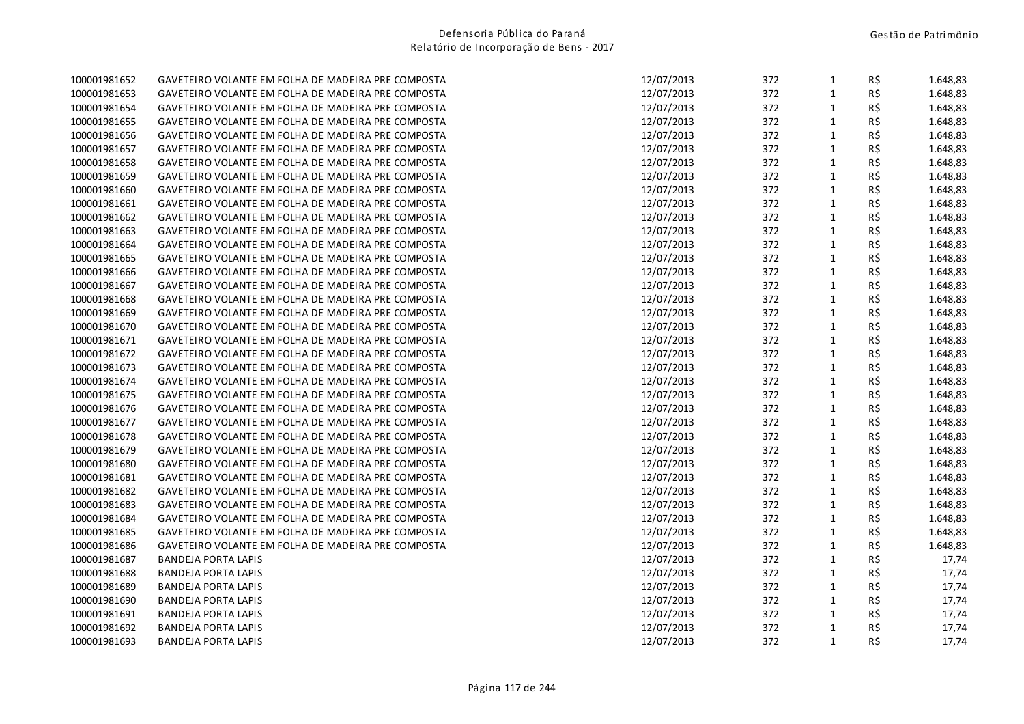| 100001981652 | GAVETEIRO VOLANTE EM FOLHA DE MADEIRA PRE COMPOSTA | 12/07/2013 | 372 | $\mathbf{1}$ | R\$ | 1.648,83 |
|--------------|----------------------------------------------------|------------|-----|--------------|-----|----------|
| 100001981653 | GAVETEIRO VOLANTE EM FOLHA DE MADEIRA PRE COMPOSTA | 12/07/2013 | 372 | $\mathbf 1$  | R\$ | 1.648,83 |
| 100001981654 | GAVETEIRO VOLANTE EM FOLHA DE MADEIRA PRE COMPOSTA | 12/07/2013 | 372 | $\mathbf{1}$ | R\$ | 1.648,83 |
| 100001981655 | GAVETEIRO VOLANTE EM FOLHA DE MADEIRA PRE COMPOSTA | 12/07/2013 | 372 | $\mathbf{1}$ | R\$ | 1.648,83 |
| 100001981656 | GAVETEIRO VOLANTE EM FOLHA DE MADEIRA PRE COMPOSTA | 12/07/2013 | 372 | $\mathbf{1}$ | R\$ | 1.648,83 |
| 100001981657 | GAVETEIRO VOLANTE EM FOLHA DE MADEIRA PRE COMPOSTA | 12/07/2013 | 372 | $\mathbf{1}$ | R\$ | 1.648,83 |
| 100001981658 | GAVETEIRO VOLANTE EM FOLHA DE MADEIRA PRE COMPOSTA | 12/07/2013 | 372 | $\mathbf{1}$ | R\$ | 1.648,83 |
| 100001981659 | GAVETEIRO VOLANTE EM FOLHA DE MADEIRA PRE COMPOSTA | 12/07/2013 | 372 | $\mathbf{1}$ | R\$ | 1.648,83 |
| 100001981660 | GAVETEIRO VOLANTE EM FOLHA DE MADEIRA PRE COMPOSTA | 12/07/2013 | 372 | $\mathbf{1}$ | R\$ | 1.648,83 |
| 100001981661 | GAVETEIRO VOLANTE EM FOLHA DE MADEIRA PRE COMPOSTA | 12/07/2013 | 372 | $\mathbf{1}$ | R\$ | 1.648,83 |
| 100001981662 | GAVETEIRO VOLANTE EM FOLHA DE MADEIRA PRE COMPOSTA | 12/07/2013 | 372 | $\mathbf{1}$ | R\$ | 1.648,83 |
| 100001981663 | GAVETEIRO VOLANTE EM FOLHA DE MADEIRA PRE COMPOSTA | 12/07/2013 | 372 | $\mathbf{1}$ | R\$ | 1.648,83 |
| 100001981664 | GAVETEIRO VOLANTE EM FOLHA DE MADEIRA PRE COMPOSTA | 12/07/2013 | 372 | $\mathbf{1}$ | R\$ | 1.648,83 |
| 100001981665 | GAVETEIRO VOLANTE EM FOLHA DE MADEIRA PRE COMPOSTA | 12/07/2013 | 372 | $\mathbf 1$  | R\$ | 1.648,83 |
| 100001981666 | GAVETEIRO VOLANTE EM FOLHA DE MADEIRA PRE COMPOSTA | 12/07/2013 | 372 | $\mathbf{1}$ | R\$ | 1.648,83 |
| 100001981667 | GAVETEIRO VOLANTE EM FOLHA DE MADEIRA PRE COMPOSTA | 12/07/2013 | 372 | $\mathbf{1}$ | R\$ | 1.648,83 |
| 100001981668 | GAVETEIRO VOLANTE EM FOLHA DE MADEIRA PRE COMPOSTA | 12/07/2013 | 372 | $\mathbf{1}$ | R\$ | 1.648,83 |
| 100001981669 | GAVETEIRO VOLANTE EM FOLHA DE MADEIRA PRE COMPOSTA | 12/07/2013 | 372 | $\mathbf{1}$ | R\$ | 1.648,83 |
| 100001981670 | GAVETEIRO VOLANTE EM FOLHA DE MADEIRA PRE COMPOSTA | 12/07/2013 | 372 | $\mathbf{1}$ | R\$ | 1.648,83 |
| 100001981671 | GAVETEIRO VOLANTE EM FOLHA DE MADEIRA PRE COMPOSTA | 12/07/2013 | 372 | $\mathbf{1}$ | R\$ | 1.648,83 |
| 100001981672 | GAVETEIRO VOLANTE EM FOLHA DE MADEIRA PRE COMPOSTA | 12/07/2013 | 372 | $\mathbf{1}$ | R\$ | 1.648,83 |
| 100001981673 | GAVETEIRO VOLANTE EM FOLHA DE MADEIRA PRE COMPOSTA | 12/07/2013 | 372 | $\mathbf{1}$ | R\$ | 1.648,83 |
| 100001981674 | GAVETEIRO VOLANTE EM FOLHA DE MADEIRA PRE COMPOSTA | 12/07/2013 | 372 | $\mathbf 1$  | R\$ | 1.648,83 |
| 100001981675 | GAVETEIRO VOLANTE EM FOLHA DE MADEIRA PRE COMPOSTA | 12/07/2013 | 372 | $\mathbf{1}$ | R\$ | 1.648,83 |
| 100001981676 | GAVETEIRO VOLANTE EM FOLHA DE MADEIRA PRE COMPOSTA | 12/07/2013 | 372 | $\mathbf{1}$ | R\$ | 1.648,83 |
| 100001981677 | GAVETEIRO VOLANTE EM FOLHA DE MADEIRA PRE COMPOSTA | 12/07/2013 | 372 | $\mathbf{1}$ | R\$ | 1.648,83 |
| 100001981678 | GAVETEIRO VOLANTE EM FOLHA DE MADEIRA PRE COMPOSTA | 12/07/2013 | 372 | $\mathbf{1}$ | R\$ | 1.648,83 |
| 100001981679 | GAVETEIRO VOLANTE EM FOLHA DE MADEIRA PRE COMPOSTA | 12/07/2013 | 372 | $\mathbf{1}$ | R\$ | 1.648,83 |
| 100001981680 | GAVETEIRO VOLANTE EM FOLHA DE MADEIRA PRE COMPOSTA | 12/07/2013 | 372 | $\mathbf{1}$ | R\$ | 1.648,83 |
| 100001981681 | GAVETEIRO VOLANTE EM FOLHA DE MADEIRA PRE COMPOSTA | 12/07/2013 | 372 | $\mathbf{1}$ | R\$ | 1.648,83 |
| 100001981682 | GAVETEIRO VOLANTE EM FOLHA DE MADEIRA PRE COMPOSTA | 12/07/2013 | 372 | $\mathbf{1}$ | R\$ | 1.648,83 |
| 100001981683 | GAVETEIRO VOLANTE EM FOLHA DE MADEIRA PRE COMPOSTA | 12/07/2013 | 372 | $\mathbf{1}$ | R\$ | 1.648,83 |
| 100001981684 | GAVETEIRO VOLANTE EM FOLHA DE MADEIRA PRE COMPOSTA | 12/07/2013 | 372 | $\mathbf{1}$ | R\$ | 1.648,83 |
| 100001981685 | GAVETEIRO VOLANTE EM FOLHA DE MADEIRA PRE COMPOSTA | 12/07/2013 | 372 | $\mathbf{1}$ | R\$ | 1.648,83 |
| 100001981686 | GAVETEIRO VOLANTE EM FOLHA DE MADEIRA PRE COMPOSTA | 12/07/2013 | 372 | $\mathbf{1}$ | R\$ | 1.648,83 |
| 100001981687 | <b>BANDEJA PORTA LAPIS</b>                         | 12/07/2013 | 372 | $\mathbf{1}$ | R\$ | 17,74    |
| 100001981688 | <b>BANDEJA PORTA LAPIS</b>                         | 12/07/2013 | 372 | $\mathbf{1}$ | R\$ | 17,74    |
| 100001981689 | <b>BANDEJA PORTA LAPIS</b>                         | 12/07/2013 | 372 | $\mathbf{1}$ | R\$ | 17,74    |
| 100001981690 | <b>BANDEJA PORTA LAPIS</b>                         | 12/07/2013 | 372 | $\mathbf{1}$ | R\$ | 17,74    |
| 100001981691 | <b>BANDEJA PORTA LAPIS</b>                         | 12/07/2013 | 372 | $\mathbf{1}$ | R\$ | 17,74    |
| 100001981692 | <b>BANDEJA PORTA LAPIS</b>                         | 12/07/2013 | 372 | $\mathbf{1}$ | R\$ | 17,74    |
| 100001981693 | <b>BANDEJA PORTA LAPIS</b>                         | 12/07/2013 | 372 | $\mathbf{1}$ | R\$ | 17,74    |
|              |                                                    |            |     |              |     |          |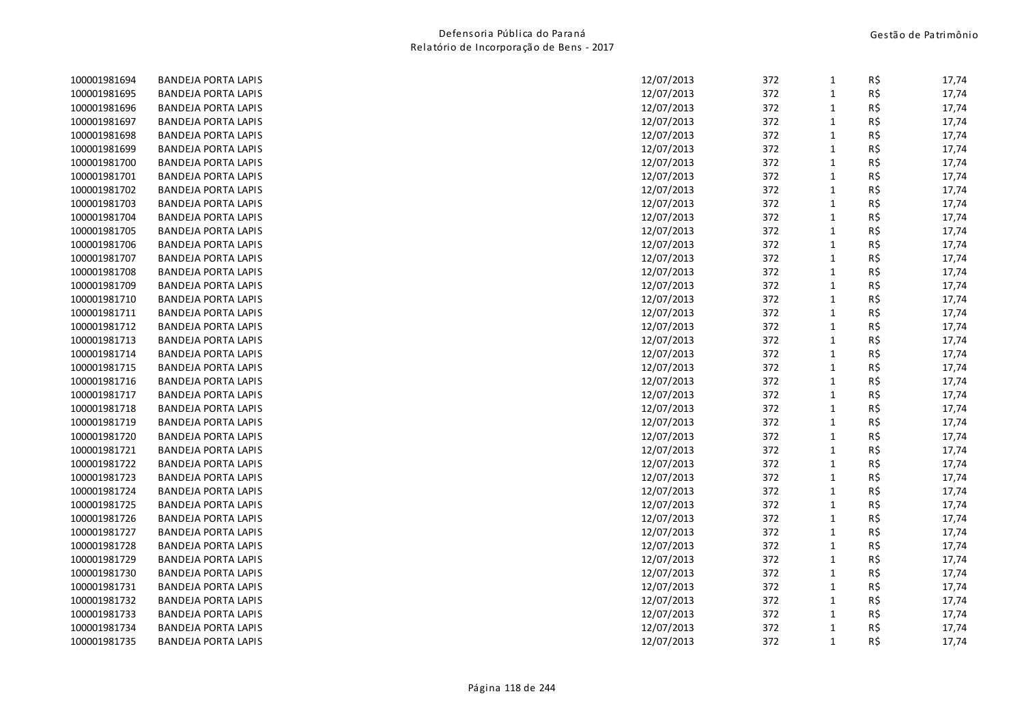| 100001981694 | BANDEJA PORTA LAPIS        | 12/07/2013 | 372 | $\mathbf{1}$ | R\$ | 17,74 |
|--------------|----------------------------|------------|-----|--------------|-----|-------|
| 100001981695 | <b>BANDEJA PORTA LAPIS</b> | 12/07/2013 | 372 | $\mathbf{1}$ | R\$ | 17,74 |
| 100001981696 | <b>BANDEJA PORTA LAPIS</b> | 12/07/2013 | 372 | 1            | R\$ | 17,74 |
| 100001981697 | BANDEJA PORTA LAPIS        | 12/07/2013 | 372 | $\mathbf 1$  | R\$ | 17,74 |
| 100001981698 | <b>BANDEJA PORTA LAPIS</b> | 12/07/2013 | 372 | $\mathbf{1}$ | R\$ | 17,74 |
| 100001981699 | BANDEJA PORTA LAPIS        | 12/07/2013 | 372 | $\mathbf{1}$ | R\$ | 17,74 |
| 100001981700 | <b>BANDEJA PORTA LAPIS</b> | 12/07/2013 | 372 | $\mathbf{1}$ | R\$ | 17,74 |
| 100001981701 | <b>BANDEJA PORTA LAPIS</b> | 12/07/2013 | 372 | $\mathbf{1}$ | R\$ | 17,74 |
| 100001981702 | <b>BANDEJA PORTA LAPIS</b> | 12/07/2013 | 372 | $\mathbf{1}$ | R\$ | 17,74 |
| 100001981703 | <b>BANDEJA PORTA LAPIS</b> | 12/07/2013 | 372 | $\mathbf{1}$ | R\$ | 17,74 |
| 100001981704 | <b>BANDEJA PORTA LAPIS</b> | 12/07/2013 | 372 | $\mathbf{1}$ | R\$ | 17,74 |
| 100001981705 | <b>BANDEJA PORTA LAPIS</b> | 12/07/2013 | 372 | $\mathbf{1}$ | R\$ | 17,74 |
| 100001981706 | <b>BANDEJA PORTA LAPIS</b> | 12/07/2013 | 372 | $\mathbf{1}$ | R\$ | 17,74 |
| 100001981707 | BANDEJA PORTA LAPIS        | 12/07/2013 | 372 | $\mathbf{1}$ | R\$ | 17,74 |
| 100001981708 | <b>BANDEJA PORTA LAPIS</b> | 12/07/2013 | 372 | $\mathbf{1}$ | R\$ | 17,74 |
| 100001981709 | <b>BANDEJA PORTA LAPIS</b> | 12/07/2013 | 372 | $\mathbf{1}$ | R\$ | 17,74 |
| 100001981710 | <b>BANDEJA PORTA LAPIS</b> | 12/07/2013 | 372 | $\mathbf{1}$ | R\$ | 17,74 |
| 100001981711 | <b>BANDEJA PORTA LAPIS</b> | 12/07/2013 | 372 | $\mathbf{1}$ | R\$ | 17,74 |
| 100001981712 | BANDEJA PORTA LAPIS        | 12/07/2013 | 372 | $\mathbf{1}$ | R\$ | 17,74 |
| 100001981713 | <b>BANDEJA PORTA LAPIS</b> | 12/07/2013 | 372 | $\mathbf{1}$ | R\$ | 17,74 |
| 100001981714 | BANDEJA PORTA LAPIS        | 12/07/2013 | 372 | $\mathbf{1}$ | R\$ | 17,74 |
| 100001981715 | <b>BANDEJA PORTA LAPIS</b> | 12/07/2013 | 372 | $\mathbf{1}$ | R\$ | 17,74 |
| 100001981716 | BANDEJA PORTA LAPIS        | 12/07/2013 | 372 | $\mathbf{1}$ | R\$ | 17,74 |
| 100001981717 | <b>BANDEJA PORTA LAPIS</b> | 12/07/2013 | 372 | $\mathbf{1}$ | R\$ | 17,74 |
| 100001981718 | <b>BANDEJA PORTA LAPIS</b> | 12/07/2013 | 372 | $\mathbf{1}$ | R\$ | 17,74 |
| 100001981719 | BANDEJA PORTA LAPIS        | 12/07/2013 | 372 | $\mathbf{1}$ | R\$ | 17,74 |
| 100001981720 | <b>BANDEJA PORTA LAPIS</b> | 12/07/2013 | 372 | $\mathbf{1}$ | R\$ | 17,74 |
| 100001981721 | BANDEJA PORTA LAPIS        | 12/07/2013 | 372 | $\mathbf{1}$ | R\$ | 17,74 |
| 100001981722 | <b>BANDEJA PORTA LAPIS</b> | 12/07/2013 | 372 | $\mathbf{1}$ | R\$ | 17,74 |
| 100001981723 | <b>BANDEJA PORTA LAPIS</b> | 12/07/2013 | 372 | $\mathbf{1}$ | R\$ | 17,74 |
| 100001981724 | <b>BANDEJA PORTA LAPIS</b> | 12/07/2013 | 372 | $\mathbf{1}$ | R\$ | 17,74 |
| 100001981725 | BANDEJA PORTA LAPIS        | 12/07/2013 | 372 | $\mathbf{1}$ | R\$ | 17,74 |
| 100001981726 | <b>BANDEJA PORTA LAPIS</b> | 12/07/2013 | 372 | $\mathbf{1}$ | R\$ | 17,74 |
| 100001981727 | <b>BANDEJA PORTA LAPIS</b> | 12/07/2013 | 372 | $\mathbf{1}$ | R\$ | 17,74 |
| 100001981728 | <b>BANDEJA PORTA LAPIS</b> | 12/07/2013 | 372 | $\mathbf{1}$ | R\$ | 17,74 |
| 100001981729 | <b>BANDEJA PORTA LAPIS</b> | 12/07/2013 | 372 | $\mathbf{1}$ | R\$ | 17,74 |
| 100001981730 | <b>BANDEJA PORTA LAPIS</b> | 12/07/2013 | 372 | $\mathbf{1}$ | R\$ | 17,74 |
| 100001981731 | <b>BANDEJA PORTA LAPIS</b> | 12/07/2013 | 372 | $\mathbf{1}$ | R\$ | 17,74 |
| 100001981732 | <b>BANDEJA PORTA LAPIS</b> | 12/07/2013 | 372 | $\mathbf{1}$ | R\$ | 17,74 |
| 100001981733 | <b>BANDEJA PORTA LAPIS</b> | 12/07/2013 | 372 | $\mathbf{1}$ | R\$ | 17,74 |
| 100001981734 | BANDEJA PORTA LAPIS        | 12/07/2013 | 372 | $\mathbf{1}$ | R\$ | 17,74 |
| 100001981735 | BANDEJA PORTA LAPIS        | 12/07/2013 | 372 | $\mathbf{1}$ | R\$ | 17,74 |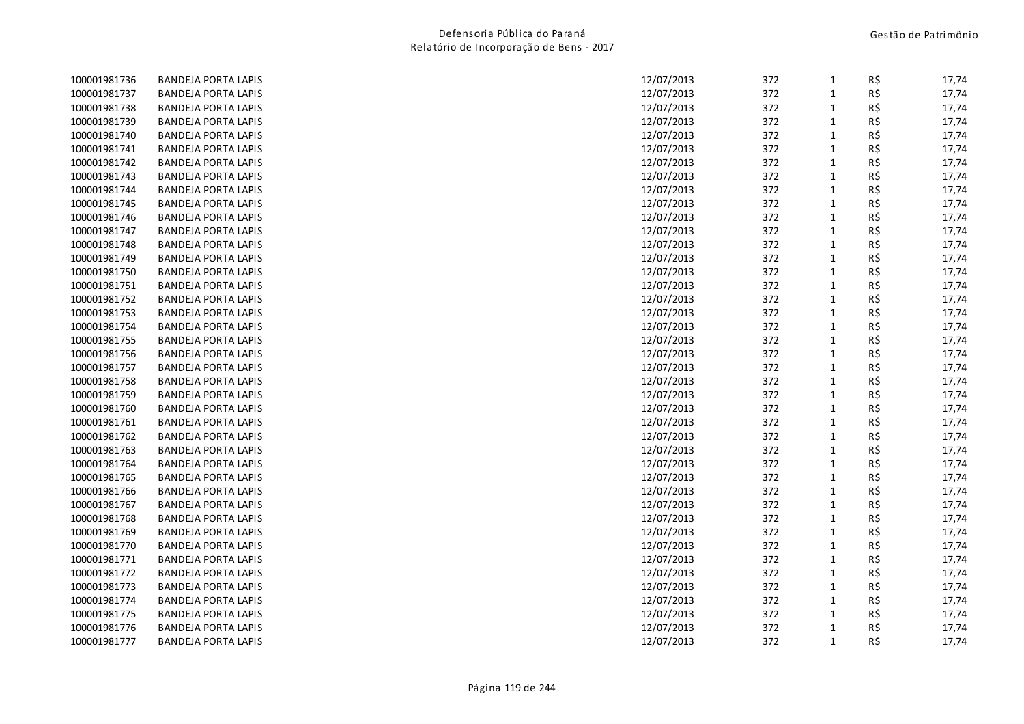| 100001981736 | <b>BANDEJA PORTA LAPIS</b> | 12/07/2013 | 372 | $\mathbf{1}$ | R\$ | 17,74 |
|--------------|----------------------------|------------|-----|--------------|-----|-------|
| 100001981737 | <b>BANDEJA PORTA LAPIS</b> | 12/07/2013 | 372 | $\mathbf 1$  | R\$ | 17,74 |
| 100001981738 | <b>BANDEJA PORTA LAPIS</b> | 12/07/2013 | 372 | $\mathbf{1}$ | R\$ | 17,74 |
| 100001981739 | <b>BANDEJA PORTA LAPIS</b> | 12/07/2013 | 372 | $\mathbf 1$  | R\$ | 17,74 |
| 100001981740 | <b>BANDEJA PORTA LAPIS</b> | 12/07/2013 | 372 | $\mathbf{1}$ | R\$ | 17,74 |
| 100001981741 | <b>BANDEJA PORTA LAPIS</b> | 12/07/2013 | 372 | $\mathbf 1$  | R\$ | 17,74 |
| 100001981742 | <b>BANDEJA PORTA LAPIS</b> | 12/07/2013 | 372 | $\mathbf{1}$ | R\$ | 17,74 |
| 100001981743 | <b>BANDEJA PORTA LAPIS</b> | 12/07/2013 | 372 | $\mathbf 1$  | R\$ | 17,74 |
| 100001981744 | <b>BANDEJA PORTA LAPIS</b> | 12/07/2013 | 372 | $\mathbf 1$  | R\$ | 17,74 |
| 100001981745 | <b>BANDEJA PORTA LAPIS</b> | 12/07/2013 | 372 | $\mathbf 1$  | R\$ | 17,74 |
| 100001981746 | <b>BANDEJA PORTA LAPIS</b> | 12/07/2013 | 372 | $\mathbf{1}$ | R\$ | 17,74 |
| 100001981747 | <b>BANDEJA PORTA LAPIS</b> | 12/07/2013 | 372 | $\mathbf{1}$ | R\$ | 17,74 |
| 100001981748 | <b>BANDEJA PORTA LAPIS</b> | 12/07/2013 | 372 | $\mathbf{1}$ | R\$ | 17,74 |
| 100001981749 | <b>BANDEJA PORTA LAPIS</b> | 12/07/2013 | 372 | $\mathbf{1}$ | R\$ | 17,74 |
| 100001981750 | <b>BANDEJA PORTA LAPIS</b> | 12/07/2013 | 372 | $\mathbf{1}$ | R\$ | 17,74 |
| 100001981751 | <b>BANDEJA PORTA LAPIS</b> | 12/07/2013 | 372 | $\mathbf{1}$ | R\$ | 17,74 |
| 100001981752 | <b>BANDEJA PORTA LAPIS</b> | 12/07/2013 | 372 | $\mathbf{1}$ | R\$ | 17,74 |
| 100001981753 | <b>BANDEJA PORTA LAPIS</b> | 12/07/2013 | 372 | $\mathbf 1$  | R\$ | 17,74 |
| 100001981754 | <b>BANDEJA PORTA LAPIS</b> | 12/07/2013 | 372 | $\mathbf{1}$ | R\$ | 17,74 |
| 100001981755 | <b>BANDEJA PORTA LAPIS</b> | 12/07/2013 | 372 | $\mathbf{1}$ | R\$ | 17,74 |
| 100001981756 | <b>BANDEJA PORTA LAPIS</b> | 12/07/2013 | 372 | $\mathbf{1}$ | R\$ | 17,74 |
| 100001981757 | <b>BANDEJA PORTA LAPIS</b> | 12/07/2013 | 372 | $\mathbf{1}$ | R\$ | 17,74 |
| 100001981758 | <b>BANDEJA PORTA LAPIS</b> | 12/07/2013 | 372 | $\mathbf 1$  | R\$ | 17,74 |
| 100001981759 | <b>BANDEJA PORTA LAPIS</b> | 12/07/2013 | 372 | $\mathbf 1$  | R\$ | 17,74 |
| 100001981760 | <b>BANDEJA PORTA LAPIS</b> | 12/07/2013 | 372 | $\mathbf{1}$ | R\$ | 17,74 |
| 100001981761 | <b>BANDEJA PORTA LAPIS</b> | 12/07/2013 | 372 | $\mathbf{1}$ | R\$ | 17,74 |
| 100001981762 | <b>BANDEJA PORTA LAPIS</b> | 12/07/2013 | 372 | $\mathbf 1$  | R\$ | 17,74 |
| 100001981763 | <b>BANDEJA PORTA LAPIS</b> | 12/07/2013 | 372 | $\mathbf 1$  | R\$ | 17,74 |
| 100001981764 | <b>BANDEJA PORTA LAPIS</b> | 12/07/2013 | 372 | $\mathbf{1}$ | R\$ | 17,74 |
| 100001981765 | <b>BANDEJA PORTA LAPIS</b> | 12/07/2013 | 372 | $\mathbf{1}$ | R\$ | 17,74 |
| 100001981766 | <b>BANDEJA PORTA LAPIS</b> | 12/07/2013 | 372 | $\mathbf{1}$ | R\$ | 17,74 |
| 100001981767 | <b>BANDEJA PORTA LAPIS</b> | 12/07/2013 | 372 | $\mathbf 1$  | R\$ | 17,74 |
| 100001981768 | <b>BANDEJA PORTA LAPIS</b> | 12/07/2013 | 372 | $\mathbf{1}$ | R\$ | 17,74 |
| 100001981769 | <b>BANDEJA PORTA LAPIS</b> | 12/07/2013 | 372 | $\mathbf{1}$ | R\$ | 17,74 |
| 100001981770 | <b>BANDEJA PORTA LAPIS</b> | 12/07/2013 | 372 | $\mathbf{1}$ | R\$ | 17,74 |
| 100001981771 | <b>BANDEJA PORTA LAPIS</b> | 12/07/2013 | 372 | $\mathbf{1}$ | R\$ | 17,74 |
| 100001981772 | <b>BANDEJA PORTA LAPIS</b> | 12/07/2013 | 372 | $\mathbf 1$  | R\$ | 17,74 |
| 100001981773 | <b>BANDEJA PORTA LAPIS</b> | 12/07/2013 | 372 | $\mathbf{1}$ | R\$ | 17,74 |
| 100001981774 | <b>BANDEJA PORTA LAPIS</b> | 12/07/2013 | 372 | $\mathbf{1}$ | R\$ | 17,74 |
| 100001981775 | <b>BANDEJA PORTA LAPIS</b> | 12/07/2013 | 372 | $\mathbf{1}$ | R\$ | 17,74 |
| 100001981776 | <b>BANDEJA PORTA LAPIS</b> | 12/07/2013 | 372 | $\mathbf{1}$ | R\$ | 17,74 |
| 100001981777 | <b>BANDEJA PORTA LAPIS</b> | 12/07/2013 | 372 | $\mathbf{1}$ | R\$ | 17,74 |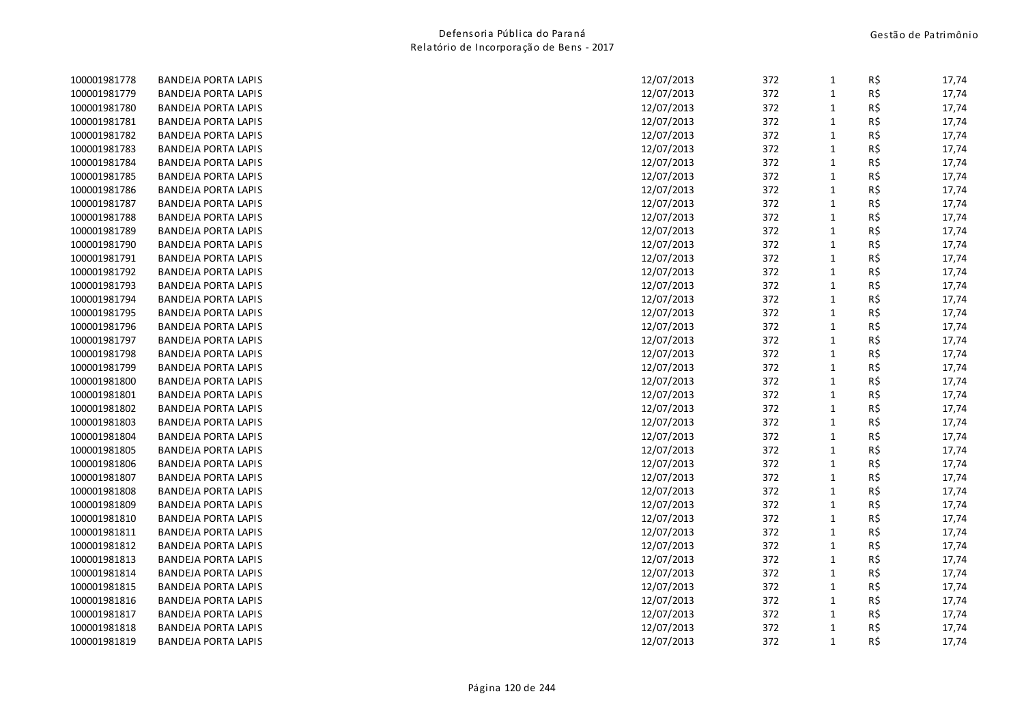| 100001981778 | <b>BANDEJA PORTA LAPIS</b> | 12/07/2013 | 372 | $\mathbf{1}$ | R\$ | 17,74 |
|--------------|----------------------------|------------|-----|--------------|-----|-------|
| 100001981779 | <b>BANDEJA PORTA LAPIS</b> | 12/07/2013 | 372 | $\mathbf 1$  | R\$ | 17,74 |
| 100001981780 | <b>BANDEJA PORTA LAPIS</b> | 12/07/2013 | 372 | $\mathbf{1}$ | R\$ | 17,74 |
| 100001981781 | <b>BANDEJA PORTA LAPIS</b> | 12/07/2013 | 372 | $\mathbf 1$  | R\$ | 17,74 |
| 100001981782 | <b>BANDEJA PORTA LAPIS</b> | 12/07/2013 | 372 | $\mathbf{1}$ | R\$ | 17,74 |
| 100001981783 | <b>BANDEJA PORTA LAPIS</b> | 12/07/2013 | 372 | $\mathbf 1$  | R\$ | 17,74 |
| 100001981784 | <b>BANDEJA PORTA LAPIS</b> | 12/07/2013 | 372 | $\mathbf{1}$ | R\$ | 17,74 |
| 100001981785 | <b>BANDEJA PORTA LAPIS</b> | 12/07/2013 | 372 | $\mathbf 1$  | R\$ | 17,74 |
| 100001981786 | <b>BANDEJA PORTA LAPIS</b> | 12/07/2013 | 372 | $\mathbf 1$  | R\$ | 17,74 |
| 100001981787 | <b>BANDEJA PORTA LAPIS</b> | 12/07/2013 | 372 | $\mathbf 1$  | R\$ | 17,74 |
| 100001981788 | <b>BANDEJA PORTA LAPIS</b> | 12/07/2013 | 372 | $\mathbf{1}$ | R\$ | 17,74 |
| 100001981789 | <b>BANDEJA PORTA LAPIS</b> | 12/07/2013 | 372 | $\mathbf{1}$ | R\$ | 17,74 |
| 100001981790 | <b>BANDEJA PORTA LAPIS</b> | 12/07/2013 | 372 | $\mathbf{1}$ | R\$ | 17,74 |
| 100001981791 | <b>BANDEJA PORTA LAPIS</b> | 12/07/2013 | 372 | $\mathbf{1}$ | R\$ | 17,74 |
| 100001981792 | <b>BANDEJA PORTA LAPIS</b> | 12/07/2013 | 372 | $\mathbf{1}$ | R\$ | 17,74 |
| 100001981793 | <b>BANDEJA PORTA LAPIS</b> | 12/07/2013 | 372 | $\mathbf{1}$ | R\$ | 17,74 |
| 100001981794 | <b>BANDEJA PORTA LAPIS</b> | 12/07/2013 | 372 | $\mathbf{1}$ | R\$ | 17,74 |
| 100001981795 | <b>BANDEJA PORTA LAPIS</b> | 12/07/2013 | 372 | $\mathbf 1$  | R\$ | 17,74 |
| 100001981796 | <b>BANDEJA PORTA LAPIS</b> | 12/07/2013 | 372 | $\mathbf{1}$ | R\$ | 17,74 |
| 100001981797 | <b>BANDEJA PORTA LAPIS</b> | 12/07/2013 | 372 | $\mathbf{1}$ | R\$ | 17,74 |
| 100001981798 | <b>BANDEJA PORTA LAPIS</b> | 12/07/2013 | 372 | $\mathbf{1}$ | R\$ | 17,74 |
| 100001981799 | <b>BANDEJA PORTA LAPIS</b> | 12/07/2013 | 372 | $\mathbf{1}$ | R\$ | 17,74 |
| 100001981800 | <b>BANDEJA PORTA LAPIS</b> | 12/07/2013 | 372 | $\mathbf 1$  | R\$ | 17,74 |
| 100001981801 | <b>BANDEJA PORTA LAPIS</b> | 12/07/2013 | 372 | $\mathbf 1$  | R\$ | 17,74 |
| 100001981802 | <b>BANDEJA PORTA LAPIS</b> | 12/07/2013 | 372 | $\mathbf{1}$ | R\$ | 17,74 |
| 100001981803 | <b>BANDEJA PORTA LAPIS</b> | 12/07/2013 | 372 | $\mathbf{1}$ | R\$ | 17,74 |
| 100001981804 | <b>BANDEJA PORTA LAPIS</b> | 12/07/2013 | 372 | $\mathbf 1$  | R\$ | 17,74 |
| 100001981805 | <b>BANDEJA PORTA LAPIS</b> | 12/07/2013 | 372 | $\mathbf 1$  | R\$ | 17,74 |
| 100001981806 | <b>BANDEJA PORTA LAPIS</b> | 12/07/2013 | 372 | $\mathbf{1}$ | R\$ | 17,74 |
| 100001981807 | <b>BANDEJA PORTA LAPIS</b> | 12/07/2013 | 372 | $\mathbf{1}$ | R\$ | 17,74 |
| 100001981808 | <b>BANDEJA PORTA LAPIS</b> | 12/07/2013 | 372 | $\mathbf{1}$ | R\$ | 17,74 |
| 100001981809 | <b>BANDEJA PORTA LAPIS</b> | 12/07/2013 | 372 | $\mathbf 1$  | R\$ | 17,74 |
| 100001981810 | <b>BANDEJA PORTA LAPIS</b> | 12/07/2013 | 372 | $\mathbf{1}$ | R\$ | 17,74 |
| 100001981811 | <b>BANDEJA PORTA LAPIS</b> | 12/07/2013 | 372 | $\mathbf{1}$ | R\$ | 17,74 |
| 100001981812 | <b>BANDEJA PORTA LAPIS</b> | 12/07/2013 | 372 | $\mathbf{1}$ | R\$ | 17,74 |
| 100001981813 | <b>BANDEJA PORTA LAPIS</b> | 12/07/2013 | 372 | $\mathbf{1}$ | R\$ | 17,74 |
| 100001981814 | <b>BANDEJA PORTA LAPIS</b> | 12/07/2013 | 372 | $\mathbf 1$  | R\$ | 17,74 |
| 100001981815 | <b>BANDEJA PORTA LAPIS</b> | 12/07/2013 | 372 | $\mathbf{1}$ | R\$ | 17,74 |
| 100001981816 | <b>BANDEJA PORTA LAPIS</b> | 12/07/2013 | 372 | $\mathbf{1}$ | R\$ | 17,74 |
| 100001981817 | <b>BANDEJA PORTA LAPIS</b> | 12/07/2013 | 372 | $\mathbf{1}$ | R\$ | 17,74 |
| 100001981818 | <b>BANDEJA PORTA LAPIS</b> | 12/07/2013 | 372 | $\mathbf{1}$ | R\$ | 17,74 |
| 100001981819 | <b>BANDEJA PORTA LAPIS</b> | 12/07/2013 | 372 | $\mathbf{1}$ | R\$ | 17,74 |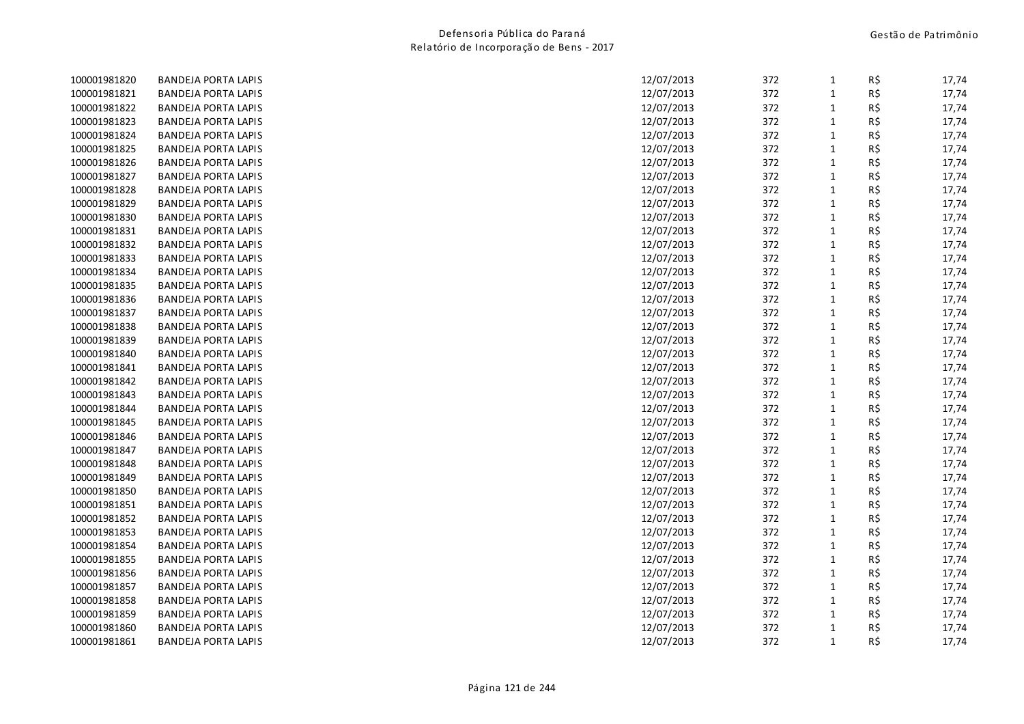| 100001981820 | <b>BANDEJA PORTA LAPIS</b> | 12/07/2013 | 372 | 1            | R\$ | 17,74 |
|--------------|----------------------------|------------|-----|--------------|-----|-------|
| 100001981821 | <b>BANDEJA PORTA LAPIS</b> | 12/07/2013 | 372 | $1\,$        | R\$ | 17,74 |
| 100001981822 | <b>BANDEJA PORTA LAPIS</b> | 12/07/2013 | 372 | $\mathbf{1}$ | R\$ | 17,74 |
| 100001981823 | <b>BANDEJA PORTA LAPIS</b> | 12/07/2013 | 372 | $1\,$        | R\$ | 17,74 |
| 100001981824 | <b>BANDEJA PORTA LAPIS</b> | 12/07/2013 | 372 | $\mathbf{1}$ | R\$ | 17,74 |
| 100001981825 | <b>BANDEJA PORTA LAPIS</b> | 12/07/2013 | 372 | $1\,$        | R\$ | 17,74 |
| 100001981826 | <b>BANDEJA PORTA LAPIS</b> | 12/07/2013 | 372 | $\mathbf{1}$ | R\$ | 17,74 |
| 100001981827 | <b>BANDEJA PORTA LAPIS</b> | 12/07/2013 | 372 | $1\,$        | R\$ | 17,74 |
| 100001981828 | <b>BANDEJA PORTA LAPIS</b> | 12/07/2013 | 372 | $\mathbf 1$  | R\$ | 17,74 |
| 100001981829 | <b>BANDEJA PORTA LAPIS</b> | 12/07/2013 | 372 | $1\,$        | R\$ | 17,74 |
| 100001981830 | <b>BANDEJA PORTA LAPIS</b> | 12/07/2013 | 372 | $\mathbf 1$  | R\$ | 17,74 |
| 100001981831 | <b>BANDEJA PORTA LAPIS</b> | 12/07/2013 | 372 | $\mathbf{1}$ | R\$ | 17,74 |
| 100001981832 | <b>BANDEJA PORTA LAPIS</b> | 12/07/2013 | 372 | $\mathbf 1$  | R\$ | 17,74 |
| 100001981833 | <b>BANDEJA PORTA LAPIS</b> | 12/07/2013 | 372 | $\mathbf 1$  | R\$ | 17,74 |
| 100001981834 | <b>BANDEJA PORTA LAPIS</b> | 12/07/2013 | 372 | $1\,$        | R\$ | 17,74 |
| 100001981835 | <b>BANDEJA PORTA LAPIS</b> | 12/07/2013 | 372 | $\mathbf 1$  | R\$ | 17,74 |
| 100001981836 | <b>BANDEJA PORTA LAPIS</b> | 12/07/2013 | 372 | $1\,$        | R\$ | 17,74 |
| 100001981837 | <b>BANDEJA PORTA LAPIS</b> | 12/07/2013 | 372 | $\mathbf 1$  | R\$ | 17,74 |
| 100001981838 | <b>BANDEJA PORTA LAPIS</b> | 12/07/2013 | 372 | $\mathbf{1}$ | R\$ | 17,74 |
| 100001981839 | <b>BANDEJA PORTA LAPIS</b> | 12/07/2013 | 372 | $\mathbf 1$  | R\$ | 17,74 |
| 100001981840 | <b>BANDEJA PORTA LAPIS</b> | 12/07/2013 | 372 | $\mathbf{1}$ | R\$ | 17,74 |
| 100001981841 | <b>BANDEJA PORTA LAPIS</b> | 12/07/2013 | 372 | $1\,$        | R\$ | 17,74 |
| 100001981842 | <b>BANDEJA PORTA LAPIS</b> | 12/07/2013 | 372 | $\mathbf{1}$ | R\$ | 17,74 |
| 100001981843 | <b>BANDEJA PORTA LAPIS</b> | 12/07/2013 | 372 | $1\,$        | R\$ | 17,74 |
| 100001981844 | <b>BANDEJA PORTA LAPIS</b> | 12/07/2013 | 372 | $\mathbf 1$  | R\$ | 17,74 |
| 100001981845 | <b>BANDEJA PORTA LAPIS</b> | 12/07/2013 | 372 | $\mathbf{1}$ | R\$ | 17,74 |
| 100001981846 | <b>BANDEJA PORTA LAPIS</b> | 12/07/2013 | 372 | $\mathbf 1$  | R\$ | 17,74 |
| 100001981847 | <b>BANDEJA PORTA LAPIS</b> | 12/07/2013 | 372 | $\mathbf{1}$ | R\$ | 17,74 |
| 100001981848 | <b>BANDEJA PORTA LAPIS</b> | 12/07/2013 | 372 | $\mathbf 1$  | R\$ | 17,74 |
| 100001981849 | <b>BANDEJA PORTA LAPIS</b> | 12/07/2013 | 372 | $\mathbf{1}$ | R\$ | 17,74 |
| 100001981850 | <b>BANDEJA PORTA LAPIS</b> | 12/07/2013 | 372 | $\mathbf{1}$ | R\$ | 17,74 |
| 100001981851 | <b>BANDEJA PORTA LAPIS</b> | 12/07/2013 | 372 | $\mathbf 1$  | R\$ | 17,74 |
| 100001981852 | <b>BANDEJA PORTA LAPIS</b> | 12/07/2013 | 372 | $\mathbf{1}$ | R\$ | 17,74 |
| 100001981853 | <b>BANDEJA PORTA LAPIS</b> | 12/07/2013 | 372 | $\mathbf 1$  | R\$ | 17,74 |
| 100001981854 | <b>BANDEJA PORTA LAPIS</b> | 12/07/2013 | 372 | $\mathbf{1}$ | R\$ | 17,74 |
| 100001981855 | <b>BANDEJA PORTA LAPIS</b> | 12/07/2013 | 372 | $\mathbf 1$  | R\$ | 17,74 |
| 100001981856 | <b>BANDEJA PORTA LAPIS</b> | 12/07/2013 | 372 | $\mathbf 1$  | R\$ | 17,74 |
| 100001981857 | <b>BANDEJA PORTA LAPIS</b> | 12/07/2013 | 372 | $\mathbf 1$  | R\$ | 17,74 |
| 100001981858 | <b>BANDEJA PORTA LAPIS</b> | 12/07/2013 | 372 | $\mathbf{1}$ | R\$ | 17,74 |
| 100001981859 | <b>BANDEJA PORTA LAPIS</b> | 12/07/2013 | 372 | $\mathbf{1}$ | R\$ | 17,74 |
| 100001981860 | <b>BANDEJA PORTA LAPIS</b> | 12/07/2013 | 372 | $1\,$        | R\$ | 17,74 |
| 100001981861 | <b>BANDEJA PORTA LAPIS</b> | 12/07/2013 | 372 | $\mathbf{1}$ | R\$ | 17,74 |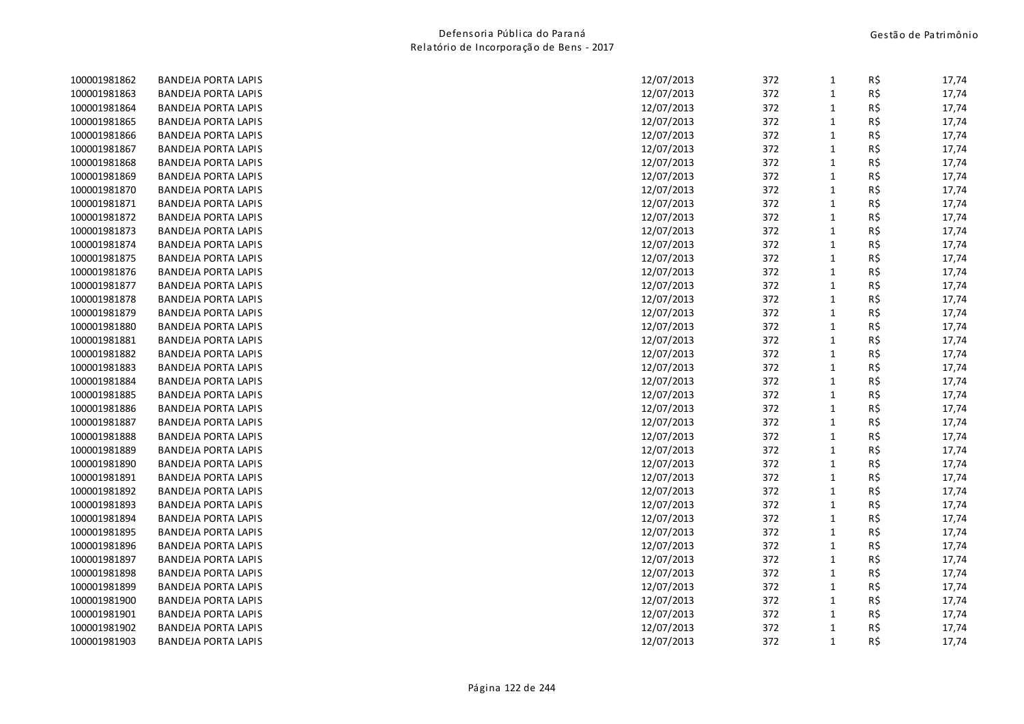| 100001981862 | <b>BANDEJA PORTA LAPIS</b> | 12/07/2013 | 372 | $\mathbf{1}$ | R\$ | 17,74 |
|--------------|----------------------------|------------|-----|--------------|-----|-------|
| 100001981863 | <b>BANDEJA PORTA LAPIS</b> | 12/07/2013 | 372 | $\mathbf 1$  | R\$ | 17,74 |
| 100001981864 | <b>BANDEJA PORTA LAPIS</b> | 12/07/2013 | 372 | $\mathbf{1}$ | R\$ | 17,74 |
| 100001981865 | <b>BANDEJA PORTA LAPIS</b> | 12/07/2013 | 372 | $\mathbf 1$  | R\$ | 17,74 |
| 100001981866 | <b>BANDEJA PORTA LAPIS</b> | 12/07/2013 | 372 | $\mathbf{1}$ | R\$ | 17,74 |
| 100001981867 | <b>BANDEJA PORTA LAPIS</b> | 12/07/2013 | 372 | $\mathbf{1}$ | R\$ | 17,74 |
| 100001981868 | <b>BANDEJA PORTA LAPIS</b> | 12/07/2013 | 372 | $\mathbf{1}$ | R\$ | 17,74 |
| 100001981869 | <b>BANDEJA PORTA LAPIS</b> | 12/07/2013 | 372 | $\mathbf{1}$ | R\$ | 17,74 |
| 100001981870 | <b>BANDEJA PORTA LAPIS</b> | 12/07/2013 | 372 | $\mathbf 1$  | R\$ | 17,74 |
| 100001981871 | <b>BANDEJA PORTA LAPIS</b> | 12/07/2013 | 372 | $\mathbf 1$  | R\$ | 17,74 |
| 100001981872 | <b>BANDEJA PORTA LAPIS</b> | 12/07/2013 | 372 | $\mathbf{1}$ | R\$ | 17,74 |
| 100001981873 | <b>BANDEJA PORTA LAPIS</b> | 12/07/2013 | 372 | $\mathbf{1}$ | R\$ | 17,74 |
| 100001981874 | <b>BANDEJA PORTA LAPIS</b> | 12/07/2013 | 372 | $\mathbf{1}$ | R\$ | 17,74 |
| 100001981875 | <b>BANDEJA PORTA LAPIS</b> | 12/07/2013 | 372 | $\mathbf{1}$ | R\$ | 17,74 |
| 100001981876 | <b>BANDEJA PORTA LAPIS</b> | 12/07/2013 | 372 | $\mathbf{1}$ | R\$ | 17,74 |
| 100001981877 | <b>BANDEJA PORTA LAPIS</b> | 12/07/2013 | 372 | $\mathbf{1}$ | R\$ | 17,74 |
| 100001981878 | <b>BANDEJA PORTA LAPIS</b> | 12/07/2013 | 372 | $\mathbf{1}$ | R\$ | 17,74 |
| 100001981879 | <b>BANDEJA PORTA LAPIS</b> | 12/07/2013 | 372 | $\mathbf 1$  | R\$ | 17,74 |
| 100001981880 | <b>BANDEJA PORTA LAPIS</b> | 12/07/2013 | 372 | $\mathbf{1}$ | R\$ | 17,74 |
| 100001981881 | <b>BANDEJA PORTA LAPIS</b> | 12/07/2013 | 372 | $\mathbf{1}$ | R\$ | 17,74 |
| 100001981882 | <b>BANDEJA PORTA LAPIS</b> | 12/07/2013 | 372 | $\mathbf{1}$ | R\$ | 17,74 |
| 100001981883 | <b>BANDEJA PORTA LAPIS</b> | 12/07/2013 | 372 | $\mathbf{1}$ | R\$ | 17,74 |
| 100001981884 | <b>BANDEJA PORTA LAPIS</b> | 12/07/2013 | 372 | $\mathbf 1$  | R\$ | 17,74 |
| 100001981885 | <b>BANDEJA PORTA LAPIS</b> | 12/07/2013 | 372 | $\mathbf 1$  | R\$ | 17,74 |
| 100001981886 | <b>BANDEJA PORTA LAPIS</b> | 12/07/2013 | 372 | $\mathbf{1}$ | R\$ | 17,74 |
| 100001981887 | <b>BANDEJA PORTA LAPIS</b> | 12/07/2013 | 372 | $\mathbf{1}$ | R\$ | 17,74 |
| 100001981888 | <b>BANDEJA PORTA LAPIS</b> | 12/07/2013 | 372 | $\mathbf 1$  | R\$ | 17,74 |
| 100001981889 | <b>BANDEJA PORTA LAPIS</b> | 12/07/2013 | 372 | $\mathbf 1$  | R\$ | 17,74 |
| 100001981890 | <b>BANDEJA PORTA LAPIS</b> | 12/07/2013 | 372 | $\mathbf{1}$ | R\$ | 17,74 |
| 100001981891 | <b>BANDEJA PORTA LAPIS</b> | 12/07/2013 | 372 | $\mathbf{1}$ | R\$ | 17,74 |
| 100001981892 | <b>BANDEJA PORTA LAPIS</b> | 12/07/2013 | 372 | $\mathbf{1}$ | R\$ | 17,74 |
| 100001981893 | <b>BANDEJA PORTA LAPIS</b> | 12/07/2013 | 372 | $\mathbf 1$  | R\$ | 17,74 |
| 100001981894 | <b>BANDEJA PORTA LAPIS</b> | 12/07/2013 | 372 | $\mathbf{1}$ | R\$ | 17,74 |
| 100001981895 | <b>BANDEJA PORTA LAPIS</b> | 12/07/2013 | 372 | $\mathbf{1}$ | R\$ | 17,74 |
| 100001981896 | <b>BANDEJA PORTA LAPIS</b> | 12/07/2013 | 372 | $\mathbf{1}$ | R\$ | 17,74 |
| 100001981897 | <b>BANDEJA PORTA LAPIS</b> | 12/07/2013 | 372 | $\mathbf{1}$ | R\$ | 17,74 |
| 100001981898 | <b>BANDEJA PORTA LAPIS</b> | 12/07/2013 | 372 | $\mathbf 1$  | R\$ | 17,74 |
| 100001981899 | <b>BANDEJA PORTA LAPIS</b> | 12/07/2013 | 372 | $\mathbf{1}$ | R\$ | 17,74 |
| 100001981900 | <b>BANDEJA PORTA LAPIS</b> | 12/07/2013 | 372 | $\mathbf{1}$ | R\$ | 17,74 |
| 100001981901 | <b>BANDEJA PORTA LAPIS</b> | 12/07/2013 | 372 | $\mathbf{1}$ | R\$ | 17,74 |
| 100001981902 | <b>BANDEJA PORTA LAPIS</b> | 12/07/2013 | 372 | $\mathbf{1}$ | R\$ | 17,74 |
| 100001981903 | <b>BANDEJA PORTA LAPIS</b> | 12/07/2013 | 372 | $\mathbf{1}$ | R\$ | 17,74 |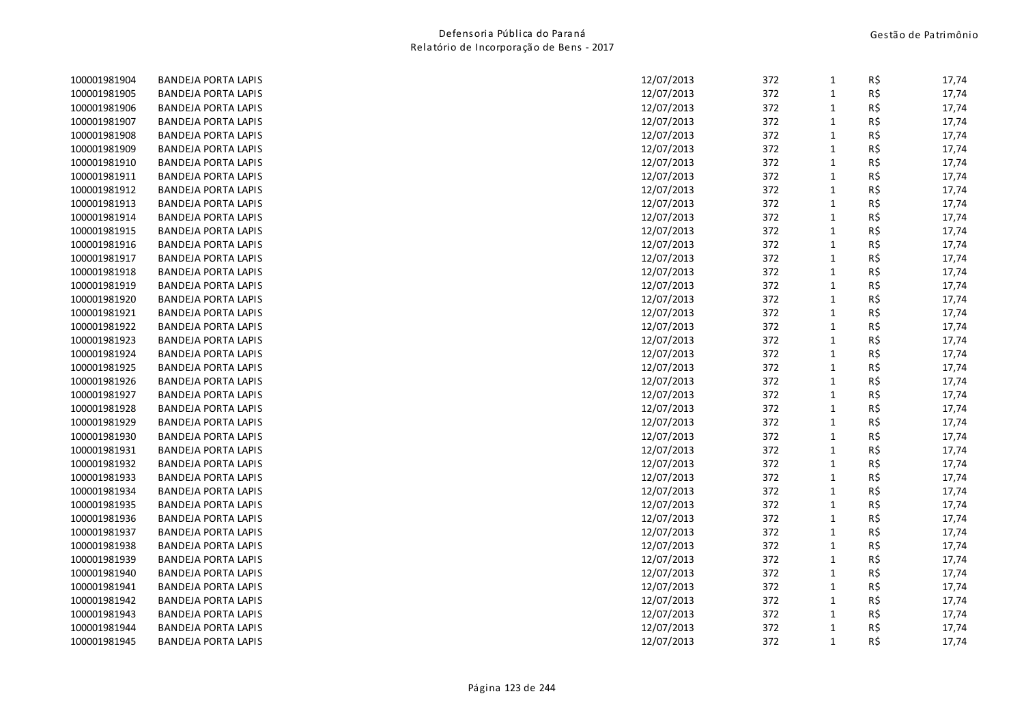| 100001981904 | <b>BANDEJA PORTA LAPIS</b> | 12/07/2013 | 372 | $\mathbf{1}$ | R\$ | 17,74 |
|--------------|----------------------------|------------|-----|--------------|-----|-------|
| 100001981905 | <b>BANDEJA PORTA LAPIS</b> | 12/07/2013 | 372 | $\mathbf 1$  | R\$ | 17,74 |
| 100001981906 | <b>BANDEJA PORTA LAPIS</b> | 12/07/2013 | 372 | $\mathbf{1}$ | R\$ | 17,74 |
| 100001981907 | <b>BANDEJA PORTA LAPIS</b> | 12/07/2013 | 372 | $\mathbf 1$  | R\$ | 17,74 |
| 100001981908 | <b>BANDEJA PORTA LAPIS</b> | 12/07/2013 | 372 | $\mathbf{1}$ | R\$ | 17,74 |
| 100001981909 | <b>BANDEJA PORTA LAPIS</b> | 12/07/2013 | 372 | $\mathbf 1$  | R\$ | 17,74 |
| 100001981910 | <b>BANDEJA PORTA LAPIS</b> | 12/07/2013 | 372 | $\mathbf{1}$ | R\$ | 17,74 |
| 100001981911 | <b>BANDEJA PORTA LAPIS</b> | 12/07/2013 | 372 | $\mathbf 1$  | R\$ | 17,74 |
| 100001981912 | <b>BANDEJA PORTA LAPIS</b> | 12/07/2013 | 372 | $\mathbf 1$  | R\$ | 17,74 |
| 100001981913 | <b>BANDEJA PORTA LAPIS</b> | 12/07/2013 | 372 | $\mathbf 1$  | R\$ | 17,74 |
| 100001981914 | <b>BANDEJA PORTA LAPIS</b> | 12/07/2013 | 372 | $\mathbf{1}$ | R\$ | 17,74 |
| 100001981915 | <b>BANDEJA PORTA LAPIS</b> | 12/07/2013 | 372 | $\mathbf{1}$ | R\$ | 17,74 |
| 100001981916 | <b>BANDEJA PORTA LAPIS</b> | 12/07/2013 | 372 | $\mathbf{1}$ | R\$ | 17,74 |
| 100001981917 | <b>BANDEJA PORTA LAPIS</b> | 12/07/2013 | 372 | $\mathbf{1}$ | R\$ | 17,74 |
| 100001981918 | <b>BANDEJA PORTA LAPIS</b> | 12/07/2013 | 372 | $\mathbf{1}$ | R\$ | 17,74 |
| 100001981919 | <b>BANDEJA PORTA LAPIS</b> | 12/07/2013 | 372 | $\mathbf{1}$ | R\$ | 17,74 |
| 100001981920 | <b>BANDEJA PORTA LAPIS</b> | 12/07/2013 | 372 | $\mathbf{1}$ | R\$ | 17,74 |
| 100001981921 | <b>BANDEJA PORTA LAPIS</b> | 12/07/2013 | 372 | $\mathbf 1$  | R\$ | 17,74 |
| 100001981922 | <b>BANDEJA PORTA LAPIS</b> | 12/07/2013 | 372 | $\mathbf{1}$ | R\$ | 17,74 |
| 100001981923 | <b>BANDEJA PORTA LAPIS</b> | 12/07/2013 | 372 | $\mathbf 1$  | R\$ | 17,74 |
| 100001981924 | <b>BANDEJA PORTA LAPIS</b> | 12/07/2013 | 372 | $\mathbf{1}$ | R\$ | 17,74 |
| 100001981925 | <b>BANDEJA PORTA LAPIS</b> | 12/07/2013 | 372 | $\mathbf{1}$ | R\$ | 17,74 |
| 100001981926 | <b>BANDEJA PORTA LAPIS</b> | 12/07/2013 | 372 | $\mathbf 1$  | R\$ | 17,74 |
| 100001981927 | <b>BANDEJA PORTA LAPIS</b> | 12/07/2013 | 372 | $\mathbf 1$  | R\$ | 17,74 |
| 100001981928 | <b>BANDEJA PORTA LAPIS</b> | 12/07/2013 | 372 | $\mathbf 1$  | R\$ | 17,74 |
| 100001981929 | <b>BANDEJA PORTA LAPIS</b> | 12/07/2013 | 372 | $\mathbf{1}$ | R\$ | 17,74 |
| 100001981930 | <b>BANDEJA PORTA LAPIS</b> | 12/07/2013 | 372 | $\mathbf 1$  | R\$ | 17,74 |
| 100001981931 | <b>BANDEJA PORTA LAPIS</b> | 12/07/2013 | 372 | $\mathbf 1$  | R\$ | 17,74 |
| 100001981932 | <b>BANDEJA PORTA LAPIS</b> | 12/07/2013 | 372 | $\mathbf{1}$ | R\$ | 17,74 |
| 100001981933 | <b>BANDEJA PORTA LAPIS</b> | 12/07/2013 | 372 | $\mathbf{1}$ | R\$ | 17,74 |
| 100001981934 | <b>BANDEJA PORTA LAPIS</b> | 12/07/2013 | 372 | $\mathbf{1}$ | R\$ | 17,74 |
| 100001981935 | <b>BANDEJA PORTA LAPIS</b> | 12/07/2013 | 372 | $\mathbf 1$  | R\$ | 17,74 |
| 100001981936 | <b>BANDEJA PORTA LAPIS</b> | 12/07/2013 | 372 | $\mathbf{1}$ | R\$ | 17,74 |
| 100001981937 | <b>BANDEJA PORTA LAPIS</b> | 12/07/2013 | 372 | $\mathbf 1$  | R\$ | 17,74 |
| 100001981938 | <b>BANDEJA PORTA LAPIS</b> | 12/07/2013 | 372 | $\mathbf{1}$ | R\$ | 17,74 |
| 100001981939 | <b>BANDEJA PORTA LAPIS</b> | 12/07/2013 | 372 | $\mathbf{1}$ | R\$ | 17,74 |
| 100001981940 | <b>BANDEJA PORTA LAPIS</b> | 12/07/2013 | 372 | $\mathbf 1$  | R\$ | 17,74 |
| 100001981941 | <b>BANDEJA PORTA LAPIS</b> | 12/07/2013 | 372 | $\mathbf{1}$ | R\$ | 17,74 |
| 100001981942 | <b>BANDEJA PORTA LAPIS</b> | 12/07/2013 | 372 | $\mathbf{1}$ | R\$ | 17,74 |
| 100001981943 | <b>BANDEJA PORTA LAPIS</b> | 12/07/2013 | 372 | $\mathbf{1}$ | R\$ | 17,74 |
| 100001981944 | <b>BANDEJA PORTA LAPIS</b> | 12/07/2013 | 372 | $\mathbf{1}$ | R\$ | 17,74 |
| 100001981945 | <b>BANDEJA PORTA LAPIS</b> | 12/07/2013 | 372 | $\mathbf{1}$ | R\$ | 17,74 |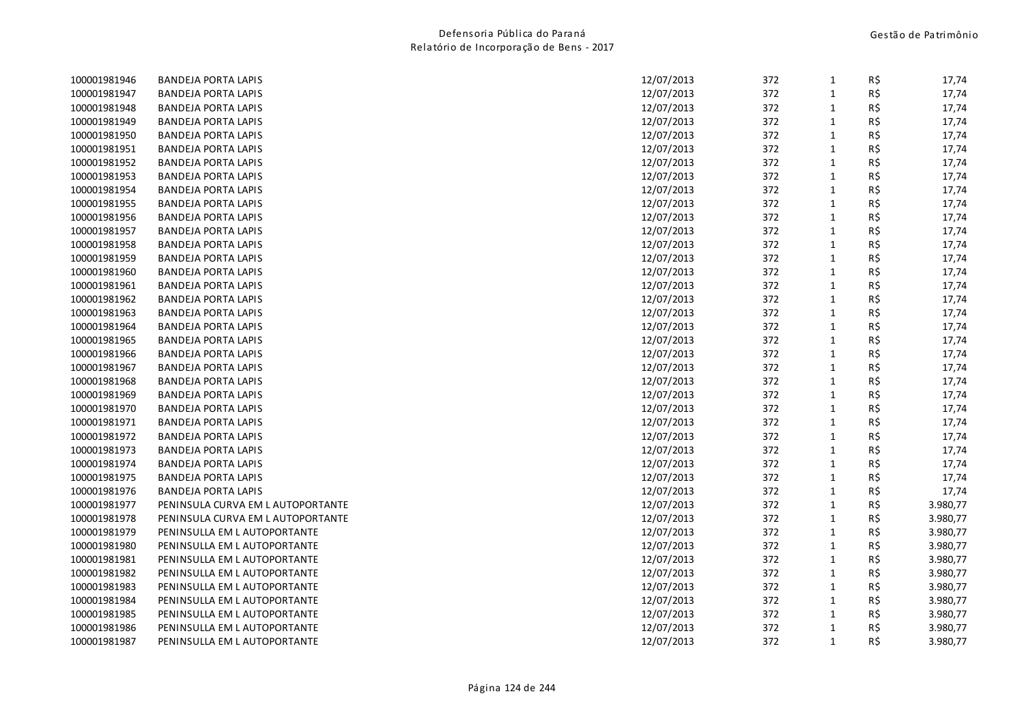| 100001981946 | <b>BANDEJA PORTA LAPIS</b>        | 12/07/2013 | 372 | $\mathbf{1}$ | R\$ | 17,74    |
|--------------|-----------------------------------|------------|-----|--------------|-----|----------|
| 100001981947 | <b>BANDEJA PORTA LAPIS</b>        | 12/07/2013 | 372 | $\mathbf{1}$ | R\$ | 17,74    |
| 100001981948 | <b>BANDEJA PORTA LAPIS</b>        | 12/07/2013 | 372 | $\mathbf{1}$ | R\$ | 17,74    |
| 100001981949 | <b>BANDEJA PORTA LAPIS</b>        | 12/07/2013 | 372 | $\mathbf{1}$ | R\$ | 17,74    |
| 100001981950 | <b>BANDEJA PORTA LAPIS</b>        | 12/07/2013 | 372 | $\mathbf{1}$ | R\$ | 17,74    |
| 100001981951 | <b>BANDEJA PORTA LAPIS</b>        | 12/07/2013 | 372 | $\mathbf 1$  | R\$ | 17,74    |
| 100001981952 | <b>BANDEJA PORTA LAPIS</b>        | 12/07/2013 | 372 | $\mathbf{1}$ | R\$ | 17,74    |
| 100001981953 | <b>BANDEJA PORTA LAPIS</b>        | 12/07/2013 | 372 | $\mathbf{1}$ | R\$ | 17,74    |
| 100001981954 | <b>BANDEJA PORTA LAPIS</b>        | 12/07/2013 | 372 | $\mathbf{1}$ | R\$ | 17,74    |
| 100001981955 | <b>BANDEJA PORTA LAPIS</b>        | 12/07/2013 | 372 | $\mathbf 1$  | R\$ | 17,74    |
| 100001981956 | <b>BANDEJA PORTA LAPIS</b>        | 12/07/2013 | 372 | $\mathbf{1}$ | R\$ | 17,74    |
| 100001981957 | <b>BANDEJA PORTA LAPIS</b>        | 12/07/2013 | 372 | $\mathbf{1}$ | R\$ | 17,74    |
| 100001981958 | <b>BANDEJA PORTA LAPIS</b>        | 12/07/2013 | 372 | $\mathbf{1}$ | R\$ | 17,74    |
| 100001981959 | <b>BANDEJA PORTA LAPIS</b>        | 12/07/2013 | 372 | $\mathbf 1$  | R\$ | 17,74    |
| 100001981960 | <b>BANDEJA PORTA LAPIS</b>        | 12/07/2013 | 372 | $\mathbf{1}$ | R\$ | 17,74    |
| 100001981961 | <b>BANDEJA PORTA LAPIS</b>        | 12/07/2013 | 372 | $\mathbf{1}$ | R\$ | 17,74    |
| 100001981962 | <b>BANDEJA PORTA LAPIS</b>        | 12/07/2013 | 372 | $\mathbf{1}$ | R\$ | 17,74    |
| 100001981963 | <b>BANDEJA PORTA LAPIS</b>        | 12/07/2013 | 372 | $\mathbf{1}$ | R\$ | 17,74    |
| 100001981964 | <b>BANDEJA PORTA LAPIS</b>        | 12/07/2013 | 372 | $\mathbf 1$  | R\$ | 17,74    |
| 100001981965 | <b>BANDEJA PORTA LAPIS</b>        | 12/07/2013 | 372 | $\mathbf 1$  | R\$ | 17,74    |
| 100001981966 | <b>BANDEJA PORTA LAPIS</b>        | 12/07/2013 | 372 | $\mathbf 1$  | R\$ | 17,74    |
| 100001981967 | <b>BANDEJA PORTA LAPIS</b>        | 12/07/2013 | 372 | $\mathbf{1}$ | R\$ | 17,74    |
| 100001981968 | <b>BANDEJA PORTA LAPIS</b>        | 12/07/2013 | 372 | $\mathbf 1$  | R\$ | 17,74    |
| 100001981969 | <b>BANDEJA PORTA LAPIS</b>        | 12/07/2013 | 372 | $\mathbf{1}$ | R\$ | 17,74    |
| 100001981970 | <b>BANDEJA PORTA LAPIS</b>        | 12/07/2013 | 372 | $\mathbf{1}$ | R\$ | 17,74    |
| 100001981971 | <b>BANDEJA PORTA LAPIS</b>        | 12/07/2013 | 372 | $\mathbf{1}$ | R\$ | 17,74    |
| 100001981972 | <b>BANDEJA PORTA LAPIS</b>        | 12/07/2013 | 372 | $\mathbf{1}$ | R\$ | 17,74    |
| 100001981973 | <b>BANDEJA PORTA LAPIS</b>        | 12/07/2013 | 372 | $\mathbf 1$  | R\$ | 17,74    |
| 100001981974 | <b>BANDEJA PORTA LAPIS</b>        | 12/07/2013 | 372 | $\mathbf{1}$ | R\$ | 17,74    |
| 100001981975 | <b>BANDEJA PORTA LAPIS</b>        | 12/07/2013 | 372 | $\mathbf 1$  | R\$ | 17,74    |
| 100001981976 | <b>BANDEJA PORTA LAPIS</b>        | 12/07/2013 | 372 | $\mathbf{1}$ | R\$ | 17,74    |
| 100001981977 | PENINSULA CURVA EM L AUTOPORTANTE | 12/07/2013 | 372 | $\mathbf 1$  | R\$ | 3.980,77 |
| 100001981978 | PENINSULA CURVA EM L AUTOPORTANTE | 12/07/2013 | 372 | $\mathbf{1}$ | R\$ | 3.980,77 |
| 100001981979 | PENINSULLA EM L AUTOPORTANTE      | 12/07/2013 | 372 | $\mathbf{1}$ | R\$ | 3.980,77 |
| 100001981980 | PENINSULLA EM L AUTOPORTANTE      | 12/07/2013 | 372 | $\mathbf{1}$ | R\$ | 3.980,77 |
| 100001981981 | PENINSULLA EM L AUTOPORTANTE      | 12/07/2013 | 372 | $\mathbf 1$  | R\$ | 3.980,77 |
| 100001981982 | PENINSULLA EM L AUTOPORTANTE      | 12/07/2013 | 372 | $\mathbf 1$  | R\$ | 3.980,77 |
| 100001981983 | PENINSULLA EM L AUTOPORTANTE      | 12/07/2013 | 372 | $\mathbf{1}$ | R\$ | 3.980,77 |
| 100001981984 | PENINSULLA EM L AUTOPORTANTE      | 12/07/2013 | 372 | $\mathbf{1}$ | R\$ | 3.980,77 |
| 100001981985 | PENINSULLA EM L AUTOPORTANTE      | 12/07/2013 | 372 | $\mathbf{1}$ | R\$ | 3.980,77 |
| 100001981986 | PENINSULLA EM L AUTOPORTANTE      | 12/07/2013 | 372 | $\mathbf{1}$ | R\$ | 3.980,77 |
| 100001981987 | PENINSULLA EM L AUTOPORTANTE      | 12/07/2013 | 372 | $\mathbf{1}$ | R\$ | 3.980,77 |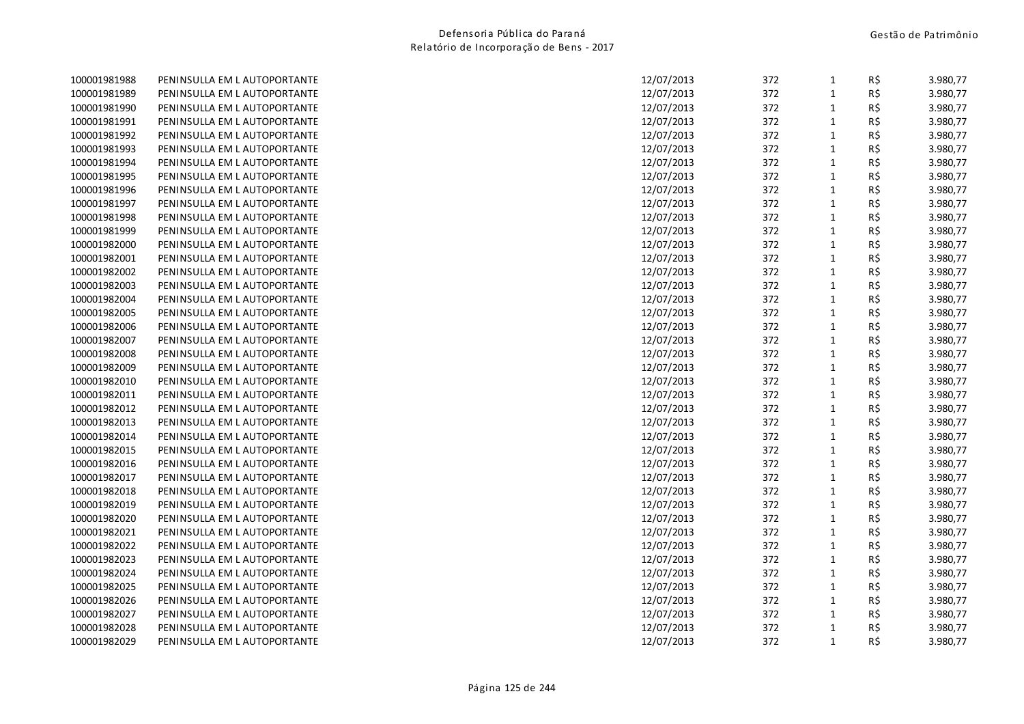| 100001981988 | PENINSULLA EM L AUTOPORTANTE | 12/07/2013 | 372 | $\mathbf{1}$ | R\$ | 3.980,77 |
|--------------|------------------------------|------------|-----|--------------|-----|----------|
| 100001981989 | PENINSULLA EM L AUTOPORTANTE | 12/07/2013 | 372 | $\mathbf 1$  | R\$ | 3.980,77 |
| 100001981990 | PENINSULLA EM L AUTOPORTANTE | 12/07/2013 | 372 | $\mathbf 1$  | R\$ | 3.980,77 |
| 100001981991 | PENINSULLA EM L AUTOPORTANTE | 12/07/2013 | 372 | $\mathbf{1}$ | R\$ | 3.980,77 |
| 100001981992 | PENINSULLA EM L AUTOPORTANTE | 12/07/2013 | 372 | $\mathbf 1$  | R\$ | 3.980,77 |
| 100001981993 | PENINSULLA EM L AUTOPORTANTE | 12/07/2013 | 372 | $\mathbf 1$  | R\$ | 3.980,77 |
| 100001981994 | PENINSULLA EM L AUTOPORTANTE | 12/07/2013 | 372 | $\mathbf 1$  | R\$ | 3.980,77 |
| 100001981995 | PENINSULLA EM L AUTOPORTANTE | 12/07/2013 | 372 | $\mathbf 1$  | R\$ | 3.980,77 |
| 100001981996 | PENINSULLA EM L AUTOPORTANTE | 12/07/2013 | 372 | $\mathbf 1$  | R\$ | 3.980,77 |
| 100001981997 | PENINSULLA EM L AUTOPORTANTE | 12/07/2013 | 372 | $\mathbf 1$  | R\$ | 3.980,77 |
| 100001981998 | PENINSULLA EM L AUTOPORTANTE | 12/07/2013 | 372 | $\mathbf 1$  | R\$ | 3.980,77 |
| 100001981999 | PENINSULLA EM L AUTOPORTANTE | 12/07/2013 | 372 | $\mathbf 1$  | R\$ | 3.980,77 |
| 100001982000 | PENINSULLA EM L AUTOPORTANTE | 12/07/2013 | 372 | $\mathbf 1$  | R\$ | 3.980,77 |
| 100001982001 | PENINSULLA EM L AUTOPORTANTE | 12/07/2013 | 372 | $\mathbf 1$  | R\$ | 3.980,77 |
| 100001982002 | PENINSULLA EM L AUTOPORTANTE | 12/07/2013 | 372 | $\mathbf 1$  | R\$ | 3.980,77 |
| 100001982003 | PENINSULLA EM L AUTOPORTANTE | 12/07/2013 | 372 | $\mathbf 1$  | R\$ | 3.980,77 |
| 100001982004 | PENINSULLA EM L AUTOPORTANTE | 12/07/2013 | 372 | $\mathbf 1$  | R\$ | 3.980,77 |
| 100001982005 | PENINSULLA EM L AUTOPORTANTE | 12/07/2013 | 372 | $\mathbf 1$  | R\$ | 3.980,77 |
| 100001982006 | PENINSULLA EM L AUTOPORTANTE | 12/07/2013 | 372 | $\mathbf 1$  | R\$ | 3.980,77 |
| 100001982007 | PENINSULLA EM L AUTOPORTANTE | 12/07/2013 | 372 | $\mathbf 1$  | R\$ | 3.980,77 |
| 100001982008 | PENINSULLA EM L AUTOPORTANTE | 12/07/2013 | 372 | $\mathbf 1$  | R\$ | 3.980,77 |
| 100001982009 | PENINSULLA EM L AUTOPORTANTE | 12/07/2013 | 372 | $\mathbf 1$  | R\$ | 3.980,77 |
| 100001982010 | PENINSULLA EM L AUTOPORTANTE | 12/07/2013 | 372 | $\mathbf 1$  | R\$ | 3.980,77 |
| 100001982011 | PENINSULLA EM L AUTOPORTANTE | 12/07/2013 | 372 | $\mathbf 1$  | R\$ | 3.980,77 |
| 100001982012 | PENINSULLA EM L AUTOPORTANTE | 12/07/2013 | 372 | $\mathbf 1$  | R\$ | 3.980,77 |
| 100001982013 | PENINSULLA EM L AUTOPORTANTE | 12/07/2013 | 372 | $\mathbf 1$  | R\$ | 3.980,77 |
| 100001982014 | PENINSULLA EM L AUTOPORTANTE | 12/07/2013 | 372 | $\mathbf 1$  | R\$ | 3.980,77 |
| 100001982015 | PENINSULLA EM L AUTOPORTANTE | 12/07/2013 | 372 | $\mathbf 1$  | R\$ | 3.980,77 |
| 100001982016 | PENINSULLA EM L AUTOPORTANTE | 12/07/2013 | 372 | $\mathbf 1$  | R\$ | 3.980,77 |
| 100001982017 | PENINSULLA EM L AUTOPORTANTE | 12/07/2013 | 372 | $\mathbf 1$  | R\$ | 3.980,77 |
| 100001982018 | PENINSULLA EM L AUTOPORTANTE | 12/07/2013 | 372 | $\mathbf 1$  | R\$ | 3.980,77 |
| 100001982019 | PENINSULLA EM L AUTOPORTANTE | 12/07/2013 | 372 | $\mathbf 1$  | R\$ | 3.980,77 |
| 100001982020 | PENINSULLA EM L AUTOPORTANTE | 12/07/2013 | 372 | $\mathbf 1$  | R\$ | 3.980,77 |
| 100001982021 | PENINSULLA EM L AUTOPORTANTE | 12/07/2013 | 372 | $\mathbf 1$  | R\$ | 3.980,77 |
| 100001982022 | PENINSULLA EM L AUTOPORTANTE | 12/07/2013 | 372 | $1\,$        | R\$ | 3.980,77 |
| 100001982023 | PENINSULLA EM L AUTOPORTANTE | 12/07/2013 | 372 | $\mathbf 1$  | R\$ | 3.980,77 |
| 100001982024 | PENINSULLA EM L AUTOPORTANTE | 12/07/2013 | 372 | $\mathbf 1$  | R\$ | 3.980,77 |
| 100001982025 | PENINSULLA EM L AUTOPORTANTE | 12/07/2013 | 372 | $\mathbf 1$  | R\$ | 3.980,77 |
| 100001982026 | PENINSULLA EM L AUTOPORTANTE | 12/07/2013 | 372 | $\mathbf 1$  | R\$ | 3.980,77 |
| 100001982027 | PENINSULLA EM L AUTOPORTANTE | 12/07/2013 | 372 | $\mathbf 1$  | R\$ | 3.980,77 |
| 100001982028 | PENINSULLA EM L AUTOPORTANTE | 12/07/2013 | 372 | $\mathbf 1$  | R\$ | 3.980,77 |
| 100001982029 | PENINSULLA EM L AUTOPORTANTE | 12/07/2013 | 372 | $1\,$        | R\$ | 3.980,77 |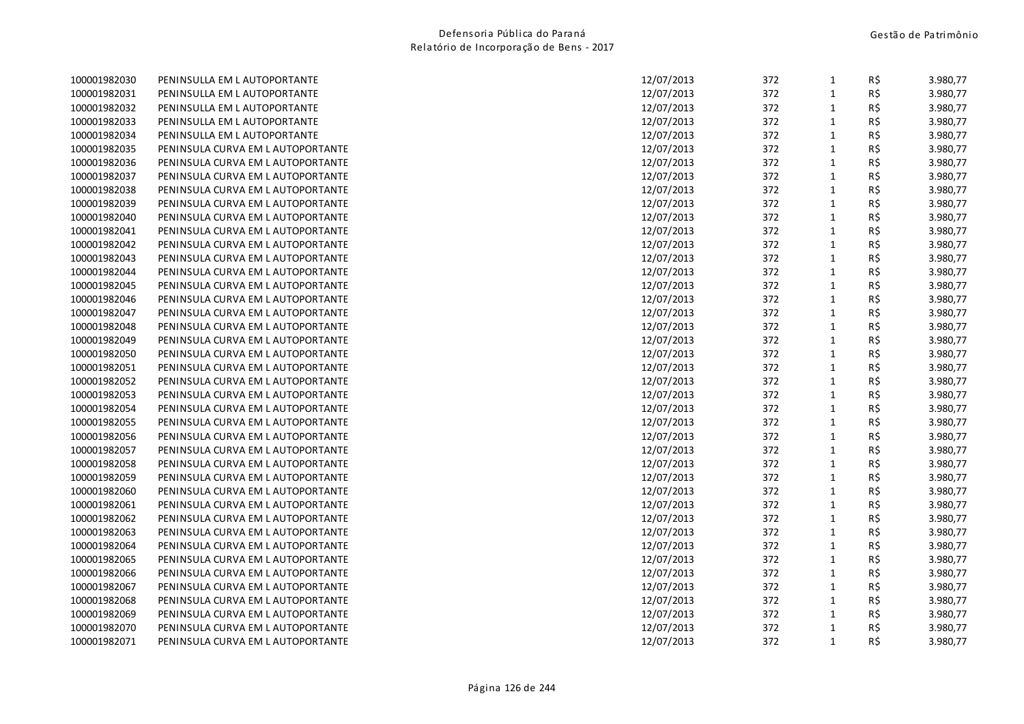| 100001982030 | PENINSULLA EM L AUTOPORTANTE      | 12/07/2013 | 372 | $\mathbf{1}$ | R\$ | 3.980,77 |
|--------------|-----------------------------------|------------|-----|--------------|-----|----------|
| 100001982031 | PENINSULLA EM L AUTOPORTANTE      | 12/07/2013 | 372 | $\mathbf{1}$ | R\$ | 3.980,77 |
| 100001982032 | PENINSULLA EM L AUTOPORTANTE      | 12/07/2013 | 372 | $\mathbf{1}$ | R\$ | 3.980,77 |
| 100001982033 | PENINSULLA EM L AUTOPORTANTE      | 12/07/2013 | 372 | $\mathbf{1}$ | R\$ | 3.980,77 |
| 100001982034 | PENINSULLA EM L AUTOPORTANTE      | 12/07/2013 | 372 | $\mathbf{1}$ | R\$ | 3.980,77 |
| 100001982035 | PENINSULA CURVA EM L AUTOPORTANTE | 12/07/2013 | 372 | $\mathbf{1}$ | R\$ | 3.980,77 |
| 100001982036 | PENINSULA CURVA EM L AUTOPORTANTE | 12/07/2013 | 372 | $\mathbf{1}$ | R\$ | 3.980,77 |
| 100001982037 | PENINSULA CURVA EM L AUTOPORTANTE | 12/07/2013 | 372 | $\mathbf{1}$ | R\$ | 3.980,77 |
| 100001982038 | PENINSULA CURVA EM L AUTOPORTANTE | 12/07/2013 | 372 | $\mathbf{1}$ | R\$ | 3.980,77 |
| 100001982039 | PENINSULA CURVA EM L AUTOPORTANTE | 12/07/2013 | 372 | $\mathbf{1}$ | R\$ | 3.980,77 |
| 100001982040 | PENINSULA CURVA EM L AUTOPORTANTE | 12/07/2013 | 372 | $\mathbf{1}$ | R\$ | 3.980,77 |
| 100001982041 | PENINSULA CURVA EM L AUTOPORTANTE | 12/07/2013 | 372 | $\mathbf{1}$ | R\$ | 3.980,77 |
| 100001982042 | PENINSULA CURVA EM L AUTOPORTANTE | 12/07/2013 | 372 | $\mathbf{1}$ | R\$ | 3.980,77 |
| 100001982043 | PENINSULA CURVA EM L AUTOPORTANTE | 12/07/2013 | 372 | $\mathbf{1}$ | R\$ | 3.980,77 |
| 100001982044 | PENINSULA CURVA EM L AUTOPORTANTE | 12/07/2013 | 372 | $\mathbf{1}$ | R\$ | 3.980,77 |
| 100001982045 | PENINSULA CURVA EM L AUTOPORTANTE | 12/07/2013 | 372 | 1            | R\$ | 3.980,77 |
| 100001982046 | PENINSULA CURVA EM L AUTOPORTANTE | 12/07/2013 | 372 | $\mathbf{1}$ | R\$ | 3.980,77 |
| 100001982047 | PENINSULA CURVA EM L AUTOPORTANTE | 12/07/2013 | 372 | $\mathbf{1}$ | R\$ | 3.980,77 |
| 100001982048 | PENINSULA CURVA EM L AUTOPORTANTE | 12/07/2013 | 372 | $\mathbf{1}$ | R\$ | 3.980,77 |
| 100001982049 | PENINSULA CURVA EM L AUTOPORTANTE | 12/07/2013 | 372 | $\mathbf{1}$ | R\$ | 3.980,77 |
| 100001982050 | PENINSULA CURVA EM L AUTOPORTANTE | 12/07/2013 | 372 | $\mathbf{1}$ | R\$ | 3.980,77 |
| 100001982051 | PENINSULA CURVA EM L AUTOPORTANTE | 12/07/2013 | 372 | $\mathbf{1}$ | R\$ | 3.980,77 |
| 100001982052 | PENINSULA CURVA EM L AUTOPORTANTE | 12/07/2013 | 372 | $\mathbf{1}$ | R\$ | 3.980,77 |
| 100001982053 | PENINSULA CURVA EM L AUTOPORTANTE | 12/07/2013 | 372 | $\mathbf{1}$ | R\$ | 3.980,77 |
| 100001982054 | PENINSULA CURVA EM L AUTOPORTANTE | 12/07/2013 | 372 | $\mathbf{1}$ | R\$ | 3.980,77 |
| 100001982055 | PENINSULA CURVA EM L AUTOPORTANTE | 12/07/2013 | 372 | $\mathbf{1}$ | R\$ | 3.980,77 |
| 100001982056 | PENINSULA CURVA EM L AUTOPORTANTE | 12/07/2013 | 372 | $\mathbf{1}$ | R\$ | 3.980,77 |
| 100001982057 | PENINSULA CURVA EM L AUTOPORTANTE | 12/07/2013 | 372 | $\mathbf{1}$ | R\$ | 3.980,77 |
| 100001982058 | PENINSULA CURVA EM L AUTOPORTANTE | 12/07/2013 | 372 | $\mathbf{1}$ | R\$ | 3.980,77 |
| 100001982059 | PENINSULA CURVA EM L AUTOPORTANTE | 12/07/2013 | 372 | $\mathbf{1}$ | R\$ | 3.980,77 |
| 100001982060 | PENINSULA CURVA EM L AUTOPORTANTE | 12/07/2013 | 372 | $\mathbf{1}$ | R\$ | 3.980,77 |
| 100001982061 | PENINSULA CURVA EM L AUTOPORTANTE | 12/07/2013 | 372 | $\mathbf{1}$ | R\$ | 3.980,77 |
| 100001982062 | PENINSULA CURVA EM L AUTOPORTANTE | 12/07/2013 | 372 | 1            | R\$ | 3.980,77 |
| 100001982063 | PENINSULA CURVA EM L AUTOPORTANTE | 12/07/2013 | 372 | $\mathbf{1}$ | R\$ | 3.980,77 |
| 100001982064 | PENINSULA CURVA EM L AUTOPORTANTE | 12/07/2013 | 372 | $\mathbf{1}$ | R\$ | 3.980,77 |
| 100001982065 | PENINSULA CURVA EM L AUTOPORTANTE | 12/07/2013 | 372 | $\mathbf{1}$ | R\$ | 3.980,77 |
| 100001982066 | PENINSULA CURVA EM L AUTOPORTANTE | 12/07/2013 | 372 | $\mathbf{1}$ | R\$ | 3.980,77 |
| 100001982067 | PENINSULA CURVA EM L AUTOPORTANTE | 12/07/2013 | 372 | $\mathbf{1}$ | R\$ | 3.980,77 |
| 100001982068 | PENINSULA CURVA EM L AUTOPORTANTE | 12/07/2013 | 372 | $\mathbf{1}$ | R\$ | 3.980,77 |
| 100001982069 | PENINSULA CURVA EM L AUTOPORTANTE | 12/07/2013 | 372 | $\mathbf{1}$ | R\$ | 3.980,77 |
| 100001982070 | PENINSULA CURVA EM L AUTOPORTANTE | 12/07/2013 | 372 | $\mathbf{1}$ | R\$ | 3.980,77 |
| 100001982071 | PENINSULA CURVA EM L AUTOPORTANTE | 12/07/2013 | 372 | 1            | R\$ | 3.980,77 |
|              |                                   |            |     |              |     |          |

| 12/07/2013 | 372 | 1              | R\$ | 3.980,77 |
|------------|-----|----------------|-----|----------|
| 12/07/2013 | 372 | $\mathbf{1}$   | R\$ | 3.980,77 |
| 12/07/2013 | 372 | $\mathbf{1}$   | R\$ | 3.980,77 |
| 12/07/2013 | 372 | $\mathbf{1}$   | R\$ | 3.980,77 |
| 12/07/2013 | 372 | $\mathbf{1}$   | R\$ | 3.980,77 |
| 12/07/2013 | 372 | $\mathbf{1}$   | R\$ | 3.980,77 |
| 12/07/2013 | 372 | $\mathbf{1}$   | R\$ | 3.980,77 |
| 12/07/2013 | 372 | $\mathbf{1}$   | R\$ | 3.980,77 |
| 12/07/2013 | 372 | $\mathbf 1$    | R\$ | 3.980,77 |
| 12/07/2013 | 372 | $\mathbf{1}$   | R\$ | 3.980,77 |
| 12/07/2013 | 372 | $\mathbf{1}$   | R\$ | 3.980,77 |
| 12/07/2013 | 372 | $\mathbf{1}$   | R\$ | 3.980,77 |
| 12/07/2013 | 372 | $\mathbf{1}$   | R\$ | 3.980,77 |
| 12/07/2013 | 372 | $\overline{1}$ | R\$ | 3.980,77 |
| 12/07/2013 | 372 | $\mathbf{1}$   | R\$ | 3.980,77 |
| 12/07/2013 | 372 | 1              | R\$ | 3.980,77 |
| 12/07/2013 | 372 | $\mathbf{1}$   | R\$ | 3.980,77 |
| 12/07/2013 | 372 | $\mathbf{1}$   | R\$ | 3.980,77 |
| 12/07/2013 | 372 | $\mathbf{1}$   | R\$ | 3.980,77 |
| 12/07/2013 | 372 | 1              | R\$ | 3.980,77 |
| 12/07/2013 | 372 | $\mathbf{1}$   | R\$ | 3.980,77 |
| 12/07/2013 | 372 | $\mathbf{1}$   | R\$ | 3.980,77 |
| 12/07/2013 | 372 | $\mathbf{1}$   | R\$ | 3.980,77 |
| 12/07/2013 | 372 | $\mathbf{1}$   | R\$ | 3.980,77 |
| 12/07/2013 | 372 | $\mathbf{1}$   | R\$ | 3.980,77 |
| 12/07/2013 | 372 | 1              | R\$ | 3.980,77 |
| 12/07/2013 | 372 | $\mathbf{1}$   | R\$ | 3.980,77 |
| 12/07/2013 | 372 | $\mathbf 1$    | R\$ | 3.980,77 |
| 12/07/2013 | 372 | $\mathbf{1}$   | R\$ | 3.980,77 |
| 12/07/2013 | 372 | $\mathbf{1}$   | R\$ | 3.980,77 |
| 12/07/2013 | 372 | $\mathbf{1}$   | R\$ | 3.980,77 |
| 12/07/2013 | 372 | $\mathbf{1}$   | R\$ | 3.980,77 |
| 12/07/2013 | 372 | $\mathbf{1}$   | R\$ | 3.980,77 |
| 12/07/2013 | 372 | $\mathbf 1$    | R\$ | 3.980,77 |
| 12/07/2013 | 372 | $\mathbf{1}$   | R\$ | 3.980,77 |
| 12/07/2013 | 372 | $\mathbf 1$    | R\$ | 3.980,77 |
| 12/07/2013 | 372 | $\mathbf{1}$   | R\$ | 3.980,77 |
| 12/07/2013 | 372 | $\mathbf{1}$   | R\$ | 3.980,77 |
| 12/07/2013 | 372 | $\mathbf{1}$   | R\$ | 3.980,77 |
| 12/07/2013 | 372 | $\mathbf{1}$   | R\$ | 3.980,77 |
| 12/07/2013 | 372 | $\overline{1}$ | R\$ | 3.980,77 |
| 12/07/2013 | 372 | $\mathbf{1}$   | R\$ | 3.980,77 |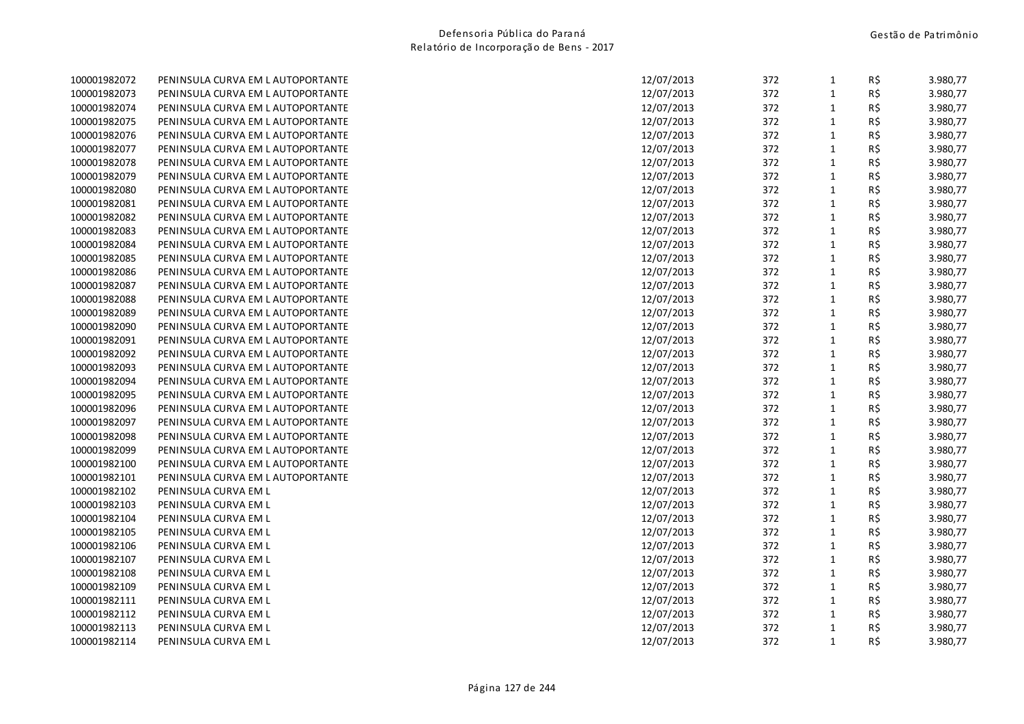| 100001982072 | PENINSULA CURVA EM L AUTOPORTANTE |
|--------------|-----------------------------------|
| 100001982073 | PENINSULA CURVA EM L AUTOPORTANTE |
| 100001982074 | PENINSULA CURVA EM L AUTOPORTANTE |
| 100001982075 | PENINSULA CURVA EM L AUTOPORTANTE |
| 100001982076 | PENINSULA CURVA EM L AUTOPORTANTE |
| 100001982077 | PENINSULA CURVA EM L AUTOPORTANTE |
| 100001982078 | PENINSULA CURVA EM L AUTOPORTANTE |
| 100001982079 | PENINSULA CURVA EM L AUTOPORTANTE |
| 100001982080 | PENINSULA CURVA EM L AUTOPORTANTE |
| 100001982081 | PENINSULA CURVA EM L AUTOPORTANTE |
| 100001982082 | PENINSULA CURVA EM L AUTOPORTANTE |
| 100001982083 | PENINSULA CURVA EM L AUTOPORTANTE |
| 100001982084 | PENINSULA CURVA EM L AUTOPORTANTE |
| 100001982085 | PENINSULA CURVA EM L AUTOPORTANTE |
| 100001982086 | PENINSULA CURVA EM L AUTOPORTANTE |
| 100001982087 | PENINSULA CURVA EM L AUTOPORTANTE |
| 100001982088 | PENINSULA CURVA EM L AUTOPORTANTE |
| 100001982089 | PENINSULA CURVA EM L AUTOPORTANTE |
| 100001982090 | PENINSULA CURVA EM L AUTOPORTANTE |
| 100001982091 | PENINSULA CURVA EM L AUTOPORTANTE |
| 100001982092 | PENINSULA CURVA EM L AUTOPORTANTE |
| 100001982093 | PENINSULA CURVA EM L AUTOPORTANTE |
| 100001982094 | PENINSULA CURVA EM L AUTOPORTANTE |
| 100001982095 | PENINSULA CURVA EM L AUTOPORTANTE |
| 100001982096 | PENINSULA CURVA EM L AUTOPORTANTE |
| 100001982097 | PENINSULA CURVA EM L AUTOPORTANTE |
| 100001982098 | PENINSULA CURVA EM L AUTOPORTANTE |
| 100001982099 | PENINSULA CURVA EM L AUTOPORTANTE |
| 100001982100 | PENINSULA CURVA EM L AUTOPORTANTE |
| 100001982101 | PENINSULA CURVA EM L AUTOPORTANTE |
| 100001982102 | PENINSULA CURVA EM L              |
| 100001982103 | PENINSULA CURVA EM L              |
| 100001982104 | PENINSULA CURVA EM L              |
| 100001982105 | PENINSULA CURVA EM L              |
| 100001982106 | PENINSULA CURVA EM L              |
| 100001982107 | PENINSULA CURVA EM L              |
| 100001982108 | PENINSULA CURVA EM L              |
| 100001982109 | PENINSULA CURVA EM L              |
| 100001982111 | PENINSULA CURVA EM L              |
| 100001982112 | PENINSULA CURVA EM L              |
| 100001982113 | PENINSULA CURVA EM L              |
| 100001982114 | PENINSULA CURVA EM L              |

| 100001982072 | PENINSULA CURVA EM L AUTOPORTANTE | 12/07/2013 | 372 | 1            | R\$ | 3.980,77 |
|--------------|-----------------------------------|------------|-----|--------------|-----|----------|
| 100001982073 | PENINSULA CURVA EM L AUTOPORTANTE | 12/07/2013 | 372 | $\mathbf 1$  | R\$ | 3.980,77 |
| 100001982074 | PENINSULA CURVA EM L AUTOPORTANTE | 12/07/2013 | 372 | $\mathbf{1}$ | R\$ | 3.980,77 |
| 100001982075 | PENINSULA CURVA EM L AUTOPORTANTE | 12/07/2013 | 372 | $\mathbf{1}$ | R\$ | 3.980,77 |
| 100001982076 | PENINSULA CURVA EM L AUTOPORTANTE | 12/07/2013 | 372 | $\mathbf 1$  | R\$ | 3.980,77 |
| 100001982077 | PENINSULA CURVA EM L AUTOPORTANTE | 12/07/2013 | 372 | $\mathbf 1$  | R\$ | 3.980,77 |
| 100001982078 | PENINSULA CURVA EM L AUTOPORTANTE | 12/07/2013 | 372 | $\mathbf{1}$ | R\$ | 3.980,77 |
| 100001982079 | PENINSULA CURVA EM L AUTOPORTANTE | 12/07/2013 | 372 | $\mathbf{1}$ | R\$ | 3.980,77 |
| 100001982080 | PENINSULA CURVA EM L AUTOPORTANTE | 12/07/2013 | 372 | $\mathbf 1$  | R\$ | 3.980,77 |
| 100001982081 | PENINSULA CURVA EM L AUTOPORTANTE | 12/07/2013 | 372 | $\mathbf{1}$ | R\$ | 3.980,77 |
| 100001982082 | PENINSULA CURVA EM L AUTOPORTANTE | 12/07/2013 | 372 | $\mathbf{1}$ | R\$ | 3.980,77 |
| 100001982083 | PENINSULA CURVA EM L AUTOPORTANTE | 12/07/2013 | 372 | $\mathbf{1}$ | R\$ | 3.980,77 |
| 100001982084 | PENINSULA CURVA EM L AUTOPORTANTE | 12/07/2013 | 372 | $\mathbf{1}$ | R\$ | 3.980,77 |
| 100001982085 | PENINSULA CURVA EM L AUTOPORTANTE | 12/07/2013 | 372 | $\mathbf 1$  | R\$ | 3.980,77 |
| 100001982086 | PENINSULA CURVA EM L AUTOPORTANTE | 12/07/2013 | 372 | $\mathbf{1}$ | R\$ | 3.980,77 |
| 100001982087 | PENINSULA CURVA EM L AUTOPORTANTE | 12/07/2013 | 372 | $\mathbf{1}$ | R\$ | 3.980,77 |
| 100001982088 | PENINSULA CURVA EM L AUTOPORTANTE | 12/07/2013 | 372 | $\mathbf{1}$ | R\$ | 3.980,77 |
| 100001982089 | PENINSULA CURVA EM L AUTOPORTANTE | 12/07/2013 | 372 | $\mathbf{1}$ | R\$ | 3.980,77 |
| 100001982090 | PENINSULA CURVA EM L AUTOPORTANTE | 12/07/2013 | 372 | $\mathbf 1$  | R\$ | 3.980,77 |
| 100001982091 | PENINSULA CURVA EM L AUTOPORTANTE | 12/07/2013 | 372 | $\mathbf 1$  | R\$ | 3.980,77 |
| 100001982092 | PENINSULA CURVA EM L AUTOPORTANTE | 12/07/2013 | 372 | $\mathbf{1}$ | R\$ | 3.980,77 |
| 100001982093 | PENINSULA CURVA EM L AUTOPORTANTE | 12/07/2013 | 372 | $\mathbf 1$  | R\$ | 3.980,77 |
| 100001982094 | PENINSULA CURVA EM L AUTOPORTANTE | 12/07/2013 | 372 | $\mathbf 1$  | R\$ | 3.980,77 |
| 100001982095 | PENINSULA CURVA EM L AUTOPORTANTE | 12/07/2013 | 372 | $\mathbf{1}$ | R\$ | 3.980,77 |
| 100001982096 | PENINSULA CURVA EM L AUTOPORTANTE | 12/07/2013 | 372 | $\mathbf{1}$ | R\$ | 3.980,77 |
| 100001982097 | PENINSULA CURVA EM L AUTOPORTANTE | 12/07/2013 | 372 | $\mathbf{1}$ | R\$ | 3.980,77 |
| 100001982098 | PENINSULA CURVA EM L AUTOPORTANTE | 12/07/2013 | 372 | $\mathbf{1}$ | R\$ | 3.980,77 |
| 100001982099 | PENINSULA CURVA EM L AUTOPORTANTE | 12/07/2013 | 372 | $\mathbf{1}$ | R\$ | 3.980,77 |
| 100001982100 | PENINSULA CURVA EM L AUTOPORTANTE | 12/07/2013 | 372 | $\mathbf{1}$ | R\$ | 3.980,77 |
| 100001982101 | PENINSULA CURVA EM L AUTOPORTANTE | 12/07/2013 | 372 | $\mathbf{1}$ | R\$ | 3.980,77 |
| 100001982102 | PENINSULA CURVA EM L              | 12/07/2013 | 372 | $\mathbf{1}$ | R\$ | 3.980,77 |
| 100001982103 | PENINSULA CURVA EM L              | 12/07/2013 | 372 | $\mathbf 1$  | R\$ | 3.980,77 |
| 100001982104 | PENINSULA CURVA EM L              | 12/07/2013 | 372 | $\mathbf{1}$ | R\$ | 3.980,77 |
| 100001982105 | PENINSULA CURVA EM L              | 12/07/2013 | 372 | $\mathbf{1}$ | R\$ | 3.980,77 |
| 100001982106 | PENINSULA CURVA EM L              | 12/07/2013 | 372 | $\mathbf{1}$ | R\$ | 3.980,77 |
| 100001982107 | PENINSULA CURVA EM L              | 12/07/2013 | 372 | $\mathbf{1}$ | R\$ | 3.980,77 |
| 100001982108 | PENINSULA CURVA EM L              | 12/07/2013 | 372 | $\mathbf 1$  | R\$ | 3.980,77 |
| 100001982109 | PENINSULA CURVA EM L              | 12/07/2013 | 372 | $\mathbf 1$  | R\$ | 3.980,77 |
| 100001982111 | PENINSULA CURVA EM L              | 12/07/2013 | 372 | $\mathbf{1}$ | R\$ | 3.980,77 |
| 100001982112 | PENINSULA CURVA EM L              | 12/07/2013 | 372 | $\mathbf{1}$ | R\$ | 3.980,77 |
| 100001982113 | PENINSULA CURVA EM L              | 12/07/2013 | 372 | $1\,$        | R\$ | 3.980,77 |
| 100001982114 | PENINSULA CURVA EM L              | 12/07/2013 | 372 | $\mathbf{1}$ | R\$ | 3.980,77 |
|              |                                   |            |     |              |     |          |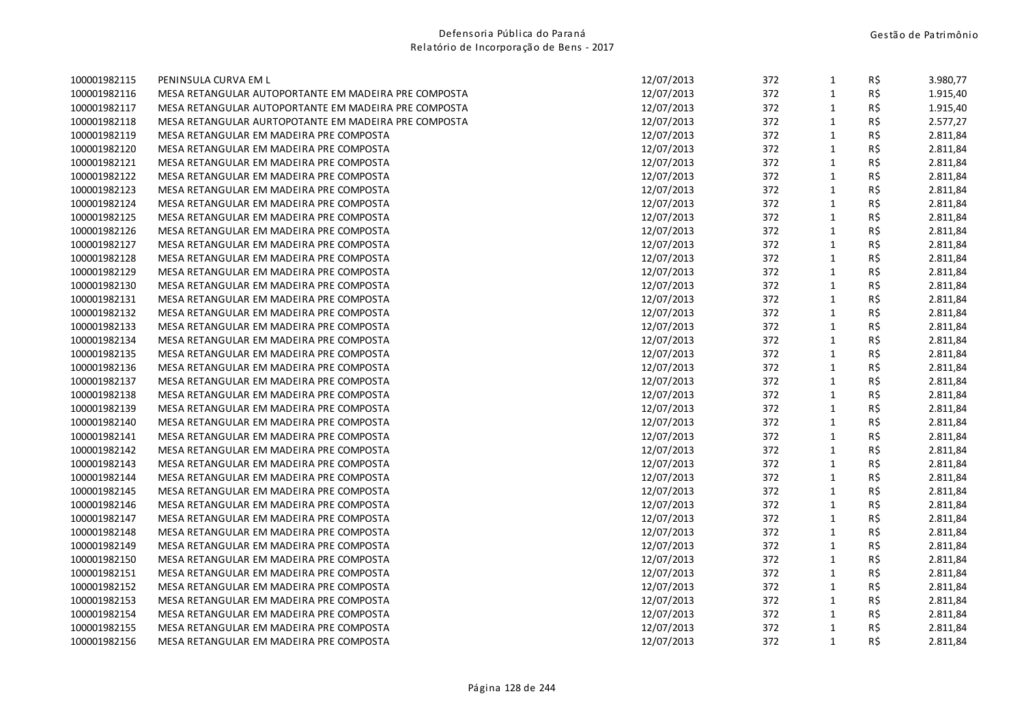| 100001982115 | PENINSULA CURVA EM L                                 | 12/07/2013 | 372 | $\mathbf{1}$ | R\$ | 3.980,77 |
|--------------|------------------------------------------------------|------------|-----|--------------|-----|----------|
| 100001982116 | MESA RETANGULAR AUTOPORTANTE EM MADEIRA PRE COMPOSTA | 12/07/2013 | 372 | $\mathbf{1}$ | R\$ | 1.915,40 |
| 100001982117 | MESA RETANGULAR AUTOPORTANTE EM MADEIRA PRE COMPOSTA | 12/07/2013 | 372 | $\mathbf{1}$ | R\$ | 1.915,40 |
| 100001982118 | MESA RETANGULAR AURTOPOTANTE EM MADEIRA PRE COMPOSTA | 12/07/2013 | 372 | $\mathbf{1}$ | R\$ | 2.577,27 |
| 100001982119 | MESA RETANGULAR EM MADEIRA PRE COMPOSTA              | 12/07/2013 | 372 | $\mathbf 1$  | R\$ | 2.811,84 |
| 100001982120 | MESA RETANGULAR EM MADEIRA PRE COMPOSTA              | 12/07/2013 | 372 | $\mathbf 1$  | R\$ | 2.811,84 |
| 100001982121 | MESA RETANGULAR EM MADEIRA PRE COMPOSTA              | 12/07/2013 | 372 | $\mathbf{1}$ | R\$ | 2.811,84 |
| 100001982122 | MESA RETANGULAR EM MADEIRA PRE COMPOSTA              | 12/07/2013 | 372 | $\mathbf{1}$ | R\$ | 2.811,84 |
| 100001982123 | MESA RETANGULAR EM MADEIRA PRE COMPOSTA              | 12/07/2013 | 372 | $\mathbf 1$  | R\$ | 2.811,84 |
| 100001982124 | MESA RETANGULAR EM MADEIRA PRE COMPOSTA              | 12/07/2013 | 372 | $\mathbf{1}$ | R\$ | 2.811,84 |
| 100001982125 | MESA RETANGULAR EM MADEIRA PRE COMPOSTA              | 12/07/2013 | 372 | $\mathbf{1}$ | R\$ | 2.811,84 |
| 100001982126 | MESA RETANGULAR EM MADEIRA PRE COMPOSTA              | 12/07/2013 | 372 | $\mathbf{1}$ | R\$ | 2.811,84 |
| 100001982127 | MESA RETANGULAR EM MADEIRA PRE COMPOSTA              | 12/07/2013 | 372 | $\mathbf{1}$ | R\$ | 2.811,84 |
| 100001982128 | MESA RETANGULAR EM MADEIRA PRE COMPOSTA              | 12/07/2013 | 372 | $\mathbf 1$  | R\$ | 2.811,84 |
| 100001982129 | MESA RETANGULAR EM MADEIRA PRE COMPOSTA              | 12/07/2013 | 372 | $\mathbf{1}$ | R\$ | 2.811,84 |
| 100001982130 | MESA RETANGULAR EM MADEIRA PRE COMPOSTA              | 12/07/2013 | 372 | $\mathbf{1}$ | R\$ | 2.811,84 |
| 100001982131 | MESA RETANGULAR EM MADEIRA PRE COMPOSTA              | 12/07/2013 | 372 | $\mathbf{1}$ | R\$ | 2.811,84 |
| 100001982132 | MESA RETANGULAR EM MADEIRA PRE COMPOSTA              | 12/07/2013 | 372 | $\mathbf 1$  | R\$ | 2.811,84 |
| 100001982133 | MESA RETANGULAR EM MADEIRA PRE COMPOSTA              | 12/07/2013 | 372 | $\mathbf{1}$ | R\$ | 2.811,84 |
| 100001982134 | MESA RETANGULAR EM MADEIRA PRE COMPOSTA              | 12/07/2013 | 372 | $\mathbf{1}$ | R\$ | 2.811,84 |
| 100001982135 | MESA RETANGULAR EM MADEIRA PRE COMPOSTA              | 12/07/2013 | 372 | $\mathbf{1}$ | R\$ | 2.811,84 |
| 100001982136 | MESA RETANGULAR EM MADEIRA PRE COMPOSTA              | 12/07/2013 | 372 | $\mathbf 1$  | R\$ | 2.811,84 |
| 100001982137 | MESA RETANGULAR EM MADEIRA PRE COMPOSTA              | 12/07/2013 | 372 | $\mathbf 1$  | R\$ | 2.811,84 |
| 100001982138 | MESA RETANGULAR EM MADEIRA PRE COMPOSTA              | 12/07/2013 | 372 | $\mathbf{1}$ | R\$ | 2.811,84 |
| 100001982139 | MESA RETANGULAR EM MADEIRA PRE COMPOSTA              | 12/07/2013 | 372 | $\mathbf{1}$ | R\$ | 2.811,84 |
| 100001982140 | MESA RETANGULAR EM MADEIRA PRE COMPOSTA              | 12/07/2013 | 372 | $\mathbf{1}$ | R\$ | 2.811,84 |
| 100001982141 | MESA RETANGULAR EM MADEIRA PRE COMPOSTA              | 12/07/2013 | 372 | $\mathbf{1}$ | R\$ | 2.811,84 |
| 100001982142 | MESA RETANGULAR EM MADEIRA PRE COMPOSTA              | 12/07/2013 | 372 | $\mathbf{1}$ | R\$ | 2.811,84 |
| 100001982143 | MESA RETANGULAR EM MADEIRA PRE COMPOSTA              | 12/07/2013 | 372 | $\mathbf{1}$ | R\$ | 2.811,84 |
| 100001982144 | MESA RETANGULAR EM MADEIRA PRE COMPOSTA              | 12/07/2013 | 372 | $\mathbf{1}$ | R\$ | 2.811,84 |
| 100001982145 | MESA RETANGULAR EM MADEIRA PRE COMPOSTA              | 12/07/2013 | 372 | $\mathbf 1$  | R\$ | 2.811,84 |
| 100001982146 | MESA RETANGULAR EM MADEIRA PRE COMPOSTA              | 12/07/2013 | 372 | $\mathbf 1$  | R\$ | 2.811,84 |
| 100001982147 | MESA RETANGULAR EM MADEIRA PRE COMPOSTA              | 12/07/2013 | 372 | $\mathbf{1}$ | R\$ | 2.811,84 |
| 100001982148 | MESA RETANGULAR EM MADEIRA PRE COMPOSTA              | 12/07/2013 | 372 | $\mathbf{1}$ | R\$ | 2.811,84 |
| 100001982149 | MESA RETANGULAR EM MADEIRA PRE COMPOSTA              | 12/07/2013 | 372 | $\mathbf{1}$ | R\$ | 2.811,84 |
| 100001982150 | MESA RETANGULAR EM MADEIRA PRE COMPOSTA              | 12/07/2013 | 372 | $\mathbf 1$  | R\$ | 2.811,84 |
| 100001982151 | MESA RETANGULAR EM MADEIRA PRE COMPOSTA              | 12/07/2013 | 372 | $\mathbf{1}$ | R\$ | 2.811,84 |
| 100001982152 | MESA RETANGULAR EM MADEIRA PRE COMPOSTA              | 12/07/2013 | 372 | $\mathbf{1}$ | R\$ | 2.811,84 |
| 100001982153 | MESA RETANGULAR EM MADEIRA PRE COMPOSTA              | 12/07/2013 | 372 | $\mathbf{1}$ | R\$ | 2.811,84 |
| 100001982154 | MESA RETANGULAR EM MADEIRA PRE COMPOSTA              | 12/07/2013 | 372 | $\mathbf{1}$ | R\$ | 2.811,84 |
| 100001982155 | MESA RETANGULAR EM MADEIRA PRE COMPOSTA              | 12/07/2013 | 372 | $\mathbf{1}$ | R\$ | 2.811,84 |
| 100001982156 | MESA RETANGULAR EM MADEIRA PRE COMPOSTA              | 12/07/2013 | 372 | $\mathbf 1$  | R\$ | 2.811,84 |
|              |                                                      |            |     |              |     |          |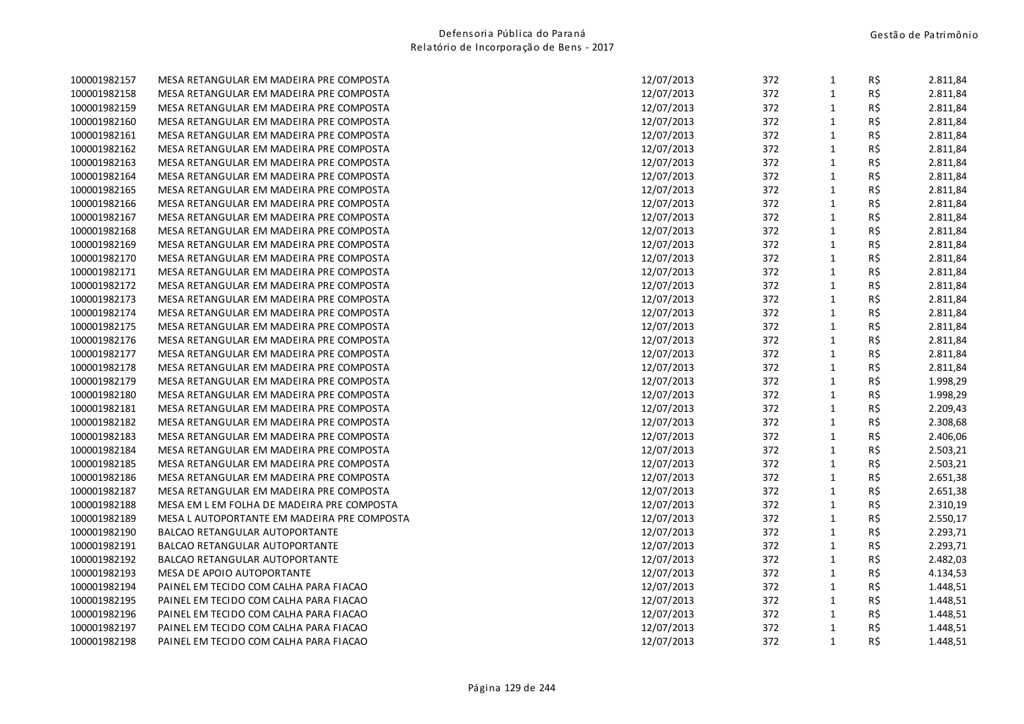| 100001982157 | MESA RETANGULAR EM MADEIRA PRE COMPOSTA     | 12/07/2013 | 372 | $\mathbf{1}$ | R\$ | 2.811,84 |
|--------------|---------------------------------------------|------------|-----|--------------|-----|----------|
| 100001982158 | MESA RETANGULAR EM MADEIRA PRE COMPOSTA     | 12/07/2013 | 372 | $1\,$        | R\$ | 2.811,84 |
| 100001982159 | MESA RETANGULAR EM MADEIRA PRE COMPOSTA     | 12/07/2013 | 372 | $1\,$        | R\$ | 2.811,84 |
| 100001982160 | MESA RETANGULAR EM MADEIRA PRE COMPOSTA     | 12/07/2013 | 372 | $\mathbf{1}$ | R\$ | 2.811,84 |
| 100001982161 | MESA RETANGULAR EM MADEIRA PRE COMPOSTA     | 12/07/2013 | 372 | $\mathbf 1$  | R\$ | 2.811,84 |
| 100001982162 | MESA RETANGULAR EM MADEIRA PRE COMPOSTA     | 12/07/2013 | 372 | $\mathbf{1}$ | R\$ | 2.811,84 |
| 100001982163 | MESA RETANGULAR EM MADEIRA PRE COMPOSTA     | 12/07/2013 | 372 | $\mathbf 1$  | R\$ | 2.811,84 |
| 100001982164 | MESA RETANGULAR EM MADEIRA PRE COMPOSTA     | 12/07/2013 | 372 | $\mathbf{1}$ | R\$ | 2.811,84 |
| 100001982165 | MESA RETANGULAR EM MADEIRA PRE COMPOSTA     | 12/07/2013 | 372 | $\mathbf{1}$ | R\$ | 2.811,84 |
| 100001982166 | MESA RETANGULAR EM MADEIRA PRE COMPOSTA     | 12/07/2013 | 372 | $\mathbf{1}$ | R\$ | 2.811,84 |
| 100001982167 | MESA RETANGULAR EM MADEIRA PRE COMPOSTA     | 12/07/2013 | 372 | $1\,$        | R\$ | 2.811,84 |
| 100001982168 | MESA RETANGULAR EM MADEIRA PRE COMPOSTA     | 12/07/2013 | 372 | $1\,$        | R\$ | 2.811,84 |
| 100001982169 | MESA RETANGULAR EM MADEIRA PRE COMPOSTA     | 12/07/2013 | 372 | $1\,$        | R\$ | 2.811,84 |
| 100001982170 | MESA RETANGULAR EM MADEIRA PRE COMPOSTA     | 12/07/2013 | 372 | $\mathbf 1$  | R\$ | 2.811,84 |
| 100001982171 | MESA RETANGULAR EM MADEIRA PRE COMPOSTA     | 12/07/2013 | 372 | $\mathbf{1}$ | R\$ | 2.811,84 |
| 100001982172 | MESA RETANGULAR EM MADEIRA PRE COMPOSTA     | 12/07/2013 | 372 | $\mathbf 1$  | R\$ | 2.811,84 |
| 100001982173 | MESA RETANGULAR EM MADEIRA PRE COMPOSTA     | 12/07/2013 | 372 | $1\,$        | R\$ | 2.811,84 |
| 100001982174 | MESA RETANGULAR EM MADEIRA PRE COMPOSTA     | 12/07/2013 | 372 | $\mathbf 1$  | R\$ | 2.811,84 |
| 100001982175 | MESA RETANGULAR EM MADEIRA PRE COMPOSTA     | 12/07/2013 | 372 | $\mathbf 1$  | R\$ | 2.811,84 |
| 100001982176 | MESA RETANGULAR EM MADEIRA PRE COMPOSTA     | 12/07/2013 | 372 | $1\,$        | R\$ | 2.811,84 |
| 100001982177 | MESA RETANGULAR EM MADEIRA PRE COMPOSTA     | 12/07/2013 | 372 | $1\,$        | R\$ | 2.811,84 |
| 100001982178 | MESA RETANGULAR EM MADEIRA PRE COMPOSTA     | 12/07/2013 | 372 | $\mathbf 1$  | R\$ | 2.811,84 |
| 100001982179 | MESA RETANGULAR EM MADEIRA PRE COMPOSTA     | 12/07/2013 | 372 | $1\,$        | R\$ | 1.998,29 |
| 100001982180 | MESA RETANGULAR EM MADEIRA PRE COMPOSTA     | 12/07/2013 | 372 | $\mathbf{1}$ | R\$ | 1.998,29 |
| 100001982181 | MESA RETANGULAR EM MADEIRA PRE COMPOSTA     | 12/07/2013 | 372 | $\mathbf{1}$ | R\$ | 2.209,43 |
| 100001982182 | MESA RETANGULAR EM MADEIRA PRE COMPOSTA     | 12/07/2013 | 372 | $\mathbf{1}$ | R\$ | 2.308,68 |
| 100001982183 | MESA RETANGULAR EM MADEIRA PRE COMPOSTA     | 12/07/2013 | 372 | $1\,$        | R\$ | 2.406,06 |
| 100001982184 | MESA RETANGULAR EM MADEIRA PRE COMPOSTA     | 12/07/2013 | 372 | $\mathbf 1$  | R\$ | 2.503,21 |
| 100001982185 | MESA RETANGULAR EM MADEIRA PRE COMPOSTA     | 12/07/2013 | 372 | $1\,$        | R\$ | 2.503,21 |
| 100001982186 | MESA RETANGULAR EM MADEIRA PRE COMPOSTA     | 12/07/2013 | 372 | $\mathbf 1$  | R\$ | 2.651,38 |
| 100001982187 | MESA RETANGULAR EM MADEIRA PRE COMPOSTA     | 12/07/2013 | 372 | $\mathbf{1}$ | R\$ | 2.651,38 |
| 100001982188 | MESA EM L EM FOLHA DE MADEIRA PRE COMPOSTA  | 12/07/2013 | 372 | $\mathbf 1$  | R\$ | 2.310,19 |
| 100001982189 | MESA L AUTOPORTANTE EM MADEIRA PRE COMPOSTA | 12/07/2013 | 372 | $1\,$        | R\$ | 2.550,17 |
| 100001982190 | <b>BALCAO RETANGULAR AUTOPORTANTE</b>       | 12/07/2013 | 372 | $\mathbf{1}$ | R\$ | 2.293,71 |
| 100001982191 | <b>BALCAO RETANGULAR AUTOPORTANTE</b>       | 12/07/2013 | 372 | $\mathbf{1}$ | R\$ | 2.293,71 |
| 100001982192 | <b>BALCAO RETANGULAR AUTOPORTANTE</b>       | 12/07/2013 | 372 | $1\,$        | R\$ | 2.482,03 |
| 100001982193 | MESA DE APOIO AUTOPORTANTE                  | 12/07/2013 | 372 | $\mathbf 1$  | R\$ | 4.134,53 |
| 100001982194 | PAINEL EM TECIDO COM CALHA PARA FIACAO      | 12/07/2013 | 372 | $\mathbf{1}$ | R\$ | 1.448,51 |
| 100001982195 | PAINEL EM TECIDO COM CALHA PARA FIACAO      | 12/07/2013 | 372 | $\mathbf{1}$ | R\$ | 1.448,51 |
| 100001982196 | PAINEL EM TECIDO COM CALHA PARA FIACAO      | 12/07/2013 | 372 | $\mathbf{1}$ | R\$ | 1.448,51 |
| 100001982197 | PAINEL EM TECIDO COM CALHA PARA FIACAO      | 12/07/2013 | 372 | $\mathbf 1$  | R\$ | 1.448,51 |
| 100001982198 | PAINEL EM TECIDO COM CALHA PARA FIACAO      | 12/07/2013 | 372 | $\mathbf{1}$ | R\$ | 1.448,51 |
|              |                                             |            |     |              |     |          |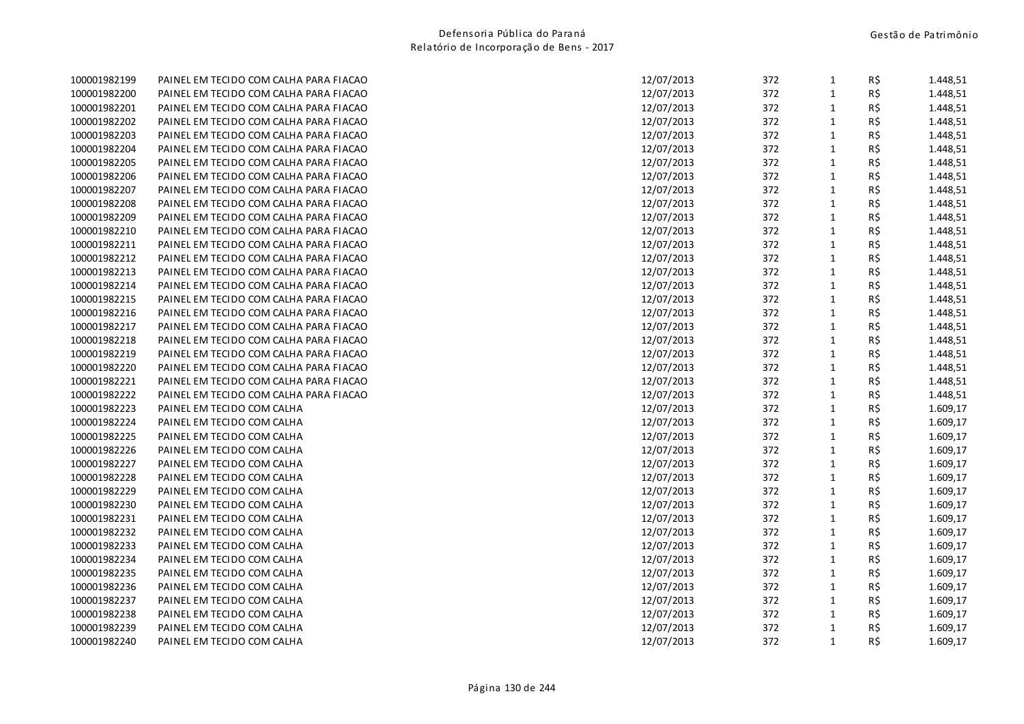| 100001982199 | PAINEL EM TECIDO COM CALHA PARA FIACAO | 12/07/2013 | 372 | $\mathbf{1}$ | R\$ | 1.448,51 |
|--------------|----------------------------------------|------------|-----|--------------|-----|----------|
| 100001982200 | PAINEL EM TECIDO COM CALHA PARA FIACAO | 12/07/2013 | 372 | $\mathbf{1}$ | R\$ | 1.448,51 |
| 100001982201 | PAINEL EM TECIDO COM CALHA PARA FIACAO | 12/07/2013 | 372 | $\mathbf{1}$ | R\$ | 1.448,51 |
| 100001982202 | PAINEL EM TECIDO COM CALHA PARA FIACAO | 12/07/2013 | 372 | $\mathbf 1$  | R\$ | 1.448,51 |
| 100001982203 | PAINEL EM TECIDO COM CALHA PARA FIACAO | 12/07/2013 | 372 | $\mathbf{1}$ | R\$ | 1.448,51 |
| 100001982204 | PAINEL EM TECIDO COM CALHA PARA FIACAO | 12/07/2013 | 372 | $\mathbf{1}$ | R\$ | 1.448,51 |
| 100001982205 | PAINEL EM TECIDO COM CALHA PARA FIACAO | 12/07/2013 | 372 | $\mathbf{1}$ | R\$ | 1.448,51 |
| 100001982206 | PAINEL EM TECIDO COM CALHA PARA FIACAO | 12/07/2013 | 372 | $\mathbf{1}$ | R\$ | 1.448,51 |
| 100001982207 | PAINEL EM TECIDO COM CALHA PARA FIACAO | 12/07/2013 | 372 | $\mathbf 1$  | R\$ | 1.448,51 |
| 100001982208 | PAINEL EM TECIDO COM CALHA PARA FIACAO | 12/07/2013 | 372 | $\mathbf{1}$ | R\$ | 1.448,51 |
| 100001982209 | PAINEL EM TECIDO COM CALHA PARA FIACAO | 12/07/2013 | 372 | $\mathbf{1}$ | R\$ | 1.448,51 |
| 100001982210 | PAINEL EM TECIDO COM CALHA PARA FIACAO | 12/07/2013 | 372 | $\mathbf{1}$ | R\$ | 1.448,51 |
| 100001982211 | PAINEL EM TECIDO COM CALHA PARA FIACAO | 12/07/2013 | 372 | $\mathbf 1$  | R\$ | 1.448,51 |
| 100001982212 | PAINEL EM TECIDO COM CALHA PARA FIACAO | 12/07/2013 | 372 | $\mathbf 1$  | R\$ | 1.448,51 |
| 100001982213 | PAINEL EM TECIDO COM CALHA PARA FIACAO | 12/07/2013 | 372 | $\mathbf{1}$ | R\$ | 1.448,51 |
| 100001982214 | PAINEL EM TECIDO COM CALHA PARA FIACAO | 12/07/2013 | 372 | $\mathbf{1}$ | R\$ | 1.448,51 |
| 100001982215 | PAINEL EM TECIDO COM CALHA PARA FIACAO | 12/07/2013 | 372 | $\mathbf{1}$ | R\$ | 1.448,51 |
| 100001982216 | PAINEL EM TECIDO COM CALHA PARA FIACAO | 12/07/2013 | 372 | $\mathbf 1$  | R\$ | 1.448,51 |
| 100001982217 | PAINEL EM TECIDO COM CALHA PARA FIACAO | 12/07/2013 | 372 | $\mathbf{1}$ | R\$ | 1.448,51 |
| 100001982218 | PAINEL EM TECIDO COM CALHA PARA FIACAO | 12/07/2013 | 372 | $\mathbf{1}$ | R\$ | 1.448,51 |
| 100001982219 | PAINEL EM TECIDO COM CALHA PARA FIACAO | 12/07/2013 | 372 | $\mathbf{1}$ | R\$ | 1.448,51 |
| 100001982220 | PAINEL EM TECIDO COM CALHA PARA FIACAO | 12/07/2013 | 372 | $\mathbf{1}$ | R\$ | 1.448,51 |
| 100001982221 | PAINEL EM TECIDO COM CALHA PARA FIACAO | 12/07/2013 | 372 | $\mathbf 1$  | R\$ | 1.448,51 |
| 100001982222 | PAINEL EM TECIDO COM CALHA PARA FIACAO | 12/07/2013 | 372 | $\mathbf{1}$ | R\$ | 1.448,51 |
| 100001982223 | PAINEL EM TECIDO COM CALHA             | 12/07/2013 | 372 | $\mathbf{1}$ | R\$ | 1.609,17 |
| 100001982224 | PAINEL EM TECIDO COM CALHA             | 12/07/2013 | 372 | $\mathbf{1}$ | R\$ | 1.609,17 |
| 100001982225 | PAINEL EM TECIDO COM CALHA             | 12/07/2013 | 372 | $\mathbf 1$  | R\$ | 1.609,17 |
| 100001982226 | PAINEL EM TECIDO COM CALHA             | 12/07/2013 | 372 | $\mathbf{1}$ | R\$ | 1.609,17 |
| 100001982227 | PAINEL EM TECIDO COM CALHA             | 12/07/2013 | 372 | $\mathbf{1}$ | R\$ | 1.609,17 |
| 100001982228 | PAINEL EM TECIDO COM CALHA             | 12/07/2013 | 372 | $\mathbf{1}$ | R\$ | 1.609,17 |
| 100001982229 | PAINEL EM TECIDO COM CALHA             | 12/07/2013 | 372 | $\mathbf{1}$ | R\$ | 1.609,17 |
| 100001982230 | PAINEL EM TECIDO COM CALHA             | 12/07/2013 | 372 | $\mathbf 1$  | R\$ | 1.609,17 |
| 100001982231 | PAINEL EM TECIDO COM CALHA             | 12/07/2013 | 372 | $\mathbf{1}$ | R\$ | 1.609,17 |
| 100001982232 | PAINEL EM TECIDO COM CALHA             | 12/07/2013 | 372 | $\mathbf{1}$ | R\$ | 1.609,17 |
| 100001982233 | PAINEL EM TECIDO COM CALHA             | 12/07/2013 | 372 | $\mathbf{1}$ | R\$ | 1.609,17 |
| 100001982234 | PAINEL EM TECIDO COM CALHA             | 12/07/2013 | 372 | $\mathbf 1$  | R\$ | 1.609,17 |
| 100001982235 | PAINEL EM TECIDO COM CALHA             | 12/07/2013 | 372 | $\mathbf{1}$ | R\$ | 1.609,17 |
| 100001982236 | PAINEL EM TECIDO COM CALHA             | 12/07/2013 | 372 | $\mathbf{1}$ | R\$ | 1.609,17 |
| 100001982237 | PAINEL EM TECIDO COM CALHA             | 12/07/2013 | 372 | $\mathbf{1}$ | R\$ | 1.609,17 |
| 100001982238 | PAINEL EM TECIDO COM CALHA             | 12/07/2013 | 372 | $\mathbf{1}$ | R\$ | 1.609,17 |
| 100001982239 | PAINEL EM TECIDO COM CALHA             | 12/07/2013 | 372 | $\mathbf{1}$ | R\$ | 1.609,17 |
| 100001982240 | PAINEL EM TECIDO COM CALHA             | 12/07/2013 | 372 | $\mathbf{1}$ | R\$ | 1.609,17 |
|              |                                        |            |     |              |     |          |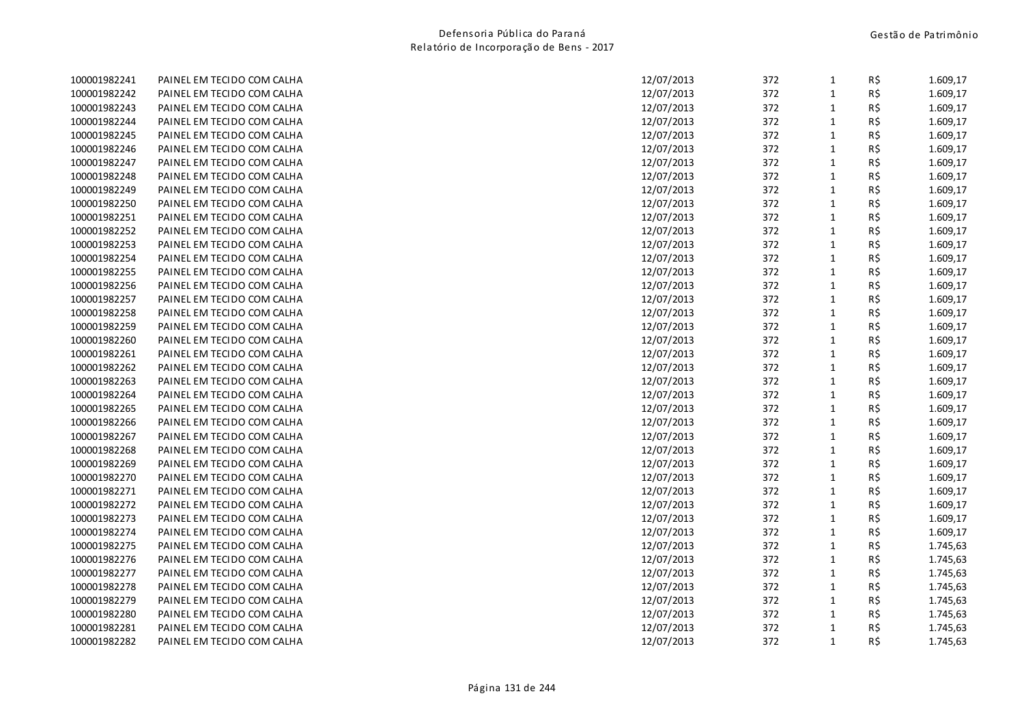| 100001982241 | PAINEL EM TECIDO COM CALHA | 12/07/2013 | 372 | $\mathbf{1}$ | R\$ | 1.609,17 |
|--------------|----------------------------|------------|-----|--------------|-----|----------|
| 100001982242 | PAINEL EM TECIDO COM CALHA | 12/07/2013 | 372 | $\mathbf{1}$ | R\$ | 1.609,17 |
| 100001982243 | PAINEL EM TECIDO COM CALHA | 12/07/2013 | 372 | $\mathbf{1}$ | R\$ | 1.609,17 |
| 100001982244 | PAINEL EM TECIDO COM CALHA | 12/07/2013 | 372 | $\mathbf{1}$ | R\$ | 1.609,17 |
| 100001982245 | PAINEL EM TECIDO COM CALHA | 12/07/2013 | 372 | $\mathbf{1}$ | R\$ | 1.609,17 |
| 100001982246 | PAINEL EM TECIDO COM CALHA | 12/07/2013 | 372 | $\mathbf{1}$ | R\$ | 1.609,17 |
| 100001982247 | PAINEL EM TECIDO COM CALHA | 12/07/2013 | 372 | 1            | R\$ | 1.609,17 |
| 100001982248 | PAINEL EM TECIDO COM CALHA | 12/07/2013 | 372 | $\mathbf{1}$ | R\$ | 1.609,17 |
| 100001982249 | PAINEL EM TECIDO COM CALHA | 12/07/2013 | 372 | $\mathbf{1}$ | R\$ | 1.609,17 |
| 100001982250 | PAINEL EM TECIDO COM CALHA | 12/07/2013 | 372 | $\mathbf{1}$ | R\$ | 1.609,17 |
| 100001982251 | PAINEL EM TECIDO COM CALHA | 12/07/2013 | 372 | $\mathbf{1}$ | R\$ | 1.609,17 |
| 100001982252 | PAINEL EM TECIDO COM CALHA | 12/07/2013 | 372 | $\mathbf{1}$ | R\$ | 1.609,17 |
| 100001982253 | PAINEL EM TECIDO COM CALHA | 12/07/2013 | 372 | $\mathbf{1}$ | R\$ | 1.609,17 |
| 100001982254 | PAINEL EM TECIDO COM CALHA | 12/07/2013 | 372 | $\mathbf{1}$ | R\$ | 1.609,17 |
| 100001982255 | PAINEL EM TECIDO COM CALHA | 12/07/2013 | 372 | $\mathbf{1}$ | R\$ | 1.609,17 |
| 100001982256 | PAINEL EM TECIDO COM CALHA | 12/07/2013 | 372 | $\mathbf{1}$ | R\$ | 1.609,17 |
| 100001982257 | PAINEL EM TECIDO COM CALHA | 12/07/2013 | 372 | $\mathbf{1}$ | R\$ | 1.609,17 |
| 100001982258 | PAINEL EM TECIDO COM CALHA | 12/07/2013 | 372 | $\mathbf{1}$ | R\$ | 1.609,17 |
| 100001982259 | PAINEL EM TECIDO COM CALHA | 12/07/2013 | 372 | $\mathbf{1}$ | R\$ | 1.609,17 |
| 100001982260 | PAINEL EM TECIDO COM CALHA | 12/07/2013 | 372 | $\mathbf{1}$ | R\$ | 1.609,17 |
| 100001982261 | PAINEL EM TECIDO COM CALHA | 12/07/2013 | 372 | $\mathbf{1}$ | R\$ | 1.609,17 |
| 100001982262 | PAINEL EM TECIDO COM CALHA | 12/07/2013 | 372 | $\mathbf{1}$ | R\$ | 1.609,17 |
| 100001982263 | PAINEL EM TECIDO COM CALHA | 12/07/2013 | 372 | $\mathbf 1$  | R\$ | 1.609,17 |
| 100001982264 | PAINEL EM TECIDO COM CALHA | 12/07/2013 | 372 | 1            | R\$ | 1.609,17 |
| 100001982265 | PAINEL EM TECIDO COM CALHA | 12/07/2013 | 372 | 1            | R\$ | 1.609,17 |
| 100001982266 | PAINEL EM TECIDO COM CALHA | 12/07/2013 | 372 | 1            | R\$ | 1.609,17 |
| 100001982267 | PAINEL EM TECIDO COM CALHA | 12/07/2013 | 372 | $\mathbf{1}$ | R\$ | 1.609,17 |
| 100001982268 | PAINEL EM TECIDO COM CALHA | 12/07/2013 | 372 | $\mathbf{1}$ | R\$ | 1.609,17 |
| 100001982269 | PAINEL EM TECIDO COM CALHA | 12/07/2013 | 372 | $\mathbf{1}$ | R\$ | 1.609,17 |
| 100001982270 | PAINEL EM TECIDO COM CALHA | 12/07/2013 | 372 | $\mathbf{1}$ | R\$ | 1.609,17 |
| 100001982271 | PAINEL EM TECIDO COM CALHA | 12/07/2013 | 372 | $\mathbf{1}$ | R\$ | 1.609,17 |
| 100001982272 | PAINEL EM TECIDO COM CALHA | 12/07/2013 | 372 | $\mathbf{1}$ | R\$ | 1.609,17 |
| 100001982273 | PAINEL EM TECIDO COM CALHA | 12/07/2013 | 372 | $\mathbf{1}$ | R\$ | 1.609,17 |
| 100001982274 | PAINEL EM TECIDO COM CALHA | 12/07/2013 | 372 | $\mathbf{1}$ | R\$ | 1.609,17 |
| 100001982275 | PAINEL EM TECIDO COM CALHA | 12/07/2013 | 372 | $\mathbf{1}$ | R\$ | 1.745,63 |
| 100001982276 | PAINEL EM TECIDO COM CALHA | 12/07/2013 | 372 | $\mathbf{1}$ | R\$ | 1.745,63 |
| 100001982277 | PAINEL EM TECIDO COM CALHA | 12/07/2013 | 372 | $\mathbf{1}$ | R\$ | 1.745,63 |
| 100001982278 | PAINEL EM TECIDO COM CALHA | 12/07/2013 | 372 | $\mathbf{1}$ | R\$ | 1.745,63 |
| 100001982279 | PAINEL EM TECIDO COM CALHA | 12/07/2013 | 372 | $\mathbf{1}$ | R\$ | 1.745,63 |
| 100001982280 | PAINEL EM TECIDO COM CALHA | 12/07/2013 | 372 | $\mathbf{1}$ | R\$ | 1.745,63 |
| 100001982281 | PAINEL EM TECIDO COM CALHA | 12/07/2013 | 372 | $\mathbf{1}$ | R\$ | 1.745,63 |
| 100001982282 | PAINEL EM TECIDO COM CALHA | 12/07/2013 | 372 | $\mathbf{1}$ | R\$ | 1.745,63 |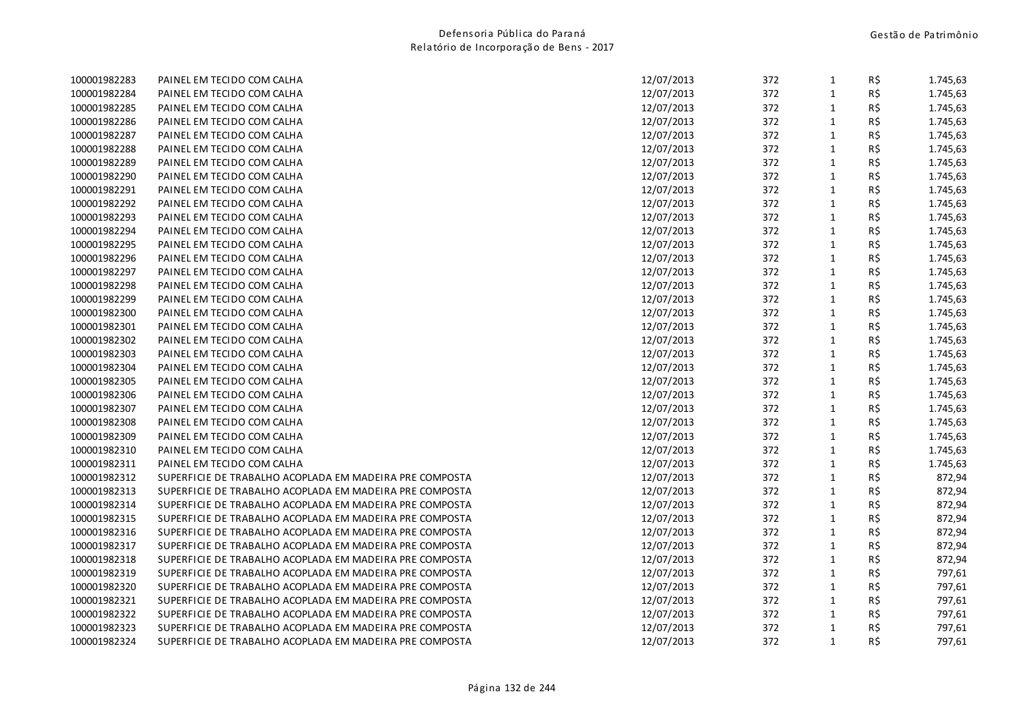| 100001982283 | PAINEL EM TECIDO COM CALHA                              | 12/07/2013 | 372 | $\mathbf{1}$ | R\$            | 1.745,63 |
|--------------|---------------------------------------------------------|------------|-----|--------------|----------------|----------|
| 100001982284 | PAINEL EM TECIDO COM CALHA                              | 12/07/2013 | 372 | $\mathbf{1}$ | R\$            | 1.745,63 |
| 100001982285 | PAINEL EM TECIDO COM CALHA                              | 12/07/2013 | 372 | $\mathbf{1}$ | R\$            | 1.745,63 |
| 100001982286 | PAINEL EM TECIDO COM CALHA                              | 12/07/2013 | 372 | $\mathbf{1}$ | R\$            | 1.745,63 |
| 100001982287 | PAINEL EM TECIDO COM CALHA                              | 12/07/2013 | 372 | $\mathbf{1}$ | R\$            | 1.745,63 |
| 100001982288 | PAINEL EM TECIDO COM CALHA                              | 12/07/2013 | 372 | $\mathbf{1}$ | R\$            | 1.745,63 |
| 100001982289 | PAINEL EM TECIDO COM CALHA                              | 12/07/2013 | 372 | $\mathbf{1}$ | R\$            | 1.745,63 |
| 100001982290 | PAINEL EM TECIDO COM CALHA                              | 12/07/2013 | 372 | $\mathbf{1}$ | R\$            | 1.745,63 |
| 100001982291 | PAINEL EM TECIDO COM CALHA                              | 12/07/2013 | 372 | $\mathbf{1}$ | R\$            | 1.745,63 |
| 100001982292 | PAINEL EM TECIDO COM CALHA                              | 12/07/2013 | 372 | $\mathbf{1}$ | R\$            | 1.745,63 |
| 100001982293 | PAINEL EM TECIDO COM CALHA                              | 12/07/2013 | 372 | $\mathbf{1}$ | R\$            | 1.745,63 |
| 100001982294 | PAINEL EM TECIDO COM CALHA                              | 12/07/2013 | 372 | $\mathbf{1}$ | R\$            | 1.745,63 |
| 100001982295 | PAINEL EM TECIDO COM CALHA                              | 12/07/2013 | 372 | $\mathbf{1}$ | R\$            | 1.745,63 |
| 100001982296 | PAINEL EM TECIDO COM CALHA                              | 12/07/2013 | 372 | $\mathbf{1}$ | R\$            | 1.745,63 |
| 100001982297 | PAINEL EM TECIDO COM CALHA                              | 12/07/2013 | 372 | $\mathbf{1}$ | R\$            | 1.745,63 |
| 100001982298 | PAINEL EM TECIDO COM CALHA                              | 12/07/2013 | 372 | $\mathbf{1}$ | R\$            | 1.745,63 |
| 100001982299 | PAINEL EM TECIDO COM CALHA                              | 12/07/2013 | 372 | $\mathbf{1}$ | R\$            | 1.745,63 |
| 100001982300 | PAINEL EM TECIDO COM CALHA                              | 12/07/2013 | 372 | $\mathbf{1}$ | R\$            | 1.745,63 |
| 100001982301 | PAINEL EM TECIDO COM CALHA                              | 12/07/2013 | 372 | $\mathbf{1}$ | R\$            | 1.745,63 |
| 100001982302 | PAINEL EM TECIDO COM CALHA                              | 12/07/2013 | 372 | $\mathbf 1$  | R\$            | 1.745,63 |
| 100001982303 | PAINEL EM TECIDO COM CALHA                              | 12/07/2013 | 372 | $\mathbf{1}$ | R\$            | 1.745,63 |
| 100001982304 | PAINEL EM TECIDO COM CALHA                              | 12/07/2013 | 372 | $\mathbf{1}$ | R\$            | 1.745,63 |
| 100001982305 | PAINEL EM TECIDO COM CALHA                              | 12/07/2013 | 372 | $\mathbf{1}$ | R\$            | 1.745,63 |
| 100001982306 | PAINEL EM TECIDO COM CALHA                              | 12/07/2013 | 372 | $\mathbf{1}$ | R\$            | 1.745,63 |
| 100001982307 | PAINEL EM TECIDO COM CALHA                              | 12/07/2013 | 372 | $\mathbf{1}$ | R\$            | 1.745,63 |
| 100001982308 | PAINEL EM TECIDO COM CALHA                              | 12/07/2013 | 372 | $\mathbf{1}$ | R\$            | 1.745,63 |
| 100001982309 | PAINEL EM TECIDO COM CALHA                              | 12/07/2013 | 372 | $\mathbf{1}$ | R\$            | 1.745,63 |
| 100001982310 | PAINEL EM TECIDO COM CALHA                              | 12/07/2013 | 372 | $\mathbf{1}$ | R\$            | 1.745,63 |
| 100001982311 | PAINEL EM TECIDO COM CALHA                              | 12/07/2013 | 372 | $\mathbf{1}$ | R\$            | 1.745,63 |
| 100001982312 | SUPERFICIE DE TRABALHO ACOPLADA EM MADEIRA PRE COMPOSTA | 12/07/2013 | 372 | $\mathbf{1}$ | R\$            | 872,94   |
| 100001982313 | SUPERFICIE DE TRABALHO ACOPLADA EM MADEIRA PRE COMPOSTA | 12/07/2013 | 372 | $\mathbf{1}$ | R\$            | 872,94   |
| 100001982314 | SUPERFICIE DE TRABALHO ACOPLADA EM MADEIRA PRE COMPOSTA | 12/07/2013 | 372 | $\mathbf{1}$ | $R\frac{2}{3}$ | 872,94   |
| 100001982315 | SUPERFICIE DE TRABALHO ACOPLADA EM MADEIRA PRE COMPOSTA | 12/07/2013 | 372 | $\mathbf{1}$ | R\$            | 872,94   |
| 100001982316 | SUPERFICIE DE TRABALHO ACOPLADA EM MADEIRA PRE COMPOSTA | 12/07/2013 | 372 | $\mathbf{1}$ | R\$            | 872,94   |
| 100001982317 | SUPERFICIE DE TRABALHO ACOPLADA EM MADEIRA PRE COMPOSTA | 12/07/2013 | 372 | $\mathbf{1}$ | R\$            | 872,94   |
| 100001982318 | SUPERFICIE DE TRABALHO ACOPLADA EM MADEIRA PRE COMPOSTA | 12/07/2013 | 372 | $\mathbf{1}$ | R\$            | 872,94   |
| 100001982319 | SUPERFICIE DE TRABALHO ACOPLADA EM MADEIRA PRE COMPOSTA | 12/07/2013 | 372 | $\mathbf{1}$ | R\$            | 797,61   |
| 100001982320 | SUPERFICIE DE TRABALHO ACOPLADA EM MADEIRA PRE COMPOSTA | 12/07/2013 | 372 | $\mathbf{1}$ | R\$            | 797,61   |
| 100001982321 | SUPERFICIE DE TRABALHO ACOPLADA EM MADEIRA PRE COMPOSTA | 12/07/2013 | 372 | $\mathbf{1}$ | R\$            | 797,61   |
| 100001982322 | SUPERFICIE DE TRABALHO ACOPLADA EM MADEIRA PRE COMPOSTA | 12/07/2013 | 372 | $\mathbf{1}$ | R\$            | 797,61   |
| 100001982323 | SUPERFICIE DE TRABALHO ACOPLADA EM MADEIRA PRE COMPOSTA | 12/07/2013 | 372 | $\mathbf{1}$ | R\$            | 797,61   |
| 100001982324 | SUPERFICIE DE TRABALHO ACOPLADA EM MADEIRA PRE COMPOSTA | 12/07/2013 | 372 | $\mathbf{1}$ | R\$            | 797,61   |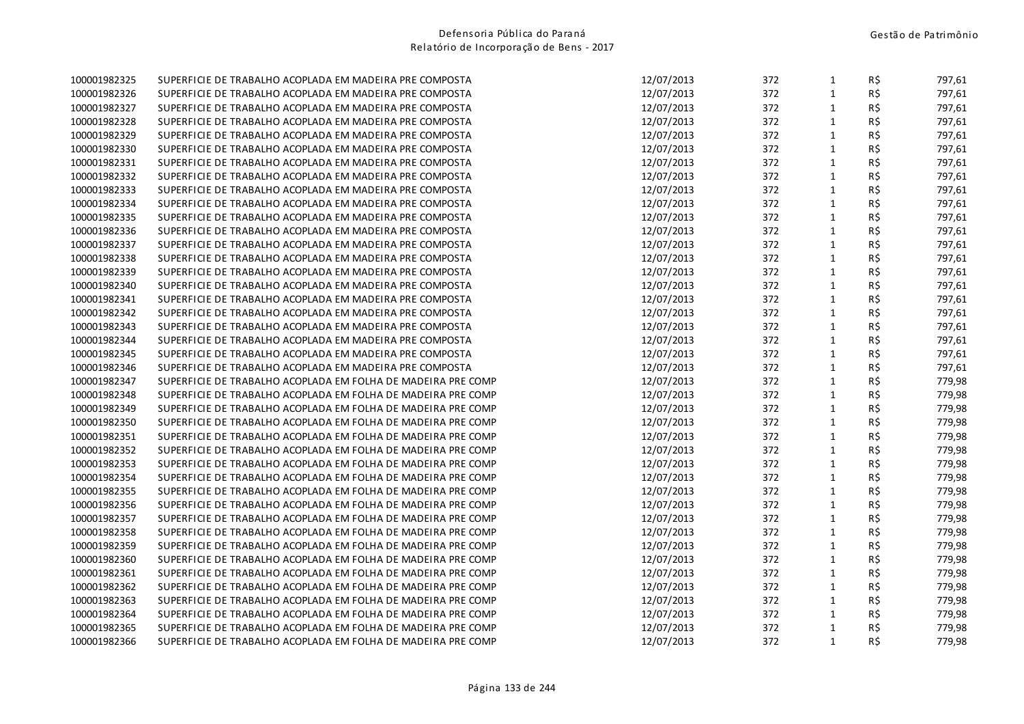| 100001982325 | SUPERFICIE DE TRABALHO ACOPLADA EM MADEIRA PRE COMPOSTA      | 12/07/2013 | 372 | $\mathbf{1}$ | R\$        | 797,61 |
|--------------|--------------------------------------------------------------|------------|-----|--------------|------------|--------|
| 100001982326 | SUPERFICIE DE TRABALHO ACOPLADA EM MADEIRA PRE COMPOSTA      | 12/07/2013 | 372 | $\mathbf{1}$ | R\$        | 797,61 |
| 100001982327 | SUPERFICIE DE TRABALHO ACOPLADA EM MADEIRA PRE COMPOSTA      | 12/07/2013 | 372 | $\mathbf{1}$ | R\$        | 797,61 |
| 100001982328 | SUPERFICIE DE TRABALHO ACOPLADA EM MADEIRA PRE COMPOSTA      | 12/07/2013 | 372 | $\mathbf{1}$ | R\$        | 797,61 |
| 100001982329 | SUPERFICIE DE TRABALHO ACOPLADA EM MADEIRA PRE COMPOSTA      | 12/07/2013 | 372 | $\mathbf{1}$ | R\$        | 797,61 |
| 100001982330 | SUPERFICIE DE TRABALHO ACOPLADA EM MADEIRA PRE COMPOSTA      | 12/07/2013 | 372 | $\mathbf{1}$ | R\$        | 797,61 |
| 100001982331 | SUPERFICIE DE TRABALHO ACOPLADA EM MADEIRA PRE COMPOSTA      | 12/07/2013 | 372 | $\mathbf{1}$ | R\$        | 797,61 |
| 100001982332 | SUPERFICIE DE TRABALHO ACOPLADA EM MADEIRA PRE COMPOSTA      | 12/07/2013 | 372 | 1            | R\$        | 797,61 |
| 100001982333 | SUPERFICIE DE TRABALHO ACOPLADA EM MADEIRA PRE COMPOSTA      | 12/07/2013 | 372 | $\mathbf{1}$ | R\$        | 797,61 |
| 100001982334 | SUPERFICIE DE TRABALHO ACOPLADA EM MADEIRA PRE COMPOSTA      | 12/07/2013 | 372 | $\mathbf{1}$ | R\$        | 797,61 |
| 100001982335 | SUPERFICIE DE TRABALHO ACOPLADA EM MADEIRA PRE COMPOSTA      | 12/07/2013 | 372 | $\mathbf{1}$ | R\$        | 797,61 |
| 100001982336 | SUPERFICIE DE TRABALHO ACOPLADA EM MADEIRA PRE COMPOSTA      | 12/07/2013 | 372 | $\mathbf{1}$ | R\$        | 797,61 |
| 100001982337 | SUPERFICIE DE TRABALHO ACOPLADA EM MADEIRA PRE COMPOSTA      | 12/07/2013 | 372 | $\mathbf{1}$ | R\$        | 797,61 |
| 100001982338 | SUPERFICIE DE TRABALHO ACOPLADA EM MADEIRA PRE COMPOSTA      | 12/07/2013 | 372 | $\mathbf{1}$ | R\$        | 797,61 |
| 100001982339 | SUPERFICIE DE TRABALHO ACOPLADA EM MADEIRA PRE COMPOSTA      | 12/07/2013 | 372 | $\mathbf{1}$ | R\$        | 797,61 |
| 100001982340 | SUPERFICIE DE TRABALHO ACOPLADA EM MADEIRA PRE COMPOSTA      | 12/07/2013 | 372 | $\mathbf{1}$ | R\$        | 797,61 |
| 100001982341 | SUPERFICIE DE TRABALHO ACOPLADA EM MADEIRA PRE COMPOSTA      | 12/07/2013 | 372 | 1            | $R\hat{S}$ | 797,61 |
| 100001982342 | SUPERFICIE DE TRABALHO ACOPLADA EM MADEIRA PRE COMPOSTA      | 12/07/2013 | 372 | $\mathbf{1}$ | R\$        | 797,61 |
| 100001982343 | SUPERFICIE DE TRABALHO ACOPLADA EM MADEIRA PRE COMPOSTA      | 12/07/2013 | 372 | $\mathbf{1}$ | R\$        | 797,61 |
| 100001982344 | SUPERFICIE DE TRABALHO ACOPLADA EM MADEIRA PRE COMPOSTA      | 12/07/2013 | 372 | $\mathbf{1}$ | R\$        | 797,61 |
| 100001982345 | SUPERFICIE DE TRABALHO ACOPLADA EM MADEIRA PRE COMPOSTA      | 12/07/2013 | 372 | $\mathbf{1}$ | R\$        | 797,61 |
| 100001982346 | SUPERFICIE DE TRABALHO ACOPLADA EM MADEIRA PRE COMPOSTA      | 12/07/2013 | 372 | $\mathbf{1}$ | R\$        | 797,61 |
| 100001982347 | SUPERFICIE DE TRABALHO ACOPLADA EM FOLHA DE MADEIRA PRE COMP | 12/07/2013 | 372 | $\mathbf{1}$ | R\$        | 779,98 |
| 100001982348 | SUPERFICIE DE TRABALHO ACOPLADA EM FOLHA DE MADEIRA PRE COMP | 12/07/2013 | 372 | $\mathbf{1}$ | R\$        | 779,98 |
| 100001982349 | SUPERFICIE DE TRABALHO ACOPLADA EM FOLHA DE MADEIRA PRE COMP | 12/07/2013 | 372 | $\mathbf{1}$ | R\$        | 779,98 |
| 100001982350 | SUPERFICIE DE TRABALHO ACOPLADA EM FOLHA DE MADEIRA PRE COMP | 12/07/2013 | 372 | $\mathbf{1}$ | R\$        | 779,98 |
| 100001982351 | SUPERFICIE DE TRABALHO ACOPLADA EM FOLHA DE MADEIRA PRE COMP | 12/07/2013 | 372 | $\mathbf{1}$ | R\$        | 779,98 |
| 100001982352 | SUPERFICIE DE TRABALHO ACOPLADA EM FOLHA DE MADEIRA PRE COMP | 12/07/2013 | 372 | $\mathbf{1}$ | R\$        | 779,98 |
| 100001982353 | SUPERFICIE DE TRABALHO ACOPLADA EM FOLHA DE MADEIRA PRE COMP | 12/07/2013 | 372 | $\mathbf{1}$ | R\$        | 779,98 |
| 100001982354 | SUPERFICIE DE TRABALHO ACOPLADA EM FOLHA DE MADEIRA PRE COMP | 12/07/2013 | 372 | $\mathbf{1}$ | R\$        | 779,98 |
| 100001982355 | SUPERFICIE DE TRABALHO ACOPLADA EM FOLHA DE MADEIRA PRE COMP | 12/07/2013 | 372 | $\mathbf{1}$ | R\$        | 779,98 |
| 100001982356 | SUPERFICIE DE TRABALHO ACOPLADA EM FOLHA DE MADEIRA PRE COMP | 12/07/2013 | 372 | $\mathbf{1}$ | R\$        | 779,98 |
| 100001982357 | SUPERFICIE DE TRABALHO ACOPLADA EM FOLHA DE MADEIRA PRE COMP | 12/07/2013 | 372 | $\mathbf{1}$ | R\$        | 779,98 |
| 100001982358 | SUPERFICIE DE TRABALHO ACOPLADA EM FOLHA DE MADEIRA PRE COMP | 12/07/2013 | 372 | $\mathbf{1}$ | R\$        | 779,98 |
| 100001982359 | SUPERFICIE DE TRABALHO ACOPLADA EM FOLHA DE MADEIRA PRE COMP | 12/07/2013 | 372 | $\mathbf{1}$ | R\$        | 779,98 |
| 100001982360 | SUPERFICIE DE TRABALHO ACOPLADA EM FOLHA DE MADEIRA PRE COMP | 12/07/2013 | 372 | $\mathbf{1}$ | R\$        | 779,98 |
| 100001982361 | SUPERFICIE DE TRABALHO ACOPLADA EM FOLHA DE MADEIRA PRE COMP | 12/07/2013 | 372 | $\mathbf{1}$ | R\$        | 779,98 |
| 100001982362 | SUPERFICIE DE TRABALHO ACOPLADA EM FOLHA DE MADEIRA PRE COMP | 12/07/2013 | 372 | $\mathbf{1}$ | R\$        | 779,98 |
| 100001982363 | SUPERFICIE DE TRABALHO ACOPLADA EM FOLHA DE MADEIRA PRE COMP | 12/07/2013 | 372 | $\mathbf{1}$ | $R\hat{S}$ | 779,98 |
| 100001982364 | SUPERFICIE DE TRABALHO ACOPLADA EM FOLHA DE MADEIRA PRE COMP | 12/07/2013 | 372 | $\mathbf{1}$ | $R\hat{S}$ | 779,98 |
| 100001982365 | SUPERFICIE DE TRABALHO ACOPLADA EM FOLHA DE MADEIRA PRE COMP | 12/07/2013 | 372 | $\mathbf{1}$ | R\$        | 779,98 |
| 100001982366 | SUPERFICIE DE TRABALHO ACOPLADA EM FOLHA DE MADEIRA PRE COMP | 12/07/2013 | 372 | $\mathbf{1}$ | R\$        | 779,98 |
|              |                                                              |            |     |              |            |        |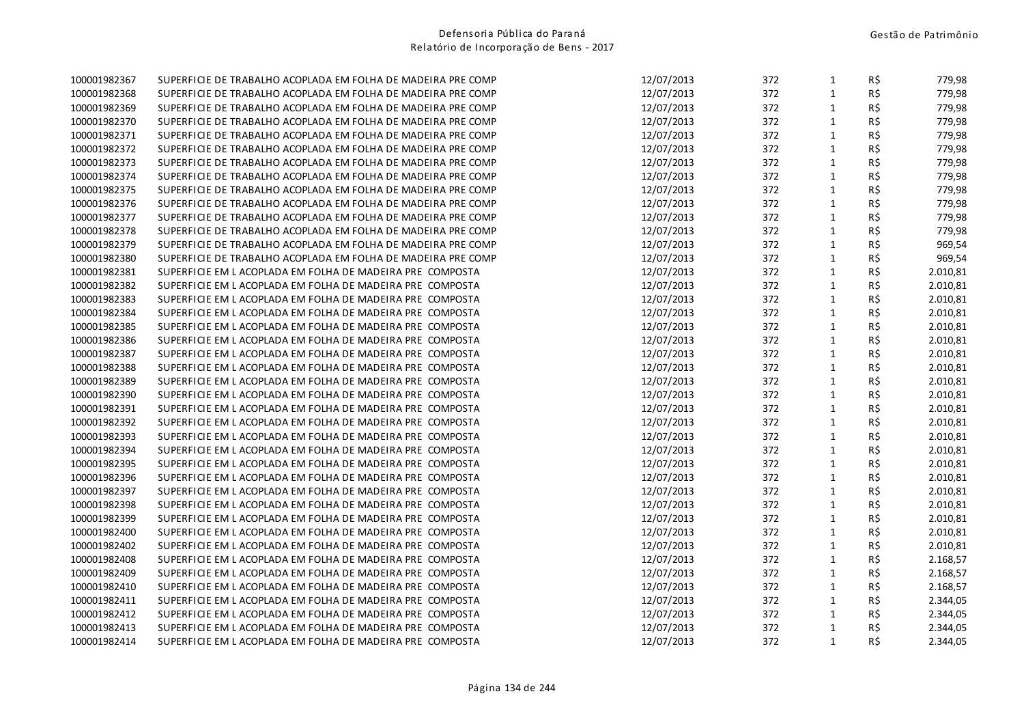| 100001982367 | SUPERFICIE DE TRABALHO ACOPLADA EM FOLHA DE MADEIRA PRE COMP | 12/07/2013 | 372 | $\mathbf{1}$ | R\$            | 779,98   |
|--------------|--------------------------------------------------------------|------------|-----|--------------|----------------|----------|
| 100001982368 | SUPERFICIE DE TRABALHO ACOPLADA EM FOLHA DE MADEIRA PRE COMP | 12/07/2013 | 372 | $\mathbf{1}$ | R\$            | 779,98   |
| 100001982369 | SUPERFICIE DE TRABALHO ACOPLADA EM FOLHA DE MADEIRA PRE COMP | 12/07/2013 | 372 | 1            | R\$            | 779,98   |
| 100001982370 | SUPERFICIE DE TRABALHO ACOPLADA EM FOLHA DE MADEIRA PRE COMP | 12/07/2013 | 372 | $\mathbf{1}$ | R\$            | 779,98   |
| 100001982371 | SUPERFICIE DE TRABALHO ACOPLADA EM FOLHA DE MADEIRA PRE COMP | 12/07/2013 | 372 | 1            | R\$            | 779,98   |
| 100001982372 | SUPERFICIE DE TRABALHO ACOPLADA EM FOLHA DE MADEIRA PRE COMP | 12/07/2013 | 372 | $\mathbf{1}$ | R\$            | 779,98   |
| 100001982373 | SUPERFICIE DE TRABALHO ACOPLADA EM FOLHA DE MADEIRA PRE COMP | 12/07/2013 | 372 | $\mathbf{1}$ | R\$            | 779,98   |
| 100001982374 | SUPERFICIE DE TRABALHO ACOPLADA EM FOLHA DE MADEIRA PRE COMP | 12/07/2013 | 372 | $\mathbf{1}$ | R\$            | 779,98   |
| 100001982375 | SUPERFICIE DE TRABALHO ACOPLADA EM FOLHA DE MADEIRA PRE COMP | 12/07/2013 | 372 | $\mathbf{1}$ | R\$            | 779,98   |
| 100001982376 | SUPERFICIE DE TRABALHO ACOPLADA EM FOLHA DE MADEIRA PRE COMP | 12/07/2013 | 372 | $\mathbf{1}$ | R\$            | 779,98   |
| 100001982377 | SUPERFICIE DE TRABALHO ACOPLADA EM FOLHA DE MADEIRA PRE COMP | 12/07/2013 | 372 | $\mathbf{1}$ | R\$            | 779,98   |
| 100001982378 | SUPERFICIE DE TRABALHO ACOPLADA EM FOLHA DE MADEIRA PRE COMP | 12/07/2013 | 372 | $\mathbf{1}$ | R\$            | 779,98   |
| 100001982379 | SUPERFICIE DE TRABALHO ACOPLADA EM FOLHA DE MADEIRA PRE COMP | 12/07/2013 | 372 | $\mathbf{1}$ | $R\frac{2}{3}$ | 969,54   |
| 100001982380 | SUPERFICIE DE TRABALHO ACOPLADA EM FOLHA DE MADEIRA PRE COMP | 12/07/2013 | 372 | 1            | R\$            | 969,54   |
| 100001982381 | SUPERFICIE EM LACOPLADA EM FOLHA DE MADEIRA PRE COMPOSTA     | 12/07/2013 | 372 | $\mathbf{1}$ | R\$            | 2.010,81 |
| 100001982382 | SUPERFICIE EM LACOPLADA EM FOLHA DE MADEIRA PRE COMPOSTA     | 12/07/2013 | 372 | $\mathbf{1}$ | R\$            | 2.010,81 |
| 100001982383 | SUPERFICIE EM LACOPLADA EM FOLHA DE MADEIRA PRE COMPOSTA     | 12/07/2013 | 372 | $\mathbf{1}$ | $R\,$ \$       | 2.010,81 |
| 100001982384 | SUPERFICIE EM LACOPLADA EM FOLHA DE MADEIRA PRE COMPOSTA     | 12/07/2013 | 372 | $\mathbf{1}$ | $R\hat{S}$     | 2.010,81 |
| 100001982385 | SUPERFICIE EM LACOPLADA EM FOLHA DE MADEIRA PRE COMPOSTA     | 12/07/2013 | 372 | $\mathbf{1}$ | R\$            | 2.010,81 |
| 100001982386 | SUPERFICIE EM LACOPLADA EM FOLHA DE MADEIRA PRE COMPOSTA     | 12/07/2013 | 372 | $\mathbf{1}$ | R\$            | 2.010,81 |
| 100001982387 | SUPERFICIE EM LACOPLADA EM FOLHA DE MADEIRA PRE COMPOSTA     | 12/07/2013 | 372 | $\mathbf{1}$ | R\$            | 2.010,81 |
| 100001982388 | SUPERFICIE EM LACOPLADA EM FOLHA DE MADEIRA PRE COMPOSTA     | 12/07/2013 | 372 | $\mathbf{1}$ | R\$            | 2.010,81 |
| 100001982389 | SUPERFICIE EM LACOPLADA EM FOLHA DE MADEIRA PRE COMPOSTA     | 12/07/2013 | 372 | $\mathbf{1}$ | R\$            | 2.010,81 |
| 100001982390 | SUPERFICIE EM LACOPLADA EM FOLHA DE MADEIRA PRE COMPOSTA     | 12/07/2013 | 372 | $\mathbf{1}$ | R\$            | 2.010,81 |
| 100001982391 | SUPERFICIE EM LACOPLADA EM FOLHA DE MADEIRA PRE COMPOSTA     | 12/07/2013 | 372 | $\mathbf{1}$ | R\$            | 2.010,81 |
| 100001982392 | SUPERFICIE EM LACOPLADA EM FOLHA DE MADEIRA PRE COMPOSTA     | 12/07/2013 | 372 | 1            | $R\hat{S}$     | 2.010,81 |
| 100001982393 | SUPERFICIE EM LACOPLADA EM FOLHA DE MADEIRA PRE COMPOSTA     | 12/07/2013 | 372 | $\mathbf{1}$ | R\$            | 2.010,81 |
| 100001982394 | SUPERFICIE EM LACOPLADA EM FOLHA DE MADEIRA PRE COMPOSTA     | 12/07/2013 | 372 | 1            | R\$            | 2.010,81 |
| 100001982395 | SUPERFICIE EM LACOPLADA EM FOLHA DE MADEIRA PRE COMPOSTA     | 12/07/2013 | 372 | $\mathbf{1}$ | R\$            | 2.010,81 |
| 100001982396 | SUPERFICIE EM LACOPLADA EM FOLHA DE MADEIRA PRE COMPOSTA     | 12/07/2013 | 372 | $\mathbf{1}$ | R\$            | 2.010,81 |
| 100001982397 | SUPERFICIE EM LACOPLADA EM FOLHA DE MADEIRA PRE COMPOSTA     | 12/07/2013 | 372 | $\mathbf{1}$ | R\$            | 2.010,81 |
| 100001982398 | SUPERFICIE EM LACOPLADA EM FOLHA DE MADEIRA PRE COMPOSTA     | 12/07/2013 | 372 | $\mathbf{1}$ | R\$            | 2.010,81 |
| 100001982399 | SUPERFICIE EM LACOPLADA EM FOLHA DE MADEIRA PRE COMPOSTA     | 12/07/2013 | 372 | $\mathbf{1}$ | R\$            | 2.010,81 |
| 100001982400 | SUPERFICIE EM LACOPLADA EM FOLHA DE MADEIRA PRE COMPOSTA     | 12/07/2013 | 372 | $\mathbf{1}$ | R\$            | 2.010,81 |
| 100001982402 | SUPERFICIE EM LACOPLADA EM FOLHA DE MADEIRA PRE COMPOSTA     | 12/07/2013 | 372 | $\mathbf{1}$ | R\$            | 2.010,81 |
| 100001982408 | SUPERFICIE EM LACOPLADA EM FOLHA DE MADEIRA PRE COMPOSTA     | 12/07/2013 | 372 | $\mathbf{1}$ | R\$            | 2.168,57 |
| 100001982409 | SUPERFICIE EM LACOPLADA EM FOLHA DE MADEIRA PRE COMPOSTA     | 12/07/2013 | 372 | $\mathbf{1}$ | R\$            | 2.168,57 |
| 100001982410 | SUPERFICIE EM LACOPLADA EM FOLHA DE MADEIRA PRE COMPOSTA     | 12/07/2013 | 372 | $\mathbf{1}$ | R\$            | 2.168,57 |
| 100001982411 | SUPERFICIE EM LACOPLADA EM FOLHA DE MADEIRA PRE COMPOSTA     | 12/07/2013 | 372 | $\mathbf{1}$ | $R\hat{S}$     | 2.344,05 |
| 100001982412 | SUPERFICIE EM LACOPLADA EM FOLHA DE MADEIRA PRE COMPOSTA     | 12/07/2013 | 372 | 1            | $R\hat{S}$     | 2.344,05 |
| 100001982413 | SUPERFICIE EM LACOPLADA EM FOLHA DE MADEIRA PRE COMPOSTA     | 12/07/2013 | 372 | $\mathbf{1}$ | R\$            | 2.344,05 |
| 100001982414 | SUPERFICIE EM LACOPLADA EM FOLHA DE MADEIRA PRE COMPOSTA     | 12/07/2013 | 372 | $\mathbf{1}$ | R\$            | 2.344,05 |
|              |                                                              |            |     |              |                |          |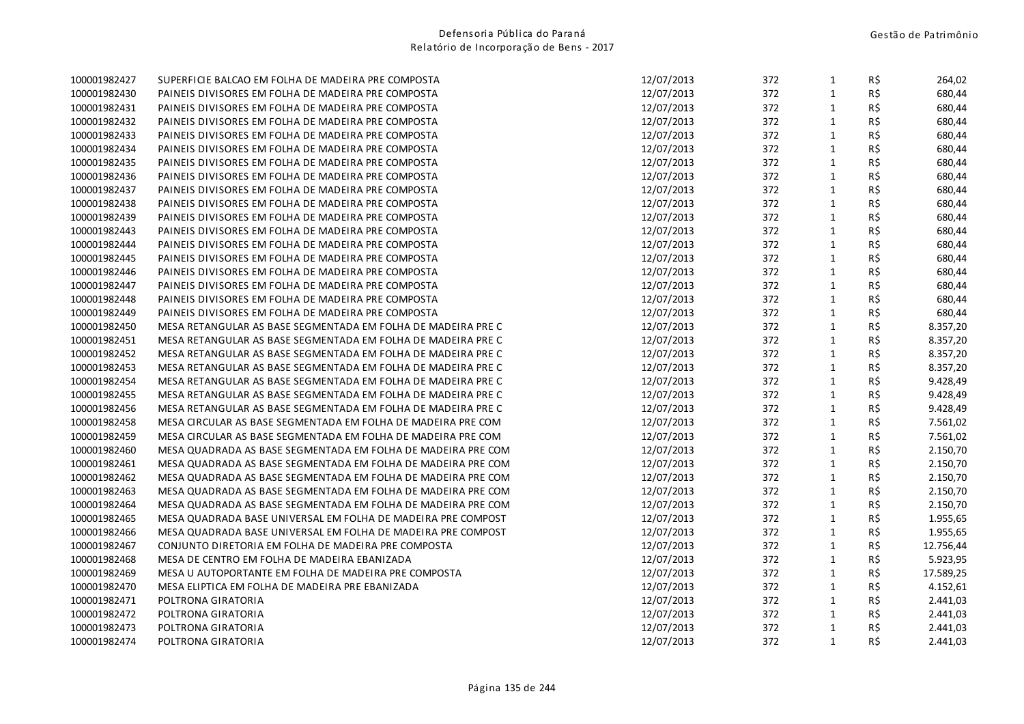| 100001982427 | SUPERFICIE BALCAO EM FOLHA DE MADEIRA PRE COMPOSTA           | 12/07/2013 | 372 | $\mathbf{1}$ | R\$            | 264,02    |
|--------------|--------------------------------------------------------------|------------|-----|--------------|----------------|-----------|
| 100001982430 | PAINEIS DIVISORES EM FOLHA DE MADEIRA PRE COMPOSTA           | 12/07/2013 | 372 | $\mathbf{1}$ | R\$            | 680,44    |
| 100001982431 | PAINEIS DIVISORES EM FOLHA DE MADEIRA PRE COMPOSTA           | 12/07/2013 | 372 | $\mathbf{1}$ | R\$            | 680,44    |
| 100001982432 | PAINEIS DIVISORES EM FOLHA DE MADEIRA PRE COMPOSTA           | 12/07/2013 | 372 | $\mathbf{1}$ | R\$            | 680,44    |
| 100001982433 | PAINEIS DIVISORES EM FOLHA DE MADEIRA PRE COMPOSTA           | 12/07/2013 | 372 | $\mathbf{1}$ | R\$            | 680,44    |
| 100001982434 | PAINEIS DIVISORES EM FOLHA DE MADEIRA PRE COMPOSTA           | 12/07/2013 | 372 | $\mathbf{1}$ | R\$            | 680,44    |
| 100001982435 | PAINEIS DIVISORES EM FOLHA DE MADEIRA PRE COMPOSTA           | 12/07/2013 | 372 | $\mathbf{1}$ | R\$            | 680,44    |
| 100001982436 | PAINEIS DIVISORES EM FOLHA DE MADEIRA PRE COMPOSTA           | 12/07/2013 | 372 | $\mathbf{1}$ | R\$            | 680,44    |
| 100001982437 | PAINEIS DIVISORES EM FOLHA DE MADEIRA PRE COMPOSTA           | 12/07/2013 | 372 | $\mathbf{1}$ | $R\hat{S}$     | 680,44    |
| 100001982438 | PAINEIS DIVISORES EM FOLHA DE MADEIRA PRE COMPOSTA           | 12/07/2013 | 372 | $\mathbf{1}$ | R\$            | 680,44    |
| 100001982439 | PAINEIS DIVISORES EM FOLHA DE MADEIRA PRE COMPOSTA           | 12/07/2013 | 372 | $\mathbf{1}$ | R\$            | 680,44    |
| 100001982443 | PAINEIS DIVISORES EM FOLHA DE MADEIRA PRE COMPOSTA           | 12/07/2013 | 372 | $\mathbf{1}$ | R\$            | 680,44    |
| 100001982444 | PAINEIS DIVISORES EM FOLHA DE MADEIRA PRE COMPOSTA           | 12/07/2013 | 372 | $\mathbf{1}$ | R\$            | 680,44    |
| 100001982445 | PAINEIS DIVISORES EM FOLHA DE MADEIRA PRE COMPOSTA           | 12/07/2013 | 372 | $\mathbf{1}$ | R\$            | 680,44    |
| 100001982446 | PAINEIS DIVISORES EM FOLHA DE MADEIRA PRE COMPOSTA           | 12/07/2013 | 372 | $\mathbf{1}$ | R\$            | 680,44    |
| 100001982447 | PAINEIS DIVISORES EM FOLHA DE MADEIRA PRE COMPOSTA           | 12/07/2013 | 372 | $\mathbf{1}$ | R\$            | 680,44    |
| 100001982448 | PAINEIS DIVISORES EM FOLHA DE MADEIRA PRE COMPOSTA           | 12/07/2013 | 372 | $\mathbf{1}$ | R\$            | 680,44    |
| 100001982449 | PAINEIS DIVISORES EM FOLHA DE MADEIRA PRE COMPOSTA           | 12/07/2013 | 372 | $\mathbf{1}$ | R\$            | 680,44    |
| 100001982450 | MESA RETANGULAR AS BASE SEGMENTADA EM FOLHA DE MADEIRA PRE C | 12/07/2013 | 372 | $\mathbf{1}$ | R\$            | 8.357,20  |
| 100001982451 | MESA RETANGULAR AS BASE SEGMENTADA EM FOLHA DE MADEIRA PRE C | 12/07/2013 | 372 | $\mathbf{1}$ | R\$            | 8.357,20  |
| 100001982452 | MESA RETANGULAR AS BASE SEGMENTADA EM FOLHA DE MADEIRA PRE C | 12/07/2013 | 372 | $\mathbf{1}$ | $R\frac{2}{3}$ | 8.357,20  |
| 100001982453 | MESA RETANGULAR AS BASE SEGMENTADA EM FOLHA DE MADEIRA PRE C | 12/07/2013 | 372 | $\mathbf{1}$ | $R\zeta$       | 8.357,20  |
| 100001982454 | MESA RETANGULAR AS BASE SEGMENTADA EM FOLHA DE MADEIRA PRE C | 12/07/2013 | 372 | $\mathbf 1$  | R\$            | 9.428,49  |
| 100001982455 | MESA RETANGULAR AS BASE SEGMENTADA EM FOLHA DE MADEIRA PRE C | 12/07/2013 | 372 | $\mathbf{1}$ | R\$            | 9.428,49  |
| 100001982456 | MESA RETANGULAR AS BASE SEGMENTADA EM FOLHA DE MADEIRA PRE C | 12/07/2013 | 372 | $\mathbf{1}$ | R\$            | 9.428,49  |
| 100001982458 | MESA CIRCULAR AS BASE SEGMENTADA EM FOLHA DE MADEIRA PRE COM | 12/07/2013 | 372 | $\mathbf{1}$ | R\$            | 7.561,02  |
| 100001982459 | MESA CIRCULAR AS BASE SEGMENTADA EM FOLHA DE MADEIRA PRE COM | 12/07/2013 | 372 | $\mathbf{1}$ | R\$            | 7.561,02  |
| 100001982460 | MESA QUADRADA AS BASE SEGMENTADA EM FOLHA DE MADEIRA PRE COM | 12/07/2013 | 372 | $\mathbf{1}$ | R\$            | 2.150,70  |
| 100001982461 | MESA QUADRADA AS BASE SEGMENTADA EM FOLHA DE MADEIRA PRE COM | 12/07/2013 | 372 | $\mathbf{1}$ | R\$            | 2.150,70  |
| 100001982462 | MESA QUADRADA AS BASE SEGMENTADA EM FOLHA DE MADEIRA PRE COM | 12/07/2013 | 372 | $\mathbf{1}$ | R\$            | 2.150,70  |
| 100001982463 | MESA QUADRADA AS BASE SEGMENTADA EM FOLHA DE MADEIRA PRE COM | 12/07/2013 | 372 | $\mathbf{1}$ | $R\zeta$       | 2.150,70  |
| 100001982464 | MESA QUADRADA AS BASE SEGMENTADA EM FOLHA DE MADEIRA PRE COM | 12/07/2013 | 372 | $\mathbf{1}$ | R\$            | 2.150,70  |
| 100001982465 | MESA QUADRADA BASE UNIVERSAL EM FOLHA DE MADEIRA PRE COMPOST | 12/07/2013 | 372 | $\mathbf 1$  | R\$            | 1.955,65  |
| 100001982466 | MESA QUADRADA BASE UNIVERSAL EM FOLHA DE MADEIRA PRE COMPOST | 12/07/2013 | 372 | $\mathbf{1}$ | R\$            | 1.955,65  |
| 100001982467 | CONJUNTO DIRETORIA EM FOLHA DE MADEIRA PRE COMPOSTA          | 12/07/2013 | 372 | $\mathbf{1}$ | R\$            | 12.756,44 |
| 100001982468 | MESA DE CENTRO EM FOLHA DE MADEIRA EBANIZADA                 | 12/07/2013 | 372 | $\mathbf 1$  | R\$            | 5.923,95  |
| 100001982469 | MESA U AUTOPORTANTE EM FOLHA DE MADEIRA PRE COMPOSTA         | 12/07/2013 | 372 | $\mathbf{1}$ | R\$            | 17.589,25 |
| 100001982470 | MESA ELIPTICA EM FOLHA DE MADEIRA PRE EBANIZADA              | 12/07/2013 | 372 | $\mathbf{1}$ | R\$            | 4.152,61  |
| 100001982471 | POLTRONA GIRATORIA                                           | 12/07/2013 | 372 | $\mathbf{1}$ | R\$            | 2.441,03  |
| 100001982472 | POLTRONA GIRATORIA                                           | 12/07/2013 | 372 | $\mathbf{1}$ | R\$            | 2.441,03  |
| 100001982473 | POLTRONA GIRATORIA                                           | 12/07/2013 | 372 | $\mathbf{1}$ | R\$            | 2.441,03  |
| 100001982474 | POLTRONA GIRATORIA                                           | 12/07/2013 | 372 | $\mathbf{1}$ | R\$            | 2.441,03  |
|              |                                                              |            |     |              |                |           |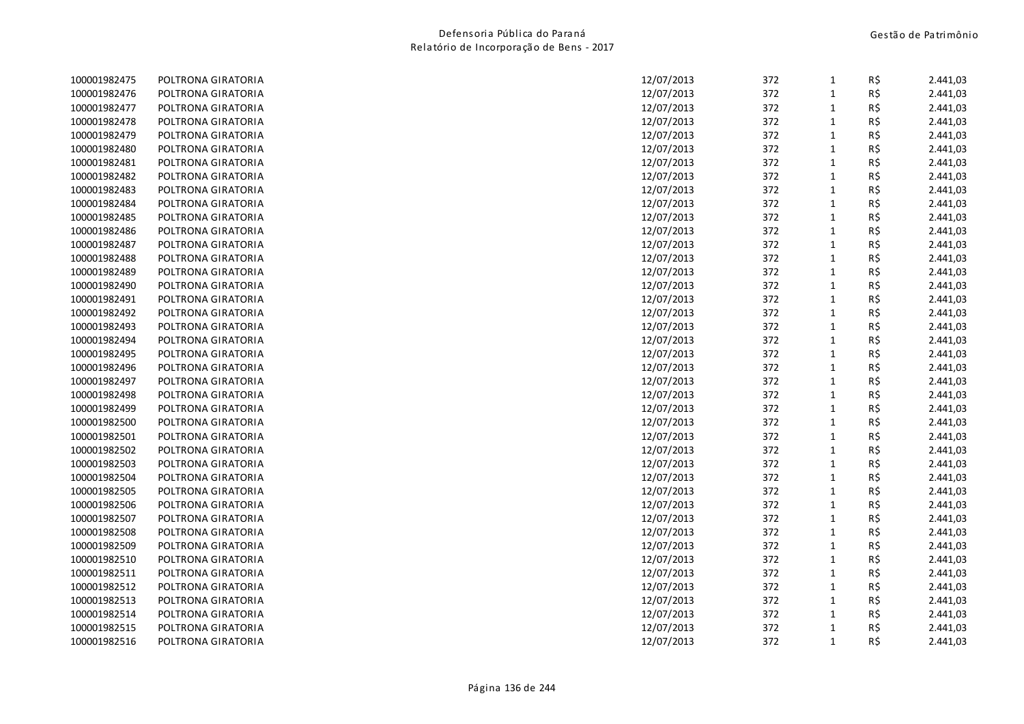| 100001982475 | POLTRONA GIRATORIA | 12/07/2013 | 372 | $\mathbf{1}$ | R\$ | 2.441,03 |
|--------------|--------------------|------------|-----|--------------|-----|----------|
| 100001982476 | POLTRONA GIRATORIA | 12/07/2013 | 372 | $1\,$        | R\$ | 2.441,03 |
| 100001982477 | POLTRONA GIRATORIA | 12/07/2013 | 372 | $\mathbf{1}$ | R\$ | 2.441,03 |
| 100001982478 | POLTRONA GIRATORIA | 12/07/2013 | 372 | $1\,$        | R\$ | 2.441,03 |
| 100001982479 | POLTRONA GIRATORIA | 12/07/2013 | 372 | $\mathbf{1}$ | R\$ | 2.441,03 |
| 100001982480 | POLTRONA GIRATORIA | 12/07/2013 | 372 | $1\,$        | R\$ | 2.441,03 |
| 100001982481 | POLTRONA GIRATORIA | 12/07/2013 | 372 | 1            | R\$ | 2.441,03 |
| 100001982482 | POLTRONA GIRATORIA | 12/07/2013 | 372 | $1\,$        | R\$ | 2.441,03 |
| 100001982483 | POLTRONA GIRATORIA | 12/07/2013 | 372 | $\mathbf 1$  | R\$ | 2.441,03 |
| 100001982484 | POLTRONA GIRATORIA | 12/07/2013 | 372 | $\mathbf{1}$ | R\$ | 2.441,03 |
| 100001982485 | POLTRONA GIRATORIA | 12/07/2013 | 372 | $\mathbf{1}$ | R\$ | 2.441,03 |
| 100001982486 | POLTRONA GIRATORIA | 12/07/2013 | 372 | $\mathbf{1}$ | R\$ | 2.441,03 |
| 100001982487 | POLTRONA GIRATORIA | 12/07/2013 | 372 | $\mathbf{1}$ | R\$ | 2.441,03 |
| 100001982488 | POLTRONA GIRATORIA | 12/07/2013 | 372 | $\mathbf{1}$ | R\$ | 2.441,03 |
| 100001982489 | POLTRONA GIRATORIA | 12/07/2013 | 372 | $\mathbf{1}$ | R\$ | 2.441,03 |
| 100001982490 | POLTRONA GIRATORIA | 12/07/2013 | 372 | $\mathbf{1}$ | R\$ | 2.441,03 |
| 100001982491 | POLTRONA GIRATORIA | 12/07/2013 | 372 | $\mathbf{1}$ | R\$ | 2.441,03 |
| 100001982492 | POLTRONA GIRATORIA | 12/07/2013 | 372 | $1\,$        | R\$ | 2.441,03 |
| 100001982493 | POLTRONA GIRATORIA | 12/07/2013 | 372 | $\mathbf{1}$ | R\$ | 2.441,03 |
| 100001982494 | POLTRONA GIRATORIA | 12/07/2013 | 372 | $1\,$        | R\$ | 2.441,03 |
| 100001982495 | POLTRONA GIRATORIA | 12/07/2013 | 372 | $\mathbf{1}$ | R\$ | 2.441,03 |
| 100001982496 | POLTRONA GIRATORIA | 12/07/2013 | 372 | 1            | R\$ | 2.441,03 |
| 100001982497 | POLTRONA GIRATORIA | 12/07/2013 | 372 | $1\,$        | R\$ | 2.441,03 |
| 100001982498 | POLTRONA GIRATORIA | 12/07/2013 | 372 | $\mathbf{1}$ | R\$ | 2.441,03 |
| 100001982499 | POLTRONA GIRATORIA | 12/07/2013 | 372 | $1\,$        | R\$ | 2.441,03 |
| 100001982500 | POLTRONA GIRATORIA | 12/07/2013 | 372 | $\mathbf{1}$ | R\$ | 2.441,03 |
| 100001982501 | POLTRONA GIRATORIA | 12/07/2013 | 372 | $1\,$        | R\$ | 2.441,03 |
| 100001982502 | POLTRONA GIRATORIA | 12/07/2013 | 372 | $\mathbf{1}$ | R\$ | 2.441,03 |
| 100001982503 | POLTRONA GIRATORIA | 12/07/2013 | 372 | $\mathbf{1}$ | R\$ | 2.441,03 |
| 100001982504 | POLTRONA GIRATORIA | 12/07/2013 | 372 | $\mathbf{1}$ | R\$ | 2.441,03 |
| 100001982505 | POLTRONA GIRATORIA | 12/07/2013 | 372 | $\mathbf{1}$ | R\$ | 2.441,03 |
| 100001982506 | POLTRONA GIRATORIA | 12/07/2013 | 372 | $\mathbf{1}$ | R\$ | 2.441,03 |
| 100001982507 | POLTRONA GIRATORIA | 12/07/2013 | 372 | $\mathbf{1}$ | R\$ | 2.441,03 |
| 100001982508 | POLTRONA GIRATORIA | 12/07/2013 | 372 | $\mathbf{1}$ | R\$ | 2.441,03 |
| 100001982509 | POLTRONA GIRATORIA | 12/07/2013 | 372 | $\mathbf{1}$ | R\$ | 2.441,03 |
| 100001982510 | POLTRONA GIRATORIA | 12/07/2013 | 372 | $1\,$        | R\$ | 2.441,03 |
| 100001982511 | POLTRONA GIRATORIA | 12/07/2013 | 372 | $\mathbf 1$  | R\$ | 2.441,03 |
| 100001982512 | POLTRONA GIRATORIA | 12/07/2013 | 372 | $\mathbf{1}$ | R\$ | 2.441,03 |
| 100001982513 | POLTRONA GIRATORIA | 12/07/2013 | 372 | $\mathbf{1}$ | R\$ | 2.441,03 |
| 100001982514 | POLTRONA GIRATORIA | 12/07/2013 | 372 | 1            | R\$ | 2.441,03 |
| 100001982515 | POLTRONA GIRATORIA | 12/07/2013 | 372 | 1            | R\$ | 2.441,03 |
| 100001982516 | POLTRONA GIRATORIA | 12/07/2013 | 372 | $\mathbf{1}$ | R\$ | 2.441,03 |
|              |                    |            |     |              |     |          |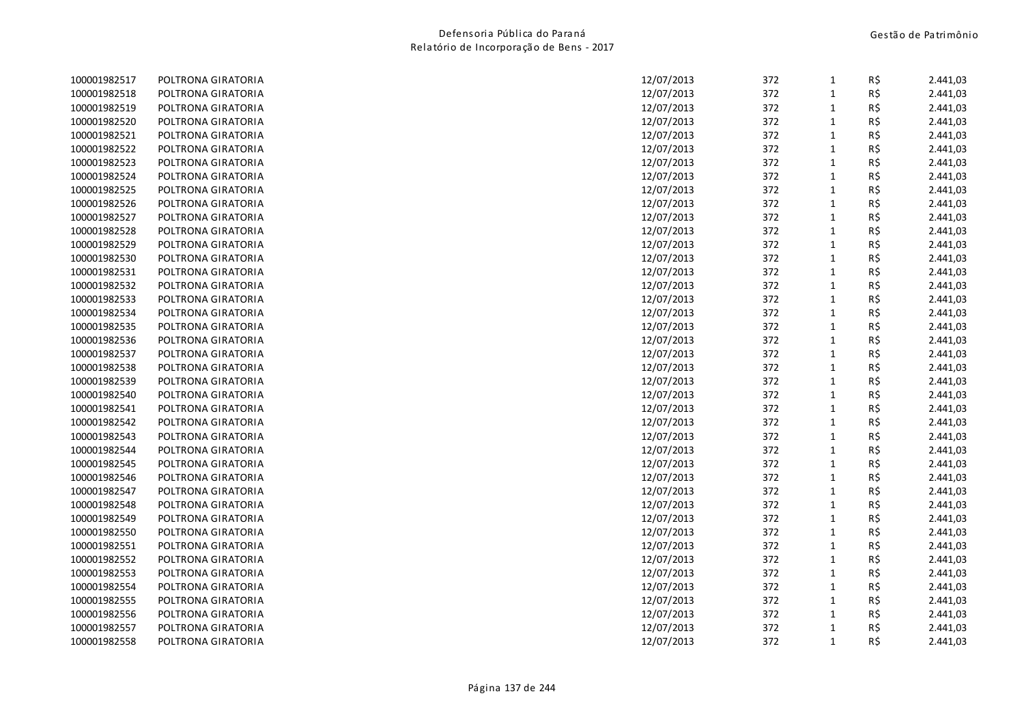| 100001982517 | POLTRONA GIRATORIA | 12/07/2013 | 372 | $\mathbf{1}$ | R\$ | 2.441,03 |
|--------------|--------------------|------------|-----|--------------|-----|----------|
| 100001982518 | POLTRONA GIRATORIA | 12/07/2013 | 372 | $1\,$        | R\$ | 2.441,03 |
| 100001982519 | POLTRONA GIRATORIA | 12/07/2013 | 372 | $\mathbf{1}$ | R\$ | 2.441,03 |
| 100001982520 | POLTRONA GIRATORIA | 12/07/2013 | 372 | $1\,$        | R\$ | 2.441,03 |
| 100001982521 | POLTRONA GIRATORIA | 12/07/2013 | 372 | $\mathbf{1}$ | R\$ | 2.441,03 |
| 100001982522 | POLTRONA GIRATORIA | 12/07/2013 | 372 | $1\,$        | R\$ | 2.441,03 |
| 100001982523 | POLTRONA GIRATORIA | 12/07/2013 | 372 | $\mathbf{1}$ | R\$ | 2.441,03 |
| 100001982524 | POLTRONA GIRATORIA | 12/07/2013 | 372 | $1\,$        | R\$ | 2.441,03 |
| 100001982525 | POLTRONA GIRATORIA | 12/07/2013 | 372 | $\mathbf 1$  | R\$ | 2.441,03 |
| 100001982526 | POLTRONA GIRATORIA | 12/07/2013 | 372 | $\mathbf{1}$ | R\$ | 2.441,03 |
| 100001982527 | POLTRONA GIRATORIA | 12/07/2013 | 372 | $\mathbf{1}$ | R\$ | 2.441,03 |
| 100001982528 | POLTRONA GIRATORIA | 12/07/2013 | 372 | $\mathbf{1}$ | R\$ | 2.441,03 |
| 100001982529 | POLTRONA GIRATORIA | 12/07/2013 | 372 | $\mathbf{1}$ | R\$ | 2.441,03 |
| 100001982530 | POLTRONA GIRATORIA | 12/07/2013 | 372 | $\mathbf{1}$ | R\$ | 2.441,03 |
| 100001982531 | POLTRONA GIRATORIA | 12/07/2013 | 372 | $\mathbf{1}$ | R\$ | 2.441,03 |
| 100001982532 | POLTRONA GIRATORIA | 12/07/2013 | 372 | $\mathbf{1}$ | R\$ | 2.441,03 |
| 100001982533 | POLTRONA GIRATORIA | 12/07/2013 | 372 | $\mathbf{1}$ | R\$ | 2.441,03 |
| 100001982534 | POLTRONA GIRATORIA | 12/07/2013 | 372 | $\mathbf{1}$ | R\$ | 2.441,03 |
| 100001982535 | POLTRONA GIRATORIA | 12/07/2013 | 372 | $\mathbf{1}$ | R\$ | 2.441,03 |
| 100001982536 | POLTRONA GIRATORIA | 12/07/2013 | 372 | $1\,$        | R\$ | 2.441,03 |
| 100001982537 | POLTRONA GIRATORIA | 12/07/2013 | 372 | $\mathbf{1}$ | R\$ | 2.441,03 |
| 100001982538 | POLTRONA GIRATORIA | 12/07/2013 | 372 | $\mathbf 1$  | R\$ | 2.441,03 |
| 100001982539 | POLTRONA GIRATORIA | 12/07/2013 | 372 | $1\,$        | R\$ | 2.441,03 |
| 100001982540 | POLTRONA GIRATORIA | 12/07/2013 | 372 | $\mathbf{1}$ | R\$ | 2.441,03 |
| 100001982541 | POLTRONA GIRATORIA | 12/07/2013 | 372 | $1\,$        | R\$ | 2.441,03 |
| 100001982542 | POLTRONA GIRATORIA | 12/07/2013 | 372 | $\mathbf{1}$ | R\$ | 2.441,03 |
| 100001982543 | POLTRONA GIRATORIA | 12/07/2013 | 372 | $1\,$        | R\$ | 2.441,03 |
| 100001982544 | POLTRONA GIRATORIA | 12/07/2013 | 372 | $\mathbf{1}$ | R\$ | 2.441,03 |
| 100001982545 | POLTRONA GIRATORIA | 12/07/2013 | 372 | $\mathbf{1}$ | R\$ | 2.441,03 |
| 100001982546 | POLTRONA GIRATORIA | 12/07/2013 | 372 | $\mathbf{1}$ | R\$ | 2.441,03 |
| 100001982547 | POLTRONA GIRATORIA | 12/07/2013 | 372 | $\mathbf{1}$ | R\$ | 2.441,03 |
| 100001982548 | POLTRONA GIRATORIA | 12/07/2013 | 372 | $\mathbf{1}$ | R\$ | 2.441,03 |
| 100001982549 | POLTRONA GIRATORIA | 12/07/2013 | 372 | $\mathbf{1}$ | R\$ | 2.441,03 |
| 100001982550 | POLTRONA GIRATORIA | 12/07/2013 | 372 | $\mathbf{1}$ | R\$ | 2.441,03 |
| 100001982551 | POLTRONA GIRATORIA | 12/07/2013 | 372 | $\mathbf{1}$ | R\$ | 2.441,03 |
| 100001982552 | POLTRONA GIRATORIA | 12/07/2013 | 372 | $1\,$        | R\$ | 2.441,03 |
| 100001982553 | POLTRONA GIRATORIA | 12/07/2013 | 372 | $\mathbf{1}$ | R\$ | 2.441,03 |
| 100001982554 | POLTRONA GIRATORIA | 12/07/2013 | 372 | $\mathbf{1}$ | R\$ | 2.441,03 |
| 100001982555 | POLTRONA GIRATORIA | 12/07/2013 | 372 | $\mathbf{1}$ | R\$ | 2.441,03 |
| 100001982556 | POLTRONA GIRATORIA | 12/07/2013 | 372 | 1            | R\$ | 2.441,03 |
| 100001982557 | POLTRONA GIRATORIA | 12/07/2013 | 372 | $1\,$        | R\$ | 2.441,03 |
| 100001982558 | POLTRONA GIRATORIA | 12/07/2013 | 372 | $\mathbf{1}$ | R\$ | 2.441,03 |
|              |                    |            |     |              |     |          |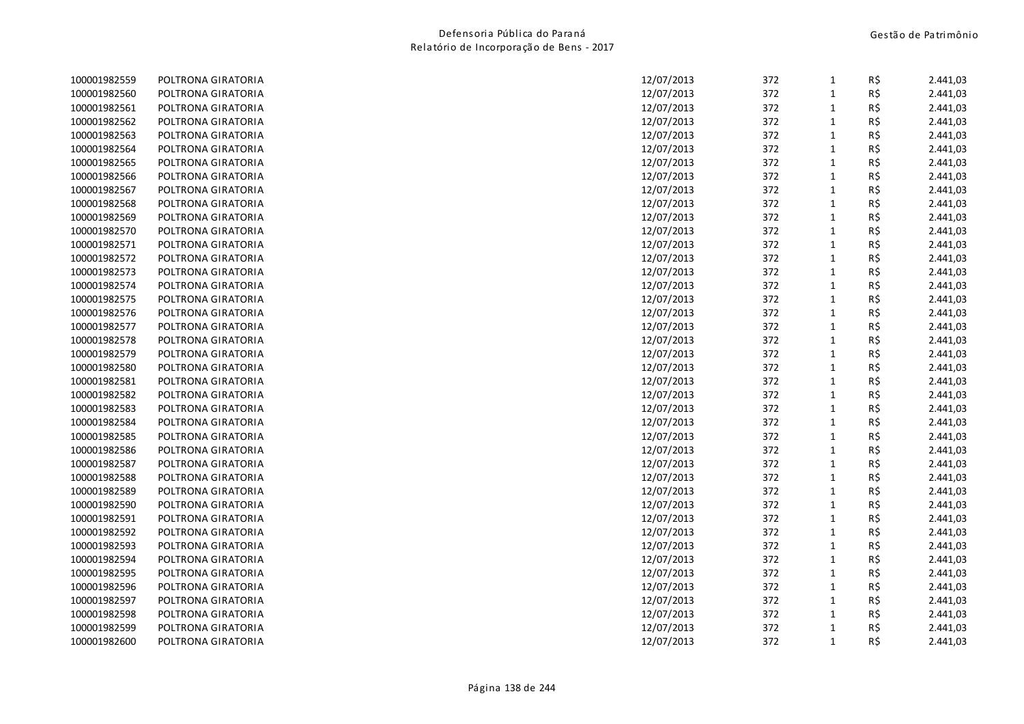| 100001982559 | POLTRONA GIRATORIA | 12/07/2013 | 372 | $\mathbf{1}$ | R\$ | 2.441,03 |
|--------------|--------------------|------------|-----|--------------|-----|----------|
| 100001982560 | POLTRONA GIRATORIA | 12/07/2013 | 372 | $1\,$        | R\$ | 2.441,03 |
| 100001982561 | POLTRONA GIRATORIA | 12/07/2013 | 372 | $\mathbf{1}$ | R\$ | 2.441,03 |
| 100001982562 | POLTRONA GIRATORIA | 12/07/2013 | 372 | $\mathbf{1}$ | R\$ | 2.441,03 |
| 100001982563 | POLTRONA GIRATORIA | 12/07/2013 | 372 | $\mathbf{1}$ | R\$ | 2.441,03 |
| 100001982564 | POLTRONA GIRATORIA | 12/07/2013 | 372 | $\mathbf{1}$ | R\$ | 2.441,03 |
| 100001982565 | POLTRONA GIRATORIA | 12/07/2013 | 372 | $\mathbf{1}$ | R\$ | 2.441,03 |
| 100001982566 | POLTRONA GIRATORIA | 12/07/2013 | 372 | $\mathbf{1}$ | R\$ | 2.441,03 |
| 100001982567 | POLTRONA GIRATORIA | 12/07/2013 | 372 | $1\,$        | R\$ | 2.441,03 |
| 100001982568 | POLTRONA GIRATORIA | 12/07/2013 | 372 | $1\,$        | R\$ | 2.441,03 |
| 100001982569 | POLTRONA GIRATORIA | 12/07/2013 | 372 | $1\,$        | R\$ | 2.441,03 |
| 100001982570 | POLTRONA GIRATORIA | 12/07/2013 | 372 | $\mathbf{1}$ | R\$ | 2.441,03 |
| 100001982571 | POLTRONA GIRATORIA | 12/07/2013 | 372 | $\mathbf{1}$ | R\$ | 2.441,03 |
| 100001982572 | POLTRONA GIRATORIA | 12/07/2013 | 372 | $\mathbf 1$  | R\$ | 2.441,03 |
| 100001982573 | POLTRONA GIRATORIA | 12/07/2013 | 372 | $\mathbf{1}$ | R\$ | 2.441,03 |
| 100001982574 | POLTRONA GIRATORIA | 12/07/2013 | 372 | $\mathbf{1}$ | R\$ | 2.441,03 |
| 100001982575 | POLTRONA GIRATORIA | 12/07/2013 | 372 | $\mathbf{1}$ | R\$ | 2.441,03 |
| 100001982576 | POLTRONA GIRATORIA | 12/07/2013 | 372 | $\mathbf{1}$ | R\$ | 2.441,03 |
| 100001982577 | POLTRONA GIRATORIA | 12/07/2013 | 372 | $\mathbf{1}$ | R\$ | 2.441,03 |
| 100001982578 | POLTRONA GIRATORIA | 12/07/2013 | 372 | $\mathbf{1}$ | R\$ | 2.441,03 |
| 100001982579 | POLTRONA GIRATORIA | 12/07/2013 | 372 | $\mathbf{1}$ | R\$ | 2.441,03 |
| 100001982580 | POLTRONA GIRATORIA | 12/07/2013 | 372 | $\mathbf{1}$ | R\$ | 2.441,03 |
| 100001982581 | POLTRONA GIRATORIA | 12/07/2013 | 372 | $\mathbf 1$  | R\$ | 2.441,03 |
| 100001982582 | POLTRONA GIRATORIA | 12/07/2013 | 372 | $1\,$        | R\$ | 2.441,03 |
| 100001982583 | POLTRONA GIRATORIA | 12/07/2013 | 372 | 1            | R\$ | 2.441,03 |
| 100001982584 | POLTRONA GIRATORIA | 12/07/2013 | 372 | $\mathbf{1}$ | R\$ | 2.441,03 |
| 100001982585 | POLTRONA GIRATORIA | 12/07/2013 | 372 | 1            | R\$ | 2.441,03 |
| 100001982586 | POLTRONA GIRATORIA | 12/07/2013 | 372 | $\mathbf{1}$ | R\$ | 2.441,03 |
| 100001982587 | POLTRONA GIRATORIA | 12/07/2013 | 372 | $\mathbf{1}$ | R\$ | 2.441,03 |
| 100001982588 | POLTRONA GIRATORIA | 12/07/2013 | 372 | $\mathbf{1}$ | R\$ | 2.441,03 |
| 100001982589 | POLTRONA GIRATORIA | 12/07/2013 | 372 | $\mathbf{1}$ | R\$ | 2.441,03 |
| 100001982590 | POLTRONA GIRATORIA | 12/07/2013 | 372 | $\mathbf 1$  | R\$ | 2.441,03 |
| 100001982591 | POLTRONA GIRATORIA | 12/07/2013 | 372 | $\mathbf{1}$ | R\$ | 2.441,03 |
| 100001982592 | POLTRONA GIRATORIA | 12/07/2013 | 372 | $\mathbf{1}$ | R\$ | 2.441,03 |
| 100001982593 | POLTRONA GIRATORIA | 12/07/2013 | 372 | $\mathbf{1}$ | R\$ | 2.441,03 |
| 100001982594 | POLTRONA GIRATORIA | 12/07/2013 | 372 | $1\,$        | R\$ | 2.441,03 |
| 100001982595 | POLTRONA GIRATORIA | 12/07/2013 | 372 | $\mathbf{1}$ | R\$ | 2.441,03 |
| 100001982596 | POLTRONA GIRATORIA | 12/07/2013 | 372 | $\mathbf{1}$ | R\$ | 2.441,03 |
| 100001982597 | POLTRONA GIRATORIA | 12/07/2013 | 372 | $\mathbf{1}$ | R\$ | 2.441,03 |
| 100001982598 | POLTRONA GIRATORIA | 12/07/2013 | 372 | 1            | R\$ | 2.441,03 |
| 100001982599 | POLTRONA GIRATORIA | 12/07/2013 | 372 | 1            | R\$ | 2.441,03 |
| 100001982600 | POLTRONA GIRATORIA | 12/07/2013 | 372 | $\mathbf{1}$ | R\$ | 2.441,03 |
|              |                    |            |     |              |     |          |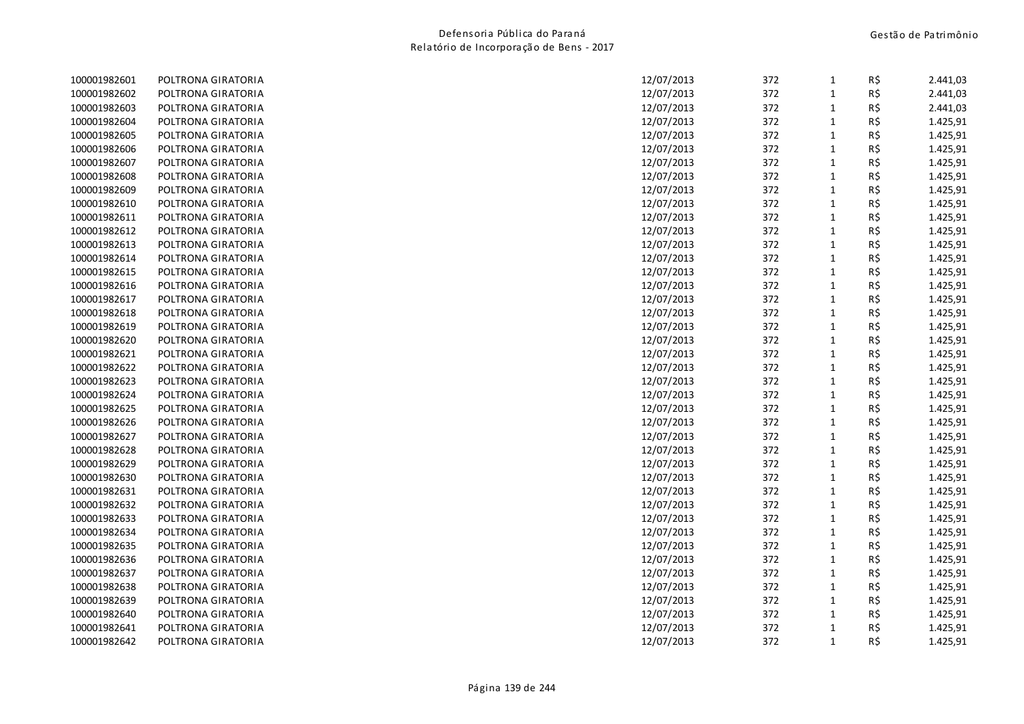| 100001982601 | POLTRONA GIRATORIA | 372<br>12/07/2013 | 1            | R\$ | 2.441,03 |
|--------------|--------------------|-------------------|--------------|-----|----------|
| 100001982602 | POLTRONA GIRATORIA | 372<br>12/07/2013 | $\mathbf 1$  | R\$ | 2.441,03 |
| 100001982603 | POLTRONA GIRATORIA | 372<br>12/07/2013 | 1            | R\$ | 2.441,03 |
| 100001982604 | POLTRONA GIRATORIA | 372<br>12/07/2013 | $\mathbf{1}$ | R\$ | 1.425,91 |
| 100001982605 | POLTRONA GIRATORIA | 372<br>12/07/2013 | $\mathbf{1}$ | R\$ | 1.425,91 |
| 100001982606 | POLTRONA GIRATORIA | 372<br>12/07/2013 | $\mathbf{1}$ | R\$ | 1.425,91 |
| 100001982607 | POLTRONA GIRATORIA | 372<br>12/07/2013 | 1            | R\$ | 1.425,91 |
| 100001982608 | POLTRONA GIRATORIA | 12/07/2013<br>372 | $\mathbf{1}$ | R\$ | 1.425,91 |
| 100001982609 | POLTRONA GIRATORIA | 12/07/2013<br>372 | $\mathbf{1}$ | R\$ | 1.425,91 |
| 100001982610 | POLTRONA GIRATORIA | 372<br>12/07/2013 | $\mathbf{1}$ | R\$ | 1.425,91 |
| 100001982611 | POLTRONA GIRATORIA | 12/07/2013<br>372 | $\mathbf{1}$ | R\$ | 1.425,91 |
| 100001982612 | POLTRONA GIRATORIA | 372<br>12/07/2013 | $\mathbf{1}$ | R\$ | 1.425,91 |
| 100001982613 | POLTRONA GIRATORIA | 372<br>12/07/2013 | $\mathbf{1}$ | R\$ | 1.425,91 |
| 100001982614 | POLTRONA GIRATORIA | 12/07/2013<br>372 | $\mathbf{1}$ | R\$ | 1.425,91 |
| 100001982615 | POLTRONA GIRATORIA | 372<br>12/07/2013 | $\mathbf{1}$ | R\$ | 1.425,91 |
| 100001982616 | POLTRONA GIRATORIA | 12/07/2013<br>372 | $\mathbf{1}$ | R\$ | 1.425,91 |
| 100001982617 | POLTRONA GIRATORIA | 372<br>12/07/2013 | $\mathbf{1}$ | R\$ | 1.425,91 |
| 100001982618 | POLTRONA GIRATORIA | 372<br>12/07/2013 | $\mathbf{1}$ | R\$ | 1.425,91 |
| 100001982619 | POLTRONA GIRATORIA | 372<br>12/07/2013 | $\mathbf{1}$ | R\$ | 1.425,91 |
| 100001982620 | POLTRONA GIRATORIA | 12/07/2013<br>372 | $\mathbf{1}$ | R\$ | 1.425,91 |
| 100001982621 | POLTRONA GIRATORIA | 372<br>12/07/2013 | $\mathbf{1}$ | R\$ | 1.425,91 |
| 100001982622 | POLTRONA GIRATORIA | 372<br>12/07/2013 | $\mathbf{1}$ | R\$ | 1.425,91 |
| 100001982623 | POLTRONA GIRATORIA | 372<br>12/07/2013 | $1\,$        | R\$ | 1.425,91 |
| 100001982624 | POLTRONA GIRATORIA | 12/07/2013<br>372 | $\mathbf{1}$ | R\$ | 1.425,91 |
| 100001982625 | POLTRONA GIRATORIA | 372<br>12/07/2013 | $\mathbf{1}$ | R\$ | 1.425,91 |
| 100001982626 | POLTRONA GIRATORIA | 372<br>12/07/2013 | 1            | R\$ | 1.425,91 |
| 100001982627 | POLTRONA GIRATORIA | 12/07/2013<br>372 | $\mathbf{1}$ | R\$ | 1.425,91 |
| 100001982628 | POLTRONA GIRATORIA | 372<br>12/07/2013 | $1\,$        | R\$ | 1.425,91 |
| 100001982629 | POLTRONA GIRATORIA | 372<br>12/07/2013 | $\mathbf{1}$ | R\$ | 1.425,91 |
| 100001982630 | POLTRONA GIRATORIA | 372<br>12/07/2013 | $1\,$        | R\$ | 1.425,91 |
| 100001982631 | POLTRONA GIRATORIA | 12/07/2013<br>372 | $\mathbf{1}$ | R\$ | 1.425,91 |
| 100001982632 | POLTRONA GIRATORIA | 12/07/2013<br>372 | $\mathbf{1}$ | R\$ | 1.425,91 |
| 100001982633 | POLTRONA GIRATORIA | 372<br>12/07/2013 | $\mathbf{1}$ | R\$ | 1.425,91 |
| 100001982634 | POLTRONA GIRATORIA | 12/07/2013<br>372 | $\mathbf{1}$ | R\$ | 1.425,91 |
| 100001982635 | POLTRONA GIRATORIA | 372<br>12/07/2013 | $\mathbf{1}$ | R\$ | 1.425,91 |
| 100001982636 | POLTRONA GIRATORIA | 372<br>12/07/2013 | $\mathbf{1}$ | R\$ | 1.425,91 |
| 100001982637 | POLTRONA GIRATORIA | 12/07/2013<br>372 | $\mathbf{1}$ | R\$ | 1.425,91 |
| 100001982638 | POLTRONA GIRATORIA | 372<br>12/07/2013 | $\mathbf{1}$ | R\$ | 1.425,91 |
| 100001982639 | POLTRONA GIRATORIA | 12/07/2013<br>372 | $\mathbf{1}$ | R\$ | 1.425,91 |
| 100001982640 | POLTRONA GIRATORIA | 372<br>12/07/2013 | $\mathbf{1}$ | R\$ | 1.425,91 |
| 100001982641 | POLTRONA GIRATORIA | 372<br>12/07/2013 | $\mathbf{1}$ | R\$ | 1.425,91 |
| 100001982642 | POLTRONA GIRATORIA | 372<br>12/07/2013 | $\mathbf{1}$ | R\$ | 1.425,91 |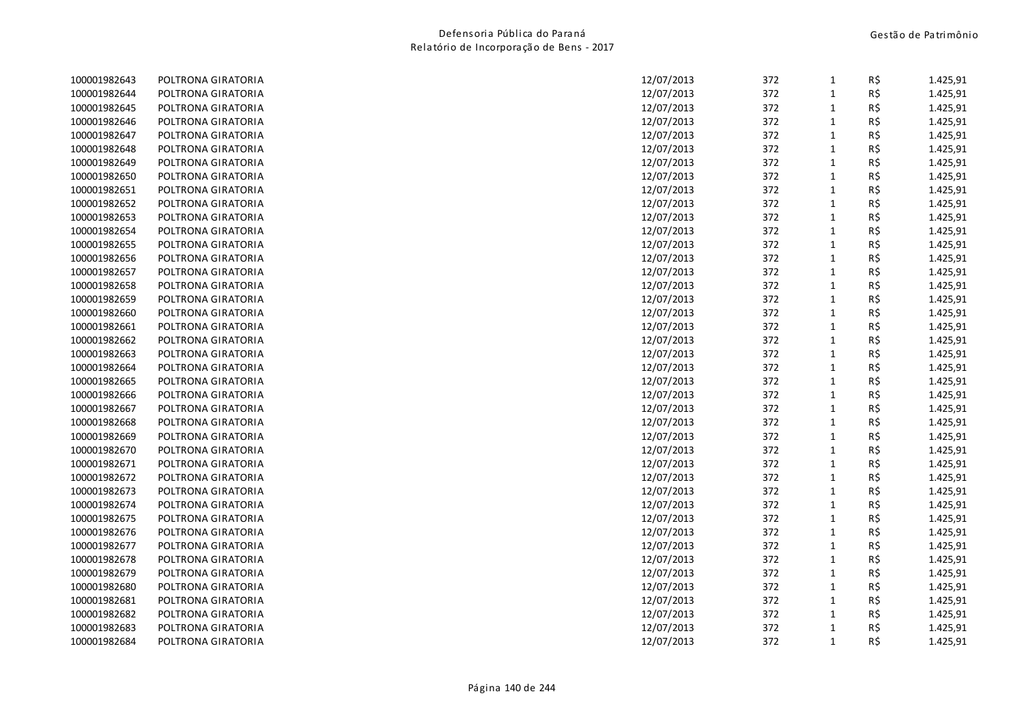| 100001982643 | POLTRONA GIRATORIA | 12/07/2013<br>372 | $\mathbf{1}$ | R\$ | 1.425,91 |
|--------------|--------------------|-------------------|--------------|-----|----------|
| 100001982644 | POLTRONA GIRATORIA | 12/07/2013<br>372 | $\mathbf{1}$ | R\$ | 1.425,91 |
| 100001982645 | POLTRONA GIRATORIA | 372<br>12/07/2013 | $\mathbf{1}$ | R\$ | 1.425,91 |
| 100001982646 | POLTRONA GIRATORIA | 372<br>12/07/2013 | $\mathbf 1$  | R\$ | 1.425,91 |
| 100001982647 | POLTRONA GIRATORIA | 372<br>12/07/2013 | $\mathbf{1}$ | R\$ | 1.425,91 |
| 100001982648 | POLTRONA GIRATORIA | 372<br>12/07/2013 | $\mathbf{1}$ | R\$ | 1.425,91 |
| 100001982649 | POLTRONA GIRATORIA | 372<br>12/07/2013 | $\mathbf{1}$ | R\$ | 1.425,91 |
| 100001982650 | POLTRONA GIRATORIA | 12/07/2013<br>372 | $\mathbf{1}$ | R\$ | 1.425,91 |
| 100001982651 | POLTRONA GIRATORIA | 12/07/2013<br>372 | $\mathbf{1}$ | R\$ | 1.425,91 |
| 100001982652 | POLTRONA GIRATORIA | 372<br>12/07/2013 | $\mathbf{1}$ | R\$ | 1.425,91 |
| 100001982653 | POLTRONA GIRATORIA | 12/07/2013<br>372 | $\mathbf{1}$ | R\$ | 1.425,91 |
| 100001982654 | POLTRONA GIRATORIA | 372<br>12/07/2013 | $\mathbf{1}$ | R\$ | 1.425,91 |
| 100001982655 | POLTRONA GIRATORIA | 372<br>12/07/2013 | $\mathbf{1}$ | R\$ | 1.425,91 |
| 100001982656 | POLTRONA GIRATORIA | 12/07/2013<br>372 | $\mathbf{1}$ | R\$ | 1.425,91 |
| 100001982657 | POLTRONA GIRATORIA | 12/07/2013<br>372 | $\mathbf{1}$ | R\$ | 1.425,91 |
| 100001982658 | POLTRONA GIRATORIA | 12/07/2013<br>372 | $\mathbf{1}$ | R\$ | 1.425,91 |
| 100001982659 | POLTRONA GIRATORIA | 372<br>12/07/2013 | $\mathbf{1}$ | R\$ | 1.425,91 |
| 100001982660 | POLTRONA GIRATORIA | 12/07/2013<br>372 | $\mathbf 1$  | R\$ | 1.425,91 |
| 100001982661 | POLTRONA GIRATORIA | 372<br>12/07/2013 | $\mathbf{1}$ | R\$ | 1.425,91 |
| 100001982662 | POLTRONA GIRATORIA | 12/07/2013<br>372 | $\mathbf{1}$ | R\$ | 1.425,91 |
| 100001982663 | POLTRONA GIRATORIA | 372<br>12/07/2013 | $\mathbf{1}$ | R\$ | 1.425,91 |
| 100001982664 | POLTRONA GIRATORIA | 12/07/2013<br>372 | $\mathbf{1}$ | R\$ | 1.425,91 |
| 100001982665 | POLTRONA GIRATORIA | 372<br>12/07/2013 | $\mathbf{1}$ | R\$ | 1.425,91 |
| 100001982666 | POLTRONA GIRATORIA | 12/07/2013<br>372 | $\mathbf{1}$ | R\$ | 1.425,91 |
| 100001982667 | POLTRONA GIRATORIA | 372<br>12/07/2013 | $\mathbf{1}$ | R\$ | 1.425,91 |
| 100001982668 | POLTRONA GIRATORIA | 372<br>12/07/2013 | $\mathbf{1}$ | R\$ | 1.425,91 |
| 100001982669 | POLTRONA GIRATORIA | 372<br>12/07/2013 | $\mathbf 1$  | R\$ | 1.425,91 |
| 100001982670 | POLTRONA GIRATORIA | 372<br>12/07/2013 | $\mathbf 1$  | R\$ | 1.425,91 |
| 100001982671 | POLTRONA GIRATORIA | 372<br>12/07/2013 | $\mathbf{1}$ | R\$ | 1.425,91 |
| 100001982672 | POLTRONA GIRATORIA | 372<br>12/07/2013 | $\mathbf{1}$ | R\$ | 1.425,91 |
| 100001982673 | POLTRONA GIRATORIA | 12/07/2013<br>372 | $\mathbf{1}$ | R\$ | 1.425,91 |
| 100001982674 | POLTRONA GIRATORIA | 12/07/2013<br>372 | $\mathbf{1}$ | R\$ | 1.425,91 |
| 100001982675 | POLTRONA GIRATORIA | 12/07/2013<br>372 | $\mathbf{1}$ | R\$ | 1.425,91 |
| 100001982676 | POLTRONA GIRATORIA | 12/07/2013<br>372 | $\mathbf{1}$ | R\$ | 1.425,91 |
| 100001982677 | POLTRONA GIRATORIA | 372<br>12/07/2013 | $\mathbf{1}$ | R\$ | 1.425,91 |
| 100001982678 | POLTRONA GIRATORIA | 372<br>12/07/2013 | $\mathbf{1}$ | R\$ | 1.425,91 |
| 100001982679 | POLTRONA GIRATORIA | 12/07/2013<br>372 | $\mathbf 1$  | R\$ | 1.425,91 |
| 100001982680 | POLTRONA GIRATORIA | 12/07/2013<br>372 | $\mathbf{1}$ | R\$ | 1.425,91 |
| 100001982681 | POLTRONA GIRATORIA | 12/07/2013<br>372 | $\mathbf{1}$ | R\$ | 1.425,91 |
| 100001982682 | POLTRONA GIRATORIA | 12/07/2013<br>372 | $\mathbf{1}$ | R\$ | 1.425,91 |
| 100001982683 | POLTRONA GIRATORIA | 12/07/2013<br>372 | $\mathbf{1}$ | R\$ | 1.425,91 |
| 100001982684 | POLTRONA GIRATORIA | 372<br>12/07/2013 | $\mathbf{1}$ | R\$ | 1.425,91 |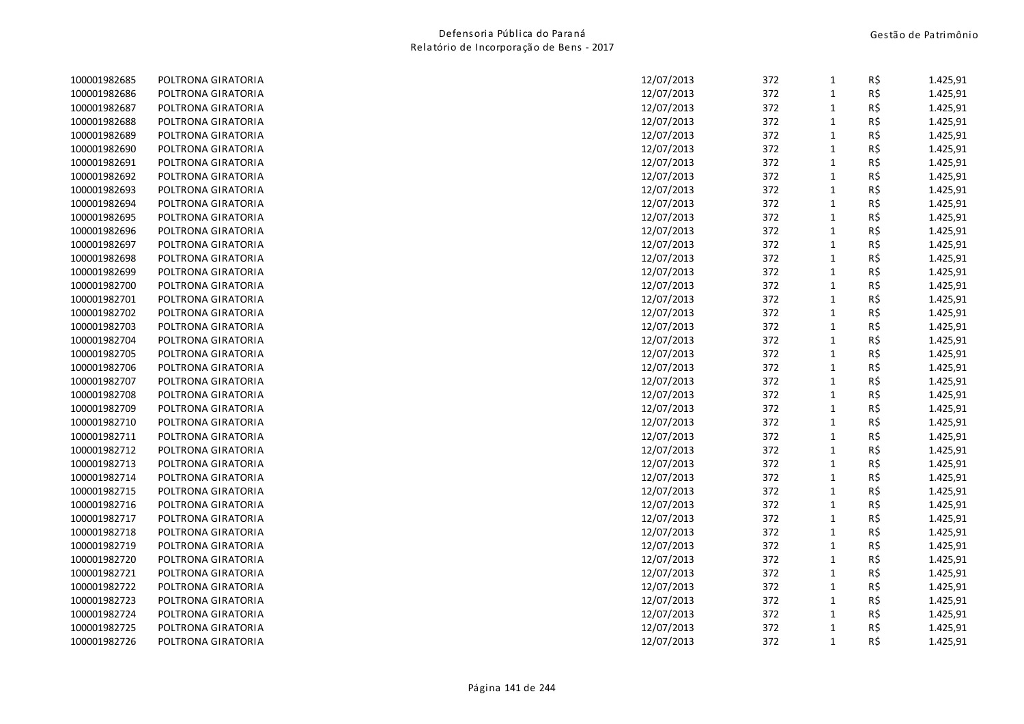| 100001982685 | POLTRONA GIRATORIA | 12/07/2013 | 372 | $\mathbf{1}$ | R\$ | 1.425,91 |
|--------------|--------------------|------------|-----|--------------|-----|----------|
| 100001982686 | POLTRONA GIRATORIA | 12/07/2013 | 372 | $\mathbf 1$  | R\$ | 1.425,91 |
| 100001982687 | POLTRONA GIRATORIA | 12/07/2013 | 372 | $\mathbf{1}$ | R\$ | 1.425,91 |
| 100001982688 | POLTRONA GIRATORIA | 12/07/2013 | 372 | $\mathbf{1}$ | R\$ | 1.425,91 |
| 100001982689 | POLTRONA GIRATORIA | 12/07/2013 | 372 | $\mathbf{1}$ | R\$ | 1.425,91 |
| 100001982690 | POLTRONA GIRATORIA | 12/07/2013 | 372 | $\mathbf{1}$ | R\$ | 1.425,91 |
| 100001982691 | POLTRONA GIRATORIA | 12/07/2013 | 372 | 1            | R\$ | 1.425,91 |
| 100001982692 | POLTRONA GIRATORIA | 12/07/2013 | 372 | $\mathbf{1}$ | R\$ | 1.425,91 |
| 100001982693 | POLTRONA GIRATORIA | 12/07/2013 | 372 | $\mathbf{1}$ | R\$ | 1.425,91 |
| 100001982694 | POLTRONA GIRATORIA | 12/07/2013 | 372 | $\mathbf{1}$ | R\$ | 1.425,91 |
| 100001982695 | POLTRONA GIRATORIA | 12/07/2013 | 372 | $\mathbf{1}$ | R\$ | 1.425,91 |
| 100001982696 | POLTRONA GIRATORIA | 12/07/2013 | 372 | $\mathbf{1}$ | R\$ | 1.425,91 |
| 100001982697 | POLTRONA GIRATORIA | 12/07/2013 | 372 | $\mathbf{1}$ | R\$ | 1.425,91 |
| 100001982698 | POLTRONA GIRATORIA | 12/07/2013 | 372 | $\mathbf{1}$ | R\$ | 1.425,91 |
| 100001982699 | POLTRONA GIRATORIA | 12/07/2013 | 372 | $\mathbf{1}$ | R\$ | 1.425,91 |
| 100001982700 | POLTRONA GIRATORIA | 12/07/2013 | 372 | $\mathbf{1}$ | R\$ | 1.425,91 |
| 100001982701 | POLTRONA GIRATORIA | 12/07/2013 | 372 | $\mathbf{1}$ | R\$ | 1.425,91 |
| 100001982702 | POLTRONA GIRATORIA | 12/07/2013 | 372 | $\mathbf{1}$ | R\$ | 1.425,91 |
| 100001982703 | POLTRONA GIRATORIA | 12/07/2013 | 372 | $\mathbf{1}$ | R\$ | 1.425,91 |
| 100001982704 | POLTRONA GIRATORIA | 12/07/2013 | 372 | $\mathbf{1}$ | R\$ | 1.425,91 |
| 100001982705 | POLTRONA GIRATORIA | 12/07/2013 | 372 | $\mathbf{1}$ | R\$ | 1.425,91 |
| 100001982706 | POLTRONA GIRATORIA | 12/07/2013 | 372 | $\mathbf{1}$ | R\$ | 1.425,91 |
| 100001982707 | POLTRONA GIRATORIA | 12/07/2013 | 372 | $1\,$        | R\$ | 1.425,91 |
| 100001982708 | POLTRONA GIRATORIA | 12/07/2013 | 372 | $\mathbf{1}$ | R\$ | 1.425,91 |
| 100001982709 | POLTRONA GIRATORIA | 12/07/2013 | 372 | $\mathbf{1}$ | R\$ | 1.425,91 |
| 100001982710 | POLTRONA GIRATORIA | 12/07/2013 | 372 | 1            | R\$ | 1.425,91 |
| 100001982711 | POLTRONA GIRATORIA | 12/07/2013 | 372 | $\mathbf{1}$ | R\$ | 1.425,91 |
| 100001982712 | POLTRONA GIRATORIA | 12/07/2013 | 372 | $1\,$        | R\$ | 1.425,91 |
| 100001982713 | POLTRONA GIRATORIA | 12/07/2013 | 372 | $\mathbf{1}$ | R\$ | 1.425,91 |
| 100001982714 | POLTRONA GIRATORIA | 12/07/2013 | 372 | $1\,$        | R\$ | 1.425,91 |
| 100001982715 | POLTRONA GIRATORIA | 12/07/2013 | 372 | $\mathbf{1}$ | R\$ | 1.425,91 |
| 100001982716 | POLTRONA GIRATORIA | 12/07/2013 | 372 | $\mathbf{1}$ | R\$ | 1.425,91 |
| 100001982717 | POLTRONA GIRATORIA | 12/07/2013 | 372 | $\mathbf{1}$ | R\$ | 1.425,91 |
| 100001982718 | POLTRONA GIRATORIA | 12/07/2013 | 372 | $\mathbf{1}$ | R\$ | 1.425,91 |
| 100001982719 | POLTRONA GIRATORIA | 12/07/2013 | 372 | $\mathbf{1}$ | R\$ | 1.425,91 |
| 100001982720 | POLTRONA GIRATORIA | 12/07/2013 | 372 | $\mathbf{1}$ | R\$ | 1.425,91 |
| 100001982721 | POLTRONA GIRATORIA | 12/07/2013 | 372 | $\mathbf{1}$ | R\$ | 1.425,91 |
| 100001982722 | POLTRONA GIRATORIA | 12/07/2013 | 372 | $\mathbf{1}$ | R\$ | 1.425,91 |
| 100001982723 | POLTRONA GIRATORIA | 12/07/2013 | 372 | $\mathbf{1}$ | R\$ | 1.425,91 |
| 100001982724 | POLTRONA GIRATORIA | 12/07/2013 | 372 | $\mathbf{1}$ | R\$ | 1.425,91 |
| 100001982725 | POLTRONA GIRATORIA | 12/07/2013 | 372 | $\mathbf{1}$ | R\$ | 1.425,91 |
| 100001982726 | POLTRONA GIRATORIA | 12/07/2013 | 372 | $\mathbf{1}$ | R\$ | 1.425,91 |
|              |                    |            |     |              |     |          |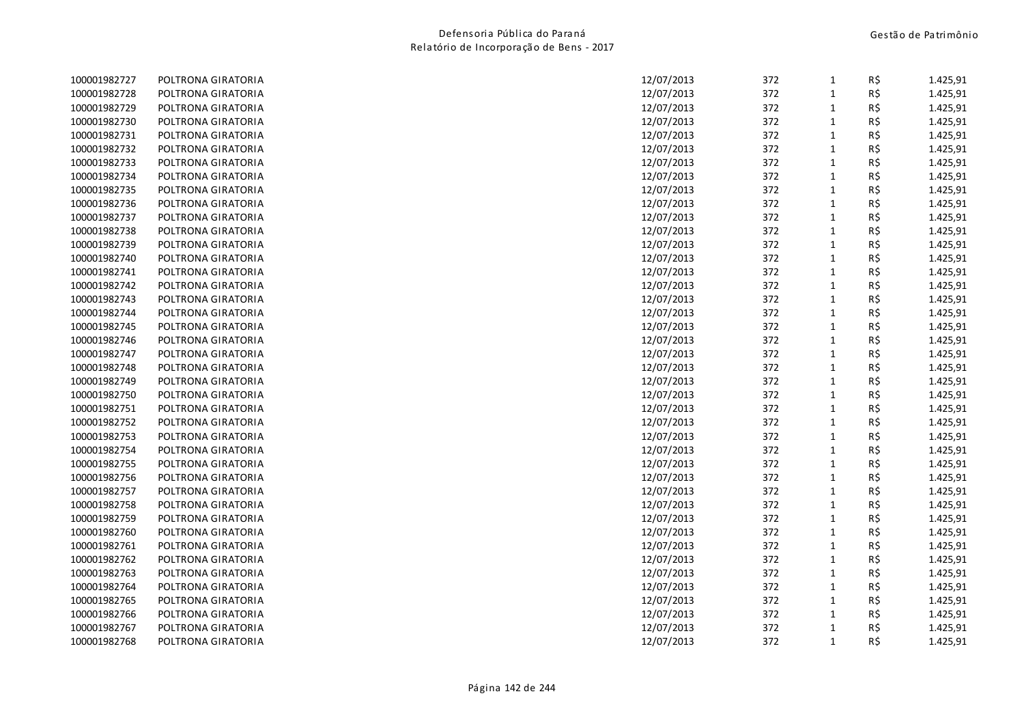| 100001982727 | POLTRONA GIRATORIA | 12/07/2013 | 372 | $\mathbf{1}$ | R\$ | 1.425,91 |
|--------------|--------------------|------------|-----|--------------|-----|----------|
| 100001982728 | POLTRONA GIRATORIA | 12/07/2013 | 372 | $\mathbf{1}$ | R\$ | 1.425,91 |
| 100001982729 | POLTRONA GIRATORIA | 12/07/2013 | 372 | $\mathbf{1}$ | R\$ | 1.425,91 |
| 100001982730 | POLTRONA GIRATORIA | 12/07/2013 | 372 | $\mathbf{1}$ | R\$ | 1.425,91 |
| 100001982731 | POLTRONA GIRATORIA | 12/07/2013 | 372 | $\mathbf{1}$ | R\$ | 1.425,91 |
| 100001982732 | POLTRONA GIRATORIA | 12/07/2013 | 372 | $\mathbf{1}$ | R\$ | 1.425,91 |
| 100001982733 | POLTRONA GIRATORIA | 12/07/2013 | 372 | $\mathbf{1}$ | R\$ | 1.425,91 |
| 100001982734 | POLTRONA GIRATORIA | 12/07/2013 | 372 | $\mathbf{1}$ | R\$ | 1.425,91 |
| 100001982735 | POLTRONA GIRATORIA | 12/07/2013 | 372 | $\mathbf 1$  | R\$ | 1.425,91 |
| 100001982736 | POLTRONA GIRATORIA | 12/07/2013 | 372 | $\mathbf{1}$ | R\$ | 1.425,91 |
| 100001982737 | POLTRONA GIRATORIA | 12/07/2013 | 372 | $\mathbf{1}$ | R\$ | 1.425,91 |
| 100001982738 | POLTRONA GIRATORIA | 12/07/2013 | 372 | $\mathbf{1}$ | R\$ | 1.425,91 |
| 100001982739 | POLTRONA GIRATORIA | 12/07/2013 | 372 | $\mathbf{1}$ | R\$ | 1.425,91 |
| 100001982740 | POLTRONA GIRATORIA | 12/07/2013 | 372 | $\mathbf{1}$ | R\$ | 1.425,91 |
| 100001982741 | POLTRONA GIRATORIA | 12/07/2013 | 372 | $\mathbf{1}$ | R\$ | 1.425,91 |
| 100001982742 | POLTRONA GIRATORIA | 12/07/2013 | 372 | $\mathbf{1}$ | R\$ | 1.425,91 |
| 100001982743 | POLTRONA GIRATORIA | 12/07/2013 | 372 | $\mathbf{1}$ | R\$ | 1.425,91 |
| 100001982744 | POLTRONA GIRATORIA | 12/07/2013 | 372 | $\mathbf{1}$ | R\$ | 1.425,91 |
| 100001982745 | POLTRONA GIRATORIA | 12/07/2013 | 372 | $\mathbf{1}$ | R\$ | 1.425,91 |
| 100001982746 | POLTRONA GIRATORIA | 12/07/2013 | 372 | $\mathbf{1}$ | R\$ | 1.425,91 |
| 100001982747 | POLTRONA GIRATORIA | 12/07/2013 | 372 | $\mathbf{1}$ | R\$ | 1.425,91 |
| 100001982748 | POLTRONA GIRATORIA | 12/07/2013 | 372 | $\mathbf{1}$ | R\$ | 1.425,91 |
| 100001982749 | POLTRONA GIRATORIA | 12/07/2013 | 372 | $\mathbf{1}$ | R\$ | 1.425,91 |
| 100001982750 | POLTRONA GIRATORIA | 12/07/2013 | 372 | $\mathbf{1}$ | R\$ | 1.425,91 |
| 100001982751 | POLTRONA GIRATORIA | 12/07/2013 | 372 | $\mathbf{1}$ | R\$ | 1.425,91 |
| 100001982752 | POLTRONA GIRATORIA | 12/07/2013 | 372 | $\mathbf{1}$ | R\$ | 1.425,91 |
| 100001982753 | POLTRONA GIRATORIA | 12/07/2013 | 372 | $\mathbf 1$  | R\$ | 1.425,91 |
| 100001982754 | POLTRONA GIRATORIA | 12/07/2013 | 372 | $\mathbf 1$  | R\$ | 1.425,91 |
| 100001982755 | POLTRONA GIRATORIA | 12/07/2013 | 372 | $\mathbf{1}$ | R\$ | 1.425,91 |
| 100001982756 | POLTRONA GIRATORIA | 12/07/2013 | 372 | $\mathbf{1}$ | R\$ | 1.425,91 |
| 100001982757 | POLTRONA GIRATORIA | 12/07/2013 | 372 | $\mathbf{1}$ | R\$ | 1.425,91 |
| 100001982758 | POLTRONA GIRATORIA | 12/07/2013 | 372 | $\mathbf{1}$ | R\$ | 1.425,91 |
| 100001982759 | POLTRONA GIRATORIA | 12/07/2013 | 372 | $\mathbf{1}$ | R\$ | 1.425,91 |
| 100001982760 | POLTRONA GIRATORIA | 12/07/2013 | 372 | $\mathbf{1}$ | R\$ | 1.425,91 |
| 100001982761 | POLTRONA GIRATORIA | 12/07/2013 | 372 | $\mathbf{1}$ | R\$ | 1.425,91 |
| 100001982762 | POLTRONA GIRATORIA | 12/07/2013 | 372 | $\mathbf{1}$ | R\$ | 1.425,91 |
| 100001982763 | POLTRONA GIRATORIA | 12/07/2013 | 372 | $\mathbf{1}$ | R\$ | 1.425,91 |
| 100001982764 | POLTRONA GIRATORIA | 12/07/2013 | 372 | $\mathbf{1}$ | R\$ | 1.425,91 |
| 100001982765 | POLTRONA GIRATORIA | 12/07/2013 | 372 | $\mathbf{1}$ | R\$ | 1.425,91 |
| 100001982766 | POLTRONA GIRATORIA | 12/07/2013 | 372 | $\mathbf{1}$ | R\$ | 1.425,91 |
| 100001982767 | POLTRONA GIRATORIA | 12/07/2013 | 372 | $\mathbf{1}$ | R\$ | 1.425,91 |
| 100001982768 | POLTRONA GIRATORIA | 12/07/2013 | 372 | $\mathbf{1}$ | R\$ | 1.425,91 |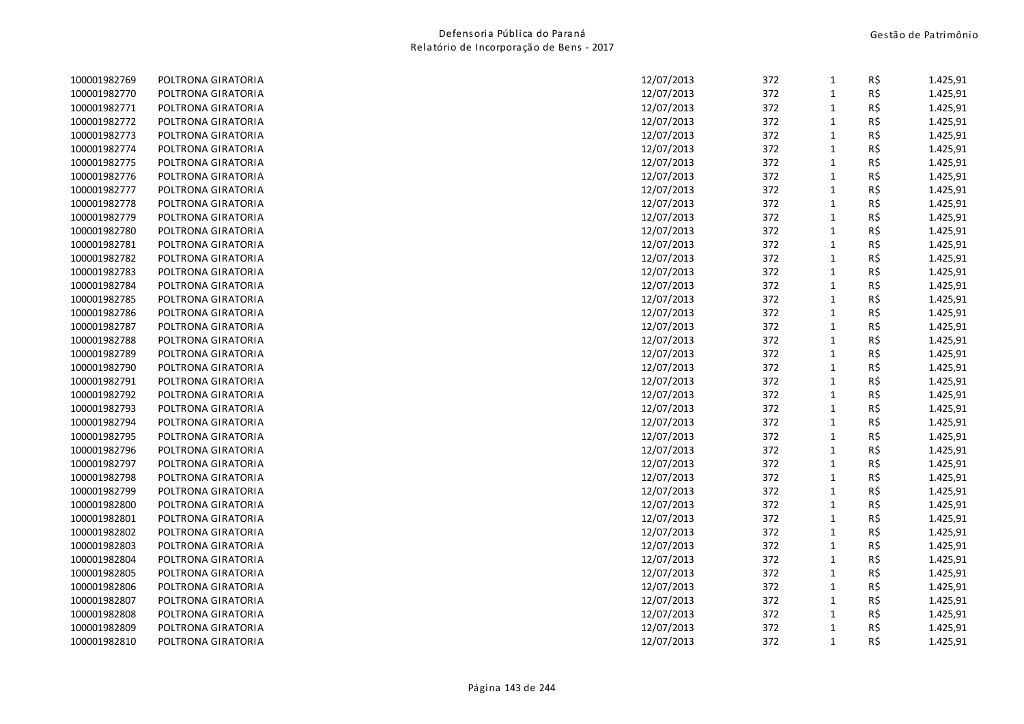| 100001982769 | POLTRONA GIRATORIA | 12/07/2013 | 372 | $\mathbf{1}$ | R\$ | 1.425,91 |
|--------------|--------------------|------------|-----|--------------|-----|----------|
| 100001982770 | POLTRONA GIRATORIA | 12/07/2013 | 372 | $\mathbf{1}$ | R\$ | 1.425,91 |
| 100001982771 | POLTRONA GIRATORIA | 12/07/2013 | 372 | $\mathbf{1}$ | R\$ | 1.425,91 |
| 100001982772 | POLTRONA GIRATORIA | 12/07/2013 | 372 | $\mathbf 1$  | R\$ | 1.425,91 |
| 100001982773 | POLTRONA GIRATORIA | 12/07/2013 | 372 | $\mathbf{1}$ | R\$ | 1.425,91 |
| 100001982774 | POLTRONA GIRATORIA | 12/07/2013 | 372 | $\mathbf{1}$ | R\$ | 1.425,91 |
| 100001982775 | POLTRONA GIRATORIA | 12/07/2013 | 372 | $\mathbf{1}$ | R\$ | 1.425,91 |
| 100001982776 | POLTRONA GIRATORIA | 12/07/2013 | 372 | $\mathbf{1}$ | R\$ | 1.425,91 |
| 100001982777 | POLTRONA GIRATORIA | 12/07/2013 | 372 | $\mathbf{1}$ | R\$ | 1.425,91 |
| 100001982778 | POLTRONA GIRATORIA | 12/07/2013 | 372 | $\mathbf{1}$ | R\$ | 1.425,91 |
| 100001982779 | POLTRONA GIRATORIA | 12/07/2013 | 372 | $\mathbf{1}$ | R\$ | 1.425,91 |
| 100001982780 | POLTRONA GIRATORIA | 12/07/2013 | 372 | $\mathbf{1}$ | R\$ | 1.425,91 |
| 100001982781 | POLTRONA GIRATORIA | 12/07/2013 | 372 | $\mathbf{1}$ | R\$ | 1.425,91 |
| 100001982782 | POLTRONA GIRATORIA | 12/07/2013 | 372 | $\mathbf{1}$ | R\$ | 1.425,91 |
| 100001982783 | POLTRONA GIRATORIA | 12/07/2013 | 372 | $\mathbf{1}$ | R\$ | 1.425,91 |
| 100001982784 | POLTRONA GIRATORIA | 12/07/2013 | 372 | $\mathbf{1}$ | R\$ | 1.425,91 |
| 100001982785 | POLTRONA GIRATORIA | 12/07/2013 | 372 | $\mathbf{1}$ | R\$ | 1.425,91 |
| 100001982786 | POLTRONA GIRATORIA | 12/07/2013 | 372 | $\mathbf 1$  | R\$ | 1.425,91 |
| 100001982787 | POLTRONA GIRATORIA | 12/07/2013 | 372 | $\mathbf{1}$ | R\$ | 1.425,91 |
| 100001982788 | POLTRONA GIRATORIA | 12/07/2013 | 372 | $\mathbf{1}$ | R\$ | 1.425,91 |
| 100001982789 | POLTRONA GIRATORIA | 12/07/2013 | 372 | $\mathbf{1}$ | R\$ | 1.425,91 |
| 100001982790 | POLTRONA GIRATORIA | 12/07/2013 | 372 | $\mathbf{1}$ | R\$ | 1.425,91 |
| 100001982791 | POLTRONA GIRATORIA | 12/07/2013 | 372 | $\mathbf{1}$ | R\$ | 1.425,91 |
| 100001982792 | POLTRONA GIRATORIA | 12/07/2013 | 372 | $\mathbf{1}$ | R\$ | 1.425,91 |
| 100001982793 | POLTRONA GIRATORIA | 12/07/2013 | 372 | $\mathbf{1}$ | R\$ | 1.425,91 |
| 100001982794 | POLTRONA GIRATORIA | 12/07/2013 | 372 | $\mathbf{1}$ | R\$ | 1.425,91 |
| 100001982795 | POLTRONA GIRATORIA | 12/07/2013 | 372 | $\mathbf 1$  | R\$ | 1.425,91 |
| 100001982796 | POLTRONA GIRATORIA | 12/07/2013 | 372 | $\mathbf 1$  | R\$ | 1.425,91 |
| 100001982797 | POLTRONA GIRATORIA | 12/07/2013 | 372 | $\mathbf{1}$ | R\$ | 1.425,91 |
| 100001982798 | POLTRONA GIRATORIA | 12/07/2013 | 372 | $\mathbf{1}$ | R\$ | 1.425,91 |
| 100001982799 | POLTRONA GIRATORIA | 12/07/2013 | 372 | $\mathbf{1}$ | R\$ | 1.425,91 |
| 100001982800 | POLTRONA GIRATORIA | 12/07/2013 | 372 | $\mathbf{1}$ | R\$ | 1.425,91 |
| 100001982801 | POLTRONA GIRATORIA | 12/07/2013 | 372 | $\mathbf{1}$ | R\$ | 1.425,91 |
| 100001982802 | POLTRONA GIRATORIA | 12/07/2013 | 372 | $\mathbf{1}$ | R\$ | 1.425,91 |
| 100001982803 | POLTRONA GIRATORIA | 12/07/2013 | 372 | $\mathbf{1}$ | R\$ | 1.425,91 |
| 100001982804 | POLTRONA GIRATORIA | 12/07/2013 | 372 | $\mathbf{1}$ | R\$ | 1.425,91 |
| 100001982805 | POLTRONA GIRATORIA | 12/07/2013 | 372 | $\mathbf{1}$ | R\$ | 1.425,91 |
| 100001982806 | POLTRONA GIRATORIA | 12/07/2013 | 372 | $\mathbf{1}$ | R\$ | 1.425,91 |
| 100001982807 | POLTRONA GIRATORIA | 12/07/2013 | 372 | $\mathbf{1}$ | R\$ | 1.425,91 |
| 100001982808 | POLTRONA GIRATORIA | 12/07/2013 | 372 | $\mathbf{1}$ | R\$ | 1.425,91 |
| 100001982809 | POLTRONA GIRATORIA | 12/07/2013 | 372 | $\mathbf{1}$ | R\$ | 1.425,91 |
| 100001982810 | POLTRONA GIRATORIA | 12/07/2013 | 372 | $\mathbf{1}$ | R\$ | 1.425,91 |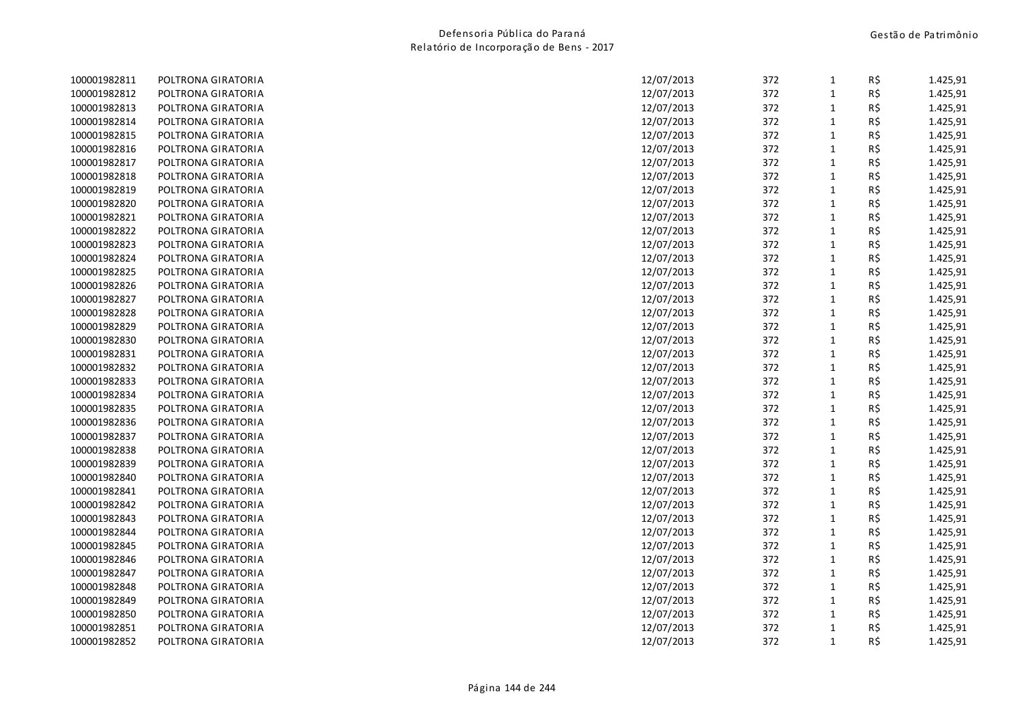| 100001982811 | POLTRONA GIRATORIA | 12/07/2013 | 372 | $\mathbf{1}$ | R\$ | 1.425,91 |
|--------------|--------------------|------------|-----|--------------|-----|----------|
| 100001982812 | POLTRONA GIRATORIA | 12/07/2013 | 372 | $\mathbf{1}$ | R\$ | 1.425,91 |
| 100001982813 | POLTRONA GIRATORIA | 12/07/2013 | 372 | $\mathbf{1}$ | R\$ | 1.425,91 |
| 100001982814 | POLTRONA GIRATORIA | 12/07/2013 | 372 | $\mathbf{1}$ | R\$ | 1.425,91 |
| 100001982815 | POLTRONA GIRATORIA | 12/07/2013 | 372 | $\mathbf{1}$ | R\$ | 1.425,91 |
| 100001982816 | POLTRONA GIRATORIA | 12/07/2013 | 372 | $\mathbf{1}$ | R\$ | 1.425,91 |
| 100001982817 | POLTRONA GIRATORIA | 12/07/2013 | 372 | $\mathbf{1}$ | R\$ | 1.425,91 |
| 100001982818 | POLTRONA GIRATORIA | 12/07/2013 | 372 | $\mathbf{1}$ | R\$ | 1.425,91 |
| 100001982819 | POLTRONA GIRATORIA | 12/07/2013 | 372 | $\mathbf{1}$ | R\$ | 1.425,91 |
| 100001982820 | POLTRONA GIRATORIA | 12/07/2013 | 372 | $\mathbf{1}$ | R\$ | 1.425,91 |
| 100001982821 | POLTRONA GIRATORIA | 12/07/2013 | 372 | $\mathbf{1}$ | R\$ | 1.425,91 |
| 100001982822 | POLTRONA GIRATORIA | 12/07/2013 | 372 | $\mathbf{1}$ | R\$ | 1.425,91 |
| 100001982823 | POLTRONA GIRATORIA | 12/07/2013 | 372 | $\mathbf{1}$ | R\$ | 1.425,91 |
| 100001982824 | POLTRONA GIRATORIA | 12/07/2013 | 372 | $\mathbf{1}$ | R\$ | 1.425,91 |
| 100001982825 | POLTRONA GIRATORIA | 12/07/2013 | 372 | $\mathbf{1}$ | R\$ | 1.425,91 |
| 100001982826 | POLTRONA GIRATORIA | 12/07/2013 | 372 | $\mathbf{1}$ | R\$ | 1.425,91 |
| 100001982827 | POLTRONA GIRATORIA | 12/07/2013 | 372 | $\mathbf{1}$ | R\$ | 1.425,91 |
| 100001982828 | POLTRONA GIRATORIA | 12/07/2013 | 372 | $\mathbf{1}$ | R\$ | 1.425,91 |
| 100001982829 | POLTRONA GIRATORIA | 12/07/2013 | 372 | $\mathbf{1}$ | R\$ | 1.425,91 |
| 100001982830 | POLTRONA GIRATORIA | 12/07/2013 | 372 | $\mathbf{1}$ | R\$ | 1.425,91 |
| 100001982831 | POLTRONA GIRATORIA | 12/07/2013 | 372 | $\mathbf{1}$ | R\$ | 1.425,91 |
| 100001982832 | POLTRONA GIRATORIA | 12/07/2013 | 372 | $\mathbf{1}$ | R\$ | 1.425,91 |
| 100001982833 | POLTRONA GIRATORIA | 12/07/2013 | 372 | $\mathbf{1}$ | R\$ | 1.425,91 |
| 100001982834 | POLTRONA GIRATORIA | 12/07/2013 | 372 | $\mathbf{1}$ | R\$ | 1.425,91 |
| 100001982835 | POLTRONA GIRATORIA | 12/07/2013 | 372 | $\mathbf{1}$ | R\$ | 1.425,91 |
| 100001982836 | POLTRONA GIRATORIA | 12/07/2013 | 372 | $\mathbf{1}$ | R\$ | 1.425,91 |
| 100001982837 | POLTRONA GIRATORIA | 12/07/2013 | 372 | $\mathbf{1}$ | R\$ | 1.425,91 |
| 100001982838 | POLTRONA GIRATORIA | 12/07/2013 | 372 | $\mathbf 1$  | R\$ | 1.425,91 |
| 100001982839 | POLTRONA GIRATORIA | 12/07/2013 | 372 | $\mathbf{1}$ | R\$ | 1.425,91 |
| 100001982840 | POLTRONA GIRATORIA | 12/07/2013 | 372 | $\mathbf{1}$ | R\$ | 1.425,91 |
| 100001982841 | POLTRONA GIRATORIA | 12/07/2013 | 372 | $\mathbf{1}$ | R\$ | 1.425,91 |
| 100001982842 | POLTRONA GIRATORIA | 12/07/2013 | 372 | $\mathbf{1}$ | R\$ | 1.425,91 |
| 100001982843 | POLTRONA GIRATORIA | 12/07/2013 | 372 | $\mathbf{1}$ | R\$ | 1.425,91 |
| 100001982844 | POLTRONA GIRATORIA | 12/07/2013 | 372 | $\mathbf{1}$ | R\$ | 1.425,91 |
| 100001982845 | POLTRONA GIRATORIA | 12/07/2013 | 372 | $\mathbf{1}$ | R\$ | 1.425,91 |
| 100001982846 | POLTRONA GIRATORIA | 12/07/2013 | 372 | $\mathbf{1}$ | R\$ | 1.425,91 |
| 100001982847 | POLTRONA GIRATORIA | 12/07/2013 | 372 | $\mathbf{1}$ | R\$ | 1.425,91 |
| 100001982848 | POLTRONA GIRATORIA | 12/07/2013 | 372 | $\mathbf{1}$ | R\$ | 1.425,91 |
| 100001982849 | POLTRONA GIRATORIA | 12/07/2013 | 372 | $\mathbf{1}$ | R\$ | 1.425,91 |
| 100001982850 | POLTRONA GIRATORIA | 12/07/2013 | 372 | $\mathbf{1}$ | R\$ | 1.425,91 |
| 100001982851 | POLTRONA GIRATORIA | 12/07/2013 | 372 | $\mathbf{1}$ | R\$ | 1.425,91 |
| 100001982852 | POLTRONA GIRATORIA | 12/07/2013 | 372 | $\mathbf{1}$ | R\$ | 1.425,91 |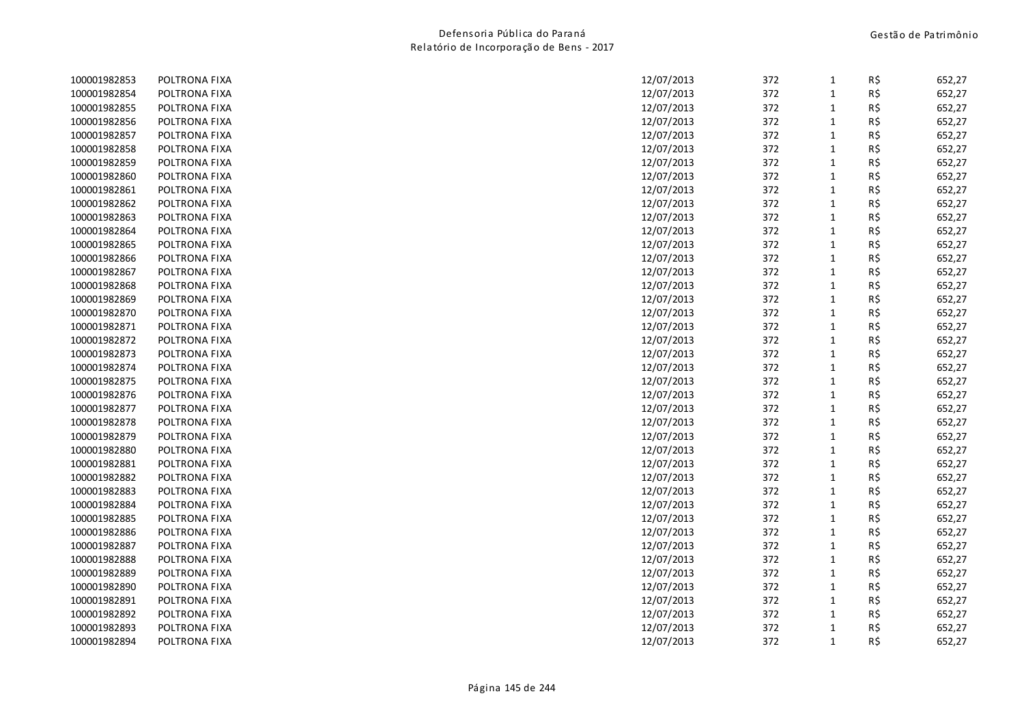| 100001982853 | POLTRONA FIXA | 12/07/2013 | 372 | 1            | R\$ | 652,27 |
|--------------|---------------|------------|-----|--------------|-----|--------|
| 100001982854 | POLTRONA FIXA | 12/07/2013 | 372 | $\mathbf{1}$ | R\$ | 652,27 |
| 100001982855 | POLTRONA FIXA | 12/07/2013 | 372 | $\mathbf{1}$ | R\$ | 652,27 |
| 100001982856 | POLTRONA FIXA | 12/07/2013 | 372 | $\mathbf{1}$ | R\$ | 652,27 |
| 100001982857 | POLTRONA FIXA | 12/07/2013 | 372 | $\mathbf{1}$ | R\$ | 652,27 |
| 100001982858 | POLTRONA FIXA | 12/07/2013 | 372 | $\mathbf{1}$ | R\$ | 652,27 |
| 100001982859 | POLTRONA FIXA | 12/07/2013 | 372 | $\mathbf{1}$ | R\$ | 652,27 |
| 100001982860 | POLTRONA FIXA | 12/07/2013 | 372 | $\mathbf{1}$ | R\$ | 652,27 |
| 100001982861 | POLTRONA FIXA | 12/07/2013 | 372 | $\mathbf 1$  | R\$ | 652,27 |
| 100001982862 | POLTRONA FIXA | 12/07/2013 | 372 | $\mathbf{1}$ | R\$ | 652,27 |
| 100001982863 | POLTRONA FIXA | 12/07/2013 | 372 | $\mathbf{1}$ | R\$ | 652,27 |
| 100001982864 | POLTRONA FIXA | 12/07/2013 | 372 | $\mathbf{1}$ | R\$ | 652,27 |
| 100001982865 | POLTRONA FIXA | 12/07/2013 | 372 | $\mathbf{1}$ | R\$ | 652,27 |
| 100001982866 | POLTRONA FIXA | 12/07/2013 | 372 | $\mathbf{1}$ | R\$ | 652,27 |
| 100001982867 | POLTRONA FIXA | 12/07/2013 | 372 | $\mathbf{1}$ | R\$ | 652,27 |
| 100001982868 | POLTRONA FIXA | 12/07/2013 | 372 | $\mathbf{1}$ | R\$ | 652,27 |
| 100001982869 | POLTRONA FIXA | 12/07/2013 | 372 | $\mathbf{1}$ | R\$ | 652,27 |
| 100001982870 | POLTRONA FIXA | 12/07/2013 | 372 | $\mathbf{1}$ | R\$ | 652,27 |
| 100001982871 | POLTRONA FIXA | 12/07/2013 | 372 | $\mathbf{1}$ | R\$ | 652,27 |
| 100001982872 | POLTRONA FIXA | 12/07/2013 | 372 | $\mathbf{1}$ | R\$ | 652,27 |
| 100001982873 | POLTRONA FIXA | 12/07/2013 | 372 | $\mathbf{1}$ | R\$ | 652,27 |
| 100001982874 | POLTRONA FIXA | 12/07/2013 | 372 | $\mathbf{1}$ | R\$ | 652,27 |
| 100001982875 | POLTRONA FIXA | 12/07/2013 | 372 | $\mathbf{1}$ | R\$ | 652,27 |
| 100001982876 | POLTRONA FIXA | 12/07/2013 | 372 | $\mathbf{1}$ | R\$ | 652,27 |
| 100001982877 | POLTRONA FIXA | 12/07/2013 | 372 | $\mathbf{1}$ | R\$ | 652,27 |
| 100001982878 | POLTRONA FIXA | 12/07/2013 | 372 | $\mathbf{1}$ | R\$ | 652,27 |
| 100001982879 | POLTRONA FIXA | 12/07/2013 | 372 | $\mathbf 1$  | R\$ | 652,27 |
| 100001982880 | POLTRONA FIXA | 12/07/2013 | 372 | $\mathbf{1}$ | R\$ | 652,27 |
| 100001982881 | POLTRONA FIXA | 12/07/2013 | 372 | $\mathbf{1}$ | R\$ | 652,27 |
| 100001982882 | POLTRONA FIXA | 12/07/2013 | 372 | $\mathbf{1}$ | R\$ | 652,27 |
| 100001982883 | POLTRONA FIXA | 12/07/2013 | 372 | $\mathbf{1}$ | R\$ | 652,27 |
| 100001982884 | POLTRONA FIXA | 12/07/2013 | 372 | $\mathbf{1}$ | R\$ | 652,27 |
| 100001982885 | POLTRONA FIXA | 12/07/2013 | 372 | $\mathbf{1}$ | R\$ | 652,27 |
| 100001982886 | POLTRONA FIXA | 12/07/2013 | 372 | $\mathbf{1}$ | R\$ | 652,27 |
| 100001982887 | POLTRONA FIXA | 12/07/2013 | 372 | $\mathbf{1}$ | R\$ | 652,27 |
| 100001982888 | POLTRONA FIXA | 12/07/2013 | 372 | $\mathbf 1$  | R\$ | 652,27 |
| 100001982889 | POLTRONA FIXA | 12/07/2013 | 372 | $\mathbf 1$  | R\$ | 652,27 |
| 100001982890 | POLTRONA FIXA | 12/07/2013 | 372 | $\mathbf{1}$ | R\$ | 652,27 |
| 100001982891 | POLTRONA FIXA | 12/07/2013 | 372 | $\mathbf{1}$ | R\$ | 652,27 |
| 100001982892 | POLTRONA FIXA | 12/07/2013 | 372 | $\mathbf{1}$ | R\$ | 652,27 |
| 100001982893 | POLTRONA FIXA | 12/07/2013 | 372 | $\mathbf{1}$ | R\$ | 652,27 |
| 100001982894 | POLTRONA FIXA | 12/07/2013 | 372 | $\mathbf{1}$ | R\$ | 652,27 |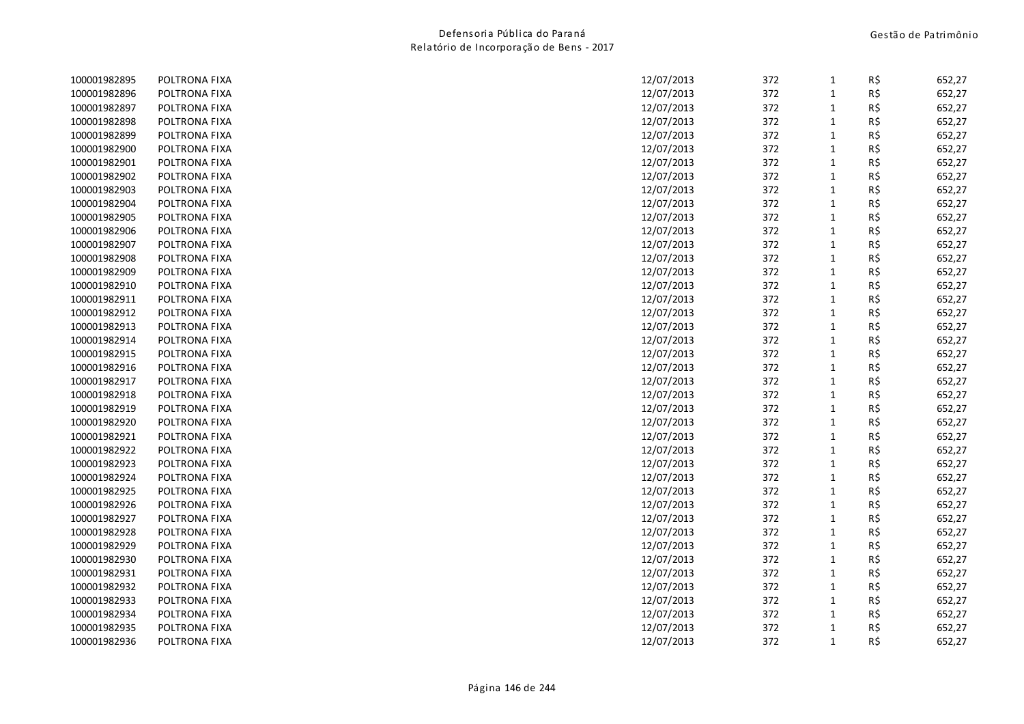| 100001982895 | POLTRONA FIXA | 12/07/2013 | 372 | 1            | R\$ | 652,27 |
|--------------|---------------|------------|-----|--------------|-----|--------|
| 100001982896 | POLTRONA FIXA | 12/07/2013 | 372 | $\mathbf{1}$ | R\$ | 652,27 |
| 100001982897 | POLTRONA FIXA | 12/07/2013 | 372 | $\mathbf{1}$ | R\$ | 652,27 |
| 100001982898 | POLTRONA FIXA | 12/07/2013 | 372 | $\mathbf{1}$ | R\$ | 652,27 |
| 100001982899 | POLTRONA FIXA | 12/07/2013 | 372 | $\mathbf{1}$ | R\$ | 652,27 |
| 100001982900 | POLTRONA FIXA | 12/07/2013 | 372 | $\mathbf{1}$ | R\$ | 652,27 |
| 100001982901 | POLTRONA FIXA | 12/07/2013 | 372 | $\mathbf{1}$ | R\$ | 652,27 |
| 100001982902 | POLTRONA FIXA | 12/07/2013 | 372 | $\mathbf{1}$ | R\$ | 652,27 |
| 100001982903 | POLTRONA FIXA | 12/07/2013 | 372 | $\mathbf{1}$ | R\$ | 652,27 |
| 100001982904 | POLTRONA FIXA | 12/07/2013 | 372 | $\mathbf{1}$ | R\$ | 652,27 |
| 100001982905 | POLTRONA FIXA | 12/07/2013 | 372 | $\mathbf{1}$ | R\$ | 652,27 |
| 100001982906 | POLTRONA FIXA | 12/07/2013 | 372 | $\mathbf{1}$ | R\$ | 652,27 |
| 100001982907 | POLTRONA FIXA | 12/07/2013 | 372 | $\mathbf{1}$ | R\$ | 652,27 |
| 100001982908 | POLTRONA FIXA | 12/07/2013 | 372 | $\mathbf{1}$ | R\$ | 652,27 |
| 100001982909 | POLTRONA FIXA | 12/07/2013 | 372 | $\mathbf{1}$ | R\$ | 652,27 |
| 100001982910 | POLTRONA FIXA | 12/07/2013 | 372 | $\mathbf{1}$ | R\$ | 652,27 |
| 100001982911 | POLTRONA FIXA | 12/07/2013 | 372 | $\mathbf{1}$ | R\$ | 652,27 |
| 100001982912 | POLTRONA FIXA | 12/07/2013 | 372 | $\mathbf{1}$ | R\$ | 652,27 |
| 100001982913 | POLTRONA FIXA | 12/07/2013 | 372 | $\mathbf{1}$ | R\$ | 652,27 |
| 100001982914 | POLTRONA FIXA | 12/07/2013 | 372 | $\mathbf{1}$ | R\$ | 652,27 |
| 100001982915 | POLTRONA FIXA | 12/07/2013 | 372 | $\mathbf{1}$ | R\$ | 652,27 |
| 100001982916 | POLTRONA FIXA | 12/07/2013 | 372 | $\mathbf{1}$ | R\$ | 652,27 |
| 100001982917 | POLTRONA FIXA | 12/07/2013 | 372 | $\mathbf{1}$ | R\$ | 652,27 |
| 100001982918 | POLTRONA FIXA | 12/07/2013 | 372 | $\mathbf{1}$ | R\$ | 652,27 |
| 100001982919 | POLTRONA FIXA | 12/07/2013 | 372 | $\mathbf{1}$ | R\$ | 652,27 |
| 100001982920 | POLTRONA FIXA | 12/07/2013 | 372 | $\mathbf{1}$ | R\$ | 652,27 |
| 100001982921 | POLTRONA FIXA | 12/07/2013 | 372 | $\mathbf{1}$ | R\$ | 652,27 |
| 100001982922 | POLTRONA FIXA | 12/07/2013 | 372 | $\mathbf{1}$ | R\$ | 652,27 |
| 100001982923 | POLTRONA FIXA | 12/07/2013 | 372 | $\mathbf{1}$ | R\$ | 652,27 |
| 100001982924 | POLTRONA FIXA | 12/07/2013 | 372 | $\mathbf{1}$ | R\$ | 652,27 |
| 100001982925 | POLTRONA FIXA | 12/07/2013 | 372 | $\mathbf{1}$ | R\$ | 652,27 |
| 100001982926 | POLTRONA FIXA | 12/07/2013 | 372 | $\mathbf{1}$ | R\$ | 652,27 |
| 100001982927 | POLTRONA FIXA | 12/07/2013 | 372 | $\mathbf{1}$ | R\$ | 652,27 |
| 100001982928 | POLTRONA FIXA | 12/07/2013 | 372 | $\mathbf{1}$ | R\$ | 652,27 |
| 100001982929 | POLTRONA FIXA | 12/07/2013 | 372 | $\mathbf{1}$ | R\$ | 652,27 |
| 100001982930 | POLTRONA FIXA | 12/07/2013 | 372 | $\mathbf{1}$ | R\$ | 652,27 |
| 100001982931 | POLTRONA FIXA | 12/07/2013 | 372 | $\mathbf{1}$ | R\$ | 652,27 |
| 100001982932 | POLTRONA FIXA | 12/07/2013 | 372 | $\mathbf{1}$ | R\$ | 652,27 |
| 100001982933 | POLTRONA FIXA | 12/07/2013 | 372 | $\mathbf{1}$ | R\$ | 652,27 |
| 100001982934 | POLTRONA FIXA | 12/07/2013 | 372 | $\mathbf{1}$ | R\$ | 652,27 |
| 100001982935 | POLTRONA FIXA | 12/07/2013 | 372 | $\mathbf{1}$ | R\$ | 652,27 |
| 100001982936 | POLTRONA FIXA | 12/07/2013 | 372 | $\mathbf{1}$ | R\$ | 652,27 |
|              |               |            |     |              |     |        |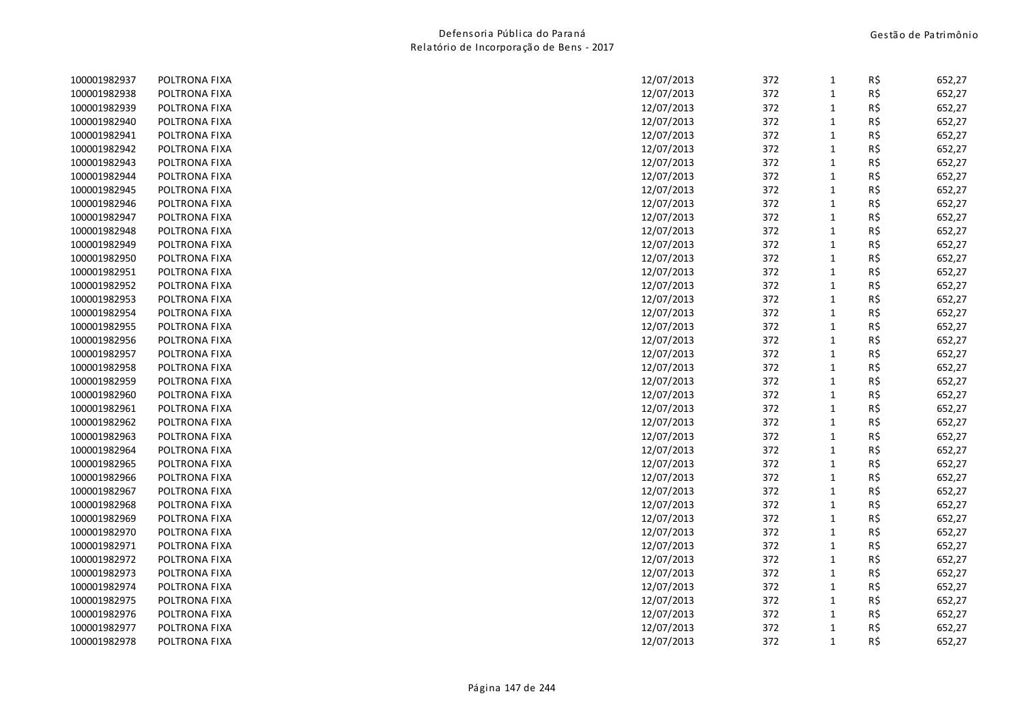| 100001982937 | POLTRONA FIXA | 12/07/2013 | 372 | 1            | R\$ | 652,27 |
|--------------|---------------|------------|-----|--------------|-----|--------|
| 100001982938 | POLTRONA FIXA | 12/07/2013 | 372 | $\mathbf{1}$ | R\$ | 652,27 |
| 100001982939 | POLTRONA FIXA | 12/07/2013 | 372 | 1            | R\$ | 652,27 |
| 100001982940 | POLTRONA FIXA | 12/07/2013 | 372 | $\mathbf{1}$ | R\$ | 652,27 |
| 100001982941 | POLTRONA FIXA | 12/07/2013 | 372 | $\mathbf{1}$ | R\$ | 652,27 |
| 100001982942 | POLTRONA FIXA | 12/07/2013 | 372 | $\mathbf{1}$ | R\$ | 652,27 |
| 100001982943 | POLTRONA FIXA | 12/07/2013 | 372 | $\mathbf{1}$ | R\$ | 652,27 |
| 100001982944 | POLTRONA FIXA | 12/07/2013 | 372 | $\mathbf{1}$ | R\$ | 652,27 |
| 100001982945 | POLTRONA FIXA | 12/07/2013 | 372 | $\mathbf{1}$ | R\$ | 652,27 |
| 100001982946 | POLTRONA FIXA | 12/07/2013 | 372 | $\mathbf{1}$ | R\$ | 652,27 |
| 100001982947 | POLTRONA FIXA | 12/07/2013 | 372 | $\mathbf{1}$ | R\$ | 652,27 |
| 100001982948 | POLTRONA FIXA | 12/07/2013 | 372 | 1            | R\$ | 652,27 |
| 100001982949 | POLTRONA FIXA | 12/07/2013 | 372 | $\mathbf{1}$ | R\$ | 652,27 |
| 100001982950 | POLTRONA FIXA | 12/07/2013 | 372 | 1            | R\$ | 652,27 |
| 100001982951 | POLTRONA FIXA | 12/07/2013 | 372 | $\mathbf{1}$ | R\$ | 652,27 |
| 100001982952 | POLTRONA FIXA | 12/07/2013 | 372 | 1            | R\$ | 652,27 |
| 100001982953 | POLTRONA FIXA | 12/07/2013 | 372 | $\mathbf{1}$ | R\$ | 652,27 |
| 100001982954 | POLTRONA FIXA | 12/07/2013 | 372 | 1            | R\$ | 652,27 |
| 100001982955 | POLTRONA FIXA | 12/07/2013 | 372 | $\mathbf{1}$ | R\$ | 652,27 |
| 100001982956 | POLTRONA FIXA | 12/07/2013 | 372 | $\mathbf{1}$ | R\$ | 652,27 |
| 100001982957 | POLTRONA FIXA | 12/07/2013 | 372 | $\mathbf{1}$ | R\$ | 652,27 |
| 100001982958 | POLTRONA FIXA | 12/07/2013 | 372 | $\mathbf{1}$ | R\$ | 652,27 |
| 100001982959 | POLTRONA FIXA | 12/07/2013 | 372 | $\mathbf{1}$ | R\$ | 652,27 |
| 100001982960 | POLTRONA FIXA | 12/07/2013 | 372 | $\mathbf{1}$ | R\$ | 652,27 |
| 100001982961 | POLTRONA FIXA | 12/07/2013 | 372 | $\mathbf{1}$ | R\$ | 652,27 |
| 100001982962 | POLTRONA FIXA | 12/07/2013 | 372 | 1            | R\$ | 652,27 |
| 100001982963 | POLTRONA FIXA | 12/07/2013 | 372 | $\mathbf{1}$ | R\$ | 652,27 |
| 100001982964 | POLTRONA FIXA | 12/07/2013 | 372 | $\mathbf{1}$ | R\$ | 652,27 |
| 100001982965 | POLTRONA FIXA | 12/07/2013 | 372 | $\mathbf{1}$ | R\$ | 652,27 |
| 100001982966 | POLTRONA FIXA | 12/07/2013 | 372 | $\mathbf{1}$ | R\$ | 652,27 |
| 100001982967 | POLTRONA FIXA | 12/07/2013 | 372 | $\mathbf{1}$ | R\$ | 652,27 |
| 100001982968 | POLTRONA FIXA | 12/07/2013 | 372 | $\mathbf{1}$ | R\$ | 652,27 |
| 100001982969 | POLTRONA FIXA | 12/07/2013 | 372 | $\mathbf{1}$ | R\$ | 652,27 |
| 100001982970 | POLTRONA FIXA | 12/07/2013 | 372 | $\mathbf{1}$ | R\$ | 652,27 |
| 100001982971 | POLTRONA FIXA | 12/07/2013 | 372 | $\mathbf{1}$ | R\$ | 652,27 |
| 100001982972 | POLTRONA FIXA | 12/07/2013 | 372 | $\mathbf{1}$ | R\$ | 652,27 |
| 100001982973 | POLTRONA FIXA | 12/07/2013 | 372 | $\mathbf{1}$ | R\$ | 652,27 |
| 100001982974 | POLTRONA FIXA | 12/07/2013 | 372 | $\mathbf{1}$ | R\$ | 652,27 |
| 100001982975 | POLTRONA FIXA | 12/07/2013 | 372 | 1            | R\$ | 652,27 |
| 100001982976 | POLTRONA FIXA | 12/07/2013 | 372 | 1            | R\$ | 652,27 |
| 100001982977 | POLTRONA FIXA | 12/07/2013 | 372 | 1            | R\$ | 652,27 |
| 100001982978 | POLTRONA FIXA | 12/07/2013 | 372 | $\mathbf{1}$ | R\$ | 652,27 |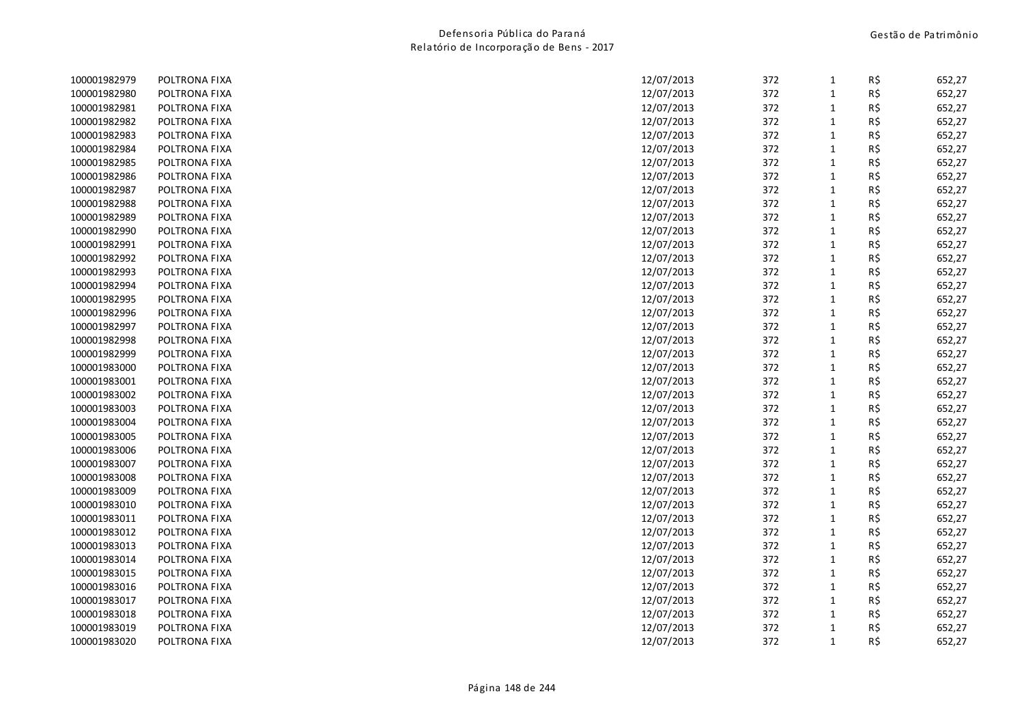| 100001982979 | POLTRONA FIXA | 12/07/2013 | 372 | 1            | R\$ | 652,27 |
|--------------|---------------|------------|-----|--------------|-----|--------|
| 100001982980 | POLTRONA FIXA | 12/07/2013 | 372 | $\mathbf{1}$ | R\$ | 652,27 |
| 100001982981 | POLTRONA FIXA | 12/07/2013 | 372 | $\mathbf{1}$ | R\$ | 652,27 |
| 100001982982 | POLTRONA FIXA | 12/07/2013 | 372 | $\mathbf{1}$ | R\$ | 652,27 |
| 100001982983 | POLTRONA FIXA | 12/07/2013 | 372 | $\mathbf{1}$ | R\$ | 652,27 |
| 100001982984 | POLTRONA FIXA | 12/07/2013 | 372 | $\mathbf{1}$ | R\$ | 652,27 |
| 100001982985 | POLTRONA FIXA | 12/07/2013 | 372 | $\mathbf{1}$ | R\$ | 652,27 |
| 100001982986 | POLTRONA FIXA | 12/07/2013 | 372 | $\mathbf{1}$ | R\$ | 652,27 |
| 100001982987 | POLTRONA FIXA | 12/07/2013 | 372 | $\mathbf{1}$ | R\$ | 652,27 |
| 100001982988 | POLTRONA FIXA | 12/07/2013 | 372 | $\mathbf{1}$ | R\$ | 652,27 |
| 100001982989 | POLTRONA FIXA | 12/07/2013 | 372 | $\mathbf{1}$ | R\$ | 652,27 |
| 100001982990 | POLTRONA FIXA | 12/07/2013 | 372 | $\mathbf{1}$ | R\$ | 652,27 |
| 100001982991 | POLTRONA FIXA | 12/07/2013 | 372 | $\mathbf{1}$ | R\$ | 652,27 |
| 100001982992 | POLTRONA FIXA | 12/07/2013 | 372 | 1            | R\$ | 652,27 |
| 100001982993 | POLTRONA FIXA | 12/07/2013 | 372 | $\mathbf{1}$ | R\$ | 652,27 |
| 100001982994 | POLTRONA FIXA | 12/07/2013 | 372 | $\mathbf{1}$ | R\$ | 652,27 |
| 100001982995 | POLTRONA FIXA | 12/07/2013 | 372 | $\mathbf{1}$ | R\$ | 652,27 |
| 100001982996 | POLTRONA FIXA | 12/07/2013 | 372 | $\mathbf{1}$ | R\$ | 652,27 |
| 100001982997 | POLTRONA FIXA | 12/07/2013 | 372 | $\mathbf{1}$ | R\$ | 652,27 |
| 100001982998 | POLTRONA FIXA | 12/07/2013 | 372 | $\mathbf{1}$ | R\$ | 652,27 |
| 100001982999 | POLTRONA FIXA | 12/07/2013 | 372 | $\mathbf{1}$ | R\$ | 652,27 |
| 100001983000 | POLTRONA FIXA | 12/07/2013 | 372 | $\mathbf{1}$ | R\$ | 652,27 |
| 100001983001 | POLTRONA FIXA | 12/07/2013 | 372 | $\mathbf{1}$ | R\$ | 652,27 |
| 100001983002 | POLTRONA FIXA | 12/07/2013 | 372 | $\mathbf{1}$ | R\$ | 652,27 |
| 100001983003 | POLTRONA FIXA | 12/07/2013 | 372 | $\mathbf{1}$ | R\$ | 652,27 |
| 100001983004 | POLTRONA FIXA | 12/07/2013 | 372 | $\mathbf{1}$ | R\$ | 652,27 |
| 100001983005 | POLTRONA FIXA | 12/07/2013 | 372 | $\mathbf{1}$ | R\$ | 652,27 |
| 100001983006 | POLTRONA FIXA | 12/07/2013 | 372 | $\mathbf{1}$ | R\$ | 652,27 |
| 100001983007 | POLTRONA FIXA | 12/07/2013 | 372 | $\mathbf{1}$ | R\$ | 652,27 |
| 100001983008 | POLTRONA FIXA | 12/07/2013 | 372 | $\mathbf{1}$ | R\$ | 652,27 |
| 100001983009 | POLTRONA FIXA | 12/07/2013 | 372 | $\mathbf{1}$ | R\$ | 652,27 |
| 100001983010 | POLTRONA FIXA | 12/07/2013 | 372 | $\mathbf{1}$ | R\$ | 652,27 |
| 100001983011 | POLTRONA FIXA | 12/07/2013 | 372 | $\mathbf{1}$ | R\$ | 652,27 |
| 100001983012 | POLTRONA FIXA | 12/07/2013 | 372 | $\mathbf{1}$ | R\$ | 652,27 |
| 100001983013 | POLTRONA FIXA | 12/07/2013 | 372 | $\mathbf{1}$ | R\$ | 652,27 |
| 100001983014 | POLTRONA FIXA | 12/07/2013 | 372 | $\mathbf{1}$ | R\$ | 652,27 |
| 100001983015 | POLTRONA FIXA | 12/07/2013 | 372 | $\mathbf{1}$ | R\$ | 652,27 |
| 100001983016 | POLTRONA FIXA | 12/07/2013 | 372 | $\mathbf{1}$ | R\$ | 652,27 |
| 100001983017 | POLTRONA FIXA | 12/07/2013 | 372 | $\mathbf{1}$ | R\$ | 652,27 |
| 100001983018 | POLTRONA FIXA | 12/07/2013 | 372 | $\mathbf{1}$ | R\$ | 652,27 |
| 100001983019 | POLTRONA FIXA | 12/07/2013 | 372 | $\mathbf{1}$ | R\$ | 652,27 |
| 100001983020 | POLTRONA FIXA | 12/07/2013 | 372 | $\mathbf{1}$ | R\$ | 652,27 |
|              |               |            |     |              |     |        |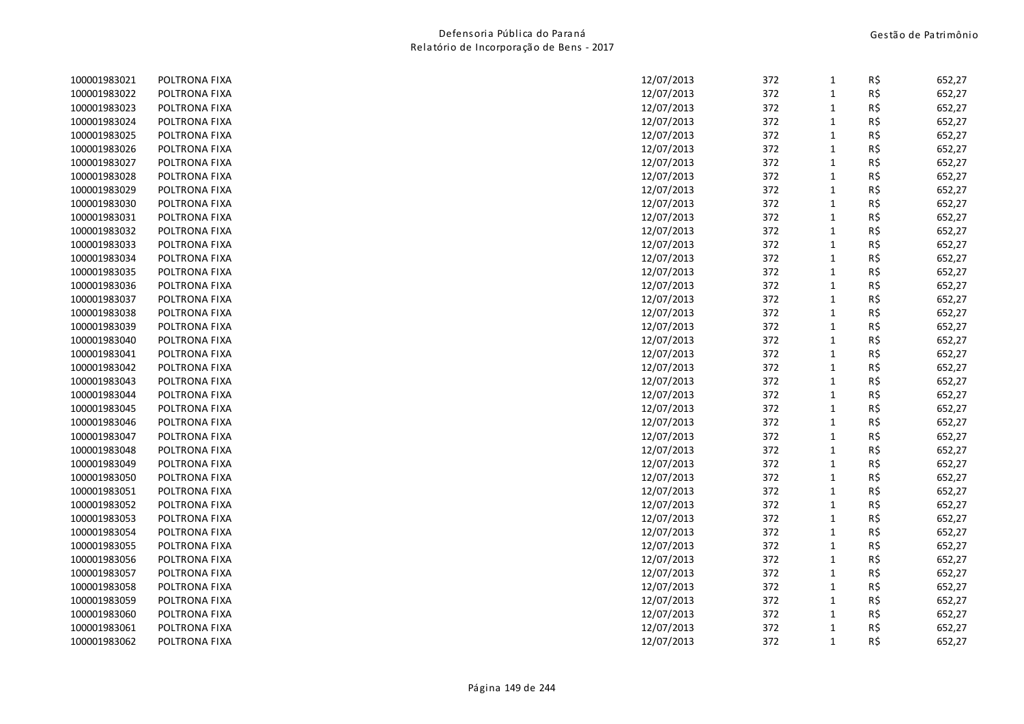| 100001983021 | POLTRONA FIXA | 12/07/2013 | 372 | 1            | R\$ | 652,27 |
|--------------|---------------|------------|-----|--------------|-----|--------|
| 100001983022 | POLTRONA FIXA | 12/07/2013 | 372 | $\mathbf{1}$ | R\$ | 652,27 |
| 100001983023 | POLTRONA FIXA | 12/07/2013 | 372 | $\mathbf{1}$ | R\$ | 652,27 |
| 100001983024 | POLTRONA FIXA | 12/07/2013 | 372 | $\mathbf{1}$ | R\$ | 652,27 |
| 100001983025 | POLTRONA FIXA | 12/07/2013 | 372 | $\mathbf{1}$ | R\$ | 652,27 |
| 100001983026 | POLTRONA FIXA | 12/07/2013 | 372 | $\mathbf{1}$ | R\$ | 652,27 |
| 100001983027 | POLTRONA FIXA | 12/07/2013 | 372 | $\mathbf{1}$ | R\$ | 652,27 |
| 100001983028 | POLTRONA FIXA | 12/07/2013 | 372 | $\mathbf{1}$ | R\$ | 652,27 |
| 100001983029 | POLTRONA FIXA | 12/07/2013 | 372 | $\mathbf{1}$ | R\$ | 652,27 |
| 100001983030 | POLTRONA FIXA | 12/07/2013 | 372 | $\mathbf{1}$ | R\$ | 652,27 |
| 100001983031 | POLTRONA FIXA | 12/07/2013 | 372 | $\mathbf{1}$ | R\$ | 652,27 |
| 100001983032 | POLTRONA FIXA | 12/07/2013 | 372 | $\mathbf{1}$ | R\$ | 652,27 |
| 100001983033 | POLTRONA FIXA | 12/07/2013 | 372 | $\mathbf{1}$ | R\$ | 652,27 |
| 100001983034 | POLTRONA FIXA | 12/07/2013 | 372 | 1            | R\$ | 652,27 |
| 100001983035 | POLTRONA FIXA | 12/07/2013 | 372 | $\mathbf{1}$ | R\$ | 652,27 |
| 100001983036 | POLTRONA FIXA | 12/07/2013 | 372 | $\mathbf{1}$ | R\$ | 652,27 |
| 100001983037 | POLTRONA FIXA | 12/07/2013 | 372 | $\mathbf{1}$ | R\$ | 652,27 |
| 100001983038 | POLTRONA FIXA | 12/07/2013 | 372 | $\mathbf{1}$ | R\$ | 652,27 |
| 100001983039 | POLTRONA FIXA | 12/07/2013 | 372 | $\mathbf{1}$ | R\$ | 652,27 |
| 100001983040 | POLTRONA FIXA | 12/07/2013 | 372 | $\mathbf{1}$ | R\$ | 652,27 |
| 100001983041 | POLTRONA FIXA | 12/07/2013 | 372 | $\mathbf{1}$ | R\$ | 652,27 |
| 100001983042 | POLTRONA FIXA | 12/07/2013 | 372 | $\mathbf{1}$ | R\$ | 652,27 |
| 100001983043 | POLTRONA FIXA | 12/07/2013 | 372 | $\mathbf{1}$ | R\$ | 652,27 |
| 100001983044 | POLTRONA FIXA | 12/07/2013 | 372 | $\mathbf{1}$ | R\$ | 652,27 |
| 100001983045 | POLTRONA FIXA | 12/07/2013 | 372 | $\mathbf{1}$ | R\$ | 652,27 |
| 100001983046 | POLTRONA FIXA | 12/07/2013 | 372 | $\mathbf{1}$ | R\$ | 652,27 |
| 100001983047 | POLTRONA FIXA | 12/07/2013 | 372 | $\mathbf{1}$ | R\$ | 652,27 |
| 100001983048 | POLTRONA FIXA | 12/07/2013 | 372 | $\mathbf{1}$ | R\$ | 652,27 |
| 100001983049 | POLTRONA FIXA | 12/07/2013 | 372 | $\mathbf{1}$ | R\$ | 652,27 |
| 100001983050 | POLTRONA FIXA | 12/07/2013 | 372 | $\mathbf{1}$ | R\$ | 652,27 |
| 100001983051 | POLTRONA FIXA | 12/07/2013 | 372 | $\mathbf{1}$ | R\$ | 652,27 |
| 100001983052 | POLTRONA FIXA | 12/07/2013 | 372 | $\mathbf{1}$ | R\$ | 652,27 |
| 100001983053 | POLTRONA FIXA | 12/07/2013 | 372 | $\mathbf{1}$ | R\$ | 652,27 |
| 100001983054 | POLTRONA FIXA | 12/07/2013 | 372 | $\mathbf{1}$ | R\$ | 652,27 |
| 100001983055 | POLTRONA FIXA | 12/07/2013 | 372 | $\mathbf{1}$ | R\$ | 652,27 |
| 100001983056 | POLTRONA FIXA | 12/07/2013 | 372 | $\mathbf{1}$ | R\$ | 652,27 |
| 100001983057 | POLTRONA FIXA | 12/07/2013 | 372 | $\mathbf{1}$ | R\$ | 652,27 |
| 100001983058 | POLTRONA FIXA | 12/07/2013 | 372 | $\mathbf{1}$ | R\$ | 652,27 |
| 100001983059 | POLTRONA FIXA | 12/07/2013 | 372 | $\mathbf{1}$ | R\$ | 652,27 |
| 100001983060 | POLTRONA FIXA | 12/07/2013 | 372 | $\mathbf{1}$ | R\$ | 652,27 |
| 100001983061 | POLTRONA FIXA | 12/07/2013 | 372 | $\mathbf{1}$ | R\$ | 652,27 |
| 100001983062 | POLTRONA FIXA | 12/07/2013 | 372 | $\mathbf{1}$ | R\$ | 652,27 |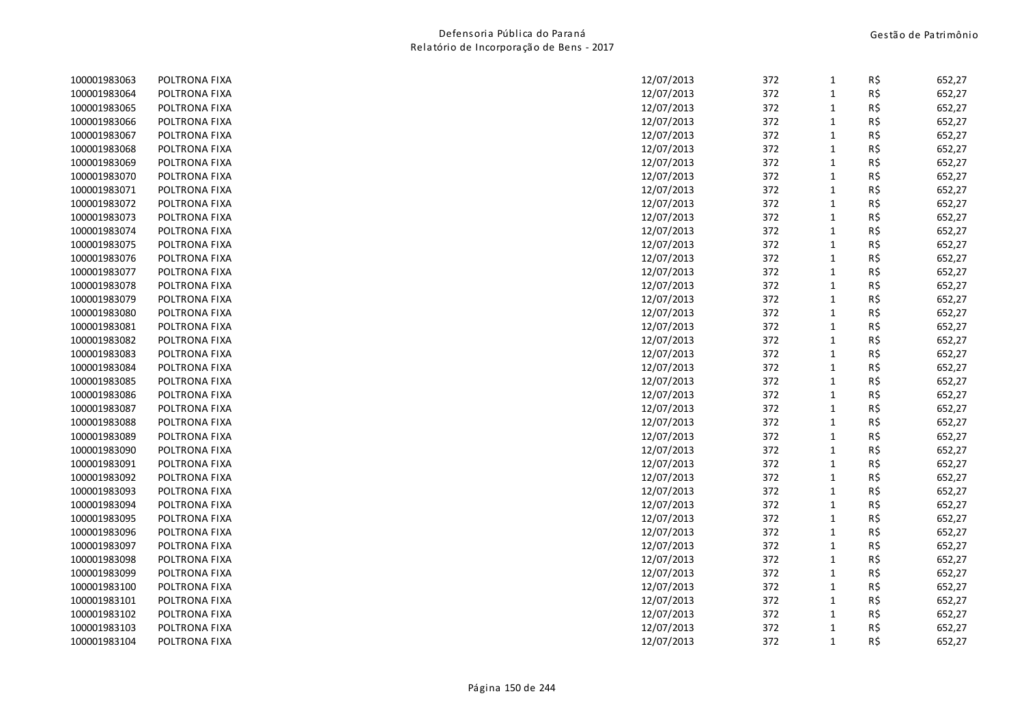| 100001983063 | POLTRONA FIXA | 12/07/2013 | 372 | 1            | R\$ | 652,27 |
|--------------|---------------|------------|-----|--------------|-----|--------|
| 100001983064 | POLTRONA FIXA | 12/07/2013 | 372 | $\mathbf{1}$ | R\$ | 652,27 |
| 100001983065 | POLTRONA FIXA | 12/07/2013 | 372 | $\mathbf{1}$ | R\$ | 652,27 |
| 100001983066 | POLTRONA FIXA | 12/07/2013 | 372 | $\mathbf{1}$ | R\$ | 652,27 |
| 100001983067 | POLTRONA FIXA | 12/07/2013 | 372 | $\mathbf{1}$ | R\$ | 652,27 |
| 100001983068 | POLTRONA FIXA | 12/07/2013 | 372 | $\mathbf{1}$ | R\$ | 652,27 |
| 100001983069 | POLTRONA FIXA | 12/07/2013 | 372 | $\mathbf{1}$ | R\$ | 652,27 |
| 100001983070 | POLTRONA FIXA | 12/07/2013 | 372 | $\mathbf{1}$ | R\$ | 652,27 |
| 100001983071 | POLTRONA FIXA | 12/07/2013 | 372 | $\mathbf{1}$ | R\$ | 652,27 |
| 100001983072 | POLTRONA FIXA | 12/07/2013 | 372 | $\mathbf{1}$ | R\$ | 652,27 |
| 100001983073 | POLTRONA FIXA | 12/07/2013 | 372 | $\mathbf{1}$ | R\$ | 652,27 |
| 100001983074 | POLTRONA FIXA | 12/07/2013 | 372 | $\mathbf{1}$ | R\$ | 652,27 |
| 100001983075 | POLTRONA FIXA | 12/07/2013 | 372 | $\mathbf{1}$ | R\$ | 652,27 |
| 100001983076 | POLTRONA FIXA | 12/07/2013 | 372 | 1            | R\$ | 652,27 |
| 100001983077 | POLTRONA FIXA | 12/07/2013 | 372 | $\mathbf{1}$ | R\$ | 652,27 |
| 100001983078 | POLTRONA FIXA | 12/07/2013 | 372 | $\mathbf{1}$ | R\$ | 652,27 |
| 100001983079 | POLTRONA FIXA | 12/07/2013 | 372 | $\mathbf{1}$ | R\$ | 652,27 |
| 100001983080 | POLTRONA FIXA | 12/07/2013 | 372 | $\mathbf{1}$ | R\$ | 652,27 |
| 100001983081 | POLTRONA FIXA | 12/07/2013 | 372 | $\mathbf{1}$ | R\$ | 652,27 |
| 100001983082 | POLTRONA FIXA | 12/07/2013 | 372 | $\mathbf{1}$ | R\$ | 652,27 |
| 100001983083 | POLTRONA FIXA | 12/07/2013 | 372 | $\mathbf{1}$ | R\$ | 652,27 |
| 100001983084 | POLTRONA FIXA | 12/07/2013 | 372 | $\mathbf{1}$ | R\$ | 652,27 |
| 100001983085 | POLTRONA FIXA | 12/07/2013 | 372 | $\mathbf{1}$ | R\$ | 652,27 |
| 100001983086 | POLTRONA FIXA | 12/07/2013 | 372 | $\mathbf{1}$ | R\$ | 652,27 |
| 100001983087 | POLTRONA FIXA | 12/07/2013 | 372 | $\mathbf{1}$ | R\$ | 652,27 |
| 100001983088 | POLTRONA FIXA | 12/07/2013 | 372 | $\mathbf{1}$ | R\$ | 652,27 |
| 100001983089 | POLTRONA FIXA | 12/07/2013 | 372 | $\mathbf{1}$ | R\$ | 652,27 |
| 100001983090 | POLTRONA FIXA | 12/07/2013 | 372 | $\mathbf{1}$ | R\$ | 652,27 |
| 100001983091 | POLTRONA FIXA | 12/07/2013 | 372 | $\mathbf{1}$ | R\$ | 652,27 |
| 100001983092 | POLTRONA FIXA | 12/07/2013 | 372 | $\mathbf{1}$ | R\$ | 652,27 |
| 100001983093 | POLTRONA FIXA | 12/07/2013 | 372 | $\mathbf{1}$ | R\$ | 652,27 |
| 100001983094 | POLTRONA FIXA | 12/07/2013 | 372 | $\mathbf{1}$ | R\$ | 652,27 |
| 100001983095 | POLTRONA FIXA | 12/07/2013 | 372 | $\mathbf{1}$ | R\$ | 652,27 |
| 100001983096 | POLTRONA FIXA | 12/07/2013 | 372 | $\mathbf{1}$ | R\$ | 652,27 |
| 100001983097 | POLTRONA FIXA | 12/07/2013 | 372 | $\mathbf{1}$ | R\$ | 652,27 |
| 100001983098 | POLTRONA FIXA | 12/07/2013 | 372 | $\mathbf{1}$ | R\$ | 652,27 |
| 100001983099 | POLTRONA FIXA | 12/07/2013 | 372 | $\mathbf{1}$ | R\$ | 652,27 |
| 100001983100 | POLTRONA FIXA | 12/07/2013 | 372 | $\mathbf{1}$ | R\$ | 652,27 |
| 100001983101 | POLTRONA FIXA | 12/07/2013 | 372 | $\mathbf{1}$ | R\$ | 652,27 |
| 100001983102 | POLTRONA FIXA | 12/07/2013 | 372 | $\mathbf{1}$ | R\$ | 652,27 |
| 100001983103 | POLTRONA FIXA | 12/07/2013 | 372 | $\mathbf{1}$ | R\$ | 652,27 |
| 100001983104 | POLTRONA FIXA | 12/07/2013 | 372 | $\mathbf{1}$ | R\$ | 652,27 |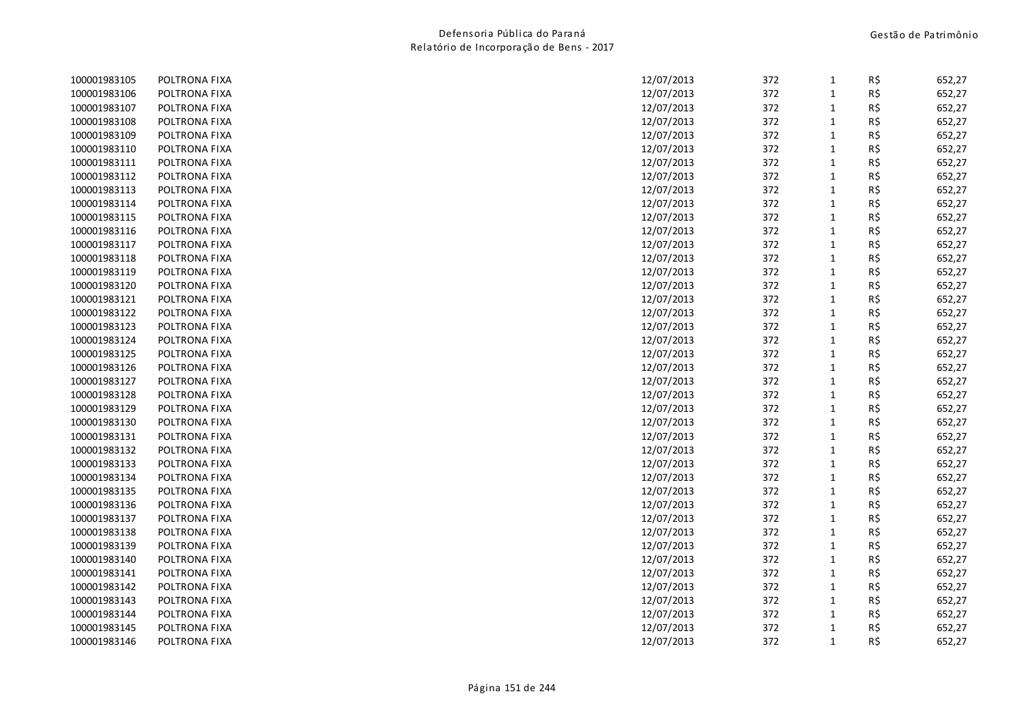| 100001983105 | POLTRONA FIXA | 12/07/2013 | 372 | 1            | R\$ | 652,27 |
|--------------|---------------|------------|-----|--------------|-----|--------|
| 100001983106 | POLTRONA FIXA | 12/07/2013 | 372 | $\mathbf{1}$ | R\$ | 652,27 |
| 100001983107 | POLTRONA FIXA | 12/07/2013 | 372 | 1            | R\$ | 652,27 |
| 100001983108 | POLTRONA FIXA | 12/07/2013 | 372 | $\mathbf{1}$ | R\$ | 652,27 |
| 100001983109 | POLTRONA FIXA | 12/07/2013 | 372 | $\mathbf{1}$ | R\$ | 652,27 |
| 100001983110 | POLTRONA FIXA | 12/07/2013 | 372 | $\mathbf{1}$ | R\$ | 652,27 |
| 100001983111 | POLTRONA FIXA | 12/07/2013 | 372 | $\mathbf{1}$ | R\$ | 652,27 |
| 100001983112 | POLTRONA FIXA | 12/07/2013 | 372 | $\mathbf{1}$ | R\$ | 652,27 |
| 100001983113 | POLTRONA FIXA | 12/07/2013 | 372 | $\mathbf{1}$ | R\$ | 652,27 |
| 100001983114 | POLTRONA FIXA | 12/07/2013 | 372 | $\mathbf{1}$ | R\$ | 652,27 |
| 100001983115 | POLTRONA FIXA | 12/07/2013 | 372 | $\mathbf{1}$ | R\$ | 652,27 |
| 100001983116 | POLTRONA FIXA | 12/07/2013 | 372 | 1            | R\$ | 652,27 |
| 100001983117 | POLTRONA FIXA | 12/07/2013 | 372 | $\mathbf{1}$ | R\$ | 652,27 |
| 100001983118 | POLTRONA FIXA | 12/07/2013 | 372 | 1            | R\$ | 652,27 |
| 100001983119 | POLTRONA FIXA | 12/07/2013 | 372 | $\mathbf{1}$ | R\$ | 652,27 |
| 100001983120 | POLTRONA FIXA | 12/07/2013 | 372 | 1            | R\$ | 652,27 |
| 100001983121 | POLTRONA FIXA | 12/07/2013 | 372 | $\mathbf{1}$ | R\$ | 652,27 |
| 100001983122 | POLTRONA FIXA | 12/07/2013 | 372 | 1            | R\$ | 652,27 |
| 100001983123 | POLTRONA FIXA | 12/07/2013 | 372 | $\mathbf{1}$ | R\$ | 652,27 |
| 100001983124 | POLTRONA FIXA | 12/07/2013 | 372 | $\mathbf{1}$ | R\$ | 652,27 |
| 100001983125 | POLTRONA FIXA | 12/07/2013 | 372 | $\mathbf{1}$ | R\$ | 652,27 |
| 100001983126 | POLTRONA FIXA | 12/07/2013 | 372 | $\mathbf{1}$ | R\$ | 652,27 |
| 100001983127 | POLTRONA FIXA | 12/07/2013 | 372 | $\mathbf{1}$ | R\$ | 652,27 |
| 100001983128 | POLTRONA FIXA | 12/07/2013 | 372 | $\mathbf{1}$ | R\$ | 652,27 |
| 100001983129 | POLTRONA FIXA | 12/07/2013 | 372 | $\mathbf{1}$ | R\$ | 652,27 |
| 100001983130 | POLTRONA FIXA | 12/07/2013 | 372 | 1            | R\$ | 652,27 |
| 100001983131 | POLTRONA FIXA | 12/07/2013 | 372 | $\mathbf{1}$ | R\$ | 652,27 |
| 100001983132 | POLTRONA FIXA | 12/07/2013 | 372 | $\mathbf{1}$ | R\$ | 652,27 |
| 100001983133 | POLTRONA FIXA | 12/07/2013 | 372 | $\mathbf{1}$ | R\$ | 652,27 |
| 100001983134 | POLTRONA FIXA | 12/07/2013 | 372 | $\mathbf{1}$ | R\$ | 652,27 |
| 100001983135 | POLTRONA FIXA | 12/07/2013 | 372 | $\mathbf{1}$ | R\$ | 652,27 |
| 100001983136 | POLTRONA FIXA | 12/07/2013 | 372 | $\mathbf{1}$ | R\$ | 652,27 |
| 100001983137 | POLTRONA FIXA | 12/07/2013 | 372 | $\mathbf{1}$ | R\$ | 652,27 |
| 100001983138 | POLTRONA FIXA | 12/07/2013 | 372 | $\mathbf{1}$ | R\$ | 652,27 |
| 100001983139 | POLTRONA FIXA | 12/07/2013 | 372 | $\mathbf{1}$ | R\$ | 652,27 |
| 100001983140 | POLTRONA FIXA | 12/07/2013 | 372 | $\mathbf{1}$ | R\$ | 652,27 |
| 100001983141 | POLTRONA FIXA | 12/07/2013 | 372 | $\mathbf{1}$ | R\$ | 652,27 |
| 100001983142 | POLTRONA FIXA | 12/07/2013 | 372 | $\mathbf{1}$ | R\$ | 652,27 |
| 100001983143 | POLTRONA FIXA | 12/07/2013 | 372 | 1            | R\$ | 652,27 |
| 100001983144 | POLTRONA FIXA | 12/07/2013 | 372 | 1            | R\$ | 652,27 |
| 100001983145 | POLTRONA FIXA | 12/07/2013 | 372 | 1            | R\$ | 652,27 |
| 100001983146 | POLTRONA FIXA | 12/07/2013 | 372 | $\mathbf{1}$ | R\$ | 652,27 |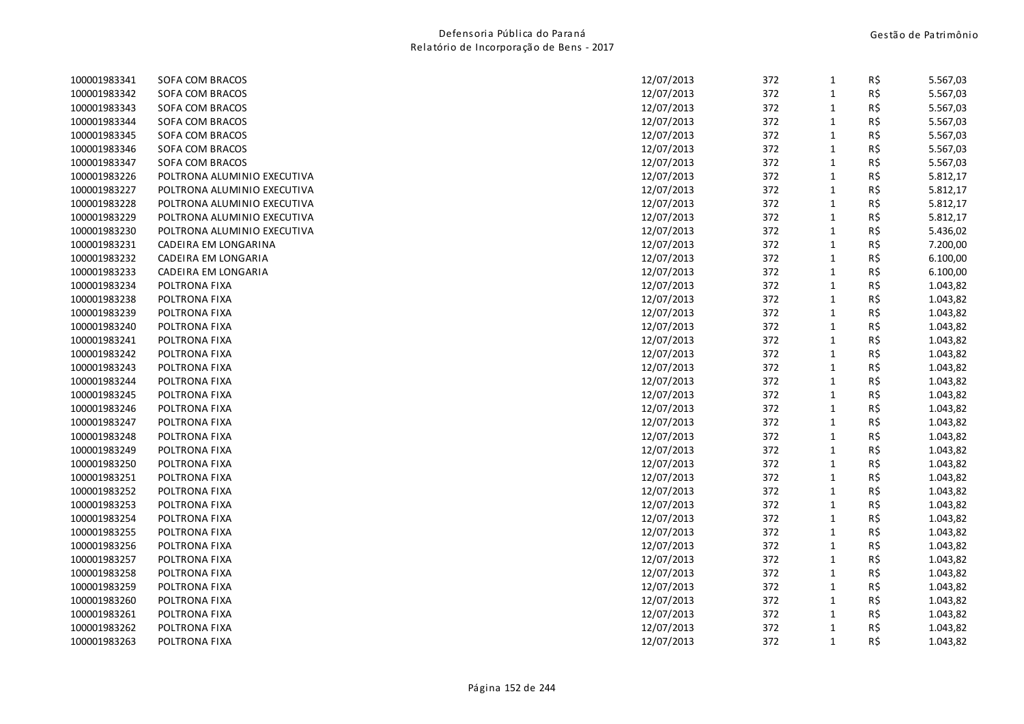| 100001983341 | SOFA COM BRACOS             | 12/07/2013 | 372 | $\mathbf{1}$ | R\$ | 5.567,03 |
|--------------|-----------------------------|------------|-----|--------------|-----|----------|
| 100001983342 | SOFA COM BRACOS             | 12/07/2013 | 372 | $\mathbf{1}$ | R\$ | 5.567,03 |
| 100001983343 | SOFA COM BRACOS             | 12/07/2013 | 372 | $\mathbf{1}$ | R\$ | 5.567,03 |
| 100001983344 | SOFA COM BRACOS             | 12/07/2013 | 372 | $\mathbf{1}$ | R\$ | 5.567,03 |
| 100001983345 | SOFA COM BRACOS             | 12/07/2013 | 372 | $\mathbf{1}$ | R\$ | 5.567,03 |
| 100001983346 | SOFA COM BRACOS             | 12/07/2013 | 372 | $\mathbf{1}$ | R\$ | 5.567,03 |
| 100001983347 | SOFA COM BRACOS             | 12/07/2013 | 372 | $\mathbf{1}$ | R\$ | 5.567,03 |
| 100001983226 | POLTRONA ALUMINIO EXECUTIVA | 12/07/2013 | 372 | $\mathbf{1}$ | R\$ | 5.812,17 |
| 100001983227 | POLTRONA ALUMINIO EXECUTIVA | 12/07/2013 | 372 | $\mathbf{1}$ | R\$ | 5.812,17 |
| 100001983228 | POLTRONA ALUMINIO EXECUTIVA | 12/07/2013 | 372 | $\mathbf{1}$ | R\$ | 5.812,17 |
| 100001983229 | POLTRONA ALUMINIO EXECUTIVA | 12/07/2013 | 372 | $\mathbf{1}$ | R\$ | 5.812,17 |
| 100001983230 | POLTRONA ALUMINIO EXECUTIVA | 12/07/2013 | 372 | $\mathbf{1}$ | R\$ | 5.436,02 |
| 100001983231 | CADEIRA EM LONGARINA        | 12/07/2013 | 372 | $\mathbf{1}$ | R\$ | 7.200,00 |
| 100001983232 | CADEIRA EM LONGARIA         | 12/07/2013 | 372 | $\mathbf 1$  | R\$ | 6.100,00 |
| 100001983233 | CADEIRA EM LONGARIA         | 12/07/2013 | 372 | $\mathbf{1}$ | R\$ | 6.100,00 |
| 100001983234 | POLTRONA FIXA               | 12/07/2013 | 372 | $\mathbf{1}$ | R\$ | 1.043,82 |
| 100001983238 | POLTRONA FIXA               | 12/07/2013 | 372 | 1            | R\$ | 1.043,82 |
| 100001983239 | POLTRONA FIXA               | 12/07/2013 | 372 | $\mathbf{1}$ | R\$ | 1.043,82 |
| 100001983240 | POLTRONA FIXA               | 12/07/2013 | 372 | $\mathbf{1}$ | R\$ | 1.043,82 |
| 100001983241 | POLTRONA FIXA               | 12/07/2013 | 372 | $\mathbf{1}$ | R\$ | 1.043,82 |
| 100001983242 | POLTRONA FIXA               | 12/07/2013 | 372 | $\mathbf{1}$ | R\$ | 1.043,82 |
| 100001983243 | POLTRONA FIXA               | 12/07/2013 | 372 | $\mathbf{1}$ | R\$ | 1.043,82 |
| 100001983244 | POLTRONA FIXA               | 12/07/2013 | 372 | $\mathbf{1}$ | R\$ | 1.043,82 |
| 100001983245 | POLTRONA FIXA               | 12/07/2013 | 372 | $\mathbf{1}$ | R\$ | 1.043,82 |
| 100001983246 | POLTRONA FIXA               | 12/07/2013 | 372 | $\mathbf{1}$ | R\$ | 1.043,82 |
| 100001983247 | POLTRONA FIXA               | 12/07/2013 | 372 | $\mathbf{1}$ | R\$ | 1.043,82 |
| 100001983248 | POLTRONA FIXA               | 12/07/2013 | 372 | $\mathbf{1}$ | R\$ | 1.043,82 |
| 100001983249 | POLTRONA FIXA               | 12/07/2013 | 372 | $\mathbf{1}$ | R\$ | 1.043,82 |
| 100001983250 | POLTRONA FIXA               | 12/07/2013 | 372 | $\mathbf{1}$ | R\$ | 1.043,82 |
| 100001983251 | POLTRONA FIXA               | 12/07/2013 | 372 | $\mathbf{1}$ | R\$ | 1.043,82 |
| 100001983252 | POLTRONA FIXA               | 12/07/2013 | 372 | $\mathbf{1}$ | R\$ | 1.043,82 |
| 100001983253 | POLTRONA FIXA               | 12/07/2013 | 372 | $\mathbf 1$  | R\$ | 1.043,82 |
| 100001983254 | POLTRONA FIXA               | 12/07/2013 | 372 | $\mathbf{1}$ | R\$ | 1.043,82 |
| 100001983255 | POLTRONA FIXA               | 12/07/2013 | 372 | $\mathbf{1}$ | R\$ | 1.043,82 |
| 100001983256 | POLTRONA FIXA               | 12/07/2013 | 372 | $\mathbf{1}$ | R\$ | 1.043,82 |
| 100001983257 | POLTRONA FIXA               | 12/07/2013 | 372 | $\mathbf{1}$ | R\$ | 1.043,82 |
| 100001983258 | POLTRONA FIXA               | 12/07/2013 | 372 | $\mathbf{1}$ | R\$ | 1.043,82 |
| 100001983259 | POLTRONA FIXA               | 12/07/2013 | 372 | $\mathbf{1}$ | R\$ | 1.043,82 |
| 100001983260 | POLTRONA FIXA               | 12/07/2013 | 372 | $\mathbf{1}$ | R\$ | 1.043,82 |
| 100001983261 | POLTRONA FIXA               | 12/07/2013 | 372 | 1            | R\$ | 1.043,82 |
| 100001983262 | POLTRONA FIXA               | 12/07/2013 | 372 | 1            | R\$ | 1.043,82 |
| 100001983263 | POLTRONA FIXA               | 12/07/2013 | 372 | $\mathbf{1}$ | R\$ | 1.043,82 |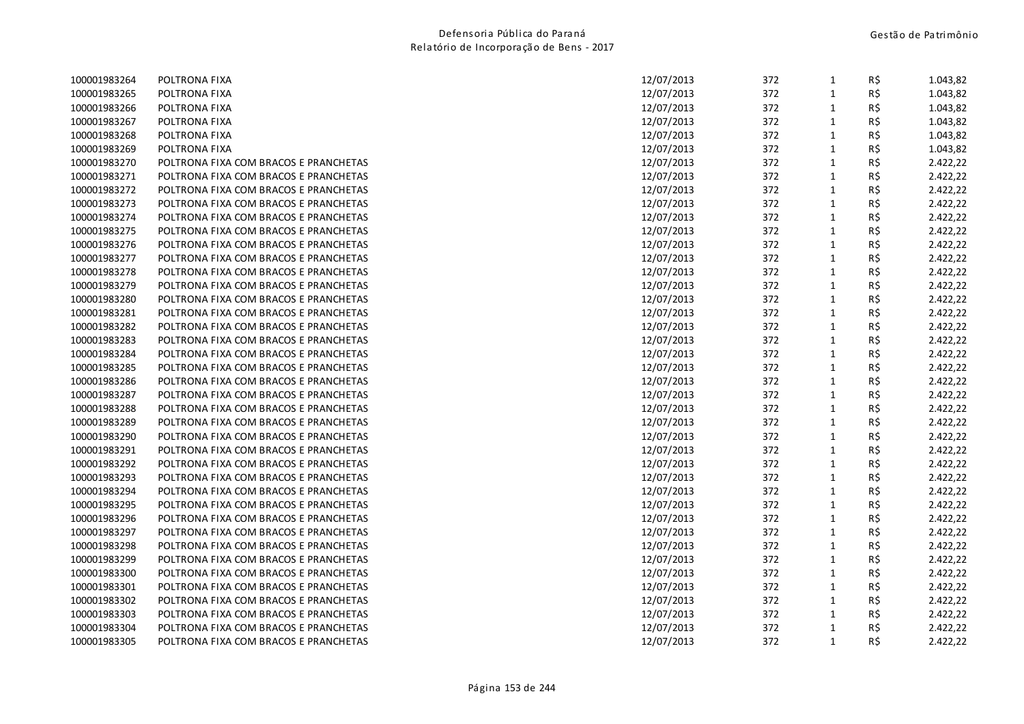| 100001983264 | POLTRONA FIXA                         | 12/07/2013 | 372 | $\mathbf{1}$ | R\$ | 1.043,82 |
|--------------|---------------------------------------|------------|-----|--------------|-----|----------|
| 100001983265 | POLTRONA FIXA                         | 12/07/2013 | 372 | $\mathbf{1}$ | R\$ | 1.043,82 |
| 100001983266 | POLTRONA FIXA                         | 12/07/2013 | 372 | $\mathbf{1}$ | R\$ | 1.043,82 |
| 100001983267 | POLTRONA FIXA                         | 12/07/2013 | 372 | $\mathbf{1}$ | R\$ | 1.043,82 |
| 100001983268 | POLTRONA FIXA                         | 12/07/2013 | 372 | $\mathbf{1}$ | R\$ | 1.043,82 |
| 100001983269 | POLTRONA FIXA                         | 12/07/2013 | 372 | $\mathbf{1}$ | R\$ | 1.043,82 |
| 100001983270 | POLTRONA FIXA COM BRACOS E PRANCHETAS | 12/07/2013 | 372 | $\mathbf{1}$ | R\$ | 2.422,22 |
| 100001983271 | POLTRONA FIXA COM BRACOS E PRANCHETAS | 12/07/2013 | 372 | $\mathbf{1}$ | R\$ | 2.422,22 |
| 100001983272 | POLTRONA FIXA COM BRACOS E PRANCHETAS | 12/07/2013 | 372 | $\mathbf{1}$ | R\$ | 2.422,22 |
| 100001983273 | POLTRONA FIXA COM BRACOS E PRANCHETAS | 12/07/2013 | 372 | $\mathbf{1}$ | R\$ | 2.422,22 |
| 100001983274 | POLTRONA FIXA COM BRACOS E PRANCHETAS | 12/07/2013 | 372 | $\mathbf{1}$ | R\$ | 2.422,22 |
| 100001983275 | POLTRONA FIXA COM BRACOS E PRANCHETAS | 12/07/2013 | 372 | $\mathbf{1}$ | R\$ | 2.422,22 |
| 100001983276 | POLTRONA FIXA COM BRACOS E PRANCHETAS | 12/07/2013 | 372 | $\mathbf{1}$ | R\$ | 2.422,22 |
| 100001983277 | POLTRONA FIXA COM BRACOS E PRANCHETAS | 12/07/2013 | 372 | $\mathbf{1}$ | R\$ | 2.422,22 |
| 100001983278 | POLTRONA FIXA COM BRACOS E PRANCHETAS | 12/07/2013 | 372 | $\mathbf{1}$ | R\$ | 2.422,22 |
| 100001983279 | POLTRONA FIXA COM BRACOS E PRANCHETAS | 12/07/2013 | 372 | $\mathbf{1}$ | R\$ | 2.422,22 |
| 100001983280 | POLTRONA FIXA COM BRACOS E PRANCHETAS | 12/07/2013 | 372 | 1            | R\$ | 2.422,22 |
| 100001983281 | POLTRONA FIXA COM BRACOS E PRANCHETAS | 12/07/2013 | 372 | 1            | R\$ | 2.422,22 |
| 100001983282 | POLTRONA FIXA COM BRACOS E PRANCHETAS | 12/07/2013 | 372 | $\mathbf{1}$ | R\$ | 2.422,22 |
| 100001983283 | POLTRONA FIXA COM BRACOS E PRANCHETAS | 12/07/2013 | 372 | $\mathbf{1}$ | R\$ | 2.422,22 |
| 100001983284 | POLTRONA FIXA COM BRACOS E PRANCHETAS | 12/07/2013 | 372 | $\mathbf{1}$ | R\$ | 2.422,22 |
| 100001983285 | POLTRONA FIXA COM BRACOS E PRANCHETAS | 12/07/2013 | 372 | $\mathbf{1}$ | R\$ | 2.422,22 |
| 100001983286 | POLTRONA FIXA COM BRACOS E PRANCHETAS | 12/07/2013 | 372 | $\mathbf{1}$ | R\$ | 2.422,22 |
| 100001983287 | POLTRONA FIXA COM BRACOS E PRANCHETAS | 12/07/2013 | 372 | $\mathbf{1}$ | R\$ | 2.422,22 |
| 100001983288 | POLTRONA FIXA COM BRACOS E PRANCHETAS | 12/07/2013 | 372 | $\mathbf{1}$ | R\$ | 2.422,22 |
| 100001983289 | POLTRONA FIXA COM BRACOS E PRANCHETAS | 12/07/2013 | 372 | $\mathbf{1}$ | R\$ | 2.422,22 |
| 100001983290 | POLTRONA FIXA COM BRACOS E PRANCHETAS | 12/07/2013 | 372 | $\mathbf{1}$ | R\$ | 2.422,22 |
| 100001983291 | POLTRONA FIXA COM BRACOS E PRANCHETAS | 12/07/2013 | 372 | $\mathbf{1}$ | R\$ | 2.422,22 |
| 100001983292 | POLTRONA FIXA COM BRACOS E PRANCHETAS | 12/07/2013 | 372 | $\mathbf{1}$ | R\$ | 2.422,22 |
| 100001983293 | POLTRONA FIXA COM BRACOS E PRANCHETAS | 12/07/2013 | 372 | $\mathbf{1}$ | R\$ | 2.422,22 |
| 100001983294 | POLTRONA FIXA COM BRACOS E PRANCHETAS | 12/07/2013 | 372 | $\mathbf{1}$ | R\$ | 2.422,22 |
| 100001983295 | POLTRONA FIXA COM BRACOS E PRANCHETAS | 12/07/2013 | 372 | $\mathbf{1}$ | R\$ | 2.422,22 |
| 100001983296 | POLTRONA FIXA COM BRACOS E PRANCHETAS | 12/07/2013 | 372 | $\mathbf{1}$ | R\$ | 2.422,22 |
| 100001983297 | POLTRONA FIXA COM BRACOS E PRANCHETAS | 12/07/2013 | 372 | $\mathbf{1}$ | R\$ | 2.422,22 |
| 100001983298 | POLTRONA FIXA COM BRACOS E PRANCHETAS | 12/07/2013 | 372 | $\mathbf{1}$ | R\$ | 2.422,22 |
| 100001983299 | POLTRONA FIXA COM BRACOS E PRANCHETAS | 12/07/2013 | 372 | $\mathbf{1}$ | R\$ | 2.422,22 |
| 100001983300 | POLTRONA FIXA COM BRACOS E PRANCHETAS | 12/07/2013 | 372 | $\mathbf{1}$ | R\$ | 2.422,22 |
| 100001983301 | POLTRONA FIXA COM BRACOS E PRANCHETAS | 12/07/2013 | 372 | $\mathbf{1}$ | R\$ | 2.422,22 |
| 100001983302 | POLTRONA FIXA COM BRACOS E PRANCHETAS | 12/07/2013 | 372 | $\mathbf{1}$ | R\$ | 2.422,22 |
| 100001983303 | POLTRONA FIXA COM BRACOS E PRANCHETAS | 12/07/2013 | 372 | $\mathbf{1}$ | R\$ | 2.422,22 |
| 100001983304 | POLTRONA FIXA COM BRACOS E PRANCHETAS | 12/07/2013 | 372 | $\mathbf{1}$ | R\$ | 2.422,22 |
| 100001983305 | POLTRONA FIXA COM BRACOS E PRANCHETAS | 12/07/2013 | 372 | $\mathbf{1}$ | R\$ | 2.422,22 |
|              |                                       |            |     |              |     |          |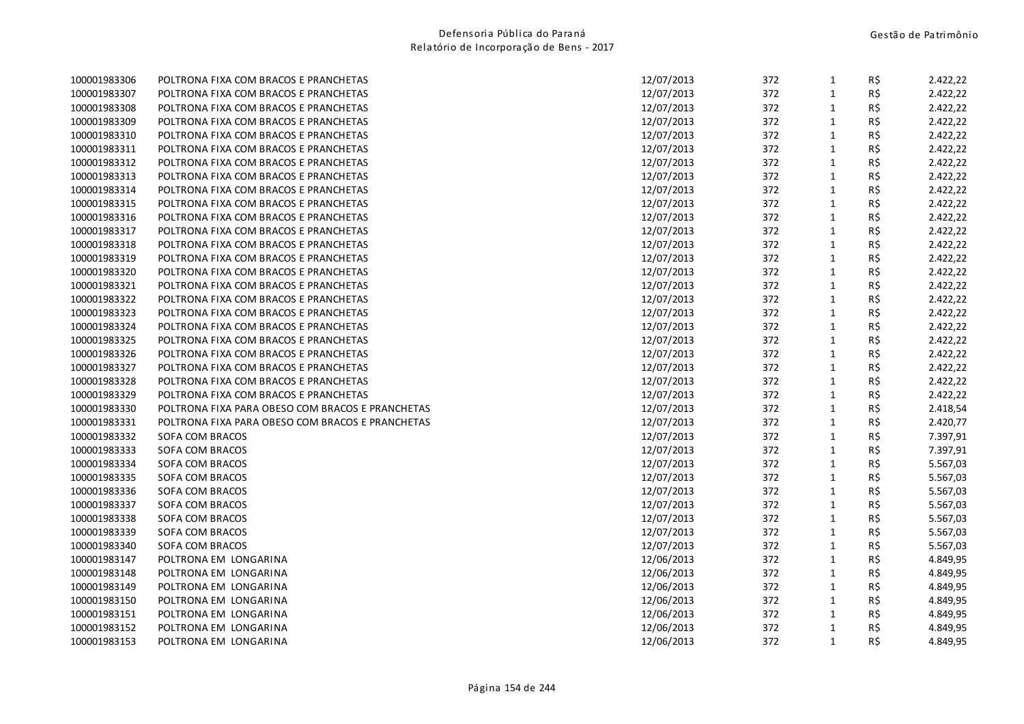| 100001983306 | POLTRONA FIXA COM BRACOS E PRANCHETAS            | 12/07/2013 | 372 | $\mathbf{1}$ | R\$ | 2.422,22 |
|--------------|--------------------------------------------------|------------|-----|--------------|-----|----------|
| 100001983307 | POLTRONA FIXA COM BRACOS E PRANCHETAS            | 12/07/2013 | 372 | $\mathbf{1}$ | R\$ | 2.422,22 |
| 100001983308 | POLTRONA FIXA COM BRACOS E PRANCHETAS            | 12/07/2013 | 372 | $1\,$        | R\$ | 2.422,22 |
| 100001983309 | POLTRONA FIXA COM BRACOS E PRANCHETAS            | 12/07/2013 | 372 | $\mathbf{1}$ | R\$ | 2.422,22 |
| 100001983310 | POLTRONA FIXA COM BRACOS E PRANCHETAS            | 12/07/2013 | 372 | $\mathbf{1}$ | R\$ | 2.422,22 |
| 100001983311 | POLTRONA FIXA COM BRACOS E PRANCHETAS            | 12/07/2013 | 372 | $\mathbf{1}$ | R\$ | 2.422,22 |
| 100001983312 | POLTRONA FIXA COM BRACOS E PRANCHETAS            | 12/07/2013 | 372 | $\mathbf{1}$ | R\$ | 2.422,22 |
| 100001983313 | POLTRONA FIXA COM BRACOS E PRANCHETAS            | 12/07/2013 | 372 | $\mathbf{1}$ | R\$ | 2.422,22 |
| 100001983314 | POLTRONA FIXA COM BRACOS E PRANCHETAS            | 12/07/2013 | 372 | $\mathbf{1}$ | R\$ | 2.422,22 |
| 100001983315 | POLTRONA FIXA COM BRACOS E PRANCHETAS            | 12/07/2013 | 372 | $\mathbf 1$  | R\$ | 2.422,22 |
| 100001983316 | POLTRONA FIXA COM BRACOS E PRANCHETAS            | 12/07/2013 | 372 | $\mathbf{1}$ | R\$ | 2.422,22 |
| 100001983317 | POLTRONA FIXA COM BRACOS E PRANCHETAS            | 12/07/2013 | 372 | $\mathbf{1}$ | R\$ | 2.422,22 |
| 100001983318 | POLTRONA FIXA COM BRACOS E PRANCHETAS            | 12/07/2013 | 372 | $\mathbf{1}$ | R\$ | 2.422,22 |
| 100001983319 | POLTRONA FIXA COM BRACOS E PRANCHETAS            | 12/07/2013 | 372 | $\mathbf 1$  | R\$ | 2.422,22 |
| 100001983320 | POLTRONA FIXA COM BRACOS E PRANCHETAS            | 12/07/2013 | 372 | $\mathbf{1}$ | R\$ | 2.422,22 |
| 100001983321 | POLTRONA FIXA COM BRACOS E PRANCHETAS            | 12/07/2013 | 372 | $\mathbf{1}$ | R\$ | 2.422,22 |
| 100001983322 | POLTRONA FIXA COM BRACOS E PRANCHETAS            | 12/07/2013 | 372 | $\mathbf{1}$ | R\$ | 2.422,22 |
| 100001983323 | POLTRONA FIXA COM BRACOS E PRANCHETAS            | 12/07/2013 | 372 | $\mathbf{1}$ | R\$ | 2.422,22 |
| 100001983324 | POLTRONA FIXA COM BRACOS E PRANCHETAS            | 12/07/2013 | 372 | $\mathbf 1$  | R\$ | 2.422,22 |
| 100001983325 | POLTRONA FIXA COM BRACOS E PRANCHETAS            | 12/07/2013 | 372 | $\mathbf{1}$ | R\$ | 2.422,22 |
| 100001983326 | POLTRONA FIXA COM BRACOS E PRANCHETAS            | 12/07/2013 | 372 | $\mathbf 1$  | R\$ | 2.422,22 |
| 100001983327 | POLTRONA FIXA COM BRACOS E PRANCHETAS            | 12/07/2013 | 372 | $\mathbf{1}$ | R\$ | 2.422,22 |
| 100001983328 | POLTRONA FIXA COM BRACOS E PRANCHETAS            | 12/07/2013 | 372 | $\mathbf 1$  | R\$ | 2.422,22 |
| 100001983329 | POLTRONA FIXA COM BRACOS E PRANCHETAS            | 12/07/2013 | 372 | $\mathbf 1$  | R\$ | 2.422,22 |
| 100001983330 | POLTRONA FIXA PARA OBESO COM BRACOS E PRANCHETAS | 12/07/2013 | 372 | $\mathbf{1}$ | R\$ | 2.418,54 |
| 100001983331 | POLTRONA FIXA PARA OBESO COM BRACOS E PRANCHETAS | 12/07/2013 | 372 | $\mathbf{1}$ | R\$ | 2.420,77 |
| 100001983332 | SOFA COM BRACOS                                  | 12/07/2013 | 372 | $\mathbf{1}$ | R\$ | 7.397,91 |
| 100001983333 | SOFA COM BRACOS                                  | 12/07/2013 | 372 | $\mathbf 1$  | R\$ | 7.397,91 |
| 100001983334 | SOFA COM BRACOS                                  | 12/07/2013 | 372 | $\mathbf 1$  | R\$ | 5.567,03 |
| 100001983335 | SOFA COM BRACOS                                  | 12/07/2013 | 372 | $\mathbf 1$  | R\$ | 5.567,03 |
| 100001983336 | SOFA COM BRACOS                                  | 12/07/2013 | 372 | $\mathbf{1}$ | R\$ | 5.567,03 |
| 100001983337 | SOFA COM BRACOS                                  | 12/07/2013 | 372 | $\mathbf 1$  | R\$ | 5.567,03 |
| 100001983338 | SOFA COM BRACOS                                  | 12/07/2013 | 372 | $\mathbf 1$  | R\$ | 5.567,03 |
| 100001983339 | SOFA COM BRACOS                                  | 12/07/2013 | 372 | $\mathbf{1}$ | R\$ | 5.567,03 |
| 100001983340 | SOFA COM BRACOS                                  | 12/07/2013 | 372 | $\mathbf{1}$ | R\$ | 5.567,03 |
| 100001983147 | POLTRONA EM LONGARINA                            | 12/06/2013 | 372 | $\mathbf{1}$ | R\$ | 4.849,95 |
| 100001983148 | POLTRONA EM LONGARINA                            | 12/06/2013 | 372 | $\mathbf{1}$ | R\$ | 4.849,95 |
| 100001983149 | POLTRONA EM LONGARINA                            | 12/06/2013 | 372 | $\mathbf 1$  | R\$ | 4.849,95 |
| 100001983150 | POLTRONA EM LONGARINA                            | 12/06/2013 | 372 | $\mathbf{1}$ | R\$ | 4.849,95 |
| 100001983151 | POLTRONA EM LONGARINA                            | 12/06/2013 | 372 | $\mathbf{1}$ | R\$ | 4.849,95 |
| 100001983152 | POLTRONA EM LONGARINA                            | 12/06/2013 | 372 | $\mathbf{1}$ | R\$ | 4.849,95 |
| 100001983153 | POLTRONA EM LONGARINA                            | 12/06/2013 | 372 | $\mathbf{1}$ | R\$ | 4.849,95 |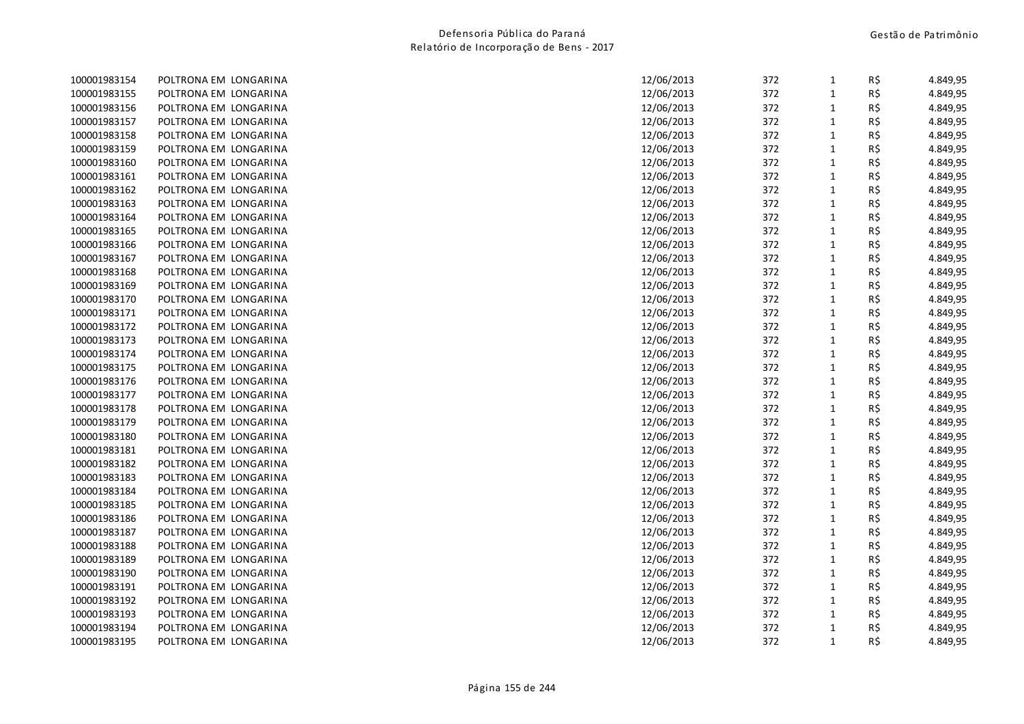| 100001983154 | POLTRONA EM LONGARINA | 12/06/2013<br>372<br>$\mathbf{1}$ | R\$ | 4.849,95 |
|--------------|-----------------------|-----------------------------------|-----|----------|
| 100001983155 | POLTRONA EM LONGARINA | 12/06/2013<br>372<br>$\mathbf{1}$ | R\$ | 4.849,95 |
| 100001983156 | POLTRONA EM LONGARINA | 12/06/2013<br>372<br>$\mathbf{1}$ | R\$ | 4.849,95 |
| 100001983157 | POLTRONA EM LONGARINA | 12/06/2013<br>372<br>$\mathbf{1}$ | R\$ | 4.849,95 |
| 100001983158 | POLTRONA EM LONGARINA | 372<br>$\mathbf{1}$<br>12/06/2013 | R\$ | 4.849,95 |
| 100001983159 | POLTRONA EM LONGARINA | 372<br>$\mathbf 1$<br>12/06/2013  | R\$ | 4.849,95 |
| 100001983160 | POLTRONA EM LONGARINA | 12/06/2013<br>372<br>$\mathbf{1}$ | R\$ | 4.849,95 |
| 100001983161 | POLTRONA EM LONGARINA | 12/06/2013<br>372<br>$\mathbf{1}$ | R\$ | 4.849,95 |
| 100001983162 | POLTRONA EM LONGARINA | 12/06/2013<br>372<br>$\mathbf{1}$ | R\$ | 4.849,95 |
| 100001983163 | POLTRONA EM LONGARINA | $\mathbf 1$<br>12/06/2013<br>372  | R\$ | 4.849,95 |
| 100001983164 | POLTRONA EM LONGARINA | 372<br>$\mathbf{1}$<br>12/06/2013 | R\$ | 4.849,95 |
| 100001983165 | POLTRONA EM LONGARINA | 12/06/2013<br>372<br>$\mathbf{1}$ | R\$ | 4.849,95 |
| 100001983166 | POLTRONA EM LONGARINA | 372<br>$\mathbf{1}$<br>12/06/2013 | R\$ | 4.849,95 |
| 100001983167 | POLTRONA EM LONGARINA | 12/06/2013<br>372<br>$\mathbf{1}$ | R\$ | 4.849,95 |
| 100001983168 | POLTRONA EM LONGARINA | 12/06/2013<br>372<br>$\mathbf{1}$ | R\$ | 4.849,95 |
| 100001983169 | POLTRONA EM LONGARINA | 12/06/2013<br>372<br>$\mathbf{1}$ | R\$ | 4.849,95 |
| 100001983170 | POLTRONA EM LONGARINA | 12/06/2013<br>372<br>$\mathbf{1}$ | R\$ | 4.849,95 |
| 100001983171 | POLTRONA EM LONGARINA | 372<br>$\mathbf{1}$<br>12/06/2013 | R\$ | 4.849,95 |
| 100001983172 | POLTRONA EM LONGARINA | 372<br>$\mathbf 1$<br>12/06/2013  | R\$ | 4.849,95 |
| 100001983173 | POLTRONA EM LONGARINA | 12/06/2013<br>372<br>$\mathbf{1}$ | R\$ | 4.849,95 |
| 100001983174 | POLTRONA EM LONGARINA | 12/06/2013<br>372<br>$\mathbf{1}$ | R\$ | 4.849,95 |
| 100001983175 | POLTRONA EM LONGARINA | 372<br>$\mathbf{1}$<br>12/06/2013 | R\$ | 4.849,95 |
| 100001983176 | POLTRONA EM LONGARINA | 372<br>$\mathbf{1}$<br>12/06/2013 | R\$ | 4.849,95 |
| 100001983177 | POLTRONA EM LONGARINA | $\mathbf{1}$<br>12/06/2013<br>372 | R\$ | 4.849,95 |
| 100001983178 | POLTRONA EM LONGARINA | 12/06/2013<br>372<br>$\mathbf{1}$ | R\$ | 4.849,95 |
| 100001983179 | POLTRONA EM LONGARINA | 372<br>12/06/2013<br>$\mathbf{1}$ | R\$ | 4.849,95 |
| 100001983180 | POLTRONA EM LONGARINA | 12/06/2013<br>372<br>$\mathbf{1}$ | R\$ | 4.849,95 |
| 100001983181 | POLTRONA EM LONGARINA | 12/06/2013<br>372<br>$\mathbf{1}$ | R\$ | 4.849,95 |
| 100001983182 | POLTRONA EM LONGARINA | 372<br>$\mathbf{1}$<br>12/06/2013 | R\$ | 4.849,95 |
| 100001983183 | POLTRONA EM LONGARINA | 372<br>12/06/2013<br>$\mathbf{1}$ | R\$ | 4.849,95 |
| 100001983184 | POLTRONA EM LONGARINA | 372<br>$\mathbf{1}$<br>12/06/2013 | R\$ | 4.849,95 |
| 100001983185 | POLTRONA EM LONGARINA | $\mathbf 1$<br>12/06/2013<br>372  | R\$ | 4.849,95 |
| 100001983186 | POLTRONA EM LONGARINA | 372<br>$\mathbf 1$<br>12/06/2013  | R\$ | 4.849,95 |
| 100001983187 | POLTRONA EM LONGARINA | 372<br>12/06/2013<br>$\mathbf{1}$ | R\$ | 4.849,95 |
| 100001983188 | POLTRONA EM LONGARINA | 12/06/2013<br>372<br>$\mathbf{1}$ | R\$ | 4.849,95 |
| 100001983189 | POLTRONA EM LONGARINA | 372<br>12/06/2013<br>$\mathbf{1}$ | R\$ | 4.849,95 |
| 100001983190 | POLTRONA EM LONGARINA | $\mathbf{1}$<br>12/06/2013<br>372 | R\$ | 4.849,95 |
| 100001983191 | POLTRONA EM LONGARINA | 12/06/2013<br>372<br>$\mathbf{1}$ | R\$ | 4.849,95 |
| 100001983192 | POLTRONA EM LONGARINA | 372<br>$\mathbf{1}$<br>12/06/2013 | R\$ | 4.849,95 |
| 100001983193 | POLTRONA EM LONGARINA | 372<br>$\mathbf{1}$<br>12/06/2013 | R\$ | 4.849,95 |
| 100001983194 | POLTRONA EM LONGARINA | 372<br>$\mathbf{1}$<br>12/06/2013 | R\$ | 4.849,95 |
| 100001983195 | POLTRONA EM LONGARINA | $\mathbf{1}$<br>12/06/2013<br>372 | R\$ | 4.849,95 |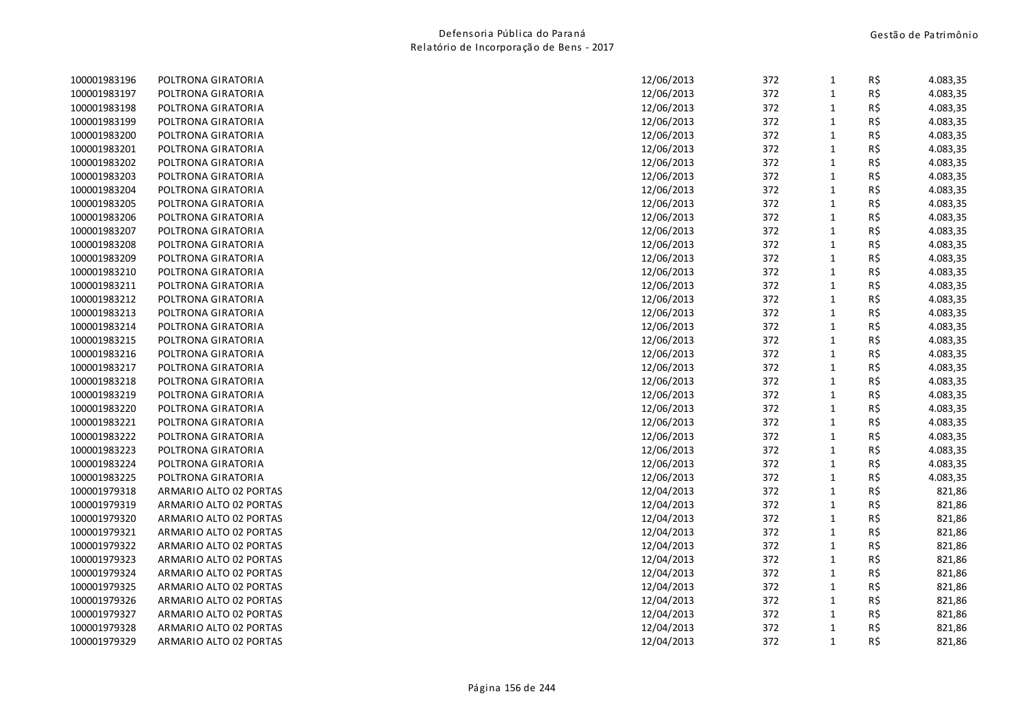| 100001983196 | POLTRONA GIRATORIA     | 12/06/2013 | 372 | $\mathbf{1}$ | R\$ | 4.083,35 |
|--------------|------------------------|------------|-----|--------------|-----|----------|
| 100001983197 | POLTRONA GIRATORIA     | 12/06/2013 | 372 | $\mathbf{1}$ | R\$ | 4.083,35 |
| 100001983198 | POLTRONA GIRATORIA     | 12/06/2013 | 372 | $\mathbf{1}$ | R\$ | 4.083,35 |
| 100001983199 | POLTRONA GIRATORIA     | 12/06/2013 | 372 | $\mathbf 1$  | R\$ | 4.083,35 |
| 100001983200 | POLTRONA GIRATORIA     | 12/06/2013 | 372 | $\mathbf 1$  | R\$ | 4.083,35 |
| 100001983201 | POLTRONA GIRATORIA     | 12/06/2013 | 372 | $\mathbf{1}$ | R\$ | 4.083,35 |
| 100001983202 | POLTRONA GIRATORIA     | 12/06/2013 | 372 | $\mathbf{1}$ | R\$ | 4.083,35 |
| 100001983203 | POLTRONA GIRATORIA     | 12/06/2013 | 372 | $\mathbf{1}$ | R\$ | 4.083,35 |
| 100001983204 | POLTRONA GIRATORIA     | 12/06/2013 | 372 | $\mathbf{1}$ | R\$ | 4.083,35 |
| 100001983205 | POLTRONA GIRATORIA     | 12/06/2013 | 372 | $\mathbf{1}$ | R\$ | 4.083,35 |
| 100001983206 | POLTRONA GIRATORIA     | 12/06/2013 | 372 | $\mathbf{1}$ | R\$ | 4.083,35 |
| 100001983207 | POLTRONA GIRATORIA     | 12/06/2013 | 372 | $\mathbf{1}$ | R\$ | 4.083,35 |
| 100001983208 | POLTRONA GIRATORIA     | 12/06/2013 | 372 | $\mathbf{1}$ | R\$ | 4.083,35 |
| 100001983209 | POLTRONA GIRATORIA     | 12/06/2013 | 372 | $\mathbf 1$  | R\$ | 4.083,35 |
| 100001983210 | POLTRONA GIRATORIA     | 12/06/2013 | 372 | $\mathbf{1}$ | R\$ | 4.083,35 |
| 100001983211 | POLTRONA GIRATORIA     | 12/06/2013 | 372 | $\mathbf{1}$ | R\$ | 4.083,35 |
| 100001983212 | POLTRONA GIRATORIA     | 12/06/2013 | 372 | $\mathbf{1}$ | R\$ | 4.083,35 |
| 100001983213 | POLTRONA GIRATORIA     | 12/06/2013 | 372 | $\mathbf{1}$ | R\$ | 4.083,35 |
| 100001983214 | POLTRONA GIRATORIA     | 12/06/2013 | 372 | $\mathbf{1}$ | R\$ | 4.083,35 |
| 100001983215 | POLTRONA GIRATORIA     | 12/06/2013 | 372 | $\mathbf{1}$ | R\$ | 4.083,35 |
| 100001983216 | POLTRONA GIRATORIA     | 12/06/2013 | 372 | $\mathbf{1}$ | R\$ | 4.083,35 |
| 100001983217 | POLTRONA GIRATORIA     | 12/06/2013 | 372 | $\mathbf{1}$ | R\$ | 4.083,35 |
| 100001983218 | POLTRONA GIRATORIA     | 12/06/2013 | 372 | $\mathbf{1}$ | R\$ | 4.083,35 |
| 100001983219 | POLTRONA GIRATORIA     | 12/06/2013 | 372 | $\mathbf{1}$ | R\$ | 4.083,35 |
| 100001983220 | POLTRONA GIRATORIA     | 12/06/2013 | 372 | $\mathbf{1}$ | R\$ | 4.083,35 |
| 100001983221 | POLTRONA GIRATORIA     | 12/06/2013 | 372 | $\mathbf{1}$ | R\$ | 4.083,35 |
| 100001983222 | POLTRONA GIRATORIA     | 12/06/2013 | 372 | $\mathbf{1}$ | R\$ | 4.083,35 |
| 100001983223 | POLTRONA GIRATORIA     | 12/06/2013 | 372 | $\mathbf{1}$ | R\$ | 4.083,35 |
| 100001983224 | POLTRONA GIRATORIA     | 12/06/2013 | 372 | $\mathbf{1}$ | R\$ | 4.083,35 |
| 100001983225 | POLTRONA GIRATORIA     | 12/06/2013 | 372 | $\mathbf{1}$ | R\$ | 4.083,35 |
| 100001979318 | ARMARIO ALTO 02 PORTAS | 12/04/2013 | 372 | $\mathbf{1}$ | R\$ | 821,86   |
| 100001979319 | ARMARIO ALTO 02 PORTAS | 12/04/2013 | 372 | $\mathbf{1}$ | R\$ | 821,86   |
| 100001979320 | ARMARIO ALTO 02 PORTAS | 12/04/2013 | 372 | $\mathbf{1}$ | R\$ | 821,86   |
| 100001979321 | ARMARIO ALTO 02 PORTAS | 12/04/2013 | 372 | $\mathbf{1}$ | R\$ | 821,86   |
| 100001979322 | ARMARIO ALTO 02 PORTAS | 12/04/2013 | 372 | $\mathbf{1}$ | R\$ | 821,86   |
| 100001979323 | ARMARIO ALTO 02 PORTAS | 12/04/2013 | 372 | $\mathbf{1}$ | R\$ | 821,86   |
| 100001979324 | ARMARIO ALTO 02 PORTAS | 12/04/2013 | 372 | $\mathbf 1$  | R\$ | 821,86   |
| 100001979325 | ARMARIO ALTO 02 PORTAS | 12/04/2013 | 372 | $\mathbf{1}$ | R\$ | 821,86   |
| 100001979326 | ARMARIO ALTO 02 PORTAS | 12/04/2013 | 372 | $\mathbf{1}$ | R\$ | 821,86   |
| 100001979327 | ARMARIO ALTO 02 PORTAS | 12/04/2013 | 372 | $\mathbf{1}$ | R\$ | 821,86   |
| 100001979328 | ARMARIO ALTO 02 PORTAS | 12/04/2013 | 372 | $\mathbf{1}$ | R\$ | 821,86   |
| 100001979329 | ARMARIO ALTO 02 PORTAS | 12/04/2013 | 372 | $\mathbf{1}$ | R\$ | 821,86   |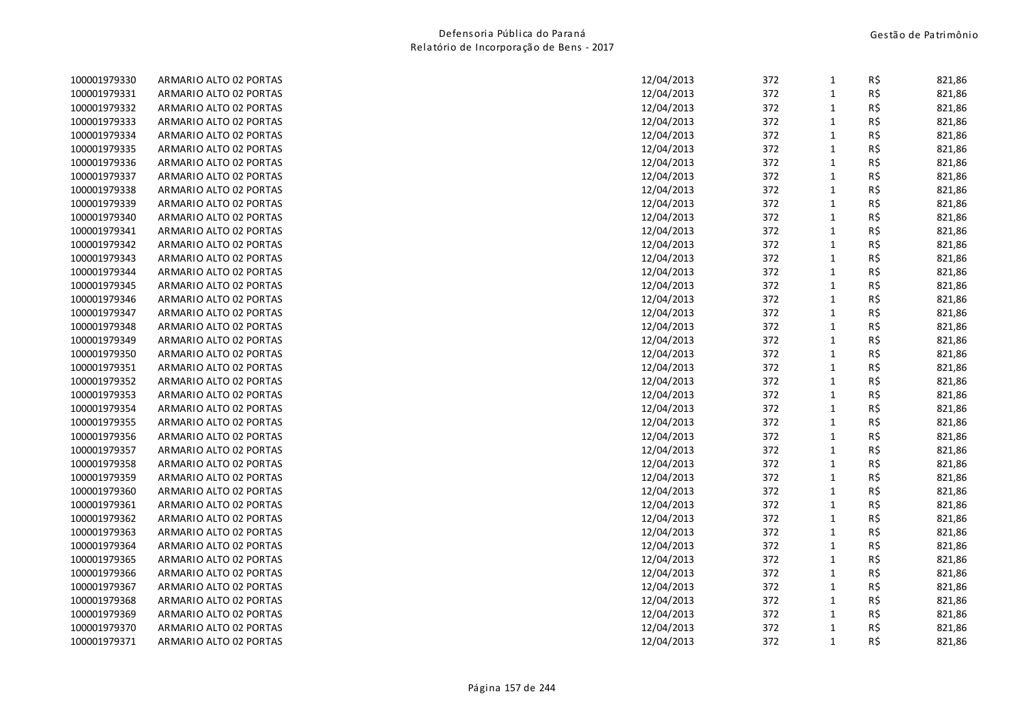| 100001979330 | ARMARIO ALTO 02 PORTAS | 12/04/2013 | 372 | 1            | R\$ | 821,86 |
|--------------|------------------------|------------|-----|--------------|-----|--------|
| 100001979331 | ARMARIO ALTO 02 PORTAS | 12/04/2013 | 372 | $\mathbf{1}$ | R\$ | 821,86 |
| 100001979332 | ARMARIO ALTO 02 PORTAS | 12/04/2013 | 372 | $\mathbf{1}$ | R\$ | 821,86 |
| 100001979333 | ARMARIO ALTO 02 PORTAS | 12/04/2013 | 372 | $\mathbf{1}$ | R\$ | 821,86 |
| 100001979334 | ARMARIO ALTO 02 PORTAS | 12/04/2013 | 372 | $\mathbf{1}$ | R\$ | 821,86 |
| 100001979335 | ARMARIO ALTO 02 PORTAS | 12/04/2013 | 372 | $\mathbf{1}$ | R\$ | 821,86 |
| 100001979336 | ARMARIO ALTO 02 PORTAS | 12/04/2013 | 372 | $\mathbf 1$  | R\$ | 821,86 |
| 100001979337 | ARMARIO ALTO 02 PORTAS | 12/04/2013 | 372 | $\mathbf 1$  | R\$ | 821,86 |
| 100001979338 | ARMARIO ALTO 02 PORTAS | 12/04/2013 | 372 | $\mathbf{1}$ | R\$ | 821,86 |
| 100001979339 | ARMARIO ALTO 02 PORTAS | 12/04/2013 | 372 | $\mathbf{1}$ | R\$ | 821,86 |
| 100001979340 | ARMARIO ALTO 02 PORTAS | 12/04/2013 | 372 | $\mathbf{1}$ | R\$ | 821,86 |
| 100001979341 | ARMARIO ALTO 02 PORTAS | 12/04/2013 | 372 | $\mathbf{1}$ | R\$ | 821,86 |
| 100001979342 | ARMARIO ALTO 02 PORTAS | 12/04/2013 | 372 | $\mathbf{1}$ | R\$ | 821,86 |
| 100001979343 | ARMARIO ALTO 02 PORTAS | 12/04/2013 | 372 | $\mathbf{1}$ | R\$ | 821,86 |
| 100001979344 | ARMARIO ALTO 02 PORTAS | 12/04/2013 | 372 | $\mathbf{1}$ | R\$ | 821,86 |
| 100001979345 | ARMARIO ALTO 02 PORTAS | 12/04/2013 | 372 | $\mathbf{1}$ | R\$ | 821,86 |
| 100001979346 | ARMARIO ALTO 02 PORTAS | 12/04/2013 | 372 | $\mathbf{1}$ | R\$ | 821,86 |
| 100001979347 | ARMARIO ALTO 02 PORTAS | 12/04/2013 | 372 | $\mathbf{1}$ | R\$ | 821,86 |
| 100001979348 | ARMARIO ALTO 02 PORTAS | 12/04/2013 | 372 | $\mathbf{1}$ | R\$ | 821,86 |
| 100001979349 | ARMARIO ALTO 02 PORTAS | 12/04/2013 | 372 | $\mathbf 1$  | R\$ | 821,86 |
| 100001979350 | ARMARIO ALTO 02 PORTAS | 12/04/2013 | 372 | $\mathbf 1$  | R\$ | 821,86 |
| 100001979351 | ARMARIO ALTO 02 PORTAS | 12/04/2013 | 372 | $\mathbf{1}$ | R\$ | 821,86 |
| 100001979352 | ARMARIO ALTO 02 PORTAS | 12/04/2013 | 372 | $\mathbf{1}$ | R\$ | 821,86 |
| 100001979353 | ARMARIO ALTO 02 PORTAS | 12/04/2013 | 372 | $\mathbf 1$  | R\$ | 821,86 |
| 100001979354 | ARMARIO ALTO 02 PORTAS | 12/04/2013 | 372 | $\mathbf{1}$ | R\$ | 821,86 |
| 100001979355 | ARMARIO ALTO 02 PORTAS | 12/04/2013 | 372 | $\mathbf{1}$ | R\$ | 821,86 |
| 100001979356 | ARMARIO ALTO 02 PORTAS | 12/04/2013 | 372 | $\mathbf{1}$ | R\$ | 821,86 |
| 100001979357 | ARMARIO ALTO 02 PORTAS | 12/04/2013 | 372 | $\mathbf{1}$ | R\$ | 821,86 |
| 100001979358 | ARMARIO ALTO 02 PORTAS | 12/04/2013 | 372 | $\mathbf{1}$ | R\$ | 821,86 |
| 100001979359 | ARMARIO ALTO 02 PORTAS | 12/04/2013 | 372 | $\mathbf 1$  | R\$ | 821,86 |
| 100001979360 | ARMARIO ALTO 02 PORTAS | 12/04/2013 | 372 | $\mathbf{1}$ | R\$ | 821,86 |
| 100001979361 | ARMARIO ALTO 02 PORTAS | 12/04/2013 | 372 | $\mathbf{1}$ | R\$ | 821,86 |
| 100001979362 | ARMARIO ALTO 02 PORTAS | 12/04/2013 | 372 | $\mathbf 1$  | R\$ | 821,86 |
| 100001979363 | ARMARIO ALTO 02 PORTAS | 12/04/2013 | 372 | $\mathbf 1$  | R\$ | 821,86 |
| 100001979364 | ARMARIO ALTO 02 PORTAS | 12/04/2013 | 372 | $\mathbf{1}$ | R\$ | 821,86 |
| 100001979365 | ARMARIO ALTO 02 PORTAS | 12/04/2013 | 372 | $\mathbf{1}$ | R\$ | 821,86 |
| 100001979366 | ARMARIO ALTO 02 PORTAS | 12/04/2013 | 372 | $\mathbf 1$  | R\$ | 821,86 |
| 100001979367 | ARMARIO ALTO 02 PORTAS | 12/04/2013 | 372 | $\mathbf{1}$ | R\$ | 821,86 |
| 100001979368 | ARMARIO ALTO 02 PORTAS | 12/04/2013 | 372 | $\mathbf{1}$ | R\$ | 821,86 |
| 100001979369 | ARMARIO ALTO 02 PORTAS | 12/04/2013 | 372 | $\mathbf{1}$ | R\$ | 821,86 |
| 100001979370 | ARMARIO ALTO 02 PORTAS | 12/04/2013 | 372 | $\mathbf{1}$ | R\$ | 821,86 |
| 100001979371 | ARMARIO ALTO 02 PORTAS | 12/04/2013 | 372 | $\mathbf{1}$ | R\$ | 821,86 |
|              |                        |            |     |              |     |        |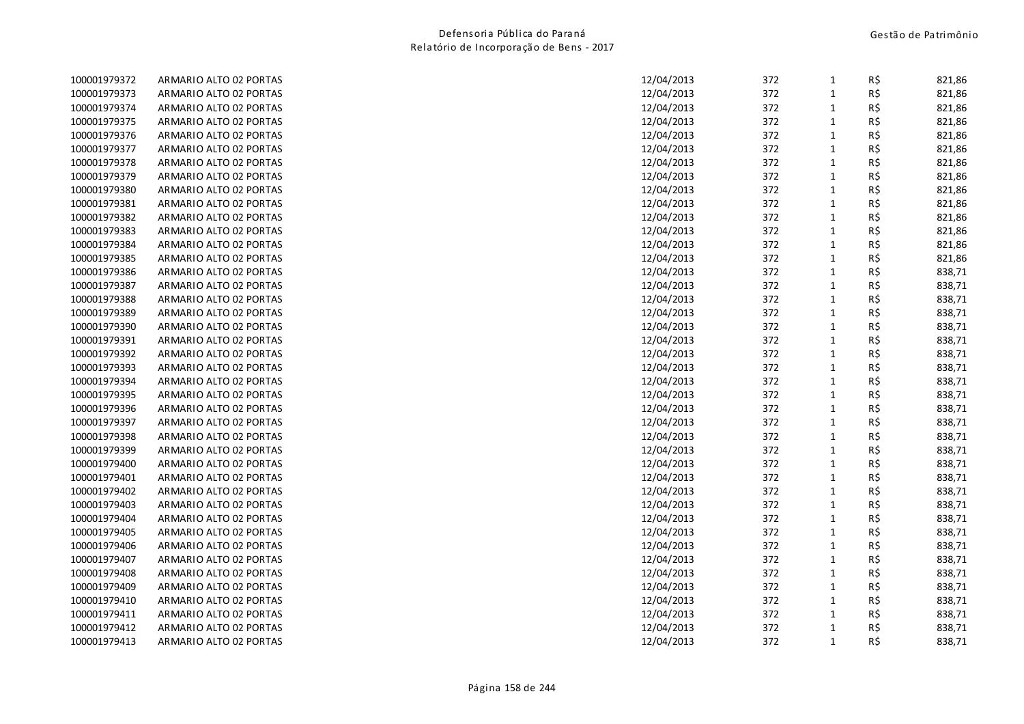| 100001979372 | ARMARIO ALTO 02 PORTAS | 12/04/2013 | 372 | 1            | R\$ | 821,86 |
|--------------|------------------------|------------|-----|--------------|-----|--------|
| 100001979373 | ARMARIO ALTO 02 PORTAS | 12/04/2013 | 372 | $\mathbf{1}$ | R\$ | 821,86 |
| 100001979374 | ARMARIO ALTO 02 PORTAS | 12/04/2013 | 372 | $\mathbf{1}$ | R\$ | 821,86 |
| 100001979375 | ARMARIO ALTO 02 PORTAS | 12/04/2013 | 372 | $\mathbf 1$  | R\$ | 821,86 |
| 100001979376 | ARMARIO ALTO 02 PORTAS | 12/04/2013 | 372 | $\mathbf 1$  | R\$ | 821,86 |
| 100001979377 | ARMARIO ALTO 02 PORTAS | 12/04/2013 | 372 | $\mathbf{1}$ | R\$ | 821,86 |
| 100001979378 | ARMARIO ALTO 02 PORTAS | 12/04/2013 | 372 | $\mathbf{1}$ | R\$ | 821,86 |
| 100001979379 | ARMARIO ALTO 02 PORTAS | 12/04/2013 | 372 | $\mathbf{1}$ | R\$ | 821,86 |
| 100001979380 | ARMARIO ALTO 02 PORTAS | 12/04/2013 | 372 | $\mathbf{1}$ | R\$ | 821,86 |
| 100001979381 | ARMARIO ALTO 02 PORTAS | 12/04/2013 | 372 | $\mathbf 1$  | R\$ | 821,86 |
| 100001979382 | ARMARIO ALTO 02 PORTAS | 12/04/2013 | 372 | $\mathbf 1$  | R\$ | 821,86 |
| 100001979383 | ARMARIO ALTO 02 PORTAS | 12/04/2013 | 372 | $\mathbf{1}$ | R\$ | 821,86 |
| 100001979384 | ARMARIO ALTO 02 PORTAS | 12/04/2013 | 372 | $\mathbf 1$  | R\$ | 821,86 |
| 100001979385 | ARMARIO ALTO 02 PORTAS | 12/04/2013 | 372 | $\mathbf{1}$ | R\$ | 821,86 |
| 100001979386 | ARMARIO ALTO 02 PORTAS | 12/04/2013 | 372 | $\mathbf{1}$ | R\$ | 838,71 |
| 100001979387 | ARMARIO ALTO 02 PORTAS | 12/04/2013 | 372 | $\mathbf{1}$ | R\$ | 838,71 |
| 100001979388 | ARMARIO ALTO 02 PORTAS | 12/04/2013 | 372 | $\mathbf 1$  | R\$ | 838,71 |
| 100001979389 | ARMARIO ALTO 02 PORTAS | 12/04/2013 | 372 | $\mathbf 1$  | R\$ | 838,71 |
| 100001979390 | ARMARIO ALTO 02 PORTAS | 12/04/2013 | 372 | $\mathbf 1$  | R\$ | 838,71 |
| 100001979391 | ARMARIO ALTO 02 PORTAS | 12/04/2013 | 372 | $\mathbf{1}$ | R\$ | 838,71 |
| 100001979392 | ARMARIO ALTO 02 PORTAS | 12/04/2013 | 372 | $\mathbf{1}$ | R\$ | 838,71 |
| 100001979393 | ARMARIO ALTO 02 PORTAS | 12/04/2013 | 372 | $\mathbf{1}$ | R\$ | 838,71 |
| 100001979394 | ARMARIO ALTO 02 PORTAS | 12/04/2013 | 372 | $\mathbf{1}$ | R\$ | 838,71 |
| 100001979395 | ARMARIO ALTO 02 PORTAS | 12/04/2013 | 372 | $\mathbf 1$  | R\$ | 838,71 |
| 100001979396 | ARMARIO ALTO 02 PORTAS | 12/04/2013 | 372 | $\mathbf 1$  | R\$ | 838,71 |
| 100001979397 | ARMARIO ALTO 02 PORTAS | 12/04/2013 | 372 | $\mathbf{1}$ | R\$ | 838,71 |
| 100001979398 | ARMARIO ALTO 02 PORTAS | 12/04/2013 | 372 | $\mathbf 1$  | R\$ | 838,71 |
| 100001979399 | ARMARIO ALTO 02 PORTAS | 12/04/2013 | 372 | $\mathbf{1}$ | R\$ | 838,71 |
| 100001979400 | ARMARIO ALTO 02 PORTAS | 12/04/2013 | 372 | $\mathbf{1}$ | R\$ | 838,71 |
| 100001979401 | ARMARIO ALTO 02 PORTAS | 12/04/2013 | 372 | $\mathbf{1}$ | R\$ | 838,71 |
| 100001979402 | ARMARIO ALTO 02 PORTAS | 12/04/2013 | 372 | $\mathbf 1$  | R\$ | 838,71 |
| 100001979403 | ARMARIO ALTO 02 PORTAS | 12/04/2013 | 372 | $\mathbf 1$  | R\$ | 838,71 |
| 100001979404 | ARMARIO ALTO 02 PORTAS | 12/04/2013 | 372 | $\mathbf 1$  | R\$ | 838,71 |
| 100001979405 | ARMARIO ALTO 02 PORTAS | 12/04/2013 | 372 | $\mathbf{1}$ | R\$ | 838,71 |
| 100001979406 | ARMARIO ALTO 02 PORTAS | 12/04/2013 | 372 | $\mathbf{1}$ | R\$ | 838,71 |
| 100001979407 | ARMARIO ALTO 02 PORTAS | 12/04/2013 | 372 | $\mathbf{1}$ | R\$ | 838,71 |
| 100001979408 | ARMARIO ALTO 02 PORTAS | 12/04/2013 | 372 | $\mathbf{1}$ | R\$ | 838,71 |
| 100001979409 | ARMARIO ALTO 02 PORTAS | 12/04/2013 | 372 | $\mathbf 1$  | R\$ | 838,71 |
| 100001979410 | ARMARIO ALTO 02 PORTAS | 12/04/2013 | 372 | $\mathbf 1$  | R\$ | 838,71 |
| 100001979411 | ARMARIO ALTO 02 PORTAS | 12/04/2013 | 372 | $\mathbf{1}$ | R\$ | 838,71 |
| 100001979412 | ARMARIO ALTO 02 PORTAS | 12/04/2013 | 372 | $\mathbf{1}$ | R\$ | 838,71 |
| 100001979413 | ARMARIO ALTO 02 PORTAS | 12/04/2013 | 372 | $\mathbf{1}$ | R\$ | 838,71 |
|              |                        |            |     |              |     |        |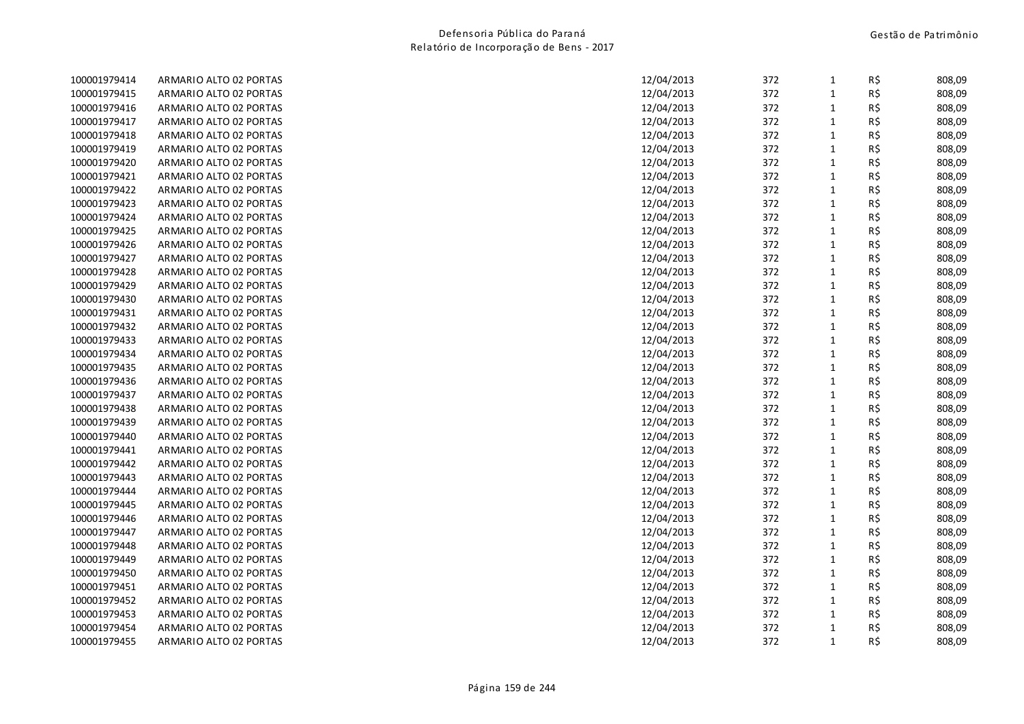| 100001979414 | ARMARIO ALTO 02 PORTAS | 12/04/2013 | 372 | 1            | R\$ | 808,09 |
|--------------|------------------------|------------|-----|--------------|-----|--------|
| 100001979415 | ARMARIO ALTO 02 PORTAS | 12/04/2013 | 372 | $\mathbf{1}$ | R\$ | 808,09 |
| 100001979416 | ARMARIO ALTO 02 PORTAS | 12/04/2013 | 372 | $\mathbf{1}$ | R\$ | 808,09 |
| 100001979417 | ARMARIO ALTO 02 PORTAS | 12/04/2013 | 372 | $\mathbf 1$  | R\$ | 808,09 |
| 100001979418 | ARMARIO ALTO 02 PORTAS | 12/04/2013 | 372 | $\mathbf{1}$ | R\$ | 808,09 |
| 100001979419 | ARMARIO ALTO 02 PORTAS | 12/04/2013 | 372 | $\mathbf{1}$ | R\$ | 808,09 |
| 100001979420 | ARMARIO ALTO 02 PORTAS | 12/04/2013 | 372 | $\mathbf{1}$ | R\$ | 808,09 |
| 100001979421 | ARMARIO ALTO 02 PORTAS | 12/04/2013 | 372 | $\mathbf{1}$ | R\$ | 808,09 |
| 100001979422 | ARMARIO ALTO 02 PORTAS | 12/04/2013 | 372 | $\mathbf{1}$ | R\$ | 808,09 |
| 100001979423 | ARMARIO ALTO 02 PORTAS | 12/04/2013 | 372 | $\mathbf{1}$ | R\$ | 808,09 |
| 100001979424 | ARMARIO ALTO 02 PORTAS | 12/04/2013 | 372 | $\mathbf 1$  | R\$ | 808,09 |
| 100001979425 | ARMARIO ALTO 02 PORTAS | 12/04/2013 | 372 | $\mathbf{1}$ | R\$ | 808,09 |
| 100001979426 | ARMARIO ALTO 02 PORTAS | 12/04/2013 | 372 | $\mathbf 1$  | R\$ | 808,09 |
| 100001979427 | ARMARIO ALTO 02 PORTAS | 12/04/2013 | 372 | $\mathbf{1}$ | R\$ | 808,09 |
| 100001979428 | ARMARIO ALTO 02 PORTAS | 12/04/2013 | 372 | 1            | R\$ | 808,09 |
| 100001979429 | ARMARIO ALTO 02 PORTAS | 12/04/2013 | 372 | $\mathbf{1}$ | R\$ | 808,09 |
| 100001979430 | ARMARIO ALTO 02 PORTAS | 12/04/2013 | 372 | $\mathbf{1}$ | R\$ | 808,09 |
| 100001979431 | ARMARIO ALTO 02 PORTAS | 12/04/2013 | 372 | $\mathbf 1$  | R\$ | 808,09 |
| 100001979432 | ARMARIO ALTO 02 PORTAS | 12/04/2013 | 372 | $\mathbf 1$  | R\$ | 808,09 |
| 100001979433 | ARMARIO ALTO 02 PORTAS | 12/04/2013 | 372 | $\mathbf{1}$ | R\$ | 808,09 |
| 100001979434 | ARMARIO ALTO 02 PORTAS | 12/04/2013 | 372 | $\mathbf{1}$ | R\$ | 808,09 |
| 100001979435 | ARMARIO ALTO 02 PORTAS | 12/04/2013 | 372 | $\mathbf{1}$ | R\$ | 808,09 |
| 100001979436 | ARMARIO ALTO 02 PORTAS | 12/04/2013 | 372 | $\mathbf{1}$ | R\$ | 808,09 |
| 100001979437 | ARMARIO ALTO 02 PORTAS | 12/04/2013 | 372 | $\mathbf{1}$ | R\$ | 808,09 |
| 100001979438 | ARMARIO ALTO 02 PORTAS | 12/04/2013 | 372 | $\mathbf 1$  | R\$ | 808,09 |
| 100001979439 | ARMARIO ALTO 02 PORTAS | 12/04/2013 | 372 | $\mathbf{1}$ | R\$ | 808,09 |
| 100001979440 | ARMARIO ALTO 02 PORTAS | 12/04/2013 | 372 | $\mathbf 1$  | R\$ | 808,09 |
| 100001979441 | ARMARIO ALTO 02 PORTAS | 12/04/2013 | 372 | $\mathbf{1}$ | R\$ | 808,09 |
| 100001979442 | ARMARIO ALTO 02 PORTAS | 12/04/2013 | 372 | $\mathbf{1}$ | R\$ | 808,09 |
| 100001979443 | ARMARIO ALTO 02 PORTAS | 12/04/2013 | 372 | $\mathbf{1}$ | R\$ | 808,09 |
| 100001979444 | ARMARIO ALTO 02 PORTAS | 12/04/2013 | 372 | $\mathbf{1}$ | R\$ | 808,09 |
| 100001979445 | ARMARIO ALTO 02 PORTAS | 12/04/2013 | 372 | $\mathbf 1$  | R\$ | 808,09 |
| 100001979446 | ARMARIO ALTO 02 PORTAS | 12/04/2013 | 372 | $\mathbf{1}$ | R\$ | 808,09 |
| 100001979447 | ARMARIO ALTO 02 PORTAS | 12/04/2013 | 372 | $\mathbf{1}$ | R\$ | 808,09 |
| 100001979448 | ARMARIO ALTO 02 PORTAS | 12/04/2013 | 372 | $\mathbf{1}$ | R\$ | 808,09 |
| 100001979449 | ARMARIO ALTO 02 PORTAS | 12/04/2013 | 372 | $\mathbf{1}$ | R\$ | 808,09 |
| 100001979450 | ARMARIO ALTO 02 PORTAS | 12/04/2013 | 372 | $\mathbf{1}$ | R\$ | 808,09 |
| 100001979451 | ARMARIO ALTO 02 PORTAS | 12/04/2013 | 372 | $\mathbf{1}$ | R\$ | 808,09 |
| 100001979452 | ARMARIO ALTO 02 PORTAS | 12/04/2013 | 372 | $\mathbf{1}$ | R\$ | 808,09 |
| 100001979453 | ARMARIO ALTO 02 PORTAS | 12/04/2013 | 372 | $\mathbf{1}$ | R\$ | 808,09 |
| 100001979454 | ARMARIO ALTO 02 PORTAS | 12/04/2013 | 372 | $\mathbf{1}$ | R\$ | 808,09 |
| 100001979455 | ARMARIO ALTO 02 PORTAS | 12/04/2013 | 372 | $\mathbf{1}$ | R\$ | 808,09 |
|              |                        |            |     |              |     |        |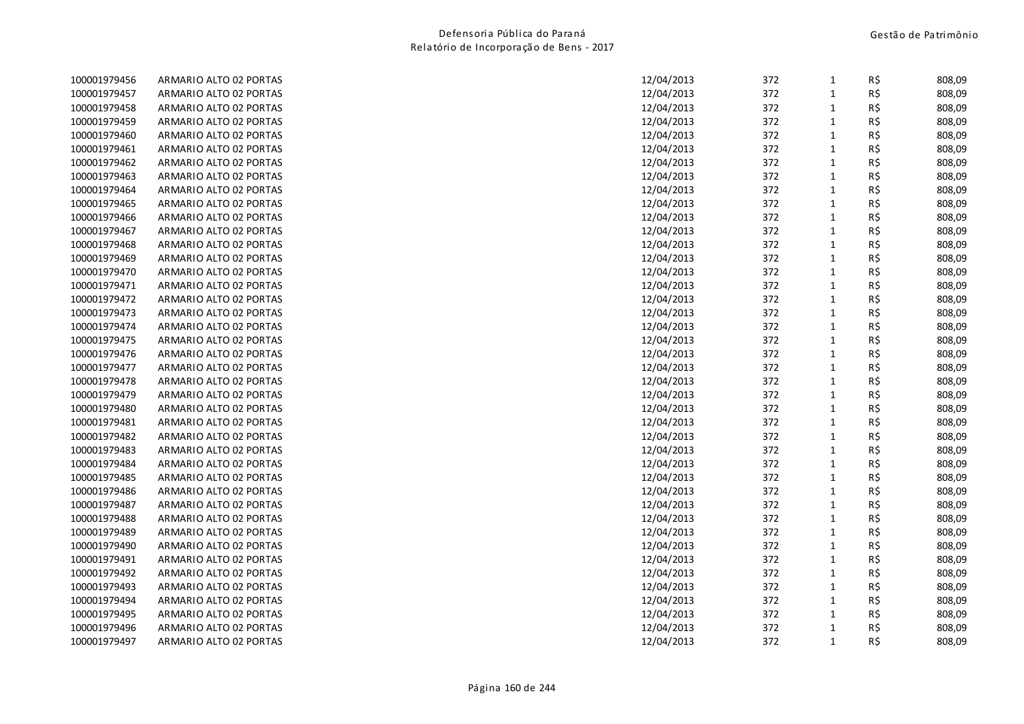| 100001979456 | ARMARIO ALTO 02 PORTAS | 12/04/2013 | 372 | 1            | R\$ | 808,09 |
|--------------|------------------------|------------|-----|--------------|-----|--------|
| 100001979457 | ARMARIO ALTO 02 PORTAS | 12/04/2013 | 372 | $\mathbf{1}$ | R\$ | 808,09 |
| 100001979458 | ARMARIO ALTO 02 PORTAS | 12/04/2013 | 372 | $\mathbf{1}$ | R\$ | 808,09 |
| 100001979459 | ARMARIO ALTO 02 PORTAS | 12/04/2013 | 372 | $\mathbf 1$  | R\$ | 808,09 |
| 100001979460 | ARMARIO ALTO 02 PORTAS | 12/04/2013 | 372 | $\mathbf{1}$ | R\$ | 808,09 |
| 100001979461 | ARMARIO ALTO 02 PORTAS | 12/04/2013 | 372 | $\mathbf{1}$ | R\$ | 808,09 |
| 100001979462 | ARMARIO ALTO 02 PORTAS | 12/04/2013 | 372 | $\mathbf{1}$ | R\$ | 808,09 |
| 100001979463 | ARMARIO ALTO 02 PORTAS | 12/04/2013 | 372 | $\mathbf{1}$ | R\$ | 808,09 |
| 100001979464 | ARMARIO ALTO 02 PORTAS | 12/04/2013 | 372 | $\mathbf{1}$ | R\$ | 808,09 |
| 100001979465 | ARMARIO ALTO 02 PORTAS | 12/04/2013 | 372 | $\mathbf{1}$ | R\$ | 808,09 |
| 100001979466 | ARMARIO ALTO 02 PORTAS | 12/04/2013 | 372 | $\mathbf 1$  | R\$ | 808,09 |
| 100001979467 | ARMARIO ALTO 02 PORTAS | 12/04/2013 | 372 | $\mathbf{1}$ | R\$ | 808,09 |
| 100001979468 | ARMARIO ALTO 02 PORTAS | 12/04/2013 | 372 | $\mathbf 1$  | R\$ | 808,09 |
| 100001979469 | ARMARIO ALTO 02 PORTAS | 12/04/2013 | 372 | $\mathbf{1}$ | R\$ | 808,09 |
| 100001979470 | ARMARIO ALTO 02 PORTAS | 12/04/2013 | 372 | 1            | R\$ | 808,09 |
| 100001979471 | ARMARIO ALTO 02 PORTAS | 12/04/2013 | 372 | $\mathbf{1}$ | R\$ | 808,09 |
| 100001979472 | ARMARIO ALTO 02 PORTAS | 12/04/2013 | 372 | $\mathbf{1}$ | R\$ | 808,09 |
| 100001979473 | ARMARIO ALTO 02 PORTAS | 12/04/2013 | 372 | $\mathbf 1$  | R\$ | 808,09 |
| 100001979474 | ARMARIO ALTO 02 PORTAS | 12/04/2013 | 372 | $\mathbf{1}$ | R\$ | 808,09 |
| 100001979475 | ARMARIO ALTO 02 PORTAS | 12/04/2013 | 372 | $\mathbf{1}$ | R\$ | 808,09 |
| 100001979476 | ARMARIO ALTO 02 PORTAS | 12/04/2013 | 372 | $\mathbf{1}$ | R\$ | 808,09 |
| 100001979477 | ARMARIO ALTO 02 PORTAS | 12/04/2013 | 372 | $\mathbf{1}$ | R\$ | 808,09 |
| 100001979478 | ARMARIO ALTO 02 PORTAS | 12/04/2013 | 372 | $\mathbf{1}$ | R\$ | 808,09 |
| 100001979479 | ARMARIO ALTO 02 PORTAS | 12/04/2013 | 372 | $\mathbf{1}$ | R\$ | 808,09 |
| 100001979480 | ARMARIO ALTO 02 PORTAS | 12/04/2013 | 372 | $\mathbf{1}$ | R\$ | 808,09 |
| 100001979481 | ARMARIO ALTO 02 PORTAS | 12/04/2013 | 372 | $\mathbf{1}$ | R\$ | 808,09 |
| 100001979482 | ARMARIO ALTO 02 PORTAS | 12/04/2013 | 372 | $\mathbf 1$  | R\$ | 808,09 |
| 100001979483 | ARMARIO ALTO 02 PORTAS | 12/04/2013 | 372 | $\mathbf{1}$ | R\$ | 808,09 |
| 100001979484 | ARMARIO ALTO 02 PORTAS | 12/04/2013 | 372 | $\mathbf{1}$ | R\$ | 808,09 |
| 100001979485 | ARMARIO ALTO 02 PORTAS | 12/04/2013 | 372 | $\mathbf{1}$ | R\$ | 808,09 |
| 100001979486 | ARMARIO ALTO 02 PORTAS | 12/04/2013 | 372 | $\mathbf{1}$ | R\$ | 808,09 |
| 100001979487 | ARMARIO ALTO 02 PORTAS | 12/04/2013 | 372 | $\mathbf 1$  | R\$ | 808,09 |
| 100001979488 | ARMARIO ALTO 02 PORTAS | 12/04/2013 | 372 | $\mathbf{1}$ | R\$ | 808,09 |
| 100001979489 | ARMARIO ALTO 02 PORTAS | 12/04/2013 | 372 | $\mathbf{1}$ | R\$ | 808,09 |
| 100001979490 | ARMARIO ALTO 02 PORTAS | 12/04/2013 | 372 | $\mathbf{1}$ | R\$ | 808,09 |
| 100001979491 | ARMARIO ALTO 02 PORTAS | 12/04/2013 | 372 | $\mathbf{1}$ | R\$ | 808,09 |
| 100001979492 | ARMARIO ALTO 02 PORTAS | 12/04/2013 | 372 | $\mathbf{1}$ | R\$ | 808,09 |
| 100001979493 | ARMARIO ALTO 02 PORTAS | 12/04/2013 | 372 | $\mathbf{1}$ | R\$ | 808,09 |
| 100001979494 | ARMARIO ALTO 02 PORTAS | 12/04/2013 | 372 | $\mathbf{1}$ | R\$ | 808,09 |
| 100001979495 | ARMARIO ALTO 02 PORTAS | 12/04/2013 | 372 | $\mathbf{1}$ | R\$ | 808,09 |
| 100001979496 | ARMARIO ALTO 02 PORTAS | 12/04/2013 | 372 | $\mathbf{1}$ | R\$ | 808,09 |
| 100001979497 | ARMARIO ALTO 02 PORTAS | 12/04/2013 | 372 | $\mathbf{1}$ | R\$ | 808,09 |
|              |                        |            |     |              |     |        |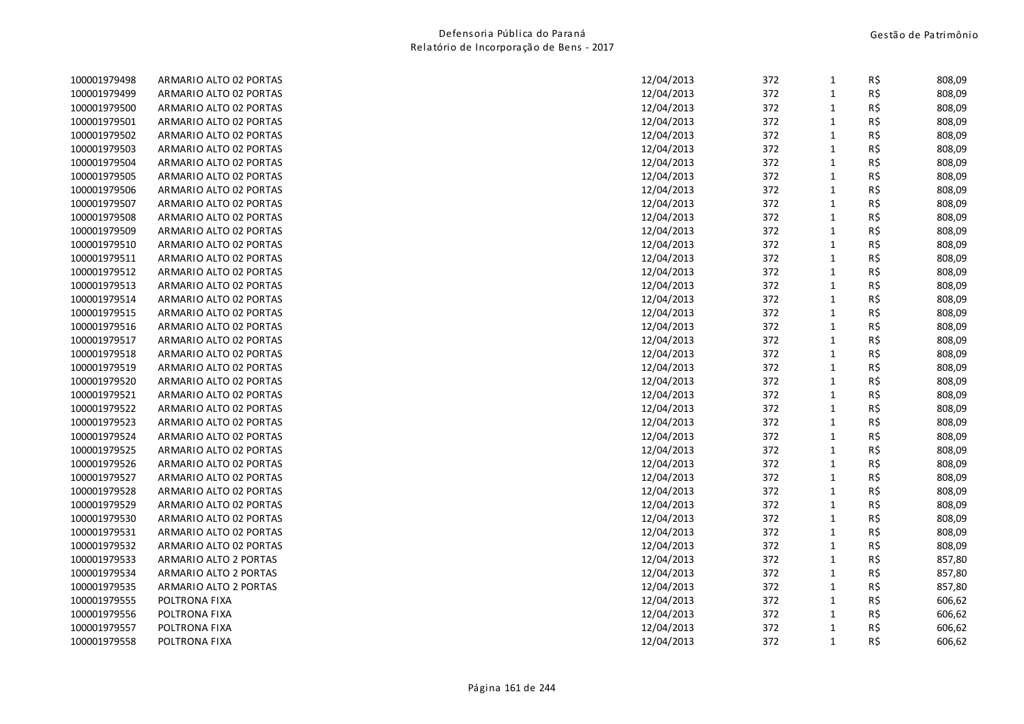| 100001979498 | ARMARIO ALTO 02 PORTAS | 12/04/2013 | 372 | 1            | R\$ | 808,09 |
|--------------|------------------------|------------|-----|--------------|-----|--------|
| 100001979499 | ARMARIO ALTO 02 PORTAS | 12/04/2013 | 372 | $\mathbf{1}$ | R\$ | 808,09 |
| 100001979500 | ARMARIO ALTO 02 PORTAS | 12/04/2013 | 372 | $\mathbf{1}$ | R\$ | 808,09 |
| 100001979501 | ARMARIO ALTO 02 PORTAS | 12/04/2013 | 372 | $\mathbf 1$  | R\$ | 808,09 |
| 100001979502 | ARMARIO ALTO 02 PORTAS | 12/04/2013 | 372 | $\mathbf 1$  | R\$ | 808,09 |
| 100001979503 | ARMARIO ALTO 02 PORTAS | 12/04/2013 | 372 | $\mathbf{1}$ | R\$ | 808,09 |
| 100001979504 | ARMARIO ALTO 02 PORTAS | 12/04/2013 | 372 | $\mathbf{1}$ | R\$ | 808,09 |
| 100001979505 | ARMARIO ALTO 02 PORTAS | 12/04/2013 | 372 | $\mathbf{1}$ | R\$ | 808,09 |
| 100001979506 | ARMARIO ALTO 02 PORTAS | 12/04/2013 | 372 | $\mathbf{1}$ | R\$ | 808,09 |
| 100001979507 | ARMARIO ALTO 02 PORTAS | 12/04/2013 | 372 | $\mathbf 1$  | R\$ | 808,09 |
| 100001979508 | ARMARIO ALTO 02 PORTAS | 12/04/2013 | 372 | $\mathbf 1$  | R\$ | 808,09 |
| 100001979509 | ARMARIO ALTO 02 PORTAS | 12/04/2013 | 372 | $\mathbf{1}$ | R\$ | 808,09 |
| 100001979510 | ARMARIO ALTO 02 PORTAS | 12/04/2013 | 372 | $\mathbf 1$  | R\$ | 808,09 |
| 100001979511 | ARMARIO ALTO 02 PORTAS | 12/04/2013 | 372 | $\mathbf{1}$ | R\$ | 808,09 |
| 100001979512 | ARMARIO ALTO 02 PORTAS | 12/04/2013 | 372 | $\mathbf{1}$ | R\$ | 808,09 |
| 100001979513 | ARMARIO ALTO 02 PORTAS | 12/04/2013 | 372 | $\mathbf{1}$ | R\$ | 808,09 |
| 100001979514 | ARMARIO ALTO 02 PORTAS | 12/04/2013 | 372 | $\mathbf{1}$ | R\$ | 808,09 |
| 100001979515 | ARMARIO ALTO 02 PORTAS | 12/04/2013 | 372 | $\mathbf 1$  | R\$ | 808,09 |
| 100001979516 | ARMARIO ALTO 02 PORTAS | 12/04/2013 | 372 | $\mathbf 1$  | R\$ | 808,09 |
| 100001979517 | ARMARIO ALTO 02 PORTAS | 12/04/2013 | 372 | $\mathbf{1}$ | R\$ | 808,09 |
| 100001979518 | ARMARIO ALTO 02 PORTAS | 12/04/2013 | 372 | $\mathbf{1}$ | R\$ | 808,09 |
| 100001979519 | ARMARIO ALTO 02 PORTAS | 12/04/2013 | 372 | $\mathbf{1}$ | R\$ | 808,09 |
| 100001979520 | ARMARIO ALTO 02 PORTAS | 12/04/2013 | 372 | $\mathbf{1}$ | R\$ | 808,09 |
| 100001979521 | ARMARIO ALTO 02 PORTAS | 12/04/2013 | 372 | $\mathbf 1$  | R\$ | 808,09 |
| 100001979522 | ARMARIO ALTO 02 PORTAS | 12/04/2013 | 372 | $\mathbf{1}$ | R\$ | 808,09 |
| 100001979523 | ARMARIO ALTO 02 PORTAS | 12/04/2013 | 372 | $\mathbf{1}$ | R\$ | 808,09 |
| 100001979524 | ARMARIO ALTO 02 PORTAS | 12/04/2013 | 372 | $\mathbf{1}$ | R\$ | 808,09 |
| 100001979525 | ARMARIO ALTO 02 PORTAS | 12/04/2013 | 372 | $\mathbf{1}$ | R\$ | 808,09 |
| 100001979526 | ARMARIO ALTO 02 PORTAS | 12/04/2013 | 372 | $\mathbf{1}$ | R\$ | 808,09 |
| 100001979527 | ARMARIO ALTO 02 PORTAS | 12/04/2013 | 372 | $\mathbf{1}$ | R\$ | 808,09 |
| 100001979528 | ARMARIO ALTO 02 PORTAS | 12/04/2013 | 372 | $\mathbf 1$  | R\$ | 808,09 |
| 100001979529 | ARMARIO ALTO 02 PORTAS | 12/04/2013 | 372 | $\mathbf 1$  | R\$ | 808,09 |
| 100001979530 | ARMARIO ALTO 02 PORTAS | 12/04/2013 | 372 | $\mathbf{1}$ | R\$ | 808,09 |
| 100001979531 | ARMARIO ALTO 02 PORTAS | 12/04/2013 | 372 | $\mathbf{1}$ | R\$ | 808,09 |
| 100001979532 | ARMARIO ALTO 02 PORTAS | 12/04/2013 | 372 | $\mathbf{1}$ | R\$ | 808,09 |
| 100001979533 | ARMARIO ALTO 2 PORTAS  | 12/04/2013 | 372 | $\mathbf{1}$ | R\$ | 857,80 |
| 100001979534 | ARMARIO ALTO 2 PORTAS  | 12/04/2013 | 372 | $\mathbf{1}$ | R\$ | 857,80 |
| 100001979535 | ARMARIO ALTO 2 PORTAS  | 12/04/2013 | 372 | $\mathbf 1$  | R\$ | 857,80 |
| 100001979555 | POLTRONA FIXA          | 12/04/2013 | 372 | $\mathbf 1$  | R\$ | 606,62 |
| 100001979556 | POLTRONA FIXA          | 12/04/2013 | 372 | $\mathbf{1}$ | R\$ | 606,62 |
| 100001979557 | POLTRONA FIXA          | 12/04/2013 | 372 | $\mathbf{1}$ | R\$ | 606,62 |
| 100001979558 | POLTRONA FIXA          | 12/04/2013 | 372 | $\mathbf{1}$ | R\$ | 606,62 |
|              |                        |            |     |              |     |        |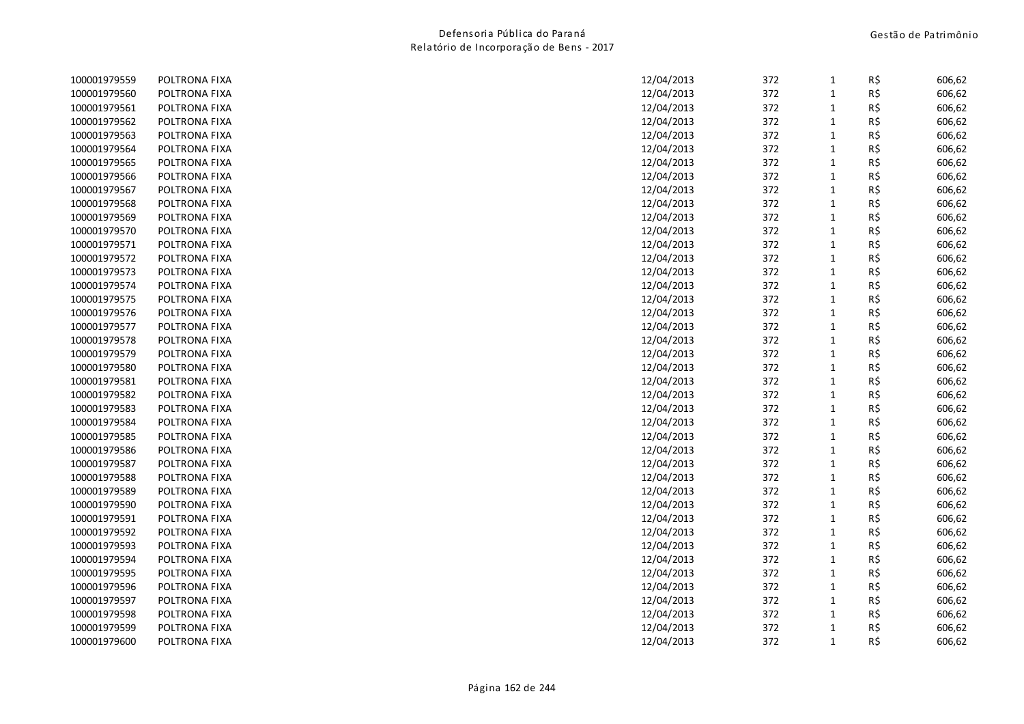| 100001979559 | POLTRONA FIXA | 12/04/2013 | 372 | $\mathbf{1}$ | R\$ | 606,62 |
|--------------|---------------|------------|-----|--------------|-----|--------|
| 100001979560 | POLTRONA FIXA | 12/04/2013 | 372 | $\mathbf{1}$ | R\$ | 606,62 |
| 100001979561 | POLTRONA FIXA | 12/04/2013 | 372 | $\mathbf{1}$ | R\$ | 606,62 |
| 100001979562 | POLTRONA FIXA | 12/04/2013 | 372 | $\mathbf{1}$ | R\$ | 606,62 |
| 100001979563 | POLTRONA FIXA | 12/04/2013 | 372 | $\mathbf 1$  | R\$ | 606,62 |
| 100001979564 | POLTRONA FIXA | 12/04/2013 | 372 | $\mathbf{1}$ | R\$ | 606,62 |
| 100001979565 | POLTRONA FIXA | 12/04/2013 | 372 | $\mathbf{1}$ | R\$ | 606,62 |
| 100001979566 | POLTRONA FIXA | 12/04/2013 | 372 | $\mathbf{1}$ | R\$ | 606,62 |
| 100001979567 | POLTRONA FIXA | 12/04/2013 | 372 | $\mathbf 1$  | R\$ | 606,62 |
| 100001979568 | POLTRONA FIXA | 12/04/2013 | 372 | $\mathbf 1$  | R\$ | 606,62 |
| 100001979569 | POLTRONA FIXA | 12/04/2013 | 372 | $\mathbf{1}$ | R\$ | 606,62 |
| 100001979570 | POLTRONA FIXA | 12/04/2013 | 372 | $\mathbf{1}$ | R\$ | 606,62 |
| 100001979571 | POLTRONA FIXA | 12/04/2013 | 372 | $\mathbf{1}$ | R\$ | 606,62 |
| 100001979572 | POLTRONA FIXA | 12/04/2013 | 372 | $\mathbf 1$  | R\$ | 606,62 |
| 100001979573 | POLTRONA FIXA | 12/04/2013 | 372 | $\mathbf{1}$ | R\$ | 606,62 |
| 100001979574 | POLTRONA FIXA | 12/04/2013 | 372 | $\mathbf{1}$ | R\$ | 606,62 |
| 100001979575 | POLTRONA FIXA | 12/04/2013 | 372 | $\mathbf{1}$ | R\$ | 606,62 |
| 100001979576 | POLTRONA FIXA | 12/04/2013 | 372 | $\mathbf{1}$ | R\$ | 606,62 |
| 100001979577 | POLTRONA FIXA | 12/04/2013 | 372 | $\mathbf{1}$ | R\$ | 606,62 |
| 100001979578 | POLTRONA FIXA | 12/04/2013 | 372 | $\mathbf{1}$ | R\$ | 606,62 |
| 100001979579 | POLTRONA FIXA | 12/04/2013 | 372 | $\mathbf{1}$ | R\$ | 606,62 |
| 100001979580 | POLTRONA FIXA | 12/04/2013 | 372 | $\mathbf{1}$ | R\$ | 606,62 |
| 100001979581 | POLTRONA FIXA | 12/04/2013 | 372 | $\mathbf 1$  | R\$ | 606,62 |
| 100001979582 | POLTRONA FIXA | 12/04/2013 | 372 | $\mathbf{1}$ | R\$ | 606,62 |
| 100001979583 | POLTRONA FIXA | 12/04/2013 | 372 | $\mathbf{1}$ | R\$ | 606,62 |
| 100001979584 | POLTRONA FIXA | 12/04/2013 | 372 | $\mathbf{1}$ | R\$ | 606,62 |
| 100001979585 | POLTRONA FIXA | 12/04/2013 | 372 | $\mathbf{1}$ | R\$ | 606,62 |
| 100001979586 | POLTRONA FIXA | 12/04/2013 | 372 | $\mathbf 1$  | R\$ | 606,62 |
| 100001979587 | POLTRONA FIXA | 12/04/2013 | 372 | $\mathbf 1$  | R\$ | 606,62 |
| 100001979588 | POLTRONA FIXA | 12/04/2013 | 372 | $\mathbf{1}$ | R\$ | 606,62 |
| 100001979589 | POLTRONA FIXA | 12/04/2013 | 372 | $\mathbf{1}$ | R\$ | 606,62 |
| 100001979590 | POLTRONA FIXA | 12/04/2013 | 372 | $\mathbf{1}$ | R\$ | 606,62 |
| 100001979591 | POLTRONA FIXA | 12/04/2013 | 372 | $\mathbf{1}$ | R\$ | 606,62 |
| 100001979592 | POLTRONA FIXA | 12/04/2013 | 372 | $\mathbf{1}$ | R\$ | 606,62 |
| 100001979593 | POLTRONA FIXA | 12/04/2013 | 372 | $\mathbf{1}$ | R\$ | 606,62 |
| 100001979594 | POLTRONA FIXA | 12/04/2013 | 372 | $\mathbf 1$  | R\$ | 606,62 |
| 100001979595 | POLTRONA FIXA | 12/04/2013 | 372 | $\mathbf 1$  | R\$ | 606,62 |
| 100001979596 | POLTRONA FIXA | 12/04/2013 | 372 | $\mathbf{1}$ | R\$ | 606,62 |
| 100001979597 | POLTRONA FIXA | 12/04/2013 | 372 | $\mathbf{1}$ | R\$ | 606,62 |
| 100001979598 | POLTRONA FIXA | 12/04/2013 | 372 | $\mathbf{1}$ | R\$ | 606,62 |
| 100001979599 | POLTRONA FIXA | 12/04/2013 | 372 | $\mathbf{1}$ | R\$ | 606,62 |
| 100001979600 | POLTRONA FIXA | 12/04/2013 | 372 | $\mathbf{1}$ | R\$ | 606,62 |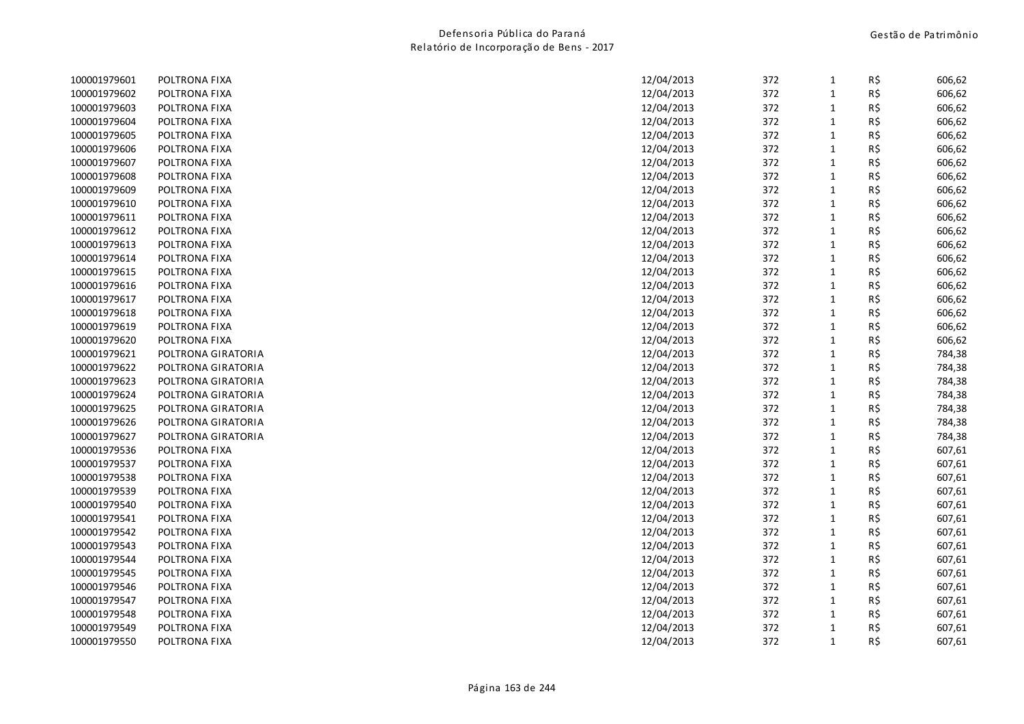|                    |               | 372                                                                                                             | 1                                                                                                     | R\$ | 606,62                                                                                                                                                                                           |
|--------------------|---------------|-----------------------------------------------------------------------------------------------------------------|-------------------------------------------------------------------------------------------------------|-----|--------------------------------------------------------------------------------------------------------------------------------------------------------------------------------------------------|
| POLTRONA FIXA      | 12/04/2013    | 372                                                                                                             | $\mathbf{1}$                                                                                          |     | 606,62                                                                                                                                                                                           |
| POLTRONA FIXA      | 12/04/2013    |                                                                                                                 | $\mathbf{1}$                                                                                          |     | 606,62                                                                                                                                                                                           |
| POLTRONA FIXA      | 12/04/2013    | 372                                                                                                             | $\mathbf{1}$                                                                                          |     | 606,62                                                                                                                                                                                           |
| POLTRONA FIXA      | 12/04/2013    | 372                                                                                                             | $\mathbf{1}$                                                                                          |     | 606,62                                                                                                                                                                                           |
| POLTRONA FIXA      | 12/04/2013    |                                                                                                                 | 1                                                                                                     | R\$ | 606,62                                                                                                                                                                                           |
| POLTRONA FIXA      | 12/04/2013    |                                                                                                                 | 1                                                                                                     |     | 606,62                                                                                                                                                                                           |
| POLTRONA FIXA      | 12/04/2013    | 372                                                                                                             | $\mathbf{1}$                                                                                          | R\$ | 606,62                                                                                                                                                                                           |
| POLTRONA FIXA      | 12/04/2013    | 372                                                                                                             | $\mathbf{1}$                                                                                          | R\$ | 606,62                                                                                                                                                                                           |
| POLTRONA FIXA      |               |                                                                                                                 | $\mathbf{1}$                                                                                          |     | 606,62                                                                                                                                                                                           |
| POLTRONA FIXA      | 12/04/2013    | 372                                                                                                             | $\mathbf{1}$                                                                                          | R\$ | 606,62                                                                                                                                                                                           |
| POLTRONA FIXA      | 12/04/2013    | 372                                                                                                             | 1                                                                                                     | R\$ | 606,62                                                                                                                                                                                           |
| POLTRONA FIXA      | 12/04/2013    | 372                                                                                                             | $\mathbf{1}$                                                                                          |     | 606,62                                                                                                                                                                                           |
| POLTRONA FIXA      | 12/04/2013    | 372                                                                                                             | $\mathbf{1}$                                                                                          | R\$ | 606,62                                                                                                                                                                                           |
| POLTRONA FIXA      | 12/04/2013    | 372                                                                                                             | 1                                                                                                     | R\$ | 606,62                                                                                                                                                                                           |
| POLTRONA FIXA      | 12/04/2013    | 372                                                                                                             | 1                                                                                                     | R\$ | 606,62                                                                                                                                                                                           |
| POLTRONA FIXA      | 12/04/2013    |                                                                                                                 | $\mathbf{1}$                                                                                          |     | 606,62                                                                                                                                                                                           |
| POLTRONA FIXA      | 12/04/2013    | 372                                                                                                             | $\mathbf{1}$                                                                                          |     | 606,62                                                                                                                                                                                           |
| POLTRONA FIXA      |               |                                                                                                                 | $\mathbf{1}$                                                                                          |     | 606,62                                                                                                                                                                                           |
| POLTRONA FIXA      | 12/04/2013    | 372                                                                                                             | 1                                                                                                     | R\$ | 606,62                                                                                                                                                                                           |
| POLTRONA GIRATORIA | 12/04/2013    |                                                                                                                 | 1                                                                                                     |     | 784,38                                                                                                                                                                                           |
| POLTRONA GIRATORIA | 12/04/2013    | 372                                                                                                             | 1                                                                                                     |     | 784,38                                                                                                                                                                                           |
| POLTRONA GIRATORIA | 12/04/2013    | 372                                                                                                             | $\mathbf{1}$                                                                                          |     | 784,38                                                                                                                                                                                           |
| POLTRONA GIRATORIA |               | 372                                                                                                             | $\mathbf{1}$                                                                                          |     | 784,38                                                                                                                                                                                           |
| POLTRONA GIRATORIA | 12/04/2013    | 372                                                                                                             | $\mathbf{1}$                                                                                          | R\$ | 784,38                                                                                                                                                                                           |
| POLTRONA GIRATORIA | 12/04/2013    |                                                                                                                 | 1                                                                                                     |     | 784,38                                                                                                                                                                                           |
| POLTRONA GIRATORIA | 12/04/2013    | 372                                                                                                             | 1                                                                                                     |     | 784,38                                                                                                                                                                                           |
| POLTRONA FIXA      | 12/04/2013    |                                                                                                                 | 1                                                                                                     |     | 607,61                                                                                                                                                                                           |
| POLTRONA FIXA      |               |                                                                                                                 | 1                                                                                                     |     | 607,61                                                                                                                                                                                           |
|                    |               | 372                                                                                                             | 1                                                                                                     |     | 607,61                                                                                                                                                                                           |
| POLTRONA FIXA      | 12/04/2013    |                                                                                                                 | $\mathbf{1}$                                                                                          |     | 607,61                                                                                                                                                                                           |
| POLTRONA FIXA      | 12/04/2013    | 372                                                                                                             | $\mathbf{1}$                                                                                          |     | 607,61                                                                                                                                                                                           |
| POLTRONA FIXA      | 12/04/2013    |                                                                                                                 | $\mathbf{1}$                                                                                          |     | 607,61                                                                                                                                                                                           |
| POLTRONA FIXA      | 12/04/2013    | 372                                                                                                             | 1                                                                                                     |     | 607,61                                                                                                                                                                                           |
| POLTRONA FIXA      | 12/04/2013    |                                                                                                                 | 1                                                                                                     |     | 607,61                                                                                                                                                                                           |
| POLTRONA FIXA      | 12/04/2013    | 372                                                                                                             | $\mathbf{1}$                                                                                          |     | 607,61                                                                                                                                                                                           |
| POLTRONA FIXA      | 12/04/2013    | 372                                                                                                             | $\mathbf{1}$                                                                                          |     | 607,61                                                                                                                                                                                           |
| POLTRONA FIXA      |               |                                                                                                                 | $\mathbf{1}$                                                                                          |     | 607,61                                                                                                                                                                                           |
| POLTRONA FIXA      | 12/04/2013    | 372                                                                                                             | 1                                                                                                     | R\$ | 607,61                                                                                                                                                                                           |
| POLTRONA FIXA      | 12/04/2013    |                                                                                                                 | 1                                                                                                     |     | 607,61                                                                                                                                                                                           |
| POLTRONA FIXA      | 12/04/2013    | 372                                                                                                             | 1                                                                                                     | R\$ | 607,61                                                                                                                                                                                           |
| POLTRONA FIXA      | 12/04/2013    | 372                                                                                                             | $\mathbf{1}$                                                                                          | R\$ | 607,61                                                                                                                                                                                           |
|                    | POLTRONA FIXA | 12/04/2013<br>POLTRONA FIXA<br>12/04/2013<br>12/04/2013<br>12/04/2013<br>12/04/2013<br>12/04/2013<br>12/04/2013 | 372<br>372<br>372<br>372<br>372<br>372<br>372<br>372<br>372<br>372<br>372<br>372<br>372<br>372<br>372 |     | R\$<br>R\$<br>R\$<br>R\$<br>R\$<br>R\$<br>R\$<br>R\$<br>R\$<br>R\$<br>R\$<br>R\$<br>R\$<br>R\$<br>R\$<br>R\$<br>R\$<br>R\$<br>R\$<br>R\$<br>R\$<br>R\$<br>R\$<br>R\$<br>R\$<br>R\$<br>R\$<br>R\$ |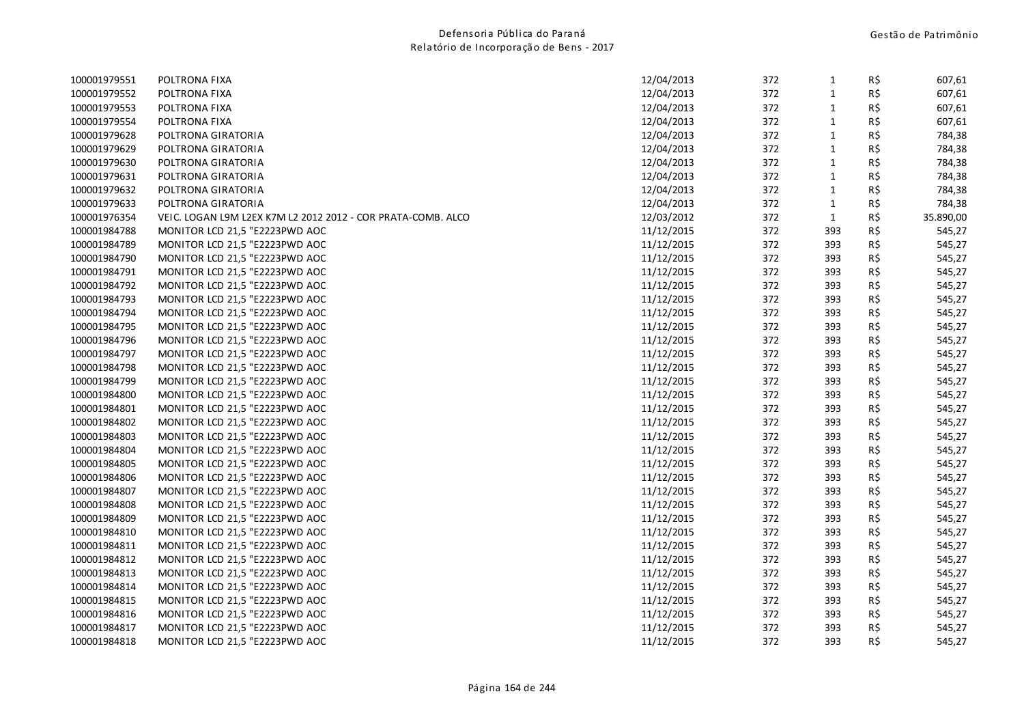| 100001979551 | POLTRONA FIXA                                                | 12/04/2013 | 372 | $\mathbf{1}$ | R\$ | 607,61    |
|--------------|--------------------------------------------------------------|------------|-----|--------------|-----|-----------|
| 100001979552 | POLTRONA FIXA                                                | 12/04/2013 | 372 | $\mathbf{1}$ | R\$ | 607,61    |
| 100001979553 | POLTRONA FIXA                                                | 12/04/2013 | 372 | $\mathbf{1}$ | R\$ | 607,61    |
| 100001979554 | POLTRONA FIXA                                                | 12/04/2013 | 372 | $\mathbf{1}$ | R\$ | 607,61    |
| 100001979628 | POLTRONA GIRATORIA                                           | 12/04/2013 | 372 | $\mathbf 1$  | R\$ | 784,38    |
| 100001979629 | POLTRONA GIRATORIA                                           | 12/04/2013 | 372 | $\mathbf 1$  | R\$ | 784,38    |
| 100001979630 | POLTRONA GIRATORIA                                           | 12/04/2013 | 372 | $\mathbf{1}$ | R\$ | 784,38    |
| 100001979631 | POLTRONA GIRATORIA                                           | 12/04/2013 | 372 | $\mathbf{1}$ | R\$ | 784,38    |
| 100001979632 | POLTRONA GIRATORIA                                           | 12/04/2013 | 372 | $\mathbf{1}$ | R\$ | 784,38    |
| 100001979633 | POLTRONA GIRATORIA                                           | 12/04/2013 | 372 | $\mathbf 1$  | R\$ | 784,38    |
| 100001976354 | VEIC. LOGAN L9M L2EX K7M L2 2012 2012 - COR PRATA-COMB. ALCO | 12/03/2012 | 372 | $\mathbf 1$  | R\$ | 35.890,00 |
| 100001984788 | MONITOR LCD 21,5 "E2223PWD AOC                               | 11/12/2015 | 372 | 393          | R\$ | 545,27    |
| 100001984789 | MONITOR LCD 21,5 "E2223PWD AOC                               | 11/12/2015 | 372 | 393          | R\$ | 545,27    |
| 100001984790 | MONITOR LCD 21,5 "E2223PWD AOC                               | 11/12/2015 | 372 | 393          | R\$ | 545,27    |
| 100001984791 | MONITOR LCD 21,5 "E2223PWD AOC                               | 11/12/2015 | 372 | 393          | R\$ | 545,27    |
| 100001984792 | MONITOR LCD 21,5 "E2223PWD AOC                               | 11/12/2015 | 372 | 393          | R\$ | 545,27    |
| 100001984793 | MONITOR LCD 21,5 "E2223PWD AOC                               | 11/12/2015 | 372 | 393          | R\$ | 545,27    |
| 100001984794 | MONITOR LCD 21,5 "E2223PWD AOC                               | 11/12/2015 | 372 | 393          | R\$ | 545,27    |
| 100001984795 | MONITOR LCD 21,5 "E2223PWD AOC                               | 11/12/2015 | 372 | 393          | R\$ | 545,27    |
| 100001984796 | MONITOR LCD 21,5 "E2223PWD AOC                               | 11/12/2015 | 372 | 393          | R\$ | 545,27    |
| 100001984797 | MONITOR LCD 21,5 "E2223PWD AOC                               | 11/12/2015 | 372 | 393          | R\$ | 545,27    |
| 100001984798 | MONITOR LCD 21,5 "E2223PWD AOC                               | 11/12/2015 | 372 | 393          | R\$ | 545,27    |
| 100001984799 | MONITOR LCD 21,5 "E2223PWD AOC                               | 11/12/2015 | 372 | 393          | R\$ | 545,27    |
| 100001984800 | MONITOR LCD 21,5 "E2223PWD AOC                               | 11/12/2015 | 372 | 393          | R\$ | 545,27    |
| 100001984801 | MONITOR LCD 21,5 "E2223PWD AOC                               | 11/12/2015 | 372 | 393          | R\$ | 545,27    |
| 100001984802 | MONITOR LCD 21,5 "E2223PWD AOC                               | 11/12/2015 | 372 | 393          | R\$ | 545,27    |
| 100001984803 | MONITOR LCD 21,5 "E2223PWD AOC                               | 11/12/2015 | 372 | 393          | R\$ | 545,27    |
| 100001984804 | MONITOR LCD 21,5 "E2223PWD AOC                               | 11/12/2015 | 372 | 393          | R\$ | 545,27    |
| 100001984805 | MONITOR LCD 21,5 "E2223PWD AOC                               | 11/12/2015 | 372 | 393          | R\$ | 545,27    |
| 100001984806 | MONITOR LCD 21,5 "E2223PWD AOC                               | 11/12/2015 | 372 | 393          | R\$ | 545,27    |
| 100001984807 | MONITOR LCD 21,5 "E2223PWD AOC                               | 11/12/2015 | 372 | 393          | R\$ | 545,27    |
| 100001984808 | MONITOR LCD 21,5 "E2223PWD AOC                               | 11/12/2015 | 372 | 393          | R\$ | 545,27    |
| 100001984809 | MONITOR LCD 21,5 "E2223PWD AOC                               | 11/12/2015 | 372 | 393          | R\$ | 545,27    |
| 100001984810 | MONITOR LCD 21,5 "E2223PWD AOC                               | 11/12/2015 | 372 | 393          | R\$ | 545,27    |
| 100001984811 | MONITOR LCD 21,5 "E2223PWD AOC                               | 11/12/2015 | 372 | 393          | R\$ | 545,27    |
| 100001984812 | MONITOR LCD 21,5 "E2223PWD AOC                               | 11/12/2015 | 372 | 393          | R\$ | 545,27    |
| 100001984813 | MONITOR LCD 21,5 "E2223PWD AOC                               | 11/12/2015 | 372 | 393          | R\$ | 545,27    |
| 100001984814 | MONITOR LCD 21,5 "E2223PWD AOC                               | 11/12/2015 | 372 | 393          | R\$ | 545,27    |
| 100001984815 | MONITOR LCD 21,5 "E2223PWD AOC                               | 11/12/2015 | 372 | 393          | R\$ | 545,27    |
| 100001984816 | MONITOR LCD 21,5 "E2223PWD AOC                               | 11/12/2015 | 372 | 393          | R\$ | 545,27    |
| 100001984817 | MONITOR LCD 21,5 "E2223PWD AOC                               | 11/12/2015 | 372 | 393          | R\$ | 545,27    |
| 100001984818 | MONITOR LCD 21,5 "E2223PWD AOC                               | 11/12/2015 | 372 | 393          | R\$ | 545,27    |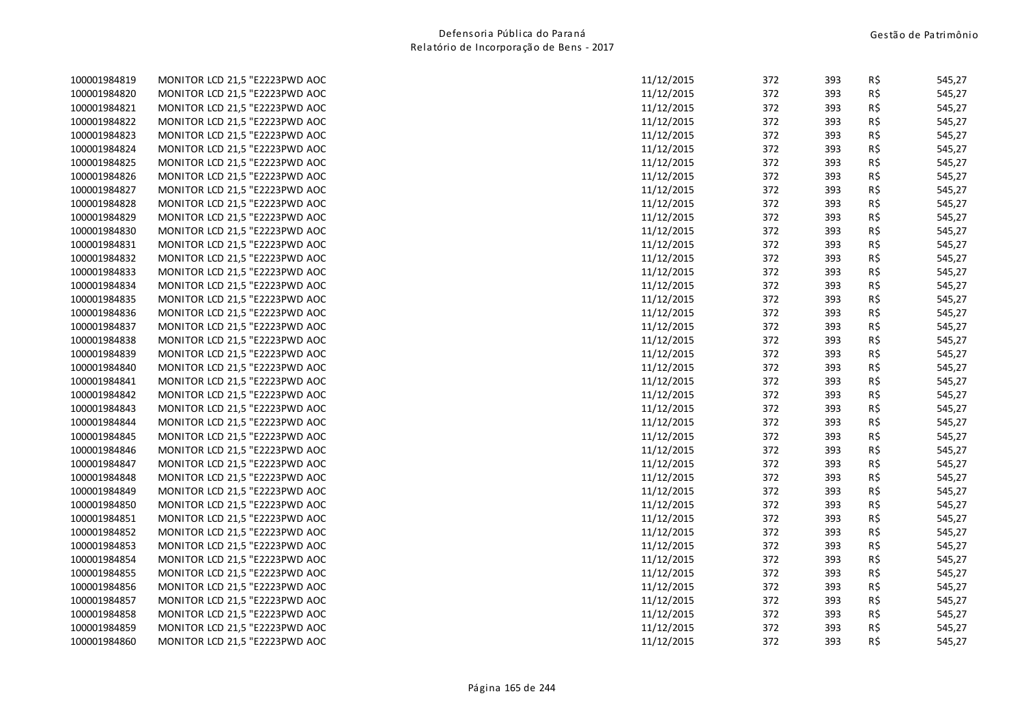| 100001984819 | MONITOR LCD 21,5 "E2223PWD AOC |
|--------------|--------------------------------|
| 100001984820 | MONITOR LCD 21,5 "E2223PWD AOC |
| 100001984821 | MONITOR LCD 21,5 "E2223PWD AOC |
| 100001984822 | MONITOR LCD 21,5 "E2223PWD AOC |
| 100001984823 | MONITOR LCD 21,5 "E2223PWD AOC |
| 100001984824 | MONITOR LCD 21,5 "E2223PWD AOC |
| 100001984825 | MONITOR LCD 21,5 "E2223PWD AOC |
| 100001984826 | MONITOR LCD 21,5 "E2223PWD AOC |
| 100001984827 | MONITOR LCD 21,5 "E2223PWD AOC |
| 100001984828 | MONITOR LCD 21,5 "E2223PWD AOC |
| 100001984829 | MONITOR LCD 21,5 "E2223PWD AOC |
| 100001984830 | MONITOR LCD 21,5 "E2223PWD AOC |
| 100001984831 | MONITOR LCD 21,5 "E2223PWD AOC |
| 100001984832 | MONITOR LCD 21,5 "E2223PWD AOC |
| 100001984833 | MONITOR LCD 21,5 "E2223PWD AOC |
| 100001984834 | MONITOR LCD 21,5 "E2223PWD AOC |
| 100001984835 | MONITOR LCD 21,5 "E2223PWD AOC |
| 100001984836 | MONITOR LCD 21,5 "E2223PWD AOC |
| 100001984837 | MONITOR LCD 21,5 "E2223PWD AOC |
| 100001984838 | MONITOR LCD 21,5 "E2223PWD AOC |
| 100001984839 | MONITOR LCD 21,5 "E2223PWD AOC |
| 100001984840 | MONITOR LCD 21,5 "E2223PWD AOC |
| 100001984841 | MONITOR LCD 21,5 "E2223PWD AOC |
| 100001984842 | MONITOR LCD 21,5 "E2223PWD AOC |
| 100001984843 | MONITOR LCD 21,5 "E2223PWD AOC |
| 100001984844 | MONITOR LCD 21,5 "E2223PWD AOC |
| 100001984845 | MONITOR LCD 21,5 "E2223PWD AOC |
| 100001984846 | MONITOR LCD 21,5 "E2223PWD AOC |
| 100001984847 | MONITOR LCD 21,5 "E2223PWD AOC |
| 100001984848 | MONITOR LCD 21,5 "E2223PWD AOC |
| 100001984849 | MONITOR LCD 21,5 "E2223PWD AOC |
| 100001984850 | MONITOR LCD 21,5 "E2223PWD AOC |
| 100001984851 | MONITOR LCD 21,5 "E2223PWD AOC |
| 100001984852 | MONITOR LCD 21,5 "E2223PWD AOC |
| 100001984853 | MONITOR LCD 21,5 "E2223PWD AOC |
| 100001984854 | MONITOR LCD 21,5 "E2223PWD AOC |
| 100001984855 | MONITOR LCD 21,5 "E2223PWD AOC |
| 100001984856 | MONITOR LCD 21,5 "E2223PWD AOC |
| 100001984857 | MONITOR LCD 21,5 "E2223PWD AOC |
| 100001984858 | MONITOR LCD 21,5 "E2223PWD AOC |
| 100001984859 | MONITOR LCD 21,5 "E2223PWD AOC |
| 100001984860 | MONITOR LCD 21,5 "E2223PWD AOC |

| 100001984819 | MONITOR LCD 21,5 "E2223PWD AOC | 11/12/2015 | 372 | 393 | R\$ | 545,27 |
|--------------|--------------------------------|------------|-----|-----|-----|--------|
| 100001984820 | MONITOR LCD 21,5 "E2223PWD AOC | 11/12/2015 | 372 | 393 | R\$ | 545,27 |
| 100001984821 | MONITOR LCD 21,5 "E2223PWD AOC | 11/12/2015 | 372 | 393 | R\$ | 545,27 |
| 100001984822 | MONITOR LCD 21,5 "E2223PWD AOC | 11/12/2015 | 372 | 393 | R\$ | 545,27 |
| 100001984823 | MONITOR LCD 21,5 "E2223PWD AOC | 11/12/2015 | 372 | 393 | R\$ | 545,27 |
| 100001984824 | MONITOR LCD 21,5 "E2223PWD AOC | 11/12/2015 | 372 | 393 | R\$ | 545,27 |
| 100001984825 | MONITOR LCD 21,5 "E2223PWD AOC | 11/12/2015 | 372 | 393 | R\$ | 545,27 |
| 100001984826 | MONITOR LCD 21,5 "E2223PWD AOC | 11/12/2015 | 372 | 393 | R\$ | 545,27 |
| 100001984827 | MONITOR LCD 21,5 "E2223PWD AOC | 11/12/2015 | 372 | 393 | R\$ | 545,27 |
| 100001984828 | MONITOR LCD 21,5 "E2223PWD AOC | 11/12/2015 | 372 | 393 | R\$ | 545,27 |
| 100001984829 | MONITOR LCD 21,5 "E2223PWD AOC | 11/12/2015 | 372 | 393 | R\$ | 545,27 |
| 100001984830 | MONITOR LCD 21,5 "E2223PWD AOC | 11/12/2015 | 372 | 393 | R\$ | 545,27 |
| 100001984831 | MONITOR LCD 21,5 "E2223PWD AOC | 11/12/2015 | 372 | 393 | R\$ | 545,27 |
| 100001984832 | MONITOR LCD 21,5 "E2223PWD AOC | 11/12/2015 | 372 | 393 | R\$ | 545,27 |
| 100001984833 | MONITOR LCD 21,5 "E2223PWD AOC | 11/12/2015 | 372 | 393 | R\$ | 545,27 |
| 100001984834 | MONITOR LCD 21,5 "E2223PWD AOC | 11/12/2015 | 372 | 393 | R\$ | 545,27 |
| 100001984835 | MONITOR LCD 21,5 "E2223PWD AOC | 11/12/2015 | 372 | 393 | R\$ | 545,27 |
| 100001984836 | MONITOR LCD 21,5 "E2223PWD AOC | 11/12/2015 | 372 | 393 | R\$ | 545,27 |
| 100001984837 | MONITOR LCD 21,5 "E2223PWD AOC | 11/12/2015 | 372 | 393 | R\$ | 545,27 |
| 100001984838 | MONITOR LCD 21,5 "E2223PWD AOC | 11/12/2015 | 372 | 393 | R\$ | 545,27 |
| 100001984839 | MONITOR LCD 21,5 "E2223PWD AOC | 11/12/2015 | 372 | 393 | R\$ | 545,27 |
| 100001984840 | MONITOR LCD 21,5 "E2223PWD AOC | 11/12/2015 | 372 | 393 | R\$ | 545,27 |
| 100001984841 | MONITOR LCD 21,5 "E2223PWD AOC | 11/12/2015 | 372 | 393 | R\$ | 545,27 |
| 100001984842 | MONITOR LCD 21,5 "E2223PWD AOC | 11/12/2015 | 372 | 393 | R\$ | 545,27 |
| 100001984843 | MONITOR LCD 21,5 "E2223PWD AOC | 11/12/2015 | 372 | 393 | R\$ | 545,27 |
| 100001984844 | MONITOR LCD 21,5 "E2223PWD AOC | 11/12/2015 | 372 | 393 | R\$ | 545,27 |
| 100001984845 | MONITOR LCD 21,5 "E2223PWD AOC | 11/12/2015 | 372 | 393 | R\$ | 545,27 |
| 100001984846 | MONITOR LCD 21,5 "E2223PWD AOC | 11/12/2015 | 372 | 393 | R\$ | 545,27 |
| 100001984847 | MONITOR LCD 21,5 "E2223PWD AOC | 11/12/2015 | 372 | 393 | R\$ | 545,27 |
| 100001984848 | MONITOR LCD 21,5 "E2223PWD AOC | 11/12/2015 | 372 | 393 | R\$ | 545,27 |
| 100001984849 | MONITOR LCD 21,5 "E2223PWD AOC | 11/12/2015 | 372 | 393 | R\$ | 545,27 |
| 100001984850 | MONITOR LCD 21,5 "E2223PWD AOC | 11/12/2015 | 372 | 393 | R\$ | 545,27 |
| 100001984851 | MONITOR LCD 21,5 "E2223PWD AOC | 11/12/2015 | 372 | 393 | R\$ | 545,27 |
| 100001984852 | MONITOR LCD 21,5 "E2223PWD AOC | 11/12/2015 | 372 | 393 | R\$ | 545,27 |
| 100001984853 | MONITOR LCD 21,5 "E2223PWD AOC | 11/12/2015 | 372 | 393 | R\$ | 545,27 |
| 100001984854 | MONITOR LCD 21,5 "E2223PWD AOC | 11/12/2015 | 372 | 393 | R\$ | 545,27 |
| 100001984855 | MONITOR LCD 21,5 "E2223PWD AOC | 11/12/2015 | 372 | 393 | R\$ | 545,27 |
| 100001984856 | MONITOR LCD 21,5 "E2223PWD AOC | 11/12/2015 | 372 | 393 | R\$ | 545,27 |
| 100001984857 | MONITOR LCD 21,5 "E2223PWD AOC | 11/12/2015 | 372 | 393 | R\$ | 545,27 |
| 100001984858 | MONITOR LCD 21,5 "E2223PWD AOC | 11/12/2015 | 372 | 393 | R\$ | 545,27 |
| 100001984859 | MONITOR LCD 21,5 "E2223PWD AOC | 11/12/2015 | 372 | 393 | R\$ | 545,27 |
| 100001984860 | MONITOR LCD 21,5 "E2223PWD AOC | 11/12/2015 | 372 | 393 | R\$ | 545,27 |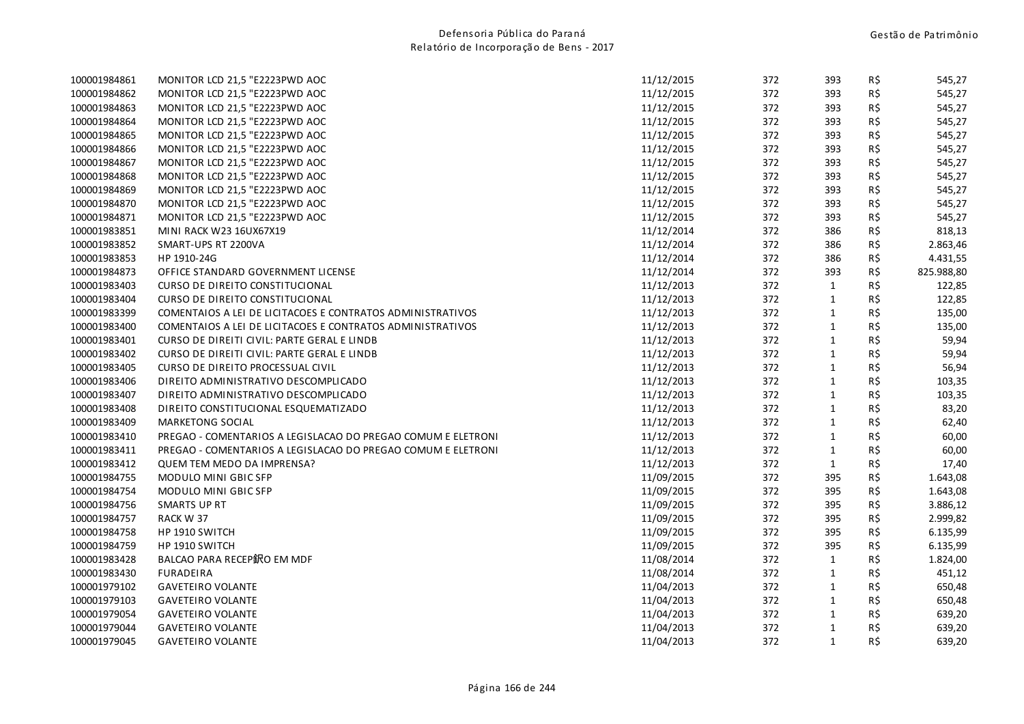| 100001984861 | MONITOR LCD 21,5 "E2223PWD AOC                               | 11/12/2015 | 372 | 393          | R\$ | 545,27     |
|--------------|--------------------------------------------------------------|------------|-----|--------------|-----|------------|
| 100001984862 | MONITOR LCD 21,5 "E2223PWD AOC                               | 11/12/2015 | 372 | 393          | R\$ | 545,27     |
| 100001984863 | MONITOR LCD 21,5 "E2223PWD AOC                               | 11/12/2015 | 372 | 393          | R\$ | 545,27     |
| 100001984864 | MONITOR LCD 21,5 "E2223PWD AOC                               | 11/12/2015 | 372 | 393          | R\$ | 545,27     |
| 100001984865 | MONITOR LCD 21,5 "E2223PWD AOC                               | 11/12/2015 | 372 | 393          | R\$ | 545,27     |
| 100001984866 | MONITOR LCD 21,5 "E2223PWD AOC                               | 11/12/2015 | 372 | 393          | R\$ | 545,27     |
| 100001984867 | MONITOR LCD 21,5 "E2223PWD AOC                               | 11/12/2015 | 372 | 393          | R\$ | 545,27     |
| 100001984868 | MONITOR LCD 21,5 "E2223PWD AOC                               | 11/12/2015 | 372 | 393          | R\$ | 545,27     |
| 100001984869 | MONITOR LCD 21,5 "E2223PWD AOC                               | 11/12/2015 | 372 | 393          | R\$ | 545,27     |
| 100001984870 | MONITOR LCD 21,5 "E2223PWD AOC                               | 11/12/2015 | 372 | 393          | R\$ | 545,27     |
| 100001984871 | MONITOR LCD 21,5 "E2223PWD AOC                               | 11/12/2015 | 372 | 393          | R\$ | 545,27     |
| 100001983851 | MINI RACK W23 16UX67X19                                      | 11/12/2014 | 372 | 386          | R\$ | 818,13     |
| 100001983852 | SMART-UPS RT 2200VA                                          | 11/12/2014 | 372 | 386          | R\$ | 2.863,46   |
| 100001983853 | HP 1910-24G                                                  | 11/12/2014 | 372 | 386          | R\$ | 4.431,55   |
| 100001984873 | OFFICE STANDARD GOVERNMENT LICENSE                           | 11/12/2014 | 372 | 393          | R\$ | 825.988,80 |
| 100001983403 | <b>CURSO DE DIREITO CONSTITUCIONAL</b>                       | 11/12/2013 | 372 | $\mathbf{1}$ | R\$ | 122,85     |
| 100001983404 | CURSO DE DIREITO CONSTITUCIONAL                              | 11/12/2013 | 372 | $\mathbf{1}$ | R\$ | 122,85     |
| 100001983399 | COMENTAIOS A LEI DE LICITACOES E CONTRATOS ADMINISTRATIVOS   | 11/12/2013 | 372 | $\mathbf{1}$ | R\$ | 135,00     |
| 100001983400 | COMENTAIOS A LEI DE LICITACOES E CONTRATOS ADMINISTRATIVOS   | 11/12/2013 | 372 | $\mathbf{1}$ | R\$ | 135,00     |
| 100001983401 | CURSO DE DIREITI CIVIL: PARTE GERAL E LINDB                  | 11/12/2013 | 372 | $\mathbf 1$  | R\$ | 59,94      |
| 100001983402 | CURSO DE DIREITI CIVIL: PARTE GERAL E LINDB                  | 11/12/2013 | 372 | $\mathbf{1}$ | R\$ | 59,94      |
| 100001983405 | <b>CURSO DE DIREITO PROCESSUAL CIVIL</b>                     | 11/12/2013 | 372 | $\mathbf{1}$ | R\$ | 56,94      |
| 100001983406 | DIREITO ADMINISTRATIVO DESCOMPLICADO                         | 11/12/2013 | 372 | $\mathbf{1}$ | R\$ | 103,35     |
| 100001983407 | DIREITO ADMINISTRATIVO DESCOMPLICADO                         | 11/12/2013 | 372 | $\mathbf{1}$ | R\$ | 103,35     |
| 100001983408 | DIREITO CONSTITUCIONAL ESQUEMATIZADO                         | 11/12/2013 | 372 | $\mathbf{1}$ | R\$ | 83,20      |
| 100001983409 | MARKETONG SOCIAL                                             | 11/12/2013 | 372 | $\mathbf{1}$ | R\$ | 62,40      |
| 100001983410 | PREGAO - COMENTARIOS A LEGISLACAO DO PREGAO COMUM E ELETRONI | 11/12/2013 | 372 | $\mathbf{1}$ | R\$ | 60,00      |
| 100001983411 | PREGAO - COMENTARIOS A LEGISLACAO DO PREGAO COMUM E ELETRONI | 11/12/2013 | 372 | $\mathbf{1}$ | R\$ | 60,00      |
| 100001983412 | <b>QUEM TEM MEDO DA IMPRENSA?</b>                            | 11/12/2013 | 372 | $\mathbf{1}$ | R\$ | 17,40      |
| 100001984755 | MODULO MINI GBIC SFP                                         | 11/09/2015 | 372 | 395          | R\$ | 1.643,08   |
| 100001984754 | MODULO MINI GBIC SFP                                         | 11/09/2015 | 372 | 395          | R\$ | 1.643,08   |
| 100001984756 | <b>SMARTS UP RT</b>                                          | 11/09/2015 | 372 | 395          | R\$ | 3.886,12   |
| 100001984757 | RACK W 37                                                    | 11/09/2015 | 372 | 395          | R\$ | 2.999,82   |
| 100001984758 | HP 1910 SWITCH                                               | 11/09/2015 | 372 | 395          | R\$ | 6.135,99   |
| 100001984759 | HP 1910 SWITCH                                               | 11/09/2015 | 372 | 395          | R\$ | 6.135,99   |
| 100001983428 | BALCAO PARA RECEP鈬O EM MDF                                   | 11/08/2014 | 372 | $\mathbf{1}$ | R\$ | 1.824,00   |
| 100001983430 | <b>FURADEIRA</b>                                             | 11/08/2014 | 372 | $\mathbf{1}$ | R\$ | 451,12     |
| 100001979102 | <b>GAVETEIRO VOLANTE</b>                                     | 11/04/2013 | 372 | $\mathbf{1}$ | R\$ | 650,48     |
| 100001979103 | <b>GAVETEIRO VOLANTE</b>                                     | 11/04/2013 | 372 | $\mathbf{1}$ | R\$ | 650,48     |
| 100001979054 | <b>GAVETEIRO VOLANTE</b>                                     | 11/04/2013 | 372 | $\mathbf{1}$ | R\$ | 639,20     |
| 100001979044 | <b>GAVETEIRO VOLANTE</b>                                     | 11/04/2013 | 372 | $\mathbf{1}$ | R\$ | 639,20     |
| 100001979045 | <b>GAVETEIRO VOLANTE</b>                                     | 11/04/2013 | 372 | $\mathbf{1}$ | R\$ | 639,20     |
|              |                                                              |            |     |              |     |            |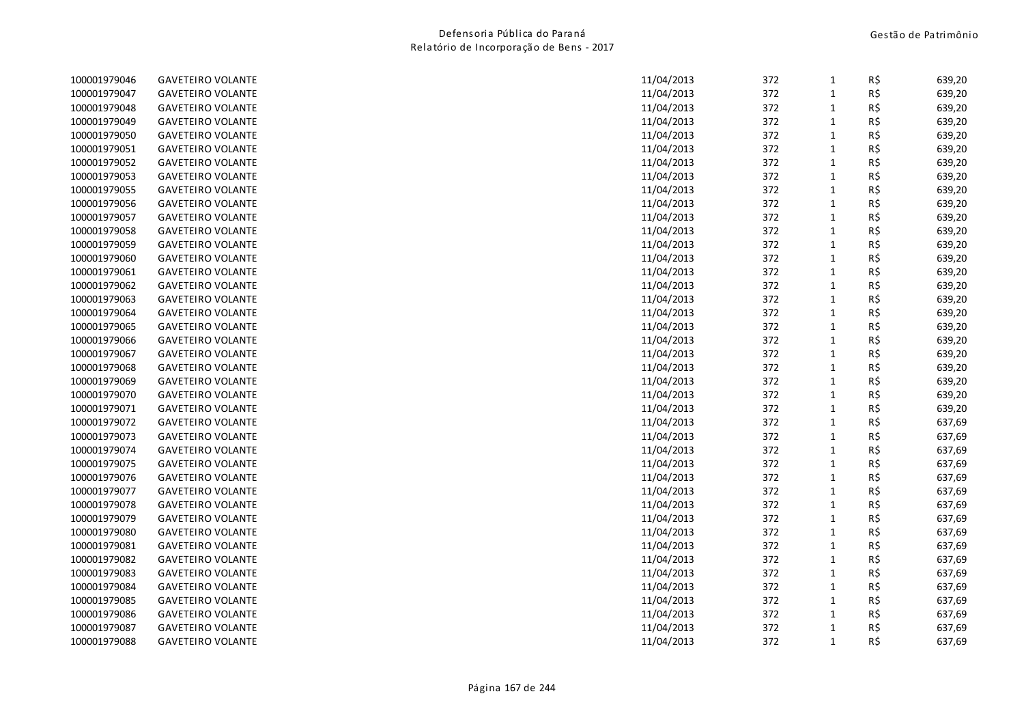| 100001979046 | <b>GAVETEIRO VOLANTE</b> | 11/04/2013 | 372 | 1            | R\$ | 639,20 |
|--------------|--------------------------|------------|-----|--------------|-----|--------|
| 100001979047 | <b>GAVETEIRO VOLANTE</b> | 11/04/2013 | 372 | $\mathbf{1}$ | R\$ | 639,20 |
| 100001979048 | <b>GAVETEIRO VOLANTE</b> | 11/04/2013 | 372 | $\mathbf{1}$ | R\$ | 639,20 |
| 100001979049 | <b>GAVETEIRO VOLANTE</b> | 11/04/2013 | 372 | $\mathbf{1}$ | R\$ | 639,20 |
| 100001979050 | <b>GAVETEIRO VOLANTE</b> | 11/04/2013 | 372 | $\mathbf{1}$ | R\$ | 639,20 |
| 100001979051 | <b>GAVETEIRO VOLANTE</b> | 11/04/2013 | 372 | $\mathbf{1}$ | R\$ | 639,20 |
| 100001979052 | <b>GAVETEIRO VOLANTE</b> | 11/04/2013 | 372 | $\mathbf{1}$ | R\$ | 639,20 |
| 100001979053 | <b>GAVETEIRO VOLANTE</b> | 11/04/2013 | 372 | $\mathbf{1}$ | R\$ | 639,20 |
| 100001979055 | <b>GAVETEIRO VOLANTE</b> | 11/04/2013 | 372 | $\mathbf{1}$ | R\$ | 639,20 |
| 100001979056 | <b>GAVETEIRO VOLANTE</b> | 11/04/2013 | 372 | $\mathbf{1}$ | R\$ | 639,20 |
| 100001979057 | <b>GAVETEIRO VOLANTE</b> | 11/04/2013 | 372 | $\mathbf{1}$ | R\$ | 639,20 |
| 100001979058 | <b>GAVETEIRO VOLANTE</b> | 11/04/2013 | 372 | $\mathbf{1}$ | R\$ | 639,20 |
| 100001979059 | <b>GAVETEIRO VOLANTE</b> | 11/04/2013 | 372 | $\mathbf{1}$ | R\$ | 639,20 |
| 100001979060 | <b>GAVETEIRO VOLANTE</b> | 11/04/2013 | 372 | $\mathbf{1}$ | R\$ | 639,20 |
| 100001979061 | <b>GAVETEIRO VOLANTE</b> | 11/04/2013 | 372 | $\mathbf{1}$ | R\$ | 639,20 |
| 100001979062 | <b>GAVETEIRO VOLANTE</b> | 11/04/2013 | 372 | $\mathbf{1}$ | R\$ | 639,20 |
| 100001979063 | <b>GAVETEIRO VOLANTE</b> | 11/04/2013 | 372 | $\mathbf{1}$ | R\$ | 639,20 |
| 100001979064 | <b>GAVETEIRO VOLANTE</b> | 11/04/2013 | 372 | $\mathbf{1}$ | R\$ | 639,20 |
| 100001979065 | <b>GAVETEIRO VOLANTE</b> | 11/04/2013 | 372 | $\mathbf{1}$ | R\$ | 639,20 |
| 100001979066 | <b>GAVETEIRO VOLANTE</b> | 11/04/2013 | 372 | $\mathbf{1}$ | R\$ | 639,20 |
| 100001979067 | <b>GAVETEIRO VOLANTE</b> | 11/04/2013 | 372 | 1            | R\$ | 639,20 |
| 100001979068 | <b>GAVETEIRO VOLANTE</b> | 11/04/2013 | 372 | $\mathbf{1}$ | R\$ | 639,20 |
| 100001979069 | <b>GAVETEIRO VOLANTE</b> | 11/04/2013 | 372 | $\mathbf{1}$ | R\$ | 639,20 |
| 100001979070 | <b>GAVETEIRO VOLANTE</b> | 11/04/2013 | 372 | $\mathbf{1}$ | R\$ | 639,20 |
| 100001979071 | <b>GAVETEIRO VOLANTE</b> | 11/04/2013 | 372 | $\mathbf{1}$ | R\$ | 639,20 |
| 100001979072 | <b>GAVETEIRO VOLANTE</b> | 11/04/2013 | 372 | $\mathbf{1}$ | R\$ | 637,69 |
| 100001979073 | <b>GAVETEIRO VOLANTE</b> | 11/04/2013 | 372 | $\mathbf{1}$ | R\$ | 637,69 |
| 100001979074 | <b>GAVETEIRO VOLANTE</b> | 11/04/2013 | 372 | $\mathbf{1}$ | R\$ | 637,69 |
| 100001979075 | <b>GAVETEIRO VOLANTE</b> | 11/04/2013 | 372 | $\mathbf{1}$ | R\$ | 637,69 |
| 100001979076 | <b>GAVETEIRO VOLANTE</b> | 11/04/2013 | 372 | $\mathbf{1}$ | R\$ | 637,69 |
| 100001979077 | <b>GAVETEIRO VOLANTE</b> | 11/04/2013 | 372 | $\mathbf{1}$ | R\$ | 637,69 |
| 100001979078 | <b>GAVETEIRO VOLANTE</b> | 11/04/2013 | 372 | $\mathbf 1$  | R\$ | 637,69 |
| 100001979079 | <b>GAVETEIRO VOLANTE</b> | 11/04/2013 | 372 | $\mathbf{1}$ | R\$ | 637,69 |
| 100001979080 | <b>GAVETEIRO VOLANTE</b> | 11/04/2013 | 372 | $\mathbf{1}$ | R\$ | 637,69 |
| 100001979081 | <b>GAVETEIRO VOLANTE</b> | 11/04/2013 | 372 | $\mathbf{1}$ | R\$ | 637,69 |
| 100001979082 | <b>GAVETEIRO VOLANTE</b> | 11/04/2013 | 372 | $\mathbf{1}$ | R\$ | 637,69 |
| 100001979083 | <b>GAVETEIRO VOLANTE</b> | 11/04/2013 | 372 | $\mathbf{1}$ | R\$ | 637,69 |
| 100001979084 | <b>GAVETEIRO VOLANTE</b> | 11/04/2013 | 372 | $\mathbf{1}$ | R\$ | 637,69 |
| 100001979085 | <b>GAVETEIRO VOLANTE</b> | 11/04/2013 | 372 | $\mathbf{1}$ | R\$ | 637,69 |
| 100001979086 | <b>GAVETEIRO VOLANTE</b> | 11/04/2013 | 372 | $\mathbf{1}$ | R\$ | 637,69 |
| 100001979087 | <b>GAVETEIRO VOLANTE</b> | 11/04/2013 | 372 | $\mathbf{1}$ | R\$ | 637,69 |
| 100001979088 | <b>GAVETEIRO VOLANTE</b> | 11/04/2013 | 372 | $\mathbf{1}$ | R\$ | 637,69 |
|              |                          |            |     |              |     |        |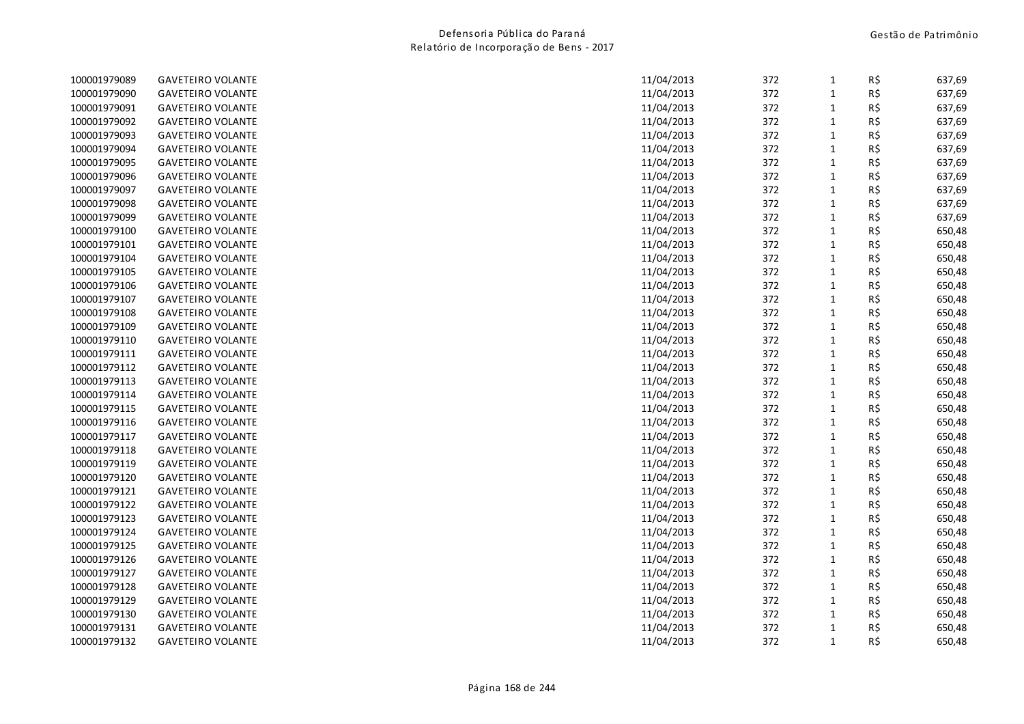| 100001979089 | <b>GAVETEIRO VOLANTE</b> | 11/04/2013 | 372 | $\mathbf{1}$ | R\$ | 637,69 |
|--------------|--------------------------|------------|-----|--------------|-----|--------|
| 100001979090 | <b>GAVETEIRO VOLANTE</b> | 11/04/2013 | 372 | $\mathbf{1}$ | R\$ | 637,69 |
| 100001979091 | <b>GAVETEIRO VOLANTE</b> | 11/04/2013 | 372 | $\mathbf{1}$ | R\$ | 637,69 |
| 100001979092 | <b>GAVETEIRO VOLANTE</b> | 11/04/2013 | 372 | $\mathbf{1}$ | R\$ | 637,69 |
| 100001979093 | <b>GAVETEIRO VOLANTE</b> | 11/04/2013 | 372 | $\mathbf{1}$ | R\$ | 637,69 |
| 100001979094 | <b>GAVETEIRO VOLANTE</b> | 11/04/2013 | 372 | $\mathbf{1}$ | R\$ | 637,69 |
| 100001979095 | <b>GAVETEIRO VOLANTE</b> | 11/04/2013 | 372 | $\mathbf{1}$ | R\$ | 637,69 |
| 100001979096 | <b>GAVETEIRO VOLANTE</b> | 11/04/2013 | 372 | $\mathbf{1}$ | R\$ | 637,69 |
| 100001979097 | <b>GAVETEIRO VOLANTE</b> | 11/04/2013 | 372 | $\mathbf{1}$ | R\$ | 637,69 |
| 100001979098 | <b>GAVETEIRO VOLANTE</b> | 11/04/2013 | 372 | $\mathbf{1}$ | R\$ | 637,69 |
| 100001979099 | <b>GAVETEIRO VOLANTE</b> | 11/04/2013 | 372 | $\mathbf{1}$ | R\$ | 637,69 |
| 100001979100 | <b>GAVETEIRO VOLANTE</b> | 11/04/2013 | 372 | $\mathbf{1}$ | R\$ | 650,48 |
| 100001979101 | <b>GAVETEIRO VOLANTE</b> | 11/04/2013 | 372 | $\mathbf{1}$ | R\$ | 650,48 |
| 100001979104 | <b>GAVETEIRO VOLANTE</b> | 11/04/2013 | 372 | $\mathbf{1}$ | R\$ | 650,48 |
| 100001979105 | <b>GAVETEIRO VOLANTE</b> | 11/04/2013 | 372 | $\mathbf{1}$ | R\$ | 650,48 |
| 100001979106 | <b>GAVETEIRO VOLANTE</b> | 11/04/2013 | 372 | $\mathbf{1}$ | R\$ | 650,48 |
| 100001979107 | <b>GAVETEIRO VOLANTE</b> | 11/04/2013 | 372 | $\mathbf{1}$ | R\$ | 650,48 |
| 100001979108 | <b>GAVETEIRO VOLANTE</b> | 11/04/2013 | 372 | $\mathbf{1}$ | R\$ | 650,48 |
| 100001979109 | <b>GAVETEIRO VOLANTE</b> | 11/04/2013 | 372 | $\mathbf{1}$ | R\$ | 650,48 |
| 100001979110 | <b>GAVETEIRO VOLANTE</b> | 11/04/2013 | 372 | $\mathbf{1}$ | R\$ | 650,48 |
| 100001979111 | <b>GAVETEIRO VOLANTE</b> | 11/04/2013 | 372 | $\mathbf{1}$ | R\$ | 650,48 |
| 100001979112 | <b>GAVETEIRO VOLANTE</b> | 11/04/2013 | 372 | $\mathbf{1}$ | R\$ | 650,48 |
| 100001979113 | <b>GAVETEIRO VOLANTE</b> | 11/04/2013 | 372 | $\mathbf{1}$ | R\$ | 650,48 |
| 100001979114 | <b>GAVETEIRO VOLANTE</b> | 11/04/2013 | 372 | $\mathbf{1}$ | R\$ | 650,48 |
| 100001979115 | <b>GAVETEIRO VOLANTE</b> | 11/04/2013 | 372 | $\mathbf{1}$ | R\$ | 650,48 |
| 100001979116 | <b>GAVETEIRO VOLANTE</b> | 11/04/2013 | 372 | $\mathbf{1}$ | R\$ | 650,48 |
| 100001979117 | <b>GAVETEIRO VOLANTE</b> | 11/04/2013 | 372 | $\mathbf 1$  | R\$ | 650,48 |
| 100001979118 | <b>GAVETEIRO VOLANTE</b> | 11/04/2013 | 372 | $\mathbf{1}$ | R\$ | 650,48 |
| 100001979119 | <b>GAVETEIRO VOLANTE</b> | 11/04/2013 | 372 | $\mathbf{1}$ | R\$ | 650,48 |
| 100001979120 | <b>GAVETEIRO VOLANTE</b> | 11/04/2013 | 372 | $\mathbf{1}$ | R\$ | 650,48 |
| 100001979121 | <b>GAVETEIRO VOLANTE</b> | 11/04/2013 | 372 | $\mathbf{1}$ | R\$ | 650,48 |
| 100001979122 | <b>GAVETEIRO VOLANTE</b> | 11/04/2013 | 372 | $\mathbf 1$  | R\$ | 650,48 |
| 100001979123 | <b>GAVETEIRO VOLANTE</b> | 11/04/2013 | 372 | $\mathbf{1}$ | R\$ | 650,48 |
| 100001979124 | <b>GAVETEIRO VOLANTE</b> | 11/04/2013 | 372 | $\mathbf{1}$ | R\$ | 650,48 |
| 100001979125 | <b>GAVETEIRO VOLANTE</b> | 11/04/2013 | 372 | $\mathbf{1}$ | R\$ | 650,48 |
| 100001979126 | <b>GAVETEIRO VOLANTE</b> | 11/04/2013 | 372 | $\mathbf{1}$ | R\$ | 650,48 |
| 100001979127 | <b>GAVETEIRO VOLANTE</b> | 11/04/2013 | 372 | $\mathbf{1}$ | R\$ | 650,48 |
| 100001979128 | <b>GAVETEIRO VOLANTE</b> | 11/04/2013 | 372 | $\mathbf{1}$ | R\$ | 650,48 |
| 100001979129 | <b>GAVETEIRO VOLANTE</b> | 11/04/2013 | 372 | $\mathbf{1}$ | R\$ | 650,48 |
| 100001979130 | <b>GAVETEIRO VOLANTE</b> | 11/04/2013 | 372 | $\mathbf{1}$ | R\$ | 650,48 |
| 100001979131 | <b>GAVETEIRO VOLANTE</b> | 11/04/2013 | 372 | $\mathbf{1}$ | R\$ | 650,48 |
| 100001979132 | <b>GAVETEIRO VOLANTE</b> | 11/04/2013 | 372 | $\mathbf{1}$ | R\$ | 650,48 |
|              |                          |            |     |              |     |        |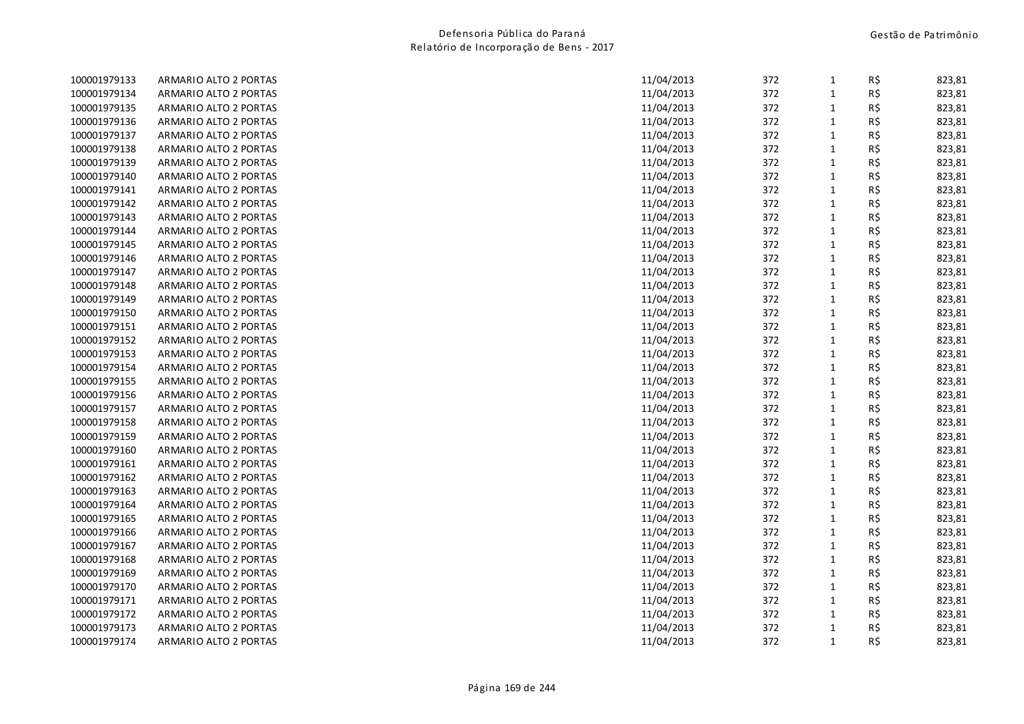| 100001979133 | ARMARIO ALTO 2 PORTAS | 11/04/2013 | 372 | $\mathbf{1}$ | R\$ | 823,81 |
|--------------|-----------------------|------------|-----|--------------|-----|--------|
| 100001979134 | ARMARIO ALTO 2 PORTAS | 11/04/2013 | 372 | $\mathbf 1$  | R\$ | 823,81 |
| 100001979135 | ARMARIO ALTO 2 PORTAS | 11/04/2013 | 372 | $\mathbf{1}$ | R\$ | 823,81 |
| 100001979136 | ARMARIO ALTO 2 PORTAS | 11/04/2013 | 372 | $\mathbf 1$  | R\$ | 823,81 |
| 100001979137 | ARMARIO ALTO 2 PORTAS | 11/04/2013 | 372 | $\mathbf{1}$ | R\$ | 823,81 |
| 100001979138 | ARMARIO ALTO 2 PORTAS | 11/04/2013 | 372 | $\mathbf 1$  | R\$ | 823,81 |
| 100001979139 | ARMARIO ALTO 2 PORTAS | 11/04/2013 | 372 | $\mathbf 1$  | R\$ | 823,81 |
| 100001979140 | ARMARIO ALTO 2 PORTAS | 11/04/2013 | 372 | $\mathbf 1$  | R\$ | 823,81 |
| 100001979141 | ARMARIO ALTO 2 PORTAS | 11/04/2013 | 372 | $\mathbf{1}$ | R\$ | 823,81 |
| 100001979142 | ARMARIO ALTO 2 PORTAS | 11/04/2013 | 372 | $\mathbf 1$  | R\$ | 823,81 |
| 100001979143 | ARMARIO ALTO 2 PORTAS | 11/04/2013 | 372 | $\mathbf 1$  | R\$ | 823,81 |
| 100001979144 | ARMARIO ALTO 2 PORTAS | 11/04/2013 | 372 | $\mathbf 1$  | R\$ | 823,81 |
| 100001979145 | ARMARIO ALTO 2 PORTAS | 11/04/2013 | 372 | $\mathbf{1}$ | R\$ | 823,81 |
| 100001979146 | ARMARIO ALTO 2 PORTAS | 11/04/2013 | 372 | $\mathbf{1}$ | R\$ | 823,81 |
| 100001979147 | ARMARIO ALTO 2 PORTAS | 11/04/2013 | 372 | $\mathbf 1$  | R\$ | 823,81 |
| 100001979148 | ARMARIO ALTO 2 PORTAS | 11/04/2013 | 372 | $\mathbf{1}$ | R\$ | 823,81 |
| 100001979149 | ARMARIO ALTO 2 PORTAS | 11/04/2013 | 372 | $\mathbf{1}$ | R\$ | 823,81 |
| 100001979150 | ARMARIO ALTO 2 PORTAS | 11/04/2013 | 372 | $\mathbf{1}$ | R\$ | 823,81 |
| 100001979151 | ARMARIO ALTO 2 PORTAS | 11/04/2013 | 372 | $\mathbf 1$  | R\$ | 823,81 |
| 100001979152 | ARMARIO ALTO 2 PORTAS | 11/04/2013 | 372 | $\mathbf 1$  | R\$ | 823,81 |
| 100001979153 | ARMARIO ALTO 2 PORTAS | 11/04/2013 | 372 | $\mathbf{1}$ | R\$ | 823,81 |
| 100001979154 | ARMARIO ALTO 2 PORTAS | 11/04/2013 | 372 | $\mathbf{1}$ | R\$ | 823,81 |
| 100001979155 | ARMARIO ALTO 2 PORTAS | 11/04/2013 | 372 | $\mathbf 1$  | R\$ | 823,81 |
| 100001979156 | ARMARIO ALTO 2 PORTAS | 11/04/2013 | 372 | $\mathbf 1$  | R\$ | 823,81 |
| 100001979157 | ARMARIO ALTO 2 PORTAS | 11/04/2013 | 372 | $\mathbf 1$  | R\$ | 823,81 |
| 100001979158 | ARMARIO ALTO 2 PORTAS | 11/04/2013 | 372 | $\mathbf{1}$ | R\$ | 823,81 |
| 100001979159 | ARMARIO ALTO 2 PORTAS | 11/04/2013 | 372 | $\mathbf{1}$ | R\$ | 823,81 |
| 100001979160 | ARMARIO ALTO 2 PORTAS | 11/04/2013 | 372 | $\mathbf 1$  | R\$ | 823,81 |
| 100001979161 | ARMARIO ALTO 2 PORTAS | 11/04/2013 | 372 | $\mathbf 1$  | R\$ | 823,81 |
| 100001979162 | ARMARIO ALTO 2 PORTAS | 11/04/2013 | 372 | $\mathbf{1}$ | R\$ | 823,81 |
| 100001979163 | ARMARIO ALTO 2 PORTAS | 11/04/2013 | 372 | $\mathbf{1}$ | R\$ | 823,81 |
| 100001979164 | ARMARIO ALTO 2 PORTAS | 11/04/2013 | 372 | $\mathbf 1$  | R\$ | 823,81 |
| 100001979165 | ARMARIO ALTO 2 PORTAS | 11/04/2013 | 372 | $\mathbf{1}$ | R\$ | 823,81 |
| 100001979166 | ARMARIO ALTO 2 PORTAS | 11/04/2013 | 372 | $\mathbf{1}$ | R\$ | 823,81 |
| 100001979167 | ARMARIO ALTO 2 PORTAS | 11/04/2013 | 372 | $\mathbf{1}$ | R\$ | 823,81 |
| 100001979168 | ARMARIO ALTO 2 PORTAS | 11/04/2013 | 372 | $\mathbf 1$  | R\$ | 823,81 |
| 100001979169 | ARMARIO ALTO 2 PORTAS | 11/04/2013 | 372 | $\mathbf 1$  | R\$ | 823,81 |
| 100001979170 | ARMARIO ALTO 2 PORTAS | 11/04/2013 | 372 | $\mathbf 1$  | R\$ | 823,81 |
| 100001979171 | ARMARIO ALTO 2 PORTAS | 11/04/2013 | 372 | $\mathbf{1}$ | R\$ | 823,81 |
| 100001979172 | ARMARIO ALTO 2 PORTAS | 11/04/2013 | 372 | $\mathbf{1}$ | R\$ | 823,81 |
| 100001979173 | ARMARIO ALTO 2 PORTAS | 11/04/2013 | 372 | $\mathbf{1}$ | R\$ | 823,81 |
| 100001979174 | ARMARIO ALTO 2 PORTAS | 11/04/2013 | 372 | $\mathbf{1}$ | R\$ | 823,81 |
|              |                       |            |     |              |     |        |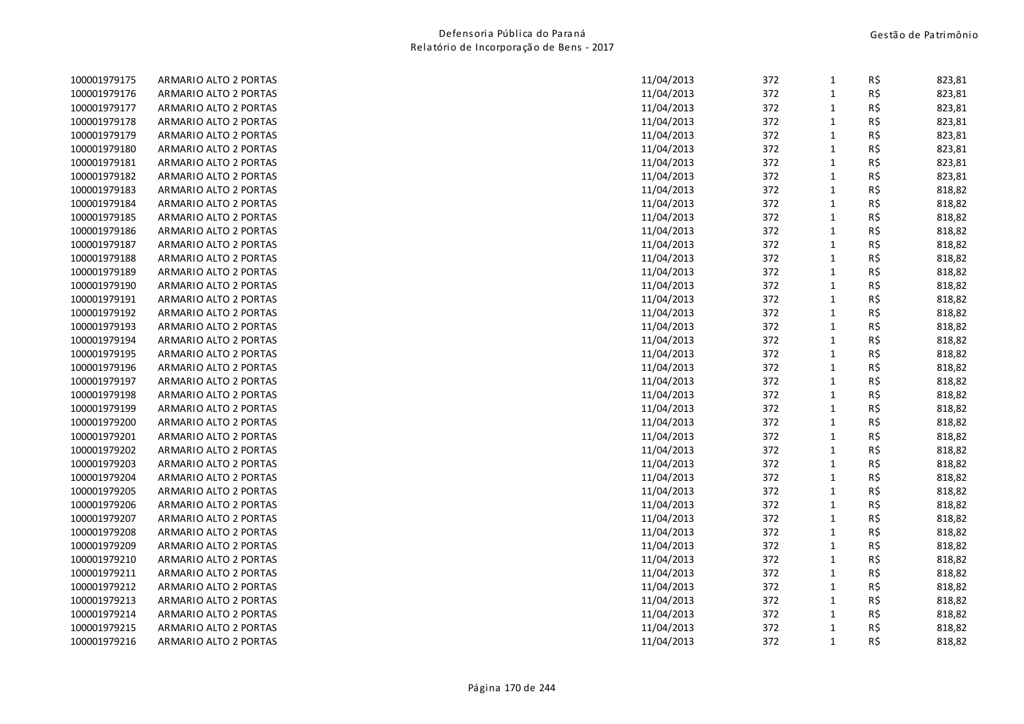| 100001979175 | ARMARIO ALTO 2 PORTAS | 11/04/2013 | 372 | 1            | R\$ | 823,81 |
|--------------|-----------------------|------------|-----|--------------|-----|--------|
| 100001979176 | ARMARIO ALTO 2 PORTAS | 11/04/2013 | 372 | $\mathbf{1}$ | R\$ | 823,81 |
| 100001979177 | ARMARIO ALTO 2 PORTAS | 11/04/2013 | 372 | $\mathbf{1}$ | R\$ | 823,81 |
| 100001979178 | ARMARIO ALTO 2 PORTAS | 11/04/2013 | 372 | $\mathbf{1}$ | R\$ | 823,81 |
| 100001979179 | ARMARIO ALTO 2 PORTAS | 11/04/2013 | 372 | $\mathbf{1}$ | R\$ | 823,81 |
| 100001979180 | ARMARIO ALTO 2 PORTAS | 11/04/2013 | 372 | $\mathbf{1}$ | R\$ | 823,81 |
| 100001979181 | ARMARIO ALTO 2 PORTAS | 11/04/2013 | 372 | $\mathbf 1$  | R\$ | 823,81 |
| 100001979182 | ARMARIO ALTO 2 PORTAS | 11/04/2013 | 372 | $\mathbf{1}$ | R\$ | 823,81 |
| 100001979183 | ARMARIO ALTO 2 PORTAS | 11/04/2013 | 372 | $\mathbf{1}$ | R\$ | 818,82 |
| 100001979184 | ARMARIO ALTO 2 PORTAS | 11/04/2013 | 372 | $\mathbf{1}$ | R\$ | 818,82 |
| 100001979185 | ARMARIO ALTO 2 PORTAS | 11/04/2013 | 372 | $\mathbf 1$  | R\$ | 818,82 |
| 100001979186 | ARMARIO ALTO 2 PORTAS | 11/04/2013 | 372 | $\mathbf 1$  | R\$ | 818,82 |
| 100001979187 | ARMARIO ALTO 2 PORTAS | 11/04/2013 | 372 | $\mathbf{1}$ | R\$ | 818,82 |
| 100001979188 | ARMARIO ALTO 2 PORTAS | 11/04/2013 | 372 | $\mathbf{1}$ | R\$ | 818,82 |
| 100001979189 | ARMARIO ALTO 2 PORTAS | 11/04/2013 | 372 | $\mathbf{1}$ | R\$ | 818,82 |
| 100001979190 | ARMARIO ALTO 2 PORTAS | 11/04/2013 | 372 | $\mathbf{1}$ | R\$ | 818,82 |
| 100001979191 | ARMARIO ALTO 2 PORTAS | 11/04/2013 | 372 | $\mathbf{1}$ | R\$ | 818,82 |
| 100001979192 | ARMARIO ALTO 2 PORTAS | 11/04/2013 | 372 | $\mathbf{1}$ | R\$ | 818,82 |
| 100001979193 | ARMARIO ALTO 2 PORTAS | 11/04/2013 | 372 | $\mathbf{1}$ | R\$ | 818,82 |
| 100001979194 | ARMARIO ALTO 2 PORTAS | 11/04/2013 | 372 | $\mathbf 1$  | R\$ | 818,82 |
| 100001979195 | ARMARIO ALTO 2 PORTAS | 11/04/2013 | 372 | $\mathbf 1$  | R\$ | 818,82 |
| 100001979196 | ARMARIO ALTO 2 PORTAS | 11/04/2013 | 372 | $\mathbf{1}$ | R\$ | 818,82 |
| 100001979197 | ARMARIO ALTO 2 PORTAS | 11/04/2013 | 372 | $\mathbf{1}$ | R\$ | 818,82 |
| 100001979198 | ARMARIO ALTO 2 PORTAS | 11/04/2013 | 372 | $\mathbf 1$  | R\$ | 818,82 |
| 100001979199 | ARMARIO ALTO 2 PORTAS | 11/04/2013 | 372 | $\mathbf{1}$ | R\$ | 818,82 |
| 100001979200 | ARMARIO ALTO 2 PORTAS | 11/04/2013 | 372 | $\mathbf{1}$ | R\$ | 818,82 |
| 100001979201 | ARMARIO ALTO 2 PORTAS | 11/04/2013 | 372 | $\mathbf{1}$ | R\$ | 818,82 |
| 100001979202 | ARMARIO ALTO 2 PORTAS | 11/04/2013 | 372 | $\mathbf{1}$ | R\$ | 818,82 |
| 100001979203 | ARMARIO ALTO 2 PORTAS | 11/04/2013 | 372 | $\mathbf{1}$ | R\$ | 818,82 |
| 100001979204 | ARMARIO ALTO 2 PORTAS | 11/04/2013 | 372 | $\mathbf 1$  | R\$ | 818,82 |
| 100001979205 | ARMARIO ALTO 2 PORTAS | 11/04/2013 | 372 | $\mathbf{1}$ | R\$ | 818,82 |
| 100001979206 | ARMARIO ALTO 2 PORTAS | 11/04/2013 | 372 | $\mathbf{1}$ | R\$ | 818,82 |
| 100001979207 | ARMARIO ALTO 2 PORTAS | 11/04/2013 | 372 | $\mathbf{1}$ | R\$ | 818,82 |
| 100001979208 | ARMARIO ALTO 2 PORTAS | 11/04/2013 | 372 | $\mathbf 1$  | R\$ | 818,82 |
| 100001979209 | ARMARIO ALTO 2 PORTAS | 11/04/2013 | 372 | $\mathbf{1}$ | R\$ | 818,82 |
| 100001979210 | ARMARIO ALTO 2 PORTAS | 11/04/2013 | 372 | $\mathbf{1}$ | R\$ | 818,82 |
| 100001979211 | ARMARIO ALTO 2 PORTAS | 11/04/2013 | 372 | $\mathbf 1$  | R\$ | 818,82 |
| 100001979212 | ARMARIO ALTO 2 PORTAS | 11/04/2013 | 372 | $\mathbf{1}$ | R\$ | 818,82 |
| 100001979213 | ARMARIO ALTO 2 PORTAS | 11/04/2013 | 372 | $\mathbf{1}$ | R\$ | 818,82 |
| 100001979214 | ARMARIO ALTO 2 PORTAS | 11/04/2013 | 372 | $\mathbf{1}$ | R\$ | 818,82 |
| 100001979215 | ARMARIO ALTO 2 PORTAS | 11/04/2013 | 372 | $\mathbf{1}$ | R\$ | 818,82 |
| 100001979216 | ARMARIO ALTO 2 PORTAS | 11/04/2013 | 372 | $\mathbf{1}$ | R\$ | 818,82 |
|              |                       |            |     |              |     |        |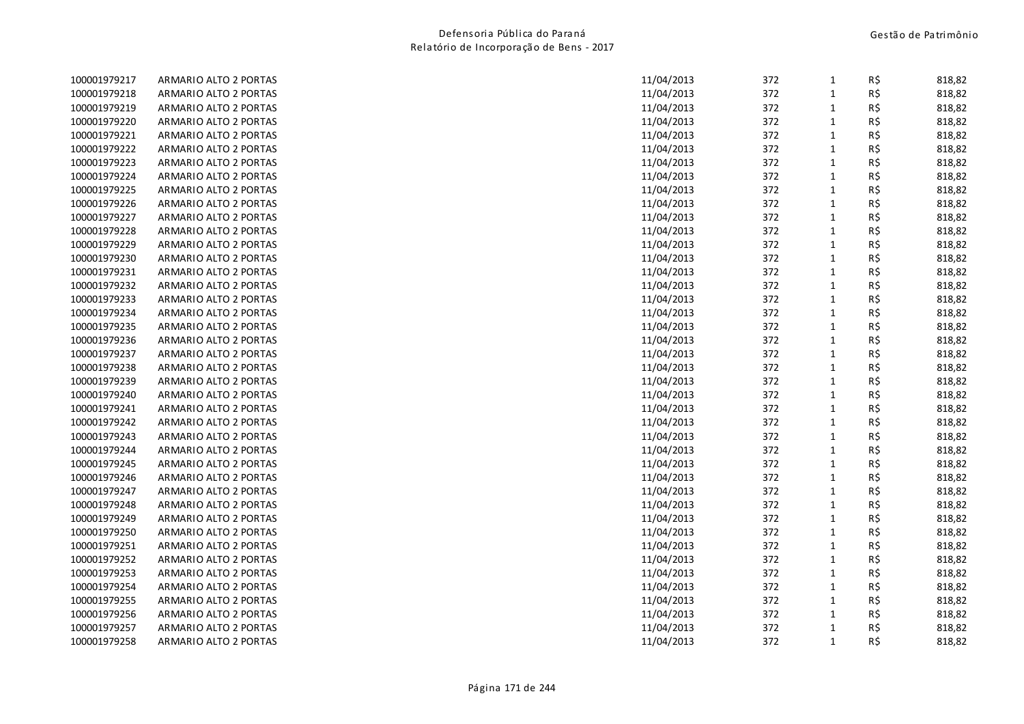| 100001979217 | ARMARIO ALTO 2 PORTAS | 11/04/2013 | 372 | $\mathbf{1}$ | R\$ | 818,82 |
|--------------|-----------------------|------------|-----|--------------|-----|--------|
| 100001979218 | ARMARIO ALTO 2 PORTAS | 11/04/2013 | 372 | $\mathbf 1$  | R\$ | 818,82 |
| 100001979219 | ARMARIO ALTO 2 PORTAS | 11/04/2013 | 372 | $\mathbf 1$  | R\$ | 818,82 |
| 100001979220 | ARMARIO ALTO 2 PORTAS | 11/04/2013 | 372 | $\mathbf{1}$ | R\$ | 818,82 |
| 100001979221 | ARMARIO ALTO 2 PORTAS | 11/04/2013 | 372 | $\mathbf{1}$ | R\$ | 818,82 |
| 100001979222 | ARMARIO ALTO 2 PORTAS | 11/04/2013 | 372 | $\mathbf{1}$ | R\$ | 818,82 |
| 100001979223 | ARMARIO ALTO 2 PORTAS | 11/04/2013 | 372 | $\mathbf 1$  | R\$ | 818,82 |
| 100001979224 | ARMARIO ALTO 2 PORTAS | 11/04/2013 | 372 | $\mathbf{1}$ | R\$ | 818,82 |
| 100001979225 | ARMARIO ALTO 2 PORTAS | 11/04/2013 | 372 | $\mathbf{1}$ | R\$ | 818,82 |
| 100001979226 | ARMARIO ALTO 2 PORTAS | 11/04/2013 | 372 | $\mathbf 1$  | R\$ | 818,82 |
| 100001979227 | ARMARIO ALTO 2 PORTAS | 11/04/2013 | 372 | $\mathbf 1$  | R\$ | 818,82 |
| 100001979228 | ARMARIO ALTO 2 PORTAS | 11/04/2013 | 372 | $\mathbf 1$  | R\$ | 818,82 |
| 100001979229 | ARMARIO ALTO 2 PORTAS | 11/04/2013 | 372 | $\mathbf{1}$ | R\$ | 818,82 |
| 100001979230 | ARMARIO ALTO 2 PORTAS | 11/04/2013 | 372 | $\mathbf{1}$ | R\$ | 818,82 |
| 100001979231 | ARMARIO ALTO 2 PORTAS | 11/04/2013 | 372 | $\mathbf 1$  | R\$ | 818,82 |
| 100001979232 | ARMARIO ALTO 2 PORTAS | 11/04/2013 | 372 | $\mathbf{1}$ | R\$ | 818,82 |
| 100001979233 | ARMARIO ALTO 2 PORTAS | 11/04/2013 | 372 | $\mathbf{1}$ | R\$ | 818,82 |
| 100001979234 | ARMARIO ALTO 2 PORTAS | 11/04/2013 | 372 | $\mathbf{1}$ | R\$ | 818,82 |
| 100001979235 | ARMARIO ALTO 2 PORTAS | 11/04/2013 | 372 | $\mathbf 1$  | R\$ | 818,82 |
| 100001979236 | ARMARIO ALTO 2 PORTAS | 11/04/2013 | 372 | $\mathbf 1$  | R\$ | 818,82 |
| 100001979237 | ARMARIO ALTO 2 PORTAS | 11/04/2013 | 372 | $\mathbf 1$  | R\$ | 818,82 |
| 100001979238 | ARMARIO ALTO 2 PORTAS | 11/04/2013 | 372 | $\mathbf{1}$ | R\$ | 818,82 |
| 100001979239 | ARMARIO ALTO 2 PORTAS | 11/04/2013 | 372 | $\mathbf 1$  | R\$ | 818,82 |
| 100001979240 | ARMARIO ALTO 2 PORTAS | 11/04/2013 | 372 | $\mathbf 1$  | R\$ | 818,82 |
| 100001979241 | ARMARIO ALTO 2 PORTAS | 11/04/2013 | 372 | $\mathbf 1$  | R\$ | 818,82 |
| 100001979242 | ARMARIO ALTO 2 PORTAS | 11/04/2013 | 372 | $\mathbf{1}$ | R\$ | 818,82 |
| 100001979243 | ARMARIO ALTO 2 PORTAS | 11/04/2013 | 372 | $\mathbf{1}$ | R\$ | 818,82 |
| 100001979244 | ARMARIO ALTO 2 PORTAS | 11/04/2013 | 372 | $\mathbf 1$  | R\$ | 818,82 |
| 100001979245 | ARMARIO ALTO 2 PORTAS | 11/04/2013 | 372 | $\mathbf{1}$ | R\$ | 818,82 |
| 100001979246 | ARMARIO ALTO 2 PORTAS | 11/04/2013 | 372 | $\mathbf 1$  | R\$ | 818,82 |
| 100001979247 | ARMARIO ALTO 2 PORTAS | 11/04/2013 | 372 | $\mathbf{1}$ | R\$ | 818,82 |
| 100001979248 | ARMARIO ALTO 2 PORTAS | 11/04/2013 | 372 | $\mathbf{1}$ | R\$ | 818,82 |
| 100001979249 | ARMARIO ALTO 2 PORTAS | 11/04/2013 | 372 | $\mathbf{1}$ | R\$ | 818,82 |
| 100001979250 | ARMARIO ALTO 2 PORTAS | 11/04/2013 | 372 | $\mathbf 1$  | R\$ | 818,82 |
| 100001979251 | ARMARIO ALTO 2 PORTAS | 11/04/2013 | 372 | $\mathbf{1}$ | R\$ | 818,82 |
| 100001979252 | ARMARIO ALTO 2 PORTAS | 11/04/2013 | 372 | $\mathbf 1$  | R\$ | 818,82 |
| 100001979253 | ARMARIO ALTO 2 PORTAS | 11/04/2013 | 372 | $\mathbf 1$  | R\$ | 818,82 |
| 100001979254 | ARMARIO ALTO 2 PORTAS | 11/04/2013 | 372 | $\mathbf{1}$ | R\$ | 818,82 |
| 100001979255 | ARMARIO ALTO 2 PORTAS | 11/04/2013 | 372 | $\mathbf{1}$ | R\$ | 818,82 |
| 100001979256 | ARMARIO ALTO 2 PORTAS | 11/04/2013 | 372 | $\mathbf{1}$ | R\$ | 818,82 |
| 100001979257 | ARMARIO ALTO 2 PORTAS | 11/04/2013 | 372 | $\mathbf{1}$ | R\$ | 818,82 |
| 100001979258 | ARMARIO ALTO 2 PORTAS | 11/04/2013 | 372 | $\mathbf{1}$ | R\$ | 818,82 |
|              |                       |            |     |              |     |        |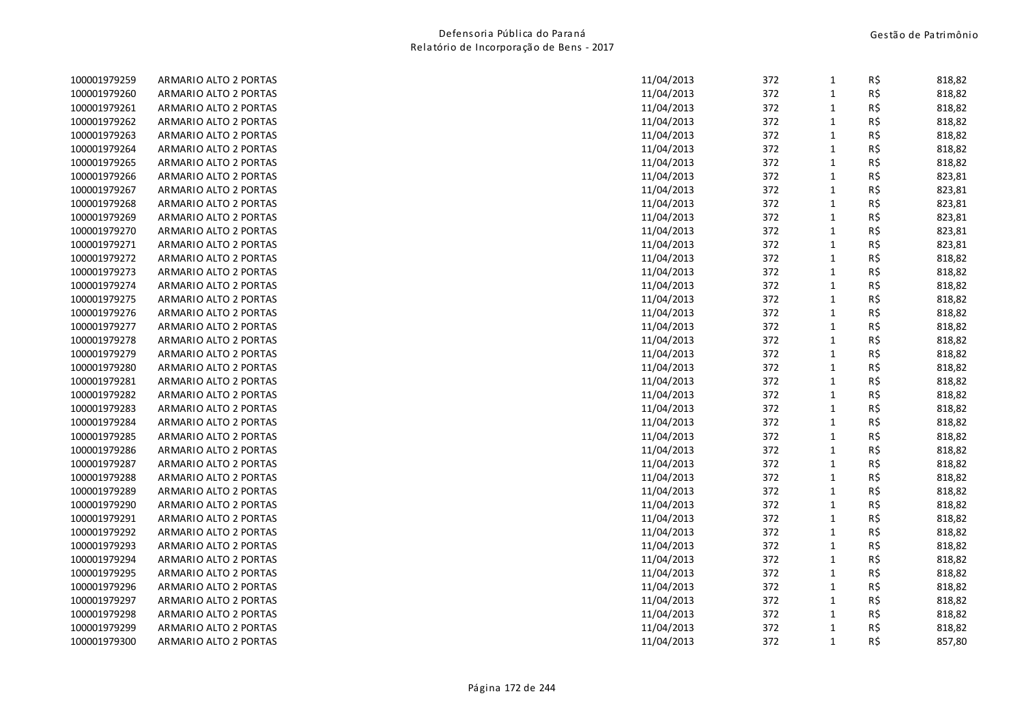| 100001979259 | ARMARIO ALTO 2 PORTAS | 11/04/2013 | 372 | $\mathbf{1}$ | R\$ | 818,82 |
|--------------|-----------------------|------------|-----|--------------|-----|--------|
| 100001979260 | ARMARIO ALTO 2 PORTAS | 11/04/2013 | 372 | $\mathbf 1$  | R\$ | 818,82 |
| 100001979261 | ARMARIO ALTO 2 PORTAS | 11/04/2013 | 372 | $\mathbf{1}$ | R\$ | 818,82 |
| 100001979262 | ARMARIO ALTO 2 PORTAS | 11/04/2013 | 372 | $\mathbf{1}$ | R\$ | 818,82 |
| 100001979263 | ARMARIO ALTO 2 PORTAS | 11/04/2013 | 372 | $\mathbf{1}$ | R\$ | 818,82 |
| 100001979264 | ARMARIO ALTO 2 PORTAS | 11/04/2013 | 372 | $\mathbf{1}$ | R\$ | 818,82 |
| 100001979265 | ARMARIO ALTO 2 PORTAS | 11/04/2013 | 372 | $\mathbf 1$  | R\$ | 818,82 |
| 100001979266 | ARMARIO ALTO 2 PORTAS | 11/04/2013 | 372 | $\mathbf{1}$ | R\$ | 823,81 |
| 100001979267 | ARMARIO ALTO 2 PORTAS | 11/04/2013 | 372 | $\mathbf{1}$ | R\$ | 823,81 |
| 100001979268 | ARMARIO ALTO 2 PORTAS | 11/04/2013 | 372 | $\mathbf 1$  | R\$ | 823,81 |
| 100001979269 | ARMARIO ALTO 2 PORTAS | 11/04/2013 | 372 | $\mathbf 1$  | R\$ | 823,81 |
| 100001979270 | ARMARIO ALTO 2 PORTAS | 11/04/2013 | 372 | $\mathbf 1$  | R\$ | 823,81 |
| 100001979271 | ARMARIO ALTO 2 PORTAS | 11/04/2013 | 372 | $\mathbf{1}$ | R\$ | 823,81 |
| 100001979272 | ARMARIO ALTO 2 PORTAS | 11/04/2013 | 372 | $\mathbf{1}$ | R\$ | 818,82 |
| 100001979273 | ARMARIO ALTO 2 PORTAS | 11/04/2013 | 372 | $\mathbf 1$  | R\$ | 818,82 |
| 100001979274 | ARMARIO ALTO 2 PORTAS | 11/04/2013 | 372 | $\mathbf{1}$ | R\$ | 818,82 |
| 100001979275 | ARMARIO ALTO 2 PORTAS | 11/04/2013 | 372 | $\mathbf{1}$ | R\$ | 818,82 |
| 100001979276 | ARMARIO ALTO 2 PORTAS | 11/04/2013 | 372 | $\mathbf{1}$ | R\$ | 818,82 |
| 100001979277 | ARMARIO ALTO 2 PORTAS | 11/04/2013 | 372 | $\mathbf 1$  | R\$ | 818,82 |
| 100001979278 | ARMARIO ALTO 2 PORTAS | 11/04/2013 | 372 | $\mathbf 1$  | R\$ | 818,82 |
| 100001979279 | ARMARIO ALTO 2 PORTAS | 11/04/2013 | 372 | $\mathbf 1$  | R\$ | 818,82 |
| 100001979280 | ARMARIO ALTO 2 PORTAS | 11/04/2013 | 372 | $\mathbf{1}$ | R\$ | 818,82 |
| 100001979281 | ARMARIO ALTO 2 PORTAS | 11/04/2013 | 372 | $\mathbf 1$  | R\$ | 818,82 |
| 100001979282 | ARMARIO ALTO 2 PORTAS | 11/04/2013 | 372 | $\mathbf 1$  | R\$ | 818,82 |
| 100001979283 | ARMARIO ALTO 2 PORTAS | 11/04/2013 | 372 | $\mathbf 1$  | R\$ | 818,82 |
| 100001979284 | ARMARIO ALTO 2 PORTAS | 11/04/2013 | 372 | $\mathbf{1}$ | R\$ | 818,82 |
| 100001979285 | ARMARIO ALTO 2 PORTAS | 11/04/2013 | 372 | $\mathbf{1}$ | R\$ | 818,82 |
| 100001979286 | ARMARIO ALTO 2 PORTAS | 11/04/2013 | 372 | $\mathbf 1$  | R\$ | 818,82 |
| 100001979287 | ARMARIO ALTO 2 PORTAS | 11/04/2013 | 372 | $\mathbf{1}$ | R\$ | 818,82 |
| 100001979288 | ARMARIO ALTO 2 PORTAS | 11/04/2013 | 372 | $\mathbf 1$  | R\$ | 818,82 |
| 100001979289 | ARMARIO ALTO 2 PORTAS | 11/04/2013 | 372 | $\mathbf{1}$ | R\$ | 818,82 |
| 100001979290 | ARMARIO ALTO 2 PORTAS | 11/04/2013 | 372 | $\mathbf{1}$ | R\$ | 818,82 |
| 100001979291 | ARMARIO ALTO 2 PORTAS | 11/04/2013 | 372 | $\mathbf{1}$ | R\$ | 818,82 |
| 100001979292 | ARMARIO ALTO 2 PORTAS | 11/04/2013 | 372 | $\mathbf 1$  | R\$ | 818,82 |
| 100001979293 | ARMARIO ALTO 2 PORTAS | 11/04/2013 | 372 | $\mathbf{1}$ | R\$ | 818,82 |
| 100001979294 | ARMARIO ALTO 2 PORTAS | 11/04/2013 | 372 | $\mathbf 1$  | R\$ | 818,82 |
| 100001979295 | ARMARIO ALTO 2 PORTAS | 11/04/2013 | 372 | $\mathbf 1$  | R\$ | 818,82 |
| 100001979296 | ARMARIO ALTO 2 PORTAS | 11/04/2013 | 372 | $\mathbf{1}$ | R\$ | 818,82 |
| 100001979297 | ARMARIO ALTO 2 PORTAS | 11/04/2013 | 372 | $\mathbf{1}$ | R\$ | 818,82 |
| 100001979298 | ARMARIO ALTO 2 PORTAS | 11/04/2013 | 372 | $\mathbf{1}$ | R\$ | 818,82 |
| 100001979299 | ARMARIO ALTO 2 PORTAS | 11/04/2013 | 372 | $\mathbf{1}$ | R\$ | 818,82 |
| 100001979300 | ARMARIO ALTO 2 PORTAS | 11/04/2013 | 372 | $\mathbf{1}$ | R\$ | 857,80 |
|              |                       |            |     |              |     |        |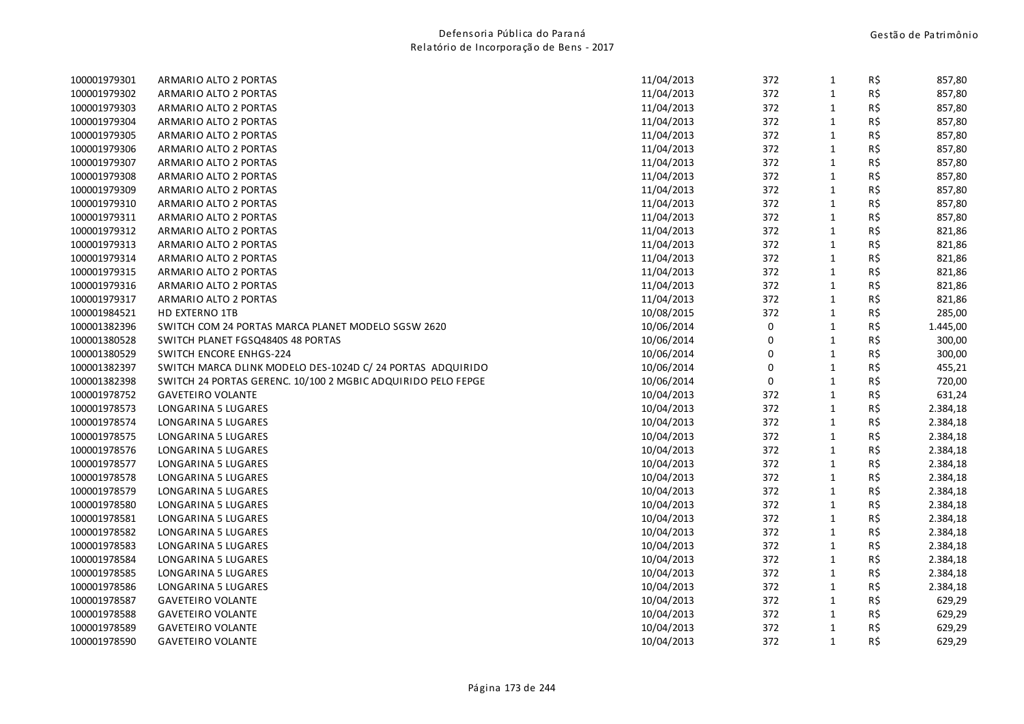| 100001979301 | ARMARIO ALTO 2 PORTAS                                        | 11/04/2013 | 372 | $\mathbf{1}$ | R\$ | 857,80   |
|--------------|--------------------------------------------------------------|------------|-----|--------------|-----|----------|
| 100001979302 | ARMARIO ALTO 2 PORTAS                                        | 11/04/2013 | 372 | $\mathbf{1}$ | R\$ | 857,80   |
| 100001979303 | ARMARIO ALTO 2 PORTAS                                        | 11/04/2013 | 372 | $\mathbf 1$  | R\$ | 857,80   |
| 100001979304 | ARMARIO ALTO 2 PORTAS                                        | 11/04/2013 | 372 | $\mathbf{1}$ | R\$ | 857,80   |
| 100001979305 | ARMARIO ALTO 2 PORTAS                                        | 11/04/2013 | 372 | $\mathbf{1}$ | R\$ | 857,80   |
| 100001979306 | ARMARIO ALTO 2 PORTAS                                        | 11/04/2013 | 372 | $\mathbf{1}$ | R\$ | 857,80   |
| 100001979307 | ARMARIO ALTO 2 PORTAS                                        | 11/04/2013 | 372 | $\mathbf{1}$ | R\$ | 857,80   |
| 100001979308 | ARMARIO ALTO 2 PORTAS                                        | 11/04/2013 | 372 | $\mathbf{1}$ | R\$ | 857,80   |
| 100001979309 | ARMARIO ALTO 2 PORTAS                                        | 11/04/2013 | 372 | $\mathbf{1}$ | R\$ | 857,80   |
| 100001979310 | ARMARIO ALTO 2 PORTAS                                        | 11/04/2013 | 372 | $\mathbf 1$  | R\$ | 857,80   |
| 100001979311 | ARMARIO ALTO 2 PORTAS                                        | 11/04/2013 | 372 | $\mathbf{1}$ | R\$ | 857,80   |
| 100001979312 | ARMARIO ALTO 2 PORTAS                                        | 11/04/2013 | 372 | $\mathbf{1}$ | R\$ | 821,86   |
| 100001979313 | ARMARIO ALTO 2 PORTAS                                        | 11/04/2013 | 372 | $\mathbf{1}$ | R\$ | 821,86   |
| 100001979314 | ARMARIO ALTO 2 PORTAS                                        | 11/04/2013 | 372 | $\mathbf{1}$ | R\$ | 821,86   |
| 100001979315 | ARMARIO ALTO 2 PORTAS                                        | 11/04/2013 | 372 | $\mathbf{1}$ | R\$ | 821,86   |
| 100001979316 | ARMARIO ALTO 2 PORTAS                                        | 11/04/2013 | 372 | $\mathbf{1}$ | R\$ | 821,86   |
| 100001979317 | ARMARIO ALTO 2 PORTAS                                        | 11/04/2013 | 372 | $\mathbf{1}$ | R\$ | 821,86   |
| 100001984521 | HD EXTERNO 1TB                                               | 10/08/2015 | 372 | $\mathbf{1}$ | R\$ | 285,00   |
| 100001382396 | SWITCH COM 24 PORTAS MARCA PLANET MODELO SGSW 2620           | 10/06/2014 | 0   | $\mathbf{1}$ | R\$ | 1.445,00 |
| 100001380528 | SWITCH PLANET FGSQ4840S 48 PORTAS                            | 10/06/2014 | 0   | $\mathbf{1}$ | R\$ | 300,00   |
| 100001380529 | SWITCH ENCORE ENHGS-224                                      | 10/06/2014 | 0   | $\mathbf{1}$ | R\$ | 300,00   |
| 100001382397 | SWITCH MARCA DLINK MODELO DES-1024D C/ 24 PORTAS ADQUIRIDO   | 10/06/2014 | 0   | $\mathbf{1}$ | R\$ | 455,21   |
| 100001382398 | SWITCH 24 PORTAS GERENC. 10/100 2 MGBIC ADQUIRIDO PELO FEPGE | 10/06/2014 | 0   | $\mathbf 1$  | R\$ | 720,00   |
| 100001978752 | <b>GAVETEIRO VOLANTE</b>                                     | 10/04/2013 | 372 | $\mathbf{1}$ | R\$ | 631,24   |
| 100001978573 | LONGARINA 5 LUGARES                                          | 10/04/2013 | 372 | $\mathbf{1}$ | R\$ | 2.384,18 |
| 100001978574 | LONGARINA 5 LUGARES                                          | 10/04/2013 | 372 | $\mathbf{1}$ | R\$ | 2.384,18 |
| 100001978575 | LONGARINA 5 LUGARES                                          | 10/04/2013 | 372 | $\mathbf{1}$ | R\$ | 2.384,18 |
| 100001978576 | LONGARINA 5 LUGARES                                          | 10/04/2013 | 372 | $\mathbf{1}$ | R\$ | 2.384,18 |
| 100001978577 | LONGARINA 5 LUGARES                                          | 10/04/2013 | 372 | $\mathbf{1}$ | R\$ | 2.384,18 |
| 100001978578 | LONGARINA 5 LUGARES                                          | 10/04/2013 | 372 | $\mathbf{1}$ | R\$ | 2.384,18 |
| 100001978579 | LONGARINA 5 LUGARES                                          | 10/04/2013 | 372 | $\mathbf{1}$ | R\$ | 2.384,18 |
| 100001978580 | LONGARINA 5 LUGARES                                          | 10/04/2013 | 372 | $\mathbf{1}$ | R\$ | 2.384,18 |
| 100001978581 | LONGARINA 5 LUGARES                                          | 10/04/2013 | 372 | $\mathbf 1$  | R\$ | 2.384,18 |
| 100001978582 | LONGARINA 5 LUGARES                                          | 10/04/2013 | 372 | $\mathbf{1}$ | R\$ | 2.384,18 |
| 100001978583 | LONGARINA 5 LUGARES                                          | 10/04/2013 | 372 | $\mathbf{1}$ | R\$ | 2.384,18 |
| 100001978584 | LONGARINA 5 LUGARES                                          | 10/04/2013 | 372 | $\mathbf{1}$ | R\$ | 2.384,18 |
| 100001978585 | LONGARINA 5 LUGARES                                          | 10/04/2013 | 372 | $\mathbf{1}$ | R\$ | 2.384,18 |
| 100001978586 | LONGARINA 5 LUGARES                                          | 10/04/2013 | 372 | $\mathbf{1}$ | R\$ | 2.384,18 |
| 100001978587 | <b>GAVETEIRO VOLANTE</b>                                     | 10/04/2013 | 372 | $\mathbf{1}$ | R\$ | 629,29   |
| 100001978588 | <b>GAVETEIRO VOLANTE</b>                                     | 10/04/2013 | 372 | $\mathbf{1}$ | R\$ | 629,29   |
| 100001978589 | <b>GAVETEIRO VOLANTE</b>                                     | 10/04/2013 | 372 | $\mathbf{1}$ | R\$ | 629,29   |
| 100001978590 | <b>GAVETEIRO VOLANTE</b>                                     | 10/04/2013 | 372 | $\mathbf{1}$ | R\$ | 629,29   |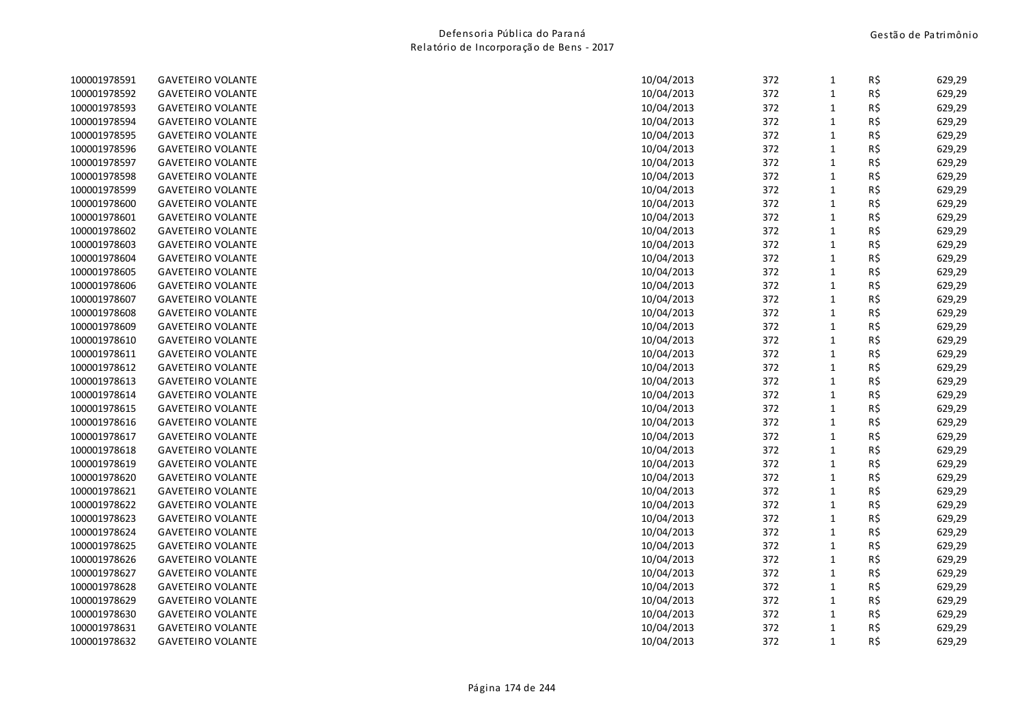| 100001978591 | <b>GAVETEIRO VOLANTE</b> | 10/04/2013 | 372 | $\mathbf{1}$ | R\$ | 629,29 |
|--------------|--------------------------|------------|-----|--------------|-----|--------|
| 100001978592 | <b>GAVETEIRO VOLANTE</b> | 10/04/2013 | 372 | $\mathbf{1}$ | R\$ | 629,29 |
| 100001978593 | <b>GAVETEIRO VOLANTE</b> | 10/04/2013 | 372 | $\mathbf{1}$ | R\$ | 629,29 |
| 100001978594 | <b>GAVETEIRO VOLANTE</b> | 10/04/2013 | 372 | $\mathbf{1}$ | R\$ | 629,29 |
| 100001978595 | <b>GAVETEIRO VOLANTE</b> | 10/04/2013 | 372 | $\mathbf{1}$ | R\$ | 629,29 |
| 100001978596 | <b>GAVETEIRO VOLANTE</b> | 10/04/2013 | 372 | $\mathbf{1}$ | R\$ | 629,29 |
| 100001978597 | <b>GAVETEIRO VOLANTE</b> | 10/04/2013 | 372 | $\mathbf{1}$ | R\$ | 629,29 |
| 100001978598 | <b>GAVETEIRO VOLANTE</b> | 10/04/2013 | 372 | $\mathbf{1}$ | R\$ | 629,29 |
| 100001978599 | <b>GAVETEIRO VOLANTE</b> | 10/04/2013 | 372 | $\mathbf 1$  | R\$ | 629,29 |
| 100001978600 | <b>GAVETEIRO VOLANTE</b> | 10/04/2013 | 372 | $\mathbf{1}$ | R\$ | 629,29 |
| 100001978601 | <b>GAVETEIRO VOLANTE</b> | 10/04/2013 | 372 | $\mathbf{1}$ | R\$ | 629,29 |
| 100001978602 | <b>GAVETEIRO VOLANTE</b> | 10/04/2013 | 372 | $\mathbf{1}$ | R\$ | 629,29 |
| 100001978603 | <b>GAVETEIRO VOLANTE</b> | 10/04/2013 | 372 | $\mathbf{1}$ | R\$ | 629,29 |
| 100001978604 | <b>GAVETEIRO VOLANTE</b> | 10/04/2013 | 372 | $\mathbf{1}$ | R\$ | 629,29 |
| 100001978605 | <b>GAVETEIRO VOLANTE</b> | 10/04/2013 | 372 | $1\,$        | R\$ | 629,29 |
| 100001978606 | <b>GAVETEIRO VOLANTE</b> | 10/04/2013 | 372 | $\mathbf{1}$ | R\$ | 629,29 |
| 100001978607 | <b>GAVETEIRO VOLANTE</b> | 10/04/2013 | 372 | $\mathbf{1}$ | R\$ | 629,29 |
| 100001978608 | <b>GAVETEIRO VOLANTE</b> | 10/04/2013 | 372 | $1\,$        | R\$ | 629,29 |
| 100001978609 | <b>GAVETEIRO VOLANTE</b> | 10/04/2013 | 372 | $\mathbf{1}$ | R\$ | 629,29 |
| 100001978610 | <b>GAVETEIRO VOLANTE</b> | 10/04/2013 | 372 | $1\,$        | R\$ | 629,29 |
| 100001978611 | <b>GAVETEIRO VOLANTE</b> | 10/04/2013 | 372 | $\mathbf{1}$ | R\$ | 629,29 |
| 100001978612 | <b>GAVETEIRO VOLANTE</b> | 10/04/2013 | 372 | $1\,$        | R\$ | 629,29 |
| 100001978613 | <b>GAVETEIRO VOLANTE</b> | 10/04/2013 | 372 | $1\,$        | R\$ | 629,29 |
| 100001978614 | <b>GAVETEIRO VOLANTE</b> | 10/04/2013 | 372 | $1\,$        | R\$ | 629,29 |
| 100001978615 | <b>GAVETEIRO VOLANTE</b> | 10/04/2013 | 372 | $1\,$        | R\$ | 629,29 |
| 100001978616 | <b>GAVETEIRO VOLANTE</b> | 10/04/2013 | 372 | $\mathbf{1}$ | R\$ | 629,29 |
| 100001978617 | <b>GAVETEIRO VOLANTE</b> | 10/04/2013 | 372 | $1\,$        | R\$ | 629,29 |
| 100001978618 | <b>GAVETEIRO VOLANTE</b> | 10/04/2013 | 372 | $\mathbf{1}$ | R\$ | 629,29 |
| 100001978619 | <b>GAVETEIRO VOLANTE</b> | 10/04/2013 | 372 | $\mathbf{1}$ | R\$ | 629,29 |
| 100001978620 | <b>GAVETEIRO VOLANTE</b> | 10/04/2013 | 372 | $1\,$        | R\$ | 629,29 |
| 100001978621 | <b>GAVETEIRO VOLANTE</b> | 10/04/2013 | 372 | $\mathbf 1$  | R\$ | 629,29 |
| 100001978622 | <b>GAVETEIRO VOLANTE</b> | 10/04/2013 | 372 | $1\,$        | R\$ | 629,29 |
| 100001978623 | <b>GAVETEIRO VOLANTE</b> | 10/04/2013 | 372 | $\mathbf{1}$ | R\$ | 629,29 |
| 100001978624 | <b>GAVETEIRO VOLANTE</b> | 10/04/2013 | 372 | $\mathbf{1}$ | R\$ | 629,29 |
| 100001978625 | <b>GAVETEIRO VOLANTE</b> | 10/04/2013 | 372 | $1\,$        | R\$ | 629,29 |
| 100001978626 | <b>GAVETEIRO VOLANTE</b> | 10/04/2013 | 372 | $\mathbf 1$  | R\$ | 629,29 |
| 100001978627 | <b>GAVETEIRO VOLANTE</b> | 10/04/2013 | 372 | $1\,$        | R\$ | 629,29 |
| 100001978628 | <b>GAVETEIRO VOLANTE</b> | 10/04/2013 | 372 | $\mathbf{1}$ | R\$ | 629,29 |
| 100001978629 | <b>GAVETEIRO VOLANTE</b> | 10/04/2013 | 372 | $\mathbf{1}$ | R\$ | 629,29 |
| 100001978630 | <b>GAVETEIRO VOLANTE</b> | 10/04/2013 | 372 | $\mathbf{1}$ | R\$ | 629,29 |
| 100001978631 | <b>GAVETEIRO VOLANTE</b> | 10/04/2013 | 372 | $\mathbf{1}$ | R\$ | 629,29 |
| 100001978632 | <b>GAVETEIRO VOLANTE</b> | 10/04/2013 | 372 | $\mathbf{1}$ | R\$ | 629,29 |
|              |                          |            |     |              |     |        |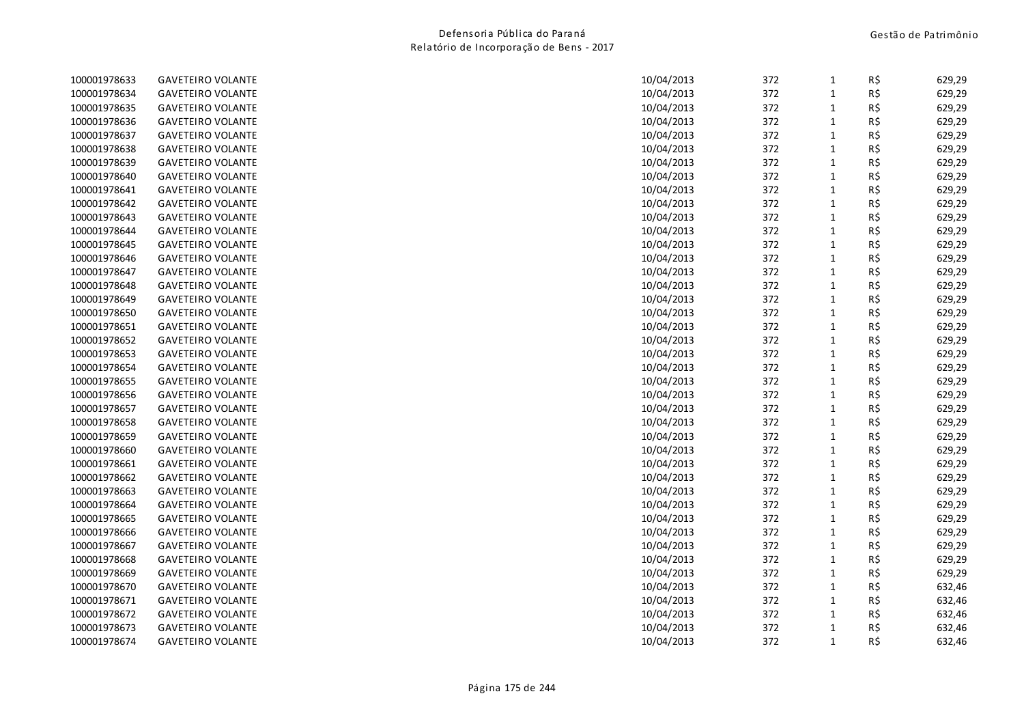| 100001978633 | <b>GAVETEIRO VOLANTE</b> | 10/04/2013 | 372 | $\mathbf{1}$ | R\$ | 629,29 |
|--------------|--------------------------|------------|-----|--------------|-----|--------|
| 100001978634 | <b>GAVETEIRO VOLANTE</b> | 10/04/2013 | 372 | $\mathbf 1$  | R\$ | 629,29 |
| 100001978635 | <b>GAVETEIRO VOLANTE</b> | 10/04/2013 | 372 | $\mathbf{1}$ | R\$ | 629,29 |
| 100001978636 | <b>GAVETEIRO VOLANTE</b> | 10/04/2013 | 372 | $\mathbf{1}$ | R\$ | 629,29 |
| 100001978637 | <b>GAVETEIRO VOLANTE</b> | 10/04/2013 | 372 | $1\,$        | R\$ | 629,29 |
| 100001978638 | <b>GAVETEIRO VOLANTE</b> | 10/04/2013 | 372 | $\mathbf{1}$ | R\$ | 629,29 |
| 100001978639 | <b>GAVETEIRO VOLANTE</b> | 10/04/2013 | 372 | $1\,$        | R\$ | 629,29 |
| 100001978640 | <b>GAVETEIRO VOLANTE</b> | 10/04/2013 | 372 | $\mathbf{1}$ | R\$ | 629,29 |
| 100001978641 | <b>GAVETEIRO VOLANTE</b> | 10/04/2013 | 372 | $\mathbf 1$  | R\$ | 629,29 |
| 100001978642 | <b>GAVETEIRO VOLANTE</b> | 10/04/2013 | 372 | $1\,$        | R\$ | 629,29 |
| 100001978643 | <b>GAVETEIRO VOLANTE</b> | 10/04/2013 | 372 | $\mathbf{1}$ | R\$ | 629,29 |
| 100001978644 | <b>GAVETEIRO VOLANTE</b> | 10/04/2013 | 372 | $1\,$        | R\$ | 629,29 |
| 100001978645 | <b>GAVETEIRO VOLANTE</b> | 10/04/2013 | 372 | $\mathbf 1$  | R\$ | 629,29 |
| 100001978646 | <b>GAVETEIRO VOLANTE</b> | 10/04/2013 | 372 | $1\,$        | R\$ | 629,29 |
| 100001978647 | <b>GAVETEIRO VOLANTE</b> | 10/04/2013 | 372 | $\mathbf{1}$ | R\$ | 629,29 |
| 100001978648 | <b>GAVETEIRO VOLANTE</b> | 10/04/2013 | 372 | $\mathbf{1}$ | R\$ | 629,29 |
| 100001978649 | <b>GAVETEIRO VOLANTE</b> | 10/04/2013 | 372 | $\mathbf{1}$ | R\$ | 629,29 |
| 100001978650 | <b>GAVETEIRO VOLANTE</b> | 10/04/2013 | 372 | $\mathbf 1$  | R\$ | 629,29 |
| 100001978651 | <b>GAVETEIRO VOLANTE</b> | 10/04/2013 | 372 | $1\,$        | R\$ | 629,29 |
| 100001978652 | <b>GAVETEIRO VOLANTE</b> | 10/04/2013 | 372 | $\mathbf{1}$ | R\$ | 629,29 |
| 100001978653 | <b>GAVETEIRO VOLANTE</b> | 10/04/2013 | 372 | $\mathbf{1}$ | R\$ | 629,29 |
| 100001978654 | <b>GAVETEIRO VOLANTE</b> | 10/04/2013 | 372 | $1\,$        | R\$ | 629,29 |
| 100001978655 | <b>GAVETEIRO VOLANTE</b> | 10/04/2013 | 372 | $1\,$        | R\$ | 629,29 |
| 100001978656 | <b>GAVETEIRO VOLANTE</b> | 10/04/2013 | 372 | $\mathbf{1}$ | R\$ | 629,29 |
| 100001978657 | <b>GAVETEIRO VOLANTE</b> | 10/04/2013 | 372 | $\mathbf{1}$ | R\$ | 629,29 |
| 100001978658 | <b>GAVETEIRO VOLANTE</b> | 10/04/2013 | 372 | $1\,$        | R\$ | 629,29 |
| 100001978659 | <b>GAVETEIRO VOLANTE</b> | 10/04/2013 | 372 | $\mathbf 1$  | R\$ | 629,29 |
| 100001978660 | <b>GAVETEIRO VOLANTE</b> | 10/04/2013 | 372 | $1\,$        | R\$ | 629,29 |
| 100001978661 | <b>GAVETEIRO VOLANTE</b> | 10/04/2013 | 372 | $\mathbf{1}$ | R\$ | 629,29 |
| 100001978662 | <b>GAVETEIRO VOLANTE</b> | 10/04/2013 | 372 | $\mathbf{1}$ | R\$ | 629,29 |
| 100001978663 | <b>GAVETEIRO VOLANTE</b> | 10/04/2013 | 372 | $1\,$        | R\$ | 629,29 |
| 100001978664 | <b>GAVETEIRO VOLANTE</b> | 10/04/2013 | 372 | $\mathbf{1}$ | R\$ | 629,29 |
| 100001978665 | <b>GAVETEIRO VOLANTE</b> | 10/04/2013 | 372 | $\mathbf{1}$ | R\$ | 629,29 |
| 100001978666 | <b>GAVETEIRO VOLANTE</b> | 10/04/2013 | 372 | $\mathbf{1}$ | R\$ | 629,29 |
| 100001978667 | <b>GAVETEIRO VOLANTE</b> | 10/04/2013 | 372 | $\mathbf{1}$ | R\$ | 629,29 |
| 100001978668 | <b>GAVETEIRO VOLANTE</b> | 10/04/2013 | 372 | $\mathbf 1$  | R\$ | 629,29 |
| 100001978669 | <b>GAVETEIRO VOLANTE</b> | 10/04/2013 | 372 | $\mathbf{1}$ | R\$ | 629,29 |
| 100001978670 | <b>GAVETEIRO VOLANTE</b> | 10/04/2013 | 372 | $\mathbf{1}$ | R\$ | 632,46 |
| 100001978671 | <b>GAVETEIRO VOLANTE</b> | 10/04/2013 | 372 | $\mathbf{1}$ | R\$ | 632,46 |
| 100001978672 | <b>GAVETEIRO VOLANTE</b> | 10/04/2013 | 372 | $\mathbf{1}$ | R\$ | 632,46 |
| 100001978673 | <b>GAVETEIRO VOLANTE</b> | 10/04/2013 | 372 | $\mathbf{1}$ | R\$ | 632,46 |
| 100001978674 | <b>GAVETEIRO VOLANTE</b> | 10/04/2013 | 372 | $\mathbf{1}$ | R\$ | 632,46 |
|              |                          |            |     |              |     |        |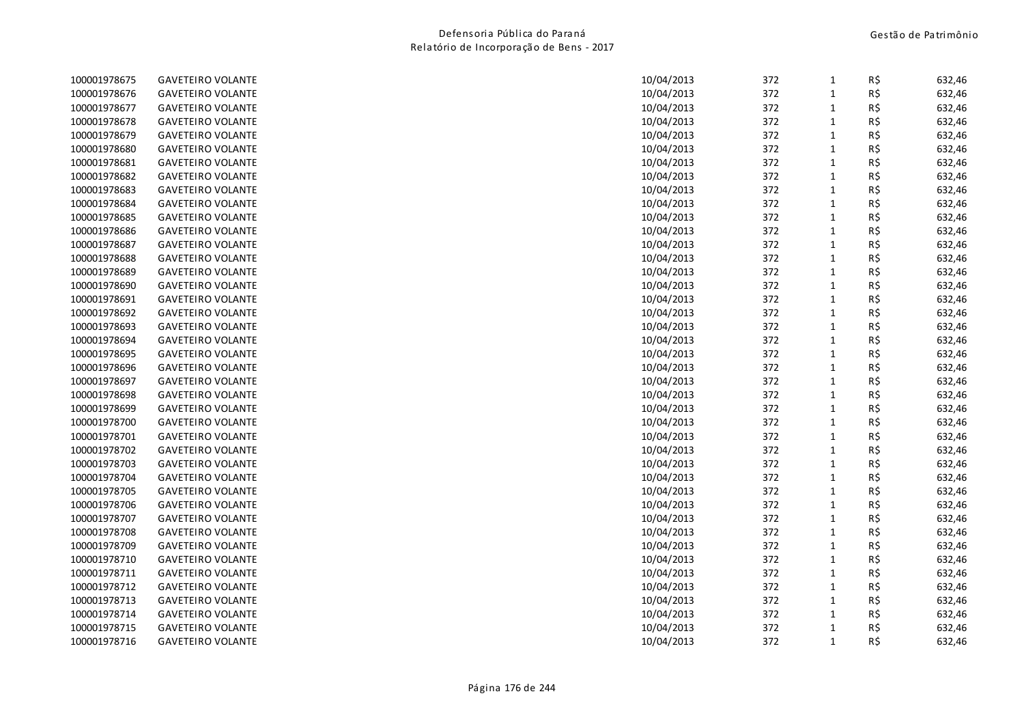| 100001978675 | <b>GAVETEIRO VOLANTE</b> | 10/04/2013 | 372 | $\mathbf{1}$ | R\$ | 632,46 |
|--------------|--------------------------|------------|-----|--------------|-----|--------|
| 100001978676 | <b>GAVETEIRO VOLANTE</b> | 10/04/2013 | 372 | $\mathbf 1$  | R\$ | 632,46 |
| 100001978677 | <b>GAVETEIRO VOLANTE</b> | 10/04/2013 | 372 | $\mathbf{1}$ | R\$ | 632,46 |
| 100001978678 | <b>GAVETEIRO VOLANTE</b> | 10/04/2013 | 372 | $\mathbf 1$  | R\$ | 632,46 |
| 100001978679 | <b>GAVETEIRO VOLANTE</b> | 10/04/2013 | 372 | $\mathbf{1}$ | R\$ | 632,46 |
| 100001978680 | <b>GAVETEIRO VOLANTE</b> | 10/04/2013 | 372 | $\mathbf{1}$ | R\$ | 632,46 |
| 100001978681 | <b>GAVETEIRO VOLANTE</b> | 10/04/2013 | 372 | $\mathbf{1}$ | R\$ | 632,46 |
| 100001978682 | <b>GAVETEIRO VOLANTE</b> | 10/04/2013 | 372 | $\mathbf{1}$ | R\$ | 632,46 |
| 100001978683 | <b>GAVETEIRO VOLANTE</b> | 10/04/2013 | 372 | $\mathbf 1$  | R\$ | 632,46 |
| 100001978684 | <b>GAVETEIRO VOLANTE</b> | 10/04/2013 | 372 | $\mathbf{1}$ | R\$ | 632,46 |
| 100001978685 | <b>GAVETEIRO VOLANTE</b> | 10/04/2013 | 372 | $\mathbf{1}$ | R\$ | 632,46 |
| 100001978686 | <b>GAVETEIRO VOLANTE</b> | 10/04/2013 | 372 | $\mathbf{1}$ | R\$ | 632,46 |
| 100001978687 | <b>GAVETEIRO VOLANTE</b> | 10/04/2013 | 372 | $\mathbf 1$  | R\$ | 632,46 |
| 100001978688 | <b>GAVETEIRO VOLANTE</b> | 10/04/2013 | 372 | $\mathbf{1}$ | R\$ | 632,46 |
| 100001978689 | <b>GAVETEIRO VOLANTE</b> | 10/04/2013 | 372 | $\mathbf{1}$ | R\$ | 632,46 |
| 100001978690 | <b>GAVETEIRO VOLANTE</b> | 10/04/2013 | 372 | $\mathbf{1}$ | R\$ | 632,46 |
| 100001978691 | <b>GAVETEIRO VOLANTE</b> | 10/04/2013 | 372 | $\mathbf{1}$ | R\$ | 632,46 |
| 100001978692 | <b>GAVETEIRO VOLANTE</b> | 10/04/2013 | 372 | $\mathbf 1$  | R\$ | 632,46 |
| 100001978693 | <b>GAVETEIRO VOLANTE</b> | 10/04/2013 | 372 | $\mathbf{1}$ | R\$ | 632,46 |
| 100001978694 | <b>GAVETEIRO VOLANTE</b> | 10/04/2013 | 372 | $\mathbf{1}$ | R\$ | 632,46 |
| 100001978695 | <b>GAVETEIRO VOLANTE</b> | 10/04/2013 | 372 | $\mathbf{1}$ | R\$ | 632,46 |
| 100001978696 | <b>GAVETEIRO VOLANTE</b> | 10/04/2013 | 372 | $\mathbf{1}$ | R\$ | 632,46 |
| 100001978697 | <b>GAVETEIRO VOLANTE</b> | 10/04/2013 | 372 | $\mathbf{1}$ | R\$ | 632,46 |
| 100001978698 | <b>GAVETEIRO VOLANTE</b> | 10/04/2013 | 372 | $\mathbf{1}$ | R\$ | 632,46 |
| 100001978699 | <b>GAVETEIRO VOLANTE</b> | 10/04/2013 | 372 | $\mathbf{1}$ | R\$ | 632,46 |
| 100001978700 | <b>GAVETEIRO VOLANTE</b> | 10/04/2013 | 372 | $\mathbf{1}$ | R\$ | 632,46 |
| 100001978701 | <b>GAVETEIRO VOLANTE</b> | 10/04/2013 | 372 | $\mathbf 1$  | R\$ | 632,46 |
| 100001978702 | <b>GAVETEIRO VOLANTE</b> | 10/04/2013 | 372 | $\mathbf{1}$ | R\$ | 632,46 |
| 100001978703 | <b>GAVETEIRO VOLANTE</b> | 10/04/2013 | 372 | $\mathbf{1}$ | R\$ | 632,46 |
| 100001978704 | <b>GAVETEIRO VOLANTE</b> | 10/04/2013 | 372 | $\mathbf{1}$ | R\$ | 632,46 |
| 100001978705 | <b>GAVETEIRO VOLANTE</b> | 10/04/2013 | 372 | $\mathbf{1}$ | R\$ | 632,46 |
| 100001978706 | <b>GAVETEIRO VOLANTE</b> | 10/04/2013 | 372 | $\mathbf 1$  | R\$ | 632,46 |
| 100001978707 | <b>GAVETEIRO VOLANTE</b> | 10/04/2013 | 372 | $\mathbf{1}$ | R\$ | 632,46 |
| 100001978708 | <b>GAVETEIRO VOLANTE</b> | 10/04/2013 | 372 | $\mathbf{1}$ | R\$ | 632,46 |
| 100001978709 | <b>GAVETEIRO VOLANTE</b> | 10/04/2013 | 372 | $\mathbf{1}$ | R\$ | 632,46 |
| 100001978710 | <b>GAVETEIRO VOLANTE</b> | 10/04/2013 | 372 | $\mathbf 1$  | R\$ | 632,46 |
| 100001978711 | <b>GAVETEIRO VOLANTE</b> | 10/04/2013 | 372 | $\mathbf{1}$ | R\$ | 632,46 |
| 100001978712 | <b>GAVETEIRO VOLANTE</b> | 10/04/2013 | 372 | $\mathbf{1}$ | R\$ | 632,46 |
| 100001978713 | <b>GAVETEIRO VOLANTE</b> | 10/04/2013 | 372 | $\mathbf{1}$ | R\$ | 632,46 |
| 100001978714 | <b>GAVETEIRO VOLANTE</b> | 10/04/2013 | 372 | $\mathbf{1}$ | R\$ | 632,46 |
| 100001978715 | <b>GAVETEIRO VOLANTE</b> | 10/04/2013 | 372 | $\mathbf{1}$ | R\$ | 632,46 |
| 100001978716 | <b>GAVETEIRO VOLANTE</b> | 10/04/2013 | 372 | $\mathbf{1}$ | R\$ | 632,46 |
|              |                          |            |     |              |     |        |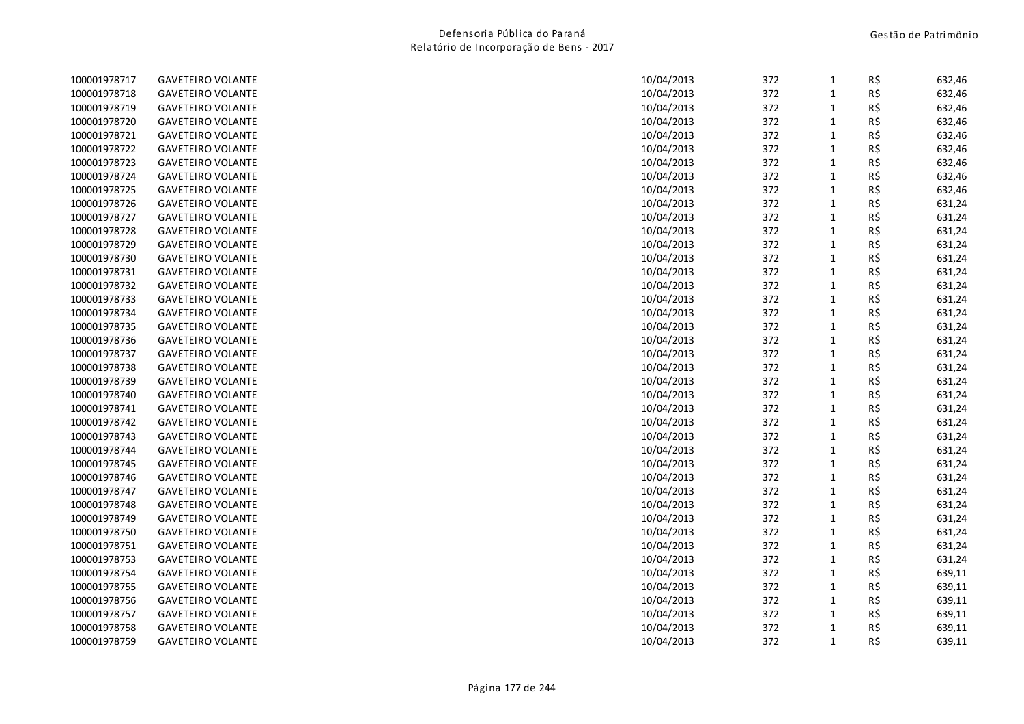| <b>GAVETEIRO VOLANTE</b> | 10/04/2013                                                                       | 372                      | $\mathbf{1}$                                                                                                 | R\$         | 632,46                                                                                                                                          |
|--------------------------|----------------------------------------------------------------------------------|--------------------------|--------------------------------------------------------------------------------------------------------------|-------------|-------------------------------------------------------------------------------------------------------------------------------------------------|
| <b>GAVETEIRO VOLANTE</b> | 10/04/2013                                                                       | 372                      | $\mathbf 1$                                                                                                  | R\$         | 632,46                                                                                                                                          |
| <b>GAVETEIRO VOLANTE</b> | 10/04/2013                                                                       | 372                      | $\mathbf{1}$                                                                                                 | R\$         | 632,46                                                                                                                                          |
| <b>GAVETEIRO VOLANTE</b> | 10/04/2013                                                                       | 372                      | $\mathbf{1}$                                                                                                 |             | 632,46                                                                                                                                          |
| <b>GAVETEIRO VOLANTE</b> | 10/04/2013                                                                       | 372                      | $\mathbf{1}$                                                                                                 | R\$         | 632,46                                                                                                                                          |
| <b>GAVETEIRO VOLANTE</b> | 10/04/2013                                                                       | 372                      | $\mathbf{1}$                                                                                                 | R\$         | 632,46                                                                                                                                          |
| <b>GAVETEIRO VOLANTE</b> | 10/04/2013                                                                       | 372                      | $\mathbf{1}$                                                                                                 | R\$         | 632,46                                                                                                                                          |
| <b>GAVETEIRO VOLANTE</b> | 10/04/2013                                                                       | 372                      | $\mathbf{1}$                                                                                                 |             | 632,46                                                                                                                                          |
| <b>GAVETEIRO VOLANTE</b> | 10/04/2013                                                                       | 372                      | $\mathbf 1$                                                                                                  | R\$         | 632,46                                                                                                                                          |
| <b>GAVETEIRO VOLANTE</b> | 10/04/2013                                                                       | 372                      | $\mathbf 1$                                                                                                  | R\$         | 631,24                                                                                                                                          |
| <b>GAVETEIRO VOLANTE</b> | 10/04/2013                                                                       | 372                      | $\mathbf{1}$                                                                                                 | R\$         | 631,24                                                                                                                                          |
|                          | 10/04/2013                                                                       | 372                      | $\mathbf{1}$                                                                                                 | R\$         | 631,24                                                                                                                                          |
| <b>GAVETEIRO VOLANTE</b> | 10/04/2013                                                                       |                          | $\mathbf{1}$                                                                                                 |             | 631,24                                                                                                                                          |
| <b>GAVETEIRO VOLANTE</b> | 10/04/2013                                                                       | 372                      | $\mathbf{1}$                                                                                                 | R\$         | 631,24                                                                                                                                          |
| <b>GAVETEIRO VOLANTE</b> | 10/04/2013                                                                       | 372                      | $\mathbf{1}$                                                                                                 | R\$         | 631,24                                                                                                                                          |
| <b>GAVETEIRO VOLANTE</b> | 10/04/2013                                                                       | 372                      | $\mathbf{1}$                                                                                                 | R\$         | 631,24                                                                                                                                          |
| <b>GAVETEIRO VOLANTE</b> | 10/04/2013                                                                       | 372                      | $\mathbf{1}$                                                                                                 | R\$         | 631,24                                                                                                                                          |
| <b>GAVETEIRO VOLANTE</b> | 10/04/2013                                                                       | 372                      | $\mathbf{1}$                                                                                                 | R\$         | 631,24                                                                                                                                          |
| <b>GAVETEIRO VOLANTE</b> | 10/04/2013                                                                       | 372                      | $\mathbf 1$                                                                                                  | R\$         | 631,24                                                                                                                                          |
| <b>GAVETEIRO VOLANTE</b> | 10/04/2013                                                                       |                          | $\mathbf{1}$                                                                                                 |             | 631,24                                                                                                                                          |
| <b>GAVETEIRO VOLANTE</b> | 10/04/2013                                                                       | 372                      | $\mathbf{1}$                                                                                                 | R\$         | 631,24                                                                                                                                          |
| <b>GAVETEIRO VOLANTE</b> | 10/04/2013                                                                       | 372                      | $\mathbf{1}$                                                                                                 | R\$         | 631,24                                                                                                                                          |
| <b>GAVETEIRO VOLANTE</b> | 10/04/2013                                                                       | 372                      | $\mathbf{1}$                                                                                                 |             | 631,24                                                                                                                                          |
| <b>GAVETEIRO VOLANTE</b> |                                                                                  |                          | $\mathbf{1}$                                                                                                 |             | 631,24                                                                                                                                          |
|                          | 10/04/2013                                                                       |                          | $\mathbf{1}$                                                                                                 | R\$         | 631,24                                                                                                                                          |
| <b>GAVETEIRO VOLANTE</b> | 10/04/2013                                                                       |                          | $\mathbf{1}$                                                                                                 |             | 631,24                                                                                                                                          |
| <b>GAVETEIRO VOLANTE</b> | 10/04/2013                                                                       | 372                      | $\mathbf{1}$                                                                                                 |             | 631,24                                                                                                                                          |
| <b>GAVETEIRO VOLANTE</b> | 10/04/2013                                                                       |                          | $\mathbf{1}$                                                                                                 |             | 631,24                                                                                                                                          |
| <b>GAVETEIRO VOLANTE</b> | 10/04/2013                                                                       |                          | $\mathbf{1}$                                                                                                 |             | 631,24                                                                                                                                          |
| <b>GAVETEIRO VOLANTE</b> | 10/04/2013                                                                       |                          | $\mathbf{1}$                                                                                                 |             | 631,24                                                                                                                                          |
| <b>GAVETEIRO VOLANTE</b> | 10/04/2013                                                                       |                          | $\mathbf{1}$                                                                                                 |             | 631,24                                                                                                                                          |
|                          |                                                                                  |                          |                                                                                                              |             | 631,24                                                                                                                                          |
| <b>GAVETEIRO VOLANTE</b> | 10/04/2013                                                                       |                          | $\mathbf{1}$                                                                                                 |             | 631,24                                                                                                                                          |
| <b>GAVETEIRO VOLANTE</b> | 10/04/2013                                                                       |                          | $\mathbf{1}$                                                                                                 |             | 631,24                                                                                                                                          |
| <b>GAVETEIRO VOLANTE</b> | 10/04/2013                                                                       |                          | $\mathbf{1}$                                                                                                 |             | 631,24                                                                                                                                          |
| <b>GAVETEIRO VOLANTE</b> | 10/04/2013                                                                       | 372                      | $\mathbf{1}$                                                                                                 |             | 631,24                                                                                                                                          |
| <b>GAVETEIRO VOLANTE</b> | 10/04/2013                                                                       |                          | $\mathbf{1}$                                                                                                 |             | 639,11                                                                                                                                          |
| <b>GAVETEIRO VOLANTE</b> | 10/04/2013                                                                       |                          | $\mathbf{1}$                                                                                                 | R\$         | 639,11                                                                                                                                          |
| <b>GAVETEIRO VOLANTE</b> | 10/04/2013                                                                       | 372                      | $\mathbf{1}$                                                                                                 | R\$         | 639,11                                                                                                                                          |
| <b>GAVETEIRO VOLANTE</b> | 10/04/2013                                                                       | 372                      | $\mathbf{1}$                                                                                                 |             | 639,11                                                                                                                                          |
| <b>GAVETEIRO VOLANTE</b> | 10/04/2013                                                                       |                          | $\mathbf{1}$                                                                                                 |             | 639,11                                                                                                                                          |
| <b>GAVETEIRO VOLANTE</b> | 10/04/2013                                                                       | 372                      | $\mathbf{1}$                                                                                                 |             | 639,11                                                                                                                                          |
|                          | <b>GAVETEIRO VOLANTE</b><br><b>GAVETEIRO VOLANTE</b><br><b>GAVETEIRO VOLANTE</b> | 10/04/2013<br>10/04/2013 | 372<br>372<br>372<br>372<br>372<br>372<br>372<br>372<br>372<br>372<br>372<br>372<br>372<br>372<br>372<br>372 | $\mathbf 1$ | R\$<br>R\$<br>R\$<br>R\$<br>R\$<br>R\$<br>R\$<br>R\$<br>R\$<br>R\$<br>R\$<br>R\$<br>R\$<br>R\$<br>R\$<br>R\$<br>R\$<br>R\$<br>R\$<br>R\$<br>R\$ |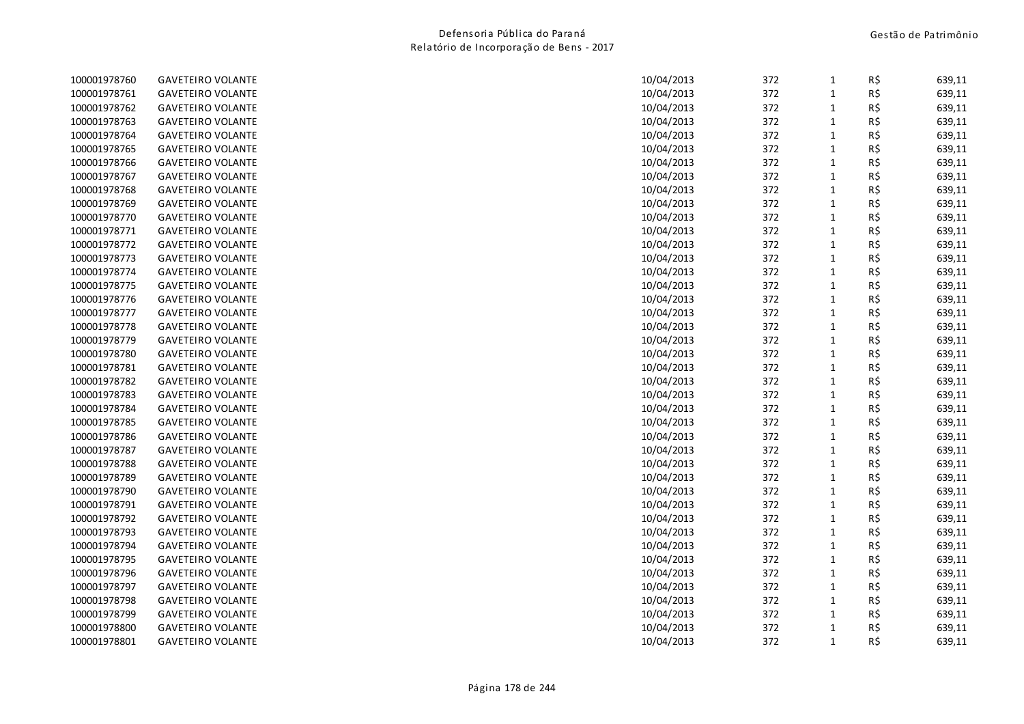| 100001978760 | <b>GAVETEIRO VOLANTE</b> | 10/04/2013 | 372 | $\mathbf{1}$ | R\$ | 639,11 |
|--------------|--------------------------|------------|-----|--------------|-----|--------|
| 100001978761 | <b>GAVETEIRO VOLANTE</b> | 10/04/2013 | 372 | $\mathbf{1}$ | R\$ | 639,11 |
| 100001978762 | <b>GAVETEIRO VOLANTE</b> | 10/04/2013 | 372 | $\mathbf{1}$ | R\$ | 639,11 |
| 100001978763 | <b>GAVETEIRO VOLANTE</b> | 10/04/2013 | 372 | $\mathbf{1}$ | R\$ | 639,11 |
| 100001978764 | <b>GAVETEIRO VOLANTE</b> | 10/04/2013 | 372 | $\mathbf{1}$ | R\$ | 639,11 |
| 100001978765 | <b>GAVETEIRO VOLANTE</b> | 10/04/2013 | 372 | $\mathbf{1}$ | R\$ | 639,11 |
| 100001978766 | <b>GAVETEIRO VOLANTE</b> | 10/04/2013 | 372 | $\mathbf{1}$ | R\$ | 639,11 |
| 100001978767 | <b>GAVETEIRO VOLANTE</b> | 10/04/2013 | 372 | $\mathbf{1}$ | R\$ | 639,11 |
| 100001978768 | <b>GAVETEIRO VOLANTE</b> | 10/04/2013 | 372 | $\mathbf{1}$ | R\$ | 639,11 |
| 100001978769 | <b>GAVETEIRO VOLANTE</b> | 10/04/2013 | 372 | $\mathbf{1}$ | R\$ | 639,11 |
| 100001978770 | <b>GAVETEIRO VOLANTE</b> | 10/04/2013 | 372 | $\mathbf{1}$ | R\$ | 639,11 |
| 100001978771 | <b>GAVETEIRO VOLANTE</b> | 10/04/2013 | 372 | $\mathbf{1}$ | R\$ | 639,11 |
| 100001978772 | <b>GAVETEIRO VOLANTE</b> | 10/04/2013 | 372 | $\mathbf{1}$ | R\$ | 639,11 |
| 100001978773 | <b>GAVETEIRO VOLANTE</b> | 10/04/2013 | 372 | $\mathbf{1}$ | R\$ | 639,11 |
| 100001978774 | <b>GAVETEIRO VOLANTE</b> | 10/04/2013 | 372 | $\mathbf{1}$ | R\$ | 639,11 |
| 100001978775 | <b>GAVETEIRO VOLANTE</b> | 10/04/2013 | 372 | $\mathbf{1}$ | R\$ | 639,11 |
| 100001978776 | <b>GAVETEIRO VOLANTE</b> | 10/04/2013 | 372 | $\mathbf{1}$ | R\$ | 639,11 |
| 100001978777 | <b>GAVETEIRO VOLANTE</b> | 10/04/2013 | 372 | $\mathbf{1}$ | R\$ | 639,11 |
| 100001978778 | <b>GAVETEIRO VOLANTE</b> | 10/04/2013 | 372 | $\mathbf{1}$ | R\$ | 639,11 |
| 100001978779 | <b>GAVETEIRO VOLANTE</b> | 10/04/2013 | 372 | $\mathbf{1}$ | R\$ | 639,11 |
| 100001978780 | <b>GAVETEIRO VOLANTE</b> | 10/04/2013 | 372 | $\mathbf{1}$ | R\$ | 639,11 |
| 100001978781 | <b>GAVETEIRO VOLANTE</b> | 10/04/2013 | 372 | $\mathbf{1}$ | R\$ | 639,11 |
| 100001978782 | <b>GAVETEIRO VOLANTE</b> | 10/04/2013 | 372 | $\mathbf{1}$ | R\$ | 639,11 |
| 100001978783 | <b>GAVETEIRO VOLANTE</b> | 10/04/2013 | 372 | $\mathbf{1}$ | R\$ | 639,11 |
| 100001978784 | <b>GAVETEIRO VOLANTE</b> | 10/04/2013 | 372 | $\mathbf{1}$ | R\$ | 639,11 |
| 100001978785 | <b>GAVETEIRO VOLANTE</b> | 10/04/2013 | 372 | $\mathbf{1}$ | R\$ | 639,11 |
| 100001978786 | <b>GAVETEIRO VOLANTE</b> | 10/04/2013 | 372 | $\mathbf{1}$ | R\$ | 639,11 |
| 100001978787 | <b>GAVETEIRO VOLANTE</b> | 10/04/2013 | 372 | $\mathbf{1}$ | R\$ | 639,11 |
| 100001978788 | <b>GAVETEIRO VOLANTE</b> | 10/04/2013 | 372 | $\mathbf{1}$ | R\$ | 639,11 |
| 100001978789 | <b>GAVETEIRO VOLANTE</b> | 10/04/2013 | 372 | $\mathbf{1}$ | R\$ | 639,11 |
| 100001978790 | <b>GAVETEIRO VOLANTE</b> | 10/04/2013 | 372 | $\mathbf 1$  | R\$ | 639,11 |
| 100001978791 | <b>GAVETEIRO VOLANTE</b> | 10/04/2013 | 372 | $\mathbf{1}$ | R\$ | 639,11 |
| 100001978792 | <b>GAVETEIRO VOLANTE</b> | 10/04/2013 | 372 | $\mathbf{1}$ | R\$ | 639,11 |
| 100001978793 | <b>GAVETEIRO VOLANTE</b> | 10/04/2013 | 372 | $\mathbf{1}$ | R\$ | 639,11 |
| 100001978794 | <b>GAVETEIRO VOLANTE</b> | 10/04/2013 | 372 | $\mathbf{1}$ | R\$ | 639,11 |
| 100001978795 | <b>GAVETEIRO VOLANTE</b> | 10/04/2013 | 372 | $\mathbf{1}$ | R\$ | 639,11 |
| 100001978796 | <b>GAVETEIRO VOLANTE</b> | 10/04/2013 | 372 | $\mathbf{1}$ | R\$ | 639,11 |
| 100001978797 | <b>GAVETEIRO VOLANTE</b> | 10/04/2013 | 372 | $\mathbf{1}$ | R\$ | 639,11 |
| 100001978798 | <b>GAVETEIRO VOLANTE</b> | 10/04/2013 | 372 | $\mathbf{1}$ | R\$ | 639,11 |
| 100001978799 | <b>GAVETEIRO VOLANTE</b> | 10/04/2013 | 372 | $\mathbf{1}$ | R\$ | 639,11 |
| 100001978800 | <b>GAVETEIRO VOLANTE</b> | 10/04/2013 | 372 | $\mathbf 1$  | R\$ | 639,11 |
| 100001978801 | <b>GAVETEIRO VOLANTE</b> | 10/04/2013 | 372 | $\mathbf{1}$ | R\$ | 639,11 |
|              |                          |            |     |              |     |        |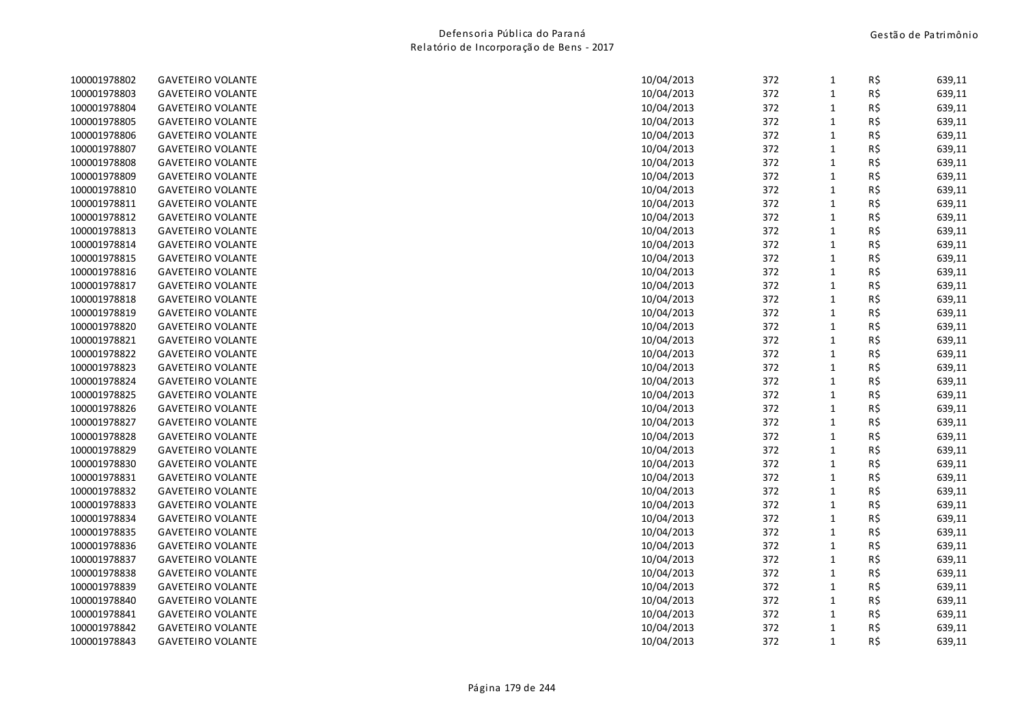| 100001978802 | <b>GAVETEIRO VOLANTE</b> | 10/04/2013 | 372 | $\mathbf{1}$ | R\$ | 639,11 |
|--------------|--------------------------|------------|-----|--------------|-----|--------|
| 100001978803 | <b>GAVETEIRO VOLANTE</b> | 10/04/2013 | 372 | $\mathbf 1$  | R\$ | 639,11 |
| 100001978804 | <b>GAVETEIRO VOLANTE</b> | 10/04/2013 | 372 | $\mathbf{1}$ | R\$ | 639,11 |
| 100001978805 | <b>GAVETEIRO VOLANTE</b> | 10/04/2013 | 372 | $\mathbf 1$  | R\$ | 639,11 |
| 100001978806 | <b>GAVETEIRO VOLANTE</b> | 10/04/2013 | 372 | $\mathbf{1}$ | R\$ | 639,11 |
| 100001978807 | <b>GAVETEIRO VOLANTE</b> | 10/04/2013 | 372 | $\mathbf{1}$ | R\$ | 639,11 |
| 100001978808 | <b>GAVETEIRO VOLANTE</b> | 10/04/2013 | 372 | $\mathbf{1}$ | R\$ | 639,11 |
| 100001978809 | <b>GAVETEIRO VOLANTE</b> | 10/04/2013 | 372 | $\mathbf 1$  | R\$ | 639,11 |
| 100001978810 | <b>GAVETEIRO VOLANTE</b> | 10/04/2013 | 372 | $\mathbf 1$  | R\$ | 639,11 |
| 100001978811 | <b>GAVETEIRO VOLANTE</b> | 10/04/2013 | 372 | $\mathbf{1}$ | R\$ | 639,11 |
| 100001978812 | <b>GAVETEIRO VOLANTE</b> | 10/04/2013 | 372 | $\mathbf{1}$ | R\$ | 639,11 |
| 100001978813 | <b>GAVETEIRO VOLANTE</b> | 10/04/2013 | 372 | $\mathbf{1}$ | R\$ | 639,11 |
| 100001978814 | <b>GAVETEIRO VOLANTE</b> | 10/04/2013 | 372 | $\mathbf{1}$ | R\$ | 639,11 |
| 100001978815 | <b>GAVETEIRO VOLANTE</b> | 10/04/2013 | 372 | $\mathbf{1}$ | R\$ | 639,11 |
| 100001978816 | <b>GAVETEIRO VOLANTE</b> | 10/04/2013 | 372 | $\mathbf{1}$ | R\$ | 639,11 |
| 100001978817 | <b>GAVETEIRO VOLANTE</b> | 10/04/2013 | 372 | $\mathbf{1}$ | R\$ | 639,11 |
| 100001978818 | <b>GAVETEIRO VOLANTE</b> | 10/04/2013 | 372 | $\mathbf{1}$ | R\$ | 639,11 |
| 100001978819 | <b>GAVETEIRO VOLANTE</b> | 10/04/2013 | 372 | $\mathbf 1$  | R\$ | 639,11 |
| 100001978820 | <b>GAVETEIRO VOLANTE</b> | 10/04/2013 | 372 | $\mathbf{1}$ | R\$ | 639,11 |
| 100001978821 | <b>GAVETEIRO VOLANTE</b> | 10/04/2013 | 372 | $\mathbf{1}$ | R\$ | 639,11 |
| 100001978822 | <b>GAVETEIRO VOLANTE</b> | 10/04/2013 | 372 | $\mathbf{1}$ | R\$ | 639,11 |
| 100001978823 | <b>GAVETEIRO VOLANTE</b> | 10/04/2013 | 372 | $\mathbf{1}$ | R\$ | 639,11 |
| 100001978824 | <b>GAVETEIRO VOLANTE</b> | 10/04/2013 | 372 | $\mathbf 1$  | R\$ | 639,11 |
| 100001978825 | <b>GAVETEIRO VOLANTE</b> | 10/04/2013 | 372 | $\mathbf{1}$ | R\$ | 639,11 |
| 100001978826 | <b>GAVETEIRO VOLANTE</b> | 10/04/2013 | 372 | $\mathbf{1}$ | R\$ | 639,11 |
| 100001978827 | <b>GAVETEIRO VOLANTE</b> | 10/04/2013 | 372 | $\mathbf{1}$ | R\$ | 639,11 |
| 100001978828 | <b>GAVETEIRO VOLANTE</b> | 10/04/2013 | 372 | $\mathbf{1}$ | R\$ | 639,11 |
| 100001978829 | <b>GAVETEIRO VOLANTE</b> | 10/04/2013 | 372 | $\mathbf{1}$ | R\$ | 639,11 |
| 100001978830 | <b>GAVETEIRO VOLANTE</b> | 10/04/2013 | 372 | $\mathbf{1}$ | R\$ | 639,11 |
| 100001978831 | <b>GAVETEIRO VOLANTE</b> | 10/04/2013 | 372 | $\mathbf{1}$ | R\$ | 639,11 |
| 100001978832 | <b>GAVETEIRO VOLANTE</b> | 10/04/2013 | 372 | $\mathbf{1}$ | R\$ | 639,11 |
| 100001978833 | <b>GAVETEIRO VOLANTE</b> | 10/04/2013 | 372 | $\mathbf{1}$ | R\$ | 639,11 |
| 100001978834 | <b>GAVETEIRO VOLANTE</b> | 10/04/2013 | 372 | $\mathbf{1}$ | R\$ | 639,11 |
| 100001978835 | <b>GAVETEIRO VOLANTE</b> | 10/04/2013 | 372 | $\mathbf{1}$ | R\$ | 639,11 |
| 100001978836 | <b>GAVETEIRO VOLANTE</b> | 10/04/2013 | 372 | $\mathbf{1}$ | R\$ | 639,11 |
| 100001978837 | <b>GAVETEIRO VOLANTE</b> | 10/04/2013 | 372 | $\mathbf{1}$ | R\$ | 639,11 |
| 100001978838 | <b>GAVETEIRO VOLANTE</b> | 10/04/2013 | 372 | $\mathbf{1}$ | R\$ | 639,11 |
| 100001978839 | <b>GAVETEIRO VOLANTE</b> | 10/04/2013 | 372 | $\mathbf{1}$ | R\$ | 639,11 |
| 100001978840 | <b>GAVETEIRO VOLANTE</b> | 10/04/2013 | 372 | $\mathbf{1}$ | R\$ | 639,11 |
| 100001978841 | <b>GAVETEIRO VOLANTE</b> | 10/04/2013 | 372 | $\mathbf{1}$ | R\$ | 639,11 |
| 100001978842 | <b>GAVETEIRO VOLANTE</b> | 10/04/2013 | 372 | $\mathbf 1$  | R\$ | 639,11 |
| 100001978843 | <b>GAVETEIRO VOLANTE</b> | 10/04/2013 | 372 | $\mathbf{1}$ | R\$ | 639,11 |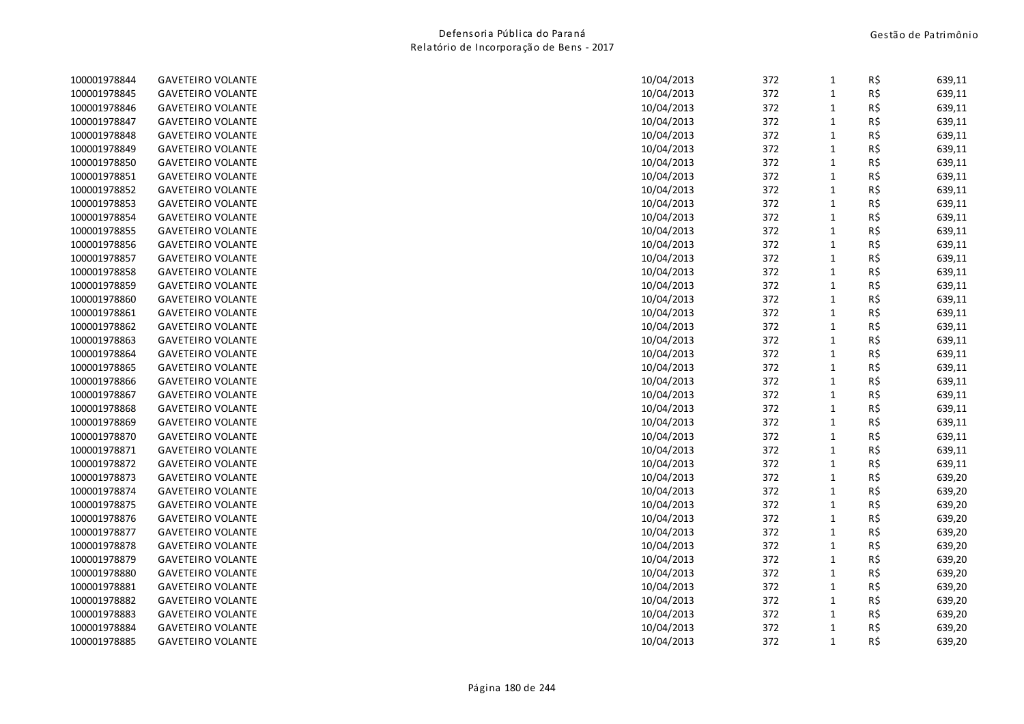| 100001978844 | <b>GAVETEIRO VOLANTE</b> | 10/04/2013 | 372 | $\mathbf{1}$ | R\$ | 639,11 |
|--------------|--------------------------|------------|-----|--------------|-----|--------|
| 100001978845 | <b>GAVETEIRO VOLANTE</b> | 10/04/2013 | 372 | $\mathbf{1}$ | R\$ | 639,11 |
| 100001978846 | <b>GAVETEIRO VOLANTE</b> | 10/04/2013 | 372 | $\mathbf{1}$ | R\$ | 639,11 |
| 100001978847 | <b>GAVETEIRO VOLANTE</b> | 10/04/2013 | 372 | $\mathbf{1}$ | R\$ | 639,11 |
| 100001978848 | <b>GAVETEIRO VOLANTE</b> | 10/04/2013 | 372 | $\mathbf{1}$ | R\$ | 639,11 |
| 100001978849 | <b>GAVETEIRO VOLANTE</b> | 10/04/2013 | 372 | $\mathbf{1}$ | R\$ | 639,11 |
| 100001978850 | <b>GAVETEIRO VOLANTE</b> | 10/04/2013 | 372 | $\mathbf{1}$ | R\$ | 639,11 |
| 100001978851 | <b>GAVETEIRO VOLANTE</b> | 10/04/2013 | 372 | $\mathbf{1}$ | R\$ | 639,11 |
| 100001978852 | <b>GAVETEIRO VOLANTE</b> | 10/04/2013 | 372 | $\mathbf{1}$ | R\$ | 639,11 |
| 100001978853 | <b>GAVETEIRO VOLANTE</b> | 10/04/2013 | 372 | $\mathbf{1}$ | R\$ | 639,11 |
| 100001978854 | <b>GAVETEIRO VOLANTE</b> | 10/04/2013 | 372 | $\mathbf{1}$ | R\$ | 639,11 |
| 100001978855 | <b>GAVETEIRO VOLANTE</b> | 10/04/2013 | 372 | $\mathbf{1}$ | R\$ | 639,11 |
| 100001978856 | <b>GAVETEIRO VOLANTE</b> | 10/04/2013 | 372 | $\mathbf{1}$ | R\$ | 639,11 |
| 100001978857 | <b>GAVETEIRO VOLANTE</b> | 10/04/2013 | 372 | $\mathbf{1}$ | R\$ | 639,11 |
| 100001978858 | <b>GAVETEIRO VOLANTE</b> | 10/04/2013 | 372 | $\mathbf{1}$ | R\$ | 639,11 |
| 100001978859 | <b>GAVETEIRO VOLANTE</b> | 10/04/2013 | 372 | $\mathbf{1}$ | R\$ | 639,11 |
| 100001978860 | <b>GAVETEIRO VOLANTE</b> | 10/04/2013 | 372 | $\mathbf{1}$ | R\$ | 639,11 |
| 100001978861 | <b>GAVETEIRO VOLANTE</b> | 10/04/2013 | 372 | $\mathbf{1}$ | R\$ | 639,11 |
| 100001978862 | <b>GAVETEIRO VOLANTE</b> | 10/04/2013 | 372 | $\mathbf{1}$ | R\$ | 639,11 |
| 100001978863 | <b>GAVETEIRO VOLANTE</b> | 10/04/2013 | 372 | $\mathbf{1}$ | R\$ | 639,11 |
| 100001978864 | <b>GAVETEIRO VOLANTE</b> | 10/04/2013 | 372 | $\mathbf{1}$ | R\$ | 639,11 |
| 100001978865 | <b>GAVETEIRO VOLANTE</b> | 10/04/2013 | 372 | $\mathbf{1}$ | R\$ | 639,11 |
| 100001978866 | <b>GAVETEIRO VOLANTE</b> | 10/04/2013 | 372 | $\mathbf{1}$ | R\$ | 639,11 |
| 100001978867 | <b>GAVETEIRO VOLANTE</b> | 10/04/2013 | 372 | $\mathbf{1}$ | R\$ | 639,11 |
| 100001978868 | <b>GAVETEIRO VOLANTE</b> | 10/04/2013 | 372 | $\mathbf{1}$ | R\$ | 639,11 |
| 100001978869 | <b>GAVETEIRO VOLANTE</b> | 10/04/2013 | 372 | $\mathbf{1}$ | R\$ | 639,11 |
| 100001978870 | <b>GAVETEIRO VOLANTE</b> | 10/04/2013 | 372 | $\mathbf{1}$ | R\$ | 639,11 |
| 100001978871 | <b>GAVETEIRO VOLANTE</b> | 10/04/2013 | 372 | $\mathbf{1}$ | R\$ | 639,11 |
| 100001978872 | <b>GAVETEIRO VOLANTE</b> | 10/04/2013 | 372 | $\mathbf{1}$ | R\$ | 639,11 |
| 100001978873 | <b>GAVETEIRO VOLANTE</b> | 10/04/2013 | 372 | $\mathbf{1}$ | R\$ | 639,20 |
| 100001978874 | <b>GAVETEIRO VOLANTE</b> | 10/04/2013 | 372 | $\mathbf 1$  | R\$ | 639,20 |
| 100001978875 | <b>GAVETEIRO VOLANTE</b> | 10/04/2013 | 372 | $\mathbf{1}$ | R\$ | 639,20 |
| 100001978876 | <b>GAVETEIRO VOLANTE</b> | 10/04/2013 | 372 | $\mathbf{1}$ | R\$ | 639,20 |
| 100001978877 | <b>GAVETEIRO VOLANTE</b> | 10/04/2013 | 372 | $\mathbf{1}$ | R\$ | 639,20 |
| 100001978878 | <b>GAVETEIRO VOLANTE</b> | 10/04/2013 | 372 | $\mathbf{1}$ | R\$ | 639,20 |
| 100001978879 | <b>GAVETEIRO VOLANTE</b> | 10/04/2013 | 372 | $\mathbf{1}$ | R\$ | 639,20 |
| 100001978880 | <b>GAVETEIRO VOLANTE</b> | 10/04/2013 | 372 | $\mathbf{1}$ | R\$ | 639,20 |
| 100001978881 | <b>GAVETEIRO VOLANTE</b> | 10/04/2013 | 372 | $\mathbf{1}$ | R\$ | 639,20 |
| 100001978882 | <b>GAVETEIRO VOLANTE</b> | 10/04/2013 | 372 | $\mathbf{1}$ | R\$ | 639,20 |
| 100001978883 | <b>GAVETEIRO VOLANTE</b> | 10/04/2013 | 372 | $\mathbf{1}$ | R\$ | 639,20 |
| 100001978884 | <b>GAVETEIRO VOLANTE</b> | 10/04/2013 | 372 | $\mathbf 1$  | R\$ | 639,20 |
| 100001978885 | <b>GAVETEIRO VOLANTE</b> | 10/04/2013 | 372 | $\mathbf{1}$ | R\$ | 639,20 |
|              |                          |            |     |              |     |        |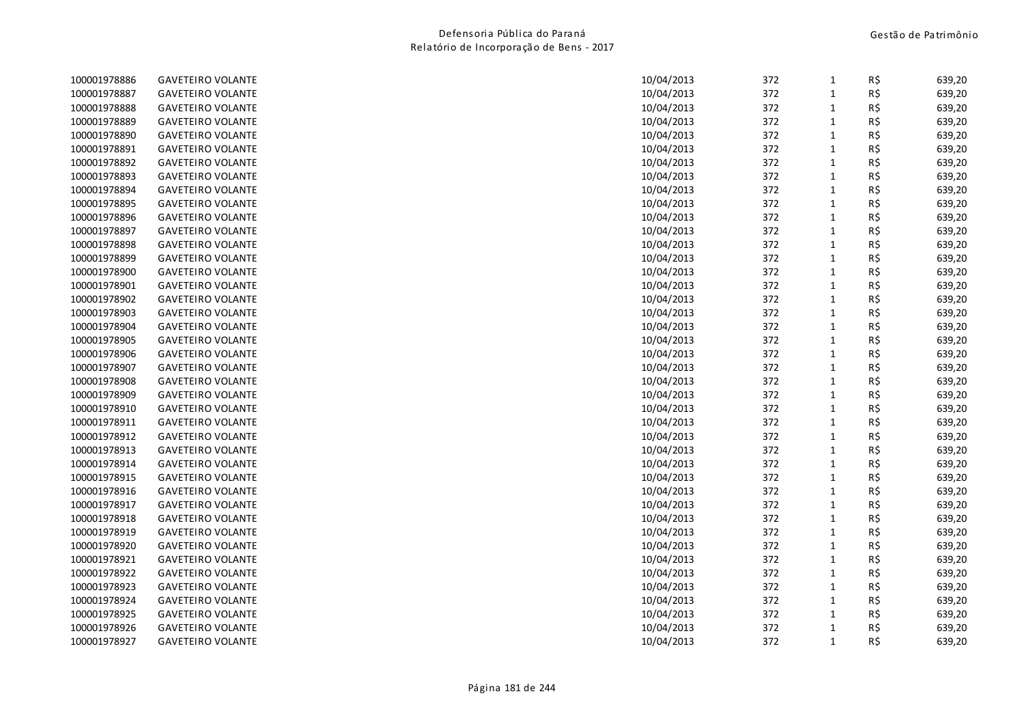| 100001978886 | <b>GAVETEIRO VOLANTE</b> | 10/04/2013 | 372 | $\mathbf{1}$ | R\$ | 639,20 |
|--------------|--------------------------|------------|-----|--------------|-----|--------|
| 100001978887 | <b>GAVETEIRO VOLANTE</b> | 10/04/2013 | 372 | $\mathbf 1$  | R\$ | 639,20 |
| 100001978888 | <b>GAVETEIRO VOLANTE</b> | 10/04/2013 | 372 | $\mathbf{1}$ | R\$ | 639,20 |
| 100001978889 | <b>GAVETEIRO VOLANTE</b> | 10/04/2013 | 372 | $\mathbf{1}$ | R\$ | 639,20 |
| 100001978890 | <b>GAVETEIRO VOLANTE</b> | 10/04/2013 | 372 | $\mathbf{1}$ | R\$ | 639,20 |
| 100001978891 | <b>GAVETEIRO VOLANTE</b> | 10/04/2013 | 372 | $\mathbf{1}$ | R\$ | 639,20 |
| 100001978892 | <b>GAVETEIRO VOLANTE</b> | 10/04/2013 | 372 | $\mathbf{1}$ | R\$ | 639,20 |
| 100001978893 | <b>GAVETEIRO VOLANTE</b> | 10/04/2013 | 372 | $\mathbf{1}$ | R\$ | 639,20 |
| 100001978894 | <b>GAVETEIRO VOLANTE</b> | 10/04/2013 | 372 | $\mathbf 1$  | R\$ | 639,20 |
| 100001978895 | <b>GAVETEIRO VOLANTE</b> | 10/04/2013 | 372 | $\mathbf{1}$ | R\$ | 639,20 |
| 100001978896 | <b>GAVETEIRO VOLANTE</b> | 10/04/2013 | 372 | $\mathbf{1}$ | R\$ | 639,20 |
| 100001978897 | <b>GAVETEIRO VOLANTE</b> | 10/04/2013 | 372 | $\mathbf{1}$ | R\$ | 639,20 |
| 100001978898 | <b>GAVETEIRO VOLANTE</b> | 10/04/2013 | 372 | $\mathbf 1$  | R\$ | 639,20 |
| 100001978899 | <b>GAVETEIRO VOLANTE</b> | 10/04/2013 | 372 | $\mathbf{1}$ | R\$ | 639,20 |
| 100001978900 | <b>GAVETEIRO VOLANTE</b> | 10/04/2013 | 372 | $\mathbf{1}$ | R\$ | 639,20 |
| 100001978901 | <b>GAVETEIRO VOLANTE</b> | 10/04/2013 | 372 | $\mathbf{1}$ | R\$ | 639,20 |
| 100001978902 | <b>GAVETEIRO VOLANTE</b> | 10/04/2013 | 372 | $\mathbf{1}$ | R\$ | 639,20 |
| 100001978903 | <b>GAVETEIRO VOLANTE</b> | 10/04/2013 | 372 | $\mathbf{1}$ | R\$ | 639,20 |
| 100001978904 | <b>GAVETEIRO VOLANTE</b> | 10/04/2013 | 372 | $\mathbf{1}$ | R\$ | 639,20 |
| 100001978905 | <b>GAVETEIRO VOLANTE</b> | 10/04/2013 | 372 | $\mathbf{1}$ | R\$ | 639,20 |
| 100001978906 | <b>GAVETEIRO VOLANTE</b> | 10/04/2013 | 372 | $\mathbf{1}$ | R\$ | 639,20 |
| 100001978907 | <b>GAVETEIRO VOLANTE</b> | 10/04/2013 | 372 | $\mathbf{1}$ | R\$ | 639,20 |
| 100001978908 | <b>GAVETEIRO VOLANTE</b> | 10/04/2013 | 372 | $\mathbf{1}$ | R\$ | 639,20 |
| 100001978909 | <b>GAVETEIRO VOLANTE</b> | 10/04/2013 | 372 | $\mathbf{1}$ | R\$ | 639,20 |
| 100001978910 | <b>GAVETEIRO VOLANTE</b> | 10/04/2013 | 372 | $\mathbf{1}$ | R\$ | 639,20 |
| 100001978911 | <b>GAVETEIRO VOLANTE</b> | 10/04/2013 | 372 | $\mathbf{1}$ | R\$ | 639,20 |
| 100001978912 | <b>GAVETEIRO VOLANTE</b> | 10/04/2013 | 372 | $\mathbf 1$  | R\$ | 639,20 |
| 100001978913 | <b>GAVETEIRO VOLANTE</b> | 10/04/2013 | 372 | $\mathbf{1}$ | R\$ | 639,20 |
| 100001978914 | <b>GAVETEIRO VOLANTE</b> | 10/04/2013 | 372 | $\mathbf{1}$ | R\$ | 639,20 |
| 100001978915 | <b>GAVETEIRO VOLANTE</b> | 10/04/2013 | 372 | $\mathbf{1}$ | R\$ | 639,20 |
| 100001978916 | <b>GAVETEIRO VOLANTE</b> | 10/04/2013 | 372 | $\mathbf{1}$ | R\$ | 639,20 |
| 100001978917 | <b>GAVETEIRO VOLANTE</b> | 10/04/2013 | 372 | $\mathbf 1$  | R\$ | 639,20 |
| 100001978918 | <b>GAVETEIRO VOLANTE</b> | 10/04/2013 | 372 | $\mathbf{1}$ | R\$ | 639,20 |
| 100001978919 | <b>GAVETEIRO VOLANTE</b> | 10/04/2013 | 372 | $\mathbf{1}$ | R\$ | 639,20 |
| 100001978920 | <b>GAVETEIRO VOLANTE</b> | 10/04/2013 | 372 | $\mathbf{1}$ | R\$ | 639,20 |
| 100001978921 | <b>GAVETEIRO VOLANTE</b> | 10/04/2013 | 372 | $\mathbf 1$  | R\$ | 639,20 |
| 100001978922 | <b>GAVETEIRO VOLANTE</b> | 10/04/2013 | 372 | $\mathbf{1}$ | R\$ | 639,20 |
| 100001978923 | <b>GAVETEIRO VOLANTE</b> | 10/04/2013 | 372 | $\mathbf{1}$ | R\$ | 639,20 |
| 100001978924 | <b>GAVETEIRO VOLANTE</b> | 10/04/2013 | 372 | $\mathbf{1}$ | R\$ | 639,20 |
| 100001978925 | <b>GAVETEIRO VOLANTE</b> | 10/04/2013 | 372 | $\mathbf{1}$ | R\$ | 639,20 |
| 100001978926 | <b>GAVETEIRO VOLANTE</b> | 10/04/2013 | 372 | $\mathbf{1}$ | R\$ | 639,20 |
| 100001978927 | <b>GAVETEIRO VOLANTE</b> | 10/04/2013 | 372 | $\mathbf{1}$ | R\$ | 639,20 |
|              |                          |            |     |              |     |        |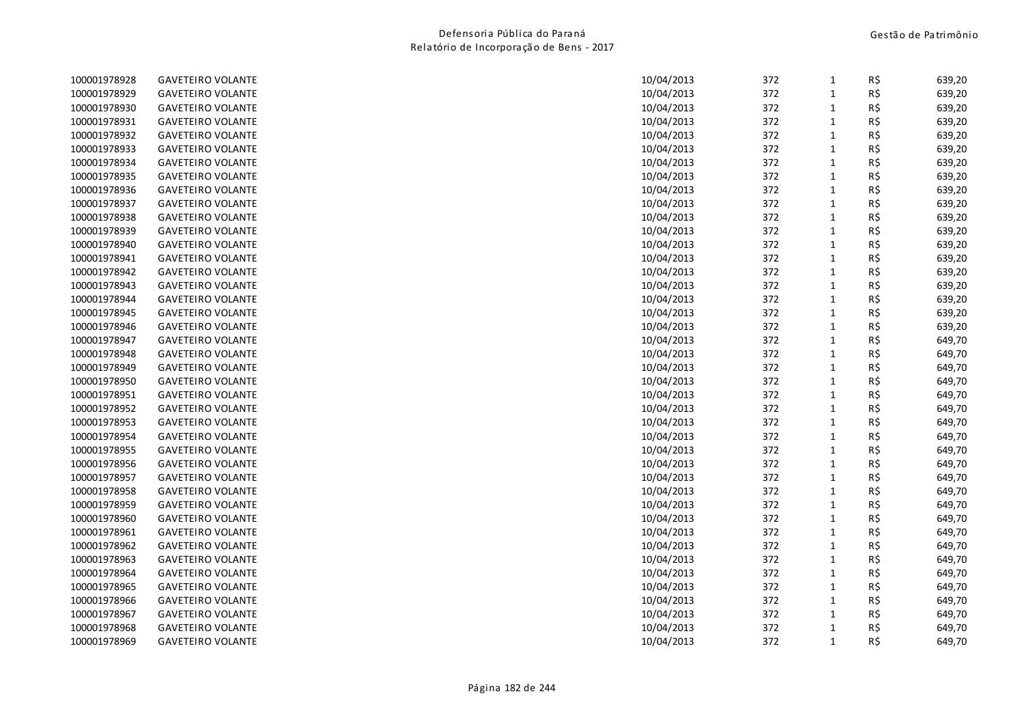| 100001978928 | <b>GAVETEIRO VOLANTE</b> | 10/04/2013 | 372 | $\mathbf{1}$ | R\$ | 639,20 |
|--------------|--------------------------|------------|-----|--------------|-----|--------|
| 100001978929 | <b>GAVETEIRO VOLANTE</b> | 10/04/2013 | 372 | $\mathbf{1}$ | R\$ | 639,20 |
| 100001978930 | <b>GAVETEIRO VOLANTE</b> | 10/04/2013 | 372 | $\mathbf{1}$ | R\$ | 639,20 |
| 100001978931 | <b>GAVETEIRO VOLANTE</b> | 10/04/2013 | 372 | $\mathbf{1}$ | R\$ | 639,20 |
| 100001978932 | <b>GAVETEIRO VOLANTE</b> | 10/04/2013 | 372 | $\mathbf 1$  | R\$ | 639,20 |
| 100001978933 | <b>GAVETEIRO VOLANTE</b> | 10/04/2013 | 372 | $\mathbf{1}$ | R\$ | 639,20 |
| 100001978934 | <b>GAVETEIRO VOLANTE</b> | 10/04/2013 | 372 | $\mathbf{1}$ | R\$ | 639,20 |
| 100001978935 | <b>GAVETEIRO VOLANTE</b> | 10/04/2013 | 372 | $\mathbf{1}$ | R\$ | 639,20 |
| 100001978936 | <b>GAVETEIRO VOLANTE</b> | 10/04/2013 | 372 | $\mathbf 1$  | R\$ | 639,20 |
| 100001978937 | <b>GAVETEIRO VOLANTE</b> | 10/04/2013 | 372 | $\mathbf{1}$ | R\$ | 639,20 |
| 100001978938 | <b>GAVETEIRO VOLANTE</b> | 10/04/2013 | 372 | $\mathbf{1}$ | R\$ | 639,20 |
| 100001978939 | <b>GAVETEIRO VOLANTE</b> | 10/04/2013 | 372 | $\mathbf{1}$ | R\$ | 639,20 |
| 100001978940 | <b>GAVETEIRO VOLANTE</b> | 10/04/2013 | 372 | $\mathbf{1}$ | R\$ | 639,20 |
| 100001978941 | <b>GAVETEIRO VOLANTE</b> | 10/04/2013 | 372 | $\mathbf{1}$ | R\$ | 639,20 |
| 100001978942 | <b>GAVETEIRO VOLANTE</b> | 10/04/2013 | 372 | $\mathbf{1}$ | R\$ | 639,20 |
| 100001978943 | <b>GAVETEIRO VOLANTE</b> | 10/04/2013 | 372 | $\mathbf{1}$ | R\$ | 639,20 |
| 100001978944 | <b>GAVETEIRO VOLANTE</b> | 10/04/2013 | 372 | $\mathbf{1}$ | R\$ | 639,20 |
| 100001978945 | <b>GAVETEIRO VOLANTE</b> | 10/04/2013 | 372 | $\mathbf{1}$ | R\$ | 639,20 |
| 100001978946 | <b>GAVETEIRO VOLANTE</b> | 10/04/2013 | 372 | $\mathbf{1}$ | R\$ | 639,20 |
| 100001978947 | <b>GAVETEIRO VOLANTE</b> | 10/04/2013 | 372 | $\mathbf{1}$ | R\$ | 649,70 |
| 100001978948 | <b>GAVETEIRO VOLANTE</b> | 10/04/2013 | 372 | $\mathbf{1}$ | R\$ | 649,70 |
| 100001978949 | <b>GAVETEIRO VOLANTE</b> | 10/04/2013 | 372 | $\mathbf{1}$ | R\$ | 649,70 |
| 100001978950 | <b>GAVETEIRO VOLANTE</b> | 10/04/2013 | 372 | $\mathbf{1}$ | R\$ | 649,70 |
| 100001978951 | <b>GAVETEIRO VOLANTE</b> | 10/04/2013 | 372 | $\mathbf{1}$ | R\$ | 649,70 |
| 100001978952 | <b>GAVETEIRO VOLANTE</b> | 10/04/2013 | 372 | $\mathbf{1}$ | R\$ | 649,70 |
| 100001978953 | <b>GAVETEIRO VOLANTE</b> | 10/04/2013 | 372 | $\mathbf{1}$ | R\$ | 649,70 |
| 100001978954 | <b>GAVETEIRO VOLANTE</b> | 10/04/2013 | 372 | $\mathbf{1}$ | R\$ | 649,70 |
| 100001978955 | <b>GAVETEIRO VOLANTE</b> | 10/04/2013 | 372 | $\mathbf{1}$ | R\$ | 649,70 |
| 100001978956 | <b>GAVETEIRO VOLANTE</b> | 10/04/2013 | 372 | $\mathbf{1}$ | R\$ | 649,70 |
| 100001978957 | <b>GAVETEIRO VOLANTE</b> | 10/04/2013 | 372 | $\mathbf{1}$ | R\$ | 649,70 |
| 100001978958 | <b>GAVETEIRO VOLANTE</b> | 10/04/2013 | 372 | $\mathbf 1$  | R\$ | 649,70 |
| 100001978959 | <b>GAVETEIRO VOLANTE</b> | 10/04/2013 | 372 | $\mathbf{1}$ | R\$ | 649,70 |
| 100001978960 | <b>GAVETEIRO VOLANTE</b> | 10/04/2013 | 372 | $\mathbf{1}$ | R\$ | 649,70 |
| 100001978961 | <b>GAVETEIRO VOLANTE</b> | 10/04/2013 | 372 | $\mathbf{1}$ | R\$ | 649,70 |
| 100001978962 | <b>GAVETEIRO VOLANTE</b> | 10/04/2013 | 372 | $\mathbf{1}$ | R\$ | 649,70 |
| 100001978963 | <b>GAVETEIRO VOLANTE</b> | 10/04/2013 | 372 | $\mathbf 1$  | R\$ | 649,70 |
| 100001978964 | <b>GAVETEIRO VOLANTE</b> | 10/04/2013 | 372 | $\mathbf{1}$ | R\$ | 649,70 |
| 100001978965 | <b>GAVETEIRO VOLANTE</b> | 10/04/2013 | 372 | $\mathbf{1}$ | R\$ | 649,70 |
| 100001978966 | <b>GAVETEIRO VOLANTE</b> | 10/04/2013 | 372 | $\mathbf{1}$ | R\$ | 649,70 |
| 100001978967 | <b>GAVETEIRO VOLANTE</b> | 10/04/2013 | 372 | $\mathbf{1}$ | R\$ | 649,70 |
| 100001978968 | <b>GAVETEIRO VOLANTE</b> | 10/04/2013 | 372 | $\mathbf{1}$ | R\$ | 649,70 |
| 100001978969 | <b>GAVETEIRO VOLANTE</b> | 10/04/2013 | 372 | $\mathbf{1}$ | R\$ | 649,70 |
|              |                          |            |     |              |     |        |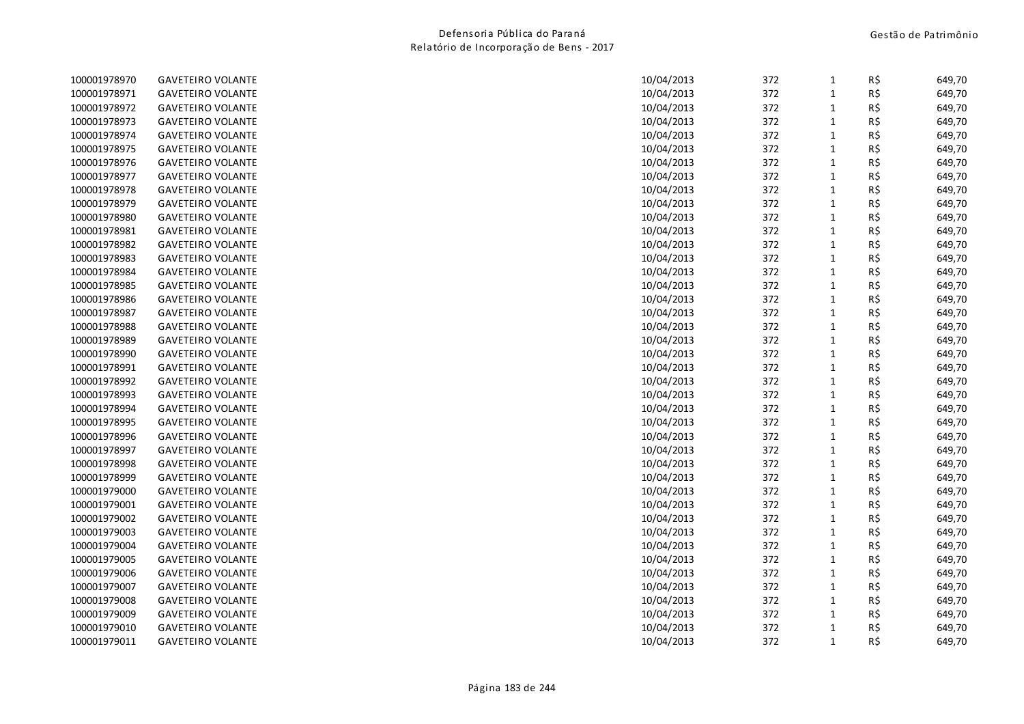| 100001978970 | <b>GAVETEIRO VOLANTE</b> | 10/04/2013 | 372 | $\mathbf{1}$ | R\$ | 649,70 |
|--------------|--------------------------|------------|-----|--------------|-----|--------|
| 100001978971 | <b>GAVETEIRO VOLANTE</b> | 10/04/2013 | 372 | $\mathbf 1$  | R\$ | 649,70 |
| 100001978972 | <b>GAVETEIRO VOLANTE</b> | 10/04/2013 | 372 | $\mathbf{1}$ | R\$ | 649,70 |
| 100001978973 | <b>GAVETEIRO VOLANTE</b> | 10/04/2013 | 372 | $\mathbf{1}$ | R\$ | 649,70 |
| 100001978974 | <b>GAVETEIRO VOLANTE</b> | 10/04/2013 | 372 | $\mathbf{1}$ | R\$ | 649,70 |
| 100001978975 | <b>GAVETEIRO VOLANTE</b> | 10/04/2013 | 372 | $\mathbf{1}$ | R\$ | 649,70 |
| 100001978976 | <b>GAVETEIRO VOLANTE</b> | 10/04/2013 | 372 | $\mathbf{1}$ | R\$ | 649,70 |
| 100001978977 | <b>GAVETEIRO VOLANTE</b> | 10/04/2013 | 372 | $\mathbf{1}$ | R\$ | 649,70 |
| 100001978978 | <b>GAVETEIRO VOLANTE</b> | 10/04/2013 | 372 | $\mathbf 1$  | R\$ | 649,70 |
| 100001978979 | <b>GAVETEIRO VOLANTE</b> | 10/04/2013 | 372 | $\mathbf{1}$ | R\$ | 649,70 |
| 100001978980 | <b>GAVETEIRO VOLANTE</b> | 10/04/2013 | 372 | $\mathbf{1}$ | R\$ | 649,70 |
| 100001978981 | <b>GAVETEIRO VOLANTE</b> | 10/04/2013 | 372 | $\mathbf{1}$ | R\$ | 649,70 |
| 100001978982 | <b>GAVETEIRO VOLANTE</b> | 10/04/2013 | 372 | $\mathbf{1}$ | R\$ | 649,70 |
| 100001978983 | <b>GAVETEIRO VOLANTE</b> | 10/04/2013 | 372 | $\mathbf{1}$ | R\$ | 649,70 |
| 100001978984 | <b>GAVETEIRO VOLANTE</b> | 10/04/2013 | 372 | $\mathbf{1}$ | R\$ | 649,70 |
| 100001978985 | <b>GAVETEIRO VOLANTE</b> | 10/04/2013 | 372 | $\mathbf{1}$ | R\$ | 649,70 |
| 100001978986 | <b>GAVETEIRO VOLANTE</b> | 10/04/2013 | 372 | $\mathbf{1}$ | R\$ | 649,70 |
| 100001978987 | <b>GAVETEIRO VOLANTE</b> | 10/04/2013 | 372 | $\mathbf 1$  | R\$ | 649,70 |
| 100001978988 | <b>GAVETEIRO VOLANTE</b> | 10/04/2013 | 372 | $\mathbf{1}$ | R\$ | 649,70 |
| 100001978989 | <b>GAVETEIRO VOLANTE</b> | 10/04/2013 | 372 | $\mathbf{1}$ | R\$ | 649,70 |
| 100001978990 | <b>GAVETEIRO VOLANTE</b> | 10/04/2013 | 372 | $\mathbf{1}$ | R\$ | 649,70 |
| 100001978991 | <b>GAVETEIRO VOLANTE</b> | 10/04/2013 | 372 | $\mathbf{1}$ | R\$ | 649,70 |
| 100001978992 | <b>GAVETEIRO VOLANTE</b> | 10/04/2013 | 372 | $\mathbf 1$  | R\$ | 649,70 |
| 100001978993 | <b>GAVETEIRO VOLANTE</b> | 10/04/2013 | 372 | $\mathbf{1}$ | R\$ | 649,70 |
| 100001978994 | <b>GAVETEIRO VOLANTE</b> | 10/04/2013 | 372 | $\mathbf{1}$ | R\$ | 649,70 |
| 100001978995 | <b>GAVETEIRO VOLANTE</b> | 10/04/2013 | 372 | $\mathbf{1}$ | R\$ | 649,70 |
| 100001978996 | <b>GAVETEIRO VOLANTE</b> | 10/04/2013 | 372 | $\mathbf 1$  | R\$ | 649,70 |
| 100001978997 | <b>GAVETEIRO VOLANTE</b> | 10/04/2013 | 372 | $\mathbf{1}$ | R\$ | 649,70 |
| 100001978998 | <b>GAVETEIRO VOLANTE</b> | 10/04/2013 | 372 | $\mathbf{1}$ | R\$ | 649,70 |
| 100001978999 | <b>GAVETEIRO VOLANTE</b> | 10/04/2013 | 372 | $\mathbf{1}$ | R\$ | 649,70 |
| 100001979000 | <b>GAVETEIRO VOLANTE</b> | 10/04/2013 | 372 | $\mathbf{1}$ | R\$ | 649,70 |
| 100001979001 | <b>GAVETEIRO VOLANTE</b> | 10/04/2013 | 372 | $\mathbf{1}$ | R\$ | 649,70 |
| 100001979002 | <b>GAVETEIRO VOLANTE</b> | 10/04/2013 | 372 | $\mathbf{1}$ | R\$ | 649,70 |
| 100001979003 | <b>GAVETEIRO VOLANTE</b> | 10/04/2013 | 372 | $\mathbf{1}$ | R\$ | 649,70 |
| 100001979004 | <b>GAVETEIRO VOLANTE</b> | 10/04/2013 | 372 | $\mathbf{1}$ | R\$ | 649,70 |
| 100001979005 | <b>GAVETEIRO VOLANTE</b> | 10/04/2013 | 372 | $\mathbf{1}$ | R\$ | 649,70 |
| 100001979006 | <b>GAVETEIRO VOLANTE</b> | 10/04/2013 | 372 | $\mathbf{1}$ | R\$ | 649,70 |
| 100001979007 | <b>GAVETEIRO VOLANTE</b> | 10/04/2013 | 372 | $\mathbf{1}$ | R\$ | 649,70 |
| 100001979008 | <b>GAVETEIRO VOLANTE</b> | 10/04/2013 | 372 | $\mathbf{1}$ | R\$ | 649,70 |
| 100001979009 | <b>GAVETEIRO VOLANTE</b> | 10/04/2013 | 372 | $\mathbf{1}$ | R\$ | 649,70 |
| 100001979010 | <b>GAVETEIRO VOLANTE</b> | 10/04/2013 | 372 | $\mathbf{1}$ | R\$ | 649,70 |
| 100001979011 | <b>GAVETEIRO VOLANTE</b> | 10/04/2013 | 372 | $\mathbf{1}$ | R\$ | 649,70 |
|              |                          |            |     |              |     |        |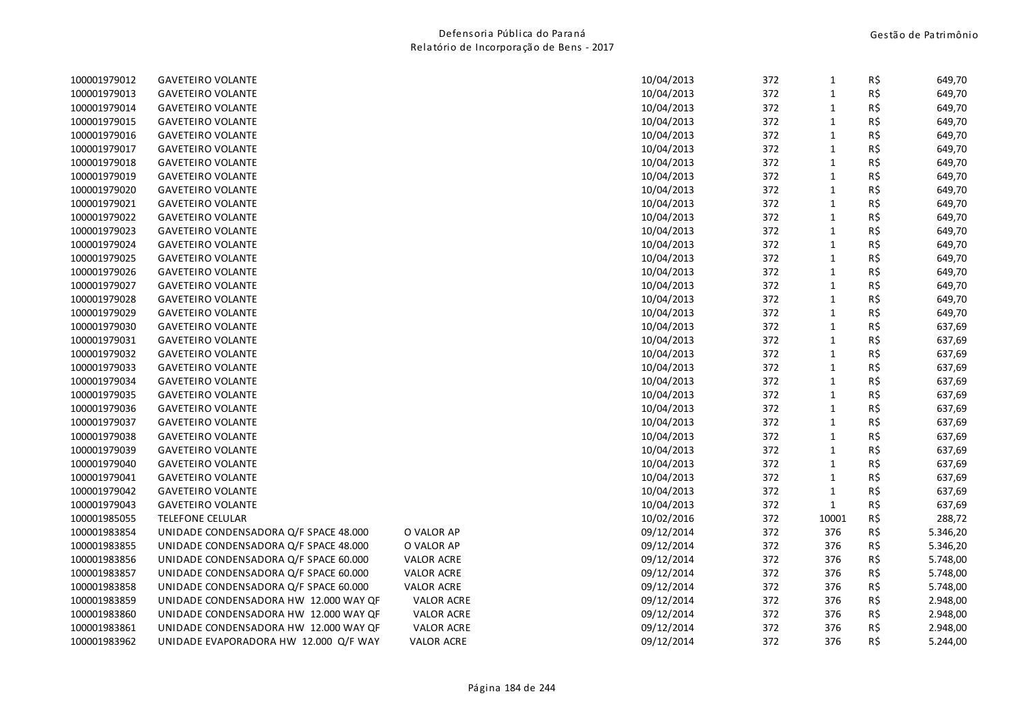| 10/04/2013<br>372<br>100001979013<br><b>GAVETEIRO VOLANTE</b><br>$1\,$<br>100001979014<br>10/04/2013<br>372<br>$1\,$<br><b>GAVETEIRO VOLANTE</b><br>372<br>100001979015<br><b>GAVETEIRO VOLANTE</b><br>10/04/2013<br>$\mathbf{1}$<br>$\mathbf 1$<br>100001979016<br><b>GAVETEIRO VOLANTE</b><br>10/04/2013<br>372<br>100001979017<br>10/04/2013<br>372<br>$\mathbf{1}$<br><b>GAVETEIRO VOLANTE</b><br>100001979018<br>10/04/2013<br>372<br>$\mathbf{1}$<br><b>GAVETEIRO VOLANTE</b><br>372<br>100001979019<br><b>GAVETEIRO VOLANTE</b><br>10/04/2013<br>$\mathbf{1}$<br>100001979020<br>10/04/2013<br>372<br>$1\,$<br><b>GAVETEIRO VOLANTE</b><br>10/04/2013<br>372<br>$\mathbf 1$<br>100001979021<br><b>GAVETEIRO VOLANTE</b><br>372<br>100001979022<br><b>GAVETEIRO VOLANTE</b><br>10/04/2013<br>$1\,$<br>372<br>$\mathbf{1}$<br>100001979023<br><b>GAVETEIRO VOLANTE</b><br>10/04/2013<br>100001979024<br><b>GAVETEIRO VOLANTE</b><br>10/04/2013<br>372<br>$\mathbf{1}$<br>100001979025<br>10/04/2013<br>372<br>$\mathbf{1}$<br><b>GAVETEIRO VOLANTE</b><br>372<br>$\mathbf{1}$<br>100001979026<br>10/04/2013<br><b>GAVETEIRO VOLANTE</b><br>10/04/2013<br>372<br>$\mathbf{1}$<br>100001979027<br><b>GAVETEIRO VOLANTE</b><br>10/04/2013<br>372<br>$\mathbf{1}$<br>100001979028<br><b>GAVETEIRO VOLANTE</b><br>100001979029<br>10/04/2013<br>372<br>$1\,$<br><b>GAVETEIRO VOLANTE</b><br>$\mathbf 1$<br>100001979030<br><b>GAVETEIRO VOLANTE</b><br>10/04/2013<br>372<br>100001979031<br>10/04/2013<br>372<br>$\mathbf{1}$<br><b>GAVETEIRO VOLANTE</b><br>$\mathbf{1}$<br>100001979032<br><b>GAVETEIRO VOLANTE</b><br>10/04/2013<br>372<br>10/04/2013<br>372<br>$\mathbf{1}$<br>100001979033<br><b>GAVETEIRO VOLANTE</b><br>372<br>$\mathbf 1$<br>100001979034<br><b>GAVETEIRO VOLANTE</b><br>10/04/2013<br>10/04/2013<br>372<br>$1\,$<br>100001979035<br><b>GAVETEIRO VOLANTE</b><br>372<br>100001979036<br><b>GAVETEIRO VOLANTE</b><br>10/04/2013<br>$\mathbf{1}$<br>372<br>100001979037<br><b>GAVETEIRO VOLANTE</b><br>10/04/2013<br>$\mathbf{1}$ | R\$<br>649,70<br>R\$<br>649,70<br>R\$<br>649,70<br>R\$<br>649,70<br>R\$<br>649,70<br>R\$<br>649,70<br>R\$<br>649,70<br>R\$<br>649,70<br>R\$<br>649,70<br>649,70<br>R\$<br>R\$<br>649,70<br>R\$<br>649,70<br>R\$<br>649,70 |
|---------------------------------------------------------------------------------------------------------------------------------------------------------------------------------------------------------------------------------------------------------------------------------------------------------------------------------------------------------------------------------------------------------------------------------------------------------------------------------------------------------------------------------------------------------------------------------------------------------------------------------------------------------------------------------------------------------------------------------------------------------------------------------------------------------------------------------------------------------------------------------------------------------------------------------------------------------------------------------------------------------------------------------------------------------------------------------------------------------------------------------------------------------------------------------------------------------------------------------------------------------------------------------------------------------------------------------------------------------------------------------------------------------------------------------------------------------------------------------------------------------------------------------------------------------------------------------------------------------------------------------------------------------------------------------------------------------------------------------------------------------------------------------------------------------------------------------------------------------------------------------------------------------------------------------------------------------------------------------------------------------------------------------------------------------|---------------------------------------------------------------------------------------------------------------------------------------------------------------------------------------------------------------------------|
|                                                                                                                                                                                                                                                                                                                                                                                                                                                                                                                                                                                                                                                                                                                                                                                                                                                                                                                                                                                                                                                                                                                                                                                                                                                                                                                                                                                                                                                                                                                                                                                                                                                                                                                                                                                                                                                                                                                                                                                                                                                         |                                                                                                                                                                                                                           |
|                                                                                                                                                                                                                                                                                                                                                                                                                                                                                                                                                                                                                                                                                                                                                                                                                                                                                                                                                                                                                                                                                                                                                                                                                                                                                                                                                                                                                                                                                                                                                                                                                                                                                                                                                                                                                                                                                                                                                                                                                                                         |                                                                                                                                                                                                                           |
|                                                                                                                                                                                                                                                                                                                                                                                                                                                                                                                                                                                                                                                                                                                                                                                                                                                                                                                                                                                                                                                                                                                                                                                                                                                                                                                                                                                                                                                                                                                                                                                                                                                                                                                                                                                                                                                                                                                                                                                                                                                         |                                                                                                                                                                                                                           |
|                                                                                                                                                                                                                                                                                                                                                                                                                                                                                                                                                                                                                                                                                                                                                                                                                                                                                                                                                                                                                                                                                                                                                                                                                                                                                                                                                                                                                                                                                                                                                                                                                                                                                                                                                                                                                                                                                                                                                                                                                                                         |                                                                                                                                                                                                                           |
|                                                                                                                                                                                                                                                                                                                                                                                                                                                                                                                                                                                                                                                                                                                                                                                                                                                                                                                                                                                                                                                                                                                                                                                                                                                                                                                                                                                                                                                                                                                                                                                                                                                                                                                                                                                                                                                                                                                                                                                                                                                         |                                                                                                                                                                                                                           |
|                                                                                                                                                                                                                                                                                                                                                                                                                                                                                                                                                                                                                                                                                                                                                                                                                                                                                                                                                                                                                                                                                                                                                                                                                                                                                                                                                                                                                                                                                                                                                                                                                                                                                                                                                                                                                                                                                                                                                                                                                                                         |                                                                                                                                                                                                                           |
|                                                                                                                                                                                                                                                                                                                                                                                                                                                                                                                                                                                                                                                                                                                                                                                                                                                                                                                                                                                                                                                                                                                                                                                                                                                                                                                                                                                                                                                                                                                                                                                                                                                                                                                                                                                                                                                                                                                                                                                                                                                         |                                                                                                                                                                                                                           |
|                                                                                                                                                                                                                                                                                                                                                                                                                                                                                                                                                                                                                                                                                                                                                                                                                                                                                                                                                                                                                                                                                                                                                                                                                                                                                                                                                                                                                                                                                                                                                                                                                                                                                                                                                                                                                                                                                                                                                                                                                                                         |                                                                                                                                                                                                                           |
|                                                                                                                                                                                                                                                                                                                                                                                                                                                                                                                                                                                                                                                                                                                                                                                                                                                                                                                                                                                                                                                                                                                                                                                                                                                                                                                                                                                                                                                                                                                                                                                                                                                                                                                                                                                                                                                                                                                                                                                                                                                         |                                                                                                                                                                                                                           |
|                                                                                                                                                                                                                                                                                                                                                                                                                                                                                                                                                                                                                                                                                                                                                                                                                                                                                                                                                                                                                                                                                                                                                                                                                                                                                                                                                                                                                                                                                                                                                                                                                                                                                                                                                                                                                                                                                                                                                                                                                                                         |                                                                                                                                                                                                                           |
|                                                                                                                                                                                                                                                                                                                                                                                                                                                                                                                                                                                                                                                                                                                                                                                                                                                                                                                                                                                                                                                                                                                                                                                                                                                                                                                                                                                                                                                                                                                                                                                                                                                                                                                                                                                                                                                                                                                                                                                                                                                         |                                                                                                                                                                                                                           |
|                                                                                                                                                                                                                                                                                                                                                                                                                                                                                                                                                                                                                                                                                                                                                                                                                                                                                                                                                                                                                                                                                                                                                                                                                                                                                                                                                                                                                                                                                                                                                                                                                                                                                                                                                                                                                                                                                                                                                                                                                                                         |                                                                                                                                                                                                                           |
|                                                                                                                                                                                                                                                                                                                                                                                                                                                                                                                                                                                                                                                                                                                                                                                                                                                                                                                                                                                                                                                                                                                                                                                                                                                                                                                                                                                                                                                                                                                                                                                                                                                                                                                                                                                                                                                                                                                                                                                                                                                         |                                                                                                                                                                                                                           |
|                                                                                                                                                                                                                                                                                                                                                                                                                                                                                                                                                                                                                                                                                                                                                                                                                                                                                                                                                                                                                                                                                                                                                                                                                                                                                                                                                                                                                                                                                                                                                                                                                                                                                                                                                                                                                                                                                                                                                                                                                                                         | R\$<br>649,70                                                                                                                                                                                                             |
|                                                                                                                                                                                                                                                                                                                                                                                                                                                                                                                                                                                                                                                                                                                                                                                                                                                                                                                                                                                                                                                                                                                                                                                                                                                                                                                                                                                                                                                                                                                                                                                                                                                                                                                                                                                                                                                                                                                                                                                                                                                         | R\$<br>649,70                                                                                                                                                                                                             |
|                                                                                                                                                                                                                                                                                                                                                                                                                                                                                                                                                                                                                                                                                                                                                                                                                                                                                                                                                                                                                                                                                                                                                                                                                                                                                                                                                                                                                                                                                                                                                                                                                                                                                                                                                                                                                                                                                                                                                                                                                                                         | R\$<br>649,70                                                                                                                                                                                                             |
|                                                                                                                                                                                                                                                                                                                                                                                                                                                                                                                                                                                                                                                                                                                                                                                                                                                                                                                                                                                                                                                                                                                                                                                                                                                                                                                                                                                                                                                                                                                                                                                                                                                                                                                                                                                                                                                                                                                                                                                                                                                         | R\$<br>649,70                                                                                                                                                                                                             |
|                                                                                                                                                                                                                                                                                                                                                                                                                                                                                                                                                                                                                                                                                                                                                                                                                                                                                                                                                                                                                                                                                                                                                                                                                                                                                                                                                                                                                                                                                                                                                                                                                                                                                                                                                                                                                                                                                                                                                                                                                                                         | R\$<br>637,69                                                                                                                                                                                                             |
|                                                                                                                                                                                                                                                                                                                                                                                                                                                                                                                                                                                                                                                                                                                                                                                                                                                                                                                                                                                                                                                                                                                                                                                                                                                                                                                                                                                                                                                                                                                                                                                                                                                                                                                                                                                                                                                                                                                                                                                                                                                         | R\$<br>637,69                                                                                                                                                                                                             |
|                                                                                                                                                                                                                                                                                                                                                                                                                                                                                                                                                                                                                                                                                                                                                                                                                                                                                                                                                                                                                                                                                                                                                                                                                                                                                                                                                                                                                                                                                                                                                                                                                                                                                                                                                                                                                                                                                                                                                                                                                                                         | R\$<br>637,69                                                                                                                                                                                                             |
|                                                                                                                                                                                                                                                                                                                                                                                                                                                                                                                                                                                                                                                                                                                                                                                                                                                                                                                                                                                                                                                                                                                                                                                                                                                                                                                                                                                                                                                                                                                                                                                                                                                                                                                                                                                                                                                                                                                                                                                                                                                         | R\$<br>637,69                                                                                                                                                                                                             |
|                                                                                                                                                                                                                                                                                                                                                                                                                                                                                                                                                                                                                                                                                                                                                                                                                                                                                                                                                                                                                                                                                                                                                                                                                                                                                                                                                                                                                                                                                                                                                                                                                                                                                                                                                                                                                                                                                                                                                                                                                                                         | R\$<br>637,69                                                                                                                                                                                                             |
|                                                                                                                                                                                                                                                                                                                                                                                                                                                                                                                                                                                                                                                                                                                                                                                                                                                                                                                                                                                                                                                                                                                                                                                                                                                                                                                                                                                                                                                                                                                                                                                                                                                                                                                                                                                                                                                                                                                                                                                                                                                         | R\$<br>637,69                                                                                                                                                                                                             |
|                                                                                                                                                                                                                                                                                                                                                                                                                                                                                                                                                                                                                                                                                                                                                                                                                                                                                                                                                                                                                                                                                                                                                                                                                                                                                                                                                                                                                                                                                                                                                                                                                                                                                                                                                                                                                                                                                                                                                                                                                                                         | R\$<br>637,69                                                                                                                                                                                                             |
|                                                                                                                                                                                                                                                                                                                                                                                                                                                                                                                                                                                                                                                                                                                                                                                                                                                                                                                                                                                                                                                                                                                                                                                                                                                                                                                                                                                                                                                                                                                                                                                                                                                                                                                                                                                                                                                                                                                                                                                                                                                         | R\$<br>637,69                                                                                                                                                                                                             |
| 372<br>100001979038<br><b>GAVETEIRO VOLANTE</b><br>10/04/2013<br>$\mathbf{1}$                                                                                                                                                                                                                                                                                                                                                                                                                                                                                                                                                                                                                                                                                                                                                                                                                                                                                                                                                                                                                                                                                                                                                                                                                                                                                                                                                                                                                                                                                                                                                                                                                                                                                                                                                                                                                                                                                                                                                                           | R\$<br>637,69                                                                                                                                                                                                             |
| $\mathbf 1$<br>100001979039<br>10/04/2013<br>372<br><b>GAVETEIRO VOLANTE</b>                                                                                                                                                                                                                                                                                                                                                                                                                                                                                                                                                                                                                                                                                                                                                                                                                                                                                                                                                                                                                                                                                                                                                                                                                                                                                                                                                                                                                                                                                                                                                                                                                                                                                                                                                                                                                                                                                                                                                                            | R\$<br>637,69                                                                                                                                                                                                             |
| 10/04/2013<br>372<br>$\mathbf{1}$<br>100001979040<br><b>GAVETEIRO VOLANTE</b>                                                                                                                                                                                                                                                                                                                                                                                                                                                                                                                                                                                                                                                                                                                                                                                                                                                                                                                                                                                                                                                                                                                                                                                                                                                                                                                                                                                                                                                                                                                                                                                                                                                                                                                                                                                                                                                                                                                                                                           | R\$<br>637,69                                                                                                                                                                                                             |
| 100001979041<br><b>GAVETEIRO VOLANTE</b><br>10/04/2013<br>372<br>$\mathbf{1}$                                                                                                                                                                                                                                                                                                                                                                                                                                                                                                                                                                                                                                                                                                                                                                                                                                                                                                                                                                                                                                                                                                                                                                                                                                                                                                                                                                                                                                                                                                                                                                                                                                                                                                                                                                                                                                                                                                                                                                           | R\$<br>637,69                                                                                                                                                                                                             |
| 372<br>100001979042<br><b>GAVETEIRO VOLANTE</b><br>10/04/2013<br>$\mathbf{1}$                                                                                                                                                                                                                                                                                                                                                                                                                                                                                                                                                                                                                                                                                                                                                                                                                                                                                                                                                                                                                                                                                                                                                                                                                                                                                                                                                                                                                                                                                                                                                                                                                                                                                                                                                                                                                                                                                                                                                                           | R\$<br>637,69                                                                                                                                                                                                             |
| $\mathbf 1$<br>100001979043<br><b>GAVETEIRO VOLANTE</b><br>10/04/2013<br>372                                                                                                                                                                                                                                                                                                                                                                                                                                                                                                                                                                                                                                                                                                                                                                                                                                                                                                                                                                                                                                                                                                                                                                                                                                                                                                                                                                                                                                                                                                                                                                                                                                                                                                                                                                                                                                                                                                                                                                            | R\$<br>637,69                                                                                                                                                                                                             |
| 372<br>10001<br>100001985055<br><b>TELEFONE CELULAR</b><br>10/02/2016                                                                                                                                                                                                                                                                                                                                                                                                                                                                                                                                                                                                                                                                                                                                                                                                                                                                                                                                                                                                                                                                                                                                                                                                                                                                                                                                                                                                                                                                                                                                                                                                                                                                                                                                                                                                                                                                                                                                                                                   | R\$<br>288,72                                                                                                                                                                                                             |
| 100001983854<br>UNIDADE CONDENSADORA Q/F SPACE 48.000<br>O VALOR AP<br>09/12/2014<br>372<br>376                                                                                                                                                                                                                                                                                                                                                                                                                                                                                                                                                                                                                                                                                                                                                                                                                                                                                                                                                                                                                                                                                                                                                                                                                                                                                                                                                                                                                                                                                                                                                                                                                                                                                                                                                                                                                                                                                                                                                         | R\$<br>5.346,20                                                                                                                                                                                                           |
| 376<br>100001983855<br>UNIDADE CONDENSADORA Q/F SPACE 48.000<br>O VALOR AP<br>09/12/2014<br>372                                                                                                                                                                                                                                                                                                                                                                                                                                                                                                                                                                                                                                                                                                                                                                                                                                                                                                                                                                                                                                                                                                                                                                                                                                                                                                                                                                                                                                                                                                                                                                                                                                                                                                                                                                                                                                                                                                                                                         | R\$<br>5.346,20                                                                                                                                                                                                           |
| 376<br>100001983856<br>UNIDADE CONDENSADORA Q/F SPACE 60.000<br><b>VALOR ACRE</b><br>09/12/2014<br>372                                                                                                                                                                                                                                                                                                                                                                                                                                                                                                                                                                                                                                                                                                                                                                                                                                                                                                                                                                                                                                                                                                                                                                                                                                                                                                                                                                                                                                                                                                                                                                                                                                                                                                                                                                                                                                                                                                                                                  | R\$<br>5.748,00                                                                                                                                                                                                           |
| 09/12/2014<br>372<br>376<br>100001983857<br>UNIDADE CONDENSADORA Q/F SPACE 60.000<br><b>VALOR ACRE</b>                                                                                                                                                                                                                                                                                                                                                                                                                                                                                                                                                                                                                                                                                                                                                                                                                                                                                                                                                                                                                                                                                                                                                                                                                                                                                                                                                                                                                                                                                                                                                                                                                                                                                                                                                                                                                                                                                                                                                  | R\$<br>5.748,00                                                                                                                                                                                                           |
| 376<br>100001983858<br>UNIDADE CONDENSADORA Q/F SPACE 60.000<br><b>VALOR ACRE</b><br>09/12/2014<br>372                                                                                                                                                                                                                                                                                                                                                                                                                                                                                                                                                                                                                                                                                                                                                                                                                                                                                                                                                                                                                                                                                                                                                                                                                                                                                                                                                                                                                                                                                                                                                                                                                                                                                                                                                                                                                                                                                                                                                  | R\$<br>5.748,00                                                                                                                                                                                                           |
| <b>VALOR ACRE</b><br>09/12/2014<br>372<br>376<br>100001983859<br>UNIDADE CONDENSADORA HW 12.000 WAY QF                                                                                                                                                                                                                                                                                                                                                                                                                                                                                                                                                                                                                                                                                                                                                                                                                                                                                                                                                                                                                                                                                                                                                                                                                                                                                                                                                                                                                                                                                                                                                                                                                                                                                                                                                                                                                                                                                                                                                  | R\$<br>2.948,00                                                                                                                                                                                                           |
| <b>VALOR ACRE</b><br>372<br>376<br>100001983860<br>UNIDADE CONDENSADORA HW 12.000 WAY QF<br>09/12/2014                                                                                                                                                                                                                                                                                                                                                                                                                                                                                                                                                                                                                                                                                                                                                                                                                                                                                                                                                                                                                                                                                                                                                                                                                                                                                                                                                                                                                                                                                                                                                                                                                                                                                                                                                                                                                                                                                                                                                  | R\$<br>2.948,00                                                                                                                                                                                                           |
| 372<br>376<br>100001983861<br>UNIDADE CONDENSADORA HW 12.000 WAY QF<br><b>VALOR ACRE</b><br>09/12/2014                                                                                                                                                                                                                                                                                                                                                                                                                                                                                                                                                                                                                                                                                                                                                                                                                                                                                                                                                                                                                                                                                                                                                                                                                                                                                                                                                                                                                                                                                                                                                                                                                                                                                                                                                                                                                                                                                                                                                  | R\$<br>2.948,00                                                                                                                                                                                                           |
| 100001983962<br>09/12/2014<br>372<br>376<br>UNIDADE EVAPORADORA HW 12.000 Q/F WAY<br><b>VALOR ACRE</b>                                                                                                                                                                                                                                                                                                                                                                                                                                                                                                                                                                                                                                                                                                                                                                                                                                                                                                                                                                                                                                                                                                                                                                                                                                                                                                                                                                                                                                                                                                                                                                                                                                                                                                                                                                                                                                                                                                                                                  | R\$<br>5.244,00                                                                                                                                                                                                           |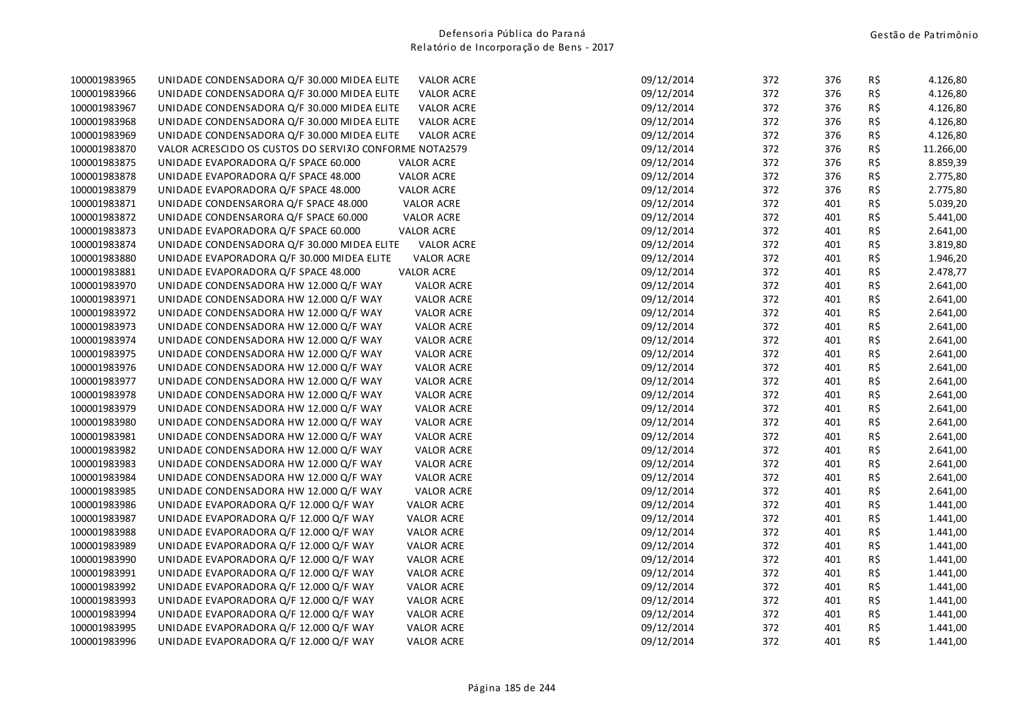| 100001983965 | UNIDADE CONDENSADORA Q/F 30.000 MIDEA ELITE            | <b>VALOR ACRE</b> | 09/12/2014 | 372 | 376 | R\$ | 4.126,80  |
|--------------|--------------------------------------------------------|-------------------|------------|-----|-----|-----|-----------|
| 100001983966 | UNIDADE CONDENSADORA Q/F 30.000 MIDEA ELITE            | <b>VALOR ACRE</b> | 09/12/2014 | 372 | 376 | R\$ | 4.126,80  |
| 100001983967 | UNIDADE CONDENSADORA Q/F 30.000 MIDEA ELITE            | <b>VALOR ACRE</b> | 09/12/2014 | 372 | 376 | R\$ | 4.126,80  |
| 100001983968 | UNIDADE CONDENSADORA Q/F 30.000 MIDEA ELITE            | <b>VALOR ACRE</b> | 09/12/2014 | 372 | 376 | R\$ | 4.126,80  |
| 100001983969 | UNIDADE CONDENSADORA Q/F 30.000 MIDEA ELITE            | <b>VALOR ACRE</b> | 09/12/2014 | 372 | 376 | R\$ | 4.126,80  |
| 100001983870 | VALOR ACRESCIDO OS CUSTOS DO SERVIJO CONFORME NOTA2579 |                   | 09/12/2014 | 372 | 376 | R\$ | 11.266,00 |
| 100001983875 | UNIDADE EVAPORADORA Q/F SPACE 60.000                   | <b>VALOR ACRE</b> | 09/12/2014 | 372 | 376 | R\$ | 8.859,39  |
| 100001983878 | UNIDADE EVAPORADORA Q/F SPACE 48.000                   | <b>VALOR ACRE</b> | 09/12/2014 | 372 | 376 | R\$ | 2.775,80  |
| 100001983879 | UNIDADE EVAPORADORA Q/F SPACE 48.000                   | <b>VALOR ACRE</b> | 09/12/2014 | 372 | 376 | R\$ | 2.775,80  |
| 100001983871 | UNIDADE CONDENSARORA Q/F SPACE 48.000                  | <b>VALOR ACRE</b> | 09/12/2014 | 372 | 401 | R\$ | 5.039,20  |
| 100001983872 | UNIDADE CONDENSARORA Q/F SPACE 60.000                  | <b>VALOR ACRE</b> | 09/12/2014 | 372 | 401 | R\$ | 5.441,00  |
| 100001983873 | UNIDADE EVAPORADORA Q/F SPACE 60.000                   | <b>VALOR ACRE</b> | 09/12/2014 | 372 | 401 | R\$ | 2.641,00  |
| 100001983874 | UNIDADE CONDENSADORA Q/F 30.000 MIDEA ELITE            | <b>VALOR ACRE</b> | 09/12/2014 | 372 | 401 | R\$ | 3.819,80  |
| 100001983880 | UNIDADE EVAPORADORA Q/F 30.000 MIDEA ELITE             | <b>VALOR ACRE</b> | 09/12/2014 | 372 | 401 | R\$ | 1.946,20  |
| 100001983881 | UNIDADE EVAPORADORA Q/F SPACE 48.000                   | <b>VALOR ACRE</b> | 09/12/2014 | 372 | 401 | R\$ | 2.478,77  |
| 100001983970 | UNIDADE CONDENSADORA HW 12.000 Q/F WAY                 | <b>VALOR ACRE</b> | 09/12/2014 | 372 | 401 | R\$ | 2.641,00  |
| 100001983971 | UNIDADE CONDENSADORA HW 12.000 Q/F WAY                 | VALOR ACRE        | 09/12/2014 | 372 | 401 | R\$ | 2.641,00  |
| 100001983972 | UNIDADE CONDENSADORA HW 12.000 Q/F WAY                 | <b>VALOR ACRE</b> | 09/12/2014 | 372 | 401 | R\$ | 2.641,00  |
| 100001983973 | UNIDADE CONDENSADORA HW 12.000 Q/F WAY                 | <b>VALOR ACRE</b> | 09/12/2014 | 372 | 401 | R\$ | 2.641,00  |
| 100001983974 | UNIDADE CONDENSADORA HW 12.000 Q/F WAY                 | VALOR ACRE        | 09/12/2014 | 372 | 401 | R\$ | 2.641,00  |
| 100001983975 | UNIDADE CONDENSADORA HW 12.000 Q/F WAY                 | <b>VALOR ACRE</b> | 09/12/2014 | 372 | 401 | R\$ | 2.641,00  |
| 100001983976 | UNIDADE CONDENSADORA HW 12.000 Q/F WAY                 | <b>VALOR ACRE</b> | 09/12/2014 | 372 | 401 | R\$ | 2.641,00  |
| 100001983977 | UNIDADE CONDENSADORA HW 12.000 Q/F WAY                 | <b>VALOR ACRE</b> | 09/12/2014 | 372 | 401 | R\$ | 2.641,00  |
| 100001983978 | UNIDADE CONDENSADORA HW 12.000 Q/F WAY                 | <b>VALOR ACRE</b> | 09/12/2014 | 372 | 401 | R\$ | 2.641,00  |
| 100001983979 | UNIDADE CONDENSADORA HW 12.000 Q/F WAY                 | <b>VALOR ACRE</b> | 09/12/2014 | 372 | 401 | R\$ | 2.641,00  |
| 100001983980 | UNIDADE CONDENSADORA HW 12.000 Q/F WAY                 | <b>VALOR ACRE</b> | 09/12/2014 | 372 | 401 | R\$ | 2.641,00  |
| 100001983981 | UNIDADE CONDENSADORA HW 12.000 Q/F WAY                 | <b>VALOR ACRE</b> | 09/12/2014 | 372 | 401 | R\$ | 2.641,00  |
| 100001983982 | UNIDADE CONDENSADORA HW 12.000 Q/F WAY                 | <b>VALOR ACRE</b> | 09/12/2014 | 372 | 401 | R\$ | 2.641,00  |
| 100001983983 | UNIDADE CONDENSADORA HW 12.000 Q/F WAY                 | <b>VALOR ACRE</b> | 09/12/2014 | 372 | 401 | R\$ | 2.641,00  |
| 100001983984 | UNIDADE CONDENSADORA HW 12.000 Q/F WAY                 | VALOR ACRE        | 09/12/2014 | 372 | 401 | R\$ | 2.641,00  |
| 100001983985 | UNIDADE CONDENSADORA HW 12.000 Q/F WAY                 | <b>VALOR ACRE</b> | 09/12/2014 | 372 | 401 | R\$ | 2.641,00  |
| 100001983986 | UNIDADE EVAPORADORA Q/F 12.000 Q/F WAY                 | <b>VALOR ACRE</b> | 09/12/2014 | 372 | 401 | R\$ | 1.441,00  |
| 100001983987 | UNIDADE EVAPORADORA Q/F 12.000 Q/F WAY                 | <b>VALOR ACRE</b> | 09/12/2014 | 372 | 401 | R\$ | 1.441,00  |
| 100001983988 | UNIDADE EVAPORADORA Q/F 12.000 Q/F WAY                 | <b>VALOR ACRE</b> | 09/12/2014 | 372 | 401 | R\$ | 1.441,00  |
| 100001983989 | UNIDADE EVAPORADORA Q/F 12.000 Q/F WAY                 | <b>VALOR ACRE</b> | 09/12/2014 | 372 | 401 | R\$ | 1.441,00  |
| 100001983990 | UNIDADE EVAPORADORA Q/F 12.000 Q/F WAY                 | <b>VALOR ACRE</b> | 09/12/2014 | 372 | 401 | R\$ | 1.441,00  |
| 100001983991 | UNIDADE EVAPORADORA Q/F 12.000 Q/F WAY                 | <b>VALOR ACRE</b> | 09/12/2014 | 372 | 401 | R\$ | 1.441,00  |
| 100001983992 | UNIDADE EVAPORADORA Q/F 12.000 Q/F WAY                 | <b>VALOR ACRE</b> | 09/12/2014 | 372 | 401 | R\$ | 1.441,00  |
| 100001983993 | UNIDADE EVAPORADORA Q/F 12.000 Q/F WAY                 | <b>VALOR ACRE</b> | 09/12/2014 | 372 | 401 | R\$ | 1.441,00  |
| 100001983994 | UNIDADE EVAPORADORA Q/F 12.000 Q/F WAY                 | <b>VALOR ACRE</b> | 09/12/2014 | 372 | 401 | R\$ | 1.441,00  |
| 100001983995 | UNIDADE EVAPORADORA Q/F 12.000 Q/F WAY                 | <b>VALOR ACRE</b> | 09/12/2014 | 372 | 401 | R\$ | 1.441,00  |
| 100001983996 | UNIDADE EVAPORADORA Q/F 12.000 Q/F WAY                 | <b>VALOR ACRE</b> | 09/12/2014 | 372 | 401 | R\$ | 1.441,00  |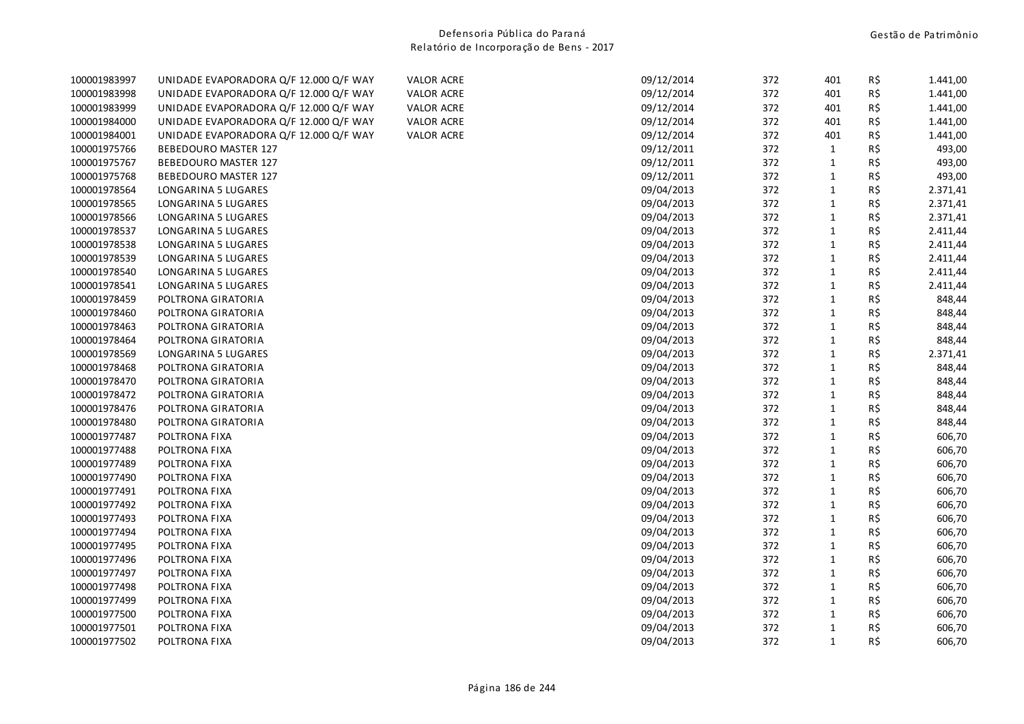| 100001983997 | UNIDADE EVAPORADORA Q/F 12.000 Q/F WAY | <b>VALOR ACRE</b> | 09/12/2014 | 372 | 401          | R\$ | 1.441,00 |
|--------------|----------------------------------------|-------------------|------------|-----|--------------|-----|----------|
| 100001983998 | UNIDADE EVAPORADORA Q/F 12.000 Q/F WAY | <b>VALOR ACRE</b> | 09/12/2014 | 372 | 401          | R\$ | 1.441,00 |
| 100001983999 | UNIDADE EVAPORADORA Q/F 12.000 Q/F WAY | <b>VALOR ACRE</b> | 09/12/2014 | 372 | 401          | R\$ | 1.441,00 |
| 100001984000 | UNIDADE EVAPORADORA Q/F 12.000 Q/F WAY | <b>VALOR ACRE</b> | 09/12/2014 | 372 | 401          | R\$ | 1.441,00 |
| 100001984001 | UNIDADE EVAPORADORA Q/F 12.000 Q/F WAY | <b>VALOR ACRE</b> | 09/12/2014 | 372 | 401          | R\$ | 1.441,00 |
| 100001975766 | <b>BEBEDOURO MASTER 127</b>            |                   | 09/12/2011 | 372 | $\mathbf{1}$ | R\$ | 493,00   |
| 100001975767 | <b>BEBEDOURO MASTER 127</b>            |                   | 09/12/2011 | 372 | $\mathbf 1$  | R\$ | 493,00   |
| 100001975768 | <b>BEBEDOURO MASTER 127</b>            |                   | 09/12/2011 | 372 | $\mathbf{1}$ | R\$ | 493,00   |
| 100001978564 | LONGARINA 5 LUGARES                    |                   | 09/04/2013 | 372 | $\mathbf 1$  | R\$ | 2.371,41 |
| 100001978565 | LONGARINA 5 LUGARES                    |                   | 09/04/2013 | 372 | $\mathbf{1}$ | R\$ | 2.371,41 |
| 100001978566 | LONGARINA 5 LUGARES                    |                   | 09/04/2013 | 372 | $\mathbf{1}$ | R\$ | 2.371,41 |
| 100001978537 | LONGARINA 5 LUGARES                    |                   | 09/04/2013 | 372 | $\mathbf{1}$ | R\$ | 2.411,44 |
| 100001978538 | LONGARINA 5 LUGARES                    |                   | 09/04/2013 | 372 | $\mathbf{1}$ | R\$ | 2.411,44 |
| 100001978539 | LONGARINA 5 LUGARES                    |                   | 09/04/2013 | 372 | $\mathbf{1}$ | R\$ | 2.411,44 |
| 100001978540 | LONGARINA 5 LUGARES                    |                   | 09/04/2013 | 372 | $\mathbf{1}$ | R\$ | 2.411,44 |
| 100001978541 | LONGARINA 5 LUGARES                    |                   | 09/04/2013 | 372 | $\mathbf{1}$ | R\$ | 2.411,44 |
| 100001978459 | POLTRONA GIRATORIA                     |                   | 09/04/2013 | 372 | $\mathbf{1}$ | R\$ | 848,44   |
| 100001978460 | POLTRONA GIRATORIA                     |                   | 09/04/2013 | 372 | $\mathbf{1}$ | R\$ | 848,44   |
| 100001978463 | POLTRONA GIRATORIA                     |                   | 09/04/2013 | 372 | $\mathbf{1}$ | R\$ | 848,44   |
| 100001978464 | POLTRONA GIRATORIA                     |                   | 09/04/2013 | 372 | $\mathbf 1$  | R\$ | 848,44   |
| 100001978569 | LONGARINA 5 LUGARES                    |                   | 09/04/2013 | 372 | $\mathbf{1}$ | R\$ | 2.371,41 |
| 100001978468 | POLTRONA GIRATORIA                     |                   | 09/04/2013 | 372 | $\mathbf{1}$ | R\$ | 848,44   |
| 100001978470 | POLTRONA GIRATORIA                     |                   | 09/04/2013 | 372 | $\mathbf{1}$ | R\$ | 848,44   |
| 100001978472 | POLTRONA GIRATORIA                     |                   | 09/04/2013 | 372 | $\mathbf{1}$ | R\$ | 848,44   |
| 100001978476 | POLTRONA GIRATORIA                     |                   | 09/04/2013 | 372 | $\mathbf{1}$ | R\$ | 848,44   |
| 100001978480 | POLTRONA GIRATORIA                     |                   | 09/04/2013 | 372 | $\mathbf{1}$ | R\$ | 848,44   |
| 100001977487 | POLTRONA FIXA                          |                   | 09/04/2013 | 372 | $\mathbf{1}$ | R\$ | 606,70   |
| 100001977488 | POLTRONA FIXA                          |                   | 09/04/2013 | 372 | $\mathbf{1}$ | R\$ | 606,70   |
| 100001977489 | POLTRONA FIXA                          |                   | 09/04/2013 | 372 | $\mathbf{1}$ | R\$ | 606,70   |
| 100001977490 | POLTRONA FIXA                          |                   | 09/04/2013 | 372 | $\mathbf 1$  | R\$ | 606,70   |
| 100001977491 | POLTRONA FIXA                          |                   | 09/04/2013 | 372 | $\mathbf{1}$ | R\$ | 606,70   |
| 100001977492 | POLTRONA FIXA                          |                   | 09/04/2013 | 372 | $\mathbf{1}$ | R\$ | 606,70   |
| 100001977493 | POLTRONA FIXA                          |                   | 09/04/2013 | 372 | $\mathbf{1}$ | R\$ | 606,70   |
| 100001977494 | POLTRONA FIXA                          |                   | 09/04/2013 | 372 | $\mathbf{1}$ | R\$ | 606,70   |
| 100001977495 | POLTRONA FIXA                          |                   | 09/04/2013 | 372 | $\mathbf{1}$ | R\$ | 606,70   |
| 100001977496 | POLTRONA FIXA                          |                   | 09/04/2013 | 372 | $\mathbf{1}$ | R\$ | 606,70   |
| 100001977497 | POLTRONA FIXA                          |                   | 09/04/2013 | 372 | $\mathbf 1$  | R\$ | 606,70   |
| 100001977498 | POLTRONA FIXA                          |                   | 09/04/2013 | 372 | $\mathbf{1}$ | R\$ | 606,70   |
| 100001977499 | POLTRONA FIXA                          |                   | 09/04/2013 | 372 | $\mathbf{1}$ | R\$ | 606,70   |
| 100001977500 | POLTRONA FIXA                          |                   | 09/04/2013 | 372 | $\mathbf{1}$ | R\$ | 606,70   |
| 100001977501 | POLTRONA FIXA                          |                   | 09/04/2013 | 372 | $\mathbf{1}$ | R\$ | 606,70   |
| 100001977502 | POLTRONA FIXA                          |                   | 09/04/2013 | 372 | $\mathbf{1}$ | R\$ | 606,70   |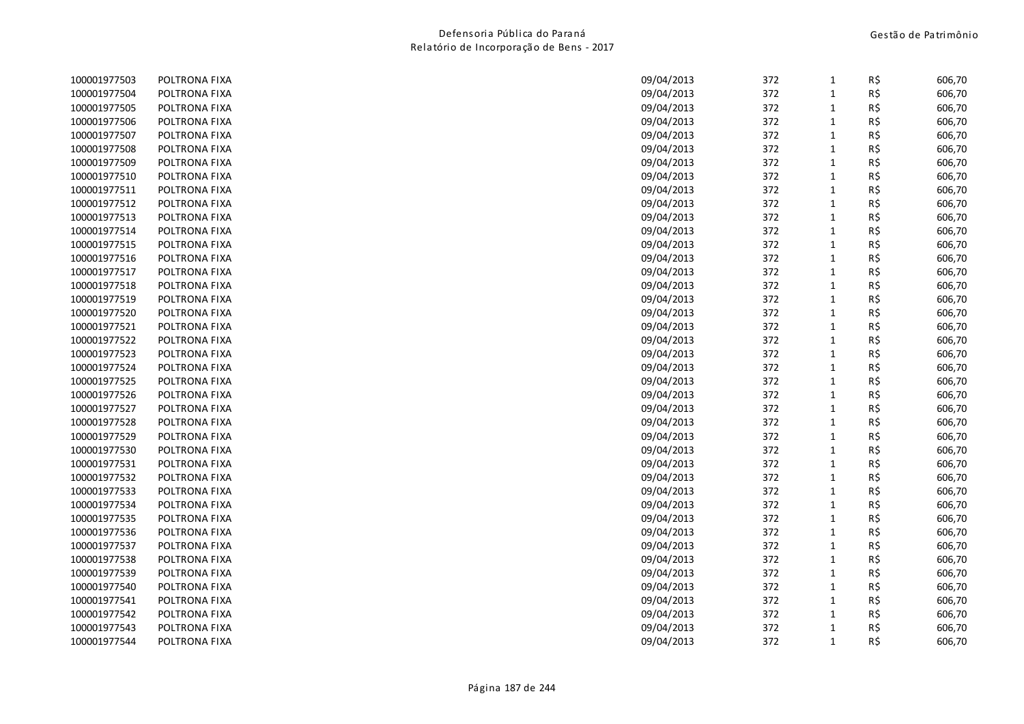| 100001977503 | POLTRONA FIXA | 09/04/2013 | 372 | $\mathbf{1}$ | R\$ | 606,70 |
|--------------|---------------|------------|-----|--------------|-----|--------|
| 100001977504 | POLTRONA FIXA | 09/04/2013 | 372 | $\mathbf{1}$ | R\$ | 606,70 |
| 100001977505 | POLTRONA FIXA | 09/04/2013 | 372 | $\mathbf{1}$ | R\$ | 606,70 |
| 100001977506 | POLTRONA FIXA | 09/04/2013 | 372 | $\mathbf{1}$ | R\$ | 606,70 |
| 100001977507 | POLTRONA FIXA | 09/04/2013 | 372 | $\mathbf{1}$ | R\$ | 606,70 |
| 100001977508 | POLTRONA FIXA | 09/04/2013 | 372 | $\mathbf{1}$ | R\$ | 606,70 |
| 100001977509 | POLTRONA FIXA | 09/04/2013 | 372 | $\mathbf{1}$ | R\$ | 606,70 |
| 100001977510 | POLTRONA FIXA | 09/04/2013 | 372 | $\mathbf{1}$ | R\$ | 606,70 |
| 100001977511 | POLTRONA FIXA | 09/04/2013 | 372 | $\mathbf{1}$ | R\$ | 606,70 |
| 100001977512 | POLTRONA FIXA | 09/04/2013 | 372 | $\mathbf 1$  | R\$ | 606,70 |
| 100001977513 | POLTRONA FIXA | 09/04/2013 | 372 | $\mathbf 1$  | R\$ | 606,70 |
| 100001977514 | POLTRONA FIXA | 09/04/2013 | 372 | $\mathbf{1}$ | R\$ | 606,70 |
| 100001977515 | POLTRONA FIXA | 09/04/2013 | 372 | $\mathbf{1}$ | R\$ | 606,70 |
| 100001977516 | POLTRONA FIXA | 09/04/2013 | 372 | $\mathbf 1$  | R\$ | 606,70 |
| 100001977517 | POLTRONA FIXA | 09/04/2013 | 372 | $\mathbf{1}$ | R\$ | 606,70 |
| 100001977518 | POLTRONA FIXA | 09/04/2013 | 372 | $\mathbf{1}$ | R\$ | 606,70 |
| 100001977519 | POLTRONA FIXA | 09/04/2013 | 372 | $\mathbf{1}$ | R\$ | 606,70 |
| 100001977520 | POLTRONA FIXA | 09/04/2013 | 372 | $\mathbf{1}$ | R\$ | 606,70 |
| 100001977521 | POLTRONA FIXA | 09/04/2013 | 372 | $\mathbf 1$  | R\$ | 606,70 |
| 100001977522 | POLTRONA FIXA | 09/04/2013 | 372 | $\mathbf{1}$ | R\$ | 606,70 |
| 100001977523 | POLTRONA FIXA | 09/04/2013 | 372 | $\mathbf{1}$ | R\$ | 606,70 |
| 100001977524 | POLTRONA FIXA | 09/04/2013 | 372 | $\mathbf{1}$ | R\$ | 606,70 |
| 100001977525 | POLTRONA FIXA | 09/04/2013 | 372 | $\mathbf 1$  | R\$ | 606,70 |
| 100001977526 | POLTRONA FIXA | 09/04/2013 | 372 | $\mathbf{1}$ | R\$ | 606,70 |
| 100001977527 | POLTRONA FIXA | 09/04/2013 | 372 | $\mathbf{1}$ | R\$ | 606,70 |
| 100001977528 | POLTRONA FIXA | 09/04/2013 | 372 | $\mathbf{1}$ | R\$ | 606,70 |
| 100001977529 | POLTRONA FIXA | 09/04/2013 | 372 | $\mathbf{1}$ | R\$ | 606,70 |
| 100001977530 | POLTRONA FIXA | 09/04/2013 | 372 | $\mathbf{1}$ | R\$ | 606,70 |
| 100001977531 | POLTRONA FIXA | 09/04/2013 | 372 | $\mathbf{1}$ | R\$ | 606,70 |
| 100001977532 | POLTRONA FIXA | 09/04/2013 | 372 | $\mathbf{1}$ | R\$ | 606,70 |
| 100001977533 | POLTRONA FIXA | 09/04/2013 | 372 | $\mathbf{1}$ | R\$ | 606,70 |
| 100001977534 | POLTRONA FIXA | 09/04/2013 | 372 | $\mathbf 1$  | R\$ | 606,70 |
| 100001977535 | POLTRONA FIXA | 09/04/2013 | 372 | $\mathbf{1}$ | R\$ | 606,70 |
| 100001977536 | POLTRONA FIXA | 09/04/2013 | 372 | $\mathbf{1}$ | R\$ | 606,70 |
| 100001977537 | POLTRONA FIXA | 09/04/2013 | 372 | $\mathbf{1}$ | R\$ | 606,70 |
| 100001977538 | POLTRONA FIXA | 09/04/2013 | 372 | $\mathbf{1}$ | R\$ | 606,70 |
| 100001977539 | POLTRONA FIXA | 09/04/2013 | 372 | $\mathbf{1}$ | R\$ | 606,70 |
| 100001977540 | POLTRONA FIXA | 09/04/2013 | 372 | $\mathbf{1}$ | R\$ | 606,70 |
| 100001977541 | POLTRONA FIXA | 09/04/2013 | 372 | $\mathbf{1}$ | R\$ | 606,70 |
| 100001977542 | POLTRONA FIXA | 09/04/2013 | 372 | $\mathbf{1}$ | R\$ | 606,70 |
| 100001977543 | POLTRONA FIXA | 09/04/2013 | 372 | $\mathbf{1}$ | R\$ | 606,70 |
| 100001977544 | POLTRONA FIXA | 09/04/2013 | 372 | $\mathbf{1}$ | R\$ | 606,70 |
|              |               |            |     |              |     |        |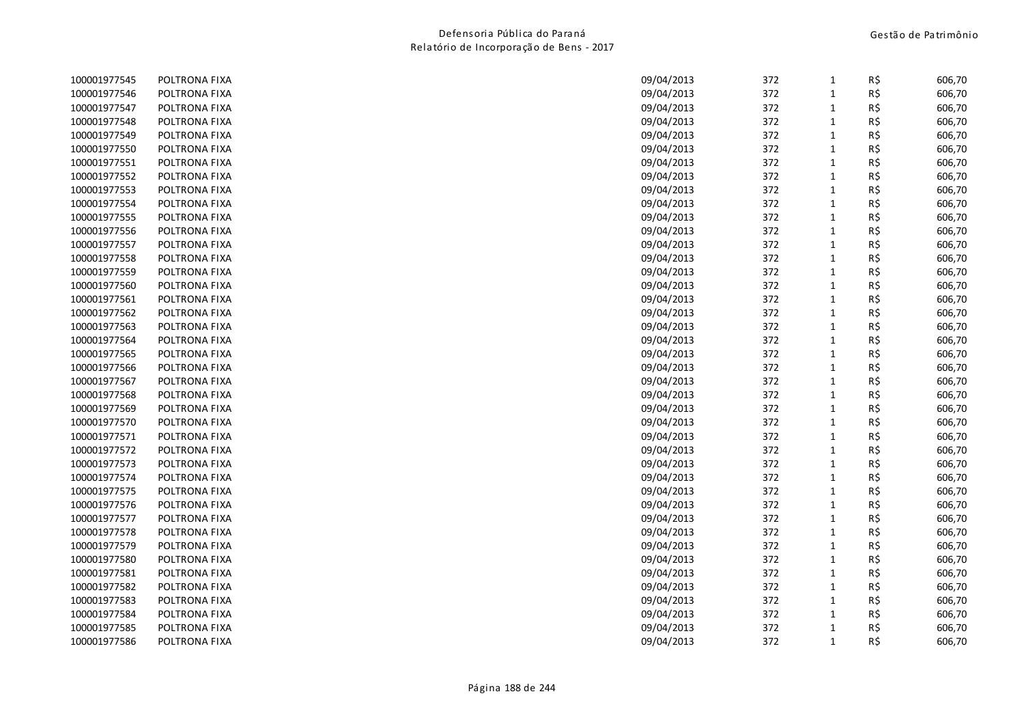| 100001977545 | POLTRONA FIXA | 09/04/2013 | 372 | $\mathbf{1}$ | R\$ | 606,70 |
|--------------|---------------|------------|-----|--------------|-----|--------|
| 100001977546 | POLTRONA FIXA | 09/04/2013 | 372 | $\mathbf{1}$ | R\$ | 606,70 |
| 100001977547 | POLTRONA FIXA | 09/04/2013 | 372 | $\mathbf{1}$ | R\$ | 606,70 |
| 100001977548 | POLTRONA FIXA | 09/04/2013 | 372 | $\mathbf{1}$ | R\$ | 606,70 |
| 100001977549 | POLTRONA FIXA | 09/04/2013 | 372 | $\mathbf{1}$ | R\$ | 606,70 |
| 100001977550 | POLTRONA FIXA | 09/04/2013 | 372 | $\mathbf{1}$ | R\$ | 606,70 |
| 100001977551 | POLTRONA FIXA | 09/04/2013 | 372 | $\mathbf{1}$ | R\$ | 606,70 |
| 100001977552 | POLTRONA FIXA | 09/04/2013 | 372 | $\mathbf{1}$ | R\$ | 606,70 |
| 100001977553 | POLTRONA FIXA | 09/04/2013 | 372 | $\mathbf{1}$ | R\$ | 606,70 |
| 100001977554 | POLTRONA FIXA | 09/04/2013 | 372 | $\mathbf 1$  | R\$ | 606,70 |
| 100001977555 | POLTRONA FIXA | 09/04/2013 | 372 | $\mathbf{1}$ | R\$ | 606,70 |
| 100001977556 | POLTRONA FIXA | 09/04/2013 | 372 | $\mathbf{1}$ | R\$ | 606,70 |
| 100001977557 | POLTRONA FIXA | 09/04/2013 | 372 | $\mathbf{1}$ | R\$ | 606,70 |
| 100001977558 | POLTRONA FIXA | 09/04/2013 | 372 | $\mathbf 1$  | R\$ | 606,70 |
| 100001977559 | POLTRONA FIXA | 09/04/2013 | 372 | $\mathbf{1}$ | R\$ | 606,70 |
| 100001977560 | POLTRONA FIXA | 09/04/2013 | 372 | $\mathbf{1}$ | R\$ | 606,70 |
| 100001977561 | POLTRONA FIXA | 09/04/2013 | 372 | $\mathbf{1}$ | R\$ | 606,70 |
| 100001977562 | POLTRONA FIXA | 09/04/2013 | 372 | $\mathbf{1}$ | R\$ | 606,70 |
| 100001977563 | POLTRONA FIXA | 09/04/2013 | 372 | $\mathbf{1}$ | R\$ | 606,70 |
| 100001977564 | POLTRONA FIXA | 09/04/2013 | 372 | $\mathbf{1}$ | R\$ | 606,70 |
| 100001977565 | POLTRONA FIXA | 09/04/2013 | 372 | $\mathbf{1}$ | R\$ | 606,70 |
| 100001977566 | POLTRONA FIXA | 09/04/2013 | 372 | $\mathbf{1}$ | R\$ | 606,70 |
| 100001977567 | POLTRONA FIXA | 09/04/2013 | 372 | $\mathbf 1$  | R\$ | 606,70 |
| 100001977568 | POLTRONA FIXA | 09/04/2013 | 372 | $\mathbf{1}$ | R\$ | 606,70 |
| 100001977569 | POLTRONA FIXA | 09/04/2013 | 372 | $\mathbf{1}$ | R\$ | 606,70 |
| 100001977570 | POLTRONA FIXA | 09/04/2013 | 372 | $\mathbf{1}$ | R\$ | 606,70 |
| 100001977571 | POLTRONA FIXA | 09/04/2013 | 372 | $\mathbf{1}$ | R\$ | 606,70 |
| 100001977572 | POLTRONA FIXA | 09/04/2013 | 372 | $\mathbf 1$  | R\$ | 606,70 |
| 100001977573 | POLTRONA FIXA | 09/04/2013 | 372 | $\mathbf{1}$ | R\$ | 606,70 |
| 100001977574 | POLTRONA FIXA | 09/04/2013 | 372 | $\mathbf{1}$ | R\$ | 606,70 |
| 100001977575 | POLTRONA FIXA | 09/04/2013 | 372 | $\mathbf{1}$ | R\$ | 606,70 |
| 100001977576 | POLTRONA FIXA | 09/04/2013 | 372 | $\mathbf 1$  | R\$ | 606,70 |
| 100001977577 | POLTRONA FIXA | 09/04/2013 | 372 | $\mathbf{1}$ | R\$ | 606,70 |
| 100001977578 | POLTRONA FIXA | 09/04/2013 | 372 | $\mathbf{1}$ | R\$ | 606,70 |
| 100001977579 | POLTRONA FIXA | 09/04/2013 | 372 | $\mathbf{1}$ | R\$ | 606,70 |
| 100001977580 | POLTRONA FIXA | 09/04/2013 | 372 | $\mathbf{1}$ | R\$ | 606,70 |
| 100001977581 | POLTRONA FIXA | 09/04/2013 | 372 | $\mathbf 1$  | R\$ | 606,70 |
| 100001977582 | POLTRONA FIXA | 09/04/2013 | 372 | $\mathbf{1}$ | R\$ | 606,70 |
| 100001977583 | POLTRONA FIXA | 09/04/2013 | 372 | $\mathbf{1}$ | R\$ | 606,70 |
| 100001977584 | POLTRONA FIXA | 09/04/2013 | 372 | $\mathbf{1}$ | R\$ | 606,70 |
| 100001977585 | POLTRONA FIXA | 09/04/2013 | 372 | $\mathbf{1}$ | R\$ | 606,70 |
| 100001977586 | POLTRONA FIXA | 09/04/2013 | 372 | $\mathbf{1}$ | R\$ | 606,70 |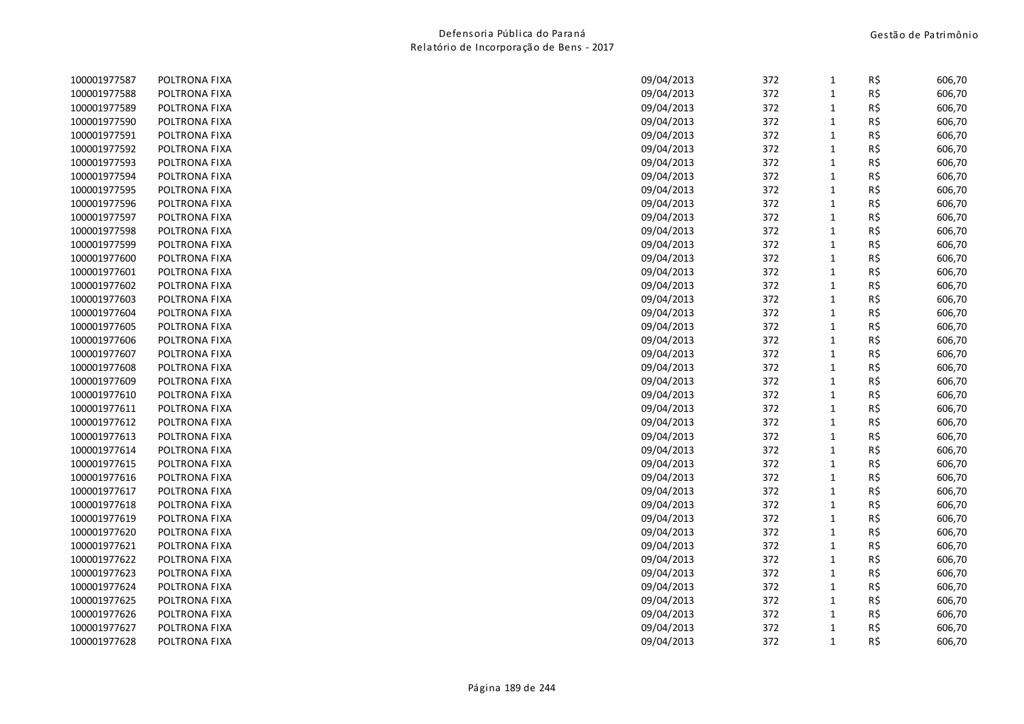| 100001977587 | POLTRONA FIXA | 09/04/2013 | 372 | $\mathbf{1}$ | R\$ | 606,70 |
|--------------|---------------|------------|-----|--------------|-----|--------|
| 100001977588 | POLTRONA FIXA | 09/04/2013 | 372 | $\mathbf{1}$ | R\$ | 606,70 |
| 100001977589 | POLTRONA FIXA | 09/04/2013 | 372 | $\mathbf{1}$ | R\$ | 606,70 |
| 100001977590 | POLTRONA FIXA | 09/04/2013 | 372 | $\mathbf{1}$ | R\$ | 606,70 |
| 100001977591 | POLTRONA FIXA | 09/04/2013 | 372 | $\mathbf{1}$ | R\$ | 606,70 |
| 100001977592 | POLTRONA FIXA | 09/04/2013 | 372 | $\mathbf{1}$ | R\$ | 606,70 |
| 100001977593 | POLTRONA FIXA | 09/04/2013 | 372 | $\mathbf{1}$ | R\$ | 606,70 |
| 100001977594 | POLTRONA FIXA | 09/04/2013 | 372 | $\mathbf{1}$ | R\$ | 606,70 |
| 100001977595 | POLTRONA FIXA | 09/04/2013 | 372 | $\mathbf 1$  | R\$ | 606,70 |
| 100001977596 | POLTRONA FIXA | 09/04/2013 | 372 | $\mathbf{1}$ | R\$ | 606,70 |
| 100001977597 | POLTRONA FIXA | 09/04/2013 | 372 | $\mathbf{1}$ | R\$ | 606,70 |
| 100001977598 | POLTRONA FIXA | 09/04/2013 | 372 | $\mathbf{1}$ | R\$ | 606,70 |
| 100001977599 | POLTRONA FIXA | 09/04/2013 | 372 | $\mathbf{1}$ | R\$ | 606,70 |
| 100001977600 | POLTRONA FIXA | 09/04/2013 | 372 | $\mathbf 1$  | R\$ | 606,70 |
| 100001977601 | POLTRONA FIXA | 09/04/2013 | 372 | $\mathbf{1}$ | R\$ | 606,70 |
| 100001977602 | POLTRONA FIXA | 09/04/2013 | 372 | $\mathbf{1}$ | R\$ | 606,70 |
| 100001977603 | POLTRONA FIXA | 09/04/2013 | 372 | $\mathbf{1}$ | R\$ | 606,70 |
| 100001977604 | POLTRONA FIXA | 09/04/2013 | 372 | $\mathbf{1}$ | R\$ | 606,70 |
| 100001977605 | POLTRONA FIXA | 09/04/2013 | 372 | $\mathbf 1$  | R\$ | 606,70 |
| 100001977606 | POLTRONA FIXA | 09/04/2013 | 372 | $\mathbf{1}$ | R\$ | 606,70 |
| 100001977607 | POLTRONA FIXA | 09/04/2013 | 372 | $\mathbf 1$  | R\$ | 606,70 |
| 100001977608 | POLTRONA FIXA | 09/04/2013 | 372 | $\mathbf{1}$ | R\$ | 606,70 |
| 100001977609 | POLTRONA FIXA | 09/04/2013 | 372 | $\mathbf{1}$ | R\$ | 606,70 |
| 100001977610 | POLTRONA FIXA | 09/04/2013 | 372 | $\mathbf{1}$ | R\$ | 606,70 |
| 100001977611 | POLTRONA FIXA | 09/04/2013 | 372 | $\mathbf{1}$ | R\$ | 606,70 |
| 100001977612 | POLTRONA FIXA | 09/04/2013 | 372 | $\mathbf{1}$ | R\$ | 606,70 |
| 100001977613 | POLTRONA FIXA | 09/04/2013 | 372 | $\mathbf{1}$ | R\$ | 606,70 |
| 100001977614 | POLTRONA FIXA | 09/04/2013 | 372 | $\mathbf{1}$ | R\$ | 606,70 |
| 100001977615 | POLTRONA FIXA | 09/04/2013 | 372 | $\mathbf{1}$ | R\$ | 606,70 |
| 100001977616 | POLTRONA FIXA | 09/04/2013 | 372 | $\mathbf{1}$ | R\$ | 606,70 |
| 100001977617 | POLTRONA FIXA | 09/04/2013 | 372 | $\mathbf{1}$ | R\$ | 606,70 |
| 100001977618 | POLTRONA FIXA | 09/04/2013 | 372 | $\mathbf 1$  | R\$ | 606,70 |
| 100001977619 | POLTRONA FIXA | 09/04/2013 | 372 | $\mathbf{1}$ | R\$ | 606,70 |
| 100001977620 | POLTRONA FIXA | 09/04/2013 | 372 | $\mathbf{1}$ | R\$ | 606,70 |
| 100001977621 | POLTRONA FIXA | 09/04/2013 | 372 | $\mathbf{1}$ | R\$ | 606,70 |
| 100001977622 | POLTRONA FIXA | 09/04/2013 | 372 | $\mathbf 1$  | R\$ | 606,70 |
| 100001977623 | POLTRONA FIXA | 09/04/2013 | 372 | $\mathbf{1}$ | R\$ | 606,70 |
| 100001977624 | POLTRONA FIXA | 09/04/2013 | 372 | $\mathbf{1}$ | R\$ | 606,70 |
| 100001977625 | POLTRONA FIXA | 09/04/2013 | 372 | $\mathbf{1}$ | R\$ | 606,70 |
| 100001977626 | POLTRONA FIXA | 09/04/2013 | 372 | $\mathbf{1}$ | R\$ | 606,70 |
| 100001977627 | POLTRONA FIXA | 09/04/2013 | 372 | $\mathbf{1}$ | R\$ | 606,70 |
| 100001977628 | POLTRONA FIXA | 09/04/2013 | 372 | $\mathbf{1}$ | R\$ | 606,70 |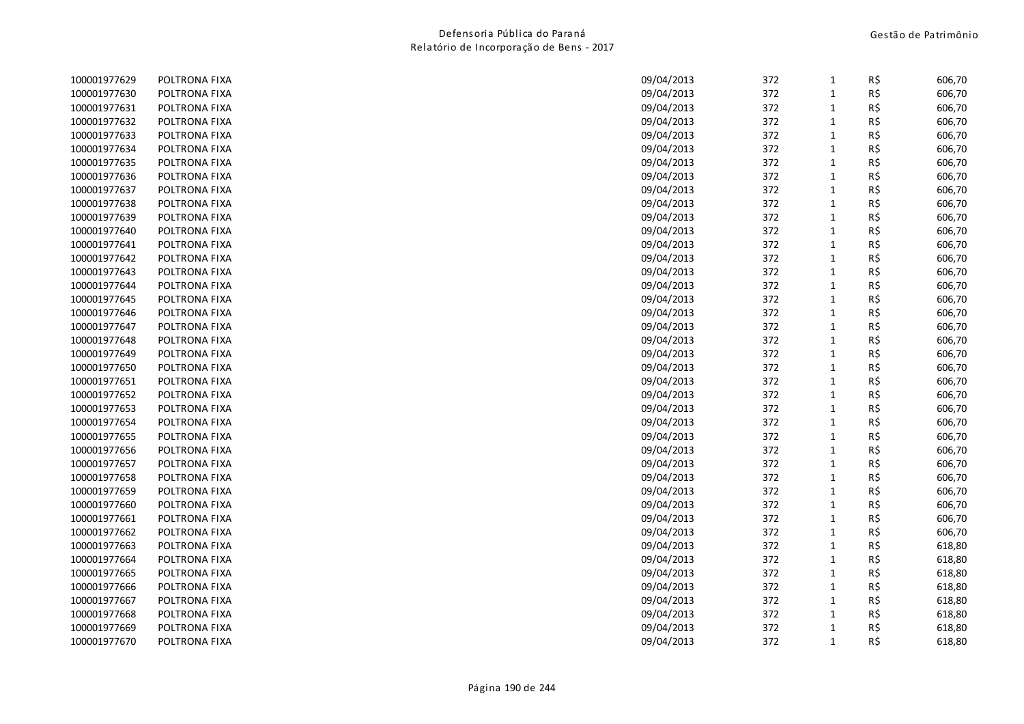| 100001977629 | POLTRONA FIXA | 09/04/2013 | 372 | 1            | R\$ | 606,70 |
|--------------|---------------|------------|-----|--------------|-----|--------|
| 100001977630 | POLTRONA FIXA | 09/04/2013 | 372 | $\mathbf{1}$ | R\$ | 606,70 |
| 100001977631 | POLTRONA FIXA | 09/04/2013 | 372 | $\mathbf{1}$ | R\$ | 606,70 |
| 100001977632 | POLTRONA FIXA | 09/04/2013 | 372 | $\mathbf{1}$ | R\$ | 606,70 |
| 100001977633 | POLTRONA FIXA | 09/04/2013 | 372 | $\mathbf 1$  | R\$ | 606,70 |
| 100001977634 | POLTRONA FIXA | 09/04/2013 | 372 | $\mathbf{1}$ | R\$ | 606,70 |
| 100001977635 | POLTRONA FIXA | 09/04/2013 | 372 | $\mathbf{1}$ | R\$ | 606,70 |
| 100001977636 | POLTRONA FIXA | 09/04/2013 | 372 | $\mathbf{1}$ | R\$ | 606,70 |
| 100001977637 | POLTRONA FIXA | 09/04/2013 | 372 | $\mathbf{1}$ | R\$ | 606,70 |
| 100001977638 | POLTRONA FIXA | 09/04/2013 | 372 | $\mathbf{1}$ | R\$ | 606,70 |
| 100001977639 | POLTRONA FIXA | 09/04/2013 | 372 | $\mathbf{1}$ | R\$ | 606,70 |
| 100001977640 | POLTRONA FIXA | 09/04/2013 | 372 | $\mathbf{1}$ | R\$ | 606,70 |
| 100001977641 | POLTRONA FIXA | 09/04/2013 | 372 | $\mathbf{1}$ | R\$ | 606,70 |
| 100001977642 | POLTRONA FIXA | 09/04/2013 | 372 | $\mathbf{1}$ | R\$ | 606,70 |
| 100001977643 | POLTRONA FIXA | 09/04/2013 | 372 | $\mathbf{1}$ | R\$ | 606,70 |
| 100001977644 | POLTRONA FIXA | 09/04/2013 | 372 | $\mathbf{1}$ | R\$ | 606,70 |
| 100001977645 | POLTRONA FIXA | 09/04/2013 | 372 | $\mathbf{1}$ | R\$ | 606,70 |
| 100001977646 | POLTRONA FIXA | 09/04/2013 | 372 | $\mathbf{1}$ | R\$ | 606,70 |
| 100001977647 | POLTRONA FIXA | 09/04/2013 | 372 | $\mathbf{1}$ | R\$ | 606,70 |
| 100001977648 | POLTRONA FIXA | 09/04/2013 | 372 | $\mathbf{1}$ | R\$ | 606,70 |
| 100001977649 | POLTRONA FIXA | 09/04/2013 | 372 | $\mathbf{1}$ | R\$ | 606,70 |
| 100001977650 | POLTRONA FIXA | 09/04/2013 | 372 | $\mathbf{1}$ | R\$ | 606,70 |
| 100001977651 | POLTRONA FIXA | 09/04/2013 | 372 | $\mathbf{1}$ | R\$ | 606,70 |
| 100001977652 | POLTRONA FIXA | 09/04/2013 | 372 | $\mathbf{1}$ | R\$ | 606,70 |
| 100001977653 | POLTRONA FIXA | 09/04/2013 | 372 | $\mathbf{1}$ | R\$ | 606,70 |
| 100001977654 | POLTRONA FIXA | 09/04/2013 | 372 | $\mathbf{1}$ | R\$ | 606,70 |
| 100001977655 | POLTRONA FIXA | 09/04/2013 | 372 | $\mathbf{1}$ | R\$ | 606,70 |
| 100001977656 | POLTRONA FIXA | 09/04/2013 | 372 | $\mathbf 1$  | R\$ | 606,70 |
| 100001977657 | POLTRONA FIXA | 09/04/2013 | 372 | $\mathbf{1}$ | R\$ | 606,70 |
| 100001977658 | POLTRONA FIXA | 09/04/2013 | 372 | $\mathbf{1}$ | R\$ | 606,70 |
| 100001977659 | POLTRONA FIXA | 09/04/2013 | 372 | $\mathbf{1}$ | R\$ | 606,70 |
| 100001977660 | POLTRONA FIXA | 09/04/2013 | 372 | $\mathbf 1$  | R\$ | 606,70 |
| 100001977661 | POLTRONA FIXA | 09/04/2013 | 372 | $\mathbf{1}$ | R\$ | 606,70 |
| 100001977662 | POLTRONA FIXA | 09/04/2013 | 372 | $\mathbf{1}$ | R\$ | 606,70 |
| 100001977663 | POLTRONA FIXA | 09/04/2013 | 372 | $\mathbf{1}$ | R\$ | 618,80 |
| 100001977664 | POLTRONA FIXA | 09/04/2013 | 372 | $\mathbf 1$  | R\$ | 618,80 |
| 100001977665 | POLTRONA FIXA | 09/04/2013 | 372 | $\mathbf 1$  | R\$ | 618,80 |
| 100001977666 | POLTRONA FIXA | 09/04/2013 | 372 | $\mathbf{1}$ | R\$ | 618,80 |
| 100001977667 | POLTRONA FIXA | 09/04/2013 | 372 | $\mathbf{1}$ | R\$ | 618,80 |
| 100001977668 | POLTRONA FIXA | 09/04/2013 | 372 | $\mathbf{1}$ | R\$ | 618,80 |
| 100001977669 | POLTRONA FIXA | 09/04/2013 | 372 | $\mathbf{1}$ | R\$ | 618,80 |
| 100001977670 | POLTRONA FIXA | 09/04/2013 | 372 | $\mathbf{1}$ | R\$ | 618,80 |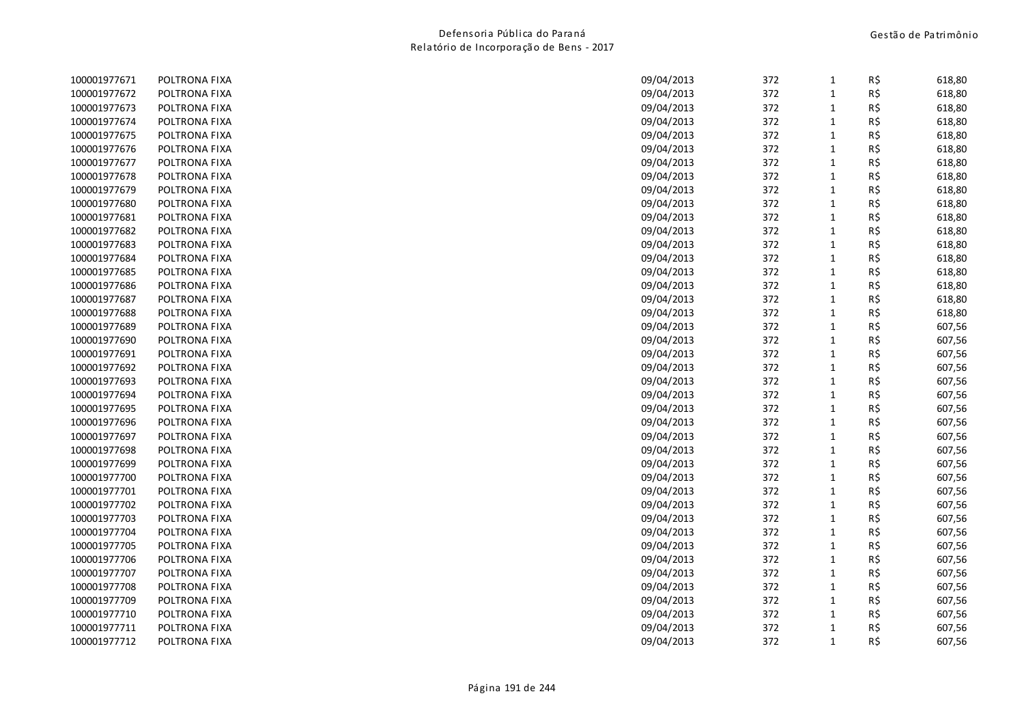| 100001977671 | POLTRONA FIXA | 09/04/2013 | 372 | $\mathbf{1}$ | R\$ | 618,80 |
|--------------|---------------|------------|-----|--------------|-----|--------|
| 100001977672 | POLTRONA FIXA | 09/04/2013 | 372 | $\mathbf{1}$ | R\$ | 618,80 |
| 100001977673 | POLTRONA FIXA | 09/04/2013 | 372 | $\mathbf{1}$ | R\$ | 618,80 |
| 100001977674 | POLTRONA FIXA | 09/04/2013 | 372 | $\mathbf{1}$ | R\$ | 618,80 |
| 100001977675 | POLTRONA FIXA | 09/04/2013 | 372 | $\mathbf{1}$ | R\$ | 618,80 |
| 100001977676 | POLTRONA FIXA | 09/04/2013 | 372 | $\mathbf{1}$ | R\$ | 618,80 |
| 100001977677 | POLTRONA FIXA | 09/04/2013 | 372 | $\mathbf{1}$ | R\$ | 618,80 |
| 100001977678 | POLTRONA FIXA | 09/04/2013 | 372 | $\mathbf{1}$ | R\$ | 618,80 |
| 100001977679 | POLTRONA FIXA | 09/04/2013 | 372 | $\mathbf{1}$ | R\$ | 618,80 |
| 100001977680 | POLTRONA FIXA | 09/04/2013 | 372 | $\mathbf 1$  | R\$ | 618,80 |
| 100001977681 | POLTRONA FIXA | 09/04/2013 | 372 | $\mathbf{1}$ | R\$ | 618,80 |
| 100001977682 | POLTRONA FIXA | 09/04/2013 | 372 | $\mathbf{1}$ | R\$ | 618,80 |
| 100001977683 | POLTRONA FIXA | 09/04/2013 | 372 | $\mathbf{1}$ | R\$ | 618,80 |
| 100001977684 | POLTRONA FIXA | 09/04/2013 | 372 | $\mathbf{1}$ | R\$ | 618,80 |
| 100001977685 | POLTRONA FIXA | 09/04/2013 | 372 | $\mathbf{1}$ | R\$ | 618,80 |
| 100001977686 | POLTRONA FIXA | 09/04/2013 | 372 | $\mathbf{1}$ | R\$ | 618,80 |
| 100001977687 | POLTRONA FIXA | 09/04/2013 | 372 | $\mathbf{1}$ | R\$ | 618,80 |
| 100001977688 | POLTRONA FIXA | 09/04/2013 | 372 | $\mathbf{1}$ | R\$ | 618,80 |
| 100001977689 | POLTRONA FIXA | 09/04/2013 | 372 | $\mathbf 1$  | R\$ | 607,56 |
| 100001977690 | POLTRONA FIXA | 09/04/2013 | 372 | $\mathbf{1}$ | R\$ | 607,56 |
| 100001977691 | POLTRONA FIXA | 09/04/2013 | 372 | $\mathbf 1$  | R\$ | 607,56 |
| 100001977692 | POLTRONA FIXA | 09/04/2013 | 372 | $\mathbf{1}$ | R\$ | 607,56 |
| 100001977693 | POLTRONA FIXA | 09/04/2013 | 372 | $\mathbf{1}$ | R\$ | 607,56 |
| 100001977694 | POLTRONA FIXA | 09/04/2013 | 372 | $\mathbf{1}$ | R\$ | 607,56 |
| 100001977695 | POLTRONA FIXA | 09/04/2013 | 372 | $\mathbf{1}$ | R\$ | 607,56 |
| 100001977696 | POLTRONA FIXA | 09/04/2013 | 372 | $\mathbf{1}$ | R\$ | 607,56 |
| 100001977697 | POLTRONA FIXA | 09/04/2013 | 372 | $\mathbf{1}$ | R\$ | 607,56 |
| 100001977698 | POLTRONA FIXA | 09/04/2013 | 372 | $\mathbf{1}$ | R\$ | 607,56 |
| 100001977699 | POLTRONA FIXA | 09/04/2013 | 372 | $\mathbf{1}$ | R\$ | 607,56 |
| 100001977700 | POLTRONA FIXA | 09/04/2013 | 372 | $\mathbf{1}$ | R\$ | 607,56 |
| 100001977701 | POLTRONA FIXA | 09/04/2013 | 372 | $\mathbf{1}$ | R\$ | 607,56 |
| 100001977702 | POLTRONA FIXA | 09/04/2013 | 372 | $\mathbf{1}$ | R\$ | 607,56 |
| 100001977703 | POLTRONA FIXA | 09/04/2013 | 372 | $\mathbf{1}$ | R\$ | 607,56 |
| 100001977704 | POLTRONA FIXA | 09/04/2013 | 372 | $\mathbf{1}$ | R\$ | 607,56 |
| 100001977705 | POLTRONA FIXA | 09/04/2013 | 372 | $\mathbf{1}$ | R\$ | 607,56 |
| 100001977706 | POLTRONA FIXA | 09/04/2013 | 372 | $\mathbf{1}$ | R\$ | 607,56 |
| 100001977707 | POLTRONA FIXA | 09/04/2013 | 372 | $\mathbf{1}$ | R\$ | 607,56 |
| 100001977708 | POLTRONA FIXA | 09/04/2013 | 372 | $\mathbf{1}$ | R\$ | 607,56 |
| 100001977709 | POLTRONA FIXA | 09/04/2013 | 372 | $\mathbf{1}$ | R\$ | 607,56 |
| 100001977710 | POLTRONA FIXA | 09/04/2013 | 372 | $\mathbf{1}$ | R\$ | 607,56 |
| 100001977711 | POLTRONA FIXA | 09/04/2013 | 372 | $\mathbf{1}$ | R\$ | 607,56 |
| 100001977712 | POLTRONA FIXA | 09/04/2013 | 372 | $\mathbf{1}$ | R\$ | 607,56 |
|              |               |            |     |              |     |        |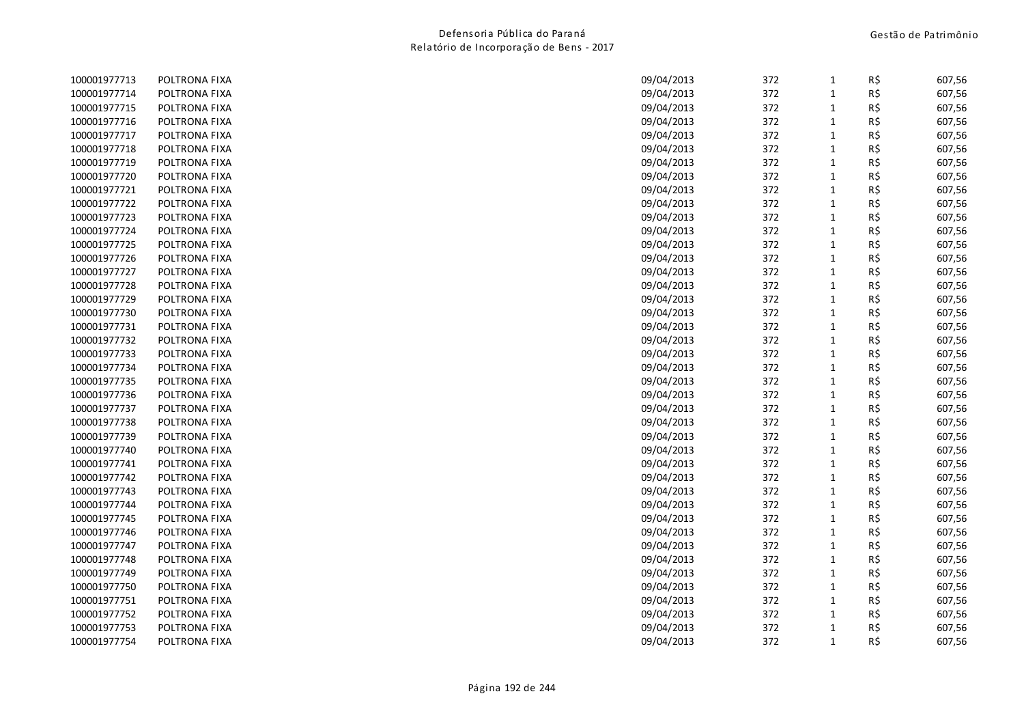| 100001977713 | POLTRONA FIXA | 09/04/2013 | 372 | $\mathbf{1}$ | R\$ | 607,56 |
|--------------|---------------|------------|-----|--------------|-----|--------|
| 100001977714 | POLTRONA FIXA | 09/04/2013 | 372 | $\mathbf{1}$ | R\$ | 607,56 |
| 100001977715 | POLTRONA FIXA | 09/04/2013 | 372 | $\mathbf{1}$ | R\$ | 607,56 |
| 100001977716 | POLTRONA FIXA | 09/04/2013 | 372 | $\mathbf 1$  | R\$ | 607,56 |
| 100001977717 | POLTRONA FIXA | 09/04/2013 | 372 | $\mathbf{1}$ | R\$ | 607,56 |
| 100001977718 | POLTRONA FIXA | 09/04/2013 | 372 | $\mathbf{1}$ | R\$ | 607,56 |
| 100001977719 | POLTRONA FIXA | 09/04/2013 | 372 | $\mathbf{1}$ | R\$ | 607,56 |
| 100001977720 | POLTRONA FIXA | 09/04/2013 | 372 | $\mathbf{1}$ | R\$ | 607,56 |
| 100001977721 | POLTRONA FIXA | 09/04/2013 | 372 | $\mathbf{1}$ | R\$ | 607,56 |
| 100001977722 | POLTRONA FIXA | 09/04/2013 | 372 | $\mathbf{1}$ | R\$ | 607,56 |
| 100001977723 | POLTRONA FIXA | 09/04/2013 | 372 | $\mathbf{1}$ | R\$ | 607,56 |
| 100001977724 | POLTRONA FIXA | 09/04/2013 | 372 | $\mathbf{1}$ | R\$ | 607,56 |
| 100001977725 | POLTRONA FIXA | 09/04/2013 | 372 | $\mathbf{1}$ | R\$ | 607,56 |
| 100001977726 | POLTRONA FIXA | 09/04/2013 | 372 | $\mathbf{1}$ | R\$ | 607,56 |
| 100001977727 | POLTRONA FIXA | 09/04/2013 | 372 | $\mathbf{1}$ | R\$ | 607,56 |
| 100001977728 | POLTRONA FIXA | 09/04/2013 | 372 | $\mathbf{1}$ | R\$ | 607,56 |
| 100001977729 | POLTRONA FIXA | 09/04/2013 | 372 | $\mathbf{1}$ | R\$ | 607,56 |
| 100001977730 | POLTRONA FIXA | 09/04/2013 | 372 | $\mathbf 1$  | R\$ | 607,56 |
| 100001977731 | POLTRONA FIXA | 09/04/2013 | 372 | $\mathbf{1}$ | R\$ | 607,56 |
| 100001977732 | POLTRONA FIXA | 09/04/2013 | 372 | $\mathbf{1}$ | R\$ | 607,56 |
| 100001977733 | POLTRONA FIXA | 09/04/2013 | 372 | $\mathbf{1}$ | R\$ | 607,56 |
| 100001977734 | POLTRONA FIXA | 09/04/2013 | 372 | $\mathbf{1}$ | R\$ | 607,56 |
| 100001977735 | POLTRONA FIXA | 09/04/2013 | 372 | $\mathbf 1$  | R\$ | 607,56 |
| 100001977736 | POLTRONA FIXA | 09/04/2013 | 372 | $\mathbf{1}$ | R\$ | 607,56 |
| 100001977737 | POLTRONA FIXA | 09/04/2013 | 372 | $\mathbf{1}$ | R\$ | 607,56 |
| 100001977738 | POLTRONA FIXA | 09/04/2013 | 372 | 1            | R\$ | 607,56 |
| 100001977739 | POLTRONA FIXA | 09/04/2013 | 372 | $\mathbf{1}$ | R\$ | 607,56 |
| 100001977740 | POLTRONA FIXA | 09/04/2013 | 372 | $\mathbf{1}$ | R\$ | 607,56 |
| 100001977741 | POLTRONA FIXA | 09/04/2013 | 372 | $\mathbf{1}$ | R\$ | 607,56 |
| 100001977742 | POLTRONA FIXA | 09/04/2013 | 372 | $\mathbf{1}$ | R\$ | 607,56 |
| 100001977743 | POLTRONA FIXA | 09/04/2013 | 372 | $\mathbf{1}$ | R\$ | 607,56 |
| 100001977744 | POLTRONA FIXA | 09/04/2013 | 372 | $\mathbf{1}$ | R\$ | 607,56 |
| 100001977745 | POLTRONA FIXA | 09/04/2013 | 372 | $\mathbf{1}$ | R\$ | 607,56 |
| 100001977746 | POLTRONA FIXA | 09/04/2013 | 372 | $\mathbf{1}$ | R\$ | 607,56 |
| 100001977747 | POLTRONA FIXA | 09/04/2013 | 372 | $\mathbf{1}$ | R\$ | 607,56 |
| 100001977748 | POLTRONA FIXA | 09/04/2013 | 372 | $\mathbf{1}$ | R\$ | 607,56 |
| 100001977749 | POLTRONA FIXA | 09/04/2013 | 372 | $\mathbf 1$  | R\$ | 607,56 |
| 100001977750 | POLTRONA FIXA | 09/04/2013 | 372 | $\mathbf{1}$ | R\$ | 607,56 |
| 100001977751 | POLTRONA FIXA | 09/04/2013 | 372 | $\mathbf{1}$ | R\$ | 607,56 |
| 100001977752 | POLTRONA FIXA | 09/04/2013 | 372 | $\mathbf{1}$ | R\$ | 607,56 |
| 100001977753 | POLTRONA FIXA | 09/04/2013 | 372 | $\mathbf{1}$ | R\$ | 607,56 |
| 100001977754 | POLTRONA FIXA | 09/04/2013 | 372 | $\mathbf{1}$ | R\$ | 607,56 |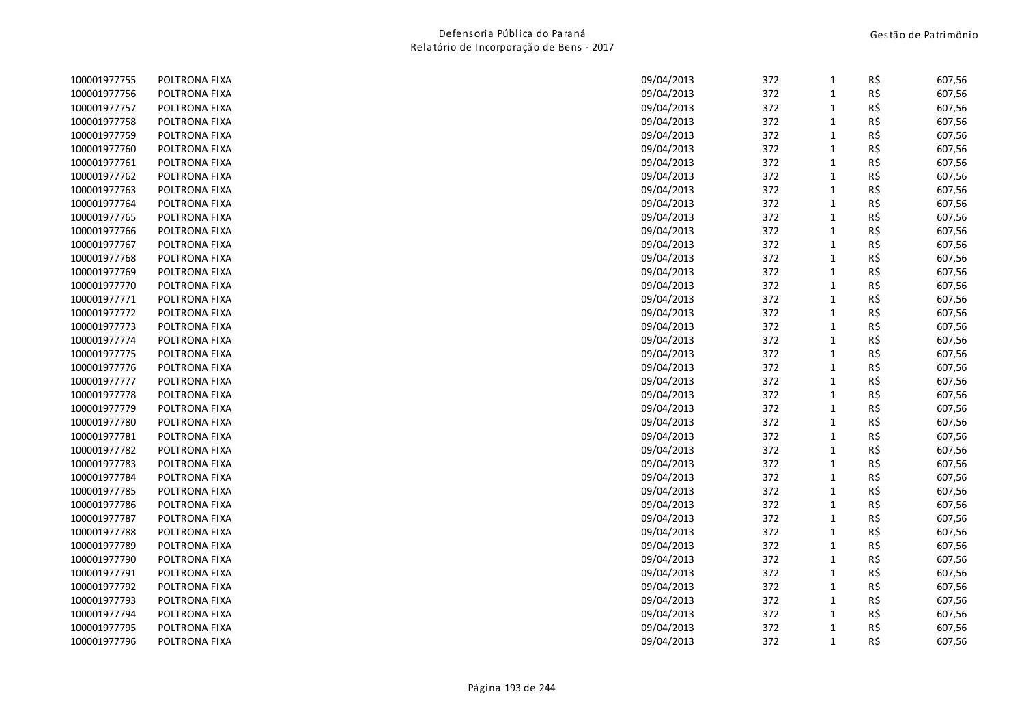| 100001977755 | POLTRONA FIXA | 09/04/2013 | 372 | $\mathbf{1}$ | R\$ | 607,56 |
|--------------|---------------|------------|-----|--------------|-----|--------|
| 100001977756 | POLTRONA FIXA | 09/04/2013 | 372 | $\mathbf{1}$ | R\$ | 607,56 |
| 100001977757 | POLTRONA FIXA | 09/04/2013 | 372 | $\mathbf{1}$ | R\$ | 607,56 |
| 100001977758 | POLTRONA FIXA | 09/04/2013 | 372 | $\mathbf 1$  | R\$ | 607,56 |
| 100001977759 | POLTRONA FIXA | 09/04/2013 | 372 | $\mathbf{1}$ | R\$ | 607,56 |
| 100001977760 | POLTRONA FIXA | 09/04/2013 | 372 | $\mathbf{1}$ | R\$ | 607,56 |
| 100001977761 | POLTRONA FIXA | 09/04/2013 | 372 | $\mathbf{1}$ | R\$ | 607,56 |
| 100001977762 | POLTRONA FIXA | 09/04/2013 | 372 | $\mathbf{1}$ | R\$ | 607,56 |
| 100001977763 | POLTRONA FIXA | 09/04/2013 | 372 | $\mathbf{1}$ | R\$ | 607,56 |
| 100001977764 | POLTRONA FIXA | 09/04/2013 | 372 | $\mathbf{1}$ | R\$ | 607,56 |
| 100001977765 | POLTRONA FIXA | 09/04/2013 | 372 | $\mathbf{1}$ | R\$ | 607,56 |
| 100001977766 | POLTRONA FIXA | 09/04/2013 | 372 | $\mathbf{1}$ | R\$ | 607,56 |
| 100001977767 | POLTRONA FIXA | 09/04/2013 | 372 | $\mathbf{1}$ | R\$ | 607,56 |
| 100001977768 | POLTRONA FIXA | 09/04/2013 | 372 | $\mathbf{1}$ | R\$ | 607,56 |
| 100001977769 | POLTRONA FIXA | 09/04/2013 | 372 | $\mathbf{1}$ | R\$ | 607,56 |
| 100001977770 | POLTRONA FIXA | 09/04/2013 | 372 | $\mathbf{1}$ | R\$ | 607,56 |
| 100001977771 | POLTRONA FIXA | 09/04/2013 | 372 | $\mathbf{1}$ | R\$ | 607,56 |
| 100001977772 | POLTRONA FIXA | 09/04/2013 | 372 | $\mathbf 1$  | R\$ | 607,56 |
| 100001977773 | POLTRONA FIXA | 09/04/2013 | 372 | $\mathbf{1}$ | R\$ | 607,56 |
| 100001977774 | POLTRONA FIXA | 09/04/2013 | 372 | $\mathbf{1}$ | R\$ | 607,56 |
| 100001977775 | POLTRONA FIXA | 09/04/2013 | 372 | $\mathbf{1}$ | R\$ | 607,56 |
| 100001977776 | POLTRONA FIXA | 09/04/2013 | 372 | $\mathbf{1}$ | R\$ | 607,56 |
| 100001977777 | POLTRONA FIXA | 09/04/2013 | 372 | $\mathbf 1$  | R\$ | 607,56 |
| 100001977778 | POLTRONA FIXA | 09/04/2013 | 372 | $\mathbf{1}$ | R\$ | 607,56 |
| 100001977779 | POLTRONA FIXA | 09/04/2013 | 372 | $\mathbf{1}$ | R\$ | 607,56 |
| 100001977780 | POLTRONA FIXA | 09/04/2013 | 372 | 1            | R\$ | 607,56 |
| 100001977781 | POLTRONA FIXA | 09/04/2013 | 372 | $\mathbf{1}$ | R\$ | 607,56 |
| 100001977782 | POLTRONA FIXA | 09/04/2013 | 372 | $\mathbf{1}$ | R\$ | 607,56 |
| 100001977783 | POLTRONA FIXA | 09/04/2013 | 372 | $\mathbf{1}$ | R\$ | 607,56 |
| 100001977784 | POLTRONA FIXA | 09/04/2013 | 372 | $\mathbf{1}$ | R\$ | 607,56 |
| 100001977785 | POLTRONA FIXA | 09/04/2013 | 372 | $\mathbf{1}$ | R\$ | 607,56 |
| 100001977786 | POLTRONA FIXA | 09/04/2013 | 372 | $\mathbf{1}$ | R\$ | 607,56 |
| 100001977787 | POLTRONA FIXA | 09/04/2013 | 372 | $\mathbf{1}$ | R\$ | 607,56 |
| 100001977788 | POLTRONA FIXA | 09/04/2013 | 372 | $\mathbf{1}$ | R\$ | 607,56 |
| 100001977789 | POLTRONA FIXA | 09/04/2013 | 372 | $\mathbf{1}$ | R\$ | 607,56 |
| 100001977790 | POLTRONA FIXA | 09/04/2013 | 372 | $\mathbf{1}$ | R\$ | 607,56 |
| 100001977791 | POLTRONA FIXA | 09/04/2013 | 372 | $\mathbf 1$  | R\$ | 607,56 |
| 100001977792 | POLTRONA FIXA | 09/04/2013 | 372 | $\mathbf{1}$ | R\$ | 607,56 |
| 100001977793 | POLTRONA FIXA | 09/04/2013 | 372 | $\mathbf{1}$ | R\$ | 607,56 |
| 100001977794 | POLTRONA FIXA | 09/04/2013 | 372 | $\mathbf{1}$ | R\$ | 607,56 |
| 100001977795 | POLTRONA FIXA | 09/04/2013 | 372 | $\mathbf{1}$ | R\$ | 607,56 |
| 100001977796 | POLTRONA FIXA | 09/04/2013 | 372 | $\mathbf{1}$ | R\$ | 607,56 |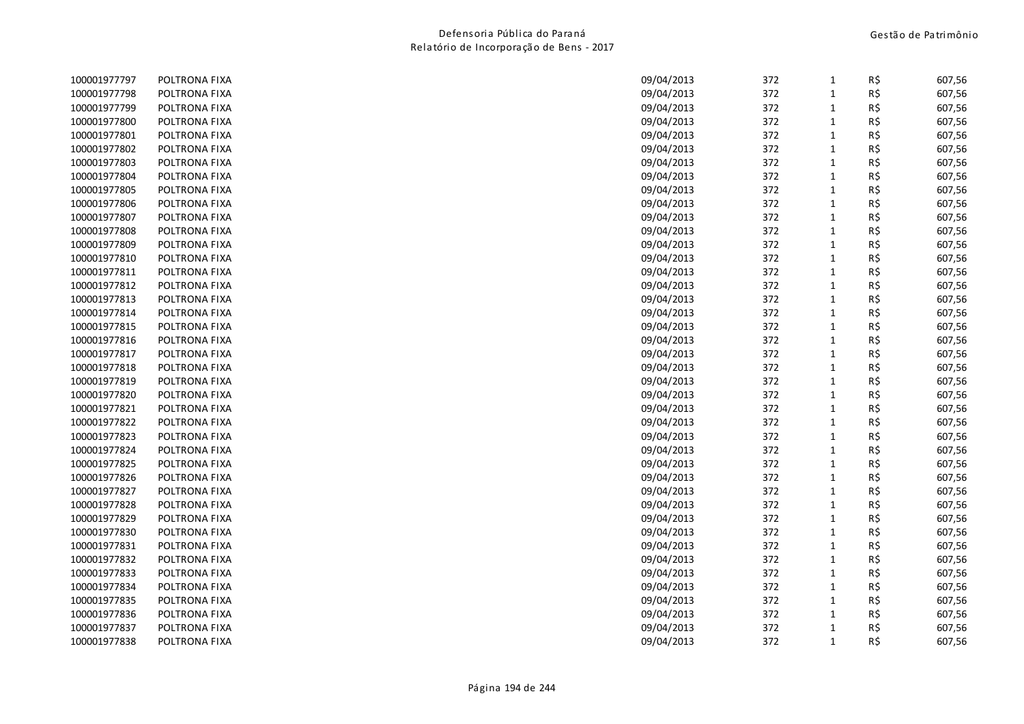| 100001977797 | POLTRONA FIXA | 09/04/2013 | 372 | 1            | R\$ | 607,56 |
|--------------|---------------|------------|-----|--------------|-----|--------|
| 100001977798 | POLTRONA FIXA | 09/04/2013 | 372 | $\mathbf{1}$ | R\$ | 607,56 |
| 100001977799 | POLTRONA FIXA | 09/04/2013 | 372 | $\mathbf{1}$ | R\$ | 607,56 |
| 100001977800 | POLTRONA FIXA | 09/04/2013 | 372 | $\mathbf{1}$ | R\$ | 607,56 |
| 100001977801 | POLTRONA FIXA | 09/04/2013 | 372 | $\mathbf 1$  | R\$ | 607,56 |
| 100001977802 | POLTRONA FIXA | 09/04/2013 | 372 | $\mathbf{1}$ | R\$ | 607,56 |
| 100001977803 | POLTRONA FIXA | 09/04/2013 | 372 | $\mathbf{1}$ | R\$ | 607,56 |
| 100001977804 | POLTRONA FIXA | 09/04/2013 | 372 | $\mathbf{1}$ | R\$ | 607,56 |
| 100001977805 | POLTRONA FIXA | 09/04/2013 | 372 | $\mathbf{1}$ | R\$ | 607,56 |
| 100001977806 | POLTRONA FIXA | 09/04/2013 | 372 | $\mathbf{1}$ | R\$ | 607,56 |
| 100001977807 | POLTRONA FIXA | 09/04/2013 | 372 | $\mathbf{1}$ | R\$ | 607,56 |
| 100001977808 | POLTRONA FIXA | 09/04/2013 | 372 | $\mathbf{1}$ | R\$ | 607,56 |
| 100001977809 | POLTRONA FIXA | 09/04/2013 | 372 | $\mathbf{1}$ | R\$ | 607,56 |
| 100001977810 | POLTRONA FIXA | 09/04/2013 | 372 | $\mathbf{1}$ | R\$ | 607,56 |
| 100001977811 | POLTRONA FIXA | 09/04/2013 | 372 | $\mathbf{1}$ | R\$ | 607,56 |
| 100001977812 | POLTRONA FIXA | 09/04/2013 | 372 | $\mathbf{1}$ | R\$ | 607,56 |
| 100001977813 | POLTRONA FIXA | 09/04/2013 | 372 | $\mathbf{1}$ | R\$ | 607,56 |
| 100001977814 | POLTRONA FIXA | 09/04/2013 | 372 | $\mathbf{1}$ | R\$ | 607,56 |
| 100001977815 | POLTRONA FIXA | 09/04/2013 | 372 | $\mathbf{1}$ | R\$ | 607,56 |
| 100001977816 | POLTRONA FIXA | 09/04/2013 | 372 | $\mathbf{1}$ | R\$ | 607,56 |
| 100001977817 | POLTRONA FIXA | 09/04/2013 | 372 | $\mathbf{1}$ | R\$ | 607,56 |
| 100001977818 | POLTRONA FIXA | 09/04/2013 | 372 | $\mathbf{1}$ | R\$ | 607,56 |
| 100001977819 | POLTRONA FIXA | 09/04/2013 | 372 | $\mathbf{1}$ | R\$ | 607,56 |
| 100001977820 | POLTRONA FIXA | 09/04/2013 | 372 | $\mathbf{1}$ | R\$ | 607,56 |
| 100001977821 | POLTRONA FIXA | 09/04/2013 | 372 | $\mathbf{1}$ | R\$ | 607,56 |
| 100001977822 | POLTRONA FIXA | 09/04/2013 | 372 | $\mathbf{1}$ | R\$ | 607,56 |
| 100001977823 | POLTRONA FIXA | 09/04/2013 | 372 | $\mathbf{1}$ | R\$ | 607,56 |
| 100001977824 | POLTRONA FIXA | 09/04/2013 | 372 | $\mathbf 1$  | R\$ | 607,56 |
| 100001977825 | POLTRONA FIXA | 09/04/2013 | 372 | $\mathbf{1}$ | R\$ | 607,56 |
| 100001977826 | POLTRONA FIXA | 09/04/2013 | 372 | $\mathbf{1}$ | R\$ | 607,56 |
| 100001977827 | POLTRONA FIXA | 09/04/2013 | 372 | $\mathbf{1}$ | R\$ | 607,56 |
| 100001977828 | POLTRONA FIXA | 09/04/2013 | 372 | $\mathbf 1$  | R\$ | 607,56 |
| 100001977829 | POLTRONA FIXA | 09/04/2013 | 372 | $\mathbf{1}$ | R\$ | 607,56 |
| 100001977830 | POLTRONA FIXA | 09/04/2013 | 372 | $\mathbf{1}$ | R\$ | 607,56 |
| 100001977831 | POLTRONA FIXA | 09/04/2013 | 372 | $\mathbf{1}$ | R\$ | 607,56 |
| 100001977832 | POLTRONA FIXA | 09/04/2013 | 372 | $\mathbf{1}$ | R\$ | 607,56 |
| 100001977833 | POLTRONA FIXA | 09/04/2013 | 372 | $\mathbf 1$  | R\$ | 607,56 |
| 100001977834 | POLTRONA FIXA | 09/04/2013 | 372 | $\mathbf{1}$ | R\$ | 607,56 |
| 100001977835 | POLTRONA FIXA | 09/04/2013 | 372 | $\mathbf{1}$ | R\$ | 607,56 |
| 100001977836 | POLTRONA FIXA | 09/04/2013 | 372 | $\mathbf{1}$ | R\$ | 607,56 |
| 100001977837 | POLTRONA FIXA | 09/04/2013 | 372 | $\mathbf{1}$ | R\$ | 607,56 |
| 100001977838 | POLTRONA FIXA | 09/04/2013 | 372 | $\mathbf{1}$ | R\$ | 607,56 |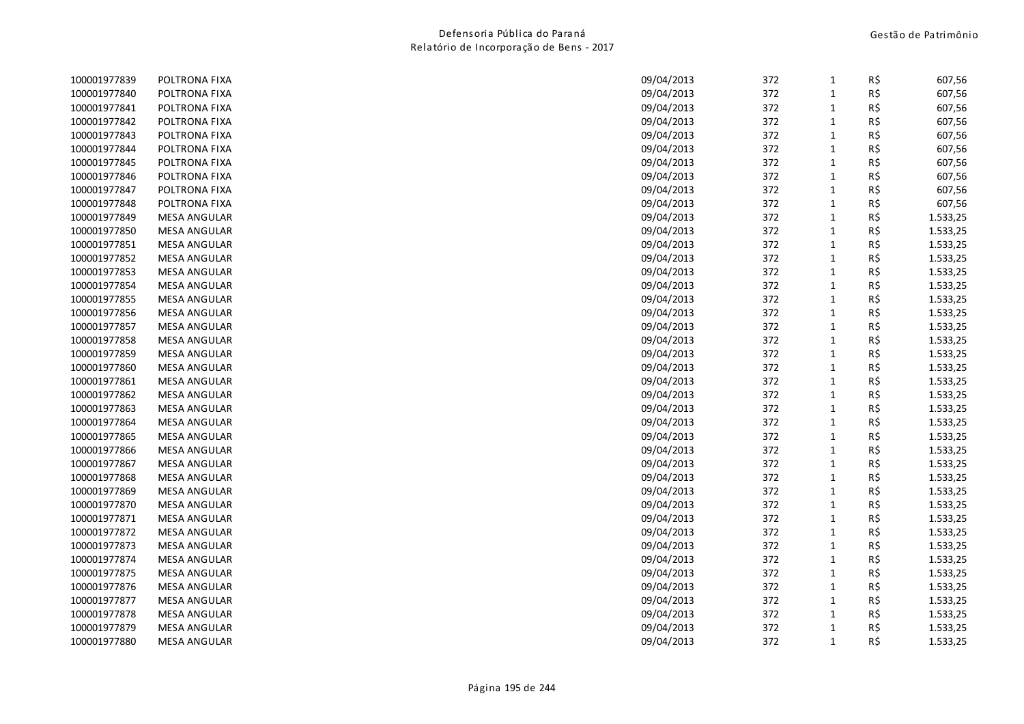| 100001977839 | POLTRONA FIXA       | 09/04/2013 | 372 | $\mathbf{1}$ | R\$ | 607,56   |
|--------------|---------------------|------------|-----|--------------|-----|----------|
| 100001977840 | POLTRONA FIXA       | 09/04/2013 | 372 | $\mathbf{1}$ | R\$ | 607,56   |
| 100001977841 | POLTRONA FIXA       | 09/04/2013 | 372 | $\mathbf{1}$ | R\$ | 607,56   |
| 100001977842 | POLTRONA FIXA       | 09/04/2013 | 372 | $\mathbf{1}$ | R\$ | 607,56   |
| 100001977843 | POLTRONA FIXA       | 09/04/2013 | 372 | $\mathbf 1$  | R\$ | 607,56   |
| 100001977844 | POLTRONA FIXA       | 09/04/2013 | 372 | $\mathbf 1$  | R\$ | 607,56   |
| 100001977845 | POLTRONA FIXA       | 09/04/2013 | 372 | $\mathbf{1}$ | R\$ | 607,56   |
| 100001977846 | POLTRONA FIXA       | 09/04/2013 | 372 | $\mathbf{1}$ | R\$ | 607,56   |
| 100001977847 | POLTRONA FIXA       | 09/04/2013 | 372 | $\mathbf 1$  | R\$ | 607,56   |
| 100001977848 | POLTRONA FIXA       | 09/04/2013 | 372 | $\mathbf 1$  | R\$ | 607,56   |
| 100001977849 | <b>MESA ANGULAR</b> | 09/04/2013 | 372 | $\mathbf{1}$ | R\$ | 1.533,25 |
| 100001977850 | <b>MESA ANGULAR</b> | 09/04/2013 | 372 | $\mathbf{1}$ | R\$ | 1.533,25 |
| 100001977851 | <b>MESA ANGULAR</b> | 09/04/2013 | 372 | $\mathbf{1}$ | R\$ | 1.533,25 |
| 100001977852 | <b>MESA ANGULAR</b> | 09/04/2013 | 372 | $\mathbf{1}$ | R\$ | 1.533,25 |
| 100001977853 | <b>MESA ANGULAR</b> | 09/04/2013 | 372 | $\mathbf 1$  | R\$ | 1.533,25 |
| 100001977854 | <b>MESA ANGULAR</b> | 09/04/2013 | 372 | $\mathbf{1}$ | R\$ | 1.533,25 |
| 100001977855 | <b>MESA ANGULAR</b> | 09/04/2013 | 372 | $\mathbf{1}$ | R\$ | 1.533,25 |
| 100001977856 | <b>MESA ANGULAR</b> | 09/04/2013 | 372 | $\mathbf 1$  | R\$ | 1.533,25 |
| 100001977857 | <b>MESA ANGULAR</b> | 09/04/2013 | 372 | $\mathbf{1}$ | R\$ | 1.533,25 |
| 100001977858 | <b>MESA ANGULAR</b> | 09/04/2013 | 372 | $\mathbf 1$  | R\$ | 1.533,25 |
| 100001977859 | <b>MESA ANGULAR</b> | 09/04/2013 | 372 | $\mathbf{1}$ | R\$ | 1.533,25 |
| 100001977860 | <b>MESA ANGULAR</b> | 09/04/2013 | 372 | $\mathbf{1}$ | R\$ | 1.533,25 |
| 100001977861 | <b>MESA ANGULAR</b> | 09/04/2013 | 372 | $\mathbf 1$  | R\$ | 1.533,25 |
| 100001977862 | <b>MESA ANGULAR</b> | 09/04/2013 | 372 | $\mathbf{1}$ | R\$ | 1.533,25 |
| 100001977863 | <b>MESA ANGULAR</b> | 09/04/2013 | 372 | $\mathbf 1$  | R\$ | 1.533,25 |
| 100001977864 | <b>MESA ANGULAR</b> | 09/04/2013 | 372 | $\mathbf{1}$ | R\$ | 1.533,25 |
| 100001977865 | <b>MESA ANGULAR</b> | 09/04/2013 | 372 | $\mathbf 1$  | R\$ | 1.533,25 |
| 100001977866 | <b>MESA ANGULAR</b> | 09/04/2013 | 372 | $\mathbf 1$  | R\$ | 1.533,25 |
| 100001977867 | <b>MESA ANGULAR</b> | 09/04/2013 | 372 | $\mathbf{1}$ | R\$ | 1.533,25 |
| 100001977868 | <b>MESA ANGULAR</b> | 09/04/2013 | 372 | $\mathbf 1$  | R\$ | 1.533,25 |
| 100001977869 | <b>MESA ANGULAR</b> | 09/04/2013 | 372 | $\mathbf{1}$ | R\$ | 1.533,25 |
| 100001977870 | <b>MESA ANGULAR</b> | 09/04/2013 | 372 | $\mathbf{1}$ | R\$ | 1.533,25 |
| 100001977871 | <b>MESA ANGULAR</b> | 09/04/2013 | 372 | $\mathbf{1}$ | R\$ | 1.533,25 |
| 100001977872 | <b>MESA ANGULAR</b> | 09/04/2013 | 372 | $\mathbf 1$  | R\$ | 1.533,25 |
| 100001977873 | <b>MESA ANGULAR</b> | 09/04/2013 | 372 | $\mathbf{1}$ | R\$ | 1.533,25 |
| 100001977874 | <b>MESA ANGULAR</b> | 09/04/2013 | 372 | $\mathbf 1$  | R\$ | 1.533,25 |
| 100001977875 | <b>MESA ANGULAR</b> | 09/04/2013 | 372 | $\mathbf 1$  | R\$ | 1.533,25 |
| 100001977876 | <b>MESA ANGULAR</b> | 09/04/2013 | 372 | $\mathbf 1$  | R\$ | 1.533,25 |
| 100001977877 | <b>MESA ANGULAR</b> | 09/04/2013 | 372 | $\mathbf{1}$ | R\$ | 1.533,25 |
| 100001977878 | <b>MESA ANGULAR</b> | 09/04/2013 | 372 | $\mathbf{1}$ | R\$ | 1.533,25 |
| 100001977879 | <b>MESA ANGULAR</b> | 09/04/2013 | 372 | $\mathbf{1}$ | R\$ | 1.533,25 |
| 100001977880 | <b>MESA ANGULAR</b> | 09/04/2013 | 372 | $\mathbf{1}$ | R\$ | 1.533,25 |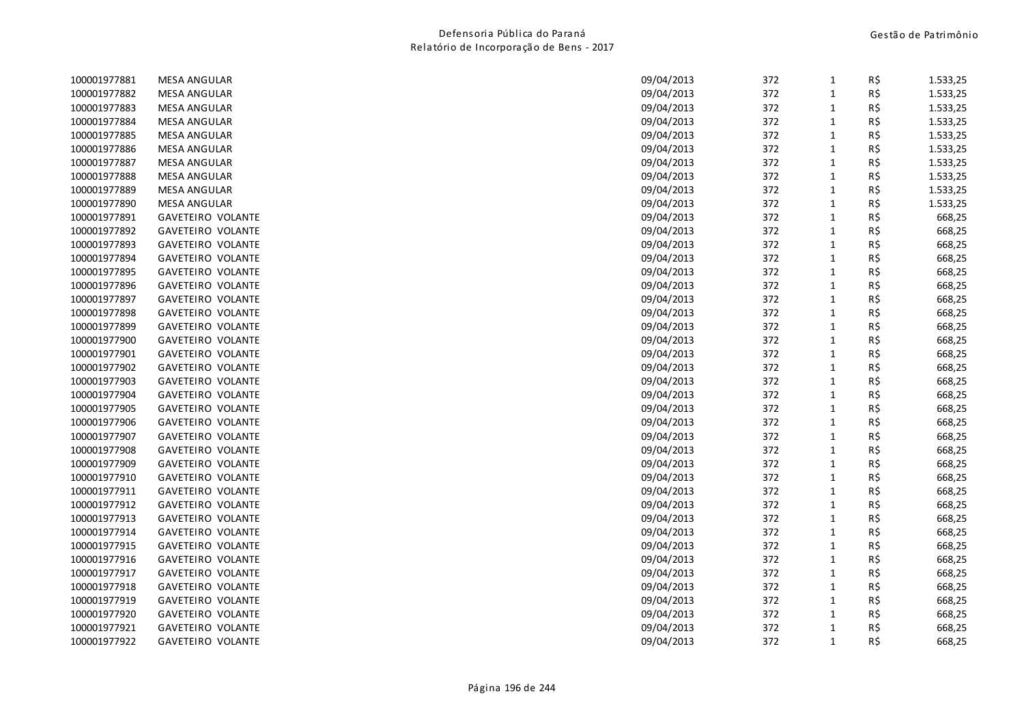| 100001977881 | <b>MESA ANGULAR</b>      | 09/04/2013 | 372 | $\mathbf{1}$ | R\$ | 1.533,25 |
|--------------|--------------------------|------------|-----|--------------|-----|----------|
| 100001977882 | <b>MESA ANGULAR</b>      | 09/04/2013 | 372 | $\mathbf 1$  | R\$ | 1.533,25 |
| 100001977883 | <b>MESA ANGULAR</b>      | 09/04/2013 | 372 | $\mathbf{1}$ | R\$ | 1.533,25 |
| 100001977884 | <b>MESA ANGULAR</b>      | 09/04/2013 | 372 | $1\,$        | R\$ | 1.533,25 |
| 100001977885 | <b>MESA ANGULAR</b>      | 09/04/2013 | 372 | $\mathbf 1$  | R\$ | 1.533,25 |
| 100001977886 | <b>MESA ANGULAR</b>      | 09/04/2013 | 372 | $1\,$        | R\$ | 1.533,25 |
| 100001977887 | <b>MESA ANGULAR</b>      | 09/04/2013 | 372 | $\mathbf 1$  | R\$ | 1.533,25 |
| 100001977888 | <b>MESA ANGULAR</b>      | 09/04/2013 | 372 | $\mathbf{1}$ | R\$ | 1.533,25 |
| 100001977889 | <b>MESA ANGULAR</b>      | 09/04/2013 | 372 | $\mathbf 1$  | R\$ | 1.533,25 |
| 100001977890 | <b>MESA ANGULAR</b>      | 09/04/2013 | 372 | $\mathbf 1$  | R\$ | 1.533,25 |
| 100001977891 | <b>GAVETEIRO VOLANTE</b> | 09/04/2013 | 372 | $1\,$        | R\$ | 668,25   |
| 100001977892 | <b>GAVETEIRO VOLANTE</b> | 09/04/2013 | 372 | $\mathbf 1$  | R\$ | 668,25   |
| 100001977893 | GAVETEIRO VOLANTE        | 09/04/2013 | 372 | $1\,$        | R\$ | 668,25   |
| 100001977894 | <b>GAVETEIRO VOLANTE</b> | 09/04/2013 | 372 | $\mathbf 1$  | R\$ | 668,25   |
| 100001977895 | GAVETEIRO VOLANTE        | 09/04/2013 | 372 | $\mathbf{1}$ | R\$ | 668,25   |
| 100001977896 | GAVETEIRO VOLANTE        | 09/04/2013 | 372 | $1\,$        | R\$ | 668,25   |
| 100001977897 | GAVETEIRO VOLANTE        | 09/04/2013 | 372 | $\mathbf{1}$ | R\$ | 668,25   |
| 100001977898 | GAVETEIRO VOLANTE        | 09/04/2013 | 372 | $\mathbf 1$  | R\$ | 668,25   |
| 100001977899 | <b>GAVETEIRO VOLANTE</b> | 09/04/2013 | 372 | $\mathbf 1$  | R\$ | 668,25   |
| 100001977900 | GAVETEIRO VOLANTE        | 09/04/2013 | 372 | $\mathbf 1$  | R\$ | 668,25   |
| 100001977901 | <b>GAVETEIRO VOLANTE</b> | 09/04/2013 | 372 | $\mathbf{1}$ | R\$ | 668,25   |
| 100001977902 | <b>GAVETEIRO VOLANTE</b> | 09/04/2013 | 372 | $\mathbf 1$  | R\$ | 668,25   |
| 100001977903 | <b>GAVETEIRO VOLANTE</b> | 09/04/2013 | 372 | $\mathbf 1$  | R\$ | 668,25   |
| 100001977904 | <b>GAVETEIRO VOLANTE</b> | 09/04/2013 | 372 | $\mathbf 1$  | R\$ | 668,25   |
| 100001977905 | <b>GAVETEIRO VOLANTE</b> | 09/04/2013 | 372 | $\mathbf{1}$ | R\$ | 668,25   |
| 100001977906 | <b>GAVETEIRO VOLANTE</b> | 09/04/2013 | 372 | $\mathbf{1}$ | R\$ | 668,25   |
| 100001977907 | <b>GAVETEIRO VOLANTE</b> | 09/04/2013 | 372 | $\mathbf 1$  | R\$ | 668,25   |
| 100001977908 | <b>GAVETEIRO VOLANTE</b> | 09/04/2013 | 372 | $\mathbf{1}$ | R\$ | 668,25   |
| 100001977909 | <b>GAVETEIRO VOLANTE</b> | 09/04/2013 | 372 | $\mathbf 1$  | R\$ | 668,25   |
| 100001977910 | GAVETEIRO VOLANTE        | 09/04/2013 | 372 | $\mathbf{1}$ | R\$ | 668,25   |
| 100001977911 | <b>GAVETEIRO VOLANTE</b> | 09/04/2013 | 372 | $\mathbf 1$  | R\$ | 668,25   |
| 100001977912 | <b>GAVETEIRO VOLANTE</b> | 09/04/2013 | 372 | $\mathbf{1}$ | R\$ | 668,25   |
| 100001977913 | <b>GAVETEIRO VOLANTE</b> | 09/04/2013 | 372 | $1\,$        | R\$ | 668,25   |
| 100001977914 | <b>GAVETEIRO VOLANTE</b> | 09/04/2013 | 372 | $\mathbf{1}$ | R\$ | 668,25   |
| 100001977915 | GAVETEIRO VOLANTE        | 09/04/2013 | 372 | $\mathbf{1}$ | R\$ | 668,25   |
| 100001977916 | <b>GAVETEIRO VOLANTE</b> | 09/04/2013 | 372 | $\mathbf 1$  | R\$ | 668,25   |
| 100001977917 | GAVETEIRO VOLANTE        | 09/04/2013 | 372 | $\mathbf{1}$ | R\$ | 668,25   |
| 100001977918 | <b>GAVETEIRO VOLANTE</b> | 09/04/2013 | 372 | $\mathbf{1}$ | R\$ | 668,25   |
| 100001977919 | GAVETEIRO VOLANTE        | 09/04/2013 | 372 | $\mathbf{1}$ | R\$ | 668,25   |
| 100001977920 | <b>GAVETEIRO VOLANTE</b> | 09/04/2013 | 372 | $\mathbf{1}$ | R\$ | 668,25   |
| 100001977921 | <b>GAVETEIRO VOLANTE</b> | 09/04/2013 | 372 | $\mathbf{1}$ | R\$ | 668,25   |
| 100001977922 | <b>GAVETEIRO VOLANTE</b> | 09/04/2013 | 372 | $\mathbf{1}$ | R\$ | 668,25   |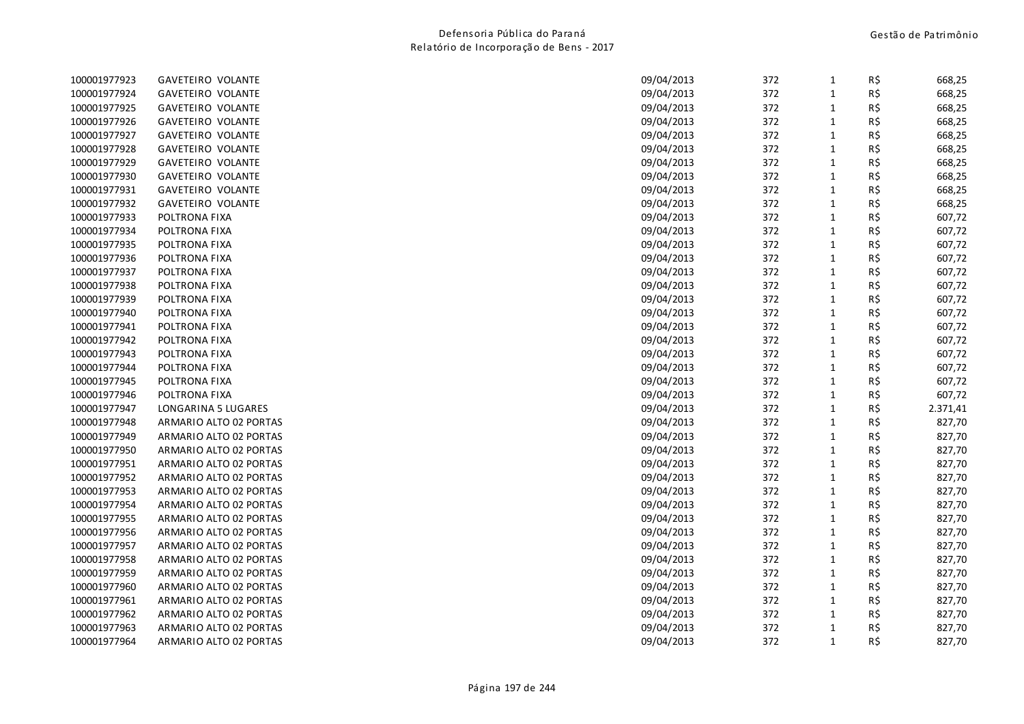| 100001977923 | <b>GAVETEIRO VOLANTE</b> | 09/04/2013 | 372 | $\mathbf{1}$ | R\$ | 668,25   |
|--------------|--------------------------|------------|-----|--------------|-----|----------|
| 100001977924 | <b>GAVETEIRO VOLANTE</b> | 09/04/2013 | 372 | $\mathbf{1}$ | R\$ | 668,25   |
| 100001977925 | GAVETEIRO VOLANTE        | 09/04/2013 | 372 | $\mathbf{1}$ | R\$ | 668,25   |
| 100001977926 | <b>GAVETEIRO VOLANTE</b> | 09/04/2013 | 372 | $\mathbf{1}$ | R\$ | 668,25   |
| 100001977927 | <b>GAVETEIRO VOLANTE</b> | 09/04/2013 | 372 | $\mathbf{1}$ | R\$ | 668,25   |
| 100001977928 | <b>GAVETEIRO VOLANTE</b> | 09/04/2013 | 372 | $\mathbf{1}$ | R\$ | 668,25   |
| 100001977929 | <b>GAVETEIRO VOLANTE</b> | 09/04/2013 | 372 | $\mathbf{1}$ | R\$ | 668,25   |
| 100001977930 | <b>GAVETEIRO VOLANTE</b> | 09/04/2013 | 372 | $\mathbf{1}$ | R\$ | 668,25   |
| 100001977931 | <b>GAVETEIRO VOLANTE</b> | 09/04/2013 | 372 | $\mathbf{1}$ | R\$ | 668,25   |
| 100001977932 | GAVETEIRO VOLANTE        | 09/04/2013 | 372 | $\mathbf{1}$ | R\$ | 668,25   |
| 100001977933 | POLTRONA FIXA            | 09/04/2013 | 372 | $\mathbf{1}$ | R\$ | 607,72   |
| 100001977934 | POLTRONA FIXA            | 09/04/2013 | 372 | $\mathbf{1}$ | R\$ | 607,72   |
| 100001977935 | POLTRONA FIXA            | 09/04/2013 | 372 | $\mathbf{1}$ | R\$ | 607,72   |
| 100001977936 | POLTRONA FIXA            | 09/04/2013 | 372 | $\mathbf 1$  | R\$ | 607,72   |
| 100001977937 | POLTRONA FIXA            | 09/04/2013 | 372 | $\mathbf{1}$ | R\$ | 607,72   |
| 100001977938 | POLTRONA FIXA            | 09/04/2013 | 372 | $\mathbf{1}$ | R\$ | 607,72   |
| 100001977939 | POLTRONA FIXA            | 09/04/2013 | 372 | $\mathbf{1}$ | R\$ | 607,72   |
| 100001977940 | POLTRONA FIXA            | 09/04/2013 | 372 | $\mathbf{1}$ | R\$ | 607,72   |
| 100001977941 | POLTRONA FIXA            | 09/04/2013 | 372 | $\mathbf{1}$ | R\$ | 607,72   |
| 100001977942 | POLTRONA FIXA            | 09/04/2013 | 372 | $\mathbf{1}$ | R\$ | 607,72   |
| 100001977943 | POLTRONA FIXA            | 09/04/2013 | 372 | $\mathbf{1}$ | R\$ | 607,72   |
| 100001977944 | POLTRONA FIXA            | 09/04/2013 | 372 | $\mathbf{1}$ | R\$ | 607,72   |
| 100001977945 | POLTRONA FIXA            | 09/04/2013 | 372 | $\mathbf 1$  | R\$ | 607,72   |
| 100001977946 | POLTRONA FIXA            | 09/04/2013 | 372 | $\mathbf{1}$ | R\$ | 607,72   |
| 100001977947 | LONGARINA 5 LUGARES      | 09/04/2013 | 372 | $\mathbf{1}$ | R\$ | 2.371,41 |
| 100001977948 | ARMARIO ALTO 02 PORTAS   | 09/04/2013 | 372 | $\mathbf{1}$ | R\$ | 827,70   |
| 100001977949 | ARMARIO ALTO 02 PORTAS   | 09/04/2013 | 372 | $\mathbf{1}$ | R\$ | 827,70   |
| 100001977950 | ARMARIO ALTO 02 PORTAS   | 09/04/2013 | 372 | $\mathbf{1}$ | R\$ | 827,70   |
| 100001977951 | ARMARIO ALTO 02 PORTAS   | 09/04/2013 | 372 | $\mathbf{1}$ | R\$ | 827,70   |
| 100001977952 | ARMARIO ALTO 02 PORTAS   | 09/04/2013 | 372 | $\mathbf{1}$ | R\$ | 827,70   |
| 100001977953 | ARMARIO ALTO 02 PORTAS   | 09/04/2013 | 372 | $\mathbf{1}$ | R\$ | 827,70   |
| 100001977954 | ARMARIO ALTO 02 PORTAS   | 09/04/2013 | 372 | $\mathbf 1$  | R\$ | 827,70   |
| 100001977955 | ARMARIO ALTO 02 PORTAS   | 09/04/2013 | 372 | $\mathbf{1}$ | R\$ | 827,70   |
| 100001977956 | ARMARIO ALTO 02 PORTAS   | 09/04/2013 | 372 | $\mathbf{1}$ | R\$ | 827,70   |
| 100001977957 | ARMARIO ALTO 02 PORTAS   | 09/04/2013 | 372 | $\mathbf{1}$ | R\$ | 827,70   |
| 100001977958 | ARMARIO ALTO 02 PORTAS   | 09/04/2013 | 372 | $\mathbf{1}$ | R\$ | 827,70   |
| 100001977959 | ARMARIO ALTO 02 PORTAS   | 09/04/2013 | 372 | $\mathbf{1}$ | R\$ | 827,70   |
| 100001977960 | ARMARIO ALTO 02 PORTAS   | 09/04/2013 | 372 | $\mathbf{1}$ | R\$ | 827,70   |
| 100001977961 | ARMARIO ALTO 02 PORTAS   | 09/04/2013 | 372 | $\mathbf{1}$ | R\$ | 827,70   |
| 100001977962 | ARMARIO ALTO 02 PORTAS   | 09/04/2013 | 372 | $\mathbf{1}$ | R\$ | 827,70   |
| 100001977963 | ARMARIO ALTO 02 PORTAS   | 09/04/2013 | 372 | $\mathbf{1}$ | R\$ | 827,70   |
| 100001977964 | ARMARIO ALTO 02 PORTAS   | 09/04/2013 | 372 | $\mathbf{1}$ | R\$ | 827,70   |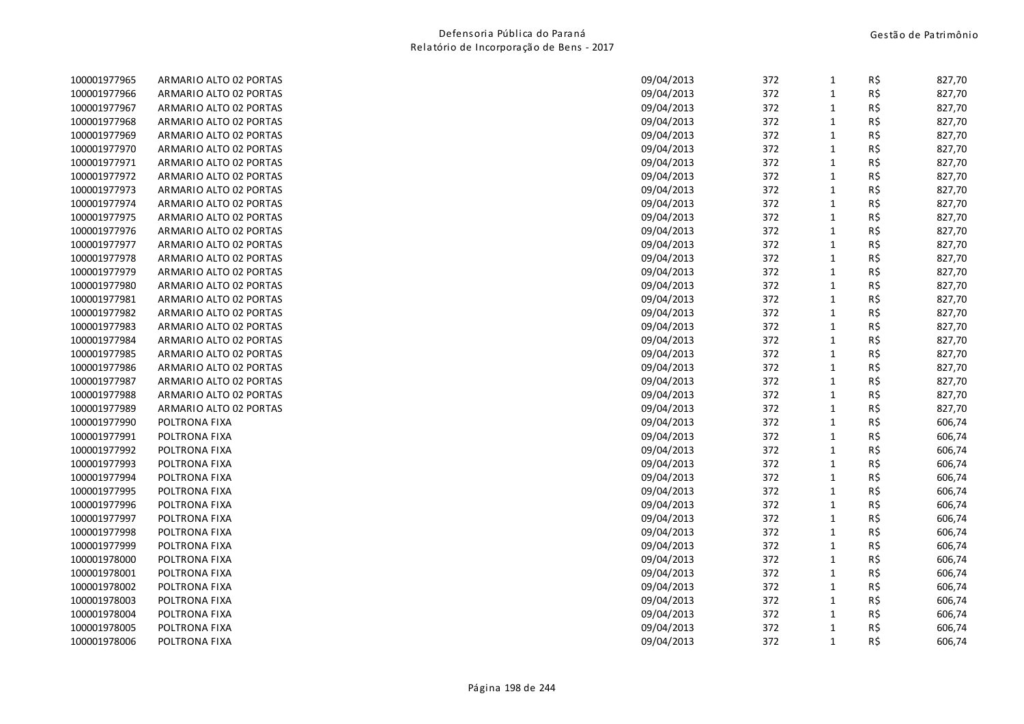| 100001977965 | ARMARIO ALTO 02 PORTAS | 09/04/2013 | 372 | $\mathbf{1}$ | R\$ | 827,70 |
|--------------|------------------------|------------|-----|--------------|-----|--------|
| 100001977966 | ARMARIO ALTO 02 PORTAS | 09/04/2013 | 372 | $\mathbf{1}$ | R\$ | 827,70 |
| 100001977967 | ARMARIO ALTO 02 PORTAS | 09/04/2013 | 372 | 1            | R\$ | 827,70 |
| 100001977968 | ARMARIO ALTO 02 PORTAS | 09/04/2013 | 372 | $\mathbf 1$  | R\$ | 827,70 |
| 100001977969 | ARMARIO ALTO 02 PORTAS | 09/04/2013 | 372 | $\mathbf{1}$ | R\$ | 827,70 |
| 100001977970 | ARMARIO ALTO 02 PORTAS | 09/04/2013 | 372 | $\mathbf{1}$ | R\$ | 827,70 |
| 100001977971 | ARMARIO ALTO 02 PORTAS | 09/04/2013 | 372 | $\mathbf{1}$ | R\$ | 827,70 |
| 100001977972 | ARMARIO ALTO 02 PORTAS | 09/04/2013 | 372 | $\mathbf{1}$ | R\$ | 827,70 |
| 100001977973 | ARMARIO ALTO 02 PORTAS | 09/04/2013 | 372 | $\mathbf{1}$ | R\$ | 827,70 |
| 100001977974 | ARMARIO ALTO 02 PORTAS | 09/04/2013 | 372 | $\mathbf{1}$ | R\$ | 827,70 |
| 100001977975 | ARMARIO ALTO 02 PORTAS | 09/04/2013 | 372 | $\mathbf{1}$ | R\$ | 827,70 |
| 100001977976 | ARMARIO ALTO 02 PORTAS | 09/04/2013 | 372 | $\mathbf{1}$ | R\$ | 827,70 |
| 100001977977 | ARMARIO ALTO 02 PORTAS | 09/04/2013 | 372 | $\mathbf{1}$ | R\$ | 827,70 |
| 100001977978 | ARMARIO ALTO 02 PORTAS | 09/04/2013 | 372 | $\mathbf{1}$ | R\$ | 827,70 |
| 100001977979 | ARMARIO ALTO 02 PORTAS | 09/04/2013 | 372 | $\mathbf{1}$ | R\$ | 827,70 |
| 100001977980 | ARMARIO ALTO 02 PORTAS | 09/04/2013 | 372 | $\mathbf{1}$ | R\$ | 827,70 |
| 100001977981 | ARMARIO ALTO 02 PORTAS | 09/04/2013 | 372 | $\mathbf{1}$ | R\$ | 827,70 |
| 100001977982 | ARMARIO ALTO 02 PORTAS | 09/04/2013 | 372 | $\mathbf 1$  | R\$ | 827,70 |
| 100001977983 | ARMARIO ALTO 02 PORTAS | 09/04/2013 | 372 | $\mathbf{1}$ | R\$ | 827,70 |
| 100001977984 | ARMARIO ALTO 02 PORTAS | 09/04/2013 | 372 | $\mathbf{1}$ | R\$ | 827,70 |
| 100001977985 | ARMARIO ALTO 02 PORTAS | 09/04/2013 | 372 | $\mathbf{1}$ | R\$ | 827,70 |
| 100001977986 | ARMARIO ALTO 02 PORTAS | 09/04/2013 | 372 | $\mathbf{1}$ | R\$ | 827,70 |
| 100001977987 | ARMARIO ALTO 02 PORTAS | 09/04/2013 | 372 | $\mathbf{1}$ | R\$ | 827,70 |
| 100001977988 | ARMARIO ALTO 02 PORTAS | 09/04/2013 | 372 | $\mathbf 1$  | R\$ | 827,70 |
| 100001977989 | ARMARIO ALTO 02 PORTAS | 09/04/2013 | 372 | $\mathbf{1}$ | R\$ | 827,70 |
| 100001977990 | POLTRONA FIXA          | 09/04/2013 | 372 | $\mathbf{1}$ | R\$ | 606,74 |
| 100001977991 | POLTRONA FIXA          | 09/04/2013 | 372 | $\mathbf{1}$ | R\$ | 606,74 |
| 100001977992 | POLTRONA FIXA          | 09/04/2013 | 372 | $\mathbf{1}$ | R\$ | 606,74 |
| 100001977993 | POLTRONA FIXA          | 09/04/2013 | 372 | $\mathbf{1}$ | R\$ | 606,74 |
| 100001977994 | POLTRONA FIXA          | 09/04/2013 | 372 | $\mathbf{1}$ | R\$ | 606,74 |
| 100001977995 | POLTRONA FIXA          | 09/04/2013 | 372 | $\mathbf{1}$ | R\$ | 606,74 |
| 100001977996 | POLTRONA FIXA          | 09/04/2013 | 372 | $\mathbf{1}$ | R\$ | 606,74 |
| 100001977997 | POLTRONA FIXA          | 09/04/2013 | 372 | $\mathbf{1}$ | R\$ | 606,74 |
| 100001977998 | POLTRONA FIXA          | 09/04/2013 | 372 | $\mathbf{1}$ | R\$ | 606,74 |
| 100001977999 | POLTRONA FIXA          | 09/04/2013 | 372 | $\mathbf{1}$ | R\$ | 606,74 |
| 100001978000 | POLTRONA FIXA          | 09/04/2013 | 372 | $\mathbf{1}$ | R\$ | 606,74 |
| 100001978001 | POLTRONA FIXA          | 09/04/2013 | 372 | $\mathbf 1$  | R\$ | 606,74 |
| 100001978002 | POLTRONA FIXA          | 09/04/2013 | 372 | $\mathbf{1}$ | R\$ | 606,74 |
| 100001978003 | POLTRONA FIXA          | 09/04/2013 | 372 | $\mathbf{1}$ | R\$ | 606,74 |
| 100001978004 | POLTRONA FIXA          | 09/04/2013 | 372 | $\mathbf{1}$ | R\$ | 606,74 |
| 100001978005 | POLTRONA FIXA          | 09/04/2013 | 372 | $\mathbf{1}$ | R\$ | 606,74 |
| 100001978006 | POLTRONA FIXA          | 09/04/2013 | 372 | $\mathbf{1}$ | R\$ | 606,74 |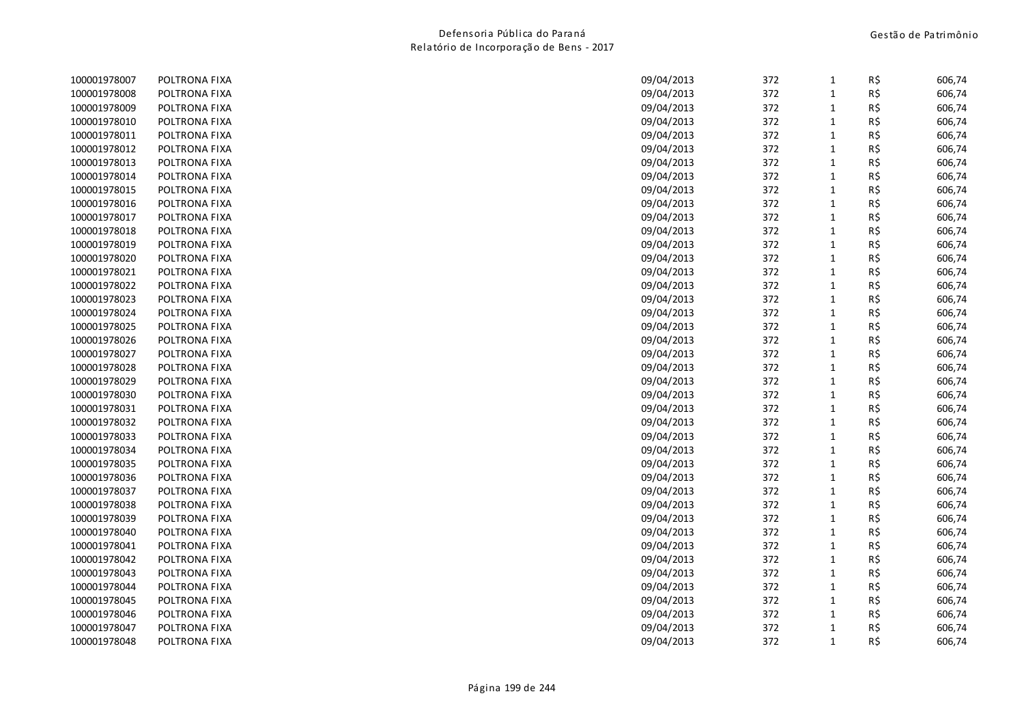| 100001978007 | POLTRONA FIXA | 09/04/2013 | 372 | 1            | R\$ | 606,74 |
|--------------|---------------|------------|-----|--------------|-----|--------|
| 100001978008 | POLTRONA FIXA | 09/04/2013 | 372 | $\mathbf{1}$ | R\$ | 606,74 |
| 100001978009 | POLTRONA FIXA | 09/04/2013 | 372 | $\mathbf{1}$ | R\$ | 606,74 |
| 100001978010 | POLTRONA FIXA | 09/04/2013 | 372 | $1\,$        | R\$ | 606,74 |
| 100001978011 | POLTRONA FIXA | 09/04/2013 | 372 | $\mathbf 1$  | R\$ | 606,74 |
| 100001978012 | POLTRONA FIXA | 09/04/2013 | 372 | $1\,$        | R\$ | 606,74 |
| 100001978013 | POLTRONA FIXA | 09/04/2013 | 372 | $\mathbf{1}$ | R\$ | 606,74 |
| 100001978014 | POLTRONA FIXA | 09/04/2013 | 372 | $\mathbf{1}$ | R\$ | 606,74 |
| 100001978015 | POLTRONA FIXA | 09/04/2013 | 372 | $\mathbf{1}$ | R\$ | 606,74 |
| 100001978016 | POLTRONA FIXA | 09/04/2013 | 372 | $\mathbf{1}$ | R\$ | 606,74 |
| 100001978017 | POLTRONA FIXA | 09/04/2013 | 372 | $\mathbf{1}$ | R\$ | 606,74 |
| 100001978018 | POLTRONA FIXA | 09/04/2013 | 372 | $\mathbf{1}$ | R\$ | 606,74 |
| 100001978019 | POLTRONA FIXA | 09/04/2013 | 372 | $\mathbf 1$  | R\$ | 606,74 |
| 100001978020 | POLTRONA FIXA | 09/04/2013 | 372 | $1\,$        | R\$ | 606,74 |
| 100001978021 | POLTRONA FIXA | 09/04/2013 | 372 | $\mathbf{1}$ | R\$ | 606,74 |
| 100001978022 | POLTRONA FIXA | 09/04/2013 | 372 | $\mathbf{1}$ | R\$ | 606,74 |
| 100001978023 | POLTRONA FIXA | 09/04/2013 | 372 | $\mathbf{1}$ | R\$ | 606,74 |
| 100001978024 | POLTRONA FIXA | 09/04/2013 | 372 | $\mathbf{1}$ | R\$ | 606,74 |
| 100001978025 | POLTRONA FIXA | 09/04/2013 | 372 | $\mathbf{1}$ | R\$ | 606,74 |
| 100001978026 | POLTRONA FIXA | 09/04/2013 | 372 | $\mathbf{1}$ | R\$ | 606,74 |
| 100001978027 | POLTRONA FIXA | 09/04/2013 | 372 | $\mathbf{1}$ | R\$ | 606,74 |
| 100001978028 | POLTRONA FIXA | 09/04/2013 | 372 | $\mathbf{1}$ | R\$ | 606,74 |
| 100001978029 | POLTRONA FIXA | 09/04/2013 | 372 | $\mathbf{1}$ | R\$ | 606,74 |
| 100001978030 | POLTRONA FIXA | 09/04/2013 | 372 | $\mathbf{1}$ | R\$ | 606,74 |
| 100001978031 | POLTRONA FIXA | 09/04/2013 | 372 | $1\,$        | R\$ | 606,74 |
| 100001978032 | POLTRONA FIXA | 09/04/2013 | 372 | $\mathbf{1}$ | R\$ | 606,74 |
| 100001978033 | POLTRONA FIXA | 09/04/2013 | 372 | $\mathbf{1}$ | R\$ | 606,74 |
| 100001978034 | POLTRONA FIXA | 09/04/2013 | 372 | $\mathbf 1$  | R\$ | 606,74 |
| 100001978035 | POLTRONA FIXA | 09/04/2013 | 372 | $1\,$        | R\$ | 606,74 |
| 100001978036 | POLTRONA FIXA | 09/04/2013 | 372 | $\mathbf{1}$ | R\$ | 606,74 |
| 100001978037 | POLTRONA FIXA | 09/04/2013 | 372 | $\mathbf{1}$ | R\$ | 606,74 |
| 100001978038 | POLTRONA FIXA | 09/04/2013 | 372 | $\mathbf 1$  | R\$ | 606,74 |
| 100001978039 | POLTRONA FIXA | 09/04/2013 | 372 | $\mathbf{1}$ | R\$ | 606,74 |
| 100001978040 | POLTRONA FIXA | 09/04/2013 | 372 | $\mathbf{1}$ | R\$ | 606,74 |
| 100001978041 | POLTRONA FIXA | 09/04/2013 | 372 | $\mathbf{1}$ | R\$ | 606,74 |
| 100001978042 | POLTRONA FIXA | 09/04/2013 | 372 | $\mathbf{1}$ | R\$ | 606,74 |
| 100001978043 | POLTRONA FIXA | 09/04/2013 | 372 | $1\,$        | R\$ | 606,74 |
| 100001978044 | POLTRONA FIXA | 09/04/2013 | 372 | $\mathbf{1}$ | R\$ | 606,74 |
| 100001978045 | POLTRONA FIXA | 09/04/2013 | 372 | $1\,$        | R\$ | 606,74 |
| 100001978046 | POLTRONA FIXA | 09/04/2013 | 372 | $\mathbf{1}$ | R\$ | 606,74 |
| 100001978047 | POLTRONA FIXA | 09/04/2013 | 372 | $\mathbf{1}$ | R\$ | 606,74 |
| 100001978048 | POLTRONA FIXA | 09/04/2013 | 372 | $\mathbf{1}$ | R\$ | 606,74 |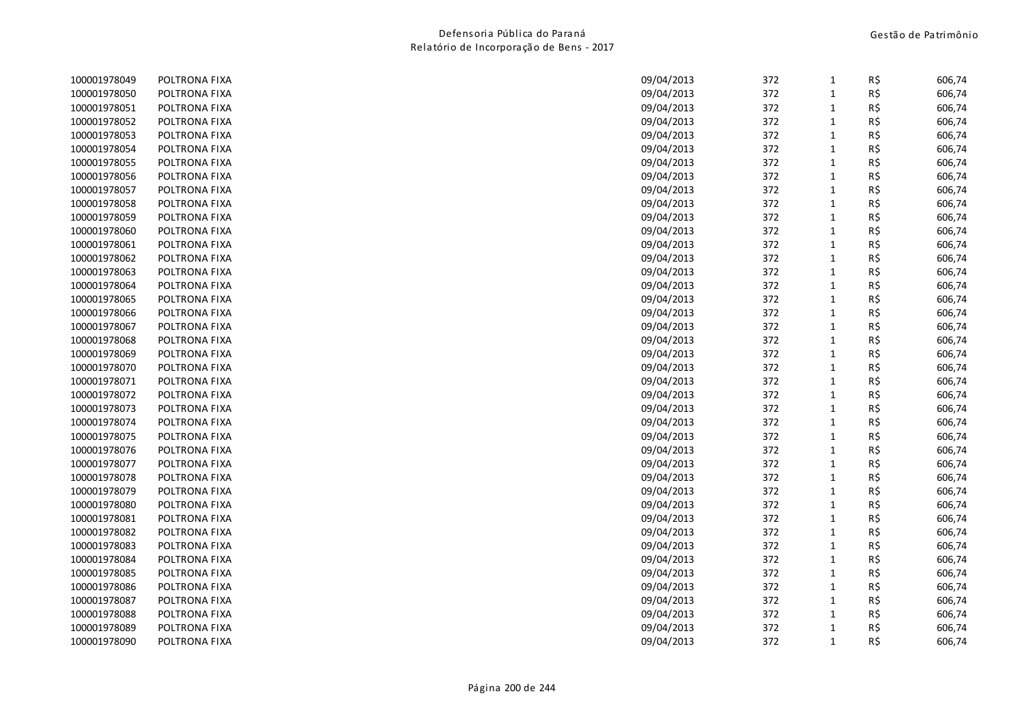| 100001978049 | POLTRONA FIXA | 09/04/2013 | 372 | 1            | R\$ | 606,74 |
|--------------|---------------|------------|-----|--------------|-----|--------|
| 100001978050 | POLTRONA FIXA | 09/04/2013 | 372 | $\mathbf{1}$ | R\$ | 606,74 |
| 100001978051 | POLTRONA FIXA | 09/04/2013 | 372 | $\mathbf{1}$ | R\$ | 606,74 |
| 100001978052 | POLTRONA FIXA | 09/04/2013 | 372 | $\mathbf{1}$ | R\$ | 606,74 |
| 100001978053 | POLTRONA FIXA | 09/04/2013 | 372 | $\mathbf{1}$ | R\$ | 606,74 |
| 100001978054 | POLTRONA FIXA | 09/04/2013 | 372 | $\mathbf{1}$ | R\$ | 606,74 |
| 100001978055 | POLTRONA FIXA | 09/04/2013 | 372 | $\mathbf{1}$ | R\$ | 606,74 |
| 100001978056 | POLTRONA FIXA | 09/04/2013 | 372 | $\mathbf{1}$ | R\$ | 606,74 |
| 100001978057 | POLTRONA FIXA | 09/04/2013 | 372 | $\mathbf{1}$ | R\$ | 606,74 |
| 100001978058 | POLTRONA FIXA | 09/04/2013 | 372 | $\mathbf{1}$ | R\$ | 606,74 |
| 100001978059 | POLTRONA FIXA | 09/04/2013 | 372 | $\mathbf{1}$ | R\$ | 606,74 |
| 100001978060 | POLTRONA FIXA | 09/04/2013 | 372 | $\mathbf{1}$ | R\$ | 606,74 |
| 100001978061 | POLTRONA FIXA | 09/04/2013 | 372 | $\mathbf{1}$ | R\$ | 606,74 |
| 100001978062 | POLTRONA FIXA | 09/04/2013 | 372 | $\mathbf 1$  | R\$ | 606,74 |
| 100001978063 | POLTRONA FIXA | 09/04/2013 | 372 | $\mathbf{1}$ | R\$ | 606,74 |
| 100001978064 | POLTRONA FIXA | 09/04/2013 | 372 | $\mathbf{1}$ | R\$ | 606,74 |
| 100001978065 | POLTRONA FIXA | 09/04/2013 | 372 | $\mathbf{1}$ | R\$ | 606,74 |
| 100001978066 | POLTRONA FIXA | 09/04/2013 | 372 | $\mathbf 1$  | R\$ | 606,74 |
| 100001978067 | POLTRONA FIXA | 09/04/2013 | 372 | $\mathbf{1}$ | R\$ | 606,74 |
| 100001978068 | POLTRONA FIXA | 09/04/2013 | 372 | $\mathbf{1}$ | R\$ | 606,74 |
| 100001978069 | POLTRONA FIXA | 09/04/2013 | 372 | $\mathbf{1}$ | R\$ | 606,74 |
| 100001978070 | POLTRONA FIXA | 09/04/2013 | 372 | $\mathbf{1}$ | R\$ | 606,74 |
| 100001978071 | POLTRONA FIXA | 09/04/2013 | 372 | $\mathbf 1$  | R\$ | 606,74 |
| 100001978072 | POLTRONA FIXA | 09/04/2013 | 372 | $\mathbf{1}$ | R\$ | 606,74 |
| 100001978073 | POLTRONA FIXA | 09/04/2013 | 372 | $\mathbf{1}$ | R\$ | 606,74 |
| 100001978074 | POLTRONA FIXA | 09/04/2013 | 372 | $\mathbf{1}$ | R\$ | 606,74 |
| 100001978075 | POLTRONA FIXA | 09/04/2013 | 372 | $\mathbf 1$  | R\$ | 606,74 |
| 100001978076 | POLTRONA FIXA | 09/04/2013 | 372 | $\mathbf{1}$ | R\$ | 606,74 |
| 100001978077 | POLTRONA FIXA | 09/04/2013 | 372 | $\mathbf 1$  | R\$ | 606,74 |
| 100001978078 | POLTRONA FIXA | 09/04/2013 | 372 | $\mathbf{1}$ | R\$ | 606,74 |
| 100001978079 | POLTRONA FIXA | 09/04/2013 | 372 | $\mathbf{1}$ | R\$ | 606,74 |
| 100001978080 | POLTRONA FIXA | 09/04/2013 | 372 | $\mathbf{1}$ | R\$ | 606,74 |
| 100001978081 | POLTRONA FIXA | 09/04/2013 | 372 | $\mathbf{1}$ | R\$ | 606,74 |
| 100001978082 | POLTRONA FIXA | 09/04/2013 | 372 | $\mathbf{1}$ | R\$ | 606,74 |
| 100001978083 | POLTRONA FIXA | 09/04/2013 | 372 | $\mathbf{1}$ | R\$ | 606,74 |
| 100001978084 | POLTRONA FIXA | 09/04/2013 | 372 | $\mathbf{1}$ | R\$ | 606,74 |
| 100001978085 | POLTRONA FIXA | 09/04/2013 | 372 | $\mathbf{1}$ | R\$ | 606,74 |
| 100001978086 | POLTRONA FIXA | 09/04/2013 | 372 | $\mathbf{1}$ | R\$ | 606,74 |
| 100001978087 | POLTRONA FIXA | 09/04/2013 | 372 | $\mathbf{1}$ | R\$ | 606,74 |
| 100001978088 | POLTRONA FIXA | 09/04/2013 | 372 | $\mathbf{1}$ | R\$ | 606,74 |
| 100001978089 | POLTRONA FIXA | 09/04/2013 | 372 | $\mathbf{1}$ | R\$ | 606,74 |
| 100001978090 | POLTRONA FIXA | 09/04/2013 | 372 | $\mathbf{1}$ | R\$ | 606,74 |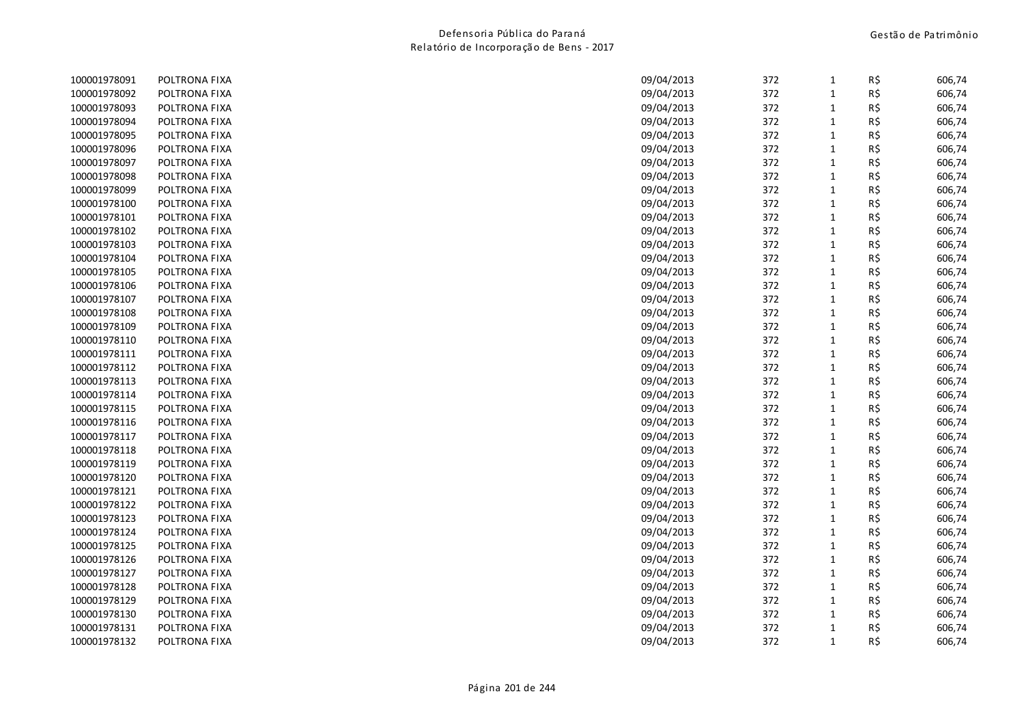| 100001978091 | POLTRONA FIXA | 09/04/2013 | 372 | $\mathbf{1}$ | R\$ | 606,74 |
|--------------|---------------|------------|-----|--------------|-----|--------|
| 100001978092 | POLTRONA FIXA | 09/04/2013 | 372 | $\mathbf{1}$ | R\$ | 606,74 |
| 100001978093 | POLTRONA FIXA | 09/04/2013 | 372 | $\mathbf{1}$ | R\$ | 606,74 |
| 100001978094 | POLTRONA FIXA | 09/04/2013 | 372 | $\mathbf{1}$ | R\$ | 606,74 |
| 100001978095 | POLTRONA FIXA | 09/04/2013 | 372 | $\mathbf{1}$ | R\$ | 606,74 |
| 100001978096 | POLTRONA FIXA | 09/04/2013 | 372 | $\mathbf{1}$ | R\$ | 606,74 |
| 100001978097 | POLTRONA FIXA | 09/04/2013 | 372 | $\mathbf{1}$ | R\$ | 606,74 |
| 100001978098 | POLTRONA FIXA | 09/04/2013 | 372 | $\mathbf{1}$ | R\$ | 606,74 |
| 100001978099 | POLTRONA FIXA | 09/04/2013 | 372 | $\mathbf 1$  | R\$ | 606,74 |
| 100001978100 | POLTRONA FIXA | 09/04/2013 | 372 | $\mathbf 1$  | R\$ | 606,74 |
| 100001978101 | POLTRONA FIXA | 09/04/2013 | 372 | $\mathbf{1}$ | R\$ | 606,74 |
| 100001978102 | POLTRONA FIXA | 09/04/2013 | 372 | $\mathbf{1}$ | R\$ | 606,74 |
| 100001978103 | POLTRONA FIXA | 09/04/2013 | 372 | $\mathbf{1}$ | R\$ | 606,74 |
| 100001978104 | POLTRONA FIXA | 09/04/2013 | 372 | $\mathbf 1$  | R\$ | 606,74 |
| 100001978105 | POLTRONA FIXA | 09/04/2013 | 372 | $\mathbf{1}$ | R\$ | 606,74 |
| 100001978106 | POLTRONA FIXA | 09/04/2013 | 372 | $\mathbf{1}$ | R\$ | 606,74 |
| 100001978107 | POLTRONA FIXA | 09/04/2013 | 372 | $\mathbf{1}$ | R\$ | 606,74 |
| 100001978108 | POLTRONA FIXA | 09/04/2013 | 372 | $\mathbf{1}$ | R\$ | 606,74 |
| 100001978109 | POLTRONA FIXA | 09/04/2013 | 372 | $\mathbf{1}$ | R\$ | 606,74 |
| 100001978110 | POLTRONA FIXA | 09/04/2013 | 372 | $\mathbf{1}$ | R\$ | 606,74 |
| 100001978111 | POLTRONA FIXA | 09/04/2013 | 372 | $\mathbf{1}$ | R\$ | 606,74 |
| 100001978112 | POLTRONA FIXA | 09/04/2013 | 372 | $\mathbf{1}$ | R\$ | 606,74 |
| 100001978113 | POLTRONA FIXA | 09/04/2013 | 372 | $\mathbf 1$  | R\$ | 606,74 |
| 100001978114 | POLTRONA FIXA | 09/04/2013 | 372 | $\mathbf{1}$ | R\$ | 606,74 |
| 100001978115 | POLTRONA FIXA | 09/04/2013 | 372 | $\mathbf{1}$ | R\$ | 606,74 |
| 100001978116 | POLTRONA FIXA | 09/04/2013 | 372 | $\mathbf{1}$ | R\$ | 606,74 |
| 100001978117 | POLTRONA FIXA | 09/04/2013 | 372 | $\mathbf 1$  | R\$ | 606,74 |
| 100001978118 | POLTRONA FIXA | 09/04/2013 | 372 | $\mathbf 1$  | R\$ | 606,74 |
| 100001978119 | POLTRONA FIXA | 09/04/2013 | 372 | $\mathbf{1}$ | R\$ | 606,74 |
| 100001978120 | POLTRONA FIXA | 09/04/2013 | 372 | $\mathbf{1}$ | R\$ | 606,74 |
| 100001978121 | POLTRONA FIXA | 09/04/2013 | 372 | $\mathbf{1}$ | R\$ | 606,74 |
| 100001978122 | POLTRONA FIXA | 09/04/2013 | 372 | $\mathbf 1$  | R\$ | 606,74 |
| 100001978123 | POLTRONA FIXA | 09/04/2013 | 372 | $\mathbf{1}$ | R\$ | 606,74 |
| 100001978124 | POLTRONA FIXA | 09/04/2013 | 372 | $\mathbf{1}$ | R\$ | 606,74 |
| 100001978125 | POLTRONA FIXA | 09/04/2013 | 372 | $\mathbf{1}$ | R\$ | 606,74 |
| 100001978126 | POLTRONA FIXA | 09/04/2013 | 372 | $\mathbf 1$  | R\$ | 606,74 |
| 100001978127 | POLTRONA FIXA | 09/04/2013 | 372 | $\mathbf 1$  | R\$ | 606,74 |
| 100001978128 | POLTRONA FIXA | 09/04/2013 | 372 | $\mathbf{1}$ | R\$ | 606,74 |
| 100001978129 | POLTRONA FIXA | 09/04/2013 | 372 | $\mathbf{1}$ | R\$ | 606,74 |
| 100001978130 | POLTRONA FIXA | 09/04/2013 | 372 | $\mathbf{1}$ | R\$ | 606,74 |
| 100001978131 | POLTRONA FIXA | 09/04/2013 | 372 | $\mathbf{1}$ | R\$ | 606,74 |
| 100001978132 | POLTRONA FIXA | 09/04/2013 | 372 | $\mathbf{1}$ | R\$ | 606,74 |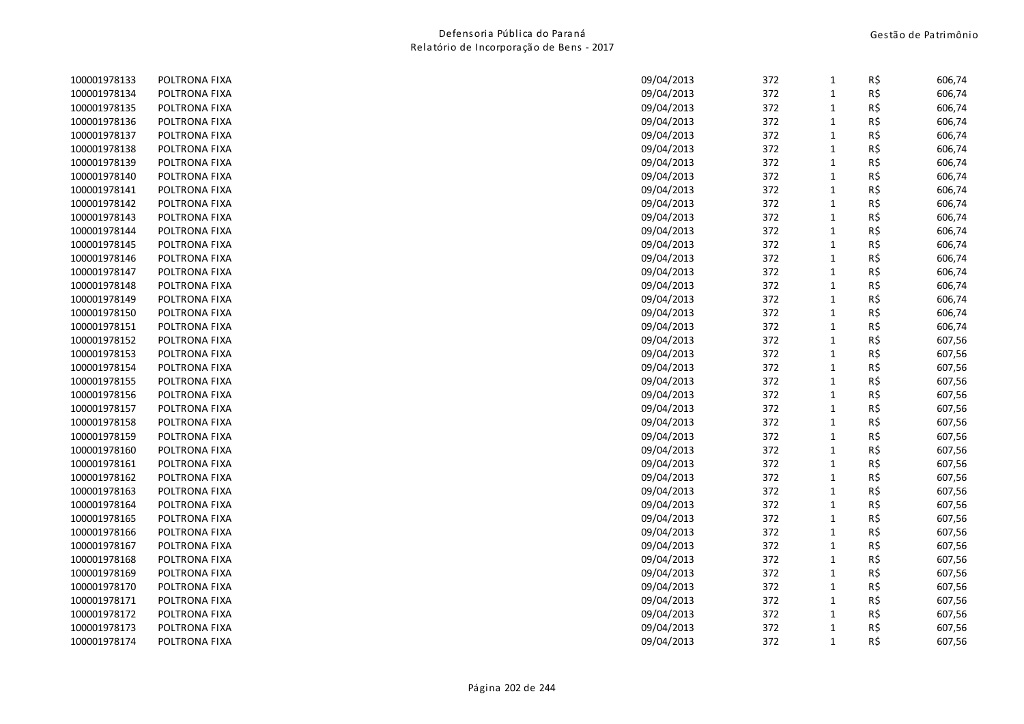| 100001978133 | POLTRONA FIXA | 09/04/2013 | 372 | $\mathbf{1}$ | R\$ | 606,74 |
|--------------|---------------|------------|-----|--------------|-----|--------|
| 100001978134 | POLTRONA FIXA | 09/04/2013 | 372 | $\mathbf{1}$ | R\$ | 606,74 |
| 100001978135 | POLTRONA FIXA | 09/04/2013 | 372 | $\mathbf{1}$ | R\$ | 606,74 |
| 100001978136 | POLTRONA FIXA | 09/04/2013 | 372 | $\mathbf{1}$ | R\$ | 606,74 |
| 100001978137 | POLTRONA FIXA | 09/04/2013 | 372 | $\mathbf{1}$ | R\$ | 606,74 |
| 100001978138 | POLTRONA FIXA | 09/04/2013 | 372 | $\mathbf{1}$ | R\$ | 606,74 |
| 100001978139 | POLTRONA FIXA | 09/04/2013 | 372 | $\mathbf{1}$ | R\$ | 606,74 |
| 100001978140 | POLTRONA FIXA | 09/04/2013 | 372 | $\mathbf{1}$ | R\$ | 606,74 |
| 100001978141 | POLTRONA FIXA | 09/04/2013 | 372 | $\mathbf{1}$ | R\$ | 606,74 |
| 100001978142 | POLTRONA FIXA | 09/04/2013 | 372 | $\mathbf 1$  | R\$ | 606,74 |
| 100001978143 | POLTRONA FIXA | 09/04/2013 | 372 | $\mathbf 1$  | R\$ | 606,74 |
| 100001978144 | POLTRONA FIXA | 09/04/2013 | 372 | $\mathbf{1}$ | R\$ | 606,74 |
| 100001978145 | POLTRONA FIXA | 09/04/2013 | 372 | $\mathbf{1}$ | R\$ | 606,74 |
| 100001978146 | POLTRONA FIXA | 09/04/2013 | 372 | $\mathbf 1$  | R\$ | 606,74 |
| 100001978147 | POLTRONA FIXA | 09/04/2013 | 372 | $\mathbf{1}$ | R\$ | 606,74 |
| 100001978148 | POLTRONA FIXA | 09/04/2013 | 372 | $\mathbf{1}$ | R\$ | 606,74 |
| 100001978149 | POLTRONA FIXA | 09/04/2013 | 372 | $\mathbf{1}$ | R\$ | 606,74 |
| 100001978150 | POLTRONA FIXA | 09/04/2013 | 372 | $\mathbf{1}$ | R\$ | 606,74 |
| 100001978151 | POLTRONA FIXA | 09/04/2013 | 372 | $\mathbf 1$  | R\$ | 606,74 |
| 100001978152 | POLTRONA FIXA | 09/04/2013 | 372 | $\mathbf{1}$ | R\$ | 607,56 |
| 100001978153 | POLTRONA FIXA | 09/04/2013 | 372 | $\mathbf{1}$ | R\$ | 607,56 |
| 100001978154 | POLTRONA FIXA | 09/04/2013 | 372 | $\mathbf{1}$ | R\$ | 607,56 |
| 100001978155 | POLTRONA FIXA | 09/04/2013 | 372 | $\mathbf 1$  | R\$ | 607,56 |
| 100001978156 | POLTRONA FIXA | 09/04/2013 | 372 | $\mathbf{1}$ | R\$ | 607,56 |
| 100001978157 | POLTRONA FIXA | 09/04/2013 | 372 | $\mathbf{1}$ | R\$ | 607,56 |
| 100001978158 | POLTRONA FIXA | 09/04/2013 | 372 | $\mathbf{1}$ | R\$ | 607,56 |
| 100001978159 | POLTRONA FIXA | 09/04/2013 | 372 | $\mathbf{1}$ | R\$ | 607,56 |
| 100001978160 | POLTRONA FIXA | 09/04/2013 | 372 | $\mathbf{1}$ | R\$ | 607,56 |
| 100001978161 | POLTRONA FIXA | 09/04/2013 | 372 | $\mathbf{1}$ | R\$ | 607,56 |
| 100001978162 | POLTRONA FIXA | 09/04/2013 | 372 | $\mathbf{1}$ | R\$ | 607,56 |
| 100001978163 | POLTRONA FIXA | 09/04/2013 | 372 | $\mathbf{1}$ | R\$ | 607,56 |
| 100001978164 | POLTRONA FIXA | 09/04/2013 | 372 | $\mathbf 1$  | R\$ | 607,56 |
| 100001978165 | POLTRONA FIXA | 09/04/2013 | 372 | $\mathbf{1}$ | R\$ | 607,56 |
| 100001978166 | POLTRONA FIXA | 09/04/2013 | 372 | $\mathbf{1}$ | R\$ | 607,56 |
| 100001978167 | POLTRONA FIXA | 09/04/2013 | 372 | $\mathbf{1}$ | R\$ | 607,56 |
| 100001978168 | POLTRONA FIXA | 09/04/2013 | 372 | $\mathbf{1}$ | R\$ | 607,56 |
| 100001978169 | POLTRONA FIXA | 09/04/2013 | 372 | $\mathbf{1}$ | R\$ | 607,56 |
| 100001978170 | POLTRONA FIXA | 09/04/2013 | 372 | $\mathbf{1}$ | R\$ | 607,56 |
| 100001978171 | POLTRONA FIXA | 09/04/2013 | 372 | $\mathbf{1}$ | R\$ | 607,56 |
| 100001978172 | POLTRONA FIXA | 09/04/2013 | 372 | $\mathbf{1}$ | R\$ | 607,56 |
| 100001978173 | POLTRONA FIXA | 09/04/2013 | 372 | $\mathbf{1}$ | R\$ | 607,56 |
| 100001978174 | POLTRONA FIXA | 09/04/2013 | 372 | $\mathbf{1}$ | R\$ | 607,56 |
|              |               |            |     |              |     |        |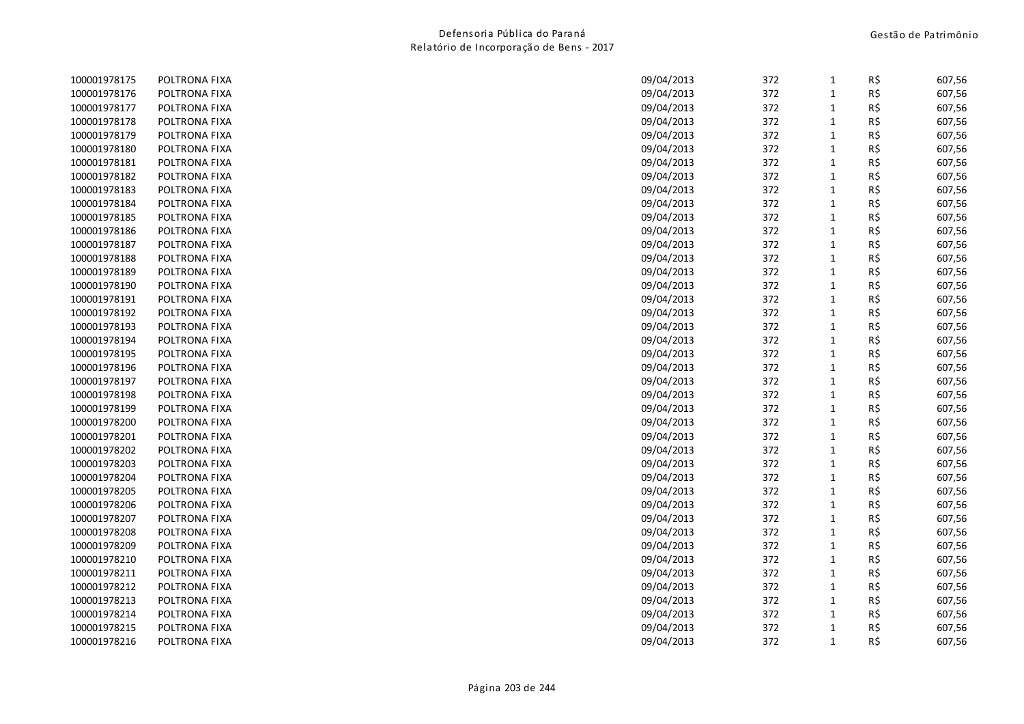| 100001978175 | POLTRONA FIXA | 09/04/2013 | 372 | $\mathbf{1}$ | R\$ | 607,56 |
|--------------|---------------|------------|-----|--------------|-----|--------|
| 100001978176 | POLTRONA FIXA | 09/04/2013 | 372 | $\mathbf{1}$ | R\$ | 607,56 |
| 100001978177 | POLTRONA FIXA | 09/04/2013 | 372 | $\mathbf{1}$ | R\$ | 607,56 |
| 100001978178 | POLTRONA FIXA | 09/04/2013 | 372 | $\mathbf{1}$ | R\$ | 607,56 |
| 100001978179 | POLTRONA FIXA | 09/04/2013 | 372 | $\mathbf{1}$ | R\$ | 607,56 |
| 100001978180 | POLTRONA FIXA | 09/04/2013 | 372 | $\mathbf 1$  | R\$ | 607,56 |
| 100001978181 | POLTRONA FIXA | 09/04/2013 | 372 | $\mathbf{1}$ | R\$ | 607,56 |
| 100001978182 | POLTRONA FIXA | 09/04/2013 | 372 | $\mathbf{1}$ | R\$ | 607,56 |
| 100001978183 | POLTRONA FIXA | 09/04/2013 | 372 | $\mathbf 1$  | R\$ | 607,56 |
| 100001978184 | POLTRONA FIXA | 09/04/2013 | 372 | $\mathbf 1$  | R\$ | 607,56 |
| 100001978185 | POLTRONA FIXA | 09/04/2013 | 372 | $\mathbf{1}$ | R\$ | 607,56 |
| 100001978186 | POLTRONA FIXA | 09/04/2013 | 372 | $\mathbf{1}$ | R\$ | 607,56 |
| 100001978187 | POLTRONA FIXA | 09/04/2013 | 372 | $\mathbf{1}$ | R\$ | 607,56 |
| 100001978188 | POLTRONA FIXA | 09/04/2013 | 372 | $\mathbf 1$  | R\$ | 607,56 |
| 100001978189 | POLTRONA FIXA | 09/04/2013 | 372 | $\mathbf{1}$ | R\$ | 607,56 |
| 100001978190 | POLTRONA FIXA | 09/04/2013 | 372 | $\mathbf{1}$ | R\$ | 607,56 |
| 100001978191 | POLTRONA FIXA | 09/04/2013 | 372 | $\mathbf{1}$ | R\$ | 607,56 |
| 100001978192 | POLTRONA FIXA | 09/04/2013 | 372 | $\mathbf{1}$ | R\$ | 607,56 |
| 100001978193 | POLTRONA FIXA | 09/04/2013 | 372 | $\mathbf 1$  | R\$ | 607,56 |
| 100001978194 | POLTRONA FIXA | 09/04/2013 | 372 | $\mathbf{1}$ | R\$ | 607,56 |
| 100001978195 | POLTRONA FIXA | 09/04/2013 | 372 | $\mathbf{1}$ | R\$ | 607,56 |
| 100001978196 | POLTRONA FIXA | 09/04/2013 | 372 | $\mathbf{1}$ | R\$ | 607,56 |
| 100001978197 | POLTRONA FIXA | 09/04/2013 | 372 | $\mathbf 1$  | R\$ | 607,56 |
| 100001978198 | POLTRONA FIXA | 09/04/2013 | 372 | $\mathbf{1}$ | R\$ | 607,56 |
| 100001978199 | POLTRONA FIXA | 09/04/2013 | 372 | $\mathbf{1}$ | R\$ | 607,56 |
| 100001978200 | POLTRONA FIXA | 09/04/2013 | 372 | $\mathbf{1}$ | R\$ | 607,56 |
| 100001978201 | POLTRONA FIXA | 09/04/2013 | 372 | $\mathbf 1$  | R\$ | 607,56 |
| 100001978202 | POLTRONA FIXA | 09/04/2013 | 372 | $\mathbf 1$  | R\$ | 607,56 |
| 100001978203 | POLTRONA FIXA | 09/04/2013 | 372 | $\mathbf{1}$ | R\$ | 607,56 |
| 100001978204 | POLTRONA FIXA | 09/04/2013 | 372 | $\mathbf{1}$ | R\$ | 607,56 |
| 100001978205 | POLTRONA FIXA | 09/04/2013 | 372 | $\mathbf{1}$ | R\$ | 607,56 |
| 100001978206 | POLTRONA FIXA | 09/04/2013 | 372 | $\mathbf 1$  | R\$ | 607,56 |
| 100001978207 | POLTRONA FIXA | 09/04/2013 | 372 | $\mathbf{1}$ | R\$ | 607,56 |
| 100001978208 | POLTRONA FIXA | 09/04/2013 | 372 | $\mathbf 1$  | R\$ | 607,56 |
| 100001978209 | POLTRONA FIXA | 09/04/2013 | 372 | $\mathbf{1}$ | R\$ | 607,56 |
| 100001978210 | POLTRONA FIXA | 09/04/2013 | 372 | $\mathbf 1$  | R\$ | 607,56 |
| 100001978211 | POLTRONA FIXA | 09/04/2013 | 372 | $\mathbf 1$  | R\$ | 607,56 |
| 100001978212 | POLTRONA FIXA | 09/04/2013 | 372 | $\mathbf{1}$ | R\$ | 607,56 |
| 100001978213 | POLTRONA FIXA | 09/04/2013 | 372 | $\mathbf{1}$ | R\$ | 607,56 |
| 100001978214 | POLTRONA FIXA | 09/04/2013 | 372 | $\mathbf{1}$ | R\$ | 607,56 |
| 100001978215 | POLTRONA FIXA | 09/04/2013 | 372 | $\mathbf{1}$ | R\$ | 607,56 |
| 100001978216 | POLTRONA FIXA | 09/04/2013 | 372 | $\mathbf{1}$ | R\$ | 607,56 |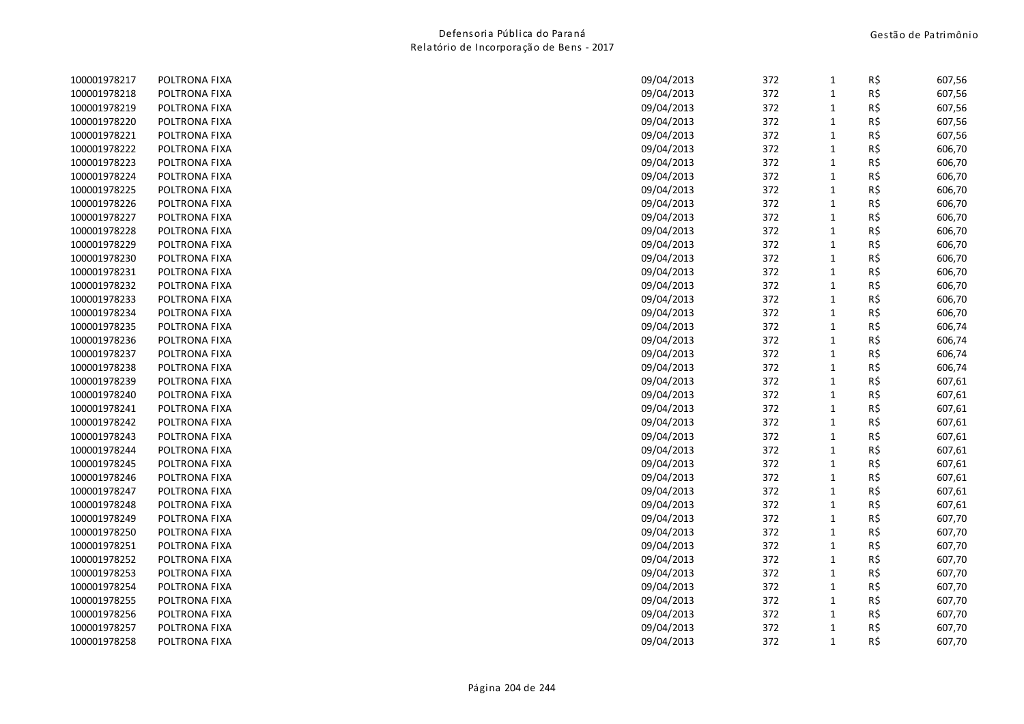| 100001978217 | POLTRONA FIXA | 09/04/2013 | 372 | $\mathbf{1}$ | R\$ | 607,56 |
|--------------|---------------|------------|-----|--------------|-----|--------|
| 100001978218 | POLTRONA FIXA | 09/04/2013 | 372 | $\mathbf{1}$ | R\$ | 607,56 |
| 100001978219 | POLTRONA FIXA | 09/04/2013 | 372 | $\mathbf{1}$ | R\$ | 607,56 |
| 100001978220 | POLTRONA FIXA | 09/04/2013 | 372 | $\mathbf{1}$ | R\$ | 607,56 |
| 100001978221 | POLTRONA FIXA | 09/04/2013 | 372 | $\mathbf{1}$ | R\$ | 607,56 |
| 100001978222 | POLTRONA FIXA | 09/04/2013 | 372 | $\mathbf{1}$ | R\$ | 606,70 |
| 100001978223 | POLTRONA FIXA | 09/04/2013 | 372 | $\mathbf{1}$ | R\$ | 606,70 |
| 100001978224 | POLTRONA FIXA | 09/04/2013 | 372 | $\mathbf{1}$ | R\$ | 606,70 |
| 100001978225 | POLTRONA FIXA | 09/04/2013 | 372 | $\mathbf{1}$ | R\$ | 606,70 |
| 100001978226 | POLTRONA FIXA | 09/04/2013 | 372 | $\mathbf 1$  | R\$ | 606,70 |
| 100001978227 | POLTRONA FIXA | 09/04/2013 | 372 | $\mathbf{1}$ | R\$ | 606,70 |
| 100001978228 | POLTRONA FIXA | 09/04/2013 | 372 | $\mathbf{1}$ | R\$ | 606,70 |
| 100001978229 | POLTRONA FIXA | 09/04/2013 | 372 | $\mathbf{1}$ | R\$ | 606,70 |
| 100001978230 | POLTRONA FIXA | 09/04/2013 | 372 | $\mathbf 1$  | R\$ | 606,70 |
| 100001978231 | POLTRONA FIXA | 09/04/2013 | 372 | $\mathbf{1}$ | R\$ | 606,70 |
| 100001978232 | POLTRONA FIXA | 09/04/2013 | 372 | $\mathbf{1}$ | R\$ | 606,70 |
| 100001978233 | POLTRONA FIXA | 09/04/2013 | 372 | $\mathbf{1}$ | R\$ | 606,70 |
| 100001978234 | POLTRONA FIXA | 09/04/2013 | 372 | $\mathbf{1}$ | R\$ | 606,70 |
| 100001978235 | POLTRONA FIXA | 09/04/2013 | 372 | $\mathbf{1}$ | R\$ | 606,74 |
| 100001978236 | POLTRONA FIXA | 09/04/2013 | 372 | $\mathbf{1}$ | R\$ | 606,74 |
| 100001978237 | POLTRONA FIXA | 09/04/2013 | 372 | $\mathbf{1}$ | R\$ | 606,74 |
| 100001978238 | POLTRONA FIXA | 09/04/2013 | 372 | $\mathbf{1}$ | R\$ | 606,74 |
| 100001978239 | POLTRONA FIXA | 09/04/2013 | 372 | $\mathbf 1$  | R\$ | 607,61 |
| 100001978240 | POLTRONA FIXA | 09/04/2013 | 372 | $\mathbf{1}$ | R\$ | 607,61 |
| 100001978241 | POLTRONA FIXA | 09/04/2013 | 372 | $\mathbf{1}$ | R\$ | 607,61 |
| 100001978242 | POLTRONA FIXA | 09/04/2013 | 372 | $\mathbf{1}$ | R\$ | 607,61 |
| 100001978243 | POLTRONA FIXA | 09/04/2013 | 372 | $\mathbf 1$  | R\$ | 607,61 |
| 100001978244 | POLTRONA FIXA | 09/04/2013 | 372 | $\mathbf 1$  | R\$ | 607,61 |
| 100001978245 | POLTRONA FIXA | 09/04/2013 | 372 | $\mathbf{1}$ | R\$ | 607,61 |
| 100001978246 | POLTRONA FIXA | 09/04/2013 | 372 | $\mathbf{1}$ | R\$ | 607,61 |
| 100001978247 | POLTRONA FIXA | 09/04/2013 | 372 | $\mathbf{1}$ | R\$ | 607,61 |
| 100001978248 | POLTRONA FIXA | 09/04/2013 | 372 | $\mathbf 1$  | R\$ | 607,61 |
| 100001978249 | POLTRONA FIXA | 09/04/2013 | 372 | $\mathbf{1}$ | R\$ | 607,70 |
| 100001978250 | POLTRONA FIXA | 09/04/2013 | 372 | $\mathbf{1}$ | R\$ | 607,70 |
| 100001978251 | POLTRONA FIXA | 09/04/2013 | 372 | $\mathbf{1}$ | R\$ | 607,70 |
| 100001978252 | POLTRONA FIXA | 09/04/2013 | 372 | $\mathbf 1$  | R\$ | 607,70 |
| 100001978253 | POLTRONA FIXA | 09/04/2013 | 372 | $\mathbf 1$  | R\$ | 607,70 |
| 100001978254 | POLTRONA FIXA | 09/04/2013 | 372 | $\mathbf{1}$ | R\$ | 607,70 |
| 100001978255 | POLTRONA FIXA | 09/04/2013 | 372 | $\mathbf{1}$ | R\$ | 607,70 |
| 100001978256 | POLTRONA FIXA | 09/04/2013 | 372 | $\mathbf{1}$ | R\$ | 607,70 |
| 100001978257 | POLTRONA FIXA | 09/04/2013 | 372 | $\mathbf{1}$ | R\$ | 607,70 |
| 100001978258 | POLTRONA FIXA | 09/04/2013 | 372 | $\mathbf{1}$ | R\$ | 607,70 |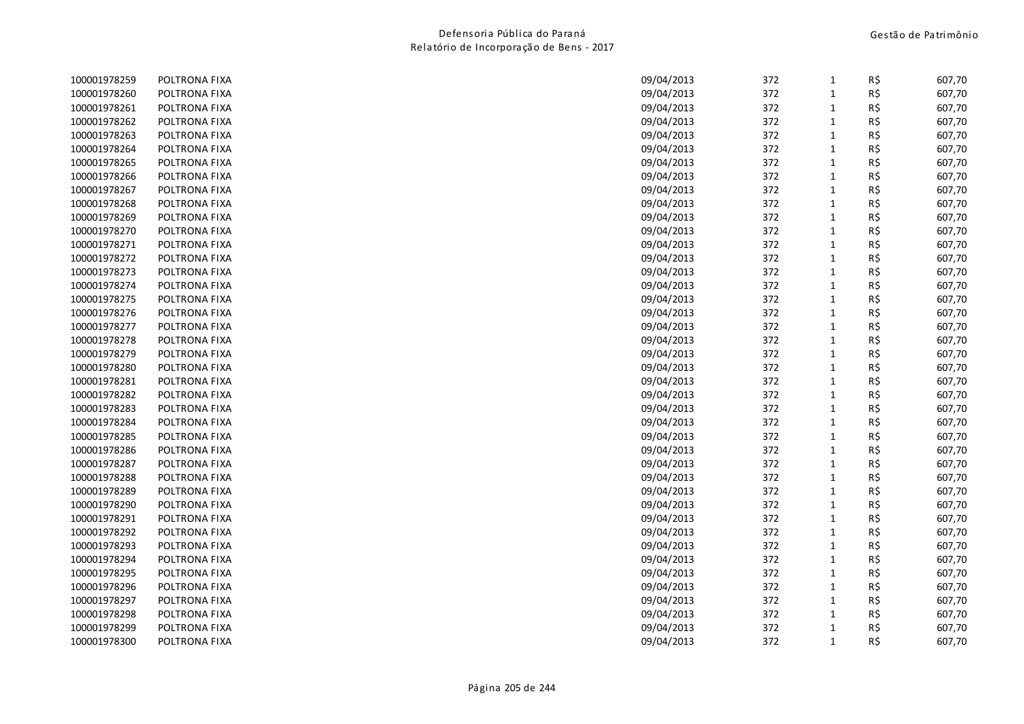| 100001978259 | POLTRONA FIXA | 09/04/2013 | 372 | 1            | R\$ | 607,70 |
|--------------|---------------|------------|-----|--------------|-----|--------|
| 100001978260 | POLTRONA FIXA | 09/04/2013 | 372 | 1            | R\$ | 607,70 |
| 100001978261 | POLTRONA FIXA | 09/04/2013 | 372 | $\mathbf{1}$ | R\$ | 607,70 |
| 100001978262 | POLTRONA FIXA | 09/04/2013 | 372 | 1            | R\$ | 607,70 |
| 100001978263 | POLTRONA FIXA | 09/04/2013 | 372 | $\mathbf{1}$ | R\$ | 607,70 |
| 100001978264 | POLTRONA FIXA | 09/04/2013 | 372 | $\mathbf{1}$ | R\$ | 607,70 |
| 100001978265 | POLTRONA FIXA | 09/04/2013 | 372 | $\mathbf{1}$ | R\$ | 607,70 |
| 100001978266 | POLTRONA FIXA | 09/04/2013 | 372 | $\mathbf{1}$ | R\$ | 607,70 |
| 100001978267 | POLTRONA FIXA | 09/04/2013 | 372 | $\mathbf{1}$ | R\$ | 607,70 |
| 100001978268 | POLTRONA FIXA | 09/04/2013 | 372 | $\mathbf{1}$ | R\$ | 607,70 |
| 100001978269 | POLTRONA FIXA | 09/04/2013 | 372 | $\mathbf{1}$ | R\$ | 607,70 |
| 100001978270 | POLTRONA FIXA | 09/04/2013 | 372 | $\mathbf{1}$ | R\$ | 607,70 |
| 100001978271 | POLTRONA FIXA | 09/04/2013 | 372 | $\mathbf{1}$ | R\$ | 607,70 |
| 100001978272 | POLTRONA FIXA | 09/04/2013 | 372 | $\mathbf{1}$ | R\$ | 607,70 |
| 100001978273 | POLTRONA FIXA | 09/04/2013 | 372 | $\mathbf{1}$ | R\$ | 607,70 |
| 100001978274 | POLTRONA FIXA | 09/04/2013 | 372 | $\mathbf{1}$ | R\$ | 607,70 |
| 100001978275 | POLTRONA FIXA | 09/04/2013 | 372 | $\mathbf{1}$ | R\$ | 607,70 |
| 100001978276 | POLTRONA FIXA | 09/04/2013 | 372 | $\mathbf{1}$ | R\$ | 607,70 |
| 100001978277 | POLTRONA FIXA | 09/04/2013 | 372 | $\mathbf{1}$ | R\$ | 607,70 |
| 100001978278 | POLTRONA FIXA | 09/04/2013 | 372 | $\mathbf{1}$ | R\$ | 607,70 |
| 100001978279 | POLTRONA FIXA | 09/04/2013 | 372 | $\mathbf{1}$ | R\$ | 607,70 |
| 100001978280 | POLTRONA FIXA | 09/04/2013 | 372 | $\mathbf{1}$ | R\$ | 607,70 |
| 100001978281 | POLTRONA FIXA | 09/04/2013 | 372 | $\mathbf{1}$ | R\$ | 607,70 |
| 100001978282 | POLTRONA FIXA | 09/04/2013 | 372 | $\mathbf{1}$ | R\$ | 607,70 |
| 100001978283 | POLTRONA FIXA | 09/04/2013 | 372 | 1            | R\$ | 607,70 |
| 100001978284 | POLTRONA FIXA | 09/04/2013 | 372 | 1            | R\$ | 607,70 |
| 100001978285 | POLTRONA FIXA | 09/04/2013 | 372 | $\mathbf{1}$ | R\$ | 607,70 |
| 100001978286 | POLTRONA FIXA | 09/04/2013 | 372 | $\mathbf{1}$ | R\$ | 607,70 |
| 100001978287 | POLTRONA FIXA | 09/04/2013 | 372 | $\mathbf{1}$ | R\$ | 607,70 |
| 100001978288 | POLTRONA FIXA | 09/04/2013 | 372 | $\mathbf{1}$ | R\$ | 607,70 |
| 100001978289 | POLTRONA FIXA | 09/04/2013 | 372 | 1            | R\$ | 607,70 |
| 100001978290 | POLTRONA FIXA | 09/04/2013 | 372 | $\mathbf{1}$ | R\$ | 607,70 |
| 100001978291 | POLTRONA FIXA | 09/04/2013 | 372 | $\mathbf{1}$ | R\$ | 607,70 |
| 100001978292 | POLTRONA FIXA | 09/04/2013 | 372 | $\mathbf{1}$ | R\$ | 607,70 |
| 100001978293 | POLTRONA FIXA | 09/04/2013 | 372 | $\mathbf{1}$ | R\$ | 607,70 |
| 100001978294 | POLTRONA FIXA | 09/04/2013 | 372 | $\mathbf{1}$ | R\$ | 607,70 |
| 100001978295 | POLTRONA FIXA | 09/04/2013 | 372 | $\mathbf{1}$ | R\$ | 607,70 |
| 100001978296 | POLTRONA FIXA | 09/04/2013 | 372 | $\mathbf{1}$ | R\$ | 607,70 |
| 100001978297 | POLTRONA FIXA | 09/04/2013 | 372 | $\mathbf{1}$ | R\$ | 607,70 |
| 100001978298 | POLTRONA FIXA | 09/04/2013 | 372 | 1            | R\$ | 607,70 |
| 100001978299 | POLTRONA FIXA | 09/04/2013 | 372 | $\mathbf{1}$ | R\$ | 607,70 |
| 100001978300 | POLTRONA FIXA | 09/04/2013 | 372 | 1            | R\$ | 607,70 |
|              |               |            |     |              |     |        |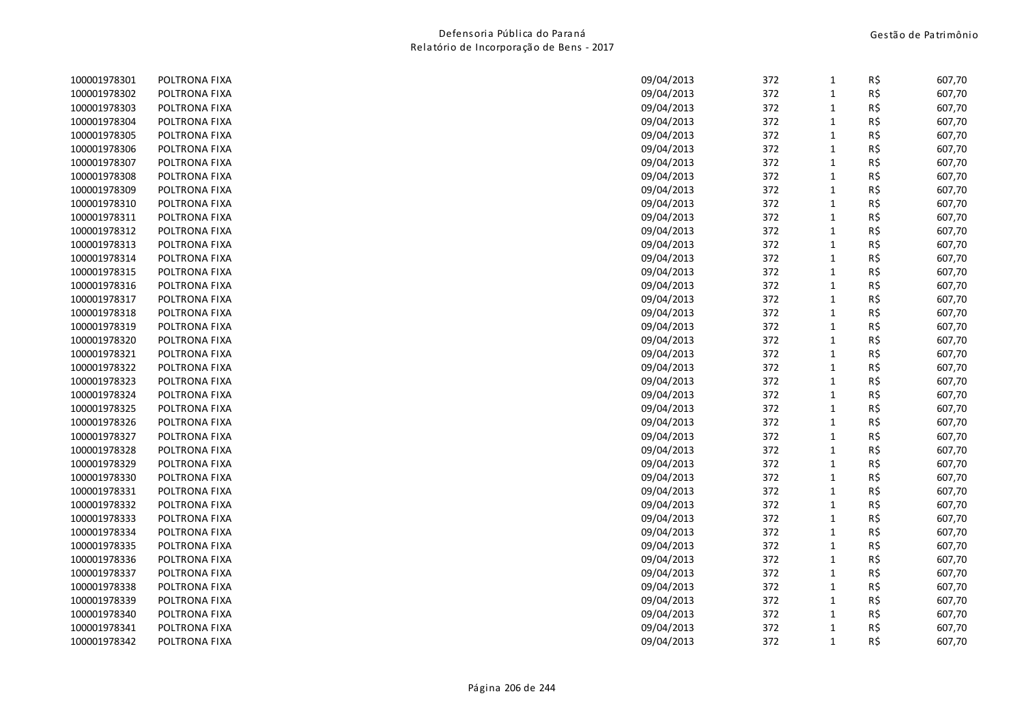| 100001978301 | POLTRONA FIXA | 09/04/2013 | 372 | 1            | R\$ | 607,70 |
|--------------|---------------|------------|-----|--------------|-----|--------|
| 100001978302 | POLTRONA FIXA | 09/04/2013 | 372 | $\mathbf{1}$ | R\$ | 607,70 |
| 100001978303 | POLTRONA FIXA | 09/04/2013 | 372 | 1            | R\$ | 607,70 |
| 100001978304 | POLTRONA FIXA | 09/04/2013 | 372 | $\mathbf{1}$ | R\$ | 607,70 |
| 100001978305 | POLTRONA FIXA | 09/04/2013 | 372 | $\mathbf{1}$ | R\$ | 607,70 |
| 100001978306 | POLTRONA FIXA | 09/04/2013 | 372 | $\mathbf{1}$ | R\$ | 607,70 |
| 100001978307 | POLTRONA FIXA | 09/04/2013 | 372 | 1            | R\$ | 607,70 |
| 100001978308 | POLTRONA FIXA | 09/04/2013 | 372 | $\mathbf{1}$ | R\$ | 607,70 |
| 100001978309 | POLTRONA FIXA | 09/04/2013 | 372 | $\mathbf{1}$ | R\$ | 607,70 |
| 100001978310 | POLTRONA FIXA | 09/04/2013 | 372 | $\mathbf{1}$ | R\$ | 607,70 |
| 100001978311 | POLTRONA FIXA | 09/04/2013 | 372 | $\mathbf{1}$ | R\$ | 607,70 |
| 100001978312 | POLTRONA FIXA | 09/04/2013 | 372 | $\mathbf{1}$ | R\$ | 607,70 |
| 100001978313 | POLTRONA FIXA | 09/04/2013 | 372 | $\mathbf{1}$ | R\$ | 607,70 |
| 100001978314 | POLTRONA FIXA | 09/04/2013 | 372 | $\mathbf{1}$ | R\$ | 607,70 |
| 100001978315 | POLTRONA FIXA | 09/04/2013 | 372 | $\mathbf{1}$ | R\$ | 607,70 |
| 100001978316 | POLTRONA FIXA | 09/04/2013 | 372 | $\mathbf{1}$ | R\$ | 607,70 |
| 100001978317 | POLTRONA FIXA | 09/04/2013 | 372 | $\mathbf{1}$ | R\$ | 607,70 |
| 100001978318 | POLTRONA FIXA | 09/04/2013 | 372 | $\mathbf{1}$ | R\$ | 607,70 |
| 100001978319 | POLTRONA FIXA | 09/04/2013 | 372 | $\mathbf{1}$ | R\$ | 607,70 |
| 100001978320 | POLTRONA FIXA | 09/04/2013 | 372 | $\mathbf{1}$ | R\$ | 607,70 |
| 100001978321 | POLTRONA FIXA | 09/04/2013 | 372 | $\mathbf{1}$ | R\$ | 607,70 |
| 100001978322 | POLTRONA FIXA | 09/04/2013 | 372 | $\mathbf{1}$ | R\$ | 607,70 |
| 100001978323 | POLTRONA FIXA | 09/04/2013 | 372 | $\mathbf{1}$ | R\$ | 607,70 |
| 100001978324 | POLTRONA FIXA | 09/04/2013 | 372 | 1            | R\$ | 607,70 |
| 100001978325 | POLTRONA FIXA | 09/04/2013 | 372 | $\mathbf{1}$ | R\$ | 607,70 |
| 100001978326 | POLTRONA FIXA | 09/04/2013 | 372 | $\mathbf{1}$ | R\$ | 607,70 |
| 100001978327 | POLTRONA FIXA | 09/04/2013 | 372 | $\mathbf{1}$ | R\$ | 607,70 |
| 100001978328 | POLTRONA FIXA | 09/04/2013 | 372 | $\mathbf{1}$ | R\$ | 607,70 |
| 100001978329 | POLTRONA FIXA | 09/04/2013 | 372 | $\mathbf{1}$ | R\$ | 607,70 |
| 100001978330 | POLTRONA FIXA | 09/04/2013 | 372 | $\mathbf{1}$ | R\$ | 607,70 |
| 100001978331 | POLTRONA FIXA | 09/04/2013 | 372 | $\mathbf{1}$ | R\$ | 607,70 |
| 100001978332 | POLTRONA FIXA | 09/04/2013 | 372 | $\mathbf{1}$ | R\$ | 607,70 |
| 100001978333 | POLTRONA FIXA | 09/04/2013 | 372 | $\mathbf{1}$ | R\$ | 607,70 |
| 100001978334 | POLTRONA FIXA | 09/04/2013 | 372 | $\mathbf{1}$ | R\$ | 607,70 |
| 100001978335 | POLTRONA FIXA | 09/04/2013 | 372 | 1            | R\$ | 607,70 |
| 100001978336 | POLTRONA FIXA | 09/04/2013 | 372 | $\mathbf{1}$ | R\$ | 607,70 |
| 100001978337 | POLTRONA FIXA | 09/04/2013 | 372 | $\mathbf{1}$ | R\$ | 607,70 |
| 100001978338 | POLTRONA FIXA | 09/04/2013 | 372 | $\mathbf{1}$ | R\$ | 607,70 |
| 100001978339 | POLTRONA FIXA | 09/04/2013 | 372 | $\mathbf{1}$ | R\$ | 607,70 |
| 100001978340 | POLTRONA FIXA | 09/04/2013 | 372 | 1            | R\$ | 607,70 |
| 100001978341 | POLTRONA FIXA | 09/04/2013 | 372 | 1            | R\$ | 607,70 |
| 100001978342 | POLTRONA FIXA | 09/04/2013 | 372 | $\mathbf{1}$ | R\$ | 607,70 |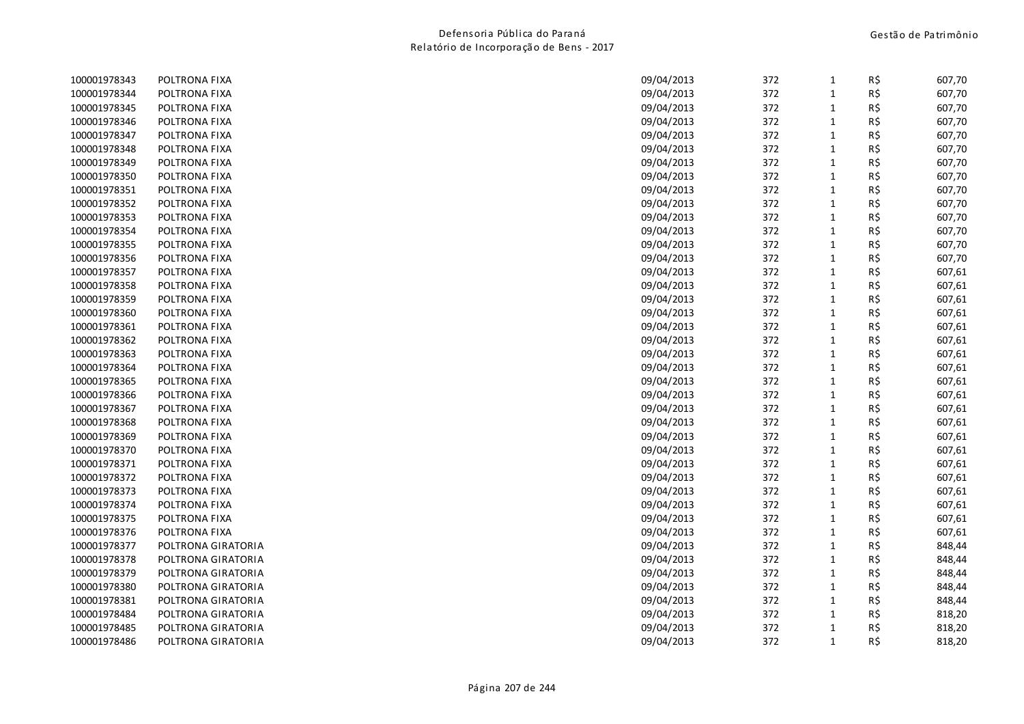| 100001978343 | POLTRONA FIXA      | 09/04/2013 | 372 | $\mathbf{1}$ | R\$ | 607,70 |
|--------------|--------------------|------------|-----|--------------|-----|--------|
| 100001978344 | POLTRONA FIXA      | 09/04/2013 | 372 | $\mathbf{1}$ | R\$ | 607,70 |
| 100001978345 | POLTRONA FIXA      | 09/04/2013 | 372 | $\mathbf{1}$ | R\$ | 607,70 |
| 100001978346 | POLTRONA FIXA      | 09/04/2013 | 372 | $\mathbf{1}$ | R\$ | 607,70 |
| 100001978347 | POLTRONA FIXA      | 09/04/2013 | 372 | $\mathbf{1}$ | R\$ | 607,70 |
| 100001978348 | POLTRONA FIXA      | 09/04/2013 | 372 | $\mathbf{1}$ | R\$ | 607,70 |
| 100001978349 | POLTRONA FIXA      | 09/04/2013 | 372 | 1            | R\$ | 607,70 |
| 100001978350 | POLTRONA FIXA      | 09/04/2013 | 372 | $\mathbf{1}$ | R\$ | 607,70 |
| 100001978351 | POLTRONA FIXA      | 09/04/2013 | 372 | $\mathbf{1}$ | R\$ | 607,70 |
| 100001978352 | POLTRONA FIXA      | 09/04/2013 | 372 | $\mathbf{1}$ | R\$ | 607,70 |
| 100001978353 | POLTRONA FIXA      | 09/04/2013 | 372 | $\mathbf{1}$ | R\$ | 607,70 |
| 100001978354 | POLTRONA FIXA      | 09/04/2013 | 372 | $\mathbf{1}$ | R\$ | 607,70 |
| 100001978355 | POLTRONA FIXA      | 09/04/2013 | 372 | $\mathbf{1}$ | R\$ | 607,70 |
| 100001978356 | POLTRONA FIXA      | 09/04/2013 | 372 | $\mathbf{1}$ | R\$ | 607,70 |
| 100001978357 | POLTRONA FIXA      | 09/04/2013 | 372 | $\mathbf{1}$ | R\$ | 607,61 |
| 100001978358 | POLTRONA FIXA      | 09/04/2013 | 372 | $\mathbf{1}$ | R\$ | 607,61 |
| 100001978359 | POLTRONA FIXA      | 09/04/2013 | 372 | $\mathbf{1}$ | R\$ | 607,61 |
| 100001978360 | POLTRONA FIXA      | 09/04/2013 | 372 | $\mathbf{1}$ | R\$ | 607,61 |
| 100001978361 | POLTRONA FIXA      | 09/04/2013 | 372 | $\mathbf{1}$ | R\$ | 607,61 |
| 100001978362 | POLTRONA FIXA      | 09/04/2013 | 372 | $\mathbf{1}$ | R\$ | 607,61 |
| 100001978363 | POLTRONA FIXA      | 09/04/2013 | 372 | $\mathbf{1}$ | R\$ | 607,61 |
| 100001978364 | POLTRONA FIXA      | 09/04/2013 | 372 | $\mathbf{1}$ | R\$ | 607,61 |
| 100001978365 | POLTRONA FIXA      | 09/04/2013 | 372 | $\mathbf{1}$ | R\$ | 607,61 |
| 100001978366 | POLTRONA FIXA      | 09/04/2013 | 372 | $\mathbf{1}$ | R\$ | 607,61 |
| 100001978367 | POLTRONA FIXA      | 09/04/2013 | 372 | $\mathbf{1}$ | R\$ | 607,61 |
| 100001978368 | POLTRONA FIXA      | 09/04/2013 | 372 | $\mathbf{1}$ | R\$ | 607,61 |
| 100001978369 | POLTRONA FIXA      | 09/04/2013 | 372 | $\mathbf{1}$ | R\$ | 607,61 |
| 100001978370 | POLTRONA FIXA      | 09/04/2013 | 372 | $\mathbf{1}$ | R\$ | 607,61 |
| 100001978371 | POLTRONA FIXA      | 09/04/2013 | 372 | $\mathbf{1}$ | R\$ | 607,61 |
| 100001978372 | POLTRONA FIXA      | 09/04/2013 | 372 | $\mathbf{1}$ | R\$ | 607,61 |
| 100001978373 | POLTRONA FIXA      | 09/04/2013 | 372 | $\mathbf{1}$ | R\$ | 607,61 |
| 100001978374 | POLTRONA FIXA      | 09/04/2013 | 372 | $\mathbf{1}$ | R\$ | 607,61 |
| 100001978375 | POLTRONA FIXA      | 09/04/2013 | 372 | $\mathbf{1}$ | R\$ | 607,61 |
| 100001978376 | POLTRONA FIXA      | 09/04/2013 | 372 | $\mathbf{1}$ | R\$ | 607,61 |
| 100001978377 | POLTRONA GIRATORIA | 09/04/2013 | 372 | $\mathbf{1}$ | R\$ | 848,44 |
| 100001978378 | POLTRONA GIRATORIA | 09/04/2013 | 372 | $\mathbf{1}$ | R\$ | 848,44 |
| 100001978379 | POLTRONA GIRATORIA | 09/04/2013 | 372 | $\mathbf{1}$ | R\$ | 848,44 |
| 100001978380 | POLTRONA GIRATORIA | 09/04/2013 | 372 | $\mathbf{1}$ | R\$ | 848,44 |
| 100001978381 | POLTRONA GIRATORIA | 09/04/2013 | 372 | $\mathbf{1}$ | R\$ | 848,44 |
| 100001978484 | POLTRONA GIRATORIA | 09/04/2013 | 372 | $\mathbf{1}$ | R\$ | 818,20 |
| 100001978485 | POLTRONA GIRATORIA | 09/04/2013 | 372 | 1            | R\$ | 818,20 |
| 100001978486 | POLTRONA GIRATORIA | 09/04/2013 | 372 | $\mathbf{1}$ | R\$ | 818,20 |
|              |                    |            |     |              |     |        |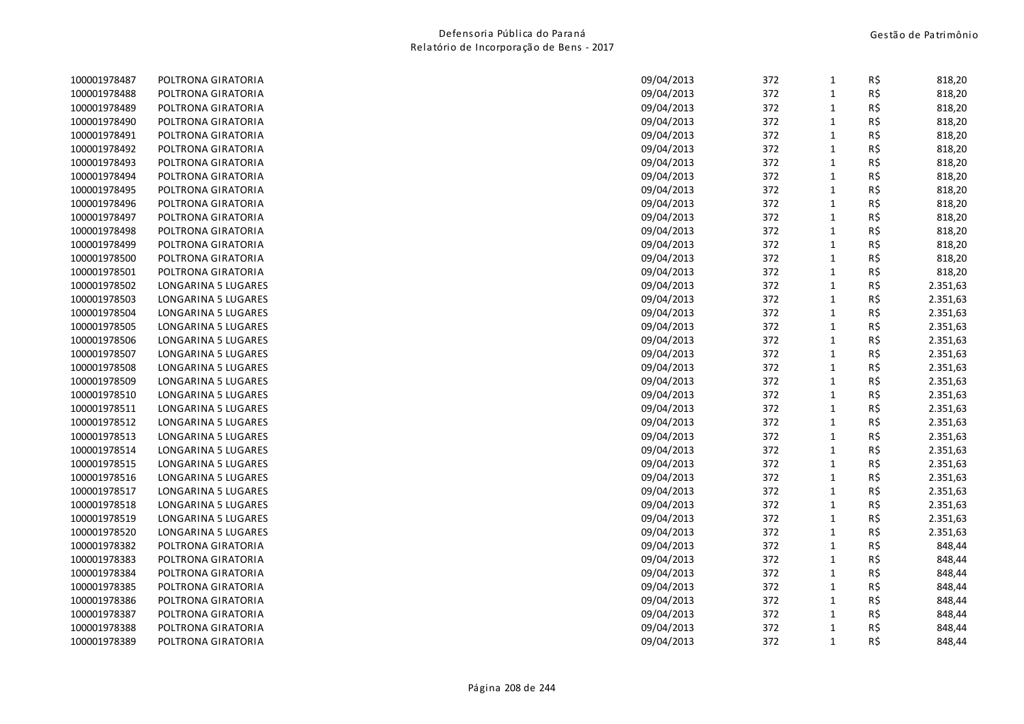| 100001978488 | POLTRONA GIRATORIA  | 09/04/2013 | 372 |              |     |          |
|--------------|---------------------|------------|-----|--------------|-----|----------|
|              |                     |            |     | $\mathbf{1}$ | R\$ | 818,20   |
| 100001978489 | POLTRONA GIRATORIA  | 09/04/2013 | 372 | $\mathbf{1}$ | R\$ | 818,20   |
| 100001978490 | POLTRONA GIRATORIA  | 09/04/2013 | 372 | $\mathbf{1}$ | R\$ | 818,20   |
| 100001978491 | POLTRONA GIRATORIA  | 09/04/2013 | 372 | $\mathbf 1$  | R\$ | 818,20   |
| 100001978492 | POLTRONA GIRATORIA  | 09/04/2013 | 372 | $\mathbf{1}$ | R\$ | 818,20   |
| 100001978493 | POLTRONA GIRATORIA  | 09/04/2013 | 372 | $\mathbf{1}$ | R\$ | 818,20   |
| 100001978494 | POLTRONA GIRATORIA  | 09/04/2013 | 372 | $\mathbf{1}$ | R\$ | 818,20   |
| 100001978495 | POLTRONA GIRATORIA  | 09/04/2013 | 372 | $\mathbf{1}$ | R\$ | 818,20   |
| 100001978496 | POLTRONA GIRATORIA  | 09/04/2013 | 372 | $\mathbf{1}$ | R\$ | 818,20   |
| 100001978497 | POLTRONA GIRATORIA  | 09/04/2013 | 372 | $\mathbf{1}$ | R\$ | 818,20   |
| 100001978498 | POLTRONA GIRATORIA  | 09/04/2013 | 372 | $\mathbf{1}$ | R\$ | 818,20   |
| 100001978499 | POLTRONA GIRATORIA  | 09/04/2013 | 372 | $\mathbf{1}$ | R\$ | 818,20   |
| 100001978500 | POLTRONA GIRATORIA  | 09/04/2013 | 372 | $\mathbf{1}$ | R\$ | 818,20   |
| 100001978501 | POLTRONA GIRATORIA  | 09/04/2013 | 372 | $\mathbf{1}$ | R\$ | 818,20   |
| 100001978502 | LONGARINA 5 LUGARES | 09/04/2013 | 372 | $\mathbf{1}$ | R\$ | 2.351,63 |
| 100001978503 | LONGARINA 5 LUGARES | 09/04/2013 | 372 | $\mathbf{1}$ | R\$ | 2.351,63 |
| 100001978504 | LONGARINA 5 LUGARES | 09/04/2013 | 372 | $\mathbf{1}$ | R\$ | 2.351,63 |
| 100001978505 | LONGARINA 5 LUGARES | 09/04/2013 | 372 | $\mathbf{1}$ | R\$ | 2.351,63 |
| 100001978506 | LONGARINA 5 LUGARES | 09/04/2013 | 372 | $\mathbf{1}$ | R\$ | 2.351,63 |
| 100001978507 | LONGARINA 5 LUGARES | 09/04/2013 | 372 | $\mathbf{1}$ | R\$ | 2.351,63 |
| 100001978508 | LONGARINA 5 LUGARES | 09/04/2013 | 372 | $\mathbf{1}$ | R\$ | 2.351,63 |
| 100001978509 | LONGARINA 5 LUGARES | 09/04/2013 | 372 | $\mathbf 1$  | R\$ | 2.351,63 |
| 100001978510 | LONGARINA 5 LUGARES | 09/04/2013 | 372 | $\mathbf{1}$ | R\$ | 2.351,63 |
| 100001978511 | LONGARINA 5 LUGARES | 09/04/2013 | 372 | $\mathbf{1}$ | R\$ | 2.351,63 |
| 100001978512 | LONGARINA 5 LUGARES | 09/04/2013 | 372 | $\mathbf{1}$ | R\$ | 2.351,63 |
| 100001978513 | LONGARINA 5 LUGARES | 09/04/2013 | 372 | $\mathbf{1}$ | R\$ | 2.351,63 |
| 100001978514 | LONGARINA 5 LUGARES | 09/04/2013 | 372 | $\mathbf{1}$ | R\$ | 2.351,63 |
| 100001978515 | LONGARINA 5 LUGARES | 09/04/2013 | 372 | $\mathbf{1}$ | R\$ | 2.351,63 |
| 100001978516 | LONGARINA 5 LUGARES | 09/04/2013 | 372 | $\mathbf{1}$ | R\$ | 2.351,63 |
| 100001978517 | LONGARINA 5 LUGARES | 09/04/2013 | 372 | $\mathbf{1}$ | R\$ | 2.351,63 |
| 100001978518 | LONGARINA 5 LUGARES | 09/04/2013 | 372 | $\mathbf{1}$ | R\$ | 2.351,63 |
| 100001978519 | LONGARINA 5 LUGARES | 09/04/2013 | 372 | $\mathbf{1}$ | R\$ | 2.351,63 |
| 100001978520 | LONGARINA 5 LUGARES | 09/04/2013 | 372 | $\mathbf{1}$ | R\$ | 2.351,63 |
| 100001978382 | POLTRONA GIRATORIA  | 09/04/2013 | 372 | $\mathbf{1}$ | R\$ | 848,44   |
| 100001978383 | POLTRONA GIRATORIA  | 09/04/2013 | 372 | $\mathbf{1}$ | R\$ | 848,44   |
| 100001978384 | POLTRONA GIRATORIA  | 09/04/2013 | 372 | $\mathbf{1}$ | R\$ | 848,44   |
| 100001978385 | POLTRONA GIRATORIA  | 09/04/2013 | 372 | $\mathbf{1}$ | R\$ | 848,44   |
| 100001978386 | POLTRONA GIRATORIA  | 09/04/2013 | 372 | $\mathbf{1}$ | R\$ | 848,44   |
| 100001978387 | POLTRONA GIRATORIA  | 09/04/2013 | 372 | $\mathbf{1}$ | R\$ | 848,44   |
| 100001978388 | POLTRONA GIRATORIA  | 09/04/2013 | 372 | $\mathbf{1}$ | R\$ | 848,44   |
| 100001978389 | POLTRONA GIRATORIA  | 09/04/2013 | 372 | $\mathbf{1}$ | R\$ | 848,44   |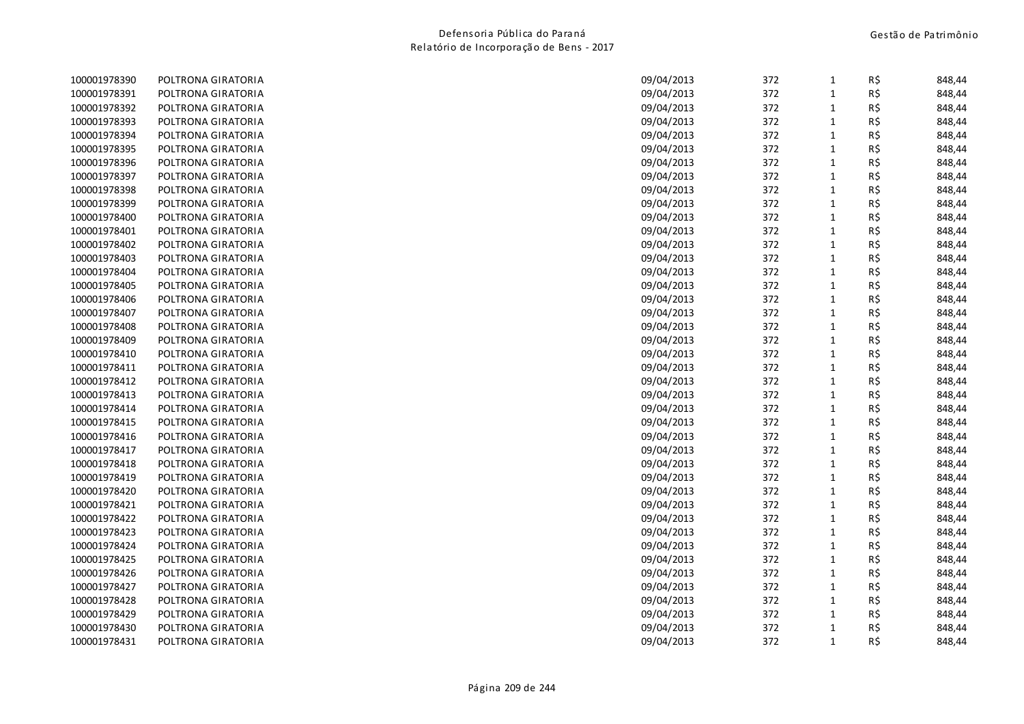| 100001978390 | POLTRONA GIRATORIA | 09/04/2013 | 372 | $\mathbf{1}$ | R\$ | 848,44 |
|--------------|--------------------|------------|-----|--------------|-----|--------|
| 100001978391 | POLTRONA GIRATORIA | 09/04/2013 | 372 | 1            | R\$ | 848,44 |
| 100001978392 | POLTRONA GIRATORIA | 09/04/2013 | 372 | $\mathbf{1}$ | R\$ | 848,44 |
| 100001978393 | POLTRONA GIRATORIA | 09/04/2013 | 372 | $\mathbf{1}$ | R\$ | 848,44 |
| 100001978394 | POLTRONA GIRATORIA | 09/04/2013 | 372 | $\mathbf{1}$ | R\$ | 848,44 |
| 100001978395 | POLTRONA GIRATORIA | 09/04/2013 | 372 | $\mathbf{1}$ | R\$ | 848,44 |
| 100001978396 | POLTRONA GIRATORIA | 09/04/2013 | 372 | $\mathbf{1}$ | R\$ | 848,44 |
| 100001978397 | POLTRONA GIRATORIA | 09/04/2013 | 372 | 1            | R\$ | 848,44 |
| 100001978398 | POLTRONA GIRATORIA | 09/04/2013 | 372 | $\mathbf{1}$ | R\$ | 848,44 |
| 100001978399 | POLTRONA GIRATORIA | 09/04/2013 | 372 | $\mathbf{1}$ | R\$ | 848,44 |
| 100001978400 | POLTRONA GIRATORIA | 09/04/2013 | 372 | $\mathbf{1}$ | R\$ | 848,44 |
| 100001978401 | POLTRONA GIRATORIA | 09/04/2013 | 372 | $\mathbf{1}$ | R\$ | 848,44 |
| 100001978402 | POLTRONA GIRATORIA | 09/04/2013 | 372 | 1            | R\$ | 848,44 |
| 100001978403 | POLTRONA GIRATORIA | 09/04/2013 | 372 | $\mathbf{1}$ | R\$ | 848,44 |
| 100001978404 | POLTRONA GIRATORIA | 09/04/2013 | 372 | 1            | R\$ | 848,44 |
| 100001978405 | POLTRONA GIRATORIA | 09/04/2013 | 372 | $\mathbf{1}$ | R\$ | 848,44 |
| 100001978406 | POLTRONA GIRATORIA | 09/04/2013 | 372 | 1            | R\$ | 848,44 |
| 100001978407 | POLTRONA GIRATORIA | 09/04/2013 | 372 | 1            | R\$ | 848,44 |
| 100001978408 | POLTRONA GIRATORIA | 09/04/2013 | 372 | $\mathbf{1}$ | R\$ | 848,44 |
| 100001978409 | POLTRONA GIRATORIA | 09/04/2013 | 372 | $\mathbf{1}$ | R\$ | 848,44 |
| 100001978410 | POLTRONA GIRATORIA | 09/04/2013 | 372 | $\mathbf{1}$ | R\$ | 848,44 |
| 100001978411 | POLTRONA GIRATORIA | 09/04/2013 | 372 | $\mathbf{1}$ | R\$ | 848,44 |
| 100001978412 | POLTRONA GIRATORIA | 09/04/2013 | 372 | $\mathbf{1}$ | R\$ | 848,44 |
| 100001978413 | POLTRONA GIRATORIA | 09/04/2013 | 372 | $\mathbf{1}$ | R\$ | 848,44 |
| 100001978414 | POLTRONA GIRATORIA | 09/04/2013 | 372 | $\mathbf{1}$ | R\$ | 848,44 |
| 100001978415 | POLTRONA GIRATORIA | 09/04/2013 | 372 | $\mathbf{1}$ | R\$ | 848,44 |
| 100001978416 | POLTRONA GIRATORIA | 09/04/2013 | 372 | 1            | R\$ | 848,44 |
| 100001978417 | POLTRONA GIRATORIA | 09/04/2013 | 372 | $\mathbf{1}$ | R\$ | 848,44 |
| 100001978418 | POLTRONA GIRATORIA | 09/04/2013 | 372 | $\mathbf{1}$ | R\$ | 848,44 |
| 100001978419 | POLTRONA GIRATORIA | 09/04/2013 | 372 | $\mathbf{1}$ | R\$ | 848,44 |
| 100001978420 | POLTRONA GIRATORIA | 09/04/2013 | 372 | 1            | R\$ | 848,44 |
| 100001978421 | POLTRONA GIRATORIA | 09/04/2013 | 372 | $\mathbf{1}$ | R\$ | 848,44 |
| 100001978422 | POLTRONA GIRATORIA | 09/04/2013 | 372 | 1            | R\$ | 848,44 |
| 100001978423 | POLTRONA GIRATORIA | 09/04/2013 | 372 | 1            | R\$ | 848,44 |
| 100001978424 | POLTRONA GIRATORIA | 09/04/2013 | 372 | 1            | R\$ | 848,44 |
| 100001978425 | POLTRONA GIRATORIA | 09/04/2013 | 372 | 1            | R\$ | 848,44 |
| 100001978426 | POLTRONA GIRATORIA | 09/04/2013 | 372 | $\mathbf{1}$ | R\$ | 848,44 |
| 100001978427 | POLTRONA GIRATORIA | 09/04/2013 | 372 | $\mathbf{1}$ | R\$ | 848,44 |
| 100001978428 | POLTRONA GIRATORIA | 09/04/2013 | 372 | $\mathbf{1}$ | R\$ | 848,44 |
| 100001978429 | POLTRONA GIRATORIA | 09/04/2013 | 372 | 1            | R\$ | 848,44 |
| 100001978430 | POLTRONA GIRATORIA | 09/04/2013 | 372 | 1            | R\$ | 848,44 |
| 100001978431 | POLTRONA GIRATORIA | 09/04/2013 | 372 | $\mathbf{1}$ | R\$ | 848,44 |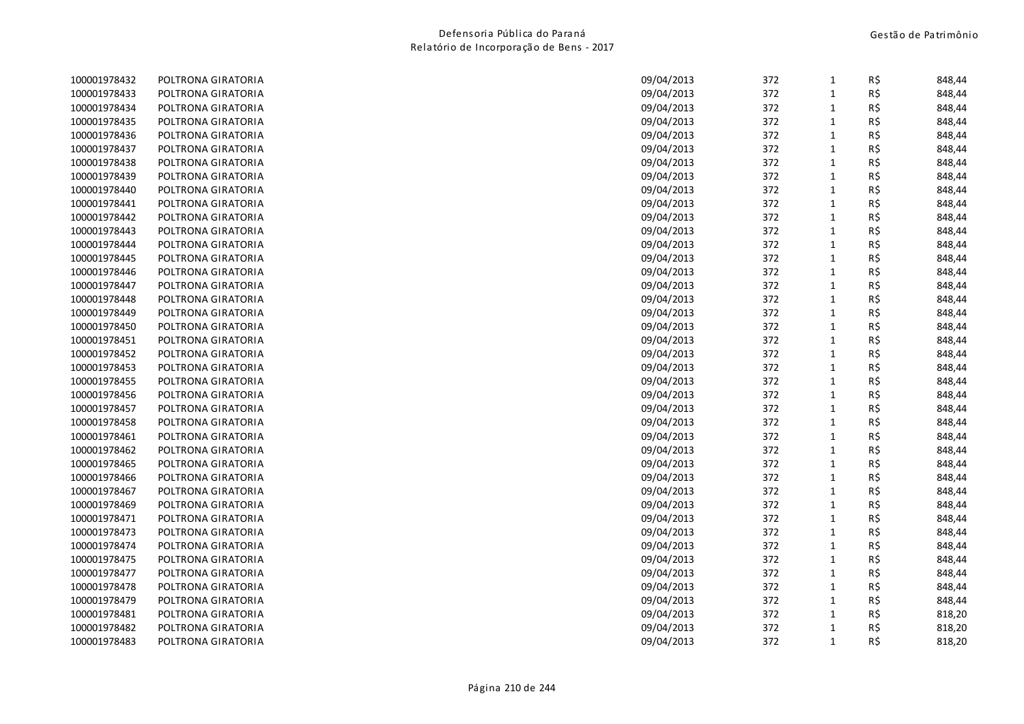| 100001978432 | POLTRONA GIRATORIA | 09/04/2013 | 372 | $\mathbf{1}$ | R\$ | 848,44 |
|--------------|--------------------|------------|-----|--------------|-----|--------|
| 100001978433 | POLTRONA GIRATORIA | 09/04/2013 | 372 | $\mathbf{1}$ | R\$ | 848,44 |
| 100001978434 | POLTRONA GIRATORIA | 09/04/2013 | 372 | $\mathbf{1}$ | R\$ | 848,44 |
| 100001978435 | POLTRONA GIRATORIA | 09/04/2013 | 372 | $\mathbf{1}$ | R\$ | 848,44 |
| 100001978436 | POLTRONA GIRATORIA | 09/04/2013 | 372 | $\mathbf{1}$ | R\$ | 848,44 |
| 100001978437 | POLTRONA GIRATORIA | 09/04/2013 | 372 | $\mathbf{1}$ | R\$ | 848,44 |
| 100001978438 | POLTRONA GIRATORIA | 09/04/2013 | 372 | $\mathbf{1}$ | R\$ | 848,44 |
| 100001978439 | POLTRONA GIRATORIA | 09/04/2013 | 372 | $\mathbf{1}$ | R\$ | 848,44 |
| 100001978440 | POLTRONA GIRATORIA | 09/04/2013 | 372 | $\mathbf{1}$ | R\$ | 848,44 |
| 100001978441 | POLTRONA GIRATORIA | 09/04/2013 | 372 | $\mathbf{1}$ | R\$ | 848,44 |
| 100001978442 | POLTRONA GIRATORIA | 09/04/2013 | 372 | $\mathbf{1}$ | R\$ | 848,44 |
| 100001978443 | POLTRONA GIRATORIA | 09/04/2013 | 372 | $\mathbf{1}$ | R\$ | 848,44 |
| 100001978444 | POLTRONA GIRATORIA | 09/04/2013 | 372 | $\mathbf{1}$ | R\$ | 848,44 |
| 100001978445 | POLTRONA GIRATORIA | 09/04/2013 | 372 | $\mathbf{1}$ | R\$ | 848,44 |
| 100001978446 | POLTRONA GIRATORIA | 09/04/2013 | 372 | $\mathbf{1}$ | R\$ | 848,44 |
| 100001978447 | POLTRONA GIRATORIA | 09/04/2013 | 372 | $\mathbf{1}$ | R\$ | 848,44 |
| 100001978448 | POLTRONA GIRATORIA | 09/04/2013 | 372 | $\mathbf{1}$ | R\$ | 848,44 |
| 100001978449 | POLTRONA GIRATORIA | 09/04/2013 | 372 | $\mathbf{1}$ | R\$ | 848,44 |
| 100001978450 | POLTRONA GIRATORIA | 09/04/2013 | 372 | $\mathbf{1}$ | R\$ | 848,44 |
| 100001978451 | POLTRONA GIRATORIA | 09/04/2013 | 372 | $\mathbf{1}$ | R\$ | 848,44 |
| 100001978452 | POLTRONA GIRATORIA | 09/04/2013 | 372 | $\mathbf{1}$ | R\$ | 848,44 |
| 100001978453 | POLTRONA GIRATORIA | 09/04/2013 | 372 | 1            | R\$ | 848,44 |
| 100001978455 | POLTRONA GIRATORIA | 09/04/2013 | 372 | $\mathbf{1}$ | R\$ | 848,44 |
| 100001978456 | POLTRONA GIRATORIA | 09/04/2013 | 372 | 1            | R\$ | 848,44 |
| 100001978457 | POLTRONA GIRATORIA | 09/04/2013 | 372 | $\mathbf{1}$ | R\$ | 848,44 |
| 100001978458 | POLTRONA GIRATORIA | 09/04/2013 | 372 | $\mathbf{1}$ | R\$ | 848,44 |
| 100001978461 | POLTRONA GIRATORIA | 09/04/2013 | 372 | $\mathbf{1}$ | R\$ | 848,44 |
| 100001978462 | POLTRONA GIRATORIA | 09/04/2013 | 372 | $\mathbf{1}$ | R\$ | 848,44 |
| 100001978465 | POLTRONA GIRATORIA | 09/04/2013 | 372 | $\mathbf{1}$ | R\$ | 848,44 |
| 100001978466 | POLTRONA GIRATORIA | 09/04/2013 | 372 | $\mathbf{1}$ | R\$ | 848,44 |
| 100001978467 | POLTRONA GIRATORIA | 09/04/2013 | 372 | $\mathbf{1}$ | R\$ | 848,44 |
| 100001978469 | POLTRONA GIRATORIA | 09/04/2013 | 372 | $\mathbf{1}$ | R\$ | 848,44 |
| 100001978471 | POLTRONA GIRATORIA | 09/04/2013 | 372 | $\mathbf{1}$ | R\$ | 848,44 |
| 100001978473 | POLTRONA GIRATORIA | 09/04/2013 | 372 | $\mathbf{1}$ | R\$ | 848,44 |
| 100001978474 | POLTRONA GIRATORIA | 09/04/2013 | 372 | $\mathbf{1}$ | R\$ | 848,44 |
| 100001978475 | POLTRONA GIRATORIA | 09/04/2013 | 372 | $\mathbf{1}$ | R\$ | 848,44 |
| 100001978477 | POLTRONA GIRATORIA | 09/04/2013 | 372 | $\mathbf{1}$ | R\$ | 848,44 |
| 100001978478 | POLTRONA GIRATORIA | 09/04/2013 | 372 | $\mathbf{1}$ | R\$ | 848,44 |
| 100001978479 | POLTRONA GIRATORIA | 09/04/2013 | 372 | $\mathbf{1}$ | R\$ | 848,44 |
| 100001978481 | POLTRONA GIRATORIA | 09/04/2013 | 372 | $\mathbf{1}$ | R\$ | 818,20 |
| 100001978482 | POLTRONA GIRATORIA | 09/04/2013 | 372 | $\mathbf{1}$ | R\$ | 818,20 |
| 100001978483 | POLTRONA GIRATORIA | 09/04/2013 | 372 | $\mathbf{1}$ | R\$ | 818,20 |
|              |                    |            |     |              |     |        |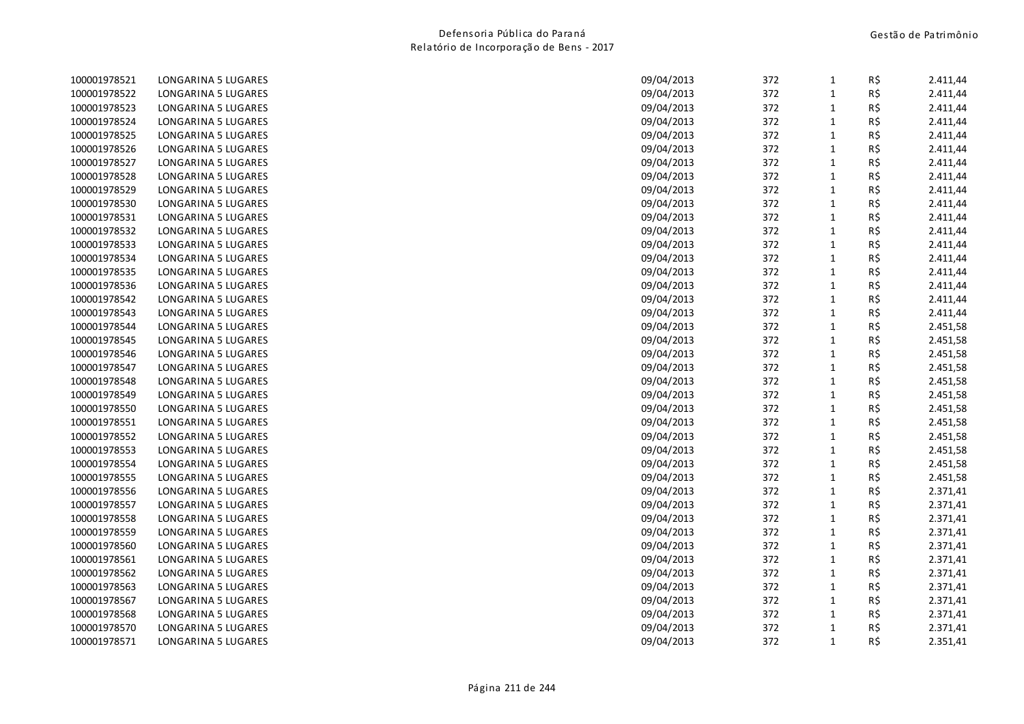| 100001978521 | LONGARINA 5 LUGARES | 09/04/2013 | 372 | $\mathbf{1}$ | R\$ | 2.411,44 |
|--------------|---------------------|------------|-----|--------------|-----|----------|
| 100001978522 | LONGARINA 5 LUGARES | 09/04/2013 | 372 | $\mathbf 1$  | R\$ | 2.411,44 |
| 100001978523 | LONGARINA 5 LUGARES | 09/04/2013 | 372 | $1\,$        | R\$ | 2.411,44 |
| 100001978524 | LONGARINA 5 LUGARES | 09/04/2013 | 372 | $\mathbf 1$  | R\$ | 2.411,44 |
| 100001978525 | LONGARINA 5 LUGARES | 09/04/2013 | 372 | $\mathbf{1}$ | R\$ | 2.411,44 |
| 100001978526 | LONGARINA 5 LUGARES | 09/04/2013 | 372 | $\mathbf 1$  | R\$ | 2.411,44 |
| 100001978527 | LONGARINA 5 LUGARES | 09/04/2013 | 372 | $\mathbf{1}$ | R\$ | 2.411,44 |
| 100001978528 | LONGARINA 5 LUGARES | 09/04/2013 | 372 | $\mathbf 1$  | R\$ | 2.411,44 |
| 100001978529 | LONGARINA 5 LUGARES | 09/04/2013 | 372 | $\mathbf 1$  | R\$ | 2.411,44 |
| 100001978530 | LONGARINA 5 LUGARES | 09/04/2013 | 372 | $\mathbf 1$  | R\$ | 2.411,44 |
| 100001978531 | LONGARINA 5 LUGARES | 09/04/2013 | 372 | $\mathbf 1$  | R\$ | 2.411,44 |
| 100001978532 | LONGARINA 5 LUGARES | 09/04/2013 | 372 | $\mathbf{1}$ | R\$ | 2.411,44 |
| 100001978533 | LONGARINA 5 LUGARES | 09/04/2013 | 372 | $\mathbf 1$  | R\$ | 2.411,44 |
| 100001978534 | LONGARINA 5 LUGARES | 09/04/2013 | 372 | $\mathbf 1$  | R\$ | 2.411,44 |
| 100001978535 | LONGARINA 5 LUGARES | 09/04/2013 | 372 | $\mathbf 1$  | R\$ | 2.411,44 |
| 100001978536 | LONGARINA 5 LUGARES | 09/04/2013 | 372 | $\mathbf 1$  | R\$ | 2.411,44 |
| 100001978542 | LONGARINA 5 LUGARES | 09/04/2013 | 372 | $\mathbf 1$  | R\$ | 2.411,44 |
| 100001978543 | LONGARINA 5 LUGARES | 09/04/2013 | 372 | $\mathbf 1$  | R\$ | 2.411,44 |
| 100001978544 | LONGARINA 5 LUGARES | 09/04/2013 | 372 | $\mathbf 1$  | R\$ | 2.451,58 |
| 100001978545 | LONGARINA 5 LUGARES | 09/04/2013 | 372 | $\mathbf 1$  | R\$ | 2.451,58 |
| 100001978546 | LONGARINA 5 LUGARES | 09/04/2013 | 372 | $\mathbf 1$  | R\$ | 2.451,58 |
| 100001978547 | LONGARINA 5 LUGARES | 09/04/2013 | 372 | $\mathbf 1$  | R\$ | 2.451,58 |
| 100001978548 | LONGARINA 5 LUGARES | 09/04/2013 | 372 | $\mathbf 1$  | R\$ | 2.451,58 |
| 100001978549 | LONGARINA 5 LUGARES | 09/04/2013 | 372 | $\mathbf{1}$ | R\$ | 2.451,58 |
| 100001978550 | LONGARINA 5 LUGARES | 09/04/2013 | 372 | $\mathbf 1$  | R\$ | 2.451,58 |
| 100001978551 | LONGARINA 5 LUGARES | 09/04/2013 | 372 | $\mathbf 1$  | R\$ | 2.451,58 |
| 100001978552 | LONGARINA 5 LUGARES | 09/04/2013 | 372 | $\mathbf 1$  | R\$ | 2.451,58 |
| 100001978553 | LONGARINA 5 LUGARES | 09/04/2013 | 372 | $\mathbf 1$  | R\$ | 2.451,58 |
| 100001978554 | LONGARINA 5 LUGARES | 09/04/2013 | 372 | $\mathbf 1$  | R\$ | 2.451,58 |
| 100001978555 | LONGARINA 5 LUGARES | 09/04/2013 | 372 | $\mathbf 1$  | R\$ | 2.451,58 |
| 100001978556 | LONGARINA 5 LUGARES | 09/04/2013 | 372 | $1\,$        | R\$ | 2.371,41 |
| 100001978557 | LONGARINA 5 LUGARES | 09/04/2013 | 372 | $\mathbf 1$  | R\$ | 2.371,41 |
| 100001978558 | LONGARINA 5 LUGARES | 09/04/2013 | 372 | $1\,$        | R\$ | 2.371,41 |
| 100001978559 | LONGARINA 5 LUGARES | 09/04/2013 | 372 | $\mathbf 1$  | R\$ | 2.371,41 |
| 100001978560 | LONGARINA 5 LUGARES | 09/04/2013 | 372 | $\mathbf{1}$ | R\$ | 2.371,41 |
| 100001978561 | LONGARINA 5 LUGARES | 09/04/2013 | 372 | $\mathbf 1$  | R\$ | 2.371,41 |
| 100001978562 | LONGARINA 5 LUGARES | 09/04/2013 | 372 | $\mathbf 1$  | R\$ | 2.371,41 |
| 100001978563 | LONGARINA 5 LUGARES | 09/04/2013 | 372 | $\mathbf 1$  | R\$ | 2.371,41 |
| 100001978567 | LONGARINA 5 LUGARES | 09/04/2013 | 372 | $\mathbf 1$  | R\$ | 2.371,41 |
| 100001978568 | LONGARINA 5 LUGARES | 09/04/2013 | 372 | $\mathbf{1}$ | R\$ | 2.371,41 |
| 100001978570 | LONGARINA 5 LUGARES | 09/04/2013 | 372 | $1\,$        | R\$ | 2.371,41 |
| 100001978571 | LONGARINA 5 LUGARES | 09/04/2013 | 372 | $\mathbf{1}$ | R\$ | 2.351,41 |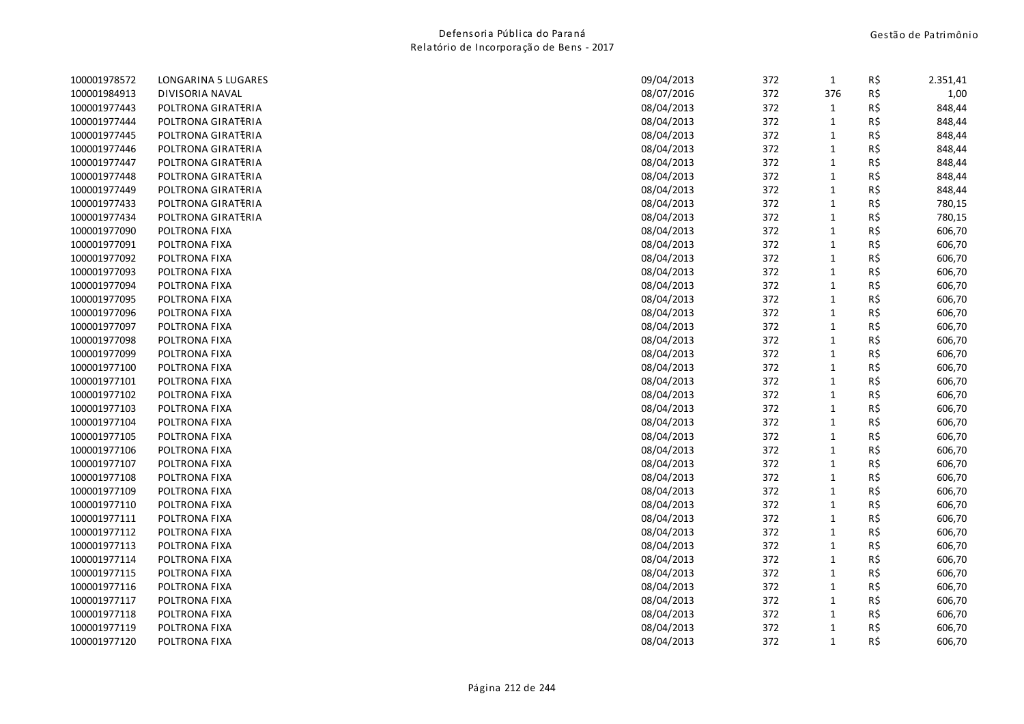| 100001978572 | LONGARINA 5 LUGARES | 09/04/2013 | 372 | $\mathbf{1}$ | R\$ | 2.351,41 |
|--------------|---------------------|------------|-----|--------------|-----|----------|
| 100001984913 | DIVISORIA NAVAL     | 08/07/2016 | 372 | 376          | R\$ | 1,00     |
| 100001977443 | POLTRONA GIRATERIA  | 08/04/2013 | 372 | $\mathbf{1}$ | R\$ | 848,44   |
| 100001977444 | POLTRONA GIRATERIA  | 08/04/2013 | 372 | $\mathbf{1}$ | R\$ | 848,44   |
| 100001977445 | POLTRONA GIRATERIA  | 08/04/2013 | 372 | $\mathbf{1}$ | R\$ | 848,44   |
| 100001977446 | POLTRONA GIRATERIA  | 08/04/2013 | 372 | $\mathbf{1}$ | R\$ | 848,44   |
| 100001977447 | POLTRONA GIRATERIA  | 08/04/2013 | 372 | $\mathbf{1}$ | R\$ | 848,44   |
| 100001977448 | POLTRONA GIRATERIA  | 08/04/2013 | 372 | $\mathbf{1}$ | R\$ | 848,44   |
| 100001977449 | POLTRONA GIRATERIA  | 08/04/2013 | 372 | $\mathbf{1}$ | R\$ | 848,44   |
| 100001977433 | POLTRONA GIRATERIA  | 08/04/2013 | 372 | $1\,$        | R\$ | 780,15   |
| 100001977434 | POLTRONA GIRATERIA  | 08/04/2013 | 372 | $\mathbf{1}$ | R\$ | 780,15   |
| 100001977090 | POLTRONA FIXA       | 08/04/2013 | 372 | $\mathbf{1}$ | R\$ | 606,70   |
| 100001977091 | POLTRONA FIXA       | 08/04/2013 | 372 | $\mathbf{1}$ | R\$ | 606,70   |
| 100001977092 | POLTRONA FIXA       | 08/04/2013 | 372 | $\mathbf{1}$ | R\$ | 606,70   |
| 100001977093 | POLTRONA FIXA       | 08/04/2013 | 372 | $1\,$        | R\$ | 606,70   |
| 100001977094 | POLTRONA FIXA       | 08/04/2013 | 372 | $\mathbf{1}$ | R\$ | 606,70   |
| 100001977095 | POLTRONA FIXA       | 08/04/2013 | 372 | $\mathbf{1}$ | R\$ | 606,70   |
| 100001977096 | POLTRONA FIXA       | 08/04/2013 | 372 | $\mathbf{1}$ | R\$ | 606,70   |
| 100001977097 | POLTRONA FIXA       | 08/04/2013 | 372 | $\mathbf{1}$ | R\$ | 606,70   |
| 100001977098 | POLTRONA FIXA       | 08/04/2013 | 372 | $\mathbf{1}$ | R\$ | 606,70   |
| 100001977099 | POLTRONA FIXA       | 08/04/2013 | 372 | $\mathbf{1}$ | R\$ | 606,70   |
| 100001977100 | POLTRONA FIXA       | 08/04/2013 | 372 | $\mathbf{1}$ | R\$ | 606,70   |
| 100001977101 | POLTRONA FIXA       | 08/04/2013 | 372 | $\mathbf{1}$ | R\$ | 606,70   |
| 100001977102 | POLTRONA FIXA       | 08/04/2013 | 372 | $\mathbf{1}$ | R\$ | 606,70   |
| 100001977103 | POLTRONA FIXA       | 08/04/2013 | 372 | $\mathbf{1}$ | R\$ | 606,70   |
| 100001977104 | POLTRONA FIXA       | 08/04/2013 | 372 | $\mathbf{1}$ | R\$ | 606,70   |
| 100001977105 | POLTRONA FIXA       | 08/04/2013 | 372 | $\mathbf{1}$ | R\$ | 606,70   |
| 100001977106 | POLTRONA FIXA       | 08/04/2013 | 372 | $1\,$        | R\$ | 606,70   |
| 100001977107 | POLTRONA FIXA       | 08/04/2013 | 372 | $\mathbf{1}$ | R\$ | 606,70   |
| 100001977108 | POLTRONA FIXA       | 08/04/2013 | 372 | $\mathbf{1}$ | R\$ | 606,70   |
| 100001977109 | POLTRONA FIXA       | 08/04/2013 | 372 | $\mathbf{1}$ | R\$ | 606,70   |
| 100001977110 | POLTRONA FIXA       | 08/04/2013 | 372 | $1\,$        | R\$ | 606,70   |
| 100001977111 | POLTRONA FIXA       | 08/04/2013 | 372 | $\mathbf{1}$ | R\$ | 606,70   |
| 100001977112 | POLTRONA FIXA       | 08/04/2013 | 372 | $\mathbf{1}$ | R\$ | 606,70   |
| 100001977113 | POLTRONA FIXA       | 08/04/2013 | 372 | 1            | R\$ | 606,70   |
| 100001977114 | POLTRONA FIXA       | 08/04/2013 | 372 | $\mathbf{1}$ | R\$ | 606,70   |
| 100001977115 | POLTRONA FIXA       | 08/04/2013 | 372 | $\mathbf{1}$ | R\$ | 606,70   |
| 100001977116 | POLTRONA FIXA       | 08/04/2013 | 372 | $\mathbf{1}$ | R\$ | 606,70   |
| 100001977117 | POLTRONA FIXA       | 08/04/2013 | 372 | $\mathbf{1}$ | R\$ | 606,70   |
| 100001977118 | POLTRONA FIXA       | 08/04/2013 | 372 | $\mathbf{1}$ | R\$ | 606,70   |
| 100001977119 | POLTRONA FIXA       | 08/04/2013 | 372 | $\mathbf{1}$ | R\$ | 606,70   |
| 100001977120 | POLTRONA FIXA       | 08/04/2013 | 372 | $\mathbf{1}$ | R\$ | 606,70   |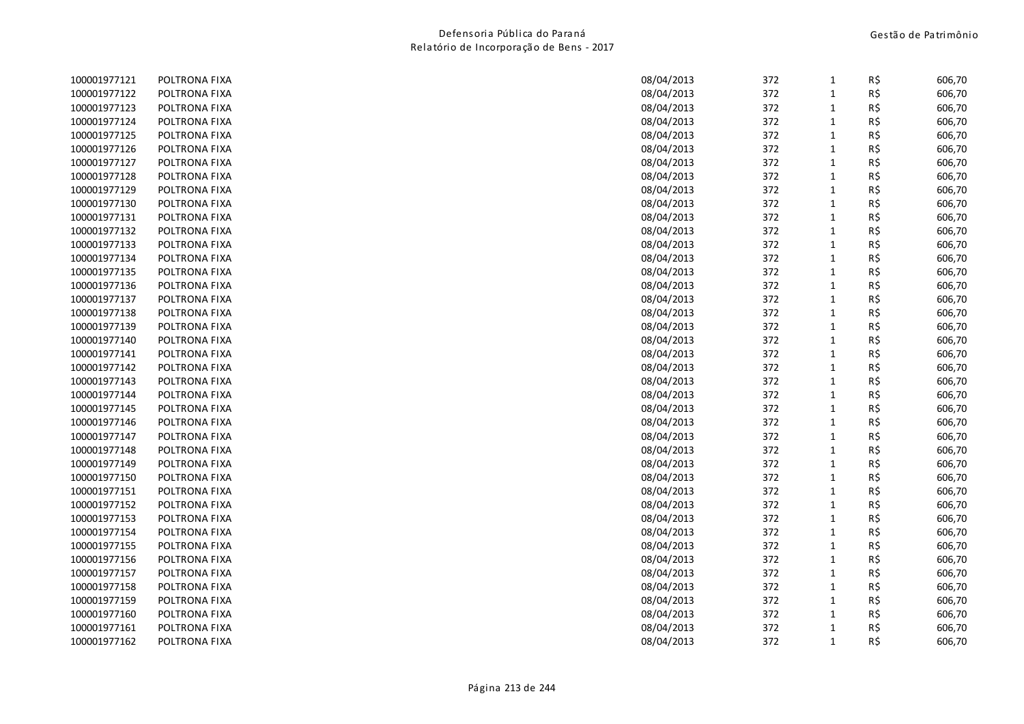| 100001977121 | POLTRONA FIXA | 08/04/2013 | 372 | $\mathbf{1}$ | R\$ | 606,70 |
|--------------|---------------|------------|-----|--------------|-----|--------|
| 100001977122 | POLTRONA FIXA | 08/04/2013 | 372 | $\mathbf{1}$ | R\$ | 606,70 |
| 100001977123 | POLTRONA FIXA | 08/04/2013 | 372 | $\mathbf{1}$ | R\$ | 606,70 |
| 100001977124 | POLTRONA FIXA | 08/04/2013 | 372 | $\mathbf{1}$ | R\$ | 606,70 |
| 100001977125 | POLTRONA FIXA | 08/04/2013 | 372 | $\mathbf{1}$ | R\$ | 606,70 |
| 100001977126 | POLTRONA FIXA | 08/04/2013 | 372 | $\mathbf{1}$ | R\$ | 606,70 |
| 100001977127 | POLTRONA FIXA | 08/04/2013 | 372 | $\mathbf{1}$ | R\$ | 606,70 |
| 100001977128 | POLTRONA FIXA | 08/04/2013 | 372 | $\mathbf{1}$ | R\$ | 606,70 |
| 100001977129 | POLTRONA FIXA | 08/04/2013 | 372 | $\mathbf{1}$ | R\$ | 606,70 |
| 100001977130 | POLTRONA FIXA | 08/04/2013 | 372 | $\mathbf{1}$ | R\$ | 606,70 |
| 100001977131 | POLTRONA FIXA | 08/04/2013 | 372 | $\mathbf{1}$ | R\$ | 606,70 |
| 100001977132 | POLTRONA FIXA | 08/04/2013 | 372 | $\mathbf{1}$ | R\$ | 606,70 |
| 100001977133 | POLTRONA FIXA | 08/04/2013 | 372 | $\mathbf{1}$ | R\$ | 606,70 |
| 100001977134 | POLTRONA FIXA | 08/04/2013 | 372 | $\mathbf{1}$ | R\$ | 606,70 |
| 100001977135 | POLTRONA FIXA | 08/04/2013 | 372 | $\mathbf{1}$ | R\$ | 606,70 |
| 100001977136 | POLTRONA FIXA | 08/04/2013 | 372 | $\mathbf{1}$ | R\$ | 606,70 |
| 100001977137 | POLTRONA FIXA | 08/04/2013 | 372 | $\mathbf{1}$ | R\$ | 606,70 |
| 100001977138 | POLTRONA FIXA | 08/04/2013 | 372 | $\mathbf{1}$ | R\$ | 606,70 |
| 100001977139 | POLTRONA FIXA | 08/04/2013 | 372 | $\mathbf 1$  | R\$ | 606,70 |
| 100001977140 | POLTRONA FIXA | 08/04/2013 | 372 | $\mathbf{1}$ | R\$ | 606,70 |
| 100001977141 | POLTRONA FIXA | 08/04/2013 | 372 | $\mathbf{1}$ | R\$ | 606,70 |
| 100001977142 | POLTRONA FIXA | 08/04/2013 | 372 | $1\,$        | R\$ | 606,70 |
| 100001977143 | POLTRONA FIXA | 08/04/2013 | 372 | $\mathbf{1}$ | R\$ | 606,70 |
| 100001977144 | POLTRONA FIXA | 08/04/2013 | 372 | $\mathbf{1}$ | R\$ | 606,70 |
| 100001977145 | POLTRONA FIXA | 08/04/2013 | 372 | $\mathbf{1}$ | R\$ | 606,70 |
| 100001977146 | POLTRONA FIXA | 08/04/2013 | 372 | $\mathbf{1}$ | R\$ | 606,70 |
| 100001977147 | POLTRONA FIXA | 08/04/2013 | 372 | $\mathbf{1}$ | R\$ | 606,70 |
| 100001977148 | POLTRONA FIXA | 08/04/2013 | 372 | $\mathbf{1}$ | R\$ | 606,70 |
| 100001977149 | POLTRONA FIXA | 08/04/2013 | 372 | $\mathbf{1}$ | R\$ | 606,70 |
| 100001977150 | POLTRONA FIXA | 08/04/2013 | 372 | $\mathbf{1}$ | R\$ | 606,70 |
| 100001977151 | POLTRONA FIXA | 08/04/2013 | 372 | $1\,$        | R\$ | 606,70 |
| 100001977152 | POLTRONA FIXA | 08/04/2013 | 372 | $\mathbf 1$  | R\$ | 606,70 |
| 100001977153 | POLTRONA FIXA | 08/04/2013 | 372 | $\mathbf{1}$ | R\$ | 606,70 |
| 100001977154 | POLTRONA FIXA | 08/04/2013 | 372 | $\mathbf{1}$ | R\$ | 606,70 |
| 100001977155 | POLTRONA FIXA | 08/04/2013 | 372 | $\mathbf{1}$ | R\$ | 606,70 |
| 100001977156 | POLTRONA FIXA | 08/04/2013 | 372 | $\mathbf{1}$ | R\$ | 606,70 |
| 100001977157 | POLTRONA FIXA | 08/04/2013 | 372 | $\mathbf{1}$ | R\$ | 606,70 |
| 100001977158 | POLTRONA FIXA | 08/04/2013 | 372 | $\mathbf{1}$ | R\$ | 606,70 |
| 100001977159 | POLTRONA FIXA | 08/04/2013 | 372 | $\mathbf{1}$ | R\$ | 606,70 |
| 100001977160 | POLTRONA FIXA | 08/04/2013 | 372 | $\mathbf{1}$ | R\$ | 606,70 |
| 100001977161 | POLTRONA FIXA | 08/04/2013 | 372 | $\mathbf{1}$ | R\$ | 606,70 |
| 100001977162 | POLTRONA FIXA | 08/04/2013 | 372 | $\mathbf{1}$ | R\$ | 606,70 |
|              |               |            |     |              |     |        |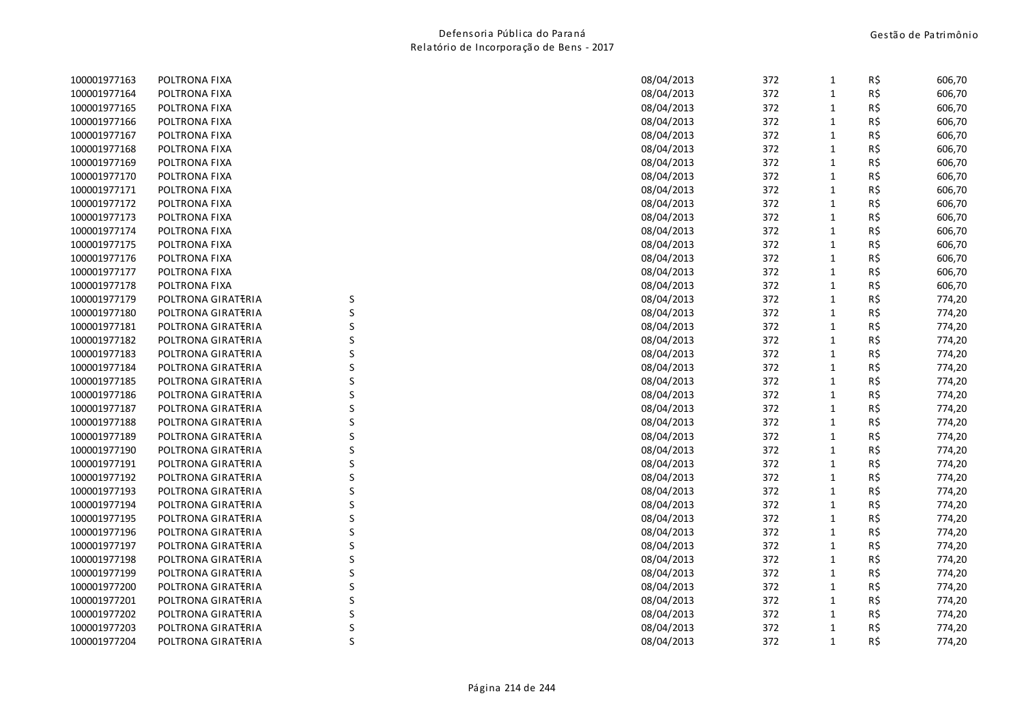| 100001977163 | POLTRONA FIXA      |         | 08/04/2013 | 372 | $\mathbf{1}$ | R\$ | 606,70 |
|--------------|--------------------|---------|------------|-----|--------------|-----|--------|
| 100001977164 | POLTRONA FIXA      |         | 08/04/2013 | 372 | 1            | R\$ | 606,70 |
| 100001977165 | POLTRONA FIXA      |         | 08/04/2013 | 372 | $\mathbf{1}$ | R\$ | 606,70 |
| 100001977166 | POLTRONA FIXA      |         | 08/04/2013 | 372 | $\mathbf{1}$ | R\$ | 606,70 |
| 100001977167 | POLTRONA FIXA      |         | 08/04/2013 | 372 | $\mathbf{1}$ | R\$ | 606,70 |
| 100001977168 | POLTRONA FIXA      |         | 08/04/2013 | 372 | 1            | R\$ | 606,70 |
| 100001977169 | POLTRONA FIXA      |         | 08/04/2013 | 372 | $\mathbf 1$  | R\$ | 606,70 |
| 100001977170 | POLTRONA FIXA      |         | 08/04/2013 | 372 | $\mathbf{1}$ | R\$ | 606,70 |
| 100001977171 | POLTRONA FIXA      |         | 08/04/2013 | 372 | $\mathbf{1}$ | R\$ | 606,70 |
| 100001977172 | POLTRONA FIXA      |         | 08/04/2013 | 372 | 1            | R\$ | 606,70 |
| 100001977173 | POLTRONA FIXA      |         | 08/04/2013 | 372 | $\mathbf{1}$ | R\$ | 606,70 |
| 100001977174 | POLTRONA FIXA      |         | 08/04/2013 | 372 | $\mathbf{1}$ | R\$ | 606,70 |
| 100001977175 | POLTRONA FIXA      |         | 08/04/2013 | 372 | $\mathbf{1}$ | R\$ | 606,70 |
| 100001977176 | POLTRONA FIXA      |         | 08/04/2013 | 372 | $\mathbf{1}$ | R\$ | 606,70 |
| 100001977177 | POLTRONA FIXA      |         | 08/04/2013 | 372 | $\mathbf{1}$ | R\$ | 606,70 |
| 100001977178 | POLTRONA FIXA      |         | 08/04/2013 | 372 | $\mathbf{1}$ | R\$ | 606,70 |
| 100001977179 | POLTRONA GIRATERIA | S       | 08/04/2013 | 372 | $\mathbf{1}$ | R\$ | 774,20 |
| 100001977180 | POLTRONA GIRATERIA | $\sf S$ | 08/04/2013 | 372 | $\mathbf{1}$ | R\$ | 774,20 |
| 100001977181 | POLTRONA GIRATERIA | $\sf S$ | 08/04/2013 | 372 | 1            | R\$ | 774,20 |
| 100001977182 | POLTRONA GIRATERIA | S       | 08/04/2013 | 372 | $\mathbf{1}$ | R\$ | 774,20 |
| 100001977183 | POLTRONA GIRATERIA | S       | 08/04/2013 | 372 | $\mathbf{1}$ | R\$ | 774,20 |
| 100001977184 | POLTRONA GIRATERIA | S       | 08/04/2013 | 372 | $\mathbf{1}$ | R\$ | 774,20 |
| 100001977185 | POLTRONA GIRATERIA | S       | 08/04/2013 | 372 | $\mathbf{1}$ | R\$ | 774,20 |
| 100001977186 | POLTRONA GIRATERIA | S       | 08/04/2013 | 372 | $\mathbf{1}$ | R\$ | 774,20 |
| 100001977187 | POLTRONA GIRATERIA | S       | 08/04/2013 | 372 | $\mathbf{1}$ | R\$ | 774,20 |
| 100001977188 | POLTRONA GIRATERIA | S       | 08/04/2013 | 372 | $\mathbf{1}$ | R\$ | 774,20 |
| 100001977189 | POLTRONA GIRATERIA | S       | 08/04/2013 | 372 | 1            | R\$ | 774,20 |
| 100001977190 | POLTRONA GIRATERIA | S       | 08/04/2013 | 372 | $\mathbf{1}$ | R\$ | 774,20 |
| 100001977191 | POLTRONA GIRATERIA | S       | 08/04/2013 | 372 | $\mathbf{1}$ | R\$ | 774,20 |
| 100001977192 | POLTRONA GIRATERIA | $\sf S$ | 08/04/2013 | 372 | $\mathbf{1}$ | R\$ | 774,20 |
| 100001977193 | POLTRONA GIRATERIA | $\sf S$ | 08/04/2013 | 372 | $\mathbf{1}$ | R\$ | 774,20 |
| 100001977194 | POLTRONA GIRATERIA | S       | 08/04/2013 | 372 | 1            | R\$ | 774,20 |
| 100001977195 | POLTRONA GIRATERIA | S       | 08/04/2013 | 372 | $\mathbf{1}$ | R\$ | 774,20 |
| 100001977196 | POLTRONA GIRATERIA | S       | 08/04/2013 | 372 | $\mathbf{1}$ | R\$ | 774,20 |
| 100001977197 | POLTRONA GIRATERIA | S       | 08/04/2013 | 372 | $\mathbf{1}$ | R\$ | 774,20 |
| 100001977198 | POLTRONA GIRATERIA | S       | 08/04/2013 | 372 | 1            | R\$ | 774,20 |
| 100001977199 | POLTRONA GIRATERIA | S       | 08/04/2013 | 372 | $\mathbf{1}$ | R\$ | 774,20 |
| 100001977200 | POLTRONA GIRATERIA | S       | 08/04/2013 | 372 | $\mathbf{1}$ | R\$ | 774,20 |
| 100001977201 | POLTRONA GIRATERIA | S       | 08/04/2013 | 372 | 1            | R\$ | 774,20 |
| 100001977202 | POLTRONA GIRATERIA | S       | 08/04/2013 | 372 | $\mathbf{1}$ | R\$ | 774,20 |
| 100001977203 | POLTRONA GIRATERIA | S       | 08/04/2013 | 372 | 1            | R\$ | 774,20 |
| 100001977204 | POLTRONA GIRATERIA | S       | 08/04/2013 | 372 | $\mathbf{1}$ | R\$ | 774,20 |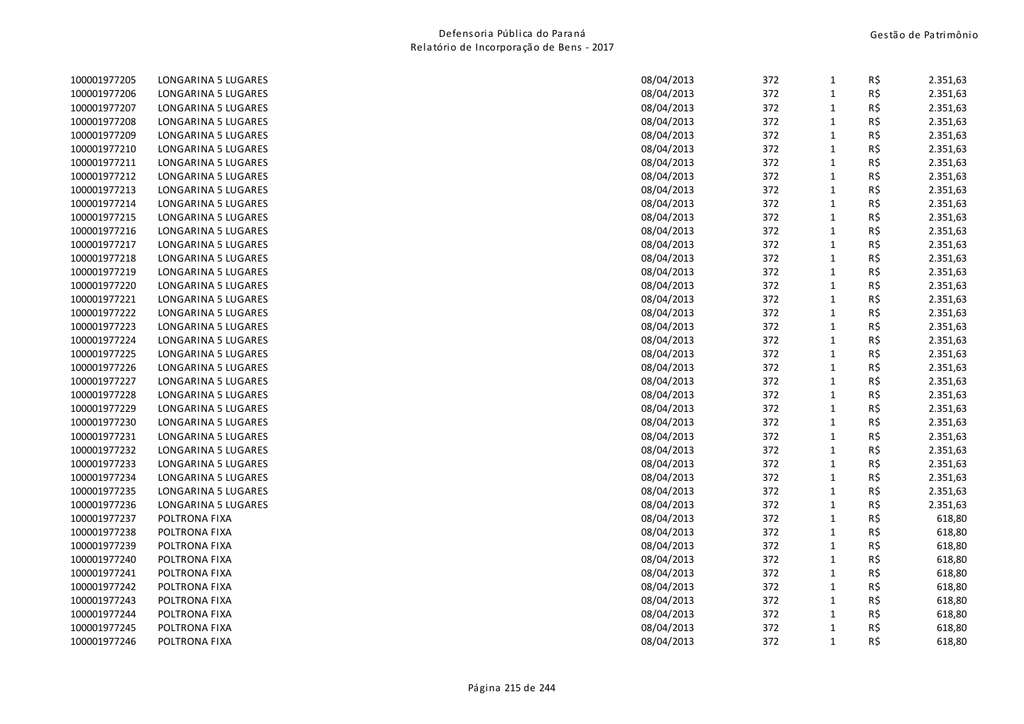| 100001977205 | LONGARINA 5 LUGARES | 08/04/2013 | 372 | 1            | R\$ | 2.351,63 |
|--------------|---------------------|------------|-----|--------------|-----|----------|
| 100001977206 | LONGARINA 5 LUGARES | 08/04/2013 | 372 | $\mathbf{1}$ | R\$ | 2.351,63 |
| 100001977207 | LONGARINA 5 LUGARES | 08/04/2013 | 372 | $\mathbf{1}$ | R\$ | 2.351,63 |
| 100001977208 | LONGARINA 5 LUGARES | 08/04/2013 | 372 | $\mathbf 1$  | R\$ | 2.351,63 |
| 100001977209 | LONGARINA 5 LUGARES | 08/04/2013 | 372 | $\mathbf 1$  | R\$ | 2.351,63 |
| 100001977210 | LONGARINA 5 LUGARES | 08/04/2013 | 372 | $\mathbf{1}$ | R\$ | 2.351,63 |
| 100001977211 | LONGARINA 5 LUGARES | 08/04/2013 | 372 | $\mathbf{1}$ | R\$ | 2.351,63 |
| 100001977212 | LONGARINA 5 LUGARES | 08/04/2013 | 372 | $\mathbf{1}$ | R\$ | 2.351,63 |
| 100001977213 | LONGARINA 5 LUGARES | 08/04/2013 | 372 | $\mathbf 1$  | R\$ | 2.351,63 |
| 100001977214 | LONGARINA 5 LUGARES | 08/04/2013 | 372 | $\mathbf 1$  | R\$ | 2.351,63 |
| 100001977215 | LONGARINA 5 LUGARES | 08/04/2013 | 372 | $\mathbf 1$  | R\$ | 2.351,63 |
| 100001977216 | LONGARINA 5 LUGARES | 08/04/2013 | 372 | $\mathbf{1}$ | R\$ | 2.351,63 |
| 100001977217 | LONGARINA 5 LUGARES | 08/04/2013 | 372 | $\mathbf 1$  | R\$ | 2.351,63 |
| 100001977218 | LONGARINA 5 LUGARES | 08/04/2013 | 372 | $\mathbf{1}$ | R\$ | 2.351,63 |
| 100001977219 | LONGARINA 5 LUGARES | 08/04/2013 | 372 | $\mathbf{1}$ | R\$ | 2.351,63 |
| 100001977220 | LONGARINA 5 LUGARES | 08/04/2013 | 372 | $\mathbf 1$  | R\$ | 2.351,63 |
| 100001977221 | LONGARINA 5 LUGARES | 08/04/2013 | 372 | $\mathbf 1$  | R\$ | 2.351,63 |
| 100001977222 | LONGARINA 5 LUGARES | 08/04/2013 | 372 | $\mathbf 1$  | R\$ | 2.351,63 |
| 100001977223 | LONGARINA 5 LUGARES | 08/04/2013 | 372 | $\mathbf 1$  | R\$ | 2.351,63 |
| 100001977224 | LONGARINA 5 LUGARES | 08/04/2013 | 372 | $\mathbf 1$  | R\$ | 2.351,63 |
| 100001977225 | LONGARINA 5 LUGARES | 08/04/2013 | 372 | $\mathbf{1}$ | R\$ | 2.351,63 |
| 100001977226 | LONGARINA 5 LUGARES | 08/04/2013 | 372 | $\mathbf{1}$ | R\$ | 2.351,63 |
| 100001977227 | LONGARINA 5 LUGARES | 08/04/2013 | 372 | $\mathbf{1}$ | R\$ | 2.351,63 |
| 100001977228 | LONGARINA 5 LUGARES | 08/04/2013 | 372 | $\mathbf{1}$ | R\$ | 2.351,63 |
| 100001977229 | LONGARINA 5 LUGARES | 08/04/2013 | 372 | $\mathbf{1}$ | R\$ | 2.351,63 |
| 100001977230 | LONGARINA 5 LUGARES | 08/04/2013 | 372 | $\mathbf{1}$ | R\$ | 2.351,63 |
| 100001977231 | LONGARINA 5 LUGARES | 08/04/2013 | 372 | $\mathbf 1$  | R\$ | 2.351,63 |
| 100001977232 | LONGARINA 5 LUGARES | 08/04/2013 | 372 | $\mathbf{1}$ | R\$ | 2.351,63 |
| 100001977233 | LONGARINA 5 LUGARES | 08/04/2013 | 372 | $\mathbf{1}$ | R\$ | 2.351,63 |
| 100001977234 | LONGARINA 5 LUGARES | 08/04/2013 | 372 | $\mathbf{1}$ | R\$ | 2.351,63 |
| 100001977235 | LONGARINA 5 LUGARES | 08/04/2013 | 372 | $\mathbf 1$  | R\$ | 2.351,63 |
| 100001977236 | LONGARINA 5 LUGARES | 08/04/2013 | 372 | $\mathbf 1$  | R\$ | 2.351,63 |
| 100001977237 | POLTRONA FIXA       | 08/04/2013 | 372 | $\mathbf{1}$ | R\$ | 618,80   |
| 100001977238 | POLTRONA FIXA       | 08/04/2013 | 372 | $\mathbf 1$  | R\$ | 618,80   |
| 100001977239 | POLTRONA FIXA       | 08/04/2013 | 372 | $\mathbf{1}$ | R\$ | 618,80   |
| 100001977240 | POLTRONA FIXA       | 08/04/2013 | 372 | $\mathbf 1$  | R\$ | 618,80   |
| 100001977241 | POLTRONA FIXA       | 08/04/2013 | 372 | $\mathbf 1$  | R\$ | 618,80   |
| 100001977242 | POLTRONA FIXA       | 08/04/2013 | 372 | $\mathbf{1}$ | R\$ | 618,80   |
| 100001977243 | POLTRONA FIXA       | 08/04/2013 | 372 | $\mathbf 1$  | R\$ | 618,80   |
| 100001977244 | POLTRONA FIXA       | 08/04/2013 | 372 | $\mathbf{1}$ | R\$ | 618,80   |
| 100001977245 | POLTRONA FIXA       | 08/04/2013 | 372 | $\mathbf{1}$ | R\$ | 618,80   |
| 100001977246 | POLTRONA FIXA       | 08/04/2013 | 372 | $\mathbf{1}$ | R\$ | 618,80   |
|              |                     |            |     |              |     |          |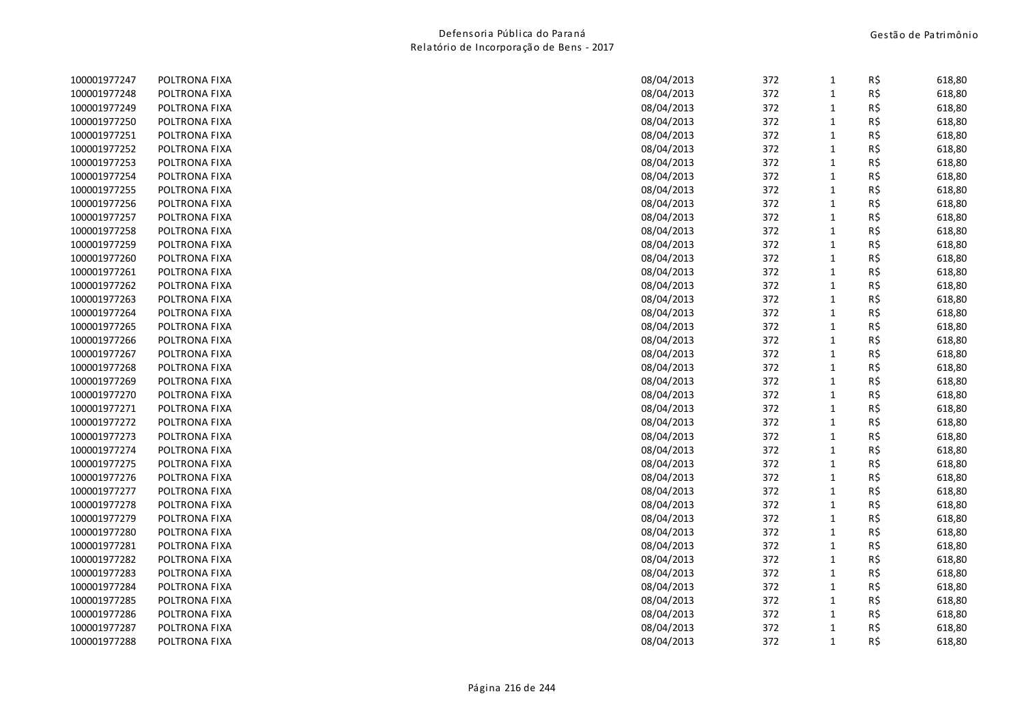| POLTRONA FIXA | 08/04/2013 | 372                      | 1                        | R\$ | 618,80                                        |
|---------------|------------|--------------------------|--------------------------|-----|-----------------------------------------------|
| POLTRONA FIXA | 08/04/2013 | 372                      | $\mathbf{1}$             | R\$ | 618,80                                        |
| POLTRONA FIXA | 08/04/2013 | 372                      | 1                        | R\$ | 618,80                                        |
| POLTRONA FIXA | 08/04/2013 | 372                      | $\mathbf{1}$             | R\$ | 618,80                                        |
| POLTRONA FIXA | 08/04/2013 | 372                      | $\mathbf{1}$             | R\$ | 618,80                                        |
| POLTRONA FIXA | 08/04/2013 | 372                      | $\mathbf{1}$             | R\$ | 618,80                                        |
| POLTRONA FIXA | 08/04/2013 | 372                      | $\mathbf{1}$             | R\$ | 618,80                                        |
| POLTRONA FIXA | 08/04/2013 | 372                      | $\mathbf{1}$             | R\$ | 618,80                                        |
| POLTRONA FIXA | 08/04/2013 | 372                      | $\mathbf{1}$             | R\$ | 618,80                                        |
| POLTRONA FIXA | 08/04/2013 | 372                      | $\mathbf{1}$             | R\$ | 618,80                                        |
| POLTRONA FIXA | 08/04/2013 | 372                      | $\mathbf{1}$             | R\$ | 618,80                                        |
| POLTRONA FIXA | 08/04/2013 | 372                      | $\mathbf{1}$             | R\$ | 618,80                                        |
| POLTRONA FIXA | 08/04/2013 | 372                      | $\mathbf{1}$             | R\$ | 618,80                                        |
| POLTRONA FIXA | 08/04/2013 | 372                      | $\mathbf{1}$             | R\$ | 618,80                                        |
| POLTRONA FIXA | 08/04/2013 | 372                      | $\mathbf{1}$             | R\$ | 618,80                                        |
| POLTRONA FIXA | 08/04/2013 | 372                      | $\mathbf{1}$             | R\$ | 618,80                                        |
| POLTRONA FIXA | 08/04/2013 | 372                      | $\mathbf{1}$             | R\$ | 618,80                                        |
| POLTRONA FIXA | 08/04/2013 | 372                      | 1                        | R\$ | 618,80                                        |
| POLTRONA FIXA | 08/04/2013 | 372                      | $\mathbf{1}$             | R\$ | 618,80                                        |
| POLTRONA FIXA | 08/04/2013 | 372                      | $\mathbf{1}$             | R\$ | 618,80                                        |
| POLTRONA FIXA | 08/04/2013 | 372                      | $\mathbf{1}$             | R\$ | 618,80                                        |
| POLTRONA FIXA | 08/04/2013 | 372                      | $\mathbf{1}$             | R\$ | 618,80                                        |
| POLTRONA FIXA | 08/04/2013 | 372                      | $\mathbf{1}$             | R\$ | 618,80                                        |
| POLTRONA FIXA | 08/04/2013 | 372                      | $\mathbf{1}$             | R\$ | 618,80                                        |
| POLTRONA FIXA | 08/04/2013 | 372                      | $\mathbf{1}$             | R\$ | 618,80                                        |
| POLTRONA FIXA | 08/04/2013 | 372                      | $\mathbf{1}$             | R\$ | 618,80                                        |
| POLTRONA FIXA | 08/04/2013 |                          | $\mathbf{1}$             |     | 618,80                                        |
| POLTRONA FIXA | 08/04/2013 | 372                      | $\mathbf{1}$             | R\$ | 618,80                                        |
| POLTRONA FIXA |            |                          | $\mathbf{1}$             |     | 618,80                                        |
| POLTRONA FIXA | 08/04/2013 | 372                      | $\mathbf{1}$             | R\$ | 618,80                                        |
| POLTRONA FIXA | 08/04/2013 |                          | $\mathbf{1}$             |     | 618,80                                        |
| POLTRONA FIXA | 08/04/2013 | 372                      | $\mathbf{1}$             |     | 618,80                                        |
| POLTRONA FIXA | 08/04/2013 | 372                      | $\mathbf{1}$             |     | 618,80                                        |
| POLTRONA FIXA | 08/04/2013 | 372                      | $\mathbf{1}$             | R\$ | 618,80                                        |
| POLTRONA FIXA | 08/04/2013 | 372                      | $\mathbf{1}$             | R\$ | 618,80                                        |
| POLTRONA FIXA | 08/04/2013 | 372                      | $\mathbf{1}$             | R\$ | 618,80                                        |
| POLTRONA FIXA |            |                          | $\mathbf{1}$             |     | 618,80                                        |
| POLTRONA FIXA | 08/04/2013 | 372                      | $\mathbf{1}$             |     | 618,80                                        |
| POLTRONA FIXA | 08/04/2013 | 372                      | 1                        | R\$ | 618,80                                        |
| POLTRONA FIXA | 08/04/2013 | 372                      | $\mathbf{1}$             | R\$ | 618,80                                        |
| POLTRONA FIXA | 08/04/2013 | 372                      | 1                        | R\$ | 618,80                                        |
| POLTRONA FIXA | 08/04/2013 | 372                      | $\mathbf{1}$             | R\$ | 618,80                                        |
|               |            | 08/04/2013<br>08/04/2013 | 372<br>372<br>372<br>372 |     | R\$<br>R\$<br>R\$<br>R\$<br>R\$<br>R\$<br>R\$ |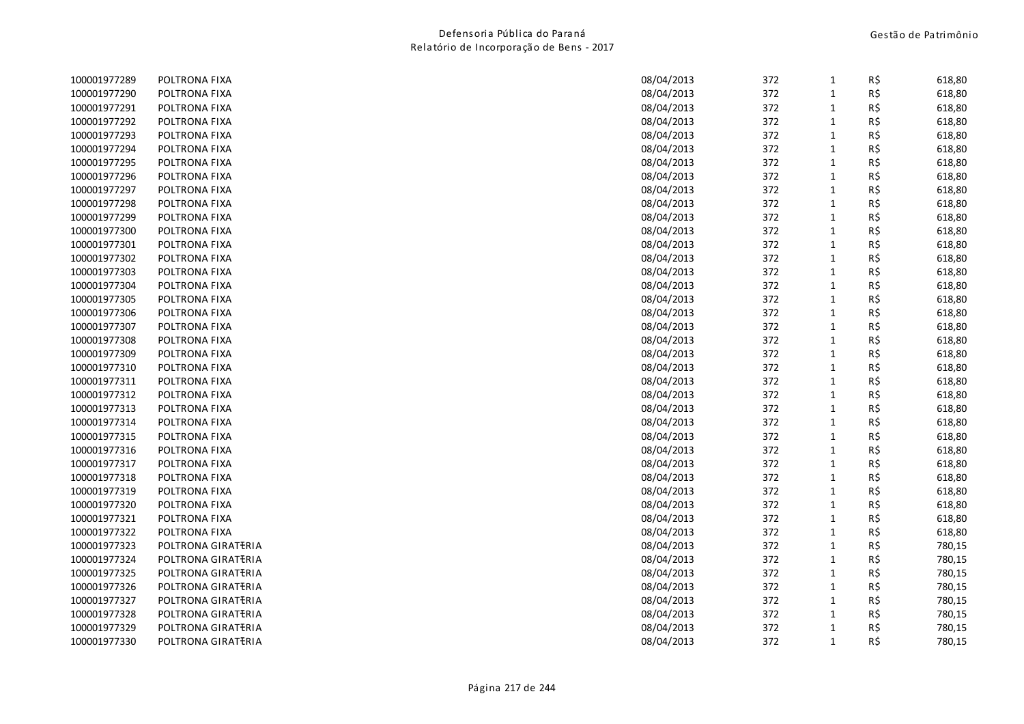| 100001977289 | POLTRONA FIXA      | 08/04/2013 | 372 | $\mathbf{1}$ | R\$ | 618,80 |
|--------------|--------------------|------------|-----|--------------|-----|--------|
| 100001977290 | POLTRONA FIXA      | 08/04/2013 | 372 | $\mathbf{1}$ | R\$ | 618,80 |
| 100001977291 | POLTRONA FIXA      | 08/04/2013 | 372 | $\mathbf{1}$ | R\$ | 618,80 |
| 100001977292 | POLTRONA FIXA      | 08/04/2013 | 372 | $\mathbf{1}$ | R\$ | 618,80 |
| 100001977293 | POLTRONA FIXA      | 08/04/2013 | 372 | $\mathbf{1}$ | R\$ | 618,80 |
| 100001977294 | POLTRONA FIXA      | 08/04/2013 | 372 | $\mathbf{1}$ | R\$ | 618,80 |
| 100001977295 | POLTRONA FIXA      | 08/04/2013 | 372 | $\mathbf{1}$ | R\$ | 618,80 |
| 100001977296 | POLTRONA FIXA      | 08/04/2013 | 372 | $\mathbf{1}$ | R\$ | 618,80 |
| 100001977297 | POLTRONA FIXA      | 08/04/2013 | 372 | $\mathbf{1}$ | R\$ | 618,80 |
| 100001977298 | POLTRONA FIXA      | 08/04/2013 | 372 | $\mathbf{1}$ | R\$ | 618,80 |
| 100001977299 | POLTRONA FIXA      | 08/04/2013 | 372 | $\mathbf{1}$ | R\$ | 618,80 |
| 100001977300 | POLTRONA FIXA      | 08/04/2013 | 372 | $\mathbf{1}$ | R\$ | 618,80 |
| 100001977301 | POLTRONA FIXA      | 08/04/2013 | 372 | $\mathbf{1}$ | R\$ | 618,80 |
| 100001977302 | POLTRONA FIXA      | 08/04/2013 | 372 | $\mathbf{1}$ | R\$ | 618,80 |
| 100001977303 | POLTRONA FIXA      | 08/04/2013 | 372 | $\mathbf{1}$ | R\$ | 618,80 |
| 100001977304 | POLTRONA FIXA      | 08/04/2013 | 372 | $\mathbf{1}$ | R\$ | 618,80 |
| 100001977305 | POLTRONA FIXA      | 08/04/2013 | 372 | $\mathbf{1}$ | R\$ | 618,80 |
| 100001977306 | POLTRONA FIXA      | 08/04/2013 | 372 | $\mathbf{1}$ | R\$ | 618,80 |
| 100001977307 | POLTRONA FIXA      | 08/04/2013 | 372 | $\mathbf{1}$ | R\$ | 618,80 |
| 100001977308 | POLTRONA FIXA      | 08/04/2013 | 372 | $\mathbf{1}$ | R\$ | 618,80 |
| 100001977309 | POLTRONA FIXA      | 08/04/2013 | 372 | $\mathbf{1}$ | R\$ | 618,80 |
| 100001977310 | POLTRONA FIXA      | 08/04/2013 | 372 | $1\,$        | R\$ | 618,80 |
| 100001977311 | POLTRONA FIXA      | 08/04/2013 | 372 | $\mathbf{1}$ | R\$ | 618,80 |
| 100001977312 | POLTRONA FIXA      | 08/04/2013 | 372 | $\mathbf{1}$ | R\$ | 618,80 |
| 100001977313 | POLTRONA FIXA      | 08/04/2013 | 372 | $\mathbf{1}$ | R\$ | 618,80 |
| 100001977314 | POLTRONA FIXA      | 08/04/2013 | 372 | $\mathbf{1}$ | R\$ | 618,80 |
| 100001977315 | POLTRONA FIXA      | 08/04/2013 | 372 | $\mathbf{1}$ | R\$ | 618,80 |
| 100001977316 | POLTRONA FIXA      | 08/04/2013 | 372 | $\mathbf{1}$ | R\$ | 618,80 |
| 100001977317 | POLTRONA FIXA      | 08/04/2013 | 372 | $\mathbf{1}$ | R\$ | 618,80 |
| 100001977318 | POLTRONA FIXA      | 08/04/2013 | 372 | $\mathbf{1}$ | R\$ | 618,80 |
| 100001977319 | POLTRONA FIXA      | 08/04/2013 | 372 | $\mathbf{1}$ | R\$ | 618,80 |
| 100001977320 | POLTRONA FIXA      | 08/04/2013 | 372 | $\mathbf{1}$ | R\$ | 618,80 |
| 100001977321 | POLTRONA FIXA      | 08/04/2013 | 372 | $\mathbf{1}$ | R\$ | 618,80 |
| 100001977322 | POLTRONA FIXA      | 08/04/2013 | 372 | $\mathbf{1}$ | R\$ | 618,80 |
| 100001977323 | POLTRONA GIRATERIA | 08/04/2013 | 372 | $\mathbf{1}$ | R\$ | 780,15 |
| 100001977324 | POLTRONA GIRATERIA | 08/04/2013 | 372 | $\mathbf{1}$ | R\$ | 780,15 |
| 100001977325 | POLTRONA GIRATERIA | 08/04/2013 | 372 | $\mathbf{1}$ | R\$ | 780,15 |
| 100001977326 | POLTRONA GIRATERIA | 08/04/2013 | 372 | $\mathbf{1}$ | R\$ | 780,15 |
| 100001977327 | POLTRONA GIRATERIA | 08/04/2013 | 372 | $\mathbf{1}$ | R\$ | 780,15 |
| 100001977328 | POLTRONA GIRATERIA | 08/04/2013 | 372 | $\mathbf{1}$ | R\$ | 780,15 |
| 100001977329 | POLTRONA GIRATERIA | 08/04/2013 | 372 | $\mathbf{1}$ | R\$ | 780,15 |
| 100001977330 | POLTRONA GIRATERIA | 08/04/2013 | 372 | $\mathbf{1}$ | R\$ | 780,15 |
|              |                    |            |     |              |     |        |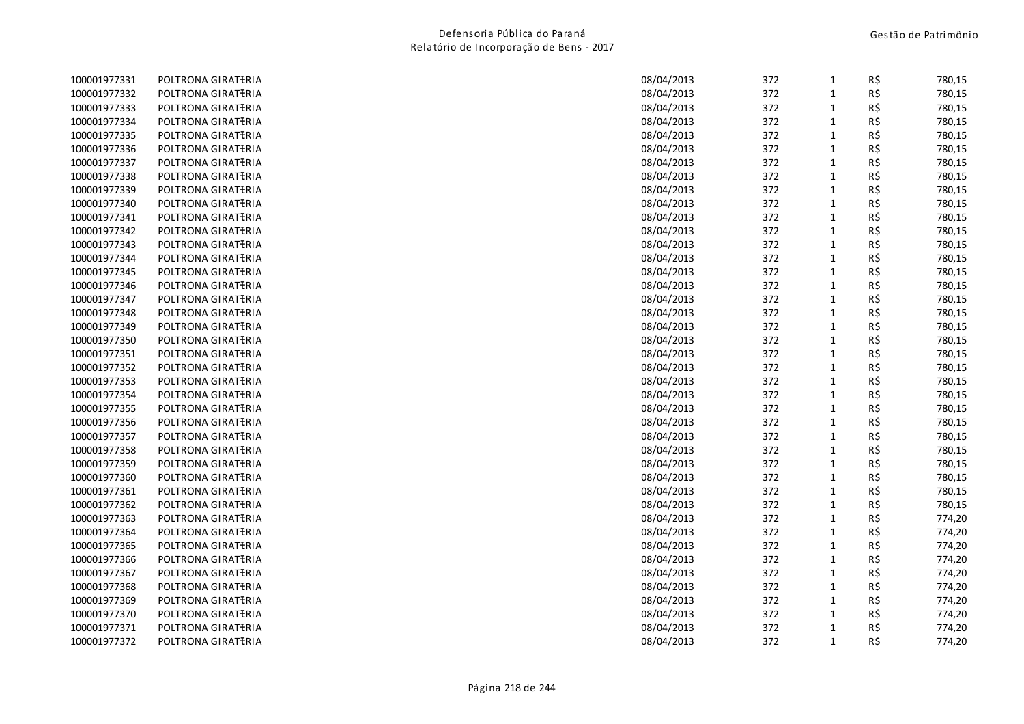| 100001977331 | POLTRONA GIRATERIA | 08/04/2013 | 372 | $\mathbf{1}$ | R\$ | 780,15 |
|--------------|--------------------|------------|-----|--------------|-----|--------|
| 100001977332 | POLTRONA GIRATERIA | 08/04/2013 | 372 | $\mathbf{1}$ | R\$ | 780,15 |
| 100001977333 | POLTRONA GIRATERIA | 08/04/2013 | 372 | $\mathbf{1}$ | R\$ | 780,15 |
| 100001977334 | POLTRONA GIRATERIA | 08/04/2013 | 372 | $\mathbf{1}$ | R\$ | 780,15 |
| 100001977335 | POLTRONA GIRATERIA | 08/04/2013 | 372 | $\mathbf{1}$ | R\$ | 780,15 |
| 100001977336 | POLTRONA GIRATERIA | 08/04/2013 | 372 | $\mathbf{1}$ | R\$ | 780,15 |
| 100001977337 | POLTRONA GIRATERIA | 08/04/2013 | 372 | $\mathbf{1}$ | R\$ | 780,15 |
| 100001977338 | POLTRONA GIRATERIA | 08/04/2013 | 372 | $\mathbf{1}$ | R\$ | 780,15 |
| 100001977339 | POLTRONA GIRATERIA | 08/04/2013 | 372 | $\mathbf{1}$ | R\$ | 780,15 |
| 100001977340 | POLTRONA GIRATERIA | 08/04/2013 | 372 | $\mathbf{1}$ | R\$ | 780,15 |
| 100001977341 | POLTRONA GIRATERIA | 08/04/2013 | 372 | $\mathbf{1}$ | R\$ | 780,15 |
| 100001977342 | POLTRONA GIRATERIA | 08/04/2013 | 372 | $\mathbf{1}$ | R\$ | 780,15 |
| 100001977343 | POLTRONA GIRATERIA | 08/04/2013 | 372 | $\mathbf{1}$ | R\$ | 780,15 |
| 100001977344 | POLTRONA GIRATERIA | 08/04/2013 | 372 | $\mathbf{1}$ | R\$ | 780,15 |
| 100001977345 | POLTRONA GIRATERIA | 08/04/2013 | 372 | $\mathbf{1}$ | R\$ | 780,15 |
| 100001977346 | POLTRONA GIRATERIA | 08/04/2013 | 372 | $\mathbf{1}$ | R\$ | 780,15 |
| 100001977347 | POLTRONA GIRATERIA | 08/04/2013 | 372 | $\mathbf{1}$ | R\$ | 780,15 |
| 100001977348 | POLTRONA GIRATERIA | 08/04/2013 | 372 | $\mathbf{1}$ | R\$ | 780,15 |
| 100001977349 | POLTRONA GIRATERIA | 08/04/2013 | 372 | $\mathbf{1}$ | R\$ | 780,15 |
| 100001977350 | POLTRONA GIRATERIA | 08/04/2013 | 372 | $\mathbf{1}$ | R\$ | 780,15 |
| 100001977351 | POLTRONA GIRATERIA | 08/04/2013 | 372 | $\mathbf{1}$ | R\$ | 780,15 |
| 100001977352 | POLTRONA GIRATERIA | 08/04/2013 | 372 | $\mathbf{1}$ | R\$ | 780,15 |
| 100001977353 | POLTRONA GIRATERIA | 08/04/2013 | 372 | $\mathbf{1}$ | R\$ | 780,15 |
| 100001977354 | POLTRONA GIRATERIA | 08/04/2013 | 372 | $\mathbf{1}$ | R\$ | 780,15 |
| 100001977355 | POLTRONA GIRATERIA | 08/04/2013 | 372 | $\mathbf{1}$ | R\$ | 780,15 |
| 100001977356 | POLTRONA GIRATERIA | 08/04/2013 | 372 | $\mathbf{1}$ | R\$ | 780,15 |
| 100001977357 | POLTRONA GIRATERIA | 08/04/2013 | 372 | $\mathbf{1}$ | R\$ | 780,15 |
| 100001977358 | POLTRONA GIRATERIA | 08/04/2013 | 372 | $\mathbf{1}$ | R\$ | 780,15 |
| 100001977359 | POLTRONA GIRATERIA | 08/04/2013 | 372 | $\mathbf{1}$ | R\$ | 780,15 |
| 100001977360 | POLTRONA GIRATERIA | 08/04/2013 | 372 | $\mathbf{1}$ | R\$ | 780,15 |
| 100001977361 | POLTRONA GIRATERIA | 08/04/2013 | 372 | $\mathbf{1}$ | R\$ | 780,15 |
| 100001977362 | POLTRONA GIRATERIA | 08/04/2013 | 372 | $\mathbf{1}$ | R\$ | 780,15 |
| 100001977363 | POLTRONA GIRATERIA | 08/04/2013 | 372 | $\mathbf{1}$ | R\$ | 774,20 |
| 100001977364 | POLTRONA GIRATERIA | 08/04/2013 | 372 | $\mathbf{1}$ | R\$ | 774,20 |
| 100001977365 | POLTRONA GIRATERIA | 08/04/2013 | 372 | $\mathbf{1}$ | R\$ | 774,20 |
| 100001977366 | POLTRONA GIRATERIA | 08/04/2013 | 372 | 1            | R\$ | 774,20 |
| 100001977367 | POLTRONA GIRATERIA | 08/04/2013 | 372 | $\mathbf{1}$ | R\$ | 774,20 |
| 100001977368 | POLTRONA GIRATERIA | 08/04/2013 | 372 | $\mathbf{1}$ | R\$ | 774,20 |
| 100001977369 | POLTRONA GIRATERIA | 08/04/2013 | 372 | $\mathbf{1}$ | R\$ | 774,20 |
| 100001977370 | POLTRONA GIRATERIA | 08/04/2013 | 372 | $\mathbf{1}$ | R\$ | 774,20 |
| 100001977371 | POLTRONA GIRATERIA | 08/04/2013 | 372 | 1            | R\$ | 774,20 |
| 100001977372 | POLTRONA GIRATERIA | 08/04/2013 | 372 | $\mathbf{1}$ | R\$ | 774,20 |
|              |                    |            |     |              |     |        |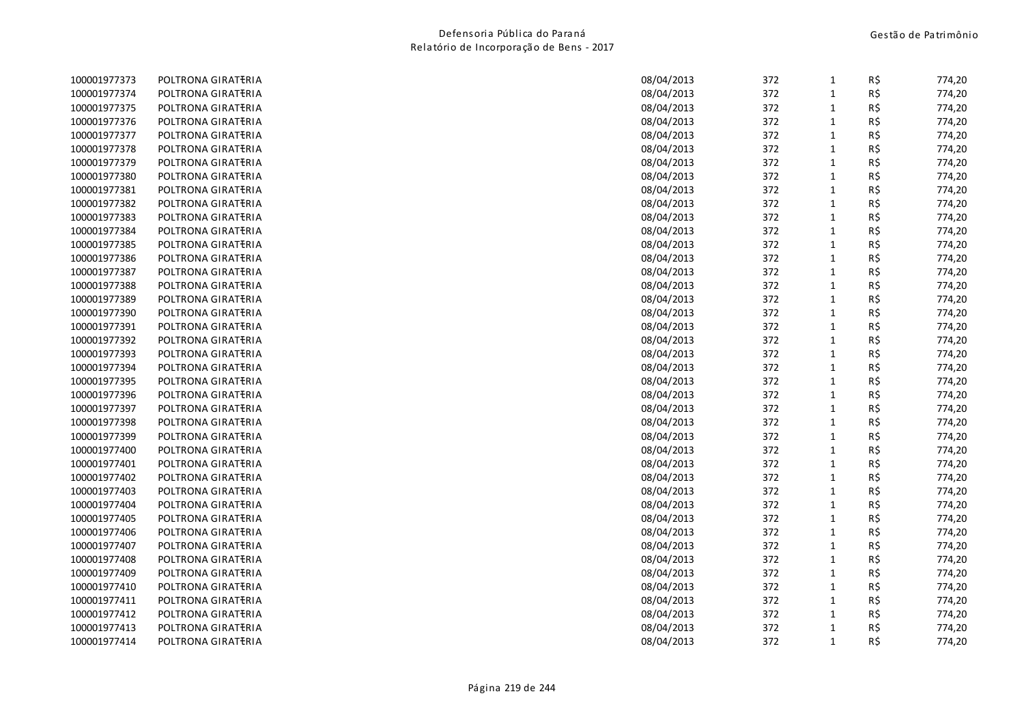| 100001977373 | POLTRONA GIRATERIA | 08/04/2013 | 372 | $\mathbf{1}$ | R\$ | 774,20 |
|--------------|--------------------|------------|-----|--------------|-----|--------|
| 100001977374 | POLTRONA GIRATERIA | 08/04/2013 | 372 | $\mathbf{1}$ | R\$ | 774,20 |
| 100001977375 | POLTRONA GIRATERIA | 08/04/2013 | 372 | $\mathbf{1}$ | R\$ | 774,20 |
| 100001977376 | POLTRONA GIRATERIA | 08/04/2013 | 372 | $\mathbf{1}$ | R\$ | 774,20 |
| 100001977377 | POLTRONA GIRATERIA | 08/04/2013 | 372 | $\mathbf{1}$ | R\$ | 774,20 |
| 100001977378 | POLTRONA GIRATERIA | 08/04/2013 | 372 | $\mathbf{1}$ | R\$ | 774,20 |
| 100001977379 | POLTRONA GIRATERIA | 08/04/2013 | 372 | $\mathbf{1}$ | R\$ | 774,20 |
| 100001977380 | POLTRONA GIRATERIA | 08/04/2013 | 372 | $\mathbf{1}$ | R\$ | 774,20 |
| 100001977381 | POLTRONA GIRATERIA | 08/04/2013 | 372 | $\mathbf{1}$ | R\$ | 774,20 |
| 100001977382 | POLTRONA GIRATERIA | 08/04/2013 | 372 | $\mathbf{1}$ | R\$ | 774,20 |
| 100001977383 | POLTRONA GIRATERIA | 08/04/2013 | 372 | $\mathbf{1}$ | R\$ | 774,20 |
| 100001977384 | POLTRONA GIRATERIA | 08/04/2013 | 372 | $\mathbf{1}$ | R\$ | 774,20 |
| 100001977385 | POLTRONA GIRATERIA | 08/04/2013 | 372 | $\mathbf{1}$ | R\$ | 774,20 |
| 100001977386 | POLTRONA GIRATERIA | 08/04/2013 | 372 | $\mathbf{1}$ | R\$ | 774,20 |
| 100001977387 | POLTRONA GIRATERIA | 08/04/2013 | 372 | $\mathbf{1}$ | R\$ | 774,20 |
| 100001977388 | POLTRONA GIRATERIA | 08/04/2013 | 372 | $\mathbf{1}$ | R\$ | 774,20 |
| 100001977389 | POLTRONA GIRATERIA | 08/04/2013 | 372 | $\mathbf{1}$ | R\$ | 774,20 |
| 100001977390 | POLTRONA GIRATERIA | 08/04/2013 | 372 | $\mathbf{1}$ | R\$ | 774,20 |
| 100001977391 | POLTRONA GIRATERIA | 08/04/2013 | 372 | $\mathbf{1}$ | R\$ | 774,20 |
| 100001977392 | POLTRONA GIRATERIA | 08/04/2013 | 372 | $\mathbf{1}$ | R\$ | 774,20 |
| 100001977393 | POLTRONA GIRATERIA | 08/04/2013 | 372 | $\mathbf{1}$ | R\$ | 774,20 |
| 100001977394 | POLTRONA GIRATERIA | 08/04/2013 | 372 | $\mathbf{1}$ | R\$ | 774,20 |
| 100001977395 | POLTRONA GIRATERIA | 08/04/2013 | 372 | $\mathbf{1}$ | R\$ | 774,20 |
| 100001977396 | POLTRONA GIRATERIA | 08/04/2013 | 372 | $\mathbf{1}$ | R\$ | 774,20 |
| 100001977397 | POLTRONA GIRATERIA | 08/04/2013 | 372 | $\mathbf{1}$ | R\$ | 774,20 |
| 100001977398 | POLTRONA GIRATERIA | 08/04/2013 | 372 | $\mathbf{1}$ | R\$ | 774,20 |
| 100001977399 | POLTRONA GIRATERIA | 08/04/2013 | 372 | $\mathbf{1}$ | R\$ | 774,20 |
| 100001977400 | POLTRONA GIRATERIA | 08/04/2013 | 372 | $\mathbf{1}$ | R\$ | 774,20 |
| 100001977401 | POLTRONA GIRATERIA | 08/04/2013 | 372 | $\mathbf{1}$ | R\$ | 774,20 |
| 100001977402 | POLTRONA GIRATERIA | 08/04/2013 | 372 | $\mathbf{1}$ | R\$ | 774,20 |
| 100001977403 | POLTRONA GIRATERIA | 08/04/2013 | 372 | $\mathbf{1}$ | R\$ | 774,20 |
| 100001977404 | POLTRONA GIRATERIA | 08/04/2013 | 372 | $\mathbf{1}$ | R\$ | 774,20 |
| 100001977405 | POLTRONA GIRATERIA | 08/04/2013 | 372 | $\mathbf{1}$ | R\$ | 774,20 |
| 100001977406 | POLTRONA GIRATERIA | 08/04/2013 | 372 | $\mathbf{1}$ | R\$ | 774,20 |
| 100001977407 | POLTRONA GIRATERIA | 08/04/2013 | 372 | $\mathbf{1}$ | R\$ | 774,20 |
| 100001977408 | POLTRONA GIRATERIA | 08/04/2013 | 372 | $\mathbf{1}$ | R\$ | 774,20 |
| 100001977409 | POLTRONA GIRATERIA | 08/04/2013 | 372 | $\mathbf{1}$ | R\$ | 774,20 |
| 100001977410 | POLTRONA GIRATERIA | 08/04/2013 | 372 | $\mathbf{1}$ | R\$ | 774,20 |
| 100001977411 | POLTRONA GIRATERIA | 08/04/2013 | 372 | $\mathbf{1}$ | R\$ | 774,20 |
| 100001977412 | POLTRONA GIRATERIA | 08/04/2013 | 372 | $\mathbf{1}$ | R\$ | 774,20 |
| 100001977413 | POLTRONA GIRATERIA | 08/04/2013 | 372 | $\mathbf{1}$ | R\$ | 774,20 |
| 100001977414 | POLTRONA GIRATERIA | 08/04/2013 | 372 | $\mathbf{1}$ | R\$ | 774,20 |
|              |                    |            |     |              |     |        |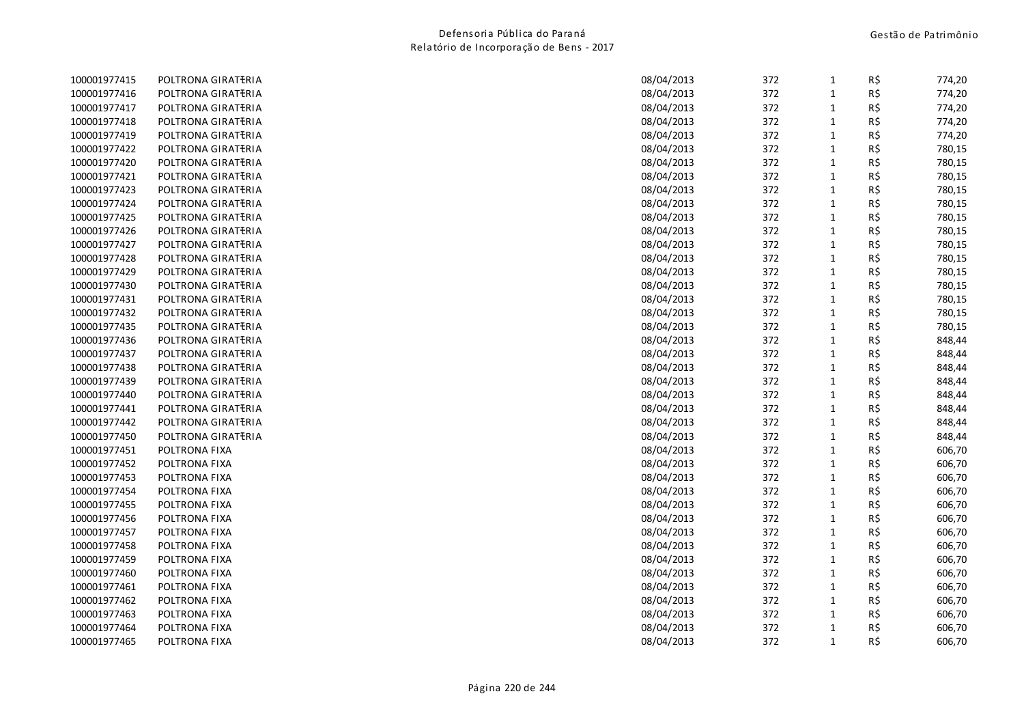| 100001977415 | POLTRONA GIRATERIA | 08/04/2013 | 372 | $\mathbf{1}$ | R\$ | 774,20 |
|--------------|--------------------|------------|-----|--------------|-----|--------|
| 100001977416 | POLTRONA GIRATERIA | 08/04/2013 | 372 | $\mathbf{1}$ | R\$ | 774,20 |
| 100001977417 | POLTRONA GIRATERIA | 08/04/2013 | 372 | $\mathbf{1}$ | R\$ | 774,20 |
| 100001977418 | POLTRONA GIRATERIA | 08/04/2013 | 372 | $\mathbf{1}$ | R\$ | 774,20 |
| 100001977419 | POLTRONA GIRATERIA | 08/04/2013 | 372 | $\mathbf{1}$ | R\$ | 774,20 |
| 100001977422 | POLTRONA GIRATERIA | 08/04/2013 | 372 | $\mathbf{1}$ | R\$ | 780,15 |
| 100001977420 | POLTRONA GIRATERIA | 08/04/2013 | 372 | $\mathbf{1}$ | R\$ | 780,15 |
| 100001977421 | POLTRONA GIRATERIA | 08/04/2013 | 372 | $\mathbf{1}$ | R\$ | 780,15 |
| 100001977423 | POLTRONA GIRATERIA | 08/04/2013 | 372 | $\mathbf 1$  | R\$ | 780,15 |
| 100001977424 | POLTRONA GIRATERIA | 08/04/2013 | 372 | $\mathbf{1}$ | R\$ | 780,15 |
| 100001977425 | POLTRONA GIRATERIA | 08/04/2013 | 372 | $\mathbf{1}$ | R\$ | 780,15 |
| 100001977426 | POLTRONA GIRATERIA | 08/04/2013 | 372 | $\mathbf{1}$ | R\$ | 780,15 |
| 100001977427 | POLTRONA GIRATERIA | 08/04/2013 | 372 | $\mathbf{1}$ | R\$ | 780,15 |
| 100001977428 | POLTRONA GIRATERIA | 08/04/2013 | 372 | $\mathbf{1}$ | R\$ | 780,15 |
| 100001977429 | POLTRONA GIRATERIA | 08/04/2013 | 372 | $\mathbf{1}$ | R\$ | 780,15 |
| 100001977430 | POLTRONA GIRATERIA | 08/04/2013 | 372 | $\mathbf{1}$ | R\$ | 780,15 |
| 100001977431 | POLTRONA GIRATERIA | 08/04/2013 | 372 | $1\,$        | R\$ | 780,15 |
| 100001977432 | POLTRONA GIRATERIA | 08/04/2013 | 372 | $\mathbf 1$  | R\$ | 780,15 |
| 100001977435 | POLTRONA GIRATERIA | 08/04/2013 | 372 | $\mathbf{1}$ | R\$ | 780,15 |
| 100001977436 | POLTRONA GIRATERIA | 08/04/2013 | 372 | $\mathbf{1}$ | R\$ | 848,44 |
| 100001977437 | POLTRONA GIRATERIA | 08/04/2013 | 372 | $\mathbf{1}$ | R\$ | 848,44 |
| 100001977438 | POLTRONA GIRATERIA | 08/04/2013 | 372 | $\mathbf{1}$ | R\$ | 848,44 |
| 100001977439 | POLTRONA GIRATERIA | 08/04/2013 | 372 | $\mathbf 1$  | R\$ | 848,44 |
| 100001977440 | POLTRONA GIRATERIA | 08/04/2013 | 372 | $\mathbf{1}$ | R\$ | 848,44 |
| 100001977441 | POLTRONA GIRATERIA | 08/04/2013 | 372 | $\mathbf{1}$ | R\$ | 848,44 |
| 100001977442 | POLTRONA GIRATERIA | 08/04/2013 | 372 | $\mathbf{1}$ | R\$ | 848,44 |
| 100001977450 | POLTRONA GIRATERIA | 08/04/2013 | 372 | $\mathbf{1}$ | R\$ | 848,44 |
| 100001977451 | POLTRONA FIXA      | 08/04/2013 | 372 | $\mathbf{1}$ | R\$ | 606,70 |
| 100001977452 | POLTRONA FIXA      | 08/04/2013 | 372 | $\mathbf{1}$ | R\$ | 606,70 |
| 100001977453 | POLTRONA FIXA      | 08/04/2013 | 372 | $\mathbf{1}$ | R\$ | 606,70 |
| 100001977454 | POLTRONA FIXA      | 08/04/2013 | 372 | $\mathbf{1}$ | R\$ | 606,70 |
| 100001977455 | POLTRONA FIXA      | 08/04/2013 | 372 | $\mathbf{1}$ | R\$ | 606,70 |
| 100001977456 | POLTRONA FIXA      | 08/04/2013 | 372 | $\mathbf{1}$ | R\$ | 606,70 |
| 100001977457 | POLTRONA FIXA      | 08/04/2013 | 372 | $\mathbf{1}$ | R\$ | 606,70 |
| 100001977458 | POLTRONA FIXA      | 08/04/2013 | 372 | $\mathbf{1}$ | R\$ | 606,70 |
| 100001977459 | POLTRONA FIXA      | 08/04/2013 | 372 | $\mathbf{1}$ | R\$ | 606,70 |
| 100001977460 | POLTRONA FIXA      | 08/04/2013 | 372 | $\mathbf{1}$ | R\$ | 606,70 |
| 100001977461 | POLTRONA FIXA      | 08/04/2013 | 372 | $\mathbf{1}$ | R\$ | 606,70 |
| 100001977462 | POLTRONA FIXA      | 08/04/2013 | 372 | $\mathbf{1}$ | R\$ | 606,70 |
| 100001977463 | POLTRONA FIXA      | 08/04/2013 | 372 | $\mathbf{1}$ | R\$ | 606,70 |
| 100001977464 | POLTRONA FIXA      | 08/04/2013 | 372 | $\mathbf{1}$ | R\$ | 606,70 |
| 100001977465 | POLTRONA FIXA      | 08/04/2013 | 372 | $\mathbf{1}$ | R\$ | 606,70 |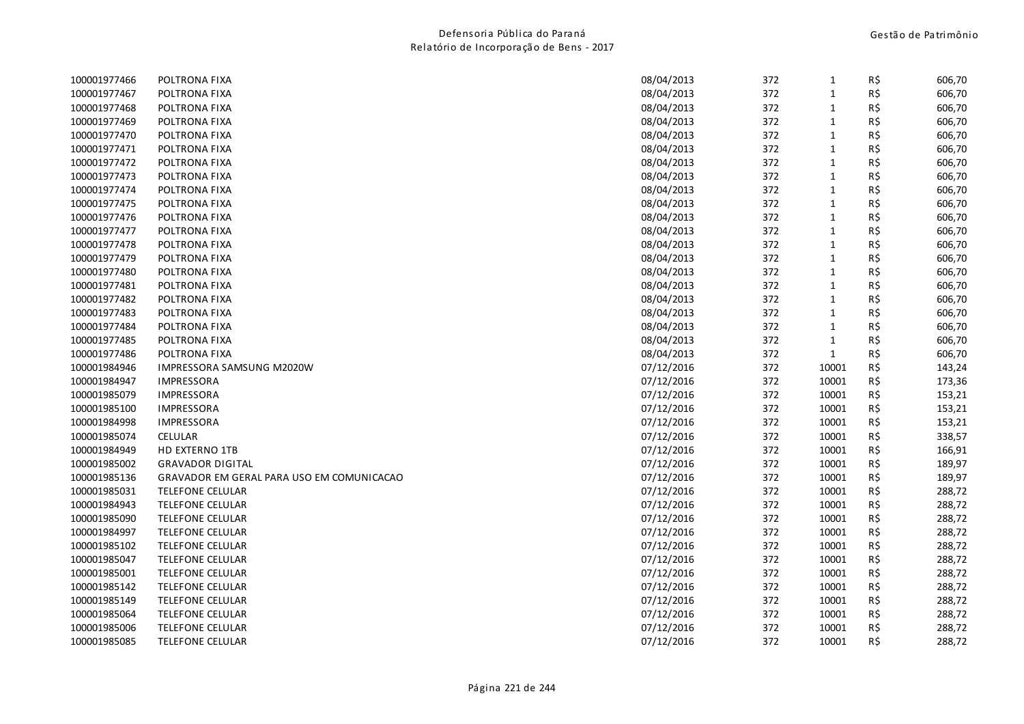| 100001977466 | POLTRONA FIXA                             | 08/04/2013 | 372 | $\mathbf{1}$ | R\$ | 606,70 |
|--------------|-------------------------------------------|------------|-----|--------------|-----|--------|
| 100001977467 | POLTRONA FIXA                             | 08/04/2013 | 372 | 1            | R\$ | 606,70 |
| 100001977468 | POLTRONA FIXA                             | 08/04/2013 | 372 | 1            | R\$ | 606,70 |
| 100001977469 | POLTRONA FIXA                             | 08/04/2013 | 372 | $\mathbf{1}$ | R\$ | 606,70 |
| 100001977470 | POLTRONA FIXA                             | 08/04/2013 | 372 | $\mathbf{1}$ | R\$ | 606,70 |
| 100001977471 | POLTRONA FIXA                             | 08/04/2013 | 372 | 1            | R\$ | 606,70 |
| 100001977472 | POLTRONA FIXA                             | 08/04/2013 | 372 | $\mathbf{1}$ | R\$ | 606,70 |
| 100001977473 | POLTRONA FIXA                             | 08/04/2013 | 372 | $\mathbf{1}$ | R\$ | 606,70 |
| 100001977474 | POLTRONA FIXA                             | 08/04/2013 | 372 | 1            | R\$ | 606,70 |
| 100001977475 | POLTRONA FIXA                             | 08/04/2013 | 372 | 1            | R\$ | 606,70 |
| 100001977476 | POLTRONA FIXA                             | 08/04/2013 | 372 | $\mathbf{1}$ | R\$ | 606,70 |
| 100001977477 | POLTRONA FIXA                             | 08/04/2013 | 372 | $\mathbf{1}$ | R\$ | 606,70 |
| 100001977478 | POLTRONA FIXA                             | 08/04/2013 | 372 | $\mathbf{1}$ | R\$ | 606,70 |
| 100001977479 | POLTRONA FIXA                             | 08/04/2013 | 372 | $\mathbf{1}$ | R\$ | 606,70 |
| 100001977480 | POLTRONA FIXA                             | 08/04/2013 | 372 | $\mathbf{1}$ | R\$ | 606,70 |
| 100001977481 | POLTRONA FIXA                             | 08/04/2013 | 372 | $\mathbf{1}$ | R\$ | 606,70 |
| 100001977482 | POLTRONA FIXA                             | 08/04/2013 | 372 | $\mathbf{1}$ | R\$ | 606,70 |
| 100001977483 | POLTRONA FIXA                             | 08/04/2013 | 372 | $\mathbf{1}$ | R\$ | 606,70 |
| 100001977484 | POLTRONA FIXA                             | 08/04/2013 | 372 | 1            | R\$ | 606,70 |
| 100001977485 | POLTRONA FIXA                             | 08/04/2013 | 372 | $\mathbf{1}$ | R\$ | 606,70 |
| 100001977486 | POLTRONA FIXA                             | 08/04/2013 | 372 | $\mathbf{1}$ | R\$ | 606,70 |
| 100001984946 | IMPRESSORA SAMSUNG M2020W                 | 07/12/2016 | 372 | 10001        | R\$ | 143,24 |
| 100001984947 | <b>IMPRESSORA</b>                         | 07/12/2016 | 372 | 10001        | R\$ | 173,36 |
| 100001985079 | <b>IMPRESSORA</b>                         | 07/12/2016 | 372 | 10001        | R\$ | 153,21 |
| 100001985100 | <b>IMPRESSORA</b>                         | 07/12/2016 | 372 | 10001        | R\$ | 153,21 |
| 100001984998 | <b>IMPRESSORA</b>                         | 07/12/2016 | 372 | 10001        | R\$ | 153,21 |
| 100001985074 | <b>CELULAR</b>                            | 07/12/2016 | 372 | 10001        | R\$ | 338,57 |
| 100001984949 | <b>HD EXTERNO 1TB</b>                     | 07/12/2016 | 372 | 10001        | R\$ | 166,91 |
| 100001985002 | <b>GRAVADOR DIGITAL</b>                   | 07/12/2016 | 372 | 10001        | R\$ | 189,97 |
| 100001985136 | GRAVADOR EM GERAL PARA USO EM COMUNICACAO | 07/12/2016 | 372 | 10001        | R\$ | 189,97 |
| 100001985031 | <b>TELEFONE CELULAR</b>                   | 07/12/2016 | 372 | 10001        | R\$ | 288,72 |
| 100001984943 | TELEFONE CELULAR                          | 07/12/2016 | 372 | 10001        | R\$ | 288,72 |
| 100001985090 | TELEFONE CELULAR                          | 07/12/2016 | 372 | 10001        | R\$ | 288,72 |
| 100001984997 | <b>TELEFONE CELULAR</b>                   | 07/12/2016 | 372 | 10001        | R\$ | 288,72 |
| 100001985102 | TELEFONE CELULAR                          | 07/12/2016 | 372 | 10001        | R\$ | 288,72 |
| 100001985047 | <b>TELEFONE CELULAR</b>                   | 07/12/2016 | 372 | 10001        | R\$ | 288,72 |
| 100001985001 | <b>TELEFONE CELULAR</b>                   | 07/12/2016 | 372 | 10001        | R\$ | 288,72 |
| 100001985142 | <b>TELEFONE CELULAR</b>                   | 07/12/2016 | 372 | 10001        | R\$ | 288,72 |
| 100001985149 | <b>TELEFONE CELULAR</b>                   | 07/12/2016 | 372 | 10001        | R\$ | 288,72 |
| 100001985064 | TELEFONE CELULAR                          | 07/12/2016 | 372 | 10001        | R\$ | 288,72 |
| 100001985006 | <b>TELEFONE CELULAR</b>                   | 07/12/2016 | 372 | 10001        | R\$ | 288,72 |
| 100001985085 | TELEFONE CELULAR                          | 07/12/2016 | 372 | 10001        | R\$ | 288,72 |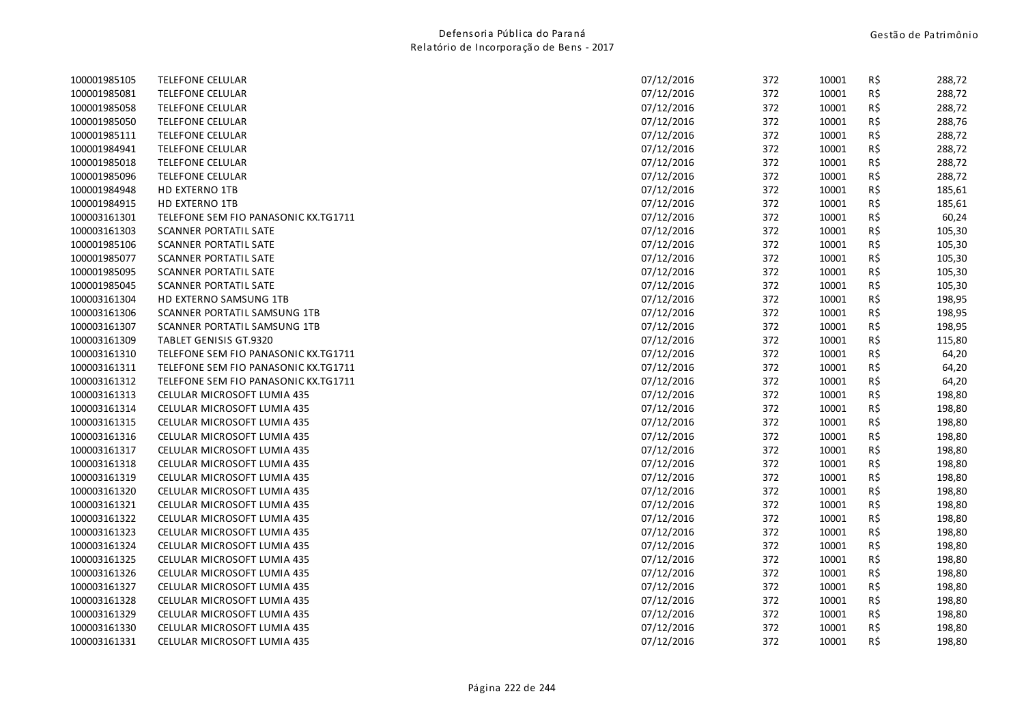| 100001985105 | TELEFONE CELULAR                     | 07/12/2016 | 372 | 10001 | R\$ | 288,72 |
|--------------|--------------------------------------|------------|-----|-------|-----|--------|
| 100001985081 | <b>TELEFONE CELULAR</b>              | 07/12/2016 | 372 | 10001 | R\$ | 288,72 |
| 100001985058 | TELEFONE CELULAR                     | 07/12/2016 | 372 | 10001 | R\$ | 288,72 |
| 100001985050 | <b>TELEFONE CELULAR</b>              | 07/12/2016 | 372 | 10001 | R\$ | 288,76 |
| 100001985111 | TELEFONE CELULAR                     | 07/12/2016 | 372 | 10001 | R\$ | 288,72 |
| 100001984941 | <b>TELEFONE CELULAR</b>              | 07/12/2016 | 372 | 10001 | R\$ | 288,72 |
| 100001985018 | <b>TELEFONE CELULAR</b>              | 07/12/2016 | 372 | 10001 | R\$ | 288,72 |
| 100001985096 | <b>TELEFONE CELULAR</b>              | 07/12/2016 | 372 | 10001 | R\$ | 288,72 |
| 100001984948 | HD EXTERNO 1TB                       | 07/12/2016 | 372 | 10001 | R\$ | 185,61 |
| 100001984915 | <b>HD EXTERNO 1TB</b>                | 07/12/2016 | 372 | 10001 | R\$ | 185,61 |
| 100003161301 | TELEFONE SEM FIO PANASONIC KX.TG1711 | 07/12/2016 | 372 | 10001 | R\$ | 60,24  |
| 100003161303 | <b>SCANNER PORTATIL SATE</b>         | 07/12/2016 | 372 | 10001 | R\$ | 105,30 |
| 100001985106 | SCANNER PORTATIL SATE                | 07/12/2016 | 372 | 10001 | R\$ | 105,30 |
| 100001985077 | <b>SCANNER PORTATIL SATE</b>         | 07/12/2016 | 372 | 10001 | R\$ | 105,30 |
| 100001985095 | SCANNER PORTATIL SATE                | 07/12/2016 | 372 | 10001 | R\$ | 105,30 |
| 100001985045 | <b>SCANNER PORTATIL SATE</b>         | 07/12/2016 | 372 | 10001 | R\$ | 105,30 |
| 100003161304 | HD EXTERNO SAMSUNG 1TB               | 07/12/2016 | 372 | 10001 | R\$ | 198,95 |
| 100003161306 | SCANNER PORTATIL SAMSUNG 1TB         | 07/12/2016 | 372 | 10001 | R\$ | 198,95 |
| 100003161307 | SCANNER PORTATIL SAMSUNG 1TB         | 07/12/2016 | 372 | 10001 | R\$ | 198,95 |
| 100003161309 | TABLET GENISIS GT.9320               | 07/12/2016 | 372 | 10001 | R\$ | 115,80 |
| 100003161310 | TELEFONE SEM FIO PANASONIC KX.TG1711 | 07/12/2016 | 372 | 10001 | R\$ | 64,20  |
| 100003161311 | TELEFONE SEM FIO PANASONIC KX.TG1711 | 07/12/2016 | 372 | 10001 | R\$ | 64,20  |
| 100003161312 | TELEFONE SEM FIO PANASONIC KX.TG1711 | 07/12/2016 | 372 | 10001 | R\$ | 64,20  |
| 100003161313 | CELULAR MICROSOFT LUMIA 435          | 07/12/2016 | 372 | 10001 | R\$ | 198,80 |
| 100003161314 | CELULAR MICROSOFT LUMIA 435          | 07/12/2016 | 372 | 10001 | R\$ | 198,80 |
| 100003161315 | CELULAR MICROSOFT LUMIA 435          | 07/12/2016 | 372 | 10001 | R\$ | 198,80 |
| 100003161316 | CELULAR MICROSOFT LUMIA 435          | 07/12/2016 | 372 | 10001 | R\$ | 198,80 |
| 100003161317 | CELULAR MICROSOFT LUMIA 435          | 07/12/2016 | 372 | 10001 | R\$ | 198,80 |
| 100003161318 | CELULAR MICROSOFT LUMIA 435          | 07/12/2016 | 372 | 10001 | R\$ | 198,80 |
| 100003161319 | CELULAR MICROSOFT LUMIA 435          | 07/12/2016 | 372 | 10001 | R\$ | 198,80 |
| 100003161320 | CELULAR MICROSOFT LUMIA 435          | 07/12/2016 | 372 | 10001 | R\$ | 198,80 |
| 100003161321 | CELULAR MICROSOFT LUMIA 435          | 07/12/2016 | 372 | 10001 | R\$ | 198,80 |
| 100003161322 | CELULAR MICROSOFT LUMIA 435          | 07/12/2016 | 372 | 10001 | R\$ | 198,80 |
| 100003161323 | CELULAR MICROSOFT LUMIA 435          | 07/12/2016 | 372 | 10001 | R\$ | 198,80 |
| 100003161324 | CELULAR MICROSOFT LUMIA 435          | 07/12/2016 | 372 | 10001 | R\$ | 198,80 |
| 100003161325 | CELULAR MICROSOFT LUMIA 435          | 07/12/2016 | 372 | 10001 | R\$ | 198,80 |
| 100003161326 | CELULAR MICROSOFT LUMIA 435          | 07/12/2016 | 372 | 10001 | R\$ | 198,80 |
| 100003161327 | CELULAR MICROSOFT LUMIA 435          | 07/12/2016 | 372 | 10001 | R\$ | 198,80 |
| 100003161328 | CELULAR MICROSOFT LUMIA 435          | 07/12/2016 | 372 | 10001 | R\$ | 198,80 |
| 100003161329 | CELULAR MICROSOFT LUMIA 435          | 07/12/2016 | 372 | 10001 | R\$ | 198,80 |
| 100003161330 | CELULAR MICROSOFT LUMIA 435          | 07/12/2016 | 372 | 10001 | R\$ | 198,80 |
| 100003161331 | CELULAR MICROSOFT LUMIA 435          | 07/12/2016 | 372 | 10001 | R\$ | 198,80 |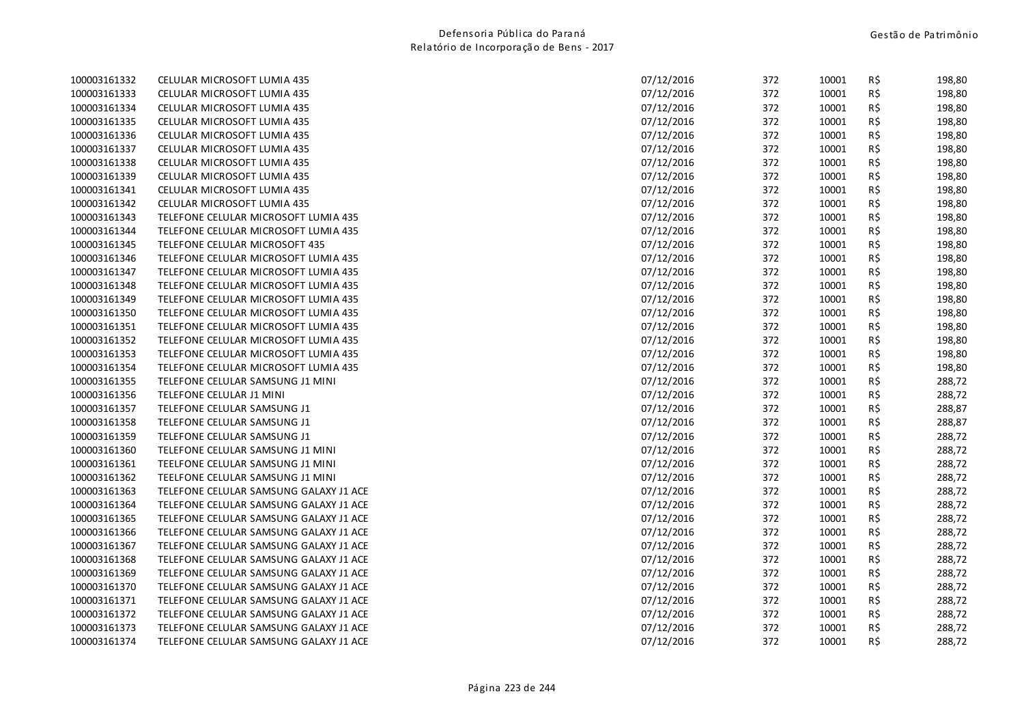| 100003161332 | CELULAR MICROSOFT LUMIA 435            | 07/12/2016 | 372 | 10001 | R\$            | 198,80 |
|--------------|----------------------------------------|------------|-----|-------|----------------|--------|
| 100003161333 | CELULAR MICROSOFT LUMIA 435            | 07/12/2016 | 372 | 10001 | R\$            | 198,80 |
| 100003161334 | CELULAR MICROSOFT LUMIA 435            | 07/12/2016 | 372 | 10001 | $R\frac{2}{3}$ | 198,80 |
| 100003161335 | CELULAR MICROSOFT LUMIA 435            | 07/12/2016 | 372 | 10001 | R\$            | 198,80 |
| 100003161336 | CELULAR MICROSOFT LUMIA 435            | 07/12/2016 | 372 | 10001 | R\$            | 198,80 |
| 100003161337 | CELULAR MICROSOFT LUMIA 435            | 07/12/2016 | 372 | 10001 | R\$            | 198,80 |
| 100003161338 | CELULAR MICROSOFT LUMIA 435            | 07/12/2016 | 372 | 10001 | R\$            | 198,80 |
| 100003161339 | CELULAR MICROSOFT LUMIA 435            | 07/12/2016 | 372 | 10001 | $R\,$ \$       | 198,80 |
| 100003161341 | CELULAR MICROSOFT LUMIA 435            | 07/12/2016 | 372 | 10001 | R\$            | 198,80 |
| 100003161342 | CELULAR MICROSOFT LUMIA 435            | 07/12/2016 | 372 | 10001 | R\$            | 198,80 |
| 100003161343 | TELEFONE CELULAR MICROSOFT LUMIA 435   | 07/12/2016 | 372 | 10001 | R\$            | 198,80 |
| 100003161344 | TELEFONE CELULAR MICROSOFT LUMIA 435   | 07/12/2016 | 372 | 10001 | R\$            | 198,80 |
| 100003161345 | TELEFONE CELULAR MICROSOFT 435         | 07/12/2016 | 372 | 10001 | R\$            | 198,80 |
| 100003161346 | TELEFONE CELULAR MICROSOFT LUMIA 435   | 07/12/2016 | 372 | 10001 | R\$            | 198,80 |
| 100003161347 | TELEFONE CELULAR MICROSOFT LUMIA 435   | 07/12/2016 | 372 | 10001 | R\$            | 198,80 |
| 100003161348 | TELEFONE CELULAR MICROSOFT LUMIA 435   | 07/12/2016 | 372 | 10001 | R\$            | 198,80 |
| 100003161349 | TELEFONE CELULAR MICROSOFT LUMIA 435   | 07/12/2016 | 372 | 10001 | $R\,$ \$       | 198,80 |
| 100003161350 | TELEFONE CELULAR MICROSOFT LUMIA 435   | 07/12/2016 | 372 | 10001 | R\$            | 198,80 |
| 100003161351 | TELEFONE CELULAR MICROSOFT LUMIA 435   | 07/12/2016 | 372 | 10001 | R\$            | 198,80 |
| 100003161352 | TELEFONE CELULAR MICROSOFT LUMIA 435   | 07/12/2016 | 372 | 10001 | R\$            | 198,80 |
| 100003161353 | TELEFONE CELULAR MICROSOFT LUMIA 435   | 07/12/2016 | 372 | 10001 | R\$            | 198,80 |
| 100003161354 | TELEFONE CELULAR MICROSOFT LUMIA 435   | 07/12/2016 | 372 | 10001 | R\$            | 198,80 |
| 100003161355 | TELEFONE CELULAR SAMSUNG J1 MINI       | 07/12/2016 | 372 | 10001 | R\$            | 288,72 |
| 100003161356 | TELEFONE CELULAR J1 MINI               | 07/12/2016 | 372 | 10001 | R\$            | 288,72 |
| 100003161357 | TELEFONE CELULAR SAMSUNG J1            | 07/12/2016 | 372 | 10001 | R\$            | 288,87 |
| 100003161358 | TELEFONE CELULAR SAMSUNG J1            | 07/12/2016 | 372 | 10001 | R\$            | 288,87 |
| 100003161359 | TELEFONE CELULAR SAMSUNG J1            | 07/12/2016 | 372 | 10001 | R\$            | 288,72 |
| 100003161360 | TELEFONE CELULAR SAMSUNG J1 MINI       | 07/12/2016 | 372 | 10001 | R\$            | 288,72 |
| 100003161361 | TEELFONE CELULAR SAMSUNG J1 MINI       | 07/12/2016 | 372 | 10001 | R\$            | 288,72 |
| 100003161362 | TEELFONE CELULAR SAMSUNG J1 MINI       | 07/12/2016 | 372 | 10001 | R\$            | 288,72 |
| 100003161363 | TELEFONE CELULAR SAMSUNG GALAXY J1 ACE | 07/12/2016 | 372 | 10001 | R\$            | 288,72 |
| 100003161364 | TELEFONE CELULAR SAMSUNG GALAXY J1 ACE | 07/12/2016 | 372 | 10001 | R\$            | 288,72 |
| 100003161365 | TELEFONE CELULAR SAMSUNG GALAXY J1 ACE | 07/12/2016 | 372 | 10001 | R\$            | 288,72 |
| 100003161366 | TELEFONE CELULAR SAMSUNG GALAXY J1 ACE | 07/12/2016 | 372 | 10001 | R\$            | 288,72 |
| 100003161367 | TELEFONE CELULAR SAMSUNG GALAXY J1 ACE | 07/12/2016 | 372 | 10001 | $R\,$ \$       | 288,72 |
| 100003161368 | TELEFONE CELULAR SAMSUNG GALAXY J1 ACE | 07/12/2016 | 372 | 10001 | $R\frac{2}{3}$ | 288,72 |
| 100003161369 | TELEFONE CELULAR SAMSUNG GALAXY J1 ACE | 07/12/2016 | 372 | 10001 | R\$            | 288,72 |
| 100003161370 | TELEFONE CELULAR SAMSUNG GALAXY J1 ACE | 07/12/2016 | 372 | 10001 | R\$            | 288,72 |
| 100003161371 | TELEFONE CELULAR SAMSUNG GALAXY J1 ACE | 07/12/2016 | 372 | 10001 | R\$            | 288,72 |
| 100003161372 | TELEFONE CELULAR SAMSUNG GALAXY J1 ACE | 07/12/2016 | 372 | 10001 | R\$            | 288,72 |
| 100003161373 | TELEFONE CELULAR SAMSUNG GALAXY J1 ACE | 07/12/2016 | 372 | 10001 | R\$            | 288,72 |
| 100003161374 | TELEFONE CELULAR SAMSUNG GALAXY J1 ACE | 07/12/2016 | 372 | 10001 | R\$            | 288,72 |
|              |                                        |            |     |       |                |        |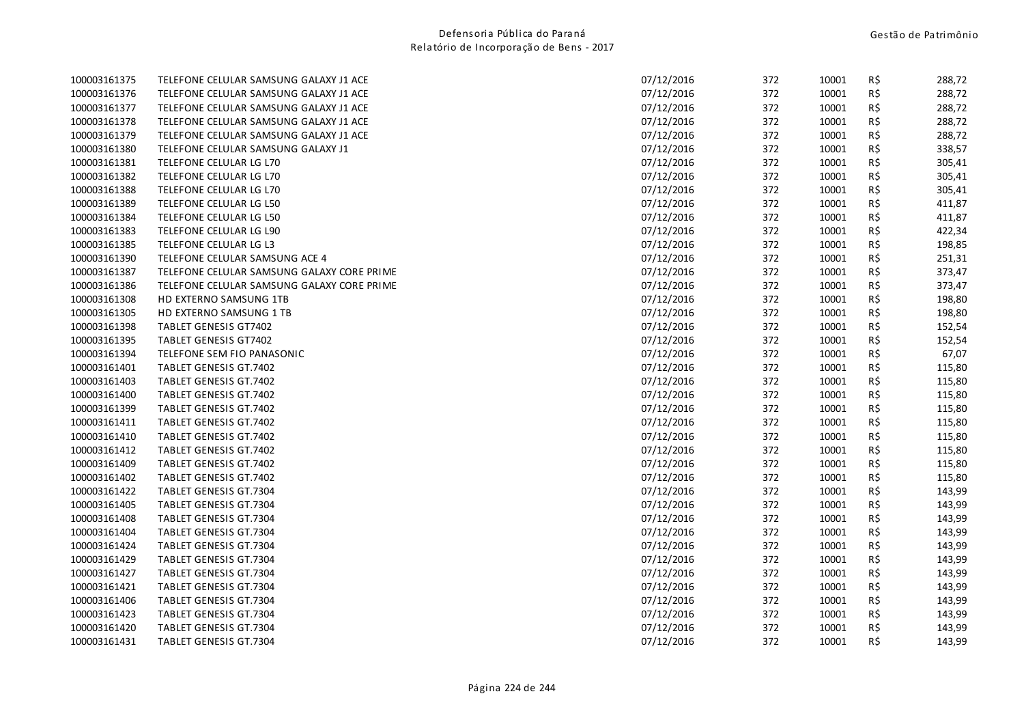| 100003161375 | TELEFONE CELULAR SAMSUNG GALAXY J1 ACE     | 07/12/2016 | 372 | 10001 | R\$ | 288,72 |
|--------------|--------------------------------------------|------------|-----|-------|-----|--------|
| 100003161376 | TELEFONE CELULAR SAMSUNG GALAXY J1 ACE     | 07/12/2016 | 372 | 10001 | R\$ | 288,72 |
| 100003161377 | TELEFONE CELULAR SAMSUNG GALAXY J1 ACE     | 07/12/2016 | 372 | 10001 | R\$ | 288,72 |
| 100003161378 | TELEFONE CELULAR SAMSUNG GALAXY J1 ACE     | 07/12/2016 | 372 | 10001 | R\$ | 288,72 |
| 100003161379 | TELEFONE CELULAR SAMSUNG GALAXY J1 ACE     | 07/12/2016 | 372 | 10001 | R\$ | 288,72 |
| 100003161380 | TELEFONE CELULAR SAMSUNG GALAXY J1         | 07/12/2016 | 372 | 10001 | R\$ | 338,57 |
| 100003161381 | TELEFONE CELULAR LG L70                    | 07/12/2016 | 372 | 10001 | R\$ | 305,41 |
| 100003161382 | TELEFONE CELULAR LG L70                    | 07/12/2016 | 372 | 10001 | R\$ | 305,41 |
| 100003161388 | TELEFONE CELULAR LG L70                    | 07/12/2016 | 372 | 10001 | R\$ | 305,41 |
| 100003161389 | TELEFONE CELULAR LG L50                    | 07/12/2016 | 372 | 10001 | R\$ | 411,87 |
| 100003161384 | TELEFONE CELULAR LG L50                    | 07/12/2016 | 372 | 10001 | R\$ | 411,87 |
| 100003161383 | TELEFONE CELULAR LG L90                    | 07/12/2016 | 372 | 10001 | R\$ | 422,34 |
| 100003161385 | TELEFONE CELULAR LG L3                     | 07/12/2016 | 372 | 10001 | R\$ | 198,85 |
| 100003161390 | TELEFONE CELULAR SAMSUNG ACE 4             | 07/12/2016 | 372 | 10001 | R\$ | 251,31 |
| 100003161387 | TELEFONE CELULAR SAMSUNG GALAXY CORE PRIME | 07/12/2016 | 372 | 10001 | R\$ | 373,47 |
| 100003161386 | TELEFONE CELULAR SAMSUNG GALAXY CORE PRIME | 07/12/2016 | 372 | 10001 | R\$ | 373,47 |
| 100003161308 | HD EXTERNO SAMSUNG 1TB                     | 07/12/2016 | 372 | 10001 | R\$ | 198,80 |
| 100003161305 | HD EXTERNO SAMSUNG 1 TB                    | 07/12/2016 | 372 | 10001 | R\$ | 198,80 |
| 100003161398 | <b>TABLET GENESIS GT7402</b>               | 07/12/2016 | 372 | 10001 | R\$ | 152,54 |
| 100003161395 | <b>TABLET GENESIS GT7402</b>               | 07/12/2016 | 372 | 10001 | R\$ | 152,54 |
| 100003161394 | TELEFONE SEM FIO PANASONIC                 | 07/12/2016 | 372 | 10001 | R\$ | 67,07  |
| 100003161401 | TABLET GENESIS GT.7402                     | 07/12/2016 | 372 | 10001 | R\$ | 115,80 |
| 100003161403 | TABLET GENESIS GT.7402                     | 07/12/2016 | 372 | 10001 | R\$ | 115,80 |
| 100003161400 | <b>TABLET GENESIS GT.7402</b>              | 07/12/2016 | 372 | 10001 | R\$ | 115,80 |
| 100003161399 | TABLET GENESIS GT.7402                     | 07/12/2016 | 372 | 10001 | R\$ | 115,80 |
| 100003161411 | <b>TABLET GENESIS GT.7402</b>              | 07/12/2016 | 372 | 10001 | R\$ | 115,80 |
| 100003161410 | <b>TABLET GENESIS GT.7402</b>              | 07/12/2016 | 372 | 10001 | R\$ | 115,80 |
| 100003161412 | TABLET GENESIS GT.7402                     | 07/12/2016 | 372 | 10001 | R\$ | 115,80 |
| 100003161409 | TABLET GENESIS GT.7402                     | 07/12/2016 | 372 | 10001 | R\$ | 115,80 |
| 100003161402 | TABLET GENESIS GT.7402                     | 07/12/2016 | 372 | 10001 | R\$ | 115,80 |
| 100003161422 | TABLET GENESIS GT.7304                     | 07/12/2016 | 372 | 10001 | R\$ | 143,99 |
| 100003161405 | <b>TABLET GENESIS GT.7304</b>              | 07/12/2016 | 372 | 10001 | R\$ | 143,99 |
| 100003161408 | <b>TABLET GENESIS GT.7304</b>              | 07/12/2016 | 372 | 10001 | R\$ | 143,99 |
| 100003161404 | TABLET GENESIS GT.7304                     | 07/12/2016 | 372 | 10001 | R\$ | 143,99 |
| 100003161424 | <b>TABLET GENESIS GT.7304</b>              | 07/12/2016 | 372 | 10001 | R\$ | 143,99 |
| 100003161429 | TABLET GENESIS GT.7304                     | 07/12/2016 | 372 | 10001 | R\$ | 143,99 |
| 100003161427 | <b>TABLET GENESIS GT.7304</b>              | 07/12/2016 | 372 | 10001 | R\$ | 143,99 |
| 100003161421 | TABLET GENESIS GT.7304                     | 07/12/2016 | 372 | 10001 | R\$ | 143,99 |
| 100003161406 | <b>TABLET GENESIS GT.7304</b>              | 07/12/2016 | 372 | 10001 | R\$ | 143,99 |
| 100003161423 | <b>TABLET GENESIS GT.7304</b>              | 07/12/2016 | 372 | 10001 | R\$ | 143,99 |
| 100003161420 | <b>TABLET GENESIS GT.7304</b>              | 07/12/2016 | 372 | 10001 | R\$ | 143,99 |
| 100003161431 | <b>TABLET GENESIS GT.7304</b>              | 07/12/2016 | 372 | 10001 | R\$ | 143,99 |
|              |                                            |            |     |       |     |        |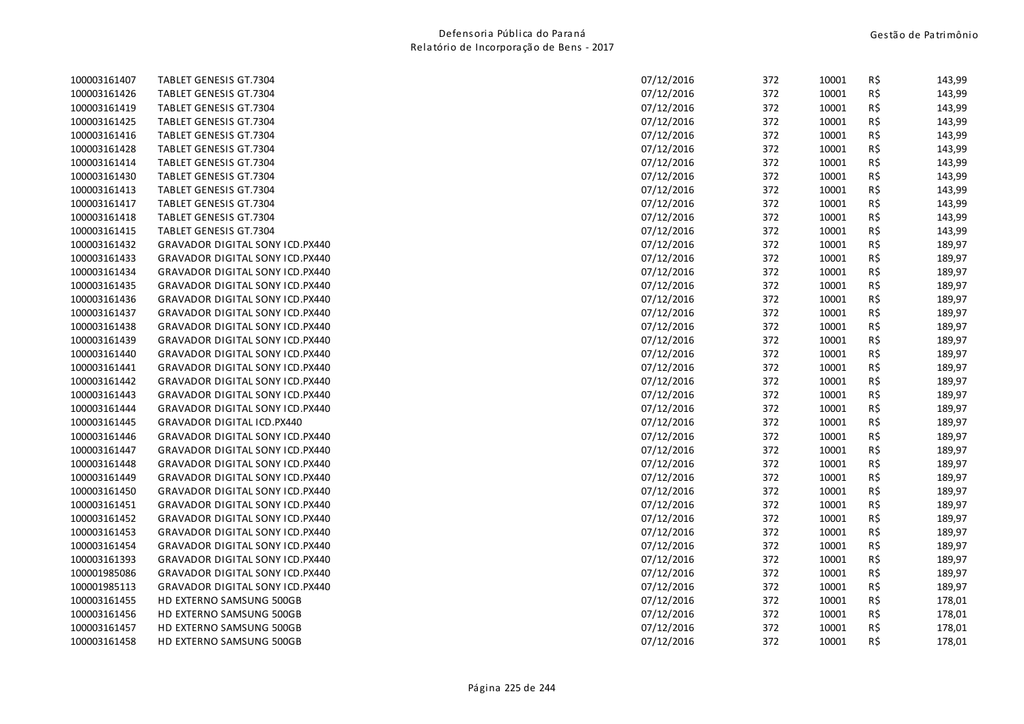| 100003161407 | <b>TABLET GENESIS GT.7304</b>          | 07/12/2016 | 372 | 10001 | R\$ | 143,99 |
|--------------|----------------------------------------|------------|-----|-------|-----|--------|
| 100003161426 | <b>TABLET GENESIS GT.7304</b>          | 07/12/2016 | 372 | 10001 | R\$ | 143,99 |
| 100003161419 | <b>TABLET GENESIS GT.7304</b>          | 07/12/2016 | 372 | 10001 | R\$ | 143,99 |
| 100003161425 | <b>TABLET GENESIS GT.7304</b>          | 07/12/2016 | 372 | 10001 | R\$ | 143,99 |
| 100003161416 | <b>TABLET GENESIS GT.7304</b>          | 07/12/2016 | 372 | 10001 | R\$ | 143,99 |
| 100003161428 | <b>TABLET GENESIS GT.7304</b>          | 07/12/2016 | 372 | 10001 | R\$ | 143,99 |
| 100003161414 | <b>TABLET GENESIS GT.7304</b>          | 07/12/2016 | 372 | 10001 | R\$ | 143,99 |
| 100003161430 | TABLET GENESIS GT.7304                 | 07/12/2016 | 372 | 10001 | R\$ | 143,99 |
| 100003161413 | TABLET GENESIS GT.7304                 | 07/12/2016 | 372 | 10001 | R\$ | 143,99 |
| 100003161417 | <b>TABLET GENESIS GT.7304</b>          | 07/12/2016 | 372 | 10001 | R\$ | 143,99 |
| 100003161418 | <b>TABLET GENESIS GT.7304</b>          | 07/12/2016 | 372 | 10001 | R\$ | 143,99 |
| 100003161415 | <b>TABLET GENESIS GT.7304</b>          | 07/12/2016 | 372 | 10001 | R\$ | 143,99 |
| 100003161432 | GRAVADOR DIGITAL SONY ICD.PX440        | 07/12/2016 | 372 | 10001 | R\$ | 189,97 |
| 100003161433 | <b>GRAVADOR DIGITAL SONY ICD.PX440</b> | 07/12/2016 | 372 | 10001 | R\$ | 189,97 |
| 100003161434 | <b>GRAVADOR DIGITAL SONY ICD.PX440</b> | 07/12/2016 | 372 | 10001 | R\$ | 189,97 |
| 100003161435 | <b>GRAVADOR DIGITAL SONY ICD.PX440</b> | 07/12/2016 | 372 | 10001 | R\$ | 189,97 |
| 100003161436 | GRAVADOR DIGITAL SONY ICD.PX440        | 07/12/2016 | 372 | 10001 | R\$ | 189,97 |
| 100003161437 | GRAVADOR DIGITAL SONY ICD.PX440        | 07/12/2016 | 372 | 10001 | R\$ | 189,97 |
| 100003161438 | GRAVADOR DIGITAL SONY ICD.PX440        | 07/12/2016 | 372 | 10001 | R\$ | 189,97 |
| 100003161439 | <b>GRAVADOR DIGITAL SONY ICD.PX440</b> | 07/12/2016 | 372 | 10001 | R\$ | 189,97 |
| 100003161440 | GRAVADOR DIGITAL SONY ICD.PX440        | 07/12/2016 | 372 | 10001 | R\$ | 189,97 |
| 100003161441 | <b>GRAVADOR DIGITAL SONY ICD.PX440</b> | 07/12/2016 | 372 | 10001 | R\$ | 189,97 |
| 100003161442 | <b>GRAVADOR DIGITAL SONY ICD.PX440</b> | 07/12/2016 | 372 | 10001 | R\$ | 189,97 |
| 100003161443 | <b>GRAVADOR DIGITAL SONY ICD.PX440</b> | 07/12/2016 | 372 | 10001 | R\$ | 189,97 |
| 100003161444 | <b>GRAVADOR DIGITAL SONY ICD.PX440</b> | 07/12/2016 | 372 | 10001 | R\$ | 189,97 |
| 100003161445 | <b>GRAVADOR DIGITAL ICD.PX440</b>      | 07/12/2016 | 372 | 10001 | R\$ | 189,97 |
| 100003161446 | <b>GRAVADOR DIGITAL SONY ICD.PX440</b> | 07/12/2016 | 372 | 10001 | R\$ | 189,97 |
| 100003161447 | <b>GRAVADOR DIGITAL SONY ICD.PX440</b> | 07/12/2016 | 372 | 10001 | R\$ | 189,97 |
| 100003161448 | <b>GRAVADOR DIGITAL SONY ICD.PX440</b> | 07/12/2016 | 372 | 10001 | R\$ | 189,97 |
| 100003161449 | GRAVADOR DIGITAL SONY ICD.PX440        | 07/12/2016 | 372 | 10001 | R\$ | 189,97 |
| 100003161450 | <b>GRAVADOR DIGITAL SONY ICD.PX440</b> | 07/12/2016 | 372 | 10001 | R\$ | 189,97 |
| 100003161451 | <b>GRAVADOR DIGITAL SONY ICD.PX440</b> | 07/12/2016 | 372 | 10001 | R\$ | 189,97 |
| 100003161452 | <b>GRAVADOR DIGITAL SONY ICD.PX440</b> | 07/12/2016 | 372 | 10001 | R\$ | 189,97 |
| 100003161453 | GRAVADOR DIGITAL SONY ICD.PX440        | 07/12/2016 | 372 | 10001 | R\$ | 189,97 |
| 100003161454 | GRAVADOR DIGITAL SONY ICD.PX440        | 07/12/2016 | 372 | 10001 | R\$ | 189,97 |
| 100003161393 | GRAVADOR DIGITAL SONY ICD.PX440        | 07/12/2016 | 372 | 10001 | R\$ | 189,97 |
| 100001985086 | <b>GRAVADOR DIGITAL SONY ICD.PX440</b> | 07/12/2016 | 372 | 10001 | R\$ | 189,97 |
| 100001985113 | GRAVADOR DIGITAL SONY ICD.PX440        | 07/12/2016 | 372 | 10001 | R\$ | 189,97 |
| 100003161455 | HD EXTERNO SAMSUNG 500GB               | 07/12/2016 | 372 | 10001 | R\$ | 178,01 |
| 100003161456 | HD EXTERNO SAMSUNG 500GB               | 07/12/2016 | 372 | 10001 | R\$ | 178,01 |
| 100003161457 | HD EXTERNO SAMSUNG 500GB               | 07/12/2016 | 372 | 10001 | R\$ | 178,01 |
| 100003161458 | HD EXTERNO SAMSUNG 500GB               | 07/12/2016 | 372 | 10001 | R\$ | 178,01 |
|              |                                        |            |     |       |     |        |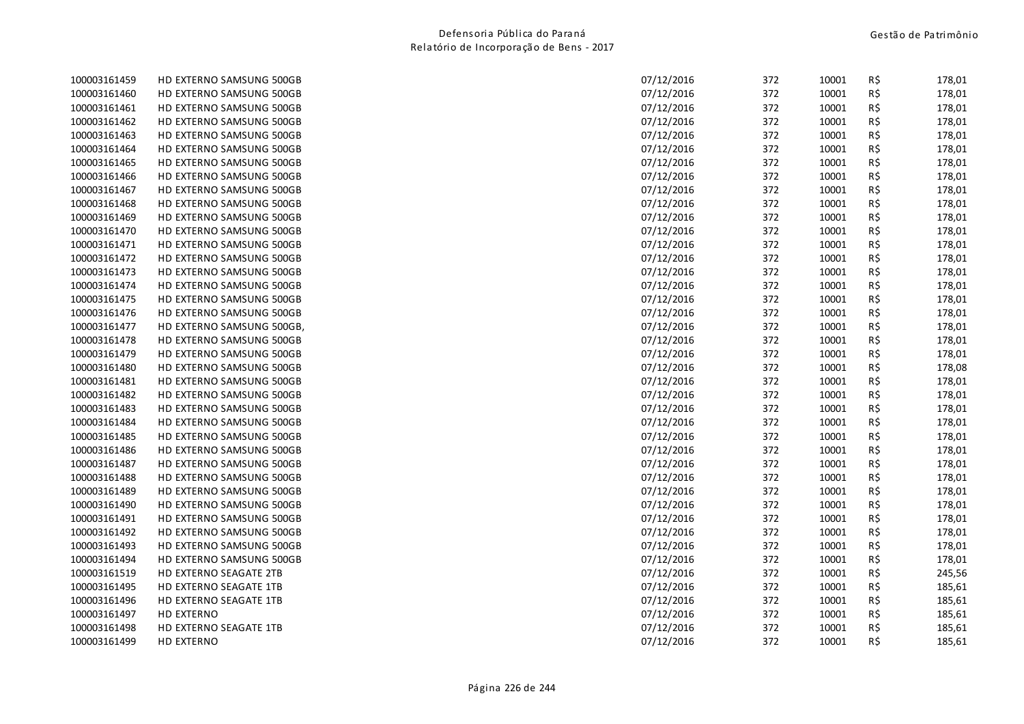| 100003161459 | HD EXTERNO SAMSUNG 500GB  | 07/12/2016 | 372 | 10001 | R\$ | 178,01 |
|--------------|---------------------------|------------|-----|-------|-----|--------|
| 100003161460 | HD EXTERNO SAMSUNG 500GB  | 07/12/2016 | 372 | 10001 | R\$ | 178,01 |
| 100003161461 | HD EXTERNO SAMSUNG 500GB  | 07/12/2016 | 372 | 10001 | R\$ | 178,01 |
| 100003161462 | HD EXTERNO SAMSUNG 500GB  | 07/12/2016 | 372 | 10001 | R\$ | 178,01 |
| 100003161463 | HD EXTERNO SAMSUNG 500GB  | 07/12/2016 | 372 | 10001 | R\$ | 178,01 |
| 100003161464 | HD EXTERNO SAMSUNG 500GB  | 07/12/2016 | 372 | 10001 | R\$ | 178,01 |
| 100003161465 | HD EXTERNO SAMSUNG 500GB  | 07/12/2016 | 372 | 10001 | R\$ | 178,01 |
| 100003161466 | HD EXTERNO SAMSUNG 500GB  | 07/12/2016 | 372 | 10001 | R\$ | 178,01 |
| 100003161467 | HD EXTERNO SAMSUNG 500GB  | 07/12/2016 | 372 | 10001 | R\$ | 178,01 |
| 100003161468 | HD EXTERNO SAMSUNG 500GB  | 07/12/2016 | 372 | 10001 | R\$ | 178,01 |
| 100003161469 | HD EXTERNO SAMSUNG 500GB  | 07/12/2016 | 372 | 10001 | R\$ | 178,01 |
| 100003161470 | HD EXTERNO SAMSUNG 500GB  | 07/12/2016 | 372 | 10001 | R\$ | 178,01 |
| 100003161471 | HD EXTERNO SAMSUNG 500GB  | 07/12/2016 | 372 | 10001 | R\$ | 178,01 |
| 100003161472 | HD EXTERNO SAMSUNG 500GB  | 07/12/2016 | 372 | 10001 | R\$ | 178,01 |
| 100003161473 | HD EXTERNO SAMSUNG 500GB  | 07/12/2016 | 372 | 10001 | R\$ | 178,01 |
| 100003161474 | HD EXTERNO SAMSUNG 500GB  | 07/12/2016 | 372 | 10001 | R\$ | 178,01 |
| 100003161475 | HD EXTERNO SAMSUNG 500GB  | 07/12/2016 | 372 | 10001 | R\$ | 178,01 |
| 100003161476 | HD EXTERNO SAMSUNG 500GB  | 07/12/2016 | 372 | 10001 | R\$ | 178,01 |
| 100003161477 | HD EXTERNO SAMSUNG 500GB, | 07/12/2016 | 372 | 10001 | R\$ | 178,01 |
| 100003161478 | HD EXTERNO SAMSUNG 500GB  | 07/12/2016 | 372 | 10001 | R\$ | 178,01 |
| 100003161479 | HD EXTERNO SAMSUNG 500GB  | 07/12/2016 | 372 | 10001 | R\$ | 178,01 |
| 100003161480 | HD EXTERNO SAMSUNG 500GB  | 07/12/2016 | 372 | 10001 | R\$ | 178,08 |
| 100003161481 | HD EXTERNO SAMSUNG 500GB  | 07/12/2016 | 372 | 10001 | R\$ | 178,01 |
| 100003161482 | HD EXTERNO SAMSUNG 500GB  | 07/12/2016 | 372 | 10001 | R\$ | 178,01 |
| 100003161483 | HD EXTERNO SAMSUNG 500GB  | 07/12/2016 | 372 | 10001 | R\$ | 178,01 |
| 100003161484 | HD EXTERNO SAMSUNG 500GB  | 07/12/2016 | 372 | 10001 | R\$ | 178,01 |
| 100003161485 | HD EXTERNO SAMSUNG 500GB  | 07/12/2016 | 372 | 10001 | R\$ | 178,01 |
| 100003161486 | HD EXTERNO SAMSUNG 500GB  | 07/12/2016 | 372 | 10001 | R\$ | 178,01 |
| 100003161487 | HD EXTERNO SAMSUNG 500GB  | 07/12/2016 | 372 | 10001 | R\$ | 178,01 |
| 100003161488 | HD EXTERNO SAMSUNG 500GB  | 07/12/2016 | 372 | 10001 | R\$ | 178,01 |
| 100003161489 | HD EXTERNO SAMSUNG 500GB  | 07/12/2016 | 372 | 10001 | R\$ | 178,01 |
| 100003161490 | HD EXTERNO SAMSUNG 500GB  | 07/12/2016 | 372 | 10001 | R\$ | 178,01 |
| 100003161491 | HD EXTERNO SAMSUNG 500GB  | 07/12/2016 | 372 | 10001 | R\$ | 178,01 |
| 100003161492 | HD EXTERNO SAMSUNG 500GB  | 07/12/2016 | 372 | 10001 | R\$ | 178,01 |
| 100003161493 | HD EXTERNO SAMSUNG 500GB  | 07/12/2016 | 372 | 10001 | R\$ | 178,01 |
| 100003161494 | HD EXTERNO SAMSUNG 500GB  | 07/12/2016 | 372 | 10001 | R\$ | 178,01 |
| 100003161519 | HD EXTERNO SEAGATE 2TB    | 07/12/2016 | 372 | 10001 | R\$ | 245,56 |
| 100003161495 | HD EXTERNO SEAGATE 1TB    | 07/12/2016 | 372 | 10001 | R\$ | 185,61 |
| 100003161496 | HD EXTERNO SEAGATE 1TB    | 07/12/2016 | 372 | 10001 | R\$ | 185,61 |
| 100003161497 | <b>HD EXTERNO</b>         | 07/12/2016 | 372 | 10001 | R\$ | 185,61 |
| 100003161498 | HD EXTERNO SEAGATE 1TB    | 07/12/2016 | 372 | 10001 | R\$ | 185,61 |
| 100003161499 | HD EXTERNO                | 07/12/2016 | 372 | 10001 | R\$ | 185,61 |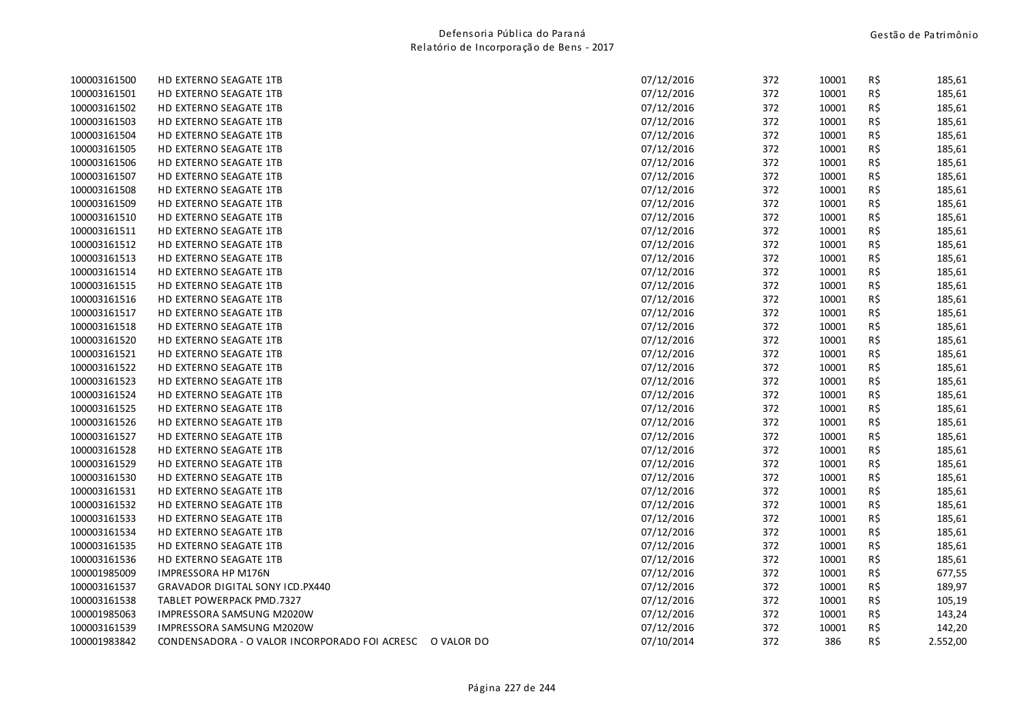| 100003161500 | <b>HD EXTERNO SEAGATE 1TB</b>                            | 07/12/2016 | 372 | 10001 | R\$ | 185,61   |
|--------------|----------------------------------------------------------|------------|-----|-------|-----|----------|
| 100003161501 | <b>HD EXTERNO SEAGATE 1TB</b>                            | 07/12/2016 | 372 | 10001 | R\$ | 185,61   |
| 100003161502 | <b>HD EXTERNO SEAGATE 1TB</b>                            | 07/12/2016 | 372 | 10001 | R\$ | 185,61   |
| 100003161503 | HD EXTERNO SEAGATE 1TB                                   | 07/12/2016 | 372 | 10001 | R\$ | 185,61   |
| 100003161504 | HD EXTERNO SEAGATE 1TB                                   | 07/12/2016 | 372 | 10001 | R\$ | 185,61   |
| 100003161505 | HD EXTERNO SEAGATE 1TB                                   | 07/12/2016 | 372 | 10001 | R\$ | 185,61   |
| 100003161506 | <b>HD EXTERNO SEAGATE 1TB</b>                            | 07/12/2016 | 372 | 10001 | R\$ | 185,61   |
| 100003161507 | HD EXTERNO SEAGATE 1TB                                   | 07/12/2016 | 372 | 10001 | R\$ | 185,61   |
| 100003161508 | <b>HD EXTERNO SEAGATE 1TB</b>                            | 07/12/2016 | 372 | 10001 | R\$ | 185,61   |
| 100003161509 | HD EXTERNO SEAGATE 1TB                                   | 07/12/2016 | 372 | 10001 | R\$ | 185,61   |
| 100003161510 | <b>HD EXTERNO SEAGATE 1TB</b>                            | 07/12/2016 | 372 | 10001 | R\$ | 185,61   |
| 100003161511 | HD EXTERNO SEAGATE 1TB                                   | 07/12/2016 | 372 | 10001 | R\$ | 185,61   |
| 100003161512 | HD EXTERNO SEAGATE 1TB                                   | 07/12/2016 | 372 | 10001 | R\$ | 185,61   |
| 100003161513 | HD EXTERNO SEAGATE 1TB                                   | 07/12/2016 | 372 | 10001 | R\$ | 185,61   |
| 100003161514 | <b>HD EXTERNO SEAGATE 1TB</b>                            | 07/12/2016 | 372 | 10001 | R\$ | 185,61   |
| 100003161515 | HD EXTERNO SEAGATE 1TB                                   | 07/12/2016 | 372 | 10001 | R\$ | 185,61   |
| 100003161516 | HD EXTERNO SEAGATE 1TB                                   | 07/12/2016 | 372 | 10001 | R\$ | 185,61   |
| 100003161517 | HD EXTERNO SEAGATE 1TB                                   | 07/12/2016 | 372 | 10001 | R\$ | 185,61   |
| 100003161518 | <b>HD EXTERNO SEAGATE 1TB</b>                            | 07/12/2016 | 372 | 10001 | R\$ | 185,61   |
| 100003161520 | HD EXTERNO SEAGATE 1TB                                   | 07/12/2016 | 372 | 10001 | R\$ | 185,61   |
| 100003161521 | <b>HD EXTERNO SEAGATE 1TB</b>                            | 07/12/2016 | 372 | 10001 | R\$ | 185,61   |
| 100003161522 | HD EXTERNO SEAGATE 1TB                                   | 07/12/2016 | 372 | 10001 | R\$ | 185,61   |
| 100003161523 | <b>HD EXTERNO SEAGATE 1TB</b>                            | 07/12/2016 | 372 | 10001 | R\$ | 185,61   |
| 100003161524 | HD EXTERNO SEAGATE 1TB                                   | 07/12/2016 | 372 | 10001 | R\$ | 185,61   |
| 100003161525 | <b>HD EXTERNO SEAGATE 1TB</b>                            | 07/12/2016 | 372 | 10001 | R\$ | 185,61   |
| 100003161526 | HD EXTERNO SEAGATE 1TB                                   | 07/12/2016 | 372 | 10001 | R\$ | 185,61   |
| 100003161527 | HD EXTERNO SEAGATE 1TB                                   | 07/12/2016 | 372 | 10001 | R\$ | 185,61   |
| 100003161528 | HD EXTERNO SEAGATE 1TB                                   | 07/12/2016 | 372 | 10001 | R\$ | 185,61   |
| 100003161529 | HD EXTERNO SEAGATE 1TB                                   | 07/12/2016 | 372 | 10001 | R\$ | 185,61   |
| 100003161530 | HD EXTERNO SEAGATE 1TB                                   | 07/12/2016 | 372 | 10001 | R\$ | 185,61   |
| 100003161531 | HD EXTERNO SEAGATE 1TB                                   | 07/12/2016 | 372 | 10001 | R\$ | 185,61   |
| 100003161532 | HD EXTERNO SEAGATE 1TB                                   | 07/12/2016 | 372 | 10001 | R\$ | 185,61   |
| 100003161533 | HD EXTERNO SEAGATE 1TB                                   | 07/12/2016 | 372 | 10001 | R\$ | 185,61   |
| 100003161534 | HD EXTERNO SEAGATE 1TB                                   | 07/12/2016 | 372 | 10001 | R\$ | 185,61   |
| 100003161535 | HD EXTERNO SEAGATE 1TB                                   | 07/12/2016 | 372 | 10001 | R\$ | 185,61   |
| 100003161536 | HD EXTERNO SEAGATE 1TB                                   | 07/12/2016 | 372 | 10001 | R\$ | 185,61   |
| 100001985009 | IMPRESSORA HP M176N                                      | 07/12/2016 | 372 | 10001 | R\$ | 677,55   |
| 100003161537 | GRAVADOR DIGITAL SONY ICD.PX440                          | 07/12/2016 | 372 | 10001 | R\$ | 189,97   |
| 100003161538 | TABLET POWERPACK PMD.7327                                | 07/12/2016 | 372 | 10001 | R\$ | 105,19   |
| 100001985063 | <b>IMPRESSORA SAMSUNG M2020W</b>                         | 07/12/2016 | 372 | 10001 | R\$ | 143,24   |
| 100003161539 | IMPRESSORA SAMSUNG M2020W                                | 07/12/2016 | 372 | 10001 | R\$ | 142,20   |
| 100001983842 | CONDENSADORA - O VALOR INCORPORADO FOI ACRESC O VALOR DO | 07/10/2014 | 372 | 386   | R\$ | 2.552,00 |
|              |                                                          |            |     |       |     |          |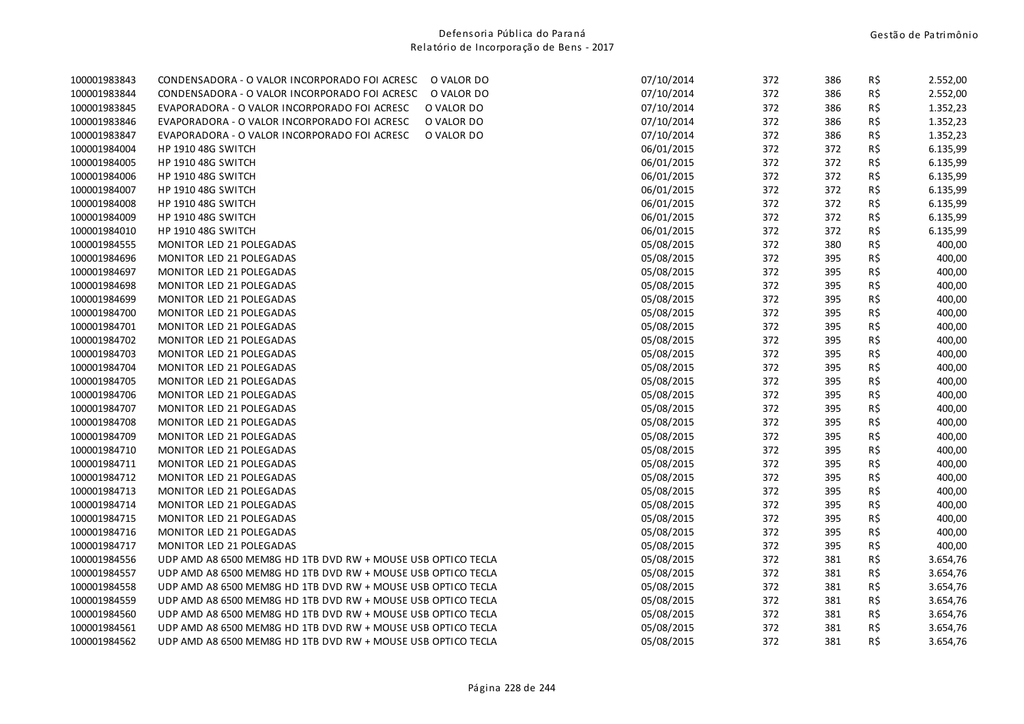| 100001983843 | CONDENSADORA - O VALOR INCORPORADO FOI ACRESC<br>O VALOR DO  | 07/10/2014 | 372 | 386 | R\$ | 2.552,00 |
|--------------|--------------------------------------------------------------|------------|-----|-----|-----|----------|
| 100001983844 | CONDENSADORA - O VALOR INCORPORADO FOI ACRESC<br>O VALOR DO  | 07/10/2014 | 372 | 386 | R\$ | 2.552,00 |
| 100001983845 | O VALOR DO<br>EVAPORADORA - O VALOR INCORPORADO FOI ACRESC   | 07/10/2014 | 372 | 386 | R\$ | 1.352,23 |
| 100001983846 | EVAPORADORA - O VALOR INCORPORADO FOI ACRESC<br>O VALOR DO   | 07/10/2014 | 372 | 386 | R\$ | 1.352,23 |
| 100001983847 | O VALOR DO<br>EVAPORADORA - O VALOR INCORPORADO FOI ACRESC   | 07/10/2014 | 372 | 386 | R\$ | 1.352,23 |
| 100001984004 | HP 1910 48G SWITCH                                           | 06/01/2015 | 372 | 372 | R\$ | 6.135,99 |
| 100001984005 | HP 1910 48G SWITCH                                           | 06/01/2015 | 372 | 372 | R\$ | 6.135,99 |
| 100001984006 | <b>HP 1910 48G SWITCH</b>                                    | 06/01/2015 | 372 | 372 | R\$ | 6.135,99 |
| 100001984007 | <b>HP 1910 48G SWITCH</b>                                    | 06/01/2015 | 372 | 372 | R\$ | 6.135,99 |
| 100001984008 | <b>HP 1910 48G SWITCH</b>                                    | 06/01/2015 | 372 | 372 | R\$ | 6.135,99 |
| 100001984009 | HP 1910 48G SWITCH                                           | 06/01/2015 | 372 | 372 | R\$ | 6.135,99 |
| 100001984010 | HP 1910 48G SWITCH                                           | 06/01/2015 | 372 | 372 | R\$ | 6.135,99 |
| 100001984555 | MONITOR LED 21 POLEGADAS                                     | 05/08/2015 | 372 | 380 | R\$ | 400,00   |
| 100001984696 | MONITOR LED 21 POLEGADAS                                     | 05/08/2015 | 372 | 395 | R\$ | 400,00   |
| 100001984697 | MONITOR LED 21 POLEGADAS                                     | 05/08/2015 | 372 | 395 | R\$ | 400,00   |
| 100001984698 | MONITOR LED 21 POLEGADAS                                     | 05/08/2015 | 372 | 395 | R\$ | 400,00   |
| 100001984699 | MONITOR LED 21 POLEGADAS                                     | 05/08/2015 | 372 | 395 | R\$ | 400,00   |
| 100001984700 | MONITOR LED 21 POLEGADAS                                     | 05/08/2015 | 372 | 395 | R\$ | 400,00   |
| 100001984701 | MONITOR LED 21 POLEGADAS                                     | 05/08/2015 | 372 | 395 | R\$ | 400,00   |
| 100001984702 | MONITOR LED 21 POLEGADAS                                     | 05/08/2015 | 372 | 395 | R\$ | 400,00   |
| 100001984703 | MONITOR LED 21 POLEGADAS                                     | 05/08/2015 | 372 | 395 | R\$ | 400,00   |
| 100001984704 | MONITOR LED 21 POLEGADAS                                     | 05/08/2015 | 372 | 395 | R\$ | 400,00   |
| 100001984705 | MONITOR LED 21 POLEGADAS                                     | 05/08/2015 | 372 | 395 | R\$ | 400,00   |
| 100001984706 | MONITOR LED 21 POLEGADAS                                     | 05/08/2015 | 372 | 395 | R\$ | 400,00   |
| 100001984707 | MONITOR LED 21 POLEGADAS                                     | 05/08/2015 | 372 | 395 | R\$ | 400,00   |
| 100001984708 | MONITOR LED 21 POLEGADAS                                     | 05/08/2015 | 372 | 395 | R\$ | 400,00   |
| 100001984709 | MONITOR LED 21 POLEGADAS                                     | 05/08/2015 | 372 | 395 | R\$ | 400,00   |
| 100001984710 | MONITOR LED 21 POLEGADAS                                     | 05/08/2015 | 372 | 395 | R\$ | 400,00   |
| 100001984711 | MONITOR LED 21 POLEGADAS                                     | 05/08/2015 | 372 | 395 | R\$ | 400,00   |
| 100001984712 | MONITOR LED 21 POLEGADAS                                     | 05/08/2015 | 372 | 395 | R\$ | 400,00   |
| 100001984713 | MONITOR LED 21 POLEGADAS                                     | 05/08/2015 | 372 | 395 | R\$ | 400,00   |
| 100001984714 | MONITOR LED 21 POLEGADAS                                     | 05/08/2015 | 372 | 395 | R\$ | 400,00   |
| 100001984715 | MONITOR LED 21 POLEGADAS                                     | 05/08/2015 | 372 | 395 | R\$ | 400,00   |
| 100001984716 | MONITOR LED 21 POLEGADAS                                     | 05/08/2015 | 372 | 395 | R\$ | 400,00   |
| 100001984717 | <b>MONITOR LED 21 POLEGADAS</b>                              | 05/08/2015 | 372 | 395 | R\$ | 400,00   |
| 100001984556 | UDP AMD A8 6500 MEM8G HD 1TB DVD RW + MOUSE USB OPTICO TECLA | 05/08/2015 | 372 | 381 | R\$ | 3.654,76 |
| 100001984557 | UDP AMD A8 6500 MEM8G HD 1TB DVD RW + MOUSE USB OPTICO TECLA | 05/08/2015 | 372 | 381 | R\$ | 3.654,76 |
| 100001984558 | UDP AMD A8 6500 MEM8G HD 1TB DVD RW + MOUSE USB OPTICO TECLA | 05/08/2015 | 372 | 381 | R\$ | 3.654,76 |
| 100001984559 | UDP AMD A8 6500 MEM8G HD 1TB DVD RW + MOUSE USB OPTICO TECLA | 05/08/2015 | 372 | 381 | R\$ | 3.654,76 |
| 100001984560 | UDP AMD A8 6500 MEM8G HD 1TB DVD RW + MOUSE USB OPTICO TECLA | 05/08/2015 | 372 | 381 | R\$ | 3.654,76 |
| 100001984561 | UDP AMD A8 6500 MEM8G HD 1TB DVD RW + MOUSE USB OPTICO TECLA | 05/08/2015 | 372 | 381 | R\$ | 3.654,76 |
| 100001984562 | UDP AMD A8 6500 MEM8G HD 1TB DVD RW + MOUSE USB OPTICO TECLA | 05/08/2015 | 372 | 381 | R\$ | 3.654,76 |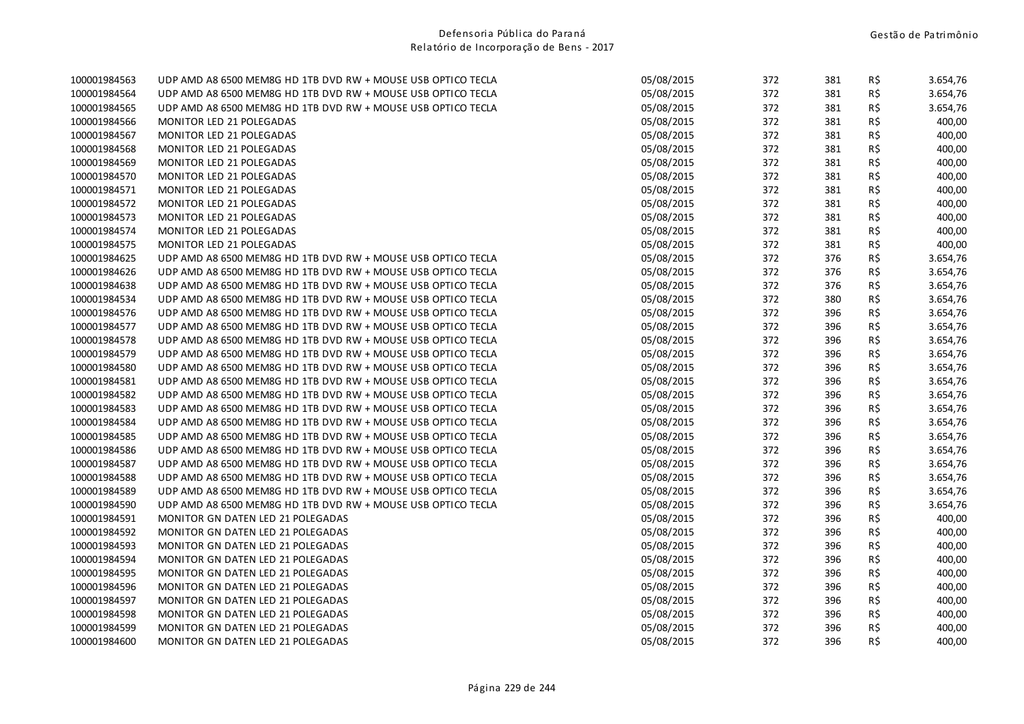| 100001984563 | UDP AMD A8 6500 MEM8G HD 1TB DVD RW + MOUSE USB OPTICO TECLA | 05/08/2015 | 372 | 381 | R\$ | 3.654,76 |
|--------------|--------------------------------------------------------------|------------|-----|-----|-----|----------|
| 100001984564 | UDP AMD A8 6500 MEM8G HD 1TB DVD RW + MOUSE USB OPTICO TECLA | 05/08/2015 | 372 | 381 | R\$ | 3.654,76 |
| 100001984565 | UDP AMD A8 6500 MEM8G HD 1TB DVD RW + MOUSE USB OPTICO TECLA | 05/08/2015 | 372 | 381 | R\$ | 3.654,76 |
| 100001984566 | MONITOR LED 21 POLEGADAS                                     | 05/08/2015 | 372 | 381 | R\$ | 400,00   |
| 100001984567 | MONITOR LED 21 POLEGADAS                                     | 05/08/2015 | 372 | 381 | R\$ | 400,00   |
| 100001984568 | MONITOR LED 21 POLEGADAS                                     | 05/08/2015 | 372 | 381 | R\$ | 400,00   |
| 100001984569 | MONITOR LED 21 POLEGADAS                                     | 05/08/2015 | 372 | 381 | R\$ | 400,00   |
| 100001984570 | MONITOR LED 21 POLEGADAS                                     | 05/08/2015 | 372 | 381 | R\$ | 400,00   |
| 100001984571 | MONITOR LED 21 POLEGADAS                                     | 05/08/2015 | 372 | 381 | R\$ | 400,00   |
| 100001984572 | MONITOR LED 21 POLEGADAS                                     | 05/08/2015 | 372 | 381 | R\$ | 400,00   |
| 100001984573 | MONITOR LED 21 POLEGADAS                                     | 05/08/2015 | 372 | 381 | R\$ | 400,00   |
| 100001984574 | MONITOR LED 21 POLEGADAS                                     | 05/08/2015 | 372 | 381 | R\$ | 400,00   |
| 100001984575 | MONITOR LED 21 POLEGADAS                                     | 05/08/2015 | 372 | 381 | R\$ | 400,00   |
| 100001984625 | UDP AMD A8 6500 MEM8G HD 1TB DVD RW + MOUSE USB OPTICO TECLA | 05/08/2015 | 372 | 376 | R\$ | 3.654,76 |
| 100001984626 | UDP AMD A8 6500 MEM8G HD 1TB DVD RW + MOUSE USB OPTICO TECLA | 05/08/2015 | 372 | 376 | R\$ | 3.654,76 |
| 100001984638 | UDP AMD A8 6500 MEM8G HD 1TB DVD RW + MOUSE USB OPTICO TECLA | 05/08/2015 | 372 | 376 | R\$ | 3.654,76 |
| 100001984534 | UDP AMD A8 6500 MEM8G HD 1TB DVD RW + MOUSE USB OPTICO TECLA | 05/08/2015 | 372 | 380 | R\$ | 3.654,76 |
| 100001984576 | UDP AMD A8 6500 MEM8G HD 1TB DVD RW + MOUSE USB OPTICO TECLA | 05/08/2015 | 372 | 396 | R\$ | 3.654,76 |
| 100001984577 | UDP AMD A8 6500 MEM8G HD 1TB DVD RW + MOUSE USB OPTICO TECLA | 05/08/2015 | 372 | 396 | R\$ | 3.654,76 |
| 100001984578 | UDP AMD A8 6500 MEM8G HD 1TB DVD RW + MOUSE USB OPTICO TECLA | 05/08/2015 | 372 | 396 | R\$ | 3.654,76 |
| 100001984579 | UDP AMD A8 6500 MEM8G HD 1TB DVD RW + MOUSE USB OPTICO TECLA | 05/08/2015 | 372 | 396 | R\$ | 3.654,76 |
| 100001984580 | UDP AMD A8 6500 MEM8G HD 1TB DVD RW + MOUSE USB OPTICO TECLA | 05/08/2015 | 372 | 396 | R\$ | 3.654,76 |
| 100001984581 | UDP AMD A8 6500 MEM8G HD 1TB DVD RW + MOUSE USB OPTICO TECLA | 05/08/2015 | 372 | 396 | R\$ | 3.654,76 |
| 100001984582 | UDP AMD A8 6500 MEM8G HD 1TB DVD RW + MOUSE USB OPTICO TECLA | 05/08/2015 | 372 | 396 | R\$ | 3.654,76 |
| 100001984583 | UDP AMD A8 6500 MEM8G HD 1TB DVD RW + MOUSE USB OPTICO TECLA | 05/08/2015 | 372 | 396 | R\$ | 3.654,76 |
| 100001984584 | UDP AMD A8 6500 MEM8G HD 1TB DVD RW + MOUSE USB OPTICO TECLA | 05/08/2015 | 372 | 396 | R\$ | 3.654,76 |
| 100001984585 | UDP AMD A8 6500 MEM8G HD 1TB DVD RW + MOUSE USB OPTICO TECLA | 05/08/2015 | 372 | 396 | R\$ | 3.654,76 |
| 100001984586 | UDP AMD A8 6500 MEM8G HD 1TB DVD RW + MOUSE USB OPTICO TECLA | 05/08/2015 | 372 | 396 | R\$ | 3.654,76 |
| 100001984587 | UDP AMD A8 6500 MEM8G HD 1TB DVD RW + MOUSE USB OPTICO TECLA | 05/08/2015 | 372 | 396 | R\$ | 3.654,76 |
| 100001984588 | UDP AMD A8 6500 MEM8G HD 1TB DVD RW + MOUSE USB OPTICO TECLA | 05/08/2015 | 372 | 396 | R\$ | 3.654,76 |
| 100001984589 | UDP AMD A8 6500 MEM8G HD 1TB DVD RW + MOUSE USB OPTICO TECLA | 05/08/2015 | 372 | 396 | R\$ | 3.654,76 |
| 100001984590 | UDP AMD A8 6500 MEM8G HD 1TB DVD RW + MOUSE USB OPTICO TECLA | 05/08/2015 | 372 | 396 | R\$ | 3.654,76 |
| 100001984591 | MONITOR GN DATEN LED 21 POLEGADAS                            | 05/08/2015 | 372 | 396 | R\$ | 400,00   |
| 100001984592 | <b>MONITOR GN DATEN LED 21 POLEGADAS</b>                     | 05/08/2015 | 372 | 396 | R\$ | 400,00   |
| 100001984593 | MONITOR GN DATEN LED 21 POLEGADAS                            | 05/08/2015 | 372 | 396 | R\$ | 400,00   |
| 100001984594 | MONITOR GN DATEN LED 21 POLEGADAS                            | 05/08/2015 | 372 | 396 | R\$ | 400,00   |
| 100001984595 | MONITOR GN DATEN LED 21 POLEGADAS                            | 05/08/2015 | 372 | 396 | R\$ | 400,00   |
| 100001984596 | MONITOR GN DATEN LED 21 POLEGADAS                            | 05/08/2015 | 372 | 396 | R\$ | 400,00   |
| 100001984597 | MONITOR GN DATEN LED 21 POLEGADAS                            | 05/08/2015 | 372 | 396 | R\$ | 400,00   |
| 100001984598 | MONITOR GN DATEN LED 21 POLEGADAS                            | 05/08/2015 | 372 | 396 | R\$ | 400,00   |
| 100001984599 | MONITOR GN DATEN LED 21 POLEGADAS                            | 05/08/2015 | 372 | 396 | R\$ | 400,00   |
| 100001984600 | MONITOR GN DATEN LED 21 POLEGADAS                            | 05/08/2015 | 372 | 396 | R\$ | 400,00   |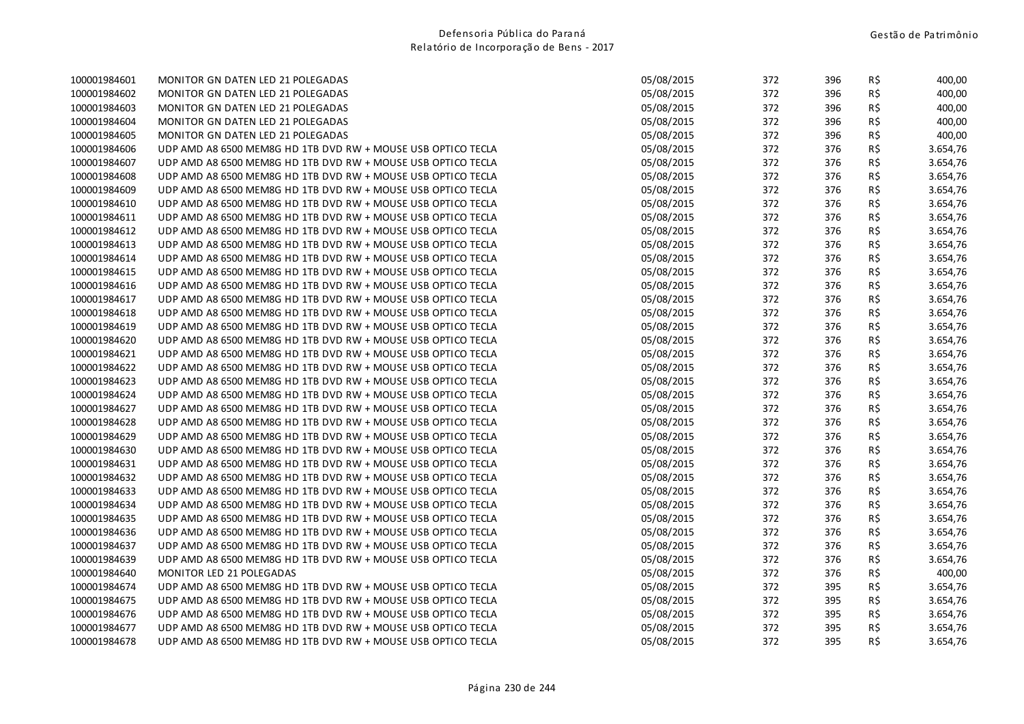| 100001984601 | MONITOR GN DATEN LED 21 POLEGADAS                            | 05/08/2015 | 372 | 396 | R\$ | 400,00   |
|--------------|--------------------------------------------------------------|------------|-----|-----|-----|----------|
| 100001984602 | MONITOR GN DATEN LED 21 POLEGADAS                            | 05/08/2015 | 372 | 396 | R\$ | 400,00   |
| 100001984603 | <b>MONITOR GN DATEN LED 21 POLEGADAS</b>                     | 05/08/2015 | 372 | 396 | R\$ | 400,00   |
| 100001984604 | MONITOR GN DATEN LED 21 POLEGADAS                            | 05/08/2015 | 372 | 396 | R\$ | 400,00   |
| 100001984605 | MONITOR GN DATEN LED 21 POLEGADAS                            | 05/08/2015 | 372 | 396 | R\$ | 400,00   |
| 100001984606 | UDP AMD A8 6500 MEM8G HD 1TB DVD RW + MOUSE USB OPTICO TECLA | 05/08/2015 | 372 | 376 | R\$ | 3.654,76 |
| 100001984607 | UDP AMD A8 6500 MEM8G HD 1TB DVD RW + MOUSE USB OPTICO TECLA | 05/08/2015 | 372 | 376 | R\$ | 3.654,76 |
| 100001984608 | UDP AMD A8 6500 MEM8G HD 1TB DVD RW + MOUSE USB OPTICO TECLA | 05/08/2015 | 372 | 376 | R\$ | 3.654,76 |
| 100001984609 | UDP AMD A8 6500 MEM8G HD 1TB DVD RW + MOUSE USB OPTICO TECLA | 05/08/2015 | 372 | 376 | R\$ | 3.654,76 |
| 100001984610 | UDP AMD A8 6500 MEM8G HD 1TB DVD RW + MOUSE USB OPTICO TECLA | 05/08/2015 | 372 | 376 | R\$ | 3.654,76 |
| 100001984611 | UDP AMD A8 6500 MEM8G HD 1TB DVD RW + MOUSE USB OPTICO TECLA | 05/08/2015 | 372 | 376 | R\$ | 3.654,76 |
| 100001984612 | UDP AMD A8 6500 MEM8G HD 1TB DVD RW + MOUSE USB OPTICO TECLA | 05/08/2015 | 372 | 376 | R\$ | 3.654,76 |
| 100001984613 | UDP AMD A8 6500 MEM8G HD 1TB DVD RW + MOUSE USB OPTICO TECLA | 05/08/2015 | 372 | 376 | R\$ | 3.654,76 |
| 100001984614 | UDP AMD A8 6500 MEM8G HD 1TB DVD RW + MOUSE USB OPTICO TECLA | 05/08/2015 | 372 | 376 | R\$ | 3.654,76 |
| 100001984615 | UDP AMD A8 6500 MEM8G HD 1TB DVD RW + MOUSE USB OPTICO TECLA | 05/08/2015 | 372 | 376 | R\$ | 3.654,76 |
| 100001984616 | UDP AMD A8 6500 MEM8G HD 1TB DVD RW + MOUSE USB OPTICO TECLA | 05/08/2015 | 372 | 376 | R\$ | 3.654,76 |
| 100001984617 | UDP AMD A8 6500 MEM8G HD 1TB DVD RW + MOUSE USB OPTICO TECLA | 05/08/2015 | 372 | 376 | R\$ | 3.654,76 |
| 100001984618 | UDP AMD A8 6500 MEM8G HD 1TB DVD RW + MOUSE USB OPTICO TECLA | 05/08/2015 | 372 | 376 | R\$ | 3.654,76 |
| 100001984619 | UDP AMD A8 6500 MEM8G HD 1TB DVD RW + MOUSE USB OPTICO TECLA | 05/08/2015 | 372 | 376 | R\$ | 3.654,76 |
| 100001984620 | UDP AMD A8 6500 MEM8G HD 1TB DVD RW + MOUSE USB OPTICO TECLA | 05/08/2015 | 372 | 376 | R\$ | 3.654,76 |
| 100001984621 | UDP AMD A8 6500 MEM8G HD 1TB DVD RW + MOUSE USB OPTICO TECLA | 05/08/2015 | 372 | 376 | R\$ | 3.654,76 |
| 100001984622 | UDP AMD A8 6500 MEM8G HD 1TB DVD RW + MOUSE USB OPTICO TECLA | 05/08/2015 | 372 | 376 | R\$ | 3.654,76 |
| 100001984623 | UDP AMD A8 6500 MEM8G HD 1TB DVD RW + MOUSE USB OPTICO TECLA | 05/08/2015 | 372 | 376 | R\$ | 3.654,76 |
| 100001984624 | UDP AMD A8 6500 MEM8G HD 1TB DVD RW + MOUSE USB OPTICO TECLA | 05/08/2015 | 372 | 376 | R\$ | 3.654,76 |
| 100001984627 | UDP AMD A8 6500 MEM8G HD 1TB DVD RW + MOUSE USB OPTICO TECLA | 05/08/2015 | 372 | 376 | R\$ | 3.654,76 |
| 100001984628 | UDP AMD A8 6500 MEM8G HD 1TB DVD RW + MOUSE USB OPTICO TECLA | 05/08/2015 | 372 | 376 | R\$ | 3.654,76 |
| 100001984629 | UDP AMD A8 6500 MEM8G HD 1TB DVD RW + MOUSE USB OPTICO TECLA | 05/08/2015 | 372 | 376 | R\$ | 3.654,76 |
| 100001984630 | UDP AMD A8 6500 MEM8G HD 1TB DVD RW + MOUSE USB OPTICO TECLA | 05/08/2015 | 372 | 376 | R\$ | 3.654,76 |
| 100001984631 | UDP AMD A8 6500 MEM8G HD 1TB DVD RW + MOUSE USB OPTICO TECLA | 05/08/2015 | 372 | 376 | R\$ | 3.654,76 |
| 100001984632 | UDP AMD A8 6500 MEM8G HD 1TB DVD RW + MOUSE USB OPTICO TECLA | 05/08/2015 | 372 | 376 | R\$ | 3.654,76 |
| 100001984633 | UDP AMD A8 6500 MEM8G HD 1TB DVD RW + MOUSE USB OPTICO TECLA | 05/08/2015 | 372 | 376 | R\$ | 3.654,76 |
| 100001984634 | UDP AMD A8 6500 MEM8G HD 1TB DVD RW + MOUSE USB OPTICO TECLA | 05/08/2015 | 372 | 376 | R\$ | 3.654,76 |
| 100001984635 | UDP AMD A8 6500 MEM8G HD 1TB DVD RW + MOUSE USB OPTICO TECLA | 05/08/2015 | 372 | 376 | R\$ | 3.654,76 |
| 100001984636 | UDP AMD A8 6500 MEM8G HD 1TB DVD RW + MOUSE USB OPTICO TECLA | 05/08/2015 | 372 | 376 | R\$ | 3.654,76 |
| 100001984637 | UDP AMD A8 6500 MEM8G HD 1TB DVD RW + MOUSE USB OPTICO TECLA | 05/08/2015 | 372 | 376 | R\$ | 3.654,76 |
| 100001984639 | UDP AMD A8 6500 MEM8G HD 1TB DVD RW + MOUSE USB OPTICO TECLA | 05/08/2015 | 372 | 376 | R\$ | 3.654,76 |
| 100001984640 | MONITOR LED 21 POLEGADAS                                     | 05/08/2015 | 372 | 376 | R\$ | 400,00   |
| 100001984674 | UDP AMD A8 6500 MEM8G HD 1TB DVD RW + MOUSE USB OPTICO TECLA | 05/08/2015 | 372 | 395 | R\$ | 3.654,76 |
| 100001984675 | UDP AMD A8 6500 MEM8G HD 1TB DVD RW + MOUSE USB OPTICO TECLA | 05/08/2015 | 372 | 395 | R\$ | 3.654,76 |
| 100001984676 | UDP AMD A8 6500 MEM8G HD 1TB DVD RW + MOUSE USB OPTICO TECLA | 05/08/2015 | 372 | 395 | R\$ | 3.654,76 |
| 100001984677 | UDP AMD A8 6500 MEM8G HD 1TB DVD RW + MOUSE USB OPTICO TECLA | 05/08/2015 | 372 | 395 | R\$ | 3.654,76 |
| 100001984678 | UDP AMD A8 6500 MEM8G HD 1TB DVD RW + MOUSE USB OPTICO TECLA | 05/08/2015 | 372 | 395 | R\$ | 3.654,76 |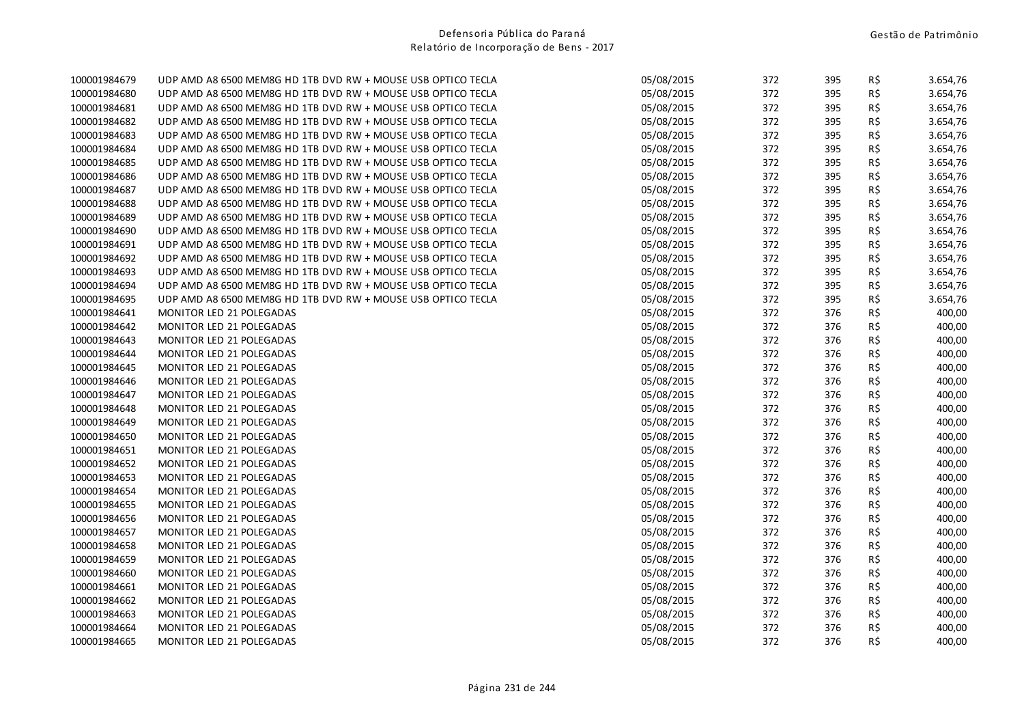| 100001984679 | UDP AMD A8 6500 MEM8G HD 1TB DVD RW + MOUSE USB OPTICO TECLA | 05/08/2015 | 372 | 395 | R\$ | 3.654,76 |
|--------------|--------------------------------------------------------------|------------|-----|-----|-----|----------|
| 100001984680 | UDP AMD A8 6500 MEM8G HD 1TB DVD RW + MOUSE USB OPTICO TECLA | 05/08/2015 | 372 | 395 | R\$ | 3.654,76 |
| 100001984681 | UDP AMD A8 6500 MEM8G HD 1TB DVD RW + MOUSE USB OPTICO TECLA | 05/08/2015 | 372 | 395 | R\$ | 3.654,76 |
| 100001984682 | UDP AMD A8 6500 MEM8G HD 1TB DVD RW + MOUSE USB OPTICO TECLA | 05/08/2015 | 372 | 395 | R\$ | 3.654,76 |
| 100001984683 | UDP AMD A8 6500 MEM8G HD 1TB DVD RW + MOUSE USB OPTICO TECLA | 05/08/2015 | 372 | 395 | R\$ | 3.654,76 |
| 100001984684 | UDP AMD A8 6500 MEM8G HD 1TB DVD RW + MOUSE USB OPTICO TECLA | 05/08/2015 | 372 | 395 | R\$ | 3.654,76 |
| 100001984685 | UDP AMD A8 6500 MEM8G HD 1TB DVD RW + MOUSE USB OPTICO TECLA | 05/08/2015 | 372 | 395 | R\$ | 3.654,76 |
| 100001984686 | UDP AMD A8 6500 MEM8G HD 1TB DVD RW + MOUSE USB OPTICO TECLA | 05/08/2015 | 372 | 395 | R\$ | 3.654,76 |
| 100001984687 | UDP AMD A8 6500 MEM8G HD 1TB DVD RW + MOUSE USB OPTICO TECLA | 05/08/2015 | 372 | 395 | R\$ | 3.654,76 |
| 100001984688 | UDP AMD A8 6500 MEM8G HD 1TB DVD RW + MOUSE USB OPTICO TECLA | 05/08/2015 | 372 | 395 | R\$ | 3.654,76 |
| 100001984689 | UDP AMD A8 6500 MEM8G HD 1TB DVD RW + MOUSE USB OPTICO TECLA | 05/08/2015 | 372 | 395 | R\$ | 3.654,76 |
| 100001984690 | UDP AMD A8 6500 MEM8G HD 1TB DVD RW + MOUSE USB OPTICO TECLA | 05/08/2015 | 372 | 395 | R\$ | 3.654,76 |
| 100001984691 | UDP AMD A8 6500 MEM8G HD 1TB DVD RW + MOUSE USB OPTICO TECLA | 05/08/2015 | 372 | 395 | R\$ | 3.654,76 |
| 100001984692 | UDP AMD A8 6500 MEM8G HD 1TB DVD RW + MOUSE USB OPTICO TECLA | 05/08/2015 | 372 | 395 | R\$ | 3.654,76 |
| 100001984693 | UDP AMD A8 6500 MEM8G HD 1TB DVD RW + MOUSE USB OPTICO TECLA | 05/08/2015 | 372 | 395 | R\$ | 3.654,76 |
| 100001984694 | UDP AMD A8 6500 MEM8G HD 1TB DVD RW + MOUSE USB OPTICO TECLA | 05/08/2015 | 372 | 395 | R\$ | 3.654,76 |
| 100001984695 | UDP AMD A8 6500 MEM8G HD 1TB DVD RW + MOUSE USB OPTICO TECLA | 05/08/2015 | 372 | 395 | R\$ | 3.654,76 |
| 100001984641 | MONITOR LED 21 POLEGADAS                                     | 05/08/2015 | 372 | 376 | R\$ | 400,00   |
| 100001984642 | MONITOR LED 21 POLEGADAS                                     | 05/08/2015 | 372 | 376 | R\$ | 400,00   |
| 100001984643 | MONITOR LED 21 POLEGADAS                                     | 05/08/2015 | 372 | 376 | R\$ | 400,00   |
| 100001984644 | MONITOR LED 21 POLEGADAS                                     | 05/08/2015 | 372 | 376 | R\$ | 400,00   |
| 100001984645 | MONITOR LED 21 POLEGADAS                                     | 05/08/2015 | 372 | 376 | R\$ | 400,00   |
| 100001984646 | MONITOR LED 21 POLEGADAS                                     | 05/08/2015 | 372 | 376 | R\$ | 400,00   |
| 100001984647 | MONITOR LED 21 POLEGADAS                                     | 05/08/2015 | 372 | 376 | R\$ | 400,00   |
| 100001984648 | MONITOR LED 21 POLEGADAS                                     | 05/08/2015 | 372 | 376 | R\$ | 400,00   |
| 100001984649 | MONITOR LED 21 POLEGADAS                                     | 05/08/2015 | 372 | 376 | R\$ | 400,00   |
| 100001984650 | MONITOR LED 21 POLEGADAS                                     | 05/08/2015 | 372 | 376 | R\$ | 400,00   |
| 100001984651 | MONITOR LED 21 POLEGADAS                                     | 05/08/2015 | 372 | 376 | R\$ | 400,00   |
| 100001984652 | MONITOR LED 21 POLEGADAS                                     | 05/08/2015 | 372 | 376 | R\$ | 400,00   |
| 100001984653 | MONITOR LED 21 POLEGADAS                                     | 05/08/2015 | 372 | 376 | R\$ | 400,00   |
| 100001984654 | MONITOR LED 21 POLEGADAS                                     | 05/08/2015 | 372 | 376 | R\$ | 400,00   |
| 100001984655 | MONITOR LED 21 POLEGADAS                                     | 05/08/2015 | 372 | 376 | R\$ | 400,00   |
| 100001984656 | MONITOR LED 21 POLEGADAS                                     | 05/08/2015 | 372 | 376 | R\$ | 400,00   |
| 100001984657 | MONITOR LED 21 POLEGADAS                                     | 05/08/2015 | 372 | 376 | R\$ | 400,00   |
| 100001984658 | MONITOR LED 21 POLEGADAS                                     | 05/08/2015 | 372 | 376 | R\$ | 400,00   |
| 100001984659 | MONITOR LED 21 POLEGADAS                                     | 05/08/2015 | 372 | 376 | R\$ | 400,00   |
| 100001984660 | MONITOR LED 21 POLEGADAS                                     | 05/08/2015 | 372 | 376 | R\$ | 400,00   |
| 100001984661 | MONITOR LED 21 POLEGADAS                                     | 05/08/2015 | 372 | 376 | R\$ | 400,00   |
| 100001984662 | MONITOR LED 21 POLEGADAS                                     | 05/08/2015 | 372 | 376 | R\$ | 400,00   |
| 100001984663 | MONITOR LED 21 POLEGADAS                                     | 05/08/2015 | 372 | 376 | R\$ | 400,00   |
| 100001984664 | MONITOR LED 21 POLEGADAS                                     | 05/08/2015 | 372 | 376 | R\$ | 400,00   |
| 100001984665 | MONITOR LED 21 POLEGADAS                                     | 05/08/2015 | 372 | 376 | R\$ | 400,00   |
|              |                                                              |            |     |     |     |          |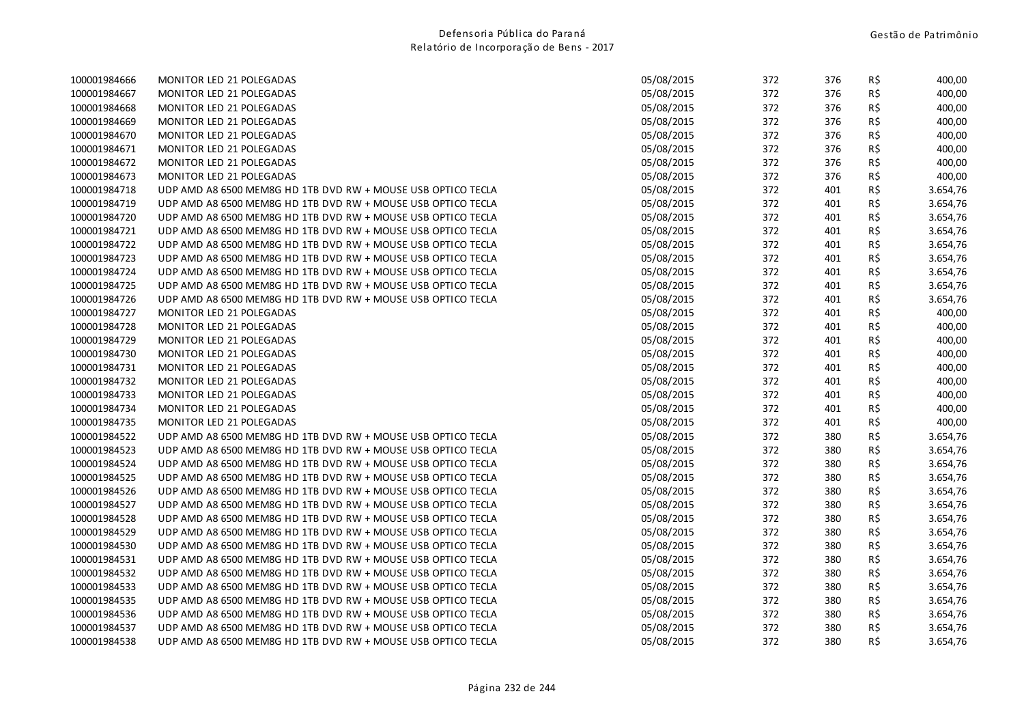| 100001984666<br>MONITOR LED 21 POLEGADAS                                     | 05/08/2015 | 372 | 376 |     |          |
|------------------------------------------------------------------------------|------------|-----|-----|-----|----------|
|                                                                              |            |     |     | R\$ | 400,00   |
| 100001984667<br><b>MONITOR LED 21 POLEGADAS</b>                              | 05/08/2015 | 372 | 376 | R\$ | 400,00   |
| 100001984668<br><b>MONITOR LED 21 POLEGADAS</b>                              | 05/08/2015 | 372 | 376 | R\$ | 400,00   |
| 100001984669<br>MONITOR LED 21 POLEGADAS                                     | 05/08/2015 | 372 | 376 | R\$ | 400,00   |
| 100001984670<br>MONITOR LED 21 POLEGADAS                                     | 05/08/2015 | 372 | 376 | R\$ | 400,00   |
| 100001984671<br>MONITOR LED 21 POLEGADAS                                     | 05/08/2015 | 372 | 376 | R\$ | 400,00   |
| 100001984672<br>MONITOR LED 21 POLEGADAS                                     | 05/08/2015 | 372 | 376 | R\$ | 400,00   |
| 100001984673<br>MONITOR LED 21 POLEGADAS                                     | 05/08/2015 | 372 | 376 | R\$ | 400,00   |
| 100001984718<br>UDP AMD A8 6500 MEM8G HD 1TB DVD RW + MOUSE USB OPTICO TECLA | 05/08/2015 | 372 | 401 | R\$ | 3.654,76 |
| 100001984719<br>UDP AMD A8 6500 MEM8G HD 1TB DVD RW + MOUSE USB OPTICO TECLA | 05/08/2015 | 372 | 401 | R\$ | 3.654,76 |
| 100001984720<br>UDP AMD A8 6500 MEM8G HD 1TB DVD RW + MOUSE USB OPTICO TECLA | 05/08/2015 | 372 | 401 | R\$ | 3.654,76 |
| 100001984721<br>UDP AMD A8 6500 MEM8G HD 1TB DVD RW + MOUSE USB OPTICO TECLA | 05/08/2015 | 372 | 401 | R\$ | 3.654,76 |
| 100001984722<br>UDP AMD A8 6500 MEM8G HD 1TB DVD RW + MOUSE USB OPTICO TECLA | 05/08/2015 | 372 | 401 | R\$ | 3.654,76 |
| 100001984723<br>UDP AMD A8 6500 MEM8G HD 1TB DVD RW + MOUSE USB OPTICO TECLA | 05/08/2015 | 372 | 401 | R\$ | 3.654,76 |
| 100001984724<br>UDP AMD A8 6500 MEM8G HD 1TB DVD RW + MOUSE USB OPTICO TECLA | 05/08/2015 | 372 | 401 | R\$ | 3.654,76 |
| UDP AMD A8 6500 MEM8G HD 1TB DVD RW + MOUSE USB OPTICO TECLA<br>100001984725 | 05/08/2015 | 372 | 401 | R\$ | 3.654,76 |
| 100001984726<br>UDP AMD A8 6500 MEM8G HD 1TB DVD RW + MOUSE USB OPTICO TECLA | 05/08/2015 | 372 | 401 | R\$ | 3.654,76 |
| 100001984727<br>MONITOR LED 21 POLEGADAS                                     | 05/08/2015 | 372 | 401 | R\$ | 400,00   |
| 100001984728<br>MONITOR LED 21 POLEGADAS                                     | 05/08/2015 | 372 | 401 | R\$ | 400,00   |
| 100001984729<br>MONITOR LED 21 POLEGADAS                                     | 05/08/2015 | 372 | 401 | R\$ | 400,00   |
| 100001984730<br>MONITOR LED 21 POLEGADAS                                     | 05/08/2015 | 372 | 401 | R\$ | 400,00   |
| 100001984731<br>MONITOR LED 21 POLEGADAS                                     | 05/08/2015 | 372 | 401 | R\$ | 400,00   |
| 100001984732<br><b>MONITOR LED 21 POLEGADAS</b>                              | 05/08/2015 | 372 | 401 | R\$ | 400,00   |
| 100001984733<br>MONITOR LED 21 POLEGADAS                                     | 05/08/2015 | 372 | 401 | R\$ | 400,00   |
| 100001984734<br>MONITOR LED 21 POLEGADAS                                     | 05/08/2015 | 372 | 401 | R\$ | 400,00   |
| 100001984735<br>MONITOR LED 21 POLEGADAS                                     | 05/08/2015 | 372 | 401 | R\$ | 400,00   |
| 100001984522<br>UDP AMD A8 6500 MEM8G HD 1TB DVD RW + MOUSE USB OPTICO TECLA | 05/08/2015 | 372 | 380 | R\$ | 3.654,76 |
| 100001984523<br>UDP AMD A8 6500 MEM8G HD 1TB DVD RW + MOUSE USB OPTICO TECLA | 05/08/2015 | 372 | 380 | R\$ | 3.654,76 |
| 100001984524<br>UDP AMD A8 6500 MEM8G HD 1TB DVD RW + MOUSE USB OPTICO TECLA | 05/08/2015 | 372 | 380 | R\$ | 3.654,76 |
| 100001984525<br>UDP AMD A8 6500 MEM8G HD 1TB DVD RW + MOUSE USB OPTICO TECLA | 05/08/2015 | 372 | 380 | R\$ | 3.654,76 |
| 100001984526<br>UDP AMD A8 6500 MEM8G HD 1TB DVD RW + MOUSE USB OPTICO TECLA | 05/08/2015 | 372 | 380 | R\$ | 3.654,76 |
| 100001984527<br>UDP AMD A8 6500 MEM8G HD 1TB DVD RW + MOUSE USB OPTICO TECLA | 05/08/2015 | 372 | 380 | R\$ | 3.654,76 |
| 100001984528<br>UDP AMD A8 6500 MEM8G HD 1TB DVD RW + MOUSE USB OPTICO TECLA | 05/08/2015 | 372 | 380 | R\$ | 3.654,76 |
| 100001984529<br>UDP AMD A8 6500 MEM8G HD 1TB DVD RW + MOUSE USB OPTICO TECLA | 05/08/2015 | 372 | 380 | R\$ | 3.654,76 |
| 100001984530<br>UDP AMD A8 6500 MEM8G HD 1TB DVD RW + MOUSE USB OPTICO TECLA | 05/08/2015 | 372 | 380 | R\$ | 3.654,76 |
| 100001984531<br>UDP AMD A8 6500 MEM8G HD 1TB DVD RW + MOUSE USB OPTICO TECLA | 05/08/2015 | 372 | 380 | R\$ | 3.654,76 |
| UDP AMD A8 6500 MEM8G HD 1TB DVD RW + MOUSE USB OPTICO TECLA<br>100001984532 | 05/08/2015 | 372 | 380 | R\$ | 3.654,76 |
| 100001984533<br>UDP AMD A8 6500 MEM8G HD 1TB DVD RW + MOUSE USB OPTICO TECLA | 05/08/2015 | 372 | 380 | R\$ | 3.654,76 |
| 100001984535<br>UDP AMD A8 6500 MEM8G HD 1TB DVD RW + MOUSE USB OPTICO TECLA | 05/08/2015 | 372 | 380 | R\$ | 3.654,76 |
| UDP AMD A8 6500 MEM8G HD 1TB DVD RW + MOUSE USB OPTICO TECLA<br>100001984536 | 05/08/2015 | 372 | 380 | R\$ | 3.654,76 |
| 100001984537<br>UDP AMD A8 6500 MEM8G HD 1TB DVD RW + MOUSE USB OPTICO TECLA | 05/08/2015 | 372 | 380 | R\$ | 3.654,76 |
| 100001984538<br>UDP AMD A8 6500 MEM8G HD 1TB DVD RW + MOUSE USB OPTICO TECLA | 05/08/2015 | 372 | 380 | R\$ | 3.654,76 |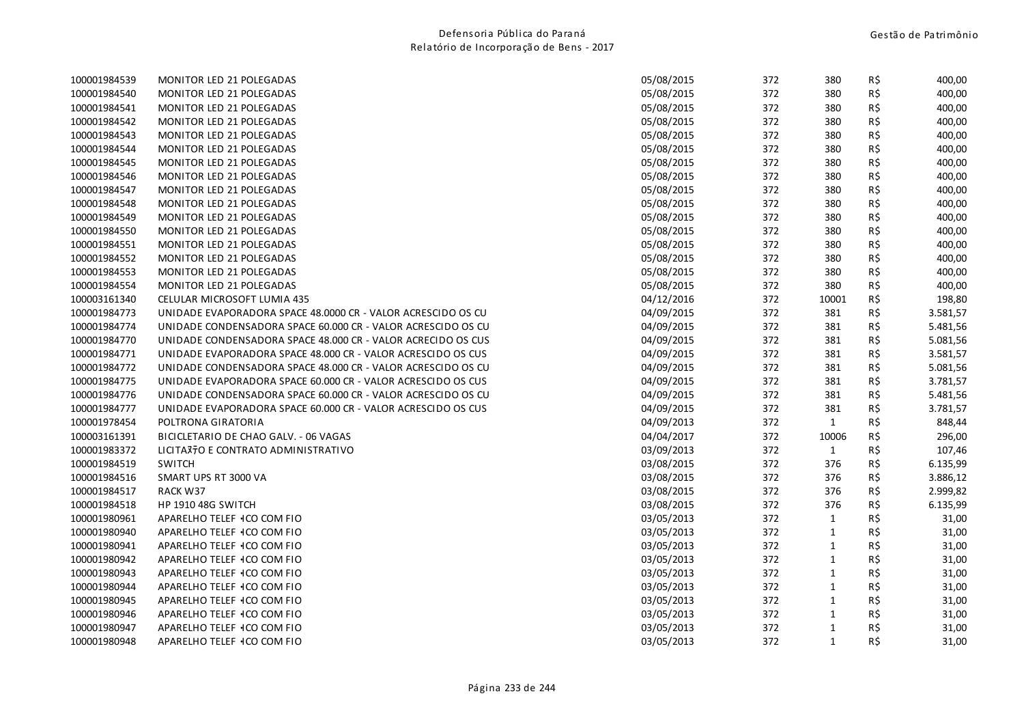| 100001984539 | MONITOR LED 21 POLEGADAS                                     | 05/08/2015 | 372 | 380          | R\$ | 400,00   |
|--------------|--------------------------------------------------------------|------------|-----|--------------|-----|----------|
| 100001984540 | MONITOR LED 21 POLEGADAS                                     | 05/08/2015 | 372 | 380          | R\$ | 400,00   |
| 100001984541 | MONITOR LED 21 POLEGADAS                                     | 05/08/2015 | 372 | 380          | R\$ | 400,00   |
| 100001984542 | MONITOR LED 21 POLEGADAS                                     | 05/08/2015 | 372 | 380          | R\$ | 400,00   |
| 100001984543 | MONITOR LED 21 POLEGADAS                                     | 05/08/2015 | 372 | 380          | R\$ | 400,00   |
| 100001984544 | MONITOR LED 21 POLEGADAS                                     | 05/08/2015 | 372 | 380          | R\$ | 400,00   |
| 100001984545 | MONITOR LED 21 POLEGADAS                                     | 05/08/2015 | 372 | 380          | R\$ | 400,00   |
| 100001984546 | MONITOR LED 21 POLEGADAS                                     | 05/08/2015 | 372 | 380          | R\$ | 400,00   |
| 100001984547 | MONITOR LED 21 POLEGADAS                                     | 05/08/2015 | 372 | 380          | R\$ | 400,00   |
| 100001984548 | MONITOR LED 21 POLEGADAS                                     | 05/08/2015 | 372 | 380          | R\$ | 400,00   |
| 100001984549 | MONITOR LED 21 POLEGADAS                                     | 05/08/2015 | 372 | 380          | R\$ | 400,00   |
| 100001984550 | MONITOR LED 21 POLEGADAS                                     | 05/08/2015 | 372 | 380          | R\$ | 400,00   |
| 100001984551 | MONITOR LED 21 POLEGADAS                                     | 05/08/2015 | 372 | 380          | R\$ | 400,00   |
| 100001984552 | MONITOR LED 21 POLEGADAS                                     | 05/08/2015 | 372 | 380          | R\$ | 400,00   |
| 100001984553 | MONITOR LED 21 POLEGADAS                                     | 05/08/2015 | 372 | 380          | R\$ | 400,00   |
| 100001984554 | MONITOR LED 21 POLEGADAS                                     | 05/08/2015 | 372 | 380          | R\$ | 400,00   |
| 100003161340 | CELULAR MICROSOFT LUMIA 435                                  | 04/12/2016 | 372 | 10001        | R\$ | 198,80   |
| 100001984773 | UNIDADE EVAPORADORA SPACE 48.0000 CR - VALOR ACRESCIDO OS CU | 04/09/2015 | 372 | 381          | R\$ | 3.581,57 |
| 100001984774 | UNIDADE CONDENSADORA SPACE 60.000 CR - VALOR ACRESCIDO OS CU | 04/09/2015 | 372 | 381          | R\$ | 5.481,56 |
| 100001984770 | UNIDADE CONDENSADORA SPACE 48.000 CR - VALOR ACRECIDO OS CUS | 04/09/2015 | 372 | 381          | R\$ | 5.081,56 |
| 100001984771 | UNIDADE EVAPORADORA SPACE 48.000 CR - VALOR ACRESCIDO OS CUS | 04/09/2015 | 372 | 381          | R\$ | 3.581,57 |
| 100001984772 | UNIDADE CONDENSADORA SPACE 48.000 CR - VALOR ACRESCIDO OS CU | 04/09/2015 | 372 | 381          | R\$ | 5.081,56 |
| 100001984775 | UNIDADE EVAPORADORA SPACE 60.000 CR - VALOR ACRESCIDO OS CUS | 04/09/2015 | 372 | 381          | R\$ | 3.781,57 |
| 100001984776 | UNIDADE CONDENSADORA SPACE 60.000 CR - VALOR ACRESCIDO OS CU | 04/09/2015 | 372 | 381          | R\$ | 5.481,56 |
| 100001984777 | UNIDADE EVAPORADORA SPACE 60.000 CR - VALOR ACRESCIDO OS CUS | 04/09/2015 | 372 | 381          | R\$ | 3.781,57 |
| 100001978454 | POLTRONA GIRATORIA                                           | 04/09/2013 | 372 | $\mathbf{1}$ | R\$ | 848,44   |
| 100003161391 | BICICLETARIO DE CHAO GALV. - 06 VAGAS                        | 04/04/2017 | 372 | 10006        | R\$ | 296,00   |
| 100001983372 | LICITA370 E CONTRATO ADMINISTRATIVO                          | 03/09/2013 | 372 | $\mathbf{1}$ | R\$ | 107,46   |
| 100001984519 | <b>SWITCH</b>                                                | 03/08/2015 | 372 | 376          | R\$ | 6.135,99 |
| 100001984516 | SMART UPS RT 3000 VA                                         | 03/08/2015 | 372 | 376          | R\$ | 3.886,12 |
| 100001984517 | RACK W37                                                     | 03/08/2015 | 372 | 376          | R\$ | 2.999,82 |
| 100001984518 | HP 1910 48G SWITCH                                           | 03/08/2015 | 372 | 376          | R\$ | 6.135,99 |
| 100001980961 | APARELHO TELEF 4CO COM FIO                                   | 03/05/2013 | 372 | $\mathbf{1}$ | R\$ | 31,00    |
| 100001980940 | APARELHO TELEF 1CO COM FIO                                   | 03/05/2013 | 372 | $\mathbf{1}$ | R\$ | 31,00    |
| 100001980941 | APARELHO TELEF 4CO COM FIO                                   | 03/05/2013 | 372 | $\mathbf{1}$ | R\$ | 31,00    |
| 100001980942 | APARELHO TELEF 1CO COM FIO                                   | 03/05/2013 | 372 | $\mathbf{1}$ | R\$ | 31,00    |
| 100001980943 | APARELHO TELEF 1CO COM FIO                                   | 03/05/2013 | 372 | $\mathbf{1}$ | R\$ | 31,00    |
| 100001980944 | APARELHO TELEF 1CO COM FIO                                   | 03/05/2013 | 372 | $\mathbf{1}$ | R\$ | 31,00    |
| 100001980945 | APARELHO TELEF 4CO COM FIO                                   | 03/05/2013 | 372 | $\mathbf{1}$ | R\$ | 31,00    |
| 100001980946 | APARELHO TELEF 1CO COM FIO                                   | 03/05/2013 | 372 | $\mathbf{1}$ | R\$ | 31,00    |
| 100001980947 | APARELHO TELEF 1CO COM FIO                                   | 03/05/2013 | 372 | $\mathbf{1}$ | R\$ | 31,00    |
| 100001980948 | APARELHO TELEF 4CO COM FIO                                   | 03/05/2013 | 372 | $\mathbf{1}$ | R\$ | 31,00    |
|              |                                                              |            |     |              |     |          |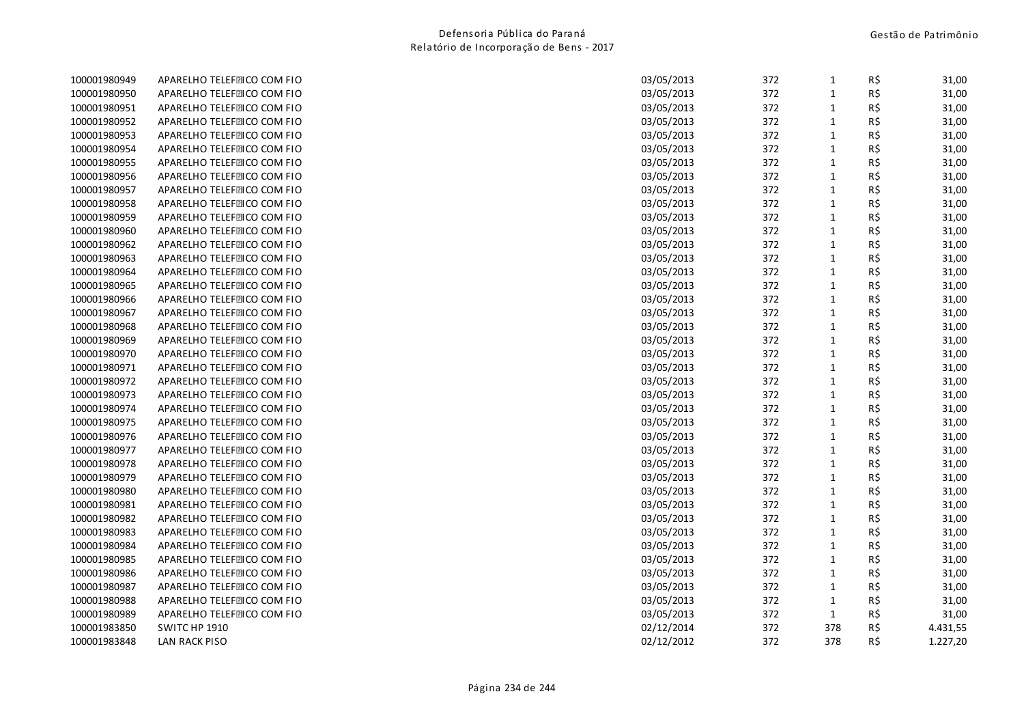| 100001980949 | APARELHO TELEFEICO COM FIO | 03/05/2013<br>372<br>$\mathbf{1}$ | R\$ | 31,00    |
|--------------|----------------------------|-----------------------------------|-----|----------|
| 100001980950 | APARELHO TELEFEICO COM FIO | 372<br>$\mathbf 1$<br>03/05/2013  | R\$ | 31,00    |
| 100001980951 | APARELHO TELEFEICO COM FIO | 372<br>$\mathbf{1}$<br>03/05/2013 | R\$ | 31,00    |
| 100001980952 | APARELHO TELEFEICO COM FIO | 372<br>$\mathbf{1}$<br>03/05/2013 | R\$ | 31,00    |
| 100001980953 | APARELHO TELEFEICO COM FIO | $\mathbf{1}$<br>03/05/2013<br>372 | R\$ | 31,00    |
| 100001980954 | APARELHO TELEFEICO COM FIO | 03/05/2013<br>372<br>$\mathbf{1}$ | R\$ | 31,00    |
| 100001980955 | APARELHO TELEFEICO COM FIO | 03/05/2013<br>372<br>$\mathbf{1}$ | R\$ | 31,00    |
| 100001980956 | APARELHO TELEFEICO COM FIO | $\mathbf{1}$<br>03/05/2013<br>372 | R\$ | 31,00    |
| 100001980957 | APARELHO TELEFEICO COM FIO | $\mathbf 1$<br>03/05/2013<br>372  | R\$ | 31,00    |
| 100001980958 | APARELHO TELEFEICO COM FIO | 372<br>$\mathbf 1$<br>03/05/2013  | R\$ | 31,00    |
| 100001980959 | APARELHO TELEFEICO COM FIO | 03/05/2013<br>372<br>$\mathbf{1}$ | R\$ | 31,00    |
| 100001980960 | APARELHO TELEFEICO COM FIO | $\mathbf{1}$<br>03/05/2013<br>372 | R\$ | 31,00    |
| 100001980962 | APARELHO TELEFEICO COM FIO | 372<br>$\mathbf{1}$<br>03/05/2013 | R\$ | 31,00    |
| 100001980963 | APARELHO TELEFEICO COM FIO | $\mathbf{1}$<br>03/05/2013<br>372 | R\$ | 31,00    |
| 100001980964 | APARELHO TELEFEICO COM FIO | 03/05/2013<br>372<br>$\mathbf 1$  | R\$ | 31,00    |
| 100001980965 | APARELHO TELEFEICO COM FIO | 03/05/2013<br>372<br>$\mathbf{1}$ | R\$ | 31,00    |
| 100001980966 | APARELHO TELEFEICO COM FIO | 372<br>$\mathbf{1}$<br>03/05/2013 | R\$ | 31,00    |
| 100001980967 | APARELHO TELEFEICO COM FIO | 372<br>$\mathbf{1}$<br>03/05/2013 | R\$ | 31,00    |
| 100001980968 | APARELHO TELEFEICO COM FIO | 372<br>$\mathbf 1$<br>03/05/2013  | R\$ | 31,00    |
| 100001980969 | APARELHO TELEFEICO COM FIO | 03/05/2013<br>372<br>$\mathbf{1}$ | R\$ | 31,00    |
| 100001980970 | APARELHO TELEFEICO COM FIO | $\mathbf{1}$<br>03/05/2013<br>372 | R\$ | 31,00    |
| 100001980971 | APARELHO TELEFEICO COM FIO | $\mathbf{1}$<br>03/05/2013<br>372 | R\$ | 31,00    |
| 100001980972 | APARELHO TELEFEICO COM FIO | $\mathbf 1$<br>372<br>03/05/2013  | R\$ | 31,00    |
| 100001980973 | APARELHO TELEFEICO COM FIO | 03/05/2013<br>372<br>$\mathbf{1}$ | R\$ | 31,00    |
| 100001980974 | APARELHO TELEFEICO COM FIO | 372<br>$\mathbf 1$<br>03/05/2013  | R\$ | 31,00    |
| 100001980975 | APARELHO TELEFEICO COM FIO | 372<br>$\mathbf{1}$<br>03/05/2013 | R\$ | 31,00    |
| 100001980976 | APARELHO TELEFEICO COM FIO | $\mathbf{1}$<br>03/05/2013<br>372 | R\$ | 31,00    |
| 100001980977 | APARELHO TELEFEICO COM FIO | $\mathbf{1}$<br>03/05/2013<br>372 | R\$ | 31,00    |
| 100001980978 | APARELHO TELEFEICO COM FIO | $\mathbf{1}$<br>03/05/2013<br>372 | R\$ | 31,00    |
| 100001980979 | APARELHO TELEFEICO COM FIO | 372<br>$\mathbf{1}$<br>03/05/2013 | R\$ | 31,00    |
| 100001980980 | APARELHO TELEFEICO COM FIO | $\mathbf 1$<br>03/05/2013<br>372  | R\$ | 31,00    |
| 100001980981 | APARELHO TELEFEICO COM FIO | $\mathbf 1$<br>03/05/2013<br>372  | R\$ | 31,00    |
| 100001980982 | APARELHO TELEFEICO COM FIO | $\mathbf 1$<br>03/05/2013<br>372  | R\$ | 31,00    |
| 100001980983 | APARELHO TELEFEICO COM FIO | 03/05/2013<br>372<br>$\mathbf{1}$ | R\$ | 31,00    |
| 100001980984 | APARELHO TELEFEICO COM FIO | 372<br>$\mathbf{1}$<br>03/05/2013 | R\$ | 31,00    |
| 100001980985 | APARELHO TELEFEICO COM FIO | $\mathbf{1}$<br>372<br>03/05/2013 | R\$ | 31,00    |
| 100001980986 | APARELHO TELEFEICO COM FIO | $\mathbf{1}$<br>03/05/2013<br>372 | R\$ | 31,00    |
| 100001980987 | APARELHO TELEFEICO COM FIO | 03/05/2013<br>372<br>$\mathbf{1}$ | R\$ | 31,00    |
| 100001980988 | APARELHO TELEFEICO COM FIO | $\mathbf 1$<br>03/05/2013<br>372  | R\$ | 31,00    |
| 100001980989 | APARELHO TELEFEICO COM FIO | 03/05/2013<br>372<br>$\mathbf{1}$ | R\$ | 31,00    |
| 100001983850 | <b>SWITC HP 1910</b>       | 378<br>372<br>02/12/2014          | R\$ | 4.431,55 |
| 100001983848 | LAN RACK PISO              | 372<br>378<br>02/12/2012          | R\$ | 1.227,20 |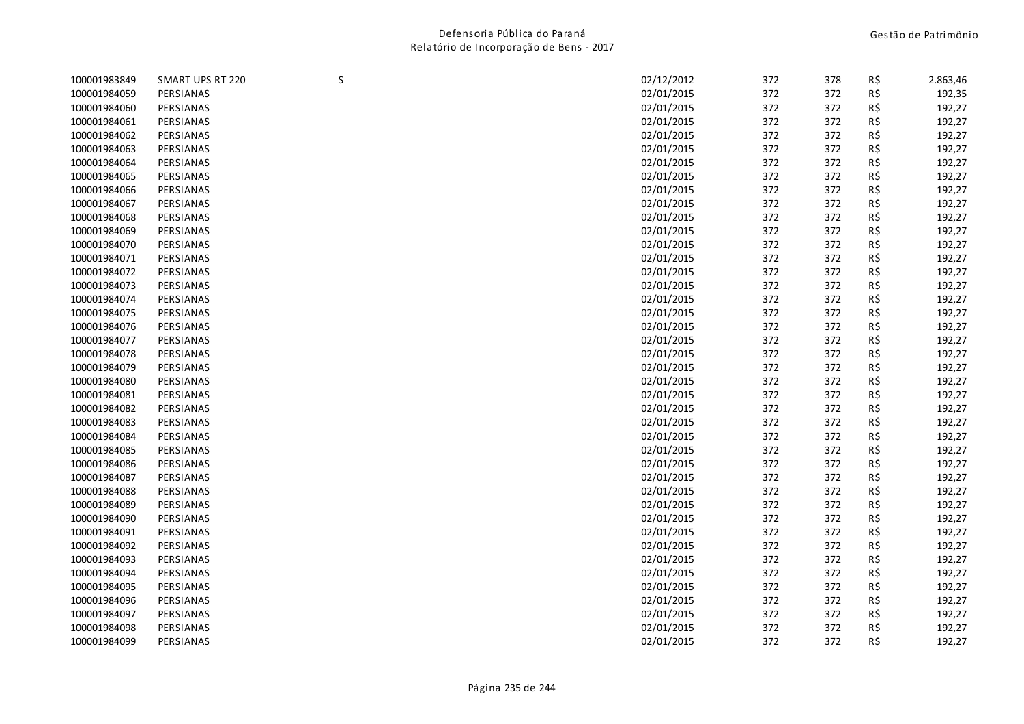| 100001984059 | PERSIANAS<br>PERSIANAS | 02/01/2015 | 372 | 372 | R\$ |        |
|--------------|------------------------|------------|-----|-----|-----|--------|
|              |                        |            |     |     |     | 192,35 |
| 100001984060 |                        | 02/01/2015 | 372 | 372 | R\$ | 192,27 |
| 100001984061 | PERSIANAS              | 02/01/2015 | 372 | 372 | R\$ | 192,27 |
| 100001984062 | PERSIANAS              | 02/01/2015 | 372 | 372 | R\$ | 192,27 |
| 100001984063 | PERSIANAS              | 02/01/2015 | 372 | 372 | R\$ | 192,27 |
| 100001984064 | PERSIANAS              | 02/01/2015 | 372 | 372 | R\$ | 192,27 |
| 100001984065 | PERSIANAS              | 02/01/2015 | 372 | 372 | R\$ | 192,27 |
| 100001984066 | PERSIANAS              | 02/01/2015 | 372 | 372 | R\$ | 192,27 |
| 100001984067 | PERSIANAS              | 02/01/2015 | 372 | 372 | R\$ | 192,27 |
| 100001984068 | PERSIANAS              | 02/01/2015 | 372 | 372 | R\$ | 192,27 |
| 100001984069 | PERSIANAS              | 02/01/2015 | 372 | 372 | R\$ | 192,27 |
| 100001984070 | PERSIANAS              | 02/01/2015 | 372 | 372 | R\$ | 192,27 |
| 100001984071 | PERSIANAS              | 02/01/2015 | 372 | 372 | R\$ | 192,27 |
| 100001984072 | PERSIANAS              | 02/01/2015 | 372 | 372 | R\$ | 192,27 |
| 100001984073 | PERSIANAS              | 02/01/2015 | 372 | 372 | R\$ | 192,27 |
| 100001984074 | PERSIANAS              | 02/01/2015 | 372 | 372 | R\$ | 192,27 |
| 100001984075 | PERSIANAS              | 02/01/2015 | 372 | 372 | R\$ | 192,27 |
| 100001984076 | PERSIANAS              | 02/01/2015 | 372 | 372 | R\$ | 192,27 |
| 100001984077 | PERSIANAS              | 02/01/2015 | 372 | 372 | R\$ | 192,27 |
| 100001984078 | PERSIANAS              | 02/01/2015 | 372 | 372 | R\$ | 192,27 |
| 100001984079 | PERSIANAS              | 02/01/2015 | 372 | 372 | R\$ | 192,27 |
| 100001984080 | PERSIANAS              | 02/01/2015 | 372 | 372 | R\$ | 192,27 |
| 100001984081 | PERSIANAS              | 02/01/2015 | 372 | 372 | R\$ | 192,27 |
| 100001984082 | PERSIANAS              | 02/01/2015 | 372 | 372 | R\$ | 192,27 |
| 100001984083 | PERSIANAS              | 02/01/2015 | 372 | 372 | R\$ | 192,27 |
| 100001984084 | PERSIANAS              | 02/01/2015 | 372 | 372 | R\$ | 192,27 |
| 100001984085 | PERSIANAS              | 02/01/2015 | 372 | 372 | R\$ | 192,27 |
| 100001984086 | PERSIANAS              | 02/01/2015 | 372 | 372 | R\$ | 192,27 |
| 100001984087 | PERSIANAS              | 02/01/2015 | 372 | 372 | R\$ | 192,27 |
| 100001984088 | PERSIANAS              | 02/01/2015 | 372 | 372 | R\$ | 192,27 |
| 100001984089 | PERSIANAS              | 02/01/2015 | 372 | 372 | R\$ | 192,27 |
| 100001984090 | PERSIANAS              | 02/01/2015 | 372 | 372 | R\$ | 192,27 |
| 100001984091 | PERSIANAS              | 02/01/2015 | 372 | 372 | R\$ | 192,27 |
| 100001984092 | PERSIANAS              | 02/01/2015 | 372 | 372 | R\$ | 192,27 |
| 100001984093 | PERSIANAS              | 02/01/2015 | 372 | 372 | R\$ | 192,27 |
| 100001984094 | PERSIANAS              | 02/01/2015 | 372 | 372 | R\$ | 192,27 |
| 100001984095 | PERSIANAS              | 02/01/2015 | 372 | 372 | R\$ | 192,27 |
| 100001984096 | PERSIANAS              | 02/01/2015 | 372 | 372 | R\$ | 192,27 |
| 100001984097 | PERSIANAS              | 02/01/2015 | 372 | 372 | R\$ | 192,27 |
| 100001984098 | PERSIANAS              | 02/01/2015 | 372 | 372 | R\$ | 192,27 |
| 100001984099 | PERSIANAS              | 02/01/2015 | 372 | 372 | R\$ | 192,27 |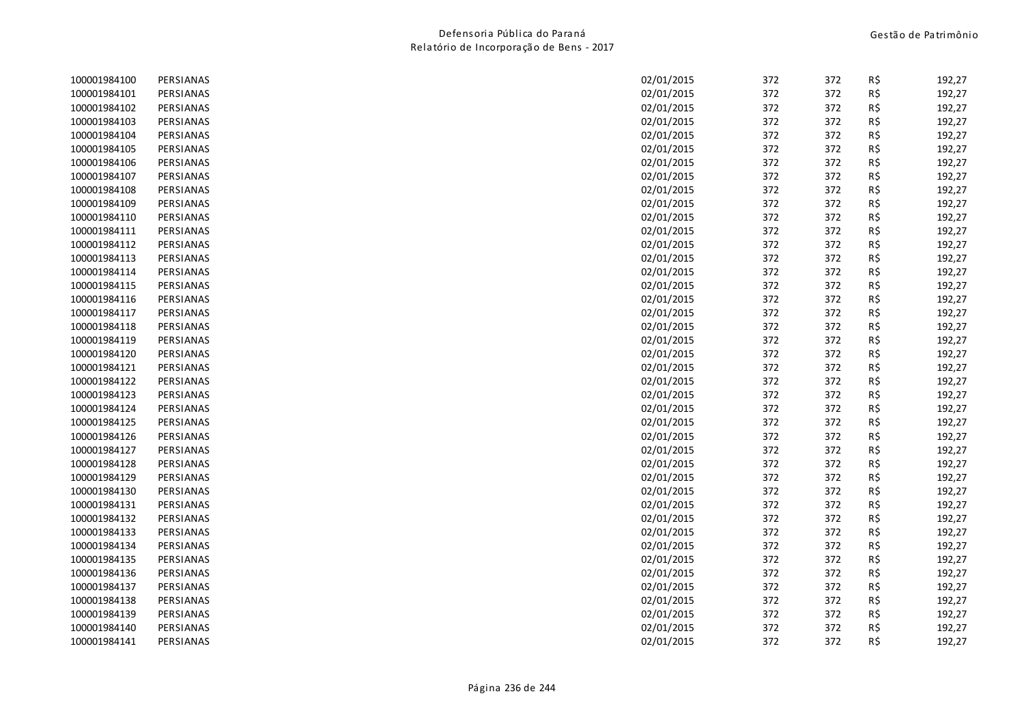| 100001984100 | PERSIANAS | 02/01/2015 | 372 | 372 | R\$ | 192,27 |
|--------------|-----------|------------|-----|-----|-----|--------|
| 100001984101 | PERSIANAS | 02/01/2015 | 372 | 372 | R\$ | 192,27 |
| 100001984102 | PERSIANAS | 02/01/2015 | 372 | 372 | R\$ | 192,27 |
| 100001984103 | PERSIANAS | 02/01/2015 | 372 | 372 | R\$ | 192,27 |
| 100001984104 | PERSIANAS | 02/01/2015 | 372 | 372 | R\$ | 192,27 |
| 100001984105 | PERSIANAS | 02/01/2015 | 372 | 372 | R\$ | 192,27 |
| 100001984106 | PERSIANAS | 02/01/2015 | 372 | 372 | R\$ | 192,27 |
| 100001984107 | PERSIANAS | 02/01/2015 | 372 | 372 | R\$ | 192,27 |
| 100001984108 | PERSIANAS | 02/01/2015 | 372 | 372 | R\$ | 192,27 |
| 100001984109 | PERSIANAS | 02/01/2015 | 372 | 372 | R\$ | 192,27 |
| 100001984110 | PERSIANAS | 02/01/2015 | 372 | 372 | R\$ | 192,27 |
| 100001984111 | PERSIANAS | 02/01/2015 | 372 | 372 | R\$ | 192,27 |
| 100001984112 | PERSIANAS | 02/01/2015 | 372 | 372 | R\$ | 192,27 |
| 100001984113 | PERSIANAS | 02/01/2015 | 372 | 372 | R\$ | 192,27 |
| 100001984114 | PERSIANAS | 02/01/2015 | 372 | 372 | R\$ | 192,27 |
| 100001984115 | PERSIANAS | 02/01/2015 | 372 | 372 | R\$ | 192,27 |
| 100001984116 | PERSIANAS | 02/01/2015 | 372 | 372 | R\$ | 192,27 |
| 100001984117 | PERSIANAS | 02/01/2015 | 372 | 372 | R\$ | 192,27 |
| 100001984118 | PERSIANAS | 02/01/2015 | 372 | 372 | R\$ | 192,27 |
| 100001984119 | PERSIANAS | 02/01/2015 | 372 | 372 | R\$ | 192,27 |
| 100001984120 | PERSIANAS | 02/01/2015 | 372 | 372 | R\$ | 192,27 |
| 100001984121 | PERSIANAS | 02/01/2015 | 372 | 372 | R\$ | 192,27 |
| 100001984122 | PERSIANAS | 02/01/2015 | 372 | 372 | R\$ | 192,27 |
| 100001984123 | PERSIANAS | 02/01/2015 | 372 | 372 | R\$ | 192,27 |
| 100001984124 | PERSIANAS | 02/01/2015 | 372 | 372 | R\$ | 192,27 |
| 100001984125 | PERSIANAS | 02/01/2015 | 372 | 372 | R\$ | 192,27 |
| 100001984126 | PERSIANAS | 02/01/2015 | 372 | 372 | R\$ | 192,27 |
| 100001984127 | PERSIANAS | 02/01/2015 | 372 | 372 | R\$ | 192,27 |
| 100001984128 | PERSIANAS | 02/01/2015 | 372 | 372 | R\$ | 192,27 |
| 100001984129 | PERSIANAS | 02/01/2015 | 372 | 372 | R\$ | 192,27 |
| 100001984130 | PERSIANAS | 02/01/2015 | 372 | 372 | R\$ | 192,27 |
| 100001984131 | PERSIANAS | 02/01/2015 | 372 | 372 | R\$ | 192,27 |
| 100001984132 | PERSIANAS | 02/01/2015 | 372 | 372 | R\$ | 192,27 |
| 100001984133 | PERSIANAS | 02/01/2015 | 372 | 372 | R\$ | 192,27 |
| 100001984134 | PERSIANAS | 02/01/2015 | 372 | 372 | R\$ | 192,27 |
| 100001984135 | PERSIANAS | 02/01/2015 | 372 | 372 | R\$ | 192,27 |
| 100001984136 | PERSIANAS | 02/01/2015 | 372 | 372 | R\$ | 192,27 |
| 100001984137 | PERSIANAS | 02/01/2015 | 372 | 372 | R\$ | 192,27 |
| 100001984138 | PERSIANAS | 02/01/2015 | 372 | 372 | R\$ | 192,27 |
| 100001984139 | PERSIANAS | 02/01/2015 | 372 | 372 | R\$ | 192,27 |
| 100001984140 | PERSIANAS | 02/01/2015 | 372 | 372 | R\$ | 192,27 |
| 100001984141 | PERSIANAS | 02/01/2015 | 372 | 372 | R\$ | 192,27 |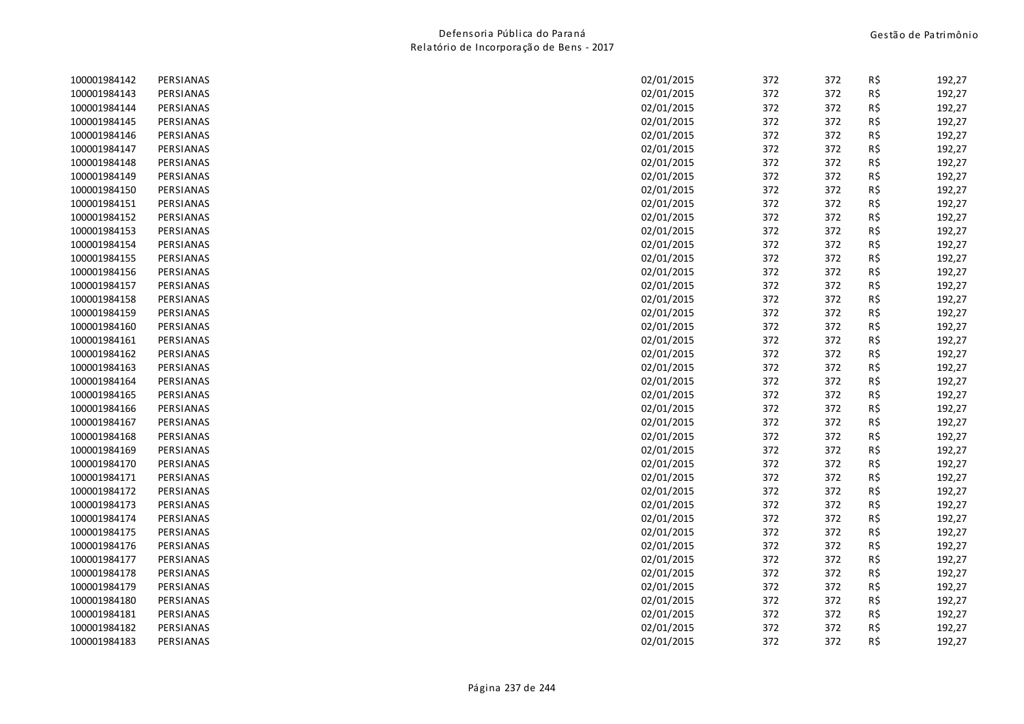| 100001984142 | PERSIANAS | 02/01/2015 | 372 | 372 | R\$ | 192,27 |
|--------------|-----------|------------|-----|-----|-----|--------|
| 100001984143 | PERSIANAS | 02/01/2015 | 372 | 372 | R\$ | 192,27 |
| 100001984144 | PERSIANAS | 02/01/2015 | 372 | 372 | R\$ | 192,27 |
| 100001984145 | PERSIANAS | 02/01/2015 | 372 | 372 | R\$ | 192,27 |
| 100001984146 | PERSIANAS | 02/01/2015 | 372 | 372 | R\$ | 192,27 |
| 100001984147 | PERSIANAS | 02/01/2015 | 372 | 372 | R\$ | 192,27 |
| 100001984148 | PERSIANAS | 02/01/2015 | 372 | 372 | R\$ | 192,27 |
| 100001984149 | PERSIANAS | 02/01/2015 | 372 | 372 | R\$ | 192,27 |
| 100001984150 | PERSIANAS | 02/01/2015 | 372 | 372 | R\$ | 192,27 |
| 100001984151 | PERSIANAS | 02/01/2015 | 372 | 372 | R\$ | 192,27 |
| 100001984152 | PERSIANAS | 02/01/2015 | 372 | 372 | R\$ | 192,27 |
| 100001984153 | PERSIANAS | 02/01/2015 | 372 | 372 | R\$ | 192,27 |
| 100001984154 | PERSIANAS | 02/01/2015 | 372 | 372 | R\$ | 192,27 |
| 100001984155 | PERSIANAS | 02/01/2015 | 372 | 372 | R\$ | 192,27 |
| 100001984156 | PERSIANAS | 02/01/2015 | 372 | 372 | R\$ | 192,27 |
| 100001984157 | PERSIANAS | 02/01/2015 | 372 | 372 | R\$ | 192,27 |
| 100001984158 | PERSIANAS | 02/01/2015 | 372 | 372 | R\$ | 192,27 |
| 100001984159 | PERSIANAS | 02/01/2015 | 372 | 372 | R\$ | 192,27 |
| 100001984160 | PERSIANAS | 02/01/2015 | 372 | 372 | R\$ | 192,27 |
| 100001984161 | PERSIANAS | 02/01/2015 | 372 | 372 | R\$ | 192,27 |
| 100001984162 | PERSIANAS | 02/01/2015 | 372 | 372 | R\$ | 192,27 |
| 100001984163 | PERSIANAS | 02/01/2015 | 372 | 372 | R\$ | 192,27 |
| 100001984164 | PERSIANAS | 02/01/2015 | 372 | 372 | R\$ | 192,27 |
| 100001984165 | PERSIANAS | 02/01/2015 | 372 | 372 | R\$ | 192,27 |
| 100001984166 | PERSIANAS | 02/01/2015 | 372 | 372 | R\$ | 192,27 |
| 100001984167 | PERSIANAS | 02/01/2015 | 372 | 372 | R\$ | 192,27 |
| 100001984168 | PERSIANAS | 02/01/2015 | 372 | 372 | R\$ | 192,27 |
| 100001984169 | PERSIANAS | 02/01/2015 | 372 | 372 | R\$ | 192,27 |
| 100001984170 | PERSIANAS | 02/01/2015 | 372 | 372 | R\$ | 192,27 |
| 100001984171 | PERSIANAS | 02/01/2015 | 372 | 372 | R\$ | 192,27 |
| 100001984172 | PERSIANAS | 02/01/2015 | 372 | 372 | R\$ | 192,27 |
| 100001984173 | PERSIANAS | 02/01/2015 | 372 | 372 | R\$ | 192,27 |
| 100001984174 | PERSIANAS | 02/01/2015 | 372 | 372 | R\$ | 192,27 |
| 100001984175 | PERSIANAS | 02/01/2015 | 372 | 372 | R\$ | 192,27 |
| 100001984176 | PERSIANAS | 02/01/2015 | 372 | 372 | R\$ | 192,27 |
| 100001984177 | PERSIANAS | 02/01/2015 | 372 | 372 | R\$ | 192,27 |
| 100001984178 | PERSIANAS | 02/01/2015 | 372 | 372 | R\$ | 192,27 |
| 100001984179 | PERSIANAS | 02/01/2015 | 372 | 372 | R\$ | 192,27 |
| 100001984180 | PERSIANAS | 02/01/2015 | 372 | 372 | R\$ | 192,27 |
| 100001984181 | PERSIANAS | 02/01/2015 | 372 | 372 | R\$ | 192,27 |
| 100001984182 | PERSIANAS | 02/01/2015 | 372 | 372 | R\$ | 192,27 |
| 100001984183 | PERSIANAS | 02/01/2015 | 372 | 372 | R\$ | 192,27 |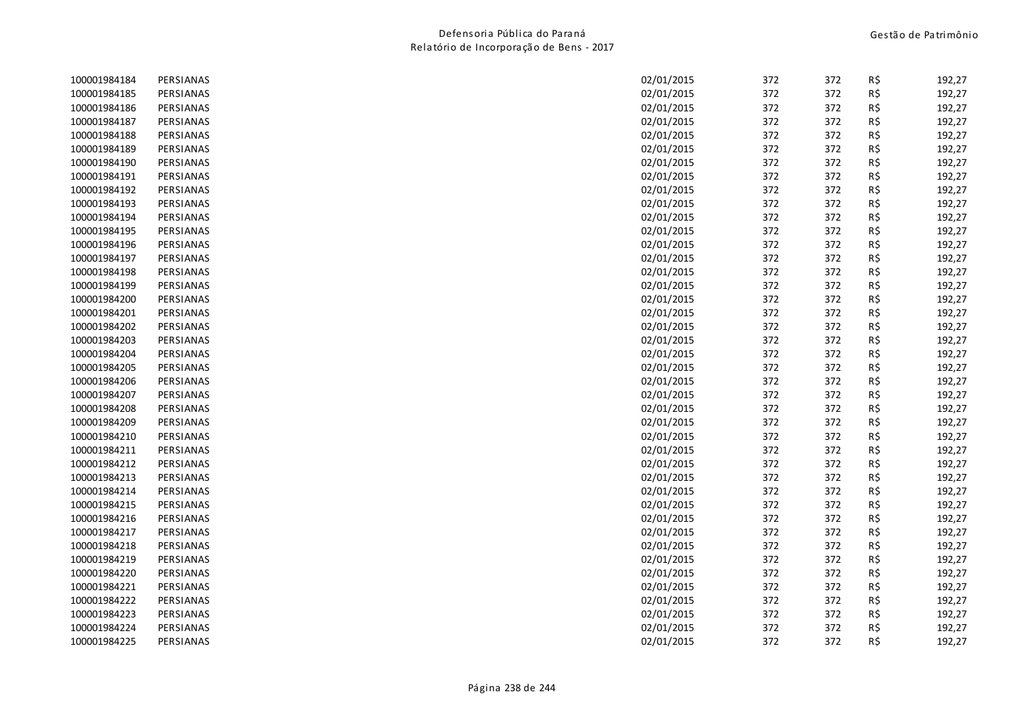| 100001984184 | PERSIANAS | 02/01/2015 | 372 | 372 | R\$ | 192,27 |
|--------------|-----------|------------|-----|-----|-----|--------|
| 100001984185 | PERSIANAS | 02/01/2015 | 372 | 372 | R\$ | 192,27 |
| 100001984186 | PERSIANAS | 02/01/2015 | 372 | 372 | R\$ | 192,27 |
| 100001984187 | PERSIANAS | 02/01/2015 | 372 | 372 | R\$ | 192,27 |
| 100001984188 | PERSIANAS | 02/01/2015 | 372 | 372 | R\$ | 192,27 |
| 100001984189 | PERSIANAS | 02/01/2015 | 372 | 372 | R\$ | 192,27 |
| 100001984190 | PERSIANAS | 02/01/2015 | 372 | 372 | R\$ | 192,27 |
| 100001984191 | PERSIANAS | 02/01/2015 | 372 | 372 | R\$ | 192,27 |
| 100001984192 | PERSIANAS | 02/01/2015 | 372 | 372 | R\$ | 192,27 |
| 100001984193 | PERSIANAS | 02/01/2015 | 372 | 372 | R\$ | 192,27 |
| 100001984194 | PERSIANAS | 02/01/2015 | 372 | 372 | R\$ | 192,27 |
| 100001984195 | PERSIANAS | 02/01/2015 | 372 | 372 | R\$ | 192,27 |
| 100001984196 | PERSIANAS | 02/01/2015 | 372 | 372 | R\$ | 192,27 |
| 100001984197 | PERSIANAS | 02/01/2015 | 372 | 372 | R\$ | 192,27 |
| 100001984198 | PERSIANAS | 02/01/2015 | 372 | 372 | R\$ | 192,27 |
| 100001984199 | PERSIANAS | 02/01/2015 | 372 | 372 | R\$ | 192,27 |
| 100001984200 | PERSIANAS | 02/01/2015 | 372 | 372 | R\$ | 192,27 |
| 100001984201 | PERSIANAS | 02/01/2015 | 372 | 372 | R\$ | 192,27 |
| 100001984202 | PERSIANAS | 02/01/2015 | 372 | 372 | R\$ | 192,27 |
| 100001984203 | PERSIANAS | 02/01/2015 | 372 | 372 | R\$ | 192,27 |
| 100001984204 | PERSIANAS | 02/01/2015 | 372 | 372 | R\$ | 192,27 |
| 100001984205 | PERSIANAS | 02/01/2015 | 372 | 372 | R\$ | 192,27 |
| 100001984206 | PERSIANAS | 02/01/2015 | 372 | 372 | R\$ | 192,27 |
| 100001984207 | PERSIANAS | 02/01/2015 | 372 | 372 | R\$ | 192,27 |
| 100001984208 | PERSIANAS | 02/01/2015 | 372 | 372 | R\$ | 192,27 |
| 100001984209 | PERSIANAS | 02/01/2015 | 372 | 372 | R\$ | 192,27 |
| 100001984210 | PERSIANAS | 02/01/2015 | 372 | 372 | R\$ | 192,27 |
| 100001984211 | PERSIANAS | 02/01/2015 | 372 | 372 | R\$ | 192,27 |
| 100001984212 | PERSIANAS | 02/01/2015 | 372 | 372 | R\$ | 192,27 |
| 100001984213 | PERSIANAS | 02/01/2015 | 372 | 372 | R\$ | 192,27 |
| 100001984214 | PERSIANAS | 02/01/2015 | 372 | 372 | R\$ | 192,27 |
| 100001984215 | PERSIANAS | 02/01/2015 | 372 | 372 | R\$ | 192,27 |
| 100001984216 | PERSIANAS | 02/01/2015 | 372 | 372 | R\$ | 192,27 |
| 100001984217 | PERSIANAS | 02/01/2015 | 372 | 372 | R\$ | 192,27 |
| 100001984218 | PERSIANAS | 02/01/2015 | 372 | 372 | R\$ | 192,27 |
| 100001984219 | PERSIANAS | 02/01/2015 | 372 | 372 | R\$ | 192,27 |
| 100001984220 | PERSIANAS | 02/01/2015 | 372 | 372 | R\$ | 192,27 |
| 100001984221 | PERSIANAS | 02/01/2015 | 372 | 372 | R\$ | 192,27 |
| 100001984222 | PERSIANAS | 02/01/2015 | 372 | 372 | R\$ | 192,27 |
| 100001984223 | PERSIANAS | 02/01/2015 | 372 | 372 | R\$ | 192,27 |
| 100001984224 | PERSIANAS | 02/01/2015 | 372 | 372 | R\$ | 192,27 |
| 100001984225 | PERSIANAS | 02/01/2015 | 372 | 372 | R\$ | 192,27 |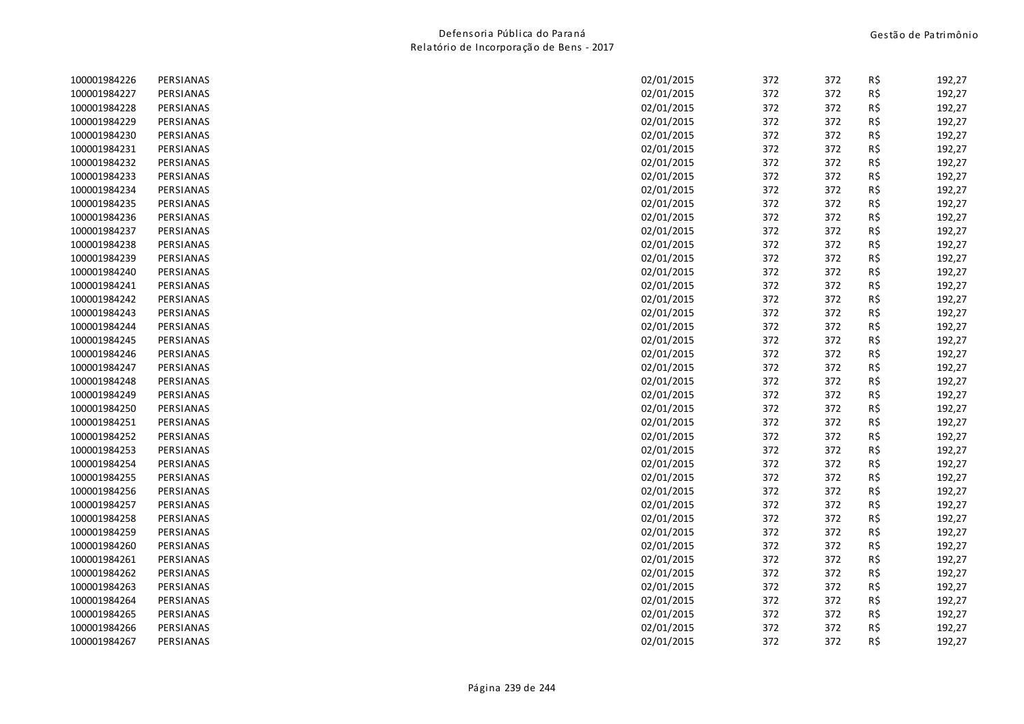| 100001984226 | PERSIANAS | 02/01/2015 | 372 | 372 | R\$ | 192,27 |
|--------------|-----------|------------|-----|-----|-----|--------|
| 100001984227 | PERSIANAS | 02/01/2015 | 372 | 372 | R\$ | 192,27 |
| 100001984228 | PERSIANAS | 02/01/2015 | 372 | 372 | R\$ | 192,27 |
| 100001984229 | PERSIANAS | 02/01/2015 | 372 | 372 | R\$ | 192,27 |
| 100001984230 | PERSIANAS | 02/01/2015 | 372 | 372 | R\$ | 192,27 |
| 100001984231 | PERSIANAS | 02/01/2015 | 372 | 372 | R\$ | 192,27 |
| 100001984232 | PERSIANAS | 02/01/2015 | 372 | 372 | R\$ | 192,27 |
| 100001984233 | PERSIANAS | 02/01/2015 | 372 | 372 | R\$ | 192,27 |
| 100001984234 | PERSIANAS | 02/01/2015 | 372 | 372 | R\$ | 192,27 |
| 100001984235 | PERSIANAS | 02/01/2015 | 372 | 372 | R\$ | 192,27 |
| 100001984236 | PERSIANAS | 02/01/2015 | 372 | 372 | R\$ | 192,27 |
| 100001984237 | PERSIANAS | 02/01/2015 | 372 | 372 | R\$ | 192,27 |
| 100001984238 | PERSIANAS | 02/01/2015 | 372 | 372 | R\$ | 192,27 |
| 100001984239 | PERSIANAS | 02/01/2015 | 372 | 372 | R\$ | 192,27 |
| 100001984240 | PERSIANAS | 02/01/2015 | 372 | 372 | R\$ | 192,27 |
| 100001984241 | PERSIANAS | 02/01/2015 | 372 | 372 | R\$ | 192,27 |
| 100001984242 | PERSIANAS | 02/01/2015 | 372 | 372 | R\$ | 192,27 |
| 100001984243 | PERSIANAS | 02/01/2015 | 372 | 372 | R\$ | 192,27 |
| 100001984244 | PERSIANAS | 02/01/2015 | 372 | 372 | R\$ | 192,27 |
| 100001984245 | PERSIANAS | 02/01/2015 | 372 | 372 | R\$ | 192,27 |
| 100001984246 | PERSIANAS | 02/01/2015 | 372 | 372 | R\$ | 192,27 |
| 100001984247 | PERSIANAS | 02/01/2015 | 372 | 372 | R\$ | 192,27 |
| 100001984248 | PERSIANAS | 02/01/2015 | 372 | 372 | R\$ | 192,27 |
| 100001984249 | PERSIANAS | 02/01/2015 | 372 | 372 | R\$ | 192,27 |
| 100001984250 | PERSIANAS | 02/01/2015 | 372 | 372 | R\$ | 192,27 |
| 100001984251 | PERSIANAS | 02/01/2015 | 372 | 372 | R\$ | 192,27 |
| 100001984252 | PERSIANAS | 02/01/2015 | 372 | 372 | R\$ | 192,27 |
| 100001984253 | PERSIANAS | 02/01/2015 | 372 | 372 | R\$ | 192,27 |
| 100001984254 | PERSIANAS | 02/01/2015 | 372 | 372 | R\$ | 192,27 |
| 100001984255 | PERSIANAS | 02/01/2015 | 372 | 372 | R\$ | 192,27 |
| 100001984256 | PERSIANAS | 02/01/2015 | 372 | 372 | R\$ | 192,27 |
| 100001984257 | PERSIANAS | 02/01/2015 | 372 | 372 | R\$ | 192,27 |
| 100001984258 | PERSIANAS | 02/01/2015 | 372 | 372 | R\$ | 192,27 |
| 100001984259 | PERSIANAS | 02/01/2015 | 372 | 372 | R\$ | 192,27 |
| 100001984260 | PERSIANAS | 02/01/2015 | 372 | 372 | R\$ | 192,27 |
| 100001984261 | PERSIANAS | 02/01/2015 | 372 | 372 | R\$ | 192,27 |
| 100001984262 | PERSIANAS | 02/01/2015 | 372 | 372 | R\$ | 192,27 |
| 100001984263 | PERSIANAS | 02/01/2015 | 372 | 372 | R\$ | 192,27 |
| 100001984264 | PERSIANAS | 02/01/2015 | 372 | 372 | R\$ | 192,27 |
| 100001984265 | PERSIANAS | 02/01/2015 | 372 | 372 | R\$ | 192,27 |
| 100001984266 | PERSIANAS | 02/01/2015 | 372 | 372 | R\$ | 192,27 |
| 100001984267 | PERSIANAS | 02/01/2015 | 372 | 372 | R\$ | 192,27 |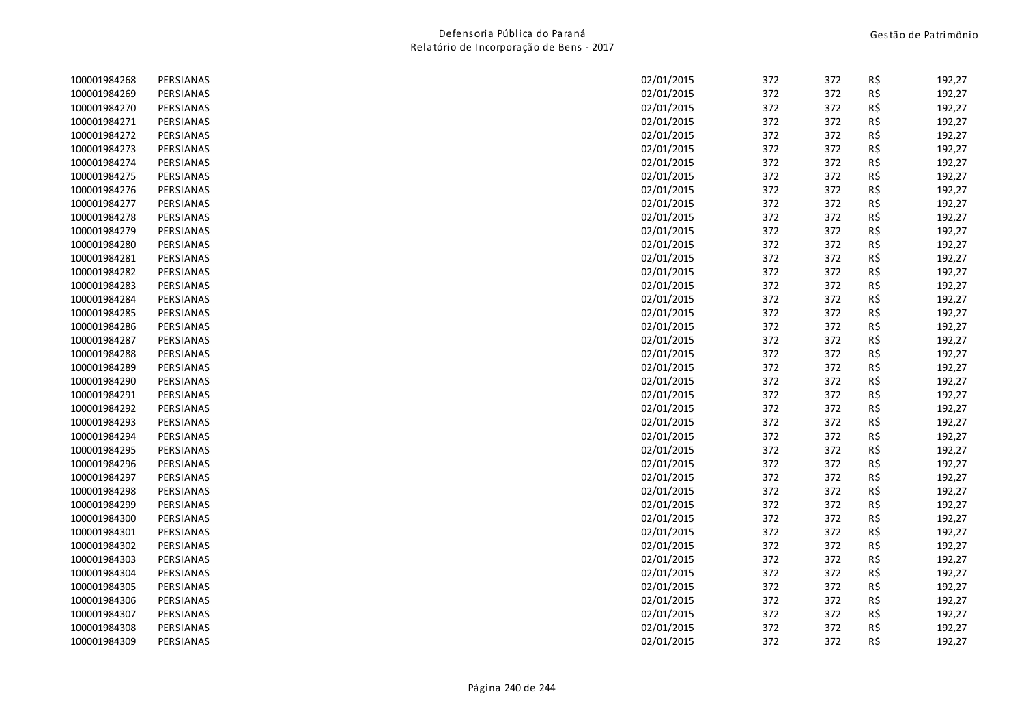| 100001984268 | PERSIANAS | 02/01/2015 | 372 | 372 | R\$ | 192,27 |
|--------------|-----------|------------|-----|-----|-----|--------|
| 100001984269 | PERSIANAS | 02/01/2015 | 372 | 372 | R\$ | 192,27 |
| 100001984270 | PERSIANAS | 02/01/2015 | 372 | 372 | R\$ | 192,27 |
| 100001984271 | PERSIANAS | 02/01/2015 | 372 | 372 | R\$ | 192,27 |
| 100001984272 | PERSIANAS | 02/01/2015 | 372 | 372 | R\$ | 192,27 |
| 100001984273 | PERSIANAS | 02/01/2015 | 372 | 372 | R\$ | 192,27 |
| 100001984274 | PERSIANAS | 02/01/2015 | 372 | 372 | R\$ | 192,27 |
| 100001984275 | PERSIANAS | 02/01/2015 | 372 | 372 | R\$ | 192,27 |
| 100001984276 | PERSIANAS | 02/01/2015 | 372 | 372 | R\$ | 192,27 |
| 100001984277 | PERSIANAS | 02/01/2015 | 372 | 372 | R\$ | 192,27 |
| 100001984278 | PERSIANAS | 02/01/2015 | 372 | 372 | R\$ | 192,27 |
| 100001984279 | PERSIANAS | 02/01/2015 | 372 | 372 | R\$ | 192,27 |
| 100001984280 | PERSIANAS | 02/01/2015 | 372 | 372 | R\$ | 192,27 |
| 100001984281 | PERSIANAS | 02/01/2015 | 372 | 372 | R\$ | 192,27 |
| 100001984282 | PERSIANAS | 02/01/2015 | 372 | 372 | R\$ | 192,27 |
| 100001984283 | PERSIANAS | 02/01/2015 | 372 | 372 | R\$ | 192,27 |
| 100001984284 | PERSIANAS | 02/01/2015 | 372 | 372 | R\$ | 192,27 |
| 100001984285 | PERSIANAS | 02/01/2015 | 372 | 372 | R\$ | 192,27 |
| 100001984286 | PERSIANAS | 02/01/2015 | 372 | 372 | R\$ | 192,27 |
| 100001984287 | PERSIANAS | 02/01/2015 | 372 | 372 | R\$ | 192,27 |
| 100001984288 | PERSIANAS | 02/01/2015 | 372 | 372 | R\$ | 192,27 |
| 100001984289 | PERSIANAS | 02/01/2015 | 372 | 372 | R\$ | 192,27 |
| 100001984290 | PERSIANAS | 02/01/2015 | 372 | 372 | R\$ | 192,27 |
| 100001984291 | PERSIANAS | 02/01/2015 | 372 | 372 | R\$ | 192,27 |
| 100001984292 | PERSIANAS | 02/01/2015 | 372 | 372 | R\$ | 192,27 |
| 100001984293 | PERSIANAS | 02/01/2015 | 372 | 372 | R\$ | 192,27 |
| 100001984294 | PERSIANAS | 02/01/2015 | 372 | 372 | R\$ | 192,27 |
| 100001984295 | PERSIANAS | 02/01/2015 | 372 | 372 | R\$ | 192,27 |
| 100001984296 | PERSIANAS | 02/01/2015 | 372 | 372 | R\$ | 192,27 |
| 100001984297 | PERSIANAS | 02/01/2015 | 372 | 372 | R\$ | 192,27 |
| 100001984298 | PERSIANAS | 02/01/2015 | 372 | 372 | R\$ | 192,27 |
| 100001984299 | PERSIANAS | 02/01/2015 | 372 | 372 | R\$ | 192,27 |
| 100001984300 | PERSIANAS | 02/01/2015 | 372 | 372 | R\$ | 192,27 |
| 100001984301 | PERSIANAS | 02/01/2015 | 372 | 372 | R\$ | 192,27 |
| 100001984302 | PERSIANAS | 02/01/2015 | 372 | 372 | R\$ | 192,27 |
| 100001984303 | PERSIANAS | 02/01/2015 | 372 | 372 | R\$ | 192,27 |
| 100001984304 | PERSIANAS | 02/01/2015 | 372 | 372 | R\$ | 192,27 |
| 100001984305 | PERSIANAS | 02/01/2015 | 372 | 372 | R\$ | 192,27 |
| 100001984306 | PERSIANAS | 02/01/2015 | 372 | 372 | R\$ | 192,27 |
| 100001984307 | PERSIANAS | 02/01/2015 | 372 | 372 | R\$ | 192,27 |
| 100001984308 | PERSIANAS | 02/01/2015 | 372 | 372 | R\$ | 192,27 |
| 100001984309 | PERSIANAS | 02/01/2015 | 372 | 372 | R\$ | 192,27 |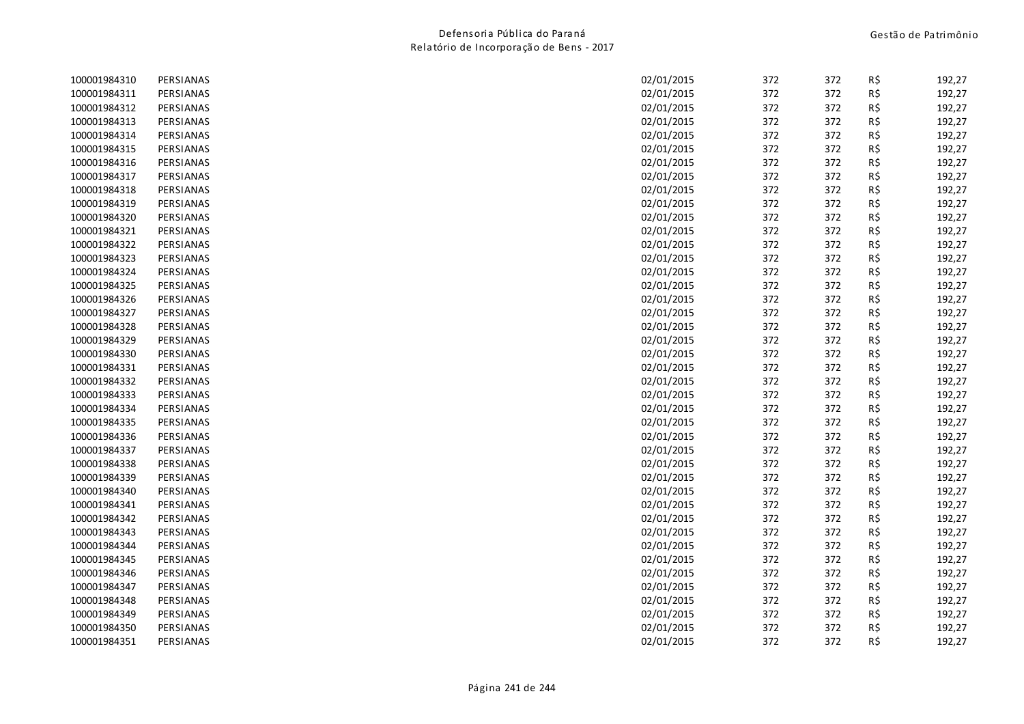| 100001984310 | PERSIANAS | 02/01/2015 | 372 | 372 | R\$ | 192,27 |
|--------------|-----------|------------|-----|-----|-----|--------|
| 100001984311 | PERSIANAS | 02/01/2015 | 372 | 372 | R\$ | 192,27 |
| 100001984312 | PERSIANAS | 02/01/2015 | 372 | 372 | R\$ | 192,27 |
| 100001984313 | PERSIANAS | 02/01/2015 | 372 | 372 | R\$ | 192,27 |
| 100001984314 | PERSIANAS | 02/01/2015 | 372 | 372 | R\$ | 192,27 |
| 100001984315 | PERSIANAS | 02/01/2015 | 372 | 372 | R\$ | 192,27 |
| 100001984316 | PERSIANAS | 02/01/2015 | 372 | 372 | R\$ | 192,27 |
| 100001984317 | PERSIANAS | 02/01/2015 | 372 | 372 | R\$ | 192,27 |
| 100001984318 | PERSIANAS | 02/01/2015 | 372 | 372 | R\$ | 192,27 |
| 100001984319 | PERSIANAS | 02/01/2015 | 372 | 372 | R\$ | 192,27 |
| 100001984320 | PERSIANAS | 02/01/2015 | 372 | 372 | R\$ | 192,27 |
| 100001984321 | PERSIANAS | 02/01/2015 | 372 | 372 | R\$ | 192,27 |
| 100001984322 | PERSIANAS | 02/01/2015 | 372 | 372 | R\$ | 192,27 |
| 100001984323 | PERSIANAS | 02/01/2015 | 372 | 372 | R\$ | 192,27 |
| 100001984324 | PERSIANAS | 02/01/2015 | 372 | 372 | R\$ | 192,27 |
| 100001984325 | PERSIANAS | 02/01/2015 | 372 | 372 | R\$ | 192,27 |
| 100001984326 | PERSIANAS | 02/01/2015 | 372 | 372 | R\$ | 192,27 |
| 100001984327 | PERSIANAS | 02/01/2015 | 372 | 372 | R\$ | 192,27 |
| 100001984328 | PERSIANAS | 02/01/2015 | 372 | 372 | R\$ | 192,27 |
| 100001984329 | PERSIANAS | 02/01/2015 | 372 | 372 | R\$ | 192,27 |
| 100001984330 | PERSIANAS | 02/01/2015 | 372 | 372 | R\$ | 192,27 |
| 100001984331 | PERSIANAS | 02/01/2015 | 372 | 372 | R\$ | 192,27 |
| 100001984332 | PERSIANAS | 02/01/2015 | 372 | 372 | R\$ | 192,27 |
| 100001984333 | PERSIANAS | 02/01/2015 | 372 | 372 | R\$ | 192,27 |
| 100001984334 | PERSIANAS | 02/01/2015 | 372 | 372 | R\$ | 192,27 |
| 100001984335 | PERSIANAS | 02/01/2015 | 372 | 372 | R\$ | 192,27 |
| 100001984336 | PERSIANAS | 02/01/2015 | 372 | 372 | R\$ | 192,27 |
| 100001984337 | PERSIANAS | 02/01/2015 | 372 | 372 | R\$ | 192,27 |
| 100001984338 | PERSIANAS | 02/01/2015 | 372 | 372 | R\$ | 192,27 |
| 100001984339 | PERSIANAS | 02/01/2015 | 372 | 372 | R\$ | 192,27 |
| 100001984340 | PERSIANAS | 02/01/2015 | 372 | 372 | R\$ | 192,27 |
| 100001984341 | PERSIANAS | 02/01/2015 | 372 | 372 | R\$ | 192,27 |
| 100001984342 | PERSIANAS | 02/01/2015 | 372 | 372 | R\$ | 192,27 |
| 100001984343 | PERSIANAS | 02/01/2015 | 372 | 372 | R\$ | 192,27 |
| 100001984344 | PERSIANAS | 02/01/2015 | 372 | 372 | R\$ | 192,27 |
| 100001984345 | PERSIANAS | 02/01/2015 | 372 | 372 | R\$ | 192,27 |
| 100001984346 | PERSIANAS | 02/01/2015 | 372 | 372 | R\$ | 192,27 |
| 100001984347 | PERSIANAS | 02/01/2015 | 372 | 372 | R\$ | 192,27 |
| 100001984348 | PERSIANAS | 02/01/2015 | 372 | 372 | R\$ | 192,27 |
| 100001984349 | PERSIANAS | 02/01/2015 | 372 | 372 | R\$ | 192,27 |
| 100001984350 | PERSIANAS | 02/01/2015 | 372 | 372 | R\$ | 192,27 |
| 100001984351 | PERSIANAS | 02/01/2015 | 372 | 372 | R\$ | 192,27 |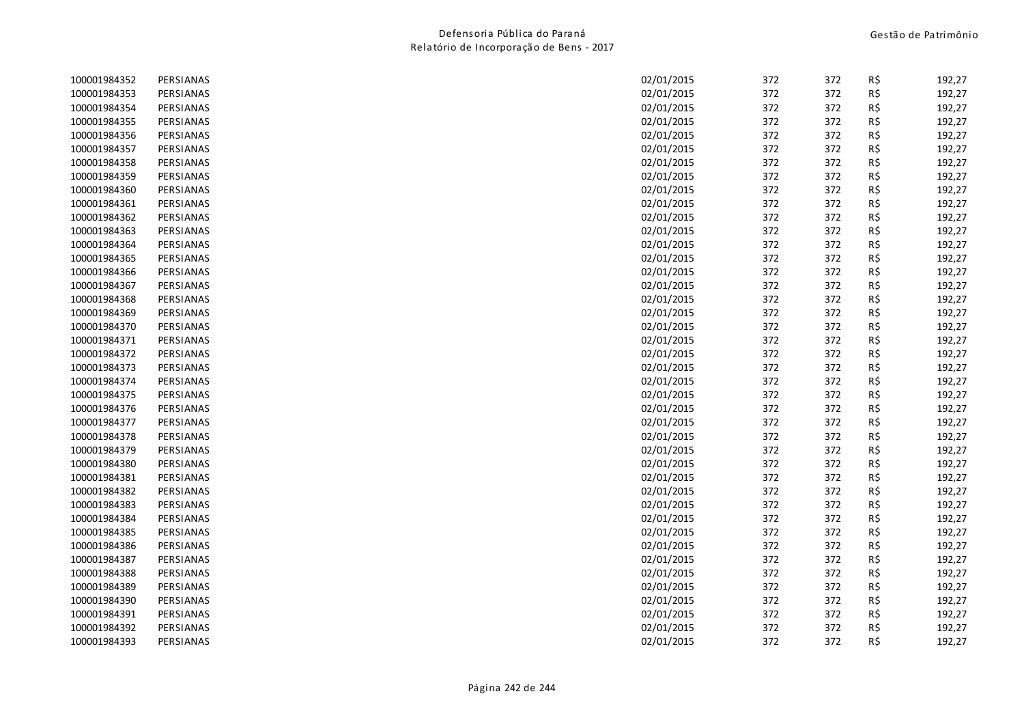| 100001984352 | PERSIANAS | 02/01/2015 | 372 | 372 | R\$ | 192,27 |
|--------------|-----------|------------|-----|-----|-----|--------|
| 100001984353 | PERSIANAS | 02/01/2015 | 372 | 372 | R\$ | 192,27 |
| 100001984354 | PERSIANAS | 02/01/2015 | 372 | 372 | R\$ | 192,27 |
| 100001984355 | PERSIANAS | 02/01/2015 | 372 | 372 | R\$ | 192,27 |
| 100001984356 | PERSIANAS | 02/01/2015 | 372 | 372 | R\$ | 192,27 |
| 100001984357 | PERSIANAS | 02/01/2015 | 372 | 372 | R\$ | 192,27 |
| 100001984358 | PERSIANAS | 02/01/2015 | 372 | 372 | R\$ | 192,27 |
| 100001984359 | PERSIANAS | 02/01/2015 | 372 | 372 | R\$ | 192,27 |
| 100001984360 | PERSIANAS | 02/01/2015 | 372 | 372 | R\$ | 192,27 |
| 100001984361 | PERSIANAS | 02/01/2015 | 372 | 372 | R\$ | 192,27 |
| 100001984362 | PERSIANAS | 02/01/2015 | 372 | 372 | R\$ | 192,27 |
| 100001984363 | PERSIANAS | 02/01/2015 | 372 | 372 | R\$ | 192,27 |
| 100001984364 | PERSIANAS | 02/01/2015 | 372 | 372 | R\$ | 192,27 |
| 100001984365 | PERSIANAS | 02/01/2015 | 372 | 372 | R\$ | 192,27 |
| 100001984366 | PERSIANAS | 02/01/2015 | 372 | 372 | R\$ | 192,27 |
| 100001984367 | PERSIANAS | 02/01/2015 | 372 | 372 | R\$ | 192,27 |
| 100001984368 | PERSIANAS | 02/01/2015 | 372 | 372 | R\$ | 192,27 |
| 100001984369 | PERSIANAS | 02/01/2015 | 372 | 372 | R\$ | 192,27 |
| 100001984370 | PERSIANAS | 02/01/2015 | 372 | 372 | R\$ | 192,27 |
| 100001984371 | PERSIANAS | 02/01/2015 | 372 | 372 | R\$ | 192,27 |
| 100001984372 | PERSIANAS | 02/01/2015 | 372 | 372 | R\$ | 192,27 |
| 100001984373 | PERSIANAS | 02/01/2015 | 372 | 372 | R\$ | 192,27 |
| 100001984374 | PERSIANAS | 02/01/2015 | 372 | 372 | R\$ | 192,27 |
| 100001984375 | PERSIANAS | 02/01/2015 | 372 | 372 | R\$ | 192,27 |
| 100001984376 | PERSIANAS | 02/01/2015 | 372 | 372 | R\$ | 192,27 |
| 100001984377 | PERSIANAS | 02/01/2015 | 372 | 372 | R\$ | 192,27 |
| 100001984378 | PERSIANAS | 02/01/2015 | 372 | 372 | R\$ | 192,27 |
| 100001984379 | PERSIANAS | 02/01/2015 | 372 | 372 | R\$ | 192,27 |
| 100001984380 | PERSIANAS | 02/01/2015 | 372 | 372 | R\$ | 192,27 |
| 100001984381 | PERSIANAS | 02/01/2015 | 372 | 372 | R\$ | 192,27 |
| 100001984382 | PERSIANAS | 02/01/2015 | 372 | 372 | R\$ | 192,27 |
| 100001984383 | PERSIANAS | 02/01/2015 | 372 | 372 | R\$ | 192,27 |
| 100001984384 | PERSIANAS | 02/01/2015 | 372 | 372 | R\$ | 192,27 |
| 100001984385 | PERSIANAS | 02/01/2015 | 372 | 372 | R\$ | 192,27 |
| 100001984386 | PERSIANAS | 02/01/2015 | 372 | 372 | R\$ | 192,27 |
| 100001984387 | PERSIANAS | 02/01/2015 | 372 | 372 | R\$ | 192,27 |
| 100001984388 | PERSIANAS | 02/01/2015 | 372 | 372 | R\$ | 192,27 |
| 100001984389 | PERSIANAS | 02/01/2015 | 372 | 372 | R\$ | 192,27 |
| 100001984390 | PERSIANAS | 02/01/2015 | 372 | 372 | R\$ | 192,27 |
| 100001984391 | PERSIANAS | 02/01/2015 | 372 | 372 | R\$ | 192,27 |
| 100001984392 | PERSIANAS | 02/01/2015 | 372 | 372 | R\$ | 192,27 |
| 100001984393 | PERSIANAS | 02/01/2015 | 372 | 372 | R\$ | 192,27 |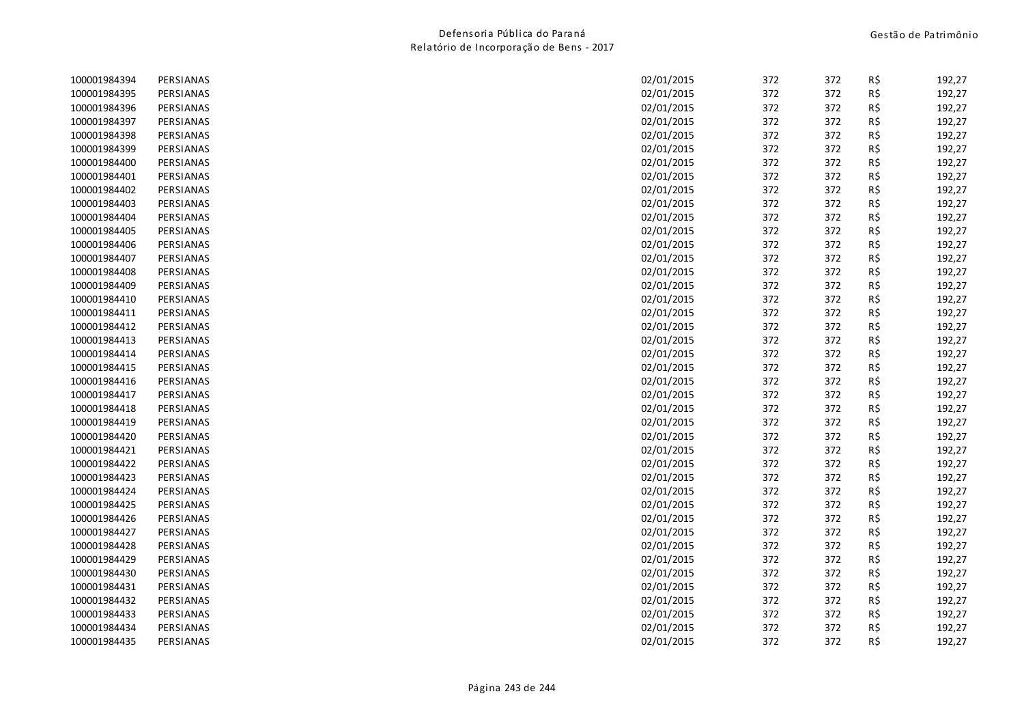| 100001984394 | PERSIANAS | 02/01/2015 | 372 | 372 | R\$ | 192,27 |
|--------------|-----------|------------|-----|-----|-----|--------|
| 100001984395 | PERSIANAS | 02/01/2015 | 372 | 372 | R\$ | 192,27 |
| 100001984396 | PERSIANAS | 02/01/2015 | 372 | 372 | R\$ | 192,27 |
| 100001984397 | PERSIANAS | 02/01/2015 | 372 | 372 | R\$ | 192,27 |
| 100001984398 | PERSIANAS | 02/01/2015 | 372 | 372 | R\$ | 192,27 |
| 100001984399 | PERSIANAS | 02/01/2015 | 372 | 372 | R\$ | 192,27 |
| 100001984400 | PERSIANAS | 02/01/2015 | 372 | 372 | R\$ | 192,27 |
| 100001984401 | PERSIANAS | 02/01/2015 | 372 | 372 | R\$ | 192,27 |
| 100001984402 | PERSIANAS | 02/01/2015 | 372 | 372 | R\$ | 192,27 |
| 100001984403 | PERSIANAS | 02/01/2015 | 372 | 372 | R\$ | 192,27 |
| 100001984404 | PERSIANAS | 02/01/2015 | 372 | 372 | R\$ | 192,27 |
| 100001984405 | PERSIANAS | 02/01/2015 | 372 | 372 | R\$ | 192,27 |
| 100001984406 | PERSIANAS | 02/01/2015 | 372 | 372 | R\$ | 192,27 |
| 100001984407 | PERSIANAS | 02/01/2015 | 372 | 372 | R\$ | 192,27 |
| 100001984408 | PERSIANAS | 02/01/2015 | 372 | 372 | R\$ | 192,27 |
| 100001984409 | PERSIANAS | 02/01/2015 | 372 | 372 | R\$ | 192,27 |
| 100001984410 | PERSIANAS | 02/01/2015 | 372 | 372 | R\$ | 192,27 |
| 100001984411 | PERSIANAS | 02/01/2015 | 372 | 372 | R\$ | 192,27 |
| 100001984412 | PERSIANAS | 02/01/2015 | 372 | 372 | R\$ | 192,27 |
| 100001984413 | PERSIANAS | 02/01/2015 | 372 | 372 | R\$ | 192,27 |
| 100001984414 | PERSIANAS | 02/01/2015 | 372 | 372 | R\$ | 192,27 |
| 100001984415 | PERSIANAS | 02/01/2015 | 372 | 372 | R\$ | 192,27 |
| 100001984416 | PERSIANAS | 02/01/2015 | 372 | 372 | R\$ | 192,27 |
| 100001984417 | PERSIANAS | 02/01/2015 | 372 | 372 | R\$ | 192,27 |
| 100001984418 | PERSIANAS | 02/01/2015 | 372 | 372 | R\$ | 192,27 |
| 100001984419 | PERSIANAS | 02/01/2015 | 372 | 372 | R\$ | 192,27 |
| 100001984420 | PERSIANAS | 02/01/2015 | 372 | 372 | R\$ | 192,27 |
| 100001984421 | PERSIANAS | 02/01/2015 | 372 | 372 | R\$ | 192,27 |
| 100001984422 | PERSIANAS | 02/01/2015 | 372 | 372 | R\$ | 192,27 |
| 100001984423 | PERSIANAS | 02/01/2015 | 372 | 372 | R\$ | 192,27 |
| 100001984424 | PERSIANAS | 02/01/2015 | 372 | 372 | R\$ | 192,27 |
| 100001984425 | PERSIANAS | 02/01/2015 | 372 | 372 | R\$ | 192,27 |
| 100001984426 | PERSIANAS | 02/01/2015 | 372 | 372 | R\$ | 192,27 |
| 100001984427 | PERSIANAS | 02/01/2015 | 372 | 372 | R\$ | 192,27 |
| 100001984428 | PERSIANAS | 02/01/2015 | 372 | 372 | R\$ | 192,27 |
| 100001984429 | PERSIANAS | 02/01/2015 | 372 | 372 | R\$ | 192,27 |
| 100001984430 | PERSIANAS | 02/01/2015 | 372 | 372 | R\$ | 192,27 |
| 100001984431 | PERSIANAS | 02/01/2015 | 372 | 372 | R\$ | 192,27 |
| 100001984432 | PERSIANAS | 02/01/2015 | 372 | 372 | R\$ | 192,27 |
| 100001984433 | PERSIANAS | 02/01/2015 | 372 | 372 | R\$ | 192,27 |
| 100001984434 | PERSIANAS | 02/01/2015 | 372 | 372 | R\$ | 192,27 |
| 100001984435 | PERSIANAS | 02/01/2015 | 372 | 372 | R\$ | 192,27 |